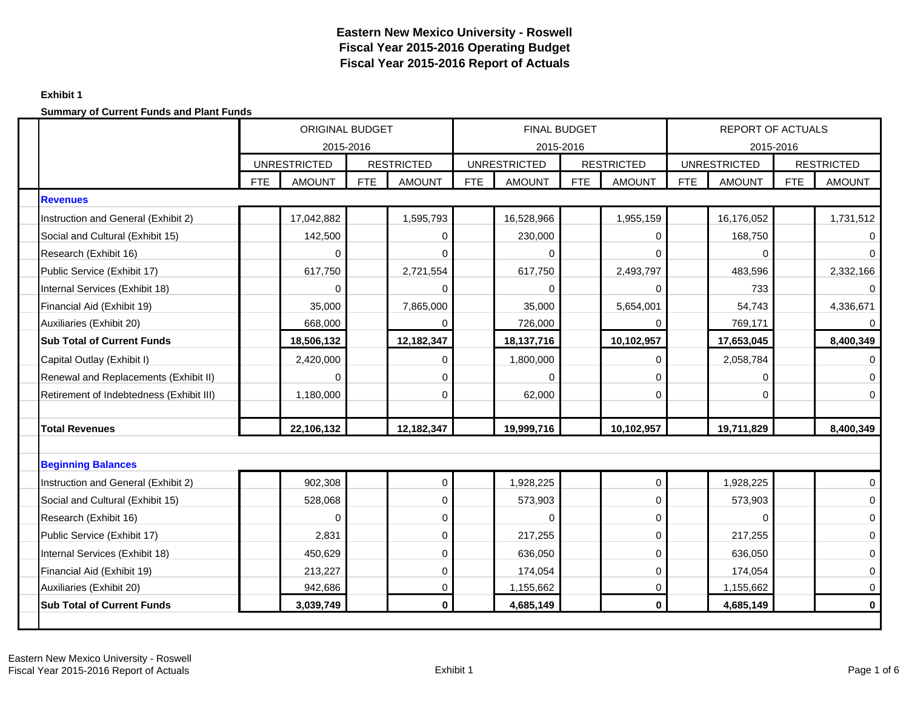## **Exhibit 1**

|                                          |            | <b>ORIGINAL BUDGET</b><br>2015-2016 |            |                   |            | <b>FINAL BUDGET</b><br>2015-2016 |            |                   |            | <b>REPORT OF ACTUALS</b><br>2015-2016 |            |                   |
|------------------------------------------|------------|-------------------------------------|------------|-------------------|------------|----------------------------------|------------|-------------------|------------|---------------------------------------|------------|-------------------|
|                                          |            | <b>UNRESTRICTED</b>                 |            | <b>RESTRICTED</b> |            | <b>UNRESTRICTED</b>              |            | <b>RESTRICTED</b> |            | <b>UNRESTRICTED</b>                   |            | <b>RESTRICTED</b> |
|                                          | <b>FTE</b> | <b>AMOUNT</b>                       | <b>FTE</b> | <b>AMOUNT</b>     | <b>FTE</b> | <b>AMOUNT</b>                    | <b>FTE</b> | <b>AMOUNT</b>     | <b>FTE</b> | <b>AMOUNT</b>                         | <b>FTE</b> | <b>AMOUNT</b>     |
| <b>Revenues</b>                          |            |                                     |            |                   |            |                                  |            |                   |            |                                       |            |                   |
| Instruction and General (Exhibit 2)      |            | 17,042,882                          |            | 1,595,793         |            | 16,528,966                       |            | 1,955,159         |            | 16,176,052                            |            | 1,731,512         |
| Social and Cultural (Exhibit 15)         |            | 142,500                             |            | 0                 |            | 230,000                          |            | $\Omega$          |            | 168,750                               |            |                   |
| Research (Exhibit 16)                    |            | 0                                   |            | $\mathbf 0$       |            | $\Omega$                         |            | $\Omega$          |            | 0                                     |            | $\Omega$          |
| Public Service (Exhibit 17)              |            | 617,750                             |            | 2,721,554         |            | 617,750                          |            | 2,493,797         |            | 483,596                               |            | 2,332,166         |
| Internal Services (Exhibit 18)           |            | $\Omega$                            |            | $\Omega$          |            | $\Omega$                         |            | $\Omega$          |            | 733                                   |            | $\Omega$          |
| Financial Aid (Exhibit 19)               |            | 35,000                              |            | 7,865,000         |            | 35,000                           |            | 5,654,001         |            | 54,743                                |            | 4,336,671         |
| Auxiliaries (Exhibit 20)                 |            | 668,000                             |            | $\Omega$          |            | 726,000                          |            | $\Omega$          |            | 769,171                               |            | 0                 |
| <b>Sub Total of Current Funds</b>        |            | 18,506,132                          |            | 12,182,347        |            | 18, 137, 716                     |            | 10,102,957        |            | 17,653,045                            |            | 8,400,349         |
| Capital Outlay (Exhibit I)               |            | 2,420,000                           |            | 0                 |            | 1,800,000                        |            | $\Omega$          |            | 2,058,784                             |            |                   |
| Renewal and Replacements (Exhibit II)    |            | 0                                   |            | 0                 |            | $\Omega$                         |            | $\Omega$          |            | $\Omega$                              |            | $\Omega$          |
| Retirement of Indebtedness (Exhibit III) |            | 1,180,000                           |            | $\mathbf 0$       |            | 62,000                           |            | $\Omega$          |            | 0                                     |            | $\Omega$          |
|                                          |            |                                     |            |                   |            |                                  |            |                   |            |                                       |            |                   |
| <b>Total Revenues</b>                    |            | 22,106,132                          |            | 12,182,347        |            | 19,999,716                       |            | 10,102,957        |            | 19,711,829                            |            | 8,400,349         |
|                                          |            |                                     |            |                   |            |                                  |            |                   |            |                                       |            |                   |
| <b>Beginning Balances</b>                |            |                                     |            |                   |            |                                  |            |                   |            |                                       |            |                   |
| Instruction and General (Exhibit 2)      |            | 902,308                             |            | $\mathsf 0$       |            | 1,928,225                        |            | $\mathbf 0$       |            | 1,928,225                             |            | $\Omega$          |
| Social and Cultural (Exhibit 15)         |            | 528,068                             |            | 0                 |            | 573,903                          |            | $\mathbf 0$       |            | 573,903                               |            | $\mathbf 0$       |
| Research (Exhibit 16)                    |            | 0                                   |            | 0                 |            | 0                                |            | $\Omega$          |            | 0                                     |            | $\mathbf 0$       |
| Public Service (Exhibit 17)              |            | 2,831                               |            | 0                 |            | 217,255                          |            | $\overline{0}$    |            | 217,255                               |            | 0                 |
| Internal Services (Exhibit 18)           |            | 450,629                             |            | 0                 |            | 636,050                          |            | $\Omega$          |            | 636,050                               |            | $\mathbf 0$       |
| Financial Aid (Exhibit 19)               |            | 213,227                             |            | 0                 |            | 174,054                          |            | $\mathbf 0$       |            | 174,054                               |            | $\mathbf 0$       |
| Auxiliaries (Exhibit 20)                 |            | 942,686                             |            | 0                 |            | 1,155,662                        |            | $\mathbf 0$       |            | 1,155,662                             |            | $\mathbf 0$       |
| <b>Sub Total of Current Funds</b>        |            | 3,039,749                           |            | 0                 |            | 4,685,149                        |            | $\mathbf{0}$      |            | 4,685,149                             |            | $\bf{0}$          |
|                                          |            |                                     |            |                   |            |                                  |            |                   |            |                                       |            |                   |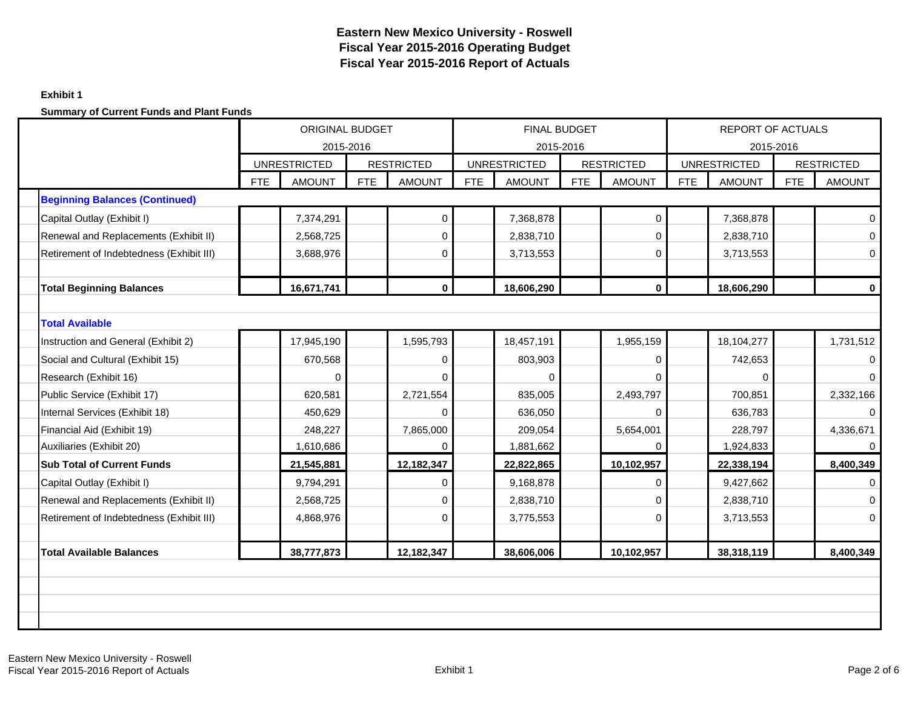## **Exhibit 1**

|                                          | <b>ORIGINAL BUDGET</b><br><b>UNRESTRICTED</b> |               |            |                                    |            | <b>FINAL BUDGET</b> |            |                                    |            | <b>REPORT OF ACTUALS</b>             |            |                   |
|------------------------------------------|-----------------------------------------------|---------------|------------|------------------------------------|------------|---------------------|------------|------------------------------------|------------|--------------------------------------|------------|-------------------|
|                                          |                                               | 2015-2016     |            |                                    |            | <b>UNRESTRICTED</b> | 2015-2016  |                                    |            | 2015-2016                            |            | <b>RESTRICTED</b> |
|                                          | <b>FTE</b>                                    | <b>AMOUNT</b> | <b>FTE</b> | <b>RESTRICTED</b><br><b>AMOUNT</b> | <b>FTE</b> | <b>AMOUNT</b>       | <b>FTE</b> | <b>RESTRICTED</b><br><b>AMOUNT</b> | <b>FTE</b> | <b>UNRESTRICTED</b><br><b>AMOUNT</b> | <b>FTE</b> | <b>AMOUNT</b>     |
| <b>Beginning Balances (Continued)</b>    |                                               |               |            |                                    |            |                     |            |                                    |            |                                      |            |                   |
| Capital Outlay (Exhibit I)               |                                               | 7,374,291     |            | $\pmb{0}$                          |            | 7,368,878           |            | $\mathbf 0$                        |            | 7,368,878                            |            | $\Omega$          |
| Renewal and Replacements (Exhibit II)    |                                               | 2,568,725     |            | $\mathbf 0$                        |            | 2,838,710           |            | $\Omega$                           |            | 2,838,710                            |            | $\Omega$          |
| Retirement of Indebtedness (Exhibit III) |                                               | 3,688,976     |            | $\pmb{0}$                          |            | 3,713,553           |            | $\overline{0}$                     |            | 3,713,553                            |            | $\mathbf 0$       |
|                                          |                                               |               |            |                                    |            |                     |            |                                    |            |                                      |            |                   |
| <b>Total Beginning Balances</b>          |                                               | 16,671,741    |            | $\mathbf 0$                        |            | 18,606,290          |            | $\mathbf{0}$                       |            | 18,606,290                           |            | $\bf{0}$          |
|                                          |                                               |               |            |                                    |            |                     |            |                                    |            |                                      |            |                   |
| <b>Total Available</b>                   |                                               |               |            |                                    |            |                     |            |                                    |            |                                      |            |                   |
| Instruction and General (Exhibit 2)      |                                               | 17,945,190    |            | 1,595,793                          |            | 18,457,191          |            | 1,955,159                          |            | 18,104,277                           |            | 1,731,512         |
| Social and Cultural (Exhibit 15)         | 670,568<br>$\mathbf 0$                        |               |            |                                    | 803,903    |                     | 0          |                                    | 742,653    |                                      |            |                   |
| Research (Exhibit 16)                    |                                               | 0             |            | $\Omega$                           |            | $\Omega$            |            | $\Omega$                           |            | $\Omega$                             |            | $\Omega$          |
| Public Service (Exhibit 17)              |                                               | 620,581       |            | 2,721,554                          |            | 835,005             |            | 2,493,797                          |            | 700,851                              |            | 2,332,166         |
| Internal Services (Exhibit 18)           |                                               | 450,629       |            | $\Omega$                           |            | 636,050             |            | $\Omega$                           |            | 636,783                              |            | $\Omega$          |
| Financial Aid (Exhibit 19)               |                                               | 248,227       |            | 7,865,000                          |            | 209,054             |            | 5,654,001                          |            | 228,797                              |            | 4,336,671         |
| Auxiliaries (Exhibit 20)                 |                                               | 1,610,686     |            | 0                                  |            | 1,881,662           |            | $\Omega$                           |            | 1,924,833                            |            | $\mathbf{0}$      |
| <b>Sub Total of Current Funds</b>        |                                               | 21,545,881    |            | 12,182,347                         |            | 22,822,865          |            | 10,102,957                         |            | 22,338,194                           |            | 8,400,349         |
| Capital Outlay (Exhibit I)               |                                               | 9,794,291     |            | 0                                  |            | 9,168,878           |            | 0                                  |            | 9,427,662                            |            |                   |
| Renewal and Replacements (Exhibit II)    |                                               | 2,568,725     |            | 0                                  |            | 2,838,710           |            | $\mathbf 0$                        |            | 2,838,710                            |            | $\Omega$          |
| Retirement of Indebtedness (Exhibit III) |                                               | 4,868,976     |            | 0                                  |            | 3,775,553           |            | $\mathbf 0$                        |            | 3,713,553                            |            | $\Omega$          |
|                                          |                                               |               |            |                                    |            |                     |            |                                    |            |                                      |            |                   |
| <b>Total Available Balances</b>          |                                               | 38,777,873    |            | 12,182,347                         |            | 38,606,006          |            | 10,102,957                         |            | 38,318,119                           |            | 8,400,349         |
|                                          |                                               |               |            |                                    |            |                     |            |                                    |            |                                      |            |                   |
|                                          |                                               |               |            |                                    |            |                     |            |                                    |            |                                      |            |                   |
|                                          |                                               |               |            |                                    |            |                     |            |                                    |            |                                      |            |                   |
|                                          |                                               |               |            |                                    |            |                     |            |                                    |            |                                      |            |                   |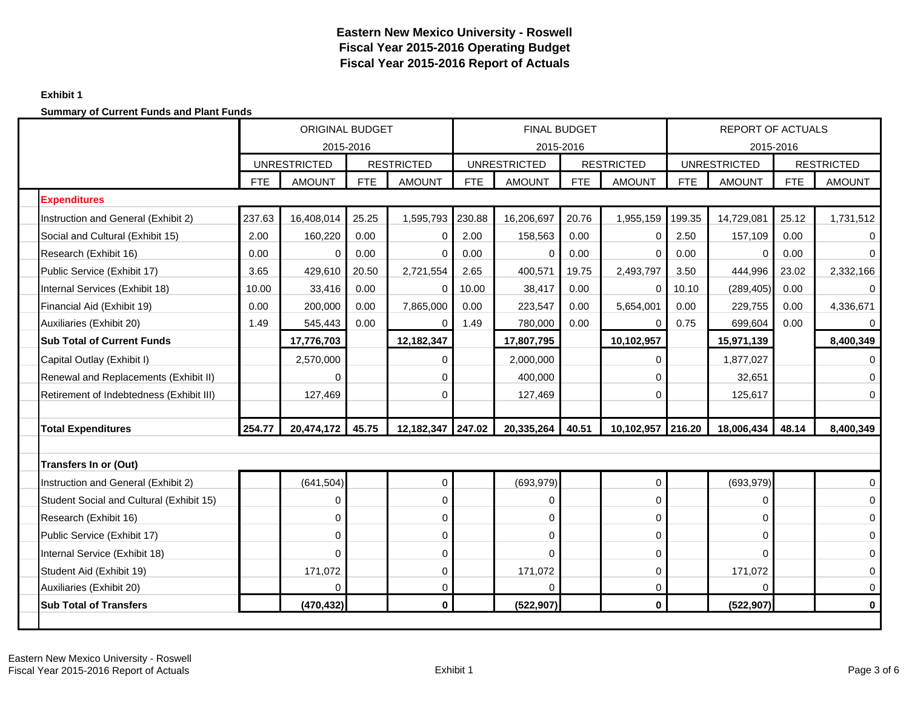## **Exhibit 1**

|                                          | <b>ORIGINAL BUDGET</b><br>2015-2016 |                     |            |                   |            | <b>FINAL BUDGET</b> | 2015-2016  |                   |            | <b>REPORT OF ACTUALS</b><br>2015-2016 |            |                   |
|------------------------------------------|-------------------------------------|---------------------|------------|-------------------|------------|---------------------|------------|-------------------|------------|---------------------------------------|------------|-------------------|
|                                          |                                     | <b>UNRESTRICTED</b> |            | <b>RESTRICTED</b> |            | <b>UNRESTRICTED</b> |            | <b>RESTRICTED</b> |            | <b>UNRESTRICTED</b>                   |            | <b>RESTRICTED</b> |
|                                          | <b>FTE</b>                          | <b>AMOUNT</b>       | <b>FTE</b> | <b>AMOUNT</b>     | <b>FTE</b> | <b>AMOUNT</b>       | <b>FTE</b> | <b>AMOUNT</b>     | <b>FTE</b> | <b>AMOUNT</b>                         | <b>FTE</b> | <b>AMOUNT</b>     |
| <b>Expenditures</b>                      |                                     |                     |            |                   |            |                     |            |                   |            |                                       |            |                   |
| Instruction and General (Exhibit 2)      | 237.63                              | 16,408,014          | 25.25      | 1,595,793         | 230.88     | 16,206,697          | 20.76      | 1,955,159         | 199.35     | 14,729,081                            | 25.12      | 1,731,512         |
| Social and Cultural (Exhibit 15)         | 2.00                                | 160,220             | 0.00       | 0                 | 2.00       | 158,563             | 0.00       | $\mathbf 0$       | 2.50       | 157,109                               | 0.00       |                   |
| Research (Exhibit 16)                    | 0.00                                | $\mathbf 0$         | 0.00       | $\mathbf 0$       | 0.00       | 0                   | 0.00       | $\mathbf 0$       | 0.00       | 0                                     | 0.00       | $\Omega$          |
| Public Service (Exhibit 17)              | 3.65                                | 429,610             | 20.50      | 2,721,554         | 2.65       | 400,571             | 19.75      | 2,493,797         | 3.50       | 444,996                               | 23.02      | 2,332,166         |
| Internal Services (Exhibit 18)           | 10.00                               | 33,416              | 0.00       | $\mathbf 0$       | 10.00      | 38,417              | 0.00       | $\mathbf 0$       | 10.10      | (289, 405)                            | 0.00       | $\mathbf 0$       |
| Financial Aid (Exhibit 19)               | 0.00                                | 200,000             | 0.00       | 7,865,000         | 0.00       | 223,547             | 0.00       | 5,654,001         | 0.00       | 229,755                               | 0.00       | 4,336,671         |
| Auxiliaries (Exhibit 20)                 | 1.49                                | 545,443             | 0.00       | 0                 | 1.49       | 780,000             | 0.00       | 0                 | 0.75       | 699,604                               | 0.00       | $\mathbf 0$       |
| <b>Sub Total of Current Funds</b>        |                                     | 17,776,703          |            | 12,182,347        |            | 17,807,795          |            | 10,102,957        |            | 15,971,139                            |            | 8,400,349         |
| Capital Outlay (Exhibit I)               |                                     | 2,570,000           |            | 0                 |            | 2,000,000           |            | 0                 |            | 1,877,027                             |            | 0                 |
| Renewal and Replacements (Exhibit II)    |                                     | $\Omega$            |            | $\mathbf 0$       |            | 400.000             |            | $\Omega$          |            | 32,651                                |            | 0                 |
| Retirement of Indebtedness (Exhibit III) |                                     | 127,469             |            | $\mathbf 0$       |            | 127,469             |            | $\Omega$          |            | 125,617                               |            | $\Omega$          |
|                                          |                                     |                     |            |                   |            |                     |            |                   |            |                                       |            |                   |
| <b>Total Expenditures</b>                | 254.77                              | 20,474,172          | 45.75      | 12,182,347        | 247.02     | 20,335,264          | 40.51      | 10,102,957        | 216.20     | 18,006,434                            | 48.14      | 8,400,349         |
|                                          |                                     |                     |            |                   |            |                     |            |                   |            |                                       |            |                   |
| <b>Transfers In or (Out)</b>             |                                     |                     |            |                   |            |                     |            |                   |            |                                       |            |                   |
| Instruction and General (Exhibit 2)      |                                     | (641, 504)          |            | $\mathsf 0$       |            | (693, 979)          |            | $\pmb{0}$         |            | (693, 979)                            |            | $\mathbf 0$       |
| Student Social and Cultural (Exhibit 15) |                                     | $\mathbf 0$         |            | 0                 |            | 0                   |            | $\mathbf 0$       |            | 0                                     |            | $\mathbf 0$       |
| Research (Exhibit 16)                    |                                     | 0                   |            | 0                 |            | $\Omega$            |            | $\mathbf 0$       |            | 0                                     |            | $\mathbf 0$       |
| Public Service (Exhibit 17)              |                                     | 0                   |            | 0                 |            | 0                   |            | $\Omega$          |            | 0                                     |            | 0                 |
| Internal Service (Exhibit 18)            |                                     | 0                   |            | 0                 |            | $\Omega$            |            | $\mathbf 0$       |            | $\Omega$                              |            | $\mathbf 0$       |
| Student Aid (Exhibit 19)                 |                                     | 171,072             |            | 0                 |            | 171,072             |            | $\mathbf 0$       |            | 171,072                               |            | 0                 |
| Auxiliaries (Exhibit 20)                 |                                     | 0                   |            | 0                 |            | 0                   |            | $\mathbf 0$       |            | $\Omega$                              |            | $\mathbf 0$       |
| <b>Sub Total of Transfers</b>            |                                     | (470, 432)          |            | $\mathbf{0}$      |            | (522, 907)          |            | $\bf{0}$          |            | (522, 907)                            |            | $\bf{0}$          |
|                                          |                                     |                     |            |                   |            |                     |            |                   |            |                                       |            |                   |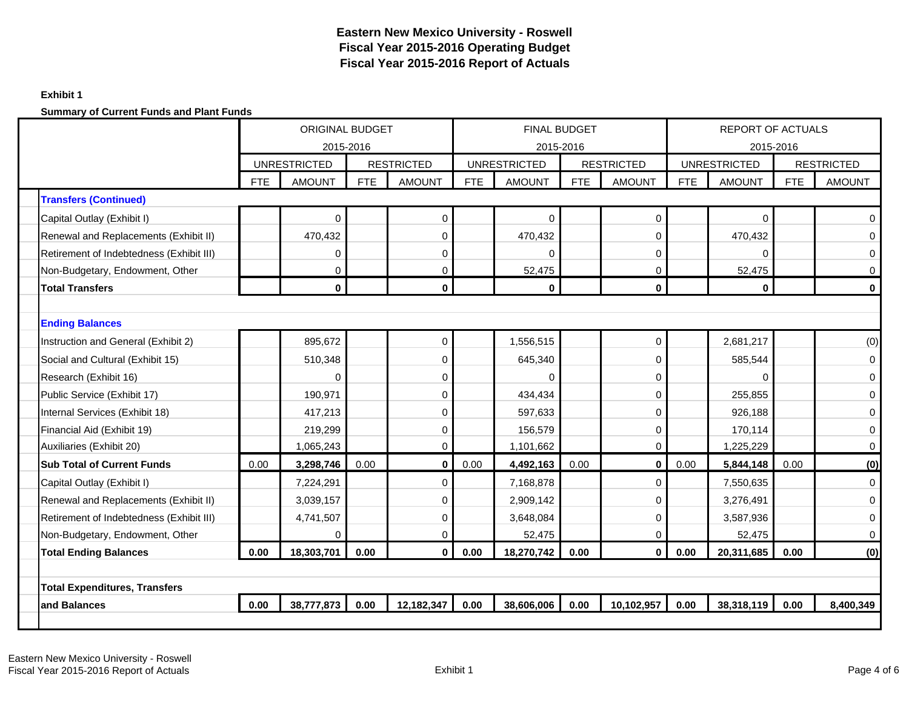## **Exhibit 1**

|                                          |            | <b>ORIGINAL BUDGET</b> |      |                   |            | <b>FINAL BUDGET</b> |            |                   |            | REPORT OF ACTUALS   |            |                   |
|------------------------------------------|------------|------------------------|------|-------------------|------------|---------------------|------------|-------------------|------------|---------------------|------------|-------------------|
|                                          |            | 2015-2016              |      |                   |            | 2015-2016           |            |                   |            | 2015-2016           |            |                   |
|                                          |            | <b>UNRESTRICTED</b>    |      | <b>RESTRICTED</b> |            | <b>UNRESTRICTED</b> |            | <b>RESTRICTED</b> |            | <b>UNRESTRICTED</b> |            | <b>RESTRICTED</b> |
|                                          | <b>FTE</b> | <b>AMOUNT</b>          | FTE  | <b>AMOUNT</b>     | <b>FTE</b> | <b>AMOUNT</b>       | <b>FTE</b> | <b>AMOUNT</b>     | <b>FTE</b> | <b>AMOUNT</b>       | <b>FTE</b> | <b>AMOUNT</b>     |
| <b>Transfers (Continued)</b>             |            |                        |      |                   |            |                     |            |                   |            |                     |            |                   |
| Capital Outlay (Exhibit I)               |            | $\mathbf 0$            |      | $\pmb{0}$         |            | $\Omega$            |            | $\mathbf 0$       |            | 0                   |            | $\Omega$          |
| Renewal and Replacements (Exhibit II)    |            | 470,432                |      | $\mathbf 0$       |            | 470,432             |            | 0                 |            | 470,432             |            | $\Omega$          |
| Retirement of Indebtedness (Exhibit III) |            | 0                      |      | 0                 |            | $\Omega$            |            | $\mathbf 0$       |            | 0                   |            | $\mathbf 0$       |
| Non-Budgetary, Endowment, Other          |            | $\mathbf 0$            |      | $\boldsymbol{0}$  |            | 52,475              |            | $\mathbf 0$       |            | 52,475              |            | $\mathbf 0$       |
| <b>Total Transfers</b>                   |            | $\bf{0}$               |      | $\bf{0}$          |            | $\mathbf{0}$        |            | $\bf{0}$          |            | $\bf{0}$            |            | $\bf{0}$          |
|                                          |            |                        |      |                   |            |                     |            |                   |            |                     |            |                   |
| <b>Ending Balances</b>                   |            | $\mathbf 0$<br>895,672 |      |                   |            |                     |            |                   |            |                     |            |                   |
| Instruction and General (Exhibit 2)      |            |                        |      |                   |            | 1,556,515           |            | $\mathbf 0$       |            | 2,681,217           |            | (0)               |
| Social and Cultural (Exhibit 15)         |            | 510,348                |      | 0                 |            | 645,340             |            | $\Omega$          |            | 585,544             |            | $\mathbf 0$       |
| Research (Exhibit 16)                    |            | 0                      |      | 0                 |            | $\mathbf 0$         |            | 0                 |            | 0                   |            | $\mathbf 0$       |
| Public Service (Exhibit 17)              |            | 190,971                |      | 0                 |            | 434,434             |            | 0                 |            | 255,855             |            | $\boldsymbol{0}$  |
| Internal Services (Exhibit 18)           |            | 417,213                |      | $\boldsymbol{0}$  |            | 597,633             |            | $\Omega$          |            | 926,188             |            | $\mathbf 0$       |
| Financial Aid (Exhibit 19)               |            | 219,299                |      | $\mathbf 0$       |            | 156,579             |            | $\Omega$          |            | 170,114             |            | $\mathbf 0$       |
| Auxiliaries (Exhibit 20)                 |            | 1,065,243              |      | $\boldsymbol{0}$  |            | 1,101,662           |            | $\mathbf 0$       |            | 1,225,229           |            | $\mathbf 0$       |
| <b>Sub Total of Current Funds</b>        | 0.00       | 3,298,746              | 0.00 | $\pmb{0}$         | 0.00       | 4,492,163           | 0.00       | $\mathbf 0$       | 0.00       | 5,844,148           | 0.00       | (0)               |
| Capital Outlay (Exhibit I)               |            | 7,224,291              |      | $\mathbf 0$       |            | 7,168,878           |            | $\Omega$          |            | 7,550,635           |            | $\mathbf 0$       |
| Renewal and Replacements (Exhibit II)    |            | 3,039,157              |      | $\mathbf 0$       |            | 2,909,142           |            | $\Omega$          |            | 3,276,491           |            | $\mathbf 0$       |
| Retirement of Indebtedness (Exhibit III) |            | 4,741,507              |      | $\boldsymbol{0}$  |            | 3,648,084           |            | $\Omega$          |            | 3,587,936           |            | $\mathbf 0$       |
| Non-Budgetary, Endowment, Other          |            | $\mathbf 0$            |      | $\boldsymbol{0}$  |            | 52,475              |            | $\Omega$          |            | 52,475              |            | $\mathbf 0$       |
| <b>Total Ending Balances</b>             | 0.00       | 18,303,701             | 0.00 | $\bf{0}$          | 0.00       | 18,270,742          | 0.00       | $\mathbf{0}$      | 0.00       | 20,311,685          | 0.00       | (0)               |
|                                          |            |                        |      |                   |            |                     |            |                   |            |                     |            |                   |
| <b>Total Expenditures, Transfers</b>     |            |                        |      |                   |            |                     |            |                   |            |                     |            |                   |
| and Balances                             | 0.00       | 38,777,873             | 0.00 | 12,182,347        | 0.00       | 38,606,006          | 0.00       | 10,102,957        | 0.00       | 38,318,119          | 0.00       | 8,400,349         |
|                                          |            |                        |      |                   |            |                     |            |                   |            |                     |            |                   |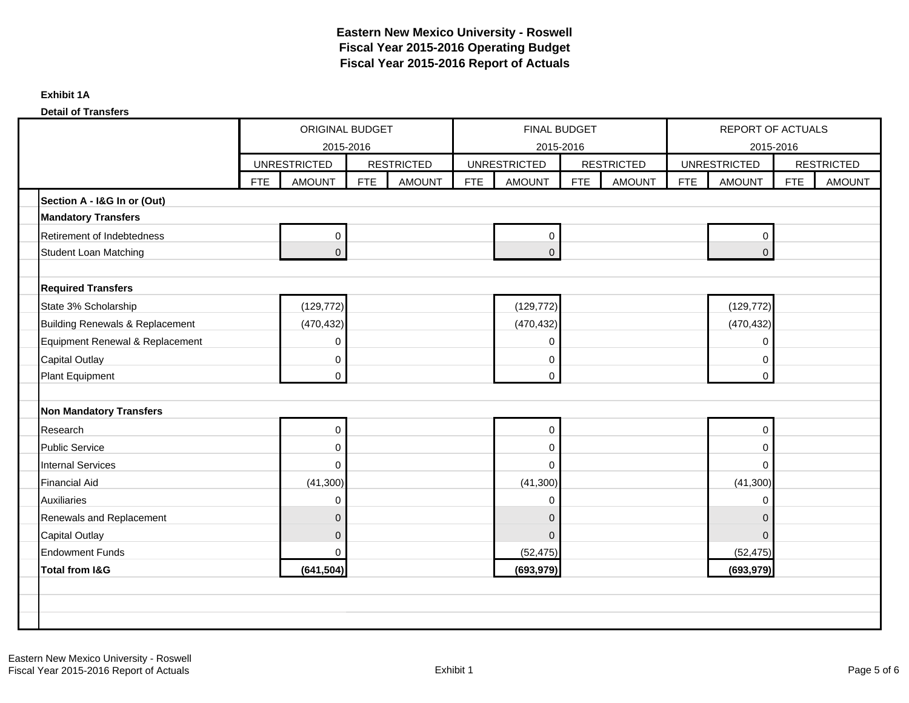### **Detail of Transfers**

|                                 | ORIGINAL BUDGET<br>2015-2016<br><b>UNRESTRICTED</b> |                |            |                   |            | FINAL BUDGET<br>2015-2016 |            |                   |            | REPORT OF ACTUALS<br>2015-2016 |            |                   |
|---------------------------------|-----------------------------------------------------|----------------|------------|-------------------|------------|---------------------------|------------|-------------------|------------|--------------------------------|------------|-------------------|
|                                 |                                                     |                |            | <b>RESTRICTED</b> |            | <b>UNRESTRICTED</b>       |            | <b>RESTRICTED</b> |            | <b>UNRESTRICTED</b>            |            | <b>RESTRICTED</b> |
|                                 | <b>FTE</b>                                          | <b>AMOUNT</b>  | <b>FTE</b> | <b>AMOUNT</b>     | <b>FTE</b> | <b>AMOUNT</b>             | <b>FTE</b> | <b>AMOUNT</b>     | <b>FTE</b> | <b>AMOUNT</b>                  | <b>FTE</b> | <b>AMOUNT</b>     |
| Section A - I&G In or (Out)     |                                                     |                |            |                   |            |                           |            |                   |            |                                |            |                   |
| <b>Mandatory Transfers</b>      |                                                     |                |            |                   |            |                           |            |                   |            |                                |            |                   |
| Retirement of Indebtedness      |                                                     | 0              |            |                   |            | 0                         |            |                   |            | 0                              |            |                   |
| <b>Student Loan Matching</b>    |                                                     | $\overline{0}$ |            |                   |            | $\overline{0}$            |            |                   |            | $\mathbf 0$                    |            |                   |
|                                 |                                                     |                |            |                   |            |                           |            |                   |            |                                |            |                   |
| <b>Required Transfers</b>       |                                                     |                |            |                   |            |                           |            |                   |            |                                |            |                   |
| State 3% Scholarship            |                                                     | (129, 772)     |            |                   |            | (129, 772)                |            |                   |            | (129, 772)                     |            |                   |
| Building Renewals & Replacement |                                                     | (470, 432)     |            |                   |            | (470, 432)                |            |                   |            | (470, 432)                     |            |                   |
| Equipment Renewal & Replacement |                                                     | 0              |            |                   |            | 0                         |            |                   |            | 0                              |            |                   |
| <b>Capital Outlay</b>           |                                                     | 0              |            |                   |            | 0                         |            |                   |            | 0                              |            |                   |
| Plant Equipment                 |                                                     | 0              |            |                   |            | 0                         |            |                   |            | 0                              |            |                   |
|                                 |                                                     |                |            |                   |            |                           |            |                   |            |                                |            |                   |
| <b>Non Mandatory Transfers</b>  |                                                     |                |            |                   |            |                           |            |                   |            |                                |            |                   |
| Research                        |                                                     | 0              |            |                   |            | 0                         |            |                   |            | 0                              |            |                   |
| <b>Public Service</b>           |                                                     | 0              |            |                   |            | 0                         |            |                   |            | 0                              |            |                   |
| <b>Internal Services</b>        |                                                     | $\mathbf 0$    |            |                   |            | 0                         |            |                   |            | $\Omega$                       |            |                   |
| <b>Financial Aid</b>            |                                                     | (41,300)       |            |                   |            | (41,300)                  |            |                   |            | (41, 300)                      |            |                   |
| <b>Auxiliaries</b>              |                                                     | 0              |            |                   |            | 0                         |            |                   |            | 0                              |            |                   |
| Renewals and Replacement        |                                                     | $\overline{0}$ |            |                   |            | 0                         |            |                   |            | $\mathbf 0$                    |            |                   |
| <b>Capital Outlay</b>           |                                                     | 0              |            |                   |            | $\overline{0}$            |            |                   |            | $\mathbf 0$                    |            |                   |
| <b>Endowment Funds</b>          |                                                     | 0              |            |                   |            | (52, 475)                 |            |                   |            | (52, 475)                      |            |                   |
| <b>Total from I&amp;G</b>       |                                                     | (641, 504)     |            |                   |            | (693, 979)                |            |                   |            | (693, 979)                     |            |                   |
|                                 |                                                     |                |            |                   |            |                           |            |                   |            |                                |            |                   |
|                                 |                                                     |                |            |                   |            |                           |            |                   |            |                                |            |                   |
|                                 |                                                     |                |            |                   |            |                           |            |                   |            |                                |            |                   |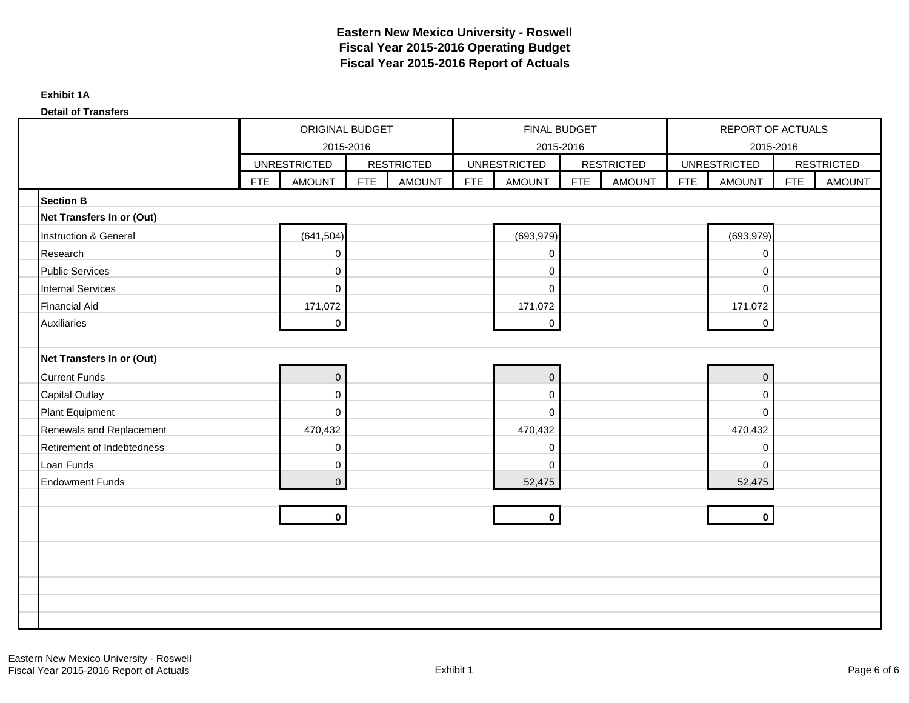### **Detail of Transfers**

|                            |            | <b>ORIGINAL BUDGET</b><br>2015-2016 |            |                   |            | FINAL BUDGET<br>2015-2016 |     |                   |            | REPORT OF ACTUALS<br>2015-2016 |            |                   |
|----------------------------|------------|-------------------------------------|------------|-------------------|------------|---------------------------|-----|-------------------|------------|--------------------------------|------------|-------------------|
|                            |            | <b>UNRESTRICTED</b>                 |            | <b>RESTRICTED</b> |            | <b>UNRESTRICTED</b>       |     | <b>RESTRICTED</b> |            | <b>UNRESTRICTED</b>            |            | <b>RESTRICTED</b> |
|                            | <b>FTE</b> | <b>AMOUNT</b>                       | <b>FTE</b> | <b>AMOUNT</b>     | <b>FTE</b> | <b>AMOUNT</b>             | FTE | <b>AMOUNT</b>     | <b>FTE</b> | <b>AMOUNT</b>                  | <b>FTE</b> | <b>AMOUNT</b>     |
| <b>Section B</b>           |            |                                     |            |                   |            |                           |     |                   |            |                                |            |                   |
| Net Transfers In or (Out)  |            |                                     |            |                   |            |                           |     |                   |            |                                |            |                   |
| Instruction & General      |            | (641, 504)                          |            |                   |            | (693, 979)                |     |                   |            | (693, 979)                     |            |                   |
| Research                   |            | 0                                   |            |                   |            | 0                         |     |                   |            | 0                              |            |                   |
| <b>Public Services</b>     |            | 0                                   |            |                   |            | 0                         |     |                   |            | 0                              |            |                   |
| <b>Internal Services</b>   |            | 0                                   |            |                   |            | $\mathbf 0$               |     |                   |            | $\mathbf 0$                    |            |                   |
| <b>Financial Aid</b>       |            | 171,072                             |            |                   |            | 171,072                   |     |                   |            | 171,072                        |            |                   |
| <b>Auxiliaries</b>         |            | $\mathbf 0$                         |            |                   |            | $\mathbf 0$               |     |                   |            | $\mathbf 0$                    |            |                   |
|                            |            |                                     |            |                   |            |                           |     |                   |            |                                |            |                   |
| Net Transfers In or (Out)  |            |                                     |            |                   |            |                           |     |                   |            |                                |            |                   |
| <b>Current Funds</b>       |            | $\boldsymbol{0}$                    |            |                   |            | $\pmb{0}$                 |     |                   |            | $\mathsf{O}\xspace$            |            |                   |
| <b>Capital Outlay</b>      |            | $\mathbf 0$                         |            |                   |            | 0                         |     |                   |            | 0                              |            |                   |
| Plant Equipment            |            | $\mathbf 0$                         |            |                   |            | $\mathbf 0$               |     |                   |            | $\mathbf 0$                    |            |                   |
| Renewals and Replacement   |            | 470,432                             |            |                   |            | 470,432                   |     |                   |            | 470,432                        |            |                   |
| Retirement of Indebtedness |            | 0                                   |            |                   |            | 0                         |     |                   |            | $\pmb{0}$                      |            |                   |
| Loan Funds                 |            | 0                                   |            |                   |            | $\mathbf 0$               |     |                   |            | $\mathbf{0}$                   |            |                   |
| <b>Endowment Funds</b>     |            | 0                                   |            |                   |            | 52,475                    |     |                   |            | 52,475                         |            |                   |
|                            |            |                                     |            |                   |            |                           |     |                   |            |                                |            |                   |
|                            |            | $\mathbf 0$                         |            |                   |            | $\mathbf{0}$              |     |                   |            | $\mathbf 0$                    |            |                   |
|                            |            |                                     |            |                   |            |                           |     |                   |            |                                |            |                   |
|                            |            |                                     |            |                   |            |                           |     |                   |            |                                |            |                   |
|                            |            |                                     |            |                   |            |                           |     |                   |            |                                |            |                   |
|                            |            |                                     |            |                   |            |                           |     |                   |            |                                |            |                   |
|                            |            |                                     |            |                   |            |                           |     |                   |            |                                |            |                   |
|                            |            |                                     |            |                   |            |                           |     |                   |            |                                |            |                   |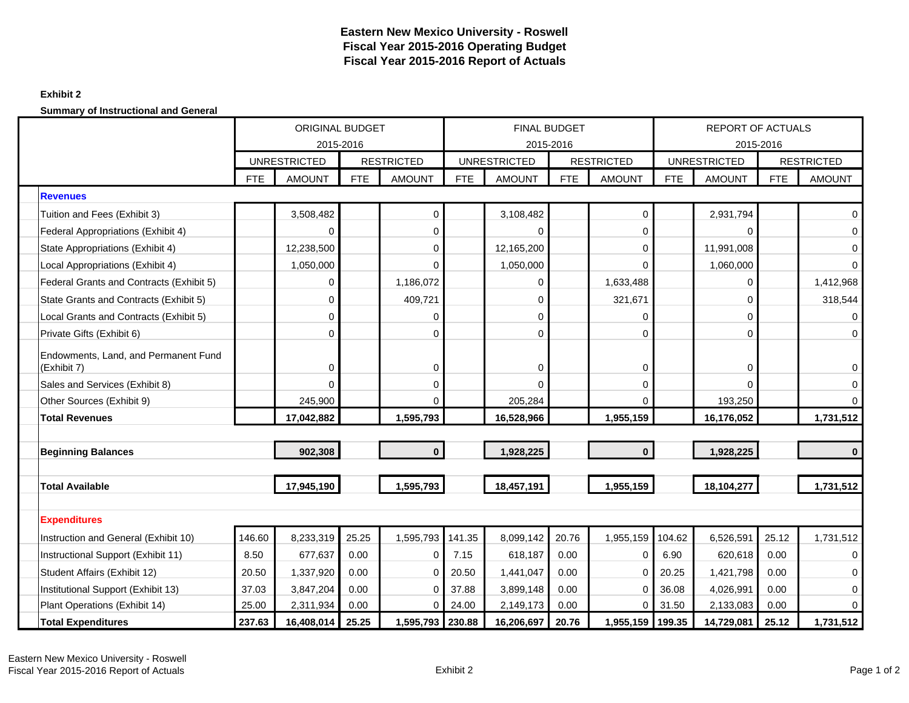## **Exhibit 2**

**Summary of Instructional and General**

|                                                     | <b>ORIGINAL BUDGET</b> |                     |            |                   |            |                     | <b>FINAL BUDGET</b> |                   |            | <b>REPORT OF ACTUALS</b> |            |                   |
|-----------------------------------------------------|------------------------|---------------------|------------|-------------------|------------|---------------------|---------------------|-------------------|------------|--------------------------|------------|-------------------|
|                                                     |                        | 2015-2016           |            |                   |            |                     | 2015-2016           |                   |            |                          | 2015-2016  |                   |
|                                                     |                        | <b>UNRESTRICTED</b> |            | <b>RESTRICTED</b> |            | <b>UNRESTRICTED</b> |                     | <b>RESTRICTED</b> |            | <b>UNRESTRICTED</b>      |            | <b>RESTRICTED</b> |
|                                                     | <b>FTE</b>             | <b>AMOUNT</b>       | <b>FTE</b> | <b>AMOUNT</b>     | <b>FTE</b> | <b>AMOUNT</b>       | <b>FTE</b>          | <b>AMOUNT</b>     | <b>FTE</b> | <b>AMOUNT</b>            | <b>FTE</b> | <b>AMOUNT</b>     |
| <b>Revenues</b>                                     |                        |                     |            |                   |            |                     |                     |                   |            |                          |            |                   |
| Tuition and Fees (Exhibit 3)                        |                        | 3,508,482           |            | $\mathbf 0$       |            | 3,108,482           |                     | 0                 |            | 2,931,794                |            | $\mathbf 0$       |
| Federal Appropriations (Exhibit 4)                  |                        | 0                   |            | 0                 |            | $\Omega$            |                     | 0                 |            | $\mathbf 0$              |            | $\mathbf 0$       |
| State Appropriations (Exhibit 4)                    |                        | 12,238,500          |            | $\Omega$          |            | 12,165,200          |                     | $\Omega$          |            | 11,991,008               |            | 0                 |
| Local Appropriations (Exhibit 4)                    |                        | 1,050,000           |            | $\mathbf 0$       |            | 1,050,000           |                     | $\Omega$          |            | 1,060,000                |            | $\mathbf 0$       |
| Federal Grants and Contracts (Exhibit 5)            |                        | 0                   |            | 1,186,072         |            | 0                   |                     | 1,633,488         |            | $\mathbf 0$              |            | 1,412,968         |
| State Grants and Contracts (Exhibit 5)              |                        | 0                   |            | 409,721           |            | 0                   |                     | 321,671           |            | $\mathbf 0$              |            | 318,544           |
| Local Grants and Contracts (Exhibit 5)              |                        | 0                   |            | 0                 |            | 0                   |                     | 0                 |            | $\Omega$                 |            | 0                 |
| Private Gifts (Exhibit 6)                           |                        | 0                   |            | 0                 |            | 0                   |                     | 0                 |            | $\mathbf 0$              |            | $\mathbf 0$       |
| Endowments, Land, and Permanent Fund<br>(Exhibit 7) |                        | 0                   |            | $\mathbf 0$       |            | 0                   |                     | 0                 |            | $\mathbf 0$              |            | 0                 |
| Sales and Services (Exhibit 8)                      |                        | 0                   |            | 0                 |            | 0                   |                     | 0                 |            | $\Omega$                 |            | 0                 |
| Other Sources (Exhibit 9)                           |                        | 245,900             |            | $\Omega$          |            | 205,284             |                     | $\Omega$          |            | 193,250                  |            | $\Omega$          |
| <b>Total Revenues</b>                               |                        | 17,042,882          |            | 1,595,793         |            | 16,528,966          |                     | 1,955,159         |            | 16,176,052               |            | 1,731,512         |
|                                                     |                        |                     |            |                   |            |                     |                     |                   |            |                          |            |                   |
| <b>Beginning Balances</b>                           |                        | 902,308             |            | $\bf{0}$          |            | 1,928,225           |                     | $\bf{0}$          |            | 1,928,225                |            | $\bf{0}$          |
|                                                     |                        |                     |            |                   |            |                     |                     |                   |            |                          |            |                   |
| <b>Total Available</b>                              |                        | 17,945,190          |            | 1,595,793         |            | 18,457,191          |                     | 1,955,159         |            | 18,104,277               |            | 1,731,512         |
|                                                     |                        |                     |            |                   |            |                     |                     |                   |            |                          |            |                   |
| <b>Expenditures</b>                                 |                        |                     |            |                   |            |                     |                     |                   |            |                          |            |                   |
| Instruction and General (Exhibit 10)                | 146.60                 | 8,233,319           | 25.25      | 1,595,793         | 141.35     | 8,099,142           | 20.76               | 1,955,159         | 104.62     | 6,526,591                | 25.12      | 1,731,512         |
| Instructional Support (Exhibit 11)                  | 8.50                   | 677,637             | 0.00       | 0                 | 7.15       | 618,187             | 0.00                | 0                 | 6.90       | 620,618                  | 0.00       | $\mathbf 0$       |
| Student Affairs (Exhibit 12)                        | 20.50                  | 1,337,920           | 0.00       | $\mathbf 0$       | 20.50      | 1,441,047           | 0.00                | $\Omega$          | 20.25      | 1,421,798                | 0.00       | 0                 |
| Institutional Support (Exhibit 13)                  | 37.03                  | 3,847,204           | 0.00       | $\Omega$          | 37.88      | 3,899,148           | 0.00                | 0                 | 36.08      | 4,026,991                | 0.00       | 0                 |
| Plant Operations (Exhibit 14)                       | 25.00                  | 2,311,934           | 0.00       | 0                 | 24.00      | 2,149,173           | 0.00                | 0                 | 31.50      | 2,133,083                | 0.00       | $\Omega$          |
| <b>Total Expenditures</b>                           | 237.63                 | 16,408,014          | 25.25      | 1,595,793 230.88  |            | 16,206,697          | 20.76               | 1,955,159 199.35  |            | 14,729,081               | 25.12      | 1,731,512         |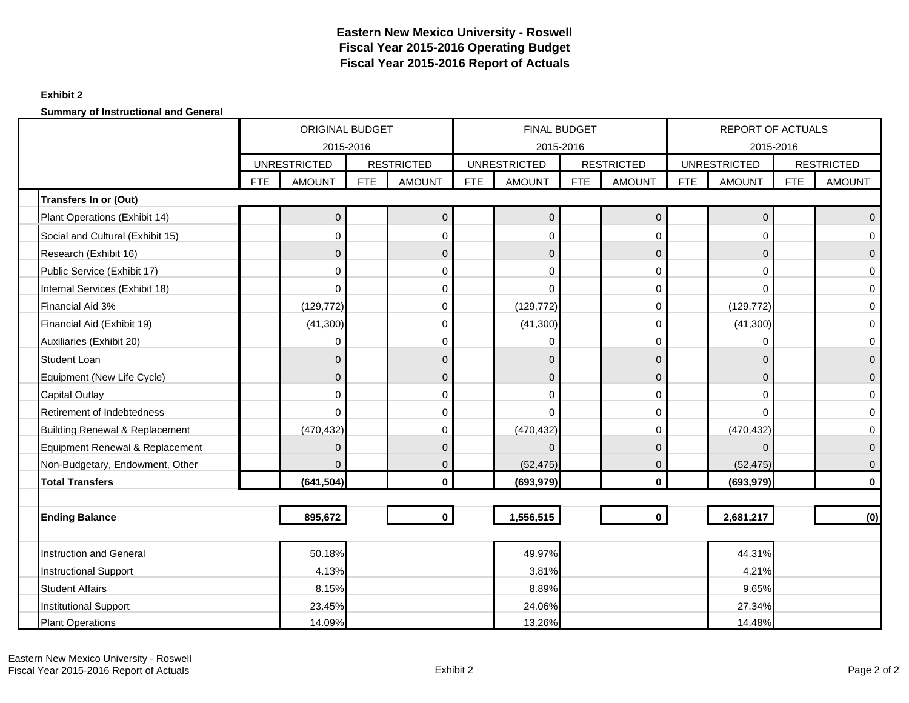## **Exhibit 2**

**Summary of Instructional and General**

|                                  |            | <b>ORIGINAL BUDGET</b><br>2015-2016 |     |                   |            | FINAL BUDGET<br>2015-2016 |            |                   |            | <b>REPORT OF ACTUALS</b><br>2015-2016 |            |                   |
|----------------------------------|------------|-------------------------------------|-----|-------------------|------------|---------------------------|------------|-------------------|------------|---------------------------------------|------------|-------------------|
|                                  |            | <b>UNRESTRICTED</b>                 |     | <b>RESTRICTED</b> |            | <b>UNRESTRICTED</b>       |            | <b>RESTRICTED</b> |            | <b>UNRESTRICTED</b>                   |            | <b>RESTRICTED</b> |
|                                  | <b>FTE</b> | <b>AMOUNT</b>                       | FTE | <b>AMOUNT</b>     | <b>FTE</b> | <b>AMOUNT</b>             | <b>FTE</b> | <b>AMOUNT</b>     | <b>FTE</b> | <b>AMOUNT</b>                         | <b>FTE</b> | <b>AMOUNT</b>     |
| Transfers In or (Out)            |            |                                     |     |                   |            |                           |            |                   |            |                                       |            |                   |
| Plant Operations (Exhibit 14)    |            | 0                                   |     | $\pmb{0}$         |            | $\overline{0}$            |            | $\pmb{0}$         |            | 0                                     |            | $\mathbf{0}$      |
| Social and Cultural (Exhibit 15) |            | 0                                   |     | 0                 |            | $\mathbf 0$               |            | $\Omega$          |            | 0                                     |            | $\Omega$          |
| Research (Exhibit 16)            |            | $\Omega$                            |     | $\pmb{0}$         |            | $\mathbf{0}$              |            | $\Omega$          |            | 0                                     |            | $\Omega$          |
| Public Service (Exhibit 17)      |            | 0                                   |     | 0                 |            | $\Omega$                  |            | $\Omega$          |            | 0                                     |            | $\Omega$          |
| Internal Services (Exhibit 18)   |            | 0                                   |     | 0                 |            | $\Omega$                  |            | $\Omega$          |            | 0                                     |            | 0                 |
| Financial Aid 3%                 |            | (129, 772)                          |     | 0                 |            | (129, 772)                |            | 0                 |            | (129, 772)                            |            | 0                 |
| Financial Aid (Exhibit 19)       |            | (41,300)                            |     | $\mathbf 0$       |            | (41,300)                  |            | $\Omega$          |            | (41, 300)                             |            | $\mathbf 0$       |
| Auxiliaries (Exhibit 20)         |            | $\Omega$                            |     | $\mathbf 0$       |            | $\Omega$                  |            | $\Omega$          |            | 0                                     |            | $\mathbf 0$       |
| <b>Student Loan</b>              |            | $\Omega$                            |     | $\mathbf{0}$      |            | $\mathbf{0}$              |            | $\Omega$          |            | 0                                     |            | $\mathbf{0}$      |
| Equipment (New Life Cycle)       |            | $\Omega$                            |     | $\mathbf 0$       |            | $\overline{0}$            |            | $\Omega$          |            | 0                                     |            | $\mathbf{0}$      |
| <b>Capital Outlay</b>            |            | 0                                   |     | $\mathbf 0$       |            | $\Omega$                  |            | $\Omega$          |            | 0                                     |            | $\Omega$          |
| Retirement of Indebtedness       |            | 0                                   |     | $\mathbf 0$       |            | $\Omega$                  |            | $\Omega$          |            | 0                                     |            | 0                 |
| Building Renewal & Replacement   |            | (470, 432)                          |     | $\mathbf 0$       |            | (470, 432)                |            | $\Omega$          |            | (470, 432)                            |            | 0                 |
| Equipment Renewal & Replacement  |            | $\Omega$                            |     | $\mathbf 0$       |            | $\Omega$                  |            | $\Omega$          |            | 0                                     |            | $\mathbf{0}$      |
| Non-Budgetary, Endowment, Other  |            | $\Omega$                            |     | $\mathbf 0$       |            | (52, 475)                 |            | $\mathbf{0}$      |            | (52, 475)                             |            | $\mathbf 0$       |
| <b>Total Transfers</b>           |            | (641, 504)                          |     | $\mathbf 0$       |            | (693, 979)                |            | $\mathbf{0}$      |            | (693, 979)                            |            | 0                 |
|                                  |            |                                     |     |                   |            |                           |            |                   |            |                                       |            |                   |
| <b>Ending Balance</b>            |            | 895,672                             |     | $\mathbf 0$       |            | 1,556,515                 |            | $\mathbf{0}$      |            | 2,681,217                             |            | (0)               |
|                                  |            |                                     |     |                   |            |                           |            |                   |            |                                       |            |                   |
| <b>Instruction and General</b>   |            | 50.18%                              |     |                   |            | 49.97%                    |            |                   |            | 44.31%                                |            |                   |
| <b>Instructional Support</b>     |            | 4.13%                               |     |                   |            | 3.81%                     |            |                   |            | 4.21%                                 |            |                   |
| <b>Student Affairs</b>           |            | 8.15%                               |     |                   |            | 8.89%                     |            |                   |            | 9.65%                                 |            |                   |
| <b>Institutional Support</b>     |            | 23.45%                              |     |                   |            | 24.06%                    |            |                   |            | 27.34%                                |            |                   |
| <b>Plant Operations</b>          |            | 14.09%                              |     |                   |            | 13.26%                    |            |                   |            | 14.48%                                |            |                   |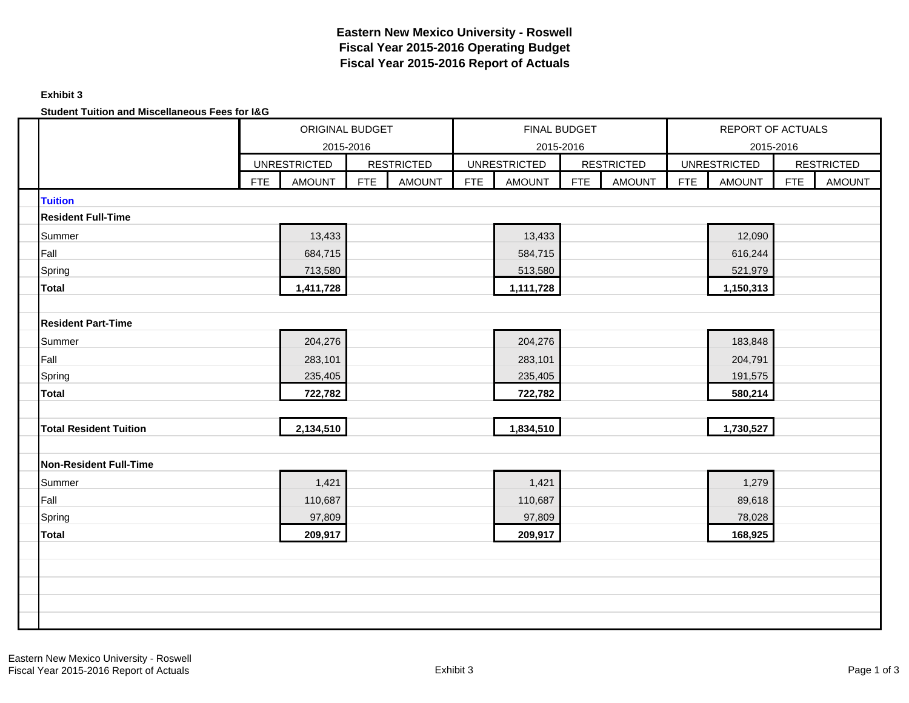## **Exhibit 3**

**Student Tuition and Miscellaneous Fees for I&G**

|                               | ORIGINAL BUDGET<br>2015-2016<br><b>UNRESTRICTED</b><br><b>RESTRICTED</b> |               |            |               |            | <b>FINAL BUDGET</b><br>2015-2016 |            |                   |            | <b>REPORT OF ACTUALS</b><br>2015-2016 |            |                   |
|-------------------------------|--------------------------------------------------------------------------|---------------|------------|---------------|------------|----------------------------------|------------|-------------------|------------|---------------------------------------|------------|-------------------|
|                               |                                                                          |               |            |               |            | <b>UNRESTRICTED</b>              |            | <b>RESTRICTED</b> |            | <b>UNRESTRICTED</b>                   |            | <b>RESTRICTED</b> |
|                               | FTE                                                                      | <b>AMOUNT</b> | <b>FTE</b> | <b>AMOUNT</b> | <b>FTE</b> | <b>AMOUNT</b>                    | <b>FTE</b> | <b>AMOUNT</b>     | <b>FTE</b> | <b>AMOUNT</b>                         | <b>FTE</b> | <b>AMOUNT</b>     |
| <b>Tuition</b>                |                                                                          |               |            |               |            |                                  |            |                   |            |                                       |            |                   |
| <b>Resident Full-Time</b>     |                                                                          |               |            |               |            |                                  |            |                   |            |                                       |            |                   |
| Summer                        |                                                                          | 13,433        |            |               |            | 13,433                           |            |                   |            | 12,090                                |            |                   |
| Fall                          |                                                                          | 684,715       |            |               |            | 584,715                          |            |                   |            | 616,244                               |            |                   |
| Spring                        |                                                                          | 713,580       |            |               |            | 513,580                          |            |                   |            | 521,979                               |            |                   |
| <b>Total</b>                  |                                                                          | 1,411,728     |            |               |            | 1,111,728                        |            |                   |            | 1,150,313                             |            |                   |
|                               |                                                                          |               |            |               |            |                                  |            |                   |            |                                       |            |                   |
| <b>Resident Part-Time</b>     |                                                                          |               |            |               |            |                                  |            |                   |            |                                       |            |                   |
| Summer                        |                                                                          | 204,276       |            |               |            | 204,276                          |            |                   |            | 183,848                               |            |                   |
| Fall                          |                                                                          | 283,101       |            |               |            | 283,101                          |            |                   |            | 204,791                               |            |                   |
| Spring                        |                                                                          | 235,405       |            |               |            | 235,405                          |            |                   |            | 191,575                               |            |                   |
| <b>Total</b>                  |                                                                          | 722,782       |            |               |            | 722,782                          |            |                   |            | 580,214                               |            |                   |
|                               |                                                                          |               |            |               |            |                                  |            |                   |            |                                       |            |                   |
| <b>Total Resident Tuition</b> |                                                                          | 2,134,510     |            |               |            | 1,834,510                        |            |                   |            | 1,730,527                             |            |                   |
|                               |                                                                          |               |            |               |            |                                  |            |                   |            |                                       |            |                   |
| <b>Non-Resident Full-Time</b> |                                                                          |               |            |               |            |                                  |            |                   |            |                                       |            |                   |
| Summer                        |                                                                          | 1,421         |            |               |            | 1,421                            |            |                   |            | 1,279                                 |            |                   |
| Fall                          |                                                                          | 110,687       |            |               |            | 110,687                          |            |                   |            | 89,618                                |            |                   |
| Spring                        |                                                                          | 97,809        |            |               |            | 97,809                           |            |                   |            | 78,028                                |            |                   |
| <b>Total</b>                  |                                                                          | 209,917       |            |               |            | 209,917                          |            |                   |            | 168,925                               |            |                   |
|                               |                                                                          |               |            |               |            |                                  |            |                   |            |                                       |            |                   |
|                               |                                                                          |               |            |               |            |                                  |            |                   |            |                                       |            |                   |
|                               |                                                                          |               |            |               |            |                                  |            |                   |            |                                       |            |                   |
|                               |                                                                          |               |            |               |            |                                  |            |                   |            |                                       |            |                   |
|                               |                                                                          |               |            |               |            |                                  |            |                   |            |                                       |            |                   |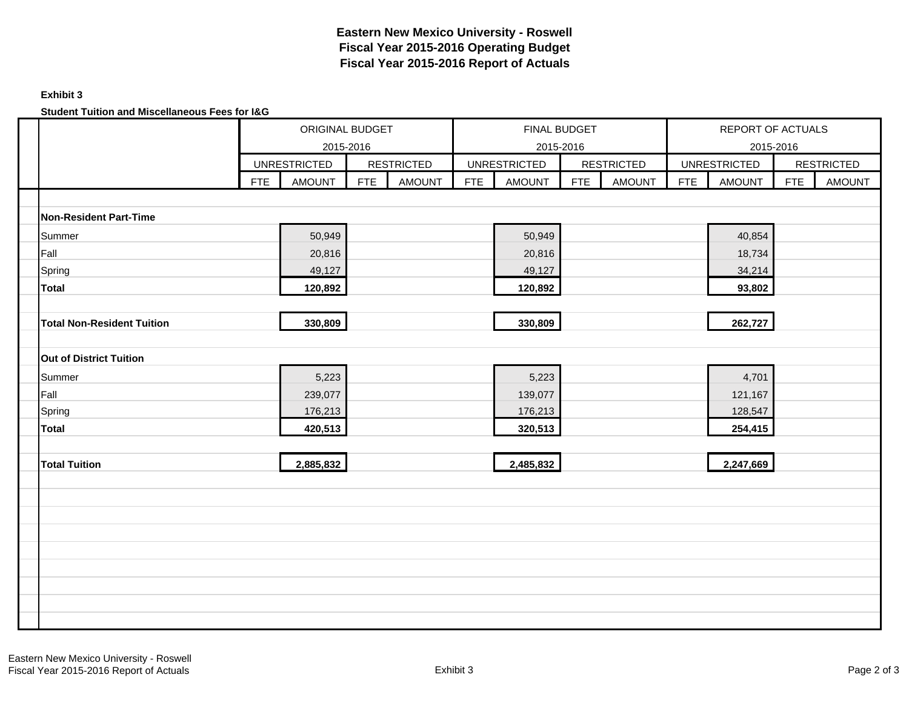## **Exhibit 3**

**Student Tuition and Miscellaneous Fees for I&G**

|                                   |            | ORIGINAL BUDGET                      |     |                                    |            | FINAL BUDGET                         |     |                                    |            | REPORT OF ACTUALS                    |            |                                    |
|-----------------------------------|------------|--------------------------------------|-----|------------------------------------|------------|--------------------------------------|-----|------------------------------------|------------|--------------------------------------|------------|------------------------------------|
|                                   |            | 2015-2016                            |     |                                    |            | 2015-2016                            |     |                                    |            | 2015-2016                            |            |                                    |
|                                   | <b>FTE</b> | <b>UNRESTRICTED</b><br><b>AMOUNT</b> | FTE | <b>RESTRICTED</b><br><b>AMOUNT</b> | <b>FTE</b> | <b>UNRESTRICTED</b><br><b>AMOUNT</b> | FTE | <b>RESTRICTED</b><br><b>AMOUNT</b> | <b>FTE</b> | <b>UNRESTRICTED</b><br><b>AMOUNT</b> | <b>FTE</b> | <b>RESTRICTED</b><br><b>AMOUNT</b> |
|                                   |            |                                      |     |                                    |            |                                      |     |                                    |            |                                      |            |                                    |
| Non-Resident Part-Time            |            |                                      |     |                                    |            |                                      |     |                                    |            |                                      |            |                                    |
| Summer                            |            | 50,949                               |     |                                    |            | 50,949                               |     |                                    |            | 40,854                               |            |                                    |
| Fall                              |            | 20,816                               |     |                                    |            | 20,816                               |     |                                    |            | 18,734                               |            |                                    |
| Spring                            |            | 49,127                               |     |                                    |            | 49,127                               |     |                                    |            | 34,214                               |            |                                    |
| <b>Total</b>                      |            | 120,892                              |     |                                    |            | 120,892                              |     |                                    |            | 93,802                               |            |                                    |
|                                   |            |                                      |     |                                    |            |                                      |     |                                    |            |                                      |            |                                    |
| <b>Total Non-Resident Tuition</b> |            | 330,809                              |     |                                    |            | 330,809                              |     |                                    |            | 262,727                              |            |                                    |
|                                   |            |                                      |     |                                    |            |                                      |     |                                    |            |                                      |            |                                    |
| <b>Out of District Tuition</b>    |            |                                      |     |                                    |            |                                      |     |                                    |            |                                      |            |                                    |
| Summer                            |            | 5,223                                |     |                                    |            | 5,223                                |     |                                    |            | 4,701                                |            |                                    |
| Fall                              |            | 239,077                              |     |                                    |            | 139,077                              |     |                                    |            | 121,167                              |            |                                    |
| Spring                            |            | 176,213                              |     |                                    |            | 176,213                              |     |                                    |            | 128,547                              |            |                                    |
| <b>Total</b>                      |            | 420,513                              |     |                                    |            | 320,513                              |     |                                    |            | 254,415                              |            |                                    |
|                                   |            |                                      |     |                                    |            |                                      |     |                                    |            |                                      |            |                                    |
| <b>Total Tuition</b>              |            | 2,885,832                            |     |                                    |            | 2,485,832                            |     |                                    |            | 2,247,669                            |            |                                    |
|                                   |            |                                      |     |                                    |            |                                      |     |                                    |            |                                      |            |                                    |
|                                   |            |                                      |     |                                    |            |                                      |     |                                    |            |                                      |            |                                    |
|                                   |            |                                      |     |                                    |            |                                      |     |                                    |            |                                      |            |                                    |
|                                   |            |                                      |     |                                    |            |                                      |     |                                    |            |                                      |            |                                    |
|                                   |            |                                      |     |                                    |            |                                      |     |                                    |            |                                      |            |                                    |
|                                   |            |                                      |     |                                    |            |                                      |     |                                    |            |                                      |            |                                    |
|                                   |            |                                      |     |                                    |            |                                      |     |                                    |            |                                      |            |                                    |
|                                   |            |                                      |     |                                    |            |                                      |     |                                    |            |                                      |            |                                    |
|                                   |            |                                      |     |                                    |            |                                      |     |                                    |            |                                      |            |                                    |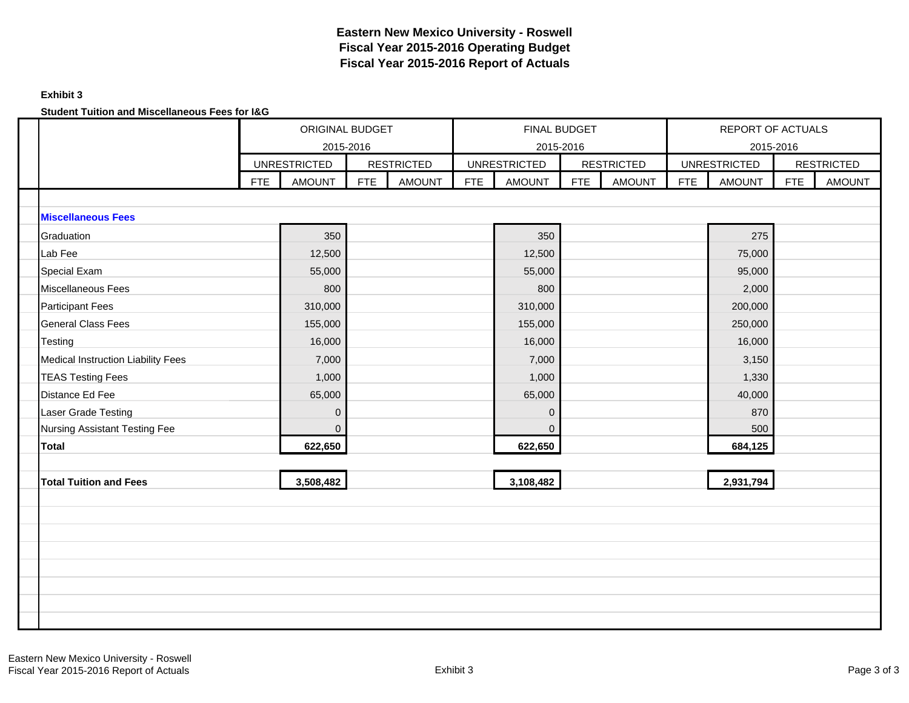## **Exhibit 3**

**Student Tuition and Miscellaneous Fees for I&G**

|                                           |            | ORIGINAL BUDGET<br>2015-2016 |            |                   |            | <b>FINAL BUDGET</b><br>2015-2016 |     |                   |            | <b>REPORT OF ACTUALS</b><br>2015-2016 |            |                   |
|-------------------------------------------|------------|------------------------------|------------|-------------------|------------|----------------------------------|-----|-------------------|------------|---------------------------------------|------------|-------------------|
|                                           |            | <b>UNRESTRICTED</b>          |            | <b>RESTRICTED</b> |            | <b>UNRESTRICTED</b>              |     | <b>RESTRICTED</b> |            | <b>UNRESTRICTED</b>                   |            | <b>RESTRICTED</b> |
|                                           | <b>FTE</b> | <b>AMOUNT</b>                | <b>FTE</b> | <b>AMOUNT</b>     | <b>FTE</b> | <b>AMOUNT</b>                    | FTE | <b>AMOUNT</b>     | <b>FTE</b> | <b>AMOUNT</b>                         | <b>FTE</b> | <b>AMOUNT</b>     |
|                                           |            |                              |            |                   |            |                                  |     |                   |            |                                       |            |                   |
| <b>Miscellaneous Fees</b>                 |            |                              |            |                   |            |                                  |     |                   |            |                                       |            |                   |
| Graduation                                |            | 350                          |            |                   |            | 350                              |     |                   |            | 275                                   |            |                   |
| Lab Fee                                   |            | 12,500                       |            |                   |            | 12,500                           |     |                   |            | 75,000                                |            |                   |
| Special Exam                              |            | 55,000                       |            |                   |            | 55,000                           |     |                   |            | 95,000                                |            |                   |
| <b>Miscellaneous Fees</b>                 |            | 800                          |            |                   |            | 800                              |     |                   |            | 2,000                                 |            |                   |
| <b>Participant Fees</b>                   |            | 310,000                      |            |                   |            | 310,000                          |     |                   |            | 200,000                               |            |                   |
| <b>General Class Fees</b>                 |            | 155,000                      |            |                   |            | 155,000                          |     |                   |            | 250,000                               |            |                   |
| Testing                                   |            | 16,000                       |            |                   |            | 16,000                           |     |                   |            | 16,000                                |            |                   |
| <b>Medical Instruction Liability Fees</b> |            | 7,000                        |            |                   |            | 7,000                            |     |                   |            | 3,150                                 |            |                   |
| <b>TEAS Testing Fees</b>                  |            | 1,000                        |            |                   |            | 1,000                            |     |                   |            | 1,330                                 |            |                   |
| Distance Ed Fee                           |            | 65,000                       |            |                   |            | 65,000                           |     |                   |            | 40,000                                |            |                   |
| Laser Grade Testing                       |            | $\mathbf{0}$                 |            |                   |            | $\overline{0}$                   |     |                   |            | 870                                   |            |                   |
| Nursing Assistant Testing Fee             |            | $\mathbf 0$                  |            |                   |            | $\mathbf{0}$                     |     |                   |            | 500                                   |            |                   |
| <b>Total</b>                              |            | 622,650                      |            |                   |            | 622,650                          |     |                   |            | 684,125                               |            |                   |
|                                           |            |                              |            |                   |            |                                  |     |                   |            |                                       |            |                   |
| <b>Total Tuition and Fees</b>             |            | 3,508,482                    |            |                   |            | 3,108,482                        |     |                   |            | 2,931,794                             |            |                   |
|                                           |            |                              |            |                   |            |                                  |     |                   |            |                                       |            |                   |
|                                           |            |                              |            |                   |            |                                  |     |                   |            |                                       |            |                   |
|                                           |            |                              |            |                   |            |                                  |     |                   |            |                                       |            |                   |
|                                           |            |                              |            |                   |            |                                  |     |                   |            |                                       |            |                   |
|                                           |            |                              |            |                   |            |                                  |     |                   |            |                                       |            |                   |
|                                           |            |                              |            |                   |            |                                  |     |                   |            |                                       |            |                   |
|                                           |            |                              |            |                   |            |                                  |     |                   |            |                                       |            |                   |
|                                           |            |                              |            |                   |            |                                  |     |                   |            |                                       |            |                   |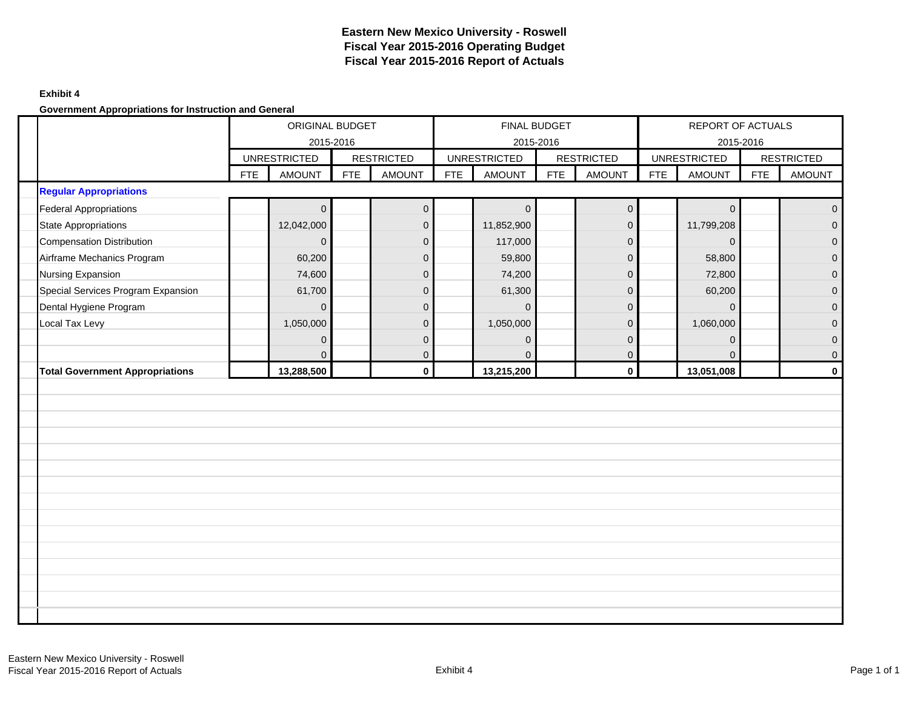### **Exhibit 4**

**Government Appropriations for Instruction and General**

|                                        |            | ORIGINAL BUDGET<br>2015-2016 |            |                   |            | <b>FINAL BUDGET</b><br>2015-2016 |            |                     |            | REPORT OF ACTUALS<br>2015-2016 |            |                     |
|----------------------------------------|------------|------------------------------|------------|-------------------|------------|----------------------------------|------------|---------------------|------------|--------------------------------|------------|---------------------|
|                                        |            | <b>UNRESTRICTED</b>          |            | <b>RESTRICTED</b> |            | <b>UNRESTRICTED</b>              |            | <b>RESTRICTED</b>   |            | <b>UNRESTRICTED</b>            |            | <b>RESTRICTED</b>   |
|                                        | <b>FTE</b> | <b>AMOUNT</b>                | <b>FTE</b> | <b>AMOUNT</b>     | <b>FTE</b> | <b>AMOUNT</b>                    | <b>FTE</b> | <b>AMOUNT</b>       | <b>FTE</b> | <b>AMOUNT</b>                  | <b>FTE</b> | <b>AMOUNT</b>       |
| <b>Regular Appropriations</b>          |            |                              |            |                   |            |                                  |            |                     |            |                                |            |                     |
| <b>Federal Appropriations</b>          |            | $\mathbf{0}$                 |            | $\overline{0}$    |            | $\mathbf{0}$                     |            | $\mathbf{0}$        |            | $\Omega$                       |            | $\overline{0}$      |
| <b>State Appropriations</b>            |            | 12,042,000                   |            | $\mathbf 0$       |            | 11,852,900                       |            | $\mathbf 0$         |            | 11,799,208                     |            | $\overline{0}$      |
| Compensation Distribution              |            | $\Omega$                     |            | $\mathbf{0}$      |            | 117,000                          |            | $\mathbf{0}$        |            | $\Omega$                       |            | $\overline{0}$      |
| Airframe Mechanics Program             |            | 60,200                       |            | $\mathbf{0}$      |            | 59,800                           |            | $\mathbf 0$         |            | 58,800                         |            | $\overline{0}$      |
| Nursing Expansion                      |            | 74,600                       |            | $\mathbf 0$       |            | 74,200                           |            | $\mathsf{O}\xspace$ |            | 72,800                         |            | $\pmb{0}$           |
| Special Services Program Expansion     |            | 61,700                       |            | $\mathbf{0}$      |            | 61,300                           |            | $\mathbf{0}$        |            | 60,200                         |            | $\overline{0}$      |
| Dental Hygiene Program                 |            | $\mathbf{0}$                 |            | $\mathbf 0$       |            | $\mathbf{0}$                     |            | $\mathbf 0$         |            | $\Omega$                       |            | $\mathsf{O}\xspace$ |
| Local Tax Levy                         |            | 1,050,000                    |            | $\mathbf{0}$      |            | 1,050,000                        |            | $\Omega$            |            | 1,060,000                      |            | $\overline{0}$      |
|                                        |            | $\mathbf 0$                  |            | $\mathbf{0}$      |            | $\mathbf 0$                      |            | $\mathbf 0$         |            | $\Omega$                       |            | $\mathbf{O}$        |
|                                        |            | $\Omega$                     |            | $\mathbf 0$       |            | $\mathbf{0}$                     |            | $\mathbf 0$         |            | $\Omega$                       |            | $\mathbf{O}$        |
| <b>Total Government Appropriations</b> |            | 13,288,500                   |            | $\mathbf 0$       |            | 13,215,200                       |            | $\mathbf 0$         |            | 13,051,008                     |            | $\mathbf{0}$        |
|                                        |            |                              |            |                   |            |                                  |            |                     |            |                                |            |                     |
|                                        |            |                              |            |                   |            |                                  |            |                     |            |                                |            |                     |
|                                        |            |                              |            |                   |            |                                  |            |                     |            |                                |            |                     |
|                                        |            |                              |            |                   |            |                                  |            |                     |            |                                |            |                     |
|                                        |            |                              |            |                   |            |                                  |            |                     |            |                                |            |                     |
|                                        |            |                              |            |                   |            |                                  |            |                     |            |                                |            |                     |
|                                        |            |                              |            |                   |            |                                  |            |                     |            |                                |            |                     |
|                                        |            |                              |            |                   |            |                                  |            |                     |            |                                |            |                     |
|                                        |            |                              |            |                   |            |                                  |            |                     |            |                                |            |                     |
|                                        |            |                              |            |                   |            |                                  |            |                     |            |                                |            |                     |
|                                        |            |                              |            |                   |            |                                  |            |                     |            |                                |            |                     |
|                                        |            |                              |            |                   |            |                                  |            |                     |            |                                |            |                     |
|                                        |            |                              |            |                   |            |                                  |            |                     |            |                                |            |                     |
|                                        |            |                              |            |                   |            |                                  |            |                     |            |                                |            |                     |
|                                        |            |                              |            |                   |            |                                  |            |                     |            |                                |            |                     |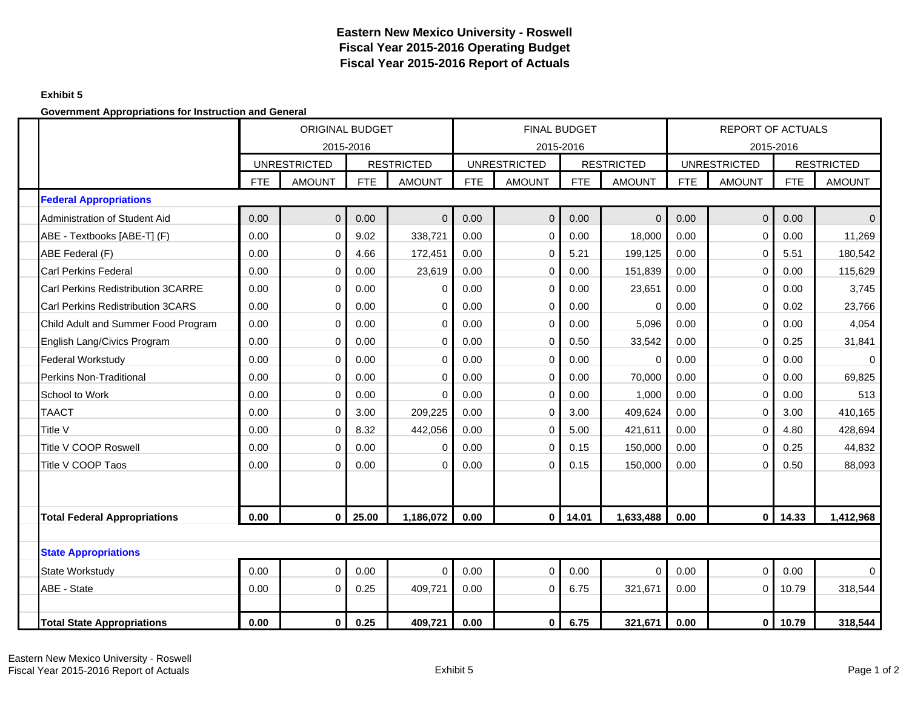## **Exhibit 5**

**Government Appropriations for Instruction and General**

|                                           |      | <b>ORIGINAL BUDGET</b> | 2015-2016  |                   |            | 2015-2016           | <b>FINAL BUDGET</b> |                   |            | <b>REPORT OF ACTUALS</b> | 2015-2016  |                   |
|-------------------------------------------|------|------------------------|------------|-------------------|------------|---------------------|---------------------|-------------------|------------|--------------------------|------------|-------------------|
|                                           |      | <b>UNRESTRICTED</b>    |            | <b>RESTRICTED</b> |            | <b>UNRESTRICTED</b> |                     | <b>RESTRICTED</b> |            | <b>UNRESTRICTED</b>      |            | <b>RESTRICTED</b> |
|                                           | FTE  | <b>AMOUNT</b>          | <b>FTE</b> | <b>AMOUNT</b>     | <b>FTE</b> | <b>AMOUNT</b>       | <b>FTE</b>          | <b>AMOUNT</b>     | <b>FTE</b> | <b>AMOUNT</b>            | <b>FTE</b> | <b>AMOUNT</b>     |
| <b>Federal Appropriations</b>             |      |                        |            |                   |            |                     |                     |                   |            |                          |            |                   |
| Administration of Student Aid             | 0.00 | $\overline{0}$         | 0.00       | $\Omega$          | 0.00       | $\Omega$            | 0.00                | $\Omega$          | 0.00       | $\mathbf{0}$             | 0.00       | $\Omega$          |
| ABE - Textbooks [ABE-T] (F)               | 0.00 | 0                      | 9.02       | 338,721           | 0.00       | 0                   | 0.00                | 18,000            | 0.00       | $\mathbf 0$              | 0.00       | 11,269            |
| ABE Federal (F)                           | 0.00 | 0                      | 4.66       | 172,451           | 0.00       | 0                   | 5.21                | 199,125           | 0.00       | 0                        | 5.51       | 180,542           |
| <b>Carl Perkins Federal</b>               | 0.00 | 0                      | 0.00       | 23,619            | 0.00       | 0                   | 0.00                | 151,839           | 0.00       | $\mathbf 0$              | 0.00       | 115,629           |
| <b>Carl Perkins Redistribution 3CARRE</b> | 0.00 | $\Omega$               | 0.00       | $\Omega$          | 0.00       | $\Omega$            | 0.00                | 23,651            | 0.00       | $\Omega$                 | 0.00       | 3,745             |
| Carl Perkins Redistribution 3CARS         | 0.00 | 0                      | 0.00       | $\mathbf 0$       | 0.00       | 0                   | 0.00                | 0                 | 0.00       | $\mathbf 0$              | 0.02       | 23,766            |
| Child Adult and Summer Food Program       | 0.00 | 0                      | 0.00       | $\Omega$          | 0.00       | $\Omega$            | 0.00                | 5,096             | 0.00       | $\mathbf 0$              | 0.00       | 4,054             |
| English Lang/Civics Program               | 0.00 | 0                      | 0.00       | $\mathbf 0$       | 0.00       | 0                   | 0.50                | 33,542            | 0.00       | $\mathbf 0$              | 0.25       | 31,841            |
| <b>Federal Workstudy</b>                  | 0.00 | 0                      | 0.00       | $\mathbf 0$       | 0.00       | 0                   | 0.00                | $\Omega$          | 0.00       | $\mathbf 0$              | 0.00       | $\Omega$          |
| <b>Perkins Non-Traditional</b>            | 0.00 | 0                      | 0.00       | $\mathbf 0$       | 0.00       | 0                   | 0.00                | 70,000            | 0.00       | $\mathbf 0$              | 0.00       | 69,825            |
| School to Work                            | 0.00 | 0                      | 0.00       | $\Omega$          | 0.00       | $\Omega$            | 0.00                | 1,000             | 0.00       | $\mathbf 0$              | 0.00       | 513               |
| <b>TAACT</b>                              | 0.00 | 0                      | 3.00       | 209,225           | 0.00       | 0                   | 3.00                | 409,624           | 0.00       | $\mathbf 0$              | 3.00       | 410,165           |
| Title V                                   | 0.00 | $\Omega$               | 8.32       | 442,056           | 0.00       | 0                   | 5.00                | 421,611           | 0.00       | $\mathbf 0$              | 4.80       | 428,694           |
| Title V COOP Roswell                      | 0.00 | 0                      | 0.00       | $\mathbf 0$       | 0.00       | 0                   | 0.15                | 150,000           | 0.00       | $\mathbf 0$              | 0.25       | 44,832            |
| Title V COOP Taos                         | 0.00 | $\Omega$               | 0.00       | $\Omega$          | 0.00       | $\Omega$            | 0.15                | 150,000           | 0.00       | $\Omega$                 | 0.50       | 88,093            |
|                                           |      |                        |            |                   |            |                     |                     |                   |            |                          |            |                   |
| <b>Total Federal Appropriations</b>       | 0.00 | 0                      | 25.00      | 1,186,072         | 0.00       | $\mathbf 0$         | 14.01               | 1,633,488         | 0.00       | $\mathbf 0$              | 14.33      | 1,412,968         |
|                                           |      |                        |            |                   |            |                     |                     |                   |            |                          |            |                   |
| <b>State Appropriations</b>               |      |                        |            |                   |            |                     |                     |                   |            |                          |            |                   |
| <b>State Workstudy</b>                    | 0.00 | $\mathbf 0$            | 0.00       | $\Omega$          | 0.00       | $\Omega$            | 0.00                | $\mathbf 0$       | 0.00       | $\overline{0}$           | 0.00       | $\Omega$          |
| ABE - State                               | 0.00 | 0                      | 0.25       | 409,721<br>0.00   |            | 0                   | 6.75                | 321,671           | 0.00       | 0                        | 10.79      | 318,544           |
|                                           |      |                        |            |                   |            |                     |                     |                   |            |                          |            |                   |
| <b>Total State Appropriations</b>         | 0.00 | $\mathbf 0$            | 0.25       | 409,721           | 0.00       | $\mathbf 0$         | 6.75                | 321,671           | 0.00       | $\mathbf 0$              | 10.79      | 318,544           |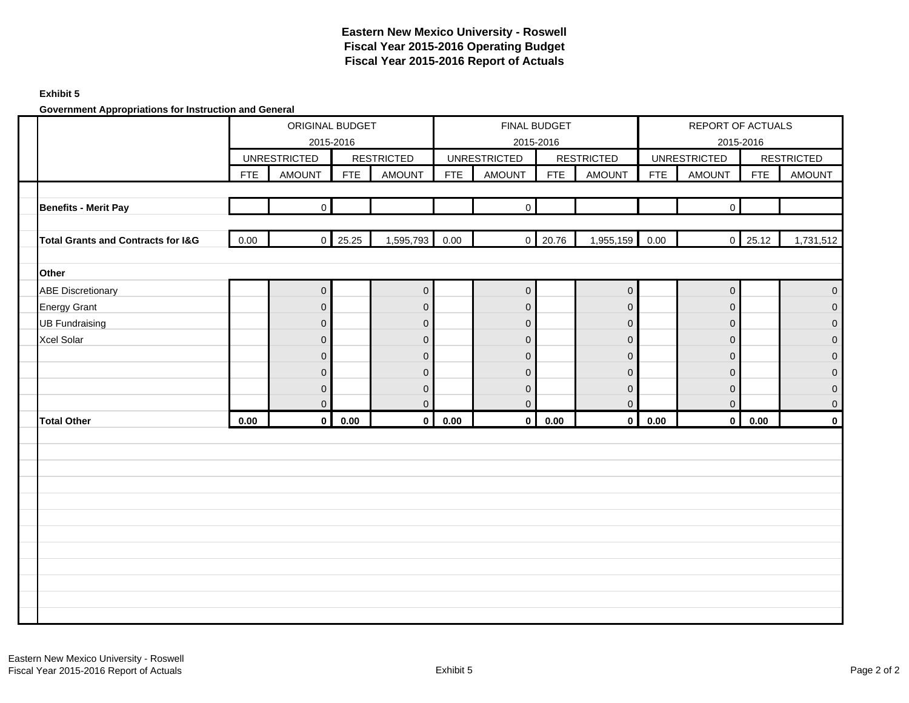### **Exhibit 5**

**Government Appropriations for Instruction and General**

|                                               |      | ORIGINAL BUDGET<br>2015-2016 |            |                   |            | FINAL BUDGET<br>2015-2016 |                |                   |             | REPORT OF ACTUALS   | 2015-2016       |                     |
|-----------------------------------------------|------|------------------------------|------------|-------------------|------------|---------------------------|----------------|-------------------|-------------|---------------------|-----------------|---------------------|
|                                               |      | <b>UNRESTRICTED</b>          |            | <b>RESTRICTED</b> |            | <b>UNRESTRICTED</b>       |                | <b>RESTRICTED</b> |             | <b>UNRESTRICTED</b> |                 | <b>RESTRICTED</b>   |
|                                               | FTE  | <b>AMOUNT</b>                | <b>FTE</b> | AMOUNT            | <b>FTE</b> | <b>AMOUNT</b>             | <b>FTE</b>     | <b>AMOUNT</b>     | ${\sf FTE}$ | <b>AMOUNT</b>       | <b>FTE</b>      | <b>AMOUNT</b>       |
|                                               |      |                              |            |                   |            |                           |                |                   |             |                     |                 |                     |
| <b>Benefits - Merit Pay</b>                   |      | $\overline{0}$               |            |                   |            | $\overline{0}$            |                |                   |             | $\mathbf 0$         |                 |                     |
|                                               |      |                              |            |                   |            |                           |                |                   |             |                     |                 |                     |
| <b>Total Grants and Contracts for I&amp;G</b> | 0.00 | $\overline{0}$               | 25.25      | 1,595,793         | 0.00       |                           | $0\quad 20.76$ | 1,955,159         | 0.00        |                     | $0 \quad 25.12$ | 1,731,512           |
|                                               |      |                              |            |                   |            |                           |                |                   |             |                     |                 |                     |
| Other                                         |      |                              |            |                   |            |                           |                |                   |             |                     |                 |                     |
| <b>ABE Discretionary</b>                      |      | $\mathbf 0$                  |            | $\mathbf 0$       |            | $\overline{0}$            |                | 0                 |             | $\mathbf 0$         |                 | $\mathsf{O}\xspace$ |
| <b>Energy Grant</b>                           |      | $\mathbf 0$                  |            | $\mathbf 0$       |            | $\pmb{0}$                 |                | $\mathbf 0$       |             | $\mathbf 0$         |                 | $\mathsf{O}\xspace$ |
| <b>UB Fundraising</b>                         |      | $\mathbf 0$                  |            | $\mathbf 0$       |            | $\mathbf 0$               |                | $\mathbf 0$       |             | $\mathbf 0$         |                 | $\mathbf{0}$        |
| Xcel Solar                                    |      | $\mathbf 0$                  |            | $\mathbf 0$       |            | $\pmb{0}$                 |                | $\mathbf 0$       |             | $\mathbf 0$         |                 | $\overline{0}$      |
|                                               |      | $\mathbf 0$                  |            | $\mathbf 0$       |            | 0                         |                | $\overline{0}$    |             | $\mathbf 0$         |                 | $\overline{0}$      |
|                                               |      | $\mathbf{0}$                 |            | $\mathbf 0$       |            | $\mathbf 0$               |                | $\Omega$          |             | $\mathbf 0$         |                 | $\overline{0}$      |
|                                               |      | $\mathbf 0$                  |            | $\mathbf 0$       |            | $\pmb{0}$                 |                | $\mathbf 0$       |             | $\mathbf 0$         |                 | $\mathsf{O}\xspace$ |
|                                               |      | $\mathbf 0$                  |            | $\mathbf{0}$      |            | $\Omega$                  |                | $\overline{0}$    |             | $\mathbf 0$         |                 | $\mathsf{O}\xspace$ |
| <b>Total Other</b>                            | 0.00 | $\mathbf 0$                  | 0.00       | $\mathbf 0$       | 0.00       | $\mathbf{0}$              | 0.00           | $\mathbf{0}$      | 0.00        | $\mathbf 0$         | 0.00            | $\pmb{0}$           |
|                                               |      |                              |            |                   |            |                           |                |                   |             |                     |                 |                     |
|                                               |      |                              |            |                   |            |                           |                |                   |             |                     |                 |                     |
|                                               |      |                              |            |                   |            |                           |                |                   |             |                     |                 |                     |
|                                               |      |                              |            |                   |            |                           |                |                   |             |                     |                 |                     |
|                                               |      |                              |            |                   |            |                           |                |                   |             |                     |                 |                     |
|                                               |      |                              |            |                   |            |                           |                |                   |             |                     |                 |                     |
|                                               |      |                              |            |                   |            |                           |                |                   |             |                     |                 |                     |
|                                               |      |                              |            |                   |            |                           |                |                   |             |                     |                 |                     |
|                                               |      |                              |            |                   |            |                           |                |                   |             |                     |                 |                     |
|                                               |      |                              |            |                   |            |                           |                |                   |             |                     |                 |                     |
|                                               |      |                              |            |                   |            |                           |                |                   |             |                     |                 |                     |
|                                               |      |                              |            |                   |            |                           |                |                   |             |                     |                 |                     |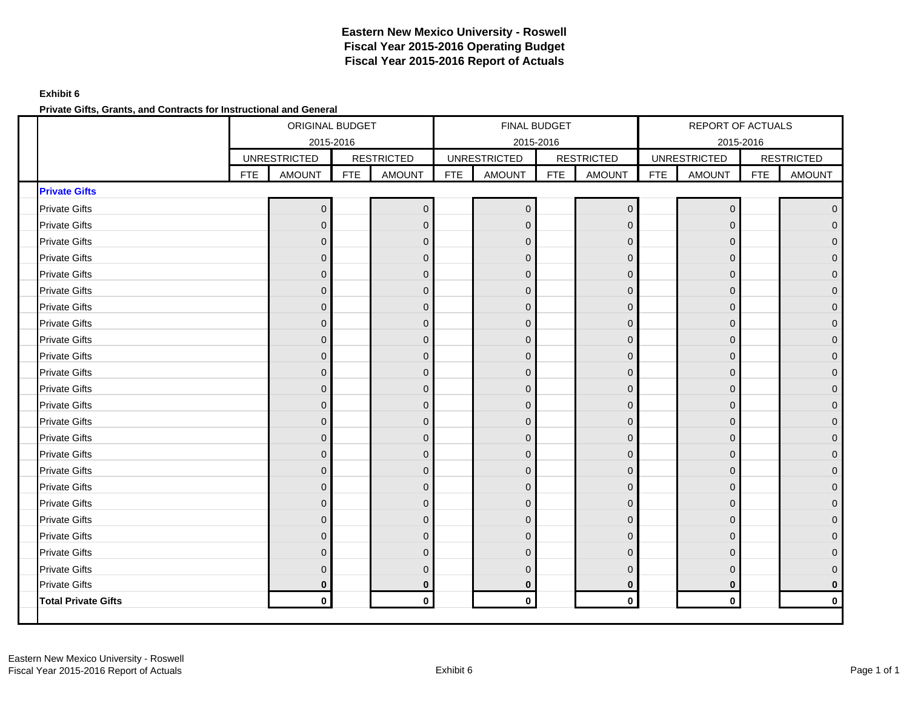## **Exhibit 6**

**Private Gifts, Grants, and Contracts for Instructional and General**

|                            |            | ORIGINAL BUDGET     |            |                   |            | FINAL BUDGET        |            |                   |            | REPORT OF ACTUALS   |            |                     |
|----------------------------|------------|---------------------|------------|-------------------|------------|---------------------|------------|-------------------|------------|---------------------|------------|---------------------|
|                            |            | 2015-2016           |            |                   |            | 2015-2016           |            |                   |            | 2015-2016           |            |                     |
|                            |            | <b>UNRESTRICTED</b> |            | <b>RESTRICTED</b> |            | <b>UNRESTRICTED</b> |            | <b>RESTRICTED</b> |            | <b>UNRESTRICTED</b> |            | <b>RESTRICTED</b>   |
|                            | <b>FTE</b> | <b>AMOUNT</b>       | <b>FTE</b> | <b>AMOUNT</b>     | <b>FTE</b> | <b>AMOUNT</b>       | <b>FTE</b> | <b>AMOUNT</b>     | <b>FTE</b> | <b>AMOUNT</b>       | <b>FTE</b> | <b>AMOUNT</b>       |
| <b>Private Gifts</b>       |            |                     |            |                   |            |                     |            |                   |            |                     |            |                     |
| <b>Private Gifts</b>       |            | $\mathbf{0}$        |            | $\mathbf 0$       |            | $\pmb{0}$           |            | $\mathbf{0}$      |            | $\Omega$            |            | $\overline{0}$      |
| <b>Private Gifts</b>       |            | $\Omega$            |            | $\mathbf 0$       |            | $\mathbf 0$         |            | $\mathbf{0}$      |            | $\Omega$            |            | $\overline{0}$      |
| <b>Private Gifts</b>       |            | $\mathbf{0}$        |            | $\mathbf 0$       |            | $\mathbf 0$         |            | $\mathbf 0$       |            | $\Omega$            |            | $\mathsf{O}\xspace$ |
| <b>Private Gifts</b>       |            | $\Omega$            |            | $\mathbf 0$       |            | $\mathbf 0$         |            | $\mathbf{0}$      |            | $\Omega$            |            | $\overline{0}$      |
| <b>Private Gifts</b>       |            | $\mathbf{0}$        |            | $\pmb{0}$         |            | $\pmb{0}$           |            | $\overline{0}$    |            | $\mathbf{0}$        |            | $\overline{0}$      |
| <b>Private Gifts</b>       |            | $\mathbf{0}$        |            | $\mathbf 0$       |            | $\boldsymbol{0}$    |            | $\mathbf{0}$      |            | $\mathbf{0}$        |            | $\overline{O}$      |
| <b>Private Gifts</b>       |            | $\mathbf{0}$        |            | $\mathbf 0$       |            | $\pmb{0}$           |            | $\mathbf 0$       |            | $\Omega$            |            | $\pmb{0}$           |
| <b>Private Gifts</b>       |            | $\Omega$            |            | $\mathbf 0$       |            | $\mathbf 0$         |            | $\mathbf{0}$      |            | $\Omega$            |            | $\mathbf 0$         |
| <b>Private Gifts</b>       |            | $\Omega$            |            | $\mathbf{0}$      |            | $\mathbf 0$         |            | $\mathbf{0}$      |            | $\Omega$            |            | $\mathbf 0$         |
| <b>Private Gifts</b>       |            | $\Omega$            |            | $\mathbf{0}$      |            | $\overline{0}$      |            | $\overline{0}$    |            | $\Omega$            |            | $\mathbf 0$         |
| <b>Private Gifts</b>       |            | $\mathbf{0}$        |            | $\mathbf 0$       |            | $\mathbf 0$         |            | $\mathbf 0$       |            | $\mathbf{0}$        |            | $\mathsf{O}^-$      |
| <b>Private Gifts</b>       |            | $\mathbf{0}$        |            | $\mathbf 0$       |            | $\mathsf 0$         |            | $\mathbf 0$       |            | $\mathbf{0}$        |            | $\mathsf{O}^-$      |
| <b>Private Gifts</b>       |            | $\mathbf{0}$        |            | $\mathbf 0$       |            | $\boldsymbol{0}$    |            | $\overline{0}$    |            | $\mathbf{0}$        |            | $\pmb{0}$           |
| <b>Private Gifts</b>       |            | $\mathbf{0}$        |            | $\mathbf 0$       |            | $\pmb{0}$           |            | $\mathbf{0}$      |            | $\mathbf{0}$        |            | $\pmb{0}$           |
| <b>Private Gifts</b>       |            | $\mathbf{0}$        |            | $\mathbf 0$       |            | $\boldsymbol{0}$    |            | $\mathbf{0}$      |            | $\mathbf{0}$        |            | $\mathsf{O}^-$      |
| <b>Private Gifts</b>       |            | $\Omega$            |            | $\mathbf 0$       |            | $\mathbf 0$         |            | $\mathbf{0}$      |            | $\Omega$            |            | $\pmb{0}$           |
| <b>Private Gifts</b>       |            | $\Omega$            |            | $\mathbf 0$       |            | $\mathbf 0$         |            | $\overline{0}$    |            | $\Omega$            |            | $\mathbf 0$         |
| <b>Private Gifts</b>       |            | $\Omega$            |            | $\mathbf{0}$      |            | $\mathbf 0$         |            | $\mathbf{0}$      |            | $\Omega$            |            | $\overline{0}$      |
| <b>Private Gifts</b>       |            | $\mathbf{0}$        |            | $\mathbf 0$       |            | $\mathsf 0$         |            | $\mathbf{0}$      |            | $\Omega$            |            | $\mathsf{O}\xspace$ |
| <b>Private Gifts</b>       |            | $\mathbf 0$         |            | $\mathbf 0$       |            | $\mathsf 0$         |            | $\mathbf{0}$      |            | $\mathbf{0}$        |            | $\overline{0}$      |
| <b>Private Gifts</b>       |            | $\mathbf{0}$        |            | $\mathbf 0$       |            | $\pmb{0}$           |            | $\mathbf{0}$      |            | $\mathbf{0}$        |            | $\pmb{0}$           |
| <b>Private Gifts</b>       |            | $\Omega$            |            | $\mathbf 0$       |            | $\pmb{0}$           |            | $\mathbf{0}$      |            | $\Omega$            |            | $\pmb{0}$           |
| <b>Private Gifts</b>       |            | $\Omega$            |            | $\mathbf{0}$      |            | $\mathbf 0$         |            | $\mathbf{0}$      |            | $\Omega$            |            | $\pmb{0}$           |
| <b>Private Gifts</b>       |            | $\mathbf 0$         |            | $\bf{0}$          |            | $\mathbf 0$         |            | $\mathbf{0}$      |            | $\bf{0}$            |            | $\mathbf 0$         |
| <b>Total Private Gifts</b> |            | $\mathbf 0$         |            | $\mathbf 0$       |            | 0                   |            | $\mathbf 0$       |            | $\mathbf{0}$        |            | $\mathbf 0$         |
|                            |            |                     |            |                   |            |                     |            |                   |            |                     |            |                     |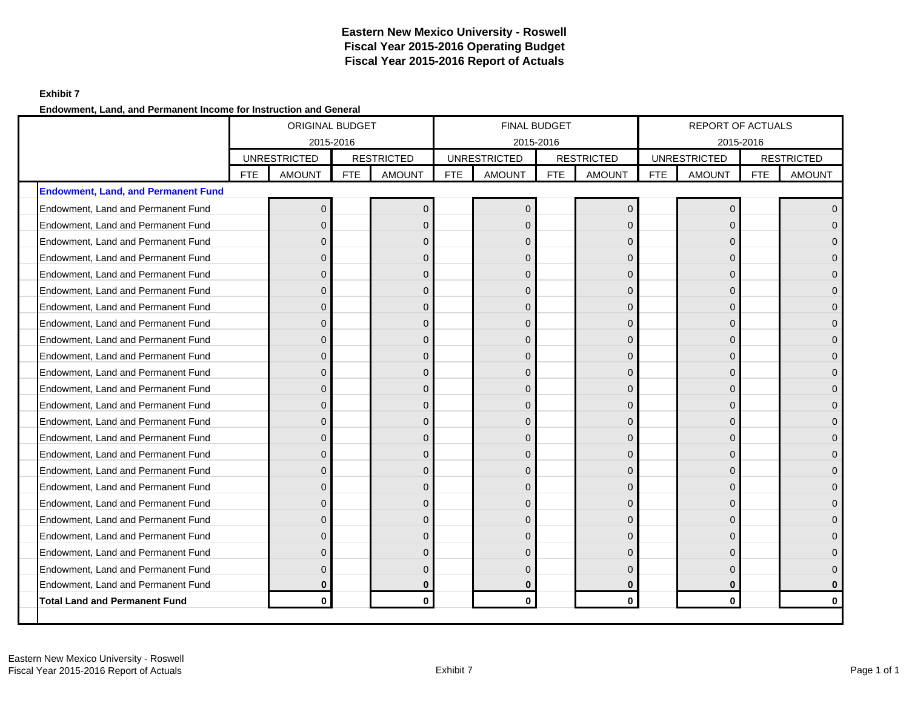## **Exhibit 7**

## **Endowment, Land, and Permanent Income for Instruction and General**

|                                            |      | ORIGINAL BUDGET                  |            |                   |      | <b>FINAL BUDGET</b> |            |                   |            | REPORT OF ACTUALS                |            |                   |
|--------------------------------------------|------|----------------------------------|------------|-------------------|------|---------------------|------------|-------------------|------------|----------------------------------|------------|-------------------|
|                                            |      | 2015-2016<br><b>UNRESTRICTED</b> |            | <b>RESTRICTED</b> |      | <b>UNRESTRICTED</b> | 2015-2016  | <b>RESTRICTED</b> |            | 2015-2016<br><b>UNRESTRICTED</b> |            | <b>RESTRICTED</b> |
|                                            | FTE. | <b>AMOUNT</b>                    | <b>FTE</b> | <b>AMOUNT</b>     | FTE. | <b>AMOUNT</b>       | <b>FTE</b> | <b>AMOUNT</b>     | <b>FTE</b> | <b>AMOUNT</b>                    | <b>FTE</b> | <b>AMOUNT</b>     |
| <b>Endowment, Land, and Permanent Fund</b> |      |                                  |            |                   |      |                     |            |                   |            |                                  |            |                   |
| Endowment, Land and Permanent Fund         |      | $\Omega$                         |            | $\Omega$          |      | $\overline{0}$      |            | $\Omega$          |            | $\Omega$                         |            | $\overline{0}$    |
| Endowment, Land and Permanent Fund         |      | $\Omega$                         |            | $\Omega$          |      | $\overline{0}$      |            | $\Omega$          |            | $\Omega$                         |            | $\overline{0}$    |
| Endowment, Land and Permanent Fund         |      | $\Omega$                         |            | $\Omega$          |      | $\overline{0}$      |            | $\Omega$          |            | $\Omega$                         |            | $\Omega$          |
| Endowment, Land and Permanent Fund         |      | $\mathbf{0}$                     |            | $\mathbf{0}$      |      | $\mathbf 0$         |            | $\Omega$          |            | $\Omega$                         |            | $\overline{0}$    |
| Endowment, Land and Permanent Fund         |      | $\Omega$                         |            | $\mathbf{0}$      |      | $\mathbf 0$         |            | $\Omega$          |            | $\Omega$                         |            | $\mathbf{O}$      |
| Endowment, Land and Permanent Fund         |      | $\Omega$                         |            | $\overline{0}$    |      | $\overline{0}$      |            | $\Omega$          |            | $\Omega$                         |            | $\mathbf{O}$      |
| Endowment, Land and Permanent Fund         |      | $\Omega$                         |            | $\mathbf{0}$      |      | $\mathbf{0}$        |            | $\Omega$          |            | $\Omega$                         |            | $\overline{0}$    |
| Endowment, Land and Permanent Fund         |      | $\Omega$                         |            | $\Omega$          |      | $\mathbf{0}$        |            | $\Omega$          |            | $\Omega$                         |            | $\overline{0}$    |
| Endowment, Land and Permanent Fund         |      | $\Omega$                         |            | $\mathbf 0$       |      | $\overline{0}$      |            | $\Omega$          |            | $\Omega$                         |            | $\overline{0}$    |
| Endowment, Land and Permanent Fund         |      | $\mathbf{0}$                     |            | $\mathbf{0}$      |      | $\overline{0}$      |            | $\Omega$          |            | $\Omega$                         |            | $\mathbf{O}$      |
| Endowment, Land and Permanent Fund         |      | $\Omega$                         |            | $\mathbf{0}$      |      | $\pmb{0}$           |            | $\Omega$          |            | $\Omega$                         |            | $\mathbf{O}$      |
| Endowment, Land and Permanent Fund         |      | $\Omega$                         |            | $\Omega$          |      | $\mathbf 0$         |            | $\Omega$          |            | $\Omega$                         |            | $\overline{0}$    |
| Endowment, Land and Permanent Fund         |      | $\Omega$                         |            | $\mathbf{0}$      |      | $\mathbf{0}$        |            | $\Omega$          |            | $\Omega$                         |            | $\mathbf{O}$      |
| Endowment, Land and Permanent Fund         |      | $\mathbf{0}$                     |            | $\mathbf{0}$      |      | $\mathbf{0}$        |            | $\Omega$          |            | $\Omega$                         |            | $\overline{0}$    |
| Endowment, Land and Permanent Fund         |      | $\Omega$                         |            | $\overline{0}$    |      | $\overline{0}$      |            | $\Omega$          |            | $\Omega$                         |            | $\overline{0}$    |
| Endowment, Land and Permanent Fund         |      | $\Omega$                         |            | $\Omega$          |      | $\mathbf{0}$        |            | $\Omega$          |            | $\Omega$                         |            | $\overline{0}$    |
| Endowment, Land and Permanent Fund         |      | $\Omega$                         |            | $\Omega$          |      | $\mathbf 0$         |            | $\Omega$          |            | $\Omega$                         |            | $\overline{0}$    |
| Endowment, Land and Permanent Fund         |      | $\Omega$                         |            | $\mathbf{0}$      |      | $\mathbf{0}$        |            | $\Omega$          |            | $\Omega$                         |            | $\overline{0}$    |
| Endowment, Land and Permanent Fund         |      | $\Omega$                         |            | $\mathbf{0}$      |      | $\pmb{0}$           |            | $\Omega$          |            | $\Omega$                         |            | $\overline{0}$    |
| Endowment, Land and Permanent Fund         |      | $\Omega$                         |            | $\overline{0}$    |      | $\overline{0}$      |            | $\Omega$          |            | $\Omega$                         |            | $\overline{0}$    |
| Endowment, Land and Permanent Fund         |      | $\Omega$                         |            | $\Omega$          |      | $\mathbf{0}$        |            | $\Omega$          |            | $\Omega$                         |            | $\overline{0}$    |
| Endowment, Land and Permanent Fund         |      | $\Omega$                         |            | $\mathbf{0}$      |      | $\mathbf 0$         |            | $\Omega$          |            | $\Omega$                         |            | $\overline{0}$    |
| Endowment, Land and Permanent Fund         |      | $\Omega$                         |            | $\mathbf{0}$      |      | $\mathbf{0}$        |            | $\Omega$          |            | $\Omega$                         |            | $\mathbf 0$       |
| Endowment, Land and Permanent Fund         |      | 0                                |            | 0                 |      | $\mathbf 0$         |            | $\bf{0}$          |            | $\bf{0}$                         |            | $\mathbf 0$       |
| <b>Total Land and Permanent Fund</b>       |      | $\mathbf{0}$                     |            | $\mathbf{0}$      |      | $\mathbf{0}$        |            | $\bf{0}$          |            | $\mathbf{0}$                     |            | $\mathbf{0}$      |
|                                            |      |                                  |            |                   |      |                     |            |                   |            |                                  |            |                   |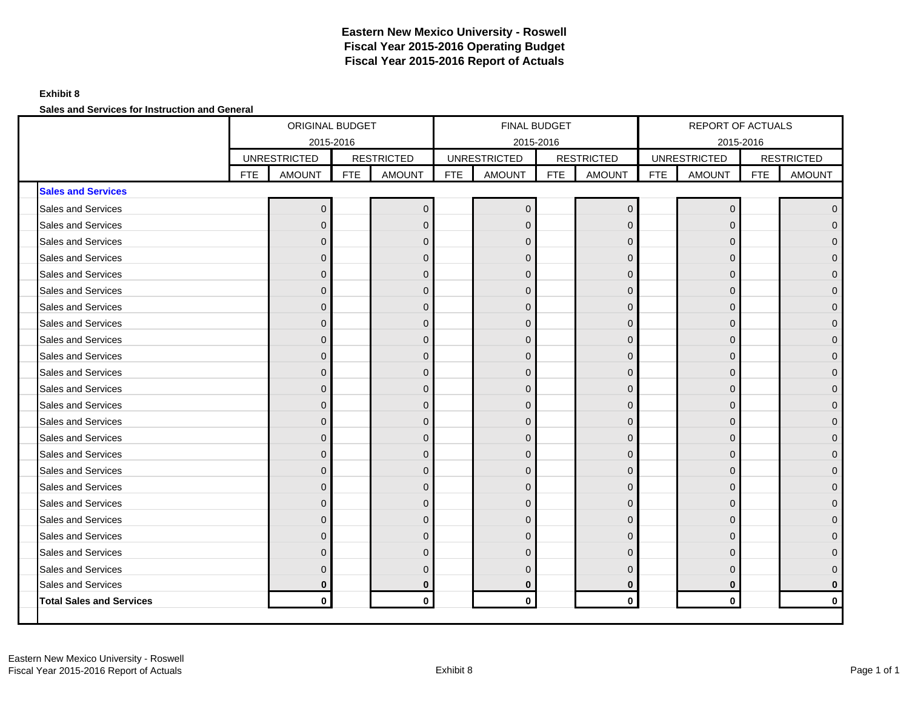## **Exhibit 8**

**Sales and Services for Instruction and General**

|                                 |     | ORIGINAL BUDGET     |            |                   |            | <b>FINAL BUDGET</b> |            |                   |            | REPORT OF ACTUALS   |            |                     |
|---------------------------------|-----|---------------------|------------|-------------------|------------|---------------------|------------|-------------------|------------|---------------------|------------|---------------------|
|                                 |     | 2015-2016           |            |                   |            | 2015-2016           |            |                   |            | 2015-2016           |            |                     |
|                                 |     | <b>UNRESTRICTED</b> |            | <b>RESTRICTED</b> |            | <b>UNRESTRICTED</b> |            | <b>RESTRICTED</b> |            | <b>UNRESTRICTED</b> |            | <b>RESTRICTED</b>   |
|                                 | FTE | <b>AMOUNT</b>       | <b>FTE</b> | <b>AMOUNT</b>     | <b>FTE</b> | <b>AMOUNT</b>       | <b>FTE</b> | <b>AMOUNT</b>     | <b>FTE</b> | <b>AMOUNT</b>       | <b>FTE</b> | <b>AMOUNT</b>       |
| <b>Sales and Services</b>       |     |                     |            |                   |            |                     |            |                   |            |                     |            |                     |
| Sales and Services              |     | $\mathbf 0$         |            | $\mathbf{0}$      |            | $\mathbf 0$         |            | $\mathbf{0}$      |            | $\mathbf 0$         |            | $\overline{0}$      |
| <b>Sales and Services</b>       |     | $\mathbf{0}$        |            | $\Omega$          |            | $\mathbf 0$         |            | $\mathbf{0}$      |            | $\Omega$            |            | $\mathsf{O}\xspace$ |
| <b>Sales and Services</b>       |     | $\mathbf{0}$        |            | $\Omega$          |            | $\mathbf 0$         |            | $\mathbf{0}$      |            | $\Omega$            |            | $\overline{0}$      |
| Sales and Services              |     | $\Omega$            |            | $\Omega$          |            | $\mathbf{0}$        |            | $\Omega$          |            | $\Omega$            |            | $\overline{0}$      |
| Sales and Services              |     | $\Omega$            |            | $\Omega$          |            | $\mathbf 0$         |            | $\Omega$          |            | $\Omega$            |            | $\overline{0}$      |
| Sales and Services              |     | $\mathbf{0}$        |            | $\mathbf{0}$      |            | $\mathbf 0$         |            | $\mathbf{0}$      |            | $\mathbf 0$         |            | $\overline{0}$      |
| Sales and Services              |     | $\mathbf 0$         |            | $\overline{0}$    |            | $\mathbf 0$         |            | $\mathbf{0}$      |            | $\Omega$            |            | $\overline{0}$      |
| Sales and Services              |     | $\Omega$            |            | $\Omega$          |            | $\mathbf 0$         |            | $\Omega$          |            | $\Omega$            |            | $\overline{0}$      |
| Sales and Services              |     | $\Omega$            |            | $\Omega$          |            | $\mathbf 0$         |            | $\Omega$          |            | $\Omega$            |            | $\overline{0}$      |
| <b>Sales and Services</b>       |     | $\Omega$            |            | $\Omega$          |            | $\mathbf 0$         |            | $\mathbf{0}$      |            | $\Omega$            |            | $\overline{0}$      |
| <b>Sales and Services</b>       |     | $\Omega$            |            | $\mathbf{0}$      |            | $\mathbf 0$         |            | $\mathbf{0}$      |            | $\Omega$            |            | $\overline{0}$      |
| Sales and Services              |     | $\mathbf{0}$        |            | $\mathbf{0}$      |            | $\mathbf 0$         |            | $\mathbf{0}$      |            | $\Omega$            |            | $\mathsf{O}\xspace$ |
| Sales and Services              |     | $\Omega$            |            | $\mathbf{0}$      |            | $\overline{0}$      |            | $\Omega$          |            | $\Omega$            |            | $\overline{0}$      |
| <b>Sales and Services</b>       |     | $\mathbf{0}$        |            | $\overline{0}$    |            | $\mathbf{0}$        |            | $\mathbf{0}$      |            | $\Omega$            |            | $\mathbf{0}$        |
| <b>Sales and Services</b>       |     | $\Omega$            |            | $\Omega$          |            | $\mathbf{0}$        |            | $\Omega$          |            | $\Omega$            |            | $\overline{0}$      |
| Sales and Services              |     | $\mathbf{0}$        |            | $\mathbf 0$       |            | $\mathbf 0$         |            | $\mathbf{0}$      |            | $\Omega$            |            | $\mathsf{O}\xspace$ |
| Sales and Services              |     | $\mathbf{0}$        |            | $\Omega$          |            | $\mathbf 0$         |            | $\mathbf{0}$      |            | $\Omega$            |            | $\overline{0}$      |
| <b>Sales and Services</b>       |     | $\Omega$            |            | $\Omega$          |            | $\mathbf 0$         |            | $\Omega$          |            | $\Omega$            |            | $\overline{0}$      |
| Sales and Services              |     | $\Omega$            |            | $\Omega$          |            | $\mathbf 0$         |            | $\Omega$          |            | $\Omega$            |            | $\overline{0}$      |
| <b>Sales and Services</b>       |     | $\Omega$            |            | $\mathbf{0}$      |            | $\mathbf 0$         |            | $\Omega$          |            | $\Omega$            |            | $\overline{0}$      |
| <b>Sales and Services</b>       |     | $\mathbf{0}$        |            | $\overline{0}$    |            | $\mathbf 0$         |            | $\mathbf{0}$      |            | $\Omega$            |            | $\overline{0}$      |
| Sales and Services              |     | $\Omega$            |            | $\mathbf 0$       |            | $\mathbf{0}$        |            | $\mathbf{0}$      |            | $\Omega$            |            | $\overline{0}$      |
| Sales and Services              |     | $\Omega$            |            | $\Omega$          |            | $\mathbf 0$         |            | $\Omega$          |            | $\Omega$            |            | $\mathsf{O}\xspace$ |
| Sales and Services              |     | $\mathbf 0$         |            | $\bf{0}$          |            | $\bf{0}$            |            | $\bf{0}$          |            | $\bf{0}$            |            | $\mathbf 0$         |
| <b>Total Sales and Services</b> |     | $\mathbf 0$         |            | $\mathbf{0}$      |            | $\mathbf{0}$        |            | $\mathbf 0$       |            | $\mathbf{0}$        |            | $\mathbf 0$         |
|                                 |     |                     |            |                   |            |                     |            |                   |            |                     |            |                     |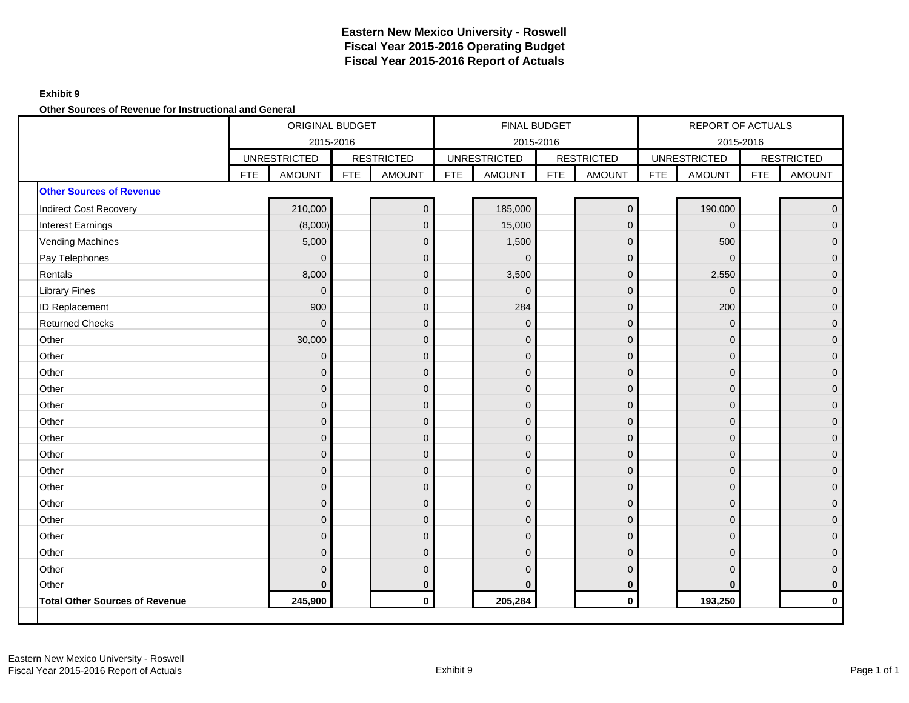### **Exhibit 9**

**Other Sources of Revenue for Instructional and General**

|                                       |            | ORIGINAL BUDGET     |            |                   |            |                     | FINAL BUDGET |                   |            | REPORT OF ACTUALS   |            |                     |
|---------------------------------------|------------|---------------------|------------|-------------------|------------|---------------------|--------------|-------------------|------------|---------------------|------------|---------------------|
|                                       |            | 2015-2016           |            |                   |            | 2015-2016           |              |                   |            | 2015-2016           |            |                     |
|                                       |            | <b>UNRESTRICTED</b> |            | <b>RESTRICTED</b> |            | <b>UNRESTRICTED</b> |              | <b>RESTRICTED</b> |            | <b>UNRESTRICTED</b> |            | <b>RESTRICTED</b>   |
|                                       | <b>FTE</b> | <b>AMOUNT</b>       | <b>FTE</b> | <b>AMOUNT</b>     | <b>FTE</b> | <b>AMOUNT</b>       | <b>FTE</b>   | <b>AMOUNT</b>     | <b>FTE</b> | <b>AMOUNT</b>       | <b>FTE</b> | <b>AMOUNT</b>       |
| <b>Other Sources of Revenue</b>       |            |                     |            |                   |            |                     |              |                   |            |                     |            |                     |
| <b>Indirect Cost Recovery</b>         |            | 210,000             |            | $\mathbf 0$       |            | 185,000             |              | $\overline{0}$    |            | 190,000             |            | $\mathsf{O}\xspace$ |
| Interest Earnings                     |            | (8,000)             |            | $\overline{0}$    |            | 15,000              |              | $\mathbf{0}$      |            | $\Omega$            |            | $\mathbf 0$         |
| <b>Vending Machines</b>               |            | 5,000               |            | $\overline{0}$    |            | 1,500               |              | $\mathbf 0$       |            | 500                 |            | $\mathsf{O}\xspace$ |
| Pay Telephones                        |            | $\Omega$            |            | $\mathbf 0$       |            | $\Omega$            |              | $\mathbf{0}$      |            | $\Omega$            |            | $\overline{0}$      |
| Rentals                               |            | 8,000               |            | $\mathbf 0$       |            | 3,500               |              | $\overline{0}$    |            | 2,550               |            | $\mathsf{O}\xspace$ |
| <b>Library Fines</b>                  |            | $\mathbf{0}$        |            | $\mathbf 0$       |            | $\mathbf 0$         |              | $\overline{0}$    |            | $\mathbf{0}$        |            | $\pmb{0}$           |
| ID Replacement                        |            | 900                 |            | $\overline{0}$    |            | 284                 |              | $\mathbf 0$       |            | 200                 |            | $\pmb{0}$           |
| <b>Returned Checks</b>                |            | $\mathbf{0}$        |            | $\mathbf 0$       |            | $\overline{0}$      |              | $\mathbf{0}$      |            | $\Omega$            |            | $\mathsf{O}\xspace$ |
| Other                                 |            | 30,000              |            | $\mathbf{0}$      |            | $\mathbf 0$         |              | $\mathbf{0}$      |            | $\Omega$            |            | $\mathsf{O}\xspace$ |
| Other                                 |            | $\mathbf{0}$        |            | $\mathbf{0}$      |            | $\overline{0}$      |              | $\overline{0}$    |            | $\Omega$            |            | $\mathbf 0$         |
| Other                                 |            | $\mathbf{0}$        |            | $\mathbf 0$       |            | $\mathbf 0$         |              | $\mathbf{0}$      |            | $\mathbf{0}$        |            | $\mathsf{O}\xspace$ |
| Other                                 |            | $\mathbf 0$         |            | $\mathbf 0$       |            | $\pmb{0}$           |              | $\mathbf 0$       |            | $\mathbf 0$         |            | $\mathsf{O}\xspace$ |
| Other                                 |            | $\overline{0}$      |            | $\mathbf{0}$      |            | $\pmb{0}$           |              | $\overline{0}$    |            | $\mathbf{0}$        |            | $\mathsf{O}\xspace$ |
| Other                                 |            | $\overline{0}$      |            | $\mathbf{0}$      |            | $\mathbf 0$         |              | $\overline{0}$    |            | $\mathbf 0$         |            | $\mathbf 0$         |
| Other                                 |            | $\Omega$            |            | $\mathbf{0}$      |            | $\overline{0}$      |              | $\mathbf{0}$      |            | $\Omega$            |            | $\overline{0}$      |
| Other                                 |            | $\mathbf 0$         |            | $\mathbf 0$       |            | $\pmb{0}$           |              | $\mathbf 0$       |            | $\mathbf 0$         |            | $\mathsf{O}\xspace$ |
| Other                                 |            | $\overline{0}$      |            | $\mathbf 0$       |            | $\pmb{0}$           |              | $\overline{0}$    |            | $\Omega$            |            | $\pmb{0}$           |
| Other                                 |            | $\mathbf{0}$        |            | $\mathbf{0}$      |            | $\pmb{0}$           |              | $\mathbf{0}$      |            | $\Omega$            |            | $\mathsf{O}\xspace$ |
| Other                                 |            | $\mathbf{0}$        |            | $\mathbf{0}$      |            | $\pmb{0}$           |              | $\overline{0}$    |            | $\Omega$            |            | $\pmb{0}$           |
| Other                                 |            | $\mathbf{0}$        |            | $\mathbf{0}$      |            | $\overline{0}$      |              | $\overline{0}$    |            | $\Omega$            |            | $\mathsf{O}\xspace$ |
| Other                                 |            | $\mathbf{0}$        |            | $\mathbf 0$       |            | $\mathbf 0$         |              | $\mathbf{0}$      |            | $\mathbf 0$         |            | $\overline{0}$      |
| Other                                 |            | $\mathbf{0}$        |            | $\mathbf{0}$      |            | $\pmb{0}$           |              | $\mathbf{0}$      |            | $\mathbf{0}$        |            | $\mathsf{O}\xspace$ |
| Other                                 |            | $\mathbf{0}$        |            | $\mathbf{0}$      |            | $\mathbf 0$         |              | $\mathbf{0}$      |            | $\Omega$            |            | $\mathbf 0$         |
| Other                                 |            | $\bf{0}$            |            | $\bf{0}$          |            | $\bf{0}$            |              | $\bf{0}$          |            | $\Omega$            |            | $\mathbf 0$         |
| <b>Total Other Sources of Revenue</b> |            | 245,900             |            | $\mathbf 0$       |            | 205,284             |              | $\mathbf 0$       |            | 193,250             |            | $\mathbf 0$         |
|                                       |            |                     |            |                   |            |                     |              |                   |            |                     |            |                     |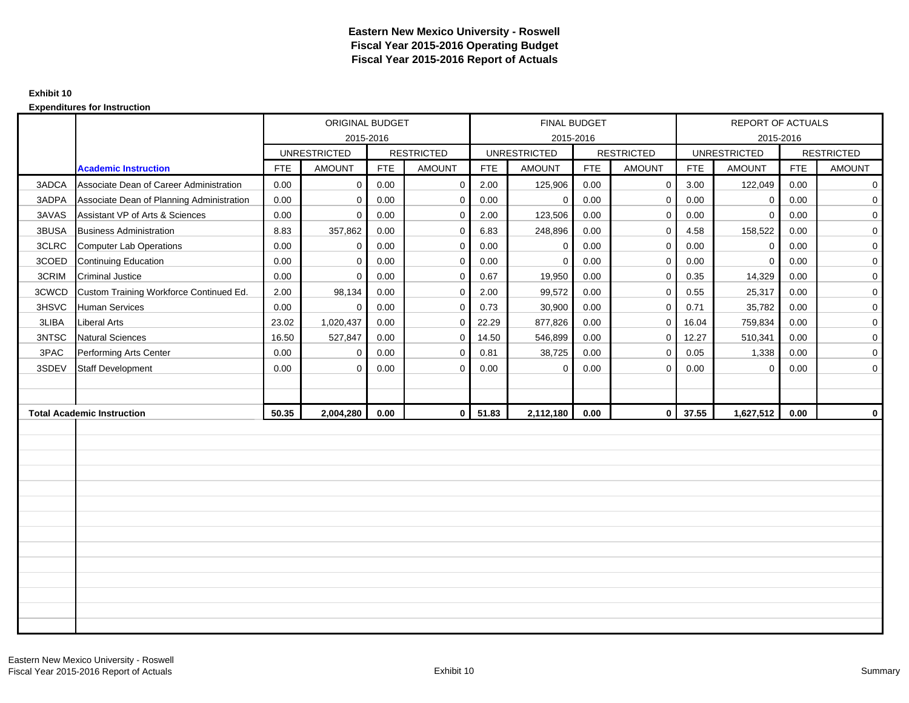### **Exhibit 10**

|       |                                           |            | ORIGINAL BUDGET     |            |                   |            | FINAL BUDGET        |            |                   |            | REPORT OF ACTUALS   |            |                   |
|-------|-------------------------------------------|------------|---------------------|------------|-------------------|------------|---------------------|------------|-------------------|------------|---------------------|------------|-------------------|
|       |                                           |            | 2015-2016           |            |                   |            | 2015-2016           |            |                   |            | 2015-2016           |            |                   |
|       |                                           |            | <b>UNRESTRICTED</b> |            | <b>RESTRICTED</b> |            | <b>UNRESTRICTED</b> |            | <b>RESTRICTED</b> |            | <b>UNRESTRICTED</b> |            | <b>RESTRICTED</b> |
|       | <b>Academic Instruction</b>               | <b>FTE</b> | <b>AMOUNT</b>       | <b>FTE</b> | <b>AMOUNT</b>     | <b>FTE</b> | <b>AMOUNT</b>       | <b>FTE</b> | <b>AMOUNT</b>     | <b>FTE</b> | <b>AMOUNT</b>       | <b>FTE</b> | <b>AMOUNT</b>     |
| 3ADCA | Associate Dean of Career Administration   | 0.00       | $\mathbf{0}$        | 0.00       | $\mathbf 0$       | 2.00       | 125,906             | 0.00       | $\mathbf 0$       | 3.00       | 122,049             | 0.00       | $\mathbf 0$       |
| 3ADPA | Associate Dean of Planning Administration | 0.00       | $\mathbf 0$         | 0.00       | $\Omega$          | 0.00       | 0                   | 0.00       | $\mathbf 0$       | 0.00       | 0                   | 0.00       | $\mathbf 0$       |
| 3AVAS | Assistant VP of Arts & Sciences           | 0.00       | $\mathbf 0$         | 0.00       | $\Omega$          | 2.00       | 123,506             | 0.00       | $\mathbf 0$       | 0.00       | 0                   | 0.00       | $\mathbf 0$       |
| 3BUSA | <b>Business Administration</b>            | 8.83       | 357,862             | 0.00       | $\mathbf 0$       | 6.83       | 248,896             | 0.00       | $\mathbf 0$       | 4.58       | 158,522             | 0.00       | $\mathbf 0$       |
| 3CLRC | Computer Lab Operations                   | 0.00       | 0                   | 0.00       | $\mathbf 0$       | 0.00       | 0                   | 0.00       | $\mathbf 0$       | 0.00       | $\mathbf 0$         | 0.00       | $\mathbf 0$       |
| 3COED | Continuing Education                      | 0.00       | $\mathbf 0$         | 0.00       | $\mathbf 0$       | 0.00       | $\Omega$            | 0.00       | $\mathbf 0$       | 0.00       | $\mathbf 0$         | 0.00       | $\mathbf 0$       |
| 3CRIM | <b>Criminal Justice</b>                   | 0.00       | $\mathbf 0$         | 0.00       | $\mathbf 0$       | 0.67       | 19,950              | 0.00       | $\mathbf 0$       | 0.35       | 14,329              | 0.00       | $\mathbf 0$       |
| 3CWCD | Custom Training Workforce Continued Ed.   | 2.00       | 98,134              | 0.00       | $\Omega$          | 2.00       | 99,572              | 0.00       | $\mathbf 0$       | 0.55       | 25,317              | 0.00       | $\mathbf 0$       |
| 3HSVC | Human Services                            | 0.00       | $\mathbf 0$         | 0.00       | $\mathbf 0$       | 0.73       | 30,900              | 0.00       | $\mathbf{0}$      | 0.71       | 35,782              | 0.00       | $\mathbf 0$       |
| 3LIBA | <b>Liberal Arts</b>                       | 23.02      | 1,020,437           | 0.00       | $\mathbf 0$       | 22.29      | 877,826             | 0.00       | $\overline{0}$    | 16.04      | 759,834             | 0.00       | $\mathbf 0$       |
| 3NTSC | <b>Natural Sciences</b>                   | 16.50      | 527,847             | 0.00       | $\mathbf 0$       | 14.50      | 546,899             | 0.00       | $\mathbf 0$       | 12.27      | 510,341             | 0.00       | $\mathbf 0$       |
| 3PAC  | Performing Arts Center                    | 0.00       | $\mathbf 0$         | 0.00       | $\mathbf 0$       | 0.81       | 38,725              | 0.00       | $\mathbf 0$       | 0.05       | 1,338               | 0.00       | $\mathbf 0$       |
| 3SDEV | Staff Development                         | 0.00       | $\mathbf 0$         | 0.00       | $\Omega$          | 0.00       | 0                   | 0.00       | $\mathbf 0$       | 0.00       | 0                   | 0.00       | $\mathbf 0$       |
|       |                                           |            |                     |            |                   |            |                     |            |                   |            |                     |            |                   |
|       |                                           |            |                     |            |                   |            |                     |            |                   |            |                     |            |                   |
|       | <b>Total Academic Instruction</b>         | 50.35      | 2,004,280           | 0.00       | $\mathbf{0}$      | 51.83      | 2,112,180           | 0.00       | $\mathbf{0}$      | 37.55      | 1,627,512           | 0.00       | $\mathbf{0}$      |
|       |                                           |            |                     |            |                   |            |                     |            |                   |            |                     |            |                   |
|       |                                           |            |                     |            |                   |            |                     |            |                   |            |                     |            |                   |
|       |                                           |            |                     |            |                   |            |                     |            |                   |            |                     |            |                   |
|       |                                           |            |                     |            |                   |            |                     |            |                   |            |                     |            |                   |
|       |                                           |            |                     |            |                   |            |                     |            |                   |            |                     |            |                   |
|       |                                           |            |                     |            |                   |            |                     |            |                   |            |                     |            |                   |
|       |                                           |            |                     |            |                   |            |                     |            |                   |            |                     |            |                   |
|       |                                           |            |                     |            |                   |            |                     |            |                   |            |                     |            |                   |
|       |                                           |            |                     |            |                   |            |                     |            |                   |            |                     |            |                   |
|       |                                           |            |                     |            |                   |            |                     |            |                   |            |                     |            |                   |
|       |                                           |            |                     |            |                   |            |                     |            |                   |            |                     |            |                   |
|       |                                           |            |                     |            |                   |            |                     |            |                   |            |                     |            |                   |
|       |                                           |            |                     |            |                   |            |                     |            |                   |            |                     |            |                   |
|       |                                           |            |                     |            |                   |            |                     |            |                   |            |                     |            |                   |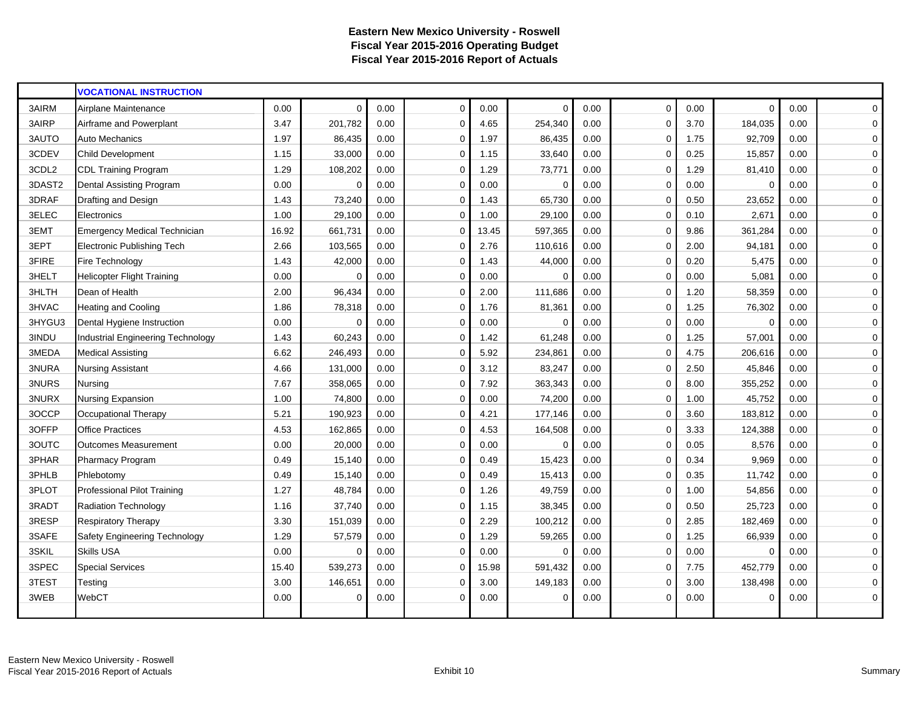|        | <b>VOCATIONAL INSTRUCTION</b>     |       |             |      |             |       |          |      |             |      |             |      |                |
|--------|-----------------------------------|-------|-------------|------|-------------|-------|----------|------|-------------|------|-------------|------|----------------|
| 3AIRM  | Airplane Maintenance              | 0.00  | $\Omega$    | 0.00 | $\mathbf 0$ | 0.00  | $\Omega$ | 0.00 | $\mathbf 0$ | 0.00 | $\mathbf 0$ | 0.00 | $\mathbf 0$    |
| 3AIRP  | Airframe and Powerplant           | 3.47  | 201,782     | 0.00 | $\Omega$    | 4.65  | 254,340  | 0.00 | $\Omega$    | 3.70 | 184,035     | 0.00 | 0              |
| 3AUTO  | Auto Mechanics                    | 1.97  | 86,435      | 0.00 | $\mathbf 0$ | 1.97  | 86,435   | 0.00 | 0           | 1.75 | 92,709      | 0.00 | $\mathbf 0$    |
| 3CDEV  | <b>Child Development</b>          | 1.15  | 33,000      | 0.00 | $\mathbf 0$ | 1.15  | 33,640   | 0.00 | $\mathbf 0$ | 0.25 | 15,857      | 0.00 | $\overline{0}$ |
| 3CDL2  | <b>CDL Training Program</b>       | 1.29  | 108,202     | 0.00 | $\mathbf 0$ | 1.29  | 73,771   | 0.00 | $\Omega$    | 1.29 | 81,410      | 0.00 | $\mathbf 0$    |
| 3DAST2 | Dental Assisting Program          | 0.00  | $\mathbf 0$ | 0.00 | $\mathbf 0$ | 0.00  | $\Omega$ | 0.00 | $\mathbf 0$ | 0.00 | $\mathbf 0$ | 0.00 | 0              |
| 3DRAF  | Drafting and Design               | 1.43  | 73,240      | 0.00 | $\mathbf 0$ | 1.43  | 65,730   | 0.00 | $\mathbf 0$ | 0.50 | 23,652      | 0.00 | $\mathbf 0$    |
| 3ELEC  | Electronics                       | 1.00  | 29,100      | 0.00 | $\mathbf 0$ | 1.00  | 29,100   | 0.00 | $\Omega$    | 0.10 | 2,671       | 0.00 | $\pmb{0}$      |
| 3EMT   | Emergency Medical Technician      | 16.92 | 661,731     | 0.00 | $\mathbf 0$ | 13.45 | 597,365  | 0.00 | $\Omega$    | 9.86 | 361,284     | 0.00 | 0              |
| 3EPT   | Electronic Publishing Tech        | 2.66  | 103,565     | 0.00 | $\mathbf 0$ | 2.76  | 110,616  | 0.00 | $\mathbf 0$ | 2.00 | 94,181      | 0.00 | $\mathbf 0$    |
| 3FIRE  | Fire Technology                   | 1.43  | 42,000      | 0.00 | $\mathbf 0$ | 1.43  | 44,000   | 0.00 | $\mathbf 0$ | 0.20 | 5,475       | 0.00 | $\mathbf 0$    |
| 3HELT  | <b>Helicopter Flight Training</b> | 0.00  | $\Omega$    | 0.00 | $\mathbf 0$ | 0.00  | $\Omega$ | 0.00 | 0           | 0.00 | 5,081       | 0.00 | $\pmb{0}$      |
| 3HLTH  | Dean of Health                    | 2.00  | 96,434      | 0.00 | $\mathbf 0$ | 2.00  | 111,686  | 0.00 | $\mathbf 0$ | 1.20 | 58,359      | 0.00 | $\mathbf 0$    |
| 3HVAC  | <b>Heating and Cooling</b>        | 1.86  | 78,318      | 0.00 | $\mathbf 0$ | 1.76  | 81,361   | 0.00 | $\Omega$    | 1.25 | 76,302      | 0.00 | 0              |
| 3HYGU3 | Dental Hygiene Instruction        | 0.00  | $\Omega$    | 0.00 | $\mathbf 0$ | 0.00  | $\Omega$ | 0.00 | $\mathbf 0$ | 0.00 | $\Omega$    | 0.00 | $\mathbf 0$    |
| 3INDU  | Industrial Engineering Technology | 1.43  | 60,243      | 0.00 | $\mathbf 0$ | 1.42  | 61,248   | 0.00 | $\mathbf 0$ | 1.25 | 57,001      | 0.00 | 0              |
| 3MEDA  | <b>Medical Assisting</b>          | 6.62  | 246,493     | 0.00 | $\Omega$    | 5.92  | 234,861  | 0.00 | $\Omega$    | 4.75 | 206,616     | 0.00 | $\mathbf 0$    |
| 3NURA  | <b>Nursing Assistant</b>          | 4.66  | 131,000     | 0.00 | $\mathbf 0$ | 3.12  | 83,247   | 0.00 | 0           | 2.50 | 45,846      | 0.00 | $\mathbf 0$    |
| 3NURS  | Nursing                           | 7.67  | 358,065     | 0.00 | $\mathbf 0$ | 7.92  | 363,343  | 0.00 | 0           | 8.00 | 355,252     | 0.00 | $\overline{0}$ |
| 3NURX  | Nursing Expansion                 | 1.00  | 74,800      | 0.00 | $\mathbf 0$ | 0.00  | 74,200   | 0.00 | $\Omega$    | 1.00 | 45,752      | 0.00 | 0              |
| 3OCCP  | Occupational Therapy              | 5.21  | 190,923     | 0.00 | $\mathbf 0$ | 4.21  | 177,146  | 0.00 | 0           | 3.60 | 183,812     | 0.00 | 0              |
| 3OFFP  | <b>Office Practices</b>           | 4.53  | 162,865     | 0.00 | $\mathbf 0$ | 4.53  | 164,508  | 0.00 | 0           | 3.33 | 124,388     | 0.00 | 0              |
| 3OUTC  | <b>Outcomes Measurement</b>       | 0.00  | 20,000      | 0.00 | $\Omega$    | 0.00  | $\Omega$ | 0.00 | $\Omega$    | 0.05 | 8,576       | 0.00 | 0              |
| 3PHAR  | Pharmacy Program                  | 0.49  | 15,140      | 0.00 | $\mathbf 0$ | 0.49  | 15,423   | 0.00 | $\mathbf 0$ | 0.34 | 9,969       | 0.00 | 0              |
| 3PHLB  | Phlebotomy                        | 0.49  | 15,140      | 0.00 | $\mathbf 0$ | 0.49  | 15,413   | 0.00 | $\Omega$    | 0.35 | 11,742      | 0.00 | $\pmb{0}$      |
| 3PLOT  | Professional Pilot Training       | 1.27  | 48,784      | 0.00 | $\mathbf 0$ | 1.26  | 49,759   | 0.00 | 0           | 1.00 | 54,856      | 0.00 | 0              |
| 3RADT  | <b>Radiation Technology</b>       | 1.16  | 37,740      | 0.00 | $\mathbf 0$ | 1.15  | 38,345   | 0.00 | 0           | 0.50 | 25,723      | 0.00 | $\mathbf 0$    |
| 3RESP  | <b>Respiratory Therapy</b>        | 3.30  | 151,039     | 0.00 | $\mathbf 0$ | 2.29  | 100,212  | 0.00 | $\Omega$    | 2.85 | 182,469     | 0.00 | $\mathbf 0$    |
| 3SAFE  | Safety Engineering Technology     | 1.29  | 57,579      | 0.00 | $\mathbf 0$ | 1.29  | 59,265   | 0.00 | $\mathbf 0$ | 1.25 | 66,939      | 0.00 | 0              |
| 3SKIL  | Skills USA                        | 0.00  | $\Omega$    | 0.00 | $\mathbf 0$ | 0.00  | $\Omega$ | 0.00 | $\Omega$    | 0.00 | $\Omega$    | 0.00 | 0              |
| 3SPEC  | <b>Special Services</b>           | 15.40 | 539,273     | 0.00 | $\Omega$    | 15.98 | 591,432  | 0.00 | $\Omega$    | 7.75 | 452,779     | 0.00 | 0              |
| 3TEST  | Testing                           | 3.00  | 146,651     | 0.00 | $\mathbf 0$ | 3.00  | 149,183  | 0.00 | 0           | 3.00 | 138,498     | 0.00 | $\pmb{0}$      |
| 3WEB   | WebCT                             | 0.00  | $\mathbf 0$ | 0.00 | $\mathbf 0$ | 0.00  | $\Omega$ | 0.00 | 0           | 0.00 | $\mathbf 0$ | 0.00 | 0              |
|        |                                   |       |             |      |             |       |          |      |             |      |             |      |                |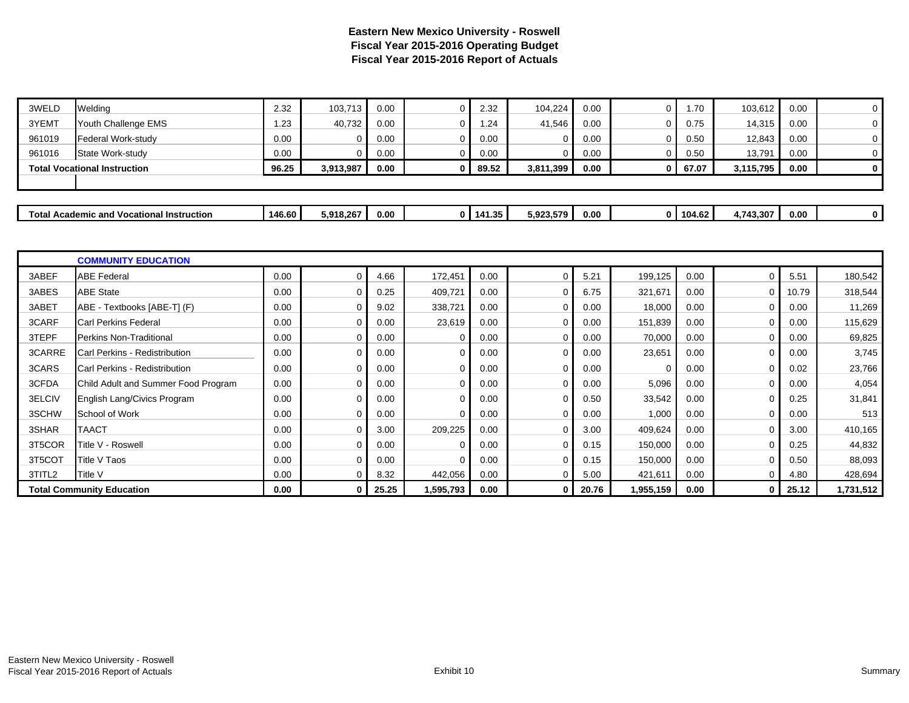| 3WELD  | Welding                                          | 2.32   | 103.713   | 0.00 | 0            | 2.32   | 104.224   | 0.00 | 1.70     | 103,612   | 0.00 | $\overline{0}$ |
|--------|--------------------------------------------------|--------|-----------|------|--------------|--------|-----------|------|----------|-----------|------|----------------|
| 3YEMT  | Youth Challenge EMS                              | 1.23   | 40,732    | 0.00 |              | 1.24   | 41,546    | 0.00 | 0.75     | 14,315    | 0.00 | 0              |
| 961019 | Federal Work-study                               | 0.00   |           | 0.00 | 0            | 0.00   |           | 0.00 | 0.50     | 12,843    | 0.00 | 0              |
| 961016 | State Work-study                                 | 0.00   |           | 0.00 | ŋ            | 0.00   |           | 0.00 | 0.50     | 13,791    | 0.00 | 0              |
|        | <b>Total Vocational Instruction</b>              | 96.25  | 3,913,987 | 0.00 |              | 89.52  | 3,811,399 | 0.00 | 67.07    | 3,115,795 | 0.00 | $\mathbf 0$    |
|        |                                                  |        |           |      |              |        |           |      |          |           |      |                |
|        |                                                  |        |           |      |              |        |           |      |          |           |      |                |
|        | <b>Total Academic and Vocational Instruction</b> | 146.60 | 5,918,267 | 0.00 | $\mathbf{0}$ | 141.35 | 5,923,579 | 0.00 | 0 104.62 | 4,743,307 | 0.00 | $\mathbf 0$    |

|        | <b>COMMUNITY EDUCATION</b>          |      |          |       |           |      |          |       |           |      |                |       |           |
|--------|-------------------------------------|------|----------|-------|-----------|------|----------|-------|-----------|------|----------------|-------|-----------|
| 3ABEF  | <b>ABE Federal</b>                  | 0.00 |          | 4.66  | 172,451   | 0.00 |          | 5.21  | 199,125   | 0.00 |                | 5.51  | 180,542   |
| 3ABES  | <b>ABE State</b>                    | 0.00 |          | 0.25  | 409,721   | 0.00 | 0        | 6.75  | 321,671   | 0.00 | $\overline{0}$ | 10.79 | 318,544   |
| 3ABET  | ABE - Textbooks [ABE-T] (F)         | 0.00 |          | 9.02  | 338,721   | 0.00 | $\Omega$ | 0.00  | 18,000    | 0.00 | $\Omega$       | 0.00  | 11,269    |
| 3CARF  | <b>Carl Perkins Federal</b>         | 0.00 |          | 0.00  | 23,619    | 0.00 | 0        | 0.00  | 151,839   | 0.00 | $\Omega$       | 0.00  | 115,629   |
| 3TEPF  | Perkins Non-Traditional             | 0.00 |          | 0.00  |           | 0.00 | $\Omega$ | 0.00  | 70,000    | 0.00 |                | 0.00  | 69,825    |
| 3CARRE | Carl Perkins - Redistribution       | 0.00 | $\Omega$ | 0.00  | 0         | 0.00 | $\Omega$ | 0.00  | 23,651    | 0.00 | $\Omega$       | 0.00  | 3,745     |
| 3CARS  | Carl Perkins - Redistribution       | 0.00 | $\Omega$ | 0.00  | 0         | 0.00 | $\Omega$ | 0.00  | $\Omega$  | 0.00 | 0              | 0.02  | 23,766    |
| 3CFDA  | Child Adult and Summer Food Program | 0.00 | $\Omega$ | 0.00  | 0         | 0.00 | 0        | 0.00  | 5,096     | 0.00 | $\Omega$       | 0.00  | 4,054     |
| 3ELCIV | English Lang/Civics Program         | 0.00 | $\Omega$ | 0.00  | $\Omega$  | 0.00 | $\Omega$ | 0.50  | 33,542    | 0.00 | $\Omega$       | 0.25  | 31,841    |
| 3SCHW  | School of Work                      | 0.00 | $\Omega$ | 0.00  | 0         | 0.00 | 0        | 0.00  | 1,000     | 0.00 | $\Omega$       | 0.00  | 513       |
| 3SHAR  | <b>TAACT</b>                        | 0.00 | $\Omega$ | 3.00  | 209,225   | 0.00 | 0        | 3.00  | 409,624   | 0.00 | $\Omega$       | 3.00  | 410,165   |
| 3T5COR | Title V - Roswell                   | 0.00 |          | 0.00  |           | 0.00 | $\Omega$ | 0.15  | 150,000   | 0.00 | 0              | 0.25  | 44,832    |
| 3T5COT | Title V Taos                        | 0.00 | $\Omega$ | 0.00  | 0         | 0.00 | 0        | 0.15  | 150,000   | 0.00 | $\Omega$       | 0.50  | 88,093    |
| 3TITL2 | Title V                             | 0.00 |          | 8.32  | 442,056   | 0.00 | $\Omega$ | 5.00  | 421,611   | 0.00 | $\Omega$       | 4.80  | 428,694   |
|        | <b>Total Community Education</b>    | 0.00 |          | 25.25 | 1,595,793 | 0.00 | 0        | 20.76 | 1,955,159 | 0.00 | $\overline{0}$ | 25.12 | 1,731,512 |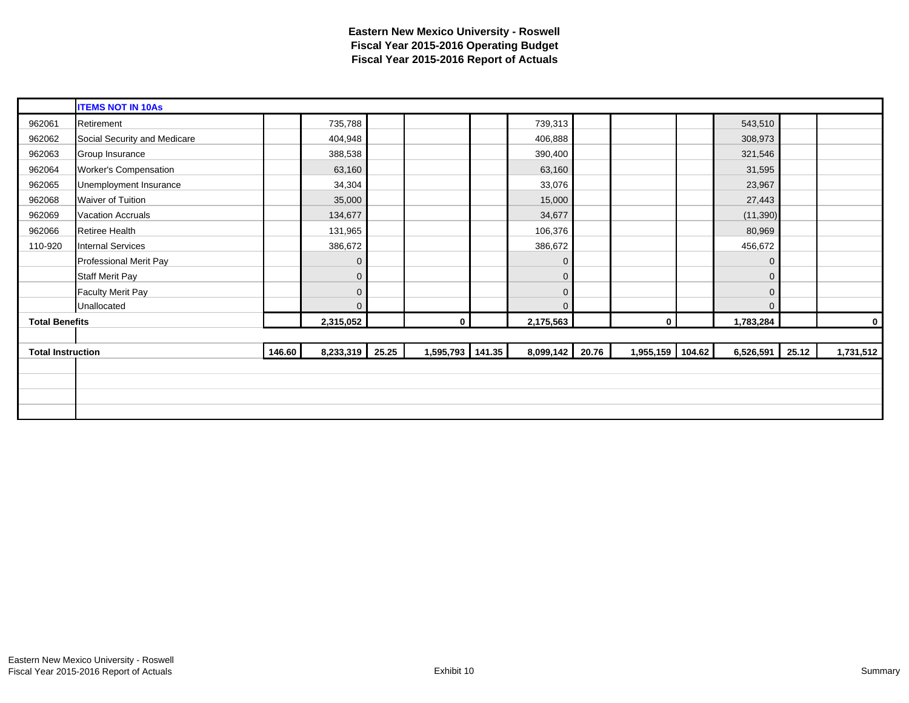|                          | <b>ITEMS NOT IN 10As</b>     |        |             |       |                  |           |       |                  |                 |             |
|--------------------------|------------------------------|--------|-------------|-------|------------------|-----------|-------|------------------|-----------------|-------------|
| 962061                   | Retirement                   |        | 735,788     |       |                  | 739,313   |       |                  | 543,510         |             |
| 962062                   | Social Security and Medicare |        | 404,948     |       |                  | 406,888   |       |                  | 308,973         |             |
| 962063                   | Group Insurance              |        | 388,538     |       |                  | 390,400   |       |                  | 321,546         |             |
| 962064                   | <b>Worker's Compensation</b> |        | 63,160      |       |                  | 63,160    |       |                  | 31,595          |             |
| 962065                   | Unemployment Insurance       |        | 34,304      |       |                  | 33,076    |       |                  | 23,967          |             |
| 962068                   | Waiver of Tuition            |        | 35,000      |       |                  | 15,000    |       |                  | 27,443          |             |
| 962069                   | <b>Vacation Accruals</b>     |        | 134,677     |       |                  | 34,677    |       |                  | (11, 390)       |             |
| 962066                   | Retiree Health               |        | 131,965     |       |                  | 106,376   |       |                  | 80,969          |             |
| 110-920                  | <b>Internal Services</b>     |        | 386,672     |       |                  | 386,672   |       |                  | 456,672         |             |
|                          | Professional Merit Pay       |        | $\Omega$    |       |                  | 0         |       |                  | $\mathbf{0}$    |             |
|                          | <b>Staff Merit Pay</b>       |        | $\mathbf 0$ |       |                  | $\Omega$  |       |                  | $\mathbf 0$     |             |
|                          | <b>Faculty Merit Pay</b>     |        | $\mathbf 0$ |       |                  | 0         |       |                  | $\mathbf{0}$    |             |
|                          | Unallocated                  |        | $\Omega$    |       |                  | 0         |       |                  | $\mathbf{0}$    |             |
| <b>Total Benefits</b>    |                              |        | 2,315,052   |       | 0                | 2,175,563 |       | $\mathbf 0$      | 1,783,284       | $\mathbf 0$ |
|                          |                              |        |             |       |                  |           |       |                  |                 |             |
| <b>Total Instruction</b> |                              | 146.60 | 8,233,319   | 25.25 | 1,595,793 141.35 | 8,099,142 | 20.76 | 1,955,159 104.62 | 6,526,591 25.12 | 1,731,512   |
|                          |                              |        |             |       |                  |           |       |                  |                 |             |
|                          |                              |        |             |       |                  |           |       |                  |                 |             |
|                          |                              |        |             |       |                  |           |       |                  |                 |             |
|                          |                              |        |             |       |                  |           |       |                  |                 |             |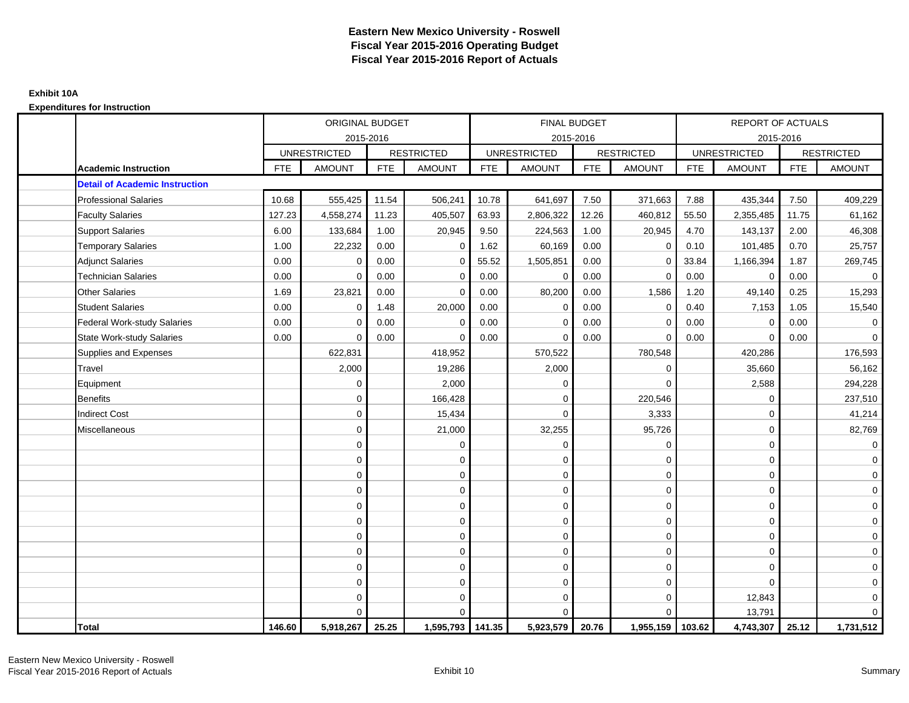|                                       |            | <b>ORIGINAL BUDGET</b> |            |                   |            | <b>FINAL BUDGET</b> |            |                   |            | <b>REPORT OF ACTUALS</b> |            |                     |
|---------------------------------------|------------|------------------------|------------|-------------------|------------|---------------------|------------|-------------------|------------|--------------------------|------------|---------------------|
|                                       |            | 2015-2016              |            |                   |            | 2015-2016           |            |                   |            | 2015-2016                |            |                     |
|                                       |            | <b>UNRESTRICTED</b>    |            | <b>RESTRICTED</b> |            | <b>UNRESTRICTED</b> |            | <b>RESTRICTED</b> |            | <b>UNRESTRICTED</b>      |            | <b>RESTRICTED</b>   |
| <b>Academic Instruction</b>           | <b>FTE</b> | <b>AMOUNT</b>          | <b>FTE</b> | <b>AMOUNT</b>     | <b>FTE</b> | <b>AMOUNT</b>       | <b>FTE</b> | <b>AMOUNT</b>     | <b>FTE</b> | <b>AMOUNT</b>            | <b>FTE</b> | <b>AMOUNT</b>       |
| <b>Detail of Academic Instruction</b> |            |                        |            |                   |            |                     |            |                   |            |                          |            |                     |
| <b>Professional Salaries</b>          | 10.68      | 555,425                | 11.54      | 506,241           | 10.78      | 641,697             | 7.50       | 371,663           | 7.88       | 435,344                  | 7.50       | 409,229             |
| <b>Faculty Salaries</b>               | 127.23     | 4,558,274              | 11.23      | 405,507           | 63.93      | 2,806,322           | 12.26      | 460,812           | 55.50      | 2,355,485                | 11.75      | 61,162              |
| <b>Support Salaries</b>               | 6.00       | 133,684                | 1.00       | 20,945            | 9.50       | 224,563             | 1.00       | 20,945            | 4.70       | 143,137                  | 2.00       | 46,308              |
| <b>Temporary Salaries</b>             | 1.00       | 22,232                 | 0.00       | 0                 | 1.62       | 60,169              | 0.00       | 0                 | 0.10       | 101,485                  | 0.70       | 25,757              |
| <b>Adjunct Salaries</b>               | 0.00       | $\mathbf 0$            | 0.00       | $\Omega$          | 55.52      | 1,505,851           | 0.00       | $\mathbf 0$       | 33.84      | 1,166,394                | 1.87       | 269,745             |
| <b>Technician Salaries</b>            | 0.00       | $\mathbf 0$            | 0.00       | $\Omega$          | 0.00       | 0                   | 0.00       | $\mathbf 0$       | 0.00       | $\mathbf 0$              | 0.00       | $\mathbf 0$         |
| <b>Other Salaries</b>                 | 1.69       | 23,821                 | 0.00       | $\Omega$          | 0.00       | 80,200              | 0.00       | 1,586             | 1.20       | 49,140                   | 0.25       | 15,293              |
| <b>Student Salaries</b>               | 0.00       | $\mathbf 0$            | 1.48       | 20,000            | 0.00       | $\mathbf 0$         | 0.00       | $\mathbf 0$       | 0.40       | 7,153                    | 1.05       | 15,540              |
| Federal Work-study Salaries           | 0.00       | $\mathbf 0$            | 0.00       | $\mathbf 0$       | 0.00       | $\Omega$            | 0.00       | $\mathbf 0$       | 0.00       | $\mathbf 0$              | 0.00       | $\mathbf 0$         |
| <b>State Work-study Salaries</b>      | 0.00       | $\mathbf 0$            | 0.00       | $\Omega$          | 0.00       | 0                   | 0.00       | $\mathbf 0$       | 0.00       | $\mathbf 0$              | 0.00       | $\mathbf 0$         |
| Supplies and Expenses                 |            | 622,831                |            | 418,952           |            | 570,522             |            | 780,548           |            | 420,286                  |            | 176,593             |
| Travel                                |            | 2,000                  |            | 19,286            |            | 2,000               |            | $\mathbf 0$       |            | 35,660                   |            | 56,162              |
| Equipment                             |            | $\mathbf 0$            |            | 2,000             |            | $\mathbf 0$         |            | $\Omega$          |            | 2,588                    |            | 294,228             |
| <b>Benefits</b>                       |            | $\Omega$               |            | 166,428           |            | $\Omega$            |            | 220,546           |            | $\mathbf 0$              |            | 237,510             |
| <b>Indirect Cost</b>                  |            | $\Omega$               |            | 15,434            |            | $\Omega$            |            | 3,333             |            | $\mathbf 0$              |            | 41,214              |
| Miscellaneous                         |            | $\mathbf 0$            |            | 21,000            |            | 32,255              |            | 95,726            |            | $\mathbf 0$              |            | 82,769              |
|                                       |            | $\mathbf 0$            |            | 0                 |            | $\mathbf 0$         |            | $\mathbf 0$       |            | $\mathbf 0$              |            | $\overline{0}$      |
|                                       |            | $\mathbf 0$            |            | $\mathbf 0$       |            | $\mathbf 0$         |            | $\mathbf 0$       |            | $\mathbf 0$              |            | $\overline{0}$      |
|                                       |            | $\mathbf 0$            |            | $\mathbf 0$       |            | $\mathbf 0$         |            | $\mathbf 0$       |            | $\mathbf 0$              |            | $\overline{0}$      |
|                                       |            | $\mathbf 0$            |            | 0                 |            | 0                   |            | $\mathbf 0$       |            | $\mathbf 0$              |            | $\mathbf 0$         |
|                                       |            | $\Omega$               |            | $\mathbf 0$       |            | $\mathbf 0$         |            | $\mathbf 0$       |            | $\Omega$                 |            | $\mathsf{O}\xspace$ |
|                                       |            | $\mathbf 0$            |            | $\mathbf 0$       |            | $\Omega$            |            | $\mathbf 0$       |            | $\Omega$                 |            | $\mathbf 0$         |
|                                       |            | $\mathbf 0$            |            | $\mathbf 0$       |            | $\mathbf 0$         |            | $\mathbf 0$       |            | $\mathbf 0$              |            | $\mathbf 0$         |
|                                       |            | $\mathbf 0$            |            | $\mathbf 0$       |            | $\Omega$            |            | $\mathbf 0$       |            | $\mathbf 0$              |            | $\mathbf 0$         |
|                                       |            | $\mathbf 0$            |            | $\mathbf 0$       |            | $\Omega$            |            | $\mathbf 0$       |            | $\Omega$                 |            | $\mathbf 0$         |
|                                       |            | $\mathbf 0$            |            | $\mathbf 0$       |            | $\mathbf 0$         |            | $\mathbf 0$       |            | $\mathbf 0$              |            | $\mathbf 0$         |
|                                       |            | $\mathbf 0$            |            | 0                 |            | $\mathbf 0$         |            | $\mathbf 0$       |            | 12,843                   |            | $\mathbf 0$         |
|                                       |            | $\Omega$               |            | $\Omega$          |            | $\Omega$            |            | $\mathbf 0$       |            | 13,791                   |            | $\overline{0}$      |
| Total                                 | 146.60     | 5,918,267              | 25.25      | 1,595,793 141.35  |            | 5,923,579           | 20.76      | 1,955,159 103.62  |            | 4,743,307                | 25.12      | 1,731,512           |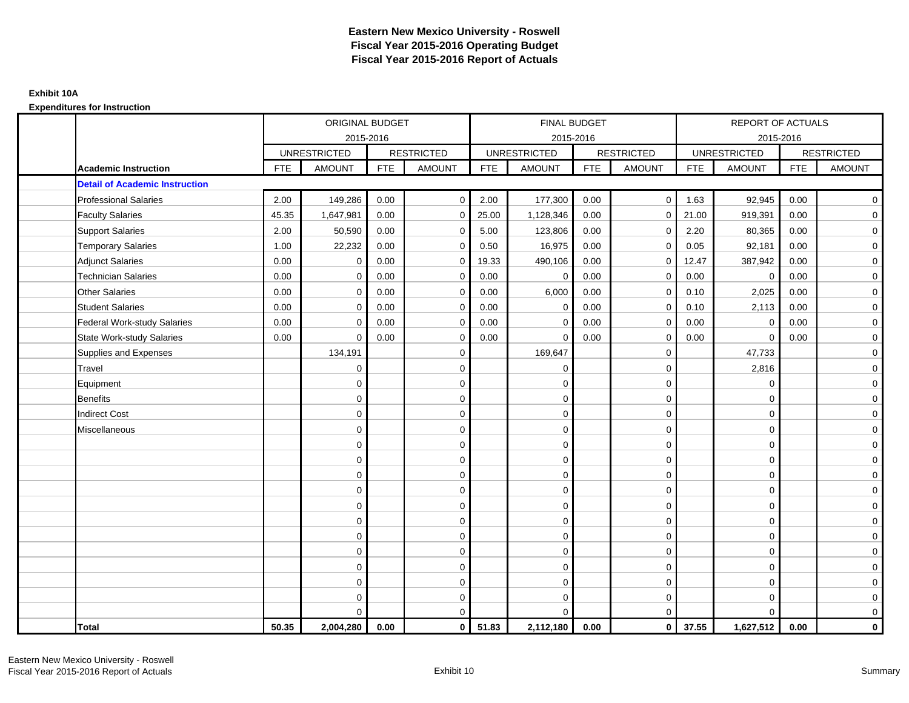|                                       |            | ORIGINAL BUDGET     |            |                   |            | <b>FINAL BUDGET</b> |            |                   |            | <b>REPORT OF ACTUALS</b> |            |                     |
|---------------------------------------|------------|---------------------|------------|-------------------|------------|---------------------|------------|-------------------|------------|--------------------------|------------|---------------------|
|                                       |            | 2015-2016           |            |                   |            | 2015-2016           |            |                   |            | 2015-2016                |            |                     |
|                                       |            | <b>UNRESTRICTED</b> |            | <b>RESTRICTED</b> |            | <b>UNRESTRICTED</b> |            | <b>RESTRICTED</b> |            | <b>UNRESTRICTED</b>      |            | <b>RESTRICTED</b>   |
| <b>Academic Instruction</b>           | <b>FTE</b> | <b>AMOUNT</b>       | <b>FTE</b> | <b>AMOUNT</b>     | <b>FTE</b> | <b>AMOUNT</b>       | <b>FTE</b> | <b>AMOUNT</b>     | <b>FTE</b> | <b>AMOUNT</b>            | <b>FTE</b> | <b>AMOUNT</b>       |
| <b>Detail of Academic Instruction</b> |            |                     |            |                   |            |                     |            |                   |            |                          |            |                     |
| <b>Professional Salaries</b>          | 2.00       | 149,286             | 0.00       | $\mathbf 0$       | 2.00       | 177,300             | 0.00       | $\mathbf 0$       | 1.63       | 92,945                   | 0.00       | $\mathbf 0$         |
| <b>Faculty Salaries</b>               | 45.35      | 1,647,981           | 0.00       | $\mathbf 0$       | 25.00      | 1,128,346           | 0.00       | $\Omega$          | 21.00      | 919,391                  | 0.00       | $\mathbf 0$         |
| <b>Support Salaries</b>               | 2.00       | 50,590              | 0.00       | $\mathbf 0$       | 5.00       | 123,806             | 0.00       | $\mathbf 0$       | 2.20       | 80,365                   | 0.00       | $\mathbf 0$         |
| <b>Temporary Salaries</b>             | 1.00       | 22,232              | 0.00       | $\mathbf 0$       | 0.50       | 16,975              | 0.00       | $\mathbf 0$       | 0.05       | 92,181                   | 0.00       | $\mathbf 0$         |
| <b>Adjunct Salaries</b>               | 0.00       | $\Omega$            | 0.00       | $\mathbf 0$       | 19.33      | 490,106             | 0.00       | $\mathbf 0$       | 12.47      | 387,942                  | 0.00       | $\mathbf 0$         |
| <b>Technician Salaries</b>            | 0.00       | $\Omega$            | 0.00       | $\Omega$          | 0.00       | $\mathbf 0$         | 0.00       | $\Omega$          | 0.00       | $\mathbf 0$              | 0.00       | $\mathbf 0$         |
| <b>Other Salaries</b>                 | 0.00       | $\mathbf 0$         | 0.00       | $\mathbf 0$       | 0.00       | 6,000               | 0.00       | $\mathbf 0$       | 0.10       | 2,025                    | 0.00       | 0                   |
| <b>Student Salaries</b>               | 0.00       | $\mathbf 0$         | 0.00       | $\mathbf 0$       | 0.00       | $\mathbf 0$         | 0.00       | $\mathbf 0$       | 0.10       | 2,113                    | 0.00       | $\mathbf 0$         |
| <b>Federal Work-study Salaries</b>    | 0.00       | $\Omega$            | 0.00       | $\mathbf 0$       | 0.00       | $\Omega$            | 0.00       | $\Omega$          | 0.00       | $\mathbf 0$              | 0.00       | $\mathbf 0$         |
| State Work-study Salaries             | 0.00       | $\Omega$            | 0.00       | $\mathbf 0$       | 0.00       | $\Omega$            | 0.00       | $\Omega$          | 0.00       | $\Omega$                 | 0.00       | $\mathbf 0$         |
| Supplies and Expenses                 |            | 134,191             |            | $\mathbf 0$       |            | 169,647             |            | 0                 |            | 47,733                   |            | $\mathbf 0$         |
| Travel                                |            | $\mathbf 0$         |            | $\mathbf 0$       |            | 0                   |            | $\mathbf 0$       |            | 2,816                    |            | $\mathsf{O}\xspace$ |
| Equipment                             |            | $\Omega$            |            | $\mathbf 0$       |            | $\mathbf 0$         |            | $\mathbf 0$       |            | $\mathbf 0$              |            | $\mathbf 0$         |
| <b>Benefits</b>                       |            | $\mathbf{0}$        |            | $\mathbf 0$       |            | $\mathbf 0$         |            | $\mathbf 0$       |            | $\mathbf 0$              |            | $\mathbf 0$         |
| <b>Indirect Cost</b>                  |            | 0                   |            | 0                 |            | $\mathbf 0$         |            | $\mathbf 0$       |            | $\mathbf 0$              |            | 0                   |
| Miscellaneous                         |            | 0                   |            | $\mathbf 0$       |            | $\mathbf 0$         |            | 0                 |            | $\mathbf 0$              |            | $\mathsf 0$         |
|                                       |            | $\mathbf 0$         |            | $\mathbf 0$       |            | $\mathbf 0$         |            | $\mathbf 0$       |            | $\mathbf 0$              |            | $\mathbf 0$         |
|                                       |            | $\mathbf{0}$        |            | $\mathbf 0$       |            | $\mathbf 0$         |            | $\mathbf 0$       |            | $\mathbf 0$              |            | $\mathbf 0$         |
|                                       |            | $\mathbf 0$         |            | 0                 |            | $\Omega$            |            | $\mathbf 0$       |            | $\mathbf 0$              |            | $\mathbf 0$         |
|                                       |            | $\Omega$            |            | $\mathbf 0$       |            | $\Omega$            |            | $\mathbf 0$       |            | $\mathbf 0$              |            | $\mathbf 0$         |
|                                       |            | $\Omega$            |            | $\mathbf 0$       |            | $\mathbf 0$         |            | $\mathbf 0$       |            | $\Omega$                 |            | $\mathsf 0$         |
|                                       |            | 0                   |            | $\mathsf 0$       |            | $\mathbf 0$         |            | 0                 |            | $\mathbf 0$              |            | $\mathbf 0$         |
|                                       |            | $\mathbf 0$         |            | $\mathbf 0$       |            | $\mathbf 0$         |            | $\mathbf 0$       |            | $\mathbf 0$              |            | $\mathbf 0$         |
|                                       |            | 0                   |            | $\mathbf 0$       |            | $\Omega$            |            | $\mathbf 0$       |            | $\mathbf 0$              |            | 0                   |
|                                       |            | $\Omega$            |            | $\mathbf 0$       |            | $\Omega$            |            | $\mathbf 0$       |            | $\mathbf 0$              |            | $\mathbf 0$         |
|                                       |            | 0                   |            | $\mathbf 0$       |            | $\mathbf 0$         |            | $\mathbf 0$       |            | $\mathbf 0$              |            | 0                   |
|                                       |            | 0                   |            | 0                 |            | $\mathbf 0$         |            | $\mathbf 0$       |            | $\mathbf 0$              |            | $\mathsf 0$         |
|                                       |            | $\Omega$            |            | $\mathbf 0$       |            | $\Omega$            |            | $\Omega$          |            | $\Omega$                 |            | $\mathbf 0$         |
| <b>Total</b>                          | 50.35      | 2,004,280           | 0.00       | $\mathbf{0}$      | 51.83      | 2,112,180           | 0.00       | $\mathbf{0}$      | 37.55      | 1,627,512                | 0.00       | $\mathbf 0$         |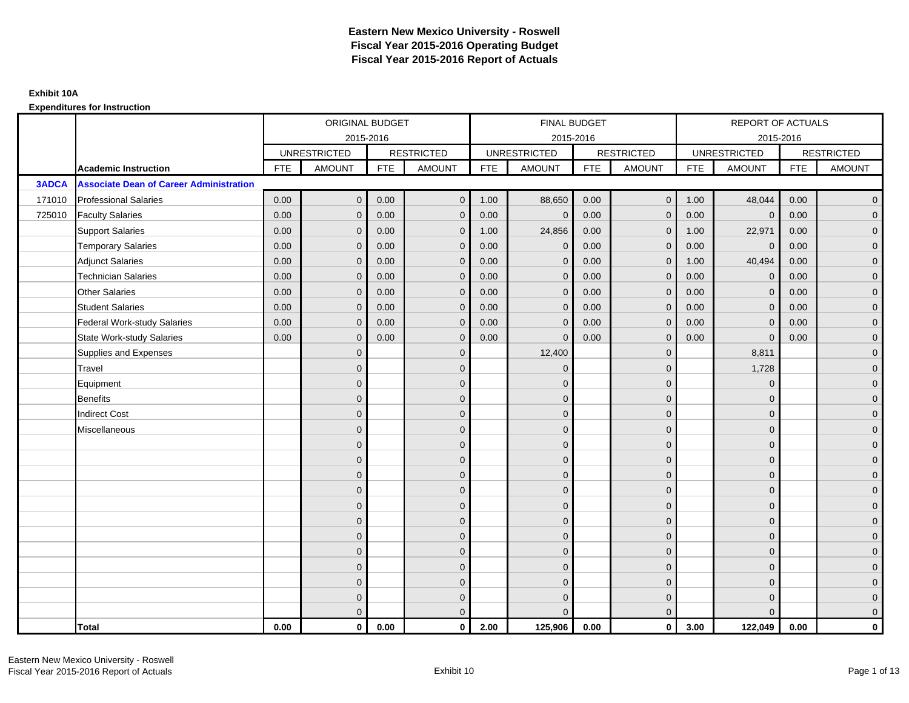|              |                                                |            | ORIGINAL BUDGET     |            |                   |            | <b>FINAL BUDGET</b> |            |                   |            | <b>REPORT OF ACTUALS</b> |            |                     |
|--------------|------------------------------------------------|------------|---------------------|------------|-------------------|------------|---------------------|------------|-------------------|------------|--------------------------|------------|---------------------|
|              |                                                |            |                     | 2015-2016  |                   |            | 2015-2016           |            |                   |            | 2015-2016                |            |                     |
|              |                                                |            | <b>UNRESTRICTED</b> |            | <b>RESTRICTED</b> |            | <b>UNRESTRICTED</b> |            | <b>RESTRICTED</b> |            | <b>UNRESTRICTED</b>      |            | <b>RESTRICTED</b>   |
|              | <b>Academic Instruction</b>                    | <b>FTE</b> | <b>AMOUNT</b>       | <b>FTE</b> | <b>AMOUNT</b>     | <b>FTE</b> | <b>AMOUNT</b>       | <b>FTE</b> | <b>AMOUNT</b>     | <b>FTE</b> | <b>AMOUNT</b>            | <b>FTE</b> | <b>AMOUNT</b>       |
| <b>3ADCA</b> | <b>Associate Dean of Career Administration</b> |            |                     |            |                   |            |                     |            |                   |            |                          |            |                     |
| 171010       | <b>Professional Salaries</b>                   | 0.00       | $\overline{0}$      | 0.00       | $\mathbf{0}$      | 1.00       | 88,650              | 0.00       | $\overline{0}$    | 1.00       | 48,044                   | 0.00       | $\overline{0}$      |
| 725010       | <b>Faculty Salaries</b>                        | 0.00       | $\mathbf 0$         | 0.00       | $\mathbf{0}$      | 0.00       | $\mathbf{0}$        | 0.00       | $\mathbf 0$       | 0.00       | $\mathbf{0}$             | 0.00       | $\overline{0}$      |
|              | <b>Support Salaries</b>                        | 0.00       | $\mathbf{0}$        | 0.00       | $\mathbf 0$       | 1.00       | 24,856              | 0.00       | $\mathbf 0$       | 1.00       | 22,971                   | 0.00       | $\overline{0}$      |
|              | <b>Temporary Salaries</b>                      | 0.00       | $\mathbf{0}$        | 0.00       | $\mathbf{0}$      | 0.00       | $\mathbf{0}$        | 0.00       | $\mathbf{0}$      | 0.00       | $\mathbf{0}$             | 0.00       | $\overline{0}$      |
|              | <b>Adjunct Salaries</b>                        | 0.00       | $\mathbf{0}$        | 0.00       | $\mathbf{0}$      | 0.00       | $\mathbf{0}$        | 0.00       | $\mathbf 0$       | 1.00       | 40,494                   | 0.00       | $\overline{0}$      |
|              | <b>Technician Salaries</b>                     | 0.00       | $\mathbf{0}$        | 0.00       | $\Omega$          | 0.00       | $\mathbf{0}$        | 0.00       | $\mathbf{0}$      | 0.00       | $\mathbf{0}$             | 0.00       | $\mathbf{0}$        |
|              | <b>Other Salaries</b>                          | 0.00       | $\mathbf{0}$        | 0.00       | $\mathbf{0}$      | 0.00       | $\Omega$            | 0.00       | $\mathbf{0}$      | 0.00       | $\mathbf{0}$             | 0.00       | $\overline{0}$      |
|              | <b>Student Salaries</b>                        | 0.00       | $\mathbf 0$         | 0.00       | $\mathbf 0$       | 0.00       | $\mathbf{0}$        | 0.00       | $\mathbf 0$       | 0.00       | $\mathbf 0$              | 0.00       | $\mathbf{0}$        |
|              | <b>Federal Work-study Salaries</b>             | 0.00       | $\mathbf{0}$        | 0.00       | $\mathbf{0}$      | 0.00       | $\mathbf{0}$        | 0.00       | $\mathbf 0$       | 0.00       | $\mathbf{0}$             | 0.00       | $\overline{0}$      |
|              | <b>State Work-study Salaries</b>               | 0.00       | $\Omega$            | 0.00       | $\Omega$          | 0.00       | $\mathbf{0}$        | 0.00       | $\mathbf{0}$      | 0.00       | $\mathbf 0$              | 0.00       | $\overline{0}$      |
|              | Supplies and Expenses                          |            | $\mathbf{0}$        |            | $\mathbf 0$       |            | 12,400              |            | $\mathbf 0$       |            | 8,811                    |            | $\mathbf{0}$        |
|              | Travel                                         |            | $\mathbf{0}$        |            | $\mathbf{0}$      |            | $\mathbf{0}$        |            | $\mathbf{0}$      |            | 1,728                    |            | $\overline{0}$      |
|              | Equipment                                      |            | $\Omega$            |            | $\mathbf{0}$      |            | $\Omega$            |            | $\mathbf{0}$      |            | $\mathbf{0}$             |            | $\overline{0}$      |
|              | <b>Benefits</b>                                |            | $\overline{0}$      |            | $\mathbf 0$       |            | $\mathbf{0}$        |            | $\mathbf 0$       |            | $\mathbf 0$              |            | $\overline{0}$      |
|              | <b>Indirect Cost</b>                           |            | $\Omega$            |            | $\mathbf{0}$      |            | $\Omega$            |            | $\mathbf{0}$      |            | $\mathbf 0$              |            | $\mathbf 0$         |
|              | Miscellaneous                                  |            | $\Omega$            |            | $\mathbf{0}$      |            | $\Omega$            |            | $\mathbf 0$       |            | $\Omega$                 |            | $\overline{0}$      |
|              |                                                |            | $\mathbf{0}$        |            | $\mathbf 0$       |            | $\mathbf{0}$        |            | $\mathbf 0$       |            | $\mathbf{0}$             |            | $\overline{0}$      |
|              |                                                |            | $\mathbf{0}$        |            | $\mathbf{0}$      |            | $\mathbf{0}$        |            | $\mathbf 0$       |            | $\mathbf{0}$             |            | $\mathbf 0$         |
|              |                                                |            | $\Omega$            |            | $\mathbf{0}$      |            | $\Omega$            |            | $\mathbf{0}$      |            | $\mathbf 0$              |            | $\overline{0}$      |
|              |                                                |            | $\overline{0}$      |            | $\mathbf 0$       |            | $\mathbf{0}$        |            | $\mathbf 0$       |            | $\mathbf 0$              |            | $\mathsf{O}\xspace$ |
|              |                                                |            | $\overline{0}$      |            | $\mathbf{0}$      |            | $\mathbf{0}$        |            | $\mathbf 0$       |            | $\mathbf 0$              |            | $\mathbf{0}$        |
|              |                                                |            | $\overline{0}$      |            | $\mathbf 0$       |            | $\Omega$            |            | $\mathbf 0$       |            | $\Omega$                 |            | $\overline{0}$      |
|              |                                                |            | $\mathbf{0}$        |            | $\mathbf{0}$      |            | $\mathbf{0}$        |            | $\mathbf 0$       |            | $\mathbf{0}$             |            | $\overline{0}$      |
|              |                                                |            | $\mathbf{0}$        |            | $\mathbf{0}$      |            | $\Omega$            |            | $\mathbf 0$       |            | $\mathbf 0$              |            | $\mathbf 0$         |
|              |                                                |            | $\Omega$            |            | $\mathbf{0}$      |            | $\Omega$            |            | $\mathbf{0}$      |            | $\Omega$                 |            | $\mathbf 0$         |
|              |                                                |            | $\overline{0}$      |            | $\mathbf 0$       |            | $\mathbf{0}$        |            | $\mathbf 0$       |            | $\mathbf 0$              |            | $\mathbf{0}$        |
|              |                                                |            | $\mathbf{0}$        |            | $\mathbf 0$       |            | $\mathbf{0}$        |            | $\mathbf 0$       |            | $\mathbf 0$              |            | $\mathbf{0}$        |
|              |                                                |            | $\Omega$            |            | $\mathbf{0}$      |            | $\Omega$            |            | $\mathbf{0}$      |            | $\Omega$                 |            | $\overline{0}$      |
|              | <b>Total</b>                                   | 0.00       | $\mathbf{0}$        | 0.00       | $\mathbf{0}$      | 2.00       | 125,906             | 0.00       | $\mathbf{0}$      | 3.00       | 122,049                  | 0.00       | $\mathbf{0}$        |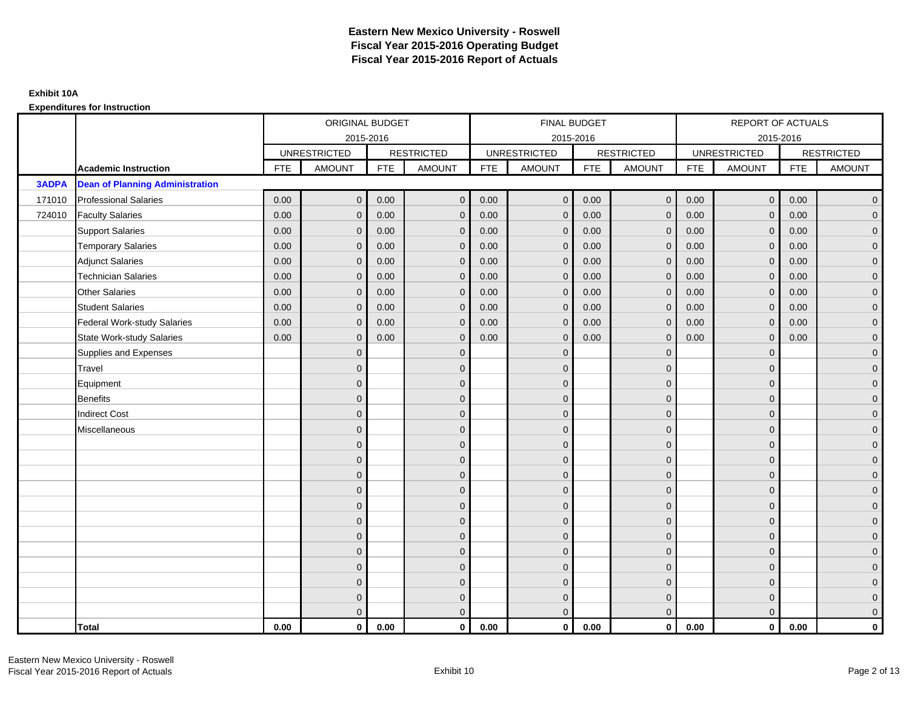|              |                                        |            | ORIGINAL BUDGET     |            |                   |            | <b>FINAL BUDGET</b> |            |                   |            | REPORT OF ACTUALS   |            |                   |
|--------------|----------------------------------------|------------|---------------------|------------|-------------------|------------|---------------------|------------|-------------------|------------|---------------------|------------|-------------------|
|              |                                        |            | 2015-2016           |            |                   |            | 2015-2016           |            |                   |            | 2015-2016           |            |                   |
|              |                                        |            | <b>UNRESTRICTED</b> |            | <b>RESTRICTED</b> |            | <b>UNRESTRICTED</b> |            | <b>RESTRICTED</b> |            | <b>UNRESTRICTED</b> |            | <b>RESTRICTED</b> |
|              | <b>Academic Instruction</b>            | <b>FTE</b> | <b>AMOUNT</b>       | <b>FTE</b> | <b>AMOUNT</b>     | <b>FTE</b> | <b>AMOUNT</b>       | <b>FTE</b> | <b>AMOUNT</b>     | <b>FTE</b> | <b>AMOUNT</b>       | <b>FTE</b> | <b>AMOUNT</b>     |
| <b>3ADPA</b> | <b>Dean of Planning Administration</b> |            |                     |            |                   |            |                     |            |                   |            |                     |            |                   |
| 171010       | <b>Professional Salaries</b>           | 0.00       | $\overline{0}$      | 0.00       | $\mathbf{0}$      | 0.00       | $\mathbf{0}$        | 0.00       | $\mathbf{0}$      | 0.00       | $\overline{0}$      | 0.00       | $\overline{0}$    |
| 724010       | <b>Faculty Salaries</b>                | 0.00       | $\mathbf 0$         | 0.00       | $\mathbf 0$       | 0.00       | $\mathbf 0$         | 0.00       | $\mathbf{0}$      | 0.00       | $\overline{0}$      | 0.00       | $\overline{0}$    |
|              | <b>Support Salaries</b>                | 0.00       | $\mathbf{0}$        | 0.00       | $\mathbf 0$       | 0.00       | $\mathbf 0$         | 0.00       | $\mathbf 0$       | 0.00       | $\overline{0}$      | 0.00       | $\overline{0}$    |
|              | <b>Temporary Salaries</b>              | 0.00       | $\mathbf{0}$        | 0.00       | $\mathbf{0}$      | 0.00       | $\mathbf{0}$        | 0.00       | $\mathbf 0$       | 0.00       | $\mathbf 0$         | 0.00       | $\overline{0}$    |
|              | <b>Adjunct Salaries</b>                | 0.00       | $\Omega$            | 0.00       | $\mathbf{0}$      | 0.00       | $\Omega$            | 0.00       | $\Omega$          | 0.00       | $\mathbf{0}$        | 0.00       | $\overline{0}$    |
|              | <b>Technician Salaries</b>             | 0.00       | $\mathbf 0$         | 0.00       | $\mathbf{0}$      | 0.00       | $\mathbf{0}$        | 0.00       | $\mathbf{0}$      | 0.00       | $\mathbf{0}$        | 0.00       | $\mathbf{0}$      |
|              | <b>Other Salaries</b>                  | 0.00       | $\mathbf{0}$        | 0.00       | $\mathbf{0}$      | 0.00       | $\mathbf{0}$        | 0.00       | $\mathbf{0}$      | 0.00       | $\overline{0}$      | 0.00       | $\overline{0}$    |
|              | <b>Student Salaries</b>                | 0.00       | $\mathbf{0}$        | 0.00       | $\mathbf{0}$      | 0.00       | $\mathbf{0}$        | 0.00       | $\mathbf{0}$      | 0.00       | $\overline{0}$      | 0.00       | $\overline{0}$    |
|              | <b>Federal Work-study Salaries</b>     | 0.00       | $\mathbf 0$         | 0.00       | $\mathbf{0}$      | 0.00       | $\mathbf{0}$        | 0.00       | $\Omega$          | 0.00       | $\mathbf 0$         | 0.00       | $\overline{0}$    |
|              | <b>State Work-study Salaries</b>       | 0.00       | $\mathbf{0}$        | 0.00       | $\mathbf{0}$      | 0.00       | $\mathbf{0}$        | 0.00       | $\mathbf{0}$      | 0.00       | $\mathbf 0$         | 0.00       | $\overline{0}$    |
|              | Supplies and Expenses                  |            | $\Omega$            |            | $\mathbf{0}$      |            | $\Omega$            |            | $\mathbf{0}$      |            | $\mathbf 0$         |            | $\mathbf{0}$      |
|              | Travel                                 |            | $\Omega$            |            | $\mathbf{0}$      |            | $\Omega$            |            | $\mathbf{0}$      |            | $\mathbf{0}$        |            | $\overline{0}$    |
|              | Equipment                              |            | $\Omega$            |            | $\mathbf 0$       |            | $\mathbf{0}$        |            | $\mathbf 0$       |            | $\mathbf{0}$        |            | $\overline{0}$    |
|              | <b>Benefits</b>                        |            | $\overline{0}$      |            | $\mathbf{0}$      |            | $\Omega$            |            | $\mathbf 0$       |            | $\mathbf{0}$        |            | $\overline{0}$    |
|              | <b>Indirect Cost</b>                   |            | $\Omega$            |            | $\mathbf{0}$      |            | $\Omega$            |            | $\mathbf{0}$      |            | $\Omega$            |            | $\overline{0}$    |
|              | Miscellaneous                          |            | $\Omega$            |            | $\mathbf 0$       |            | $\mathbf{0}$        |            | $\mathbf 0$       |            | $\mathbf 0$         |            | $\mathbf{0}$      |
|              |                                        |            | $\mathbf{0}$        |            | $\mathbf 0$       |            | $\Omega$            |            | $\mathbf{0}$      |            | $\mathbf{0}$        |            | $\overline{0}$    |
|              |                                        |            | $\Omega$            |            | $\mathbf 0$       |            | $\Omega$            |            | $\mathbf{0}$      |            | $\mathbf{0}$        |            | $\overline{0}$    |
|              |                                        |            | $\Omega$            |            | $\mathbf 0$       |            | $\Omega$            |            | $\mathbf 0$       |            | $\mathbf{0}$        |            | $\mathbf{0}$      |
|              |                                        |            | $\Omega$            |            | $\mathbf 0$       |            | $\Omega$            |            | $\mathbf{0}$      |            | $\mathbf{0}$        |            | $\mathbf{0}$      |
|              |                                        |            | $\Omega$            |            | $\mathbf{0}$      |            | $\Omega$            |            | $\overline{0}$    |            | $\Omega$            |            | $\mathbf{0}$      |
|              |                                        |            | $\Omega$            |            | $\mathbf{0}$      |            | $\Omega$            |            | $\mathbf{0}$      |            | $\Omega$            |            | $\overline{0}$    |
|              |                                        |            | $\Omega$            |            | $\mathbf 0$       |            | $\mathbf{0}$        |            | $\mathbf 0$       |            | $\mathbf{0}$        |            | $\mathbf{0}$      |
|              |                                        |            | $\Omega$            |            | $\mathbf 0$       |            | $\Omega$            |            | $\mathbf 0$       |            | $\mathbf 0$         |            | $\mathbf 0$       |
|              |                                        |            | $\Omega$            |            | $\mathbf{0}$      |            | $\Omega$            |            | $\mathbf{0}$      |            | $\Omega$            |            | $\overline{0}$    |
|              |                                        |            | $\Omega$            |            | $\mathbf 0$       |            | $\mathbf{0}$        |            | $\mathbf 0$       |            | $\mathbf{0}$        |            | $\mathbf{0}$      |
|              |                                        |            | $\mathbf{0}$        |            | $\mathbf 0$       |            | $\mathbf{0}$        |            | $\mathbf 0$       |            | $\mathbf{0}$        |            | $\mathbf{0}$      |
|              |                                        |            | $\Omega$            |            | $\mathbf{0}$      |            | $\Omega$            |            | $\mathbf{0}$      |            | $\Omega$            |            | $\overline{0}$    |
|              | <b>Total</b>                           | 0.00       | $\mathbf{0}$        | 0.00       | $\mathbf{0}$      | 0.00       | $\mathbf{0}$        | 0.00       | $\mathbf{0}$      | 0.00       | $\mathbf{0}$        | 0.00       | $\mathbf 0$       |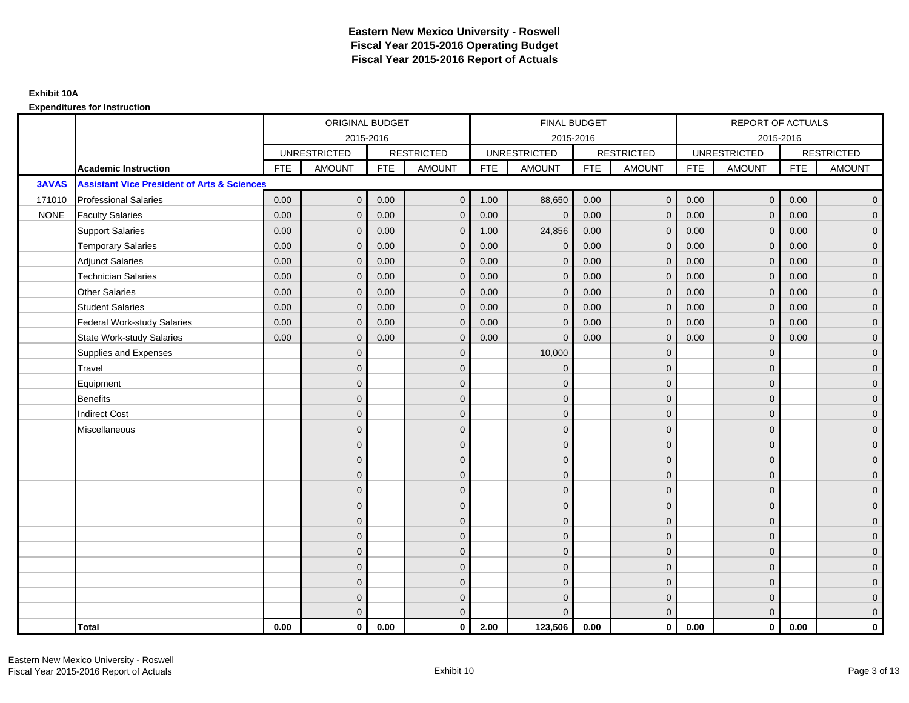|              |                                                        |            | ORIGINAL BUDGET     |            |                   |            | <b>FINAL BUDGET</b> |            |                   |            | REPORT OF ACTUALS   |            |                   |
|--------------|--------------------------------------------------------|------------|---------------------|------------|-------------------|------------|---------------------|------------|-------------------|------------|---------------------|------------|-------------------|
|              |                                                        |            | 2015-2016           |            |                   |            | 2015-2016           |            |                   |            | 2015-2016           |            |                   |
|              |                                                        |            | <b>UNRESTRICTED</b> |            | <b>RESTRICTED</b> |            | <b>UNRESTRICTED</b> |            | <b>RESTRICTED</b> |            | <b>UNRESTRICTED</b> |            | <b>RESTRICTED</b> |
|              | Academic Instruction                                   | <b>FTE</b> | <b>AMOUNT</b>       | <b>FTE</b> | <b>AMOUNT</b>     | <b>FTE</b> | <b>AMOUNT</b>       | <b>FTE</b> | <b>AMOUNT</b>     | <b>FTE</b> | <b>AMOUNT</b>       | <b>FTE</b> | <b>AMOUNT</b>     |
| <b>3AVAS</b> | <b>Assistant Vice President of Arts &amp; Sciences</b> |            |                     |            |                   |            |                     |            |                   |            |                     |            |                   |
| 171010       | <b>Professional Salaries</b>                           | 0.00       | $\mathbf{0}$        | 0.00       | $\mathbf{0}$      | 1.00       | 88,650              | 0.00       | $\mathbf{0}$      | 0.00       | $\overline{0}$      | 0.00       | $\overline{0}$    |
| <b>NONE</b>  | <b>Faculty Salaries</b>                                | 0.00       | $\mathbf 0$         | 0.00       | $\mathbf 0$       | 0.00       | $\mathbf 0$         | 0.00       | $\mathbf{0}$      | 0.00       | $\overline{0}$      | 0.00       | $\overline{0}$    |
|              | <b>Support Salaries</b>                                | 0.00       | $\mathbf 0$         | 0.00       | $\mathbf 0$       | 1.00       | 24,856              | 0.00       | $\mathbf 0$       | 0.00       | $\overline{0}$      | 0.00       | $\overline{0}$    |
|              | <b>Temporary Salaries</b>                              | 0.00       | $\mathbf{0}$        | 0.00       | $\mathbf{0}$      | 0.00       | $\mathbf{0}$        | 0.00       | $\mathbf{0}$      | 0.00       | $\mathbf 0$         | 0.00       | $\overline{0}$    |
|              | <b>Adjunct Salaries</b>                                | 0.00       | $\Omega$            | 0.00       | $\Omega$          | 0.00       | $\Omega$            | 0.00       | $\mathbf{0}$      | 0.00       | $\mathbf{0}$        | 0.00       | $\overline{0}$    |
|              | <b>Technician Salaries</b>                             | 0.00       | $\mathbf{0}$        | 0.00       | $\mathbf 0$       | 0.00       | $\mathbf{0}$        | 0.00       | $\mathbf{0}$      | 0.00       | $\mathbf{0}$        | 0.00       | $\mathbf{0}$      |
|              | <b>Other Salaries</b>                                  | 0.00       | $\mathbf{0}$        | 0.00       | $\mathbf{0}$      | 0.00       | $\mathbf{0}$        | 0.00       | $\mathbf{0}$      | 0.00       | $\mathbf{0}$        | 0.00       | $\overline{0}$    |
|              | <b>Student Salaries</b>                                | 0.00       | $\mathbf{0}$        | 0.00       | $\mathbf 0$       | 0.00       | $\mathbf{0}$        | 0.00       | $\mathbf{0}$      | 0.00       | $\overline{0}$      | 0.00       | $\overline{0}$    |
|              | <b>Federal Work-study Salaries</b>                     | 0.00       | $\mathbf 0$         | 0.00       | $\mathbf 0$       | 0.00       | $\mathbf{0}$        | 0.00       | $\mathbf 0$       | 0.00       | $\mathbf 0$         | 0.00       | $\overline{0}$    |
|              | <b>State Work-study Salaries</b>                       | 0.00       | $\mathbf{0}$        | 0.00       | $\mathbf{0}$      | 0.00       | $\mathbf{0}$        | 0.00       | $\mathbf{0}$      | 0.00       | $\mathbf 0$         | 0.00       | $\overline{0}$    |
|              | Supplies and Expenses                                  |            | $\Omega$            |            | $\mathbf{0}$      |            | 10,000              |            | $\mathbf{0}$      |            | $\mathbf 0$         |            | $\overline{0}$    |
|              | Travel                                                 |            | $\Omega$            |            | $\mathbf{0}$      |            | $\Omega$            |            | $\mathbf{0}$      |            | $\mathbf{0}$        |            | $\overline{0}$    |
|              | Equipment                                              |            | $\overline{0}$      |            | $\mathbf{0}$      |            | $\mathbf{0}$        |            | $\mathbf 0$       |            | $\mathbf{0}$        |            | $\overline{0}$    |
|              | <b>Benefits</b>                                        |            | $\overline{0}$      |            | $\mathbf{0}$      |            | $\Omega$            |            | $\mathbf 0$       |            | $\mathbf{0}$        |            | $\overline{0}$    |
|              | <b>Indirect Cost</b>                                   |            | $\Omega$            |            | $\mathbf{0}$      |            | $\Omega$            |            | $\mathbf{0}$      |            | $\Omega$            |            | $\mathbf 0$       |
|              | Miscellaneous                                          |            | $\mathbf{0}$        |            | $\mathbf 0$       |            | $\mathbf{0}$        |            | $\mathbf 0$       |            | $\mathbf 0$         |            | $\mathbf{0}$      |
|              |                                                        |            | $\mathbf{0}$        |            | $\mathbf{0}$      |            | $\Omega$            |            | $\mathbf{0}$      |            | $\mathbf{0}$        |            | $\overline{0}$    |
|              |                                                        |            | $\Omega$            |            | $\mathbf{0}$      |            | $\mathbf{0}$        |            | $\mathbf 0$       |            | $\mathbf{0}$        |            | $\overline{0}$    |
|              |                                                        |            | $\mathbf{0}$        |            | $\mathbf{0}$      |            | $\Omega$            |            | $\mathbf 0$       |            | $\mathbf{0}$        |            | $\overline{0}$    |
|              |                                                        |            | $\Omega$            |            | $\mathbf{0}$      |            | $\Omega$            |            | $\mathbf{0}$      |            | $\mathbf 0$         |            | $\overline{0}$    |
|              |                                                        |            | $\Omega$            |            | $\mathbf 0$       |            | $\Omega$            |            | $\mathbf{0}$      |            | $\Omega$            |            | $\overline{0}$    |
|              |                                                        |            | $\mathbf{0}$        |            | $\mathbf{0}$      |            | $\Omega$            |            | $\mathbf{0}$      |            | $\Omega$            |            | $\overline{0}$    |
|              |                                                        |            | 0                   |            | $\mathbf 0$       |            | $\mathbf{0}$        |            | $\mathbf 0$       |            | $\mathbf{0}$        |            | $\overline{0}$    |
|              |                                                        |            | $\mathbf{0}$        |            | $\mathbf{0}$      |            | $\Omega$            |            | $\mathbf{0}$      |            | $\mathbf 0$         |            | $\mathbf 0$       |
|              |                                                        |            | $\Omega$            |            | $\mathbf{0}$      |            | $\Omega$            |            | $\mathbf{0}$      |            | $\Omega$            |            | $\mathbf 0$       |
|              |                                                        |            | $\overline{0}$      |            | $\mathbf 0$       |            | $\Omega$            |            | $\mathbf 0$       |            | $\mathbf 0$         |            | $\mathbf{0}$      |
|              |                                                        |            | $\mathbf{0}$        |            | $\mathbf 0$       |            | $\Omega$            |            | $\mathbf 0$       |            | $\mathbf{0}$        |            | $\mathbf{0}$      |
|              |                                                        |            | $\Omega$            |            | $\Omega$          |            | $\Omega$            |            | $\mathbf{0}$      |            | $\Omega$            |            | $\overline{0}$    |
|              | <b>Total</b>                                           | 0.00       | $\mathbf{0}$        | 0.00       | $\mathbf{0}$      | 2.00       | 123,506             | 0.00       | $\mathbf{0}$      | 0.00       | $\mathbf{0}$        | 0.00       | $\mathbf{0}$      |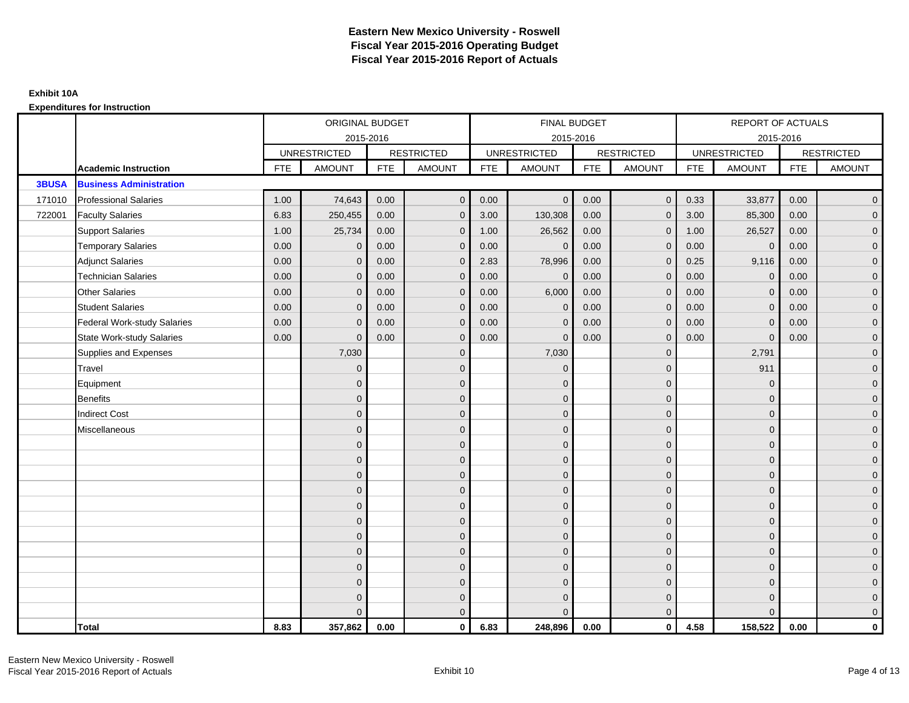|              |                                    |            | ORIGINAL BUDGET     |            |                   |            | FINAL BUDGET        |            |                   |            | <b>REPORT OF ACTUALS</b> |            |                     |
|--------------|------------------------------------|------------|---------------------|------------|-------------------|------------|---------------------|------------|-------------------|------------|--------------------------|------------|---------------------|
|              |                                    |            | 2015-2016           |            |                   |            | 2015-2016           |            |                   |            | 2015-2016                |            |                     |
|              |                                    |            | <b>UNRESTRICTED</b> |            | <b>RESTRICTED</b> |            | <b>UNRESTRICTED</b> |            | <b>RESTRICTED</b> |            | <b>UNRESTRICTED</b>      |            | <b>RESTRICTED</b>   |
|              | <b>Academic Instruction</b>        | <b>FTE</b> | <b>AMOUNT</b>       | <b>FTE</b> | <b>AMOUNT</b>     | <b>FTE</b> | <b>AMOUNT</b>       | <b>FTE</b> | <b>AMOUNT</b>     | <b>FTE</b> | <b>AMOUNT</b>            | <b>FTE</b> | <b>AMOUNT</b>       |
| <b>3BUSA</b> | <b>Business Administration</b>     |            |                     |            |                   |            |                     |            |                   |            |                          |            |                     |
| 171010       | <b>Professional Salaries</b>       | 1.00       | 74,643              | 0.00       | $\overline{0}$    | 0.00       | $\overline{0}$      | 0.00       | $\overline{0}$    | 0.33       | 33,877                   | 0.00       | $\overline{0}$      |
| 722001       | <b>Faculty Salaries</b>            | 6.83       | 250,455             | 0.00       | $\mathbf{0}$      | 3.00       | 130,308             | 0.00       | $\Omega$          | 3.00       | 85,300                   | 0.00       | $\overline{0}$      |
|              | <b>Support Salaries</b>            | 1.00       | 25,734              | 0.00       | $\mathbf 0$       | 1.00       | 26,562              | 0.00       | $\mathbf 0$       | 1.00       | 26,527                   | 0.00       | $\overline{0}$      |
|              | <b>Temporary Salaries</b>          | 0.00       | $\mathbf 0$         | 0.00       | $\mathbf{0}$      | 0.00       | $\mathbf{0}$        | 0.00       | $\mathbf{0}$      | 0.00       | $\mathbf 0$              | 0.00       | $\overline{0}$      |
|              | <b>Adjunct Salaries</b>            | 0.00       | $\mathbf{0}$        | 0.00       | $\mathbf{0}$      | 2.83       | 78,996              | 0.00       | $\mathbf{0}$      | 0.25       | 9,116                    | 0.00       | $\overline{0}$      |
|              | <b>Technician Salaries</b>         | 0.00       | $\Omega$            | 0.00       | $\Omega$          | 0.00       | $\mathbf{0}$        | 0.00       | $\mathbf{0}$      | 0.00       | $\mathbf{0}$             | 0.00       | $\overline{0}$      |
|              | <b>Other Salaries</b>              | 0.00       | $\mathbf{0}$        | 0.00       | $\mathbf 0$       | 0.00       | 6,000               | 0.00       | $\mathbf{0}$      | 0.00       | $\mathbf 0$              | 0.00       | $\mathbf{0}$        |
|              | <b>Student Salaries</b>            | 0.00       | $\mathbf{0}$        | 0.00       | $\mathbf 0$       | 0.00       | $\mathbf 0$         | 0.00       | $\mathbf 0$       | 0.00       | $\mathbf{0}$             | 0.00       | $\overline{0}$      |
|              | <b>Federal Work-study Salaries</b> | 0.00       | $\mathbf{0}$        | 0.00       | $\mathbf{0}$      | 0.00       | $\mathbf{0}$        | 0.00       | $\mathbf 0$       | 0.00       | $\mathbf{0}$             | 0.00       | $\overline{0}$      |
|              | <b>State Work-study Salaries</b>   | 0.00       | $\Omega$            | 0.00       | $\mathbf{0}$      | 0.00       | $\mathbf{0}$        | 0.00       | $\mathbf{0}$      | 0.00       | $\Omega$                 | 0.00       | $\overline{0}$      |
|              | Supplies and Expenses              |            | 7,030               |            | $\mathbf 0$       |            | 7,030               |            | $\overline{0}$    |            | 2,791                    |            | $\mathbf{0}$        |
|              | Travel                             |            | $\mathbf{0}$        |            | $\mathbf 0$       |            | $\mathbf{0}$        |            | $\mathbf{0}$      |            | 911                      |            | $\overline{0}$      |
|              | Equipment                          |            | $\Omega$            |            | $\mathbf 0$       |            | $\mathbf{0}$        |            | $\mathbf{0}$      |            | $\mathbf 0$              |            | $\overline{0}$      |
|              | <b>Benefits</b>                    |            | $\Omega$            |            | $\mathbf 0$       |            | $\mathbf{0}$        |            | $\mathbf 0$       |            | $\mathbf{0}$             |            | $\mathbf{0}$        |
|              | <b>Indirect Cost</b>               |            | $\Omega$            |            | $\mathbf 0$       |            | $\Omega$            |            | $\overline{0}$    |            | $\mathbf{0}$             |            | $\mathbf{0}$        |
|              | Miscellaneous                      |            | $\Omega$            |            | $\mathbf 0$       |            | $\mathbf{0}$        |            | $\mathbf 0$       |            | $\mathbf 0$              |            | $\mathsf{O}\xspace$ |
|              |                                    |            | $\overline{0}$      |            | $\mathbf 0$       |            | $\Omega$            |            | $\mathbf{0}$      |            | $\Omega$                 |            | $\overline{0}$      |
|              |                                    |            | $\Omega$            |            | $\mathbf 0$       |            | $\mathbf{0}$        |            | $\mathbf 0$       |            | $\mathbf 0$              |            | $\mathsf{O}\xspace$ |
|              |                                    |            | $\Omega$            |            | $\mathbf 0$       |            | $\Omega$            |            | $\mathbf 0$       |            | $\mathbf{0}$             |            | $\overline{0}$      |
|              |                                    |            | $\Omega$            |            | $\mathbf 0$       |            | $\Omega$            |            | $\mathbf{0}$      |            | $\mathbf{0}$             |            | $\overline{0}$      |
|              |                                    |            | $\Omega$            |            | $\mathbf{0}$      |            | $\Omega$            |            | $\mathbf{0}$      |            | $\Omega$                 |            | $\mathbf{0}$        |
|              |                                    |            | $\mathbf{0}$        |            | $\mathbf 0$       |            | $\mathbf{0}$        |            | $\mathbf 0$       |            | $\mathbf{0}$             |            | $\overline{0}$      |
|              |                                    |            | $\Omega$            |            | $\mathbf 0$       |            | $\mathbf{0}$        |            | $\mathbf 0$       |            | $\mathbf{0}$             |            | $\overline{0}$      |
|              |                                    |            | $\Omega$            |            | $\mathbf 0$       |            | $\Omega$            |            | $\mathbf{0}$      |            | $\mathbf{0}$             |            | $\overline{0}$      |
|              |                                    |            | $\Omega$            |            | $\mathbf{0}$      |            | $\Omega$            |            | $\mathbf{0}$      |            | $\Omega$                 |            | $\overline{0}$      |
|              |                                    |            | $\Omega$            |            | $\mathbf 0$       |            | $\mathbf{0}$        |            | $\mathbf 0$       |            | $\mathbf{0}$             |            | $\mathbf{0}$        |
|              |                                    |            | $\Omega$            |            | $\mathbf 0$       |            | $\mathbf{0}$        |            | $\mathbf 0$       |            | $\mathbf{0}$             |            | $\mathbf{0}$        |
|              |                                    |            | $\Omega$            |            | $\mathbf{0}$      |            | $\Omega$            |            | $\mathbf{0}$      |            | $\Omega$                 |            | $\overline{0}$      |
|              | <b>Total</b>                       | 8.83       | 357,862             | 0.00       | $\mathbf{0}$      | 6.83       | 248,896             | 0.00       | $\mathbf{0}$      | 4.58       | 158,522                  | 0.00       | $\mathbf 0$         |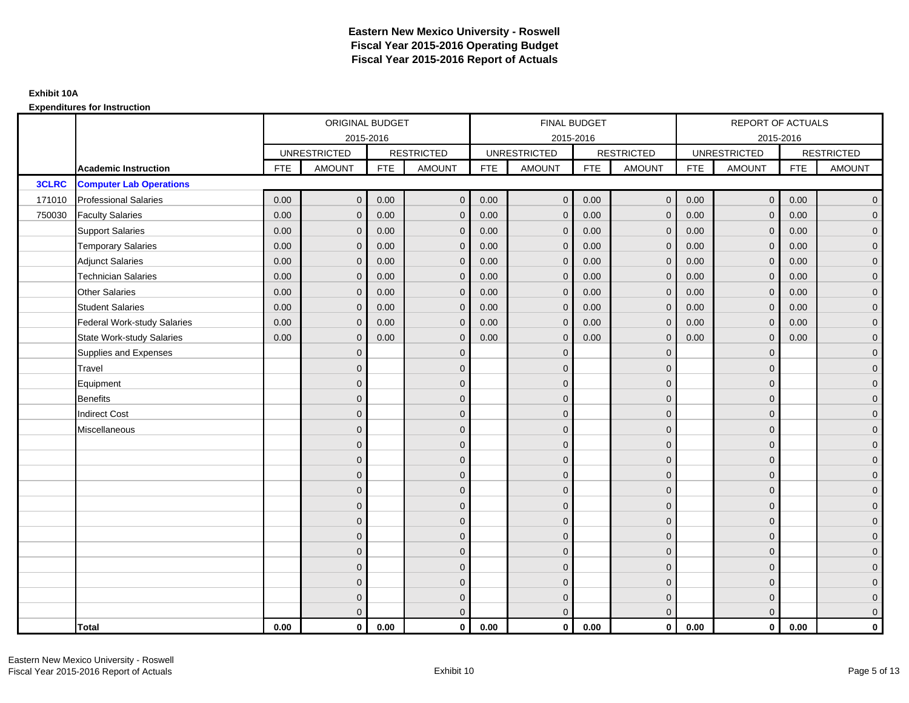|              |                                    |            | ORIGINAL BUDGET     |            |                   |            | <b>FINAL BUDGET</b> |            |                   |            | REPORT OF ACTUALS   |            |                     |
|--------------|------------------------------------|------------|---------------------|------------|-------------------|------------|---------------------|------------|-------------------|------------|---------------------|------------|---------------------|
|              |                                    |            | 2015-2016           |            |                   |            | 2015-2016           |            |                   |            | 2015-2016           |            |                     |
|              |                                    |            | <b>UNRESTRICTED</b> |            | <b>RESTRICTED</b> |            | <b>UNRESTRICTED</b> |            | <b>RESTRICTED</b> |            | <b>UNRESTRICTED</b> |            | <b>RESTRICTED</b>   |
|              | <b>Academic Instruction</b>        | <b>FTE</b> | <b>AMOUNT</b>       | <b>FTE</b> | <b>AMOUNT</b>     | <b>FTE</b> | <b>AMOUNT</b>       | <b>FTE</b> | <b>AMOUNT</b>     | <b>FTE</b> | <b>AMOUNT</b>       | <b>FTE</b> | <b>AMOUNT</b>       |
| <b>3CLRC</b> | <b>Computer Lab Operations</b>     |            |                     |            |                   |            |                     |            |                   |            |                     |            |                     |
| 171010       | <b>Professional Salaries</b>       | 0.00       | $\mathbf{0}$        | 0.00       | $\mathbf{0}$      | 0.00       | $\overline{0}$      | 0.00       | $\overline{0}$    | 0.00       | $\overline{0}$      | 0.00       | $\overline{0}$      |
| 750030       | <b>Faculty Salaries</b>            | 0.00       | $\mathbf{0}$        | 0.00       | $\mathbf{0}$      | 0.00       | $\mathbf{0}$        | 0.00       | $\mathbf{0}$      | 0.00       | $\overline{0}$      | 0.00       | $\overline{0}$      |
|              | <b>Support Salaries</b>            | 0.00       | $\mathbf{0}$        | 0.00       | $\mathbf{0}$      | 0.00       | $\mathbf{0}$        | 0.00       | $\mathbf{0}$      | 0.00       | $\overline{0}$      | 0.00       | $\overline{0}$      |
|              | <b>Temporary Salaries</b>          | 0.00       | $\mathbf 0$         | 0.00       | $\mathbf 0$       | 0.00       | $\mathbf 0$         | 0.00       | 0                 | 0.00       | $\mathbf 0$         | 0.00       | $\mathbf{0}$        |
|              | <b>Adjunct Salaries</b>            | 0.00       | $\mathbf{0}$        | 0.00       | $\mathbf{0}$      | 0.00       | $\mathbf{0}$        | 0.00       | $\mathbf{0}$      | 0.00       | $\mathbf{0}$        | 0.00       | $\overline{0}$      |
|              | <b>Technician Salaries</b>         | 0.00       | $\mathbf{0}$        | 0.00       | $\Omega$          | 0.00       | $\Omega$            | 0.00       | $\mathbf{0}$      | 0.00       | $\mathbf{0}$        | 0.00       | $\mathbf{0}$        |
|              | <b>Other Salaries</b>              | 0.00       | $\mathbf{0}$        | 0.00       | $\mathbf{0}$      | 0.00       | $\mathbf{0}$        | 0.00       | $\mathbf{0}$      | 0.00       | $\overline{0}$      | 0.00       | $\overline{0}$      |
|              | <b>Student Salaries</b>            | 0.00       | $\mathbf 0$         | 0.00       | $\mathbf 0$       | 0.00       | $\mathbf 0$         | 0.00       | $\mathbf 0$       | 0.00       | $\mathsf{O}\xspace$ | 0.00       | $\mathsf{O}\xspace$ |
|              | <b>Federal Work-study Salaries</b> | 0.00       | $\mathbf{0}$        | 0.00       | $\mathbf 0$       | 0.00       | $\mathbf{0}$        | 0.00       | $\Omega$          | 0.00       | $\mathbf 0$         | 0.00       | $\overline{0}$      |
|              | <b>State Work-study Salaries</b>   | 0.00       | $\mathbf{0}$        | 0.00       | $\mathbf{0}$      | 0.00       | $\mathbf{0}$        | 0.00       | $\mathbf{0}$      | 0.00       | $\mathbf{0}$        | 0.00       | $\mathbf{0}$        |
|              | Supplies and Expenses              |            | $\mathbf{0}$        |            | $\mathbf{0}$      |            | $\Omega$            |            | $\mathbf{0}$      |            | $\mathbf{0}$        |            | $\overline{0}$      |
|              | Travel                             |            | $\Omega$            |            | $\mathbf 0$       |            | $\Omega$            |            | $\mathbf{0}$      |            | $\mathbf{0}$        |            | $\overline{0}$      |
|              | Equipment                          |            | $\Omega$            |            | $\mathbf{0}$      |            | $\mathbf{0}$        |            | $\mathbf 0$       |            | $\mathbf{0}$        |            | $\overline{0}$      |
|              | <b>Benefits</b>                    |            | $\mathbf{0}$        |            | $\mathbf 0$       |            | $\mathbf{0}$        |            | $\mathbf 0$       |            | $\mathbf{0}$        |            | $\overline{0}$      |
|              | <b>Indirect Cost</b>               |            | $\Omega$            |            | $\mathbf{0}$      |            | $\Omega$            |            | $\mathbf{0}$      |            | $\Omega$            |            | $\overline{0}$      |
|              | Miscellaneous                      |            | $\Omega$            |            | $\mathbf{0}$      |            | $\Omega$            |            | $\mathbf{0}$      |            | $\Omega$            |            | $\overline{0}$      |
|              |                                    |            | $\mathbf{0}$        |            | $\mathbf 0$       |            | $\mathbf{0}$        |            | $\mathbf 0$       |            | $\mathbf{0}$        |            | $\overline{0}$      |
|              |                                    |            | $\Omega$            |            | $\mathbf{0}$      |            | $\mathbf{0}$        |            | $\mathbf 0$       |            | $\mathbf{0}$        |            | $\mathbf{0}$        |
|              |                                    |            | $\Omega$            |            | $\mathbf{0}$      |            | $\Omega$            |            | $\mathbf 0$       |            | $\mathbf 0$         |            | $\overline{0}$      |
|              |                                    |            | $\Omega$            |            | $\mathbf{0}$      |            | $\Omega$            |            | $\mathbf{0}$      |            | $\Omega$            |            | $\mathsf{O}\xspace$ |
|              |                                    |            | $\overline{0}$      |            | $\mathbf 0$       |            | $\mathbf{0}$        |            | $\mathbf 0$       |            | $\mathbf{0}$        |            | $\mathsf{O}\xspace$ |
|              |                                    |            | $\Omega$            |            | $\mathbf 0$       |            | $\mathbf{0}$        |            | $\mathbf 0$       |            | $\mathbf{0}$        |            | $\overline{0}$      |
|              |                                    |            | $\Omega$            |            | $\mathbf{0}$      |            | $\Omega$            |            | $\mathbf 0$       |            | $\mathbf{0}$        |            | $\overline{0}$      |
|              |                                    |            | $\Omega$            |            | $\mathbf{0}$      |            | $\Omega$            |            | $\mathbf 0$       |            | $\Omega$            |            | $\overline{0}$      |
|              |                                    |            | $\Omega$            |            | $\mathbf 0$       |            | $\mathbf{0}$        |            | $\mathbf 0$       |            | $\mathbf 0$         |            | $\mathsf{O}\xspace$ |
|              |                                    |            | $\mathbf{0}$        |            | $\mathbf 0$       |            | $\mathbf{0}$        |            | $\mathbf 0$       |            | $\mathbf{0}$        |            | $\overline{0}$      |
|              |                                    |            | $\Omega$            |            | $\mathbf 0$       |            | $\mathbf{0}$        |            | $\mathbf 0$       |            | $\mathbf 0$         |            | $\mathbf 0$         |
|              |                                    |            | $\Omega$            |            | $\mathbf{0}$      |            | $\Omega$            |            | $\Omega$          |            | $\Omega$            |            | $\mathbf{0}$        |
|              | <b>Total</b>                       | 0.00       | $\mathbf{0}$        | 0.00       | $\mathbf{0}$      | 0.00       | $\mathbf{0}$        | 0.00       | $\mathbf{0}$      | 0.00       | $\mathbf{0}$        | 0.00       | $\mathbf{0}$        |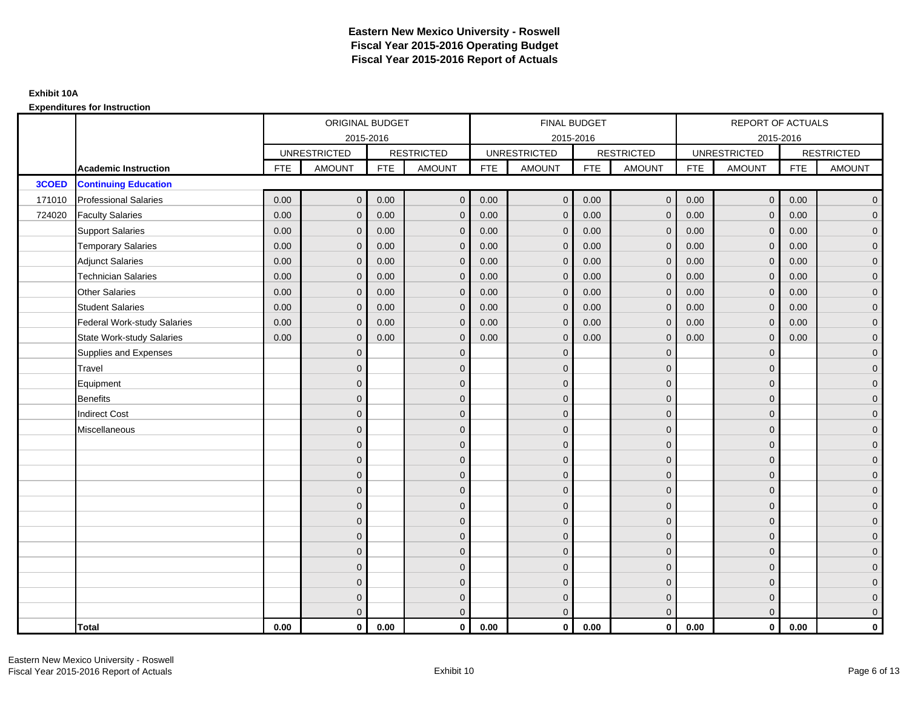|        |                                    |            | ORIGINAL BUDGET     |            |                   |            | <b>FINAL BUDGET</b> |            |                   |            | REPORT OF ACTUALS   |            |                   |
|--------|------------------------------------|------------|---------------------|------------|-------------------|------------|---------------------|------------|-------------------|------------|---------------------|------------|-------------------|
|        |                                    |            | 2015-2016           |            |                   |            | 2015-2016           |            |                   |            | 2015-2016           |            |                   |
|        |                                    |            | <b>UNRESTRICTED</b> |            | <b>RESTRICTED</b> |            | <b>UNRESTRICTED</b> |            | <b>RESTRICTED</b> |            | <b>UNRESTRICTED</b> |            | <b>RESTRICTED</b> |
|        | <b>Academic Instruction</b>        | <b>FTE</b> | <b>AMOUNT</b>       | <b>FTE</b> | <b>AMOUNT</b>     | <b>FTE</b> | <b>AMOUNT</b>       | <b>FTE</b> | <b>AMOUNT</b>     | <b>FTE</b> | <b>AMOUNT</b>       | <b>FTE</b> | <b>AMOUNT</b>     |
| 3COED  | <b>Continuing Education</b>        |            |                     |            |                   |            |                     |            |                   |            |                     |            |                   |
| 171010 | <b>Professional Salaries</b>       | 0.00       | $\Omega$            | 0.00       | $\overline{0}$    | 0.00       | $\overline{0}$      | 0.00       | $\mathbf{0}$      | 0.00       | $\overline{0}$      | 0.00       | $\overline{0}$    |
| 724020 | <b>Faculty Salaries</b>            | 0.00       | $\mathbf 0$         | 0.00       | $\mathbf 0$       | 0.00       | $\mathbf{0}$        | 0.00       | $\mathbf{0}$      | 0.00       | $\mathbf 0$         | 0.00       | $\overline{0}$    |
|        | <b>Support Salaries</b>            | 0.00       | $\Omega$            | 0.00       | $\mathbf 0$       | 0.00       | $\mathbf{0}$        | 0.00       | $\mathbf 0$       | 0.00       | $\mathbf 0$         | 0.00       | $\overline{0}$    |
|        | <b>Temporary Salaries</b>          | 0.00       | $\mathbf{0}$        | 0.00       | $\overline{0}$    | 0.00       | $\mathbf{0}$        | 0.00       | $\Omega$          | 0.00       | $\mathbf 0$         | 0.00       | $\overline{0}$    |
|        | <b>Adjunct Salaries</b>            | 0.00       | $\Omega$            | 0.00       | $\overline{0}$    | 0.00       | $\Omega$            | 0.00       | $\Omega$          | 0.00       | $\overline{0}$      | 0.00       | $\overline{0}$    |
|        | <b>Technician Salaries</b>         | 0.00       | $\Omega$            | 0.00       | $\mathbf{0}$      | 0.00       | $\mathbf{0}$        | 0.00       | $\mathbf 0$       | 0.00       | $\mathbf{0}$        | 0.00       | $\mathbf{0}$      |
|        | <b>Other Salaries</b>              | 0.00       | $\mathbf{0}$        | 0.00       | $\overline{0}$    | 0.00       | $\mathbf{0}$        | 0.00       | $\Omega$          | 0.00       | $\mathbf 0$         | 0.00       | $\overline{0}$    |
|        | <b>Student Salaries</b>            | 0.00       | $\Omega$            | 0.00       | $\mathbf 0$       | 0.00       | $\mathbf{0}$        | 0.00       | $\mathbf 0$       | 0.00       | $\mathbf 0$         | 0.00       | $\overline{0}$    |
|        | <b>Federal Work-study Salaries</b> | 0.00       | $\mathbf 0$         | 0.00       | $\mathbf 0$       | 0.00       | $\mathbf{0}$        | 0.00       | $\Omega$          | 0.00       | $\mathbf 0$         | 0.00       | $\overline{0}$    |
|        | State Work-study Salaries          | 0.00       | $\mathbf{0}$        | 0.00       | $\overline{0}$    | 0.00       | $\mathbf{0}$        | 0.00       | $\mathbf 0$       | 0.00       | $\mathbf 0$         | 0.00       | $\overline{0}$    |
|        | Supplies and Expenses              |            | $\Omega$            |            | $\mathbf{0}$      |            | $\Omega$            |            | $\mathbf 0$       |            | $\mathbf{0}$        |            | $\overline{0}$    |
|        | <b>Travel</b>                      |            | $\Omega$            |            | $\mathbf 0$       |            | $\Omega$            |            | $\Omega$          |            | $\mathbf{0}$        |            | $\overline{0}$    |
|        | Equipment                          |            | $\Omega$            |            | $\mathbf 0$       |            | $\mathbf{0}$        |            | $\mathbf 0$       |            | $\mathbf{0}$        |            | $\overline{0}$    |
|        | <b>Benefits</b>                    |            | $\mathbf{0}$        |            | $\mathbf 0$       |            | $\Omega$            |            | $\mathbf{0}$      |            | $\mathbf{0}$        |            | $\overline{0}$    |
|        | <b>Indirect Cost</b>               |            | $\Omega$            |            | $\overline{0}$    |            | $\Omega$            |            | $\Omega$          |            | $\Omega$            |            | $\overline{0}$    |
|        | Miscellaneous                      |            | $\Omega$            |            | $\mathbf 0$       |            | $\mathbf{0}$        |            | $\Omega$          |            | $\mathbf{0}$        |            | $\mathbf{0}$      |
|        |                                    |            | $\Omega$            |            | $\mathbf 0$       |            | $\mathbf{0}$        |            | $\mathbf{0}$      |            | $\mathbf{0}$        |            | $\overline{0}$    |
|        |                                    |            | $\Omega$            |            | $\mathbf 0$       |            | $\Omega$            |            | $\mathbf{0}$      |            | $\mathbf{0}$        |            | $\overline{0}$    |
|        |                                    |            | $\Omega$            |            | $\mathbf 0$       |            | $\Omega$            |            | $\mathbf 0$       |            | $\mathbf{0}$        |            | $\mathbf{0}$      |
|        |                                    |            | $\Omega$            |            | $\mathbf 0$       |            | $\Omega$            |            | $\mathbf{0}$      |            | $\mathbf{0}$        |            | $\mathbf{0}$      |
|        |                                    |            | $\Omega$            |            | $\mathbf 0$       |            | $\Omega$            |            | $\mathbf 0$       |            | $\Omega$            |            | $\mathbf{0}$      |
|        |                                    |            | $\Omega$            |            | $\mathbf 0$       |            | $\Omega$            |            | $\mathbf{0}$      |            | $\Omega$            |            | $\overline{0}$    |
|        |                                    |            | $\Omega$            |            | $\mathbf 0$       |            | $\mathbf{0}$        |            | $\mathbf{0}$      |            | $\mathbf{0}$        |            | $\mathbf{0}$      |
|        |                                    |            | $\Omega$            |            | $\mathbf 0$       |            | $\Omega$            |            | $\mathbf 0$       |            | $\mathbf{0}$        |            | $\overline{0}$    |
|        |                                    |            | $\Omega$            |            | $\mathbf 0$       |            | $\Omega$            |            | $\Omega$          |            | $\Omega$            |            | $\overline{0}$    |
|        |                                    |            | $\Omega$            |            | $\mathbf 0$       |            | $\mathbf{0}$        |            | $\mathbf 0$       |            | $\mathbf{0}$        |            | $\mathbf{0}$      |
|        |                                    |            | $\mathbf{0}$        |            | $\mathbf 0$       |            | $\mathbf{0}$        |            | $\mathbf{0}$      |            | $\mathbf{0}$        |            | $\mathbf{0}$      |
|        |                                    |            | $\Omega$            |            | $\overline{0}$    |            | $\Omega$            |            | $\mathbf{0}$      |            | $\mathbf{0}$        |            | $\overline{0}$    |
|        | <b>Total</b>                       | 0.00       | $\mathbf{0}$        | 0.00       | $\mathbf{0}$      | 0.00       | $\mathbf{0}$        | 0.00       | $\mathbf{0}$      | 0.00       | $\mathbf{0}$        | 0.00       | $\mathbf 0$       |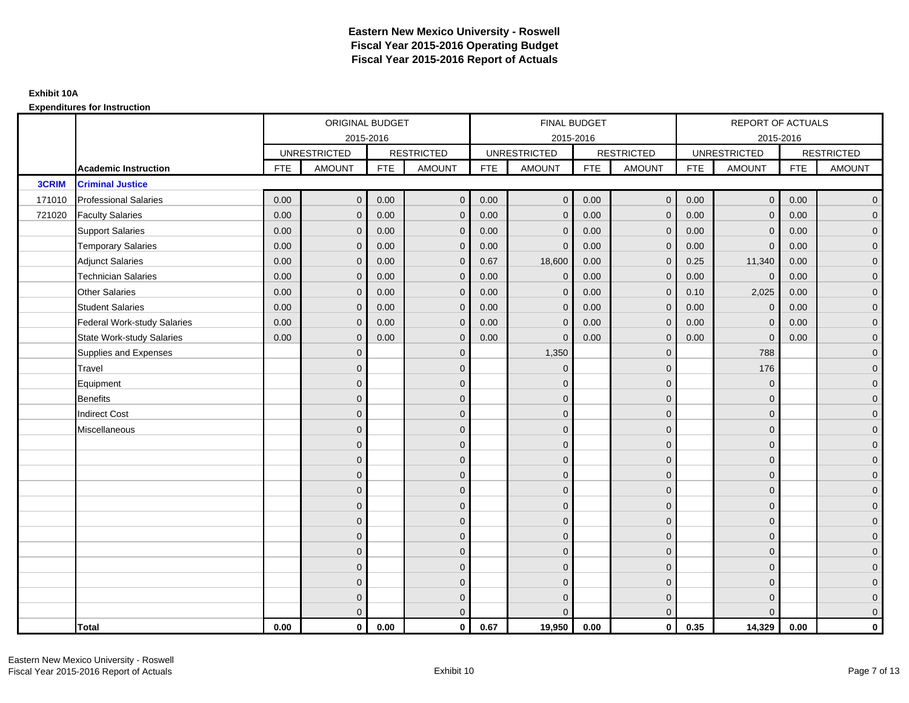|        |                                    |            | ORIGINAL BUDGET     |            |                   |            | <b>FINAL BUDGET</b> |            |                   |            | REPORT OF ACTUALS   |            |                   |
|--------|------------------------------------|------------|---------------------|------------|-------------------|------------|---------------------|------------|-------------------|------------|---------------------|------------|-------------------|
|        |                                    |            | 2015-2016           |            |                   |            | 2015-2016           |            |                   |            | 2015-2016           |            |                   |
|        |                                    |            | <b>UNRESTRICTED</b> |            | <b>RESTRICTED</b> |            | <b>UNRESTRICTED</b> |            | <b>RESTRICTED</b> |            | <b>UNRESTRICTED</b> |            | <b>RESTRICTED</b> |
|        | <b>Academic Instruction</b>        | <b>FTE</b> | <b>AMOUNT</b>       | <b>FTE</b> | <b>AMOUNT</b>     | <b>FTE</b> | <b>AMOUNT</b>       | <b>FTE</b> | <b>AMOUNT</b>     | <b>FTE</b> | <b>AMOUNT</b>       | <b>FTE</b> | <b>AMOUNT</b>     |
| 3CRIM  | <b>Criminal Justice</b>            |            |                     |            |                   |            |                     |            |                   |            |                     |            |                   |
| 171010 | <b>Professional Salaries</b>       | 0.00       | $\Omega$            | 0.00       | $\overline{0}$    | 0.00       | $\overline{0}$      | 0.00       | $\mathbf{0}$      | 0.00       | $\overline{0}$      | 0.00       | $\overline{0}$    |
| 721020 | <b>Faculty Salaries</b>            | 0.00       | $\mathbf 0$         | 0.00       | $\mathbf 0$       | 0.00       | $\mathbf{0}$        | 0.00       | $\mathbf{0}$      | 0.00       | $\mathbf 0$         | 0.00       | $\overline{0}$    |
|        | <b>Support Salaries</b>            | 0.00       | $\Omega$            | 0.00       | $\mathbf 0$       | 0.00       | $\mathbf{0}$        | 0.00       | $\mathbf 0$       | 0.00       | $\mathbf 0$         | 0.00       | $\overline{0}$    |
|        | <b>Temporary Salaries</b>          | 0.00       | $\mathbf{0}$        | 0.00       | $\overline{0}$    | 0.00       | $\Omega$            | 0.00       | $\Omega$          | 0.00       | $\mathbf{0}$        | 0.00       | $\overline{0}$    |
|        | <b>Adjunct Salaries</b>            | 0.00       | $\Omega$            | 0.00       | $\overline{0}$    | 0.67       | 18,600              | 0.00       | $\Omega$          | 0.25       | 11,340              | 0.00       | $\overline{0}$    |
|        | <b>Technician Salaries</b>         | 0.00       | $\Omega$            | 0.00       | $\mathbf{0}$      | 0.00       | $\mathbf{0}$        | 0.00       | $\mathbf{0}$      | 0.00       | $\mathbf 0$         | 0.00       | $\mathbf{0}$      |
|        | <b>Other Salaries</b>              | 0.00       | $\mathbf{0}$        | 0.00       | $\overline{0}$    | 0.00       | $\mathbf{0}$        | 0.00       | $\mathbf{0}$      | 0.10       | 2,025               | 0.00       | $\overline{0}$    |
|        | <b>Student Salaries</b>            | 0.00       | $\Omega$            | 0.00       | $\mathbf 0$       | 0.00       | $\mathbf{0}$        | 0.00       | $\mathbf{0}$      | 0.00       | $\mathbf 0$         | 0.00       | $\overline{0}$    |
|        | <b>Federal Work-study Salaries</b> | 0.00       | $\mathbf 0$         | 0.00       | $\mathbf 0$       | 0.00       | $\mathbf{0}$        | 0.00       | $\Omega$          | 0.00       | $\mathbf 0$         | 0.00       | $\overline{0}$    |
|        | State Work-study Salaries          | 0.00       | $\mathbf{0}$        | 0.00       | $\overline{0}$    | 0.00       | $\mathbf{0}$        | 0.00       | $\mathbf{0}$      | 0.00       | $\mathbf{0}$        | 0.00       | $\overline{0}$    |
|        | Supplies and Expenses              |            | $\Omega$            |            | $\mathbf{0}$      |            | 1,350               |            | $\mathbf 0$       |            | 788                 |            | $\mathbf{0}$      |
|        | <b>Travel</b>                      |            | $\Omega$            |            | $\mathbf 0$       |            | $\mathbf{0}$        |            | $\mathbf{0}$      |            | 176                 |            | $\overline{0}$    |
|        | Equipment                          |            | $\Omega$            |            | $\mathbf 0$       |            | $\mathbf{0}$        |            | $\mathbf 0$       |            | $\mathbf 0$         |            | $\overline{0}$    |
|        | <b>Benefits</b>                    |            | $\mathbf{0}$        |            | $\mathbf 0$       |            | $\Omega$            |            | $\mathbf 0$       |            | $\mathbf{0}$        |            | $\overline{0}$    |
|        | <b>Indirect Cost</b>               |            | $\Omega$            |            | $\overline{0}$    |            | $\Omega$            |            | $\Omega$          |            | $\Omega$            |            | $\overline{0}$    |
|        | Miscellaneous                      |            | $\Omega$            |            | $\mathbf 0$       |            | $\mathbf{0}$        |            | $\Omega$          |            | $\mathbf{0}$        |            | $\mathbf{0}$      |
|        |                                    |            | $\Omega$            |            | $\mathbf 0$       |            | $\mathbf{0}$        |            | $\mathbf{0}$      |            | $\mathbf{0}$        |            | $\overline{0}$    |
|        |                                    |            | $\Omega$            |            | $\mathbf 0$       |            | $\mathbf{0}$        |            | $\mathbf{0}$      |            | $\mathbf{0}$        |            | $\overline{0}$    |
|        |                                    |            | $\Omega$            |            | $\mathbf 0$       |            | $\mathbf{0}$        |            | $\mathbf 0$       |            | $\mathbf{0}$        |            | $\overline{0}$    |
|        |                                    |            | $\Omega$            |            | $\mathbf 0$       |            | $\Omega$            |            | $\mathbf{0}$      |            | $\mathbf{0}$        |            | $\mathbf{0}$      |
|        |                                    |            | $\Omega$            |            | $\mathbf 0$       |            | $\Omega$            |            | $\overline{0}$    |            | $\Omega$            |            | $\mathbf{0}$      |
|        |                                    |            | $\Omega$            |            | $\mathbf 0$       |            | $\Omega$            |            | $\mathbf{0}$      |            | $\Omega$            |            | $\overline{0}$    |
|        |                                    |            | $\Omega$            |            | $\mathbf 0$       |            | $\mathbf{0}$        |            | $\mathbf 0$       |            | $\mathbf{0}$        |            | $\overline{0}$    |
|        |                                    |            | $\mathbf{0}$        |            | $\mathbf 0$       |            | $\Omega$            |            | $\mathbf 0$       |            | $\mathbf{0}$        |            | $\overline{0}$    |
|        |                                    |            | $\Omega$            |            | $\mathbf 0$       |            | $\Omega$            |            | $\mathbf{0}$      |            | $\Omega$            |            | $\overline{0}$    |
|        |                                    |            | $\Omega$            |            | $\mathbf 0$       |            | $\mathbf{0}$        |            | $\mathbf 0$       |            | $\mathbf{0}$        |            | $\mathbf{0}$      |
|        |                                    |            | $\mathbf{0}$        |            | $\mathbf 0$       |            | $\Omega$            |            | $\mathbf{0}$      |            | $\mathbf{0}$        |            | $\mathbf{0}$      |
|        |                                    |            | $\Omega$            |            | $\overline{0}$    |            | $\Omega$            |            | $\mathbf{0}$      |            | $\Omega$            |            | $\overline{0}$    |
|        | <b>Total</b>                       | 0.00       | $\mathbf{0}$        | 0.00       | $\mathbf{0}$      | 0.67       | 19,950              | 0.00       | $\mathbf{0}$      | 0.35       | 14,329              | 0.00       | $\mathbf 0$       |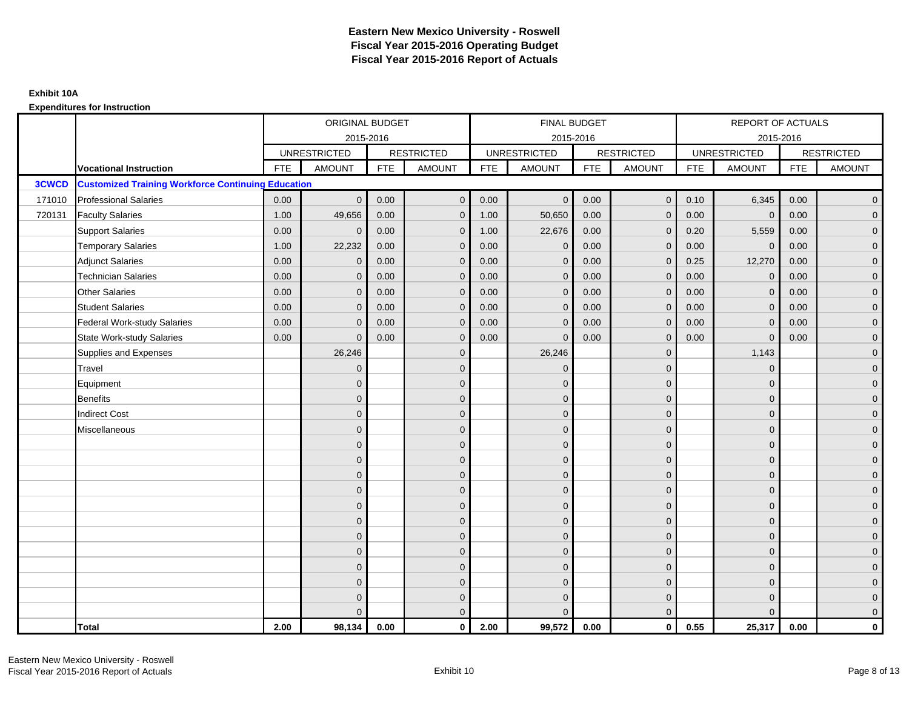|        |                                                           |            | ORIGINAL BUDGET     |            |                   |            | FINAL BUDGET        |            |                   |            | REPORT OF ACTUALS   |            |                   |
|--------|-----------------------------------------------------------|------------|---------------------|------------|-------------------|------------|---------------------|------------|-------------------|------------|---------------------|------------|-------------------|
|        |                                                           |            | 2015-2016           |            |                   |            | 2015-2016           |            |                   |            | 2015-2016           |            |                   |
|        |                                                           |            | <b>UNRESTRICTED</b> |            | <b>RESTRICTED</b> |            | <b>UNRESTRICTED</b> |            | <b>RESTRICTED</b> |            | <b>UNRESTRICTED</b> |            | <b>RESTRICTED</b> |
|        | <b>Vocational Instruction</b>                             | <b>FTE</b> | <b>AMOUNT</b>       | <b>FTE</b> | <b>AMOUNT</b>     | <b>FTE</b> | <b>AMOUNT</b>       | <b>FTE</b> | <b>AMOUNT</b>     | <b>FTE</b> | <b>AMOUNT</b>       | <b>FTE</b> | <b>AMOUNT</b>     |
| 3CWCD  | <b>Customized Training Workforce Continuing Education</b> |            |                     |            |                   |            |                     |            |                   |            |                     |            |                   |
| 171010 | <b>Professional Salaries</b>                              | 0.00       | $\mathbf{0}$        | 0.00       | $\overline{0}$    | 0.00       | $\overline{0}$      | 0.00       | $\overline{0}$    | 0.10       | 6,345               | 0.00       | $\mathbf 0$       |
| 720131 | <b>Faculty Salaries</b>                                   | 1.00       | 49,656              | 0.00       | $\mathbf{0}$      | 1.00       | 50,650              | 0.00       | $\Omega$          | 0.00       | $\mathbf{0}$        | 0.00       | $\mathbf 0$       |
|        | <b>Support Salaries</b>                                   | 0.00       | $\Omega$            | 0.00       | $\mathbf 0$       | 1.00       | 22,676              | 0.00       | $\mathbf{0}$      | 0.20       | 5,559               | 0.00       | $\overline{0}$    |
|        | <b>Temporary Salaries</b>                                 | 1.00       | 22,232              | $0.00\,$   | $\mathbf{0}$      | 0.00       | $\mathbf 0$         | 0.00       | $\Omega$          | 0.00       | $\mathbf 0$         | 0.00       | $\mathbf 0$       |
|        | <b>Adjunct Salaries</b>                                   | 0.00       | $\mathbf{0}$        | 0.00       | $\mathbf{0}$      | 0.00       | $\mathbf{0}$        | 0.00       | $\mathbf 0$       | 0.25       | 12,270              | 0.00       | $\mathbf{0}$      |
|        | <b>Technician Salaries</b>                                | 0.00       | $\Omega$            | 0.00       | $\mathbf{0}$      | 0.00       | $\Omega$            | 0.00       | $\mathbf 0$       | 0.00       | $\mathbf{0}$        | 0.00       | $\pmb{0}$         |
|        | Other Salaries                                            | 0.00       | $\mathbf{0}$        | 0.00       | $\mathbf{0}$      | 0.00       | $\Omega$            | 0.00       | $\Omega$          | 0.00       | $\overline{0}$      | 0.00       | $\overline{0}$    |
|        | <b>Student Salaries</b>                                   | 0.00       | $\mathbf 0$         | 0.00       | $\mathbf 0$       | 0.00       | $\overline{0}$      | 0.00       | $\mathbf{0}$      | 0.00       | $\mathbf 0$         | 0.00       | $\overline{0}$    |
|        | <b>Federal Work-study Salaries</b>                        | 0.00       | $\mathbf{0}$        | 0.00       | $\mathbf{0}$      | 0.00       | $\mathbf{0}$        | 0.00       | $\Omega$          | 0.00       | $\mathbf 0$         | 0.00       | $\mathbf 0$       |
|        | State Work-study Salaries                                 | 0.00       | $\mathbf{0}$        | 0.00       | $\mathbf{0}$      | 0.00       | $\mathbf{0}$        | 0.00       | $\Omega$          | 0.00       | $\mathbf{0}$        | 0.00       | $\mathbf 0$       |
|        | Supplies and Expenses                                     |            | 26,246              |            | $\mathbf{0}$      |            | 26,246              |            | $\mathbf{0}$      |            | 1,143               |            | $\mathbf 0$       |
|        | Travel                                                    |            | $\Omega$            |            | $\mathbf{0}$      |            | $\Omega$            |            | $\mathbf{0}$      |            | $\mathbf{0}$        |            | $\overline{0}$    |
|        | Equipment                                                 |            | $\Omega$            |            | $\mathbf 0$       |            | $\mathbf{0}$        |            | $\mathbf 0$       |            | $\mathbf{0}$        |            | $\overline{0}$    |
|        | Benefits                                                  |            | $\Omega$            |            | $\mathbf{0}$      |            | $\Omega$            |            | $\mathbf{0}$      |            | $\mathbf{0}$        |            | $\overline{0}$    |
|        | <b>Indirect Cost</b>                                      |            | $\Omega$            |            | $\mathbf{0}$      |            | $\Omega$            |            | $\mathbf{0}$      |            | $\Omega$            |            | $\mathbf{0}$      |
|        | Miscellaneous                                             |            | $\Omega$            |            | $\mathbf{0}$      |            | $\Omega$            |            | $\mathbf{0}$      |            | $\Omega$            |            | $\mathbf 0$       |
|        |                                                           |            | $\mathbf{0}$        |            | $\mathbf 0$       |            | $\mathbf{0}$        |            | $\mathbf 0$       |            | $\mathbf{0}$        |            | $\overline{0}$    |
|        |                                                           |            | $\Omega$            |            | $\mathbf 0$       |            | $\mathbf{0}$        |            | $\mathbf 0$       |            | $\mathbf{0}$        |            | $\mathbf 0$       |
|        |                                                           |            | $\Omega$            |            | $\mathbf{0}$      |            | $\Omega$            |            | $\mathbf{0}$      |            | $\mathbf{0}$        |            | $\overline{0}$    |
|        |                                                           |            | $\Omega$            |            | $\mathbf{0}$      |            | $\Omega$            |            | $\Omega$          |            | $\Omega$            |            | $\overline{0}$    |
|        |                                                           |            | $\Omega$            |            | $\mathbf 0$       |            | $\mathbf{0}$        |            | $\mathbf 0$       |            | $\mathbf{0}$        |            | $\pmb{0}$         |
|        |                                                           |            | $\mathbf{0}$        |            | $\mathbf 0$       |            | $\mathbf{0}$        |            | $\mathbf{0}$      |            | $\mathbf{0}$        |            | $\overline{0}$    |
|        |                                                           |            | $\Omega$            |            | $\mathbf{0}$      |            | $\mathbf{0}$        |            | $\mathbf{0}$      |            | $\mathbf{0}$        |            | $\mathbf 0$       |
|        |                                                           |            | $\Omega$            |            | $\mathbf{0}$      |            | $\Omega$            |            | $\mathbf{0}$      |            | $\Omega$            |            | $\mathbf 0$       |
|        |                                                           |            | $\overline{0}$      |            | $\mathbf 0$       |            | $\Omega$            |            | $\mathbf{0}$      |            | $\mathbf{0}$        |            | $\pmb{0}$         |
|        |                                                           |            | $\Omega$            |            | $\mathbf 0$       |            | $\Omega$            |            | $\mathbf{0}$      |            | $\mathbf{0}$        |            | $\mathbf 0$       |
|        |                                                           |            | $\Omega$            |            | $\mathbf 0$       |            | $\Omega$            |            | $\mathbf{0}$      |            | $\overline{0}$      |            | $\mathbf 0$       |
|        |                                                           |            | $\Omega$            |            | $\mathbf{0}$      |            | $\Omega$            |            | $\mathbf{0}$      |            | $\Omega$            |            | $\mathbf 0$       |
|        | <b>Total</b>                                              | 2.00       | 98,134              | 0.00       | $\mathbf{0}$      | 2.00       | 99,572              | 0.00       | $\mathbf{0}$      | 0.55       | 25,317              | 0.00       | $\mathbf{0}$      |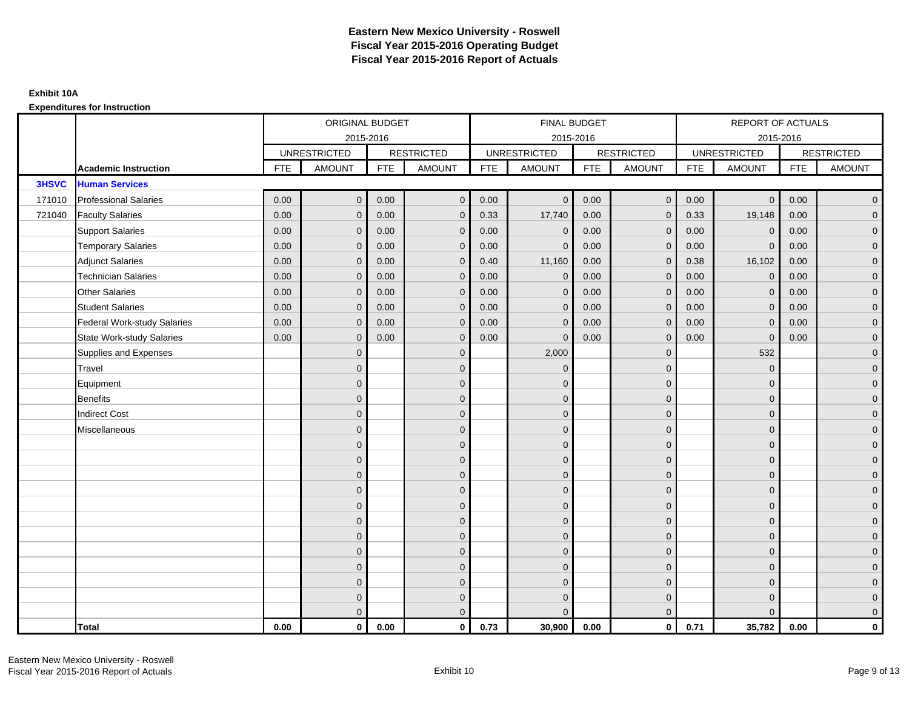|              |                                    |            | ORIGINAL BUDGET     |            |                   |            | FINAL BUDGET        |            |                   |            | REPORT OF ACTUALS   |            |                     |
|--------------|------------------------------------|------------|---------------------|------------|-------------------|------------|---------------------|------------|-------------------|------------|---------------------|------------|---------------------|
|              |                                    |            | 2015-2016           |            |                   |            | 2015-2016           |            |                   |            | 2015-2016           |            |                     |
|              |                                    |            | <b>UNRESTRICTED</b> |            | <b>RESTRICTED</b> |            | <b>UNRESTRICTED</b> |            | <b>RESTRICTED</b> |            | <b>UNRESTRICTED</b> |            | <b>RESTRICTED</b>   |
|              | <b>Academic Instruction</b>        | <b>FTE</b> | <b>AMOUNT</b>       | <b>FTE</b> | <b>AMOUNT</b>     | <b>FTE</b> | <b>AMOUNT</b>       | <b>FTE</b> | <b>AMOUNT</b>     | <b>FTE</b> | <b>AMOUNT</b>       | <b>FTE</b> | <b>AMOUNT</b>       |
| <b>3HSVC</b> | <b>Human Services</b>              |            |                     |            |                   |            |                     |            |                   |            |                     |            |                     |
| 171010       | <b>Professional Salaries</b>       | 0.00       | $\mathbf{0}$        | 0.00       | $\mathbf{0}$      | 0.00       | $\overline{0}$      | 0.00       | $\overline{0}$    | 0.00       | $\overline{0}$      | 0.00       | $\overline{0}$      |
| 721040       | <b>Faculty Salaries</b>            | 0.00       | $\mathbf{0}$        | 0.00       | $\mathbf{0}$      | 0.33       | 17,740              | 0.00       | $\Omega$          | 0.33       | 19,148              | 0.00       | $\overline{0}$      |
|              | <b>Support Salaries</b>            | 0.00       | $\mathbf 0$         | 0.00       | $\mathbf 0$       | 0.00       | $\mathbf 0$         | 0.00       | $\mathbf 0$       | 0.00       | $\overline{0}$      | 0.00       | $\overline{0}$      |
|              | <b>Temporary Salaries</b>          | 0.00       | $\mathbf{0}$        | 0.00       | $\mathbf{0}$      | 0.00       | $\mathbf{0}$        | 0.00       | $\mathbf{0}$      | 0.00       | $\mathbf 0$         | 0.00       | $\overline{0}$      |
|              | <b>Adjunct Salaries</b>            | 0.00       | $\mathbf{0}$        | 0.00       | $\mathbf{0}$      | 0.40       | 11,160              | 0.00       | $\mathbf{0}$      | 0.38       | 16,102              | 0.00       | $\overline{0}$      |
|              | <b>Technician Salaries</b>         | 0.00       | $\Omega$            | 0.00       | $\Omega$          | 0.00       | $\mathbf{0}$        | 0.00       | $\mathbf{0}$      | 0.00       | $\mathbf{0}$        | 0.00       | $\overline{0}$      |
|              | <b>Other Salaries</b>              | 0.00       | $\mathbf 0$         | 0.00       | $\mathbf 0$       | 0.00       | $\mathbf{0}$        | 0.00       | $\mathbf{0}$      | 0.00       | $\mathbf 0$         | 0.00       | $\overline{0}$      |
|              | <b>Student Salaries</b>            | 0.00       | $\mathbf{0}$        | 0.00       | $\mathbf 0$       | 0.00       | $\mathbf{0}$        | 0.00       | $\mathbf 0$       | 0.00       | $\overline{0}$      | 0.00       | $\overline{0}$      |
|              | <b>Federal Work-study Salaries</b> | 0.00       | $\mathbf{0}$        | 0.00       | $\mathbf{0}$      | 0.00       | $\mathbf{0}$        | 0.00       | $\overline{0}$    | 0.00       | $\mathbf 0$         | 0.00       | $\overline{0}$      |
|              | <b>State Work-study Salaries</b>   | 0.00       | $\mathbf{0}$        | 0.00       | $\mathbf{0}$      | 0.00       | $\mathbf{0}$        | 0.00       | $\mathbf{0}$      | 0.00       | $\mathbf 0$         | 0.00       | $\overline{0}$      |
|              | Supplies and Expenses              |            | $\Omega$            |            | $\mathbf 0$       |            | 2,000               |            | $\overline{0}$    |            | 532                 |            | $\mathbf{0}$        |
|              | Travel                             |            | $\mathbf{0}$        |            | $\mathbf 0$       |            | $\mathbf{0}$        |            | $\mathbf{0}$      |            | $\mathbf 0$         |            | $\mathbf{0}$        |
|              | Equipment                          |            | $\Omega$            |            | $\mathbf 0$       |            | $\mathbf{0}$        |            | $\mathbf 0$       |            | $\mathbf{0}$        |            | $\overline{0}$      |
|              | <b>Benefits</b>                    |            | $\overline{0}$      |            | $\mathbf 0$       |            | $\mathbf{0}$        |            | $\mathbf 0$       |            | $\mathbf{0}$        |            | $\mathbf{0}$        |
|              | <b>Indirect Cost</b>               |            | $\mathbf{0}$        |            | $\overline{0}$    |            | $\Omega$            |            | $\overline{0}$    |            | $\mathbf{0}$        |            | $\mathbf{0}$        |
|              | Miscellaneous                      |            | $\Omega$            |            | $\mathbf 0$       |            | $\mathbf{0}$        |            | $\mathbf{0}$      |            | $\mathbf 0$         |            | $\mathsf{O}\xspace$ |
|              |                                    |            | $\overline{0}$      |            | $\mathbf 0$       |            | $\Omega$            |            | $\mathbf{0}$      |            | $\Omega$            |            | $\overline{0}$      |
|              |                                    |            | $\Omega$            |            | $\mathbf 0$       |            | $\mathbf{0}$        |            | $\mathbf 0$       |            | $\mathbf 0$         |            | $\mathsf{O}\xspace$ |
|              |                                    |            | $\Omega$            |            | $\mathbf 0$       |            | $\Omega$            |            | $\mathbf 0$       |            | $\mathbf{0}$        |            | $\overline{0}$      |
|              |                                    |            | $\Omega$            |            | $\mathbf 0$       |            | $\Omega$            |            | $\mathbf{0}$      |            | $\mathbf{0}$        |            | $\overline{0}$      |
|              |                                    |            | $\Omega$            |            | $\mathbf{0}$      |            | $\Omega$            |            | $\mathbf{0}$      |            | $\Omega$            |            | $\mathbf{0}$        |
|              |                                    |            | $\mathbf{0}$        |            | $\mathbf 0$       |            | $\mathbf{0}$        |            | $\mathbf 0$       |            | $\mathbf{0}$        |            | $\overline{0}$      |
|              |                                    |            | $\Omega$            |            | $\mathbf 0$       |            | $\mathbf{0}$        |            | $\mathbf 0$       |            | $\mathbf{0}$        |            | $\overline{0}$      |
|              |                                    |            | $\Omega$            |            | $\mathbf 0$       |            | $\Omega$            |            | $\mathbf{0}$      |            | $\mathbf{0}$        |            | $\overline{0}$      |
|              |                                    |            | $\Omega$            |            | $\mathbf{0}$      |            | $\Omega$            |            | $\mathbf{0}$      |            | $\Omega$            |            | $\overline{0}$      |
|              |                                    |            | $\Omega$            |            | $\mathbf 0$       |            | $\mathbf{0}$        |            | $\mathbf 0$       |            | $\mathbf{0}$        |            | $\mathbf{0}$        |
|              |                                    |            | $\mathbf{0}$        |            | $\overline{0}$    |            | $\mathbf{0}$        |            | $\mathbf 0$       |            | $\mathbf{0}$        |            | $\mathbf{0}$        |
|              |                                    |            | $\Omega$            |            | $\mathbf{0}$      |            | $\Omega$            |            | $\mathbf{0}$      |            | $\Omega$            |            | $\overline{0}$      |
|              | <b>Total</b>                       | 0.00       | $\mathbf{0}$        | 0.00       | $\mathbf{0}$      | 0.73       | 30,900              | 0.00       | $\mathbf{0}$      | 0.71       | 35,782              | 0.00       | $\mathbf 0$         |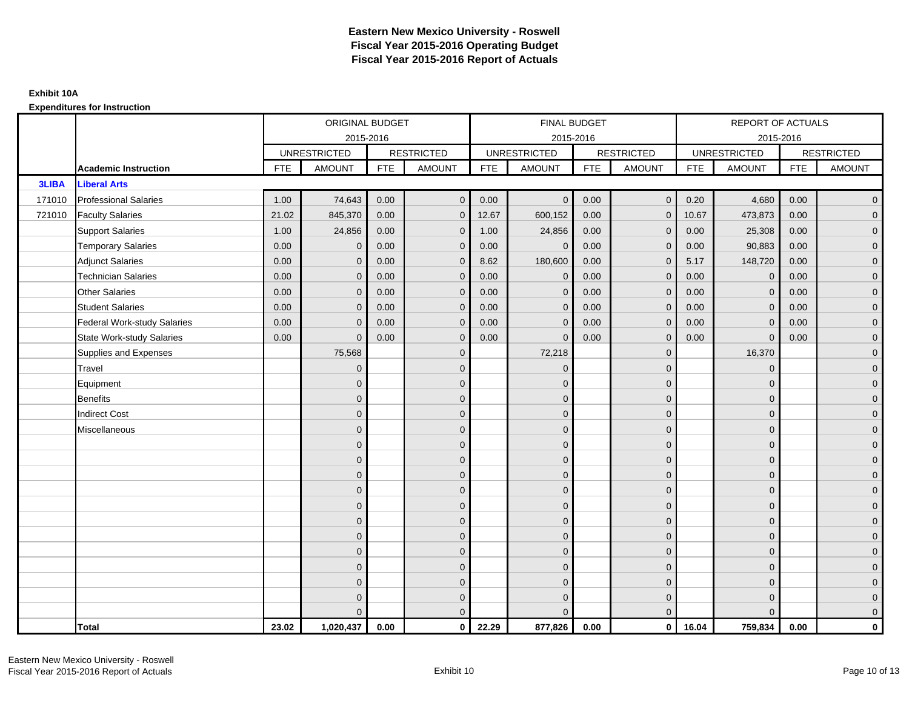|              |                                    |            | ORIGINAL BUDGET     |            |                   |            | FINAL BUDGET        |            |                   |            | REPORT OF ACTUALS   |            |                     |
|--------------|------------------------------------|------------|---------------------|------------|-------------------|------------|---------------------|------------|-------------------|------------|---------------------|------------|---------------------|
|              |                                    |            | 2015-2016           |            |                   |            | 2015-2016           |            |                   |            | 2015-2016           |            |                     |
|              |                                    |            | <b>UNRESTRICTED</b> |            | <b>RESTRICTED</b> |            | <b>UNRESTRICTED</b> |            | <b>RESTRICTED</b> |            | <b>UNRESTRICTED</b> |            | <b>RESTRICTED</b>   |
|              | <b>Academic Instruction</b>        | <b>FTE</b> | <b>AMOUNT</b>       | <b>FTE</b> | <b>AMOUNT</b>     | <b>FTE</b> | <b>AMOUNT</b>       | <b>FTE</b> | <b>AMOUNT</b>     | <b>FTE</b> | <b>AMOUNT</b>       | <b>FTE</b> | <b>AMOUNT</b>       |
| <b>3LIBA</b> | <b>Liberal Arts</b>                |            |                     |            |                   |            |                     |            |                   |            |                     |            |                     |
| 171010       | <b>Professional Salaries</b>       | 1.00       | 74,643              | 0.00       | $\mathbf{0}$      | 0.00       | $\Omega$            | 0.00       | $\mathbf{0}$      | 0.20       | 4,680               | 0.00       | $\overline{0}$      |
| 721010       | <b>Faculty Salaries</b>            | 21.02      | 845,370             | 0.00       | $\mathbf{0}$      | 12.67      | 600,152             | 0.00       | $\Omega$          | 10.67      | 473,873             | 0.00       | $\overline{0}$      |
|              | <b>Support Salaries</b>            | 1.00       | 24,856              | 0.00       | $\mathbf 0$       | 1.00       | 24,856              | 0.00       | $\mathbf{0}$      | 0.00       | 25,308              | 0.00       | $\overline{0}$      |
|              | <b>Temporary Salaries</b>          | 0.00       | $\mathbf{0}$        | 0.00       | $\mathbf{0}$      | 0.00       | $\mathbf{0}$        | 0.00       | 0                 | 0.00       | 90,883              | 0.00       | $\overline{0}$      |
|              | <b>Adjunct Salaries</b>            | 0.00       | $\Omega$            | 0.00       | $\mathbf{0}$      | 8.62       | 180,600             | 0.00       | $\mathbf{0}$      | 5.17       | 148,720             | 0.00       | $\overline{0}$      |
|              | <b>Technician Salaries</b>         | 0.00       | $\Omega$            | 0.00       | $\Omega$          | 0.00       | $\Omega$            | 0.00       | $\Omega$          | 0.00       | $\mathbf{0}$        | 0.00       | $\overline{0}$      |
|              | <b>Other Salaries</b>              | 0.00       | $\mathbf{0}$        | 0.00       | $\mathbf 0$       | 0.00       | $\mathbf{0}$        | 0.00       | $\mathbf 0$       | 0.00       | $\overline{0}$      | 0.00       | $\overline{0}$      |
|              | <b>Student Salaries</b>            | 0.00       | $\mathbf{0}$        | 0.00       | $\mathbf 0$       | 0.00       | $\mathbf{0}$        | 0.00       | $\mathbf 0$       | 0.00       | $\mathbf 0$         | 0.00       | $\overline{0}$      |
|              | <b>Federal Work-study Salaries</b> | 0.00       | $\mathbf{0}$        | 0.00       | $\mathbf{0}$      | 0.00       | $\mathbf{0}$        | 0.00       | $\Omega$          | 0.00       | $\mathbf{0}$        | 0.00       | $\overline{0}$      |
|              | <b>State Work-study Salaries</b>   | 0.00       | $\Omega$            | 0.00       | $\mathbf{0}$      | 0.00       | $\mathbf{0}$        | 0.00       | $\mathbf{0}$      | 0.00       | $\Omega$            | 0.00       | $\overline{0}$      |
|              | Supplies and Expenses              |            | 75,568              |            | $\mathbf 0$       |            | 72,218              |            | $\mathbf 0$       |            | 16,370              |            | $\mathbf{0}$        |
|              | Travel                             |            | $\mathbf{0}$        |            | $\mathbf 0$       |            | $\mathbf{0}$        |            | $\mathbf{0}$      |            | $\mathbf 0$         |            | $\mathbf{0}$        |
|              | Equipment                          |            | $\Omega$            |            | $\mathbf{0}$      |            | $\Omega$            |            | $\mathbf{0}$      |            | $\mathbf{0}$        |            | $\overline{0}$      |
|              | <b>Benefits</b>                    |            | $\Omega$            |            | $\mathbf 0$       |            | $\mathbf{0}$        |            | $\mathbf 0$       |            | $\mathbf 0$         |            | $\overline{0}$      |
|              | <b>Indirect Cost</b>               |            | $\Omega$            |            | $\mathbf 0$       |            | $\Omega$            |            | $\mathbf{0}$      |            | $\mathbf{0}$        |            | $\mathbf{0}$        |
|              | Miscellaneous                      |            | $\Omega$            |            | $\mathbf 0$       |            | $\Omega$            |            | $\mathbf{0}$      |            | $\mathbf{0}$        |            | $\mathbf{0}$        |
|              |                                    |            | $\overline{0}$      |            | $\mathbf 0$       |            | $\Omega$            |            | $\mathbf{0}$      |            | $\Omega$            |            | $\overline{0}$      |
|              |                                    |            | $\Omega$            |            | $\mathbf 0$       |            | $\mathbf{0}$        |            | $\mathbf 0$       |            | $\mathbf{0}$        |            | $\mathsf{O}\xspace$ |
|              |                                    |            | $\Omega$            |            | $\mathbf 0$       |            | $\mathbf{0}$        |            | $\mathbf 0$       |            | $\mathbf{0}$        |            | $\overline{0}$      |
|              |                                    |            | $\Omega$            |            | $\mathbf{0}$      |            | $\mathbf{0}$        |            | $\mathbf 0$       |            | $\mathbf 0$         |            | $\overline{0}$      |
|              |                                    |            | $\Omega$            |            | $\mathbf{0}$      |            | $\Omega$            |            | $\mathbf{0}$      |            | $\Omega$            |            | $\overline{0}$      |
|              |                                    |            | $\mathbf{0}$        |            | $\mathbf 0$       |            | $\mathbf{0}$        |            | $\mathbf 0$       |            | $\mathbf{0}$        |            | $\overline{0}$      |
|              |                                    |            | $\Omega$            |            | $\mathbf{0}$      |            | $\Omega$            |            | $\mathbf{0}$      |            | $\mathbf{0}$        |            | $\overline{0}$      |
|              |                                    |            | $\mathbf{0}$        |            | $\mathbf{0}$      |            | $\Omega$            |            | $\mathbf{0}$      |            | $\mathbf 0$         |            | $\overline{0}$      |
|              |                                    |            | $\Omega$            |            | $\mathbf{0}$      |            | $\Omega$            |            | $\mathbf{0}$      |            | $\Omega$            |            | $\mathsf{O}\xspace$ |
|              |                                    |            | $\Omega$            |            | $\mathbf 0$       |            | $\mathbf{0}$        |            | $\mathbf 0$       |            | $\mathbf{0}$        |            | $\mathbf{0}$        |
|              |                                    |            | $\Omega$            |            | $\overline{0}$    |            | $\mathbf{0}$        |            | $\mathbf 0$       |            | $\mathbf{0}$        |            | $\overline{0}$      |
|              |                                    |            | $\Omega$            |            | $\mathbf{0}$      |            | $\Omega$            |            | $\mathbf{0}$      |            | $\Omega$            |            | $\mathbf 0$         |
|              | <b>Total</b>                       | 23.02      | 1,020,437           | 0.00       | $\mathbf{0}$      | 22.29      | 877,826             | 0.00       | $\mathbf{0}$      | 16.04      | 759,834             | 0.00       | $\mathbf{0}$        |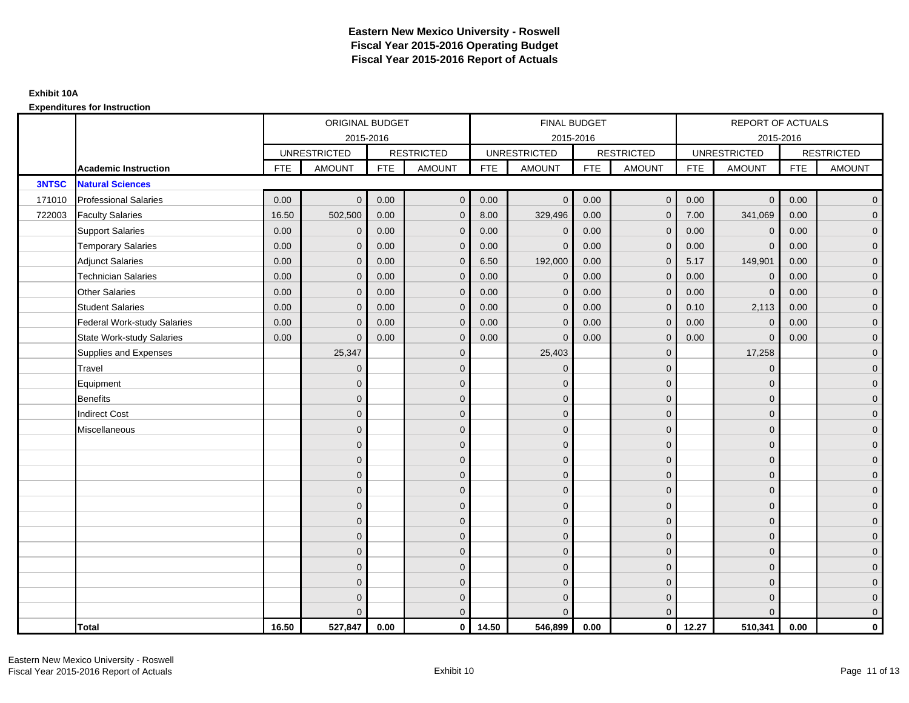|              |                                    |            | ORIGINAL BUDGET     |            |                   |            | <b>FINAL BUDGET</b> |            |                   |            | REPORT OF ACTUALS   |            |                     |
|--------------|------------------------------------|------------|---------------------|------------|-------------------|------------|---------------------|------------|-------------------|------------|---------------------|------------|---------------------|
|              |                                    |            | 2015-2016           |            |                   |            | 2015-2016           |            |                   |            | 2015-2016           |            |                     |
|              |                                    |            | <b>UNRESTRICTED</b> |            | <b>RESTRICTED</b> |            | <b>UNRESTRICTED</b> |            | <b>RESTRICTED</b> |            | <b>UNRESTRICTED</b> |            | <b>RESTRICTED</b>   |
|              | <b>Academic Instruction</b>        | <b>FTE</b> | <b>AMOUNT</b>       | <b>FTE</b> | <b>AMOUNT</b>     | <b>FTE</b> | <b>AMOUNT</b>       | <b>FTE</b> | <b>AMOUNT</b>     | <b>FTE</b> | <b>AMOUNT</b>       | <b>FTE</b> | <b>AMOUNT</b>       |
| <b>3NTSC</b> | <b>Natural Sciences</b>            |            |                     |            |                   |            |                     |            |                   |            |                     |            |                     |
| 171010       | <b>Professional Salaries</b>       | 0.00       | $\mathbf{0}$        | 0.00       | $\overline{0}$    | 0.00       | $\overline{0}$      | 0.00       | $\overline{0}$    | 0.00       | $\overline{0}$      | 0.00       | $\overline{0}$      |
| 722003       | <b>Faculty Salaries</b>            | 16.50      | 502,500             | 0.00       | $\mathbf{0}$      | 8.00       | 329,496             | 0.00       | $\mathbf{0}$      | 7.00       | 341,069             | 0.00       | $\overline{0}$      |
|              | <b>Support Salaries</b>            | 0.00       | $\mathbf{0}$        | 0.00       | $\mathbf{0}$      | 0.00       | $\mathbf{0}$        | 0.00       | $\mathbf{0}$      | 0.00       | $\mathbf 0$         | 0.00       | $\overline{0}$      |
|              | <b>Temporary Salaries</b>          | 0.00       | $\mathbf 0$         | 0.00       | $\mathbf 0$       | 0.00       | $\mathbf{0}$        | 0.00       | 0                 | 0.00       | $\mathbf 0$         | 0.00       | $\mathbf{0}$        |
|              | <b>Adjunct Salaries</b>            | 0.00       | $\mathbf{0}$        | 0.00       | $\mathbf{0}$      | 6.50       | 192,000             | 0.00       | $\mathbf{0}$      | 5.17       | 149,901             | 0.00       | $\overline{0}$      |
|              | <b>Technician Salaries</b>         | 0.00       | $\Omega$            | 0.00       | $\Omega$          | 0.00       | $\mathbf{0}$        | 0.00       | $\mathbf{0}$      | 0.00       | $\mathbf 0$         | 0.00       | $\mathbf{0}$        |
|              | <b>Other Salaries</b>              | 0.00       | $\mathbf{0}$        | 0.00       | $\mathbf{0}$      | 0.00       | $\overline{0}$      | 0.00       | $\mathbf{0}$      | 0.00       | $\overline{0}$      | 0.00       | $\overline{0}$      |
|              | <b>Student Salaries</b>            | 0.00       | $\mathbf 0$         | 0.00       | $\mathbf 0$       | 0.00       | $\mathbf 0$         | 0.00       | $\mathbf 0$       | 0.10       | 2,113               | 0.00       | $\mathsf{O}\xspace$ |
|              | <b>Federal Work-study Salaries</b> | 0.00       | $\mathbf{0}$        | 0.00       | $\mathbf{0}$      | 0.00       | $\mathbf{0}$        | 0.00       | $\mathbf 0$       | 0.00       | $\mathbf 0$         | 0.00       | $\overline{0}$      |
|              | <b>State Work-study Salaries</b>   | 0.00       | $\Omega$            | 0.00       | $\mathbf{0}$      | 0.00       | $\mathbf{0}$        | 0.00       | $\mathbf{0}$      | 0.00       | $\mathbf{0}$        | 0.00       | $\overline{0}$      |
|              | Supplies and Expenses              |            | 25,347              |            | $\mathbf{0}$      |            | 25,403              |            | $\mathbf{0}$      |            | 17,258              |            | $\overline{0}$      |
|              | Travel                             |            | $\overline{0}$      |            | $\mathbf{0}$      |            | $\mathbf{0}$        |            | $\mathbf{0}$      |            | $\mathbf{0}$        |            | $\overline{0}$      |
|              | Equipment                          |            | $\Omega$            |            | $\mathbf{0}$      |            | $\mathbf{0}$        |            | $\mathbf 0$       |            | $\mathbf{0}$        |            | $\overline{0}$      |
|              | <b>Benefits</b>                    |            | $\Omega$            |            | $\mathbf 0$       |            | $\mathbf{0}$        |            | $\mathbf 0$       |            | $\mathbf{0}$        |            | $\overline{0}$      |
|              | <b>Indirect Cost</b>               |            | $\Omega$            |            | $\mathbf{0}$      |            | $\Omega$            |            | $\mathbf{0}$      |            | $\Omega$            |            | $\overline{0}$      |
|              | Miscellaneous                      |            | $\Omega$            |            | $\mathbf{0}$      |            | $\Omega$            |            | $\mathbf{0}$      |            | $\Omega$            |            | $\overline{0}$      |
|              |                                    |            | $\mathbf{0}$        |            | $\mathbf 0$       |            | $\mathbf{0}$        |            | $\mathbf 0$       |            | $\mathbf{0}$        |            | $\overline{0}$      |
|              |                                    |            | $\Omega$            |            | $\mathbf{0}$      |            | $\mathbf{0}$        |            | $\mathbf 0$       |            | $\mathbf{0}$        |            | $\mathbf{0}$        |
|              |                                    |            | $\mathbf{0}$        |            | $\mathbf{0}$      |            | $\Omega$            |            | $\mathbf{0}$      |            | $\mathbf 0$         |            | $\overline{0}$      |
|              |                                    |            | $\Omega$            |            | $\mathbf{0}$      |            | $\Omega$            |            | $\mathbf{0}$      |            | $\Omega$            |            | $\overline{0}$      |
|              |                                    |            | $\overline{0}$      |            | $\mathbf 0$       |            | $\mathbf{0}$        |            | $\mathbf 0$       |            | $\mathbf{0}$        |            | $\mathsf{O}\xspace$ |
|              |                                    |            | $\Omega$            |            | $\mathbf 0$       |            | $\mathbf{0}$        |            | $\mathbf 0$       |            | $\mathbf{0}$        |            | $\overline{0}$      |
|              |                                    |            | $\Omega$            |            | $\mathbf{0}$      |            | $\Omega$            |            | $\mathbf 0$       |            | $\mathbf{0}$        |            | $\overline{0}$      |
|              |                                    |            | $\Omega$            |            | $\mathbf{0}$      |            | $\Omega$            |            | $\mathbf{0}$      |            | $\Omega$            |            | $\overline{0}$      |
|              |                                    |            | $\Omega$            |            | $\mathbf 0$       |            | $\mathbf{0}$        |            | $\mathbf 0$       |            | $\mathbf 0$         |            | $\mathsf{O}\xspace$ |
|              |                                    |            | $\mathbf{0}$        |            | $\mathbf 0$       |            | $\mathbf{0}$        |            | $\mathbf 0$       |            | $\mathbf{0}$        |            | $\overline{0}$      |
|              |                                    |            | $\Omega$            |            | $\overline{0}$    |            | $\mathbf{0}$        |            | $\mathbf 0$       |            | $\mathbf{0}$        |            | $\mathbf 0$         |
|              |                                    |            | U                   |            | $\mathbf{0}$      |            | $\Omega$            |            | $\Omega$          |            | $\Omega$            |            | $\mathbf{0}$        |
|              | <b>Total</b>                       | 16.50      | 527,847             | 0.00       | $\mathbf{0}$      | 14.50      | 546,899             | 0.00       | $\mathbf{0}$      | 12.27      | 510,341             | 0.00       | $\mathbf{0}$        |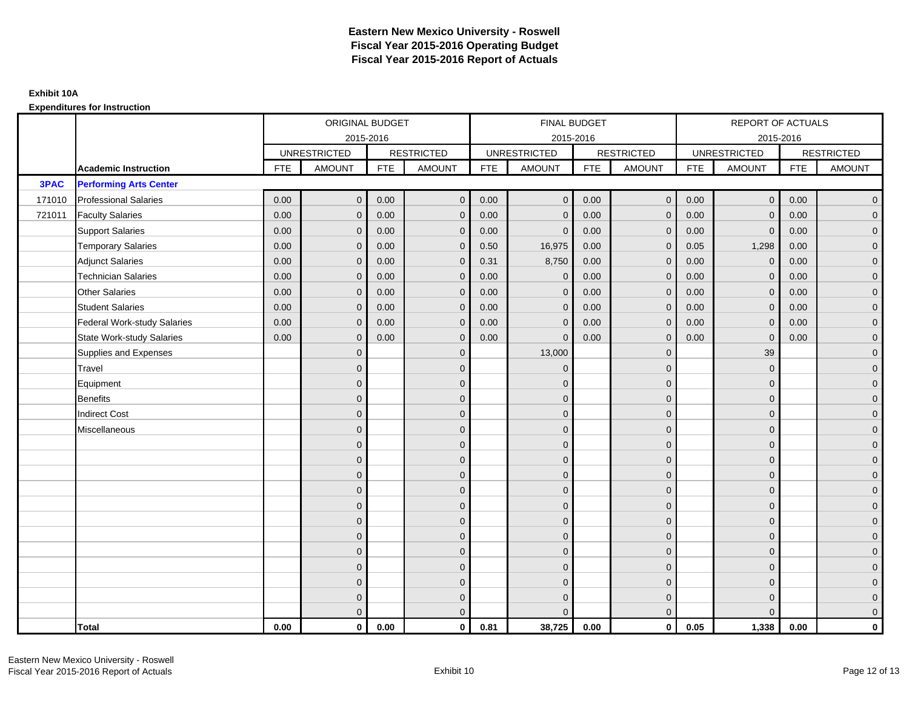|             |                                    | ORIGINAL BUDGET     |               |                   | <b>FINAL BUDGET</b> |                     |                |                   | REPORT OF ACTUALS |                     |                |                   |                |
|-------------|------------------------------------|---------------------|---------------|-------------------|---------------------|---------------------|----------------|-------------------|-------------------|---------------------|----------------|-------------------|----------------|
|             |                                    | 2015-2016           |               |                   | 2015-2016           |                     |                |                   | 2015-2016         |                     |                |                   |                |
|             |                                    | <b>UNRESTRICTED</b> |               | <b>RESTRICTED</b> |                     | <b>UNRESTRICTED</b> |                | <b>RESTRICTED</b> |                   | <b>UNRESTRICTED</b> |                | <b>RESTRICTED</b> |                |
|             | <b>Academic Instruction</b>        | <b>FTE</b>          | <b>AMOUNT</b> | <b>FTE</b>        | <b>AMOUNT</b>       | <b>FTE</b>          | <b>AMOUNT</b>  | <b>FTE</b>        | <b>AMOUNT</b>     | <b>FTE</b>          | <b>AMOUNT</b>  | <b>FTE</b>        | <b>AMOUNT</b>  |
| <b>3PAC</b> | <b>Performing Arts Center</b>      |                     |               |                   |                     |                     |                |                   |                   |                     |                |                   |                |
| 171010      | <b>Professional Salaries</b>       | 0.00                | $\Omega$      | 0.00              | $\overline{0}$      | 0.00                | $\overline{0}$ | 0.00              | $\mathbf{0}$      | 0.00                | $\overline{0}$ | 0.00              | $\overline{0}$ |
| 721011      | <b>Faculty Salaries</b>            | 0.00                | $\mathbf 0$   | 0.00              | $\mathbf 0$         | 0.00                | $\mathbf{0}$   | 0.00              | $\mathbf{0}$      | 0.00                | $\mathbf 0$    | 0.00              | $\overline{0}$ |
|             | <b>Support Salaries</b>            | 0.00                | $\Omega$      | 0.00              | $\mathbf 0$         | 0.00                | $\mathbf{0}$   | 0.00              | 0                 | 0.00                | $\mathbf 0$    | 0.00              | $\overline{0}$ |
|             | <b>Temporary Salaries</b>          | 0.00                | $\mathbf{0}$  | 0.00              | $\overline{0}$      | 0.50                | 16,975         | 0.00              | $\Omega$          | 0.05                | 1,298          | 0.00              | $\overline{0}$ |
|             | <b>Adjunct Salaries</b>            | 0.00                | $\Omega$      | 0.00              | $\overline{0}$      | 0.31                | 8,750          | 0.00              | $\Omega$          | 0.00                | $\mathbf{0}$   | 0.00              | $\overline{0}$ |
|             | <b>Technician Salaries</b>         | 0.00                | $\Omega$      | 0.00              | $\mathbf{0}$        | 0.00                | $\mathbf{0}$   | 0.00              | $\mathbf 0$       | 0.00                | $\mathbf{0}$   | 0.00              | $\mathbf{0}$   |
|             | <b>Other Salaries</b>              | 0.00                | $\mathbf{0}$  | 0.00              | $\overline{0}$      | 0.00                | $\mathbf{0}$   | 0.00              | $\Omega$          | 0.00                | $\mathbf 0$    | 0.00              | $\overline{0}$ |
|             | <b>Student Salaries</b>            | 0.00                | $\Omega$      | 0.00              | $\mathbf 0$         | 0.00                | $\mathbf{0}$   | 0.00              | $\mathbf 0$       | 0.00                | $\mathbf 0$    | 0.00              | $\overline{0}$ |
|             | <b>Federal Work-study Salaries</b> | 0.00                | $\mathbf 0$   | 0.00              | $\mathbf 0$         | 0.00                | $\mathbf{0}$   | 0.00              | $\Omega$          | 0.00                | $\mathbf 0$    | 0.00              | $\overline{0}$ |
|             | State Work-study Salaries          | 0.00                | $\mathbf{0}$  | 0.00              | $\overline{0}$      | 0.00                | $\mathbf{0}$   | 0.00              | $\mathbf 0$       | 0.00                | $\mathbf{0}$   | 0.00              | $\overline{0}$ |
|             | Supplies and Expenses              |                     | $\Omega$      |                   | $\mathbf{0}$        |                     | 13,000         |                   | $\mathbf 0$       |                     | 39             |                   | $\mathbf{0}$   |
|             | <b>Travel</b>                      |                     | $\Omega$      |                   | $\mathbf 0$         |                     | $\mathbf{0}$   |                   | $\Omega$          |                     | $\mathbf{0}$   |                   | $\overline{0}$ |
|             | Equipment                          |                     | $\Omega$      |                   | $\mathbf 0$         |                     | $\mathbf{0}$   |                   | $\mathbf 0$       |                     | $\mathbf{0}$   |                   | $\overline{0}$ |
|             | <b>Benefits</b>                    |                     | $\mathbf{0}$  |                   | $\mathbf 0$         |                     | $\Omega$       |                   | $\mathbf{0}$      |                     | $\mathbf{0}$   |                   | $\overline{0}$ |
|             | <b>Indirect Cost</b>               |                     | $\Omega$      |                   | $\overline{0}$      |                     | $\Omega$       |                   | $\Omega$          |                     | $\Omega$       |                   | $\overline{0}$ |
|             | Miscellaneous                      |                     | $\Omega$      |                   | $\mathbf 0$         |                     | $\mathbf{0}$   |                   | $\Omega$          |                     | $\mathbf{0}$   |                   | $\mathbf{0}$   |
|             |                                    |                     | $\Omega$      |                   | $\mathbf 0$         |                     | $\mathbf{0}$   |                   | $\mathbf{0}$      |                     | $\mathbf{0}$   |                   | $\overline{0}$ |
|             |                                    |                     | $\Omega$      |                   | $\mathbf 0$         |                     | $\mathbf{0}$   |                   | $\mathbf{0}$      |                     | $\mathbf{0}$   |                   | $\overline{0}$ |
|             |                                    |                     | $\Omega$      |                   | $\mathbf 0$         |                     | $\mathbf{0}$   |                   | $\mathbf 0$       |                     | $\mathbf{0}$   |                   | $\mathbf{0}$   |
|             |                                    |                     | $\Omega$      |                   | $\mathbf 0$         |                     | $\Omega$       |                   | $\mathbf{0}$      |                     | $\mathbf{0}$   |                   | $\mathbf{0}$   |
|             |                                    |                     | $\Omega$      |                   | $\mathbf 0$         |                     | $\Omega$       |                   | $\mathbf 0$       |                     | $\Omega$       |                   | $\mathbf{0}$   |
|             |                                    |                     | $\Omega$      |                   | $\mathbf 0$         |                     | $\Omega$       |                   | $\mathbf{0}$      |                     | $\Omega$       |                   | $\overline{0}$ |
|             |                                    |                     | $\Omega$      |                   | $\mathbf 0$         |                     | $\mathbf{0}$   |                   | $\mathbf{0}$      |                     | $\mathbf{0}$   |                   | $\mathbf{0}$   |
|             |                                    |                     | $\Omega$      |                   | $\mathbf 0$         |                     | $\Omega$       |                   | $\mathbf 0$       |                     | $\mathbf{0}$   |                   | $\overline{0}$ |
|             |                                    |                     | $\Omega$      |                   | $\mathbf 0$         |                     | $\Omega$       |                   | $\Omega$          |                     | $\Omega$       |                   | $\overline{0}$ |
|             |                                    |                     | $\Omega$      |                   | $\mathbf 0$         |                     | $\mathbf{0}$   |                   | $\mathbf 0$       |                     | $\mathbf{0}$   |                   | $\mathbf{0}$   |
|             |                                    |                     | $\mathbf{0}$  |                   | $\mathbf 0$         |                     | $\Omega$       |                   | $\mathbf{0}$      |                     | $\mathbf{0}$   |                   | $\mathbf{0}$   |
|             |                                    |                     | $\Omega$      |                   | $\overline{0}$      |                     | $\Omega$       |                   | $\mathbf{0}$      |                     | $\Omega$       |                   | $\overline{0}$ |
|             | <b>Total</b>                       | 0.00                | $\mathbf{0}$  | 0.00              | $\mathbf{0}$        | 0.81                | 38,725         | 0.00              | $\mathbf{0}$      | 0.05                | 1,338          | 0.00              | $\mathbf 0$    |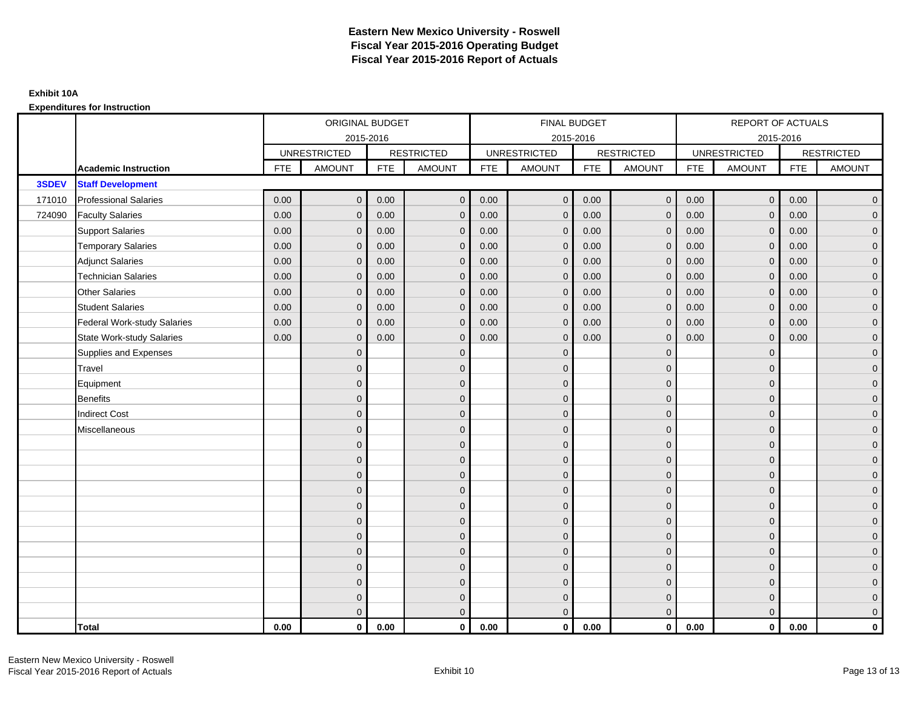|        |                              |            | ORIGINAL BUDGET     |            |                     |            | FINAL BUDGET        |            |                   |            | <b>REPORT OF ACTUALS</b> |            |                     |
|--------|------------------------------|------------|---------------------|------------|---------------------|------------|---------------------|------------|-------------------|------------|--------------------------|------------|---------------------|
|        |                              |            | 2015-2016           |            |                     |            | 2015-2016           |            |                   |            |                          | 2015-2016  |                     |
|        |                              |            | <b>UNRESTRICTED</b> |            | <b>RESTRICTED</b>   |            | <b>UNRESTRICTED</b> |            | <b>RESTRICTED</b> |            | <b>UNRESTRICTED</b>      |            | <b>RESTRICTED</b>   |
|        | <b>Academic Instruction</b>  | <b>FTE</b> | <b>AMOUNT</b>       | <b>FTE</b> | <b>AMOUNT</b>       | <b>FTE</b> | <b>AMOUNT</b>       | <b>FTE</b> | <b>AMOUNT</b>     | <b>FTE</b> | <b>AMOUNT</b>            | <b>FTE</b> | <b>AMOUNT</b>       |
| 3SDEV  | <b>Staff Development</b>     |            |                     |            |                     |            |                     |            |                   |            |                          |            |                     |
| 171010 | <b>Professional Salaries</b> | 0.00       | $\mathbf{0}$        | 0.00       | $\overline{0}$      | 0.00       | $\overline{0}$      | 0.00       | $\mathbf{0}$      | 0.00       | $\overline{0}$           | 0.00       | $\overline{0}$      |
| 724090 | <b>Faculty Salaries</b>      | 0.00       | $\mathbf{0}$        | 0.00       | $\mathbf 0$         | 0.00       | $\mathbf{0}$        | 0.00       | $\Omega$          | 0.00       | $\overline{0}$           | 0.00       | $\overline{0}$      |
|        | <b>Support Salaries</b>      | 0.00       | $\mathbf 0$         | 0.00       | $\mathbf 0$         | 0.00       | $\mathbf 0$         | 0.00       | $\mathbf{0}$      | 0.00       | $\overline{0}$           | 0.00       | $\overline{0}$      |
|        | <b>Temporary Salaries</b>    | 0.00       | $\mathbf{0}$        | 0.00       | $\mathbf 0$         | 0.00       | $\mathbf{0}$        | 0.00       | 0                 | 0.00       | $\mathbf 0$              | 0.00       | $\overline{0}$      |
|        | <b>Adjunct Salaries</b>      | 0.00       | $\mathbf{0}$        | 0.00       | $\overline{0}$      | 0.00       | $\Omega$            | 0.00       | $\Omega$          | 0.00       | $\overline{0}$           | 0.00       | $\overline{0}$      |
|        | <b>Technician Salaries</b>   | 0.00       | $\Omega$            | 0.00       | $\mathbf{0}$        | 0.00       | $\Omega$            | 0.00       | $\Omega$          | 0.00       | $\mathbf{0}$             | 0.00       | $\overline{0}$      |
|        | Other Salaries               | 0.00       | $\mathbf{0}$        | 0.00       | $\mathbf 0$         | 0.00       | $\mathbf{0}$        | 0.00       | $\mathbf{0}$      | 0.00       | $\mathbf 0$              | 0.00       | $\overline{0}$      |
|        | <b>Student Salaries</b>      | 0.00       | $\mathbf{0}$        | 0.00       | $\mathbf 0$         | 0.00       | $\mathbf{0}$        | 0.00       | $\mathbf{0}$      | 0.00       | $\mathbf 0$              | 0.00       | $\overline{0}$      |
|        | Federal Work-study Salaries  | 0.00       | $\mathbf{0}$        | 0.00       | $\overline{0}$      | 0.00       | $\Omega$            | 0.00       | $\mathbf 0$       | 0.00       | $\mathbf{0}$             | 0.00       | $\overline{0}$      |
|        | State Work-study Salaries    | 0.00       | $\mathbf{0}$        | 0.00       | $\overline{0}$      | 0.00       | $\Omega$            | 0.00       | $\Omega$          | 0.00       | $\mathbf{0}$             | 0.00       | $\overline{0}$      |
|        | Supplies and Expenses        |            | $\Omega$            |            | $\mathbf 0$         |            | $\mathbf{0}$        |            | $\mathbf 0$       |            | $\mathbf{0}$             |            | $\mathbf{0}$        |
|        | <b>Travel</b>                |            | $\mathbf{0}$        |            | $\mathbf 0$         |            | $\mathbf{0}$        |            | $\mathbf{0}$      |            | $\mathbf{0}$             |            | $\mathbf{0}$        |
|        | Equipment                    |            | $\Omega$            |            | $\mathbf 0$         |            | $\mathbf{0}$        |            | $\mathbf{0}$      |            | $\mathbf{0}$             |            | $\overline{0}$      |
|        | Benefits                     |            | $\mathbf{0}$        |            | $\mathbf 0$         |            | $\mathbf{0}$        |            | $\mathbf 0$       |            | $\mathbf 0$              |            | $\mathbf{0}$        |
|        | <b>Indirect Cost</b>         |            | $\Omega$            |            | $\mathbf 0$         |            | $\Omega$            |            | $\mathbf{0}$      |            | $\mathbf{0}$             |            | $\mathbf{0}$        |
|        | Miscellaneous                |            | $\Omega$            |            | $\mathbf 0$         |            | $\Omega$            |            | $\Omega$          |            | $\mathbf{0}$             |            | $\mathbf{0}$        |
|        |                              |            | $\Omega$            |            | $\mathbf 0$         |            | $\Omega$            |            | $\mathbf{0}$      |            | $\Omega$                 |            | $\overline{0}$      |
|        |                              |            | $\Omega$            |            | $\mathsf{O}\xspace$ |            | $\mathbf{0}$        |            | $\mathbf 0$       |            | $\mathbf 0$              |            | $\mathsf{O}\xspace$ |
|        |                              |            | $\Omega$            |            | $\mathbf 0$         |            | $\Omega$            |            | $\mathbf 0$       |            | $\mathbf{0}$             |            | $\overline{0}$      |
|        |                              |            | $\Omega$            |            | $\mathbf 0$         |            | $\Omega$            |            | $\mathbf{0}$      |            | $\mathbf{0}$             |            | $\overline{0}$      |
|        |                              |            | $\Omega$            |            | $\mathbf{0}$        |            | $\Omega$            |            | $\Omega$          |            | $\Omega$                 |            | $\overline{0}$      |
|        |                              |            | $\mathbf{0}$        |            | $\mathsf{O}\xspace$ |            | $\mathbf{0}$        |            | $\mathbf 0$       |            | $\mathbf{0}$             |            | $\overline{0}$      |
|        |                              |            | $\Omega$            |            | $\mathbf 0$         |            | $\overline{0}$      |            | $\mathbf{0}$      |            | $\mathbf{0}$             |            | $\overline{0}$      |
|        |                              |            | $\Omega$            |            | $\mathbf 0$         |            | $\Omega$            |            | $\mathbf 0$       |            | $\mathbf{0}$             |            | $\overline{0}$      |
|        |                              |            | $\Omega$            |            | $\overline{0}$      |            | $\Omega$            |            | $\Omega$          |            | $\Omega$                 |            | $\overline{0}$      |
|        |                              |            | $\Omega$            |            | $\mathbf 0$         |            | $\mathbf{0}$        |            | $\mathbf 0$       |            | $\mathbf{0}$             |            | $\mathbf{0}$        |
|        |                              |            | $\mathbf{0}$        |            | $\mathbf 0$         |            | $\mathbf{0}$        |            | $\mathbf 0$       |            | $\mathbf{0}$             |            | $\mathbf{0}$        |
|        |                              |            | $\Omega$            |            | $\overline{0}$      |            | $\Omega$            |            | $\mathbf{0}$      |            | $\mathbf{0}$             |            | $\overline{0}$      |
|        | <b>Total</b>                 | 0.00       | $\mathbf{0}$        | 0.00       | $\mathbf{0}$        | 0.00       | $\mathbf{0}$        | 0.00       | $\mathbf{0}$      | 0.00       | $\mathbf{0}$             | 0.00       | $\mathbf 0$         |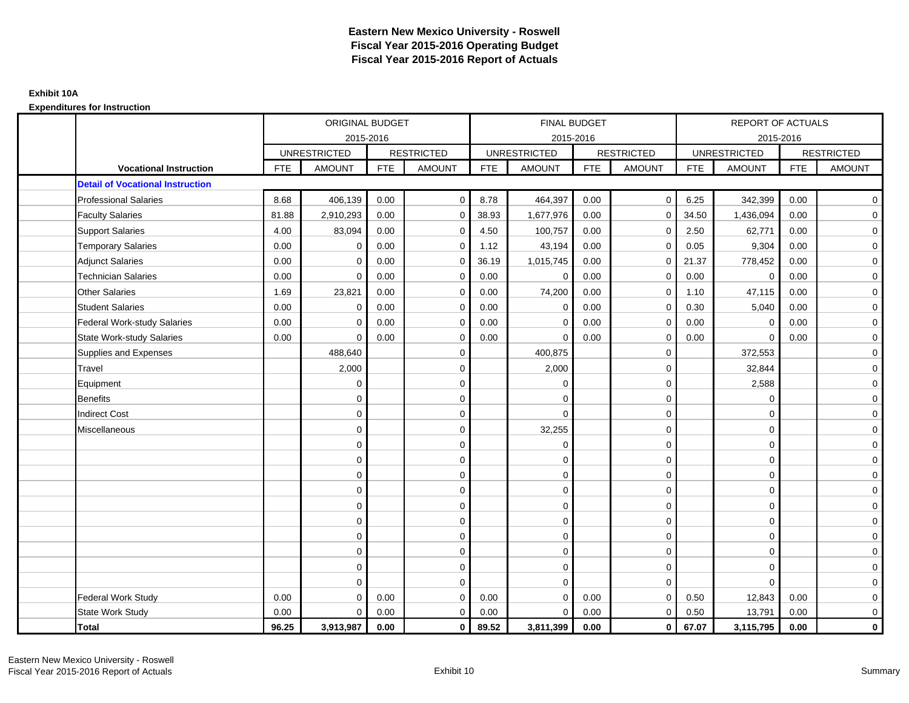|                                         |            | <b>ORIGINAL BUDGET</b> |            |                   |            | <b>FINAL BUDGET</b> |            |                   |            | <b>REPORT OF ACTUALS</b> |            |                   |
|-----------------------------------------|------------|------------------------|------------|-------------------|------------|---------------------|------------|-------------------|------------|--------------------------|------------|-------------------|
|                                         |            | 2015-2016              |            |                   |            | 2015-2016           |            |                   |            | 2015-2016                |            |                   |
|                                         |            | <b>UNRESTRICTED</b>    |            | <b>RESTRICTED</b> |            | <b>UNRESTRICTED</b> |            | <b>RESTRICTED</b> |            | <b>UNRESTRICTED</b>      |            | <b>RESTRICTED</b> |
| <b>Vocational Instruction</b>           | <b>FTE</b> | <b>AMOUNT</b>          | <b>FTE</b> | <b>AMOUNT</b>     | <b>FTE</b> | <b>AMOUNT</b>       | <b>FTE</b> | <b>AMOUNT</b>     | <b>FTE</b> | <b>AMOUNT</b>            | <b>FTE</b> | <b>AMOUNT</b>     |
| <b>Detail of Vocational Instruction</b> |            |                        |            |                   |            |                     |            |                   |            |                          |            |                   |
| <b>Professional Salaries</b>            | 8.68       | 406,139                | 0.00       | $\mathbf 0$       | 8.78       | 464,397             | 0.00       | $\mathbf 0$       | 6.25       | 342,399                  | 0.00       | $\overline{0}$    |
| <b>Faculty Salaries</b>                 | 81.88      | 2,910,293              | 0.00       | $\mathbf 0$       | 38.93      | 1,677,976           | 0.00       | $\Omega$          | 34.50      | 1,436,094                | 0.00       | $\mathbf 0$       |
| <b>Support Salaries</b>                 | 4.00       | 83,094                 | 0.00       | $\mathbf 0$       | 4.50       | 100,757             | 0.00       | $\mathbf 0$       | 2.50       | 62,771                   | 0.00       | $\overline{0}$    |
| <b>Temporary Salaries</b>               | 0.00       | 0                      | 0.00       | $\mathbf 0$       | 1.12       | 43,194              | 0.00       | $\mathbf 0$       | 0.05       | 9,304                    | 0.00       | $\overline{0}$    |
| <b>Adjunct Salaries</b>                 | 0.00       | $\Omega$               | 0.00       | $\Omega$          | 36.19      | 1,015,745           | 0.00       | $\mathbf 0$       | 21.37      | 778,452                  | 0.00       | $\overline{0}$    |
| <b>Technician Salaries</b>              | 0.00       | $\Omega$               | 0.00       | $\Omega$          | 0.00       | $\mathbf 0$         | 0.00       | $\Omega$          | 0.00       | $\mathbf 0$              | 0.00       | $\overline{0}$    |
| <b>Other Salaries</b>                   | 1.69       | 23,821                 | 0.00       | 0                 | 0.00       | 74,200              | 0.00       | $\mathbf 0$       | 1.10       | 47,115                   | 0.00       | $\overline{0}$    |
| <b>Student Salaries</b>                 | 0.00       | $\mathbf 0$            | 0.00       | $\mathbf 0$       | 0.00       | $\mathbf 0$         | 0.00       | $\mathbf 0$       | 0.30       | 5,040                    | 0.00       | $\mathbf 0$       |
| <b>Federal Work-study Salaries</b>      | 0.00       | $\Omega$               | 0.00       | $\Omega$          | 0.00       | $\Omega$            | 0.00       | $\Omega$          | 0.00       | $\mathbf 0$              | 0.00       | $\overline{0}$    |
| <b>State Work-study Salaries</b>        | 0.00       | $\mathbf 0$            | 0.00       | $\mathbf 0$       | 0.00       | 0                   | 0.00       | 0                 | 0.00       | $\mathbf 0$              | 0.00       | $\mathbf 0$       |
| Supplies and Expenses                   |            | 488,640                |            | $\mathbf 0$       |            | 400,875             |            | $\mathbf 0$       |            | 372,553                  |            | $\overline{0}$    |
| Travel                                  |            | 2,000                  |            | $\mathbf 0$       |            | 2,000               |            | $\mathbf 0$       |            | 32,844                   |            | $\overline{0}$    |
| Equipment                               |            | 0                      |            | 0                 |            | $\mathbf 0$         |            | $\mathbf 0$       |            | 2,588                    |            | $\mathbf 0$       |
| <b>Benefits</b>                         |            | $\Omega$               |            | $\mathbf 0$       |            | $\Omega$            |            | $\mathbf 0$       |            | $\mathbf 0$              |            | $\mathbf 0$       |
| <b>Indirect Cost</b>                    |            | $\mathbf 0$            |            | 0                 |            | $\mathbf 0$         |            | $\mathbf 0$       |            | $\mathbf 0$              |            | $\mathbf 0$       |
| Miscellaneous                           |            | 0                      |            | $\mathbf 0$       |            | 32,255              |            | $\mathbf 0$       |            | $\mathbf 0$              |            | $\overline{0}$    |
|                                         |            | $\mathbf 0$            |            | $\mathbf 0$       |            | $\mathbf 0$         |            | $\mathbf 0$       |            | $\Omega$                 |            | $\overline{0}$    |
|                                         |            | $\mathbf 0$            |            | $\mathbf 0$       |            | $\mathbf 0$         |            | $\mathbf 0$       |            | $\mathbf 0$              |            | $\overline{0}$    |
|                                         |            | $\Omega$               |            | $\mathbf 0$       |            | $\Omega$            |            | $\mathbf 0$       |            | $\Omega$                 |            | $\overline{0}$    |
|                                         |            | $\Omega$               |            | $\mathbf 0$       |            | $\Omega$            |            | $\mathbf 0$       |            | $\Omega$                 |            | $\mathbf 0$       |
|                                         |            | $\mathbf 0$            |            | $\mathbf 0$       |            | $\mathbf 0$         |            | $\mathbf 0$       |            | $\mathbf 0$              |            | $\overline{0}$    |
|                                         |            | $\mathbf 0$            |            | 0                 |            | $\mathbf 0$         |            | $\mathbf 0$       |            | $\mathbf 0$              |            | $\overline{0}$    |
|                                         |            | $\mathbf 0$            |            | $\mathbf 0$       |            | $\mathbf 0$         |            | $\mathbf 0$       |            | $\mathbf 0$              |            | $\overline{0}$    |
|                                         |            | $\mathbf 0$            |            | $\mathbf 0$       |            | $\mathbf 0$         |            | $\mathbf 0$       |            | $\mathbf 0$              |            | $\overline{0}$    |
|                                         |            | $\Omega$               |            | $\mathbf 0$       |            | $\mathbf 0$         |            | $\mathbf 0$       |            | $\mathbf 0$              |            | $\mathbf 0$       |
|                                         |            | $\Omega$               |            | $\Omega$          |            | $\Omega$            |            | $\mathbf 0$       |            | $\Omega$                 |            | $\overline{0}$    |
| <b>Federal Work Study</b>               | 0.00       | $\mathbf 0$            | 0.00       | $\mathbf 0$       | 0.00       | $\mathbf 0$         | 0.00       | $\mathbf 0$       | 0.50       | 12,843                   | 0.00       | $\mathbf 0$       |
| State Work Study                        | 0.00       | $\mathbf 0$            | 0.00       | 0                 | 0.00       | $\mathbf 0$         | 0.00       | $\mathbf{0}$      | 0.50       | 13,791                   | 0.00       | $\mathbf 0$       |
| Total                                   | 96.25      | 3,913,987              | 0.00       | $\mathbf 0$       | 89.52      | 3,811,399           | 0.00       | $\mathbf{0}$      | 67.07      | 3,115,795                | 0.00       | $\mathbf{0}$      |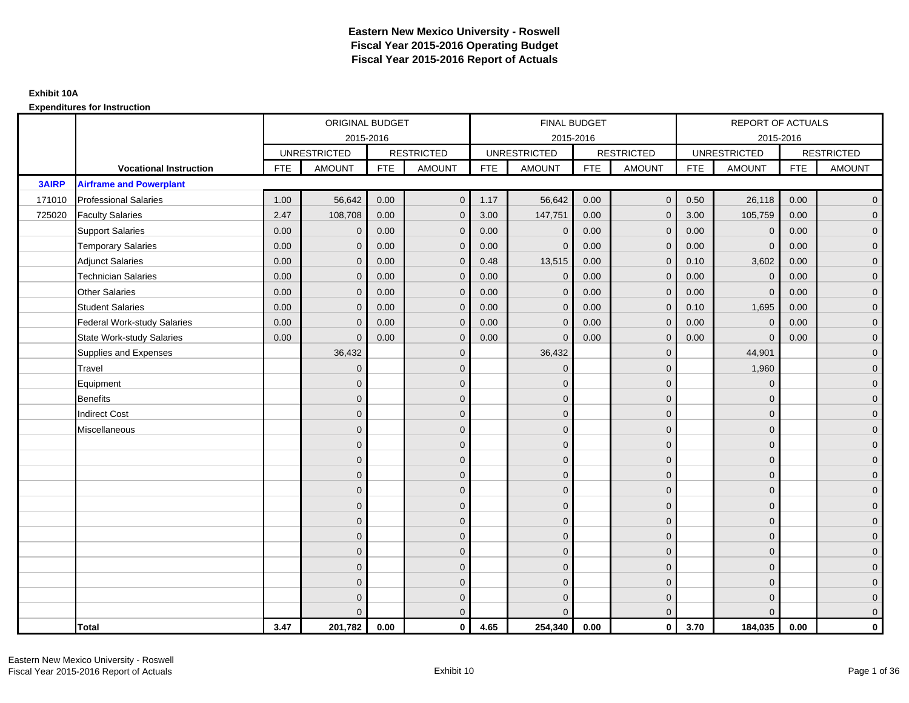|              |                                |            | ORIGINAL BUDGET     |            |                     |            | FINAL BUDGET        |            |                   |            | <b>REPORT OF ACTUALS</b> |            |                     |
|--------------|--------------------------------|------------|---------------------|------------|---------------------|------------|---------------------|------------|-------------------|------------|--------------------------|------------|---------------------|
|              |                                |            | 2015-2016           |            |                     |            | 2015-2016           |            |                   |            | 2015-2016                |            |                     |
|              |                                |            | <b>UNRESTRICTED</b> |            | <b>RESTRICTED</b>   |            | <b>UNRESTRICTED</b> |            | <b>RESTRICTED</b> |            | <b>UNRESTRICTED</b>      |            | <b>RESTRICTED</b>   |
|              | <b>Vocational Instruction</b>  | <b>FTE</b> | <b>AMOUNT</b>       | <b>FTE</b> | <b>AMOUNT</b>       | <b>FTE</b> | <b>AMOUNT</b>       | <b>FTE</b> | <b>AMOUNT</b>     | <b>FTE</b> | <b>AMOUNT</b>            | <b>FTE</b> | <b>AMOUNT</b>       |
| <b>3AIRP</b> | <b>Airframe and Powerplant</b> |            |                     |            |                     |            |                     |            |                   |            |                          |            |                     |
| 171010       | <b>Professional Salaries</b>   | 1.00       | 56,642              | 0.00       | $\overline{0}$      | 1.17       | 56,642              | 0.00       | $\overline{0}$    | 0.50       | 26,118                   | 0.00       | $\overline{0}$      |
| 725020       | <b>Faculty Salaries</b>        | 2.47       | 108,708             | 0.00       | $\overline{0}$      | 3.00       | 147,751             | 0.00       | $\Omega$          | 3.00       | 105,759                  | 0.00       | $\overline{0}$      |
|              | <b>Support Salaries</b>        | 0.00       | $\mathbf 0$         | 0.00       | $\mathbf 0$         | 0.00       | $\mathbf 0$         | 0.00       | $\mathbf{0}$      | 0.00       | $\mathbf 0$              | 0.00       | $\overline{0}$      |
|              | <b>Temporary Salaries</b>      | 0.00       | $\mathbf 0$         | 0.00       | $\mathbf{0}$        | 0.00       | $\mathbf{0}$        | 0.00       | 0                 | 0.00       | $\mathbf 0$              | 0.00       | $\overline{0}$      |
|              | <b>Adjunct Salaries</b>        | 0.00       | $\mathbf{0}$        | 0.00       | $\overline{0}$      | 0.48       | 13,515              | 0.00       | $\Omega$          | 0.10       | 3,602                    | 0.00       | $\overline{0}$      |
|              | <b>Technician Salaries</b>     | 0.00       | $\Omega$            | 0.00       | $\mathbf{0}$        | 0.00       | $\Omega$            | 0.00       | $\Omega$          | 0.00       | $\mathbf{0}$             | 0.00       | $\overline{0}$      |
|              | <b>Other Salaries</b>          | 0.00       | $\mathbf{0}$        | 0.00       | $\mathbf 0$         | 0.00       | $\mathbf{0}$        | 0.00       | $\mathbf{0}$      | 0.00       | $\mathbf 0$              | 0.00       | $\mathbf{0}$        |
|              | <b>Student Salaries</b>        | 0.00       | $\mathbf{0}$        | 0.00       | $\mathbf 0$         | 0.00       | $\mathbf{0}$        | 0.00       | $\mathbf{0}$      | 0.10       | 1,695                    | 0.00       | $\overline{0}$      |
|              | Federal Work-study Salaries    | 0.00       | $\Omega$            | 0.00       | $\overline{0}$      | 0.00       | $\Omega$            | 0.00       | $\Omega$          | 0.00       | $\mathbf{0}$             | 0.00       | $\overline{0}$      |
|              | State Work-study Salaries      | 0.00       | $\Omega$            | 0.00       | $\overline{0}$      | 0.00       | $\Omega$            | 0.00       | $\Omega$          | 0.00       | $\Omega$                 | 0.00       | $\overline{0}$      |
|              | Supplies and Expenses          |            | 36,432              |            | $\mathbf 0$         |            | 36,432              |            | $\mathbf{0}$      |            | 44,901                   |            | $\mathbf{0}$        |
|              | <b>Travel</b>                  |            | $\mathbf{0}$        |            | $\mathbf 0$         |            | $\mathbf{0}$        |            | $\mathbf{0}$      |            | 1,960                    |            | $\overline{0}$      |
|              | Equipment                      |            | $\Omega$            |            | $\mathbf 0$         |            | $\Omega$            |            | $\mathbf{0}$      |            | $\mathbf{0}$             |            | $\overline{0}$      |
|              | Benefits                       |            | $\Omega$            |            | $\mathbf 0$         |            | $\mathbf{0}$        |            | $\mathbf 0$       |            | $\mathbf{0}$             |            | $\overline{0}$      |
|              | <b>Indirect Cost</b>           |            | $\Omega$            |            | $\mathbf 0$         |            | $\Omega$            |            | $\mathbf{0}$      |            | $\mathbf{0}$             |            | $\overline{0}$      |
|              | Miscellaneous                  |            | $\Omega$            |            | $\mathbf 0$         |            | $\Omega$            |            | $\mathbf{0}$      |            | $\mathbf{0}$             |            | $\mathsf{O}\xspace$ |
|              |                                |            | $\Omega$            |            | $\mathbf 0$         |            | $\Omega$            |            | $\mathbf{0}$      |            | $\Omega$                 |            | $\overline{0}$      |
|              |                                |            | $\mathbf{0}$        |            | $\mathsf{O}\xspace$ |            | $\overline{0}$      |            | $\mathbf 0$       |            | $\mathbf 0$              |            | $\overline{0}$      |
|              |                                |            | $\Omega$            |            | $\mathbf 0$         |            | $\Omega$            |            | $\mathbf 0$       |            | $\mathbf{0}$             |            | $\overline{0}$      |
|              |                                |            | $\Omega$            |            | $\mathbf 0$         |            | $\Omega$            |            | $\mathbf{0}$      |            | $\mathbf{0}$             |            | $\overline{0}$      |
|              |                                |            | $\Omega$            |            | $\mathbf{0}$        |            | $\Omega$            |            | $\Omega$          |            | $\Omega$                 |            | $\overline{0}$      |
|              |                                |            | $\mathbf{0}$        |            | $\mathbf 0$         |            | $\mathbf{0}$        |            | $\mathbf 0$       |            | $\mathbf{0}$             |            | $\mathsf{O}\xspace$ |
|              |                                |            | $\Omega$            |            | $\mathbf 0$         |            | $\overline{0}$      |            | $\mathbf{0}$      |            | $\mathbf{0}$             |            | $\overline{0}$      |
|              |                                |            | $\Omega$            |            | $\mathbf 0$         |            | $\Omega$            |            | $\mathbf 0$       |            | $\mathbf{0}$             |            | $\overline{0}$      |
|              |                                |            | $\Omega$            |            | $\overline{0}$      |            | $\Omega$            |            | $\Omega$          |            | $\Omega$                 |            | $\overline{0}$      |
|              |                                |            | $\Omega$            |            | $\mathbf 0$         |            | $\mathbf{0}$        |            | $\mathbf 0$       |            | $\mathbf{0}$             |            | $\mathbf{0}$        |
|              |                                |            | $\Omega$            |            | $\mathbf 0$         |            | $\Omega$            |            | $\mathbf{0}$      |            | $\mathbf{0}$             |            | $\mathbf{0}$        |
|              |                                |            |                     |            | $\overline{0}$      |            | $\Omega$            |            | $\mathbf{0}$      |            | $\Omega$                 |            | $\overline{0}$      |
|              | <b>Total</b>                   | 3.47       | 201,782             | 0.00       | $\mathbf{0}$        | 4.65       | 254,340             | 0.00       | $\mathbf{0}$      | 3.70       | 184,035                  | 0.00       | $\mathbf 0$         |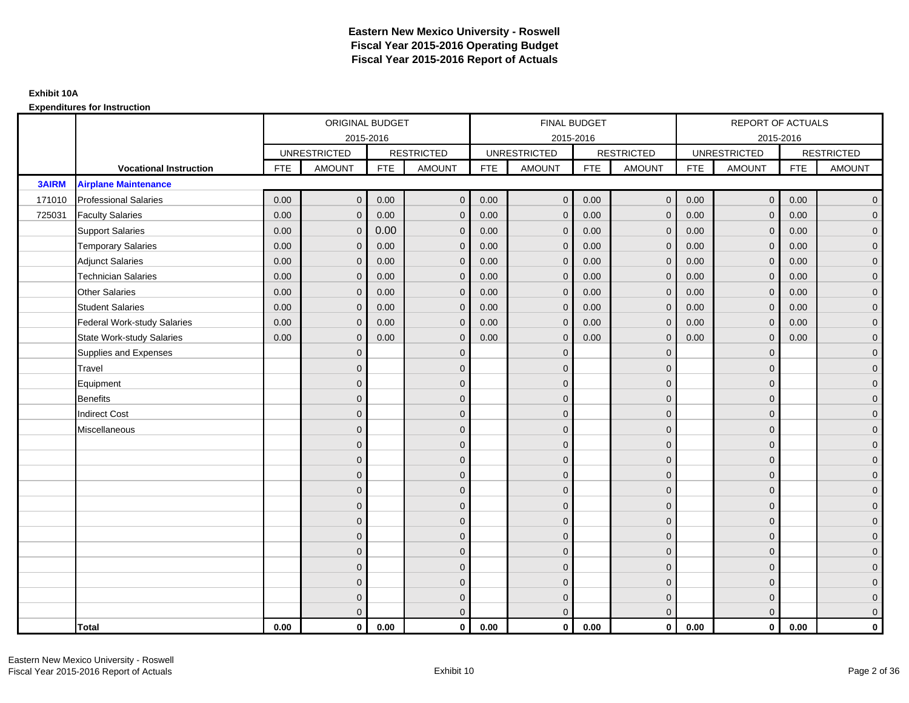|              |                                    |            | ORIGINAL BUDGET     |            |                   |            | FINAL BUDGET        |            |                   |            | <b>REPORT OF ACTUALS</b> |            |                     |
|--------------|------------------------------------|------------|---------------------|------------|-------------------|------------|---------------------|------------|-------------------|------------|--------------------------|------------|---------------------|
|              |                                    |            |                     | 2015-2016  |                   |            | 2015-2016           |            |                   |            |                          | 2015-2016  |                     |
|              |                                    |            | <b>UNRESTRICTED</b> |            | <b>RESTRICTED</b> |            | <b>UNRESTRICTED</b> |            | <b>RESTRICTED</b> |            | <b>UNRESTRICTED</b>      |            | <b>RESTRICTED</b>   |
|              | <b>Vocational Instruction</b>      | <b>FTE</b> | <b>AMOUNT</b>       | <b>FTE</b> | <b>AMOUNT</b>     | <b>FTE</b> | <b>AMOUNT</b>       | <b>FTE</b> | <b>AMOUNT</b>     | <b>FTE</b> | <b>AMOUNT</b>            | <b>FTE</b> | <b>AMOUNT</b>       |
| <b>3AIRM</b> | <b>Airplane Maintenance</b>        |            |                     |            |                   |            |                     |            |                   |            |                          |            |                     |
| 171010       | <b>Professional Salaries</b>       | 0.00       | $\mathbf{0}$        | 0.00       | $\overline{0}$    | 0.00       | $\mathbf{0}$        | 0.00       | $\overline{0}$    | 0.00       | $\overline{0}$           | 0.00       | $\overline{0}$      |
| 725031       | <b>Faculty Salaries</b>            | 0.00       | $\mathbf{0}$        | 0.00       | $\mathbf 0$       | 0.00       | $\Omega$            | 0.00       | $\Omega$          | 0.00       | $\overline{0}$           | 0.00       | $\overline{0}$      |
|              | <b>Support Salaries</b>            | 0.00       | $\mathbf 0$         | 0.00       | $\mathbf 0$       | 0.00       | $\mathbf{0}$        | 0.00       | $\mathbf{0}$      | 0.00       | $\overline{0}$           | 0.00       | $\overline{0}$      |
|              | <b>Temporary Salaries</b>          | 0.00       | $\mathbf 0$         | 0.00       | $\mathbf 0$       | 0.00       | $\mathbf{0}$        | 0.00       | $\overline{0}$    | 0.00       | $\mathbf 0$              | 0.00       | $\overline{0}$      |
|              | <b>Adjunct Salaries</b>            | 0.00       | $\mathbf{0}$        | 0.00       | $\overline{0}$    | 0.00       | $\Omega$            | 0.00       | $\mathbf{0}$      | 0.00       | $\overline{0}$           | 0.00       | $\overline{0}$      |
|              | <b>Technician Salaries</b>         | 0.00       | $\Omega$            | 0.00       | $\overline{0}$    | 0.00       | $\Omega$            | 0.00       | $\Omega$          | 0.00       | $\overline{0}$           | 0.00       | $\overline{0}$      |
|              | <b>Other Salaries</b>              | 0.00       | $\mathbf{0}$        | 0.00       | $\mathbf 0$       | 0.00       | $\Omega$            | 0.00       | $\mathbf{0}$      | 0.00       | $\mathbf 0$              | 0.00       | $\overline{0}$      |
|              | <b>Student Salaries</b>            | 0.00       | $\mathbf{0}$        | 0.00       | $\mathbf 0$       | 0.00       | $\mathbf{0}$        | 0.00       | $\mathbf{0}$      | 0.00       | $\overline{0}$           | 0.00       | $\overline{0}$      |
|              | <b>Federal Work-study Salaries</b> | 0.00       | $\mathbf 0$         | 0.00       | $\overline{0}$    | 0.00       | $\Omega$            | 0.00       | $\Omega$          | 0.00       | $\mathbf{0}$             | 0.00       | $\overline{0}$      |
|              | <b>State Work-study Salaries</b>   | 0.00       | $\mathbf{0}$        | 0.00       | $\overline{0}$    | 0.00       | $\Omega$            | 0.00       | $\Omega$          | 0.00       | $\mathbf{0}$             | 0.00       | $\overline{0}$      |
|              | Supplies and Expenses              |            | $\mathbf{0}$        |            | $\mathbf 0$       |            | $\Omega$            |            | $\overline{0}$    |            | $\mathbf{0}$             |            | $\overline{0}$      |
|              | Travel                             |            | $\mathbf 0$         |            | $\mathbf 0$       |            | $\Omega$            |            | $\mathbf{0}$      |            | $\mathbf{0}$             |            | $\mathbf{0}$        |
|              | Equipment                          |            | $\mathbf 0$         |            | $\mathbf 0$       |            | $\Omega$            |            | $\mathbf{0}$      |            | $\mathbf{0}$             |            | $\overline{0}$      |
|              | <b>Benefits</b>                    |            | $\mathbf 0$         |            | $\mathbf 0$       |            | $\Omega$            |            | $\mathbf 0$       |            | $\mathbf 0$              |            | $\overline{0}$      |
|              | <b>Indirect Cost</b>               |            | $\Omega$            |            | $\mathbf 0$       |            | $\Omega$            |            | $\mathbf 0$       |            | $\mathbf{0}$             |            | $\overline{0}$      |
|              | Miscellaneous                      |            | $\Omega$            |            | $\mathbf 0$       |            | $\Omega$            |            | $\mathbf 0$       |            | $\mathbf{0}$             |            | $\mathsf{O}\xspace$ |
|              |                                    |            | $\Omega$            |            | $\mathbf 0$       |            | $\Omega$            |            | $\mathbf{0}$      |            | $\Omega$                 |            | $\overline{0}$      |
|              |                                    |            | $\mathbf 0$         |            | $\mathbf 0$       |            | $\mathbf{0}$        |            | $\mathbf 0$       |            | $\mathbf 0$              |            | $\mathsf{O}\xspace$ |
|              |                                    |            | $\mathbf{0}$        |            | $\mathbf 0$       |            | $\Omega$            |            | $\mathbf 0$       |            | $\mathbf{0}$             |            | $\overline{0}$      |
|              |                                    |            | $\Omega$            |            | $\mathbf 0$       |            | $\Omega$            |            | $\mathbf{0}$      |            | $\Omega$                 |            | $\overline{0}$      |
|              |                                    |            | $\Omega$            |            | $\overline{0}$    |            | $\Omega$            |            | $\mathbf{0}$      |            | $\Omega$                 |            | $\overline{0}$      |
|              |                                    |            | $\mathbf{0}$        |            | $\mathbf 0$       |            | $\Omega$            |            | $\mathbf 0$       |            | $\mathbf{0}$             |            | $\overline{0}$      |
|              |                                    |            | $\mathbf{0}$        |            | $\mathbf 0$       |            | $\Omega$            |            | $\mathbf{0}$      |            | $\mathbf{0}$             |            | $\overline{0}$      |
|              |                                    |            | $\mathbf{0}$        |            | $\mathbf 0$       |            | $\Omega$            |            | $\mathbf{0}$      |            | $\mathbf{0}$             |            | $\overline{0}$      |
|              |                                    |            | $\Omega$            |            | $\mathbf 0$       |            | $\Omega$            |            | $\Omega$          |            | $\Omega$                 |            | $\overline{0}$      |
|              |                                    |            | $\mathbf{0}$        |            | $\mathbf 0$       |            | $\Omega$            |            | $\mathbf 0$       |            | $\mathbf{0}$             |            | $\mathbf{0}$        |
|              |                                    |            | $\mathbf{0}$        |            | $\mathbf 0$       |            | $\mathbf{0}$        |            | $\mathbf 0$       |            | $\mathbf{0}$             |            | $\mathbf{0}$        |
|              |                                    |            | $\Omega$            |            | $\overline{0}$    |            | $\Omega$            |            | $\mathbf{0}$      |            | $\overline{0}$           |            | $\overline{0}$      |
|              | <b>Total</b>                       | 0.00       | $\mathbf{0}$        | 0.00       | $\mathbf{0}$      | 0.00       | $\mathbf{0}$        | 0.00       | $\mathbf{0}$      | 0.00       | $\mathbf{0}$             | 0.00       | $\mathbf 0$         |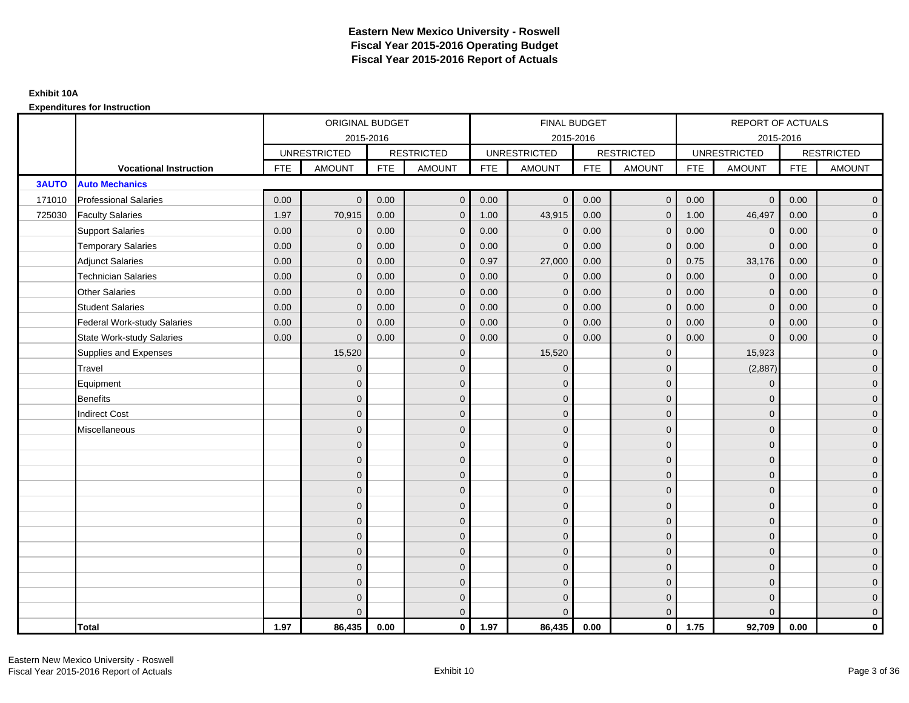|              |                                    |            | ORIGINAL BUDGET     |            |                   |            | <b>FINAL BUDGET</b> |            |                   |            | REPORT OF ACTUALS   |            |                   |
|--------------|------------------------------------|------------|---------------------|------------|-------------------|------------|---------------------|------------|-------------------|------------|---------------------|------------|-------------------|
|              |                                    |            | 2015-2016           |            |                   |            | 2015-2016           |            |                   |            | 2015-2016           |            |                   |
|              |                                    |            | <b>UNRESTRICTED</b> |            | <b>RESTRICTED</b> |            | <b>UNRESTRICTED</b> |            | <b>RESTRICTED</b> |            | <b>UNRESTRICTED</b> |            | <b>RESTRICTED</b> |
|              | <b>Vocational Instruction</b>      | <b>FTE</b> | <b>AMOUNT</b>       | <b>FTE</b> | <b>AMOUNT</b>     | <b>FTE</b> | <b>AMOUNT</b>       | <b>FTE</b> | <b>AMOUNT</b>     | <b>FTE</b> | <b>AMOUNT</b>       | <b>FTE</b> | <b>AMOUNT</b>     |
| <b>3AUTO</b> | <b>Auto Mechanics</b>              |            |                     |            |                   |            |                     |            |                   |            |                     |            |                   |
| 171010       | <b>Professional Salaries</b>       | 0.00       | $\Omega$            | 0.00       | $\overline{0}$    | 0.00       | $\overline{0}$      | 0.00       | $\mathbf{0}$      | 0.00       | $\overline{0}$      | 0.00       | $\overline{0}$    |
| 725030       | <b>Faculty Salaries</b>            | 1.97       | 70,915              | 0.00       | $\mathbf 0$       | 1.00       | 43,915              | 0.00       | $\mathbf{0}$      | 1.00       | 46,497              | 0.00       | $\overline{0}$    |
|              | <b>Support Salaries</b>            | 0.00       | $\mathbf 0$         | 0.00       | $\mathbf 0$       | 0.00       | $\mathbf 0$         | 0.00       | $\mathbf{0}$      | 0.00       | $\mathbf 0$         | 0.00       | $\overline{0}$    |
|              | <b>Temporary Salaries</b>          | 0.00       | $\mathbf{0}$        | 0.00       | $\overline{0}$    | 0.00       | $\Omega$            | 0.00       | $\Omega$          | 0.00       | $\mathbf{0}$        | 0.00       | $\overline{0}$    |
|              | <b>Adjunct Salaries</b>            | 0.00       | $\Omega$            | 0.00       | $\overline{0}$    | 0.97       | 27,000              | 0.00       | $\Omega$          | 0.75       | 33,176              | 0.00       | $\overline{0}$    |
|              | <b>Technician Salaries</b>         | 0.00       | $\Omega$            | 0.00       | $\mathbf{0}$      | 0.00       | $\mathbf{0}$        | 0.00       | $\mathbf{0}$      | 0.00       | $\mathbf 0$         | 0.00       | $\mathbf{0}$      |
|              | Other Salaries                     | 0.00       | $\mathbf{0}$        | 0.00       | $\overline{0}$    | 0.00       | $\mathbf{0}$        | 0.00       | $\mathbf{0}$      | 0.00       | $\mathbf 0$         | 0.00       | $\overline{0}$    |
|              | <b>Student Salaries</b>            | 0.00       | $\Omega$            | 0.00       | $\mathbf{0}$      | 0.00       | $\mathbf{0}$        | 0.00       | $\mathbf{0}$      | 0.00       | $\mathbf 0$         | 0.00       | $\overline{0}$    |
|              | <b>Federal Work-study Salaries</b> | 0.00       | $\mathbf{0}$        | 0.00       | $\mathbf 0$       | 0.00       | $\mathbf{0}$        | 0.00       | $\Omega$          | 0.00       | $\mathbf 0$         | 0.00       | $\overline{0}$    |
|              | <b>State Work-study Salaries</b>   | 0.00       | $\mathbf{0}$        | 0.00       | $\overline{0}$    | 0.00       | $\mathbf{0}$        | 0.00       | $\mathbf{0}$      | 0.00       | $\mathbf{0}$        | 0.00       | $\overline{0}$    |
|              | Supplies and Expenses              |            | 15,520              |            | $\mathbf{0}$      |            | 15,520              |            | $\mathbf{0}$      |            | 15,923              |            | $\overline{0}$    |
|              | Travel                             |            | $\Omega$            |            | $\mathbf 0$       |            | $\mathbf{0}$        |            | $\Omega$          |            | (2,887)             |            | $\overline{0}$    |
|              | Equipment                          |            | $\Omega$            |            | $\mathbf 0$       |            | $\mathbf{0}$        |            | $\mathbf 0$       |            | $\mathbf 0$         |            | $\overline{0}$    |
|              | <b>Benefits</b>                    |            | $\mathbf{0}$        |            | $\mathbf 0$       |            | $\Omega$            |            | $\mathbf 0$       |            | $\mathbf{0}$        |            | $\overline{0}$    |
|              | <b>Indirect Cost</b>               |            | $\Omega$            |            | $\mathbf{0}$      |            | $\Omega$            |            | $\Omega$          |            | $\Omega$            |            | $\overline{0}$    |
|              | Miscellaneous                      |            | $\Omega$            |            | $\mathbf 0$       |            | $\mathbf{0}$        |            | $\Omega$          |            | $\mathbf{0}$        |            | $\mathbf{0}$      |
|              |                                    |            | $\Omega$            |            | $\mathbf 0$       |            | $\mathbf{0}$        |            | $\mathbf{0}$      |            | $\mathbf{0}$        |            | $\overline{0}$    |
|              |                                    |            | $\Omega$            |            | $\mathbf 0$       |            | $\mathbf{0}$        |            | $\mathbf{0}$      |            | $\mathbf{0}$        |            | $\overline{0}$    |
|              |                                    |            | $\Omega$            |            | $\mathbf 0$       |            | $\mathbf{0}$        |            | $\mathbf 0$       |            | $\mathbf{0}$        |            | $\overline{0}$    |
|              |                                    |            | $\Omega$            |            | $\mathbf 0$       |            | $\Omega$            |            | $\mathbf{0}$      |            | $\mathbf{0}$        |            | $\mathbf{0}$      |
|              |                                    |            | $\Omega$            |            | $\mathbf 0$       |            | $\Omega$            |            | $\overline{0}$    |            | $\Omega$            |            | $\mathbf{0}$      |
|              |                                    |            | $\Omega$            |            | $\mathbf 0$       |            | $\Omega$            |            | $\mathbf{0}$      |            | $\Omega$            |            | $\overline{0}$    |
|              |                                    |            | $\Omega$            |            | $\mathbf 0$       |            | $\mathbf{0}$        |            | $\mathbf{0}$      |            | $\mathbf{0}$        |            | $\overline{0}$    |
|              |                                    |            | $\Omega$            |            | $\mathbf 0$       |            | $\Omega$            |            | $\mathbf 0$       |            | $\mathbf{0}$        |            | $\overline{0}$    |
|              |                                    |            | $\Omega$            |            | $\mathbf 0$       |            | $\Omega$            |            | $\Omega$          |            | $\Omega$            |            | $\overline{0}$    |
|              |                                    |            | $\Omega$            |            | $\mathbf 0$       |            | $\mathbf{0}$        |            | $\mathbf 0$       |            | $\mathbf{0}$        |            | $\mathbf{0}$      |
|              |                                    |            | $\Omega$            |            | $\mathbf 0$       |            | $\Omega$            |            | $\mathbf{0}$      |            | $\mathbf{0}$        |            | $\mathbf{0}$      |
|              |                                    |            | $\Omega$            |            | $\overline{0}$    |            | $\Omega$            |            | $\mathbf{0}$      |            | $\Omega$            |            | $\overline{0}$    |
|              | <b>Total</b>                       | 1.97       | 86,435              | 0.00       | $\mathbf{0}$      | 1.97       | 86,435              | 0.00       | $\mathbf{0}$      | 1.75       | 92,709              | 0.00       | $\mathbf 0$       |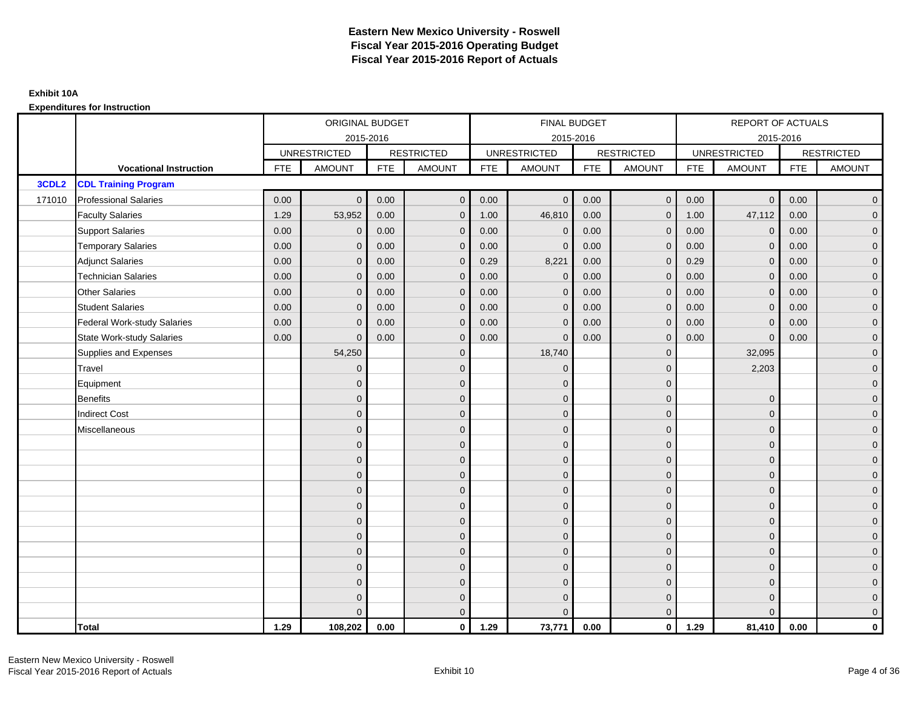|                   |                                    |            | ORIGINAL BUDGET     |            |                   |            | <b>FINAL BUDGET</b> |            |                   |            | REPORT OF ACTUALS   |            |                     |
|-------------------|------------------------------------|------------|---------------------|------------|-------------------|------------|---------------------|------------|-------------------|------------|---------------------|------------|---------------------|
|                   |                                    |            | 2015-2016           |            |                   |            | 2015-2016           |            |                   |            | 2015-2016           |            |                     |
|                   |                                    |            | <b>UNRESTRICTED</b> |            | <b>RESTRICTED</b> |            | <b>UNRESTRICTED</b> |            | <b>RESTRICTED</b> |            | <b>UNRESTRICTED</b> |            | <b>RESTRICTED</b>   |
|                   | <b>Vocational Instruction</b>      | <b>FTE</b> | <b>AMOUNT</b>       | <b>FTE</b> | <b>AMOUNT</b>     | <b>FTE</b> | <b>AMOUNT</b>       | <b>FTE</b> | <b>AMOUNT</b>     | <b>FTE</b> | <b>AMOUNT</b>       | <b>FTE</b> | <b>AMOUNT</b>       |
| 3CDL <sub>2</sub> | <b>CDL Training Program</b>        |            |                     |            |                   |            |                     |            |                   |            |                     |            |                     |
| 171010            | <b>Professional Salaries</b>       | 0.00       | $\Omega$            | 0.00       | $\mathbf 0$       | 0.00       | $\overline{0}$      | 0.00       | $\mathbf 0$       | 0.00       | $\overline{0}$      | 0.00       | $\overline{0}$      |
|                   | <b>Faculty Salaries</b>            | 1.29       | 53,952              | 0.00       | $\mathbf 0$       | 1.00       | 46,810              | 0.00       | $\mathbf{0}$      | 1.00       | 47,112              | 0.00       | $\overline{0}$      |
|                   | <b>Support Salaries</b>            | 0.00       | $\mathbf 0$         | 0.00       | $\mathbf{0}$      | 0.00       | $\mathbf{0}$        | 0.00       | $\Omega$          | 0.00       | $\mathbf 0$         | 0.00       | $\overline{0}$      |
|                   | <b>Temporary Salaries</b>          | 0.00       | $\mathbf 0$         | 0.00       | $\mathbf 0$       | 0.00       | $\mathbf{0}$        | 0.00       | $\Omega$          | 0.00       | $\mathbf 0$         | 0.00       | $\overline{0}$      |
|                   | <b>Adjunct Salaries</b>            | 0.00       | $\mathbf{0}$        | 0.00       | $\overline{0}$    | 0.29       | 8,221               | 0.00       | $\mathbf{0}$      | 0.29       | $\overline{0}$      | 0.00       | $\overline{0}$      |
|                   | <b>Technician Salaries</b>         | 0.00       | $\Omega$            | 0.00       | $\mathbf{0}$      | 0.00       | $\mathbf{0}$        | 0.00       | $\Omega$          | 0.00       | $\overline{0}$      | 0.00       | $\mathbf{0}$        |
|                   | Other Salaries                     | 0.00       | $\mathbf{0}$        | 0.00       | $\overline{0}$    | 0.00       | $\Omega$            | 0.00       | $\Omega$          | 0.00       | $\overline{0}$      | 0.00       | $\overline{0}$      |
|                   | <b>Student Salaries</b>            | 0.00       | $\Omega$            | 0.00       | $\mathbf 0$       | 0.00       | $\mathbf 0$         | 0.00       | $\mathbf 0$       | 0.00       | $\mathbf 0$         | 0.00       | $\mathsf{O}\xspace$ |
|                   | <b>Federal Work-study Salaries</b> | 0.00       | $\mathbf{0}$        | 0.00       | $\mathbf 0$       | 0.00       | $\mathbf{0}$        | 0.00       | $\Omega$          | 0.00       | $\mathbf 0$         | 0.00       | $\overline{0}$      |
|                   | State Work-study Salaries          | 0.00       | $\Omega$            | 0.00       | $\overline{0}$    | 0.00       | $\mathbf{0}$        | 0.00       | $\mathbf{0}$      | 0.00       | $\mathbf{0}$        | 0.00       | $\overline{0}$      |
|                   | Supplies and Expenses              |            | 54,250              |            | $\overline{0}$    |            | 18,740              |            | $\mathbf{0}$      |            | 32,095              |            | $\overline{0}$      |
|                   | Travel                             |            | $\Omega$            |            | $\mathbf 0$       |            | $\mathbf{0}$        |            | $\mathbf{0}$      |            | 2,203               |            | $\overline{0}$      |
|                   | Equipment                          |            | $\Omega$            |            | $\mathbf 0$       |            | $\Omega$            |            | $\mathbf{0}$      |            |                     |            | $\overline{0}$      |
|                   | <b>Benefits</b>                    |            | $\mathbf{0}$        |            | $\mathbf 0$       |            | $\mathbf{0}$        |            | $\mathbf 0$       |            | $\mathbf 0$         |            | $\overline{0}$      |
|                   | <b>Indirect Cost</b>               |            | $\Omega$            |            | $\mathbf{0}$      |            | $\Omega$            |            | $\mathbf{0}$      |            | $\mathbf{0}$        |            | $\overline{0}$      |
|                   | Miscellaneous                      |            | $\Omega$            |            | $\mathbf{0}$      |            | $\Omega$            |            | $\mathbf{0}$      |            | $\Omega$            |            | $\overline{0}$      |
|                   |                                    |            | $\mathbf{0}$        |            | $\mathbf 0$       |            | $\mathbf{0}$        |            | $\mathbf 0$       |            | $\mathbf{0}$        |            | $\overline{0}$      |
|                   |                                    |            | $\Omega$            |            | $\mathbf 0$       |            | $\mathbf{0}$        |            | $\mathbf{0}$      |            | $\mathbf{0}$        |            | $\overline{0}$      |
|                   |                                    |            | $\Omega$            |            | $\overline{0}$    |            | $\Omega$            |            | $\mathbf 0$       |            | $\mathbf{0}$        |            | $\overline{0}$      |
|                   |                                    |            | $\Omega$            |            | $\mathbf{0}$      |            | $\Omega$            |            | $\mathbf{0}$      |            | $\Omega$            |            | $\overline{0}$      |
|                   |                                    |            | $\mathbf{0}$        |            | $\mathbf 0$       |            | $\mathbf{0}$        |            | $\mathbf 0$       |            | $\mathbf{0}$        |            | $\mathsf{O}\xspace$ |
|                   |                                    |            | $\Omega$            |            | $\mathbf 0$       |            | $\mathbf{0}$        |            | $\mathbf{0}$      |            | $\mathbf{0}$        |            | $\overline{0}$      |
|                   |                                    |            | $\Omega$            |            | $\overline{0}$    |            | $\Omega$            |            | $\mathbf{0}$      |            | $\mathbf{0}$        |            | $\overline{0}$      |
|                   |                                    |            | $\Omega$            |            | $\overline{0}$    |            | $\Omega$            |            | $\Omega$          |            | $\Omega$            |            | $\overline{0}$      |
|                   |                                    |            | $\Omega$            |            | $\mathbf 0$       |            | $\mathbf{0}$        |            | $\mathbf 0$       |            | $\mathbf{0}$        |            | $\mathsf{O}\xspace$ |
|                   |                                    |            | $\mathbf{0}$        |            | $\mathbf 0$       |            | $\mathbf{0}$        |            | $\mathbf{0}$      |            | $\mathbf{0}$        |            | $\overline{0}$      |
|                   |                                    |            | $\Omega$            |            | $\mathbf 0$       |            | $\mathbf{0}$        |            | $\mathbf 0$       |            | $\mathbf{0}$        |            | $\mathbf 0$         |
|                   |                                    |            |                     |            | $\mathbf{0}$      |            | $\Omega$            |            | $\Omega$          |            | $\Omega$            |            | $\mathbf{0}$        |
|                   | <b>Total</b>                       | 1.29       | 108,202             | 0.00       | $\mathbf{0}$      | 1.29       | 73,771              | 0.00       | $\mathbf{0}$      | 1.29       | 81,410              | 0.00       | $\mathbf{0}$        |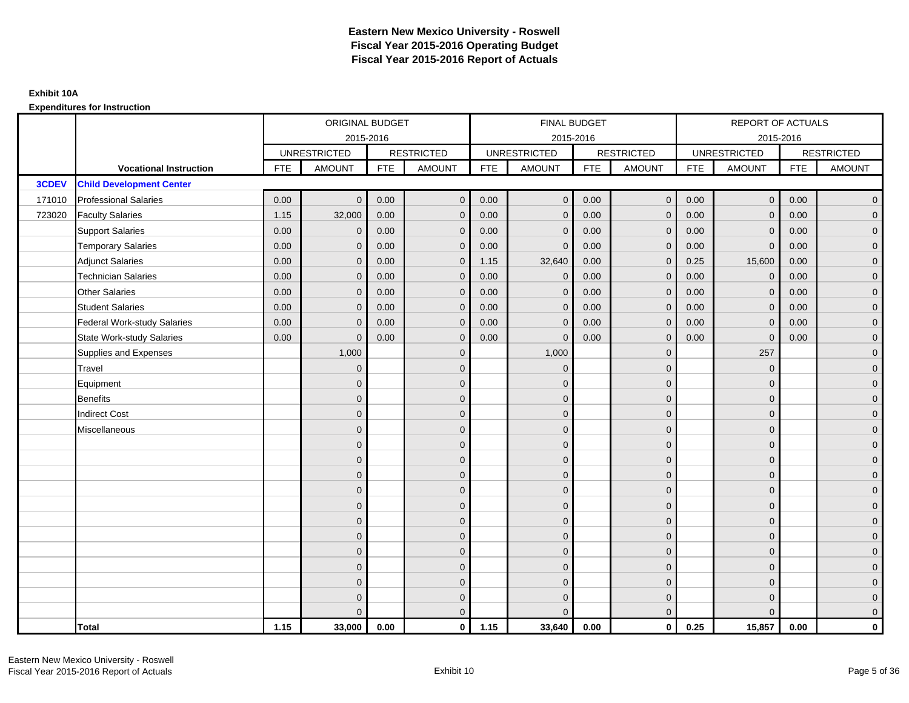|        |                                    |            | ORIGINAL BUDGET     |            |                   |            | <b>FINAL BUDGET</b> |            |                   |            | REPORT OF ACTUALS   |            |                   |
|--------|------------------------------------|------------|---------------------|------------|-------------------|------------|---------------------|------------|-------------------|------------|---------------------|------------|-------------------|
|        |                                    |            | 2015-2016           |            |                   |            | 2015-2016           |            |                   |            | 2015-2016           |            |                   |
|        |                                    |            | <b>UNRESTRICTED</b> |            | <b>RESTRICTED</b> |            | <b>UNRESTRICTED</b> |            | <b>RESTRICTED</b> |            | <b>UNRESTRICTED</b> |            | <b>RESTRICTED</b> |
|        | <b>Vocational Instruction</b>      | <b>FTE</b> | <b>AMOUNT</b>       | <b>FTE</b> | <b>AMOUNT</b>     | <b>FTE</b> | <b>AMOUNT</b>       | <b>FTE</b> | <b>AMOUNT</b>     | <b>FTE</b> | <b>AMOUNT</b>       | <b>FTE</b> | <b>AMOUNT</b>     |
| 3CDEV  | <b>Child Development Center</b>    |            |                     |            |                   |            |                     |            |                   |            |                     |            |                   |
| 171010 | <b>Professional Salaries</b>       | 0.00       | $\Omega$            | 0.00       | $\mathbf{0}$      | 0.00       | $\overline{0}$      | 0.00       | $\mathbf{0}$      | 0.00       | $\overline{0}$      | 0.00       | $\overline{0}$    |
| 723020 | <b>Faculty Salaries</b>            | 1.15       | 32,000              | 0.00       | $\mathbf 0$       | 0.00       | $\mathbf{0}$        | 0.00       | $\mathbf{0}$      | 0.00       | $\mathbf 0$         | 0.00       | $\overline{0}$    |
|        | <b>Support Salaries</b>            | 0.00       | $\mathbf 0$         | 0.00       | $\mathbf 0$       | 0.00       | $\mathbf{0}$        | 0.00       | $\mathbf 0$       | 0.00       | $\mathbf 0$         | 0.00       | $\overline{0}$    |
|        | <b>Temporary Salaries</b>          | 0.00       | $\mathbf{0}$        | 0.00       | $\overline{0}$    | 0.00       | $\Omega$            | 0.00       | $\Omega$          | 0.00       | $\mathbf{0}$        | 0.00       | $\overline{0}$    |
|        | <b>Adjunct Salaries</b>            | 0.00       | $\Omega$            | 0.00       | $\overline{0}$    | 1.15       | 32,640              | 0.00       | $\Omega$          | 0.25       | 15,600              | 0.00       | $\overline{0}$    |
|        | <b>Technician Salaries</b>         | 0.00       | $\Omega$            | 0.00       | $\mathbf{0}$      | 0.00       | $\mathbf{0}$        | 0.00       | $\mathbf{0}$      | 0.00       | $\mathbf 0$         | 0.00       | $\mathbf{0}$      |
|        | Other Salaries                     | 0.00       | $\mathbf{0}$        | 0.00       | $\overline{0}$    | 0.00       | $\mathbf{0}$        | 0.00       | $\mathbf{0}$      | 0.00       | $\mathbf 0$         | 0.00       | $\overline{0}$    |
|        | <b>Student Salaries</b>            | 0.00       | $\mathbf{0}$        | 0.00       | $\overline{0}$    | 0.00       | $\mathbf{0}$        | 0.00       | $\mathbf{0}$      | 0.00       | $\mathbf 0$         | 0.00       | $\overline{0}$    |
|        | <b>Federal Work-study Salaries</b> | 0.00       | $\mathbf{0}$        | 0.00       | $\mathbf 0$       | 0.00       | $\mathbf{0}$        | 0.00       | $\Omega$          | 0.00       | $\mathbf 0$         | 0.00       | $\overline{0}$    |
|        | State Work-study Salaries          | 0.00       | $\mathbf{0}$        | 0.00       | $\overline{0}$    | 0.00       | $\mathbf{0}$        | 0.00       | $\mathbf 0$       | 0.00       | $\mathbf{0}$        | 0.00       | $\overline{0}$    |
|        | Supplies and Expenses              |            | 1,000               |            | $\mathbf{0}$      |            | 1,000               |            | $\mathbf 0$       |            | 257                 |            | $\mathbf{0}$      |
|        | <b>Travel</b>                      |            | $\Omega$            |            | $\mathbf 0$       |            | $\mathbf{0}$        |            | $\mathbf{0}$      |            | $\mathbf{0}$        |            | $\overline{0}$    |
|        | Equipment                          |            | $\Omega$            |            | $\mathbf 0$       |            | $\mathbf{0}$        |            | $\mathbf 0$       |            | $\mathbf{0}$        |            | $\overline{0}$    |
|        | <b>Benefits</b>                    |            | $\mathbf{0}$        |            | $\mathbf 0$       |            | $\Omega$            |            | $\mathbf 0$       |            | $\mathbf{0}$        |            | $\overline{0}$    |
|        | <b>Indirect Cost</b>               |            | $\Omega$            |            | $\overline{0}$    |            | $\Omega$            |            | $\Omega$          |            | $\Omega$            |            | $\overline{0}$    |
|        | Miscellaneous                      |            | $\Omega$            |            | $\mathbf 0$       |            | $\mathbf{0}$        |            | $\Omega$          |            | $\mathbf{0}$        |            | $\mathbf{0}$      |
|        |                                    |            | $\Omega$            |            | $\mathbf 0$       |            | $\mathbf{0}$        |            | $\mathbf{0}$      |            | $\mathbf{0}$        |            | $\overline{0}$    |
|        |                                    |            | $\Omega$            |            | $\mathbf 0$       |            | $\mathbf{0}$        |            | $\mathbf{0}$      |            | $\mathbf{0}$        |            | $\overline{0}$    |
|        |                                    |            | $\Omega$            |            | $\mathbf 0$       |            | $\mathbf{0}$        |            | $\mathbf 0$       |            | $\mathbf{0}$        |            | $\overline{0}$    |
|        |                                    |            | $\Omega$            |            | $\mathbf 0$       |            | $\Omega$            |            | $\mathbf{0}$      |            | $\mathbf{0}$        |            | $\mathbf{0}$      |
|        |                                    |            | $\Omega$            |            | $\mathbf 0$       |            | $\Omega$            |            | $\overline{0}$    |            | $\Omega$            |            | $\mathbf{0}$      |
|        |                                    |            | $\Omega$            |            | $\mathbf 0$       |            | $\Omega$            |            | $\mathbf{0}$      |            | $\Omega$            |            | $\overline{0}$    |
|        |                                    |            | $\Omega$            |            | $\mathbf 0$       |            | $\mathbf{0}$        |            | $\mathbf 0$       |            | $\mathbf{0}$        |            | $\overline{0}$    |
|        |                                    |            | $\Omega$            |            | $\mathbf 0$       |            | $\Omega$            |            | $\mathbf 0$       |            | $\mathbf{0}$        |            | $\overline{0}$    |
|        |                                    |            | $\Omega$            |            | $\mathbf 0$       |            | $\Omega$            |            | $\mathbf{0}$      |            | $\Omega$            |            | $\overline{0}$    |
|        |                                    |            | $\Omega$            |            | $\mathbf 0$       |            | $\mathbf{0}$        |            | $\mathbf 0$       |            | $\mathbf{0}$        |            | $\mathbf{0}$      |
|        |                                    |            | $\Omega$            |            | $\mathbf 0$       |            | $\Omega$            |            | $\mathbf{0}$      |            | $\mathbf{0}$        |            | $\mathbf{0}$      |
|        |                                    |            | $\Omega$            |            | $\overline{0}$    |            | $\Omega$            |            | $\mathbf{0}$      |            | $\Omega$            |            | $\overline{0}$    |
|        | <b>Total</b>                       | 1.15       | 33,000              | 0.00       | $\mathbf{0}$      | 1.15       | 33,640              | 0.00       | $\mathbf{0}$      | 0.25       | 15,857              | 0.00       | $\mathbf 0$       |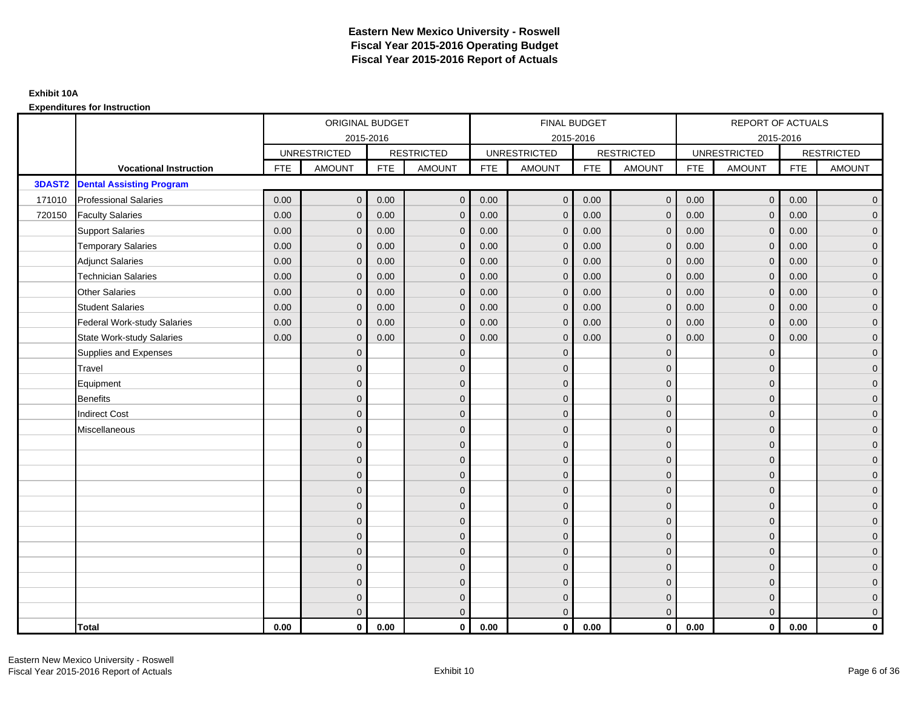|        |                                    |            | ORIGINAL BUDGET     |            |                   |            | <b>FINAL BUDGET</b> |            |                   |            | REPORT OF ACTUALS   |            |                   |
|--------|------------------------------------|------------|---------------------|------------|-------------------|------------|---------------------|------------|-------------------|------------|---------------------|------------|-------------------|
|        |                                    |            | 2015-2016           |            |                   |            | 2015-2016           |            |                   |            |                     | 2015-2016  |                   |
|        |                                    |            | <b>UNRESTRICTED</b> |            | <b>RESTRICTED</b> |            | <b>UNRESTRICTED</b> |            | <b>RESTRICTED</b> |            | <b>UNRESTRICTED</b> |            | <b>RESTRICTED</b> |
|        | <b>Vocational Instruction</b>      | <b>FTE</b> | <b>AMOUNT</b>       | <b>FTE</b> | <b>AMOUNT</b>     | <b>FTE</b> | <b>AMOUNT</b>       | <b>FTE</b> | <b>AMOUNT</b>     | <b>FTE</b> | <b>AMOUNT</b>       | <b>FTE</b> | <b>AMOUNT</b>     |
| 3DAST2 | <b>Dental Assisting Program</b>    |            |                     |            |                   |            |                     |            |                   |            |                     |            |                   |
| 171010 | <b>Professional Salaries</b>       | 0.00       | $\Omega$            | 0.00       | $\overline{0}$    | 0.00       | $\overline{0}$      | 0.00       | $\mathbf{0}$      | 0.00       | $\overline{0}$      | 0.00       | $\overline{0}$    |
| 720150 | <b>Faculty Salaries</b>            | 0.00       | $\mathbf 0$         | 0.00       | $\mathbf 0$       | 0.00       | $\mathbf{0}$        | 0.00       | $\mathbf{0}$      | 0.00       | $\mathbf 0$         | 0.00       | $\overline{0}$    |
|        | <b>Support Salaries</b>            | 0.00       | $\Omega$            | 0.00       | $\mathbf 0$       | 0.00       | $\mathbf{0}$        | 0.00       | $\mathbf 0$       | 0.00       | $\mathbf 0$         | 0.00       | $\overline{0}$    |
|        | <b>Temporary Salaries</b>          | 0.00       | $\mathbf{0}$        | 0.00       | $\overline{0}$    | 0.00       | $\Omega$            | 0.00       | $\Omega$          | 0.00       | $\mathbf 0$         | 0.00       | $\overline{0}$    |
|        | <b>Adjunct Salaries</b>            | 0.00       | $\Omega$            | 0.00       | $\overline{0}$    | 0.00       | $\Omega$            | 0.00       | $\Omega$          | 0.00       | $\overline{0}$      | 0.00       | $\overline{0}$    |
|        | <b>Technician Salaries</b>         | 0.00       | $\Omega$            | 0.00       | $\mathbf{0}$      | 0.00       | $\mathbf{0}$        | 0.00       | $\mathbf{0}$      | 0.00       | $\mathbf{0}$        | 0.00       | $\mathbf{0}$      |
|        | Other Salaries                     | 0.00       | $\mathbf{0}$        | 0.00       | $\overline{0}$    | 0.00       | $\mathbf{0}$        | 0.00       | $\Omega$          | 0.00       | $\overline{0}$      | 0.00       | $\overline{0}$    |
|        | <b>Student Salaries</b>            | 0.00       | $\Omega$            | 0.00       | $\overline{0}$    | 0.00       | $\mathbf{0}$        | 0.00       | $\mathbf{0}$      | 0.00       | $\mathbf 0$         | 0.00       | $\overline{0}$    |
|        | <b>Federal Work-study Salaries</b> | 0.00       | $\mathbf 0$         | 0.00       | $\mathbf 0$       | 0.00       | $\mathbf{0}$        | 0.00       | $\Omega$          | 0.00       | $\mathbf 0$         | 0.00       | $\overline{0}$    |
|        | State Work-study Salaries          | 0.00       | $\mathbf{0}$        | 0.00       | $\overline{0}$    | 0.00       | $\mathbf{0}$        | 0.00       | $\mathbf 0$       | 0.00       | $\mathbf{0}$        | 0.00       | $\overline{0}$    |
|        | Supplies and Expenses              |            | $\Omega$            |            | $\mathbf{0}$      |            | $\Omega$            |            | $\mathbf 0$       |            | $\mathbf{0}$        |            | $\mathbf{0}$      |
|        | <b>Travel</b>                      |            | $\Omega$            |            | $\mathbf 0$       |            | $\Omega$            |            | $\Omega$          |            | $\mathbf{0}$        |            | $\overline{0}$    |
|        | Equipment                          |            | $\Omega$            |            | $\mathbf 0$       |            | $\mathbf{0}$        |            | $\mathbf{0}$      |            | $\mathbf{0}$        |            | $\overline{0}$    |
|        | <b>Benefits</b>                    |            | $\Omega$            |            | $\mathbf 0$       |            | $\Omega$            |            | $\mathbf{0}$      |            | $\mathbf{0}$        |            | $\overline{0}$    |
|        | <b>Indirect Cost</b>               |            | $\Omega$            |            | $\overline{0}$    |            | $\Omega$            |            | $\Omega$          |            | $\Omega$            |            | $\overline{0}$    |
|        | Miscellaneous                      |            | $\Omega$            |            | $\mathbf 0$       |            | $\mathbf{0}$        |            | $\Omega$          |            | $\mathbf{0}$        |            | $\mathbf{0}$      |
|        |                                    |            | $\Omega$            |            | $\mathbf 0$       |            | $\Omega$            |            | $\mathbf{0}$      |            | $\mathbf{0}$        |            | $\overline{0}$    |
|        |                                    |            | $\Omega$            |            | $\mathbf 0$       |            | $\Omega$            |            | $\mathbf{0}$      |            | $\mathbf{0}$        |            | $\overline{0}$    |
|        |                                    |            | $\Omega$            |            | $\mathbf 0$       |            | $\Omega$            |            | $\overline{0}$    |            | $\mathbf{0}$        |            | $\overline{0}$    |
|        |                                    |            | $\Omega$            |            | $\mathbf 0$       |            | $\Omega$            |            | $\mathbf{0}$      |            | $\mathbf{0}$        |            | $\mathbf{0}$      |
|        |                                    |            | $\Omega$            |            | $\mathbf 0$       |            | $\Omega$            |            | $\overline{0}$    |            | $\Omega$            |            | $\mathbf{0}$      |
|        |                                    |            | $\Omega$            |            | $\mathbf 0$       |            | $\Omega$            |            | $\mathbf{0}$      |            | $\Omega$            |            | $\overline{0}$    |
|        |                                    |            | $\Omega$            |            | $\mathbf 0$       |            | $\mathbf{0}$        |            | $\mathbf{0}$      |            | $\mathbf{0}$        |            | $\overline{0}$    |
|        |                                    |            | $\Omega$            |            | $\mathbf 0$       |            | $\Omega$            |            | $\mathbf 0$       |            | $\mathbf{0}$        |            | $\overline{0}$    |
|        |                                    |            | $\Omega$            |            | $\overline{0}$    |            | $\Omega$            |            | $\Omega$          |            | $\Omega$            |            | $\overline{0}$    |
|        |                                    |            | $\Omega$            |            | $\mathbf 0$       |            | $\mathbf{0}$        |            | $\mathbf{0}$      |            | $\mathbf{0}$        |            | $\mathbf{0}$      |
|        |                                    |            | $\mathbf{0}$        |            | $\mathbf 0$       |            | $\mathbf{0}$        |            | $\mathbf{0}$      |            | $\mathbf{0}$        |            | $\mathbf{0}$      |
|        |                                    |            | $\Omega$            |            | $\overline{0}$    |            | $\Omega$            |            | $\mathbf{0}$      |            | $\Omega$            |            | $\overline{0}$    |
|        | <b>Total</b>                       | 0.00       | $\mathbf{0}$        | 0.00       | $\mathbf{0}$      | 0.00       | $\mathbf{0}$        | 0.00       | $\mathbf{0}$      | 0.00       | $\mathbf{0}$        | 0.00       | $\mathbf 0$       |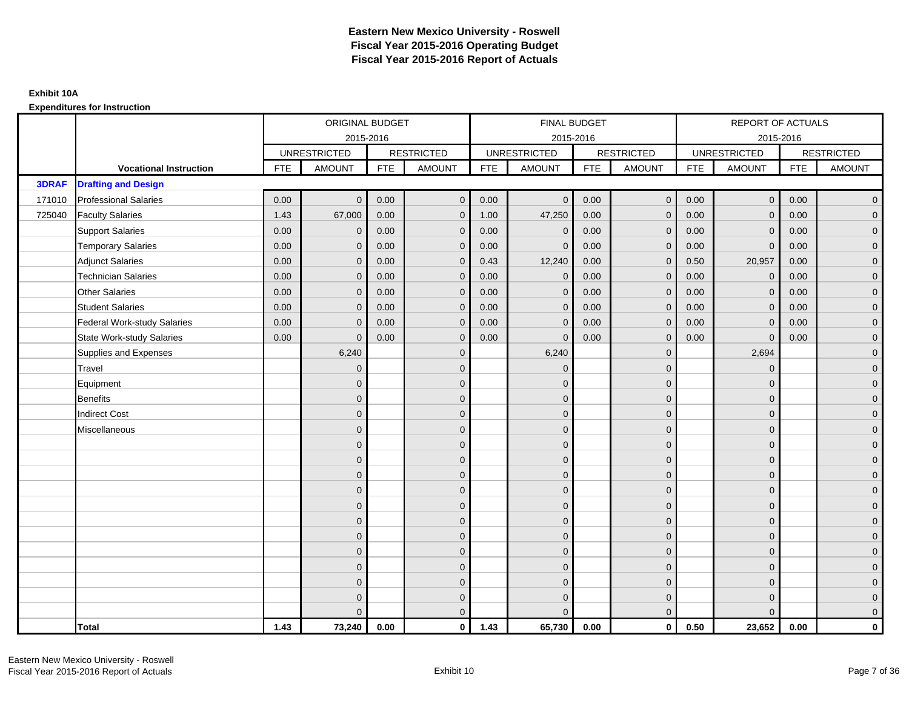|              |                                    |            | ORIGINAL BUDGET     |            |                   |            | <b>FINAL BUDGET</b> |            |                   |            | REPORT OF ACTUALS   |            |                   |
|--------------|------------------------------------|------------|---------------------|------------|-------------------|------------|---------------------|------------|-------------------|------------|---------------------|------------|-------------------|
|              |                                    |            |                     | 2015-2016  |                   |            | 2015-2016           |            |                   |            |                     | 2015-2016  |                   |
|              |                                    |            | <b>UNRESTRICTED</b> |            | <b>RESTRICTED</b> |            | <b>UNRESTRICTED</b> |            | <b>RESTRICTED</b> |            | <b>UNRESTRICTED</b> |            | <b>RESTRICTED</b> |
|              | <b>Vocational Instruction</b>      | <b>FTE</b> | <b>AMOUNT</b>       | <b>FTE</b> | <b>AMOUNT</b>     | <b>FTE</b> | <b>AMOUNT</b>       | <b>FTE</b> | <b>AMOUNT</b>     | <b>FTE</b> | <b>AMOUNT</b>       | <b>FTE</b> | <b>AMOUNT</b>     |
| <b>3DRAF</b> | <b>Drafting and Design</b>         |            |                     |            |                   |            |                     |            |                   |            |                     |            |                   |
| 171010       | <b>Professional Salaries</b>       | 0.00       | $\Omega$            | 0.00       | $\mathbf{0}$      | 0.00       | $\Omega$            | 0.00       | $\mathbf{0}$      | 0.00       | $\overline{0}$      | 0.00       | $\overline{0}$    |
| 725040       | <b>Faculty Salaries</b>            | 1.43       | 67,000              | 0.00       | $\mathbf 0$       | 1.00       | 47,250              | 0.00       | $\mathbf{0}$      | 0.00       | $\mathbf 0$         | 0.00       | $\overline{0}$    |
|              | <b>Support Salaries</b>            | 0.00       | $\mathbf 0$         | 0.00       | $\mathbf 0$       | 0.00       | $\mathbf{0}$        | 0.00       | $\mathbf 0$       | 0.00       | $\mathbf 0$         | 0.00       | $\overline{0}$    |
|              | <b>Temporary Salaries</b>          | 0.00       | $\mathbf{0}$        | 0.00       | $\overline{0}$    | 0.00       | $\Omega$            | 0.00       | $\Omega$          | 0.00       | $\overline{0}$      | 0.00       | $\overline{0}$    |
|              | <b>Adjunct Salaries</b>            | 0.00       | $\Omega$            | 0.00       | $\overline{0}$    | 0.43       | 12,240              | 0.00       | $\Omega$          | 0.50       | 20,957              | 0.00       | $\overline{0}$    |
|              | <b>Technician Salaries</b>         | 0.00       | $\mathbf{0}$        | 0.00       | $\mathbf{0}$      | 0.00       | $\Omega$            | 0.00       | $\mathbf 0$       | 0.00       | $\mathbf 0$         | 0.00       | $\mathbf{0}$      |
|              | <b>Other Salaries</b>              | 0.00       | $\mathbf{0}$        | 0.00       | $\mathbf 0$       | 0.00       | $\Omega$            | 0.00       | $\mathbf{0}$      | 0.00       | $\mathbf 0$         | 0.00       | $\overline{0}$    |
|              | <b>Student Salaries</b>            | 0.00       | $\mathbf{0}$        | 0.00       | $\mathbf 0$       | 0.00       | $\mathbf{0}$        | 0.00       | $\mathbf 0$       | 0.00       | $\mathbf 0$         | 0.00       | $\overline{0}$    |
|              | <b>Federal Work-study Salaries</b> | 0.00       | $\mathbf{0}$        | 0.00       | $\mathbf 0$       | 0.00       | $\mathbf{0}$        | 0.00       | $\Omega$          | 0.00       | $\mathbf 0$         | 0.00       | $\overline{0}$    |
|              | <b>State Work-study Salaries</b>   | 0.00       | $\mathbf{0}$        | 0.00       | $\overline{0}$    | 0.00       | $\mathbf{0}$        | 0.00       | $\mathbf 0$       | 0.00       | $\mathbf{0}$        | 0.00       | $\overline{0}$    |
|              | Supplies and Expenses              |            | 6,240               |            | $\overline{0}$    |            | 6,240               |            | $\overline{0}$    |            | 2,694               |            | $\mathbf{0}$      |
|              | <b>Travel</b>                      |            | $\Omega$            |            | $\mathbf 0$       |            | $\Omega$            |            | $\mathbf{0}$      |            | $\mathbf{0}$        |            | $\overline{0}$    |
|              | Equipment                          |            | $\mathbf{0}$        |            | $\mathbf 0$       |            | $\Omega$            |            | $\mathbf 0$       |            | $\mathbf{0}$        |            | $\overline{0}$    |
|              | <b>Benefits</b>                    |            | $\mathbf{0}$        |            | $\mathbf 0$       |            | $\Omega$            |            | $\mathbf{0}$      |            | $\mathbf{0}$        |            | $\overline{0}$    |
|              | <b>Indirect Cost</b>               |            | $\Omega$            |            | $\overline{0}$    |            | $\Omega$            |            | $\Omega$          |            | $\Omega$            |            | $\overline{0}$    |
|              | Miscellaneous                      |            | $\mathbf{0}$        |            | $\mathbf 0$       |            | $\Omega$            |            | $\mathbf 0$       |            | $\mathbf{0}$        |            | $\mathbf{0}$      |
|              |                                    |            | $\mathbf{0}$        |            | $\mathbf 0$       |            | $\Omega$            |            | $\mathbf{0}$      |            | $\mathbf{0}$        |            | $\overline{0}$    |
|              |                                    |            | $\mathbf{0}$        |            | $\mathbf 0$       |            | $\Omega$            |            | $\mathbf{0}$      |            | $\mathbf{0}$        |            | $\overline{0}$    |
|              |                                    |            | $\mathbf 0$         |            | $\mathbf 0$       |            | $\Omega$            |            | $\mathbf 0$       |            | $\mathbf{0}$        |            | $\overline{0}$    |
|              |                                    |            | $\Omega$            |            | $\mathbf 0$       |            | $\Omega$            |            | $\mathbf{0}$      |            | $\mathbf{0}$        |            | $\mathbf{0}$      |
|              |                                    |            | $\Omega$            |            | $\mathbf 0$       |            | $\Omega$            |            | $\mathbf 0$       |            | $\Omega$            |            | $\mathbf{0}$      |
|              |                                    |            | $\Omega$            |            | $\mathbf 0$       |            | $\Omega$            |            | $\mathbf{0}$      |            | $\Omega$            |            | $\overline{0}$    |
|              |                                    |            | $\mathbf{0}$        |            | $\mathbf 0$       |            | $\Omega$            |            | $\mathbf 0$       |            | $\mathbf{0}$        |            | $\overline{0}$    |
|              |                                    |            | $\mathbf{0}$        |            | $\mathbf 0$       |            | $\Omega$            |            | $\mathbf 0$       |            | $\mathbf{0}$        |            | $\overline{0}$    |
|              |                                    |            | $\Omega$            |            | $\mathbf 0$       |            | $\Omega$            |            | $\mathbf{0}$      |            | $\Omega$            |            | $\overline{0}$    |
|              |                                    |            | $\mathbf 0$         |            | $\mathbf 0$       |            | $\Omega$            |            | $\mathbf 0$       |            | $\mathbf{0}$        |            | $\mathbf{0}$      |
|              |                                    |            | $\mathbf{0}$        |            | $\mathbf 0$       |            | $\Omega$            |            | $\mathbf 0$       |            | $\mathbf{0}$        |            | $\mathbf{0}$      |
|              |                                    |            | $\Omega$            |            | $\overline{0}$    |            |                     |            | $\mathbf{0}$      |            | $\Omega$            |            | $\overline{0}$    |
|              | <b>Total</b>                       | 1.43       | 73,240              | 0.00       | $\mathbf{0}$      | 1.43       | 65,730              | 0.00       | $\mathbf{0}$      | 0.50       | 23,652              | 0.00       | $\mathbf 0$       |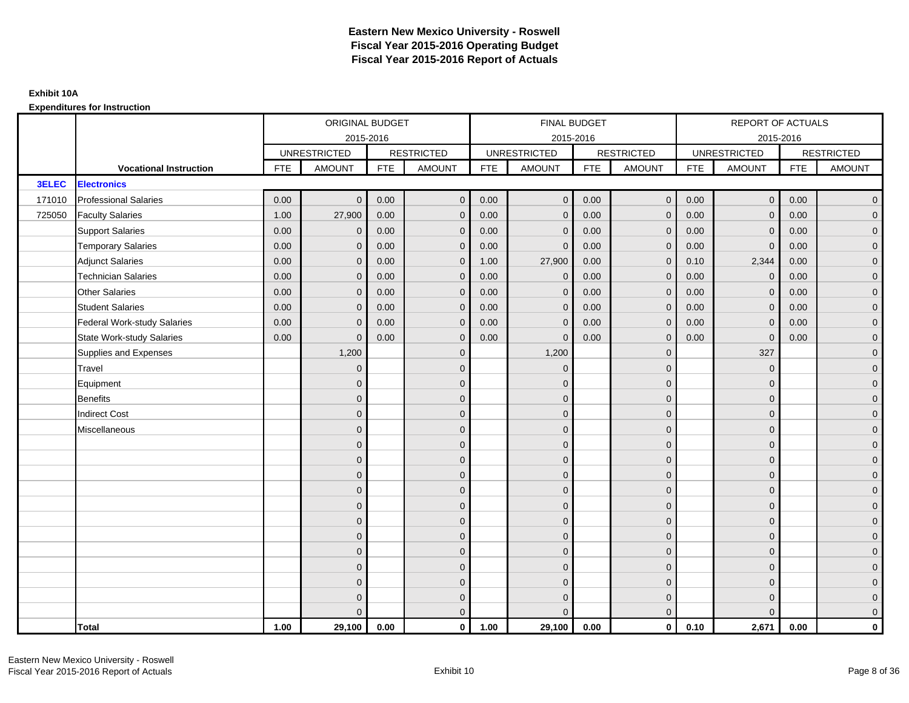|              |                                    |            | ORIGINAL BUDGET     |            |                   |            | <b>FINAL BUDGET</b> |            |                   |            | REPORT OF ACTUALS   |            |                   |
|--------------|------------------------------------|------------|---------------------|------------|-------------------|------------|---------------------|------------|-------------------|------------|---------------------|------------|-------------------|
|              |                                    |            | 2015-2016           |            |                   |            | 2015-2016           |            |                   |            | 2015-2016           |            |                   |
|              |                                    |            | <b>UNRESTRICTED</b> |            | <b>RESTRICTED</b> |            | <b>UNRESTRICTED</b> |            | <b>RESTRICTED</b> |            | <b>UNRESTRICTED</b> |            | <b>RESTRICTED</b> |
|              | <b>Vocational Instruction</b>      | <b>FTE</b> | <b>AMOUNT</b>       | <b>FTE</b> | <b>AMOUNT</b>     | <b>FTE</b> | <b>AMOUNT</b>       | <b>FTE</b> | <b>AMOUNT</b>     | <b>FTE</b> | <b>AMOUNT</b>       | <b>FTE</b> | <b>AMOUNT</b>     |
| <b>3ELEC</b> | <b>Electronics</b>                 |            |                     |            |                   |            |                     |            |                   |            |                     |            |                   |
| 171010       | <b>Professional Salaries</b>       | 0.00       | $\Omega$            | 0.00       | $\overline{0}$    | 0.00       | $\overline{0}$      | 0.00       | $\overline{0}$    | 0.00       | $\overline{0}$      | 0.00       | $\overline{0}$    |
| 725050       | <b>Faculty Salaries</b>            | 1.00       | 27,900              | 0.00       | $\mathbf 0$       | 0.00       | $\mathbf{0}$        | 0.00       | $\mathbf{0}$      | 0.00       | $\mathbf 0$         | 0.00       | $\overline{0}$    |
|              | <b>Support Salaries</b>            | 0.00       | $\mathbf 0$         | 0.00       | $\mathbf 0$       | 0.00       | $\mathbf{0}$        | 0.00       | $\mathbf 0$       | 0.00       | $\mathbf 0$         | 0.00       | $\overline{0}$    |
|              | <b>Temporary Salaries</b>          | 0.00       | $\mathbf{0}$        | 0.00       | $\overline{0}$    | 0.00       | $\Omega$            | 0.00       | $\Omega$          | 0.00       | $\mathbf{0}$        | 0.00       | $\overline{0}$    |
|              | <b>Adjunct Salaries</b>            | 0.00       | $\Omega$            | 0.00       | $\overline{0}$    | 1.00       | 27,900              | 0.00       | $\Omega$          | 0.10       | 2,344               | 0.00       | $\overline{0}$    |
|              | <b>Technician Salaries</b>         | 0.00       | $\mathbf{0}$        | 0.00       | $\mathbf{0}$      | 0.00       | $\mathbf{0}$        | 0.00       | $\mathbf{0}$      | 0.00       | $\mathbf 0$         | 0.00       | $\mathbf{0}$      |
|              | <b>Other Salaries</b>              | 0.00       | $\mathbf{0}$        | 0.00       | $\overline{0}$    | 0.00       | $\mathbf{0}$        | 0.00       | $\mathbf{0}$      | 0.00       | $\mathbf 0$         | 0.00       | $\overline{0}$    |
|              | <b>Student Salaries</b>            | 0.00       | $\mathbf{0}$        | 0.00       | $\mathbf 0$       | 0.00       | $\mathbf{0}$        | 0.00       | $\mathbf{0}$      | 0.00       | $\mathbf 0$         | 0.00       | $\overline{0}$    |
|              | <b>Federal Work-study Salaries</b> | 0.00       | $\mathbf{0}$        | 0.00       | $\mathbf 0$       | 0.00       | $\mathbf{0}$        | 0.00       | $\Omega$          | 0.00       | $\mathbf 0$         | 0.00       | $\overline{0}$    |
|              | State Work-study Salaries          | 0.00       | $\mathbf{0}$        | 0.00       | $\overline{0}$    | 0.00       | $\mathbf{0}$        | 0.00       | $\mathbf{0}$      | 0.00       | $\mathbf{0}$        | 0.00       | $\overline{0}$    |
|              | Supplies and Expenses              |            | 1,200               |            | $\overline{0}$    |            | 1,200               |            | $\overline{0}$    |            | 327                 |            | $\mathbf{0}$      |
|              | <b>Travel</b>                      |            | $\Omega$            |            | $\mathbf 0$       |            | $\mathbf{0}$        |            | $\mathbf{0}$      |            | $\mathbf{0}$        |            | $\overline{0}$    |
|              | Equipment                          |            | $\Omega$            |            | $\mathbf 0$       |            | $\mathbf{0}$        |            | $\mathbf 0$       |            | $\mathbf{0}$        |            | $\overline{0}$    |
|              | <b>Benefits</b>                    |            | $\mathbf{0}$        |            | $\mathbf 0$       |            | $\Omega$            |            | $\mathbf 0$       |            | $\mathbf{0}$        |            | $\overline{0}$    |
|              | <b>Indirect Cost</b>               |            | $\Omega$            |            | $\mathbf{0}$      |            | $\Omega$            |            | $\Omega$          |            | $\Omega$            |            | $\overline{0}$    |
|              | Miscellaneous                      |            | $\Omega$            |            | $\mathbf 0$       |            | $\mathbf{0}$        |            | $\Omega$          |            | $\mathbf{0}$        |            | $\mathbf{0}$      |
|              |                                    |            | $\Omega$            |            | $\mathbf 0$       |            | $\mathbf{0}$        |            | $\mathbf{0}$      |            | $\mathbf{0}$        |            | $\overline{0}$    |
|              |                                    |            | $\Omega$            |            | $\mathbf 0$       |            | $\mathbf{0}$        |            | $\mathbf{0}$      |            | $\mathbf{0}$        |            | $\overline{0}$    |
|              |                                    |            | $\Omega$            |            | $\mathbf 0$       |            | $\mathbf{0}$        |            | $\mathbf 0$       |            | $\mathbf{0}$        |            | $\overline{0}$    |
|              |                                    |            | $\Omega$            |            | $\mathbf 0$       |            | $\Omega$            |            | $\mathbf{0}$      |            | $\mathbf{0}$        |            | $\mathbf{0}$      |
|              |                                    |            | $\Omega$            |            | $\mathbf 0$       |            | $\Omega$            |            | $\overline{0}$    |            | $\Omega$            |            | $\mathbf{0}$      |
|              |                                    |            | $\Omega$            |            | $\mathbf 0$       |            | $\Omega$            |            | $\mathbf{0}$      |            | $\Omega$            |            | $\overline{0}$    |
|              |                                    |            | $\Omega$            |            | $\mathbf 0$       |            | $\mathbf{0}$        |            | $\mathbf 0$       |            | $\mathbf{0}$        |            | $\overline{0}$    |
|              |                                    |            | $\mathbf{0}$        |            | $\mathbf 0$       |            | $\Omega$            |            | $\mathbf 0$       |            | $\mathbf{0}$        |            | $\overline{0}$    |
|              |                                    |            | $\Omega$            |            | $\mathbf 0$       |            | $\Omega$            |            | $\mathbf{0}$      |            | $\Omega$            |            | $\overline{0}$    |
|              |                                    |            | $\Omega$            |            | $\mathbf 0$       |            | $\mathbf{0}$        |            | $\mathbf 0$       |            | $\mathbf{0}$        |            | $\mathbf{0}$      |
|              |                                    |            | $\Omega$            |            | $\mathbf 0$       |            | $\mathbf{0}$        |            | $\mathbf 0$       |            | $\mathbf{0}$        |            | $\mathbf{0}$      |
|              |                                    |            | $\Omega$            |            | $\overline{0}$    |            | $\Omega$            |            | $\mathbf{0}$      |            | $\Omega$            |            | $\overline{0}$    |
|              | <b>Total</b>                       | 1.00       | 29,100              | 0.00       | $\mathbf{0}$      | 1.00       | 29,100              | 0.00       | $\mathbf{0}$      | 0.10       | 2,671               | 0.00       | $\mathbf 0$       |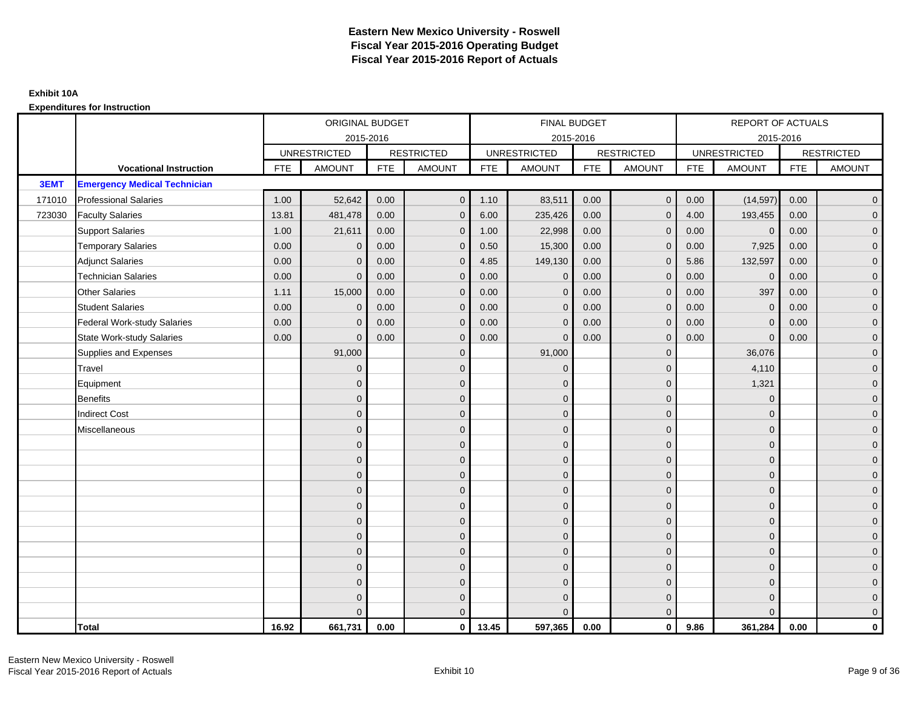|        |                                     |            | <b>ORIGINAL BUDGET</b> |            |                   |            | <b>FINAL BUDGET</b> |            |                   |            | REPORT OF ACTUALS   |             |                   |
|--------|-------------------------------------|------------|------------------------|------------|-------------------|------------|---------------------|------------|-------------------|------------|---------------------|-------------|-------------------|
|        |                                     |            |                        | 2015-2016  |                   |            | 2015-2016           |            |                   |            | 2015-2016           |             |                   |
|        |                                     |            | <b>UNRESTRICTED</b>    |            | <b>RESTRICTED</b> |            | <b>UNRESTRICTED</b> |            | <b>RESTRICTED</b> |            | <b>UNRESTRICTED</b> |             | <b>RESTRICTED</b> |
|        | <b>Vocational Instruction</b>       | <b>FTE</b> | <b>AMOUNT</b>          | <b>FTE</b> | <b>AMOUNT</b>     | <b>FTE</b> | <b>AMOUNT</b>       | <b>FTE</b> | <b>AMOUNT</b>     | <b>FTE</b> | <b>AMOUNT</b>       | ${\sf FTE}$ | <b>AMOUNT</b>     |
| 3EMT   | <b>Emergency Medical Technician</b> |            |                        |            |                   |            |                     |            |                   |            |                     |             |                   |
| 171010 | <b>Professional Salaries</b>        | 1.00       | 52,642                 | 0.00       | $\mathbf{0}$      | 1.10       | 83,511              | 0.00       | $\overline{0}$    | 0.00       | (14, 597)           | 0.00        | $\overline{0}$    |
| 723030 | <b>Faculty Salaries</b>             | 13.81      | 481,478                | 0.00       | $\mathbf 0$       | 6.00       | 235,426             | 0.00       | $\mathbf{0}$      | 4.00       | 193,455             | 0.00        | $\mathbf 0$       |
|        | <b>Support Salaries</b>             | 1.00       | 21,611                 | 0.00       | $\mathbf 0$       | 1.00       | 22,998              | 0.00       | $\mathbf{0}$      | 0.00       | $\mathbf 0$         | 0.00        | $\overline{0}$    |
|        | <b>Temporary Salaries</b>           | 0.00       | $\mathbf{0}$           | 0.00       | $\overline{0}$    | 0.50       | 15,300              | 0.00       | $\Omega$          | 0.00       | 7,925               | 0.00        | $\overline{0}$    |
|        | <b>Adjunct Salaries</b>             | 0.00       | $\Omega$               | 0.00       | $\mathbf{0}$      | 4.85       | 149,130             | 0.00       | $\Omega$          | 5.86       | 132,597             | 0.00        | $\overline{0}$    |
|        | <b>Technician Salaries</b>          | 0.00       | $\mathbf{0}$           | 0.00       | $\overline{0}$    | 0.00       | $\mathbf{0}$        | 0.00       | $\mathbf{0}$      | 0.00       | $\mathbf 0$         | 0.00        | $\mathbf 0$       |
|        | <b>Other Salaries</b>               | 1.11       | 15,000                 | 0.00       | $\mathbf 0$       | 0.00       | $\mathbf{0}$        | 0.00       | $\mathbf{0}$      | 0.00       | 397                 | 0.00        | $\overline{0}$    |
|        | <b>Student Salaries</b>             | 0.00       | $\mathbf{0}$           | 0.00       | $\mathbf{0}$      | 0.00       | $\mathbf{0}$        | 0.00       | $\mathbf{0}$      | 0.00       | $\mathbf 0$         | 0.00        | $\overline{0}$    |
|        | <b>Federal Work-study Salaries</b>  | 0.00       | $\mathbf{0}$           | 0.00       | $\mathbf 0$       | 0.00       | $\mathbf{0}$        | 0.00       | $\mathbf{0}$      | 0.00       | $\mathbf{0}$        | 0.00        | $\mathbf 0$       |
|        | <b>State Work-study Salaries</b>    | 0.00       | $\mathbf{0}$           | 0.00       | $\overline{0}$    | 0.00       | $\mathbf{0}$        | 0.00       | $\mathbf{0}$      | 0.00       | $\mathbf 0$         | 0.00        | $\mathbf 0$       |
|        | Supplies and Expenses               |            | 91,000                 |            | $\mathbf 0$       |            | 91,000              |            | $\mathbf{0}$      |            | 36,076              |             | $\mathbf 0$       |
|        | Travel                              |            | $\Omega$               |            | $\mathbf 0$       |            | $\Omega$            |            | $\mathbf{0}$      |            | 4,110               |             | $\overline{0}$    |
|        | Equipment                           |            | $\Omega$               |            | $\mathbf 0$       |            | $\Omega$            |            | $\mathbf 0$       |            | 1,321               |             | $\overline{0}$    |
|        | <b>Benefits</b>                     |            | $\mathbf{0}$           |            | $\mathbf 0$       |            | $\Omega$            |            | $\mathbf{0}$      |            | $\mathbf{0}$        |             | $\overline{0}$    |
|        | <b>Indirect Cost</b>                |            | $\Omega$               |            | $\mathbf{0}$      |            | $\Omega$            |            | $\mathbf{0}$      |            | $\Omega$            |             | $\overline{0}$    |
|        | Miscellaneous                       |            | $\Omega$               |            | $\mathbf 0$       |            | $\mathbf{0}$        |            | $\mathbf 0$       |            | $\mathbf{0}$        |             | $\mathbf 0$       |
|        |                                     |            | $\mathbf{0}$           |            | $\mathbf 0$       |            | $\Omega$            |            | $\mathbf 0$       |            | $\Omega$            |             | $\overline{0}$    |
|        |                                     |            | $\mathbf{0}$           |            | $\mathbf{0}$      |            | $\Omega$            |            | $\mathbf{0}$      |            | $\mathbf{0}$        |             | $\mathbf 0$       |
|        |                                     |            | $\mathbf{0}$           |            | $\mathbf 0$       |            | $\Omega$            |            | $\mathbf 0$       |            | $\mathbf{0}$        |             | $\pmb{0}$         |
|        |                                     |            | $\Omega$               |            | $\mathbf 0$       |            | $\Omega$            |            | $\mathbf{0}$      |            | $\mathbf{0}$        |             | $\mathbf 0$       |
|        |                                     |            | $\Omega$               |            | $\mathbf 0$       |            | $\Omega$            |            | $\mathbf{0}$      |            | $\Omega$            |             | $\mathbf 0$       |
|        |                                     |            | $\Omega$               |            | $\mathbf 0$       |            | $\Omega$            |            | $\mathbf{0}$      |            | $\Omega$            |             | $\overline{0}$    |
|        |                                     |            | $\mathbf{0}$           |            | $\mathbf 0$       |            | $\Omega$            |            | $\mathbf 0$       |            | $\mathbf{0}$        |             | $\mathbf 0$       |
|        |                                     |            | $\Omega$               |            | $\mathbf 0$       |            | $\Omega$            |            | $\mathbf{0}$      |            | $\mathbf{0}$        |             | $\mathbf 0$       |
|        |                                     |            | $\Omega$               |            | $\mathbf{0}$      |            | $\Omega$            |            | $\mathbf{0}$      |            | $\Omega$            |             | $\mathbf 0$       |
|        |                                     |            | $\Omega$               |            | $\mathbf 0$       |            | $\mathbf{0}$        |            | $\mathbf 0$       |            | $\mathbf{0}$        |             | $\mathbf 0$       |
|        |                                     |            | $\Omega$               |            | $\mathbf 0$       |            | $\Omega$            |            | $\mathbf 0$       |            | $\Omega$            |             | $\mathbf 0$       |
|        |                                     |            | $\Omega$               |            | $\Omega$          |            |                     |            | $\Omega$          |            | $\Omega$            |             | $\mathbf 0$       |
|        | <b>Total</b>                        | 16.92      | 661,731                | 0.00       | $\mathbf{0}$      | 13.45      | 597,365             | 0.00       | $\mathbf{0}$      | 9.86       | 361,284             | 0.00        | $\mathbf{0}$      |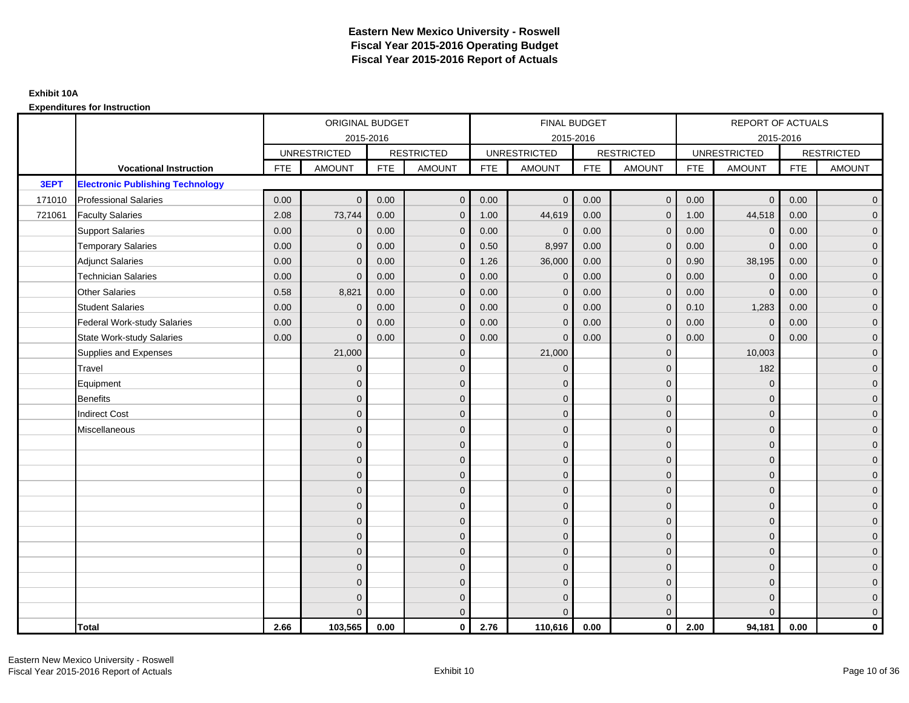|        |                                         |            | ORIGINAL BUDGET     |            |                   |            | <b>FINAL BUDGET</b> |            |                   |            | REPORT OF ACTUALS   |            |                   |
|--------|-----------------------------------------|------------|---------------------|------------|-------------------|------------|---------------------|------------|-------------------|------------|---------------------|------------|-------------------|
|        |                                         |            | 2015-2016           |            |                   |            | 2015-2016           |            |                   |            | 2015-2016           |            |                   |
|        |                                         |            | <b>UNRESTRICTED</b> |            | <b>RESTRICTED</b> |            | <b>UNRESTRICTED</b> |            | <b>RESTRICTED</b> |            | <b>UNRESTRICTED</b> |            | <b>RESTRICTED</b> |
|        | <b>Vocational Instruction</b>           | <b>FTE</b> | <b>AMOUNT</b>       | <b>FTE</b> | <b>AMOUNT</b>     | <b>FTE</b> | <b>AMOUNT</b>       | <b>FTE</b> | <b>AMOUNT</b>     | <b>FTE</b> | <b>AMOUNT</b>       | <b>FTE</b> | <b>AMOUNT</b>     |
| 3EPT   | <b>Electronic Publishing Technology</b> |            |                     |            |                   |            |                     |            |                   |            |                     |            |                   |
| 171010 | <b>Professional Salaries</b>            | 0.00       | $\Omega$            | 0.00       | $\overline{0}$    | 0.00       | $\mathbf{0}$        | 0.00       | $\mathbf{0}$      | 0.00       | $\overline{0}$      | 0.00       | $\overline{0}$    |
| 721061 | <b>Faculty Salaries</b>                 | 2.08       | 73,744              | 0.00       | $\mathbf 0$       | 1.00       | 44,619              | 0.00       | $\mathbf{0}$      | 1.00       | 44,518              | 0.00       | $\overline{0}$    |
|        | <b>Support Salaries</b>                 | 0.00       | $\mathbf 0$         | 0.00       | $\mathbf 0$       | 0.00       | $\mathbf{0}$        | 0.00       | $\mathbf 0$       | 0.00       | $\mathbf 0$         | 0.00       | $\overline{0}$    |
|        | <b>Temporary Salaries</b>               | 0.00       | $\mathbf{0}$        | 0.00       | $\overline{0}$    | 0.50       | 8,997               | 0.00       | $\Omega$          | 0.00       | $\mathbf{0}$        | 0.00       | $\overline{0}$    |
|        | <b>Adjunct Salaries</b>                 | 0.00       | $\Omega$            | 0.00       | $\overline{0}$    | 1.26       | 36,000              | 0.00       | $\Omega$          | 0.90       | 38,195              | 0.00       | $\overline{0}$    |
|        | <b>Technician Salaries</b>              | 0.00       | $\Omega$            | 0.00       | $\mathbf{0}$      | 0.00       | $\mathbf{0}$        | 0.00       | $\mathbf 0$       | 0.00       | $\mathbf 0$         | 0.00       | $\mathbf{0}$      |
|        | <b>Other Salaries</b>                   | 0.58       | 8,821               | 0.00       | $\overline{0}$    | 0.00       | $\mathbf{0}$        | 0.00       | $\Omega$          | 0.00       | $\mathbf 0$         | 0.00       | $\overline{0}$    |
|        | <b>Student Salaries</b>                 | 0.00       | $\mathbf 0$         | 0.00       | $\overline{0}$    | 0.00       | $\mathbf{0}$        | 0.00       | $\mathbf 0$       | 0.10       | 1,283               | 0.00       | $\overline{0}$    |
|        | <b>Federal Work-study Salaries</b>      | 0.00       | $\mathbf{0}$        | 0.00       | $\mathbf 0$       | 0.00       | $\mathbf{0}$        | 0.00       | $\Omega$          | 0.00       | $\mathbf 0$         | 0.00       | $\overline{0}$    |
|        | <b>State Work-study Salaries</b>        | 0.00       | $\mathbf{0}$        | 0.00       | $\overline{0}$    | 0.00       | $\mathbf{0}$        | 0.00       | $\mathbf{0}$      | 0.00       | $\mathbf{0}$        | 0.00       | $\overline{0}$    |
|        | Supplies and Expenses                   |            | 21,000              |            | $\mathbf{0}$      |            | 21,000              |            | $\mathbf 0$       |            | 10,003              |            | $\overline{0}$    |
|        | Travel                                  |            | $\Omega$            |            | $\mathbf 0$       |            | $\overline{0}$      |            | $\Omega$          |            | 182                 |            | $\overline{0}$    |
|        | Equipment                               |            | $\Omega$            |            | $\mathbf 0$       |            | $\mathbf{0}$        |            | $\mathbf 0$       |            | $\mathbf 0$         |            | $\overline{0}$    |
|        | <b>Benefits</b>                         |            | $\mathbf{0}$        |            | $\mathbf 0$       |            | $\Omega$            |            | $\mathbf 0$       |            | $\mathbf{0}$        |            | $\overline{0}$    |
|        | <b>Indirect Cost</b>                    |            | $\Omega$            |            | $\overline{0}$    |            | $\Omega$            |            | $\Omega$          |            | $\Omega$            |            | $\overline{0}$    |
|        | Miscellaneous                           |            | $\Omega$            |            | $\mathbf 0$       |            | $\mathbf{0}$        |            | $\Omega$          |            | $\mathbf{0}$        |            | $\mathbf{0}$      |
|        |                                         |            | $\Omega$            |            | $\mathbf 0$       |            | $\mathbf{0}$        |            | $\mathbf{0}$      |            | $\mathbf{0}$        |            | $\overline{0}$    |
|        |                                         |            | $\Omega$            |            | $\mathbf 0$       |            | $\mathbf{0}$        |            | $\mathbf{0}$      |            | $\mathbf{0}$        |            | $\overline{0}$    |
|        |                                         |            | $\Omega$            |            | $\mathbf 0$       |            | $\mathbf{0}$        |            | $\mathbf 0$       |            | $\mathbf{0}$        |            | $\overline{0}$    |
|        |                                         |            | $\Omega$            |            | $\mathbf 0$       |            | $\Omega$            |            | $\mathbf{0}$      |            | $\mathbf{0}$        |            | $\mathbf{0}$      |
|        |                                         |            | $\Omega$            |            | $\mathbf 0$       |            | $\Omega$            |            | $\overline{0}$    |            | $\Omega$            |            | $\mathbf{0}$      |
|        |                                         |            | $\Omega$            |            | $\mathbf 0$       |            | $\Omega$            |            | $\mathbf{0}$      |            | $\Omega$            |            | $\overline{0}$    |
|        |                                         |            | $\Omega$            |            | $\mathbf 0$       |            | $\mathbf{0}$        |            | $\mathbf{0}$      |            | $\mathbf{0}$        |            | $\overline{0}$    |
|        |                                         |            | $\Omega$            |            | $\mathbf 0$       |            | $\Omega$            |            | $\mathbf 0$       |            | $\mathbf{0}$        |            | $\overline{0}$    |
|        |                                         |            | $\Omega$            |            | $\mathbf 0$       |            | $\Omega$            |            | $\mathbf{0}$      |            | $\Omega$            |            | $\overline{0}$    |
|        |                                         |            | $\Omega$            |            | $\mathbf 0$       |            | $\mathbf{0}$        |            | $\mathbf 0$       |            | $\mathbf{0}$        |            | $\mathbf{0}$      |
|        |                                         |            | $\Omega$            |            | $\mathbf 0$       |            | $\Omega$            |            | $\mathbf{0}$      |            | $\mathbf{0}$        |            | $\mathbf{0}$      |
|        |                                         |            |                     |            | $\mathbf{0}$      |            | $\Omega$            |            | $\mathbf{0}$      |            | $\Omega$            |            | $\overline{0}$    |
|        | <b>Total</b>                            | 2.66       | 103,565             | 0.00       | $\mathbf{0}$      | 2.76       | 110,616             | 0.00       | $\mathbf{0}$      | 2.00       | 94,181              | 0.00       | $\mathbf 0$       |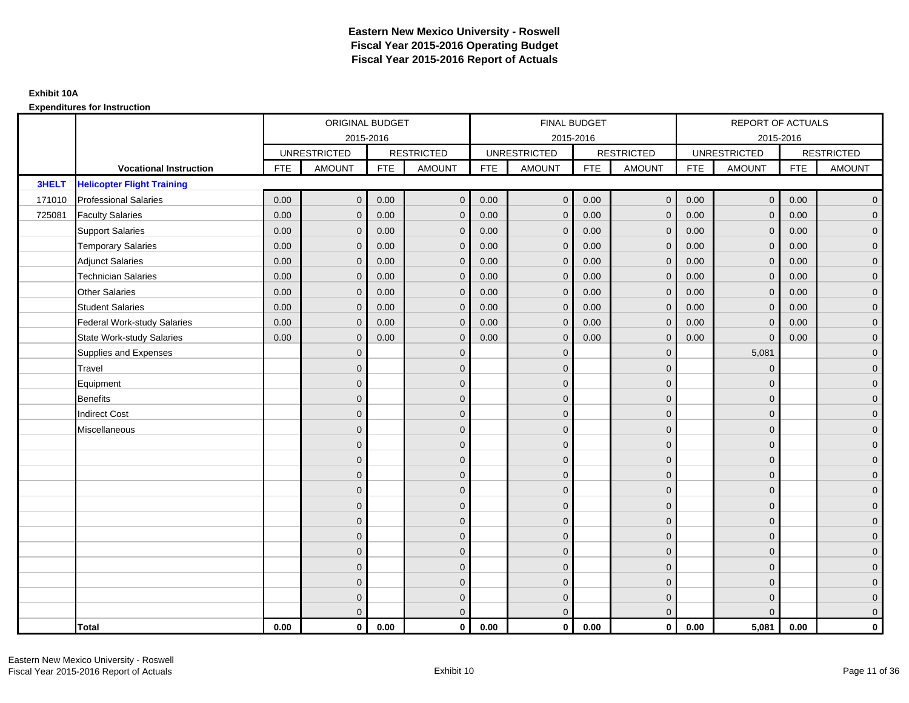|              |                                   |            | ORIGINAL BUDGET     |            |                     |            | FINAL BUDGET        |            |                   |            | <b>REPORT OF ACTUALS</b> |            |                     |
|--------------|-----------------------------------|------------|---------------------|------------|---------------------|------------|---------------------|------------|-------------------|------------|--------------------------|------------|---------------------|
|              |                                   |            | 2015-2016           |            |                     |            | 2015-2016           |            |                   |            | 2015-2016                |            |                     |
|              |                                   |            | <b>UNRESTRICTED</b> |            | <b>RESTRICTED</b>   |            | <b>UNRESTRICTED</b> |            | <b>RESTRICTED</b> |            | <b>UNRESTRICTED</b>      |            | <b>RESTRICTED</b>   |
|              | <b>Vocational Instruction</b>     | <b>FTE</b> | <b>AMOUNT</b>       | <b>FTE</b> | <b>AMOUNT</b>       | <b>FTE</b> | <b>AMOUNT</b>       | <b>FTE</b> | <b>AMOUNT</b>     | <b>FTE</b> | <b>AMOUNT</b>            | <b>FTE</b> | <b>AMOUNT</b>       |
| <b>3HELT</b> | <b>Helicopter Flight Training</b> |            |                     |            |                     |            |                     |            |                   |            |                          |            |                     |
| 171010       | <b>Professional Salaries</b>      | 0.00       | $\mathbf{0}$        | 0.00       | $\overline{0}$      | 0.00       | $\overline{0}$      | 0.00       | $\mathbf{0}$      | 0.00       | $\overline{0}$           | 0.00       | $\overline{0}$      |
| 725081       | <b>Faculty Salaries</b>           | 0.00       | $\mathbf{0}$        | 0.00       | $\mathbf 0$         | 0.00       | $\mathbf{0}$        | 0.00       | $\Omega$          | 0.00       | $\overline{0}$           | 0.00       | $\overline{0}$      |
|              | <b>Support Salaries</b>           | 0.00       | $\mathbf 0$         | 0.00       | $\mathbf 0$         | 0.00       | $\mathbf 0$         | 0.00       | $\mathbf{0}$      | 0.00       | $\overline{0}$           | 0.00       | $\overline{0}$      |
|              | <b>Temporary Salaries</b>         | 0.00       | $\mathbf{0}$        | 0.00       | $\mathbf 0$         | 0.00       | $\mathbf{0}$        | 0.00       | 0                 | 0.00       | $\mathbf 0$              | 0.00       | $\overline{0}$      |
|              | <b>Adjunct Salaries</b>           | 0.00       | $\mathbf{0}$        | 0.00       | $\overline{0}$      | 0.00       | $\Omega$            | 0.00       | $\Omega$          | 0.00       | $\overline{0}$           | 0.00       | $\overline{0}$      |
|              | <b>Technician Salaries</b>        | 0.00       | $\Omega$            | 0.00       | $\mathbf{0}$        | 0.00       | $\Omega$            | 0.00       | $\Omega$          | 0.00       | $\mathbf{0}$             | 0.00       | $\overline{0}$      |
|              | <b>Other Salaries</b>             | 0.00       | $\mathbf{0}$        | 0.00       | $\mathbf 0$         | 0.00       | $\mathbf{0}$        | 0.00       | $\mathbf{0}$      | 0.00       | $\mathbf 0$              | 0.00       | $\mathbf{0}$        |
|              | <b>Student Salaries</b>           | 0.00       | $\mathbf{0}$        | 0.00       | $\mathbf 0$         | 0.00       | $\mathbf{0}$        | 0.00       | $\mathbf{0}$      | 0.00       | $\mathbf 0$              | 0.00       | $\overline{0}$      |
|              | Federal Work-study Salaries       | 0.00       | $\mathbf{0}$        | 0.00       | $\overline{0}$      | 0.00       | $\Omega$            | 0.00       | $\Omega$          | 0.00       | $\mathbf{0}$             | 0.00       | $\overline{0}$      |
|              | State Work-study Salaries         | 0.00       | $\mathbf{0}$        | 0.00       | $\overline{0}$      | 0.00       | $\Omega$            | 0.00       | $\Omega$          | 0.00       | $\Omega$                 | 0.00       | $\overline{0}$      |
|              | Supplies and Expenses             |            | $\Omega$            |            | $\mathbf 0$         |            | $\mathbf{0}$        |            | $\mathbf{0}$      |            | 5,081                    |            | $\mathbf{0}$        |
|              | <b>Travel</b>                     |            | $\mathbf{0}$        |            | $\mathbf 0$         |            | $\mathbf{0}$        |            | $\mathbf{0}$      |            | $\mathbf 0$              |            | $\mathbf{0}$        |
|              | Equipment                         |            | $\Omega$            |            | $\mathbf 0$         |            | $\Omega$            |            | $\mathbf{0}$      |            | $\mathbf{0}$             |            | $\overline{0}$      |
|              | Benefits                          |            | $\Omega$            |            | $\mathbf 0$         |            | $\mathbf{0}$        |            | $\mathbf 0$       |            | $\mathbf{0}$             |            | $\overline{0}$      |
|              | <b>Indirect Cost</b>              |            | $\Omega$            |            | $\mathbf 0$         |            | $\Omega$            |            | $\mathbf{0}$      |            | $\mathbf{0}$             |            | $\mathbf{0}$        |
|              | Miscellaneous                     |            | $\Omega$            |            | $\mathbf 0$         |            | $\Omega$            |            | $\Omega$          |            | $\mathbf{0}$             |            | $\mathbf{0}$        |
|              |                                   |            | $\Omega$            |            | $\mathbf 0$         |            | $\Omega$            |            | $\mathbf{0}$      |            | $\Omega$                 |            | $\overline{0}$      |
|              |                                   |            | $\Omega$            |            | $\mathsf{O}\xspace$ |            | $\mathbf{0}$        |            | $\mathbf 0$       |            | $\mathbf 0$              |            | $\mathsf{O}\xspace$ |
|              |                                   |            | $\Omega$            |            | $\mathbf 0$         |            | $\Omega$            |            | $\mathbf 0$       |            | $\mathbf{0}$             |            | $\overline{0}$      |
|              |                                   |            | $\Omega$            |            | $\mathbf 0$         |            | $\Omega$            |            | $\mathbf{0}$      |            | $\mathbf{0}$             |            | $\overline{0}$      |
|              |                                   |            | $\Omega$            |            | $\mathbf{0}$        |            | $\Omega$            |            | $\Omega$          |            | $\Omega$                 |            | $\overline{0}$      |
|              |                                   |            | $\mathbf{0}$        |            | $\overline{0}$      |            | $\mathbf{0}$        |            | $\mathbf 0$       |            | $\mathbf{0}$             |            | $\overline{0}$      |
|              |                                   |            | $\Omega$            |            | $\mathbf 0$         |            | $\overline{0}$      |            | $\mathbf{0}$      |            | $\mathbf{0}$             |            | $\overline{0}$      |
|              |                                   |            | $\Omega$            |            | $\mathbf 0$         |            | $\Omega$            |            | $\mathbf 0$       |            | $\mathbf{0}$             |            | $\overline{0}$      |
|              |                                   |            | $\Omega$            |            | $\overline{0}$      |            | $\Omega$            |            | $\Omega$          |            | $\Omega$                 |            | $\overline{0}$      |
|              |                                   |            | $\Omega$            |            | $\mathbf 0$         |            | $\mathbf{0}$        |            | $\mathbf 0$       |            | $\mathbf{0}$             |            | $\mathbf{0}$        |
|              |                                   |            | $\mathbf{0}$        |            | $\mathbf 0$         |            | $\mathbf{0}$        |            | $\mathbf{0}$      |            | $\mathbf 0$              |            | $\mathbf{0}$        |
|              |                                   |            | $\Omega$            |            | $\overline{0}$      |            | $\Omega$            |            | $\mathbf{0}$      |            | $\Omega$                 |            | $\overline{0}$      |
|              | <b>Total</b>                      | 0.00       | $\mathbf{0}$        | 0.00       | $\mathbf{0}$        | 0.00       | $\mathbf{0}$        | 0.00       | $\mathbf{0}$      | 0.00       | 5,081                    | 0.00       | $\mathbf 0$         |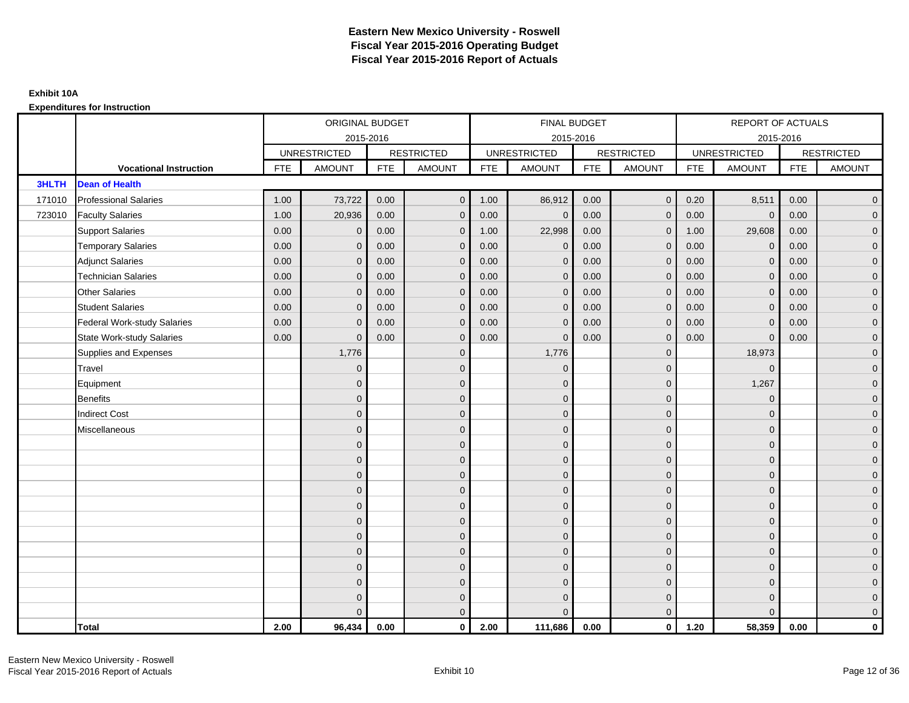|              |                                    |            | ORIGINAL BUDGET     |            |                   |            | <b>FINAL BUDGET</b> |            |                   |            | REPORT OF ACTUALS   |            |                   |
|--------------|------------------------------------|------------|---------------------|------------|-------------------|------------|---------------------|------------|-------------------|------------|---------------------|------------|-------------------|
|              |                                    |            |                     | 2015-2016  |                   |            | 2015-2016           |            |                   |            |                     | 2015-2016  |                   |
|              |                                    |            | <b>UNRESTRICTED</b> |            | <b>RESTRICTED</b> |            | <b>UNRESTRICTED</b> |            | <b>RESTRICTED</b> |            | <b>UNRESTRICTED</b> |            | <b>RESTRICTED</b> |
|              | <b>Vocational Instruction</b>      | <b>FTE</b> | <b>AMOUNT</b>       | <b>FTE</b> | <b>AMOUNT</b>     | <b>FTE</b> | <b>AMOUNT</b>       | <b>FTE</b> | <b>AMOUNT</b>     | <b>FTE</b> | <b>AMOUNT</b>       | <b>FTE</b> | <b>AMOUNT</b>     |
| <b>3HLTH</b> | <b>Dean of Health</b>              |            |                     |            |                   |            |                     |            |                   |            |                     |            |                   |
| 171010       | <b>Professional Salaries</b>       | 1.00       | 73,722              | 0.00       | $\mathbf{0}$      | 1.00       | 86,912              | 0.00       | $\mathbf{0}$      | 0.20       | 8,511               | 0.00       | $\overline{0}$    |
| 723010       | <b>Faculty Salaries</b>            | 1.00       | 20,936              | 0.00       | $\mathbf 0$       | 0.00       | $\mathbf 0$         | 0.00       | $\mathbf{0}$      | 0.00       | $\mathbf 0$         | 0.00       | $\overline{0}$    |
|              | <b>Support Salaries</b>            | 0.00       | $\mathbf 0$         | 0.00       | $\mathbf 0$       | 1.00       | 22,998              | 0.00       | $\mathbf{0}$      | 1.00       | 29,608              | 0.00       | $\overline{0}$    |
|              | <b>Temporary Salaries</b>          | 0.00       | $\mathbf{0}$        | 0.00       | $\overline{0}$    | 0.00       | $\mathbf{0}$        | 0.00       | $\Omega$          | 0.00       | $\mathbf 0$         | 0.00       | $\overline{0}$    |
|              | <b>Adjunct Salaries</b>            | 0.00       | $\Omega$            | 0.00       | $\overline{0}$    | 0.00       | $\Omega$            | 0.00       | $\Omega$          | 0.00       | $\mathbf{0}$        | 0.00       | $\overline{0}$    |
|              | <b>Technician Salaries</b>         | 0.00       | $\mathbf{0}$        | 0.00       | $\mathbf{0}$      | 0.00       | $\Omega$            | 0.00       | $\mathbf 0$       | 0.00       | $\mathbf{0}$        | 0.00       | $\mathbf{0}$      |
|              | <b>Other Salaries</b>              | 0.00       | $\mathbf{0}$        | 0.00       | $\mathbf 0$       | 0.00       | $\Omega$            | 0.00       | $\mathbf{0}$      | 0.00       | $\overline{0}$      | 0.00       | $\overline{0}$    |
|              | <b>Student Salaries</b>            | 0.00       | $\mathbf{0}$        | 0.00       | $\mathbf 0$       | 0.00       | $\Omega$            | 0.00       | $\mathbf{0}$      | 0.00       | $\mathbf 0$         | 0.00       | $\overline{0}$    |
|              | <b>Federal Work-study Salaries</b> | 0.00       | $\mathbf{0}$        | 0.00       | $\mathbf 0$       | 0.00       | $\mathbf{0}$        | 0.00       | $\Omega$          | 0.00       | $\mathbf 0$         | 0.00       | $\overline{0}$    |
|              | <b>State Work-study Salaries</b>   | 0.00       | $\mathbf{0}$        | 0.00       | $\overline{0}$    | 0.00       | $\mathbf{0}$        | 0.00       | $\mathbf{0}$      | 0.00       | $\mathbf{0}$        | 0.00       | $\overline{0}$    |
|              | Supplies and Expenses              |            | 1,776               |            | $\overline{0}$    |            | 1,776               |            | $\mathbf{0}$      |            | 18,973              |            | $\mathbf{0}$      |
|              | <b>Travel</b>                      |            | $\mathbf{0}$        |            | $\mathbf 0$       |            | $\Omega$            |            | $\mathbf{0}$      |            | $\mathbf{0}$        |            | $\overline{0}$    |
|              | Equipment                          |            | $\mathbf{0}$        |            | $\mathbf 0$       |            | $\Omega$            |            | $\mathbf 0$       |            | 1,267               |            | $\overline{0}$    |
|              | <b>Benefits</b>                    |            | $\mathbf{0}$        |            | $\mathbf 0$       |            | $\Omega$            |            | $\mathbf{0}$      |            | $\mathbf{0}$        |            | $\overline{0}$    |
|              | <b>Indirect Cost</b>               |            | $\Omega$            |            | $\overline{0}$    |            | $\Omega$            |            | $\Omega$          |            | $\Omega$            |            | $\overline{0}$    |
|              | Miscellaneous                      |            | $\mathbf{0}$        |            | $\mathbf 0$       |            | $\Omega$            |            | $\mathbf 0$       |            | $\mathbf{0}$        |            | $\mathbf{0}$      |
|              |                                    |            | $\mathbf{0}$        |            | $\mathbf 0$       |            | $\Omega$            |            | $\mathbf{0}$      |            | $\mathbf{0}$        |            | $\overline{0}$    |
|              |                                    |            | $\mathbf{0}$        |            | $\mathbf 0$       |            | $\Omega$            |            | $\mathbf{0}$      |            | $\mathbf{0}$        |            | $\overline{0}$    |
|              |                                    |            | $\mathbf{0}$        |            | $\mathbf 0$       |            | $\Omega$            |            | $\mathbf 0$       |            | $\mathbf{0}$        |            | $\overline{0}$    |
|              |                                    |            | $\Omega$            |            | $\mathbf 0$       |            | $\Omega$            |            | $\mathbf{0}$      |            | $\mathbf{0}$        |            | $\mathbf{0}$      |
|              |                                    |            | $\Omega$            |            | $\mathbf 0$       |            | $\Omega$            |            | $\mathbf{0}$      |            | $\Omega$            |            | $\mathbf{0}$      |
|              |                                    |            | $\Omega$            |            | $\mathbf 0$       |            | $\Omega$            |            | $\mathbf{0}$      |            | $\Omega$            |            | $\overline{0}$    |
|              |                                    |            | $\mathbf{0}$        |            | $\mathbf 0$       |            | $\Omega$            |            | $\mathbf 0$       |            | $\mathbf 0$         |            | $\overline{0}$    |
|              |                                    |            | $\mathbf{0}$        |            | $\mathbf 0$       |            | $\Omega$            |            | $\mathbf{0}$      |            | $\mathbf{0}$        |            | $\overline{0}$    |
|              |                                    |            | $\Omega$            |            | $\mathbf 0$       |            | $\Omega$            |            | $\mathbf{0}$      |            | $\Omega$            |            | $\overline{0}$    |
|              |                                    |            | $\mathbf{0}$        |            | $\mathbf 0$       |            | $\Omega$            |            | $\mathbf 0$       |            | $\mathbf{0}$        |            | $\overline{0}$    |
|              |                                    |            | $\mathbf{0}$        |            | $\mathbf 0$       |            | $\Omega$            |            | $\mathbf 0$       |            | $\mathbf{0}$        |            | $\mathbf{0}$      |
|              |                                    |            | $\Omega$            |            | $\overline{0}$    |            | $\Omega$            |            | $\mathbf{0}$      |            | $\Omega$            |            | $\overline{0}$    |
|              | <b>Total</b>                       | 2.00       | 96,434              | 0.00       | $\mathbf{0}$      | 2.00       | 111,686             | 0.00       | $\mathbf{0}$      | 1.20       | 58,359              | 0.00       | $\mathbf 0$       |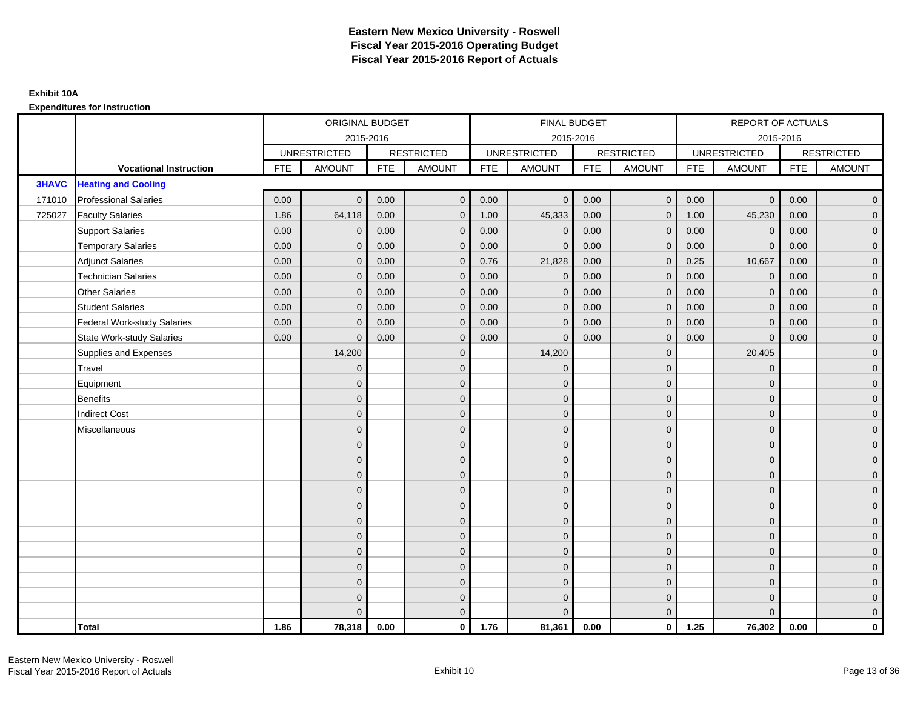|              |                                    |            | ORIGINAL BUDGET     |            |                   |            | <b>FINAL BUDGET</b> |            |                   |            | REPORT OF ACTUALS   |            |                   |
|--------------|------------------------------------|------------|---------------------|------------|-------------------|------------|---------------------|------------|-------------------|------------|---------------------|------------|-------------------|
|              |                                    |            |                     | 2015-2016  |                   |            | 2015-2016           |            |                   |            |                     | 2015-2016  |                   |
|              |                                    |            | <b>UNRESTRICTED</b> |            | <b>RESTRICTED</b> |            | <b>UNRESTRICTED</b> |            | <b>RESTRICTED</b> |            | <b>UNRESTRICTED</b> |            | <b>RESTRICTED</b> |
|              | <b>Vocational Instruction</b>      | <b>FTE</b> | <b>AMOUNT</b>       | <b>FTE</b> | <b>AMOUNT</b>     | <b>FTE</b> | <b>AMOUNT</b>       | <b>FTE</b> | <b>AMOUNT</b>     | <b>FTE</b> | <b>AMOUNT</b>       | <b>FTE</b> | <b>AMOUNT</b>     |
| <b>3HAVC</b> | <b>Heating and Cooling</b>         |            |                     |            |                   |            |                     |            |                   |            |                     |            |                   |
| 171010       | <b>Professional Salaries</b>       | 0.00       | $\Omega$            | 0.00       | $\mathbf{0}$      | 0.00       | $\Omega$            | 0.00       | $\mathbf{0}$      | 0.00       | $\overline{0}$      | 0.00       | $\overline{0}$    |
| 725027       | <b>Faculty Salaries</b>            | 1.86       | 64,118              | 0.00       | $\mathbf 0$       | 1.00       | 45,333              | 0.00       | $\mathbf{0}$      | 1.00       | 45,230              | 0.00       | $\overline{0}$    |
|              | <b>Support Salaries</b>            | 0.00       | $\mathbf{0}$        | 0.00       | $\mathbf 0$       | 0.00       | $\mathbf{0}$        | 0.00       | $\mathbf 0$       | 0.00       | $\mathbf 0$         | 0.00       | $\overline{0}$    |
|              | <b>Temporary Salaries</b>          | 0.00       | $\mathbf{0}$        | 0.00       | $\overline{0}$    | 0.00       | $\Omega$            | 0.00       | $\Omega$          | 0.00       | $\mathbf{0}$        | 0.00       | $\overline{0}$    |
|              | <b>Adjunct Salaries</b>            | 0.00       | $\Omega$            | 0.00       | $\overline{0}$    | 0.76       | 21,828              | 0.00       | $\Omega$          | 0.25       | 10,667              | 0.00       | $\overline{0}$    |
|              | <b>Technician Salaries</b>         | 0.00       | $\mathbf{0}$        | 0.00       | $\mathbf{0}$      | 0.00       | $\mathbf 0$         | 0.00       | $\mathbf 0$       | 0.00       | $\mathbf 0$         | 0.00       | $\mathbf{0}$      |
|              | <b>Other Salaries</b>              | 0.00       | $\mathbf{0}$        | 0.00       | $\mathbf 0$       | 0.00       | $\Omega$            | 0.00       | $\mathbf{0}$      | 0.00       | $\mathbf 0$         | 0.00       | $\overline{0}$    |
|              | <b>Student Salaries</b>            | 0.00       | $\mathbf{0}$        | 0.00       | $\mathbf 0$       | 0.00       | $\mathbf{0}$        | 0.00       | $\mathbf{0}$      | 0.00       | $\mathbf 0$         | 0.00       | $\overline{0}$    |
|              | <b>Federal Work-study Salaries</b> | 0.00       | $\mathbf{0}$        | 0.00       | $\mathbf 0$       | 0.00       | $\mathbf{0}$        | 0.00       | $\Omega$          | 0.00       | $\mathbf 0$         | 0.00       | $\overline{0}$    |
|              | <b>State Work-study Salaries</b>   | 0.00       | $\mathbf{0}$        | 0.00       | $\overline{0}$    | 0.00       | $\mathbf{0}$        | 0.00       | $\mathbf{0}$      | 0.00       | $\mathbf{0}$        | 0.00       | $\overline{0}$    |
|              | Supplies and Expenses              |            | 14,200              |            | $\overline{0}$    |            | 14,200              |            | $\mathbf{0}$      |            | 20,405              |            | $\mathbf{0}$      |
|              | <b>Travel</b>                      |            | $\Omega$            |            | $\mathbf 0$       |            | $\Omega$            |            | $\mathbf{0}$      |            | $\mathbf{0}$        |            | $\overline{0}$    |
|              | Equipment                          |            | $\mathbf{0}$        |            | $\mathbf 0$       |            | $\Omega$            |            | $\mathbf 0$       |            | $\mathbf{0}$        |            | $\overline{0}$    |
|              | <b>Benefits</b>                    |            | $\mathbf{0}$        |            | $\mathbf 0$       |            | $\Omega$            |            | $\mathbf{0}$      |            | $\mathbf{0}$        |            | $\overline{0}$    |
|              | <b>Indirect Cost</b>               |            | $\Omega$            |            | $\overline{0}$    |            | $\Omega$            |            | $\Omega$          |            | $\Omega$            |            | $\overline{0}$    |
|              | Miscellaneous                      |            | $\mathbf{0}$        |            | $\mathbf 0$       |            | $\Omega$            |            | $\mathbf 0$       |            | $\mathbf{0}$        |            | $\mathbf{0}$      |
|              |                                    |            | $\mathbf{0}$        |            | $\mathbf 0$       |            | $\Omega$            |            | $\mathbf{0}$      |            | $\mathbf{0}$        |            | $\overline{0}$    |
|              |                                    |            | $\Omega$            |            | $\mathbf 0$       |            | $\Omega$            |            | $\mathbf{0}$      |            | $\mathbf{0}$        |            | $\overline{0}$    |
|              |                                    |            | $\mathbf 0$         |            | $\mathbf 0$       |            | $\Omega$            |            | $\mathbf 0$       |            | $\mathbf{0}$        |            | $\overline{0}$    |
|              |                                    |            | $\Omega$            |            | $\mathbf 0$       |            | $\Omega$            |            | $\mathbf{0}$      |            | $\mathbf{0}$        |            | $\mathbf{0}$      |
|              |                                    |            | $\Omega$            |            | $\mathbf 0$       |            | $\Omega$            |            | $\mathbf 0$       |            | $\Omega$            |            | $\mathbf{0}$      |
|              |                                    |            | $\Omega$            |            | $\mathbf 0$       |            | $\Omega$            |            | $\mathbf{0}$      |            | $\Omega$            |            | $\overline{0}$    |
|              |                                    |            | $\mathbf{0}$        |            | $\mathbf 0$       |            | $\Omega$            |            | $\mathbf{0}$      |            | $\mathbf{0}$        |            | $\overline{0}$    |
|              |                                    |            | $\mathbf{0}$        |            | $\mathbf 0$       |            | $\Omega$            |            | $\mathbf 0$       |            | $\mathbf{0}$        |            | $\overline{0}$    |
|              |                                    |            | $\Omega$            |            | $\mathbf 0$       |            | $\Omega$            |            | $\mathbf{0}$      |            | $\Omega$            |            | $\overline{0}$    |
|              |                                    |            | $\mathbf{0}$        |            | $\mathbf 0$       |            | $\Omega$            |            | $\mathbf 0$       |            | $\mathbf{0}$        |            | $\mathbf{0}$      |
|              |                                    |            | $\mathbf{0}$        |            | $\mathbf 0$       |            | $\Omega$            |            | $\mathbf 0$       |            | $\mathbf{0}$        |            | $\mathbf{0}$      |
|              |                                    |            | $\Omega$            |            | $\overline{0}$    |            |                     |            | $\mathbf{0}$      |            | $\Omega$            |            | $\overline{0}$    |
|              | <b>Total</b>                       | 1.86       | 78,318              | 0.00       | $\mathbf{0}$      | 1.76       | 81,361              | 0.00       | $\mathbf{0}$      | 1.25       | 76,302              | 0.00       | $\mathbf 0$       |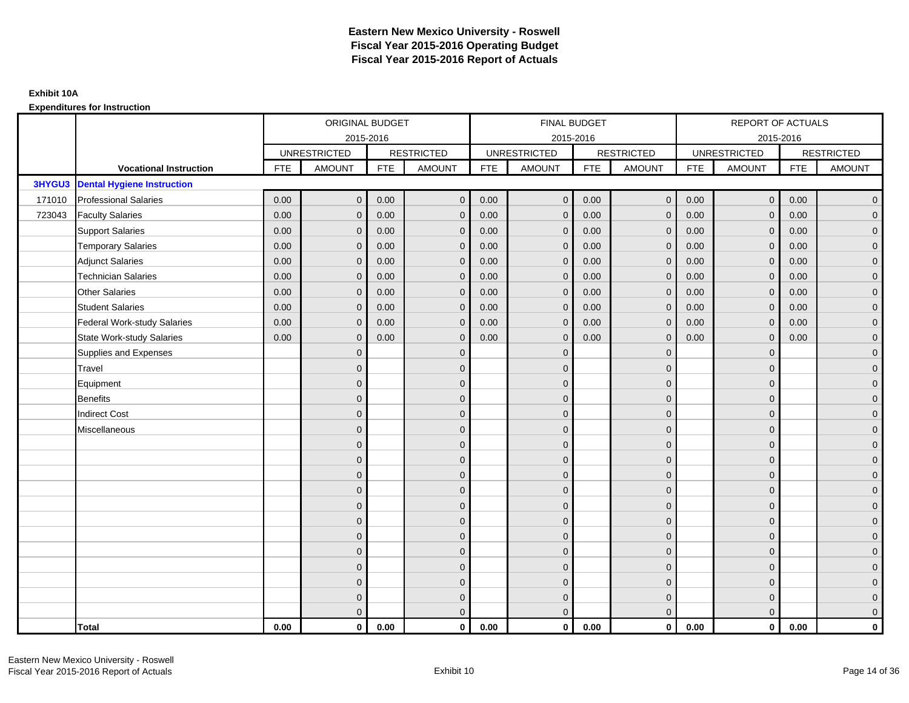|        |                                    |            | ORIGINAL BUDGET     |            |                   |            | <b>FINAL BUDGET</b> |            |                   |            | REPORT OF ACTUALS   |            |                   |
|--------|------------------------------------|------------|---------------------|------------|-------------------|------------|---------------------|------------|-------------------|------------|---------------------|------------|-------------------|
|        |                                    |            | 2015-2016           |            |                   |            | 2015-2016           |            |                   |            |                     | 2015-2016  |                   |
|        |                                    |            | <b>UNRESTRICTED</b> |            | <b>RESTRICTED</b> |            | <b>UNRESTRICTED</b> |            | <b>RESTRICTED</b> |            | <b>UNRESTRICTED</b> |            | <b>RESTRICTED</b> |
|        | <b>Vocational Instruction</b>      | <b>FTE</b> | <b>AMOUNT</b>       | <b>FTE</b> | <b>AMOUNT</b>     | <b>FTE</b> | <b>AMOUNT</b>       | <b>FTE</b> | <b>AMOUNT</b>     | <b>FTE</b> | <b>AMOUNT</b>       | <b>FTE</b> | <b>AMOUNT</b>     |
| 3HYGU3 | <b>Dental Hygiene Instruction</b>  |            |                     |            |                   |            |                     |            |                   |            |                     |            |                   |
| 171010 | <b>Professional Salaries</b>       | 0.00       | $\Omega$            | 0.00       | $\overline{0}$    | 0.00       | $\overline{0}$      | 0.00       | $\mathbf{0}$      | 0.00       | $\overline{0}$      | 0.00       | $\overline{0}$    |
| 723043 | <b>Faculty Salaries</b>            | 0.00       | $\mathbf 0$         | 0.00       | $\mathbf 0$       | 0.00       | $\mathbf{0}$        | 0.00       | $\mathbf{0}$      | 0.00       | $\mathbf 0$         | 0.00       | $\overline{0}$    |
|        | <b>Support Salaries</b>            | 0.00       | $\Omega$            | 0.00       | $\mathbf 0$       | 0.00       | $\mathbf{0}$        | 0.00       | 0                 | 0.00       | $\mathbf 0$         | 0.00       | $\overline{0}$    |
|        | <b>Temporary Salaries</b>          | 0.00       | $\mathbf{0}$        | 0.00       | $\overline{0}$    | 0.00       | $\Omega$            | 0.00       | $\Omega$          | 0.00       | $\mathbf 0$         | 0.00       | $\overline{0}$    |
|        | <b>Adjunct Salaries</b>            | 0.00       | $\Omega$            | 0.00       | $\overline{0}$    | 0.00       | $\Omega$            | 0.00       | $\Omega$          | 0.00       | $\overline{0}$      | 0.00       | $\overline{0}$    |
|        | <b>Technician Salaries</b>         | 0.00       | $\Omega$            | 0.00       | $\mathbf{0}$      | 0.00       | $\mathbf{0}$        | 0.00       | $\mathbf{0}$      | 0.00       | $\mathbf{0}$        | 0.00       | $\mathbf{0}$      |
|        | <b>Other Salaries</b>              | 0.00       | $\mathbf{0}$        | 0.00       | $\overline{0}$    | 0.00       | $\mathbf{0}$        | 0.00       | $\Omega$          | 0.00       | $\mathbf 0$         | 0.00       | $\overline{0}$    |
|        | <b>Student Salaries</b>            | 0.00       | $\Omega$            | 0.00       | $\overline{0}$    | 0.00       | $\mathbf{0}$        | 0.00       | $\mathbf 0$       | 0.00       | $\mathbf 0$         | 0.00       | $\overline{0}$    |
|        | <b>Federal Work-study Salaries</b> | 0.00       | $\mathbf{0}$        | 0.00       | $\mathbf 0$       | 0.00       | $\mathbf{0}$        | 0.00       | $\Omega$          | 0.00       | $\mathbf 0$         | 0.00       | $\overline{0}$    |
|        | State Work-study Salaries          | 0.00       | $\mathbf{0}$        | 0.00       | $\overline{0}$    | 0.00       | $\mathbf{0}$        | 0.00       | $\mathbf 0$       | 0.00       | $\mathbf{0}$        | 0.00       | $\overline{0}$    |
|        | Supplies and Expenses              |            | $\Omega$            |            | $\mathbf{0}$      |            | $\Omega$            |            | $\mathbf 0$       |            | $\mathbf{0}$        |            | $\mathbf{0}$      |
|        | <b>Travel</b>                      |            | $\Omega$            |            | $\mathbf 0$       |            | $\Omega$            |            | $\Omega$          |            | $\mathbf{0}$        |            | $\overline{0}$    |
|        | Equipment                          |            | $\Omega$            |            | $\mathbf 0$       |            | $\overline{0}$      |            | $\mathbf{0}$      |            | $\mathbf{0}$        |            | $\overline{0}$    |
|        | <b>Benefits</b>                    |            | $\Omega$            |            | $\mathbf 0$       |            | $\Omega$            |            | $\mathbf{0}$      |            | $\mathbf{0}$        |            | $\overline{0}$    |
|        | <b>Indirect Cost</b>               |            | $\Omega$            |            | $\overline{0}$    |            | $\Omega$            |            | $\Omega$          |            | $\Omega$            |            | $\overline{0}$    |
|        | Miscellaneous                      |            | $\Omega$            |            | $\mathbf 0$       |            | $\mathbf{0}$        |            | $\Omega$          |            | $\mathbf{0}$        |            | $\mathbf{0}$      |
|        |                                    |            | $\Omega$            |            | $\mathbf 0$       |            | $\Omega$            |            | $\mathbf{0}$      |            | $\mathbf{0}$        |            | $\overline{0}$    |
|        |                                    |            | $\Omega$            |            | $\mathbf 0$       |            | $\Omega$            |            | $\mathbf{0}$      |            | $\mathbf{0}$        |            | $\overline{0}$    |
|        |                                    |            | $\Omega$            |            | $\mathbf 0$       |            | $\Omega$            |            | $\overline{0}$    |            | $\mathbf{0}$        |            | $\overline{0}$    |
|        |                                    |            | $\Omega$            |            | $\mathbf 0$       |            | $\Omega$            |            | $\mathbf{0}$      |            | $\mathbf{0}$        |            | $\mathbf{0}$      |
|        |                                    |            | $\Omega$            |            | $\mathbf 0$       |            | $\Omega$            |            | $\mathbf 0$       |            | $\Omega$            |            | $\mathbf{0}$      |
|        |                                    |            | $\Omega$            |            | $\mathbf 0$       |            | $\Omega$            |            | $\mathbf{0}$      |            | $\Omega$            |            | $\overline{0}$    |
|        |                                    |            | $\Omega$            |            | $\mathbf 0$       |            | $\mathbf{0}$        |            | $\mathbf{0}$      |            | $\mathbf{0}$        |            | $\overline{0}$    |
|        |                                    |            | $\Omega$            |            | $\mathbf 0$       |            | $\Omega$            |            | $\mathbf 0$       |            | $\mathbf{0}$        |            | $\overline{0}$    |
|        |                                    |            | $\Omega$            |            | $\overline{0}$    |            | $\Omega$            |            | $\Omega$          |            | $\Omega$            |            | $\overline{0}$    |
|        |                                    |            | $\Omega$            |            | $\mathbf 0$       |            | $\mathbf{0}$        |            | $\mathbf{0}$      |            | $\mathbf{0}$        |            | $\mathbf{0}$      |
|        |                                    |            | $\mathbf{0}$        |            | $\mathbf 0$       |            | $\mathbf{0}$        |            | $\mathbf{0}$      |            | $\mathbf{0}$        |            | $\mathbf{0}$      |
|        |                                    |            | $\Omega$            |            | $\overline{0}$    |            | $\Omega$            |            | $\mathbf{0}$      |            | $\Omega$            |            | $\overline{0}$    |
|        | <b>Total</b>                       | 0.00       | $\mathbf{0}$        | 0.00       | $\mathbf{0}$      | 0.00       | $\mathbf{0}$        | 0.00       | $\mathbf{0}$      | 0.00       | $\mathbf{0}$        | 0.00       | $\mathbf 0$       |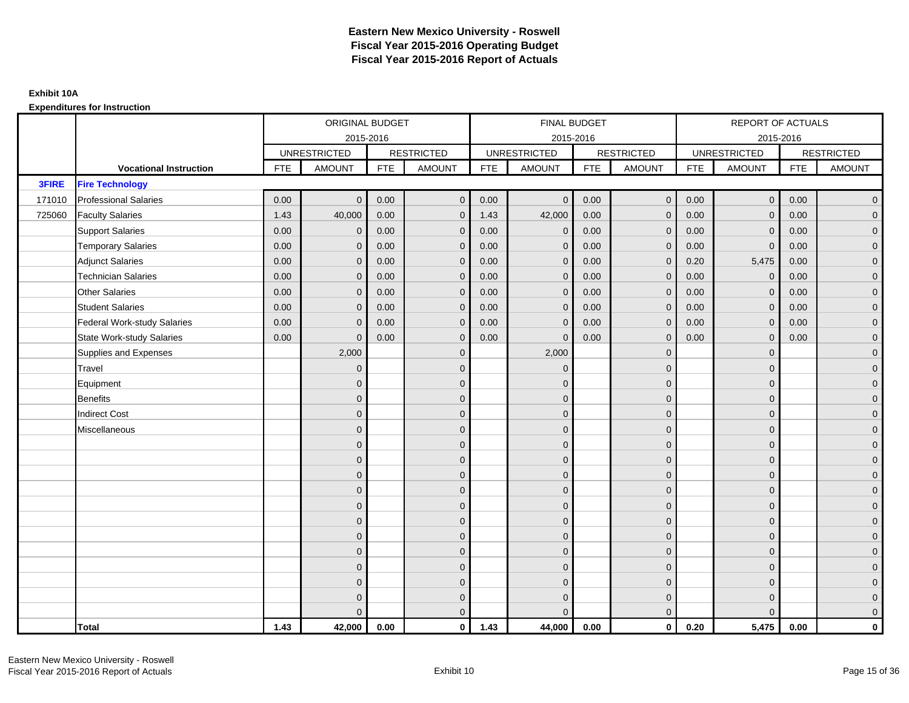|              |                                    |            | ORIGINAL BUDGET     |            |                     |            | FINAL BUDGET        |            |                   |            | <b>REPORT OF ACTUALS</b> |            |                     |
|--------------|------------------------------------|------------|---------------------|------------|---------------------|------------|---------------------|------------|-------------------|------------|--------------------------|------------|---------------------|
|              |                                    |            |                     | 2015-2016  |                     |            | 2015-2016           |            |                   |            | 2015-2016                |            |                     |
|              |                                    |            | <b>UNRESTRICTED</b> |            | <b>RESTRICTED</b>   |            | <b>UNRESTRICTED</b> |            | <b>RESTRICTED</b> |            | <b>UNRESTRICTED</b>      |            | <b>RESTRICTED</b>   |
|              | <b>Vocational Instruction</b>      | <b>FTE</b> | <b>AMOUNT</b>       | <b>FTE</b> | <b>AMOUNT</b>       | <b>FTE</b> | <b>AMOUNT</b>       | <b>FTE</b> | <b>AMOUNT</b>     | <b>FTE</b> | <b>AMOUNT</b>            | <b>FTE</b> | <b>AMOUNT</b>       |
| <b>3FIRE</b> | <b>Fire Technology</b>             |            |                     |            |                     |            |                     |            |                   |            |                          |            |                     |
| 171010       | <b>Professional Salaries</b>       | 0.00       | $\mathbf{0}$        | 0.00       | $\overline{0}$      | 0.00       | $\mathbf{0}$        | 0.00       | $\overline{0}$    | 0.00       | $\overline{0}$           | 0.00       | $\overline{0}$      |
| 725060       | <b>Faculty Salaries</b>            | 1.43       | 40,000              | 0.00       | $\mathbf 0$         | 1.43       | 42,000              | 0.00       | $\Omega$          | 0.00       | $\overline{0}$           | 0.00       | $\overline{0}$      |
|              | <b>Support Salaries</b>            | 0.00       | $\mathbf 0$         | 0.00       | $\mathbf 0$         | 0.00       | $\mathbf{0}$        | 0.00       | $\mathbf{0}$      | 0.00       | $\mathbf 0$              | 0.00       | $\overline{0}$      |
|              | <b>Temporary Salaries</b>          | 0.00       | $\mathbf{0}$        | 0.00       | $\mathbf 0$         | 0.00       | $\mathbf{0}$        | 0.00       | $\overline{0}$    | 0.00       | $\mathbf 0$              | 0.00       | $\overline{0}$      |
|              | <b>Adjunct Salaries</b>            | 0.00       | $\mathbf{0}$        | 0.00       | $\overline{0}$      | 0.00       | $\Omega$            | 0.00       | $\mathbf{0}$      | 0.20       | 5,475                    | 0.00       | $\overline{0}$      |
|              | <b>Technician Salaries</b>         | 0.00       | $\Omega$            | 0.00       | $\overline{0}$      | 0.00       | $\Omega$            | 0.00       | $\Omega$          | 0.00       | $\mathbf{0}$             | 0.00       | $\overline{0}$      |
|              | <b>Other Salaries</b>              | 0.00       | $\mathbf{0}$        | 0.00       | $\mathbf 0$         | 0.00       | $\Omega$            | 0.00       | $\mathbf{0}$      | 0.00       | $\mathbf 0$              | 0.00       | $\overline{0}$      |
|              | <b>Student Salaries</b>            | 0.00       | $\mathbf{0}$        | 0.00       | $\mathbf 0$         | 0.00       | $\mathbf{0}$        | 0.00       | $\mathbf{0}$      | 0.00       | $\overline{0}$           | 0.00       | $\overline{0}$      |
|              | <b>Federal Work-study Salaries</b> | 0.00       | $\mathbf 0$         | 0.00       | $\overline{0}$      | 0.00       | $\Omega$            | 0.00       | $\Omega$          | 0.00       | $\overline{0}$           | 0.00       | $\overline{0}$      |
|              | <b>State Work-study Salaries</b>   | 0.00       | $\mathbf{0}$        | 0.00       | $\overline{0}$      | 0.00       | $\Omega$            | 0.00       | $\Omega$          | 0.00       | $\overline{0}$           | 0.00       | $\overline{0}$      |
|              | Supplies and Expenses              |            | 2,000               |            | $\mathbf 0$         |            | 2,000               |            | $\mathbf{0}$      |            | $\mathbf 0$              |            | $\overline{0}$      |
|              | Travel                             |            | $\mathbf{0}$        |            | $\mathbf 0$         |            | $\Omega$            |            | $\mathbf 0$       |            | $\mathbf{0}$             |            | $\mathbf{0}$        |
|              | Equipment                          |            | $\Omega$            |            | $\mathbf 0$         |            | $\Omega$            |            | $\mathbf{0}$      |            | $\mathbf{0}$             |            | $\overline{0}$      |
|              | <b>Benefits</b>                    |            | $\mathbf 0$         |            | $\mathbf 0$         |            | $\mathbf{0}$        |            | $\mathbf 0$       |            | $\mathbf 0$              |            | $\mathbf{0}$        |
|              | <b>Indirect Cost</b>               |            | $\mathbf{0}$        |            | $\mathbf 0$         |            | $\Omega$            |            | $\mathbf 0$       |            | $\mathbf{0}$             |            | $\mathbf{0}$        |
|              | Miscellaneous                      |            | $\Omega$            |            | $\mathbf 0$         |            | $\Omega$            |            | $\mathbf{0}$      |            | $\mathbf{0}$             |            | $\mathsf{O}\xspace$ |
|              |                                    |            | $\Omega$            |            | $\mathbf 0$         |            | $\Omega$            |            | $\mathbf{0}$      |            | $\Omega$                 |            | $\overline{0}$      |
|              |                                    |            | $\overline{0}$      |            | $\mathsf{O}\xspace$ |            | $\mathbf{0}$        |            | $\mathbf 0$       |            | $\mathbf 0$              |            | $\mathsf{O}\xspace$ |
|              |                                    |            | $\mathbf{0}$        |            | $\mathbf 0$         |            | $\Omega$            |            | $\mathbf{0}$      |            | $\mathbf{0}$             |            | $\overline{0}$      |
|              |                                    |            | $\Omega$            |            | $\mathbf 0$         |            | $\Omega$            |            | $\mathbf{0}$      |            | $\mathbf{0}$             |            | $\overline{0}$      |
|              |                                    |            | $\Omega$            |            | $\overline{0}$      |            | $\Omega$            |            | $\mathbf{0}$      |            | $\Omega$                 |            | $\overline{0}$      |
|              |                                    |            | $\mathbf{0}$        |            | $\mathbf 0$         |            | $\Omega$            |            | $\mathbf 0$       |            | $\mathbf{0}$             |            | $\overline{0}$      |
|              |                                    |            | $\mathbf{0}$        |            | $\mathbf 0$         |            | $\Omega$            |            | $\mathbf{0}$      |            | $\mathbf{0}$             |            | $\overline{0}$      |
|              |                                    |            | $\mathbf{0}$        |            | $\mathbf 0$         |            | $\Omega$            |            | $\mathbf{0}$      |            | $\mathbf{0}$             |            | $\overline{0}$      |
|              |                                    |            | $\Omega$            |            | $\mathbf 0$         |            | $\Omega$            |            | $\mathbf{0}$      |            | $\Omega$                 |            | $\overline{0}$      |
|              |                                    |            | $\mathbf{0}$        |            | $\mathbf 0$         |            | $\Omega$            |            | $\mathbf 0$       |            | $\mathbf{0}$             |            | $\overline{0}$      |
|              |                                    |            | $\mathbf{0}$        |            | $\mathbf 0$         |            | $\Omega$            |            | $\mathbf 0$       |            | $\mathbf{0}$             |            | $\mathbf{0}$        |
|              |                                    |            | $\Omega$            |            | $\overline{0}$      |            |                     |            | $\overline{0}$    |            | $\Omega$                 |            | $\overline{0}$      |
|              | <b>Total</b>                       | 1.43       | 42,000              | 0.00       | $\mathbf{0}$        | 1.43       | 44,000              | 0.00       | $\mathbf{0}$      | 0.20       | 5,475                    | 0.00       | $\mathbf 0$         |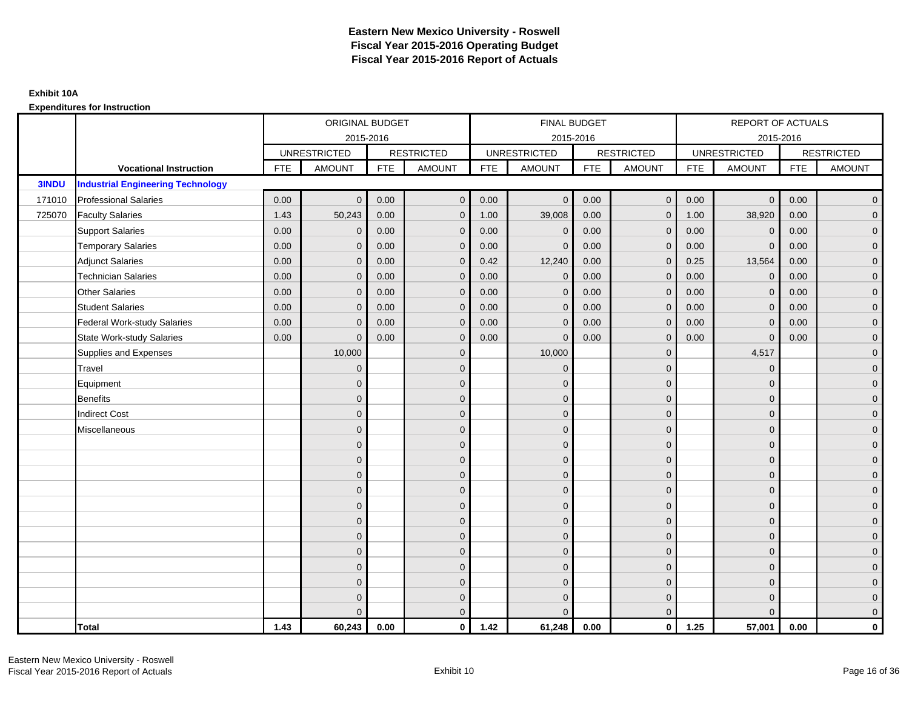|              |                                          |            | ORIGINAL BUDGET     |            |                   |            | <b>FINAL BUDGET</b> |            |                   |            | REPORT OF ACTUALS   |            |                   |
|--------------|------------------------------------------|------------|---------------------|------------|-------------------|------------|---------------------|------------|-------------------|------------|---------------------|------------|-------------------|
|              |                                          |            | 2015-2016           |            |                   |            | 2015-2016           |            |                   |            | 2015-2016           |            |                   |
|              |                                          |            | <b>UNRESTRICTED</b> |            | <b>RESTRICTED</b> |            | <b>UNRESTRICTED</b> |            | <b>RESTRICTED</b> |            | <b>UNRESTRICTED</b> |            | <b>RESTRICTED</b> |
|              | <b>Vocational Instruction</b>            | <b>FTE</b> | <b>AMOUNT</b>       | <b>FTE</b> | <b>AMOUNT</b>     | <b>FTE</b> | <b>AMOUNT</b>       | <b>FTE</b> | <b>AMOUNT</b>     | <b>FTE</b> | <b>AMOUNT</b>       | <b>FTE</b> | <b>AMOUNT</b>     |
| <b>3INDU</b> | <b>Industrial Engineering Technology</b> |            |                     |            |                   |            |                     |            |                   |            |                     |            |                   |
| 171010       | <b>Professional Salaries</b>             | 0.00       | $\Omega$            | 0.00       | $\overline{0}$    | 0.00       | $\mathbf{0}$        | 0.00       | $\mathbf{0}$      | 0.00       | $\overline{0}$      | 0.00       | $\overline{0}$    |
| 725070       | <b>Faculty Salaries</b>                  | 1.43       | 50,243              | 0.00       | $\mathbf 0$       | 1.00       | 39,008              | 0.00       | $\mathbf{0}$      | 1.00       | 38,920              | 0.00       | $\overline{0}$    |
|              | <b>Support Salaries</b>                  | 0.00       | $\mathbf 0$         | 0.00       | $\mathbf 0$       | 0.00       | $\mathbf 0$         | 0.00       | $\Omega$          | 0.00       | $\mathbf 0$         | 0.00       | $\overline{0}$    |
|              | <b>Temporary Salaries</b>                | 0.00       | $\mathbf{0}$        | 0.00       | $\overline{0}$    | 0.00       | $\Omega$            | 0.00       | $\Omega$          | 0.00       | $\mathbf{0}$        | 0.00       | $\overline{0}$    |
|              | <b>Adjunct Salaries</b>                  | 0.00       | $\Omega$            | 0.00       | $\Omega$          | 0.42       | 12,240              | 0.00       | $\Omega$          | 0.25       | 13,564              | 0.00       | $\overline{0}$    |
|              | <b>Technician Salaries</b>               | 0.00       | $\Omega$            | 0.00       | $\mathbf{0}$      | 0.00       | $\mathbf{0}$        | 0.00       | $\mathbf 0$       | 0.00       | $\mathbf 0$         | 0.00       | $\mathbf{0}$      |
|              | <b>Other Salaries</b>                    | 0.00       | $\mathbf{0}$        | 0.00       | $\overline{0}$    | 0.00       | $\mathbf{0}$        | 0.00       | $\Omega$          | 0.00       | $\mathbf 0$         | 0.00       | $\overline{0}$    |
|              | <b>Student Salaries</b>                  | 0.00       | $\Omega$            | 0.00       | $\overline{0}$    | 0.00       | $\mathbf{0}$        | 0.00       | $\mathbf 0$       | 0.00       | $\mathbf 0$         | 0.00       | $\overline{0}$    |
|              | <b>Federal Work-study Salaries</b>       | 0.00       | $\mathbf{0}$        | 0.00       | $\mathbf 0$       | 0.00       | $\mathbf{0}$        | 0.00       | $\Omega$          | 0.00       | $\mathbf 0$         | 0.00       | $\overline{0}$    |
|              | <b>State Work-study Salaries</b>         | 0.00       | $\mathbf{0}$        | 0.00       | $\overline{0}$    | 0.00       | $\mathbf{0}$        | 0.00       | $\mathbf 0$       | 0.00       | $\mathbf{0}$        | 0.00       | $\overline{0}$    |
|              | Supplies and Expenses                    |            | 10,000              |            | $\mathbf{0}$      |            | 10,000              |            | $\mathbf 0$       |            | 4,517               |            | $\overline{0}$    |
|              | Travel                                   |            | $\Omega$            |            | $\mathbf 0$       |            | $\mathbf{0}$        |            | $\Omega$          |            | $\mathbf{0}$        |            | $\overline{0}$    |
|              | Equipment                                |            | $\Omega$            |            | $\mathbf 0$       |            | $\mathbf{0}$        |            | $\mathbf 0$       |            | $\mathbf{0}$        |            | $\overline{0}$    |
|              | <b>Benefits</b>                          |            | $\mathbf{0}$        |            | $\mathbf 0$       |            | $\Omega$            |            | $\mathbf 0$       |            | $\mathbf{0}$        |            | $\overline{0}$    |
|              | <b>Indirect Cost</b>                     |            | $\Omega$            |            | $\overline{0}$    |            | $\Omega$            |            | $\Omega$          |            | $\Omega$            |            | $\overline{0}$    |
|              | Miscellaneous                            |            | $\Omega$            |            | $\mathbf 0$       |            | $\mathbf{0}$        |            | $\Omega$          |            | $\mathbf{0}$        |            | $\mathbf{0}$      |
|              |                                          |            | $\Omega$            |            | $\mathbf 0$       |            | $\mathbf{0}$        |            | $\mathbf{0}$      |            | $\mathbf{0}$        |            | $\overline{0}$    |
|              |                                          |            | $\Omega$            |            | $\mathbf 0$       |            | $\overline{0}$      |            | $\mathbf{0}$      |            | $\mathbf{0}$        |            | $\overline{0}$    |
|              |                                          |            | $\Omega$            |            | $\mathbf 0$       |            | $\mathbf{0}$        |            | $\mathbf 0$       |            | $\mathbf{0}$        |            | $\overline{0}$    |
|              |                                          |            | $\Omega$            |            | $\mathbf 0$       |            | $\Omega$            |            | $\mathbf{0}$      |            | $\mathbf{0}$        |            | $\overline{0}$    |
|              |                                          |            | $\Omega$            |            | $\mathbf 0$       |            | $\Omega$            |            | $\overline{0}$    |            | $\Omega$            |            | $\mathbf{0}$      |
|              |                                          |            | $\Omega$            |            | $\mathbf 0$       |            | $\Omega$            |            | $\mathbf{0}$      |            | $\Omega$            |            | $\overline{0}$    |
|              |                                          |            | $\Omega$            |            | $\mathbf 0$       |            | $\mathbf{0}$        |            | $\mathbf{0}$      |            | $\mathbf{0}$        |            | $\overline{0}$    |
|              |                                          |            | $\Omega$            |            | $\mathbf 0$       |            | $\Omega$            |            | $\mathbf 0$       |            | $\mathbf{0}$        |            | $\overline{0}$    |
|              |                                          |            | $\Omega$            |            | $\overline{0}$    |            | $\Omega$            |            | $\Omega$          |            | $\Omega$            |            | $\overline{0}$    |
|              |                                          |            | $\Omega$            |            | $\mathbf 0$       |            | $\mathbf{0}$        |            | $\mathbf 0$       |            | $\mathbf{0}$        |            | $\mathbf{0}$      |
|              |                                          |            | $\Omega$            |            | $\mathbf 0$       |            | $\Omega$            |            | $\mathbf{0}$      |            | $\mathbf{0}$        |            | $\mathbf{0}$      |
|              |                                          |            |                     |            | $\overline{0}$    |            | $\Omega$            |            | $\mathbf{0}$      |            | $\Omega$            |            | $\overline{0}$    |
|              | <b>Total</b>                             | 1.43       | 60,243              | 0.00       | $\mathbf{0}$      | 1.42       | 61,248              | 0.00       | $\mathbf{0}$      | 1.25       | 57,001              | 0.00       | $\mathbf 0$       |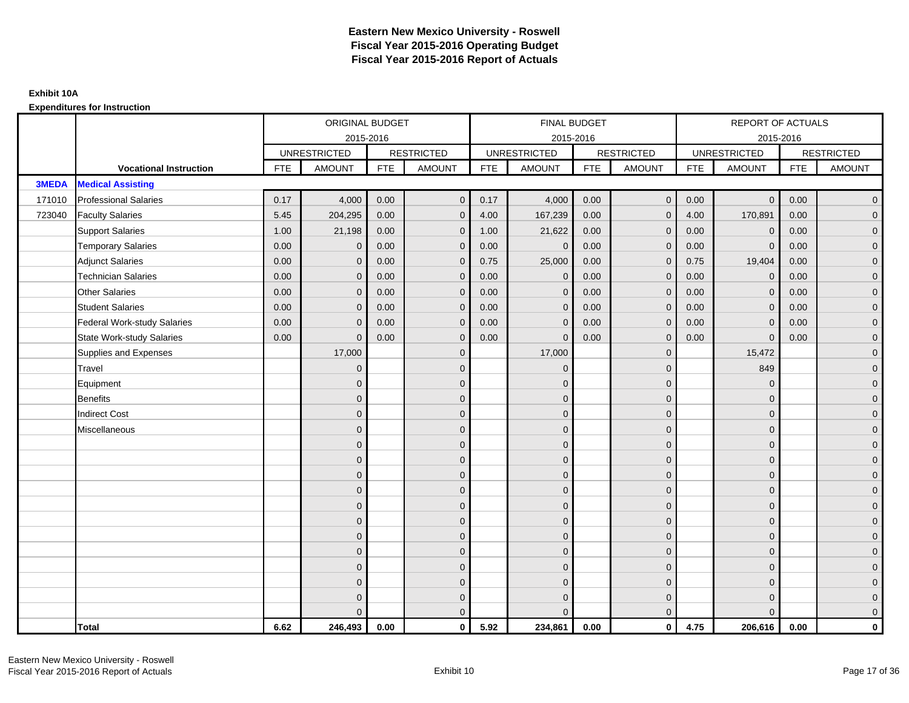|              |                                    |            | ORIGINAL BUDGET     |            |                   |            | <b>FINAL BUDGET</b> |            |                   |            | REPORT OF ACTUALS   |            |                   |
|--------------|------------------------------------|------------|---------------------|------------|-------------------|------------|---------------------|------------|-------------------|------------|---------------------|------------|-------------------|
|              |                                    |            |                     | 2015-2016  |                   |            | 2015-2016           |            |                   |            |                     | 2015-2016  |                   |
|              |                                    |            | <b>UNRESTRICTED</b> |            | <b>RESTRICTED</b> |            | <b>UNRESTRICTED</b> |            | <b>RESTRICTED</b> |            | <b>UNRESTRICTED</b> |            | <b>RESTRICTED</b> |
|              | <b>Vocational Instruction</b>      | <b>FTE</b> | <b>AMOUNT</b>       | <b>FTE</b> | <b>AMOUNT</b>     | <b>FTE</b> | <b>AMOUNT</b>       | <b>FTE</b> | <b>AMOUNT</b>     | <b>FTE</b> | <b>AMOUNT</b>       | <b>FTE</b> | <b>AMOUNT</b>     |
| <b>3MEDA</b> | <b>Medical Assisting</b>           |            |                     |            |                   |            |                     |            |                   |            |                     |            |                   |
| 171010       | <b>Professional Salaries</b>       | 0.17       | 4,000               | 0.00       | $\mathbf{0}$      | 0.17       | 4,000               | 0.00       | $\overline{0}$    | 0.00       | $\overline{0}$      | 0.00       | $\overline{0}$    |
| 723040       | <b>Faculty Salaries</b>            | 5.45       | 204,295             | 0.00       | $\mathbf 0$       | 4.00       | 167,239             | 0.00       | $\mathbf{0}$      | 4.00       | 170,891             | 0.00       | $\overline{0}$    |
|              | <b>Support Salaries</b>            | 1.00       | 21,198              | 0.00       | $\mathbf 0$       | 1.00       | 21,622              | 0.00       | $\mathbf 0$       | 0.00       | $\mathbf 0$         | 0.00       | $\overline{0}$    |
|              | <b>Temporary Salaries</b>          | 0.00       | $\mathbf{0}$        | 0.00       | $\mathbf{0}$      | 0.00       | $\Omega$            | 0.00       | $\Omega$          | 0.00       | $\mathbf{0}$        | 0.00       | $\overline{0}$    |
|              | <b>Adjunct Salaries</b>            | 0.00       | $\Omega$            | 0.00       | $\overline{0}$    | 0.75       | 25,000              | 0.00       | $\Omega$          | 0.75       | 19,404              | 0.00       | $\overline{0}$    |
|              | <b>Technician Salaries</b>         | 0.00       | $\mathbf{0}$        | 0.00       | $\mathbf{0}$      | 0.00       | $\mathbf 0$         | 0.00       | $\mathbf 0$       | 0.00       | $\mathbf 0$         | 0.00       | $\mathbf{0}$      |
|              | <b>Other Salaries</b>              | 0.00       | $\mathbf{0}$        | 0.00       | $\mathbf 0$       | 0.00       | $\Omega$            | 0.00       | $\mathbf{0}$      | 0.00       | $\overline{0}$      | 0.00       | $\overline{0}$    |
|              | <b>Student Salaries</b>            | 0.00       | $\mathbf{0}$        | 0.00       | $\overline{0}$    | 0.00       | $\Omega$            | 0.00       | $\mathbf 0$       | 0.00       | $\mathbf 0$         | 0.00       | $\overline{0}$    |
|              | <b>Federal Work-study Salaries</b> | 0.00       | $\mathbf 0$         | 0.00       | $\mathbf 0$       | 0.00       | $\mathbf{0}$        | 0.00       | $\Omega$          | 0.00       | $\mathbf 0$         | 0.00       | $\overline{0}$    |
|              | <b>State Work-study Salaries</b>   | 0.00       | $\mathbf{0}$        | 0.00       | $\overline{0}$    | 0.00       | $\mathbf{0}$        | 0.00       | $\mathbf 0$       | 0.00       | $\mathbf{0}$        | 0.00       | $\overline{0}$    |
|              | Supplies and Expenses              |            | 17,000              |            | $\overline{0}$    |            | 17,000              |            | $\overline{0}$    |            | 15,472              |            | $\mathbf{0}$      |
|              | <b>Travel</b>                      |            | $\Omega$            |            | $\mathbf 0$       |            | $\Omega$            |            | $\mathbf{0}$      |            | 849                 |            | $\overline{0}$    |
|              | Equipment                          |            | $\mathbf{0}$        |            | $\mathbf 0$       |            | $\Omega$            |            | $\mathbf 0$       |            | $\mathbf 0$         |            | $\overline{0}$    |
|              | <b>Benefits</b>                    |            | $\mathbf{0}$        |            | $\mathbf 0$       |            | $\Omega$            |            | $\mathbf{0}$      |            | $\mathbf{0}$        |            | $\overline{0}$    |
|              | <b>Indirect Cost</b>               |            | $\Omega$            |            | $\overline{0}$    |            | $\Omega$            |            | $\Omega$          |            | $\Omega$            |            | $\overline{0}$    |
|              | Miscellaneous                      |            | $\mathbf{0}$        |            | $\mathbf 0$       |            | $\Omega$            |            | $\mathbf 0$       |            | $\mathbf{0}$        |            | $\mathbf{0}$      |
|              |                                    |            | $\mathbf{0}$        |            | $\mathbf 0$       |            | $\Omega$            |            | $\mathbf{0}$      |            | $\mathbf{0}$        |            | $\overline{0}$    |
|              |                                    |            | $\Omega$            |            | $\mathbf 0$       |            | $\Omega$            |            | $\mathbf{0}$      |            | $\mathbf{0}$        |            | $\overline{0}$    |
|              |                                    |            | $\mathbf 0$         |            | $\mathbf 0$       |            | $\Omega$            |            | $\mathbf 0$       |            | $\mathbf{0}$        |            | $\overline{0}$    |
|              |                                    |            | $\Omega$            |            | $\mathbf 0$       |            | $\Omega$            |            | $\mathbf{0}$      |            | $\mathbf{0}$        |            | $\mathbf{0}$      |
|              |                                    |            | $\Omega$            |            | $\mathbf 0$       |            | $\Omega$            |            | $\mathbf{0}$      |            | $\Omega$            |            | $\mathbf{0}$      |
|              |                                    |            | $\Omega$            |            | $\mathbf 0$       |            | $\Omega$            |            | $\mathbf{0}$      |            | $\Omega$            |            | $\overline{0}$    |
|              |                                    |            | $\mathbf{0}$        |            | $\mathbf 0$       |            | $\Omega$            |            | $\mathbf{0}$      |            | $\mathbf{0}$        |            | $\overline{0}$    |
|              |                                    |            | $\mathbf{0}$        |            | $\mathbf 0$       |            | $\Omega$            |            | $\mathbf{0}$      |            | $\mathbf{0}$        |            | $\overline{0}$    |
|              |                                    |            | $\Omega$            |            | $\mathbf 0$       |            | $\Omega$            |            | $\mathbf{0}$      |            | $\Omega$            |            | $\overline{0}$    |
|              |                                    |            | $\Omega$            |            | $\mathbf 0$       |            | $\Omega$            |            | $\mathbf 0$       |            | $\mathbf{0}$        |            | $\mathbf{0}$      |
|              |                                    |            | $\Omega$            |            | $\mathbf 0$       |            | $\Omega$            |            | $\mathbf 0$       |            | $\mathbf{0}$        |            | $\mathbf{0}$      |
|              |                                    |            | $\Omega$            |            | $\overline{0}$    |            |                     |            | $\mathbf{0}$      |            | $\Omega$            |            | $\overline{0}$    |
|              | <b>Total</b>                       | 6.62       | 246,493             | 0.00       | $\mathbf{0}$      | 5.92       | 234,861             | 0.00       | $\mathbf{0}$      | 4.75       | 206,616             | 0.00       | $\mathbf 0$       |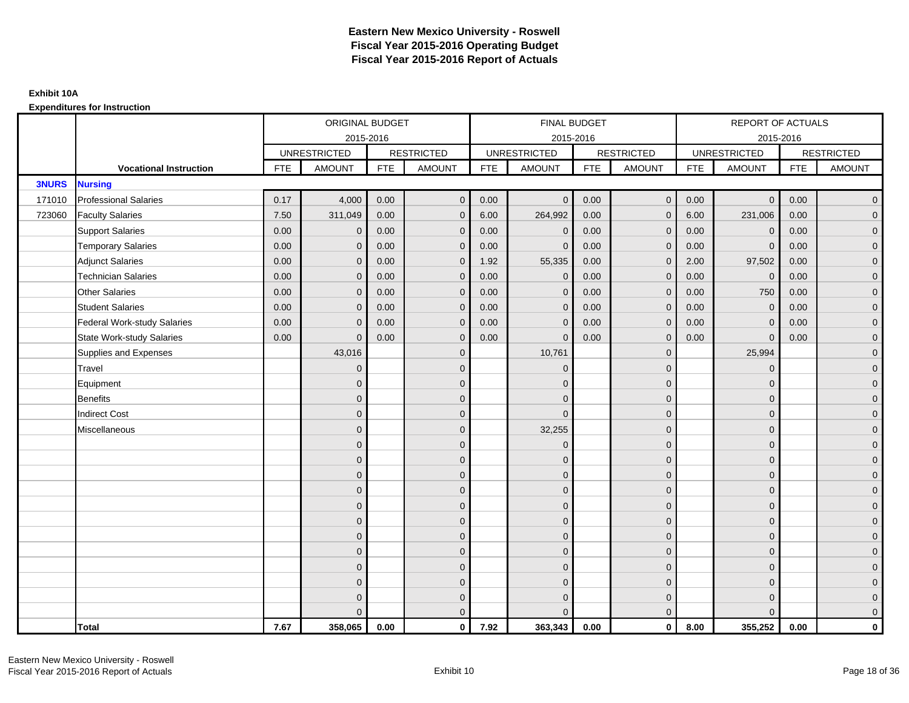|              |                                    |            | ORIGINAL BUDGET     |            |                   |            | <b>FINAL BUDGET</b> |            |                   |            | REPORT OF ACTUALS   |            |                   |
|--------------|------------------------------------|------------|---------------------|------------|-------------------|------------|---------------------|------------|-------------------|------------|---------------------|------------|-------------------|
|              |                                    |            | 2015-2016           |            |                   |            | 2015-2016           |            |                   |            | 2015-2016           |            |                   |
|              |                                    |            | <b>UNRESTRICTED</b> |            | <b>RESTRICTED</b> |            | <b>UNRESTRICTED</b> |            | <b>RESTRICTED</b> |            | <b>UNRESTRICTED</b> |            | <b>RESTRICTED</b> |
|              | <b>Vocational Instruction</b>      | <b>FTE</b> | <b>AMOUNT</b>       | <b>FTE</b> | <b>AMOUNT</b>     | <b>FTE</b> | <b>AMOUNT</b>       | <b>FTE</b> | <b>AMOUNT</b>     | <b>FTE</b> | <b>AMOUNT</b>       | <b>FTE</b> | <b>AMOUNT</b>     |
| <b>3NURS</b> | <b>Nursing</b>                     |            |                     |            |                   |            |                     |            |                   |            |                     |            |                   |
| 171010       | <b>Professional Salaries</b>       | 0.17       | 4,000               | 0.00       | $\overline{0}$    | 0.00       | $\Omega$            | 0.00       | $\overline{0}$    | 0.00       | $\overline{0}$      | 0.00       | $\overline{0}$    |
| 723060       | <b>Faculty Salaries</b>            | 7.50       | 311,049             | 0.00       | $\mathbf 0$       | 6.00       | 264,992             | 0.00       | $\mathbf{0}$      | 6.00       | 231,006             | 0.00       | $\overline{0}$    |
|              | <b>Support Salaries</b>            | 0.00       | $\mathbf 0$         | 0.00       | $\mathbf 0$       | 0.00       | $\mathbf 0$         | 0.00       | $\mathbf 0$       | 0.00       | $\mathbf 0$         | 0.00       | $\overline{0}$    |
|              | <b>Temporary Salaries</b>          | 0.00       | $\mathbf{0}$        | 0.00       | $\overline{0}$    | 0.00       | $\Omega$            | 0.00       | $\Omega$          | 0.00       | $\mathbf{0}$        | 0.00       | $\overline{0}$    |
|              | <b>Adjunct Salaries</b>            | 0.00       | $\Omega$            | 0.00       | $\overline{0}$    | 1.92       | 55,335              | 0.00       | $\Omega$          | 2.00       | 97,502              | 0.00       | $\overline{0}$    |
|              | <b>Technician Salaries</b>         | 0.00       | $\mathbf{0}$        | 0.00       | $\mathbf{0}$      | 0.00       | $\mathbf{0}$        | 0.00       | $\mathbf{0}$      | 0.00       | $\mathbf 0$         | 0.00       | $\mathbf{0}$      |
|              | <b>Other Salaries</b>              | 0.00       | $\mathbf{0}$        | 0.00       | $\overline{0}$    | 0.00       | $\mathbf{0}$        | 0.00       | $\mathbf{0}$      | 0.00       | 750                 | 0.00       | $\overline{0}$    |
|              | <b>Student Salaries</b>            | 0.00       | $\Omega$            | 0.00       | $\overline{0}$    | 0.00       | $\mathbf{0}$        | 0.00       | $\mathbf{0}$      | 0.00       | $\mathbf 0$         | 0.00       | $\overline{0}$    |
|              | <b>Federal Work-study Salaries</b> | 0.00       | $\mathbf{0}$        | 0.00       | $\mathbf 0$       | 0.00       | $\mathbf{0}$        | 0.00       | $\Omega$          | 0.00       | $\mathbf 0$         | 0.00       | $\overline{0}$    |
|              | <b>State Work-study Salaries</b>   | 0.00       | $\mathbf{0}$        | 0.00       | $\overline{0}$    | 0.00       | $\mathbf{0}$        | 0.00       | $\mathbf{0}$      | 0.00       | $\mathbf{0}$        | 0.00       | $\overline{0}$    |
|              | Supplies and Expenses              |            | 43,016              |            | $\overline{0}$    |            | 10,761              |            | $\mathbf{0}$      |            | 25,994              |            | $\mathbf{0}$      |
|              | <b>Travel</b>                      |            | $\Omega$            |            | $\mathbf 0$       |            | $\mathbf{0}$        |            | $\mathbf{0}$      |            | $\mathbf{0}$        |            | $\overline{0}$    |
|              | Equipment                          |            | $\Omega$            |            | $\mathbf 0$       |            | $\mathbf{0}$        |            | $\mathbf 0$       |            | $\mathbf{0}$        |            | $\overline{0}$    |
|              | <b>Benefits</b>                    |            | $\mathbf{0}$        |            | $\mathbf 0$       |            | $\Omega$            |            | $\mathbf 0$       |            | $\mathbf{0}$        |            | $\overline{0}$    |
|              | <b>Indirect Cost</b>               |            | $\Omega$            |            | $\overline{0}$    |            | $\Omega$            |            | $\Omega$          |            | $\Omega$            |            | $\overline{0}$    |
|              | Miscellaneous                      |            | $\Omega$            |            | $\mathbf 0$       |            | 32,255              |            | $\overline{0}$    |            | $\mathbf{0}$        |            | $\mathbf{0}$      |
|              |                                    |            | $\Omega$            |            | $\mathbf 0$       |            | $\mathbf{0}$        |            | $\mathbf{0}$      |            | $\mathbf{0}$        |            | $\overline{0}$    |
|              |                                    |            | $\Omega$            |            | $\mathbf 0$       |            | $\Omega$            |            | $\mathbf{0}$      |            | $\mathbf{0}$        |            | $\overline{0}$    |
|              |                                    |            | $\Omega$            |            | $\mathbf 0$       |            | $\mathbf{0}$        |            | $\mathbf 0$       |            | $\mathbf{0}$        |            | $\overline{0}$    |
|              |                                    |            | $\Omega$            |            | $\mathbf 0$       |            | $\Omega$            |            | $\mathbf{0}$      |            | $\mathbf{0}$        |            | $\mathbf{0}$      |
|              |                                    |            | $\Omega$            |            | $\mathbf 0$       |            | $\Omega$            |            | $\overline{0}$    |            | $\Omega$            |            | $\mathbf{0}$      |
|              |                                    |            | $\Omega$            |            | $\mathbf 0$       |            | $\Omega$            |            | $\mathbf{0}$      |            | $\Omega$            |            | $\overline{0}$    |
|              |                                    |            | $\Omega$            |            | $\mathbf 0$       |            | $\mathbf{0}$        |            | $\mathbf{0}$      |            | $\mathbf{0}$        |            | $\overline{0}$    |
|              |                                    |            | $\Omega$            |            | $\mathbf 0$       |            | $\Omega$            |            | $\mathbf 0$       |            | $\mathbf{0}$        |            | $\overline{0}$    |
|              |                                    |            | $\Omega$            |            | $\mathbf 0$       |            | $\Omega$            |            | $\mathbf{0}$      |            | $\Omega$            |            | $\overline{0}$    |
|              |                                    |            | $\Omega$            |            | $\mathbf 0$       |            | $\mathbf{0}$        |            | $\mathbf 0$       |            | $\mathbf{0}$        |            | $\overline{0}$    |
|              |                                    |            | $\Omega$            |            | $\mathbf 0$       |            | $\Omega$            |            | $\mathbf{0}$      |            | $\mathbf{0}$        |            | $\mathbf{0}$      |
|              |                                    |            | $\Omega$            |            | $\overline{0}$    |            | $\Omega$            |            | $\mathbf{0}$      |            | $\Omega$            |            | $\overline{0}$    |
|              | <b>Total</b>                       | 7.67       | 358,065             | 0.00       | $\mathbf{0}$      | 7.92       | 363,343             | 0.00       | $\mathbf{0}$      | 8.00       | 355,252             | 0.00       | $\mathbf 0$       |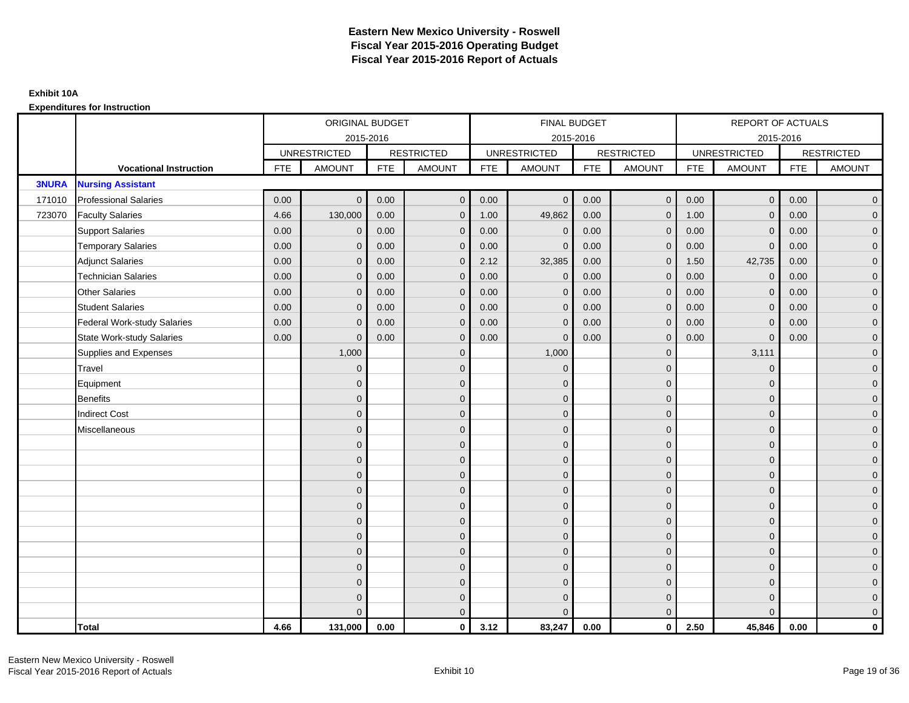|              |                                    |            | ORIGINAL BUDGET     |            |                     |            | FINAL BUDGET        |            |                   |            | <b>REPORT OF ACTUALS</b> |            |                     |
|--------------|------------------------------------|------------|---------------------|------------|---------------------|------------|---------------------|------------|-------------------|------------|--------------------------|------------|---------------------|
|              |                                    |            |                     | 2015-2016  |                     |            | 2015-2016           |            |                   |            | 2015-2016                |            |                     |
|              |                                    |            | <b>UNRESTRICTED</b> |            | <b>RESTRICTED</b>   |            | <b>UNRESTRICTED</b> |            | <b>RESTRICTED</b> |            | <b>UNRESTRICTED</b>      |            | <b>RESTRICTED</b>   |
|              | <b>Vocational Instruction</b>      | <b>FTE</b> | <b>AMOUNT</b>       | <b>FTE</b> | <b>AMOUNT</b>       | <b>FTE</b> | <b>AMOUNT</b>       | <b>FTE</b> | <b>AMOUNT</b>     | <b>FTE</b> | <b>AMOUNT</b>            | <b>FTE</b> | <b>AMOUNT</b>       |
| <b>3NURA</b> | <b>Nursing Assistant</b>           |            |                     |            |                     |            |                     |            |                   |            |                          |            |                     |
| 171010       | <b>Professional Salaries</b>       | 0.00       | $\mathbf{0}$        | 0.00       | $\overline{0}$      | 0.00       | $\mathbf{0}$        | 0.00       | $\mathbf{0}$      | 0.00       | $\overline{0}$           | 0.00       | $\overline{0}$      |
| 723070       | <b>Faculty Salaries</b>            | 4.66       | 130,000             | 0.00       | $\mathbf 0$         | 1.00       | 49,862              | 0.00       | $\mathbf{0}$      | 1.00       | $\overline{0}$           | 0.00       | $\overline{0}$      |
|              | <b>Support Salaries</b>            | 0.00       | $\mathbf 0$         | 0.00       | $\mathbf 0$         | 0.00       | $\mathbf{0}$        | 0.00       | $\mathbf{0}$      | 0.00       | $\mathbf 0$              | 0.00       | $\overline{0}$      |
|              | <b>Temporary Salaries</b>          | 0.00       | $\mathbf{0}$        | 0.00       | $\mathbf 0$         | 0.00       | $\Omega$            | 0.00       | $\mathbf 0$       | 0.00       | $\mathbf 0$              | 0.00       | $\overline{0}$      |
|              | <b>Adjunct Salaries</b>            | 0.00       | $\mathbf{0}$        | 0.00       | $\overline{0}$      | 2.12       | 32,385              | 0.00       | $\mathbf{0}$      | 1.50       | 42,735                   | 0.00       | $\overline{0}$      |
|              | <b>Technician Salaries</b>         | 0.00       | $\Omega$            | 0.00       | $\overline{0}$      | 0.00       | $\Omega$            | 0.00       | $\Omega$          | 0.00       | $\mathbf{0}$             | 0.00       | $\overline{0}$      |
|              | <b>Other Salaries</b>              | 0.00       | $\mathbf{0}$        | 0.00       | $\mathbf 0$         | 0.00       | $\mathbf{0}$        | 0.00       | $\mathbf{0}$      | 0.00       | $\mathbf 0$              | 0.00       | $\overline{0}$      |
|              | <b>Student Salaries</b>            | 0.00       | $\mathbf{0}$        | 0.00       | $\mathbf 0$         | 0.00       | $\mathbf{0}$        | 0.00       | $\mathbf{0}$      | 0.00       | $\mathbf 0$              | 0.00       | $\overline{0}$      |
|              | <b>Federal Work-study Salaries</b> | 0.00       | $\mathbf{0}$        | 0.00       | $\overline{0}$      | 0.00       | $\Omega$            | 0.00       | $\Omega$          | 0.00       | $\mathbf{0}$             | 0.00       | $\overline{0}$      |
|              | <b>State Work-study Salaries</b>   | 0.00       | $\mathbf{0}$        | 0.00       | $\overline{0}$      | 0.00       | $\Omega$            | 0.00       | $\mathbf{0}$      | 0.00       | $\Omega$                 | 0.00       | $\overline{0}$      |
|              | Supplies and Expenses              |            | 1,000               |            | $\mathbf 0$         |            | 1,000               |            | $\mathbf{0}$      |            | 3,111                    |            | $\mathbf{0}$        |
|              | Travel                             |            | $\mathbf{0}$        |            | $\mathbf 0$         |            | $\mathbf{0}$        |            | $\mathbf 0$       |            | $\mathbf 0$              |            | $\mathbf{0}$        |
|              | Equipment                          |            | $\mathbf{0}$        |            | $\mathbf 0$         |            | $\Omega$            |            | $\mathbf{0}$      |            | $\mathbf{0}$             |            | $\overline{0}$      |
|              | <b>Benefits</b>                    |            | $\mathbf{0}$        |            | $\mathbf 0$         |            | $\mathbf{0}$        |            | $\mathbf 0$       |            | $\mathbf 0$              |            | $\mathbf{0}$        |
|              | <b>Indirect Cost</b>               |            | $\mathbf{0}$        |            | $\mathbf 0$         |            | $\Omega$            |            | $\mathbf{0}$      |            | $\mathbf{0}$             |            | $\mathbf{0}$        |
|              | Miscellaneous                      |            | $\Omega$            |            | $\mathbf 0$         |            | $\Omega$            |            | $\mathbf{0}$      |            | $\mathbf{0}$             |            | $\mathsf{O}\xspace$ |
|              |                                    |            | $\Omega$            |            | $\mathbf 0$         |            | $\Omega$            |            | $\mathbf{0}$      |            | $\Omega$                 |            | $\overline{0}$      |
|              |                                    |            | $\overline{0}$      |            | $\mathsf{O}\xspace$ |            | $\mathbf{0}$        |            | $\mathbf 0$       |            | $\mathbf 0$              |            | $\mathsf{O}\xspace$ |
|              |                                    |            | $\mathbf{0}$        |            | $\mathbf 0$         |            | $\Omega$            |            | $\mathbf 0$       |            | $\mathbf{0}$             |            | $\overline{0}$      |
|              |                                    |            | $\Omega$            |            | $\mathbf 0$         |            | $\Omega$            |            | $\mathbf{0}$      |            | $\mathbf{0}$             |            | $\overline{0}$      |
|              |                                    |            | $\Omega$            |            | $\mathbf{0}$        |            | $\Omega$            |            | $\mathbf{0}$      |            | $\Omega$                 |            | $\overline{0}$      |
|              |                                    |            | $\mathbf{0}$        |            | $\mathbf 0$         |            | $\Omega$            |            | $\mathbf 0$       |            | $\mathbf{0}$             |            | $\overline{0}$      |
|              |                                    |            | $\mathbf{0}$        |            | $\mathbf 0$         |            | $\Omega$            |            | $\mathbf{0}$      |            | $\mathbf{0}$             |            | $\overline{0}$      |
|              |                                    |            | $\mathbf{0}$        |            | $\mathbf 0$         |            | $\Omega$            |            | $\mathbf 0$       |            | $\mathbf{0}$             |            | $\overline{0}$      |
|              |                                    |            | $\Omega$            |            | $\mathbf 0$         |            | $\Omega$            |            | $\mathbf{0}$      |            | $\Omega$                 |            | $\overline{0}$      |
|              |                                    |            | $\mathbf{0}$        |            | $\mathbf 0$         |            | $\Omega$            |            | $\mathbf 0$       |            | $\mathbf{0}$             |            | $\overline{0}$      |
|              |                                    |            | $\mathbf{0}$        |            | $\mathbf 0$         |            | $\Omega$            |            | $\mathbf 0$       |            | $\mathbf{0}$             |            | $\mathbf{0}$        |
|              |                                    |            | $\Omega$            |            | $\overline{0}$      |            | $\Omega$            |            | $\overline{0}$    |            | $\Omega$                 |            | $\overline{0}$      |
|              | <b>Total</b>                       | 4.66       | 131,000             | 0.00       | $\mathbf{0}$        | 3.12       | 83,247              | 0.00       | $\mathbf{0}$      | 2.50       | 45,846                   | 0.00       | $\mathbf 0$         |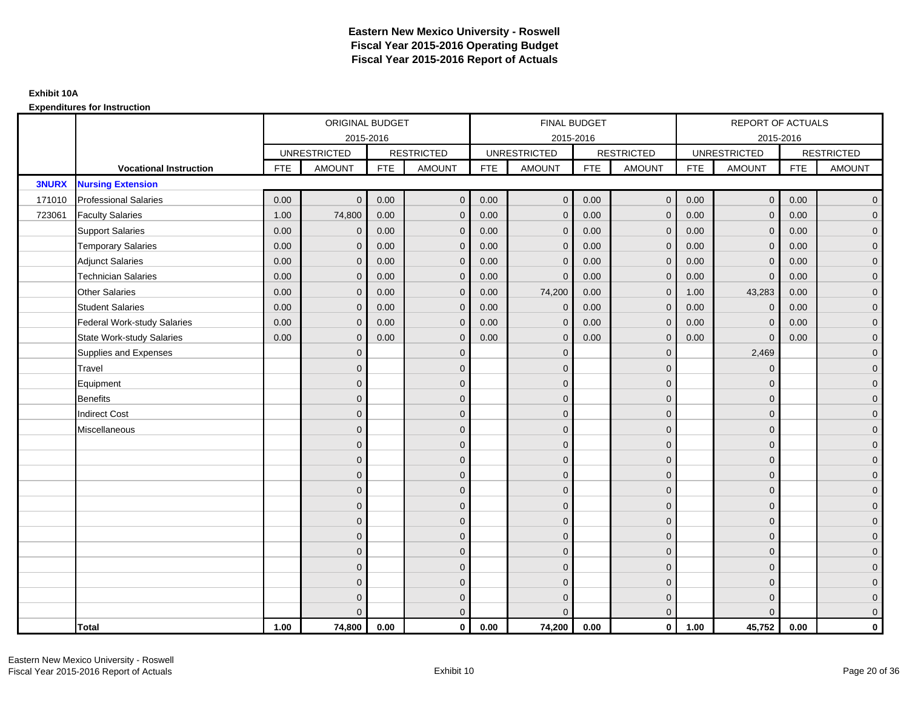|              |                                    |            | ORIGINAL BUDGET     |            |                   |            | <b>FINAL BUDGET</b> |            |                   |            | REPORT OF ACTUALS   |            |                   |
|--------------|------------------------------------|------------|---------------------|------------|-------------------|------------|---------------------|------------|-------------------|------------|---------------------|------------|-------------------|
|              |                                    |            | 2015-2016           |            |                   |            | 2015-2016           |            |                   |            | 2015-2016           |            |                   |
|              |                                    |            | <b>UNRESTRICTED</b> |            | <b>RESTRICTED</b> |            | <b>UNRESTRICTED</b> |            | <b>RESTRICTED</b> |            | <b>UNRESTRICTED</b> |            | <b>RESTRICTED</b> |
|              | <b>Vocational Instruction</b>      | <b>FTE</b> | <b>AMOUNT</b>       | <b>FTE</b> | <b>AMOUNT</b>     | <b>FTE</b> | <b>AMOUNT</b>       | <b>FTE</b> | <b>AMOUNT</b>     | <b>FTE</b> | <b>AMOUNT</b>       | <b>FTE</b> | <b>AMOUNT</b>     |
| <b>3NURX</b> | <b>Nursing Extension</b>           |            |                     |            |                   |            |                     |            |                   |            |                     |            |                   |
| 171010       | <b>Professional Salaries</b>       | 0.00       | $\Omega$            | 0.00       | $\mathbf{0}$      | 0.00       | $\overline{0}$      | 0.00       | $\mathbf{0}$      | 0.00       | $\overline{0}$      | 0.00       | $\overline{0}$    |
| 723061       | <b>Faculty Salaries</b>            | 1.00       | 74,800              | 0.00       | $\mathbf 0$       | 0.00       | $\mathbf{0}$        | 0.00       | $\mathbf{0}$      | 0.00       | $\mathbf 0$         | 0.00       | $\overline{0}$    |
|              | <b>Support Salaries</b>            | 0.00       | $\mathbf 0$         | 0.00       | $\mathbf 0$       | 0.00       | $\mathbf{0}$        | 0.00       | $\mathbf 0$       | 0.00       | $\mathbf 0$         | 0.00       | $\overline{0}$    |
|              | <b>Temporary Salaries</b>          | 0.00       | $\mathbf{0}$        | 0.00       | $\overline{0}$    | 0.00       | $\Omega$            | 0.00       | $\Omega$          | 0.00       | $\mathbf 0$         | 0.00       | $\overline{0}$    |
|              | <b>Adjunct Salaries</b>            | 0.00       | $\Omega$            | 0.00       | $\overline{0}$    | 0.00       | $\Omega$            | 0.00       | $\Omega$          | 0.00       | $\mathbf{0}$        | 0.00       | $\overline{0}$    |
|              | <b>Technician Salaries</b>         | 0.00       | $\mathbf 0$         | 0.00       | $\mathbf{0}$      | 0.00       | $\mathbf{0}$        | 0.00       | $\mathbf{0}$      | 0.00       | $\mathbf{0}$        | 0.00       | $\mathbf{0}$      |
|              | <b>Other Salaries</b>              | 0.00       | $\mathbf{0}$        | 0.00       | $\overline{0}$    | 0.00       | 74,200              | 0.00       | $\mathbf{0}$      | 1.00       | 43,283              | 0.00       | $\overline{0}$    |
|              | <b>Student Salaries</b>            | 0.00       | $\Omega$            | 0.00       | $\mathbf 0$       | 0.00       | $\mathbf{0}$        | 0.00       | $\mathbf{0}$      | 0.00       | $\mathbf 0$         | 0.00       | $\overline{0}$    |
|              | <b>Federal Work-study Salaries</b> | 0.00       | $\mathbf 0$         | 0.00       | $\mathbf 0$       | 0.00       | $\mathbf{0}$        | 0.00       | $\Omega$          | 0.00       | $\mathbf 0$         | 0.00       | $\overline{0}$    |
|              | State Work-study Salaries          | 0.00       | $\mathbf{0}$        | 0.00       | $\overline{0}$    | 0.00       | $\mathbf{0}$        | 0.00       | $\mathbf{0}$      | 0.00       | $\mathbf{0}$        | 0.00       | $\overline{0}$    |
|              | Supplies and Expenses              |            | $\Omega$            |            | $\mathbf{0}$      |            | $\Omega$            |            | $\mathbf 0$       |            | 2,469               |            | $\mathbf{0}$      |
|              | <b>Travel</b>                      |            | $\Omega$            |            | $\mathbf 0$       |            | $\Omega$            |            | $\Omega$          |            | $\mathbf{0}$        |            | $\overline{0}$    |
|              | Equipment                          |            | $\Omega$            |            | $\mathbf 0$       |            | $\mathbf{0}$        |            | $\mathbf 0$       |            | $\mathbf{0}$        |            | $\overline{0}$    |
|              | <b>Benefits</b>                    |            | $\mathbf{0}$        |            | $\mathbf 0$       |            | $\Omega$            |            | $\mathbf 0$       |            | $\mathbf{0}$        |            | $\overline{0}$    |
|              | <b>Indirect Cost</b>               |            | $\Omega$            |            | $\overline{0}$    |            | $\Omega$            |            | $\Omega$          |            | $\Omega$            |            | $\overline{0}$    |
|              | Miscellaneous                      |            | $\Omega$            |            | $\mathbf 0$       |            | $\mathbf{0}$        |            | $\Omega$          |            | $\mathbf{0}$        |            | $\mathbf{0}$      |
|              |                                    |            | $\Omega$            |            | $\mathbf 0$       |            | $\mathbf{0}$        |            | $\mathbf{0}$      |            | $\mathbf{0}$        |            | $\overline{0}$    |
|              |                                    |            | $\Omega$            |            | $\mathbf 0$       |            | $\mathbf{0}$        |            | $\mathbf{0}$      |            | $\mathbf{0}$        |            | $\overline{0}$    |
|              |                                    |            | $\Omega$            |            | $\mathbf 0$       |            | $\mathbf{0}$        |            | $\mathbf 0$       |            | $\mathbf{0}$        |            | $\overline{0}$    |
|              |                                    |            | $\Omega$            |            | $\mathbf 0$       |            | $\Omega$            |            | $\mathbf{0}$      |            | $\mathbf{0}$        |            | $\mathbf{0}$      |
|              |                                    |            | $\Omega$            |            | $\mathbf 0$       |            | $\Omega$            |            | $\overline{0}$    |            | $\Omega$            |            | $\mathbf{0}$      |
|              |                                    |            | $\Omega$            |            | $\mathbf 0$       |            | $\Omega$            |            | $\mathbf{0}$      |            | $\Omega$            |            | $\overline{0}$    |
|              |                                    |            | $\Omega$            |            | $\mathbf 0$       |            | $\mathbf{0}$        |            | $\mathbf 0$       |            | $\mathbf{0}$        |            | $\overline{0}$    |
|              |                                    |            | $\Omega$            |            | $\mathbf 0$       |            | $\Omega$            |            | $\mathbf 0$       |            | $\mathbf{0}$        |            | $\overline{0}$    |
|              |                                    |            | $\Omega$            |            | $\mathbf 0$       |            | $\Omega$            |            | $\mathbf{0}$      |            | $\Omega$            |            | $\overline{0}$    |
|              |                                    |            | $\Omega$            |            | $\mathbf 0$       |            | $\mathbf{0}$        |            | $\mathbf 0$       |            | $\mathbf{0}$        |            | $\mathbf{0}$      |
|              |                                    |            | $\Omega$            |            | $\mathbf 0$       |            | $\Omega$            |            | $\mathbf{0}$      |            | $\mathbf{0}$        |            | $\mathbf{0}$      |
|              |                                    |            | $\Omega$            |            | $\overline{0}$    |            | $\Omega$            |            | $\mathbf{0}$      |            | $\Omega$            |            | $\overline{0}$    |
|              | <b>Total</b>                       | 1.00       | 74,800              | 0.00       | $\mathbf{0}$      | 0.00       | 74,200              | 0.00       | $\mathbf{0}$      | 1.00       | 45,752              | 0.00       | $\mathbf 0$       |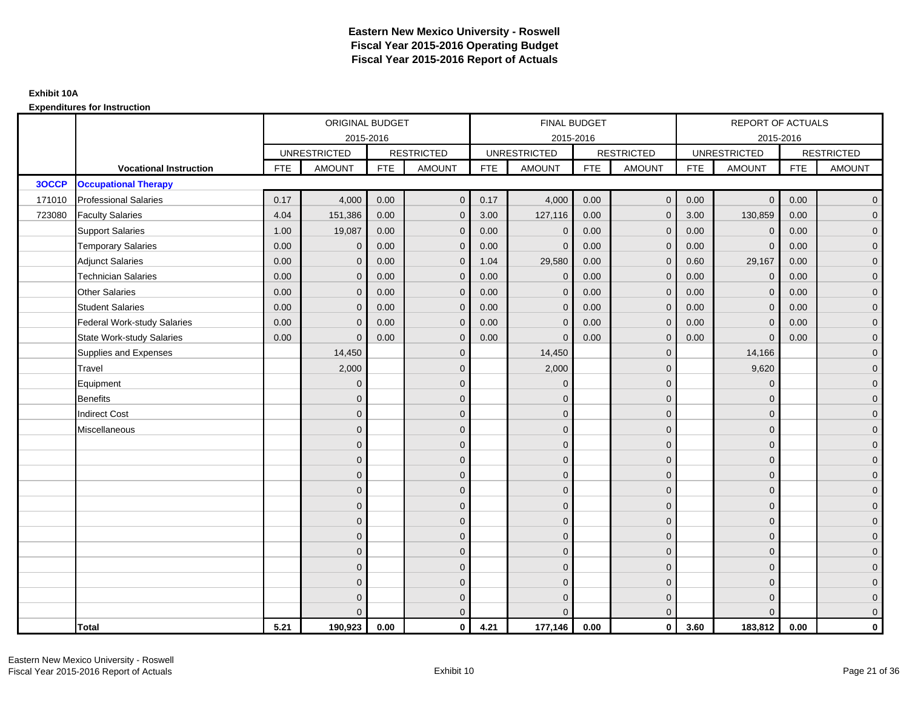|        |                                    |            | ORIGINAL BUDGET     |            |                   |            | <b>FINAL BUDGET</b> |            |                   |            | <b>REPORT OF ACTUALS</b> |            |                     |
|--------|------------------------------------|------------|---------------------|------------|-------------------|------------|---------------------|------------|-------------------|------------|--------------------------|------------|---------------------|
|        |                                    |            |                     | 2015-2016  |                   |            | 2015-2016           |            |                   |            | 2015-2016                |            |                     |
|        |                                    |            | <b>UNRESTRICTED</b> |            | <b>RESTRICTED</b> |            | <b>UNRESTRICTED</b> |            | <b>RESTRICTED</b> |            | <b>UNRESTRICTED</b>      |            | <b>RESTRICTED</b>   |
|        | <b>Vocational Instruction</b>      | <b>FTE</b> | <b>AMOUNT</b>       | <b>FTE</b> | <b>AMOUNT</b>     | <b>FTE</b> | <b>AMOUNT</b>       | <b>FTE</b> | <b>AMOUNT</b>     | <b>FTE</b> | <b>AMOUNT</b>            | <b>FTE</b> | <b>AMOUNT</b>       |
| 3OCCP  | <b>Occupational Therapy</b>        |            |                     |            |                   |            |                     |            |                   |            |                          |            |                     |
| 171010 | <b>Professional Salaries</b>       | 0.17       | 4,000               | 0.00       | $\overline{0}$    | 0.17       | 4,000               | 0.00       | $\mathbf{0}$      | 0.00       | $\overline{0}$           | 0.00       | $\overline{0}$      |
| 723080 | <b>Faculty Salaries</b>            | 4.04       | 151,386             | 0.00       | $\overline{0}$    | 3.00       | 127,116             | 0.00       | $\Omega$          | 3.00       | 130,859                  | 0.00       | $\overline{0}$      |
|        | <b>Support Salaries</b>            | 1.00       | 19,087              | 0.00       | $\mathbf 0$       | 0.00       | $\Omega$            | 0.00       | $\mathbf{0}$      | 0.00       | $\overline{0}$           | 0.00       | $\overline{0}$      |
|        | <b>Temporary Salaries</b>          | 0.00       | $\mathbf 0$         | 0.00       | $\mathbf 0$       | 0.00       | $\Omega$            | 0.00       | 0                 | 0.00       | $\mathbf 0$              | 0.00       | $\overline{0}$      |
|        | <b>Adjunct Salaries</b>            | 0.00       | $\mathbf{0}$        | 0.00       | $\overline{0}$    | 1.04       | 29,580              | 0.00       | $\Omega$          | 0.60       | 29,167                   | 0.00       | $\overline{0}$      |
|        | <b>Technician Salaries</b>         | 0.00       | $\Omega$            | 0.00       | $\overline{0}$    | 0.00       | $\Omega$            | 0.00       | $\Omega$          | 0.00       | $\mathbf{0}$             | 0.00       | $\overline{0}$      |
|        | <b>Other Salaries</b>              | 0.00       | $\mathbf{0}$        | 0.00       | $\mathbf 0$       | 0.00       | $\Omega$            | 0.00       | $\mathbf{0}$      | 0.00       | $\mathbf 0$              | 0.00       | $\mathbf{0}$        |
|        | <b>Student Salaries</b>            | 0.00       | $\mathbf{0}$        | 0.00       | $\mathbf 0$       | 0.00       | $\mathbf{0}$        | 0.00       | $\mathbf{0}$      | 0.00       | $\mathbf 0$              | 0.00       | $\overline{0}$      |
|        | <b>Federal Work-study Salaries</b> | 0.00       | $\mathbf{0}$        | 0.00       | $\overline{0}$    | 0.00       | $\Omega$            | 0.00       | $\Omega$          | 0.00       | $\mathbf{0}$             | 0.00       | $\overline{0}$      |
|        | <b>State Work-study Salaries</b>   | 0.00       | $\mathbf{0}$        | 0.00       | $\overline{0}$    | 0.00       | $\Omega$            | 0.00       | $\Omega$          | 0.00       | $\Omega$                 | 0.00       | $\overline{0}$      |
|        | Supplies and Expenses              |            | 14,450              |            | $\mathbf 0$       |            | 14,450              |            | $\mathbf{0}$      |            | 14,166                   |            | $\mathbf{0}$        |
|        | Travel                             |            | 2,000               |            | $\mathbf 0$       |            | 2,000               |            | $\mathbf 0$       |            | 9,620                    |            | $\mathbf{0}$        |
|        | Equipment                          |            | $\mathbf{0}$        |            | $\mathbf 0$       |            | $\Omega$            |            | $\mathbf{0}$      |            | $\mathbf{0}$             |            | $\overline{0}$      |
|        | <b>Benefits</b>                    |            | $\mathbf{0}$        |            | $\mathbf 0$       |            | $\Omega$            |            | $\mathbf 0$       |            | $\mathbf{0}$             |            | $\overline{0}$      |
|        | <b>Indirect Cost</b>               |            | $\Omega$            |            | $\mathbf 0$       |            | $\Omega$            |            | $\mathbf{0}$      |            | $\mathbf{0}$             |            | $\mathbf{0}$        |
|        | Miscellaneous                      |            | $\Omega$            |            | $\mathbf 0$       |            | $\Omega$            |            | $\mathbf{0}$      |            | $\mathbf{0}$             |            | $\mathsf{O}\xspace$ |
|        |                                    |            | $\Omega$            |            | $\mathbf 0$       |            | $\Omega$            |            | $\mathbf{0}$      |            | $\Omega$                 |            | $\overline{0}$      |
|        |                                    |            | $\mathbf{0}$        |            | $\mathbf 0$       |            | $\mathbf{0}$        |            | $\mathbf 0$       |            | $\mathbf 0$              |            | $\mathsf{O}\xspace$ |
|        |                                    |            | $\mathbf{0}$        |            | $\mathbf 0$       |            | $\Omega$            |            | $\mathbf{0}$      |            | $\mathbf{0}$             |            | $\overline{0}$      |
|        |                                    |            | $\Omega$            |            | $\mathbf 0$       |            | $\Omega$            |            | $\mathbf{0}$      |            | $\mathbf{0}$             |            | $\overline{0}$      |
|        |                                    |            | $\Omega$            |            | $\overline{0}$    |            | $\Omega$            |            | $\mathbf{0}$      |            | $\Omega$                 |            | $\overline{0}$      |
|        |                                    |            | $\mathbf{0}$        |            | $\overline{0}$    |            | $\Omega$            |            | $\mathbf 0$       |            | $\mathbf{0}$             |            | $\overline{0}$      |
|        |                                    |            | $\mathbf{0}$        |            | $\mathbf 0$       |            | $\Omega$            |            | $\mathbf{0}$      |            | $\mathbf{0}$             |            | $\overline{0}$      |
|        |                                    |            | $\mathbf{0}$        |            | $\mathbf 0$       |            | $\Omega$            |            | $\mathbf{0}$      |            | $\mathbf{0}$             |            | $\overline{0}$      |
|        |                                    |            | $\Omega$            |            | $\mathbf 0$       |            | $\Omega$            |            | $\mathbf{0}$      |            | $\Omega$                 |            | $\overline{0}$      |
|        |                                    |            | $\mathbf{0}$        |            | $\mathbf 0$       |            | $\Omega$            |            | $\mathbf 0$       |            | $\mathbf{0}$             |            | $\mathbf{0}$        |
|        |                                    |            | $\mathbf{0}$        |            | $\mathbf 0$       |            | $\Omega$            |            | $\mathbf 0$       |            | $\mathbf{0}$             |            | $\mathbf{0}$        |
|        |                                    |            | $\Omega$            |            | $\overline{0}$    |            |                     |            | $\mathbf{0}$      |            | $\Omega$                 |            | $\overline{0}$      |
|        | <b>Total</b>                       | 5.21       | 190,923             | 0.00       | $\mathbf{0}$      | 4.21       | 177,146             | 0.00       | $\mathbf{0}$      | 3.60       | 183,812                  | 0.00       | $\mathbf 0$         |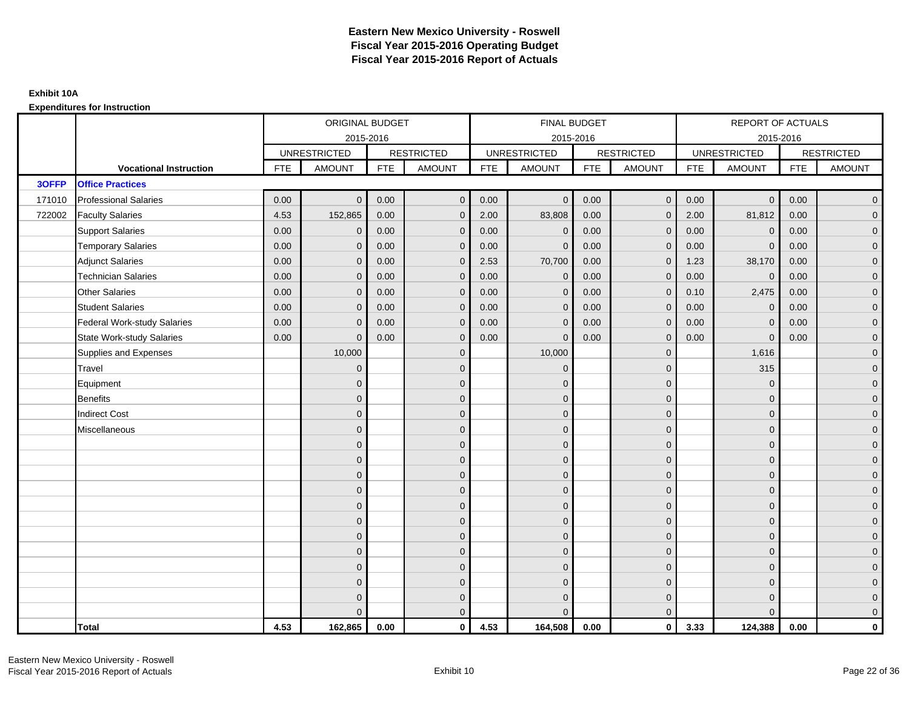|        |                                    |            | ORIGINAL BUDGET     |            |                   |            | <b>FINAL BUDGET</b> |            |                   |            | REPORT OF ACTUALS   |            |                   |
|--------|------------------------------------|------------|---------------------|------------|-------------------|------------|---------------------|------------|-------------------|------------|---------------------|------------|-------------------|
|        |                                    |            | 2015-2016           |            |                   |            | 2015-2016           |            |                   |            | 2015-2016           |            |                   |
|        |                                    |            | <b>UNRESTRICTED</b> |            | <b>RESTRICTED</b> |            | <b>UNRESTRICTED</b> |            | <b>RESTRICTED</b> |            | <b>UNRESTRICTED</b> |            | <b>RESTRICTED</b> |
|        | <b>Vocational Instruction</b>      | <b>FTE</b> | <b>AMOUNT</b>       | <b>FTE</b> | <b>AMOUNT</b>     | <b>FTE</b> | <b>AMOUNT</b>       | <b>FTE</b> | <b>AMOUNT</b>     | <b>FTE</b> | <b>AMOUNT</b>       | <b>FTE</b> | <b>AMOUNT</b>     |
| 3OFFP  | <b>Office Practices</b>            |            |                     |            |                   |            |                     |            |                   |            |                     |            |                   |
| 171010 | <b>Professional Salaries</b>       | 0.00       | $\Omega$            | 0.00       | $\mathbf{0}$      | 0.00       | $\overline{0}$      | 0.00       | $\overline{0}$    | 0.00       | $\overline{0}$      | 0.00       | $\overline{0}$    |
| 722002 | <b>Faculty Salaries</b>            | 4.53       | 152,865             | 0.00       | $\mathbf 0$       | 2.00       | 83,808              | 0.00       | $\mathbf{0}$      | 2.00       | 81,812              | 0.00       | $\overline{0}$    |
|        | <b>Support Salaries</b>            | 0.00       | $\mathbf 0$         | 0.00       | $\mathbf 0$       | 0.00       | $\mathbf 0$         | 0.00       | $\mathbf 0$       | 0.00       | $\mathbf 0$         | 0.00       | $\overline{0}$    |
|        | <b>Temporary Salaries</b>          | 0.00       | $\mathbf{0}$        | 0.00       | $\overline{0}$    | 0.00       | $\Omega$            | 0.00       | $\Omega$          | 0.00       | $\mathbf{0}$        | 0.00       | $\overline{0}$    |
|        | <b>Adjunct Salaries</b>            | 0.00       | $\Omega$            | 0.00       | $\overline{0}$    | 2.53       | 70,700              | 0.00       | $\mathbf{0}$      | 1.23       | 38,170              | 0.00       | $\overline{0}$    |
|        | <b>Technician Salaries</b>         | 0.00       | $\mathbf{0}$        | 0.00       | $\mathbf{0}$      | 0.00       | $\mathbf{0}$        | 0.00       | $\mathbf{0}$      | 0.00       | $\mathbf 0$         | 0.00       | $\mathbf{0}$      |
|        | <b>Other Salaries</b>              | 0.00       | $\mathbf{0}$        | 0.00       | $\overline{0}$    | 0.00       | $\mathbf{0}$        | 0.00       | $\mathbf{0}$      | 0.10       | 2,475               | 0.00       | $\overline{0}$    |
|        | <b>Student Salaries</b>            | 0.00       | $\mathbf{0}$        | 0.00       | $\mathbf 0$       | 0.00       | $\mathbf{0}$        | 0.00       | $\mathbf{0}$      | 0.00       | $\mathbf 0$         | 0.00       | $\overline{0}$    |
|        | <b>Federal Work-study Salaries</b> | 0.00       | $\mathbf{0}$        | 0.00       | $\mathbf 0$       | 0.00       | $\mathbf{0}$        | 0.00       | $\Omega$          | 0.00       | $\mathbf 0$         | 0.00       | $\overline{0}$    |
|        | <b>State Work-study Salaries</b>   | 0.00       | $\mathbf{0}$        | 0.00       | $\overline{0}$    | 0.00       | $\mathbf{0}$        | 0.00       | $\mathbf{0}$      | 0.00       | $\mathbf{0}$        | 0.00       | $\overline{0}$    |
|        | Supplies and Expenses              |            | 10,000              |            | $\mathbf{0}$      |            | 10,000              |            | $\mathbf{0}$      |            | 1,616               |            | $\mathbf{0}$      |
|        | Travel                             |            | $\Omega$            |            | $\mathbf 0$       |            | $\mathbf{0}$        |            | $\mathbf{0}$      |            | 315                 |            | $\overline{0}$    |
|        | Equipment                          |            | $\Omega$            |            | $\mathbf 0$       |            | $\mathbf{0}$        |            | $\mathbf 0$       |            | $\mathbf 0$         |            | $\overline{0}$    |
|        | <b>Benefits</b>                    |            | $\mathbf{0}$        |            | $\mathbf 0$       |            | $\Omega$            |            | $\mathbf 0$       |            | $\mathbf{0}$        |            | $\overline{0}$    |
|        | <b>Indirect Cost</b>               |            | $\Omega$            |            | $\mathbf{0}$      |            | $\Omega$            |            | $\Omega$          |            | $\Omega$            |            | $\overline{0}$    |
|        | Miscellaneous                      |            | $\Omega$            |            | $\mathbf 0$       |            | $\mathbf{0}$        |            | $\Omega$          |            | $\mathbf{0}$        |            | $\mathbf{0}$      |
|        |                                    |            | $\Omega$            |            | $\mathbf 0$       |            | $\mathbf{0}$        |            | $\mathbf{0}$      |            | $\mathbf{0}$        |            | $\overline{0}$    |
|        |                                    |            | $\Omega$            |            | $\mathbf 0$       |            | $\mathbf{0}$        |            | $\mathbf{0}$      |            | $\mathbf{0}$        |            | $\overline{0}$    |
|        |                                    |            | $\Omega$            |            | $\mathbf 0$       |            | $\mathbf{0}$        |            | $\mathbf 0$       |            | $\mathbf{0}$        |            | $\overline{0}$    |
|        |                                    |            | $\Omega$            |            | $\mathbf 0$       |            | $\Omega$            |            | $\mathbf{0}$      |            | $\mathbf{0}$        |            | $\mathbf{0}$      |
|        |                                    |            | $\Omega$            |            | $\mathbf 0$       |            | $\Omega$            |            | $\overline{0}$    |            | $\Omega$            |            | $\mathbf{0}$      |
|        |                                    |            | $\Omega$            |            | $\mathbf 0$       |            | $\Omega$            |            | $\mathbf{0}$      |            | $\Omega$            |            | $\overline{0}$    |
|        |                                    |            | $\Omega$            |            | $\mathbf 0$       |            | $\mathbf{0}$        |            | $\mathbf 0$       |            | $\mathbf{0}$        |            | $\overline{0}$    |
|        |                                    |            | $\Omega$            |            | $\mathbf 0$       |            | $\Omega$            |            | $\mathbf 0$       |            | $\mathbf{0}$        |            | $\overline{0}$    |
|        |                                    |            | $\Omega$            |            | $\mathbf 0$       |            | $\Omega$            |            | $\mathbf{0}$      |            | $\Omega$            |            | $\overline{0}$    |
|        |                                    |            | $\Omega$            |            | $\mathbf 0$       |            | $\mathbf{0}$        |            | $\mathbf 0$       |            | $\mathbf{0}$        |            | $\mathbf{0}$      |
|        |                                    |            | $\Omega$            |            | $\mathbf 0$       |            | $\mathbf{0}$        |            | $\mathbf{0}$      |            | $\mathbf{0}$        |            | $\mathbf{0}$      |
|        |                                    |            | $\Omega$            |            | $\overline{0}$    |            | $\Omega$            |            | $\mathbf{0}$      |            | $\Omega$            |            | $\overline{0}$    |
|        | <b>Total</b>                       | 4.53       | 162,865             | 0.00       | $\mathbf{0}$      | 4.53       | 164,508             | 0.00       | $\mathbf{0}$      | 3.33       | 124,388             | 0.00       | $\mathbf 0$       |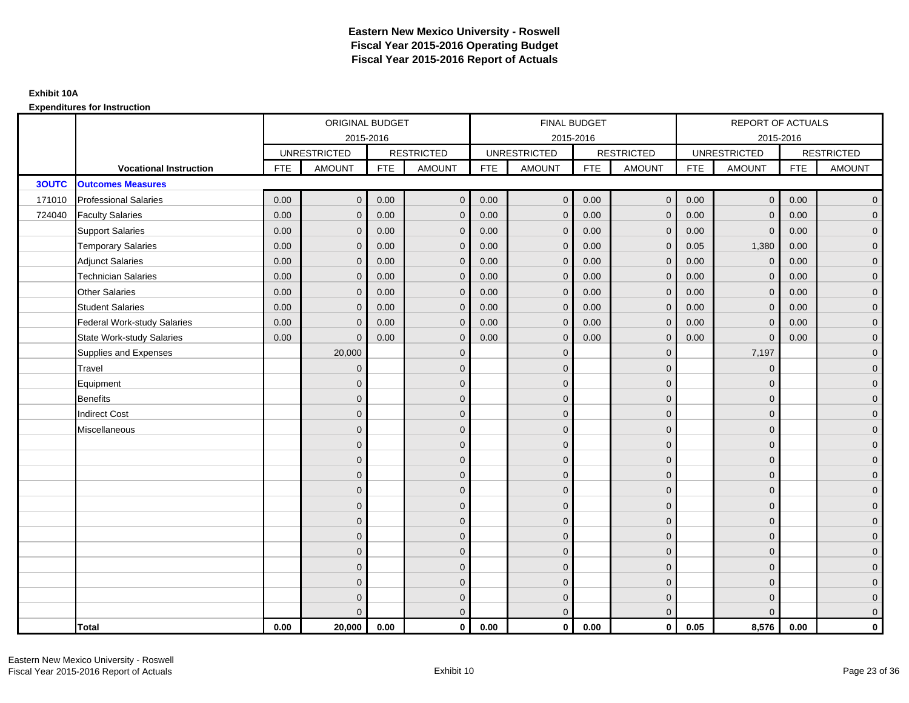|              |                               |            | ORIGINAL BUDGET     |            |                     |            | FINAL BUDGET        |            |                   |            | <b>REPORT OF ACTUALS</b> |            |                     |
|--------------|-------------------------------|------------|---------------------|------------|---------------------|------------|---------------------|------------|-------------------|------------|--------------------------|------------|---------------------|
|              |                               |            | 2015-2016           |            |                     |            | 2015-2016           |            |                   |            | 2015-2016                |            |                     |
|              |                               |            | <b>UNRESTRICTED</b> |            | <b>RESTRICTED</b>   |            | <b>UNRESTRICTED</b> |            | <b>RESTRICTED</b> |            | <b>UNRESTRICTED</b>      |            | <b>RESTRICTED</b>   |
|              | <b>Vocational Instruction</b> | <b>FTE</b> | <b>AMOUNT</b>       | <b>FTE</b> | <b>AMOUNT</b>       | <b>FTE</b> | <b>AMOUNT</b>       | <b>FTE</b> | <b>AMOUNT</b>     | <b>FTE</b> | <b>AMOUNT</b>            | <b>FTE</b> | <b>AMOUNT</b>       |
| <b>3OUTC</b> | <b>Outcomes Measures</b>      |            |                     |            |                     |            |                     |            |                   |            |                          |            |                     |
| 171010       | <b>Professional Salaries</b>  | 0.00       | $\mathbf{0}$        | 0.00       | $\overline{0}$      | 0.00       | $\overline{0}$      | 0.00       | $\overline{0}$    | 0.00       | $\overline{0}$           | 0.00       | $\overline{0}$      |
| 724040       | <b>Faculty Salaries</b>       | 0.00       | $\mathbf{0}$        | 0.00       | $\overline{0}$      | 0.00       | $\Omega$            | 0.00       | $\Omega$          | 0.00       | $\overline{0}$           | 0.00       | $\overline{0}$      |
|              | <b>Support Salaries</b>       | 0.00       | $\mathbf 0$         | 0.00       | $\mathbf 0$         | 0.00       | $\mathbf 0$         | 0.00       | $\mathbf{0}$      | 0.00       | $\overline{0}$           | 0.00       | $\overline{0}$      |
|              | <b>Temporary Salaries</b>     | 0.00       | $\mathbf{0}$        | 0.00       | $\mathbf 0$         | 0.00       | $\mathbf{0}$        | 0.00       | 0                 | 0.05       | 1,380                    | 0.00       | $\overline{0}$      |
|              | <b>Adjunct Salaries</b>       | 0.00       | $\mathbf{0}$        | 0.00       | $\overline{0}$      | 0.00       | $\Omega$            | 0.00       | $\Omega$          | 0.00       | $\mathbf{0}$             | 0.00       | $\overline{0}$      |
|              | <b>Technician Salaries</b>    | 0.00       | $\Omega$            | 0.00       | $\mathbf{0}$        | 0.00       | $\Omega$            | 0.00       | $\Omega$          | 0.00       | $\mathbf{0}$             | 0.00       | $\overline{0}$      |
|              | <b>Other Salaries</b>         | 0.00       | $\mathbf{0}$        | 0.00       | $\mathbf 0$         | 0.00       | $\mathbf{0}$        | 0.00       | $\mathbf{0}$      | 0.00       | $\mathbf 0$              | 0.00       | $\overline{0}$      |
|              | <b>Student Salaries</b>       | 0.00       | $\mathbf{0}$        | 0.00       | $\mathbf 0$         | 0.00       | $\mathbf{0}$        | 0.00       | $\mathbf{0}$      | 0.00       | $\mathbf 0$              | 0.00       | $\overline{0}$      |
|              | Federal Work-study Salaries   | 0.00       | $\Omega$            | 0.00       | $\overline{0}$      | 0.00       | $\Omega$            | 0.00       | $\mathbf 0$       | 0.00       | $\mathbf{0}$             | 0.00       | $\overline{0}$      |
|              | State Work-study Salaries     | 0.00       | $\Omega$            | 0.00       | $\overline{0}$      | 0.00       | $\Omega$            | 0.00       | $\Omega$          | 0.00       | $\mathbf{0}$             | 0.00       | $\overline{0}$      |
|              | Supplies and Expenses         |            | 20,000              |            | $\mathbf 0$         |            | $\mathbf{0}$        |            | $\mathbf{0}$      |            | 7,197                    |            | $\mathbf{0}$        |
|              | <b>Travel</b>                 |            | $\mathbf{0}$        |            | $\mathbf 0$         |            | $\mathbf{0}$        |            | $\mathbf{0}$      |            | $\mathbf 0$              |            | $\mathbf{0}$        |
|              | Equipment                     |            | $\Omega$            |            | $\mathbf 0$         |            | $\mathbf{0}$        |            | $\mathbf{0}$      |            | $\mathbf{0}$             |            | $\overline{0}$      |
|              | Benefits                      |            | $\Omega$            |            | $\mathbf 0$         |            | $\mathbf{0}$        |            | $\mathbf 0$       |            | $\mathbf 0$              |            | $\overline{0}$      |
|              | <b>Indirect Cost</b>          |            | $\Omega$            |            | $\mathbf 0$         |            | $\Omega$            |            | $\mathbf{0}$      |            | $\mathbf{0}$             |            | $\overline{0}$      |
|              | Miscellaneous                 |            | $\Omega$            |            | $\mathbf 0$         |            | $\Omega$            |            | $\mathbf{0}$      |            | $\mathbf{0}$             |            | $\mathbf{0}$        |
|              |                               |            | $\Omega$            |            | $\mathbf 0$         |            | $\Omega$            |            | $\mathbf{0}$      |            | $\Omega$                 |            | $\overline{0}$      |
|              |                               |            | $\Omega$            |            | $\mathsf{O}\xspace$ |            | $\mathbf{0}$        |            | $\mathbf 0$       |            | $\mathbf 0$              |            | $\mathsf{O}\xspace$ |
|              |                               |            | $\Omega$            |            | $\mathbf 0$         |            | $\Omega$            |            | $\mathbf 0$       |            | $\mathbf{0}$             |            | $\overline{0}$      |
|              |                               |            | $\Omega$            |            | $\mathbf 0$         |            | $\Omega$            |            | $\mathbf{0}$      |            | $\mathbf{0}$             |            | $\overline{0}$      |
|              |                               |            | $\Omega$            |            | $\mathbf{0}$        |            | $\Omega$            |            | $\Omega$          |            | $\Omega$                 |            | $\overline{0}$      |
|              |                               |            | $\mathbf{0}$        |            | $\mathsf{O}\xspace$ |            | $\mathbf{0}$        |            | $\mathbf 0$       |            | $\mathbf{0}$             |            | $\overline{0}$      |
|              |                               |            | $\Omega$            |            | $\mathbf 0$         |            | $\overline{0}$      |            | $\mathbf{0}$      |            | $\mathbf{0}$             |            | $\overline{0}$      |
|              |                               |            | $\Omega$            |            | $\mathbf 0$         |            | $\Omega$            |            | $\mathbf 0$       |            | $\mathbf{0}$             |            | $\overline{0}$      |
|              |                               |            | $\Omega$            |            | $\mathbf 0$         |            | $\Omega$            |            | $\Omega$          |            | $\Omega$                 |            | $\overline{0}$      |
|              |                               |            | $\Omega$            |            | $\mathbf 0$         |            | $\mathbf{0}$        |            | $\mathbf 0$       |            | $\mathbf{0}$             |            | $\overline{0}$      |
|              |                               |            | $\Omega$            |            | $\mathbf 0$         |            | $\mathbf{0}$        |            | $\mathbf{0}$      |            | $\mathbf{0}$             |            | $\mathbf{0}$        |
|              |                               |            | $\Omega$            |            | $\overline{0}$      |            | $\Omega$            |            | $\mathbf{0}$      |            | $\Omega$                 |            | $\overline{0}$      |
|              | <b>Total</b>                  | 0.00       | 20,000              | 0.00       | $\mathbf{0}$        | 0.00       | $\mathbf{0}$        | 0.00       | $\mathbf{0}$      | 0.05       | 8,576                    | 0.00       | $\mathbf 0$         |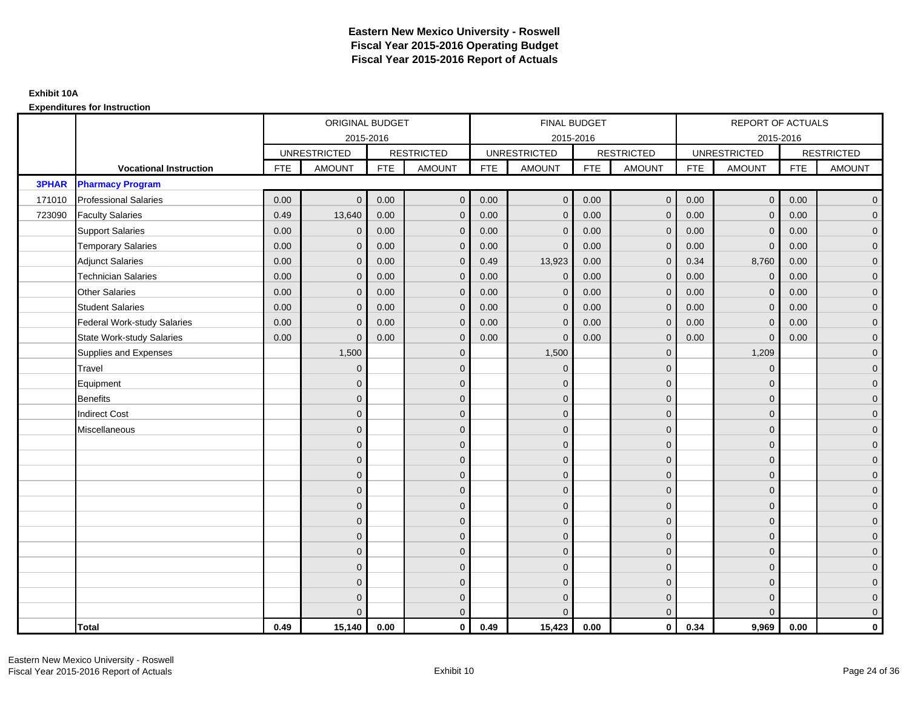|              |                                    |            | ORIGINAL BUDGET     |            |                   |            | <b>FINAL BUDGET</b> |            |                   |            | REPORT OF ACTUALS   |            |                   |
|--------------|------------------------------------|------------|---------------------|------------|-------------------|------------|---------------------|------------|-------------------|------------|---------------------|------------|-------------------|
|              |                                    |            |                     | 2015-2016  |                   |            | 2015-2016           |            |                   |            |                     | 2015-2016  |                   |
|              |                                    |            | <b>UNRESTRICTED</b> |            | <b>RESTRICTED</b> |            | <b>UNRESTRICTED</b> |            | <b>RESTRICTED</b> |            | <b>UNRESTRICTED</b> |            | <b>RESTRICTED</b> |
|              | <b>Vocational Instruction</b>      | <b>FTE</b> | <b>AMOUNT</b>       | <b>FTE</b> | <b>AMOUNT</b>     | <b>FTE</b> | <b>AMOUNT</b>       | <b>FTE</b> | <b>AMOUNT</b>     | <b>FTE</b> | <b>AMOUNT</b>       | <b>FTE</b> | <b>AMOUNT</b>     |
| <b>3PHAR</b> | <b>Pharmacy Program</b>            |            |                     |            |                   |            |                     |            |                   |            |                     |            |                   |
| 171010       | <b>Professional Salaries</b>       | 0.00       | $\Omega$            | 0.00       | $\mathbf{0}$      | 0.00       | $\Omega$            | 0.00       | $\mathbf{0}$      | 0.00       | $\overline{0}$      | 0.00       | $\overline{0}$    |
| 723090       | <b>Faculty Salaries</b>            | 0.49       | 13,640              | 0.00       | $\mathbf 0$       | 0.00       | $\mathbf{0}$        | 0.00       | $\mathbf{0}$      | 0.00       | $\mathbf 0$         | 0.00       | $\overline{0}$    |
|              | <b>Support Salaries</b>            | 0.00       | $\mathbf{0}$        | 0.00       | $\mathbf 0$       | 0.00       | $\Omega$            | 0.00       | $\mathbf 0$       | 0.00       | $\mathbf 0$         | 0.00       | $\overline{0}$    |
|              | <b>Temporary Salaries</b>          | 0.00       | $\mathbf{0}$        | 0.00       | $\overline{0}$    | 0.00       | $\Omega$            | 0.00       | $\Omega$          | 0.00       | $\mathbf{0}$        | 0.00       | $\overline{0}$    |
|              | <b>Adjunct Salaries</b>            | 0.00       | $\Omega$            | 0.00       | $\overline{0}$    | 0.49       | 13,923              | 0.00       | $\Omega$          | 0.34       | 8,760               | 0.00       | $\overline{0}$    |
|              | <b>Technician Salaries</b>         | 0.00       | $\mathbf{0}$        | 0.00       | $\mathbf{0}$      | 0.00       | $\mathbf 0$         | 0.00       | $\mathbf 0$       | 0.00       | $\mathbf 0$         | 0.00       | $\mathbf{0}$      |
|              | <b>Other Salaries</b>              | 0.00       | $\mathbf 0$         | 0.00       | $\mathbf 0$       | 0.00       | $\Omega$            | 0.00       | $\mathbf{0}$      | 0.00       | $\overline{0}$      | 0.00       | $\overline{0}$    |
|              | <b>Student Salaries</b>            | 0.00       | $\mathbf 0$         | 0.00       | $\mathbf 0$       | 0.00       | $\mathbf{0}$        | 0.00       | $\mathbf 0$       | 0.00       | $\mathbf 0$         | 0.00       | $\overline{0}$    |
|              | <b>Federal Work-study Salaries</b> | 0.00       | $\mathbf 0$         | 0.00       | $\mathbf 0$       | 0.00       | $\mathbf{0}$        | 0.00       | $\Omega$          | 0.00       | $\mathbf 0$         | 0.00       | $\overline{0}$    |
|              | <b>State Work-study Salaries</b>   | 0.00       | $\mathbf{0}$        | 0.00       | $\overline{0}$    | 0.00       | $\mathbf{0}$        | 0.00       | $\mathbf{0}$      | 0.00       | $\mathbf{0}$        | 0.00       | $\overline{0}$    |
|              | Supplies and Expenses              |            | 1,500               |            | $\overline{0}$    |            | 1,500               |            | $\mathbf{0}$      |            | 1,209               |            | $\mathbf{0}$      |
|              | <b>Travel</b>                      |            | $\Omega$            |            | $\mathbf 0$       |            | $\Omega$            |            | $\mathbf{0}$      |            | $\mathbf{0}$        |            | $\overline{0}$    |
|              | Equipment                          |            | $\mathbf{0}$        |            | $\mathbf 0$       |            | $\Omega$            |            | $\mathbf 0$       |            | $\mathbf{0}$        |            | $\overline{0}$    |
|              | <b>Benefits</b>                    |            | $\mathbf 0$         |            | $\mathbf 0$       |            | $\Omega$            |            | $\mathbf 0$       |            | $\mathbf{0}$        |            | $\overline{0}$    |
|              | <b>Indirect Cost</b>               |            | $\Omega$            |            | $\overline{0}$    |            | $\Omega$            |            | $\Omega$          |            | $\Omega$            |            | $\overline{0}$    |
|              | Miscellaneous                      |            | $\mathbf{0}$        |            | $\mathbf 0$       |            | $\mathbf{0}$        |            | $\mathbf 0$       |            | $\mathbf{0}$        |            | $\mathbf{0}$      |
|              |                                    |            | $\mathbf{0}$        |            | $\mathbf 0$       |            | $\Omega$            |            | $\mathbf{0}$      |            | $\mathbf{0}$        |            | $\overline{0}$    |
|              |                                    |            | $\mathbf 0$         |            | $\mathbf 0$       |            | $\Omega$            |            | $\mathbf{0}$      |            | $\mathbf{0}$        |            | $\overline{0}$    |
|              |                                    |            | $\mathbf 0$         |            | $\mathbf 0$       |            | $\Omega$            |            | $\mathbf 0$       |            | $\mathbf{0}$        |            | $\overline{0}$    |
|              |                                    |            | $\Omega$            |            | $\mathbf 0$       |            | $\Omega$            |            | $\mathbf{0}$      |            | $\mathbf{0}$        |            | $\mathbf{0}$      |
|              |                                    |            | $\Omega$            |            | $\mathbf 0$       |            | $\Omega$            |            | $\mathbf 0$       |            | $\Omega$            |            | $\mathbf{0}$      |
|              |                                    |            | $\Omega$            |            | $\mathbf 0$       |            | $\Omega$            |            | $\mathbf{0}$      |            | $\Omega$            |            | $\overline{0}$    |
|              |                                    |            | $\mathbf{0}$        |            | $\mathbf 0$       |            | $\Omega$            |            | $\mathbf 0$       |            | $\mathbf 0$         |            | $\overline{0}$    |
|              |                                    |            | $\mathbf{0}$        |            | $\mathbf 0$       |            | $\Omega$            |            | $\mathbf 0$       |            | $\mathbf{0}$        |            | $\overline{0}$    |
|              |                                    |            | $\Omega$            |            | $\mathbf 0$       |            | $\Omega$            |            | $\mathbf{0}$      |            | $\Omega$            |            | $\overline{0}$    |
|              |                                    |            | $\mathbf{0}$        |            | $\mathbf 0$       |            | $\Omega$            |            | $\mathbf 0$       |            | $\mathbf{0}$        |            | $\mathbf{0}$      |
|              |                                    |            | $\mathbf{0}$        |            | $\mathbf 0$       |            | $\Omega$            |            | $\mathbf 0$       |            | $\mathbf{0}$        |            | $\mathbf{0}$      |
|              |                                    |            | $\Omega$            |            | $\overline{0}$    |            |                     |            | $\mathbf{0}$      |            | $\Omega$            |            | $\overline{0}$    |
|              | <b>Total</b>                       | 0.49       | 15,140              | 0.00       | $\mathbf{0}$      | 0.49       | 15,423              | 0.00       | $\mathbf{0}$      | 0.34       | 9,969               | 0.00       | $\mathbf 0$       |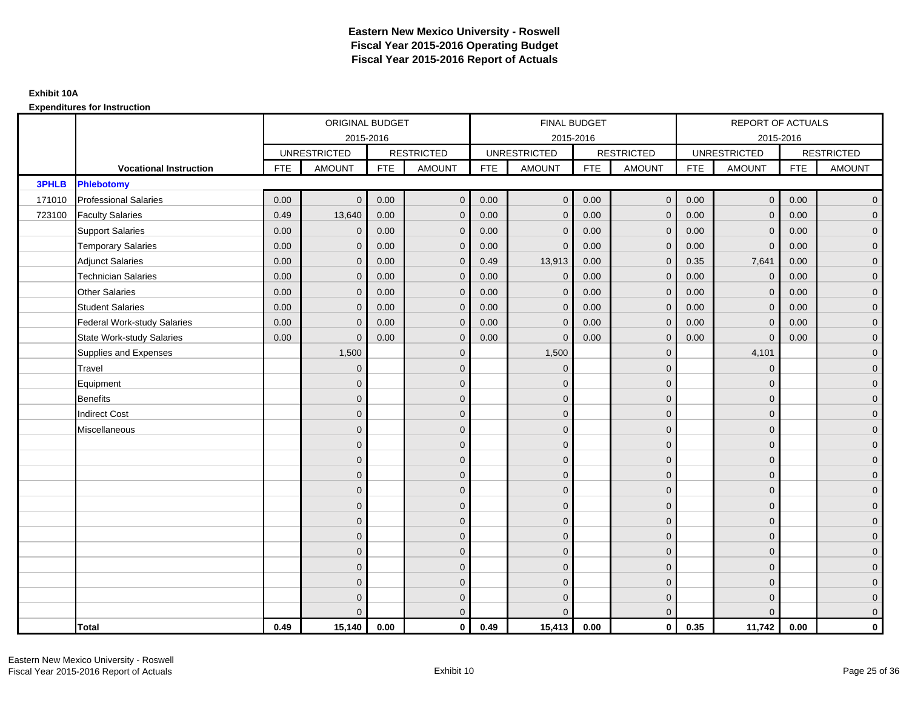|              |                                    |            | ORIGINAL BUDGET     |            |                   |            | <b>FINAL BUDGET</b> |            |                   |            | REPORT OF ACTUALS   |            |                   |
|--------------|------------------------------------|------------|---------------------|------------|-------------------|------------|---------------------|------------|-------------------|------------|---------------------|------------|-------------------|
|              |                                    |            | 2015-2016           |            |                   |            | 2015-2016           |            |                   |            | 2015-2016           |            |                   |
|              |                                    |            | <b>UNRESTRICTED</b> |            | <b>RESTRICTED</b> |            | <b>UNRESTRICTED</b> |            | <b>RESTRICTED</b> |            | <b>UNRESTRICTED</b> |            | <b>RESTRICTED</b> |
|              | <b>Vocational Instruction</b>      | <b>FTE</b> | <b>AMOUNT</b>       | <b>FTE</b> | <b>AMOUNT</b>     | <b>FTE</b> | <b>AMOUNT</b>       | <b>FTE</b> | <b>AMOUNT</b>     | <b>FTE</b> | <b>AMOUNT</b>       | <b>FTE</b> | <b>AMOUNT</b>     |
| <b>3PHLB</b> | <b>Phlebotomy</b>                  |            |                     |            |                   |            |                     |            |                   |            |                     |            |                   |
| 171010       | <b>Professional Salaries</b>       | 0.00       | $\Omega$            | 0.00       | $\overline{0}$    | 0.00       | $\overline{0}$      | 0.00       | $\overline{0}$    | 0.00       | $\overline{0}$      | 0.00       | $\overline{0}$    |
| 723100       | <b>Faculty Salaries</b>            | 0.49       | 13,640              | 0.00       | $\mathbf 0$       | 0.00       | $\mathbf{0}$        | 0.00       | $\mathbf{0}$      | 0.00       | $\mathbf 0$         | 0.00       | $\overline{0}$    |
|              | <b>Support Salaries</b>            | 0.00       | $\mathbf 0$         | 0.00       | $\mathbf 0$       | 0.00       | $\mathbf{0}$        | 0.00       | $\mathbf 0$       | 0.00       | $\mathbf 0$         | 0.00       | $\overline{0}$    |
|              | <b>Temporary Salaries</b>          | 0.00       | $\mathbf{0}$        | 0.00       | $\overline{0}$    | 0.00       | $\Omega$            | 0.00       | $\Omega$          | 0.00       | $\mathbf{0}$        | 0.00       | $\overline{0}$    |
|              | <b>Adjunct Salaries</b>            | 0.00       | $\Omega$            | 0.00       | $\overline{0}$    | 0.49       | 13,913              | 0.00       | $\Omega$          | 0.35       | 7,641               | 0.00       | $\overline{0}$    |
|              | <b>Technician Salaries</b>         | 0.00       | $\mathbf{0}$        | 0.00       | $\mathbf{0}$      | 0.00       | $\mathbf{0}$        | 0.00       | $\mathbf{0}$      | 0.00       | $\mathbf 0$         | 0.00       | $\mathbf{0}$      |
|              | <b>Other Salaries</b>              | 0.00       | $\mathbf{0}$        | 0.00       | $\overline{0}$    | 0.00       | $\mathbf{0}$        | 0.00       | $\mathbf{0}$      | 0.00       | $\mathbf 0$         | 0.00       | $\overline{0}$    |
|              | <b>Student Salaries</b>            | 0.00       | $\mathbf{0}$        | 0.00       | $\mathbf 0$       | 0.00       | $\mathbf{0}$        | 0.00       | $\mathbf{0}$      | 0.00       | $\mathbf 0$         | 0.00       | $\overline{0}$    |
|              | <b>Federal Work-study Salaries</b> | 0.00       | $\mathbf{0}$        | 0.00       | $\mathbf 0$       | 0.00       | $\mathbf{0}$        | 0.00       | $\Omega$          | 0.00       | $\mathbf 0$         | 0.00       | $\overline{0}$    |
|              | State Work-study Salaries          | 0.00       | $\mathbf{0}$        | 0.00       | $\overline{0}$    | 0.00       | $\mathbf{0}$        | 0.00       | $\mathbf{0}$      | 0.00       | $\mathbf{0}$        | 0.00       | $\overline{0}$    |
|              | Supplies and Expenses              |            | 1,500               |            | $\overline{0}$    |            | 1,500               |            | $\mathbf{0}$      |            | 4,101               |            | $\mathbf{0}$      |
|              | <b>Travel</b>                      |            | $\Omega$            |            | $\mathbf 0$       |            | $\mathbf{0}$        |            | $\mathbf{0}$      |            | $\mathbf{0}$        |            | $\overline{0}$    |
|              | Equipment                          |            | $\Omega$            |            | $\mathbf 0$       |            | $\mathbf{0}$        |            | $\mathbf 0$       |            | $\mathbf{0}$        |            | $\overline{0}$    |
|              | <b>Benefits</b>                    |            | $\mathbf{0}$        |            | $\mathbf 0$       |            | $\Omega$            |            | $\mathbf 0$       |            | $\mathbf{0}$        |            | $\overline{0}$    |
|              | <b>Indirect Cost</b>               |            | $\Omega$            |            | $\overline{0}$    |            | $\Omega$            |            | $\Omega$          |            | $\Omega$            |            | $\overline{0}$    |
|              | Miscellaneous                      |            | $\Omega$            |            | $\mathbf 0$       |            | $\mathbf{0}$        |            | $\Omega$          |            | $\mathbf{0}$        |            | $\mathbf{0}$      |
|              |                                    |            | $\Omega$            |            | $\mathbf 0$       |            | $\mathbf{0}$        |            | $\mathbf{0}$      |            | $\mathbf{0}$        |            | $\overline{0}$    |
|              |                                    |            | $\Omega$            |            | $\mathbf 0$       |            | $\mathbf{0}$        |            | $\mathbf{0}$      |            | $\mathbf{0}$        |            | $\overline{0}$    |
|              |                                    |            | $\Omega$            |            | $\mathbf 0$       |            | $\mathbf{0}$        |            | $\mathbf 0$       |            | $\mathbf{0}$        |            | $\overline{0}$    |
|              |                                    |            | $\Omega$            |            | $\mathbf 0$       |            | $\Omega$            |            | $\mathbf{0}$      |            | $\mathbf{0}$        |            | $\mathbf{0}$      |
|              |                                    |            | $\Omega$            |            | $\mathbf 0$       |            | $\Omega$            |            | $\overline{0}$    |            | $\Omega$            |            | $\mathbf{0}$      |
|              |                                    |            | $\Omega$            |            | $\mathbf 0$       |            | $\Omega$            |            | $\mathbf{0}$      |            | $\Omega$            |            | $\overline{0}$    |
|              |                                    |            | $\Omega$            |            | $\mathbf 0$       |            | $\mathbf{0}$        |            | $\mathbf 0$       |            | $\mathbf{0}$        |            | $\overline{0}$    |
|              |                                    |            | $\mathbf{0}$        |            | $\mathbf 0$       |            | $\Omega$            |            | $\mathbf 0$       |            | $\mathbf{0}$        |            | $\overline{0}$    |
|              |                                    |            | $\Omega$            |            | $\mathbf 0$       |            | $\Omega$            |            | $\mathbf{0}$      |            | $\Omega$            |            | $\overline{0}$    |
|              |                                    |            | $\Omega$            |            | $\mathbf 0$       |            | $\mathbf{0}$        |            | $\mathbf 0$       |            | $\mathbf{0}$        |            | $\mathbf{0}$      |
|              |                                    |            | $\Omega$            |            | $\mathbf 0$       |            | $\Omega$            |            | $\mathbf{0}$      |            | $\mathbf{0}$        |            | $\mathbf{0}$      |
|              |                                    |            | $\Omega$            |            | $\overline{0}$    |            | $\Omega$            |            | $\mathbf{0}$      |            | $\Omega$            |            | $\overline{0}$    |
|              | <b>Total</b>                       | 0.49       | 15,140              | 0.00       | $\mathbf{0}$      | 0.49       | 15,413              | 0.00       | $\mathbf{0}$      | 0.35       | 11,742              | 0.00       | $\mathbf 0$       |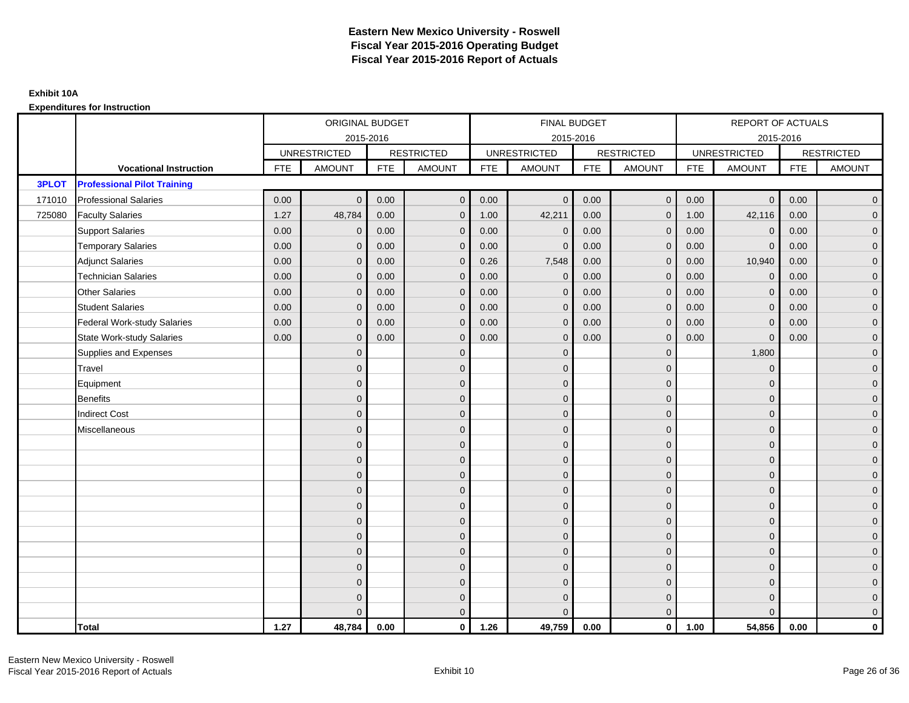|              |                                    |            | ORIGINAL BUDGET     |            |                   |            | <b>FINAL BUDGET</b> |            |                   |            | REPORT OF ACTUALS   |            |                   |
|--------------|------------------------------------|------------|---------------------|------------|-------------------|------------|---------------------|------------|-------------------|------------|---------------------|------------|-------------------|
|              |                                    |            | 2015-2016           |            |                   |            | 2015-2016           |            |                   |            | 2015-2016           |            |                   |
|              |                                    |            | <b>UNRESTRICTED</b> |            | <b>RESTRICTED</b> |            | <b>UNRESTRICTED</b> |            | <b>RESTRICTED</b> |            | <b>UNRESTRICTED</b> |            | <b>RESTRICTED</b> |
|              | <b>Vocational Instruction</b>      | <b>FTE</b> | <b>AMOUNT</b>       | <b>FTE</b> | <b>AMOUNT</b>     | <b>FTE</b> | <b>AMOUNT</b>       | <b>FTE</b> | <b>AMOUNT</b>     | <b>FTE</b> | <b>AMOUNT</b>       | <b>FTE</b> | <b>AMOUNT</b>     |
| <b>3PLOT</b> | <b>Professional Pilot Training</b> |            |                     |            |                   |            |                     |            |                   |            |                     |            |                   |
| 171010       | <b>Professional Salaries</b>       | 0.00       | $\Omega$            | 0.00       | $\overline{0}$    | 0.00       | $\mathbf{0}$        | 0.00       | $\mathbf{0}$      | 0.00       | $\overline{0}$      | 0.00       | $\overline{0}$    |
| 725080       | <b>Faculty Salaries</b>            | 1.27       | 48,784              | 0.00       | $\mathbf 0$       | 1.00       | 42,211              | 0.00       | $\mathbf{0}$      | 1.00       | 42,116              | 0.00       | $\overline{0}$    |
|              | <b>Support Salaries</b>            | 0.00       | $\mathbf 0$         | 0.00       | $\mathbf 0$       | 0.00       | $\mathbf 0$         | 0.00       | $\mathbf{0}$      | 0.00       | $\mathbf 0$         | 0.00       | $\overline{0}$    |
|              | <b>Temporary Salaries</b>          | 0.00       | $\mathbf{0}$        | 0.00       | $\overline{0}$    | 0.00       | $\Omega$            | 0.00       | $\Omega$          | 0.00       | $\mathbf{0}$        | 0.00       | $\overline{0}$    |
|              | <b>Adjunct Salaries</b>            | 0.00       | $\Omega$            | 0.00       | $\overline{0}$    | 0.26       | 7,548               | 0.00       | $\Omega$          | 0.00       | 10,940              | 0.00       | $\overline{0}$    |
|              | <b>Technician Salaries</b>         | 0.00       | $\Omega$            | 0.00       | $\mathbf{0}$      | 0.00       | $\mathbf{0}$        | 0.00       | $\mathbf 0$       | 0.00       | $\mathbf 0$         | 0.00       | $\mathbf{0}$      |
|              | <b>Other Salaries</b>              | 0.00       | $\mathbf{0}$        | 0.00       | $\overline{0}$    | 0.00       | $\mathbf{0}$        | 0.00       | $\mathbf{0}$      | 0.00       | $\mathbf 0$         | 0.00       | $\overline{0}$    |
|              | <b>Student Salaries</b>            | 0.00       | $\Omega$            | 0.00       | $\mathbf 0$       | 0.00       | $\mathbf{0}$        | 0.00       | $\mathbf{0}$      | 0.00       | $\mathbf 0$         | 0.00       | $\overline{0}$    |
|              | <b>Federal Work-study Salaries</b> | 0.00       | $\mathbf 0$         | 0.00       | $\mathbf 0$       | 0.00       | $\mathbf{0}$        | 0.00       | $\Omega$          | 0.00       | $\mathbf 0$         | 0.00       | $\overline{0}$    |
|              | <b>State Work-study Salaries</b>   | 0.00       | $\mathbf{0}$        | 0.00       | $\overline{0}$    | 0.00       | $\mathbf{0}$        | 0.00       | $\mathbf 0$       | 0.00       | $\mathbf{0}$        | 0.00       | $\overline{0}$    |
|              | Supplies and Expenses              |            | $\Omega$            |            | $\mathbf{0}$      |            | $\Omega$            |            | $\mathbf 0$       |            | 1,800               |            | $\mathbf{0}$      |
|              | Travel                             |            | $\Omega$            |            | $\mathbf 0$       |            | $\Omega$            |            | $\Omega$          |            | $\mathbf{0}$        |            | $\overline{0}$    |
|              | Equipment                          |            | $\Omega$            |            | $\mathbf 0$       |            | $\mathbf{0}$        |            | $\mathbf 0$       |            | $\mathbf{0}$        |            | $\overline{0}$    |
|              | <b>Benefits</b>                    |            | $\mathbf{0}$        |            | $\mathbf 0$       |            | $\Omega$            |            | $\mathbf 0$       |            | $\mathbf{0}$        |            | $\overline{0}$    |
|              | <b>Indirect Cost</b>               |            | $\Omega$            |            | $\overline{0}$    |            | $\Omega$            |            | $\Omega$          |            | $\Omega$            |            | $\overline{0}$    |
|              | Miscellaneous                      |            | $\Omega$            |            | $\mathbf 0$       |            | $\mathbf{0}$        |            | $\Omega$          |            | $\mathbf{0}$        |            | $\mathbf{0}$      |
|              |                                    |            | $\Omega$            |            | $\mathbf 0$       |            | $\mathbf{0}$        |            | $\mathbf{0}$      |            | $\mathbf{0}$        |            | $\overline{0}$    |
|              |                                    |            | $\Omega$            |            | $\mathbf 0$       |            | $\Omega$            |            | $\mathbf{0}$      |            | $\mathbf{0}$        |            | $\overline{0}$    |
|              |                                    |            | $\Omega$            |            | $\mathbf 0$       |            | $\mathbf{0}$        |            | $\mathbf 0$       |            | $\mathbf{0}$        |            | $\overline{0}$    |
|              |                                    |            | $\Omega$            |            | $\mathbf 0$       |            | $\Omega$            |            | $\mathbf{0}$      |            | $\mathbf{0}$        |            | $\mathbf{0}$      |
|              |                                    |            | $\Omega$            |            | $\mathbf 0$       |            | $\Omega$            |            | $\mathbf 0$       |            | $\Omega$            |            | $\mathbf{0}$      |
|              |                                    |            | $\Omega$            |            | $\mathbf 0$       |            | $\Omega$            |            | $\mathbf{0}$      |            | $\Omega$            |            | $\overline{0}$    |
|              |                                    |            | $\Omega$            |            | $\mathbf 0$       |            | $\mathbf{0}$        |            | $\mathbf{0}$      |            | $\mathbf{0}$        |            | $\overline{0}$    |
|              |                                    |            | $\Omega$            |            | $\mathbf 0$       |            | $\Omega$            |            | $\mathbf 0$       |            | $\mathbf{0}$        |            | $\overline{0}$    |
|              |                                    |            | $\Omega$            |            | $\overline{0}$    |            | $\Omega$            |            | $\Omega$          |            | $\Omega$            |            | $\overline{0}$    |
|              |                                    |            | $\Omega$            |            | $\mathbf 0$       |            | $\mathbf{0}$        |            | $\mathbf{0}$      |            | $\mathbf{0}$        |            | $\mathbf{0}$      |
|              |                                    |            | $\Omega$            |            | $\mathbf 0$       |            | $\Omega$            |            | $\mathbf{0}$      |            | $\mathbf{0}$        |            | $\mathbf{0}$      |
|              |                                    |            |                     |            | $\mathbf{0}$      |            | $\Omega$            |            | $\mathbf{0}$      |            | $\Omega$            |            | $\overline{0}$    |
|              | <b>Total</b>                       | 1.27       | 48,784              | 0.00       | $\mathbf{0}$      | 1.26       | 49,759              | 0.00       | $\mathbf{0}$      | 1.00       | 54,856              | 0.00       | $\mathbf 0$       |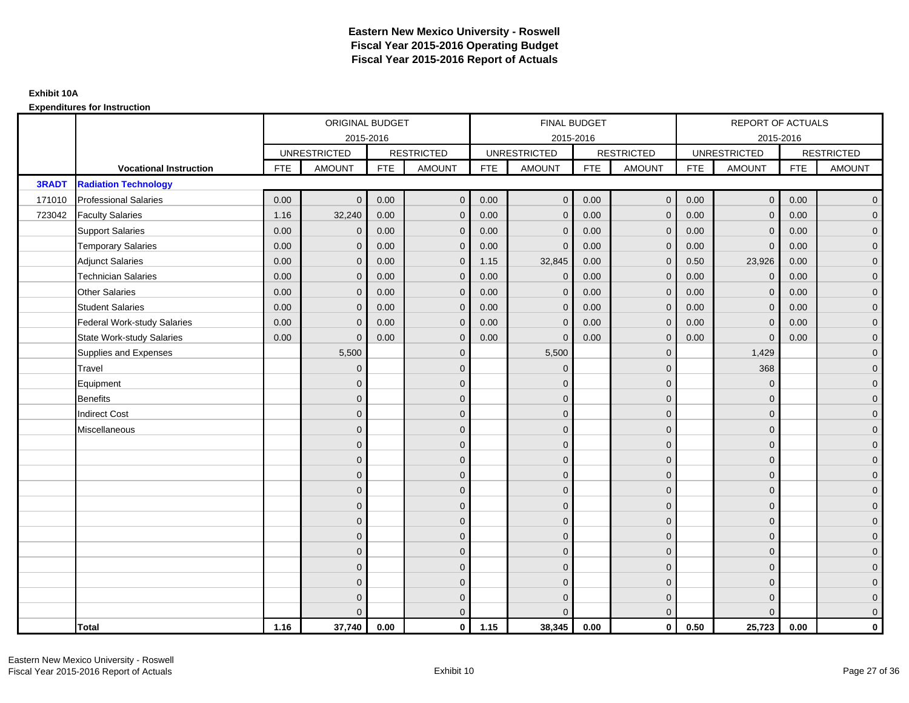|              |                                    |            | ORIGINAL BUDGET     |            |                   |            | <b>FINAL BUDGET</b> |            |                   |            | REPORT OF ACTUALS   |            |                   |
|--------------|------------------------------------|------------|---------------------|------------|-------------------|------------|---------------------|------------|-------------------|------------|---------------------|------------|-------------------|
|              |                                    |            |                     | 2015-2016  |                   |            | 2015-2016           |            |                   |            |                     | 2015-2016  |                   |
|              |                                    |            | <b>UNRESTRICTED</b> |            | <b>RESTRICTED</b> |            | <b>UNRESTRICTED</b> |            | <b>RESTRICTED</b> |            | <b>UNRESTRICTED</b> |            | <b>RESTRICTED</b> |
|              | <b>Vocational Instruction</b>      | <b>FTE</b> | <b>AMOUNT</b>       | <b>FTE</b> | <b>AMOUNT</b>     | <b>FTE</b> | <b>AMOUNT</b>       | <b>FTE</b> | <b>AMOUNT</b>     | <b>FTE</b> | <b>AMOUNT</b>       | <b>FTE</b> | <b>AMOUNT</b>     |
| <b>3RADT</b> | <b>Radiation Technology</b>        |            |                     |            |                   |            |                     |            |                   |            |                     |            |                   |
| 171010       | <b>Professional Salaries</b>       | 0.00       | $\Omega$            | 0.00       | $\mathbf{0}$      | 0.00       | $\Omega$            | 0.00       | $\mathbf{0}$      | 0.00       | $\overline{0}$      | 0.00       | $\overline{0}$    |
| 723042       | <b>Faculty Salaries</b>            | 1.16       | 32,240              | 0.00       | $\mathbf 0$       | 0.00       | $\mathbf{0}$        | 0.00       | $\mathbf{0}$      | 0.00       | $\mathbf 0$         | 0.00       | $\overline{0}$    |
|              | <b>Support Salaries</b>            | 0.00       | $\mathbf{0}$        | 0.00       | $\mathbf 0$       | 0.00       | $\Omega$            | 0.00       | $\mathbf 0$       | 0.00       | $\mathbf 0$         | 0.00       | $\overline{0}$    |
|              | <b>Temporary Salaries</b>          | 0.00       | $\mathbf{0}$        | 0.00       | $\overline{0}$    | 0.00       | $\Omega$            | 0.00       | $\Omega$          | 0.00       | $\overline{0}$      | 0.00       | $\overline{0}$    |
|              | <b>Adjunct Salaries</b>            | 0.00       | $\Omega$            | 0.00       | $\overline{0}$    | 1.15       | 32,845              | 0.00       | $\Omega$          | 0.50       | 23,926              | 0.00       | $\overline{0}$    |
|              | <b>Technician Salaries</b>         | 0.00       | $\mathbf{0}$        | 0.00       | $\mathbf{0}$      | 0.00       | $\Omega$            | 0.00       | $\mathbf 0$       | 0.00       | $\mathbf 0$         | 0.00       | $\mathbf{0}$      |
|              | <b>Other Salaries</b>              | 0.00       | $\mathbf{0}$        | 0.00       | $\mathbf 0$       | 0.00       | $\Omega$            | 0.00       | $\mathbf{0}$      | 0.00       | $\overline{0}$      | 0.00       | $\overline{0}$    |
|              | <b>Student Salaries</b>            | 0.00       | $\mathbf{0}$        | 0.00       | $\mathbf 0$       | 0.00       | $\mathbf{0}$        | 0.00       | $\mathbf{0}$      | 0.00       | $\mathbf 0$         | 0.00       | $\overline{0}$    |
|              | <b>Federal Work-study Salaries</b> | 0.00       | $\mathbf{0}$        | 0.00       | $\mathbf 0$       | 0.00       | $\mathbf{0}$        | 0.00       | $\Omega$          | 0.00       | $\mathbf 0$         | 0.00       | $\overline{0}$    |
|              | <b>State Work-study Salaries</b>   | 0.00       | $\mathbf{0}$        | 0.00       | $\overline{0}$    | 0.00       | $\mathbf{0}$        | 0.00       | $\mathbf{0}$      | 0.00       | $\mathbf{0}$        | 0.00       | $\overline{0}$    |
|              | Supplies and Expenses              |            | 5,500               |            | $\overline{0}$    |            | 5,500               |            | $\overline{0}$    |            | 1,429               |            | $\mathbf{0}$      |
|              | <b>Travel</b>                      |            | $\Omega$            |            | $\mathbf 0$       |            | $\Omega$            |            | $\mathbf{0}$      |            | 368                 |            | $\overline{0}$    |
|              | Equipment                          |            | $\mathbf{0}$        |            | $\mathbf 0$       |            | $\Omega$            |            | $\mathbf 0$       |            | $\mathbf 0$         |            | $\overline{0}$    |
|              | <b>Benefits</b>                    |            | $\mathbf{0}$        |            | $\mathbf 0$       |            | $\Omega$            |            | $\mathbf{0}$      |            | $\mathbf{0}$        |            | $\overline{0}$    |
|              | <b>Indirect Cost</b>               |            | $\Omega$            |            | $\overline{0}$    |            | $\Omega$            |            | $\Omega$          |            | $\Omega$            |            | $\overline{0}$    |
|              | Miscellaneous                      |            | $\mathbf{0}$        |            | $\mathbf 0$       |            | $\Omega$            |            | $\mathbf 0$       |            | $\mathbf{0}$        |            | $\mathbf{0}$      |
|              |                                    |            | $\mathbf{0}$        |            | $\mathbf 0$       |            | $\Omega$            |            | $\mathbf{0}$      |            | $\mathbf{0}$        |            | $\overline{0}$    |
|              |                                    |            | $\Omega$            |            | $\mathbf 0$       |            | $\Omega$            |            | $\mathbf{0}$      |            | $\mathbf{0}$        |            | $\overline{0}$    |
|              |                                    |            | $\mathbf{0}$        |            | $\mathbf 0$       |            | $\Omega$            |            | $\mathbf 0$       |            | $\mathbf{0}$        |            | $\overline{0}$    |
|              |                                    |            | $\Omega$            |            | $\mathbf 0$       |            | $\Omega$            |            | $\mathbf{0}$      |            | $\mathbf{0}$        |            | $\mathbf{0}$      |
|              |                                    |            | $\Omega$            |            | $\mathbf 0$       |            | $\Omega$            |            | $\mathbf{0}$      |            | $\Omega$            |            | $\mathbf{0}$      |
|              |                                    |            | $\Omega$            |            | $\mathbf 0$       |            | $\Omega$            |            | $\mathbf{0}$      |            | $\Omega$            |            | $\overline{0}$    |
|              |                                    |            | $\mathbf{0}$        |            | $\mathbf 0$       |            | $\Omega$            |            | $\mathbf 0$       |            | $\mathbf{0}$        |            | $\overline{0}$    |
|              |                                    |            | $\mathbf{0}$        |            | $\mathbf 0$       |            | $\Omega$            |            | $\mathbf{0}$      |            | $\mathbf{0}$        |            | $\overline{0}$    |
|              |                                    |            | $\Omega$            |            | $\mathbf 0$       |            | $\Omega$            |            | $\mathbf{0}$      |            | $\Omega$            |            | $\overline{0}$    |
|              |                                    |            | $\mathbf{0}$        |            | $\mathbf 0$       |            | $\Omega$            |            | $\mathbf 0$       |            | $\mathbf{0}$        |            | $\mathbf{0}$      |
|              |                                    |            | $\mathbf{0}$        |            | $\mathbf 0$       |            | $\Omega$            |            | $\mathbf 0$       |            | $\mathbf{0}$        |            | $\mathbf{0}$      |
|              |                                    |            | $\Omega$            |            | $\overline{0}$    |            |                     |            | $\mathbf{0}$      |            | $\Omega$            |            | $\overline{0}$    |
|              | <b>Total</b>                       | 1.16       | 37,740              | 0.00       | $\mathbf{0}$      | 1.15       | 38,345              | 0.00       | $\mathbf{0}$      | 0.50       | 25,723              | 0.00       | $\mathbf 0$       |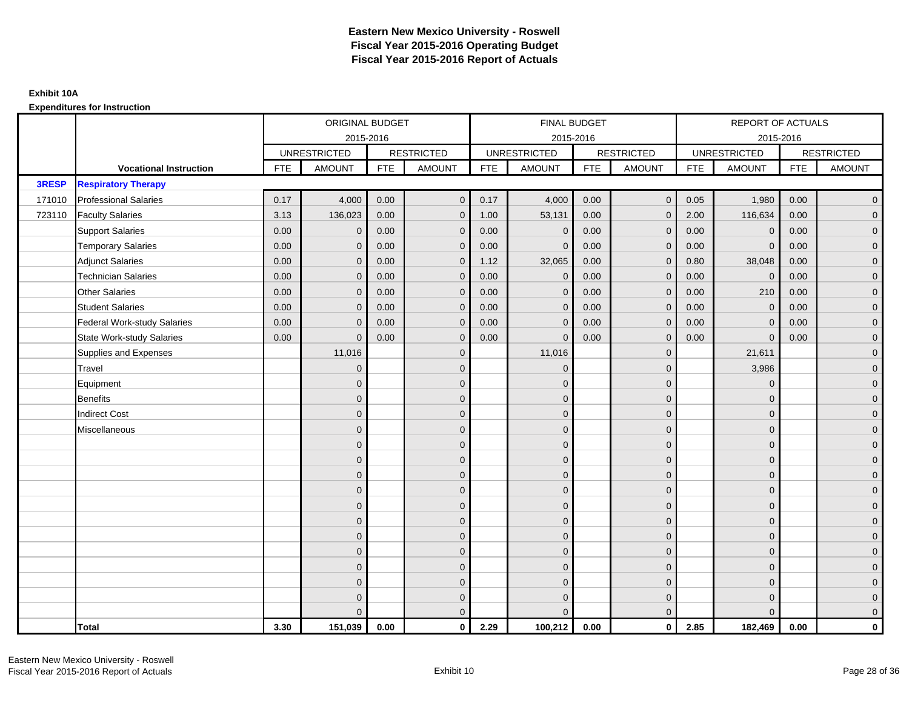|        |                                    |            | ORIGINAL BUDGET     |            |                   |            | <b>FINAL BUDGET</b> |            |                   |            | REPORT OF ACTUALS   |            |                   |
|--------|------------------------------------|------------|---------------------|------------|-------------------|------------|---------------------|------------|-------------------|------------|---------------------|------------|-------------------|
|        |                                    |            | 2015-2016           |            |                   |            | 2015-2016           |            |                   |            | 2015-2016           |            |                   |
|        |                                    |            | <b>UNRESTRICTED</b> |            | <b>RESTRICTED</b> |            | <b>UNRESTRICTED</b> |            | <b>RESTRICTED</b> |            | <b>UNRESTRICTED</b> |            | <b>RESTRICTED</b> |
|        | <b>Vocational Instruction</b>      | <b>FTE</b> | <b>AMOUNT</b>       | <b>FTE</b> | <b>AMOUNT</b>     | <b>FTE</b> | <b>AMOUNT</b>       | <b>FTE</b> | <b>AMOUNT</b>     | <b>FTE</b> | <b>AMOUNT</b>       | <b>FTE</b> | <b>AMOUNT</b>     |
| 3RESP  | <b>Respiratory Therapy</b>         |            |                     |            |                   |            |                     |            |                   |            |                     |            |                   |
| 171010 | <b>Professional Salaries</b>       | 0.17       | 4,000               | 0.00       | $\mathbf{0}$      | 0.17       | 4,000               | 0.00       | $\mathbf{0}$      | 0.05       | 1,980               | 0.00       | $\overline{0}$    |
| 723110 | <b>Faculty Salaries</b>            | 3.13       | 136,023             | 0.00       | $\mathbf 0$       | 1.00       | 53,131              | 0.00       | $\mathbf{0}$      | 2.00       | 116,634             | 0.00       | $\overline{0}$    |
|        | <b>Support Salaries</b>            | 0.00       | $\mathbf 0$         | 0.00       | $\mathbf 0$       | 0.00       | $\mathbf 0$         | 0.00       | $\mathbf 0$       | 0.00       | $\mathbf 0$         | 0.00       | $\overline{0}$    |
|        | <b>Temporary Salaries</b>          | 0.00       | $\mathbf{0}$        | 0.00       | $\overline{0}$    | 0.00       | $\Omega$            | 0.00       | $\Omega$          | 0.00       | $\mathbf{0}$        | 0.00       | $\overline{0}$    |
|        | <b>Adjunct Salaries</b>            | 0.00       | $\Omega$            | 0.00       | $\overline{0}$    | 1.12       | 32,065              | 0.00       | $\Omega$          | 0.80       | 38,048              | 0.00       | $\overline{0}$    |
|        | <b>Technician Salaries</b>         | 0.00       | $\Omega$            | 0.00       | $\mathbf{0}$      | 0.00       | $\mathbf{0}$        | 0.00       | $\mathbf{0}$      | 0.00       | $\mathbf 0$         | 0.00       | $\mathbf{0}$      |
|        | <b>Other Salaries</b>              | 0.00       | $\mathbf{0}$        | 0.00       | $\overline{0}$    | 0.00       | $\mathbf{0}$        | 0.00       | $\Omega$          | 0.00       | 210                 | 0.00       | $\overline{0}$    |
|        | <b>Student Salaries</b>            | 0.00       | $\Omega$            | 0.00       | $\overline{0}$    | 0.00       | $\mathbf{0}$        | 0.00       | $\mathbf{0}$      | 0.00       | $\mathbf 0$         | 0.00       | $\overline{0}$    |
|        | <b>Federal Work-study Salaries</b> | 0.00       | $\mathbf{0}$        | 0.00       | $\mathbf 0$       | 0.00       | $\mathbf{0}$        | 0.00       | $\Omega$          | 0.00       | $\mathbf 0$         | 0.00       | $\overline{0}$    |
|        | State Work-study Salaries          | 0.00       | $\mathbf{0}$        | 0.00       | $\overline{0}$    | 0.00       | $\mathbf{0}$        | 0.00       | $\mathbf{0}$      | 0.00       | $\mathbf{0}$        | 0.00       | $\overline{0}$    |
|        | Supplies and Expenses              |            | 11,016              |            | $\mathbf{0}$      |            | 11,016              |            | $\mathbf{0}$      |            | 21,611              |            | $\mathbf{0}$      |
|        | Travel                             |            | $\Omega$            |            | $\mathbf 0$       |            | $\mathbf{0}$        |            | $\mathbf{0}$      |            | 3,986               |            | $\overline{0}$    |
|        | Equipment                          |            | $\Omega$            |            | $\mathbf 0$       |            | $\mathbf{0}$        |            | $\mathbf 0$       |            | $\mathbf 0$         |            | $\overline{0}$    |
|        | <b>Benefits</b>                    |            | $\mathbf{0}$        |            | $\mathbf 0$       |            | $\Omega$            |            | $\mathbf 0$       |            | $\mathbf{0}$        |            | $\overline{0}$    |
|        | <b>Indirect Cost</b>               |            | $\Omega$            |            | $\overline{0}$    |            | $\Omega$            |            | $\Omega$          |            | $\Omega$            |            | $\overline{0}$    |
|        | Miscellaneous                      |            | $\Omega$            |            | $\mathbf 0$       |            | $\mathbf{0}$        |            | $\Omega$          |            | $\mathbf{0}$        |            | $\mathbf{0}$      |
|        |                                    |            | $\Omega$            |            | $\mathbf 0$       |            | $\mathbf{0}$        |            | $\mathbf{0}$      |            | $\mathbf{0}$        |            | $\overline{0}$    |
|        |                                    |            | $\Omega$            |            | $\mathbf 0$       |            | $\overline{0}$      |            | $\mathbf{0}$      |            | $\mathbf{0}$        |            | $\overline{0}$    |
|        |                                    |            | $\Omega$            |            | $\mathbf 0$       |            | $\mathbf{0}$        |            | $\mathbf 0$       |            | $\mathbf{0}$        |            | $\overline{0}$    |
|        |                                    |            | $\Omega$            |            | $\mathbf 0$       |            | $\Omega$            |            | $\mathbf{0}$      |            | $\mathbf{0}$        |            | $\mathbf{0}$      |
|        |                                    |            | $\Omega$            |            | $\mathbf 0$       |            | $\Omega$            |            | $\overline{0}$    |            | $\Omega$            |            | $\mathbf{0}$      |
|        |                                    |            | $\Omega$            |            | $\mathbf 0$       |            | $\Omega$            |            | $\mathbf{0}$      |            | $\Omega$            |            | $\overline{0}$    |
|        |                                    |            | $\Omega$            |            | $\mathbf 0$       |            | $\mathbf{0}$        |            | $\mathbf{0}$      |            | $\mathbf{0}$        |            | $\overline{0}$    |
|        |                                    |            | $\Omega$            |            | $\mathbf 0$       |            | $\Omega$            |            | $\mathbf 0$       |            | $\mathbf{0}$        |            | $\overline{0}$    |
|        |                                    |            | $\Omega$            |            | $\mathbf 0$       |            | $\Omega$            |            | $\mathbf{0}$      |            | $\Omega$            |            | $\overline{0}$    |
|        |                                    |            | $\Omega$            |            | $\mathbf 0$       |            | $\mathbf{0}$        |            | $\mathbf 0$       |            | $\mathbf{0}$        |            | $\mathbf{0}$      |
|        |                                    |            | $\Omega$            |            | $\mathbf 0$       |            | $\Omega$            |            | $\mathbf{0}$      |            | $\mathbf{0}$        |            | $\mathbf{0}$      |
|        |                                    |            |                     |            | $\overline{0}$    |            | $\Omega$            |            | $\mathbf{0}$      |            | $\Omega$            |            | $\overline{0}$    |
|        | <b>Total</b>                       | 3.30       | 151,039             | 0.00       | $\mathbf{0}$      | 2.29       | 100,212             | 0.00       | $\mathbf{0}$      | 2.85       | 182,469             | 0.00       | $\mathbf 0$       |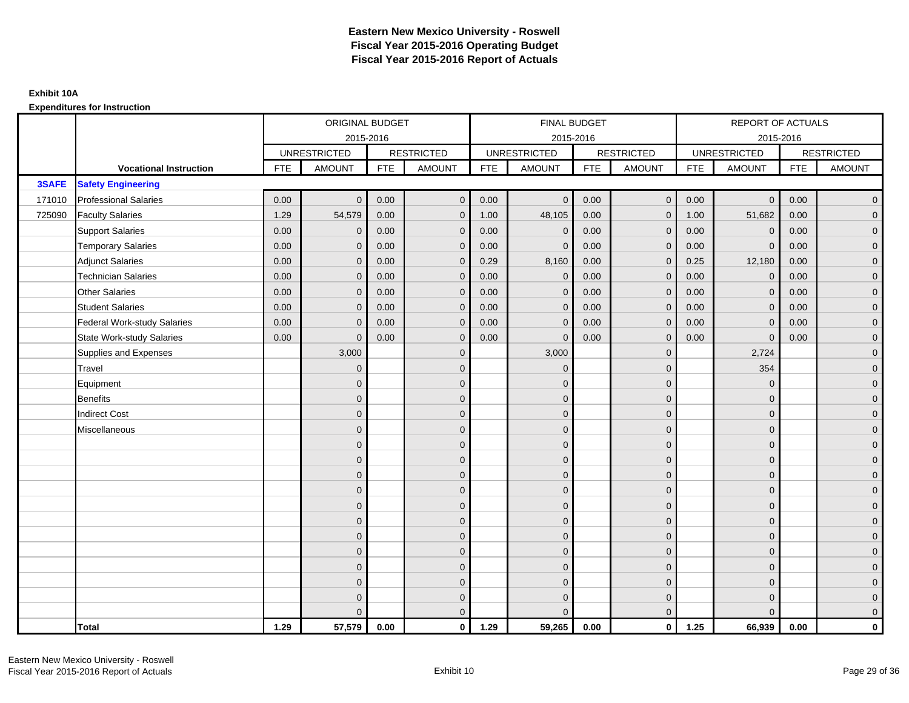|        |                                    |            | ORIGINAL BUDGET     |            |                   |            | <b>FINAL BUDGET</b> |            |                   |            | REPORT OF ACTUALS   |            |                   |
|--------|------------------------------------|------------|---------------------|------------|-------------------|------------|---------------------|------------|-------------------|------------|---------------------|------------|-------------------|
|        |                                    |            | 2015-2016           |            |                   |            | 2015-2016           |            |                   |            | 2015-2016           |            |                   |
|        |                                    |            | <b>UNRESTRICTED</b> |            | <b>RESTRICTED</b> |            | <b>UNRESTRICTED</b> |            | <b>RESTRICTED</b> |            | <b>UNRESTRICTED</b> |            | <b>RESTRICTED</b> |
|        | <b>Vocational Instruction</b>      | <b>FTE</b> | <b>AMOUNT</b>       | <b>FTE</b> | <b>AMOUNT</b>     | <b>FTE</b> | <b>AMOUNT</b>       | <b>FTE</b> | <b>AMOUNT</b>     | <b>FTE</b> | <b>AMOUNT</b>       | <b>FTE</b> | <b>AMOUNT</b>     |
| 3SAFE  | <b>Safety Engineering</b>          |            |                     |            |                   |            |                     |            |                   |            |                     |            |                   |
| 171010 | <b>Professional Salaries</b>       | 0.00       | $\Omega$            | 0.00       | $\overline{0}$    | 0.00       | $\overline{0}$      | 0.00       | $\mathbf{0}$      | 0.00       | $\overline{0}$      | 0.00       | $\overline{0}$    |
| 725090 | <b>Faculty Salaries</b>            | 1.29       | 54,579              | 0.00       | $\mathbf 0$       | 1.00       | 48,105              | 0.00       | $\mathbf{0}$      | 1.00       | 51,682              | 0.00       | $\overline{0}$    |
|        | <b>Support Salaries</b>            | 0.00       | $\mathbf 0$         | 0.00       | $\mathbf 0$       | 0.00       | $\mathbf 0$         | 0.00       | $\mathbf{0}$      | 0.00       | $\mathbf 0$         | 0.00       | $\overline{0}$    |
|        | <b>Temporary Salaries</b>          | 0.00       | $\mathbf{0}$        | 0.00       | $\overline{0}$    | 0.00       | $\Omega$            | 0.00       | $\Omega$          | 0.00       | $\mathbf{0}$        | 0.00       | $\overline{0}$    |
|        | <b>Adjunct Salaries</b>            | 0.00       | $\Omega$            | 0.00       | $\overline{0}$    | 0.29       | 8,160               | 0.00       | $\Omega$          | 0.25       | 12,180              | 0.00       | $\overline{0}$    |
|        | <b>Technician Salaries</b>         | 0.00       | $\Omega$            | 0.00       | $\mathbf{0}$      | 0.00       | $\mathbf{0}$        | 0.00       | $\mathbf{0}$      | 0.00       | $\mathbf 0$         | 0.00       | $\mathbf{0}$      |
|        | <b>Other Salaries</b>              | 0.00       | $\mathbf{0}$        | 0.00       | $\overline{0}$    | 0.00       | $\mathbf{0}$        | 0.00       | $\mathbf{0}$      | 0.00       | $\mathbf 0$         | 0.00       | $\overline{0}$    |
|        | <b>Student Salaries</b>            | 0.00       | $\mathbf{0}$        | 0.00       | $\mathbf 0$       | 0.00       | $\mathbf{0}$        | 0.00       | $\mathbf{0}$      | 0.00       | $\mathbf 0$         | 0.00       | $\overline{0}$    |
|        | <b>Federal Work-study Salaries</b> | 0.00       | $\mathbf{0}$        | 0.00       | $\mathbf 0$       | 0.00       | $\mathbf{0}$        | 0.00       | $\Omega$          | 0.00       | $\mathbf 0$         | 0.00       | $\overline{0}$    |
|        | <b>State Work-study Salaries</b>   | 0.00       | $\mathbf{0}$        | 0.00       | $\overline{0}$    | 0.00       | $\mathbf{0}$        | 0.00       | $\mathbf{0}$      | 0.00       | $\mathbf{0}$        | 0.00       | $\overline{0}$    |
|        | Supplies and Expenses              |            | 3,000               |            | $\mathbf{0}$      |            | 3,000               |            | $\mathbf{0}$      |            | 2,724               |            | $\mathbf{0}$      |
|        | <b>Travel</b>                      |            | $\Omega$            |            | $\mathbf 0$       |            | $\Omega$            |            | $\mathbf{0}$      |            | 354                 |            | $\overline{0}$    |
|        | Equipment                          |            | $\Omega$            |            | $\mathbf 0$       |            | $\mathbf{0}$        |            | $\mathbf 0$       |            | $\mathbf 0$         |            | $\overline{0}$    |
|        | <b>Benefits</b>                    |            | $\mathbf{0}$        |            | $\mathbf 0$       |            | $\Omega$            |            | $\mathbf 0$       |            | $\mathbf{0}$        |            | $\overline{0}$    |
|        | <b>Indirect Cost</b>               |            | $\Omega$            |            | $\overline{0}$    |            | $\Omega$            |            | $\Omega$          |            | $\Omega$            |            | $\overline{0}$    |
|        | Miscellaneous                      |            | $\Omega$            |            | $\mathbf 0$       |            | $\mathbf{0}$        |            | $\Omega$          |            | $\mathbf{0}$        |            | $\mathbf{0}$      |
|        |                                    |            | $\Omega$            |            | $\mathbf 0$       |            | $\mathbf{0}$        |            | $\mathbf{0}$      |            | $\mathbf{0}$        |            | $\overline{0}$    |
|        |                                    |            | $\Omega$            |            | $\mathbf 0$       |            | $\mathbf{0}$        |            | $\mathbf{0}$      |            | $\mathbf{0}$        |            | $\overline{0}$    |
|        |                                    |            | $\Omega$            |            | $\mathbf 0$       |            | $\mathbf{0}$        |            | $\mathbf 0$       |            | $\mathbf{0}$        |            | $\overline{0}$    |
|        |                                    |            | $\Omega$            |            | $\mathbf 0$       |            | $\Omega$            |            | $\mathbf{0}$      |            | $\mathbf{0}$        |            | $\mathbf{0}$      |
|        |                                    |            | $\Omega$            |            | $\mathbf 0$       |            | $\Omega$            |            | $\overline{0}$    |            | $\Omega$            |            | $\mathbf{0}$      |
|        |                                    |            | $\Omega$            |            | $\mathbf 0$       |            | $\Omega$            |            | $\mathbf{0}$      |            | $\Omega$            |            | $\overline{0}$    |
|        |                                    |            | $\Omega$            |            | $\mathbf 0$       |            | $\mathbf{0}$        |            | $\mathbf 0$       |            | $\mathbf{0}$        |            | $\overline{0}$    |
|        |                                    |            | $\Omega$            |            | $\mathbf 0$       |            | $\Omega$            |            | $\mathbf 0$       |            | $\mathbf{0}$        |            | $\overline{0}$    |
|        |                                    |            | $\Omega$            |            | $\mathbf 0$       |            | $\Omega$            |            | $\mathbf{0}$      |            | $\Omega$            |            | $\overline{0}$    |
|        |                                    |            | $\Omega$            |            | $\mathbf 0$       |            | $\mathbf{0}$        |            | $\mathbf 0$       |            | $\mathbf{0}$        |            | $\mathbf{0}$      |
|        |                                    |            | $\Omega$            |            | $\mathbf 0$       |            | $\mathbf{0}$        |            | $\mathbf{0}$      |            | $\mathbf{0}$        |            | $\mathbf{0}$      |
|        |                                    |            | $\Omega$            |            | $\overline{0}$    |            | $\Omega$            |            | $\mathbf{0}$      |            | $\Omega$            |            | $\overline{0}$    |
|        | <b>Total</b>                       | 1.29       | 57,579              | 0.00       | $\mathbf{0}$      | 1.29       | 59,265              | 0.00       | $\mathbf{0}$      | 1.25       | 66,939              | 0.00       | $\mathbf 0$       |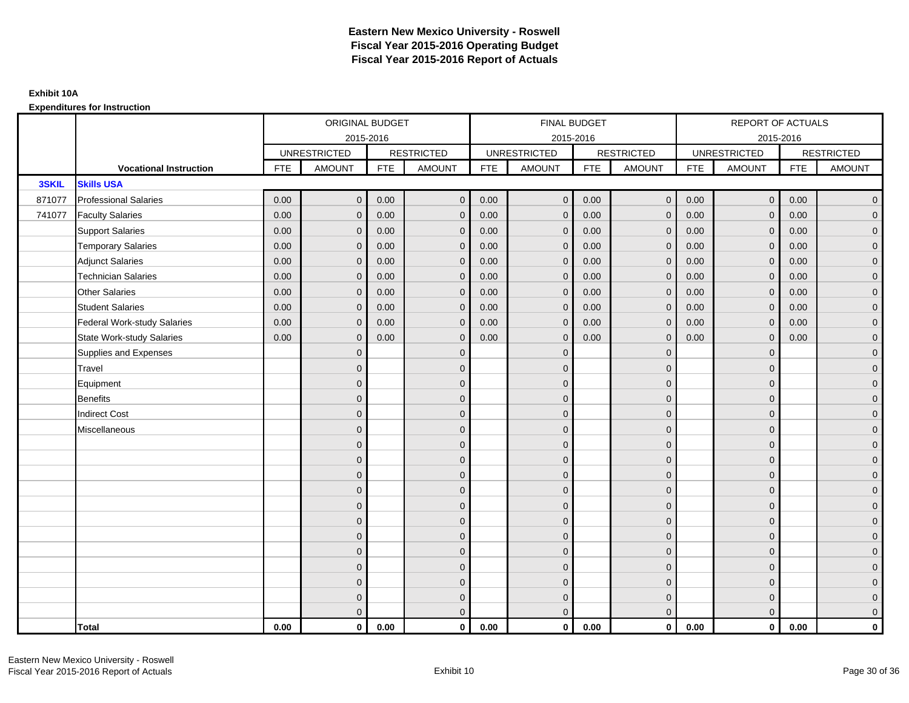|        |                                    |            | ORIGINAL BUDGET     |            |                   |            | <b>FINAL BUDGET</b> |            |                   |            | REPORT OF ACTUALS   |            |                   |
|--------|------------------------------------|------------|---------------------|------------|-------------------|------------|---------------------|------------|-------------------|------------|---------------------|------------|-------------------|
|        |                                    |            |                     | 2015-2016  |                   |            | 2015-2016           |            |                   |            |                     | 2015-2016  |                   |
|        |                                    |            | <b>UNRESTRICTED</b> |            | <b>RESTRICTED</b> |            | <b>UNRESTRICTED</b> |            | <b>RESTRICTED</b> |            | <b>UNRESTRICTED</b> |            | <b>RESTRICTED</b> |
|        | <b>Vocational Instruction</b>      | <b>FTE</b> | <b>AMOUNT</b>       | <b>FTE</b> | <b>AMOUNT</b>     | <b>FTE</b> | <b>AMOUNT</b>       | <b>FTE</b> | <b>AMOUNT</b>     | <b>FTE</b> | <b>AMOUNT</b>       | <b>FTE</b> | <b>AMOUNT</b>     |
| 3SKIL  | <b>Skills USA</b>                  |            |                     |            |                   |            |                     |            |                   |            |                     |            |                   |
| 871077 | <b>Professional Salaries</b>       | 0.00       | $\Omega$            | 0.00       | $\mathbf{0}$      | 0.00       | $\Omega$            | 0.00       | $\mathbf{0}$      | 0.00       | $\overline{0}$      | 0.00       | $\overline{0}$    |
| 741077 | <b>Faculty Salaries</b>            | 0.00       | $\mathbf 0$         | 0.00       | $\mathbf 0$       | 0.00       | $\mathbf{0}$        | 0.00       | $\mathbf{0}$      | 0.00       | $\mathbf 0$         | 0.00       | $\overline{0}$    |
|        | <b>Support Salaries</b>            | 0.00       | $\mathbf 0$         | 0.00       | $\mathbf 0$       | 0.00       | $\mathbf{0}$        | 0.00       | $\mathbf 0$       | 0.00       | $\overline{0}$      | 0.00       | $\overline{0}$    |
|        | <b>Temporary Salaries</b>          | 0.00       | $\mathbf{0}$        | 0.00       | $\overline{0}$    | 0.00       | $\Omega$            | 0.00       | $\Omega$          | 0.00       | $\mathbf 0$         | 0.00       | $\overline{0}$    |
|        | <b>Adjunct Salaries</b>            | 0.00       | $\Omega$            | 0.00       | $\overline{0}$    | 0.00       | $\Omega$            | 0.00       | $\Omega$          | 0.00       | $\overline{0}$      | 0.00       | $\overline{0}$    |
|        | <b>Technician Salaries</b>         | 0.00       | $\mathbf{0}$        | 0.00       | $\mathbf{0}$      | 0.00       | $\Omega$            | 0.00       | $\mathbf{0}$      | 0.00       | $\overline{0}$      | 0.00       | $\mathbf{0}$      |
|        | <b>Other Salaries</b>              | 0.00       | $\mathbf{0}$        | 0.00       | $\mathbf 0$       | 0.00       | $\Omega$            | 0.00       | $\mathbf{0}$      | 0.00       | $\overline{0}$      | 0.00       | $\overline{0}$    |
|        | <b>Student Salaries</b>            | 0.00       | $\mathbf{0}$        | 0.00       | $\mathbf 0$       | 0.00       | $\mathbf{0}$        | 0.00       | $\mathbf{0}$      | 0.00       | $\mathbf 0$         | 0.00       | $\overline{0}$    |
|        | <b>Federal Work-study Salaries</b> | 0.00       | $\mathbf 0$         | 0.00       | $\mathbf 0$       | 0.00       | $\mathbf{0}$        | 0.00       | $\mathbf 0$       | 0.00       | $\mathbf 0$         | 0.00       | $\overline{0}$    |
|        | <b>State Work-study Salaries</b>   | 0.00       | $\mathbf{0}$        | 0.00       | $\overline{0}$    | 0.00       | $\Omega$            | 0.00       | $\mathbf 0$       | 0.00       | $\overline{0}$      | 0.00       | $\overline{0}$    |
|        | Supplies and Expenses              |            | $\Omega$            |            | $\overline{0}$    |            | $\Omega$            |            | $\mathbf{0}$      |            | $\mathbf{0}$        |            | $\overline{0}$    |
|        | <b>Travel</b>                      |            | $\Omega$            |            | $\mathbf 0$       |            | $\Omega$            |            | $\mathbf{0}$      |            | $\mathbf{0}$        |            | $\overline{0}$    |
|        | Equipment                          |            | $\mathbf{0}$        |            | $\mathbf 0$       |            | $\mathbf{0}$        |            | $\mathbf 0$       |            | $\mathbf{0}$        |            | $\overline{0}$    |
|        | Benefits                           |            | $\mathbf{0}$        |            | $\mathbf 0$       |            | $\Omega$            |            | $\mathbf{0}$      |            | $\mathbf{0}$        |            | $\overline{0}$    |
|        | <b>Indirect Cost</b>               |            | $\Omega$            |            | $\overline{0}$    |            | $\Omega$            |            | $\Omega$          |            | $\Omega$            |            | $\overline{0}$    |
|        | Miscellaneous                      |            | $\mathbf{0}$        |            | $\mathbf 0$       |            | $\Omega$            |            | $\mathbf 0$       |            | $\mathbf{0}$        |            | $\mathbf{0}$      |
|        |                                    |            | $\mathbf{0}$        |            | $\mathbf 0$       |            | $\Omega$            |            | $\mathbf{0}$      |            | $\mathbf{0}$        |            | $\overline{0}$    |
|        |                                    |            | $\Omega$            |            | $\mathbf 0$       |            | $\Omega$            |            | $\mathbf{0}$      |            | $\mathbf{0}$        |            | $\overline{0}$    |
|        |                                    |            | $\mathbf{0}$        |            | $\mathbf 0$       |            | $\Omega$            |            | $\mathbf 0$       |            | $\mathbf{0}$        |            | $\mathbf{0}$      |
|        |                                    |            | $\Omega$            |            | $\mathbf 0$       |            | $\Omega$            |            | $\mathbf{0}$      |            | $\mathbf{0}$        |            | $\mathbf{0}$      |
|        |                                    |            | $\Omega$            |            | $\mathbf 0$       |            | $\Omega$            |            | $\mathbf{0}$      |            | $\Omega$            |            | $\mathbf{0}$      |
|        |                                    |            | $\Omega$            |            | $\mathbf 0$       |            | $\Omega$            |            | $\mathbf{0}$      |            | $\Omega$            |            | $\overline{0}$    |
|        |                                    |            | $\mathbf{0}$        |            | $\mathbf 0$       |            | $\Omega$            |            | $\mathbf 0$       |            | $\mathbf 0$         |            | $\overline{0}$    |
|        |                                    |            | $\mathbf{0}$        |            | $\mathbf 0$       |            | $\Omega$            |            | $\mathbf{0}$      |            | $\mathbf{0}$        |            | $\overline{0}$    |
|        |                                    |            | $\Omega$            |            | $\mathbf 0$       |            | $\Omega$            |            | $\mathbf{0}$      |            | $\Omega$            |            | $\overline{0}$    |
|        |                                    |            | $\mathbf{0}$        |            | $\mathbf 0$       |            | $\Omega$            |            | $\mathbf 0$       |            | $\mathbf{0}$        |            | $\overline{0}$    |
|        |                                    |            | $\mathbf{0}$        |            | $\mathbf 0$       |            | $\mathbf{0}$        |            | $\mathbf 0$       |            | $\mathbf{0}$        |            | $\mathbf{0}$      |
|        |                                    |            | $\Omega$            |            | $\overline{0}$    |            | $\Omega$            |            | $\mathbf{0}$      |            | $\overline{0}$      |            | $\overline{0}$    |
|        | <b>Total</b>                       | 0.00       | $\mathbf{0}$        | 0.00       | $\mathbf{0}$      | 0.00       | $\mathbf{0}$        | 0.00       | $\mathbf{0}$      | 0.00       | $\mathbf{0}$        | 0.00       | $\mathbf 0$       |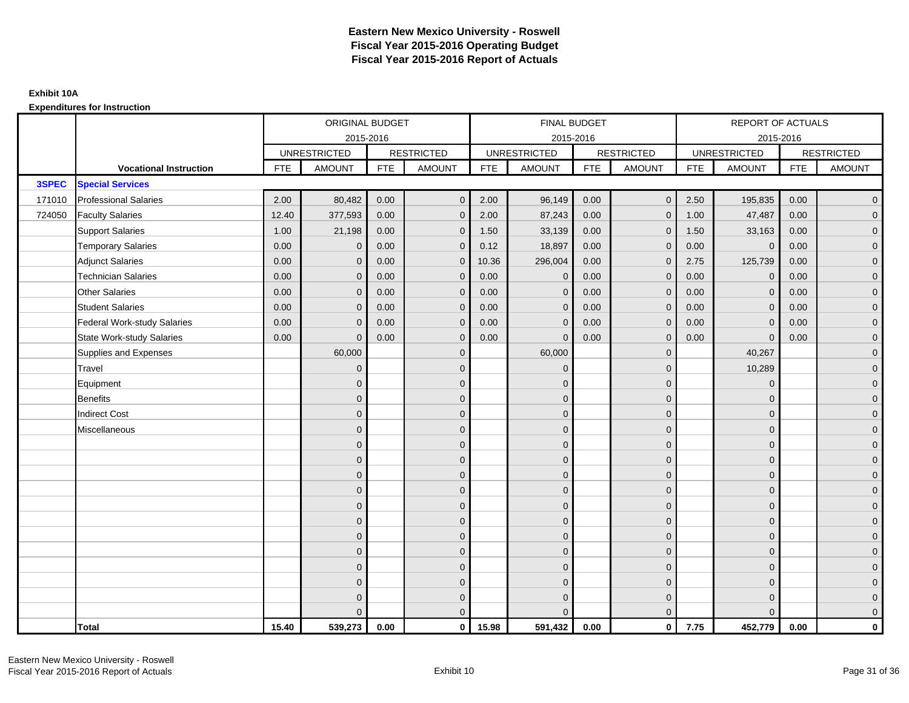|        |                               |            | ORIGINAL BUDGET     |            |                     |            | FINAL BUDGET        |            |                   |            | <b>REPORT OF ACTUALS</b> |            |                   |
|--------|-------------------------------|------------|---------------------|------------|---------------------|------------|---------------------|------------|-------------------|------------|--------------------------|------------|-------------------|
|        |                               |            | 2015-2016           |            |                     |            | 2015-2016           |            |                   |            | 2015-2016                |            |                   |
|        |                               |            | <b>UNRESTRICTED</b> |            | <b>RESTRICTED</b>   |            | <b>UNRESTRICTED</b> |            | <b>RESTRICTED</b> |            | <b>UNRESTRICTED</b>      |            | <b>RESTRICTED</b> |
|        | <b>Vocational Instruction</b> | <b>FTE</b> | <b>AMOUNT</b>       | <b>FTE</b> | <b>AMOUNT</b>       | <b>FTE</b> | <b>AMOUNT</b>       | <b>FTE</b> | <b>AMOUNT</b>     | <b>FTE</b> | <b>AMOUNT</b>            | <b>FTE</b> | <b>AMOUNT</b>     |
| 3SPEC  | <b>Special Services</b>       |            |                     |            |                     |            |                     |            |                   |            |                          |            |                   |
| 171010 | <b>Professional Salaries</b>  | 2.00       | 80,482              | 0.00       | $\overline{0}$      | 2.00       | 96,149              | 0.00       | $\mathbf{0}$      | 2.50       | 195,835                  | 0.00       | $\overline{0}$    |
| 724050 | <b>Faculty Salaries</b>       | 12.40      | 377,593             | 0.00       | $\overline{0}$      | 2.00       | 87,243              | 0.00       | $\Omega$          | 1.00       | 47,487                   | 0.00       | $\overline{0}$    |
|        | <b>Support Salaries</b>       | 1.00       | 21,198              | 0.00       | $\mathbf 0$         | 1.50       | 33,139              | 0.00       | $\mathbf 0$       | 1.50       | 33,163                   | 0.00       | $\overline{0}$    |
|        | <b>Temporary Salaries</b>     | 0.00       | $\mathbf 0$         | 0.00       | $\mathbf{0}$        | 0.12       | 18,897              | 0.00       | 0                 | 0.00       | $\mathbf 0$              | 0.00       | $\overline{0}$    |
|        | <b>Adjunct Salaries</b>       | 0.00       | $\mathbf{0}$        | 0.00       | $\overline{0}$      | 10.36      | 296,004             | 0.00       | $\Omega$          | 2.75       | 125,739                  | 0.00       | $\overline{0}$    |
|        | <b>Technician Salaries</b>    | 0.00       | $\Omega$            | 0.00       | $\mathbf{0}$        | 0.00       | $\Omega$            | 0.00       | $\Omega$          | 0.00       | $\mathbf{0}$             | 0.00       | $\overline{0}$    |
|        | <b>Other Salaries</b>         | 0.00       | $\mathbf{0}$        | 0.00       | $\mathbf 0$         | 0.00       | $\mathbf{0}$        | 0.00       | $\mathbf{0}$      | 0.00       | $\mathbf 0$              | 0.00       | $\mathbf{0}$      |
|        | <b>Student Salaries</b>       | 0.00       | $\mathbf{0}$        | 0.00       | $\mathbf 0$         | 0.00       | $\mathbf{0}$        | 0.00       | $\mathbf{0}$      | 0.00       | $\mathbf 0$              | 0.00       | $\overline{0}$    |
|        | Federal Work-study Salaries   | 0.00       | $\Omega$            | 0.00       | $\overline{0}$      | 0.00       | $\Omega$            | 0.00       | $\Omega$          | 0.00       | $\mathbf{0}$             | 0.00       | $\overline{0}$    |
|        | State Work-study Salaries     | 0.00       | $\Omega$            | 0.00       | $\overline{0}$      | 0.00       | $\Omega$            | 0.00       | $\Omega$          | 0.00       | $\Omega$                 | 0.00       | $\overline{0}$    |
|        | Supplies and Expenses         |            | 60,000              |            | $\mathbf 0$         |            | 60,000              |            | $\mathbf{0}$      |            | 40,267                   |            | $\mathbf{0}$      |
|        | <b>Travel</b>                 |            | $\mathbf{0}$        |            | $\mathbf 0$         |            | $\overline{0}$      |            | $\mathbf{0}$      |            | 10,289                   |            | $\overline{0}$    |
|        | Equipment                     |            | $\Omega$            |            | $\mathbf 0$         |            | $\Omega$            |            | $\mathbf{0}$      |            | $\mathbf{0}$             |            | $\overline{0}$    |
|        | Benefits                      |            | $\Omega$            |            | $\mathbf 0$         |            | $\mathbf{0}$        |            | $\mathbf 0$       |            | $\mathbf 0$              |            | $\overline{0}$    |
|        | <b>Indirect Cost</b>          |            | $\Omega$            |            | $\mathbf 0$         |            | $\Omega$            |            | $\mathbf{0}$      |            | $\mathbf{0}$             |            | $\mathbf{0}$      |
|        | Miscellaneous                 |            | $\Omega$            |            | $\mathbf 0$         |            | $\Omega$            |            | $\mathbf{0}$      |            | $\mathbf{0}$             |            | $\mathbf{0}$      |
|        |                               |            | $\Omega$            |            | $\mathbf 0$         |            | $\Omega$            |            | $\mathbf{0}$      |            | $\Omega$                 |            | $\overline{0}$    |
|        |                               |            | $\mathbf{0}$        |            | $\mathsf{O}\xspace$ |            | $\overline{0}$      |            | $\mathbf 0$       |            | $\mathbf 0$              |            | $\overline{0}$    |
|        |                               |            | $\Omega$            |            | $\mathbf 0$         |            | $\Omega$            |            | $\mathbf 0$       |            | $\mathbf{0}$             |            | $\overline{0}$    |
|        |                               |            | $\Omega$            |            | $\mathbf 0$         |            | $\Omega$            |            | $\mathbf{0}$      |            | $\mathbf{0}$             |            | $\overline{0}$    |
|        |                               |            | $\Omega$            |            | $\mathbf{0}$        |            | $\Omega$            |            | $\Omega$          |            | $\Omega$                 |            | $\overline{0}$    |
|        |                               |            | $\mathbf{0}$        |            | $\mathsf{O}\xspace$ |            | $\mathbf{0}$        |            | $\mathbf 0$       |            | $\mathbf{0}$             |            | $\mathbf{0}$      |
|        |                               |            | $\Omega$            |            | $\mathbf 0$         |            | $\overline{0}$      |            | $\mathbf{0}$      |            | $\mathbf{0}$             |            | $\overline{0}$    |
|        |                               |            | $\Omega$            |            | $\mathbf 0$         |            | $\Omega$            |            | $\mathbf 0$       |            | $\mathbf{0}$             |            | $\overline{0}$    |
|        |                               |            | $\Omega$            |            | $\overline{0}$      |            | $\Omega$            |            | $\mathbf{0}$      |            | $\Omega$                 |            | $\overline{0}$    |
|        |                               |            | $\Omega$            |            | $\mathbf 0$         |            | $\mathbf{0}$        |            | $\mathbf 0$       |            | $\mathbf{0}$             |            | $\mathbf{0}$      |
|        |                               |            | $\Omega$            |            | $\mathbf 0$         |            | $\Omega$            |            | $\mathbf{0}$      |            | $\mathbf{0}$             |            | $\mathbf{0}$      |
|        |                               |            | $\Omega$            |            | $\overline{0}$      |            | $\Omega$            |            | $\mathbf{0}$      |            | $\Omega$                 |            | $\overline{0}$    |
|        | <b>Total</b>                  | 15.40      | 539,273             | 0.00       | $\mathbf{0}$        | 15.98      | 591,432             | 0.00       | $\mathbf{0}$      | 7.75       | 452,779                  | 0.00       | $\mathbf 0$       |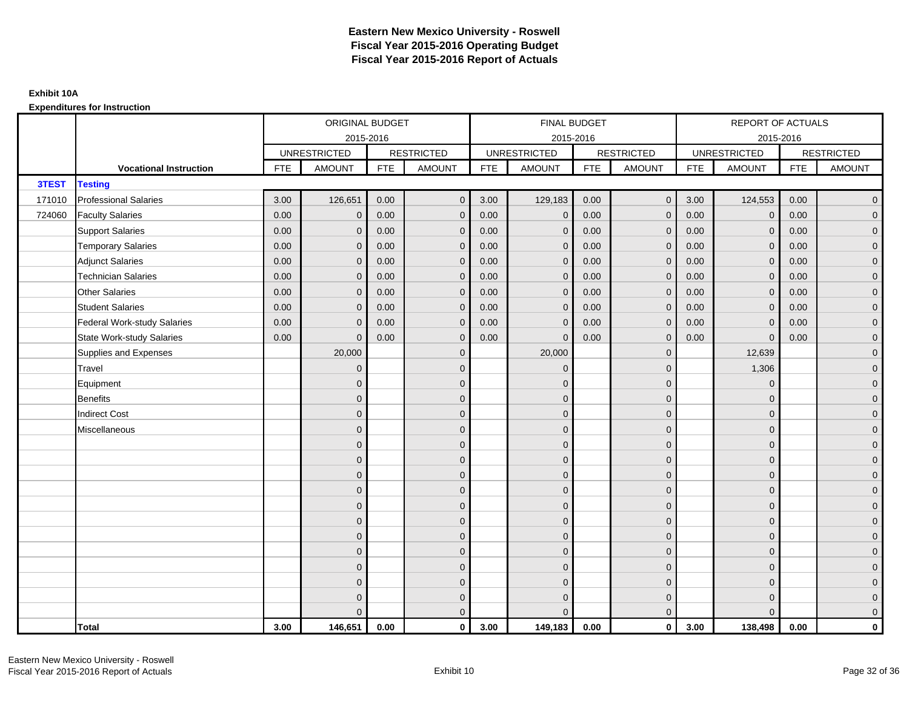|        |                                    |            | ORIGINAL BUDGET     |            |                   |            | FINAL BUDGET        |            |                   |            | <b>REPORT OF ACTUALS</b> |            |                     |
|--------|------------------------------------|------------|---------------------|------------|-------------------|------------|---------------------|------------|-------------------|------------|--------------------------|------------|---------------------|
|        |                                    |            |                     | 2015-2016  |                   |            | 2015-2016           |            |                   |            | 2015-2016                |            |                     |
|        |                                    |            | <b>UNRESTRICTED</b> |            | <b>RESTRICTED</b> |            | <b>UNRESTRICTED</b> |            | <b>RESTRICTED</b> |            | <b>UNRESTRICTED</b>      |            | <b>RESTRICTED</b>   |
|        | <b>Vocational Instruction</b>      | <b>FTE</b> | <b>AMOUNT</b>       | <b>FTE</b> | <b>AMOUNT</b>     | <b>FTE</b> | <b>AMOUNT</b>       | <b>FTE</b> | <b>AMOUNT</b>     | <b>FTE</b> | <b>AMOUNT</b>            | <b>FTE</b> | <b>AMOUNT</b>       |
| 3TEST  | <b>Testing</b>                     |            |                     |            |                   |            |                     |            |                   |            |                          |            |                     |
| 171010 | <b>Professional Salaries</b>       | 3.00       | 126,651             | 0.00       | $\mathbf{0}$      | 3.00       | 129,183             | 0.00       | $\overline{0}$    | 3.00       | 124,553                  | 0.00       | $\mathbf 0$         |
| 724060 | <b>Faculty Salaries</b>            | 0.00       | $\mathbf{0}$        | 0.00       | $\mathbf{0}$      | 0.00       | $\mathbf{0}$        | 0.00       | $\mathbf{0}$      | 0.00       | $\mathbf{0}$             | 0.00       | $\mathbf 0$         |
|        | <b>Support Salaries</b>            | 0.00       | $\mathbf 0$         | 0.00       | $\mathbf 0$       | 0.00       | $\mathbf 0$         | 0.00       | $\mathbf 0$       | 0.00       | $\mathbf 0$              | 0.00       | $\mathbf 0$         |
|        | <b>Temporary Salaries</b>          | 0.00       | $\mathbf 0$         | 0.00       | $\overline{0}$    | 0.00       | $\mathbf{0}$        | 0.00       | $\mathbf{0}$      | 0.00       | $\mathbf 0$              | 0.00       | $\mathbf 0$         |
|        | <b>Adjunct Salaries</b>            | 0.00       | $\mathbf{0}$        | 0.00       | $\mathbf{0}$      | 0.00       | $\Omega$            | 0.00       | $\mathbf{0}$      | 0.00       | $\mathbf{0}$             | 0.00       | $\mathbf 0$         |
|        | <b>Technician Salaries</b>         | 0.00       | $\Omega$            | 0.00       | $\mathbf{0}$      | 0.00       | $\Omega$            | 0.00       | $\mathbf{0}$      | 0.00       | $\Omega$                 | 0.00       | $\mathsf{O}\xspace$ |
|        | <b>Other Salaries</b>              | 0.00       | $\mathbf{0}$        | 0.00       | $\overline{0}$    | 0.00       | $\mathbf{0}$        | 0.00       | $\mathbf{0}$      | 0.00       | $\mathbf{0}$             | 0.00       | $\mathsf{O}\xspace$ |
|        | <b>Student Salaries</b>            | 0.00       | $\mathbf{0}$        | 0.00       | $\mathbf 0$       | 0.00       | $\mathbf{0}$        | 0.00       | $\mathbf{0}$      | 0.00       | $\mathbf 0$              | 0.00       | $\overline{0}$      |
|        | <b>Federal Work-study Salaries</b> | 0.00       | $\mathbf{0}$        | 0.00       | $\mathbf{0}$      | 0.00       | $\mathbf{0}$        | 0.00       | $\mathbf{0}$      | 0.00       | $\mathbf{0}$             | 0.00       | $\mathbf 0$         |
|        | <b>State Work-study Salaries</b>   | 0.00       | $\mathbf{0}$        | 0.00       | $\mathbf{0}$      | 0.00       | $\Omega$            | 0.00       | $\mathbf{0}$      | 0.00       | $\mathbf{0}$             | 0.00       | $\mathbf 0$         |
|        | Supplies and Expenses              |            | 20,000              |            | $\mathbf 0$       |            | 20,000              |            | $\mathbf 0$       |            | 12,639                   |            | $\mathbf 0$         |
|        | Travel                             |            | $\mathbf{0}$        |            | $\mathbf 0$       |            | $\mathbf{0}$        |            | $\mathbf 0$       |            | 1,306                    |            | $\mathsf{O}\xspace$ |
|        | Equipment                          |            | $\mathbf{0}$        |            | $\mathbf 0$       |            | $\Omega$            |            | $\mathbf 0$       |            | $\mathbf{0}$             |            | $\mathbf 0$         |
|        | <b>Benefits</b>                    |            | $\mathbf{0}$        |            | $\mathbf 0$       |            | $\mathbf{0}$        |            | $\mathbf 0$       |            | $\mathbf{0}$             |            | $\mathsf{O}\xspace$ |
|        | <b>Indirect Cost</b>               |            | $\mathbf{0}$        |            | $\mathbf 0$       |            | $\Omega$            |            | $\mathbf 0$       |            | $\Omega$                 |            | $\mathbf 0$         |
|        | Miscellaneous                      |            | $\Omega$            |            | $\mathbf{0}$      |            | $\Omega$            |            | $\mathbf{0}$      |            | $\mathbf{0}$             |            | $\mathsf{O}\xspace$ |
|        |                                    |            | $\Omega$            |            | $\mathbf 0$       |            | $\Omega$            |            | $\mathbf 0$       |            | $\Omega$                 |            | $\overline{0}$      |
|        |                                    |            | $\mathbf{0}$        |            | $\mathbf 0$       |            | $\mathbf{0}$        |            | $\mathbf 0$       |            | $\mathbf{0}$             |            | $\mathbf 0$         |
|        |                                    |            | $\mathbf{0}$        |            | $\mathbf 0$       |            | $\Omega$            |            | $\mathbf 0$       |            | $\mathbf{0}$             |            | $\mathbf 0$         |
|        |                                    |            | $\Omega$            |            | $\mathbf 0$       |            | $\Omega$            |            | $\mathbf{0}$      |            | $\Omega$                 |            | $\mathsf{O}\xspace$ |
|        |                                    |            | $\Omega$            |            | $\mathbf 0$       |            | $\Omega$            |            | $\mathbf{0}$      |            | $\Omega$                 |            | $\mathsf{O}\xspace$ |
|        |                                    |            | $\mathbf{0}$        |            | $\mathbf 0$       |            | $\mathbf{0}$        |            | $\mathbf 0$       |            | $\mathbf{0}$             |            | $\mathbf 0$         |
|        |                                    |            | $\mathbf{0}$        |            | $\mathbf 0$       |            | $\Omega$            |            | $\mathbf 0$       |            | $\mathbf{0}$             |            | $\mathbf 0$         |
|        |                                    |            | $\mathbf{0}$        |            | $\mathbf 0$       |            | $\Omega$            |            | $\mathbf{0}$      |            | $\mathbf{0}$             |            | $\mathbf 0$         |
|        |                                    |            | $\Omega$            |            | $\mathbf{0}$      |            | $\Omega$            |            | $\mathbf{0}$      |            | $\Omega$                 |            | $\mathbf 0$         |
|        |                                    |            | $\mathbf{0}$        |            | $\mathbf 0$       |            | $\mathbf{0}$        |            | $\mathbf 0$       |            | $\mathbf{0}$             |            | $\mathbf 0$         |
|        |                                    |            | $\mathbf{0}$        |            | $\mathbf 0$       |            | $\Omega$            |            | $\mathbf 0$       |            | $\mathbf{0}$             |            | $\pmb{0}$           |
|        |                                    |            | $\Omega$            |            | $\mathbf{0}$      |            | $\Omega$            |            | $\mathbf{0}$      |            | $\Omega$                 |            | $\mathbf 0$         |
|        | <b>Total</b>                       | 3.00       | 146,651             | 0.00       | $\mathbf{0}$      | 3.00       | 149,183             | 0.00       | $\mathbf{0}$      | 3.00       | 138,498                  | 0.00       | $\mathbf{0}$        |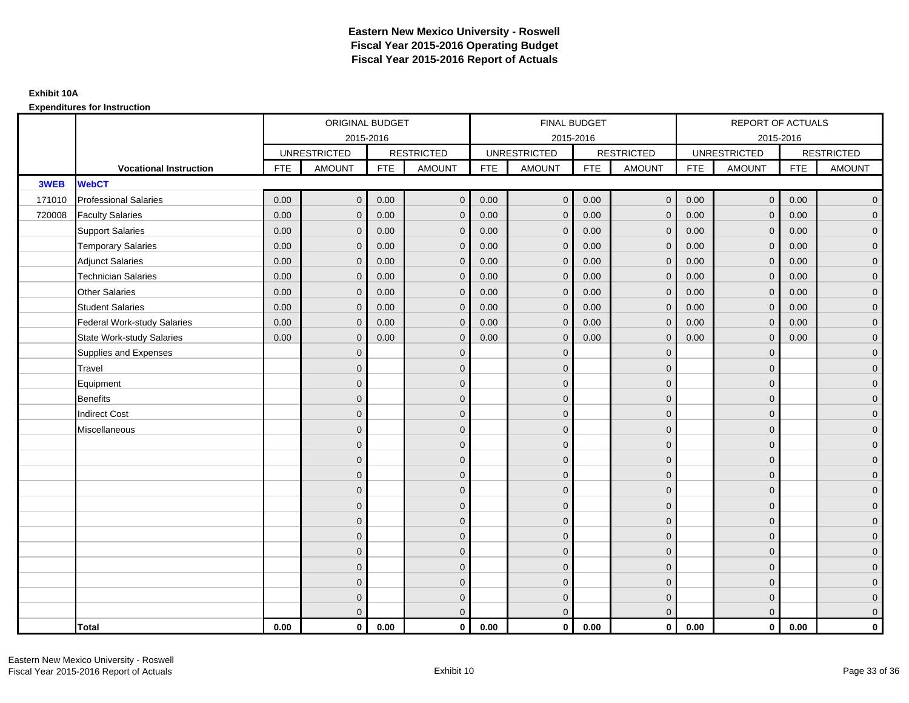|        |                                    |            | ORIGINAL BUDGET     |            |                   |            | <b>FINAL BUDGET</b> |            |                   |            | REPORT OF ACTUALS   |            |                   |
|--------|------------------------------------|------------|---------------------|------------|-------------------|------------|---------------------|------------|-------------------|------------|---------------------|------------|-------------------|
|        |                                    |            |                     | 2015-2016  |                   |            | 2015-2016           |            |                   |            |                     | 2015-2016  |                   |
|        |                                    |            | <b>UNRESTRICTED</b> |            | <b>RESTRICTED</b> |            | <b>UNRESTRICTED</b> |            | <b>RESTRICTED</b> |            | <b>UNRESTRICTED</b> |            | <b>RESTRICTED</b> |
|        | <b>Vocational Instruction</b>      | <b>FTE</b> | <b>AMOUNT</b>       | <b>FTE</b> | <b>AMOUNT</b>     | <b>FTE</b> | <b>AMOUNT</b>       | <b>FTE</b> | <b>AMOUNT</b>     | <b>FTE</b> | <b>AMOUNT</b>       | <b>FTE</b> | <b>AMOUNT</b>     |
| 3WEB   | <b>WebCT</b>                       |            |                     |            |                   |            |                     |            |                   |            |                     |            |                   |
| 171010 | <b>Professional Salaries</b>       | 0.00       | $\Omega$            | 0.00       | $\mathbf{0}$      | 0.00       | $\Omega$            | 0.00       | $\mathbf{0}$      | 0.00       | $\overline{0}$      | 0.00       | $\overline{0}$    |
| 720008 | <b>Faculty Salaries</b>            | 0.00       | $\mathbf 0$         | 0.00       | $\mathbf 0$       | 0.00       | $\mathbf{0}$        | 0.00       | $\mathbf{0}$      | 0.00       | $\mathbf 0$         | 0.00       | $\overline{0}$    |
|        | <b>Support Salaries</b>            | 0.00       | $\mathbf{0}$        | 0.00       | $\mathbf 0$       | 0.00       | $\mathbf{0}$        | 0.00       | $\mathbf 0$       | 0.00       | $\overline{0}$      | 0.00       | $\overline{0}$    |
|        | <b>Temporary Salaries</b>          | 0.00       | $\mathbf{0}$        | 0.00       | $\overline{0}$    | 0.00       | $\Omega$            | 0.00       | $\Omega$          | 0.00       | $\mathbf 0$         | 0.00       | $\overline{0}$    |
|        | <b>Adjunct Salaries</b>            | 0.00       | $\Omega$            | 0.00       | $\overline{0}$    | 0.00       | $\Omega$            | 0.00       | $\Omega$          | 0.00       | $\overline{0}$      | 0.00       | $\overline{0}$    |
|        | <b>Technician Salaries</b>         | 0.00       | $\mathbf{0}$        | 0.00       | $\mathbf{0}$      | 0.00       | $\Omega$            | 0.00       | $\mathbf{0}$      | 0.00       | $\mathbf{0}$        | 0.00       | $\mathbf{0}$      |
|        | <b>Other Salaries</b>              | 0.00       | $\mathbf{0}$        | 0.00       | $\mathbf 0$       | 0.00       | $\Omega$            | 0.00       | $\mathbf{0}$      | 0.00       | $\overline{0}$      | 0.00       | $\overline{0}$    |
|        | <b>Student Salaries</b>            | 0.00       | $\mathbf{0}$        | 0.00       | $\mathbf 0$       | 0.00       | $\mathbf{0}$        | 0.00       | $\mathbf{0}$      | 0.00       | $\mathbf 0$         | 0.00       | $\overline{0}$    |
|        | <b>Federal Work-study Salaries</b> | 0.00       | $\mathbf 0$         | 0.00       | $\mathbf 0$       | 0.00       | $\mathbf{0}$        | 0.00       | $\mathbf 0$       | 0.00       | $\mathbf 0$         | 0.00       | $\overline{0}$    |
|        | <b>State Work-study Salaries</b>   | 0.00       | $\mathbf{0}$        | 0.00       | $\overline{0}$    | 0.00       | $\Omega$            | 0.00       | $\mathbf 0$       | 0.00       | $\overline{0}$      | 0.00       | $\overline{0}$    |
|        | Supplies and Expenses              |            | $\Omega$            |            | $\overline{0}$    |            | $\Omega$            |            | $\overline{0}$    |            | $\mathbf{0}$        |            | $\overline{0}$    |
|        | <b>Travel</b>                      |            | $\Omega$            |            | $\mathbf 0$       |            | $\Omega$            |            | $\mathbf{0}$      |            | $\mathbf{0}$        |            | $\overline{0}$    |
|        | Equipment                          |            | $\mathbf{0}$        |            | $\mathbf 0$       |            | $\mathbf{0}$        |            | $\mathbf 0$       |            | $\mathbf{0}$        |            | $\overline{0}$    |
|        | Benefits                           |            | $\mathbf{0}$        |            | $\mathbf 0$       |            | $\Omega$            |            | $\mathbf{0}$      |            | $\mathbf{0}$        |            | $\overline{0}$    |
|        | <b>Indirect Cost</b>               |            | $\Omega$            |            | $\overline{0}$    |            | $\Omega$            |            | $\Omega$          |            | $\Omega$            |            | $\overline{0}$    |
|        | Miscellaneous                      |            | $\mathbf{0}$        |            | $\mathbf 0$       |            | $\Omega$            |            | $\mathbf 0$       |            | $\mathbf{0}$        |            | $\mathbf{0}$      |
|        |                                    |            | $\mathbf{0}$        |            | $\mathbf 0$       |            | $\Omega$            |            | $\mathbf{0}$      |            | $\mathbf{0}$        |            | $\overline{0}$    |
|        |                                    |            | $\Omega$            |            | $\mathbf 0$       |            | $\Omega$            |            | $\mathbf{0}$      |            | $\mathbf{0}$        |            | $\overline{0}$    |
|        |                                    |            | $\mathbf{0}$        |            | $\mathbf 0$       |            | $\Omega$            |            | $\mathbf 0$       |            | $\mathbf{0}$        |            | $\mathbf{0}$      |
|        |                                    |            | $\Omega$            |            | $\mathbf 0$       |            | $\Omega$            |            | $\mathbf{0}$      |            | $\mathbf{0}$        |            | $\mathbf{0}$      |
|        |                                    |            | $\Omega$            |            | $\mathbf 0$       |            | $\Omega$            |            | $\mathbf{0}$      |            | $\Omega$            |            | $\mathbf{0}$      |
|        |                                    |            | $\Omega$            |            | $\mathbf 0$       |            | $\Omega$            |            | $\mathbf{0}$      |            | $\Omega$            |            | $\overline{0}$    |
|        |                                    |            | $\mathbf{0}$        |            | $\mathbf 0$       |            | $\Omega$            |            | $\mathbf{0}$      |            | $\mathbf 0$         |            | $\overline{0}$    |
|        |                                    |            | $\mathbf{0}$        |            | $\mathbf 0$       |            | $\Omega$            |            | $\mathbf{0}$      |            | $\mathbf{0}$        |            | $\overline{0}$    |
|        |                                    |            | $\Omega$            |            | $\mathbf 0$       |            | $\Omega$            |            | $\mathbf{0}$      |            | $\Omega$            |            | $\overline{0}$    |
|        |                                    |            | $\mathbf{0}$        |            | $\mathbf 0$       |            | $\Omega$            |            | $\mathbf 0$       |            | $\mathbf{0}$        |            | $\overline{0}$    |
|        |                                    |            | $\mathbf{0}$        |            | $\mathbf 0$       |            | $\mathbf{0}$        |            | $\mathbf 0$       |            | $\mathbf{0}$        |            | $\mathbf{0}$      |
|        |                                    |            | $\Omega$            |            | $\overline{0}$    |            | $\Omega$            |            | $\mathbf{0}$      |            | $\overline{0}$      |            | $\overline{0}$    |
|        | <b>Total</b>                       | 0.00       | $\mathbf{0}$        | 0.00       | $\mathbf{0}$      | 0.00       | $\mathbf{0}$        | 0.00       | $\mathbf{0}$      | 0.00       | $\mathbf{0}$        | 0.00       | $\mathbf 0$       |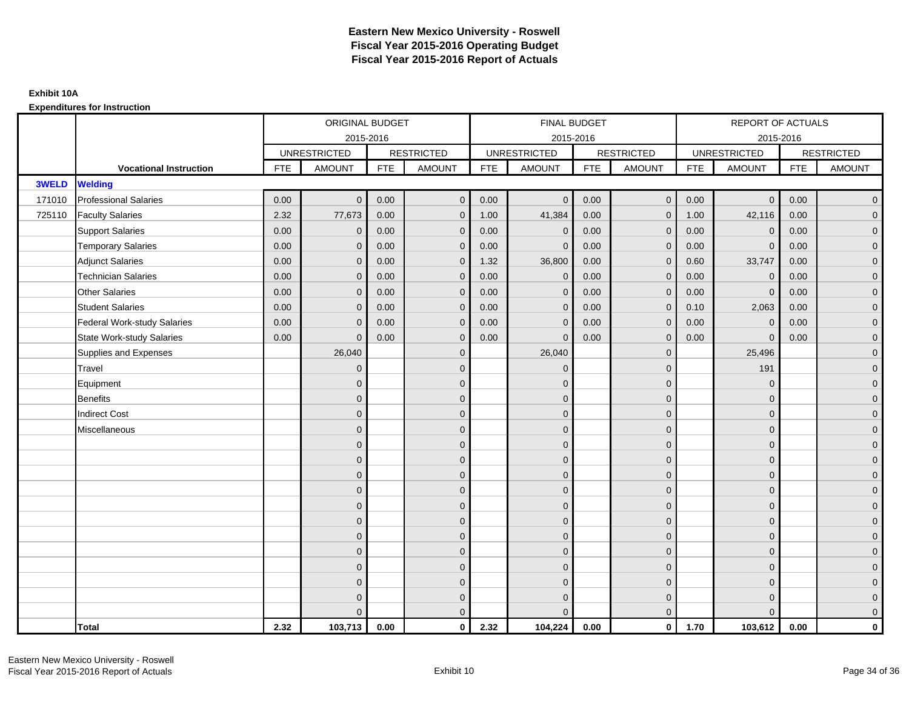|              |                               |            | ORIGINAL BUDGET     |            |                   |            | FINAL BUDGET        |            |                   |            | REPORT OF ACTUALS   |            |                     |
|--------------|-------------------------------|------------|---------------------|------------|-------------------|------------|---------------------|------------|-------------------|------------|---------------------|------------|---------------------|
|              |                               |            |                     | 2015-2016  |                   |            | 2015-2016           |            |                   |            | 2015-2016           |            |                     |
|              |                               |            | <b>UNRESTRICTED</b> |            | <b>RESTRICTED</b> |            | <b>UNRESTRICTED</b> |            | <b>RESTRICTED</b> |            | <b>UNRESTRICTED</b> |            | <b>RESTRICTED</b>   |
|              | <b>Vocational Instruction</b> | <b>FTE</b> | <b>AMOUNT</b>       | <b>FTE</b> | <b>AMOUNT</b>     | <b>FTE</b> | <b>AMOUNT</b>       | <b>FTE</b> | <b>AMOUNT</b>     | <b>FTE</b> | <b>AMOUNT</b>       | <b>FTE</b> | <b>AMOUNT</b>       |
| <b>3WELD</b> | <b>Welding</b>                |            |                     |            |                   |            |                     |            |                   |            |                     |            |                     |
| 171010       | <b>Professional Salaries</b>  | 0.00       | $\mathbf{0}$        | 0.00       | $\overline{0}$    | 0.00       | $\mathbf{0}$        | 0.00       | $\overline{0}$    | 0.00       | $\overline{0}$      | 0.00       | $\mathbf 0$         |
| 725110       | <b>Faculty Salaries</b>       | 2.32       | 77,673              | 0.00       | $\mathbf 0$       | 1.00       | 41,384              | 0.00       | $\mathbf{0}$      | 1.00       | 42,116              | 0.00       | $\overline{0}$      |
|              | <b>Support Salaries</b>       | 0.00       | $\mathbf 0$         | 0.00       | $\mathbf 0$       | 0.00       | $\mathbf{0}$        | 0.00       | $\mathbf 0$       | 0.00       | $\mathbf 0$         | 0.00       | $\overline{0}$      |
|              | <b>Temporary Salaries</b>     | 0.00       | $\mathbf{0}$        | 0.00       | $\mathbf 0$       | 0.00       | $\Omega$            | 0.00       | $\mathbf{0}$      | 0.00       | $\mathbf 0$         | 0.00       | $\mathbf 0$         |
|              | <b>Adjunct Salaries</b>       | 0.00       | $\mathbf{0}$        | 0.00       | $\overline{0}$    | 1.32       | 36,800              | 0.00       | $\mathbf{0}$      | 0.60       | 33,747              | 0.00       | $\mathbf 0$         |
|              | <b>Technician Salaries</b>    | 0.00       | $\Omega$            | 0.00       | $\overline{0}$    | 0.00       | $\Omega$            | 0.00       | $\mathbf{0}$      | 0.00       | $\mathbf{0}$        | 0.00       | $\mathbf 0$         |
|              | <b>Other Salaries</b>         | 0.00       | $\mathbf{0}$        | 0.00       | $\mathbf 0$       | 0.00       | $\mathbf{0}$        | 0.00       | $\mathbf{0}$      | 0.00       | $\mathbf 0$         | 0.00       | $\mathbf 0$         |
|              | <b>Student Salaries</b>       | 0.00       | $\mathbf{0}$        | 0.00       | $\mathbf 0$       | 0.00       | $\mathbf{0}$        | 0.00       | $\mathbf{0}$      | 0.10       | 2,063               | 0.00       | $\overline{0}$      |
|              | Federal Work-study Salaries   | 0.00       | $\mathbf{0}$        | 0.00       | $\overline{0}$    | 0.00       | $\Omega$            | 0.00       | $\mathbf{0}$      | 0.00       | $\mathbf{0}$        | 0.00       | $\overline{0}$      |
|              | State Work-study Salaries     | 0.00       | $\mathbf{0}$        | 0.00       | $\overline{0}$    | 0.00       | $\Omega$            | 0.00       | $\mathbf{0}$      | 0.00       | $\mathbf 0$         | 0.00       | $\mathbf 0$         |
|              | Supplies and Expenses         |            | 26,040              |            | $\mathbf 0$       |            | 26,040              |            | $\mathbf 0$       |            | 25,496              |            | $\mathbf 0$         |
|              | <b>Travel</b>                 |            | $\mathbf{0}$        |            | $\mathbf 0$       |            | $\mathbf{0}$        |            | $\mathbf 0$       |            | 191                 |            | $\mathbf 0$         |
|              | Equipment                     |            | $\Omega$            |            | $\mathbf 0$       |            | $\Omega$            |            | $\mathbf 0$       |            | $\mathbf{0}$        |            | $\mathbf 0$         |
|              | Benefits                      |            | $\mathbf{0}$        |            | $\mathbf 0$       |            | $\Omega$            |            | $\mathbf 0$       |            | $\mathbf{0}$        |            | $\mathbf 0$         |
|              | <b>Indirect Cost</b>          |            | $\mathbf{0}$        |            | $\mathbf 0$       |            | $\Omega$            |            | $\mathbf 0$       |            | $\mathbf{0}$        |            | $\mathbf 0$         |
|              | Miscellaneous                 |            | $\Omega$            |            | $\mathbf 0$       |            | $\Omega$            |            | $\mathbf 0$       |            | $\mathbf{0}$        |            | $\mathsf{O}\xspace$ |
|              |                               |            | $\Omega$            |            | $\mathbf 0$       |            | $\Omega$            |            | $\mathbf{0}$      |            | $\Omega$            |            | $\overline{0}$      |
|              |                               |            | $\mathbf{0}$        |            | $\mathbf 0$       |            | $\mathbf{0}$        |            | $\mathbf 0$       |            | $\mathbf 0$         |            | $\mathbf 0$         |
|              |                               |            | $\mathbf{0}$        |            | $\mathbf 0$       |            | $\Omega$            |            | $\mathbf 0$       |            | $\mathbf{0}$        |            | $\mathbf 0$         |
|              |                               |            | $\Omega$            |            | $\mathbf 0$       |            | $\Omega$            |            | $\mathbf{0}$      |            | $\mathbf{0}$        |            | $\mathbf 0$         |
|              |                               |            | $\Omega$            |            | $\overline{0}$    |            | $\Omega$            |            | $\mathbf{0}$      |            | $\Omega$            |            | $\mathbf 0$         |
|              |                               |            | $\mathbf{0}$        |            | $\mathbf 0$       |            | $\mathbf{0}$        |            | $\mathbf 0$       |            | $\mathbf{0}$        |            | $\mathbf 0$         |
|              |                               |            | $\mathbf{0}$        |            | $\mathbf 0$       |            | $\Omega$            |            | $\mathbf 0$       |            | $\mathbf{0}$        |            | $\overline{0}$      |
|              |                               |            | $\mathbf{0}$        |            | $\mathbf 0$       |            | $\Omega$            |            | $\mathbf{0}$      |            | $\mathbf{0}$        |            | $\mathbf 0$         |
|              |                               |            | $\Omega$            |            | $\mathbf 0$       |            | $\Omega$            |            | $\mathbf{0}$      |            | $\Omega$            |            | $\mathbf 0$         |
|              |                               |            | $\Omega$            |            | $\mathbf 0$       |            | $\Omega$            |            | $\mathbf 0$       |            | $\mathbf{0}$        |            | $\mathbf 0$         |
|              |                               |            | $\Omega$            |            | $\mathbf 0$       |            | $\Omega$            |            | $\mathbf 0$       |            | $\mathbf{0}$        |            | $\mathbf 0$         |
|              |                               |            | $\Omega$            |            | $\overline{0}$    |            |                     |            | $\overline{0}$    |            | $\Omega$            |            | $\overline{0}$      |
|              | <b>Total</b>                  | 2.32       | 103,713             | 0.00       | $\mathbf{0}$      | 2.32       | 104,224             | 0.00       | $\mathbf{0}$      | 1.70       | 103,612             | 0.00       | $\mathbf{0}$        |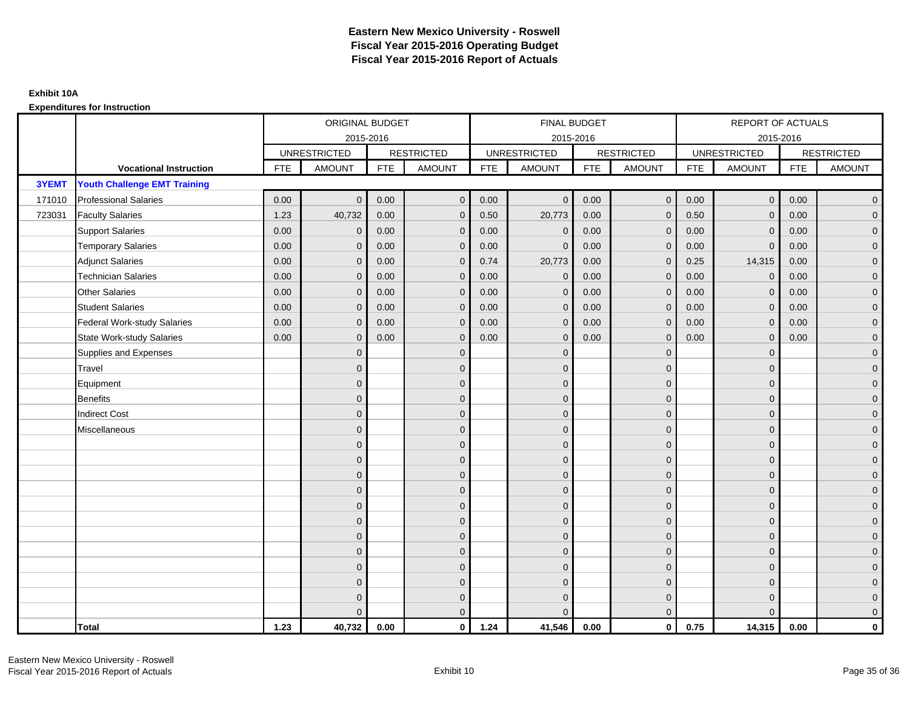|        |                                     |            | ORIGINAL BUDGET     |            |                   |            | <b>FINAL BUDGET</b> |            |                   |            | REPORT OF ACTUALS   |            |                   |
|--------|-------------------------------------|------------|---------------------|------------|-------------------|------------|---------------------|------------|-------------------|------------|---------------------|------------|-------------------|
|        |                                     |            | 2015-2016           |            |                   |            | 2015-2016           |            |                   |            | 2015-2016           |            |                   |
|        |                                     |            | <b>UNRESTRICTED</b> |            | <b>RESTRICTED</b> |            | <b>UNRESTRICTED</b> |            | <b>RESTRICTED</b> |            | <b>UNRESTRICTED</b> |            | <b>RESTRICTED</b> |
|        | <b>Vocational Instruction</b>       | <b>FTE</b> | <b>AMOUNT</b>       | <b>FTE</b> | <b>AMOUNT</b>     | <b>FTE</b> | <b>AMOUNT</b>       | <b>FTE</b> | <b>AMOUNT</b>     | <b>FTE</b> | <b>AMOUNT</b>       | <b>FTE</b> | <b>AMOUNT</b>     |
| 3YEMT  | <b>Youth Challenge EMT Training</b> |            |                     |            |                   |            |                     |            |                   |            |                     |            |                   |
| 171010 | <b>Professional Salaries</b>        | 0.00       | $\Omega$            | 0.00       | $\overline{0}$    | 0.00       | $\Omega$            | 0.00       | $\mathbf{0}$      | 0.00       | $\overline{0}$      | 0.00       | $\overline{0}$    |
| 723031 | <b>Faculty Salaries</b>             | 1.23       | 40,732              | 0.00       | $\mathbf 0$       | 0.50       | 20,773              | 0.00       | $\mathbf{0}$      | 0.50       | $\mathbf 0$         | 0.00       | $\overline{0}$    |
|        | <b>Support Salaries</b>             | 0.00       | $\mathbf 0$         | 0.00       | $\mathbf 0$       | 0.00       | $\mathbf 0$         | 0.00       | 0                 | 0.00       | $\mathbf 0$         | 0.00       | $\overline{0}$    |
|        | <b>Temporary Salaries</b>           | 0.00       | $\mathbf{0}$        | 0.00       | $\overline{0}$    | 0.00       | $\Omega$            | 0.00       | $\Omega$          | 0.00       | $\mathbf{0}$        | 0.00       | $\overline{0}$    |
|        | <b>Adjunct Salaries</b>             | 0.00       | $\Omega$            | 0.00       | $\overline{0}$    | 0.74       | 20,773              | 0.00       | $\Omega$          | 0.25       | 14,315              | 0.00       | $\overline{0}$    |
|        | <b>Technician Salaries</b>          | 0.00       | $\Omega$            | 0.00       | $\mathbf{0}$      | 0.00       | $\mathbf{0}$        | 0.00       | $\mathbf{0}$      | 0.00       | $\mathbf 0$         | 0.00       | $\mathbf{0}$      |
|        | Other Salaries                      | 0.00       | $\mathbf{0}$        | 0.00       | $\overline{0}$    | 0.00       | $\mathbf{0}$        | 0.00       | $\Omega$          | 0.00       | $\mathbf 0$         | 0.00       | $\overline{0}$    |
|        | <b>Student Salaries</b>             | 0.00       | $\Omega$            | 0.00       | $\overline{0}$    | 0.00       | $\mathbf{0}$        | 0.00       | $\mathbf 0$       | 0.00       | $\mathbf 0$         | 0.00       | $\overline{0}$    |
|        | <b>Federal Work-study Salaries</b>  | 0.00       | $\mathbf{0}$        | 0.00       | $\mathbf 0$       | 0.00       | $\mathbf{0}$        | 0.00       | $\Omega$          | 0.00       | $\mathbf 0$         | 0.00       | $\overline{0}$    |
|        | State Work-study Salaries           | 0.00       | $\mathbf{0}$        | 0.00       | $\overline{0}$    | 0.00       | $\mathbf{0}$        | 0.00       | $\mathbf 0$       | 0.00       | $\mathbf{0}$        | 0.00       | $\overline{0}$    |
|        | Supplies and Expenses               |            | $\Omega$            |            | $\mathbf{0}$      |            | $\Omega$            |            | $\mathbf 0$       |            | $\mathbf{0}$        |            | $\mathbf{0}$      |
|        | Travel                              |            | $\Omega$            |            | $\mathbf 0$       |            | $\Omega$            |            | $\Omega$          |            | $\mathbf{0}$        |            | $\overline{0}$    |
|        | Equipment                           |            | $\Omega$            |            | $\mathbf 0$       |            | $\overline{0}$      |            | $\mathbf{0}$      |            | $\mathbf{0}$        |            | $\overline{0}$    |
|        | <b>Benefits</b>                     |            | $\Omega$            |            | $\mathbf 0$       |            | $\Omega$            |            | $\mathbf{0}$      |            | $\mathbf{0}$        |            | $\overline{0}$    |
|        | <b>Indirect Cost</b>                |            | $\Omega$            |            | $\overline{0}$    |            | $\Omega$            |            | $\Omega$          |            | $\Omega$            |            | $\overline{0}$    |
|        | Miscellaneous                       |            | $\Omega$            |            | $\mathbf 0$       |            | $\mathbf{0}$        |            | $\Omega$          |            | $\mathbf{0}$        |            | $\mathbf{0}$      |
|        |                                     |            | $\Omega$            |            | $\mathbf 0$       |            | $\Omega$            |            | $\mathbf{0}$      |            | $\mathbf{0}$        |            | $\overline{0}$    |
|        |                                     |            | $\Omega$            |            | $\mathbf 0$       |            | $\Omega$            |            | $\mathbf{0}$      |            | $\mathbf{0}$        |            | $\overline{0}$    |
|        |                                     |            | $\Omega$            |            | $\mathbf 0$       |            | $\Omega$            |            | $\overline{0}$    |            | $\mathbf{0}$        |            | $\overline{0}$    |
|        |                                     |            | $\Omega$            |            | $\mathbf 0$       |            | $\Omega$            |            | $\mathbf{0}$      |            | $\mathbf{0}$        |            | $\mathbf{0}$      |
|        |                                     |            | $\Omega$            |            | $\mathbf 0$       |            | $\Omega$            |            | $\mathbf 0$       |            | $\Omega$            |            | $\mathbf{0}$      |
|        |                                     |            | $\Omega$            |            | $\mathbf 0$       |            | $\Omega$            |            | $\mathbf{0}$      |            | $\Omega$            |            | $\overline{0}$    |
|        |                                     |            | $\Omega$            |            | $\mathbf 0$       |            | $\mathbf{0}$        |            | $\mathbf{0}$      |            | $\mathbf{0}$        |            | $\overline{0}$    |
|        |                                     |            | $\Omega$            |            | $\mathbf 0$       |            | $\Omega$            |            | $\mathbf 0$       |            | $\mathbf{0}$        |            | $\overline{0}$    |
|        |                                     |            | $\Omega$            |            | $\overline{0}$    |            | $\Omega$            |            | $\Omega$          |            | $\Omega$            |            | $\overline{0}$    |
|        |                                     |            | $\Omega$            |            | $\mathbf 0$       |            | $\mathbf{0}$        |            | $\mathbf{0}$      |            | $\mathbf{0}$        |            | $\mathbf{0}$      |
|        |                                     |            | $\Omega$            |            | $\mathbf 0$       |            | $\Omega$            |            | $\mathbf{0}$      |            | $\mathbf{0}$        |            | $\mathbf{0}$      |
|        |                                     |            |                     |            | $\overline{0}$    |            | $\Omega$            |            | $\mathbf{0}$      |            | $\Omega$            |            | $\overline{0}$    |
|        | <b>Total</b>                        | 1.23       | 40,732              | 0.00       | $\mathbf{0}$      | 1.24       | 41,546              | 0.00       | $\mathbf{0}$      | 0.75       | 14,315              | 0.00       | $\mathbf 0$       |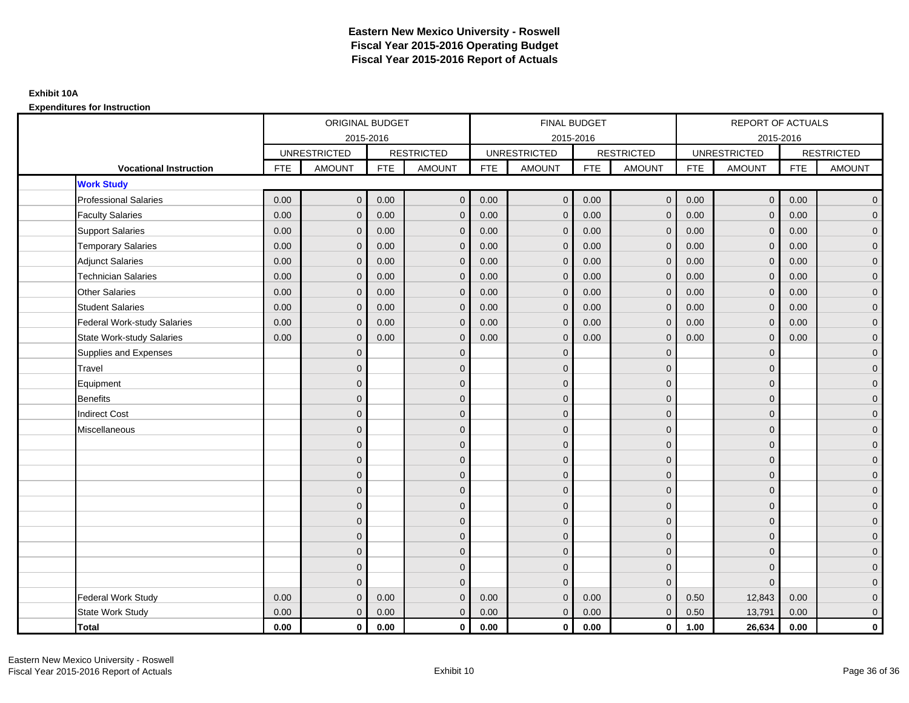|                                    |            | ORIGINAL BUDGET     |            |                   |            | <b>FINAL BUDGET</b> |            |                   |            | <b>REPORT OF ACTUALS</b> |            |                     |
|------------------------------------|------------|---------------------|------------|-------------------|------------|---------------------|------------|-------------------|------------|--------------------------|------------|---------------------|
|                                    |            | 2015-2016           |            |                   |            | 2015-2016           |            |                   |            | 2015-2016                |            |                     |
|                                    |            | <b>UNRESTRICTED</b> |            | <b>RESTRICTED</b> |            | <b>UNRESTRICTED</b> |            | <b>RESTRICTED</b> |            | <b>UNRESTRICTED</b>      |            | <b>RESTRICTED</b>   |
| <b>Vocational Instruction</b>      | <b>FTE</b> | <b>AMOUNT</b>       | <b>FTE</b> | <b>AMOUNT</b>     | <b>FTE</b> | <b>AMOUNT</b>       | <b>FTE</b> | <b>AMOUNT</b>     | <b>FTE</b> | <b>AMOUNT</b>            | <b>FTE</b> | <b>AMOUNT</b>       |
| <b>Work Study</b>                  |            |                     |            |                   |            |                     |            |                   |            |                          |            |                     |
| <b>Professional Salaries</b>       | 0.00       | $\mathbf{0}$        | 0.00       | $\mathbf{0}$      | 0.00       | $\overline{0}$      | 0.00       | $\overline{0}$    | 0.00       | $\overline{0}$           | 0.00       | $\overline{0}$      |
| <b>Faculty Salaries</b>            | 0.00       | $\mathbf{0}$        | 0.00       | $\mathbf{0}$      | 0.00       | $\mathbf{0}$        | 0.00       | $\mathbf{0}$      | 0.00       | $\mathbf{0}$             | 0.00       | $\overline{0}$      |
| <b>Support Salaries</b>            | 0.00       | $\mathbf{0}$        | 0.00       | $\mathbf{0}$      | 0.00       | $\mathbf{0}$        | 0.00       | $\mathbf 0$       | 0.00       | $\mathbf 0$              | 0.00       | $\overline{0}$      |
| <b>Temporary Salaries</b>          | 0.00       | $\Omega$            | 0.00       | $\Omega$          | 0.00       | $\mathbf{0}$        | 0.00       | $\mathbf{0}$      | 0.00       | $\mathbf{0}$             | 0.00       | $\overline{0}$      |
| <b>Adjunct Salaries</b>            | 0.00       | $\mathbf{0}$        | 0.00       | $\mathbf{0}$      | 0.00       | $\mathbf{0}$        | 0.00       | $\mathbf{0}$      | 0.00       | $\mathbf 0$              | 0.00       | $\mathbf{0}$        |
| <b>Technician Salaries</b>         | 0.00       | $\mathbf{0}$        | 0.00       | $\mathbf{0}$      | 0.00       | $\mathbf{0}$        | 0.00       | $\mathbf{0}$      | 0.00       | $\mathbf 0$              | 0.00       | $\mathbf{0}$        |
| <b>Other Salaries</b>              | 0.00       | $\Omega$            | 0.00       | $\Omega$          | 0.00       | $\Omega$            | 0.00       | $\mathbf{0}$      | 0.00       | $\mathbf{0}$             | 0.00       | $\overline{0}$      |
| <b>Student Salaries</b>            | 0.00       | $\mathbf 0$         | 0.00       | $\mathbf{0}$      | 0.00       | $\mathbf{0}$        | 0.00       | $\mathbf 0$       | 0.00       | $\mathbf 0$              | 0.00       | $\overline{0}$      |
| <b>Federal Work-study Salaries</b> | 0.00       | $\mathbf{0}$        | 0.00       | $\Omega$          | 0.00       | $\mathbf{0}$        | 0.00       | $\mathbf 0$       | 0.00       | $\mathbf 0$              | 0.00       | $\overline{0}$      |
| <b>State Work-study Salaries</b>   | 0.00       | $\mathbf{0}$        | 0.00       | $\Omega$          | 0.00       | $\mathbf{0}$        | 0.00       | $\mathbf{0}$      | 0.00       | $\mathbf 0$              | 0.00       | $\overline{0}$      |
| Supplies and Expenses              |            | $\mathbf{0}$        |            | $\mathbf{0}$      |            | $\mathbf{0}$        |            | $\mathbf 0$       |            | $\mathbf 0$              |            | $\pmb{0}$           |
| Travel                             |            | $\mathbf{0}$        |            | $\mathbf{0}$      |            | $\Omega$            |            | $\mathbf 0$       |            | $\mathbf 0$              |            | $\overline{0}$      |
| Equipment                          |            | $\mathbf{0}$        |            | $\mathbf 0$       |            | $\Omega$            |            | $\mathbf 0$       |            | $\mathbf{0}$             |            | $\overline{0}$      |
| <b>Benefits</b>                    |            | $\mathbf{0}$        |            | $\mathbf{0}$      |            | $\mathbf{0}$        |            | $\mathbf 0$       |            | $\mathbf 0$              |            | $\mathbf{0}$        |
| <b>Indirect Cost</b>               |            | $\mathbf{0}$        |            | $\mathbf{0}$      |            | $\Omega$            |            | $\mathbf{0}$      |            | $\Omega$                 |            | $\overline{0}$      |
| Miscellaneous                      |            | $\Omega$            |            | $\mathbf{0}$      |            | $\Omega$            |            | $\mathbf{0}$      |            | $\Omega$                 |            | $\overline{0}$      |
|                                    |            | $\mathbf{0}$        |            | $\mathbf 0$       |            | $\mathbf{0}$        |            | $\mathbf 0$       |            | $\mathbf 0$              |            | $\mathsf{O}\xspace$ |
|                                    |            | $\mathbf{0}$        |            | $\mathbf 0$       |            | $\mathbf{0}$        |            | $\mathbf 0$       |            | $\mathbf 0$              |            | $\overline{0}$      |
|                                    |            | $\Omega$            |            | $\mathbf{0}$      |            | $\Omega$            |            | $\mathbf 0$       |            | $\Omega$                 |            | $\overline{0}$      |
|                                    |            | $\mathbf{0}$        |            | $\mathbf{0}$      |            | $\mathbf{0}$        |            | $\mathbf 0$       |            | $\mathbf 0$              |            | $\mathsf{O}\xspace$ |
|                                    |            | $\mathbf{0}$        |            | $\mathbf{0}$      |            | $\mathbf{0}$        |            | $\mathbf 0$       |            | $\Omega$                 |            | $\mathsf{O}\xspace$ |
|                                    |            | $\mathbf{0}$        |            | $\mathbf{0}$      |            | $\Omega$            |            | $\mathbf{0}$      |            | $\Omega$                 |            | $\overline{0}$      |
|                                    |            | $\mathbf{0}$        |            | $\mathbf 0$       |            | $\mathbf{0}$        |            | $\mathbf 0$       |            | $\mathbf 0$              |            | $\overline{0}$      |
|                                    |            | $\Omega$            |            | $\mathbf{0}$      |            | $\Omega$            |            | $\mathbf 0$       |            | $\mathbf 0$              |            | $\overline{0}$      |
|                                    |            | $\Omega$            |            | $\mathbf{0}$      |            | $\Omega$            |            | $\mathbf{0}$      |            | $\Omega$                 |            | $\overline{0}$      |
|                                    |            | $\Omega$            |            | $\mathbf{0}$      |            | $\Omega$            |            | $\mathbf{0}$      |            | $\Omega$                 |            | $\mathsf{O}\xspace$ |
| <b>Federal Work Study</b>          | 0.00       | $\mathbf{0}$        | 0.00       | $\mathbf{0}$      | 0.00       | $\mathbf{0}$        | 0.00       | $\mathbf{0}$      | 0.50       | 12,843                   | 0.00       | $\mathbf{0}$        |
| State Work Study                   | 0.00       | $\mathbf{0}$        | 0.00       | $\mathbf{0}$      | 0.00       | $\mathbf{0}$        | 0.00       | $\mathbf 0$       | 0.50       | 13,791                   | 0.00       | $\overline{0}$      |
| <b>Total</b>                       | 0.00       | $\mathbf 0$         | 0.00       | $\mathbf 0$       | 0.00       | $\mathbf{0}$        | 0.00       | $\mathbf 0$       | 1.00       | 26,634                   | 0.00       | $\mathbf{0}$        |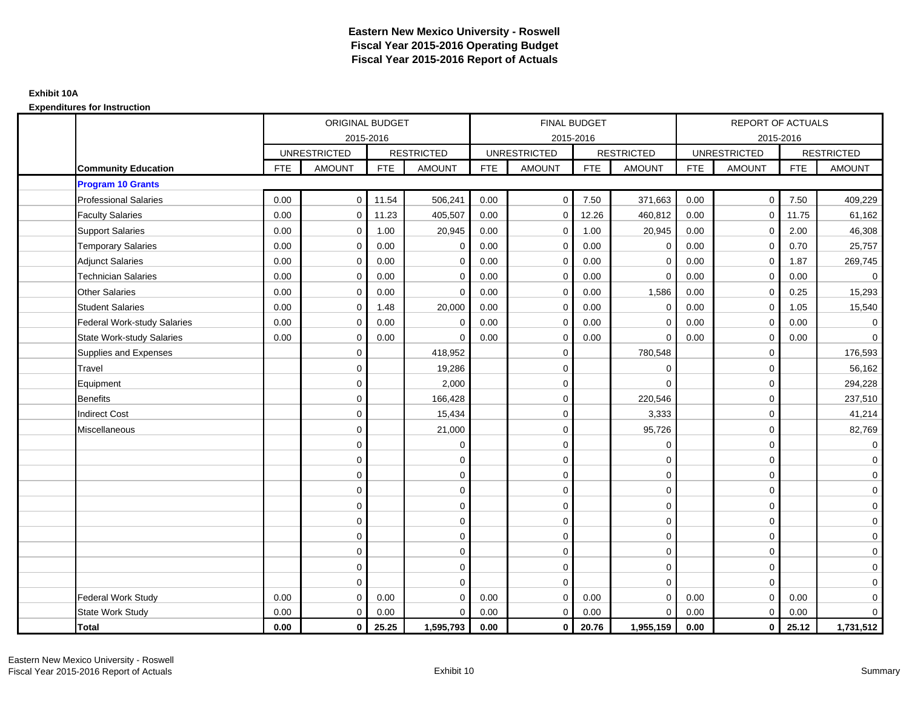|                                  |            | <b>ORIGINAL BUDGET</b> |            |                   |            | <b>FINAL BUDGET</b> |            |                   |            | <b>REPORT OF ACTUALS</b> |            |                   |
|----------------------------------|------------|------------------------|------------|-------------------|------------|---------------------|------------|-------------------|------------|--------------------------|------------|-------------------|
|                                  |            | 2015-2016              |            |                   |            | 2015-2016           |            |                   |            | 2015-2016                |            |                   |
|                                  |            | <b>UNRESTRICTED</b>    |            | <b>RESTRICTED</b> |            | <b>UNRESTRICTED</b> |            | <b>RESTRICTED</b> |            | <b>UNRESTRICTED</b>      |            | <b>RESTRICTED</b> |
| <b>Community Education</b>       | <b>FTE</b> | <b>AMOUNT</b>          | <b>FTE</b> | <b>AMOUNT</b>     | <b>FTE</b> | <b>AMOUNT</b>       | <b>FTE</b> | <b>AMOUNT</b>     | <b>FTE</b> | <b>AMOUNT</b>            | <b>FTE</b> | <b>AMOUNT</b>     |
| <b>Program 10 Grants</b>         |            |                        |            |                   |            |                     |            |                   |            |                          |            |                   |
| <b>Professional Salaries</b>     | 0.00       | $\mathbf 0$            | 11.54      | 506,241           | 0.00       | $\mathbf 0$         | 7.50       | 371,663           | 0.00       | $\mathbf{0}$             | 7.50       | 409,229           |
| <b>Faculty Salaries</b>          | 0.00       | $\mathbf 0$            | 11.23      | 405,507           | 0.00       | $\mathbf 0$         | 12.26      | 460,812           | 0.00       | 0                        | 11.75      | 61,162            |
| <b>Support Salaries</b>          | 0.00       | $\mathbf 0$            | 1.00       | 20,945            | 0.00       | $\mathbf{0}$        | 1.00       | 20,945            | 0.00       | $\mathbf 0$              | 2.00       | 46,308            |
| <b>Temporary Salaries</b>        | 0.00       | $\Omega$               | 0.00       | $\Omega$          | 0.00       | $\Omega$            | 0.00       | $\mathbf 0$       | 0.00       | $\mathbf 0$              | 0.70       | 25,757            |
| <b>Adjunct Salaries</b>          | 0.00       | $\mathbf 0$            | 0.00       | 0                 | 0.00       | 0                   | 0.00       | $\mathbf 0$       | 0.00       | 0                        | 1.87       | 269,745           |
| <b>Technician Salaries</b>       | 0.00       | $\mathbf 0$            | 0.00       | $\Omega$          | 0.00       | $\mathbf 0$         | 0.00       | $\mathbf 0$       | 0.00       | $\mathbf 0$              | 0.00       | $\mathbf 0$       |
| <b>Other Salaries</b>            | 0.00       | $\mathbf 0$            | 0.00       | $\Omega$          | 0.00       | $\Omega$            | 0.00       | 1,586             | 0.00       | $\mathbf 0$              | 0.25       | 15,293            |
| <b>Student Salaries</b>          | 0.00       | $\mathbf 0$            | 1.48       | 20,000            | 0.00       | 0                   | 0.00       | $\mathbf 0$       | 0.00       | $\mathbf 0$              | 1.05       | 15,540            |
| Federal Work-study Salaries      | 0.00       | $\mathbf 0$            | 0.00       | $\mathbf 0$       | 0.00       | $\mathbf 0$         | 0.00       | $\mathbf 0$       | 0.00       | $\mathbf 0$              | 0.00       | $\mathbf 0$       |
| <b>State Work-study Salaries</b> | 0.00       | $\mathbf 0$            | 0.00       | $\Omega$          | 0.00       | $\mathbf 0$         | 0.00       | $\mathbf 0$       | 0.00       | $\mathbf 0$              | 0.00       | $\overline{0}$    |
| Supplies and Expenses            |            | $\mathbf 0$            |            | 418,952           |            | $\mathbf 0$         |            | 780,548           |            | $\mathbf 0$              |            | 176,593           |
| Travel                           |            | $\mathbf 0$            |            | 19,286            |            | $\mathbf 0$         |            | $\mathbf 0$       |            | $\mathbf 0$              |            | 56,162            |
| Equipment                        |            | $\mathbf 0$            |            | 2,000             |            | $\mathbf 0$         |            | $\Omega$          |            | $\mathbf 0$              |            | 294,228           |
| Benefits                         |            | $\mathbf 0$            |            | 166,428           |            | $\mathbf 0$         |            | 220,546           |            | $\mathbf 0$              |            | 237,510           |
| <b>Indirect Cost</b>             |            | $\mathbf 0$            |            | 15,434            |            | $\Omega$            |            | 3,333             |            | $\mathbf 0$              |            | 41,214            |
| Miscellaneous                    |            | $\mathbf 0$            |            | 21,000            |            | $\mathbf 0$         |            | 95,726            |            | $\mathbf 0$              |            | 82,769            |
|                                  |            | $\mathbf 0$            |            | $\mathbf 0$       |            | $\mathbf 0$         |            | $\mathbf 0$       |            | $\mathbf 0$              |            | $\overline{0}$    |
|                                  |            | $\mathbf 0$            |            | 0                 |            | $\mathbf{0}$        |            | $\mathbf 0$       |            | $\mathbf 0$              |            | $\overline{0}$    |
|                                  |            | $\Omega$               |            | $\mathbf 0$       |            | $\Omega$            |            | $\mathbf 0$       |            | $\Omega$                 |            | $\overline{0}$    |
|                                  |            | $\mathbf 0$            |            | $\mathbf 0$       |            | $\mathbf 0$         |            | $\mathbf 0$       |            | $\mathbf 0$              |            | $\mathbf 0$       |
|                                  |            | $\mathbf 0$            |            | $\mathbf 0$       |            | $\mathbf 0$         |            | $\mathbf 0$       |            | $\mathbf 0$              |            | $\mathbf 0$       |
|                                  |            | $\mathbf 0$            |            | $\mathbf 0$       |            | $\mathbf 0$         |            | $\mathbf 0$       |            | $\Omega$                 |            | $\mathbf 0$       |
|                                  |            | $\mathbf 0$            |            | $\pmb{0}$         |            | $\mathbf 0$         |            | $\mathsf 0$       |            | $\mathbf 0$              |            | $\overline{0}$    |
|                                  |            | $\mathbf 0$            |            | $\mathbf 0$       |            | $\Omega$            |            | $\mathbf 0$       |            | $\mathbf 0$              |            | $\mathbf 0$       |
|                                  |            | $\mathbf 0$            |            | $\mathbf 0$       |            | 0                   |            | $\mathbf 0$       |            | $\mathbf 0$              |            | $\mathbf 0$       |
|                                  |            | $\Omega$               |            | $\mathbf 0$       |            | $\Omega$            |            | $\mathbf{0}$      |            | $\Omega$                 |            | $\mathbf 0$       |
| Federal Work Study               | 0.00       | $\mathbf 0$            | 0.00       | $\Omega$          | 0.00       | $\mathbf{0}$        | 0.00       | $\mathbf 0$       | 0.00       | $\mathbf 0$              | 0.00       | $\mathbf 0$       |
| State Work Study                 | 0.00       | $\mathbf 0$            | 0.00       | $\mathbf 0$       | 0.00       | $\mathbf{0}$        | 0.00       | $\mathbf 0$       | 0.00       | $\mathbf 0$              | 0.00       | $\overline{0}$    |
| Total                            | 0.00       | $\mathbf{0}$           | 25.25      | 1,595,793         | 0.00       | $\mathbf{0}$        | 20.76      | 1,955,159         | 0.00       | $\mathbf 0$              | 25.12      | 1,731,512         |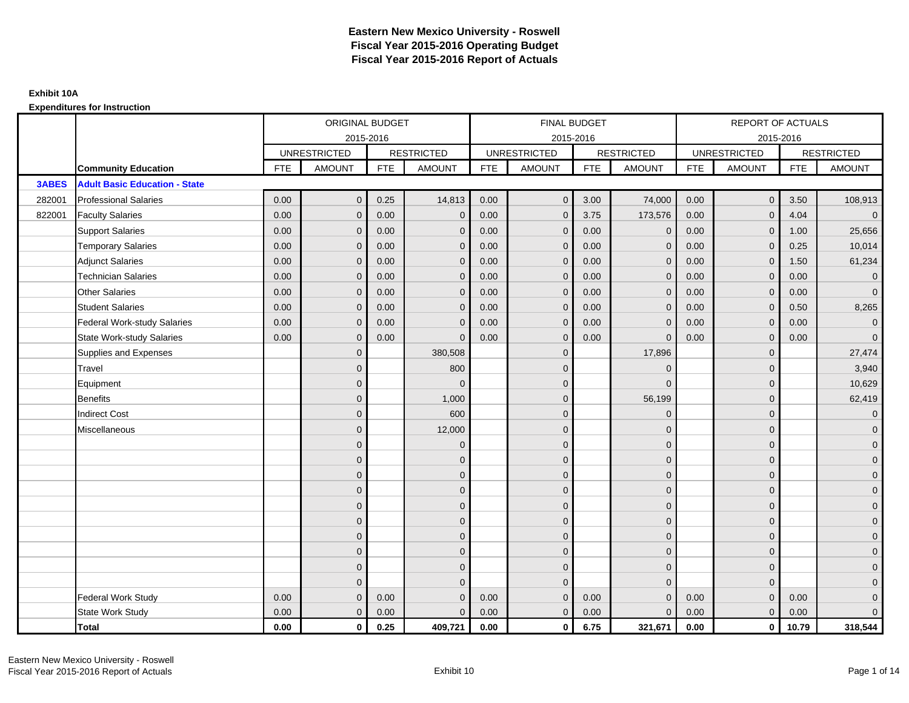|              |                                      |            | ORIGINAL BUDGET     |            |                   |            | <b>FINAL BUDGET</b> |            |                   |            | <b>REPORT OF ACTUALS</b> |            |                     |
|--------------|--------------------------------------|------------|---------------------|------------|-------------------|------------|---------------------|------------|-------------------|------------|--------------------------|------------|---------------------|
|              |                                      |            |                     | 2015-2016  |                   |            | 2015-2016           |            |                   |            | 2015-2016                |            |                     |
|              |                                      |            | <b>UNRESTRICTED</b> |            | <b>RESTRICTED</b> |            | <b>UNRESTRICTED</b> |            | <b>RESTRICTED</b> |            | <b>UNRESTRICTED</b>      |            | <b>RESTRICTED</b>   |
|              | <b>Community Education</b>           | <b>FTE</b> | <b>AMOUNT</b>       | <b>FTE</b> | <b>AMOUNT</b>     | <b>FTE</b> | <b>AMOUNT</b>       | <b>FTE</b> | <b>AMOUNT</b>     | <b>FTE</b> | <b>AMOUNT</b>            | <b>FTE</b> | <b>AMOUNT</b>       |
| <b>3ABES</b> | <b>Adult Basic Education - State</b> |            |                     |            |                   |            |                     |            |                   |            |                          |            |                     |
| 282001       | <b>Professional Salaries</b>         | 0.00       | $\mathbf{0}$        | 0.25       | 14,813            | 0.00       | $\mathbf{0}$        | 3.00       | 74,000            | 0.00       | $\overline{0}$           | 3.50       | 108,913             |
| 822001       | <b>Faculty Salaries</b>              | 0.00       | $\mathbf{0}$        | 0.00       | $\mathbf 0$       | 0.00       | $\mathbf{0}$        | 3.75       | 173,576           | 0.00       | $\mathbf{0}$             | 4.04       | $\overline{0}$      |
|              | <b>Support Salaries</b>              | 0.00       | $\mathbf{0}$        | 0.00       | $\mathbf{0}$      | 0.00       | $\overline{0}$      | 0.00       | $\mathbf 0$       | 0.00       | $\overline{0}$           | 1.00       | 25,656              |
|              | <b>Temporary Salaries</b>            | 0.00       | $\mathbf{0}$        | 0.00       | $\Omega$          | 0.00       | $\mathbf{0}$        | 0.00       | $\mathbf 0$       | 0.00       | $\mathbf{0}$             | 0.25       | 10,014              |
|              | <b>Adjunct Salaries</b>              | 0.00       | $\mathbf{0}$        | 0.00       | $\mathbf{0}$      | 0.00       | $\mathbf{0}$        | 0.00       | $\mathbf 0$       | 0.00       | $\mathbf 0$              | 1.50       | 61,234              |
|              | <b>Technician Salaries</b>           | 0.00       | $\mathbf{0}$        | 0.00       | $\Omega$          | 0.00       | $\mathbf{0}$        | 0.00       | $\mathbf{0}$      | 0.00       | $\mathbf{0}$             | 0.00       | $\mathbf 0$         |
|              | <b>Other Salaries</b>                | 0.00       | $\mathbf{0}$        | 0.00       | $\Omega$          | 0.00       | $\Omega$            | 0.00       | $\Omega$          | 0.00       | $\mathbf{0}$             | 0.00       | $\overline{0}$      |
|              | <b>Student Salaries</b>              | 0.00       | $\mathbf 0$         | 0.00       | $\mathbf 0$       | 0.00       | $\overline{0}$      | 0.00       | $\mathbf 0$       | 0.00       | $\overline{0}$           | 0.50       | 8,265               |
|              | Federal Work-study Salaries          | 0.00       | $\mathbf{0}$        | 0.00       | $\Omega$          | 0.00       | $\mathbf{0}$        | 0.00       | $\mathbf 0$       | 0.00       | $\mathbf 0$              | 0.00       | $\mathbf 0$         |
|              | <b>State Work-study Salaries</b>     | 0.00       | $\mathbf{0}$        | 0.00       | $\Omega$          | 0.00       | $\mathbf{0}$        | 0.00       | $\Omega$          | 0.00       | $\mathbf{0}$             | 0.00       | $\mathbf{0}$        |
|              | Supplies and Expenses                |            | $\mathbf{0}$        |            | 380,508           |            | $\mathbf{0}$        |            | 17,896            |            | $\mathbf 0$              |            | 27,474              |
|              | Travel                               |            | $\mathbf{0}$        |            | 800               |            | $\mathbf{0}$        |            | $\mathbf 0$       |            | $\mathbf{0}$             |            | 3,940               |
|              | Equipment                            |            | $\mathbf{0}$        |            | $\Omega$          |            | $\mathbf{0}$        |            | $\Omega$          |            | $\mathbf{0}$             |            | 10,629              |
|              | <b>Benefits</b>                      |            | $\overline{0}$      |            | 1,000             |            | $\mathbf{0}$        |            | 56,199            |            | $\mathbf{0}$             |            | 62,419              |
|              | <b>Indirect Cost</b>                 |            | $\mathbf{0}$        |            | 600               |            | $\Omega$            |            | $\Omega$          |            | $\mathbf 0$              |            | $\overline{0}$      |
|              | Miscellaneous                        |            | $\Omega$            |            | 12,000            |            | $\mathbf{0}$        |            | $\mathbf 0$       |            | $\mathbf 0$              |            | $\mathsf{O}\xspace$ |
|              |                                      |            | $\overline{0}$      |            | $\mathbf 0$       |            | $\mathbf{0}$        |            | $\mathbf{0}$      |            | $\mathbf{0}$             |            | $\overline{0}$      |
|              |                                      |            | $\overline{0}$      |            | $\mathbf 0$       |            | $\mathbf{0}$        |            | $\mathbf 0$       |            | $\mathbf{0}$             |            | $\overline{0}$      |
|              |                                      |            | $\Omega$            |            | $\mathbf{0}$      |            | $\Omega$            |            | $\mathbf 0$       |            | $\Omega$                 |            | $\overline{0}$      |
|              |                                      |            | $\overline{0}$      |            | $\mathbf 0$       |            | $\mathbf{0}$        |            | $\mathbf 0$       |            | $\mathbf 0$              |            | $\mathbf{0}$        |
|              |                                      |            | $\mathbf{0}$        |            | $\mathbf 0$       |            | $\mathbf{0}$        |            | $\mathbf 0$       |            | $\mathbf 0$              |            | $\mathbf 0$         |
|              |                                      |            | $\overline{0}$      |            | $\mathbf{0}$      |            | $\mathbf{0}$        |            | $\mathbf{0}$      |            | $\mathbf{0}$             |            | $\overline{0}$      |
|              |                                      |            | $\overline{0}$      |            | $\mathbf 0$       |            | $\mathbf{0}$        |            | $\mathbf 0$       |            | $\mathbf 0$              |            | $\mathbf{0}$        |
|              |                                      |            | $\mathbf{0}$        |            | $\mathbf{0}$      |            | $\Omega$            |            | $\mathbf 0$       |            | $\mathbf{0}$             |            | $\overline{0}$      |
|              |                                      |            | $\mathbf{0}$        |            | $\mathbf{0}$      |            | $\Omega$            |            | $\mathbf{0}$      |            | $\mathbf{0}$             |            | $\overline{0}$      |
|              |                                      |            | $\Omega$            |            | $\Omega$          |            | $\Omega$            |            | $\overline{0}$    |            | $\Omega$                 |            | $\mathsf{O}\xspace$ |
|              | <b>Federal Work Study</b>            | 0.00       | $\mathbf{0}$        | 0.00       | $\mathbf 0$       | 0.00       | $\mathbf{0}$        | 0.00       | $\mathbf{0}$      | 0.00       | $\mathbf{0}$             | 0.00       | $\overline{0}$      |
|              | State Work Study                     | 0.00       | $\mathbf{0}$        | 0.00       | $\Omega$          | 0.00       | $\overline{0}$      | 0.00       | $\mathbf{0}$      | 0.00       | $\mathbf{0}$             | 0.00       | $\overline{0}$      |
|              | Total                                | 0.00       | $\mathbf 0$         | 0.25       | 409,721           | 0.00       | $\mathbf{0}$        | 6.75       | 321,671           | 0.00       | $\mathbf{0}$             | 10.79      | 318,544             |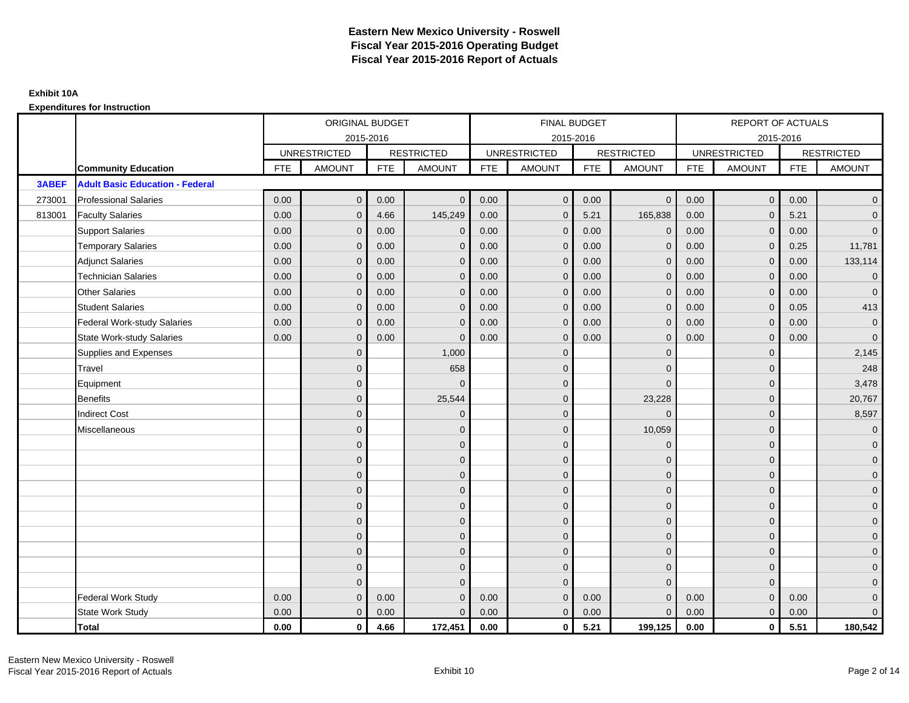|        |                                        |            | ORIGINAL BUDGET     |            |                   |            | <b>FINAL BUDGET</b> |            |                   |            | REPORT OF ACTUALS   |            |                     |
|--------|----------------------------------------|------------|---------------------|------------|-------------------|------------|---------------------|------------|-------------------|------------|---------------------|------------|---------------------|
|        |                                        |            |                     | 2015-2016  |                   |            | 2015-2016           |            |                   |            | 2015-2016           |            |                     |
|        |                                        |            | <b>UNRESTRICTED</b> |            | <b>RESTRICTED</b> |            | <b>UNRESTRICTED</b> |            | <b>RESTRICTED</b> |            | <b>UNRESTRICTED</b> |            | <b>RESTRICTED</b>   |
|        | <b>Community Education</b>             | <b>FTE</b> | <b>AMOUNT</b>       | <b>FTE</b> | <b>AMOUNT</b>     | <b>FTE</b> | <b>AMOUNT</b>       | <b>FTE</b> | <b>AMOUNT</b>     | <b>FTE</b> | <b>AMOUNT</b>       | <b>FTE</b> | <b>AMOUNT</b>       |
| 3ABEF  | <b>Adult Basic Education - Federal</b> |            |                     |            |                   |            |                     |            |                   |            |                     |            |                     |
| 273001 | <b>Professional Salaries</b>           | 0.00       | $\mathbf{0}$        | 0.00       | $\mathbf{0}$      | 0.00       | $\mathbf 0$         | 0.00       | $\overline{0}$    | 0.00       | $\overline{0}$      | 0.00       | $\overline{0}$      |
| 813001 | <b>Faculty Salaries</b>                | 0.00       | $\mathbf{0}$        | 4.66       | 145,249           | 0.00       | $\mathbf{0}$        | 5.21       | 165,838           | 0.00       | $\mathbf 0$         | 5.21       | $\overline{0}$      |
|        | <b>Support Salaries</b>                | 0.00       | $\mathbf{0}$        | 0.00       | $\mathbf 0$       | 0.00       | $\mathbf{0}$        | 0.00       | $\mathbf 0$       | 0.00       | $\overline{0}$      | 0.00       | $\overline{0}$      |
|        | <b>Temporary Salaries</b>              | 0.00       | $\mathbf 0$         | 0.00       | $\mathbf 0$       | 0.00       | $\mathbf{0}$        | 0.00       | $\mathbf 0$       | 0.00       | $\mathbf 0$         | 0.25       | 11,781              |
|        | <b>Adjunct Salaries</b>                | 0.00       | $\mathbf{0}$        | 0.00       | $\Omega$          | 0.00       | $\mathbf{0}$        | 0.00       | $\mathbf{0}$      | 0.00       | $\mathbf{0}$        | 0.00       | 133,114             |
|        | <b>Technician Salaries</b>             | 0.00       | $\Omega$            | 0.00       | $\Omega$          | 0.00       | $\Omega$            | 0.00       | $\Omega$          | 0.00       | $\mathbf{0}$        | 0.00       | $\mathbf 0$         |
|        | <b>Other Salaries</b>                  | 0.00       | $\mathbf{0}$        | 0.00       | $\mathbf{0}$      | 0.00       | $\mathbf{0}$        | 0.00       | $\mathbf{0}$      | 0.00       | $\mathbf 0$         | 0.00       | $\overline{0}$      |
|        | <b>Student Salaries</b>                | 0.00       | $\mathbf{0}$        | 0.00       | $\mathbf{0}$      | 0.00       | $\mathbf{0}$        | 0.00       | $\mathbf 0$       | 0.00       | $\mathbf{0}$        | 0.05       | 413                 |
|        | <b>Federal Work-study Salaries</b>     | 0.00       | $\mathbf{0}$        | 0.00       | $\Omega$          | 0.00       | $\Omega$            | 0.00       | $\mathbf{0}$      | 0.00       | $\mathbf{0}$        | 0.00       | $\mathbf{0}$        |
|        | <b>State Work-study Salaries</b>       | 0.00       | $\mathbf{0}$        | 0.00       | $\Omega$          | 0.00       | $\mathbf{0}$        | 0.00       | $\mathbf 0$       | 0.00       | $\mathbf{0}$        | 0.00       | $\mathbf{0}$        |
|        | Supplies and Expenses                  |            | $\mathbf{0}$        |            | 1,000             |            | $\mathbf{0}$        |            | $\overline{0}$    |            | $\mathbf 0$         |            | 2,145               |
|        | Travel                                 |            | $\overline{0}$      |            | 658               |            | $\Omega$            |            | $\mathbf 0$       |            | $\mathbf{0}$        |            | 248                 |
|        | Equipment                              |            | $\mathbf{0}$        |            | $\Omega$          |            | $\mathbf{0}$        |            | $\mathbf{0}$      |            | $\mathbf{0}$        |            | 3,478               |
|        | <b>Benefits</b>                        |            | $\Omega$            |            | 25,544            |            | $\Omega$            |            | 23,228            |            | $\mathbf{0}$        |            | 20,767              |
|        | <b>Indirect Cost</b>                   |            | $\overline{0}$      |            | $\mathbf 0$       |            | $\mathbf{0}$        |            | $\Omega$          |            | $\mathbf 0$         |            | 8,597               |
|        | Miscellaneous                          |            | $\mathbf{0}$        |            | $\mathbf{0}$      |            | $\mathbf{0}$        |            | 10,059            |            | $\mathbf 0$         |            | $\overline{0}$      |
|        |                                        |            | $\overline{0}$      |            | $\mathbf{0}$      |            | $\Omega$            |            | $\mathbf 0$       |            | $\mathbf{0}$        |            | $\overline{0}$      |
|        |                                        |            | $\overline{0}$      |            | $\mathbf 0$       |            | $\mathbf{0}$        |            | $\mathbf 0$       |            | $\mathbf{0}$        |            | $\overline{0}$      |
|        |                                        |            | $\mathbf{0}$        |            | $\mathbf{0}$      |            | $\Omega$            |            | $\mathbf 0$       |            | $\mathbf{0}$        |            | $\overline{0}$      |
|        |                                        |            | $\Omega$            |            | $\mathbf{0}$      |            | $\Omega$            |            | $\mathbf{0}$      |            | $\Omega$            |            | $\overline{0}$      |
|        |                                        |            | $\mathbf{0}$        |            | $\mathbf 0$       |            | $\mathbf{0}$        |            | $\mathbf 0$       |            | $\mathbf 0$         |            | $\mathbf 0$         |
|        |                                        |            | $\mathbf{0}$        |            | $\mathbf 0$       |            | $\mathbf{0}$        |            | $\mathbf{0}$      |            | $\mathbf{0}$        |            | $\overline{0}$      |
|        |                                        |            | $\Omega$            |            | $\mathbf{0}$      |            | $\mathbf{0}$        |            | $\mathbf 0$       |            | $\mathbf{0}$        |            | $\overline{0}$      |
|        |                                        |            | $\mathbf{0}$        |            | $\mathbf{0}$      |            | $\Omega$            |            | $\mathbf 0$       |            | $\mathbf 0$         |            | $\overline{0}$      |
|        |                                        |            | $\mathbf{0}$        |            | $\mathbf{0}$      |            | $\Omega$            |            | $\mathbf{0}$      |            | $\mathbf{0}$        |            | $\overline{0}$      |
|        |                                        |            | $\Omega$            |            | $\Omega$          |            | $\Omega$            |            | $\mathbf{0}$      |            | $\Omega$            |            | $\mathsf{O}\xspace$ |
|        | <b>Federal Work Study</b>              | 0.00       | $\mathbf{0}$        | 0.00       | $\Omega$          | 0.00       | $\mathbf{0}$        | 0.00       | $\mathbf{0}$      | 0.00       | $\mathbf{0}$        | 0.00       | $\mathbf{0}$        |
|        | State Work Study                       | 0.00       | $\mathbf{0}$        | 0.00       | $\Omega$          | 0.00       | $\overline{0}$      | 0.00       | $\mathbf{0}$      | 0.00       | $\overline{0}$      | 0.00       | $\overline{0}$      |
|        | Total                                  | 0.00       | $\mathbf 0$         | 4.66       | 172,451           | 0.00       | $\mathbf{0}$        | 5.21       | 199,125           | 0.00       | $\mathbf 0$         | 5.51       | 180,542             |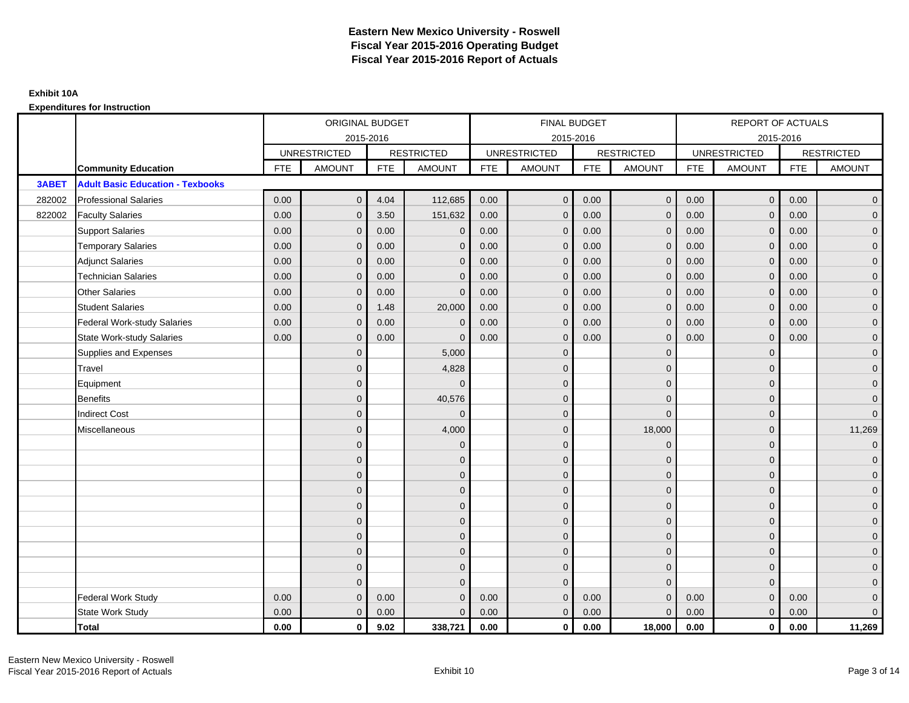|        |                                         | ORIGINAL BUDGET<br>2015-2016<br><b>RESTRICTED</b><br><b>UNRESTRICTED</b><br><b>FTE</b><br><b>AMOUNT</b><br><b>FTE</b><br><b>AMOUNT</b><br>$\mathbf{0}$<br>4.04<br>0.00<br>0.00<br>3.50<br>$\mathbf{0}$<br>0.00<br>0.00<br>$\mathbf{0}$<br>0.00<br>0.00<br>$\mathbf 0$<br>0.00<br>0.00<br>$\mathbf{0}$<br>0.00<br>0.00<br>$\Omega$<br>0.00<br>$\mathbf{0}$<br>0.00<br>0.00<br>$\mathbf{0}$<br>1.48 |                |      |              |            | <b>FINAL BUDGET</b> |            |                   |            | REPORT OF ACTUALS   |            |                     |
|--------|-----------------------------------------|---------------------------------------------------------------------------------------------------------------------------------------------------------------------------------------------------------------------------------------------------------------------------------------------------------------------------------------------------------------------------------------------------|----------------|------|--------------|------------|---------------------|------------|-------------------|------------|---------------------|------------|---------------------|
|        |                                         |                                                                                                                                                                                                                                                                                                                                                                                                   |                |      |              |            | 2015-2016           |            |                   |            | 2015-2016           |            |                     |
|        |                                         |                                                                                                                                                                                                                                                                                                                                                                                                   |                |      |              |            | <b>UNRESTRICTED</b> |            | <b>RESTRICTED</b> |            | <b>UNRESTRICTED</b> |            | <b>RESTRICTED</b>   |
|        | <b>Community Education</b>              |                                                                                                                                                                                                                                                                                                                                                                                                   |                |      |              | <b>FTE</b> | AMOUNT              | <b>FTE</b> | <b>AMOUNT</b>     | <b>FTE</b> | <b>AMOUNT</b>       | <b>FTE</b> | <b>AMOUNT</b>       |
| 3ABET  | <b>Adult Basic Education - Texbooks</b> |                                                                                                                                                                                                                                                                                                                                                                                                   |                |      |              |            |                     |            |                   |            |                     |            |                     |
| 282002 | <b>Professional Salaries</b>            |                                                                                                                                                                                                                                                                                                                                                                                                   |                |      | 112,685      | 0.00       | $\overline{0}$      | 0.00       | $\overline{0}$    | 0.00       | $\overline{0}$      | 0.00       | $\overline{0}$      |
| 822002 | <b>Faculty Salaries</b>                 |                                                                                                                                                                                                                                                                                                                                                                                                   |                |      | 151,632      | 0.00       | $\mathbf{0}$        | 0.00       | $\mathbf 0$       | 0.00       | $\mathbf 0$         | 0.00       | $\overline{0}$      |
|        | <b>Support Salaries</b>                 |                                                                                                                                                                                                                                                                                                                                                                                                   |                |      | $\mathbf 0$  | 0.00       | $\mathbf{0}$        | 0.00       | $\mathbf{0}$      | 0.00       | $\overline{0}$      | 0.00       | $\overline{0}$      |
|        | <b>Temporary Salaries</b>               |                                                                                                                                                                                                                                                                                                                                                                                                   |                |      | $\mathbf 0$  | 0.00       | $\mathbf{0}$        | 0.00       | $\mathbf 0$       | 0.00       | $\mathbf 0$         | 0.00       | $\overline{0}$      |
|        | <b>Adjunct Salaries</b>                 |                                                                                                                                                                                                                                                                                                                                                                                                   |                |      | $\Omega$     | 0.00       | $\mathbf{0}$        | 0.00       | $\mathbf{0}$      | 0.00       | $\mathbf{0}$        | 0.00       | $\overline{0}$      |
|        | <b>Technician Salaries</b>              |                                                                                                                                                                                                                                                                                                                                                                                                   |                |      | $\Omega$     | 0.00       | $\Omega$            | 0.00       | $\mathbf{0}$      | 0.00       | $\Omega$            | 0.00       | $\overline{0}$      |
|        | <b>Other Salaries</b>                   |                                                                                                                                                                                                                                                                                                                                                                                                   |                |      | $\mathbf{0}$ | 0.00       | $\mathbf{0}$        | 0.00       | $\mathbf{0}$      | 0.00       | $\mathbf 0$         | 0.00       | $\overline{0}$      |
|        | <b>Student Salaries</b>                 |                                                                                                                                                                                                                                                                                                                                                                                                   |                |      | 20,000       | 0.00       | $\mathbf{0}$        | 0.00       | $\mathbf 0$       | 0.00       | $\mathbf{0}$        | 0.00       | $\overline{0}$      |
|        | <b>Federal Work-study Salaries</b>      | 0.00                                                                                                                                                                                                                                                                                                                                                                                              | $\mathbf{0}$   | 0.00 | $\Omega$     | 0.00       | $\Omega$            | 0.00       | $\overline{0}$    | 0.00       | $\mathbf{0}$        | 0.00       | $\overline{0}$      |
|        | <b>State Work-study Salaries</b>        | 0.00                                                                                                                                                                                                                                                                                                                                                                                              | $\mathbf{0}$   | 0.00 | $\Omega$     | 0.00       | $\mathbf{0}$        | 0.00       | $\mathbf 0$       | 0.00       | $\mathbf{0}$        | 0.00       | $\overline{0}$      |
|        | Supplies and Expenses                   |                                                                                                                                                                                                                                                                                                                                                                                                   | $\mathbf{0}$   |      | 5,000        |            | $\mathbf{0}$        |            | $\overline{0}$    |            | $\mathbf 0$         |            | $\mathsf{O}\xspace$ |
|        | Travel                                  |                                                                                                                                                                                                                                                                                                                                                                                                   | $\Omega$       |      | 4,828        |            | $\Omega$            |            | $\mathbf{0}$      |            | $\mathbf{0}$        |            | $\overline{0}$      |
|        | Equipment                               |                                                                                                                                                                                                                                                                                                                                                                                                   | $\overline{0}$ |      | $\Omega$     |            | $\mathbf{0}$        |            | $\mathbf 0$       |            | $\mathbf{0}$        |            | $\overline{0}$      |
|        | <b>Benefits</b>                         |                                                                                                                                                                                                                                                                                                                                                                                                   | $\Omega$       |      | 40,576       |            | $\Omega$            |            | $\mathbf 0$       |            | $\mathbf{0}$        |            | $\overline{0}$      |
|        | <b>Indirect Cost</b>                    |                                                                                                                                                                                                                                                                                                                                                                                                   | $\overline{0}$ |      | $\Omega$     |            | $\mathbf{0}$        |            | $\mathbf 0$       |            | $\mathbf 0$         |            | $\overline{0}$      |
|        | Miscellaneous                           |                                                                                                                                                                                                                                                                                                                                                                                                   | $\overline{0}$ |      | 4,000        |            | $\mathbf{0}$        |            | 18,000            |            | $\mathbf 0$         |            | 11,269              |
|        |                                         |                                                                                                                                                                                                                                                                                                                                                                                                   | $\overline{0}$ |      | $\mathbf 0$  |            | $\Omega$            |            | $\mathbf 0$       |            | $\Omega$            |            | $\overline{0}$      |
|        |                                         |                                                                                                                                                                                                                                                                                                                                                                                                   | $\overline{0}$ |      | $\mathbf 0$  |            | $\mathbf{0}$        |            | $\mathbf 0$       |            | $\mathbf{0}$        |            | $\overline{0}$      |
|        |                                         |                                                                                                                                                                                                                                                                                                                                                                                                   | $\Omega$       |      | $\mathbf{0}$ |            | $\Omega$            |            | $\mathbf 0$       |            | $\mathbf{0}$        |            | $\overline{0}$      |
|        |                                         |                                                                                                                                                                                                                                                                                                                                                                                                   | $\Omega$       |      | $\mathbf{0}$ |            | $\Omega$            |            | $\mathbf 0$       |            | $\Omega$            |            | $\overline{0}$      |
|        |                                         |                                                                                                                                                                                                                                                                                                                                                                                                   | $\mathbf{0}$   |      | $\mathbf 0$  |            | $\mathbf{0}$        |            | $\mathbf 0$       |            | $\mathbf 0$         |            | $\mathbf 0$         |
|        |                                         |                                                                                                                                                                                                                                                                                                                                                                                                   | $\overline{0}$ |      | $\mathbf{0}$ |            | $\mathbf{0}$        |            | $\mathbf{0}$      |            | $\mathbf{0}$        |            | $\overline{0}$      |
|        |                                         |                                                                                                                                                                                                                                                                                                                                                                                                   | $\Omega$       |      | $\mathbf{0}$ |            | $\Omega$            |            | $\mathbf 0$       |            | $\mathbf{0}$        |            | $\overline{0}$      |
|        |                                         |                                                                                                                                                                                                                                                                                                                                                                                                   | $\mathbf{0}$   |      | $\mathbf{0}$ |            | $\Omega$            |            | $\overline{0}$    |            | $\mathbf{0}$        |            | $\overline{0}$      |
|        |                                         |                                                                                                                                                                                                                                                                                                                                                                                                   | $\mathbf{0}$   |      | $\mathbf{0}$ |            | $\Omega$            |            | $\mathbf{0}$      |            | $\mathbf{0}$        |            | $\overline{0}$      |
|        |                                         |                                                                                                                                                                                                                                                                                                                                                                                                   | $\Omega$       |      | $\Omega$     |            | $\Omega$            |            | $\mathbf{0}$      |            | $\Omega$            |            | $\mathsf{O}\xspace$ |
|        | <b>Federal Work Study</b>               | 0.00                                                                                                                                                                                                                                                                                                                                                                                              | $\mathbf{0}$   | 0.00 | $\Omega$     | 0.00       | $\mathbf{0}$        | 0.00       | $\mathbf{0}$      | 0.00       | $\mathbf{0}$        | 0.00       | $\mathbf{0}$        |
|        | State Work Study                        | 0.00                                                                                                                                                                                                                                                                                                                                                                                              | $\mathbf{0}$   | 0.00 | $\Omega$     | 0.00       | $\overline{0}$      | 0.00       | $\mathbf{0}$      | 0.00       | $\mathbf{0}$        | 0.00       | $\overline{0}$      |
|        | Total                                   | 0.00                                                                                                                                                                                                                                                                                                                                                                                              | $\mathbf 0$    | 9.02 | 338,721      | 0.00       | $\mathbf{0}$        | 0.00       | 18,000            | 0.00       | $\mathbf 0$         | 0.00       | 11,269              |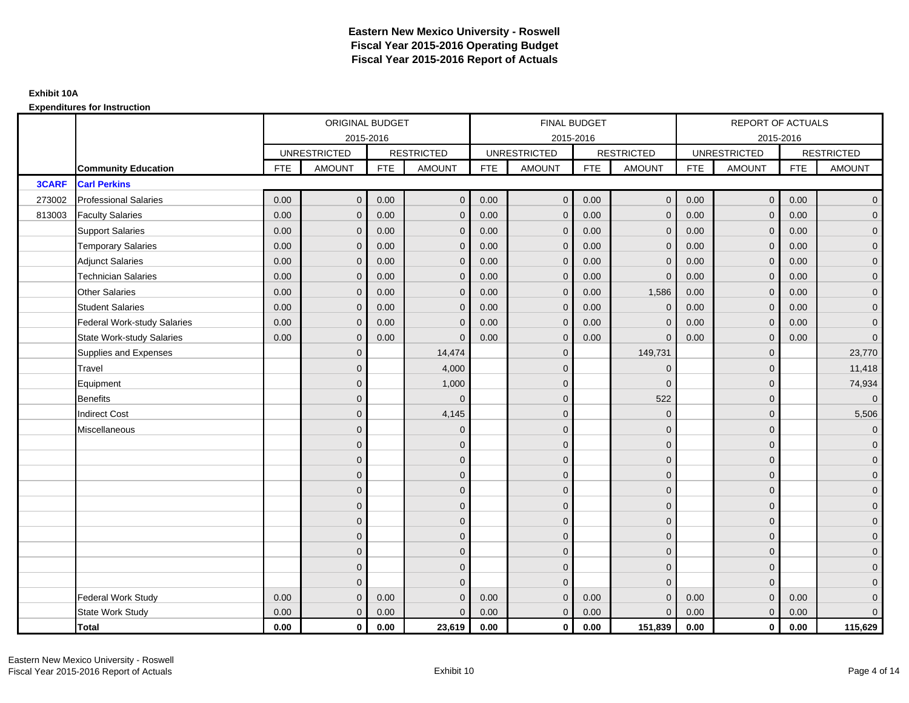|              |                                    | ORIGINAL BUDGET<br>2015-2016<br><b>UNRESTRICTED</b><br><b>RESTRICTED</b><br><b>FTE</b><br><b>AMOUNT</b><br><b>FTE</b><br>$\mathbf{0}$<br>0.00<br>0.00<br>0.00<br>0.00<br>$\mathbf{0}$<br>0.00<br>0.00<br>$\mathbf{0}$<br>0.00<br>0.00<br>$\mathbf 0$<br>0.00<br>0.00<br>$\mathbf{0}$<br>0.00<br>0.00<br>$\Omega$<br>0.00<br>$\mathbf{0}$<br>0.00<br>0.00<br>$\mathbf{0}$<br>0.00<br>0.00<br>0.00<br>$\mathbf{0}$<br>0.00<br>0.00<br>$\mathbf{0}$<br>$\overline{0}$<br>$\overline{0}$<br>$\overline{0}$<br>$\Omega$<br>$\overline{0}$<br>$\overline{0}$<br>$\overline{0}$<br>$\overline{0}$<br>$\mathbf{0}$ |              |      |               |            | FINAL BUDGET        |            |                   |            | REPORT OF ACTUALS   |            |                     |
|--------------|------------------------------------|------------------------------------------------------------------------------------------------------------------------------------------------------------------------------------------------------------------------------------------------------------------------------------------------------------------------------------------------------------------------------------------------------------------------------------------------------------------------------------------------------------------------------------------------------------------------------------------------------------|--------------|------|---------------|------------|---------------------|------------|-------------------|------------|---------------------|------------|---------------------|
|              |                                    |                                                                                                                                                                                                                                                                                                                                                                                                                                                                                                                                                                                                            |              |      |               |            | 2015-2016           |            |                   |            | 2015-2016           |            |                     |
|              |                                    |                                                                                                                                                                                                                                                                                                                                                                                                                                                                                                                                                                                                            |              |      |               |            | <b>UNRESTRICTED</b> |            | <b>RESTRICTED</b> |            | <b>UNRESTRICTED</b> |            | <b>RESTRICTED</b>   |
|              | <b>Community Education</b>         |                                                                                                                                                                                                                                                                                                                                                                                                                                                                                                                                                                                                            |              |      | <b>AMOUNT</b> | <b>FTE</b> | <b>AMOUNT</b>       | <b>FTE</b> | <b>AMOUNT</b>     | <b>FTE</b> | <b>AMOUNT</b>       | <b>FTE</b> | <b>AMOUNT</b>       |
| <b>3CARF</b> | <b>Carl Perkins</b>                |                                                                                                                                                                                                                                                                                                                                                                                                                                                                                                                                                                                                            |              |      |               |            |                     |            |                   |            |                     |            |                     |
| 273002       | <b>Professional Salaries</b>       |                                                                                                                                                                                                                                                                                                                                                                                                                                                                                                                                                                                                            |              |      | $\mathbf{0}$  | 0.00       | $\mathbf 0$         | 0.00       | $\overline{0}$    | 0.00       | $\overline{0}$      | 0.00       | $\overline{0}$      |
| 813003       | <b>Faculty Salaries</b>            |                                                                                                                                                                                                                                                                                                                                                                                                                                                                                                                                                                                                            |              |      | $\mathbf{0}$  | 0.00       | $\mathbf{0}$        | 0.00       | $\mathbf{0}$      | 0.00       | $\mathbf 0$         | 0.00       | $\overline{0}$      |
|              | <b>Support Salaries</b>            |                                                                                                                                                                                                                                                                                                                                                                                                                                                                                                                                                                                                            |              |      | $\mathbf 0$   | 0.00       | $\mathbf{0}$        | 0.00       | $\mathbf{0}$      | 0.00       | $\overline{0}$      | 0.00       | $\overline{0}$      |
|              | <b>Temporary Salaries</b>          |                                                                                                                                                                                                                                                                                                                                                                                                                                                                                                                                                                                                            |              |      | $\mathbf{0}$  | 0.00       | $\mathbf{0}$        | 0.00       | $\mathbf 0$       | 0.00       | $\mathbf 0$         | 0.00       | $\overline{0}$      |
|              | <b>Adjunct Salaries</b>            |                                                                                                                                                                                                                                                                                                                                                                                                                                                                                                                                                                                                            |              |      | $\mathbf{0}$  | 0.00       | $\mathbf{0}$        | 0.00       | $\mathbf{0}$      | 0.00       | $\mathbf{0}$        | 0.00       | $\overline{0}$      |
|              | <b>Technician Salaries</b>         |                                                                                                                                                                                                                                                                                                                                                                                                                                                                                                                                                                                                            |              |      | $\Omega$      | 0.00       | $\Omega$            | 0.00       | $\mathbf{0}$      | 0.00       | $\mathbf{0}$        | 0.00       | $\overline{0}$      |
|              | <b>Other Salaries</b>              |                                                                                                                                                                                                                                                                                                                                                                                                                                                                                                                                                                                                            |              |      | $\mathbf{0}$  | 0.00       | $\mathbf{0}$        | 0.00       | 1,586             | 0.00       | $\mathbf 0$         | 0.00       | $\mathbf{0}$        |
|              | <b>Student Salaries</b>            |                                                                                                                                                                                                                                                                                                                                                                                                                                                                                                                                                                                                            |              |      | $\mathbf{0}$  | 0.00       | $\mathbf{0}$        | 0.00       | $\overline{0}$    | 0.00       | $\mathbf{0}$        | 0.00       | $\overline{0}$      |
|              | <b>Federal Work-study Salaries</b> |                                                                                                                                                                                                                                                                                                                                                                                                                                                                                                                                                                                                            |              |      | $\Omega$      | 0.00       | $\Omega$            | 0.00       | $\overline{0}$    | 0.00       | $\mathbf{0}$        | 0.00       | $\overline{0}$      |
|              | <b>State Work-study Salaries</b>   |                                                                                                                                                                                                                                                                                                                                                                                                                                                                                                                                                                                                            |              |      | $\Omega$      | 0.00       | $\mathbf{0}$        | 0.00       | $\mathbf 0$       | 0.00       | $\mathbf{0}$        | 0.00       | $\overline{0}$      |
|              | Supplies and Expenses              |                                                                                                                                                                                                                                                                                                                                                                                                                                                                                                                                                                                                            |              |      | 14,474        |            | $\mathbf{0}$        |            | 149,731           |            | $\mathbf 0$         |            | 23,770              |
|              | Travel                             |                                                                                                                                                                                                                                                                                                                                                                                                                                                                                                                                                                                                            |              |      | 4,000         |            | $\Omega$            |            | $\Omega$          |            | $\mathbf{0}$        |            | 11,418              |
|              | Equipment                          |                                                                                                                                                                                                                                                                                                                                                                                                                                                                                                                                                                                                            |              |      | 1,000         |            | $\mathbf{0}$        |            | $\mathbf 0$       |            | $\mathbf 0$         |            | 74,934              |
|              | <b>Benefits</b>                    |                                                                                                                                                                                                                                                                                                                                                                                                                                                                                                                                                                                                            |              |      | $\Omega$      |            | $\Omega$            |            | 522               |            | $\mathbf{0}$        |            | $\overline{0}$      |
|              | <b>Indirect Cost</b>               |                                                                                                                                                                                                                                                                                                                                                                                                                                                                                                                                                                                                            |              |      | 4,145         |            | $\mathbf{0}$        |            | $\mathbf 0$       |            | $\mathbf 0$         |            | 5,506               |
|              | Miscellaneous                      |                                                                                                                                                                                                                                                                                                                                                                                                                                                                                                                                                                                                            |              |      | $\mathbf{0}$  |            | $\mathbf{0}$        |            | $\mathbf 0$       |            | $\mathbf 0$         |            | $\overline{0}$      |
|              |                                    |                                                                                                                                                                                                                                                                                                                                                                                                                                                                                                                                                                                                            |              |      | $\mathbf{0}$  |            | $\Omega$            |            | $\mathbf{0}$      |            | $\mathbf{0}$        |            | $\overline{0}$      |
|              |                                    |                                                                                                                                                                                                                                                                                                                                                                                                                                                                                                                                                                                                            |              |      | $\mathbf 0$   |            | $\mathbf{0}$        |            | $\mathbf 0$       |            | $\mathbf 0$         |            | $\overline{0}$      |
|              |                                    |                                                                                                                                                                                                                                                                                                                                                                                                                                                                                                                                                                                                            |              |      | $\mathbf{0}$  |            | $\Omega$            |            | $\mathbf 0$       |            | $\mathbf{0}$        |            | $\overline{0}$      |
|              |                                    |                                                                                                                                                                                                                                                                                                                                                                                                                                                                                                                                                                                                            | $\Omega$     |      | $\mathbf{0}$  |            | $\Omega$            |            | $\mathbf{0}$      |            | $\Omega$            |            | $\overline{0}$      |
|              |                                    |                                                                                                                                                                                                                                                                                                                                                                                                                                                                                                                                                                                                            | $\mathbf{0}$ |      | $\mathbf 0$   |            | $\mathbf{0}$        |            | $\mathbf 0$       |            | $\mathbf 0$         |            | $\mathsf{O}\xspace$ |
|              |                                    |                                                                                                                                                                                                                                                                                                                                                                                                                                                                                                                                                                                                            | $\mathbf{0}$ |      | $\mathbf 0$   |            | $\mathbf{0}$        |            | $\mathbf{0}$      |            | $\mathbf{0}$        |            | $\overline{0}$      |
|              |                                    |                                                                                                                                                                                                                                                                                                                                                                                                                                                                                                                                                                                                            | $\mathbf{0}$ |      | $\mathbf{0}$  |            | $\mathbf{0}$        |            | $\mathbf 0$       |            | $\mathbf{0}$        |            | $\overline{0}$      |
|              |                                    |                                                                                                                                                                                                                                                                                                                                                                                                                                                                                                                                                                                                            | $\mathbf{0}$ |      | $\mathbf{0}$  |            | $\Omega$            |            | $\mathbf 0$       |            | $\mathbf 0$         |            | $\overline{0}$      |
|              |                                    |                                                                                                                                                                                                                                                                                                                                                                                                                                                                                                                                                                                                            | $\mathbf{0}$ |      | $\mathbf{0}$  |            | $\Omega$            |            | $\mathbf{0}$      |            | $\mathbf{0}$        |            | $\overline{0}$      |
|              |                                    |                                                                                                                                                                                                                                                                                                                                                                                                                                                                                                                                                                                                            | $\Omega$     |      | $\Omega$      |            | $\Omega$            |            | $\mathbf{0}$      |            | $\Omega$            |            | $\overline{0}$      |
|              | <b>Federal Work Study</b>          | 0.00                                                                                                                                                                                                                                                                                                                                                                                                                                                                                                                                                                                                       | $\mathbf{0}$ | 0.00 | $\mathbf{0}$  | 0.00       | $\mathbf{0}$        | 0.00       | $\mathbf{0}$      | 0.00       | $\mathbf{0}$        | 0.00       | $\mathbf{0}$        |
|              | State Work Study                   | 0.00                                                                                                                                                                                                                                                                                                                                                                                                                                                                                                                                                                                                       | $\mathbf{0}$ | 0.00 | $\mathbf{0}$  | 0.00       | $\overline{0}$      | 0.00       | $\mathbf{0}$      | 0.00       | $\overline{0}$      | 0.00       | $\overline{0}$      |
|              | <b>Total</b>                       | 0.00                                                                                                                                                                                                                                                                                                                                                                                                                                                                                                                                                                                                       | $\mathbf 0$  | 0.00 | 23,619        | 0.00       | $\mathbf{0}$        | 0.00       | 151,839           | 0.00       | $\mathbf 0$         | 0.00       | 115,629             |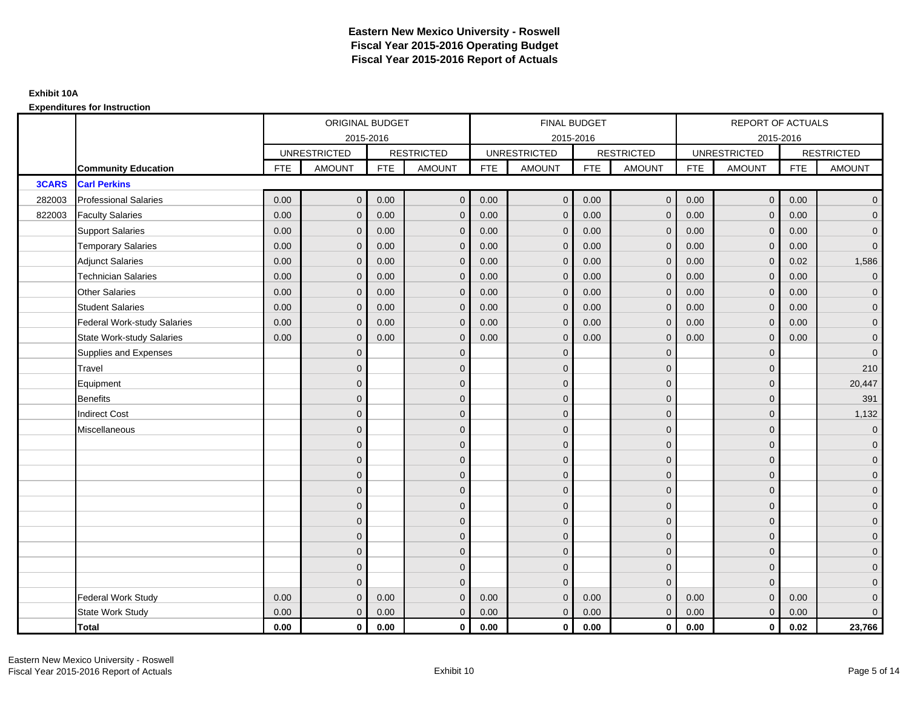|              |                                    |            | ORIGINAL BUDGET     |            |                   |            | <b>FINAL BUDGET</b> |            |                   |            | REPORT OF ACTUALS   |            |                     |
|--------------|------------------------------------|------------|---------------------|------------|-------------------|------------|---------------------|------------|-------------------|------------|---------------------|------------|---------------------|
|              |                                    |            | 2015-2016           |            |                   |            | 2015-2016           |            |                   |            | 2015-2016           |            |                     |
|              |                                    |            | <b>UNRESTRICTED</b> |            | <b>RESTRICTED</b> |            | <b>UNRESTRICTED</b> |            | <b>RESTRICTED</b> |            | <b>UNRESTRICTED</b> |            | <b>RESTRICTED</b>   |
|              | <b>Community Education</b>         | <b>FTE</b> | <b>AMOUNT</b>       | <b>FTE</b> | <b>AMOUNT</b>     | <b>FTE</b> | <b>AMOUNT</b>       | <b>FTE</b> | <b>AMOUNT</b>     | <b>FTE</b> | <b>AMOUNT</b>       | <b>FTE</b> | <b>AMOUNT</b>       |
| <b>3CARS</b> | <b>Carl Perkins</b>                |            |                     |            |                   |            |                     |            |                   |            |                     |            |                     |
| 282003       | <b>Professional Salaries</b>       | 0.00       | $\mathbf{0}$        | 0.00       | $\mathbf{0}$      | 0.00       | $\mathsf{O}\xspace$ | 0.00       | $\overline{0}$    | 0.00       | $\overline{0}$      | 0.00       | $\overline{0}$      |
| 822003       | <b>Faculty Salaries</b>            | 0.00       | $\mathbf{0}$        | 0.00       | $\mathbf 0$       | 0.00       | $\overline{0}$      | 0.00       | $\mathbf{0}$      | 0.00       | $\mathbf{0}$        | 0.00       | $\overline{0}$      |
|              | <b>Support Salaries</b>            | 0.00       | $\mathbf{0}$        | 0.00       | $\mathbf{0}$      | 0.00       | $\overline{0}$      | 0.00       | $\mathbf{0}$      | 0.00       | $\overline{0}$      | 0.00       | $\overline{0}$      |
|              | <b>Temporary Salaries</b>          | 0.00       | $\mathbf{0}$        | 0.00       | $\mathbf{0}$      | 0.00       | $\mathbf{0}$        | 0.00       | 0                 | 0.00       | $\mathbf 0$         | 0.00       | $\overline{0}$      |
|              | <b>Adjunct Salaries</b>            | 0.00       | $\mathbf{0}$        | 0.00       | $\mathbf{0}$      | 0.00       | $\Omega$            | 0.00       | $\mathbf{0}$      | 0.00       | $\mathbf{0}$        | 0.02       | 1,586               |
|              | <b>Technician Salaries</b>         | 0.00       | $\Omega$            | 0.00       | $\Omega$          | 0.00       | $\Omega$            | 0.00       | $\Omega$          | 0.00       | $\mathbf{0}$        | 0.00       | $\overline{0}$      |
|              | <b>Other Salaries</b>              | 0.00       | $\mathbf{0}$        | 0.00       | $\mathbf 0$       | 0.00       | $\mathbf{0}$        | 0.00       | $\mathbf{0}$      | 0.00       | $\mathbf{0}$        | 0.00       | $\mathbf{0}$        |
|              | <b>Student Salaries</b>            | 0.00       | $\mathbf{0}$        | 0.00       | $\mathbf 0$       | 0.00       | $\mathbf{0}$        | 0.00       | $\mathbf{0}$      | 0.00       | $\mathbf{0}$        | 0.00       | $\overline{0}$      |
|              | <b>Federal Work-study Salaries</b> | 0.00       | $\mathbf{0}$        | 0.00       | $\Omega$          | 0.00       | $\Omega$            | 0.00       | $\Omega$          | 0.00       | $\mathbf{0}$        | 0.00       | $\overline{0}$      |
|              | <b>State Work-study Salaries</b>   | 0.00       | $\mathbf{0}$        | 0.00       | $\mathbf{0}$      | 0.00       | $\mathbf{0}$        | 0.00       | $\mathbf 0$       | 0.00       | $\mathbf{0}$        | 0.00       | $\overline{0}$      |
|              | Supplies and Expenses              |            | $\Omega$            |            | $\mathbf{0}$      |            | $\mathbf{0}$        |            | $\overline{0}$    |            | $\mathbf{0}$        |            | $\mathbf{0}$        |
|              | Travel                             |            | $\Omega$            |            | $\mathbf{0}$      |            | $\Omega$            |            | $\mathbf{0}$      |            | $\mathbf{0}$        |            | 210                 |
|              | Equipment                          |            | $\Omega$            |            | $\mathbf 0$       |            | $\mathbf{0}$        |            | $\mathbf 0$       |            | $\mathbf{0}$        |            | 20,447              |
|              | <b>Benefits</b>                    |            | $\Omega$            |            | $\mathbf{0}$      |            | $\Omega$            |            | $\mathbf 0$       |            | $\mathbf{0}$        |            | 391                 |
|              | <b>Indirect Cost</b>               |            | $\Omega$            |            | $\mathbf 0$       |            | $\mathbf{0}$        |            | $\mathbf 0$       |            | $\mathbf{0}$        |            | 1,132               |
|              | Miscellaneous                      |            | $\Omega$            |            | $\mathbf 0$       |            | $\mathbf{0}$        |            | $\mathbf 0$       |            | $\mathbf 0$         |            | $\mathbf{0}$        |
|              |                                    |            | $\overline{0}$      |            | $\mathbf 0$       |            | $\Omega$            |            | $\mathbf{0}$      |            | $\mathbf{0}$        |            | $\overline{0}$      |
|              |                                    |            | $\mathbf{0}$        |            | $\mathbf 0$       |            | $\mathbf{0}$        |            | $\mathbf 0$       |            | $\mathbf{0}$        |            | $\overline{0}$      |
|              |                                    |            | $\Omega$            |            | $\mathbf{0}$      |            | $\Omega$            |            | $\mathbf 0$       |            | $\mathbf{0}$        |            | $\overline{0}$      |
|              |                                    |            | $\Omega$            |            | $\mathbf{0}$      |            | $\Omega$            |            | $\mathbf 0$       |            | $\Omega$            |            | $\overline{0}$      |
|              |                                    |            | $\Omega$            |            | $\mathbf 0$       |            | $\mathbf{0}$        |            | $\mathbf 0$       |            | $\mathbf 0$         |            | $\mathsf{O}\xspace$ |
|              |                                    |            | $\overline{0}$      |            | $\mathbf 0$       |            | $\mathbf{0}$        |            | $\mathbf{0}$      |            | $\mathbf{0}$        |            | $\overline{0}$      |
|              |                                    |            | $\Omega$            |            | $\mathbf 0$       |            | $\Omega$            |            | $\mathbf{0}$      |            | $\mathbf{0}$        |            | $\overline{0}$      |
|              |                                    |            | $\Omega$            |            | $\mathbf 0$       |            | $\Omega$            |            | $\overline{0}$    |            | $\mathbf{0}$        |            | $\overline{0}$      |
|              |                                    |            | $\mathbf{0}$        |            | $\mathbf{0}$      |            | $\Omega$            |            | $\mathbf{0}$      |            | $\mathbf{0}$        |            | $\overline{0}$      |
|              |                                    |            | $\Omega$            |            | $\mathbf{0}$      |            | $\Omega$            |            | $\mathbf{0}$      |            | $\Omega$            |            | $\overline{0}$      |
|              | <b>Federal Work Study</b>          | 0.00       | $\mathbf{0}$        | 0.00       | $\mathbf{0}$      | 0.00       | $\mathbf{0}$        | 0.00       | $\mathbf{0}$      | 0.00       | $\mathbf{0}$        | 0.00       | $\mathbf{0}$        |
|              | State Work Study                   | 0.00       | $\mathbf{0}$        | 0.00       | $\mathbf{0}$      | 0.00       | $\mathbf{0}$        | 0.00       | $\mathbf{0}$      | 0.00       | $\overline{0}$      | 0.00       | $\overline{0}$      |
|              | Total                              | 0.00       | $\mathbf 0$         | 0.00       | $\mathbf{0}$      | 0.00       | $\mathbf{0}$        | 0.00       | $\overline{0}$    | 0.00       | $\mathbf{0}$        | 0.02       | 23,766              |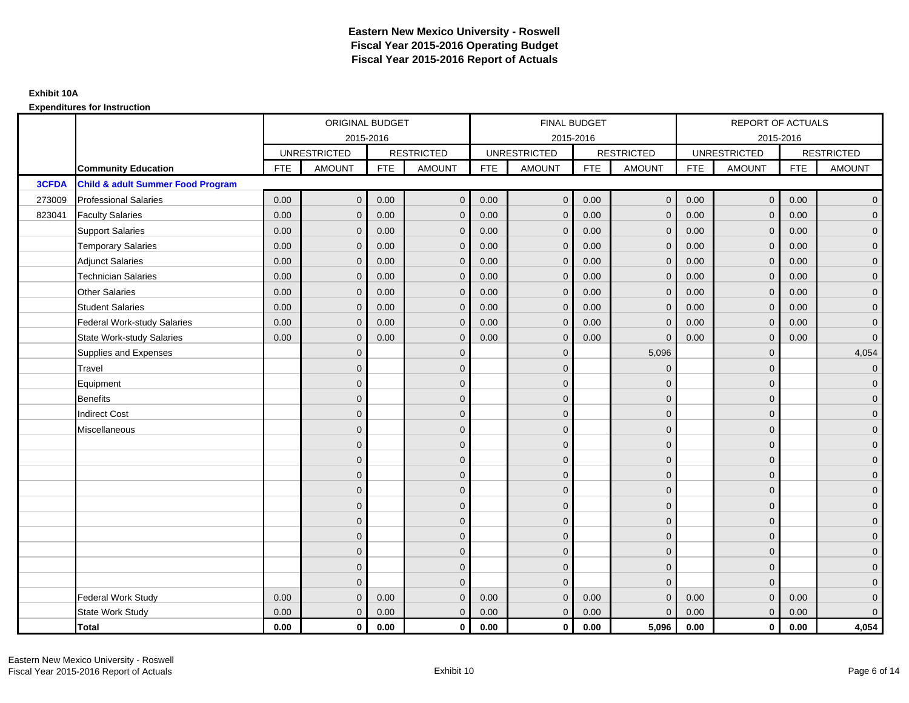|              |                                              | ORIGINAL BUDGET<br>2015-2016<br><b>UNRESTRICTED</b><br><b>RESTRICTED</b><br><b>FTE</b><br><b>AMOUNT</b><br><b>FTE</b><br>0.00<br>$\mathbf{0}$<br>0.00<br>0.00<br>0.00<br>$\mathbf{0}$<br>0.00<br>0.00<br>$\mathbf{0}$<br>0.00<br>0.00<br>$\mathbf 0$<br>0.00<br>0.00<br>$\mathbf{0}$<br>0.00<br>0.00<br>$\Omega$<br>0.00<br>$\mathbf{0}$<br>0.00<br>0.00<br>$\mathbf{0}$<br>0.00<br>0.00<br>0.00<br>$\mathbf{0}$<br>0.00<br>0.00<br>$\mathbf{0}$<br>$\Omega$<br>$\Omega$<br>$\mathbf{0}$ |                |      |               |            | FINAL BUDGET        |            |                   |            | REPORT OF ACTUALS   |            |                     |
|--------------|----------------------------------------------|------------------------------------------------------------------------------------------------------------------------------------------------------------------------------------------------------------------------------------------------------------------------------------------------------------------------------------------------------------------------------------------------------------------------------------------------------------------------------------------|----------------|------|---------------|------------|---------------------|------------|-------------------|------------|---------------------|------------|---------------------|
|              |                                              |                                                                                                                                                                                                                                                                                                                                                                                                                                                                                          |                |      |               |            | 2015-2016           |            |                   |            | 2015-2016           |            |                     |
|              |                                              |                                                                                                                                                                                                                                                                                                                                                                                                                                                                                          |                |      |               |            | <b>UNRESTRICTED</b> |            | <b>RESTRICTED</b> |            | <b>UNRESTRICTED</b> |            | <b>RESTRICTED</b>   |
|              | <b>Community Education</b>                   |                                                                                                                                                                                                                                                                                                                                                                                                                                                                                          |                |      | <b>AMOUNT</b> | <b>FTE</b> | AMOUNT              | <b>FTE</b> | <b>AMOUNT</b>     | <b>FTE</b> | <b>AMOUNT</b>       | <b>FTE</b> | <b>AMOUNT</b>       |
| <b>3CFDA</b> | <b>Child &amp; adult Summer Food Program</b> |                                                                                                                                                                                                                                                                                                                                                                                                                                                                                          |                |      |               |            |                     |            |                   |            |                     |            |                     |
| 273009       | <b>Professional Salaries</b>                 |                                                                                                                                                                                                                                                                                                                                                                                                                                                                                          |                |      | $\mathbf{0}$  | 0.00       | $\mathbf{0}$        | 0.00       | $\overline{0}$    | 0.00       | $\overline{0}$      | 0.00       | $\overline{0}$      |
| 823041       | <b>Faculty Salaries</b>                      |                                                                                                                                                                                                                                                                                                                                                                                                                                                                                          |                |      | $\mathbf{0}$  | 0.00       | $\mathbf{0}$        | 0.00       | $\mathbf{0}$      | 0.00       | $\mathbf 0$         | 0.00       | $\overline{0}$      |
|              | <b>Support Salaries</b>                      |                                                                                                                                                                                                                                                                                                                                                                                                                                                                                          |                |      | $\mathbf 0$   | 0.00       | $\mathbf{0}$        | 0.00       | $\mathbf{0}$      | 0.00       | $\overline{0}$      | 0.00       | $\overline{0}$      |
|              | <b>Temporary Salaries</b>                    |                                                                                                                                                                                                                                                                                                                                                                                                                                                                                          |                |      | $\mathbf{0}$  | 0.00       | $\mathbf{0}$        | 0.00       | $\mathbf 0$       | 0.00       | $\mathbf 0$         | 0.00       | $\overline{0}$      |
|              | <b>Adjunct Salaries</b>                      |                                                                                                                                                                                                                                                                                                                                                                                                                                                                                          |                |      | $\Omega$      | 0.00       | $\mathbf{0}$        | 0.00       | $\mathbf{0}$      | 0.00       | $\mathbf{0}$        | 0.00       | $\overline{0}$      |
|              | <b>Technician Salaries</b>                   |                                                                                                                                                                                                                                                                                                                                                                                                                                                                                          |                |      | $\Omega$      | 0.00       | $\Omega$            | 0.00       | $\mathbf{0}$      | 0.00       | $\Omega$            | 0.00       | $\overline{0}$      |
|              | <b>Other Salaries</b>                        |                                                                                                                                                                                                                                                                                                                                                                                                                                                                                          |                |      | $\mathbf{0}$  | 0.00       | $\mathbf{0}$        | 0.00       | $\mathbf{0}$      | 0.00       | $\mathbf 0$         | 0.00       | $\overline{0}$      |
|              | <b>Student Salaries</b>                      |                                                                                                                                                                                                                                                                                                                                                                                                                                                                                          |                |      | $\mathbf{0}$  | 0.00       | $\mathbf{0}$        | 0.00       | $\mathbf{0}$      | 0.00       | $\mathbf{0}$        | 0.00       | $\overline{0}$      |
|              | <b>Federal Work-study Salaries</b>           |                                                                                                                                                                                                                                                                                                                                                                                                                                                                                          |                |      | $\Omega$      | 0.00       | $\Omega$            | 0.00       | $\overline{0}$    | 0.00       | $\mathbf{0}$        | 0.00       | $\overline{0}$      |
|              | <b>State Work-study Salaries</b>             |                                                                                                                                                                                                                                                                                                                                                                                                                                                                                          |                |      | $\mathbf{0}$  | 0.00       | $\mathbf{0}$        | 0.00       | $\Omega$          | 0.00       | $\mathbf{0}$        | 0.00       | $\overline{0}$      |
|              | Supplies and Expenses                        |                                                                                                                                                                                                                                                                                                                                                                                                                                                                                          |                |      | $\mathbf 0$   |            | $\mathbf{0}$        |            | 5,096             |            | $\mathbf 0$         |            | 4,054               |
|              | Travel                                       |                                                                                                                                                                                                                                                                                                                                                                                                                                                                                          |                |      | $\mathbf{0}$  |            | $\Omega$            |            | $\Omega$          |            | $\mathbf{0}$        |            | $\mathbf{0}$        |
|              | Equipment                                    |                                                                                                                                                                                                                                                                                                                                                                                                                                                                                          |                |      | $\mathbf 0$   |            | $\mathbf{0}$        |            | $\mathbf 0$       |            | $\mathbf{0}$        |            | $\overline{0}$      |
|              | <b>Benefits</b>                              |                                                                                                                                                                                                                                                                                                                                                                                                                                                                                          | $\Omega$       |      | $\mathbf{0}$  |            | $\Omega$            |            | $\mathbf{0}$      |            | $\mathbf{0}$        |            | $\overline{0}$      |
|              | <b>Indirect Cost</b>                         |                                                                                                                                                                                                                                                                                                                                                                                                                                                                                          | $\overline{0}$ |      | $\mathbf{0}$  |            | $\mathbf{0}$        |            | $\mathbf 0$       |            | $\mathbf 0$         |            | $\overline{0}$      |
|              | Miscellaneous                                |                                                                                                                                                                                                                                                                                                                                                                                                                                                                                          | $\mathbf{0}$   |      | $\mathbf 0$   |            | $\mathbf{0}$        |            | $\mathbf 0$       |            | $\mathbf 0$         |            | $\mathbf 0$         |
|              |                                              |                                                                                                                                                                                                                                                                                                                                                                                                                                                                                          | $\overline{0}$ |      | $\mathbf{0}$  |            | $\Omega$            |            | $\mathbf{0}$      |            | $\Omega$            |            | $\overline{0}$      |
|              |                                              |                                                                                                                                                                                                                                                                                                                                                                                                                                                                                          | $\overline{0}$ |      | $\mathbf 0$   |            | $\mathbf{0}$        |            | $\mathbf 0$       |            | $\mathbf{0}$        |            | $\overline{0}$      |
|              |                                              |                                                                                                                                                                                                                                                                                                                                                                                                                                                                                          | $\Omega$       |      | $\mathbf{0}$  |            | $\Omega$            |            | $\mathbf 0$       |            | $\mathbf{0}$        |            | $\overline{0}$      |
|              |                                              |                                                                                                                                                                                                                                                                                                                                                                                                                                                                                          | $\Omega$       |      | $\mathbf{0}$  |            | $\Omega$            |            | $\mathbf 0$       |            | $\Omega$            |            | $\overline{0}$      |
|              |                                              |                                                                                                                                                                                                                                                                                                                                                                                                                                                                                          | $\mathbf{0}$   |      | $\mathbf 0$   |            | $\mathbf{0}$        |            | $\mathbf 0$       |            | $\mathbf 0$         |            | $\mathsf{O}\xspace$ |
|              |                                              |                                                                                                                                                                                                                                                                                                                                                                                                                                                                                          | $\overline{0}$ |      | $\mathbf{0}$  |            | $\Omega$            |            | $\mathbf{0}$      |            | $\mathbf 0$         |            | $\overline{0}$      |
|              |                                              |                                                                                                                                                                                                                                                                                                                                                                                                                                                                                          | $\Omega$       |      | $\mathbf{0}$  |            | $\Omega$            |            | $\mathbf 0$       |            | $\mathbf{0}$        |            | $\overline{0}$      |
|              |                                              |                                                                                                                                                                                                                                                                                                                                                                                                                                                                                          | $\mathbf{0}$   |      | $\mathbf{0}$  |            | $\Omega$            |            | $\mathbf 0$       |            | $\mathbf{0}$        |            | $\overline{0}$      |
|              |                                              |                                                                                                                                                                                                                                                                                                                                                                                                                                                                                          | $\mathbf{0}$   |      | $\mathbf{0}$  |            | $\Omega$            |            | $\overline{0}$    |            | $\mathbf{0}$        |            | $\overline{0}$      |
|              |                                              |                                                                                                                                                                                                                                                                                                                                                                                                                                                                                          | $\Omega$       |      | $\Omega$      |            | $\Omega$            |            | $\mathbf{0}$      |            | $\Omega$            |            | $\mathsf{O}\xspace$ |
|              | <b>Federal Work Study</b>                    | 0.00                                                                                                                                                                                                                                                                                                                                                                                                                                                                                     | $\mathbf{0}$   | 0.00 | $\mathbf 0$   | 0.00       | $\mathbf{0}$        | 0.00       | $\mathbf 0$       | 0.00       | $\mathbf{0}$        | 0.00       | $\mathbf{0}$        |
|              | State Work Study                             | 0.00                                                                                                                                                                                                                                                                                                                                                                                                                                                                                     | $\mathbf{0}$   | 0.00 | $\mathbf{0}$  | 0.00       | $\overline{0}$      | 0.00       | $\mathbf{0}$      | 0.00       | $\mathbf{0}$        | 0.00       | $\overline{0}$      |
|              | <b>Total</b>                                 | 0.00                                                                                                                                                                                                                                                                                                                                                                                                                                                                                     | $\mathbf 0$    | 0.00 | $\mathbf 0$   | 0.00       | $\mathbf{0}$        | 0.00       | 5,096             | 0.00       | $\mathbf 0$         | 0.00       | 4,054               |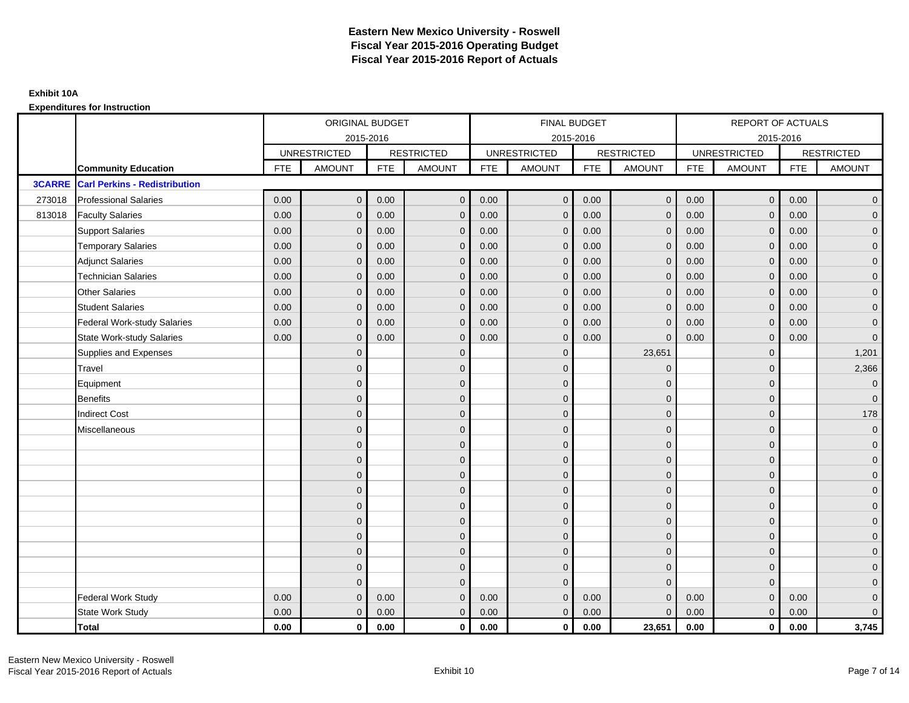|               |                                      |            | ORIGINAL BUDGET     |            |                   |            | FINAL BUDGET        |            |                   |            | REPORT OF ACTUALS   |            |                     |
|---------------|--------------------------------------|------------|---------------------|------------|-------------------|------------|---------------------|------------|-------------------|------------|---------------------|------------|---------------------|
|               |                                      |            | 2015-2016           |            |                   |            | 2015-2016           |            |                   |            |                     | 2015-2016  |                     |
|               |                                      |            | <b>UNRESTRICTED</b> |            | <b>RESTRICTED</b> |            | <b>UNRESTRICTED</b> |            | <b>RESTRICTED</b> |            | <b>UNRESTRICTED</b> |            | <b>RESTRICTED</b>   |
|               | <b>Community Education</b>           | <b>FTE</b> | <b>AMOUNT</b>       | <b>FTE</b> | <b>AMOUNT</b>     | <b>FTE</b> | AMOUNT              | <b>FTE</b> | <b>AMOUNT</b>     | <b>FTE</b> | <b>AMOUNT</b>       | <b>FTE</b> | <b>AMOUNT</b>       |
| <b>3CARRE</b> | <b>Carl Perkins - Redistribution</b> |            |                     |            |                   |            |                     |            |                   |            |                     |            |                     |
| 273018        | <b>Professional Salaries</b>         | 0.00       | $\mathbf{0}$        | 0.00       | $\mathbf{0}$      | 0.00       | $\mathbf 0$         | 0.00       | $\overline{0}$    | 0.00       | $\overline{0}$      | 0.00       | $\overline{0}$      |
| 813018        | <b>Faculty Salaries</b>              | 0.00       | $\mathbf{0}$        | 0.00       | $\mathbf{0}$      | 0.00       | $\mathbf{0}$        | 0.00       | $\mathbf{0}$      | 0.00       | $\mathbf 0$         | 0.00       | $\overline{0}$      |
|               | <b>Support Salaries</b>              | 0.00       | $\mathbf{0}$        | 0.00       | $\mathbf{0}$      | 0.00       | $\mathbf{0}$        | 0.00       | $\mathbf{0}$      | 0.00       | $\mathbf{0}$        | 0.00       | $\overline{0}$      |
|               | <b>Temporary Salaries</b>            | 0.00       | $\mathbf{0}$        | 0.00       | 0                 | 0.00       | $\mathbf{0}$        | 0.00       | $\mathbf 0$       | 0.00       | $\mathbf 0$         | 0.00       | $\overline{0}$      |
|               | <b>Adjunct Salaries</b>              | 0.00       | $\mathbf{0}$        | 0.00       | $\Omega$          | 0.00       | $\overline{0}$      | 0.00       | $\mathbf{0}$      | 0.00       | $\mathbf{0}$        | 0.00       | $\overline{0}$      |
|               | <b>Technician Salaries</b>           | 0.00       | $\Omega$            | 0.00       | $\Omega$          | 0.00       | $\Omega$            | 0.00       | $\mathbf{0}$      | 0.00       | $\Omega$            | 0.00       | $\overline{0}$      |
|               | <b>Other Salaries</b>                | 0.00       | $\mathbf{0}$        | 0.00       | $\mathbf{0}$      | 0.00       | $\mathbf{0}$        | 0.00       | $\mathbf{0}$      | 0.00       | $\mathbf{0}$        | 0.00       | $\overline{0}$      |
|               | <b>Student Salaries</b>              | 0.00       | $\mathbf{0}$        | 0.00       | $\mathbf{0}$      | 0.00       | $\mathbf{0}$        | 0.00       | $\mathbf 0$       | 0.00       | $\mathbf 0$         | 0.00       | $\overline{0}$      |
|               | <b>Federal Work-study Salaries</b>   | 0.00       | $\mathbf{0}$        | 0.00       | $\Omega$          | 0.00       | $\Omega$            | 0.00       | $\overline{0}$    | 0.00       | $\mathbf{0}$        | 0.00       | $\overline{0}$      |
|               | <b>State Work-study Salaries</b>     | 0.00       | $\overline{0}$      | 0.00       | $\mathbf 0$       | 0.00       | $\mathbf{0}$        | 0.00       | $\Omega$          | 0.00       | $\mathbf 0$         | 0.00       | $\mathbf 0$         |
|               | Supplies and Expenses                |            | $\Omega$            |            | $\mathbf{0}$      |            | $\mathbf{0}$        |            | 23,651            |            | $\mathbf 0$         |            | 1,201               |
|               | Travel                               |            | $\Omega$            |            | $\mathbf{0}$      |            | $\Omega$            |            | $\mathbf 0$       |            | $\mathbf 0$         |            | 2,366               |
|               | Equipment                            |            | $\mathbf{0}$        |            | $\mathbf{0}$      |            | $\mathbf{0}$        |            | $\mathbf 0$       |            | $\mathbf{0}$        |            | $\overline{0}$      |
|               | <b>Benefits</b>                      |            | $\Omega$            |            | $\Omega$          |            | $\Omega$            |            | $\mathbf 0$       |            | $\mathbf 0$         |            | $\overline{0}$      |
|               | <b>Indirect Cost</b>                 |            | $\overline{0}$      |            | $\mathbf{0}$      |            | $\mathbf{0}$        |            | $\mathbf 0$       |            | $\mathbf 0$         |            | 178                 |
|               | Miscellaneous                        |            | $\mathbf{0}$        |            | $\mathbf{0}$      |            | $\mathbf{0}$        |            | $\mathbf 0$       |            | $\mathbf 0$         |            | $\mathbf 0$         |
|               |                                      |            | $\overline{0}$      |            | $\mathbf{0}$      |            | $\Omega$            |            | $\mathbf{0}$      |            | $\Omega$            |            | $\overline{0}$      |
|               |                                      |            | $\overline{0}$      |            | $\mathbf 0$       |            | $\mathbf{0}$        |            | $\mathbf 0$       |            | $\mathbf 0$         |            | $\overline{0}$      |
|               |                                      |            | $\Omega$            |            | $\mathbf{0}$      |            | $\Omega$            |            | $\mathbf 0$       |            | $\mathbf 0$         |            | $\overline{0}$      |
|               |                                      |            | $\Omega$            |            | $\Omega$          |            | $\Omega$            |            | $\mathbf{0}$      |            | $\Omega$            |            | $\overline{0}$      |
|               |                                      |            | $\mathbf{0}$        |            | $\mathbf{0}$      |            | $\mathbf{0}$        |            | $\mathbf 0$       |            | $\mathbf 0$         |            | $\mathsf{O}\xspace$ |
|               |                                      |            | $\overline{0}$      |            | $\mathbf{0}$      |            | $\Omega$            |            | $\mathbf{0}$      |            | $\Omega$            |            | $\overline{0}$      |
|               |                                      |            | $\Omega$            |            | $\mathbf{0}$      |            | $\Omega$            |            | $\mathbf 0$       |            | $\mathbf{0}$        |            | $\overline{0}$      |
|               |                                      |            | $\mathbf{0}$        |            | $\mathbf{0}$      |            | $\Omega$            |            | $\mathbf 0$       |            | $\mathbf{0}$        |            | $\overline{0}$      |
|               |                                      |            | $\mathbf{0}$        |            | $\mathbf{0}$      |            | $\Omega$            |            | $\mathbf{0}$      |            | $\mathbf 0$         |            | $\overline{0}$      |
|               |                                      |            | $\Omega$            |            | $\Omega$          |            | $\Omega$            |            | $\mathbf{0}$      |            | $\Omega$            |            | $\overline{0}$      |
|               | Federal Work Study                   | 0.00       | $\mathbf{0}$        | 0.00       | $\mathbf{0}$      | 0.00       | $\mathbf{0}$        | 0.00       | $\mathbf{0}$      | 0.00       | $\mathbf{0}$        | 0.00       | $\mathbf{0}$        |
|               | <b>State Work Study</b>              | 0.00       | $\mathbf{0}$        | 0.00       | $\mathbf{0}$      | 0.00       | $\overline{0}$      | 0.00       | $\mathbf{0}$      | 0.00       | $\mathbf{0}$        | 0.00       | $\overline{0}$      |
|               | <b>Total</b>                         | 0.00       | $\mathbf{0}$        | 0.00       | $\mathbf 0$       | 0.00       | $\mathbf{0}$        | 0.00       | 23,651            | 0.00       | $\mathbf 0$         | 0.00       | 3,745               |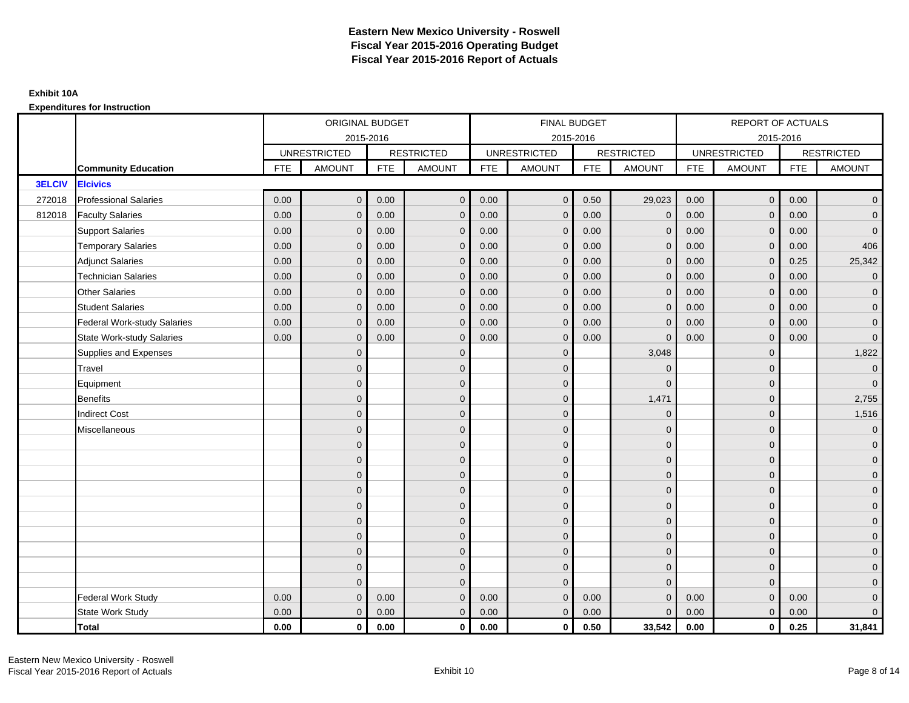|               |                                    | ORIGINAL BUDGET<br>2015-2016<br><b>UNRESTRICTED</b><br><b>RESTRICTED</b><br><b>FTE</b><br><b>AMOUNT</b><br><b>FTE</b><br>$\mathbf{0}$<br>0.00<br>0.00<br>0.00<br>0.00<br>$\mathbf{0}$<br>0.00<br>0.00<br>$\mathbf{0}$<br>0.00<br>0.00<br>$\mathbf 0$<br>0.00<br>0.00<br>$\mathbf{0}$<br>0.00<br>0.00<br>$\Omega$<br>0.00<br>0.00<br>$\mathbf{0}$<br>0.00<br>$\mathbf{0}$<br>0.00<br>0.00<br>0.00<br>$\mathbf{0}$<br>0.00<br>0.00<br>$\mathbf{0}$<br>$\mathbf{0}$<br>$\overline{0}$<br>$\overline{0}$<br>$\Omega$ |                |      |               |            | FINAL BUDGET        |            |                   |            | REPORT OF ACTUALS   |            |                   |
|---------------|------------------------------------|------------------------------------------------------------------------------------------------------------------------------------------------------------------------------------------------------------------------------------------------------------------------------------------------------------------------------------------------------------------------------------------------------------------------------------------------------------------------------------------------------------------|----------------|------|---------------|------------|---------------------|------------|-------------------|------------|---------------------|------------|-------------------|
|               |                                    |                                                                                                                                                                                                                                                                                                                                                                                                                                                                                                                  |                |      |               |            | 2015-2016           |            |                   |            | 2015-2016           |            |                   |
|               |                                    |                                                                                                                                                                                                                                                                                                                                                                                                                                                                                                                  |                |      |               |            | <b>UNRESTRICTED</b> |            | <b>RESTRICTED</b> |            | <b>UNRESTRICTED</b> |            | <b>RESTRICTED</b> |
|               | <b>Community Education</b>         |                                                                                                                                                                                                                                                                                                                                                                                                                                                                                                                  |                |      | <b>AMOUNT</b> | <b>FTE</b> | <b>AMOUNT</b>       | <b>FTE</b> | <b>AMOUNT</b>     | <b>FTE</b> | <b>AMOUNT</b>       | <b>FTE</b> | <b>AMOUNT</b>     |
| <b>3ELCIV</b> | <b>Elcivics</b>                    |                                                                                                                                                                                                                                                                                                                                                                                                                                                                                                                  |                |      |               |            |                     |            |                   |            |                     |            |                   |
| 272018        | <b>Professional Salaries</b>       |                                                                                                                                                                                                                                                                                                                                                                                                                                                                                                                  |                |      | $\mathbf{0}$  | 0.00       | $\mathbf 0$         | 0.50       | 29,023            | 0.00       | $\overline{0}$      | 0.00       | $\overline{0}$    |
| 812018        | <b>Faculty Salaries</b>            |                                                                                                                                                                                                                                                                                                                                                                                                                                                                                                                  |                |      | $\mathbf{0}$  | 0.00       | $\mathbf{0}$        | 0.00       | $\mathbf 0$       | 0.00       | $\mathbf{0}$        | 0.00       | $\overline{0}$    |
|               | <b>Support Salaries</b>            |                                                                                                                                                                                                                                                                                                                                                                                                                                                                                                                  |                |      | $\mathbf 0$   | 0.00       | $\mathbf{0}$        | 0.00       | $\mathbf 0$       | 0.00       | $\overline{0}$      | 0.00       | $\mathbf{0}$      |
|               | <b>Temporary Salaries</b>          |                                                                                                                                                                                                                                                                                                                                                                                                                                                                                                                  |                |      | $\mathbf{0}$  | 0.00       | $\mathbf{0}$        | 0.00       | $\mathbf 0$       | 0.00       | $\mathbf 0$         | 0.00       | 406               |
|               | <b>Adjunct Salaries</b>            |                                                                                                                                                                                                                                                                                                                                                                                                                                                                                                                  |                |      | $\mathbf{0}$  | 0.00       | $\mathbf{0}$        | 0.00       | $\mathbf{0}$      | 0.00       | $\mathbf{0}$        | 0.25       | 25,342            |
|               | <b>Technician Salaries</b>         |                                                                                                                                                                                                                                                                                                                                                                                                                                                                                                                  |                |      | $\Omega$      | 0.00       | $\Omega$            | 0.00       | $\mathbf{0}$      | 0.00       | $\mathbf{0}$        | 0.00       | $\overline{0}$    |
|               | <b>Other Salaries</b>              |                                                                                                                                                                                                                                                                                                                                                                                                                                                                                                                  |                |      | $\mathbf{0}$  | 0.00       | $\mathbf{0}$        | 0.00       | $\mathbf{0}$      | 0.00       | $\mathbf 0$         | 0.00       | $\mathbf{0}$      |
|               | <b>Student Salaries</b>            |                                                                                                                                                                                                                                                                                                                                                                                                                                                                                                                  |                |      | $\mathbf{0}$  | 0.00       | $\mathbf{0}$        | 0.00       | $\mathbf{0}$      | 0.00       | $\mathbf{0}$        | 0.00       | $\overline{0}$    |
|               | <b>Federal Work-study Salaries</b> |                                                                                                                                                                                                                                                                                                                                                                                                                                                                                                                  |                |      | $\Omega$      | 0.00       | $\Omega$            | 0.00       | $\overline{0}$    | 0.00       | $\mathbf{0}$        | 0.00       | $\overline{0}$    |
|               | <b>State Work-study Salaries</b>   |                                                                                                                                                                                                                                                                                                                                                                                                                                                                                                                  |                |      | $\mathbf{0}$  | 0.00       | $\mathbf{0}$        | 0.00       | $\Omega$          | 0.00       | $\mathbf{0}$        | 0.00       | $\mathbf{0}$      |
|               | Supplies and Expenses              |                                                                                                                                                                                                                                                                                                                                                                                                                                                                                                                  |                |      | $\mathbf 0$   |            | $\mathbf{0}$        |            | 3,048             |            | $\mathbf 0$         |            | 1,822             |
|               | Travel                             |                                                                                                                                                                                                                                                                                                                                                                                                                                                                                                                  |                |      | $\mathbf{0}$  |            | $\Omega$            |            | $\Omega$          |            | $\mathbf{0}$        |            | $\overline{0}$    |
|               | Equipment                          |                                                                                                                                                                                                                                                                                                                                                                                                                                                                                                                  |                |      | $\mathbf 0$   |            | $\mathbf{0}$        |            | $\mathbf 0$       |            | $\mathbf{0}$        |            | $\overline{0}$    |
|               | <b>Benefits</b>                    |                                                                                                                                                                                                                                                                                                                                                                                                                                                                                                                  |                |      | $\mathbf{0}$  |            | $\Omega$            |            | 1,471             |            | $\mathbf{0}$        |            | 2,755             |
|               | <b>Indirect Cost</b>               |                                                                                                                                                                                                                                                                                                                                                                                                                                                                                                                  | $\overline{0}$ |      | $\mathbf 0$   |            | $\mathbf{0}$        |            | $\overline{0}$    |            | $\mathbf{0}$        |            | 1,516             |
|               | Miscellaneous                      |                                                                                                                                                                                                                                                                                                                                                                                                                                                                                                                  | $\overline{0}$ |      | $\mathbf{0}$  |            | $\mathbf{0}$        |            | $\mathbf{0}$      |            | $\mathbf 0$         |            | $\overline{0}$    |
|               |                                    |                                                                                                                                                                                                                                                                                                                                                                                                                                                                                                                  | $\overline{0}$ |      | $\mathbf{0}$  |            | $\Omega$            |            | $\mathbf{0}$      |            | $\Omega$            |            | $\overline{0}$    |
|               |                                    |                                                                                                                                                                                                                                                                                                                                                                                                                                                                                                                  | $\overline{0}$ |      | $\mathbf 0$   |            | $\mathbf{0}$        |            | $\mathbf 0$       |            | $\mathbf{0}$        |            | $\overline{0}$    |
|               |                                    |                                                                                                                                                                                                                                                                                                                                                                                                                                                                                                                  | $\mathbf{0}$   |      | $\mathbf{0}$  |            | $\Omega$            |            | $\mathbf 0$       |            | $\mathbf{0}$        |            | $\overline{0}$    |
|               |                                    |                                                                                                                                                                                                                                                                                                                                                                                                                                                                                                                  | $\Omega$       |      | $\mathbf{0}$  |            | $\Omega$            |            | $\mathbf{0}$      |            | $\Omega$            |            | $\overline{0}$    |
|               |                                    |                                                                                                                                                                                                                                                                                                                                                                                                                                                                                                                  | $\mathbf{0}$   |      | $\mathbf 0$   |            | $\mathbf{0}$        |            | $\mathbf 0$       |            | $\mathbf 0$         |            | $\mathbf 0$       |
|               |                                    |                                                                                                                                                                                                                                                                                                                                                                                                                                                                                                                  | $\overline{0}$ |      | $\mathbf 0$   |            | $\mathbf{0}$        |            | $\mathbf{0}$      |            | $\mathbf{0}$        |            | $\overline{0}$    |
|               |                                    |                                                                                                                                                                                                                                                                                                                                                                                                                                                                                                                  | $\overline{0}$ |      | $\mathbf{0}$  |            | $\mathbf{0}$        |            | $\mathbf 0$       |            | $\mathbf{0}$        |            | $\overline{0}$    |
|               |                                    |                                                                                                                                                                                                                                                                                                                                                                                                                                                                                                                  | $\overline{0}$ |      | $\mathbf{0}$  |            | $\Omega$            |            | $\mathbf 0$       |            | $\mathbf 0$         |            | $\overline{0}$    |
|               |                                    |                                                                                                                                                                                                                                                                                                                                                                                                                                                                                                                  | $\mathbf{0}$   |      | $\mathbf{0}$  |            | $\Omega$            |            | $\mathbf{0}$      |            | $\mathbf{0}$        |            | $\overline{0}$    |
|               |                                    |                                                                                                                                                                                                                                                                                                                                                                                                                                                                                                                  | $\Omega$       |      | $\Omega$      |            | $\Omega$            |            | $\mathbf{0}$      |            | $\Omega$            |            | $\overline{0}$    |
|               | <b>Federal Work Study</b>          | 0.00                                                                                                                                                                                                                                                                                                                                                                                                                                                                                                             | $\mathbf{0}$   | 0.00 | $\mathbf 0$   | 0.00       | $\mathbf{0}$        | 0.00       | $\mathbf{0}$      | 0.00       | $\mathbf{0}$        | 0.00       | $\mathbf{0}$      |
|               | State Work Study                   | 0.00                                                                                                                                                                                                                                                                                                                                                                                                                                                                                                             | $\mathbf{0}$   | 0.00 | $\mathbf{0}$  | 0.00       | $\overline{0}$      | 0.00       | $\mathbf{0}$      | 0.00       | $\overline{0}$      | 0.00       | $\overline{0}$    |
|               | <b>Total</b>                       | 0.00                                                                                                                                                                                                                                                                                                                                                                                                                                                                                                             | $\mathbf 0$    | 0.00 | $\mathbf 0$   | 0.00       | $\mathbf{0}$        | 0.50       | 33,542            | 0.00       | $\mathbf 0$         | 0.25       | 31,841            |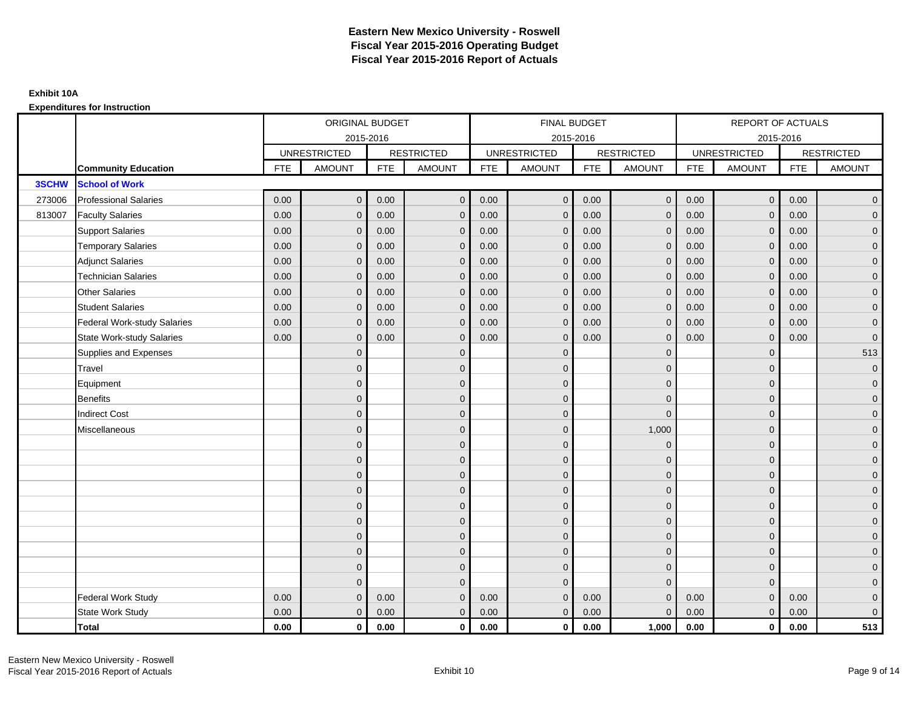|        |                                    | ORIGINAL BUDGET<br>2015-2016<br><b>UNRESTRICTED</b><br><b>RESTRICTED</b><br><b>FTE</b><br><b>AMOUNT</b><br><b>FTE</b><br><b>AMOUNT</b><br>$\mathbf{0}$<br>0.00<br>0.00<br>0.00<br>0.00<br>$\mathbf{0}$<br>0.00<br>0.00<br>$\mathbf{0}$<br>$\mathbf 0$<br>0.00<br>0.00<br>$\mathbf 0$<br>0.00<br>0.00<br>$\mathbf{0}$<br>0.00<br>0.00<br>$\Omega$<br>$\Omega$<br>0.00<br>0.00<br>$\mathbf{0}$<br>0.00<br>$\mathbf{0}$<br>0.00 |                |      |              | FINAL BUDGET |                     |            |                   | REPORT OF ACTUALS |                     |            |                     |
|--------|------------------------------------|------------------------------------------------------------------------------------------------------------------------------------------------------------------------------------------------------------------------------------------------------------------------------------------------------------------------------------------------------------------------------------------------------------------------------|----------------|------|--------------|--------------|---------------------|------------|-------------------|-------------------|---------------------|------------|---------------------|
|        |                                    |                                                                                                                                                                                                                                                                                                                                                                                                                              |                |      |              |              | 2015-2016           |            |                   |                   | 2015-2016           |            |                     |
|        |                                    |                                                                                                                                                                                                                                                                                                                                                                                                                              |                |      |              |              | <b>UNRESTRICTED</b> |            | <b>RESTRICTED</b> |                   | <b>UNRESTRICTED</b> |            | <b>RESTRICTED</b>   |
|        | <b>Community Education</b>         |                                                                                                                                                                                                                                                                                                                                                                                                                              |                |      |              | <b>FTE</b>   | <b>AMOUNT</b>       | <b>FTE</b> | <b>AMOUNT</b>     | <b>FTE</b>        | <b>AMOUNT</b>       | <b>FTE</b> | <b>AMOUNT</b>       |
| 3SCHW  | <b>School of Work</b>              |                                                                                                                                                                                                                                                                                                                                                                                                                              |                |      |              |              |                     |            |                   |                   |                     |            |                     |
| 273006 | <b>Professional Salaries</b>       |                                                                                                                                                                                                                                                                                                                                                                                                                              |                |      | $\mathbf{0}$ | 0.00         | $\mathbf 0$         | 0.00       | $\overline{0}$    | 0.00              | $\overline{0}$      | 0.00       | $\overline{0}$      |
| 813007 | <b>Faculty Salaries</b>            |                                                                                                                                                                                                                                                                                                                                                                                                                              |                |      | $\mathbf{0}$ | 0.00         | $\mathbf{0}$        | 0.00       | $\mathbf{0}$      | 0.00              | $\mathbf{0}$        | 0.00       | $\overline{0}$      |
|        | <b>Support Salaries</b>            |                                                                                                                                                                                                                                                                                                                                                                                                                              |                |      |              | 0.00         | $\mathbf{0}$        | 0.00       | $\mathbf{0}$      | 0.00              | $\overline{0}$      | 0.00       | $\overline{0}$      |
|        | <b>Temporary Salaries</b>          |                                                                                                                                                                                                                                                                                                                                                                                                                              |                |      | $\mathbf{0}$ | 0.00         | $\mathbf{0}$        | 0.00       | $\mathbf 0$       | 0.00              | $\mathbf 0$         | 0.00       | $\overline{0}$      |
|        | <b>Adjunct Salaries</b>            |                                                                                                                                                                                                                                                                                                                                                                                                                              |                |      | $\mathbf{0}$ | 0.00         | $\mathbf{0}$        | 0.00       | $\mathbf{0}$      | 0.00              | $\mathbf{0}$        | 0.00       | $\overline{0}$      |
|        | <b>Technician Salaries</b>         |                                                                                                                                                                                                                                                                                                                                                                                                                              |                |      |              | 0.00         | $\Omega$            | 0.00       | $\mathbf{0}$      | 0.00              | $\mathbf{0}$        | 0.00       | $\overline{0}$      |
|        | <b>Other Salaries</b>              |                                                                                                                                                                                                                                                                                                                                                                                                                              |                |      | $\mathbf{0}$ | 0.00         | $\mathbf{0}$        | 0.00       | $\mathbf{0}$      | 0.00              | $\mathbf 0$         | 0.00       | $\mathbf{0}$        |
|        | <b>Student Salaries</b>            |                                                                                                                                                                                                                                                                                                                                                                                                                              |                |      | $\mathbf{0}$ | 0.00         | $\mathbf{0}$        | 0.00       | $\mathbf 0$       | 0.00              | $\overline{0}$      | 0.00       | $\overline{0}$      |
|        | <b>Federal Work-study Salaries</b> | 0.00                                                                                                                                                                                                                                                                                                                                                                                                                         | $\mathbf{0}$   | 0.00 | $\Omega$     | 0.00         | $\Omega$            | 0.00       | $\overline{0}$    | 0.00              | $\mathbf{0}$        | 0.00       | $\overline{0}$      |
|        | <b>State Work-study Salaries</b>   | 0.00                                                                                                                                                                                                                                                                                                                                                                                                                         | $\mathbf{0}$   | 0.00 | $\mathbf{0}$ | 0.00         | $\mathbf{0}$        | 0.00       | $\mathbf 0$       | 0.00              | $\mathbf{0}$        | 0.00       | $\mathbf 0$         |
|        | Supplies and Expenses              |                                                                                                                                                                                                                                                                                                                                                                                                                              | $\mathbf{0}$   |      | $\mathbf 0$  |              | $\mathbf{0}$        |            | $\overline{0}$    |                   | $\mathbf 0$         |            | 513                 |
|        | Travel                             |                                                                                                                                                                                                                                                                                                                                                                                                                              | $\overline{0}$ |      | $\mathbf{0}$ |              | $\Omega$            |            | $\mathbf{0}$      |                   | $\mathbf{0}$        |            | $\mathbf 0$         |
|        | Equipment                          |                                                                                                                                                                                                                                                                                                                                                                                                                              | $\mathbf{0}$   |      | $\mathbf 0$  |              | $\mathbf{0}$        |            | $\mathbf 0$       |                   | $\mathbf{0}$        |            | $\overline{0}$      |
|        | <b>Benefits</b>                    |                                                                                                                                                                                                                                                                                                                                                                                                                              | $\Omega$       |      | $\mathbf{0}$ |              | $\Omega$            |            | $\mathbf 0$       |                   | $\mathbf{0}$        |            | $\overline{0}$      |
|        | <b>Indirect Cost</b>               |                                                                                                                                                                                                                                                                                                                                                                                                                              | $\overline{0}$ |      | $\mathbf 0$  |              | $\mathbf{0}$        |            | $\mathbf 0$       |                   | $\mathbf 0$         |            | $\mathbf{0}$        |
|        | Miscellaneous                      |                                                                                                                                                                                                                                                                                                                                                                                                                              | $\mathbf{0}$   |      | $\mathbf 0$  |              | $\mathbf{0}$        |            | 1,000             |                   | $\mathbf 0$         |            | $\mathsf{O}\xspace$ |
|        |                                    |                                                                                                                                                                                                                                                                                                                                                                                                                              | $\overline{0}$ |      | $\mathbf{0}$ |              | $\Omega$            |            | $\mathbf 0$       |                   | $\Omega$            |            | $\overline{0}$      |
|        |                                    |                                                                                                                                                                                                                                                                                                                                                                                                                              | $\overline{0}$ |      | $\mathbf 0$  |              | $\mathbf{0}$        |            | $\mathbf 0$       |                   | $\mathbf{0}$        |            | $\overline{0}$      |
|        |                                    |                                                                                                                                                                                                                                                                                                                                                                                                                              | $\mathbf{0}$   |      | $\mathbf{0}$ |              | $\Omega$            |            | $\mathbf 0$       |                   | $\mathbf{0}$        |            | $\overline{0}$      |
|        |                                    |                                                                                                                                                                                                                                                                                                                                                                                                                              | $\Omega$       |      | $\mathbf{0}$ |              | $\Omega$            |            | $\mathbf{0}$      |                   | $\Omega$            |            | $\overline{0}$      |
|        |                                    |                                                                                                                                                                                                                                                                                                                                                                                                                              | $\mathbf{0}$   |      | $\mathbf 0$  |              | $\mathbf{0}$        |            | $\mathbf 0$       |                   | $\mathbf 0$         |            | $\mathsf{O}\xspace$ |
|        |                                    |                                                                                                                                                                                                                                                                                                                                                                                                                              | $\overline{0}$ |      | $\mathbf 0$  |              | $\mathbf{0}$        |            | $\mathbf{0}$      |                   | $\mathbf{0}$        |            | $\overline{0}$      |
|        |                                    |                                                                                                                                                                                                                                                                                                                                                                                                                              | $\Omega$       |      | $\mathbf{0}$ |              | $\mathbf{0}$        |            | $\mathbf 0$       |                   | $\mathbf{0}$        |            | $\overline{0}$      |
|        |                                    |                                                                                                                                                                                                                                                                                                                                                                                                                              | $\overline{0}$ |      | $\mathbf{0}$ |              | $\Omega$            |            | $\mathbf 0$       |                   | $\mathbf 0$         |            | $\overline{0}$      |
|        |                                    |                                                                                                                                                                                                                                                                                                                                                                                                                              | $\mathbf{0}$   |      | $\mathbf{0}$ |              | $\Omega$            |            | $\mathbf{0}$      |                   | $\mathbf{0}$        |            | $\overline{0}$      |
|        |                                    |                                                                                                                                                                                                                                                                                                                                                                                                                              | $\Omega$       |      | $\Omega$     |              | $\Omega$            |            | $\mathbf{0}$      |                   | $\Omega$            |            | $\overline{0}$      |
|        | <b>Federal Work Study</b>          | 0.00                                                                                                                                                                                                                                                                                                                                                                                                                         | $\mathbf{0}$   | 0.00 | $\mathbf 0$  | 0.00         | $\mathbf{0}$        | 0.00       | $\mathbf{0}$      | 0.00              | $\mathbf{0}$        | 0.00       | $\mathbf{0}$        |
|        | State Work Study                   | 0.00                                                                                                                                                                                                                                                                                                                                                                                                                         | $\mathbf{0}$   | 0.00 | $\mathbf{0}$ | 0.00         | $\overline{0}$      | 0.00       | $\mathbf{0}$      | 0.00              | $\overline{0}$      | 0.00       | $\overline{0}$      |
|        | <b>Total</b>                       | 0.00                                                                                                                                                                                                                                                                                                                                                                                                                         | $\mathbf 0$    | 0.00 | $\mathbf 0$  | 0.00         | $\mathbf{0}$        | 0.00       | 1,000             | 0.00              | $\mathbf 0$         | 0.00       | 513                 |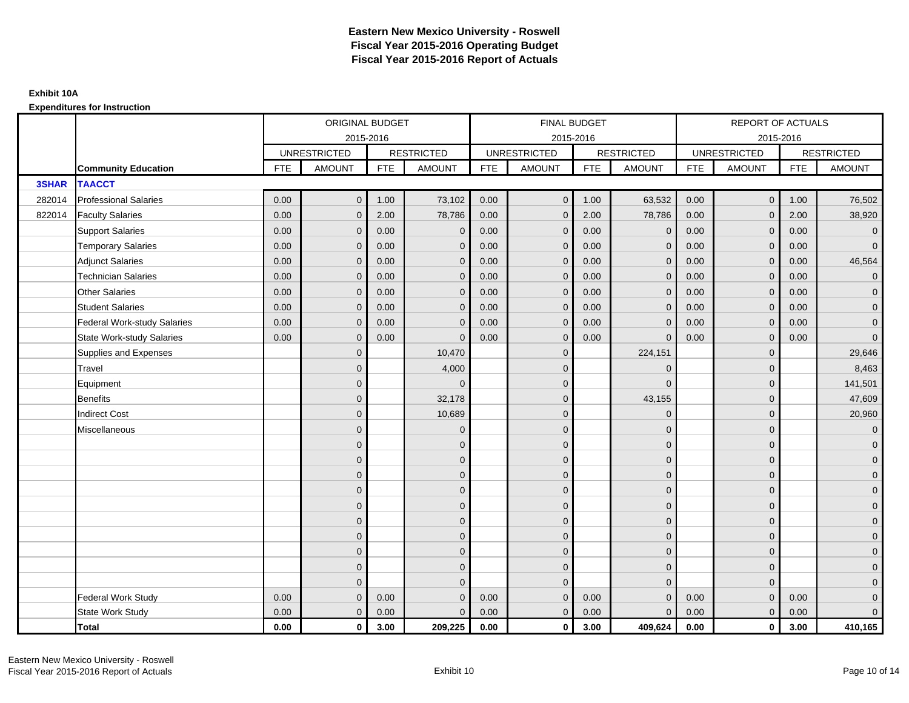|              |                                  |            | ORIGINAL BUDGET     |            |                   |            | <b>FINAL BUDGET</b> |            |                   |            | <b>REPORT OF ACTUALS</b> |            |                     |
|--------------|----------------------------------|------------|---------------------|------------|-------------------|------------|---------------------|------------|-------------------|------------|--------------------------|------------|---------------------|
|              |                                  |            |                     | 2015-2016  |                   |            | 2015-2016           |            |                   |            | 2015-2016                |            |                     |
|              |                                  |            | <b>UNRESTRICTED</b> |            | <b>RESTRICTED</b> |            | <b>UNRESTRICTED</b> |            | <b>RESTRICTED</b> |            | <b>UNRESTRICTED</b>      |            | <b>RESTRICTED</b>   |
|              | <b>Community Education</b>       | <b>FTE</b> | <b>AMOUNT</b>       | <b>FTE</b> | <b>AMOUNT</b>     | <b>FTE</b> | <b>AMOUNT</b>       | <b>FTE</b> | <b>AMOUNT</b>     | <b>FTE</b> | <b>AMOUNT</b>            | <b>FTE</b> | <b>AMOUNT</b>       |
| <b>3SHAR</b> | <b>TAACCT</b>                    |            |                     |            |                   |            |                     |            |                   |            |                          |            |                     |
| 282014       | <b>Professional Salaries</b>     | 0.00       | $\mathbf{0}$        | 1.00       | 73,102            | 0.00       | $\overline{0}$      | 1.00       | 63,532            | 0.00       | $\overline{0}$           | 1.00       | 76,502              |
| 822014       | <b>Faculty Salaries</b>          | 0.00       | $\mathbf{0}$        | 2.00       | 78,786            | 0.00       | $\mathbf{0}$        | 2.00       | 78,786            | 0.00       | $\mathbf 0$              | 2.00       | 38,920              |
|              | <b>Support Salaries</b>          | 0.00       | $\mathbf{0}$        | 0.00       | $\mathbf 0$       | 0.00       | $\overline{0}$      | 0.00       | $\mathbf 0$       | 0.00       | $\overline{0}$           | 0.00       | $\overline{0}$      |
|              | <b>Temporary Salaries</b>        | 0.00       | $\mathbf{0}$        | 0.00       | $\Omega$          | 0.00       | $\mathbf{0}$        | 0.00       | $\mathbf 0$       | 0.00       | $\mathbf 0$              | 0.00       | $\overline{0}$      |
|              | <b>Adjunct Salaries</b>          | 0.00       | $\mathbf{0}$        | 0.00       | $\mathbf{0}$      | 0.00       | $\mathbf{0}$        | 0.00       | $\mathbf 0$       | 0.00       | $\mathbf{0}$             | 0.00       | 46,564              |
|              | <b>Technician Salaries</b>       | 0.00       | $\mathbf{0}$        | 0.00       | $\Omega$          | 0.00       | $\mathbf{0}$        | 0.00       | $\mathbf{0}$      | 0.00       | $\mathbf{0}$             | 0.00       | $\mathbf 0$         |
|              | Other Salaries                   | 0.00       | $\mathbf{0}$        | 0.00       | $\Omega$          | 0.00       | $\Omega$            | 0.00       | $\Omega$          | 0.00       | $\mathbf{0}$             | 0.00       | $\overline{0}$      |
|              | <b>Student Salaries</b>          | 0.00       | $\mathbf 0$         | 0.00       | $\mathbf 0$       | 0.00       | $\overline{0}$      | 0.00       | $\mathbf 0$       | 0.00       | $\mathbf{0}$             | 0.00       | $\overline{0}$      |
|              | Federal Work-study Salaries      | 0.00       | $\mathbf{0}$        | 0.00       | $\Omega$          | 0.00       | $\mathbf{0}$        | 0.00       | $\mathbf 0$       | 0.00       | $\mathbf 0$              | 0.00       | $\overline{0}$      |
|              | <b>State Work-study Salaries</b> | 0.00       | $\mathbf{0}$        | 0.00       | $\Omega$          | 0.00       | $\mathbf{0}$        | 0.00       | $\Omega$          | 0.00       | $\mathbf{0}$             | 0.00       | $\mathbf{0}$        |
|              | Supplies and Expenses            |            | $\mathbf{0}$        |            | 10,470            |            | $\mathbf{0}$        |            | 224,151           |            | $\mathbf 0$              |            | 29,646              |
|              | Travel                           |            | $\mathbf{0}$        |            | 4,000             |            | $\mathbf{0}$        |            | $\mathbf 0$       |            | $\mathbf{0}$             |            | 8,463               |
|              | Equipment                        |            | $\mathbf{0}$        |            | $\Omega$          |            | $\mathbf{0}$        |            | $\mathbf{0}$      |            | $\mathbf{0}$             |            | 141,501             |
|              | <b>Benefits</b>                  |            | $\mathbf{0}$        |            | 32,178            |            | $\mathbf{0}$        |            | 43,155            |            | $\mathbf 0$              |            | 47,609              |
|              | <b>Indirect Cost</b>             |            | $\mathbf{0}$        |            | 10,689            |            | $\Omega$            |            | $\Omega$          |            | $\mathbf{0}$             |            | 20,960              |
|              | Miscellaneous                    |            | $\Omega$            |            | $\mathbf 0$       |            | $\mathbf{0}$        |            | $\mathbf 0$       |            | $\mathbf 0$              |            | $\overline{0}$      |
|              |                                  |            | $\overline{0}$      |            | $\mathbf 0$       |            | $\mathbf{0}$        |            | $\mathbf 0$       |            | $\mathbf{0}$             |            | $\mathbf{0}$        |
|              |                                  |            | $\overline{0}$      |            | $\mathbf 0$       |            | $\mathbf{0}$        |            | $\mathbf 0$       |            | $\mathbf{0}$             |            | $\overline{0}$      |
|              |                                  |            | $\Omega$            |            | $\mathbf{0}$      |            | $\Omega$            |            | $\mathbf 0$       |            | $\Omega$                 |            | $\overline{0}$      |
|              |                                  |            | $\overline{0}$      |            | $\mathbf 0$       |            | $\mathbf{0}$        |            | $\mathbf 0$       |            | $\mathbf 0$              |            | $\mathbf{0}$        |
|              |                                  |            | $\mathbf{0}$        |            | $\mathbf 0$       |            | $\mathbf{0}$        |            | $\mathbf 0$       |            | $\mathbf 0$              |            | $\mathbf 0$         |
|              |                                  |            | $\overline{0}$      |            | $\mathbf{0}$      |            | $\mathbf{0}$        |            | $\mathbf{0}$      |            | $\mathbf{0}$             |            | $\overline{0}$      |
|              |                                  |            | $\overline{0}$      |            | $\mathbf 0$       |            | $\mathbf{0}$        |            | $\mathbf 0$       |            | $\mathbf 0$              |            | $\overline{0}$      |
|              |                                  |            | $\mathbf{0}$        |            | $\mathbf{0}$      |            | $\Omega$            |            | $\mathbf 0$       |            | $\mathbf{0}$             |            | $\overline{0}$      |
|              |                                  |            | $\mathbf{0}$        |            | $\mathbf{0}$      |            | $\Omega$            |            | $\mathbf{0}$      |            | $\mathbf{0}$             |            | $\overline{0}$      |
|              |                                  |            | $\Omega$            |            | $\Omega$          |            | $\Omega$            |            | $\mathbf{0}$      |            | $\Omega$                 |            | $\mathsf{O}\xspace$ |
|              | <b>Federal Work Study</b>        | 0.00       | $\mathbf{0}$        | 0.00       | $\mathbf 0$       | 0.00       | $\mathbf{0}$        | 0.00       | $\mathbf{0}$      | 0.00       | $\mathbf{0}$             | 0.00       | $\mathbf{0}$        |
|              | State Work Study                 | 0.00       | $\mathbf{0}$        | 0.00       | $\Omega$          | 0.00       | $\overline{0}$      | 0.00       | $\mathbf{0}$      | 0.00       | $\mathbf{0}$             | 0.00       | $\overline{0}$      |
|              | <b>Total</b>                     | 0.00       | $\mathbf 0$         | 3.00       | 209,225           | 0.00       | $\mathbf{0}$        | 3.00       | 409,624           | 0.00       | $\mathbf 0$              | 3.00       | 410,165             |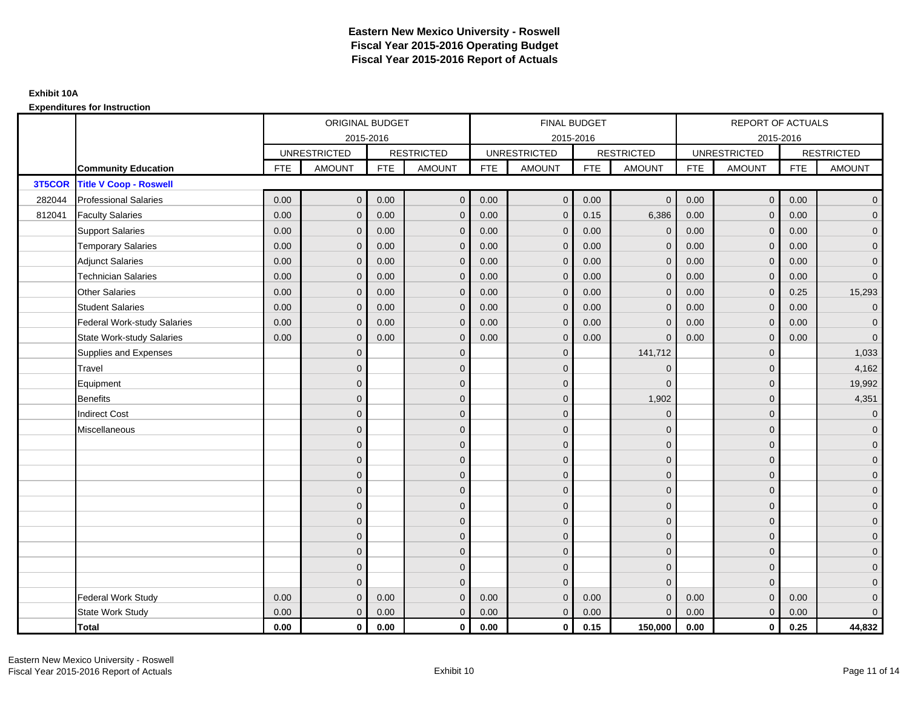|        |                                    |            | ORIGINAL BUDGET     |            |                   |            | <b>FINAL BUDGET</b> |            |                   |            | <b>REPORT OF ACTUALS</b> |            |                     |
|--------|------------------------------------|------------|---------------------|------------|-------------------|------------|---------------------|------------|-------------------|------------|--------------------------|------------|---------------------|
|        |                                    |            | 2015-2016           |            |                   |            | 2015-2016           |            |                   |            | 2015-2016                |            |                     |
|        |                                    |            | <b>UNRESTRICTED</b> |            | <b>RESTRICTED</b> |            | <b>UNRESTRICTED</b> |            | <b>RESTRICTED</b> |            | <b>UNRESTRICTED</b>      |            | <b>RESTRICTED</b>   |
|        | <b>Community Education</b>         | <b>FTE</b> | <b>AMOUNT</b>       | <b>FTE</b> | <b>AMOUNT</b>     | <b>FTE</b> | <b>AMOUNT</b>       | <b>FTE</b> | <b>AMOUNT</b>     | <b>FTE</b> | <b>AMOUNT</b>            | <b>FTE</b> | <b>AMOUNT</b>       |
| 3T5COR | <b>Title V Coop - Roswell</b>      |            |                     |            |                   |            |                     |            |                   |            |                          |            |                     |
| 282044 | <b>Professional Salaries</b>       | 0.00       | $\mathbf{0}$        | 0.00       | $\mathbf{0}$      | 0.00       | $\mathbf{0}$        | 0.00       | $\mathbf{0}$      | 0.00       | $\overline{0}$           | 0.00       | $\overline{0}$      |
| 812041 | <b>Faculty Salaries</b>            | 0.00       | $\mathbf{0}$        | 0.00       | $\mathbf 0$       | 0.00       | $\mathbf{0}$        | 0.15       | 6,386             | 0.00       | $\mathbf 0$              | 0.00       | $\overline{0}$      |
|        | <b>Support Salaries</b>            | 0.00       | $\mathbf{0}$        | 0.00       | $\mathbf 0$       | 0.00       | $\mathbf{0}$        | 0.00       | $\mathbf 0$       | 0.00       | $\overline{0}$           | 0.00       | $\overline{0}$      |
|        | <b>Temporary Salaries</b>          | 0.00       | $\mathbf{0}$        | 0.00       | $\mathbf{0}$      | 0.00       | $\mathbf{0}$        | 0.00       | 0                 | 0.00       | $\mathbf{0}$             | 0.00       | $\overline{0}$      |
|        | <b>Adjunct Salaries</b>            | 0.00       | $\mathbf{0}$        | 0.00       | $\mathbf{0}$      | 0.00       | $\mathbf{0}$        | 0.00       | $\mathbf{0}$      | 0.00       | $\mathbf 0$              | 0.00       | $\overline{0}$      |
|        | <b>Technician Salaries</b>         | 0.00       | $\Omega$            | 0.00       | $\mathbf{0}$      | 0.00       | $\mathbf{0}$        | 0.00       | $\mathbf{0}$      | 0.00       | $\mathbf{0}$             | 0.00       | $\overline{0}$      |
|        | <b>Other Salaries</b>              | 0.00       | $\Omega$            | 0.00       | $\mathbf{0}$      | 0.00       | $\Omega$            | 0.00       | $\Omega$          | 0.00       | $\overline{0}$           | 0.25       | 15,293              |
|        | <b>Student Salaries</b>            | 0.00       | $\mathbf 0$         | 0.00       | $\mathbf 0$       | 0.00       | $\mathbf{0}$        | 0.00       | $\mathbf{0}$      | 0.00       | $\mathbf{0}$             | 0.00       | $\overline{0}$      |
|        | <b>Federal Work-study Salaries</b> | 0.00       | $\Omega$            | 0.00       | $\mathbf{0}$      | 0.00       | $\mathbf{0}$        | 0.00       | $\Omega$          | 0.00       | $\mathbf 0$              | 0.00       | $\overline{0}$      |
|        | <b>State Work-study Salaries</b>   | 0.00       | $\mathbf{0}$        | 0.00       | $\mathbf{0}$      | 0.00       | $\mathbf{0}$        | 0.00       | $\Omega$          | 0.00       | $\mathbf{0}$             | 0.00       | $\overline{0}$      |
|        | Supplies and Expenses              |            | $\Omega$            |            | $\mathbf 0$       |            | $\mathbf{0}$        |            | 141,712           |            | $\mathbf 0$              |            | 1,033               |
|        | <b>Travel</b>                      |            | $\overline{0}$      |            | $\mathbf 0$       |            | $\mathbf{0}$        |            | $\overline{0}$    |            | $\mathbf{0}$             |            | 4,162               |
|        | Equipment                          |            | $\Omega$            |            | $\mathbf 0$       |            | $\Omega$            |            | $\Omega$          |            | $\mathbf{0}$             |            | 19,992              |
|        | <b>Benefits</b>                    |            | $\Omega$            |            | $\mathbf 0$       |            | $\mathbf{0}$        |            | 1,902             |            | $\mathbf{0}$             |            | 4,351               |
|        | <b>Indirect Cost</b>               |            | $\mathbf{0}$        |            | $\mathbf 0$       |            | $\Omega$            |            | $\Omega$          |            | $\mathbf{0}$             |            | $\overline{0}$      |
|        | Miscellaneous                      |            | $\Omega$            |            | $\mathbf 0$       |            | $\mathbf{0}$        |            | $\Omega$          |            | $\mathbf 0$              |            | $\overline{0}$      |
|        |                                    |            | $\overline{0}$      |            | $\mathbf 0$       |            | $\mathbf{0}$        |            | $\mathbf 0$       |            | $\mathbf{0}$             |            | $\overline{0}$      |
|        |                                    |            | $\mathbf{0}$        |            | $\mathbf 0$       |            | $\mathbf{0}$        |            | $\mathbf 0$       |            | $\mathbf{0}$             |            | $\overline{0}$      |
|        |                                    |            | $\Omega$            |            | $\mathbf{0}$      |            | $\Omega$            |            | $\mathbf 0$       |            | $\Omega$                 |            | $\overline{0}$      |
|        |                                    |            | $\Omega$            |            | $\mathbf 0$       |            | $\mathbf{0}$        |            | $\mathbf 0$       |            | $\mathbf{0}$             |            | $\overline{0}$      |
|        |                                    |            | $\Omega$            |            | $\mathbf 0$       |            | $\mathbf{0}$        |            | $\mathbf 0$       |            | $\mathbf 0$              |            | $\mathsf{O}\xspace$ |
|        |                                    |            | $\overline{0}$      |            | $\mathbf 0$       |            | $\mathbf{0}$        |            | $\mathbf{0}$      |            | $\mathbf{0}$             |            | $\overline{0}$      |
|        |                                    |            | $\mathbf{0}$        |            | $\mathbf 0$       |            | $\mathbf{0}$        |            | $\mathbf 0$       |            | $\mathbf 0$              |            | $\overline{0}$      |
|        |                                    |            | $\Omega$            |            | $\mathbf 0$       |            | $\Omega$            |            | $\mathbf 0$       |            | $\mathbf{0}$             |            | $\overline{0}$      |
|        |                                    |            | $\mathbf{0}$        |            | $\mathbf{0}$      |            | $\Omega$            |            | $\mathbf{0}$      |            | $\mathbf{0}$             |            | $\overline{0}$      |
|        |                                    |            | $\Omega$            |            | $\mathbf{0}$      |            | $\Omega$            |            | $\mathbf{0}$      |            | $\Omega$                 |            | $\pmb{0}$           |
|        | <b>Federal Work Study</b>          | 0.00       | $\mathbf{0}$        | 0.00       | $\mathbf{0}$      | 0.00       | $\mathbf{0}$        | 0.00       | $\overline{0}$    | 0.00       | $\mathbf{0}$             | 0.00       | $\mathbf{0}$        |
|        | State Work Study                   | 0.00       | $\mathbf{0}$        | 0.00       | $\mathbf 0$       | 0.00       | $\mathbf{0}$        | 0.00       | $\mathbf{0}$      | 0.00       | $\overline{0}$           | 0.00       | $\overline{0}$      |
|        | Total                              | 0.00       | $\mathbf 0$         | 0.00       | $\mathbf{0}$      | 0.00       | $\mathbf{0}$        | 0.15       | 150,000           | 0.00       | $\mathbf{0}$             | 0.25       | 44,832              |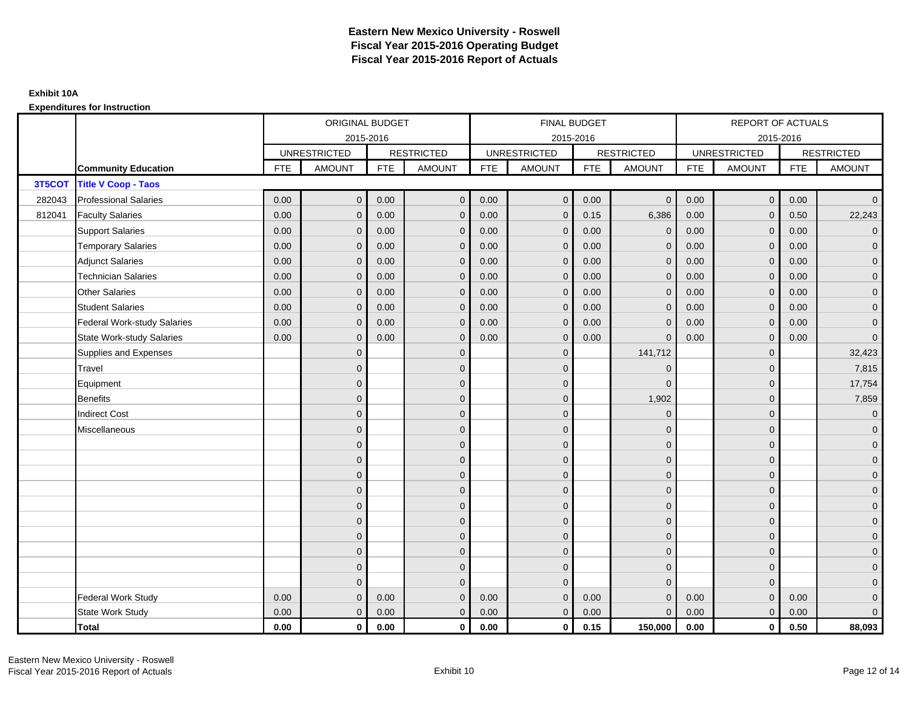|        |                                    |            | ORIGINAL BUDGET     |            |                   |            | <b>FINAL BUDGET</b> |            |                   |            | <b>REPORT OF ACTUALS</b> |            |                     |
|--------|------------------------------------|------------|---------------------|------------|-------------------|------------|---------------------|------------|-------------------|------------|--------------------------|------------|---------------------|
|        |                                    |            | 2015-2016           |            |                   |            | 2015-2016           |            |                   |            | 2015-2016                |            |                     |
|        |                                    |            | <b>UNRESTRICTED</b> |            | <b>RESTRICTED</b> |            | <b>UNRESTRICTED</b> |            | <b>RESTRICTED</b> |            | <b>UNRESTRICTED</b>      |            | <b>RESTRICTED</b>   |
|        | <b>Community Education</b>         | <b>FTE</b> | <b>AMOUNT</b>       | <b>FTE</b> | <b>AMOUNT</b>     | <b>FTE</b> | <b>AMOUNT</b>       | <b>FTE</b> | <b>AMOUNT</b>     | <b>FTE</b> | <b>AMOUNT</b>            | <b>FTE</b> | <b>AMOUNT</b>       |
| 3T5COT | <b>Title V Coop - Taos</b>         |            |                     |            |                   |            |                     |            |                   |            |                          |            |                     |
| 282043 | <b>Professional Salaries</b>       | 0.00       | $\mathbf{0}$        | 0.00       | $\mathbf{0}$      | 0.00       | $\mathbf{0}$        | 0.00       | $\mathbf{0}$      | 0.00       | $\overline{0}$           | 0.00       | $\overline{0}$      |
| 812041 | <b>Faculty Salaries</b>            | 0.00       | $\mathbf{0}$        | 0.00       | $\mathbf{0}$      | 0.00       | $\mathbf{0}$        | 0.15       | 6,386             | 0.00       | $\mathbf{0}$             | 0.50       | 22,243              |
|        | <b>Support Salaries</b>            | 0.00       | $\mathbf{0}$        | 0.00       | $\mathbf 0$       | 0.00       | $\mathbf{0}$        | 0.00       | $\mathbf 0$       | 0.00       | $\overline{0}$           | 0.00       | $\overline{0}$      |
|        | <b>Temporary Salaries</b>          | 0.00       | $\mathbf{0}$        | 0.00       | $\mathbf{0}$      | 0.00       | $\mathbf{0}$        | 0.00       | 0                 | 0.00       | $\mathbf{0}$             | 0.00       | $\overline{0}$      |
|        | <b>Adjunct Salaries</b>            | 0.00       | $\mathbf{0}$        | 0.00       | $\mathbf{0}$      | 0.00       | $\mathbf{0}$        | 0.00       | $\mathbf{0}$      | 0.00       | $\mathbf 0$              | 0.00       | $\overline{0}$      |
|        | <b>Technician Salaries</b>         | 0.00       | $\Omega$            | 0.00       | $\mathbf{0}$      | 0.00       | $\mathbf{0}$        | 0.00       | $\mathbf{0}$      | 0.00       | $\mathbf{0}$             | 0.00       | $\mathbf{0}$        |
|        | <b>Other Salaries</b>              | 0.00       | $\Omega$            | 0.00       | $\mathbf{0}$      | 0.00       | $\Omega$            | 0.00       | $\Omega$          | 0.00       | $\overline{0}$           | 0.00       | $\overline{0}$      |
|        | <b>Student Salaries</b>            | 0.00       | $\mathbf 0$         | 0.00       | $\mathbf 0$       | 0.00       | $\mathbf{0}$        | 0.00       | $\mathbf{0}$      | 0.00       | $\mathbf{0}$             | 0.00       | $\overline{0}$      |
|        | <b>Federal Work-study Salaries</b> | 0.00       | $\Omega$            | 0.00       | $\mathbf{0}$      | 0.00       | $\mathbf{0}$        | 0.00       | $\Omega$          | 0.00       | $\mathbf 0$              | 0.00       | $\overline{0}$      |
|        | <b>State Work-study Salaries</b>   | 0.00       | $\mathbf{0}$        | 0.00       | $\mathbf{0}$      | 0.00       | $\mathbf{0}$        | 0.00       | $\Omega$          | 0.00       | $\mathbf{0}$             | 0.00       | $\overline{0}$      |
|        | Supplies and Expenses              |            | $\Omega$            |            | $\mathbf 0$       |            | $\mathbf{0}$        |            | 141,712           |            | $\mathbf 0$              |            | 32,423              |
|        | <b>Travel</b>                      |            | $\overline{0}$      |            | $\mathbf 0$       |            | $\mathbf{0}$        |            | $\overline{0}$    |            | $\mathbf{0}$             |            | 7,815               |
|        | Equipment                          |            | $\Omega$            |            | $\mathbf 0$       |            | $\Omega$            |            | $\Omega$          |            | $\mathbf{0}$             |            | 17,754              |
|        | <b>Benefits</b>                    |            | $\Omega$            |            | $\mathbf 0$       |            | $\mathbf{0}$        |            | 1,902             |            | $\mathbf{0}$             |            | 7,859               |
|        | <b>Indirect Cost</b>               |            | $\mathbf{0}$        |            | $\mathbf 0$       |            | $\Omega$            |            | $\Omega$          |            | $\mathbf{0}$             |            | $\overline{0}$      |
|        | Miscellaneous                      |            | $\Omega$            |            | $\mathbf 0$       |            | $\mathbf{0}$        |            | $\Omega$          |            | $\mathbf 0$              |            | $\overline{0}$      |
|        |                                    |            | $\overline{0}$      |            | $\mathbf 0$       |            | $\mathbf{0}$        |            | $\mathbf 0$       |            | $\mathbf{0}$             |            | $\overline{0}$      |
|        |                                    |            | $\mathbf{0}$        |            | $\mathbf 0$       |            | $\mathbf{0}$        |            | $\mathbf 0$       |            | $\mathbf{0}$             |            | $\overline{0}$      |
|        |                                    |            | $\Omega$            |            | $\mathbf{0}$      |            | $\Omega$            |            | $\mathbf 0$       |            | $\Omega$                 |            | $\overline{0}$      |
|        |                                    |            | $\Omega$            |            | $\mathbf 0$       |            | $\mathbf{0}$        |            | $\mathbf 0$       |            | $\mathbf{0}$             |            | $\overline{0}$      |
|        |                                    |            | $\Omega$            |            | $\mathbf 0$       |            | $\mathbf{0}$        |            | $\mathbf 0$       |            | $\mathbf 0$              |            | $\mathsf{O}\xspace$ |
|        |                                    |            | $\overline{0}$      |            | $\mathbf 0$       |            | $\mathbf{0}$        |            | $\mathbf{0}$      |            | $\mathbf{0}$             |            | $\overline{0}$      |
|        |                                    |            | $\mathbf{0}$        |            | $\mathbf 0$       |            | $\mathbf{0}$        |            | $\mathbf 0$       |            | $\mathbf 0$              |            | $\overline{0}$      |
|        |                                    |            | $\Omega$            |            | $\mathbf 0$       |            | $\Omega$            |            | $\mathbf 0$       |            | $\mathbf{0}$             |            | $\overline{0}$      |
|        |                                    |            | $\mathbf{0}$        |            | $\mathbf{0}$      |            | $\Omega$            |            | $\mathbf{0}$      |            | $\mathbf{0}$             |            | $\overline{0}$      |
|        |                                    |            | $\Omega$            |            | $\mathbf{0}$      |            | $\Omega$            |            | $\mathbf{0}$      |            | $\Omega$                 |            | $\pmb{0}$           |
|        | <b>Federal Work Study</b>          | 0.00       | $\mathbf{0}$        | 0.00       | $\mathbf{0}$      | 0.00       | $\mathbf{0}$        | 0.00       | $\overline{0}$    | 0.00       | $\mathbf{0}$             | 0.00       | $\mathbf{0}$        |
|        | State Work Study                   | 0.00       | $\mathbf{0}$        | 0.00       | $\mathbf 0$       | 0.00       | $\mathbf{0}$        | 0.00       | $\mathbf{0}$      | 0.00       | $\overline{0}$           | 0.00       | $\overline{0}$      |
|        | Total                              | 0.00       | $\mathbf 0$         | 0.00       | $\mathbf{0}$      | 0.00       | $\mathbf{0}$        | 0.15       | 150,000           | 0.00       | $\mathbf{0}$             | 0.50       | 88,093              |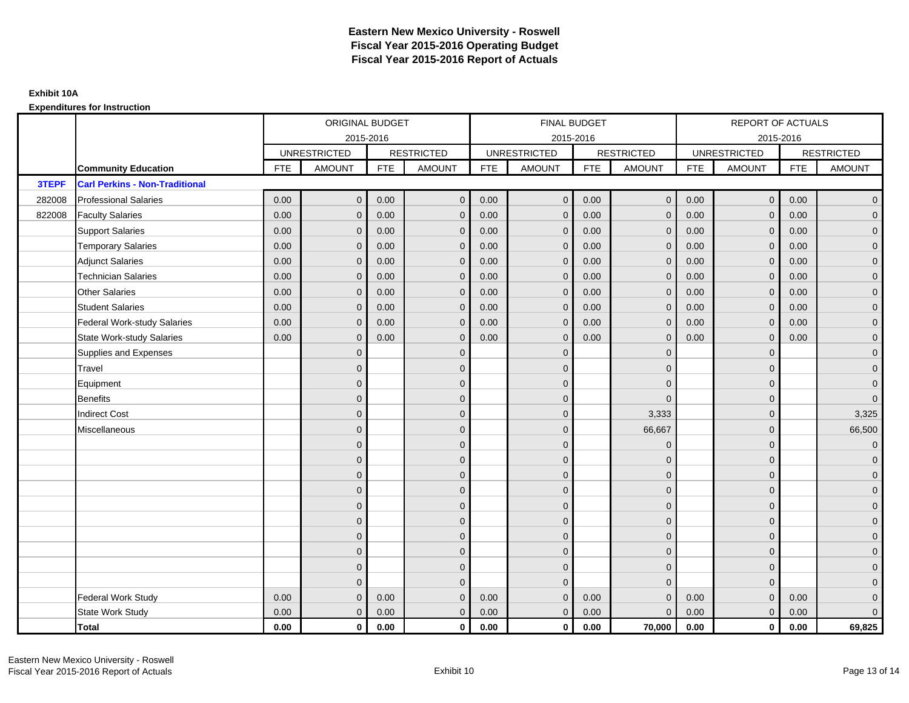|        |                                       |            | ORIGINAL BUDGET     |            |                   |            | <b>FINAL BUDGET</b> |            |                   |            | REPORT OF ACTUALS   |            |                     |
|--------|---------------------------------------|------------|---------------------|------------|-------------------|------------|---------------------|------------|-------------------|------------|---------------------|------------|---------------------|
|        |                                       |            | 2015-2016           |            |                   |            | 2015-2016           |            |                   |            | 2015-2016           |            |                     |
|        |                                       |            | <b>UNRESTRICTED</b> |            | <b>RESTRICTED</b> |            | <b>UNRESTRICTED</b> |            | <b>RESTRICTED</b> |            | <b>UNRESTRICTED</b> |            | <b>RESTRICTED</b>   |
|        | <b>Community Education</b>            | <b>FTE</b> | <b>AMOUNT</b>       | <b>FTE</b> | <b>AMOUNT</b>     | <b>FTE</b> | <b>AMOUNT</b>       | <b>FTE</b> | <b>AMOUNT</b>     | <b>FTE</b> | <b>AMOUNT</b>       | <b>FTE</b> | <b>AMOUNT</b>       |
| 3TEPF  | <b>Carl Perkins - Non-Traditional</b> |            |                     |            |                   |            |                     |            |                   |            |                     |            |                     |
| 282008 | <b>Professional Salaries</b>          | 0.00       | $\mathbf{0}$        | 0.00       | $\mathbf{0}$      | 0.00       | $\mathsf{O}\xspace$ | 0.00       | $\overline{0}$    | 0.00       | $\overline{0}$      | 0.00       | $\overline{0}$      |
| 822008 | <b>Faculty Salaries</b>               | 0.00       | $\mathbf{0}$        | 0.00       | $\mathbf 0$       | 0.00       | $\mathbf{0}$        | 0.00       | $\mathbf{0}$      | 0.00       | $\mathbf{0}$        | 0.00       | $\overline{0}$      |
|        | <b>Support Salaries</b>               | 0.00       | $\mathbf{0}$        | 0.00       | $\mathbf{0}$      | 0.00       | $\mathbf{0}$        | 0.00       | $\mathbf{0}$      | 0.00       | $\overline{0}$      | 0.00       | $\overline{0}$      |
|        | <b>Temporary Salaries</b>             | 0.00       | $\mathbf{0}$        | 0.00       | $\mathbf{0}$      | 0.00       | $\mathbf{0}$        | 0.00       | 0                 | 0.00       | $\mathbf 0$         | 0.00       | $\overline{0}$      |
|        | <b>Adjunct Salaries</b>               | 0.00       | $\mathbf{0}$        | 0.00       | $\mathbf{0}$      | 0.00       | $\Omega$            | 0.00       | $\mathbf{0}$      | 0.00       | $\mathbf{0}$        | 0.00       | $\overline{0}$      |
|        | <b>Technician Salaries</b>            | 0.00       | $\Omega$            | 0.00       | $\Omega$          | 0.00       | $\Omega$            | 0.00       | $\Omega$          | 0.00       | $\mathbf{0}$        | 0.00       | $\overline{0}$      |
|        | <b>Other Salaries</b>                 | 0.00       | $\mathbf{0}$        | 0.00       | $\mathbf 0$       | 0.00       | $\mathbf{0}$        | 0.00       | $\mathbf{0}$      | 0.00       | $\mathbf{0}$        | 0.00       | $\overline{0}$      |
|        | <b>Student Salaries</b>               | 0.00       | $\mathbf{0}$        | 0.00       | $\mathbf 0$       | 0.00       | $\mathbf{0}$        | 0.00       | $\mathbf{0}$      | 0.00       | $\mathbf{0}$        | 0.00       | $\overline{0}$      |
|        | <b>Federal Work-study Salaries</b>    | 0.00       | $\mathbf{0}$        | 0.00       | $\Omega$          | 0.00       | $\Omega$            | 0.00       | $\Omega$          | 0.00       | $\mathbf{0}$        | 0.00       | $\overline{0}$      |
|        | <b>State Work-study Salaries</b>      | 0.00       | $\mathbf{0}$        | 0.00       | $\mathbf{0}$      | 0.00       | $\mathbf{0}$        | 0.00       | $\mathbf 0$       | 0.00       | $\mathbf{0}$        | 0.00       | $\overline{0}$      |
|        | Supplies and Expenses                 |            | $\Omega$            |            | $\mathbf{0}$      |            | $\Omega$            |            | $\mathbf 0$       |            | $\mathbf 0$         |            | $\mathsf{O}\xspace$ |
|        | Travel                                |            | $\Omega$            |            | $\mathbf{0}$      |            | $\Omega$            |            | $\Omega$          |            | $\mathbf{0}$        |            | $\overline{0}$      |
|        | Equipment                             |            | $\Omega$            |            | $\mathbf 0$       |            | $\mathbf{0}$        |            | $\mathbf{0}$      |            | $\mathbf{0}$        |            | $\overline{0}$      |
|        | <b>Benefits</b>                       |            | $\Omega$            |            | $\mathbf{0}$      |            | $\Omega$            |            | $\Omega$          |            | $\mathbf{0}$        |            | $\overline{0}$      |
|        | <b>Indirect Cost</b>                  |            | $\Omega$            |            | $\mathbf 0$       |            | $\mathbf{0}$        |            | 3,333             |            | $\mathbf{0}$        |            | 3,325               |
|        | Miscellaneous                         |            | $\Omega$            |            | $\mathbf 0$       |            | $\mathbf{0}$        |            | 66,667            |            | $\mathbf{0}$        |            | 66,500              |
|        |                                       |            | $\Omega$            |            | $\mathbf 0$       |            | $\Omega$            |            | $\overline{0}$    |            | $\Omega$            |            | $\overline{0}$      |
|        |                                       |            | $\mathbf{0}$        |            | $\mathbf 0$       |            | $\mathbf{0}$        |            | $\mathbf 0$       |            | $\mathbf{0}$        |            | $\overline{0}$      |
|        |                                       |            | $\Omega$            |            | $\mathbf{0}$      |            | $\Omega$            |            | $\mathbf 0$       |            | $\mathbf{0}$        |            | $\overline{0}$      |
|        |                                       |            | $\Omega$            |            | $\mathbf{0}$      |            | $\Omega$            |            | $\Omega$          |            | $\Omega$            |            | $\overline{0}$      |
|        |                                       |            | $\Omega$            |            | $\mathbf 0$       |            | $\mathbf{0}$        |            | $\mathbf 0$       |            | $\mathbf 0$         |            | $\mathsf{O}\xspace$ |
|        |                                       |            | $\mathbf{0}$        |            | $\mathbf 0$       |            | $\mathbf{0}$        |            | $\mathbf{0}$      |            | $\mathbf{0}$        |            | $\overline{0}$      |
|        |                                       |            | $\Omega$            |            | $\mathbf 0$       |            | $\Omega$            |            | $\mathbf{0}$      |            | $\mathbf{0}$        |            | $\overline{0}$      |
|        |                                       |            | $\Omega$            |            | $\mathbf{0}$      |            | $\Omega$            |            | $\mathbf 0$       |            | $\mathbf{0}$        |            | $\overline{0}$      |
|        |                                       |            | 0                   |            | $\mathbf{0}$      |            | $\Omega$            |            | $\mathbf{0}$      |            | $\mathbf{0}$        |            | $\overline{0}$      |
|        |                                       |            | $\Omega$            |            | $\Omega$          |            | $\Omega$            |            | $\mathbf{0}$      |            | $\Omega$            |            | $\overline{0}$      |
|        | <b>Federal Work Study</b>             | 0.00       | $\mathbf{0}$        | 0.00       | $\mathbf{0}$      | 0.00       | $\mathbf{0}$        | 0.00       | $\mathbf 0$       | 0.00       | $\mathbf{0}$        | 0.00       | $\mathbf{0}$        |
|        | State Work Study                      | 0.00       | $\mathbf{0}$        | 0.00       | $\mathbf{0}$      | 0.00       | $\mathbf{0}$        | 0.00       | $\mathbf{0}$      | 0.00       | $\overline{0}$      | 0.00       | $\overline{0}$      |
|        | Total                                 | 0.00       | $\mathbf 0$         | 0.00       | $\mathbf{0}$      | 0.00       | $\mathbf{0}$        | 0.00       | 70,000            | 0.00       | $\mathbf{0}$        | 0.00       | 69,825              |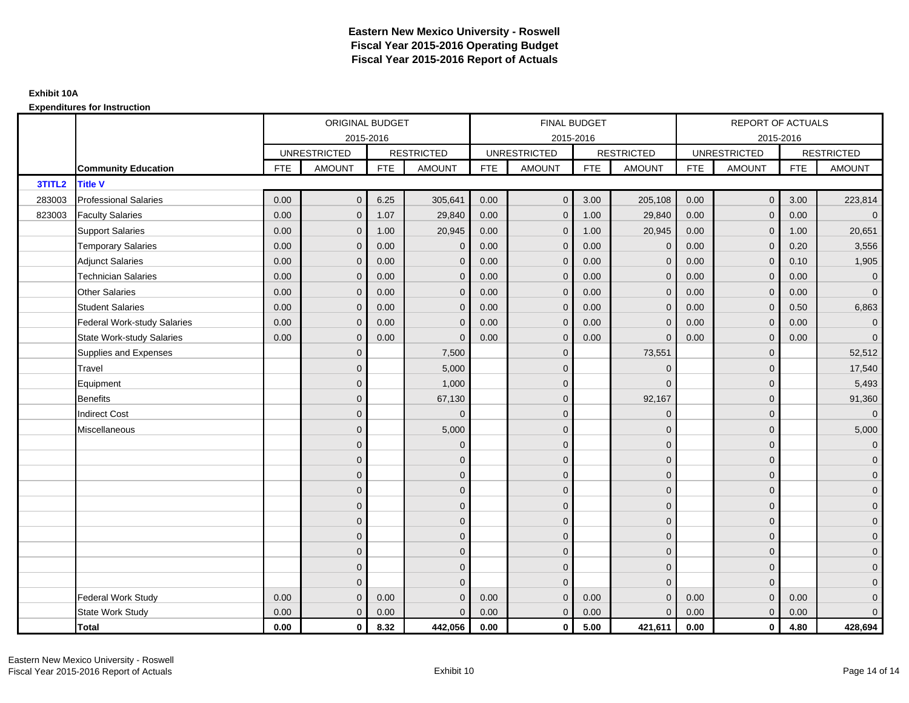|        |                                  |            | ORIGINAL BUDGET     |            |                   |            | <b>FINAL BUDGET</b> |            |                   |            | <b>REPORT OF ACTUALS</b> |            |                     |
|--------|----------------------------------|------------|---------------------|------------|-------------------|------------|---------------------|------------|-------------------|------------|--------------------------|------------|---------------------|
|        |                                  |            |                     | 2015-2016  |                   |            | 2015-2016           |            |                   |            | 2015-2016                |            |                     |
|        |                                  |            | <b>UNRESTRICTED</b> |            | <b>RESTRICTED</b> |            | <b>UNRESTRICTED</b> |            | <b>RESTRICTED</b> |            | <b>UNRESTRICTED</b>      |            | <b>RESTRICTED</b>   |
|        | <b>Community Education</b>       | <b>FTE</b> | <b>AMOUNT</b>       | <b>FTE</b> | <b>AMOUNT</b>     | <b>FTE</b> | <b>AMOUNT</b>       | <b>FTE</b> | <b>AMOUNT</b>     | <b>FTE</b> | <b>AMOUNT</b>            | <b>FTE</b> | <b>AMOUNT</b>       |
| 3TITL2 | <b>Title V</b>                   |            |                     |            |                   |            |                     |            |                   |            |                          |            |                     |
| 283003 | <b>Professional Salaries</b>     | 0.00       | $\mathbf{0}$        | 6.25       | 305,641           | 0.00       | $\mathbf{0}$        | 3.00       | 205,108           | 0.00       | $\overline{0}$           | 3.00       | 223,814             |
| 823003 | <b>Faculty Salaries</b>          | 0.00       | $\mathbf{0}$        | 1.07       | 29,840            | 0.00       | $\mathbf{0}$        | 1.00       | 29,840            | 0.00       | $\mathbf 0$              | 0.00       | $\overline{0}$      |
|        | <b>Support Salaries</b>          | 0.00       | $\mathbf{0}$        | 1.00       | 20,945            | 0.00       | $\overline{0}$      | 1.00       | 20,945            | 0.00       | $\overline{0}$           | 1.00       | 20,651              |
|        | <b>Temporary Salaries</b>        | 0.00       | $\mathbf{0}$        | 0.00       | $\mathbf 0$       | 0.00       | $\mathbf{0}$        | 0.00       | $\overline{0}$    | 0.00       | $\mathbf{0}$             | 0.20       | 3,556               |
|        | <b>Adjunct Salaries</b>          | 0.00       | $\mathbf{0}$        | 0.00       | $\mathbf{0}$      | 0.00       | $\mathbf{0}$        | 0.00       | $\mathbf 0$       | 0.00       | $\mathbf{0}$             | 0.10       | 1,905               |
|        | <b>Technician Salaries</b>       | 0.00       | $\mathbf{0}$        | 0.00       | $\Omega$          | 0.00       | $\mathbf{0}$        | 0.00       | $\mathbf{0}$      | 0.00       | $\mathbf{0}$             | 0.00       | $\overline{0}$      |
|        | Other Salaries                   | 0.00       | $\mathbf{0}$        | 0.00       | $\Omega$          | 0.00       | $\Omega$            | 0.00       | $\Omega$          | 0.00       | $\mathbf{0}$             | 0.00       | $\overline{0}$      |
|        | <b>Student Salaries</b>          | 0.00       | $\mathbf 0$         | 0.00       | $\mathbf 0$       | 0.00       | $\overline{0}$      | 0.00       | $\mathbf 0$       | 0.00       | $\mathbf{0}$             | 0.50       | 6,863               |
|        | Federal Work-study Salaries      | 0.00       | $\mathbf{0}$        | 0.00       | $\mathbf 0$       | 0.00       | $\mathbf{0}$        | 0.00       | $\mathbf 0$       | 0.00       | $\mathbf 0$              | 0.00       | $\overline{0}$      |
|        | <b>State Work-study Salaries</b> | 0.00       | $\mathbf{0}$        | 0.00       | $\Omega$          | 0.00       | $\mathbf{0}$        | 0.00       | $\Omega$          | 0.00       | $\mathbf{0}$             | 0.00       | $\overline{0}$      |
|        | Supplies and Expenses            |            | $\overline{0}$      |            | 7,500             |            | $\mathbf{0}$        |            | 73,551            |            | $\mathbf 0$              |            | 52,512              |
|        | Travel                           |            | $\overline{0}$      |            | 5,000             |            | $\mathbf{0}$        |            | $\mathbf 0$       |            | $\mathbf{0}$             |            | 17,540              |
|        | Equipment                        |            | $\overline{0}$      |            | 1,000             |            | $\mathbf{0}$        |            | $\Omega$          |            | $\mathbf{0}$             |            | 5,493               |
|        | <b>Benefits</b>                  |            | $\mathbf{0}$        |            | 67,130            |            | $\mathbf{0}$        |            | 92,167            |            | $\mathbf{0}$             |            | 91,360              |
|        | <b>Indirect Cost</b>             |            | $\mathbf{0}$        |            | $\Omega$          |            | $\Omega$            |            | $\Omega$          |            | $\mathbf 0$              |            | $\overline{0}$      |
|        | Miscellaneous                    |            | $\Omega$            |            | 5,000             |            | $\mathbf{0}$        |            | $\mathbf 0$       |            | $\mathbf 0$              |            | 5,000               |
|        |                                  |            | $\overline{0}$      |            | $\mathbf 0$       |            | $\mathbf{0}$        |            | $\mathbf 0$       |            | $\mathbf{0}$             |            | $\overline{0}$      |
|        |                                  |            | $\overline{0}$      |            | $\mathbf 0$       |            | $\mathbf{0}$        |            | $\mathbf 0$       |            | $\mathbf{0}$             |            | $\overline{0}$      |
|        |                                  |            | $\Omega$            |            | $\mathbf{0}$      |            | $\Omega$            |            | $\mathbf 0$       |            | $\Omega$                 |            | $\overline{0}$      |
|        |                                  |            | $\overline{0}$      |            | $\mathbf 0$       |            | $\mathbf{0}$        |            | $\mathbf 0$       |            | $\mathbf 0$              |            | $\mathbf{0}$        |
|        |                                  |            | $\mathbf{0}$        |            | $\mathbf 0$       |            | $\mathbf{0}$        |            | $\mathbf 0$       |            | $\mathbf 0$              |            | $\mathbf 0$         |
|        |                                  |            | $\overline{0}$      |            | $\mathbf 0$       |            | $\mathbf{0}$        |            | $\mathbf{0}$      |            | $\mathbf{0}$             |            | $\overline{0}$      |
|        |                                  |            | $\overline{0}$      |            | $\mathbf 0$       |            | $\mathbf 0$         |            | $\mathbf 0$       |            | $\mathbf 0$              |            | $\overline{0}$      |
|        |                                  |            | $\mathbf{0}$        |            | $\mathbf{0}$      |            | $\Omega$            |            | $\mathbf 0$       |            | $\mathbf{0}$             |            | $\overline{0}$      |
|        |                                  |            | $\mathbf{0}$        |            | $\mathbf{0}$      |            | $\Omega$            |            | $\mathbf{0}$      |            | $\mathbf{0}$             |            | $\overline{0}$      |
|        |                                  |            | $\Omega$            |            | $\Omega$          |            | $\Omega$            |            | $\mathbf{0}$      |            | $\Omega$                 |            | $\mathsf{O}\xspace$ |
|        | <b>Federal Work Study</b>        | 0.00       | $\mathbf{0}$        | 0.00       | $\mathbf 0$       | 0.00       | $\mathbf{0}$        | 0.00       | $\mathbf{0}$      | 0.00       | $\mathbf{0}$             | 0.00       | $\mathbf{0}$        |
|        | State Work Study                 | 0.00       | $\mathbf{0}$        | 0.00       | $\Omega$          | 0.00       | $\overline{0}$      | 0.00       | $\mathbf{0}$      | 0.00       | $\mathbf{0}$             | 0.00       | $\overline{0}$      |
|        | <b>Total</b>                     | 0.00       | $\mathbf 0$         | 8.32       | 442,056           | 0.00       | $\mathbf{0}$        | 5.00       | 421,611           | 0.00       | $\mathbf 0$              | 4.80       | 428,694             |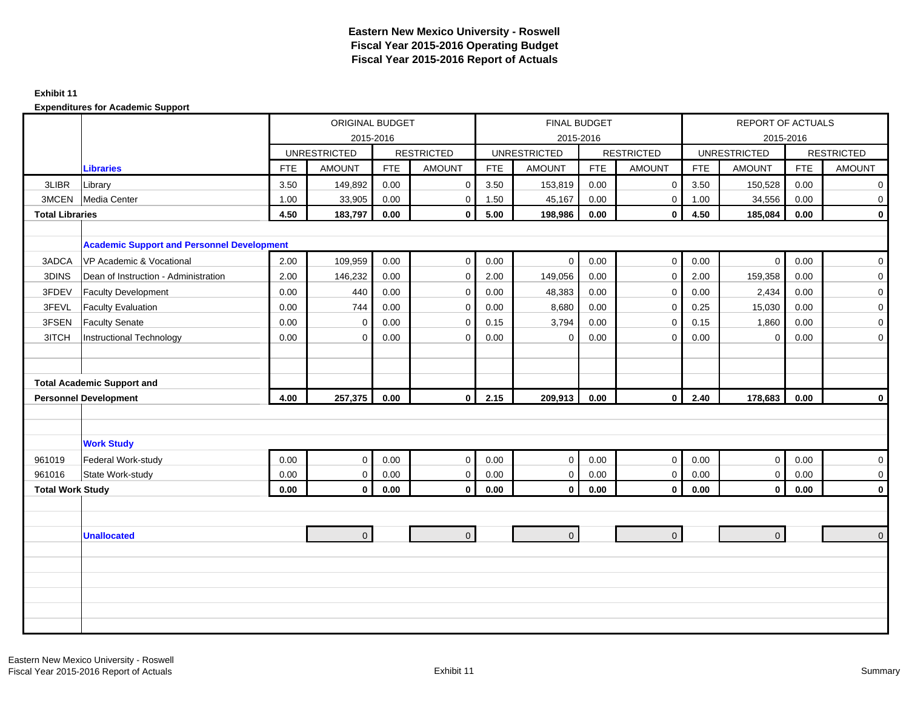#### **Exhibit 11**

|                         |                                                   |            | <b>ORIGINAL BUDGET</b> |            |                   |            |                     | FINAL BUDGET |                   |            | <b>REPORT OF ACTUALS</b> |            |                   |
|-------------------------|---------------------------------------------------|------------|------------------------|------------|-------------------|------------|---------------------|--------------|-------------------|------------|--------------------------|------------|-------------------|
|                         |                                                   |            |                        | 2015-2016  |                   |            | 2015-2016           |              |                   |            | 2015-2016                |            |                   |
|                         |                                                   |            | <b>UNRESTRICTED</b>    |            | <b>RESTRICTED</b> |            | <b>UNRESTRICTED</b> |              | <b>RESTRICTED</b> |            | <b>UNRESTRICTED</b>      |            | <b>RESTRICTED</b> |
|                         | <b>Libraries</b>                                  | <b>FTE</b> | <b>AMOUNT</b>          | <b>FTE</b> | <b>AMOUNT</b>     | <b>FTE</b> | <b>AMOUNT</b>       | <b>FTE</b>   | <b>AMOUNT</b>     | <b>FTE</b> | <b>AMOUNT</b>            | <b>FTE</b> | <b>AMOUNT</b>     |
| 3LIBR                   | Library                                           | 3.50       | 149,892                | 0.00       | $\mathbf 0$       | 3.50       | 153,819             | 0.00         | $\mathbf 0$       | 3.50       | 150,528                  | 0.00       | $\overline{0}$    |
| 3MCEN                   | Media Center                                      | 1.00       | 33,905                 | 0.00       | $\mathbf 0$       | 1.50       | 45,167              | 0.00         | $\mathbf 0$       | 1.00       | 34,556                   | 0.00       | $\mathbf 0$       |
| <b>Total Libraries</b>  |                                                   | 4.50       | 183,797                | 0.00       | $\mathbf 0$       | 5.00       | 198,986             | 0.00         | $\mathbf 0$       | 4.50       | 185,084                  | 0.00       | $\mathbf{0}$      |
|                         |                                                   |            |                        |            |                   |            |                     |              |                   |            |                          |            |                   |
|                         | <b>Academic Support and Personnel Development</b> |            |                        |            |                   |            |                     |              |                   |            |                          |            |                   |
| 3ADCA                   | VP Academic & Vocational                          | 2.00       | 109,959                | 0.00       | $\mathbf 0$       | 0.00       | $\mathbf 0$         | 0.00         | $\mathbf 0$       | 0.00       | $\overline{0}$           | 0.00       | $\overline{0}$    |
| 3DINS                   | Dean of Instruction - Administration              | 2.00       | 146,232                | 0.00       | $\mathbf 0$       | 2.00       | 149,056             | 0.00         | $\mathbf 0$       | 2.00       | 159,358                  | 0.00       | 0                 |
| 3FDEV                   | <b>Faculty Development</b>                        | 0.00       | 440                    | 0.00       | $\mathbf 0$       | 0.00       | 48,383              | 0.00         | $\mathbf 0$       | 0.00       | 2,434                    | 0.00       | $\mathbf 0$       |
| 3FEVL                   | <b>Faculty Evaluation</b>                         | 0.00       | 744                    | 0.00       | $\mathbf 0$       | 0.00       | 8,680               | 0.00         | $\mathbf 0$       | 0.25       | 15,030                   | 0.00       | $\mathbf 0$       |
| 3FSEN                   | <b>Faculty Senate</b>                             | 0.00       | $\mathbf 0$            | 0.00       | $\mathbf 0$       | 0.15       | 3,794               | 0.00         | $\mathbf 0$       | 0.15       | 1,860                    | 0.00       | $\mathbf 0$       |
| 3ITCH                   | Instructional Technology                          | 0.00       | $\Omega$               | 0.00       | $\mathbf 0$       | 0.00       | $\mathbf 0$         | 0.00         | $\Omega$          | 0.00       | $\mathbf 0$              | 0.00       | $\mathbf 0$       |
|                         |                                                   |            |                        |            |                   |            |                     |              |                   |            |                          |            |                   |
|                         |                                                   |            |                        |            |                   |            |                     |              |                   |            |                          |            |                   |
|                         | <b>Total Academic Support and</b>                 |            |                        |            |                   |            |                     |              |                   |            |                          |            |                   |
|                         | <b>Personnel Development</b>                      | 4.00       | 257,375                | 0.00       | $\mathbf{0}$      | 2.15       | 209,913             | 0.00         | $\mathbf 0$       | 2.40       | 178,683                  | 0.00       | $\mathbf 0$       |
|                         |                                                   |            |                        |            |                   |            |                     |              |                   |            |                          |            |                   |
|                         |                                                   |            |                        |            |                   |            |                     |              |                   |            |                          |            |                   |
|                         | <b>Work Study</b>                                 |            |                        |            |                   |            |                     |              |                   |            |                          |            |                   |
| 961019                  | Federal Work-study                                | 0.00       | $\mathbf 0$            | 0.00       | $\mathbf 0$       | 0.00       | $\mathbf 0$         | 0.00         | $\mathbf 0$       | 0.00       | $\overline{0}$           | 0.00       | $\mathbf 0$       |
| 961016                  | State Work-study                                  | 0.00       | $\mathbf 0$            | 0.00       | $\mathbf 0$       | 0.00       | $\mathbf 0$         | 0.00         | $\mathbf 0$       | 0.00       | $\overline{0}$           | 0.00       | $\mathbf 0$       |
| <b>Total Work Study</b> |                                                   | 0.00       | $\mathbf 0$            | $0.00\,$   | $\mathbf 0$       | $\bf 0.00$ | $\pmb{0}$           | 0.00         | $\mathbf{0}$      | $0.00\,$   | $\overline{0}$           | 0.00       | $\mathbf{0}$      |
|                         |                                                   |            |                        |            |                   |            |                     |              |                   |            |                          |            |                   |
|                         |                                                   |            |                        |            |                   |            |                     |              |                   |            |                          |            |                   |
|                         | <b>Unallocated</b>                                |            | $\mathbf{0}$           |            | $\overline{0}$    |            | $\overline{0}$      |              | $\overline{0}$    |            | $\overline{0}$           |            | $\overline{0}$    |
|                         |                                                   |            |                        |            |                   |            |                     |              |                   |            |                          |            |                   |
|                         |                                                   |            |                        |            |                   |            |                     |              |                   |            |                          |            |                   |
|                         |                                                   |            |                        |            |                   |            |                     |              |                   |            |                          |            |                   |
|                         |                                                   |            |                        |            |                   |            |                     |              |                   |            |                          |            |                   |
|                         |                                                   |            |                        |            |                   |            |                     |              |                   |            |                          |            |                   |
|                         |                                                   |            |                        |            |                   |            |                     |              |                   |            |                          |            |                   |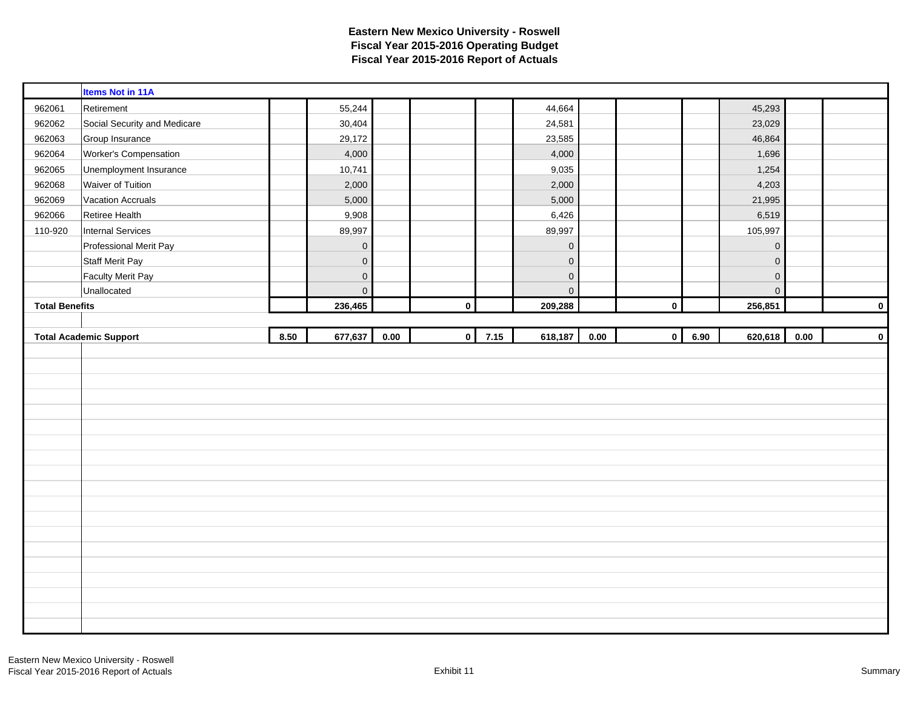| 962061                | <b>Items Not in 11A</b>       |      |                     |      |             |      |                     |      |             |      |                     |      |             |
|-----------------------|-------------------------------|------|---------------------|------|-------------|------|---------------------|------|-------------|------|---------------------|------|-------------|
|                       |                               |      |                     |      |             |      |                     |      |             |      |                     |      |             |
|                       | Retirement                    |      | 55,244              |      |             |      | 44,664              |      |             |      | 45,293              |      |             |
| 962062                | Social Security and Medicare  |      | 30,404              |      |             |      | 24,581              |      |             |      | 23,029              |      |             |
| 962063                | Group Insurance               |      | 29,172              |      |             |      | 23,585              |      |             |      | 46,864              |      |             |
| 962064                | Worker's Compensation         |      | 4,000               |      |             |      | 4,000               |      |             |      | 1,696               |      |             |
| 962065                | Unemployment Insurance        |      | 10,741              |      |             |      | 9,035               |      |             |      | 1,254               |      |             |
| 962068                | Waiver of Tuition             |      | 2,000               |      |             |      | 2,000               |      |             |      | 4,203               |      |             |
| 962069                | <b>Vacation Accruals</b>      |      | 5,000               |      |             |      | 5,000               |      |             |      | 21,995              |      |             |
| 962066                | Retiree Health                |      | 9,908               |      |             |      | 6,426               |      |             |      | 6,519               |      |             |
| 110-920               | Internal Services             |      | 89,997              |      |             |      | 89,997              |      |             |      | 105,997             |      |             |
|                       | Professional Merit Pay        |      | $\mathbf 0$         |      |             |      | $\mathsf{O}\xspace$ |      |             |      | $\mathsf{O}\xspace$ |      |             |
|                       | <b>Staff Merit Pay</b>        |      | $\mathbf 0$         |      |             |      | $\mathbf 0$         |      |             |      | $\mathsf{O}\xspace$ |      |             |
|                       | <b>Faculty Merit Pay</b>      |      | $\mathsf{O}\xspace$ |      |             |      | $\mathsf{O}\xspace$ |      |             |      | $\mathbf 0$         |      |             |
|                       | Unallocated                   |      | $\pmb{0}$           |      |             |      | $\mathbf 0$         |      |             |      | $\mathsf{O}\xspace$ |      |             |
| <b>Total Benefits</b> |                               |      | 236,465             |      | $\pmb{0}$   |      | 209,288             |      | $\mathbf 0$ |      | 256,851             |      | $\mathbf 0$ |
|                       |                               |      |                     |      |             |      |                     |      |             |      |                     |      |             |
|                       | <b>Total Academic Support</b> | 8.50 | 677,637             | 0.00 | $\mathbf 0$ | 7.15 | 618,187             | 0.00 | $\mathbf 0$ | 6.90 | 620,618             | 0.00 | $\pmb{0}$   |
|                       |                               |      |                     |      |             |      |                     |      |             |      |                     |      |             |
|                       |                               |      |                     |      |             |      |                     |      |             |      |                     |      |             |
|                       |                               |      |                     |      |             |      |                     |      |             |      |                     |      |             |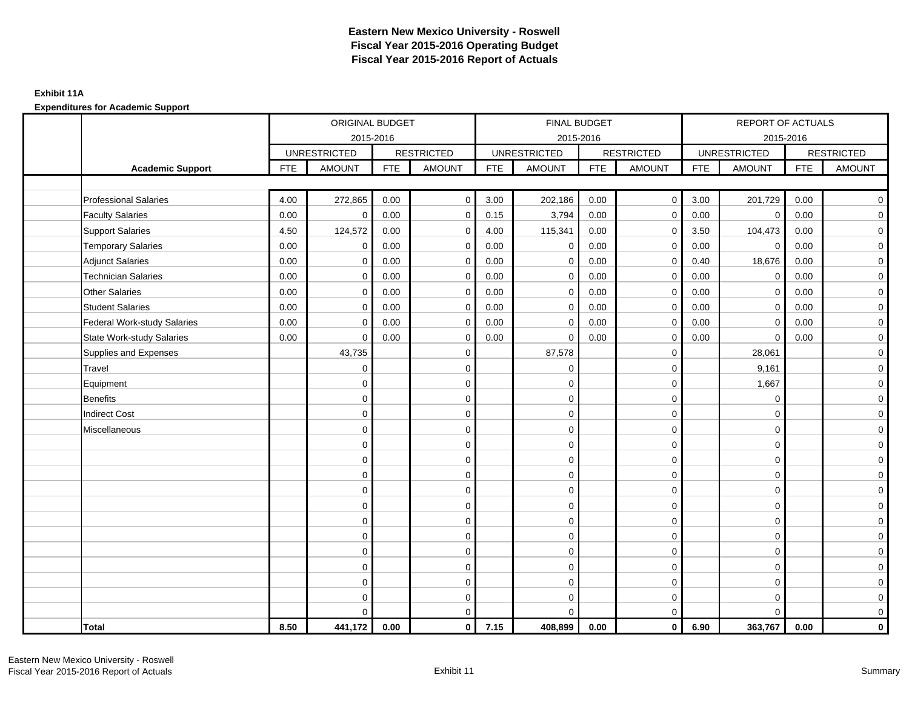## **Exhibit 11A**

|                                    |            | ORIGINAL BUDGET     |            |                   |            | FINAL BUDGET        |            |                   |      | REPORT OF ACTUALS   |            |                   |
|------------------------------------|------------|---------------------|------------|-------------------|------------|---------------------|------------|-------------------|------|---------------------|------------|-------------------|
|                                    |            | 2015-2016           |            |                   |            | 2015-2016           |            |                   |      | 2015-2016           |            |                   |
|                                    |            | <b>UNRESTRICTED</b> |            | <b>RESTRICTED</b> |            | <b>UNRESTRICTED</b> |            | <b>RESTRICTED</b> |      | <b>UNRESTRICTED</b> |            | <b>RESTRICTED</b> |
| <b>Academic Support</b>            | <b>FTE</b> | <b>AMOUNT</b>       | <b>FTE</b> | <b>AMOUNT</b>     | <b>FTE</b> | <b>AMOUNT</b>       | <b>FTE</b> | <b>AMOUNT</b>     | FTE  | <b>AMOUNT</b>       | <b>FTE</b> | <b>AMOUNT</b>     |
|                                    |            |                     |            |                   |            |                     |            |                   |      |                     |            |                   |
| <b>Professional Salaries</b>       | 4.00       | 272,865             | 0.00       | $\mathbf 0$       | 3.00       | 202,186             | 0.00       | $\mathbf{0}$      | 3.00 | 201,729             | 0.00       | $\overline{0}$    |
| <b>Faculty Salaries</b>            | 0.00       | $\mathbf 0$         | 0.00       | $\mathbf 0$       | 0.15       | 3,794               | 0.00       | $\mathbf 0$       | 0.00 | $\mathsf 0$         | 0.00       | $\overline{0}$    |
| <b>Support Salaries</b>            | 4.50       | 124,572             | 0.00       | $\mathbf 0$       | 4.00       | 115,341             | 0.00       | $\mathbf 0$       | 3.50 | 104,473             | 0.00       | $\overline{0}$    |
| <b>Temporary Salaries</b>          | 0.00       | $\mathbf 0$         | 0.00       | $\mathbf 0$       | 0.00       | $\mathbf 0$         | 0.00       | $\mathbf 0$       | 0.00 | $\mathbf 0$         | 0.00       | $\mathbf 0$       |
| <b>Adjunct Salaries</b>            | 0.00       | $\Omega$            | 0.00       | $\Omega$          | 0.00       | $\Omega$            | 0.00       | $\mathbf 0$       | 0.40 | 18,676              | 0.00       | $\overline{0}$    |
| <b>Technician Salaries</b>         | 0.00       | $\mathbf 0$         | 0.00       | $\mathbf 0$       | 0.00       | $\mathbf 0$         | 0.00       | $\mathbf 0$       | 0.00 | 0                   | 0.00       | $\mathbf 0$       |
| <b>Other Salaries</b>              | 0.00       | $\mathbf 0$         | 0.00       | $\mathbf 0$       | 0.00       | $\Omega$            | 0.00       | $\mathbf 0$       | 0.00 | $\mathbf{0}$        | 0.00       | $\mathbf 0$       |
| <b>Student Salaries</b>            | 0.00       | $\mathbf 0$         | 0.00       | $\mathbf 0$       | 0.00       | $\mathbf 0$         | 0.00       | $\mathbf 0$       | 0.00 | $\mathbf{0}$        | 0.00       | $\mathbf 0$       |
| <b>Federal Work-study Salaries</b> | 0.00       | $\mathbf 0$         | 0.00       | $\mathbf 0$       | 0.00       | $\Omega$            | 0.00       | $\mathbf 0$       | 0.00 | $\mathbf 0$         | 0.00       | $\mathbf 0$       |
| <b>State Work-study Salaries</b>   | 0.00       | $\mathbf 0$         | 0.00       | $\mathbf 0$       | 0.00       | $\Omega$            | 0.00       | $\mathbf 0$       | 0.00 | $\mathbf 0$         | 0.00       | $\mathbf 0$       |
| Supplies and Expenses              |            | 43,735              |            | $\mathbf 0$       |            | 87,578              |            | $\mathbf 0$       |      | 28,061              |            | $\mathbf 0$       |
| Travel                             |            | $\mathbf 0$         |            | $\mathbf 0$       |            | $\mathbf 0$         |            | $\mathbf 0$       |      | 9,161               |            | $\mathbf 0$       |
| Equipment                          |            | $\mathbf 0$         |            | 0                 |            | $\mathbf 0$         |            | $\mathbf 0$       |      | 1,667               |            | $\overline{0}$    |
| <b>Benefits</b>                    |            | $\Omega$            |            | $\mathbf 0$       |            | $\Omega$            |            | $\mathbf 0$       |      | $\mathbf 0$         |            | $\mathbf 0$       |
| <b>Indirect Cost</b>               |            | $\Omega$            |            | $\mathbf 0$       |            | $\Omega$            |            | $\mathbf 0$       |      | $\Omega$            |            | $\mathbf 0$       |
| Miscellaneous                      |            | $\mathbf 0$         |            | $\mathbf 0$       |            | 0                   |            | $\mathbf 0$       |      | $\mathbf 0$         |            | $\mathbf 0$       |
|                                    |            | $\mathbf 0$         |            | 0                 |            | $\mathbf 0$         |            | $\mathbf 0$       |      | $\mathbf 0$         |            | $\overline{0}$    |
|                                    |            | $\mathbf 0$         |            | $\mathbf 0$       |            | $\mathbf 0$         |            | $\mathbf 0$       |      | $\mathbf 0$         |            | $\mathbf 0$       |
|                                    |            | $\mathbf 0$         |            | $\mathbf 0$       |            | $\Omega$            |            | $\mathbf 0$       |      | $\mathbf 0$         |            | $\mathbf 0$       |
|                                    |            | $\mathbf 0$         |            | 0                 |            | $\mathbf 0$         |            | $\mathbf 0$       |      | $\mathbf 0$         |            | $\mathbf 0$       |
|                                    |            | $\Omega$            |            | $\mathbf 0$       |            | $\mathbf 0$         |            | $\mathbf 0$       |      | $\Omega$            |            | $\mathbf 0$       |
|                                    |            | $\Omega$            |            | $\mathbf 0$       |            | $\Omega$            |            | $\mathbf 0$       |      | $\Omega$            |            | $\mathbf 0$       |
|                                    |            | $\mathbf 0$         |            | 0                 |            | $\mathbf 0$         |            | $\mathbf 0$       |      | $\mathbf 0$         |            | $\mathbf 0$       |
|                                    |            | $\mathbf 0$         |            | $\mathbf 0$       |            | $\Omega$            |            | $\mathbf 0$       |      | $\mathbf 0$         |            | $\mathbf 0$       |
|                                    |            | $\Omega$            |            | $\mathbf 0$       |            | $\Omega$            |            | $\mathbf 0$       |      | $\Omega$            |            | $\mathbf 0$       |
|                                    |            | $\Omega$            |            | $\mathbf 0$       |            | $\mathbf 0$         |            | $\mathbf 0$       |      | $\mathbf 0$         |            | $\overline{0}$    |
|                                    |            | $\mathbf 0$         |            | 0                 |            | $\Omega$            |            | $\mathbf 0$       |      | $\mathbf 0$         |            | $\mathbf 0$       |
|                                    |            | $\Omega$            |            | $\mathbf 0$       |            | $\Omega$            |            | $\mathbf 0$       |      | $\Omega$            |            | $\mathbf 0$       |
| <b>Total</b>                       | 8.50       | 441,172             | 0.00       | $\mathbf{0}$      | 7.15       | 408,899             | 0.00       | $\mathbf{0}$      | 6.90 | 363,767             | 0.00       | $\mathbf 0$       |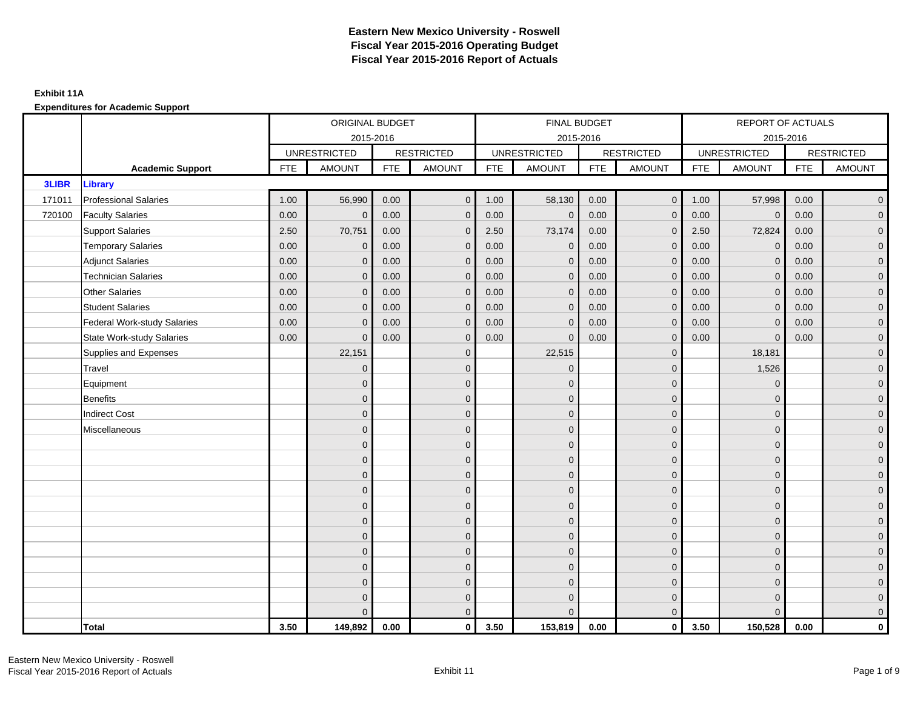## **Exhibit 11A**

|              |                                    |            | ORIGINAL BUDGET     |            |                   |            | FINAL BUDGET        |            |                   |            | REPORT OF ACTUALS   |            |                   |
|--------------|------------------------------------|------------|---------------------|------------|-------------------|------------|---------------------|------------|-------------------|------------|---------------------|------------|-------------------|
|              |                                    |            | 2015-2016           |            |                   |            | 2015-2016           |            |                   |            | 2015-2016           |            |                   |
|              |                                    |            | <b>UNRESTRICTED</b> |            | <b>RESTRICTED</b> |            | <b>UNRESTRICTED</b> |            | <b>RESTRICTED</b> |            | <b>UNRESTRICTED</b> |            | <b>RESTRICTED</b> |
|              | <b>Academic Support</b>            | <b>FTE</b> | <b>AMOUNT</b>       | <b>FTE</b> | <b>AMOUNT</b>     | <b>FTE</b> | <b>AMOUNT</b>       | <b>FTE</b> | <b>AMOUNT</b>     | <b>FTE</b> | <b>AMOUNT</b>       | <b>FTE</b> | <b>AMOUNT</b>     |
| <b>3LIBR</b> | Library                            |            |                     |            |                   |            |                     |            |                   |            |                     |            |                   |
| 171011       | <b>Professional Salaries</b>       | 1.00       | 56,990              | 0.00       | $\overline{0}$    | 1.00       | 58,130              | 0.00       | 0 <sup>1</sup>    | 1.00       | 57,998              | 0.00       | $\mathbf{0}$      |
| 720100       | <b>Faculty Salaries</b>            | 0.00       | $\mathbf 0$         | 0.00       | $\mathbf{0}$      | 0.00       | $\mathbf 0$         | 0.00       | $\mathbf 0$       | 0.00       | $\pmb{0}$           | 0.00       | $\mathbf 0$       |
|              | <b>Support Salaries</b>            | 2.50       | 70,751              | 0.00       | $\mathbf{0}$      | 2.50       | 73,174              | 0.00       | $\mathbf 0$       | 2.50       | 72,824              | 0.00       | $\mathbf{0}$      |
|              | <b>Temporary Salaries</b>          | 0.00       | $\mathbf 0$         | 0.00       | $\mathbf{0}$      | 0.00       | $\mathbf 0$         | 0.00       | $\mathbf 0$       | 0.00       | $\mathbf 0$         | 0.00       | 0                 |
|              | <b>Adjunct Salaries</b>            | 0.00       | $\mathbf{0}$        | 0.00       | $\Omega$          | 0.00       | $\mathbf{0}$        | 0.00       | $\mathbf{0}$      | 0.00       | $\mathbf{0}$        | 0.00       | $\mathbf{0}$      |
|              | <b>Technician Salaries</b>         | 0.00       | $\mathbf{0}$        | 0.00       | $\mathbf{0}$      | 0.00       | $\mathbf{0}$        | 0.00       | $\mathbf 0$       | 0.00       | $\mathbf{0}$        | 0.00       | 0                 |
|              | <b>Other Salaries</b>              | 0.00       | $\mathbf{0}$        | 0.00       | $\Omega$          | 0.00       | $\Omega$            | 0.00       | $\mathbf 0$       | 0.00       | $\mathbf{0}$        | 0.00       | $\mathbf{0}$      |
|              | <b>Student Salaries</b>            | 0.00       | $\mathbf{0}$        | 0.00       | $\mathbf{0}$      | 0.00       | $\mathbf{0}$        | 0.00       | $\mathbf{0}$      | 0.00       | $\overline{0}$      | 0.00       | $\mathbf{0}$      |
|              | <b>Federal Work-study Salaries</b> | 0.00       | $\mathbf{0}$        | 0.00       | $\mathbf{0}$      | 0.00       | $\mathbf 0$         | 0.00       | $\mathbf 0$       | 0.00       | $\mathbf 0$         | 0.00       | 0                 |
|              | <b>State Work-study Salaries</b>   | 0.00       | $\mathbf{0}$        | 0.00       | $\mathbf{0}$      | 0.00       | $\mathbf{0}$        | 0.00       | $\mathbf 0$       | 0.00       | $\mathbf{0}$        | 0.00       | 0                 |
|              | Supplies and Expenses              |            | 22,151              |            | $\mathbf{0}$      |            | 22,515              |            | $\mathbf{0}$      |            | 18,181              |            | $\overline{0}$    |
|              | Travel                             |            | $\mathbf{0}$        |            | $\mathbf{0}$      |            | $\Omega$            |            | $\mathbf{0}$      |            | 1,526               |            | $\mathbf{0}$      |
|              | Equipment                          |            | $\mathbf{0}$        |            | $\mathbf 0$       |            | $\Omega$            |            | $\mathbf 0$       |            | $\mathbf 0$         |            | 0                 |
|              | <b>Benefits</b>                    |            | $\Omega$            |            | $\mathbf{0}$      |            | $\Omega$            |            | $\mathbf 0$       |            | $\mathbf{0}$        |            | $\mathbf{0}$      |
|              | <b>Indirect Cost</b>               |            | $\overline{0}$      |            | $\mathbf{0}$      |            | $\Omega$            |            | $\mathbf{0}$      |            | $\mathbf{0}$        |            | $\mathbf{0}$      |
|              | Miscellaneous                      |            | $\mathbf{0}$        |            | $\mathbf 0$       |            | $\Omega$            |            | $\mathbf 0$       |            | $\mathbf{0}$        |            | 0                 |
|              |                                    |            | $\mathbf{0}$        |            | $\mathbf{0}$      |            | $\overline{0}$      |            | $\mathbf 0$       |            | $\mathbf{0}$        |            | 0                 |
|              |                                    |            | $\Omega$            |            | $\mathbf 0$       |            | $\Omega$            |            | $\mathbf{0}$      |            | $\mathbf{0}$        |            | $\mathbf{0}$      |
|              |                                    |            | $\mathbf{0}$        |            | $\mathbf{0}$      |            | $\Omega$            |            | $\mathbf 0$       |            | $\overline{0}$      |            | $\overline{0}$    |
|              |                                    |            | $\mathbf{0}$        |            | $\mathbf{0}$      |            | $\Omega$            |            | $\mathbf 0$       |            | $\mathbf{0}$        |            | 0                 |
|              |                                    |            | $\mathbf{0}$        |            | $\mathbf{0}$      |            | $\Omega$            |            | $\mathbf 0$       |            | $\mathbf{0}$        |            | 0                 |
|              |                                    |            | $\Omega$            |            | $\mathbf{0}$      |            | $\Omega$            |            | $\mathbf{0}$      |            | $\Omega$            |            | $\overline{0}$    |
|              |                                    |            | $\mathbf{0}$        |            | $\mathbf 0$       |            | $\Omega$            |            | $\mathbf 0$       |            | $\mathbf{0}$        |            | 0                 |
|              |                                    |            | $\Omega$            |            | $\mathbf{0}$      |            | $\Omega$            |            | $\mathbf 0$       |            | $\mathbf{0}$        |            | 0                 |
|              |                                    |            | $\Omega$            |            | $\mathbf{0}$      |            | $\Omega$            |            | $\mathbf{0}$      |            | $\mathbf{0}$        |            | $\mathbf{0}$      |
|              |                                    |            | $\mathbf{0}$        |            | $\mathbf 0$       |            | $\Omega$            |            | $\mathbf 0$       |            | $\mathbf{0}$        |            | 0                 |
|              |                                    |            | $\Omega$            |            | $\mathbf 0$       |            | $\Omega$            |            | $\mathbf 0$       |            | $\mathbf{0}$        |            | 0                 |
|              |                                    |            | $\Omega$            |            | $\mathbf{0}$      |            | $\Omega$            |            | $\mathbf{0}$      |            | $\Omega$            |            | $\mathbf{0}$      |
|              | <b>Total</b>                       | 3.50       | 149,892             | 0.00       | $\mathbf 0$       | 3.50       | 153,819             | 0.00       | $\mathbf{0}$      | 3.50       | 150,528             | 0.00       | 0                 |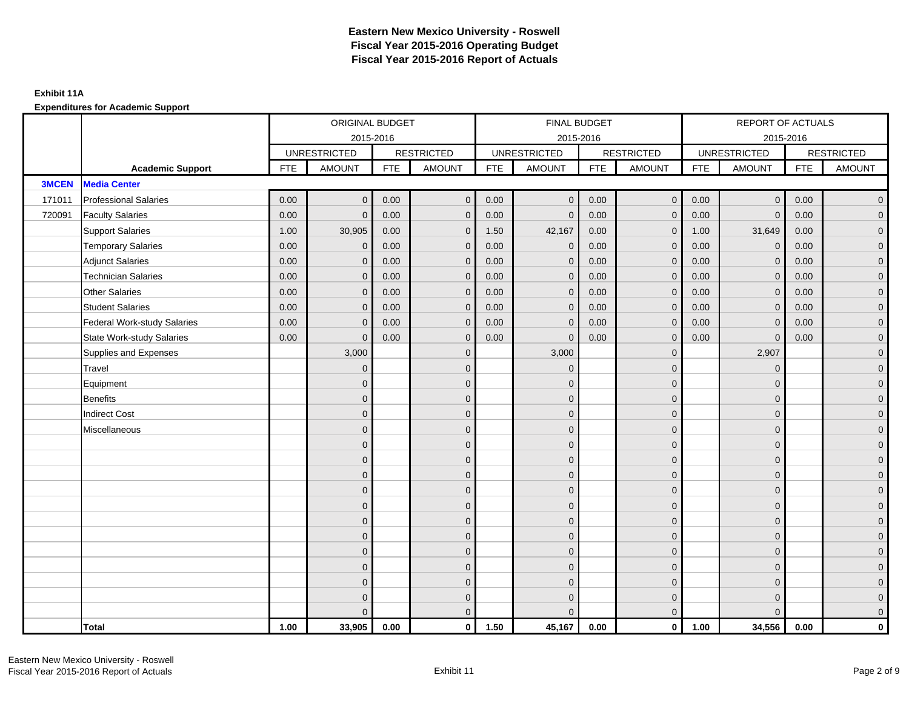|              |                                    |            | ORIGINAL BUDGET     |            |                   |            | FINAL BUDGET        |            |                   |            | REPORT OF ACTUALS   |            |                     |
|--------------|------------------------------------|------------|---------------------|------------|-------------------|------------|---------------------|------------|-------------------|------------|---------------------|------------|---------------------|
|              |                                    |            | 2015-2016           |            |                   |            | 2015-2016           |            |                   |            | 2015-2016           |            |                     |
|              |                                    |            | <b>UNRESTRICTED</b> |            | <b>RESTRICTED</b> |            | <b>UNRESTRICTED</b> |            | <b>RESTRICTED</b> |            | <b>UNRESTRICTED</b> |            | <b>RESTRICTED</b>   |
|              | <b>Academic Support</b>            | <b>FTE</b> | <b>AMOUNT</b>       | <b>FTE</b> | <b>AMOUNT</b>     | <b>FTE</b> | <b>AMOUNT</b>       | <b>FTE</b> | <b>AMOUNT</b>     | <b>FTE</b> | <b>AMOUNT</b>       | <b>FTE</b> | <b>AMOUNT</b>       |
| <b>3MCEN</b> | <b>Media Center</b>                |            |                     |            |                   |            |                     |            |                   |            |                     |            |                     |
| 171011       | <b>Professional Salaries</b>       | 0.00       | $\mathbf{0}$        | 0.00       | $\overline{0}$    | 0.00       | $\mathbf 0$         | 0.00       | $\overline{0}$    | 0.00       | $\mathbf 0$         | 0.00       | $\overline{0}$      |
| 720091       | <b>Faculty Salaries</b>            | 0.00       | $\mathbf{0}$        | 0.00       | $\mathbf{0}$      | 0.00       | $\mathbf{0}$        | 0.00       | $\mathbf{0}$      | 0.00       | $\mathbf{0}$        | 0.00       | $\overline{0}$      |
|              | <b>Support Salaries</b>            | 1.00       | 30,905              | 0.00       | $\mathbf{0}$      | 1.50       | 42,167              | 0.00       | $\mathbf{0}$      | 1.00       | 31,649              | 0.00       | $\overline{0}$      |
|              | <b>Temporary Salaries</b>          | 0.00       | $\mathbf 0$         | 0.00       | $\mathbf{0}$      | 0.00       | $\mathbf 0$         | 0.00       | $\mathbf{0}$      | 0.00       | $\mathbf 0$         | 0.00       | $\overline{0}$      |
|              | <b>Adjunct Salaries</b>            | 0.00       | $\mathbf{0}$        | 0.00       | $\Omega$          | 0.00       | $\mathbf{0}$        | 0.00       | $\mathbf{0}$      | 0.00       | $\Omega$            | 0.00       | $\mathbf 0$         |
|              | <b>Technician Salaries</b>         | 0.00       | $\Omega$            | 0.00       | $\Omega$          | 0.00       | $\mathbf{0}$        | 0.00       | $\mathbf{0}$      | 0.00       | $\Omega$            | 0.00       | $\overline{0}$      |
|              | <b>Other Salaries</b>              | 0.00       | $\mathbf{0}$        | 0.00       | $\mathbf{0}$      | 0.00       | $\mathbf{0}$        | 0.00       | $\mathbf{0}$      | 0.00       | $\mathbf{0}$        | 0.00       | $\overline{0}$      |
|              | <b>Student Salaries</b>            | 0.00       | $\mathbf{0}$        | 0.00       | $\mathbf{0}$      | 0.00       | $\mathbf{0}$        | 0.00       | $\mathbf{0}$      | 0.00       | $\mathbf{0}$        | 0.00       | $\overline{0}$      |
|              | <b>Federal Work-study Salaries</b> | 0.00       | $\Omega$            | 0.00       | $\Omega$          | 0.00       | $\mathbf{0}$        | 0.00       | $\mathbf{0}$      | 0.00       | $\mathbf{0}$        | 0.00       | $\overline{0}$      |
|              | <b>State Work-study Salaries</b>   | 0.00       | $\mathbf{0}$        | 0.00       | $\mathbf{0}$      | 0.00       | $\mathbf{0}$        | 0.00       | $\mathbf{0}$      | 0.00       | $\mathbf{0}$        | 0.00       | $\mathbf{0}$        |
|              | Supplies and Expenses              |            | 3,000               |            | $\mathbf{0}$      |            | 3,000               |            | $\mathbf{0}$      |            | 2,907               |            | $\overline{0}$      |
|              | Travel                             |            | $\mathbf{0}$        |            | $\mathbf{0}$      |            | $\Omega$            |            | $\mathbf{0}$      |            | $\mathbf{0}$        |            | $\overline{0}$      |
|              | Equipment                          |            | $\mathbf{0}$        |            | $\mathbf 0$       |            | $\mathbf{0}$        |            | $\mathbf{0}$      |            | $\mathbf{0}$        |            | $\overline{0}$      |
|              | <b>Benefits</b>                    |            | $\Omega$            |            | $\mathbf{0}$      |            | $\Omega$            |            | $\mathbf{0}$      |            | $\mathbf{0}$        |            | $\overline{0}$      |
|              | <b>Indirect Cost</b>               |            | $\mathbf{0}$        |            | $\mathbf{0}$      |            | $\Omega$            |            | $\mathbf 0$       |            | $\mathbf{0}$        |            | $\mathbf 0$         |
|              | Miscellaneous                      |            | $\mathbf{0}$        |            | $\mathbf{0}$      |            | $\Omega$            |            | $\mathbf 0$       |            | $\mathbf{0}$        |            | $\mathbf 0$         |
|              |                                    |            | $\mathbf{0}$        |            | $\mathbf{0}$      |            | $\Omega$            |            | $\mathbf{0}$      |            | $\Omega$            |            | $\overline{0}$      |
|              |                                    |            | $\mathbf{0}$        |            | $\mathbf 0$       |            | $\overline{0}$      |            | $\mathbf 0$       |            | $\mathbf{0}$        |            | $\overline{0}$      |
|              |                                    |            | $\Omega$            |            | $\mathbf{0}$      |            | $\Omega$            |            | $\mathbf{0}$      |            | $\mathbf{0}$        |            | $\overline{0}$      |
|              |                                    |            | $\Omega$            |            | $\mathbf{0}$      |            | $\Omega$            |            | $\mathbf{0}$      |            | $\Omega$            |            | $\overline{0}$      |
|              |                                    |            | $\mathbf{0}$        |            | $\mathbf{0}$      |            | $\Omega$            |            | $\mathbf 0$       |            | $\mathbf{0}$        |            | $\mathsf{O}\xspace$ |
|              |                                    |            | $\mathbf{0}$        |            | $\mathbf{0}$      |            | $\Omega$            |            | $\mathbf 0$       |            | $\Omega$            |            | $\overline{0}$      |
|              |                                    |            | $\Omega$            |            | $\mathbf{0}$      |            | $\Omega$            |            | $\mathbf 0$       |            | $\Omega$            |            | $\overline{0}$      |
|              |                                    |            | $\Omega$            |            | $\mathbf{0}$      |            | $\Omega$            |            | $\mathbf{0}$      |            | $\mathbf{0}$        |            | $\overline{0}$      |
|              |                                    |            | $\overline{0}$      |            | $\mathbf{0}$      |            | $\Omega$            |            | $\mathbf{0}$      |            | $\mathbf{0}$        |            | $\mathbf 0$         |
|              |                                    |            | $\Omega$            |            | $\mathbf{0}$      |            | $\Omega$            |            | $\mathbf{0}$      |            | $\Omega$            |            | $\mathsf{O}\xspace$ |
|              |                                    |            | $\mathbf{0}$        |            | $\mathbf 0$       |            | $\Omega$            |            | $\mathbf{0}$      |            | $\mathbf{0}$        |            | $\overline{0}$      |
|              |                                    |            | $\Omega$            |            | $\mathbf{0}$      |            | $\Omega$            |            | $\mathbf{0}$      |            | $\Omega$            |            | $\overline{0}$      |
|              | Total                              | 1.00       | 33,905              | 0.00       | $\mathbf 0$       | 1.50       | 45,167              | 0.00       | $\overline{0}$    | 1.00       | 34,556              | 0.00       | $\mathbf 0$         |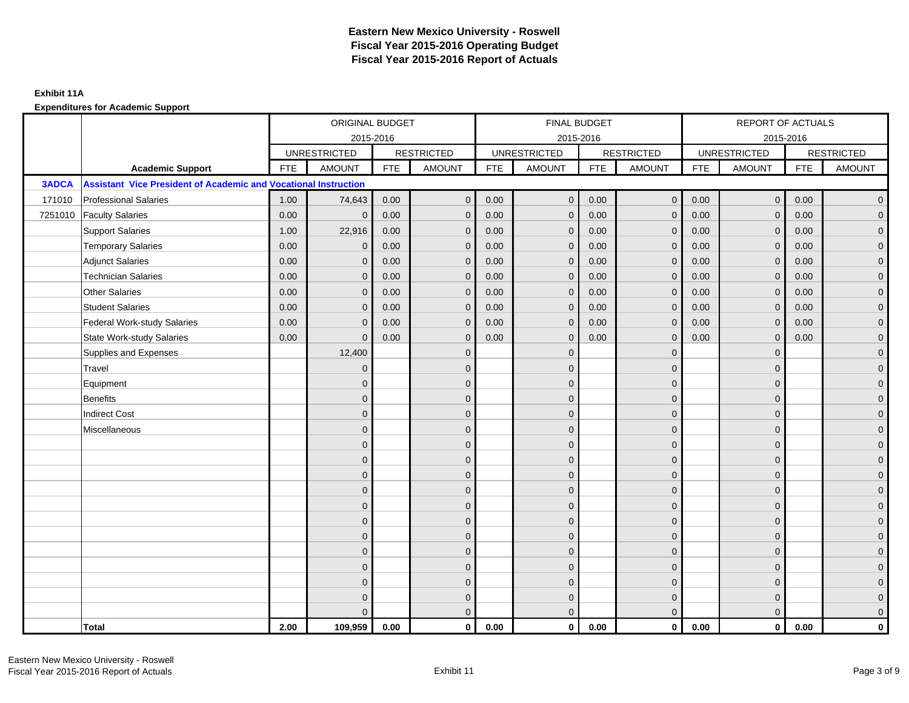|              |                                                                        |            | ORIGINAL BUDGET     |            |                   |            | FINAL BUDGET        |            |                   |            | REPORT OF ACTUALS   |            |                     |
|--------------|------------------------------------------------------------------------|------------|---------------------|------------|-------------------|------------|---------------------|------------|-------------------|------------|---------------------|------------|---------------------|
|              |                                                                        |            | 2015-2016           |            |                   |            | 2015-2016           |            |                   |            | 2015-2016           |            |                     |
|              |                                                                        |            | <b>UNRESTRICTED</b> |            | <b>RESTRICTED</b> |            | <b>UNRESTRICTED</b> |            | <b>RESTRICTED</b> |            | <b>UNRESTRICTED</b> |            | <b>RESTRICTED</b>   |
|              | <b>Academic Support</b>                                                | <b>FTE</b> | <b>AMOUNT</b>       | <b>FTE</b> | <b>AMOUNT</b>     | <b>FTE</b> | <b>AMOUNT</b>       | <b>FTE</b> | <b>AMOUNT</b>     | <b>FTE</b> | <b>AMOUNT</b>       | <b>FTE</b> | <b>AMOUNT</b>       |
| <b>3ADCA</b> | <b>Assistant Vice President of Academic and Vocational Instruction</b> |            |                     |            |                   |            |                     |            |                   |            |                     |            |                     |
| 171010       | <b>Professional Salaries</b>                                           | 1.00       | 74,643              | 0.00       | $\mathbf{0}$      | 0.00       | $\mathbf{0}$        | 0.00       | $\overline{0}$    | 0.00       | $\overline{0}$      | 0.00       | $\overline{0}$      |
| 7251010      | <b>Faculty Salaries</b>                                                | 0.00       | $\mathbf{0}$        | 0.00       | $\mathbf{0}$      | 0.00       | $\mathbf{0}$        | 0.00       | $\mathbf{0}$      | 0.00       | $\mathbf{0}$        | 0.00       | $\overline{0}$      |
|              | <b>Support Salaries</b>                                                | 1.00       | 22,916              | 0.00       | $\mathbf{0}$      | 0.00       | $\overline{0}$      | 0.00       | $\mathbf{0}$      | 0.00       | $\overline{0}$      | 0.00       | $\overline{0}$      |
|              | <b>Temporary Salaries</b>                                              | 0.00       | $\mathbf 0$         | 0.00       | $\mathbf 0$       | 0.00       | $\mathbf{0}$        | 0.00       | $\mathbf 0$       | 0.00       | $\overline{0}$      | 0.00       | $\mathbf{0}$        |
|              | <b>Adjunct Salaries</b>                                                | 0.00       | $\mathbf{0}$        | 0.00       | $\mathbf{0}$      | 0.00       | $\mathbf{0}$        | 0.00       | $\mathbf{0}$      | 0.00       | $\mathbf{0}$        | 0.00       | $\overline{0}$      |
|              | <b>Technician Salaries</b>                                             | 0.00       | $\Omega$            | 0.00       | $\Omega$          | 0.00       | $\mathbf{0}$        | 0.00       | $\mathbf{0}$      | 0.00       | $\mathbf{0}$        | 0.00       | $\mathbf{0}$        |
|              | <b>Other Salaries</b>                                                  | 0.00       | $\mathbf{0}$        | 0.00       | $\Omega$          | 0.00       | $\Omega$            | 0.00       | $\Omega$          | 0.00       | $\mathbf{0}$        | 0.00       | $\overline{0}$      |
|              | <b>Student Salaries</b>                                                | 0.00       | $\mathbf{0}$        | 0.00       | $\mathbf 0$       | 0.00       | $\mathbf{0}$        | 0.00       | $\mathbf 0$       | 0.00       | $\overline{0}$      | 0.00       | $\overline{0}$      |
|              | <b>Federal Work-study Salaries</b>                                     | 0.00       | $\mathbf{0}$        | 0.00       | $\mathbf 0$       | 0.00       | $\mathbf{0}$        | 0.00       | $\mathbf 0$       | 0.00       | $\mathbf 0$         | 0.00       | $\overline{0}$      |
|              | <b>State Work-study Salaries</b>                                       | 0.00       | $\mathbf{0}$        | 0.00       | $\mathbf{0}$      | 0.00       | $\mathbf{0}$        | 0.00       | $\mathbf{0}$      | 0.00       | $\mathbf{0}$        | 0.00       | $\overline{0}$      |
|              | Supplies and Expenses                                                  |            | 12,400              |            | $\Omega$          |            | $\Omega$            |            | $\overline{0}$    |            | $\mathbf 0$         |            | $\mathsf{O}\xspace$ |
|              | Travel                                                                 |            | $\overline{0}$      |            | $\mathbf{0}$      |            | $\Omega$            |            | $\mathbf{0}$      |            | $\Omega$            |            | $\overline{0}$      |
|              | Equipment                                                              |            | $\mathbf{0}$        |            | $\mathbf 0$       |            | $\mathbf{0}$        |            | $\mathbf 0$       |            | $\mathbf{0}$        |            | $\overline{0}$      |
|              | Benefits                                                               |            | $\mathbf{0}$        |            | $\mathbf{0}$      |            | $\Omega$            |            | $\mathbf 0$       |            | $\mathbf{0}$        |            | $\overline{0}$      |
|              | <b>Indirect Cost</b>                                                   |            | $\Omega$            |            | $\mathbf{0}$      |            | $\Omega$            |            | $\mathbf{0}$      |            | $\Omega$            |            | $\overline{0}$      |
|              | Miscellaneous                                                          |            | $\Omega$            |            | $\mathbf{0}$      |            | $\Omega$            |            | $\mathbf{0}$      |            | $\Omega$            |            | $\overline{0}$      |
|              |                                                                        |            | $\mathbf{0}$        |            | $\mathbf 0$       |            | $\mathbf{0}$        |            | $\mathbf 0$       |            | $\mathbf{0}$        |            | $\overline{0}$      |
|              |                                                                        |            | $\Omega$            |            | $\mathbf 0$       |            | $\mathbf{0}$        |            | $\mathbf 0$       |            | $\mathbf{0}$        |            | $\overline{0}$      |
|              |                                                                        |            | $\Omega$            |            | $\mathbf{0}$      |            | $\Omega$            |            | $\mathbf 0$       |            | $\mathbf{0}$        |            | $\overline{0}$      |
|              |                                                                        |            | $\Omega$            |            | $\mathbf{0}$      |            | $\Omega$            |            | $\mathbf{0}$      |            | $\Omega$            |            | $\overline{0}$      |
|              |                                                                        |            | $\overline{0}$      |            | $\mathbf 0$       |            | $\mathbf{0}$        |            | $\mathbf 0$       |            | $\mathbf 0$         |            | $\mathbf{0}$        |
|              |                                                                        |            | $\mathbf{0}$        |            | $\mathbf 0$       |            | $\Omega$            |            | $\mathbf 0$       |            | $\mathbf{0}$        |            | $\overline{0}$      |
|              |                                                                        |            | $\Omega$            |            | $\mathbf{0}$      |            | $\mathbf{0}$        |            | $\mathbf 0$       |            | $\mathbf{0}$        |            | $\overline{0}$      |
|              |                                                                        |            | $\Omega$            |            | $\mathbf{0}$      |            | $\Omega$            |            | $\mathbf{0}$      |            | $\Omega$            |            | $\mathbf{0}$        |
|              |                                                                        |            | $\mathbf{0}$        |            | $\mathbf{0}$      |            | $\Omega$            |            | $\mathbf 0$       |            | $\mathbf 0$         |            | $\mathbf 0$         |
|              |                                                                        |            | $\mathbf{0}$        |            | $\mathbf 0$       |            | $\Omega$            |            | $\mathbf 0$       |            | $\mathbf 0$         |            | $\mathbf{0}$        |
|              |                                                                        |            | 0                   |            | $\mathbf 0$       |            | $\mathbf{0}$        |            | $\mathbf 0$       |            | $\mathbf{0}$        |            | $\mathbf{0}$        |
|              |                                                                        |            | $\Omega$            |            | $\mathbf{0}$      |            | $\Omega$            |            | $\mathbf{0}$      |            | $\Omega$            |            | $\overline{0}$      |
|              | <b>Total</b>                                                           | 2.00       | 109,959             | 0.00       | $\mathbf{0}$      | 0.00       | $\mathbf{0}$        | 0.00       | $\mathbf{0}$      | 0.00       | $\mathbf{0}$        | 0.00       | $\mathbf{0}$        |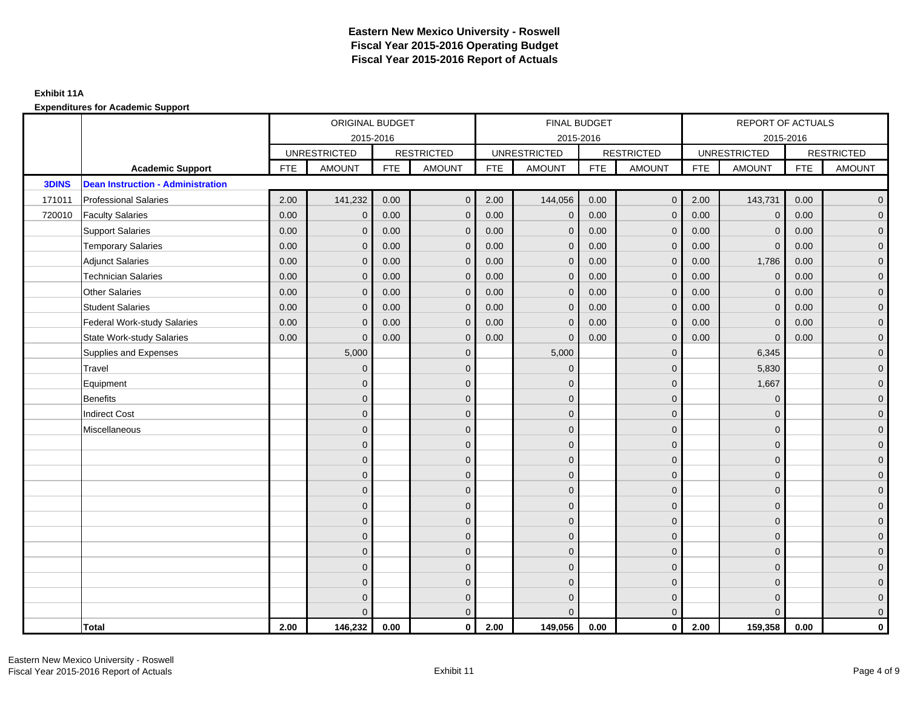## **Exhibit 11A**

|              |                                          |            | ORIGINAL BUDGET     |            |                   |            | FINAL BUDGET        |            |                   |            | REPORT OF ACTUALS   |            |                     |
|--------------|------------------------------------------|------------|---------------------|------------|-------------------|------------|---------------------|------------|-------------------|------------|---------------------|------------|---------------------|
|              |                                          |            | 2015-2016           |            |                   |            | 2015-2016           |            |                   |            | 2015-2016           |            |                     |
|              |                                          |            | <b>UNRESTRICTED</b> |            | <b>RESTRICTED</b> |            | <b>UNRESTRICTED</b> |            | <b>RESTRICTED</b> |            | <b>UNRESTRICTED</b> |            | <b>RESTRICTED</b>   |
|              | <b>Academic Support</b>                  | <b>FTE</b> | <b>AMOUNT</b>       | <b>FTE</b> | <b>AMOUNT</b>     | <b>FTE</b> | <b>AMOUNT</b>       | <b>FTE</b> | AMOUNT            | <b>FTE</b> | <b>AMOUNT</b>       | <b>FTE</b> | <b>AMOUNT</b>       |
| <b>3DINS</b> | <b>Dean Instruction - Administration</b> |            |                     |            |                   |            |                     |            |                   |            |                     |            |                     |
| 171011       | <b>Professional Salaries</b>             | 2.00       | 141,232             | 0.00       | $\mathbf{0}$      | 2.00       | 144,056             | 0.00       | $\overline{0}$    | 2.00       | 143,731             | 0.00       | $\overline{0}$      |
| 720010       | <b>Faculty Salaries</b>                  | 0.00       | $\mathbf{0}$        | 0.00       | $\mathbf{0}$      | 0.00       | $\mathbf{0}$        | 0.00       | $\mathbf{0}$      | 0.00       | $\mathbf{0}$        | 0.00       | $\overline{0}$      |
|              | <b>Support Salaries</b>                  | 0.00       | $\mathbf{0}$        | 0.00       | $\mathbf{0}$      | 0.00       | $\mathbf{0}$        | 0.00       | $\mathbf 0$       | 0.00       | $\mathbf{0}$        | 0.00       | $\overline{0}$      |
|              | <b>Temporary Salaries</b>                | 0.00       | $\mathbf 0$         | 0.00       | $\mathbf 0$       | 0.00       | $\mathbf{0}$        | 0.00       | $\mathbf 0$       | 0.00       | $\mathbf 0$         | 0.00       | $\mathbf{0}$        |
|              | <b>Adjunct Salaries</b>                  | 0.00       | $\mathbf{0}$        | 0.00       | $\mathbf{0}$      | 0.00       | $\mathbf{0}$        | 0.00       | $\mathbf{0}$      | 0.00       | 1,786               | 0.00       | $\overline{0}$      |
|              | <b>Technician Salaries</b>               | 0.00       | $\mathbf{0}$        | 0.00       | $\Omega$          | 0.00       | $\mathbf{0}$        | 0.00       | $\mathbf{0}$      | 0.00       | $\mathbf{0}$        | 0.00       | $\mathbf{0}$        |
|              | Other Salaries                           | 0.00       | $\mathbf{0}$        | 0.00       | $\Omega$          | 0.00       | $\Omega$            | 0.00       | $\mathbf{0}$      | 0.00       | $\mathbf{0}$        | 0.00       | $\overline{0}$      |
|              | <b>Student Salaries</b>                  | 0.00       | $\mathbf{0}$        | 0.00       | $\mathbf 0$       | 0.00       | $\mathbf{0}$        | 0.00       | $\mathbf 0$       | 0.00       | $\overline{0}$      | 0.00       | $\overline{0}$      |
|              | <b>Federal Work-study Salaries</b>       | 0.00       | $\mathbf{0}$        | 0.00       | $\mathbf 0$       | 0.00       | $\mathbf{0}$        | 0.00       | $\mathbf 0$       | 0.00       | $\mathbf 0$         | 0.00       | $\mathbf{0}$        |
|              | <b>State Work-study Salaries</b>         | 0.00       | $\mathbf{0}$        | 0.00       | $\mathbf{0}$      | 0.00       | $\mathbf{0}$        | 0.00       | $\mathbf{0}$      | 0.00       | $\mathbf 0$         | 0.00       | $\overline{0}$      |
|              | Supplies and Expenses                    |            | 5,000               |            | $\mathbf 0$       |            | 5,000               |            | $\mathbf{0}$      |            | 6,345               |            | $\mathsf{O}\xspace$ |
|              | Travel                                   |            | $\overline{0}$      |            | $\mathbf{0}$      |            | $\mathbf{0}$        |            | $\mathbf{0}$      |            | 5,830               |            | $\overline{0}$      |
|              | Equipment                                |            | $\mathbf{0}$        |            | $\mathbf 0$       |            | $\mathbf{0}$        |            | $\mathbf 0$       |            | 1,667               |            | $\overline{0}$      |
|              | <b>Benefits</b>                          |            | $\overline{0}$      |            | $\mathbf{0}$      |            | $\Omega$            |            | $\mathbf 0$       |            | $\mathbf 0$         |            | $\overline{0}$      |
|              | <b>Indirect Cost</b>                     |            | $\Omega$            |            | $\mathbf{0}$      |            | $\Omega$            |            | $\mathbf{0}$      |            | $\Omega$            |            | $\overline{0}$      |
|              | Miscellaneous                            |            | $\Omega$            |            | $\mathbf{0}$      |            | $\Omega$            |            | $\mathbf{0}$      |            | $\Omega$            |            | $\overline{0}$      |
|              |                                          |            | $\overline{0}$      |            | $\mathbf 0$       |            | $\mathbf{0}$        |            | $\mathbf 0$       |            | $\mathbf{0}$        |            | $\overline{0}$      |
|              |                                          |            | $\overline{0}$      |            | $\mathbf 0$       |            | $\mathbf{0}$        |            | $\mathbf 0$       |            | $\mathbf{0}$        |            | $\overline{0}$      |
|              |                                          |            | $\Omega$            |            | $\mathbf{0}$      |            | $\Omega$            |            | $\mathbf 0$       |            | $\mathbf{0}$        |            | $\overline{0}$      |
|              |                                          |            | $\Omega$            |            | $\mathbf{0}$      |            | $\Omega$            |            | $\mathbf{0}$      |            | $\Omega$            |            | $\overline{0}$      |
|              |                                          |            | $\mathbf{0}$        |            | $\mathbf 0$       |            | $\mathbf{0}$        |            | $\mathbf 0$       |            | $\mathbf 0$         |            | $\mathsf{O}\xspace$ |
|              |                                          |            | $\mathbf{0}$        |            | $\mathbf 0$       |            | $\mathbf{0}$        |            | $\mathbf 0$       |            | $\mathbf{0}$        |            | $\overline{0}$      |
|              |                                          |            | $\mathbf{0}$        |            | $\mathbf{0}$      |            | $\mathbf{0}$        |            | $\mathbf 0$       |            | $\mathbf{0}$        |            | $\overline{0}$      |
|              |                                          |            | $\Omega$            |            | $\mathbf{0}$      |            | $\Omega$            |            | $\mathbf{0}$      |            | $\mathbf{0}$        |            | $\overline{0}$      |
|              |                                          |            | $\overline{0}$      |            | $\mathbf 0$       |            | $\mathbf{0}$        |            | $\mathbf 0$       |            | $\mathbf 0$         |            | $\mathbf{0}$        |
|              |                                          |            | $\overline{0}$      |            | $\mathbf 0$       |            | $\mathbf{0}$        |            | $\mathbf 0$       |            | $\mathbf 0$         |            | $\mathbf{0}$        |
|              |                                          |            | 0                   |            | $\mathbf 0$       |            | $\Omega$            |            | $\mathbf 0$       |            | $\mathbf 0$         |            | $\mathbf{0}$        |
|              |                                          |            | $\Omega$            |            | $\mathbf{0}$      |            | $\Omega$            |            | $\mathbf{0}$      |            | $\Omega$            |            | $\overline{0}$      |
|              | <b>Total</b>                             | 2.00       | 146,232             | 0.00       | $\mathbf{0}$      | 2.00       | 149,056             | 0.00       | $\mathbf{0}$      | 2.00       | 159,358             | 0.00       | $\mathbf 0$         |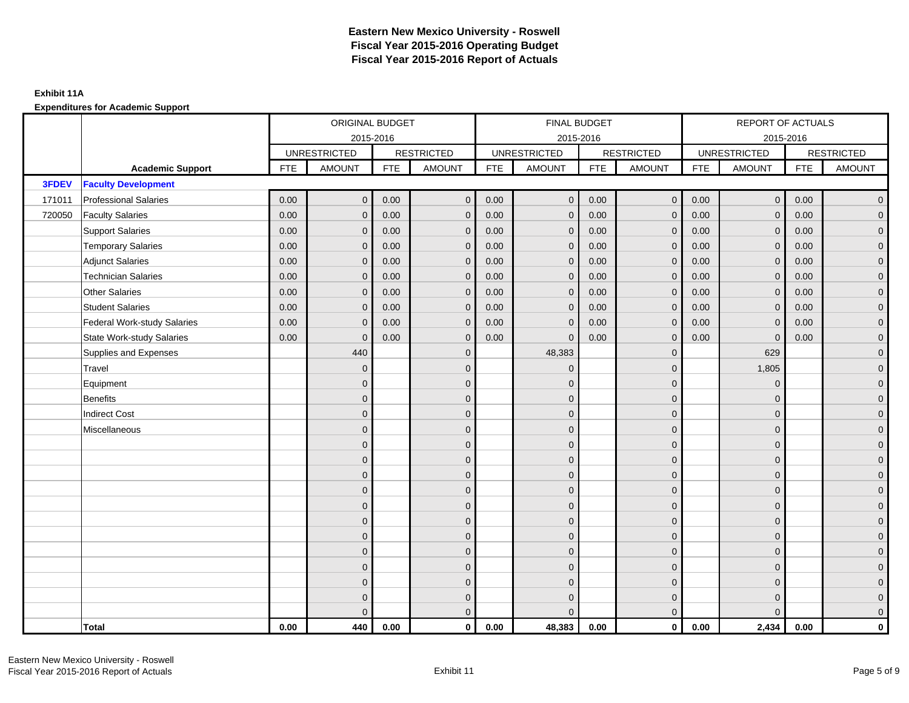|        |                                    |            | ORIGINAL BUDGET     |            |                   |            | FINAL BUDGET        |            |                   |            | <b>REPORT OF ACTUALS</b> |            |                     |
|--------|------------------------------------|------------|---------------------|------------|-------------------|------------|---------------------|------------|-------------------|------------|--------------------------|------------|---------------------|
|        |                                    |            | 2015-2016           |            |                   |            | 2015-2016           |            |                   |            |                          | 2015-2016  |                     |
|        |                                    |            | <b>UNRESTRICTED</b> |            | <b>RESTRICTED</b> |            | <b>UNRESTRICTED</b> |            | <b>RESTRICTED</b> |            | <b>UNRESTRICTED</b>      |            | <b>RESTRICTED</b>   |
|        | <b>Academic Support</b>            | <b>FTE</b> | <b>AMOUNT</b>       | <b>FTE</b> | <b>AMOUNT</b>     | <b>FTE</b> | <b>AMOUNT</b>       | <b>FTE</b> | <b>AMOUNT</b>     | <b>FTE</b> | <b>AMOUNT</b>            | <b>FTE</b> | <b>AMOUNT</b>       |
| 3FDEV  | <b>Faculty Development</b>         |            |                     |            |                   |            |                     |            |                   |            |                          |            |                     |
| 171011 | <b>Professional Salaries</b>       | 0.00       | $\mathbf{0}$        | 0.00       | $\mathbf{0}$      | 0.00       | $\mathbf{0}$        | 0.00       | $\overline{0}$    | 0.00       | $\mathbf 0$              | 0.00       | $\overline{0}$      |
| 720050 | <b>Faculty Salaries</b>            | 0.00       | $\mathbf{0}$        | 0.00       | $\mathbf{0}$      | 0.00       | $\mathbf{0}$        | 0.00       | $\mathbf{0}$      | 0.00       | $\mathbf{0}$             | 0.00       | $\overline{0}$      |
|        | <b>Support Salaries</b>            | 0.00       | $\mathbf{0}$        | 0.00       | $\mathbf{0}$      | 0.00       | $\mathbf{0}$        | 0.00       | $\mathbf{0}$      | 0.00       | $\mathbf 0$              | 0.00       | $\overline{0}$      |
|        | <b>Temporary Salaries</b>          | 0.00       | $\mathbf{0}$        | 0.00       | $\Omega$          | 0.00       | $\mathbf{0}$        | 0.00       | $\mathbf{0}$      | 0.00       | $\mathbf{0}$             | 0.00       | $\overline{0}$      |
|        | <b>Adjunct Salaries</b>            | 0.00       | $\mathbf{0}$        | 0.00       | $\mathbf{0}$      | 0.00       | $\mathbf{0}$        | 0.00       | $\mathbf{0}$      | 0.00       | $\mathbf{0}$             | 0.00       | $\mathbf 0$         |
|        | <b>Technician Salaries</b>         | 0.00       | $\mathbf{0}$        | 0.00       | $\mathbf{0}$      | 0.00       | $\mathbf{0}$        | 0.00       | $\mathbf{0}$      | 0.00       | $\Omega$                 | 0.00       | $\mathbf 0$         |
|        | <b>Other Salaries</b>              | 0.00       | $\mathbf{0}$        | 0.00       | $\Omega$          | 0.00       | $\Omega$            | 0.00       | $\mathbf{0}$      | 0.00       | $\Omega$                 | 0.00       | $\overline{0}$      |
|        | <b>Student Salaries</b>            | 0.00       | $\mathbf 0$         | 0.00       | $\mathbf{0}$      | 0.00       | $\mathbf 0$         | 0.00       | $\mathbf 0$       | 0.00       | $\mathbf 0$              | 0.00       | $\overline{0}$      |
|        | <b>Federal Work-study Salaries</b> | 0.00       | $\mathbf{0}$        | 0.00       | $\mathbf{0}$      | 0.00       | $\mathbf 0$         | 0.00       | $\mathbf 0$       | 0.00       | $\mathbf{0}$             | 0.00       | $\overline{0}$      |
|        | <b>State Work-study Salaries</b>   | 0.00       | $\mathbf{0}$        | 0.00       | $\mathbf{0}$      | 0.00       | $\mathbf{0}$        | 0.00       | $\mathbf{0}$      | 0.00       | $\overline{0}$           | 0.00       | $\overline{0}$      |
|        | Supplies and Expenses              |            | 440                 |            | $\mathbf{0}$      |            | 48,383              |            | $\mathbf 0$       |            | 629                      |            | $\mathsf{O}\xspace$ |
|        | Travel                             |            | $\mathbf{0}$        |            | $\mathbf{0}$      |            | $\mathbf{0}$        |            | $\mathbf 0$       |            | 1,805                    |            | $\overline{0}$      |
|        | Equipment                          |            | $\mathbf{0}$        |            | $\mathbf{0}$      |            | $\Omega$            |            | $\mathbf 0$       |            | $\mathbf{0}$             |            | $\overline{0}$      |
|        | Benefits                           |            | $\mathbf{0}$        |            | $\mathbf{0}$      |            | $\Omega$            |            | $\mathbf 0$       |            | $\mathbf{0}$             |            | $\overline{0}$      |
|        | <b>Indirect Cost</b>               |            | $\mathbf{0}$        |            | $\mathbf{0}$      |            | $\Omega$            |            | $\mathbf{0}$      |            | $\mathbf{0}$             |            | $\mathbf 0$         |
|        | Miscellaneous                      |            | $\mathbf{0}$        |            | $\mathbf{0}$      |            | $\Omega$            |            | $\mathbf 0$       |            | $\Omega$                 |            | $\overline{0}$      |
|        |                                    |            | $\mathbf{0}$        |            | $\mathbf 0$       |            | $\overline{0}$      |            | $\mathbf 0$       |            | $\mathbf{0}$             |            | $\overline{0}$      |
|        |                                    |            | $\mathbf{0}$        |            | $\mathbf 0$       |            | $\mathbf{0}$        |            | $\mathbf 0$       |            | $\Omega$                 |            | $\overline{0}$      |
|        |                                    |            | $\Omega$            |            | $\mathbf{0}$      |            | $\Omega$            |            | $\mathbf 0$       |            | $\Omega$                 |            | $\overline{0}$      |
|        |                                    |            | $\mathbf{0}$        |            | $\mathbf{0}$      |            | $\Omega$            |            | $\mathbf 0$       |            | $\mathbf{0}$             |            | $\overline{0}$      |
|        |                                    |            | $\mathbf{0}$        |            | $\mathbf{0}$      |            | $\Omega$            |            | $\mathbf 0$       |            | $\Omega$                 |            | $\mathbf 0$         |
|        |                                    |            | $\mathbf{0}$        |            | $\mathbf{0}$      |            | $\Omega$            |            | $\mathbf{0}$      |            | $\Omega$                 |            | $\overline{0}$      |
|        |                                    |            | $\mathbf{0}$        |            | $\mathbf 0$       |            | $\overline{0}$      |            | $\mathbf 0$       |            | $\mathbf{0}$             |            | $\overline{0}$      |
|        |                                    |            | $\Omega$            |            | $\mathbf{0}$      |            | $\Omega$            |            | $\mathbf{0}$      |            | $\mathbf{0}$             |            | $\overline{0}$      |
|        |                                    |            | $\overline{0}$      |            | $\mathbf{0}$      |            | $\Omega$            |            | $\mathbf{0}$      |            | $\mathbf{0}$             |            | $\mathbf 0$         |
|        |                                    |            | $\Omega$            |            | $\mathbf{0}$      |            | $\Omega$            |            | $\mathbf{0}$      |            | $\Omega$                 |            | $\mathbf 0$         |
|        |                                    |            | $\mathbf{0}$        |            | $\mathbf 0$       |            | $\Omega$            |            | $\mathbf{0}$      |            | $\mathbf{0}$             |            | $\mathbf 0$         |
|        |                                    |            | $\Omega$            |            | $\mathbf{0}$      |            | $\Omega$            |            | $\mathbf{0}$      |            | $\Omega$                 |            | $\overline{0}$      |
|        | Total                              | 0.00       | 440                 | 0.00       | $\mathbf 0$       | 0.00       | 48,383              | 0.00       | $\overline{0}$    | 0.00       | 2,434                    | 0.00       | $\mathbf 0$         |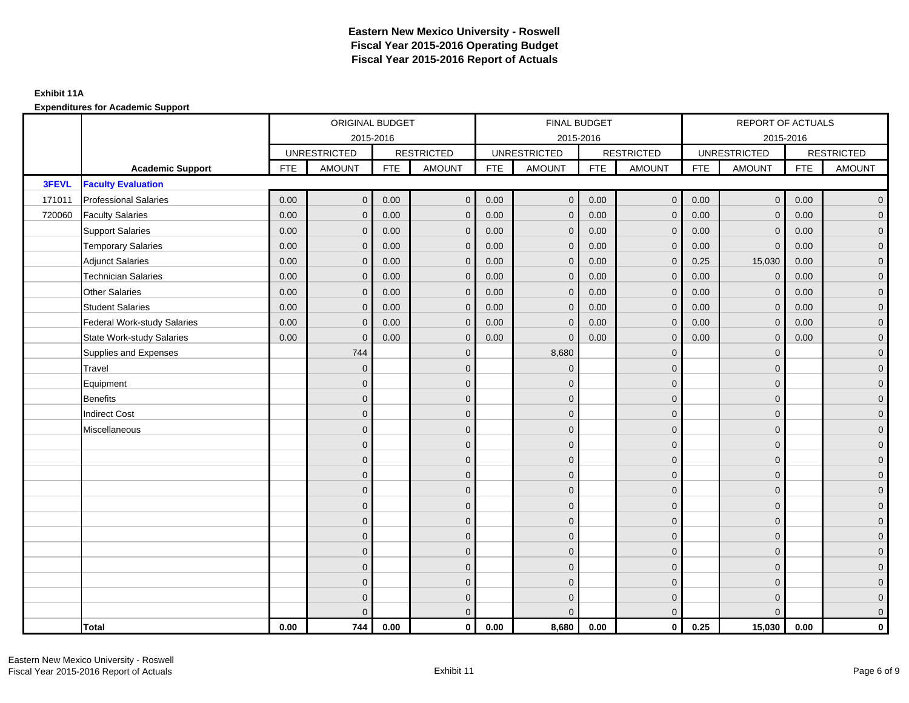|        |                                    |            | ORIGINAL BUDGET     |            |                   |            | FINAL BUDGET        |            |                   |            | <b>REPORT OF ACTUALS</b> |            |                     |
|--------|------------------------------------|------------|---------------------|------------|-------------------|------------|---------------------|------------|-------------------|------------|--------------------------|------------|---------------------|
|        |                                    |            | 2015-2016           |            |                   |            | 2015-2016           |            |                   |            |                          | 2015-2016  |                     |
|        |                                    |            | <b>UNRESTRICTED</b> |            | <b>RESTRICTED</b> |            | <b>UNRESTRICTED</b> |            | <b>RESTRICTED</b> |            | <b>UNRESTRICTED</b>      |            | <b>RESTRICTED</b>   |
|        | <b>Academic Support</b>            | <b>FTE</b> | <b>AMOUNT</b>       | <b>FTE</b> | <b>AMOUNT</b>     | <b>FTE</b> | <b>AMOUNT</b>       | <b>FTE</b> | <b>AMOUNT</b>     | <b>FTE</b> | <b>AMOUNT</b>            | <b>FTE</b> | <b>AMOUNT</b>       |
| 3FEVL  | <b>Faculty Evaluation</b>          |            |                     |            |                   |            |                     |            |                   |            |                          |            |                     |
| 171011 | <b>Professional Salaries</b>       | 0.00       | $\mathbf{0}$        | 0.00       | $\overline{0}$    | 0.00       | $\mathbf{0}$        | 0.00       | $\overline{0}$    | 0.00       | $\mathbf 0$              | 0.00       | $\overline{0}$      |
| 720060 | <b>Faculty Salaries</b>            | 0.00       | $\mathbf{0}$        | 0.00       | $\mathbf{0}$      | 0.00       | $\mathbf{0}$        | 0.00       | $\mathbf{0}$      | 0.00       | $\mathbf{0}$             | 0.00       | $\overline{0}$      |
|        | <b>Support Salaries</b>            | 0.00       | $\mathbf{0}$        | 0.00       | $\mathbf{0}$      | 0.00       | $\mathbf{0}$        | 0.00       | $\mathbf{0}$      | 0.00       | $\mathbf{0}$             | 0.00       | $\overline{0}$      |
|        | <b>Temporary Salaries</b>          | 0.00       | $\mathbf{0}$        | 0.00       | $\Omega$          | 0.00       | $\mathbf{0}$        | 0.00       | $\mathbf{0}$      | 0.00       | $\mathbf{0}$             | 0.00       | $\overline{0}$      |
|        | <b>Adjunct Salaries</b>            | 0.00       | $\mathbf{0}$        | 0.00       | $\mathbf{0}$      | 0.00       | $\mathbf{0}$        | 0.00       | $\mathbf{0}$      | 0.25       | 15,030                   | 0.00       | $\mathbf 0$         |
|        | <b>Technician Salaries</b>         | 0.00       | $\mathbf{0}$        | 0.00       | $\mathbf{0}$      | 0.00       | $\mathbf{0}$        | 0.00       | $\mathbf{0}$      | 0.00       | $\Omega$                 | 0.00       | $\mathbf 0$         |
|        | <b>Other Salaries</b>              | 0.00       | $\mathbf{0}$        | 0.00       | $\Omega$          | 0.00       | $\Omega$            | 0.00       | $\mathbf{0}$      | 0.00       | $\mathbf{0}$             | 0.00       | $\overline{0}$      |
|        | <b>Student Salaries</b>            | 0.00       | $\mathbf 0$         | 0.00       | $\mathbf{0}$      | 0.00       | $\mathbf 0$         | 0.00       | $\mathbf 0$       | 0.00       | $\mathbf 0$              | 0.00       | $\overline{0}$      |
|        | <b>Federal Work-study Salaries</b> | 0.00       | $\mathbf{0}$        | 0.00       | $\mathbf{0}$      | 0.00       | $\mathbf 0$         | 0.00       | $\mathbf 0$       | 0.00       | $\mathbf{0}$             | 0.00       | $\overline{0}$      |
|        | <b>State Work-study Salaries</b>   | 0.00       | $\mathbf{0}$        | 0.00       | $\mathbf{0}$      | 0.00       | $\mathbf{0}$        | 0.00       | $\mathbf{0}$      | 0.00       | $\mathbf{0}$             | 0.00       | $\overline{0}$      |
|        | Supplies and Expenses              |            | 744                 |            | $\mathbf{0}$      |            | 8,680               |            | $\mathbf 0$       |            | $\mathbf{0}$             |            | $\mathsf{O}\xspace$ |
|        | Travel                             |            | $\mathbf{0}$        |            | $\mathbf{0}$      |            | $\mathbf{0}$        |            | $\mathbf 0$       |            | $\mathbf{0}$             |            | $\overline{0}$      |
|        | Equipment                          |            | $\mathbf{0}$        |            | $\mathbf{0}$      |            | $\Omega$            |            | $\mathbf 0$       |            | $\Omega$                 |            | $\overline{0}$      |
|        | Benefits                           |            | $\mathbf{0}$        |            | $\mathbf{0}$      |            | $\mathbf{0}$        |            | $\mathbf 0$       |            | $\mathbf{0}$             |            | $\overline{0}$      |
|        | <b>Indirect Cost</b>               |            | $\mathbf{0}$        |            | $\mathbf{0}$      |            | $\Omega$            |            | $\mathbf{0}$      |            | $\mathbf{0}$             |            | $\mathbf 0$         |
|        | Miscellaneous                      |            | $\mathbf{0}$        |            | $\mathbf{0}$      |            | $\Omega$            |            | $\mathbf 0$       |            | $\Omega$                 |            | $\mathbf 0$         |
|        |                                    |            | $\mathbf{0}$        |            | $\mathbf 0$       |            | $\overline{0}$      |            | $\mathbf 0$       |            | $\mathbf{0}$             |            | $\overline{0}$      |
|        |                                    |            | $\mathbf{0}$        |            | $\mathbf 0$       |            | $\mathbf{0}$        |            | $\mathbf 0$       |            | $\Omega$                 |            | $\overline{0}$      |
|        |                                    |            | $\Omega$            |            | $\mathbf{0}$      |            | $\Omega$            |            | $\mathbf 0$       |            | $\Omega$                 |            | $\overline{0}$      |
|        |                                    |            | $\mathbf{0}$        |            | $\mathbf{0}$      |            | $\Omega$            |            | $\mathbf 0$       |            | $\mathbf{0}$             |            | $\overline{0}$      |
|        |                                    |            | $\mathbf{0}$        |            | $\mathbf{0}$      |            | $\Omega$            |            | $\mathbf 0$       |            | $\mathbf{0}$             |            | $\mathbf 0$         |
|        |                                    |            | $\mathbf{0}$        |            | $\mathbf{0}$      |            | $\Omega$            |            | $\mathbf{0}$      |            | $\Omega$                 |            | $\overline{0}$      |
|        |                                    |            | $\mathbf{0}$        |            | $\mathbf 0$       |            | $\overline{0}$      |            | $\mathbf 0$       |            | $\mathbf{0}$             |            | $\overline{0}$      |
|        |                                    |            | $\Omega$            |            | $\mathbf{0}$      |            | $\Omega$            |            | $\mathbf{0}$      |            | $\mathbf{0}$             |            | $\overline{0}$      |
|        |                                    |            | $\overline{0}$      |            | $\mathbf{0}$      |            | $\Omega$            |            | $\mathbf{0}$      |            | $\mathbf{0}$             |            | $\mathbf 0$         |
|        |                                    |            | $\Omega$            |            | $\mathbf{0}$      |            | $\Omega$            |            | $\mathbf{0}$      |            | $\Omega$                 |            | $\mathbf 0$         |
|        |                                    |            | $\mathbf{0}$        |            | $\mathbf 0$       |            | $\Omega$            |            | $\mathbf{0}$      |            | $\mathbf{0}$             |            | $\mathbf 0$         |
|        |                                    |            | $\Omega$            |            | $\mathbf{0}$      |            | $\Omega$            |            | $\mathbf{0}$      |            | $\Omega$                 |            | $\overline{0}$      |
|        | Total                              | 0.00       | 744                 | 0.00       | $\mathbf 0$       | 0.00       | 8,680               | 0.00       | $\overline{0}$    | 0.25       | 15,030                   | 0.00       | $\mathbf 0$         |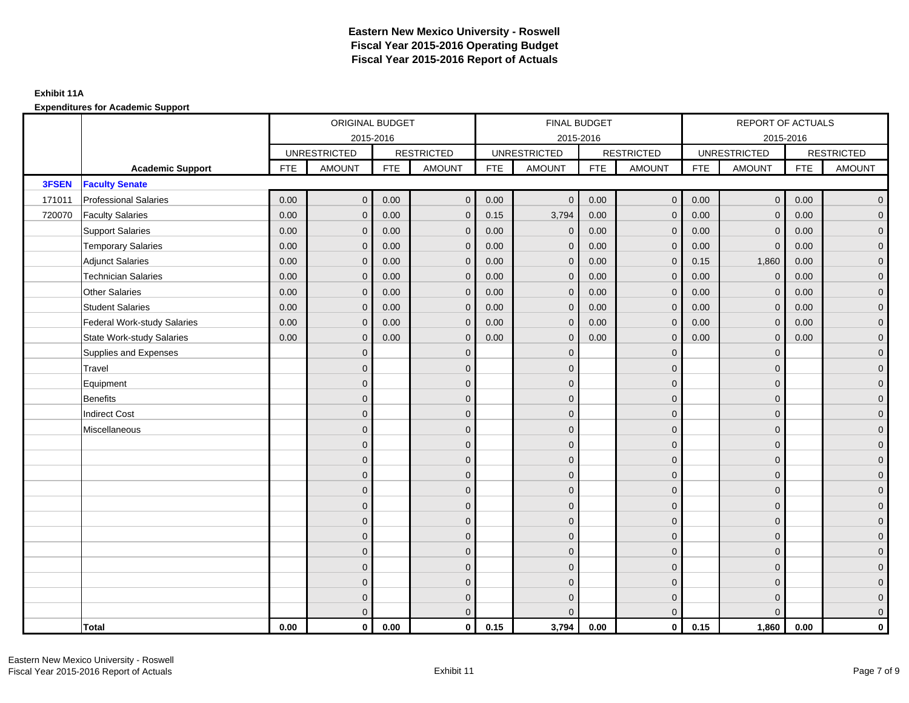|        |                                    |            | ORIGINAL BUDGET     |            |                   |            | FINAL BUDGET        |            |                   |            | REPORT OF ACTUALS   |            |                     |
|--------|------------------------------------|------------|---------------------|------------|-------------------|------------|---------------------|------------|-------------------|------------|---------------------|------------|---------------------|
|        |                                    |            | 2015-2016           |            |                   |            | 2015-2016           |            |                   |            | 2015-2016           |            |                     |
|        |                                    |            | <b>UNRESTRICTED</b> |            | <b>RESTRICTED</b> |            | <b>UNRESTRICTED</b> |            | <b>RESTRICTED</b> |            | <b>UNRESTRICTED</b> |            | <b>RESTRICTED</b>   |
|        | <b>Academic Support</b>            | <b>FTE</b> | <b>AMOUNT</b>       | <b>FTE</b> | <b>AMOUNT</b>     | <b>FTE</b> | <b>AMOUNT</b>       | <b>FTE</b> | <b>AMOUNT</b>     | <b>FTE</b> | <b>AMOUNT</b>       | <b>FTE</b> | <b>AMOUNT</b>       |
| 3FSEN  | <b>Faculty Senate</b>              |            |                     |            |                   |            |                     |            |                   |            |                     |            |                     |
| 171011 | <b>Professional Salaries</b>       | 0.00       | $\mathbf{0}$        | 0.00       | $\mathbf{0}$      | 0.00       | $\mathbf{0}$        | 0.00       | $\overline{0}$    | 0.00       | $\mathbf 0$         | 0.00       | $\overline{0}$      |
| 720070 | <b>Faculty Salaries</b>            | 0.00       | $\mathbf{0}$        | 0.00       | $\mathbf{0}$      | 0.15       | 3,794               | 0.00       | $\mathbf{0}$      | 0.00       | $\mathbf{0}$        | 0.00       | $\overline{0}$      |
|        | <b>Support Salaries</b>            | 0.00       | $\mathbf{0}$        | 0.00       | $\mathbf{0}$      | 0.00       | $\mathbf{0}$        | 0.00       | $\mathbf{0}$      | 0.00       | $\mathbf{0}$        | 0.00       | $\overline{0}$      |
|        | <b>Temporary Salaries</b>          | 0.00       | $\mathbf{0}$        | 0.00       | $\mathbf{0}$      | 0.00       | $\mathbf 0$         | 0.00       | $\mathbf{0}$      | 0.00       | $\mathbf 0$         | 0.00       | $\overline{0}$      |
|        | <b>Adjunct Salaries</b>            | 0.00       | $\mathbf{0}$        | 0.00       | $\Omega$          | 0.00       | $\mathbf{0}$        | 0.00       | $\mathbf{0}$      | 0.15       | 1,860               | 0.00       | $\mathbf 0$         |
|        | <b>Technician Salaries</b>         | 0.00       | $\Omega$            | 0.00       | $\Omega$          | 0.00       | $\mathbf{0}$        | 0.00       | $\mathbf{0}$      | 0.00       | $\Omega$            | 0.00       | $\overline{0}$      |
|        | <b>Other Salaries</b>              | 0.00       | $\mathbf{0}$        | 0.00       | $\mathbf{0}$      | 0.00       | $\mathbf{0}$        | 0.00       | $\mathbf{0}$      | 0.00       | $\mathbf{0}$        | 0.00       | $\overline{0}$      |
|        | <b>Student Salaries</b>            | 0.00       | $\mathbf{0}$        | 0.00       | $\mathbf{0}$      | 0.00       | $\mathbf{0}$        | 0.00       | $\mathbf{0}$      | 0.00       | $\mathbf 0$         | 0.00       | $\overline{0}$      |
|        | <b>Federal Work-study Salaries</b> | 0.00       | $\mathbf{0}$        | 0.00       | $\Omega$          | 0.00       | $\mathbf{0}$        | 0.00       | $\mathbf{0}$      | 0.00       | $\mathbf{0}$        | 0.00       | $\overline{0}$      |
|        | <b>State Work-study Salaries</b>   | 0.00       | $\mathbf{0}$        | 0.00       | $\mathbf{0}$      | 0.00       | $\mathbf{0}$        | 0.00       | $\mathbf{0}$      | 0.00       | $\mathbf{0}$        | 0.00       | $\overline{0}$      |
|        | Supplies and Expenses              |            | $\mathbf{0}$        |            | $\mathbf{0}$      |            | $\mathbf{0}$        |            | $\mathbf{0}$      |            | $\mathbf{0}$        |            | $\overline{0}$      |
|        | Travel                             |            | $\mathbf{0}$        |            | $\mathbf{0}$      |            | $\Omega$            |            | $\mathbf{0}$      |            | $\Omega$            |            | $\overline{0}$      |
|        | Equipment                          |            | $\mathbf{0}$        |            | $\mathbf 0$       |            | $\overline{0}$      |            | $\mathbf{0}$      |            | $\mathbf{0}$        |            | $\overline{0}$      |
|        | <b>Benefits</b>                    |            | $\Omega$            |            | $\mathbf{0}$      |            | $\Omega$            |            | $\mathbf{0}$      |            | $\mathbf{0}$        |            | $\overline{0}$      |
|        | <b>Indirect Cost</b>               |            | $\mathbf{0}$        |            | $\mathbf{0}$      |            | $\Omega$            |            | $\mathbf 0$       |            | $\mathbf{0}$        |            | $\mathbf 0$         |
|        | Miscellaneous                      |            | $\mathbf{0}$        |            | $\mathbf{0}$      |            | $\Omega$            |            | $\mathbf 0$       |            | $\mathbf{0}$        |            | $\mathbf 0$         |
|        |                                    |            | $\mathbf{0}$        |            | $\mathbf{0}$      |            | $\Omega$            |            | $\mathbf{0}$      |            | $\Omega$            |            | $\overline{0}$      |
|        |                                    |            | $\mathbf{0}$        |            | $\mathbf 0$       |            | $\overline{0}$      |            | $\mathbf 0$       |            | $\mathbf{0}$        |            | $\overline{0}$      |
|        |                                    |            | $\Omega$            |            | $\mathbf{0}$      |            | $\Omega$            |            | $\mathbf{0}$      |            | $\mathbf{0}$        |            | $\overline{0}$      |
|        |                                    |            | $\Omega$            |            | $\Omega$          |            | $\Omega$            |            | $\mathbf{0}$      |            | $\Omega$            |            | $\overline{0}$      |
|        |                                    |            | $\mathbf{0}$        |            | $\mathbf{0}$      |            | $\Omega$            |            | $\mathbf 0$       |            | $\mathbf{0}$        |            | $\mathsf{O}\xspace$ |
|        |                                    |            | $\mathbf{0}$        |            | $\mathbf{0}$      |            | $\Omega$            |            | $\mathbf 0$       |            | $\Omega$            |            | $\overline{0}$      |
|        |                                    |            | $\Omega$            |            | $\mathbf{0}$      |            | $\Omega$            |            | $\mathbf 0$       |            | $\Omega$            |            | $\overline{0}$      |
|        |                                    |            | $\Omega$            |            | $\mathbf{0}$      |            | $\Omega$            |            | $\mathbf{0}$      |            | $\mathbf{0}$        |            | $\overline{0}$      |
|        |                                    |            | $\mathbf{0}$        |            | $\mathbf{0}$      |            | $\Omega$            |            | $\mathbf{0}$      |            | $\mathbf{0}$        |            | $\mathbf 0$         |
|        |                                    |            | $\Omega$            |            | $\mathbf{0}$      |            | $\Omega$            |            | $\mathbf{0}$      |            | $\Omega$            |            | $\mathsf{O}\xspace$ |
|        |                                    |            | $\mathbf{0}$        |            | $\mathbf 0$       |            | $\Omega$            |            | $\mathbf{0}$      |            | $\mathbf{0}$        |            | $\overline{0}$      |
|        |                                    |            | $\mathbf{0}$        |            | $\mathbf{0}$      |            | $\Omega$            |            | $\mathbf{0}$      |            | $\Omega$            |            | $\overline{0}$      |
|        | Total                              | 0.00       | $\mathbf 0$         | 0.00       | $\mathbf 0$       | 0.15       | 3,794               | 0.00       | $\overline{0}$    | 0.15       | 1,860               | 0.00       | $\mathbf 0$         |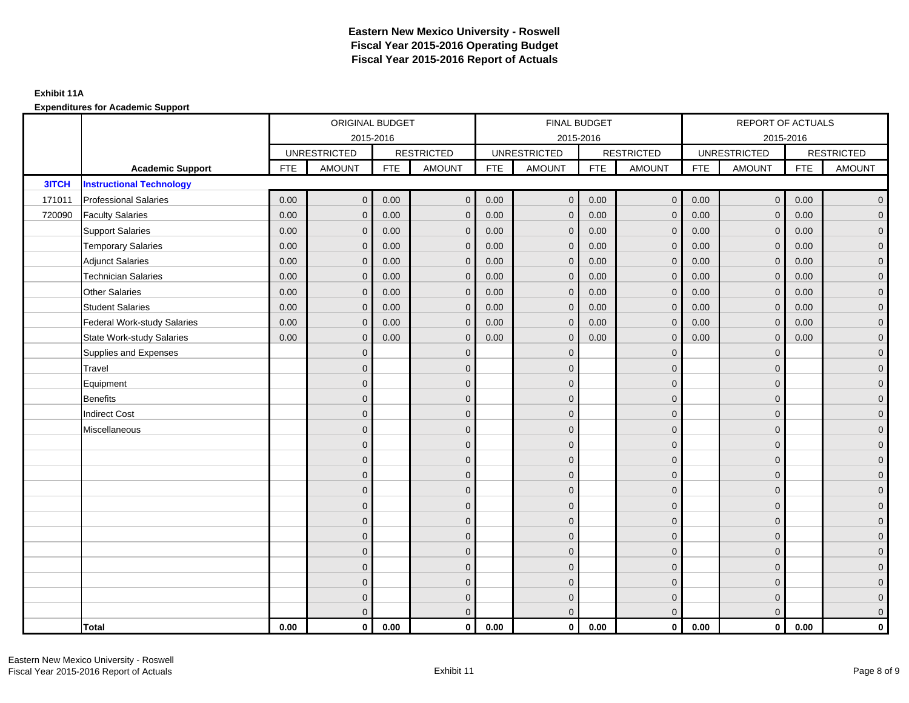|        |                                    |            | ORIGINAL BUDGET     |            |                   |            | FINAL BUDGET        |            |                   |            | REPORT OF ACTUALS   |            |                     |
|--------|------------------------------------|------------|---------------------|------------|-------------------|------------|---------------------|------------|-------------------|------------|---------------------|------------|---------------------|
|        |                                    |            | 2015-2016           |            |                   |            | 2015-2016           |            |                   |            |                     | 2015-2016  |                     |
|        |                                    |            | <b>UNRESTRICTED</b> |            | <b>RESTRICTED</b> |            | <b>UNRESTRICTED</b> |            | <b>RESTRICTED</b> |            | <b>UNRESTRICTED</b> |            | <b>RESTRICTED</b>   |
|        | <b>Academic Support</b>            | <b>FTE</b> | <b>AMOUNT</b>       | <b>FTE</b> | <b>AMOUNT</b>     | <b>FTE</b> | <b>AMOUNT</b>       | <b>FTE</b> | <b>AMOUNT</b>     | <b>FTE</b> | <b>AMOUNT</b>       | <b>FTE</b> | <b>AMOUNT</b>       |
| 3ITCH  | <b>Instructional Technology</b>    |            |                     |            |                   |            |                     |            |                   |            |                     |            |                     |
| 171011 | <b>Professional Salaries</b>       | 0.00       | $\mathbf{0}$        | 0.00       | $\mathbf{0}$      | 0.00       | $\mathbf 0$         | 0.00       | $\overline{0}$    | 0.00       | $\mathbf 0$         | 0.00       | $\overline{0}$      |
| 720090 | <b>Faculty Salaries</b>            | 0.00       | $\mathbf{0}$        | 0.00       | $\mathbf{0}$      | 0.00       | $\mathbf{0}$        | 0.00       | $\mathbf{0}$      | 0.00       | $\mathbf{0}$        | 0.00       | $\overline{0}$      |
|        | <b>Support Salaries</b>            | 0.00       | $\mathbf{0}$        | 0.00       | $\mathbf{0}$      | 0.00       | $\mathbf{0}$        | 0.00       | $\mathbf{0}$      | 0.00       | $\mathbf{0}$        | 0.00       | $\overline{0}$      |
|        | <b>Temporary Salaries</b>          | 0.00       | $\mathbf{0}$        | 0.00       | $\mathbf{0}$      | 0.00       | $\mathbf 0$         | 0.00       | $\mathbf{0}$      | 0.00       | $\mathbf 0$         | 0.00       | $\mathbf 0$         |
|        | <b>Adjunct Salaries</b>            | 0.00       | $\mathbf{0}$        | 0.00       | $\Omega$          | 0.00       | $\mathbf{0}$        | 0.00       | $\mathbf{0}$      | 0.00       | $\Omega$            | 0.00       | $\mathbf 0$         |
|        | <b>Technician Salaries</b>         | 0.00       | $\Omega$            | 0.00       | $\Omega$          | 0.00       | $\Omega$            | 0.00       | $\mathbf{0}$      | 0.00       | $\Omega$            | 0.00       | $\overline{0}$      |
|        | <b>Other Salaries</b>              | 0.00       | $\mathbf{0}$        | 0.00       | $\mathbf{0}$      | 0.00       | $\mathbf{0}$        | 0.00       | $\mathbf 0$       | 0.00       | $\mathbf{0}$        | 0.00       | $\overline{0}$      |
|        | <b>Student Salaries</b>            | 0.00       | $\mathbf{0}$        | 0.00       | $\mathbf{0}$      | 0.00       | $\mathbf{0}$        | 0.00       | $\mathbf{0}$      | 0.00       | $\mathbf 0$         | 0.00       | $\overline{0}$      |
|        | <b>Federal Work-study Salaries</b> | 0.00       | $\mathbf{0}$        | 0.00       | $\Omega$          | 0.00       | $\mathbf{0}$        | 0.00       | $\mathbf{0}$      | 0.00       | $\mathbf{0}$        | 0.00       | $\overline{0}$      |
|        | <b>State Work-study Salaries</b>   | 0.00       | $\mathbf{0}$        | 0.00       | $\mathbf{0}$      | 0.00       | $\mathbf{0}$        | 0.00       | $\mathbf{0}$      | 0.00       | $\mathbf{0}$        | 0.00       | $\mathbf 0$         |
|        | Supplies and Expenses              |            | $\mathbf{0}$        |            | $\mathbf{0}$      |            | $\Omega$            |            | $\mathbf{0}$      |            | $\mathbf{0}$        |            | $\overline{0}$      |
|        | Travel                             |            | $\Omega$            |            | $\mathbf{0}$      |            | $\Omega$            |            | $\mathbf{0}$      |            | $\Omega$            |            | $\overline{0}$      |
|        | Equipment                          |            | $\mathbf{0}$        |            | $\mathbf{0}$      |            | $\Omega$            |            | $\mathbf{0}$      |            | $\mathbf{0}$        |            | $\overline{0}$      |
|        | <b>Benefits</b>                    |            | $\Omega$            |            | $\Omega$          |            | $\Omega$            |            | $\mathbf{0}$      |            | $\Omega$            |            | $\overline{0}$      |
|        | <b>Indirect Cost</b>               |            | $\mathbf{0}$        |            | $\mathbf{0}$      |            | $\Omega$            |            | $\mathbf 0$       |            | $\mathbf{0}$        |            | $\mathbf 0$         |
|        | Miscellaneous                      |            | $\mathbf{0}$        |            | $\mathbf{0}$      |            | $\Omega$            |            | $\mathbf 0$       |            | $\Omega$            |            | $\mathbf 0$         |
|        |                                    |            | $\mathbf{0}$        |            | $\mathbf{0}$      |            | $\Omega$            |            | $\mathbf{0}$      |            | $\Omega$            |            | $\overline{0}$      |
|        |                                    |            | $\mathbf{0}$        |            | $\mathbf 0$       |            | $\overline{0}$      |            | $\mathbf 0$       |            | $\mathbf{0}$        |            | $\mathbf 0$         |
|        |                                    |            | $\Omega$            |            | $\mathbf{0}$      |            | $\Omega$            |            | $\mathbf 0$       |            | $\mathbf{0}$        |            | $\overline{0}$      |
|        |                                    |            | $\Omega$            |            | $\Omega$          |            | $\Omega$            |            | $\mathbf{0}$      |            | $\Omega$            |            | $\mathbf 0$         |
|        |                                    |            | $\mathbf{0}$        |            | $\mathbf{0}$      |            | $\Omega$            |            | $\mathbf 0$       |            | $\mathbf{0}$        |            | $\mathsf{O}\xspace$ |
|        |                                    |            | $\mathbf{0}$        |            | $\mathbf{0}$      |            | $\Omega$            |            | $\mathbf{0}$      |            | $\Omega$            |            | $\overline{0}$      |
|        |                                    |            | $\Omega$            |            | $\mathbf{0}$      |            | $\Omega$            |            | $\mathbf 0$       |            | $\Omega$            |            | $\overline{0}$      |
|        |                                    |            | $\Omega$            |            | $\mathbf{0}$      |            | $\Omega$            |            | $\mathbf{0}$      |            | $\mathbf{0}$        |            | $\overline{0}$      |
|        |                                    |            | $\overline{0}$      |            | $\mathbf{0}$      |            | $\Omega$            |            | $\mathbf{0}$      |            | $\mathbf{0}$        |            | $\mathbf 0$         |
|        |                                    |            | $\Omega$            |            | $\mathbf{0}$      |            | $\Omega$            |            | $\mathbf{0}$      |            | $\Omega$            |            | $\mathsf{O}\xspace$ |
|        |                                    |            | $\mathbf{0}$        |            | $\mathbf 0$       |            | $\mathbf{0}$        |            | $\mathbf{0}$      |            | $\mathbf{0}$        |            | $\mathbf 0$         |
|        |                                    |            | $\mathbf{0}$        |            | $\mathbf{0}$      |            | $\Omega$            |            | $\mathbf{0}$      |            | $\Omega$            |            | $\overline{0}$      |
|        | Total                              | 0.00       | $\mathbf 0$         | 0.00       | $\mathbf 0$       | 0.00       | $\mathbf{0}$        | 0.00       | $\overline{0}$    | 0.00       | $\mathbf 0$         | 0.00       | $\mathbf 0$         |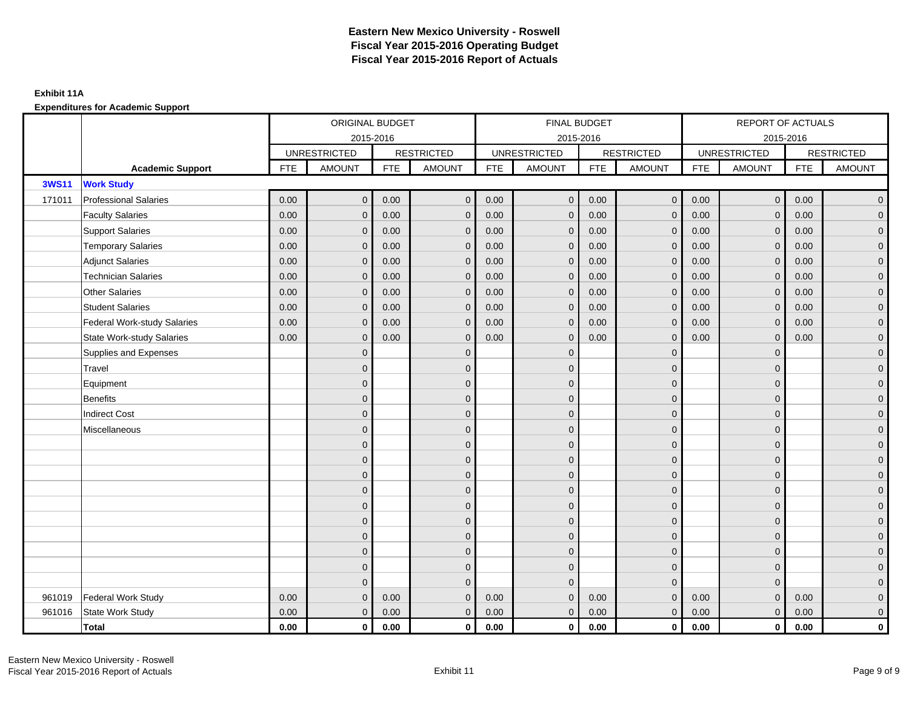|              |                              |            | ORIGINAL BUDGET     |            |                   |            | FINAL BUDGET        |            |                   |            | <b>REPORT OF ACTUALS</b> |            |                     |
|--------------|------------------------------|------------|---------------------|------------|-------------------|------------|---------------------|------------|-------------------|------------|--------------------------|------------|---------------------|
|              |                              |            | 2015-2016           |            |                   |            | 2015-2016           |            |                   |            |                          | 2015-2016  |                     |
|              |                              |            | <b>UNRESTRICTED</b> |            | <b>RESTRICTED</b> |            | <b>UNRESTRICTED</b> |            | <b>RESTRICTED</b> |            | <b>UNRESTRICTED</b>      |            | <b>RESTRICTED</b>   |
|              | <b>Academic Support</b>      | <b>FTE</b> | <b>AMOUNT</b>       | <b>FTE</b> | <b>AMOUNT</b>     | <b>FTE</b> | <b>AMOUNT</b>       | <b>FTE</b> | <b>AMOUNT</b>     | <b>FTE</b> | <b>AMOUNT</b>            | <b>FTE</b> | <b>AMOUNT</b>       |
| <b>3WS11</b> | <b>Work Study</b>            |            |                     |            |                   |            |                     |            |                   |            |                          |            |                     |
| 171011       | <b>Professional Salaries</b> | 0.00       | $\mathbf{0}$        | 0.00       | $\overline{0}$    | 0.00       | $\mathbf{0}$        | 0.00       | $\overline{0}$    | 0.00       | $\mathbf 0$              | 0.00       | $\overline{0}$      |
|              | <b>Faculty Salaries</b>      | 0.00       | $\Omega$            | 0.00       | $\Omega$          | 0.00       | $\mathbf{0}$        | 0.00       | $\mathbf{0}$      | 0.00       | $\mathbf{0}$             | 0.00       | $\overline{0}$      |
|              | <b>Support Salaries</b>      | 0.00       | $\mathbf{0}$        | 0.00       | $\overline{0}$    | 0.00       | $\mathbf{0}$        | 0.00       | $\mathbf 0$       | 0.00       | $\mathbf 0$              | 0.00       | $\overline{0}$      |
|              | <b>Temporary Salaries</b>    | 0.00       | $\Omega$            | 0.00       | $\mathbf{0}$      | 0.00       | $\mathbf 0$         | 0.00       | $\mathbf 0$       | 0.00       | $\mathbf{0}$             | 0.00       | $\overline{0}$      |
|              | <b>Adjunct Salaries</b>      | 0.00       | $\mathbf{0}$        | 0.00       | $\mathbf{0}$      | 0.00       | $\mathbf 0$         | 0.00       | $\mathbf 0$       | 0.00       | $\mathbf{0}$             | 0.00       | $\mathbf 0$         |
|              | <b>Technician Salaries</b>   | 0.00       | $\Omega$            | 0.00       | $\mathbf{0}$      | 0.00       | $\mathbf{0}$        | 0.00       | $\mathbf{0}$      | 0.00       | $\Omega$                 | 0.00       | $\mathbf 0$         |
|              | Other Salaries               | 0.00       | $\Omega$            | 0.00       | $\Omega$          | 0.00       | $\Omega$            | 0.00       | $\mathbf{0}$      | 0.00       | $\Omega$                 | 0.00       | $\overline{0}$      |
|              | <b>Student Salaries</b>      | 0.00       | $\mathbf{0}$        | 0.00       | $\mathbf{0}$      | 0.00       | $\mathbf{0}$        | 0.00       | $\mathbf 0$       | 0.00       | $\mathbf 0$              | 0.00       | $\overline{0}$      |
|              | Federal Work-study Salaries  | 0.00       | $\Omega$            | 0.00       | $\mathbf{0}$      | 0.00       | $\mathbf 0$         | 0.00       | $\mathbf{0}$      | 0.00       | $\mathbf{0}$             | 0.00       | $\overline{0}$      |
|              | State Work-study Salaries    | 0.00       | $\mathbf{0}$        | 0.00       | $\mathbf{0}$      | 0.00       | $\mathbf 0$         | 0.00       | $\mathbf 0$       | 0.00       | $\mathbf 0$              | 0.00       | $\overline{0}$      |
|              | Supplies and Expenses        |            | $\Omega$            |            | $\mathbf{0}$      |            | $\Omega$            |            | $\mathbf{0}$      |            | $\mathbf{0}$             |            | $\overline{0}$      |
|              | Travel                       |            | $\Omega$            |            | $\mathbf{0}$      |            | $\Omega$            |            | $\mathbf{0}$      |            | $\Omega$                 |            | $\overline{0}$      |
|              | Equipment                    |            | $\Omega$            |            | $\mathbf{0}$      |            | $\Omega$            |            | $\mathbf 0$       |            | $\mathbf{0}$             |            | $\overline{0}$      |
|              | <b>Benefits</b>              |            | $\Omega$            |            | $\mathbf{0}$      |            | $\Omega$            |            | $\mathbf 0$       |            | $\mathbf{0}$             |            | $\overline{0}$      |
|              | <b>Indirect Cost</b>         |            | <sup>0</sup>        |            | $\mathbf{0}$      |            | $\Omega$            |            | $\mathbf 0$       |            | $\mathbf{0}$             |            | $\overline{0}$      |
|              | Miscellaneous                |            | $\Omega$            |            | $\mathbf{0}$      |            | $\Omega$            |            | $\mathbf{0}$      |            | $\Omega$                 |            | $\mathbf 0$         |
|              |                              |            | $\Omega$            |            | $\mathbf{0}$      |            | $\Omega$            |            | $\mathbf{0}$      |            | $\Omega$                 |            | $\overline{0}$      |
|              |                              |            | $\Omega$            |            | $\mathbf 0$       |            | $\Omega$            |            | $\mathbf 0$       |            | $\mathbf{0}$             |            | $\overline{0}$      |
|              |                              |            | $\Omega$            |            | $\mathbf{0}$      |            | $\Omega$            |            | $\mathbf 0$       |            | $\Omega$                 |            | $\overline{0}$      |
|              |                              |            |                     |            | $\mathbf{0}$      |            | $\Omega$            |            | $\mathbf 0$       |            | $\mathbf{0}$             |            | $\overline{0}$      |
|              |                              |            | $\Omega$            |            | $\mathbf{0}$      |            | $\Omega$            |            | $\mathbf{0}$      |            | $\Omega$                 |            | $\mathbf 0$         |
|              |                              |            | $\Omega$            |            | $\mathbf{0}$      |            | $\Omega$            |            | $\mathbf 0$       |            | $\mathbf{0}$             |            | $\overline{0}$      |
|              |                              |            | $\Omega$            |            | $\mathbf{0}$      |            | $\Omega$            |            | $\mathbf 0$       |            | $\mathbf{0}$             |            | $\overline{0}$      |
|              |                              |            | $\Omega$            |            | $\mathbf{0}$      |            | $\Omega$            |            | $\mathbf 0$       |            | $\Omega$                 |            | $\overline{0}$      |
|              |                              |            | O                   |            | $\mathbf{0}$      |            | $\mathbf 0$         |            | $\mathbf 0$       |            | $\mathbf{0}$             |            | $\overline{0}$      |
|              |                              |            | $\Omega$            |            | $\overline{0}$    |            | $\Omega$            |            | $\mathbf{0}$      |            | $\Omega$                 |            | $\mathbf 0$         |
| 961019       | <b>Federal Work Study</b>    | 0.00       | $\Omega$            | 0.00       | $\mathbf{0}$      | 0.00       | $\mathbf 0$         | 0.00       | $\mathbf 0$       | 0.00       | $\Omega$                 | 0.00       | $\mathsf{O}\xspace$ |
| 961016       | State Work Study             | 0.00       | $\mathbf{0}$        | 0.00       | $\overline{0}$    | 0.00       | $\mathbf{0}$        | 0.00       | $\mathbf{0}$      | 0.00       | $\mathbf{0}$             | 0.00       | $\mathbf 0$         |
|              | Total                        | 0.00       | $\mathbf 0$         | 0.00       | $\mathbf 0$       | 0.00       | $\mathbf{0}$        | 0.00       | $\mathbf{0}$      | 0.00       | 0                        | 0.00       | $\mathbf 0$         |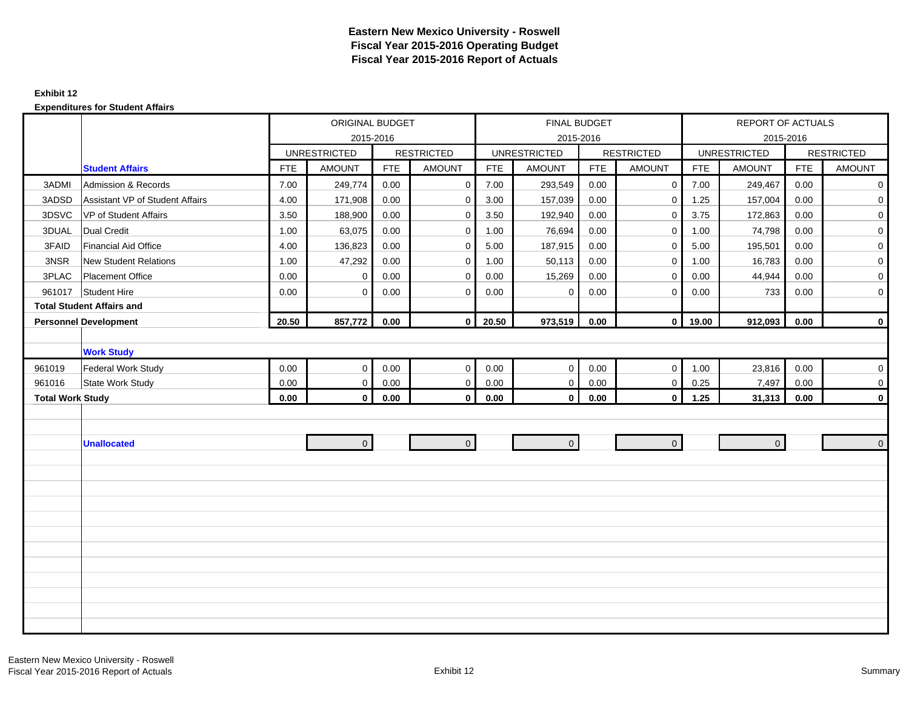### **Exhibit 12**

|                         |                                  |            | ORIGINAL BUDGET     |            |                   |            | FINAL BUDGET        |            |                   |            | <b>REPORT OF ACTUALS</b> |            |                   |
|-------------------------|----------------------------------|------------|---------------------|------------|-------------------|------------|---------------------|------------|-------------------|------------|--------------------------|------------|-------------------|
|                         |                                  |            |                     | 2015-2016  |                   |            | 2015-2016           |            |                   |            |                          | 2015-2016  |                   |
|                         |                                  |            | <b>UNRESTRICTED</b> |            | <b>RESTRICTED</b> |            | <b>UNRESTRICTED</b> |            | <b>RESTRICTED</b> |            | <b>UNRESTRICTED</b>      |            | <b>RESTRICTED</b> |
|                         | <b>Student Affairs</b>           | <b>FTE</b> | <b>AMOUNT</b>       | <b>FTE</b> | <b>AMOUNT</b>     | <b>FTE</b> | <b>AMOUNT</b>       | <b>FTE</b> | <b>AMOUNT</b>     | <b>FTE</b> | <b>AMOUNT</b>            | <b>FTE</b> | <b>AMOUNT</b>     |
| 3ADMI                   | <b>Admission &amp; Records</b>   | 7.00       | 249,774             | 0.00       | $\mathbf 0$       | 7.00       | 293,549             | 0.00       | $\mathbf 0$       | 7.00       | 249,467                  | 0.00       | $\mathbf 0$       |
| 3ADSD                   | Assistant VP of Student Affairs  | 4.00       | 171,908             | 0.00       | $\mathbf 0$       | 3.00       | 157,039             | 0.00       | $\Omega$          | 1.25       | 157,004                  | 0.00       | $\overline{0}$    |
| 3DSVC                   | VP of Student Affairs            | 3.50       | 188,900             | 0.00       | $\mathbf 0$       | 3.50       | 192,940             | 0.00       | $\mathbf 0$       | 3.75       | 172,863                  | 0.00       | $\mathbf 0$       |
| 3DUAL                   | <b>Dual Credit</b>               | 1.00       | 63,075              | 0.00       | $\mathbf 0$       | 1.00       | 76,694              | 0.00       | $\mathbf{0}$      | 1.00       | 74,798                   | 0.00       | $\overline{0}$    |
| 3FAID                   | <b>Financial Aid Office</b>      | 4.00       | 136,823             | 0.00       | $\mathbf 0$       | 5.00       | 187,915             | 0.00       | $\mathbf 0$       | 5.00       | 195,501                  | 0.00       | $\mathbf 0$       |
| 3NSR                    | <b>New Student Relations</b>     | 1.00       | 47,292              | 0.00       | $\mathbf 0$       | 1.00       | 50,113              | 0.00       | $\Omega$          | 1.00       | 16,783                   | 0.00       | $\mathbf 0$       |
| 3PLAC                   | <b>Placement Office</b>          | 0.00       | 0                   | 0.00       | $\mathbf 0$       | 0.00       | 15,269              | 0.00       | $\mathbf 0$       | 0.00       | 44,944                   | 0.00       | $\mathbf 0$       |
|                         | 961017 Student Hire              | 0.00       | $\mathbf 0$         | 0.00       | $\mathbf 0$       | 0.00       | $\mathbf 0$         | 0.00       | $\Omega$          | 0.00       | 733                      | 0.00       | $\overline{0}$    |
|                         | <b>Total Student Affairs and</b> |            |                     |            |                   |            |                     |            |                   |            |                          |            |                   |
|                         | <b>Personnel Development</b>     | 20.50      | 857,772             | 0.00       | $\mathbf 0$       | 20.50      | 973,519             | 0.00       | $\circ$           | 19.00      | 912,093                  | 0.00       | $\mathbf 0$       |
|                         |                                  |            |                     |            |                   |            |                     |            |                   |            |                          |            |                   |
|                         | <b>Work Study</b>                |            |                     |            |                   |            |                     |            |                   |            |                          |            |                   |
| 961019                  | <b>Federal Work Study</b>        | 0.00       | $\mathbf 0$         | 0.00       | $\mathbf{0}$      | 0.00       | $\mathbf 0$         | 0.00       | $\mathbf 0$       | 1.00       | 23,816                   | 0.00       | $\overline{0}$    |
| 961016                  | State Work Study                 | 0.00       | $\mathbf 0$         | 0.00       | $\mathbf 0$       | 0.00       | $\mathbf 0$         | $0.00\,$   | $\mathbf 0$       | 0.25       | 7,497                    | 0.00       | 0                 |
| <b>Total Work Study</b> |                                  | 0.00       | $\mathbf{0}$        | 0.00       | $\bf{0}$          | 0.00       | $\mathbf{0}$        | 0.00       | $\mathbf{0}$      | 1.25       | 31,313                   | 0.00       | $\mathbf 0$       |
|                         |                                  |            |                     |            |                   |            |                     |            |                   |            |                          |            |                   |
|                         |                                  |            |                     |            |                   |            |                     |            |                   |            |                          |            |                   |
|                         | <b>Unallocated</b>               |            | $\overline{0}$      |            | $\overline{0}$    |            | $\overline{0}$      |            | $\overline{0}$    |            | $\overline{0}$           |            | $\mathbf{0}$      |
|                         |                                  |            |                     |            |                   |            |                     |            |                   |            |                          |            |                   |
|                         |                                  |            |                     |            |                   |            |                     |            |                   |            |                          |            |                   |
|                         |                                  |            |                     |            |                   |            |                     |            |                   |            |                          |            |                   |
|                         |                                  |            |                     |            |                   |            |                     |            |                   |            |                          |            |                   |
|                         |                                  |            |                     |            |                   |            |                     |            |                   |            |                          |            |                   |
|                         |                                  |            |                     |            |                   |            |                     |            |                   |            |                          |            |                   |
|                         |                                  |            |                     |            |                   |            |                     |            |                   |            |                          |            |                   |
|                         |                                  |            |                     |            |                   |            |                     |            |                   |            |                          |            |                   |
|                         |                                  |            |                     |            |                   |            |                     |            |                   |            |                          |            |                   |
|                         |                                  |            |                     |            |                   |            |                     |            |                   |            |                          |            |                   |
|                         |                                  |            |                     |            |                   |            |                     |            |                   |            |                          |            |                   |
|                         |                                  |            |                     |            |                   |            |                     |            |                   |            |                          |            |                   |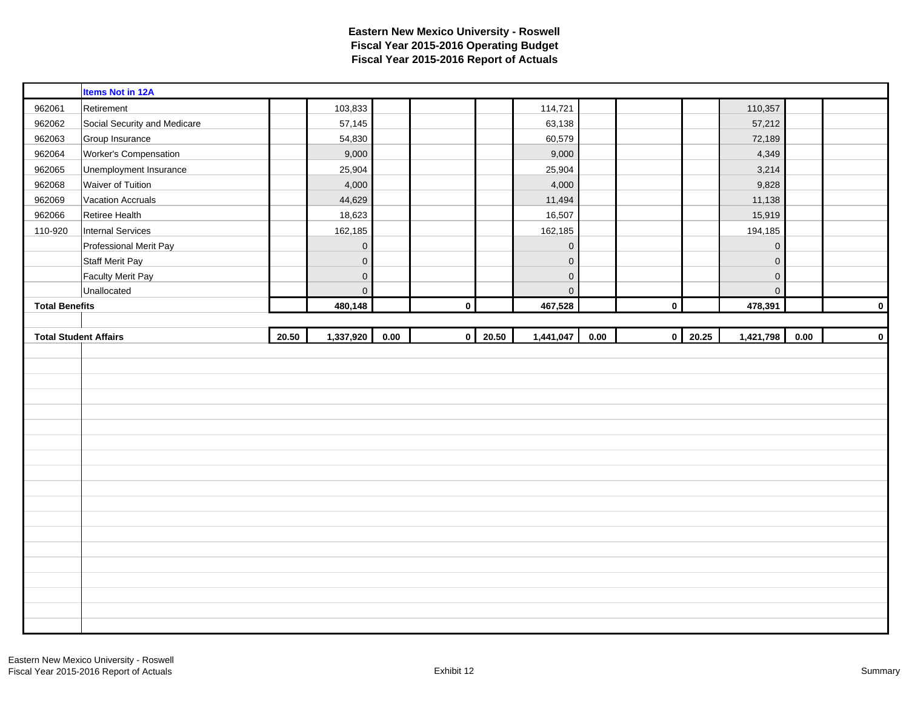|                       | <b>Items Not in 12A</b>      |       |                     |      |           |                |             |      |              |       |             |      |             |
|-----------------------|------------------------------|-------|---------------------|------|-----------|----------------|-------------|------|--------------|-------|-------------|------|-------------|
| 962061                | Retirement                   |       | 103,833             |      |           |                | 114,721     |      |              |       | 110,357     |      |             |
| 962062                | Social Security and Medicare |       | 57,145              |      |           |                | 63,138      |      |              |       | 57,212      |      |             |
| 962063                | Group Insurance              |       | 54,830              |      |           |                | 60,579      |      |              |       | 72,189      |      |             |
| 962064                | Worker's Compensation        |       | 9,000               |      |           |                | 9,000       |      |              |       | 4,349       |      |             |
| 962065                | Unemployment Insurance       |       | 25,904              |      |           |                | 25,904      |      |              |       | 3,214       |      |             |
| 962068                | Waiver of Tuition            |       | 4,000               |      |           |                | 4,000       |      |              |       | 9,828       |      |             |
| 962069                | <b>Vacation Accruals</b>     |       | 44,629              |      |           |                | 11,494      |      |              |       | 11,138      |      |             |
| 962066                | Retiree Health               |       | 18,623              |      |           |                | 16,507      |      |              |       | 15,919      |      |             |
| 110-920               | Internal Services            |       | 162,185             |      |           |                | 162,185     |      |              |       | 194,185     |      |             |
|                       | Professional Merit Pay       |       | $\mathbf 0$         |      |           |                | $\mathbf 0$ |      |              |       | $\mathbf 0$ |      |             |
|                       | <b>Staff Merit Pay</b>       |       | $\mathbf 0$         |      |           |                | $\mathbf 0$ |      |              |       | $\mathbf 0$ |      |             |
|                       | <b>Faculty Merit Pay</b>     |       | $\mathbf 0$         |      |           |                | $\mathsf 0$ |      |              |       | $\mathbf 0$ |      |             |
|                       | Unallocated                  |       | $\mathsf{O}\xspace$ |      |           |                | $\mathbf 0$ |      |              |       | $\mathbf 0$ |      |             |
| <b>Total Benefits</b> |                              |       | 480,148             |      | $\pmb{0}$ |                | 467,528     |      | $\pmb{0}$    |       | 478,391     |      | $\mathbf 0$ |
|                       |                              |       |                     |      |           |                |             |      |              |       |             |      |             |
|                       |                              |       |                     |      |           |                |             |      |              |       |             |      |             |
|                       | <b>Total Student Affairs</b> | 20.50 | 1,337,920           | 0.00 |           | $0 \mid 20.50$ | 1,441,047   | 0.00 | $\mathbf{0}$ | 20.25 | 1,421,798   | 0.00 | $\pmb{0}$   |
|                       |                              |       |                     |      |           |                |             |      |              |       |             |      |             |
|                       |                              |       |                     |      |           |                |             |      |              |       |             |      |             |
|                       |                              |       |                     |      |           |                |             |      |              |       |             |      |             |
|                       |                              |       |                     |      |           |                |             |      |              |       |             |      |             |
|                       |                              |       |                     |      |           |                |             |      |              |       |             |      |             |
|                       |                              |       |                     |      |           |                |             |      |              |       |             |      |             |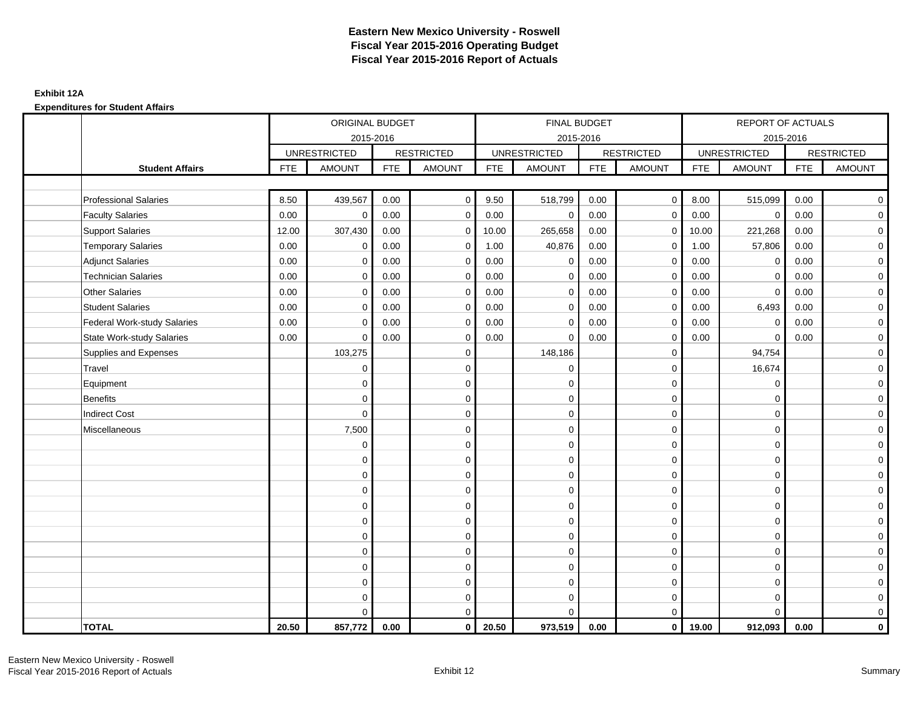## **Exhibit 12A**

|                                    |            | ORIGINAL BUDGET     |            |                   |            | FINAL BUDGET        |            |                   |            | REPORT OF ACTUALS   |            |                   |
|------------------------------------|------------|---------------------|------------|-------------------|------------|---------------------|------------|-------------------|------------|---------------------|------------|-------------------|
|                                    |            | 2015-2016           |            |                   |            | 2015-2016           |            |                   |            | 2015-2016           |            |                   |
|                                    |            | <b>UNRESTRICTED</b> |            | <b>RESTRICTED</b> |            | <b>UNRESTRICTED</b> |            | <b>RESTRICTED</b> |            | <b>UNRESTRICTED</b> |            | <b>RESTRICTED</b> |
| <b>Student Affairs</b>             | <b>FTE</b> | <b>AMOUNT</b>       | <b>FTE</b> | <b>AMOUNT</b>     | <b>FTE</b> | <b>AMOUNT</b>       | <b>FTE</b> | <b>AMOUNT</b>     | <b>FTE</b> | <b>AMOUNT</b>       | <b>FTE</b> | <b>AMOUNT</b>     |
|                                    |            |                     |            |                   |            |                     |            |                   |            |                     |            |                   |
| <b>Professional Salaries</b>       | 8.50       | 439,567             | 0.00       | $\Omega$          | 9.50       | 518,799             | 0.00       | $\mathbf{0}$      | 8.00       | 515,099             | 0.00       | $\overline{0}$    |
| <b>Faculty Salaries</b>            | 0.00       | $\mathbf 0$         | 0.00       | 0                 | 0.00       | $\mathbf 0$         | 0.00       | $\mathbf 0$       | 0.00       | $\mathbf 0$         | 0.00       | $\overline{0}$    |
| <b>Support Salaries</b>            | 12.00      | 307,430             | 0.00       | $\mathbf 0$       | 10.00      | 265,658             | 0.00       | $\mathbf 0$       | 10.00      | 221,268             | 0.00       | $\overline{0}$    |
| <b>Temporary Salaries</b>          | 0.00       | $\mathbf 0$         | 0.00       | $\mathbf 0$       | 1.00       | 40,876              | 0.00       | $\mathbf 0$       | 1.00       | 57,806              | 0.00       | $\mathbf 0$       |
| <b>Adjunct Salaries</b>            | 0.00       | $\mathbf 0$         | 0.00       | $\mathbf 0$       | 0.00       | $\mathbf 0$         | 0.00       | $\mathbf 0$       | 0.00       | 0                   | 0.00       | $\overline{0}$    |
| <b>Technician Salaries</b>         | 0.00       | $\Omega$            | 0.00       | $\mathbf 0$       | 0.00       | $\mathbf 0$         | 0.00       | $\mathbf 0$       | 0.00       | $\mathbf 0$         | 0.00       | $\mathbf 0$       |
| <b>Other Salaries</b>              | 0.00       | $\mathbf 0$         | 0.00       | $\mathbf 0$       | 0.00       | $\Omega$            | 0.00       | $\mathbf 0$       | 0.00       | $\Omega$            | 0.00       | $\overline{0}$    |
| <b>Student Salaries</b>            | 0.00       | $\mathbf 0$         | 0.00       | 0                 | 0.00       | $\mathbf 0$         | 0.00       | $\mathbf 0$       | 0.00       | 6,493               | 0.00       | $\overline{0}$    |
| <b>Federal Work-study Salaries</b> | 0.00       | $\Omega$            | 0.00       | $\mathbf 0$       | 0.00       | $\Omega$            | 0.00       | $\mathbf 0$       | 0.00       | $\mathbf 0$         | 0.00       | $\mathbf 0$       |
| <b>State Work-study Salaries</b>   | 0.00       | $\mathbf 0$         | 0.00       | $\Omega$          | 0.00       | $\Omega$            | 0.00       | $\mathbf 0$       | 0.00       | $\Omega$            | 0.00       | $\mathbf 0$       |
| Supplies and Expenses              |            | 103,275             |            | $\mathbf 0$       |            | 148,186             |            | $\mathbf 0$       |            | 94,754              |            | $\mathbf 0$       |
| Travel                             |            | $\mathbf 0$         |            | 0                 |            | $\mathbf 0$         |            | $\mathbf 0$       |            | 16,674              |            | $\mathbf 0$       |
| Equipment                          |            | $\mathbf 0$         |            | $\mathbf 0$       |            | $\mathbf 0$         |            | $\mathbf 0$       |            | $\mathbf 0$         |            | $\overline{0}$    |
| <b>Benefits</b>                    |            | $\Omega$            |            | $\mathbf 0$       |            | $\Omega$            |            | $\mathbf 0$       |            | $\mathbf 0$         |            | $\mathbf 0$       |
| <b>Indirect Cost</b>               |            | $\mathbf 0$         |            | 0                 |            | $\Omega$            |            | $\mathbf 0$       |            | $\Omega$            |            | $\overline{0}$    |
| Miscellaneous                      |            | 7,500               |            | $\mathbf 0$       |            | $\mathbf 0$         |            | $\mathbf 0$       |            | $\Omega$            |            | $\mathbf 0$       |
|                                    |            | $\mathbf 0$         |            | $\mathbf 0$       |            | $\mathbf 0$         |            | $\mathbf 0$       |            | $\Omega$            |            | $\mathbf 0$       |
|                                    |            | $\Omega$            |            | $\mathbf 0$       |            | $\Omega$            |            | $\mathbf 0$       |            | $\Omega$            |            | $\mathbf 0$       |
|                                    |            | $\Omega$            |            | $\Omega$          |            | $\Omega$            |            | $\mathbf 0$       |            | $\Omega$            |            | $\mathbf 0$       |
|                                    |            | $\Omega$            |            | $\mathbf 0$       |            | $\Omega$            |            | $\mathbf 0$       |            | $\Omega$            |            | $\mathbf 0$       |
|                                    |            | $\Omega$            |            | $\mathbf 0$       |            | $\Omega$            |            | $\mathbf 0$       |            | $\Omega$            |            | $\mathbf 0$       |
|                                    |            | $\Omega$            |            | $\mathbf 0$       |            | $\Omega$            |            | $\mathbf 0$       |            | $\Omega$            |            | $\mathbf 0$       |
|                                    |            | $\mathbf 0$         |            | $\mathbf 0$       |            | $\mathbf 0$         |            | $\mathbf 0$       |            | $\mathbf 0$         |            | $\mathbf 0$       |
|                                    |            | $\Omega$            |            | $\mathbf 0$       |            | $\Omega$            |            | $\mathbf 0$       |            | $\mathbf 0$         |            | $\mathbf 0$       |
|                                    |            | $\Omega$            |            | $\mathbf 0$       |            | $\Omega$            |            | $\mathbf 0$       |            | $\Omega$            |            | $\mathbf 0$       |
|                                    |            | $\Omega$            |            | $\mathbf 0$       |            | $\Omega$            |            | $\mathbf 0$       |            | $\Omega$            |            | $\overline{O}$    |
|                                    |            | $\mathbf 0$         |            | 0                 |            | 0                   |            | $\mathbf 0$       |            | $\mathbf 0$         |            | $\mathbf 0$       |
|                                    |            | $\Omega$            |            | $\mathbf 0$       |            | $\Omega$            |            | $\mathbf 0$       |            | $\Omega$            |            | $\overline{0}$    |
| <b>TOTAL</b>                       | 20.50      | 857,772             | 0.00       | $\mathbf{0}$      | 20.50      | 973,519             | 0.00       | $\mathbf{0}$      | 19.00      | 912,093             | 0.00       | $\mathbf{0}$      |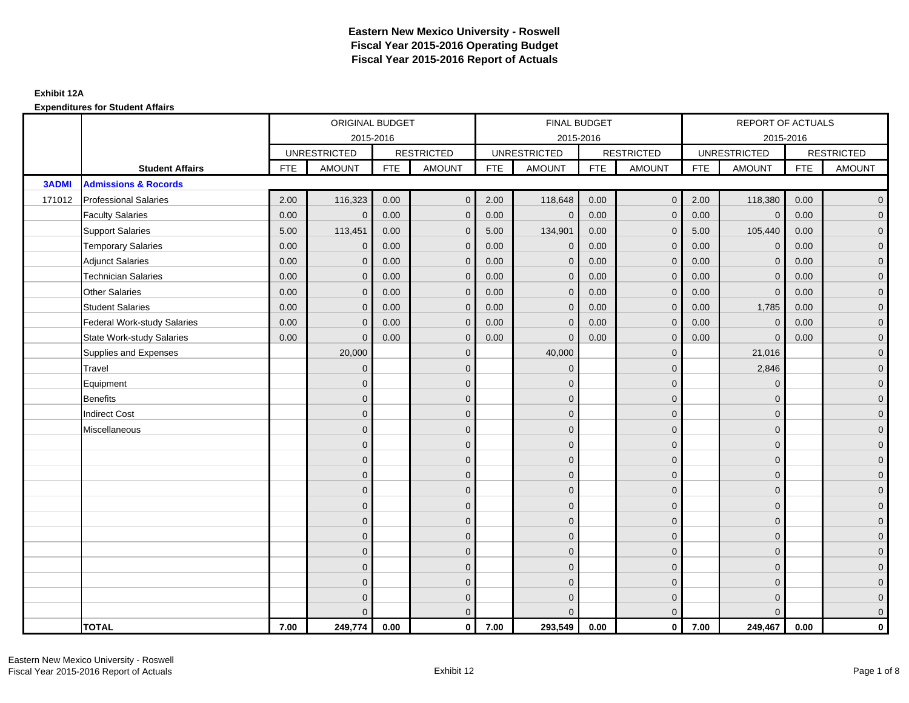|              |                                    |            | ORIGINAL BUDGET     |            |                   |            | FINAL BUDGET        |            |                   |      | REPORT OF ACTUALS   |            |                   |
|--------------|------------------------------------|------------|---------------------|------------|-------------------|------------|---------------------|------------|-------------------|------|---------------------|------------|-------------------|
|              |                                    |            | 2015-2016           |            |                   |            | 2015-2016           |            |                   |      | 2015-2016           |            |                   |
|              |                                    |            | <b>UNRESTRICTED</b> |            | <b>RESTRICTED</b> |            | <b>UNRESTRICTED</b> |            | <b>RESTRICTED</b> |      | <b>UNRESTRICTED</b> |            | <b>RESTRICTED</b> |
|              | <b>Student Affairs</b>             | <b>FTE</b> | <b>AMOUNT</b>       | <b>FTE</b> | <b>AMOUNT</b>     | <b>FTE</b> | <b>AMOUNT</b>       | <b>FTE</b> | <b>AMOUNT</b>     | FTE  | <b>AMOUNT</b>       | <b>FTE</b> | <b>AMOUNT</b>     |
| <b>3ADMI</b> | <b>Admissions &amp; Rocords</b>    |            |                     |            |                   |            |                     |            |                   |      |                     |            |                   |
| 171012       | <b>Professional Salaries</b>       | 2.00       | 116,323             | 0.00       | $\Omega$          | 2.00       | 118,648             | 0.00       | $\overline{0}$    | 2.00 | 118,380             | 0.00       | $\overline{0}$    |
|              | <b>Faculty Salaries</b>            | 0.00       | $\mathbf 0$         | 0.00       | $\mathbf{0}$      | 0.00       | $\mathbf 0$         | 0.00       | $\mathbf{0}$      | 0.00 | $\mathbf 0$         | 0.00       | $\overline{0}$    |
|              | <b>Support Salaries</b>            | 5.00       | 113,451             | 0.00       | $\mathbf{0}$      | 5.00       | 134,901             | 0.00       | $\mathbf 0$       | 5.00 | 105,440             | 0.00       | $\overline{0}$    |
|              | <b>Temporary Salaries</b>          | 0.00       | $\mathbf{0}$        | 0.00       | $\Omega$          | 0.00       | $\mathbf{0}$        | 0.00       | $\mathbf{0}$      | 0.00 | $\mathbf{0}$        | 0.00       | $\overline{0}$    |
|              | <b>Adjunct Salaries</b>            | 0.00       | $\Omega$            | 0.00       | $\Omega$          | 0.00       | $\Omega$            | 0.00       | $\mathbf{0}$      | 0.00 | $\Omega$            | 0.00       | $\overline{0}$    |
|              | <b>Technician Salaries</b>         | 0.00       | $\mathbf{0}$        | 0.00       | $\Omega$          | 0.00       | $\mathbf{0}$        | 0.00       | $\mathbf{0}$      | 0.00 | $\mathbf 0$         | 0.00       | $\overline{0}$    |
|              | <b>Other Salaries</b>              | 0.00       | $\mathbf{0}$        | 0.00       | $\mathbf{0}$      | 0.00       | $\mathbf{0}$        | 0.00       | $\mathbf{0}$      | 0.00 | $\mathbf{0}$        | 0.00       | $\overline{0}$    |
|              | <b>Student Salaries</b>            | 0.00       | $\mathbf{0}$        | 0.00       | $\mathbf{0}$      | 0.00       | $\mathbf{0}$        | 0.00       | $\mathbf 0$       | 0.00 | 1,785               | 0.00       | $\overline{0}$    |
|              | <b>Federal Work-study Salaries</b> | 0.00       | $\mathbf{0}$        | 0.00       | $\mathbf{0}$      | 0.00       | $\mathbf{0}$        | 0.00       | $\mathbf 0$       | 0.00 | $\mathbf 0$         | 0.00       | $\overline{0}$    |
|              | <b>State Work-study Salaries</b>   | 0.00       | $\mathbf{0}$        | 0.00       | $\mathbf{0}$      | 0.00       | $\mathbf{0}$        | 0.00       | $\mathbf{0}$      | 0.00 | $\mathbf 0$         | 0.00       | $\overline{0}$    |
|              | Supplies and Expenses              |            | 20,000              |            | $\Omega$          |            | 40,000              |            | $\mathbf{0}$      |      | 21,016              |            | $\overline{0}$    |
|              | Travel                             |            | $\mathbf{0}$        |            | $\mathbf{0}$      |            | $\Omega$            |            | $\mathbf{0}$      |      | 2,846               |            | $\overline{0}$    |
|              | Equipment                          |            | $\mathbf{0}$        |            | $\mathbf{0}$      |            | $\Omega$            |            | $\mathbf 0$       |      | $\mathbf 0$         |            | $\overline{0}$    |
|              | <b>Benefits</b>                    |            | $\Omega$            |            | $\mathbf{0}$      |            | $\Omega$            |            | $\mathbf 0$       |      | $\mathbf 0$         |            | $\overline{0}$    |
|              | <b>Indirect Cost</b>               |            | $\Omega$            |            | $\mathbf{0}$      |            | $\Omega$            |            | $\mathbf{0}$      |      | $\Omega$            |            | $\mathbf 0$       |
|              | Miscellaneous                      |            | $\mathbf{0}$        |            | $\mathbf 0$       |            | $\mathbf{0}$        |            | $\mathbf 0$       |      | $\mathbf 0$         |            | $\mathbf{0}$      |
|              |                                    |            | $\mathbf{0}$        |            | $\mathbf{0}$      |            | $\Omega$            |            | $\mathbf{0}$      |      | $\Omega$            |            | $\overline{0}$    |
|              |                                    |            | $\mathbf{0}$        |            | $\mathbf{0}$      |            | $\Omega$            |            | $\mathbf 0$       |      | $\mathbf 0$         |            | $\overline{0}$    |
|              |                                    |            | $\mathbf{0}$        |            | $\mathbf 0$       |            | $\Omega$            |            | $\mathbf 0$       |      | $\mathbf 0$         |            | $\overline{0}$    |
|              |                                    |            | $\mathbf{0}$        |            | $\mathbf{0}$      |            | $\Omega$            |            | $\mathbf 0$       |      | $\mathbf 0$         |            | $\mathbf{0}$      |
|              |                                    |            | $\Omega$            |            | $\mathbf{0}$      |            | $\Omega$            |            | $\mathbf 0$       |      | $\Omega$            |            | $\mathbf{0}$      |
|              |                                    |            | $\Omega$            |            | $\mathbf{0}$      |            | $\Omega$            |            | $\mathbf{0}$      |      | $\Omega$            |            | $\overline{0}$    |
|              |                                    |            | $\overline{0}$      |            | $\mathbf{0}$      |            | $\mathbf{0}$        |            | $\mathbf 0$       |      | $\mathbf 0$         |            | $\overline{0}$    |
|              |                                    |            | $\Omega$            |            | $\mathbf{0}$      |            | $\Omega$            |            | $\mathbf{0}$      |      | $\Omega$            |            | $\mathbf 0$       |
|              |                                    |            | $\Omega$            |            | $\mathbf{0}$      |            | $\Omega$            |            | $\mathbf{0}$      |      | $\Omega$            |            | $\mathbf 0$       |
|              |                                    |            | $\Omega$            |            | $\mathbf 0$       |            | $\Omega$            |            | $\mathbf 0$       |      | $\mathbf 0$         |            | $\mathbf{0}$      |
|              |                                    |            | $\mathbf{0}$        |            | $\mathbf 0$       |            | $\Omega$            |            | $\mathbf 0$       |      | $\mathbf 0$         |            | $\mathbf{0}$      |
|              |                                    |            | $\Omega$            |            | $\Omega$          |            | U                   |            | $\mathbf{0}$      |      |                     |            | $\overline{0}$    |
|              | <b>TOTAL</b>                       | 7.00       | 249,774             | 0.00       | $\mathbf{0}$      | 7.00       | 293,549             | 0.00       | $\mathbf{0}$      | 7.00 | 249,467             | 0.00       | $\mathbf{0}$      |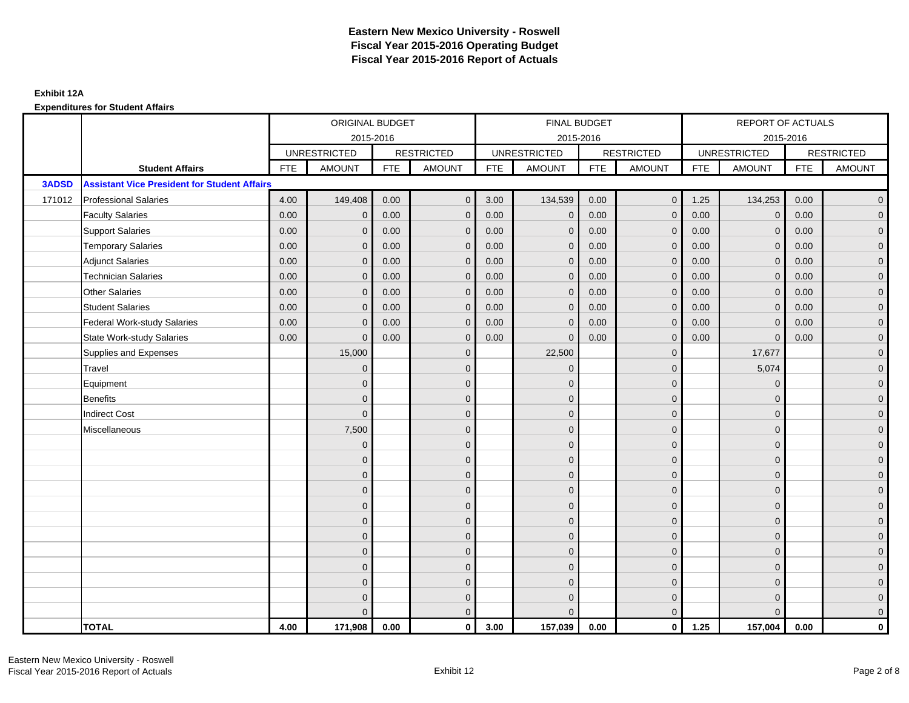|              |                                                     |            | ORIGINAL BUDGET     |            |                   |            | FINAL BUDGET        |            |                   |            | <b>REPORT OF ACTUALS</b> |            |                     |
|--------------|-----------------------------------------------------|------------|---------------------|------------|-------------------|------------|---------------------|------------|-------------------|------------|--------------------------|------------|---------------------|
|              |                                                     |            | 2015-2016           |            |                   |            | 2015-2016           |            |                   |            | 2015-2016                |            |                     |
|              |                                                     |            | <b>UNRESTRICTED</b> |            | <b>RESTRICTED</b> |            | <b>UNRESTRICTED</b> |            | <b>RESTRICTED</b> |            | <b>UNRESTRICTED</b>      |            | <b>RESTRICTED</b>   |
|              | <b>Student Affairs</b>                              | <b>FTE</b> | <b>AMOUNT</b>       | <b>FTE</b> | <b>AMOUNT</b>     | <b>FTE</b> | <b>AMOUNT</b>       | <b>FTE</b> | <b>AMOUNT</b>     | <b>FTE</b> | <b>AMOUNT</b>            | <b>FTE</b> | <b>AMOUNT</b>       |
| <b>3ADSD</b> | <b>Assistant Vice President for Student Affairs</b> |            |                     |            |                   |            |                     |            |                   |            |                          |            |                     |
| 171012       | <b>Professional Salaries</b>                        | 4.00       | 149,408             | 0.00       | $\mathbf{0}$      | 3.00       | 134,539             | 0.00       | $\overline{0}$    | 1.25       | 134,253                  | 0.00       | $\overline{0}$      |
|              | <b>Faculty Salaries</b>                             | 0.00       | $\mathbf 0$         | 0.00       | $\mathbf{0}$      | 0.00       | $\mathbf{0}$        | 0.00       | $\mathbf{0}$      | 0.00       | $\mathbf 0$              | 0.00       | $\overline{0}$      |
|              | <b>Support Salaries</b>                             | 0.00       | $\mathbf{0}$        | 0.00       | $\mathbf{0}$      | 0.00       | $\mathbf{0}$        | 0.00       | $\mathbf 0$       | 0.00       | $\mathbf 0$              | 0.00       | $\overline{0}$      |
|              | <b>Temporary Salaries</b>                           | 0.00       | $\Omega$            | 0.00       | $\Omega$          | 0.00       | $\mathbf{0}$        | 0.00       | $\mathbf{0}$      | 0.00       | $\mathbf{0}$             | 0.00       | $\overline{0}$      |
|              | <b>Adjunct Salaries</b>                             | 0.00       | $\mathbf{0}$        | 0.00       | $\mathbf{0}$      | 0.00       | $\mathbf{0}$        | 0.00       | $\mathbf{0}$      | 0.00       | $\mathbf 0$              | 0.00       | $\mathbf{0}$        |
|              | <b>Technician Salaries</b>                          | 0.00       | $\mathbf{0}$        | 0.00       | $\Omega$          | 0.00       | $\mathbf{0}$        | 0.00       | $\mathbf{0}$      | 0.00       | $\mathbf 0$              | 0.00       | $\mathbf{0}$        |
|              | <b>Other Salaries</b>                               | 0.00       | $\Omega$            | 0.00       | $\Omega$          | 0.00       | $\Omega$            | 0.00       | $\mathbf{0}$      | 0.00       | $\mathbf{0}$             | 0.00       | $\overline{0}$      |
|              | <b>Student Salaries</b>                             | 0.00       | $\mathbf{0}$        | 0.00       | $\mathbf{0}$      | 0.00       | $\mathbf{0}$        | 0.00       | $\mathbf 0$       | 0.00       | $\mathbf 0$              | 0.00       | $\overline{0}$      |
|              | <b>Federal Work-study Salaries</b>                  | 0.00       | $\mathbf{0}$        | 0.00       | $\Omega$          | 0.00       | $\mathbf{0}$        | 0.00       | $\mathbf 0$       | 0.00       | $\mathbf 0$              | 0.00       | $\overline{0}$      |
|              | <b>State Work-study Salaries</b>                    | 0.00       | $\mathbf{0}$        | 0.00       | $\mathbf{0}$      | 0.00       | $\Omega$            | 0.00       | $\mathbf{0}$      | 0.00       | $\Omega$                 | 0.00       | $\overline{0}$      |
|              | Supplies and Expenses                               |            | 15,000              |            | $\mathbf 0$       |            | 22,500              |            | $\mathbf 0$       |            | 17,677                   |            | $\mathsf{O}\xspace$ |
|              | Travel                                              |            | $\mathbf{0}$        |            | $\mathbf{0}$      |            | $\mathbf{0}$        |            | $\mathbf 0$       |            | 5,074                    |            | $\overline{0}$      |
|              | Equipment                                           |            | $\mathbf{0}$        |            | $\mathbf 0$       |            | $\Omega$            |            | $\mathbf 0$       |            | $\mathbf 0$              |            | $\overline{0}$      |
|              | <b>Benefits</b>                                     |            | $\mathbf{0}$        |            | $\mathbf{0}$      |            | $\mathbf{0}$        |            | $\mathbf 0$       |            | $\mathbf 0$              |            | $\overline{0}$      |
|              | <b>Indirect Cost</b>                                |            | $\mathbf{0}$        |            | $\mathbf{0}$      |            | $\Omega$            |            | $\mathbf{0}$      |            | $\Omega$                 |            | $\mathbf 0$         |
|              | Miscellaneous                                       |            | 7,500               |            | $\mathbf{0}$      |            | $\Omega$            |            | $\mathbf{0}$      |            | $\Omega$                 |            | $\mathsf{O}\xspace$ |
|              |                                                     |            | $\mathbf{0}$        |            | $\mathbf 0$       |            | $\mathbf{0}$        |            | $\mathbf 0$       |            | $\mathbf 0$              |            | $\mathsf{O}\xspace$ |
|              |                                                     |            | $\mathbf{0}$        |            | $\mathbf 0$       |            | $\mathbf{0}$        |            | $\mathbf 0$       |            | $\mathbf 0$              |            | $\overline{0}$      |
|              |                                                     |            | $\Omega$            |            | $\mathbf{0}$      |            | $\Omega$            |            | $\mathbf 0$       |            | $\Omega$                 |            | $\overline{0}$      |
|              |                                                     |            | $\mathbf{0}$        |            | $\mathbf{0}$      |            | $\Omega$            |            | $\mathbf 0$       |            | $\mathbf 0$              |            | $\mathbf{0}$        |
|              |                                                     |            | $\mathbf{0}$        |            | $\mathbf{0}$      |            | $\mathbf{0}$        |            | $\mathbf 0$       |            | $\Omega$                 |            | $\mathbf 0$         |
|              |                                                     |            | $\mathbf{0}$        |            | $\mathbf{0}$      |            | $\Omega$            |            | $\mathbf{0}$      |            | $\Omega$                 |            | $\overline{0}$      |
|              |                                                     |            | $\mathbf{0}$        |            | $\mathbf 0$       |            | $\mathbf{0}$        |            | $\mathbf 0$       |            | $\mathbf 0$              |            | $\overline{0}$      |
|              |                                                     |            | $\Omega$            |            | $\mathbf{0}$      |            | $\Omega$            |            | $\mathbf 0$       |            | $\mathbf 0$              |            | $\overline{0}$      |
|              |                                                     |            | $\Omega$            |            | $\mathbf{0}$      |            | $\Omega$            |            | $\mathbf{0}$      |            | $\mathbf 0$              |            | $\mathbf 0$         |
|              |                                                     |            | $\Omega$            |            | $\mathbf{0}$      |            | $\Omega$            |            | $\mathbf{0}$      |            | $\Omega$                 |            | $\mathsf{O}\xspace$ |
|              |                                                     |            | $\Omega$            |            | $\mathbf 0$       |            | $\Omega$            |            | $\mathbf 0$       |            | $\mathbf 0$              |            | $\mathbf{0}$        |
|              |                                                     |            | $\Omega$            |            | $\mathbf{0}$      |            | $\Omega$            |            | $\mathbf{0}$      |            | $\Omega$                 |            | $\overline{0}$      |
|              | <b>TOTAL</b>                                        | 4.00       | 171,908             | 0.00       | $\mathbf 0$       | 3.00       | 157,039             | 0.00       | $\mathbf{0}$      | 1.25       | 157,004                  | 0.00       | $\mathbf{0}$        |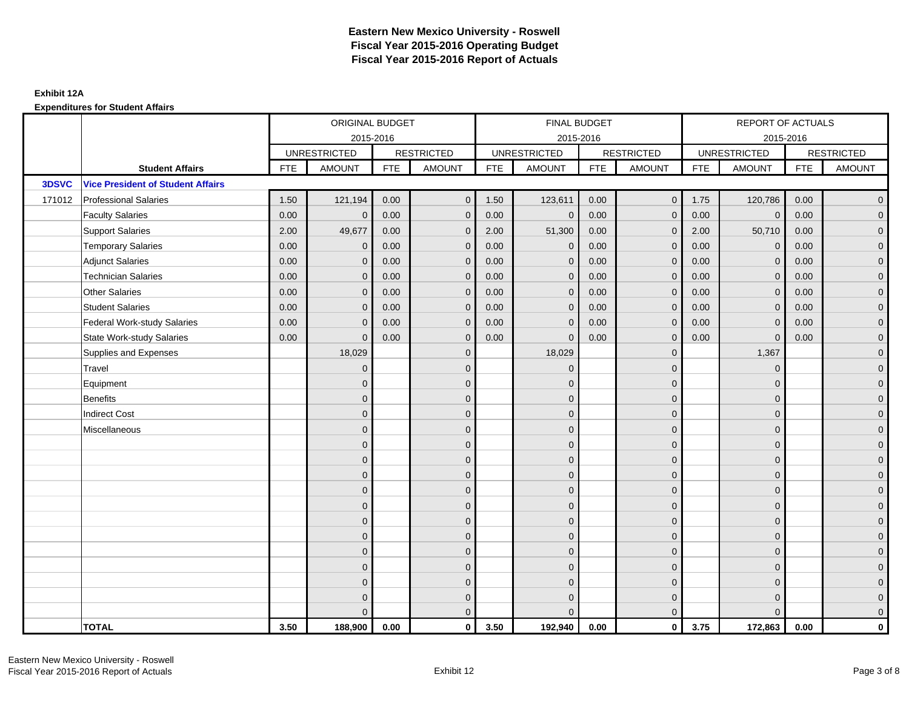|        |                                          |            | ORIGINAL BUDGET     |            |                   |            | FINAL BUDGET        |            |                     |            | REPORT OF ACTUALS   |            |                     |
|--------|------------------------------------------|------------|---------------------|------------|-------------------|------------|---------------------|------------|---------------------|------------|---------------------|------------|---------------------|
|        |                                          |            | 2015-2016           |            |                   |            | 2015-2016           |            |                     |            | 2015-2016           |            |                     |
|        |                                          |            | <b>UNRESTRICTED</b> |            | <b>RESTRICTED</b> |            | <b>UNRESTRICTED</b> |            | <b>RESTRICTED</b>   |            | <b>UNRESTRICTED</b> |            | <b>RESTRICTED</b>   |
|        | <b>Student Affairs</b>                   | <b>FTE</b> | <b>AMOUNT</b>       | <b>FTE</b> | <b>AMOUNT</b>     | <b>FTE</b> | <b>AMOUNT</b>       | <b>FTE</b> | AMOUNT              | <b>FTE</b> | <b>AMOUNT</b>       | <b>FTE</b> | <b>AMOUNT</b>       |
| 3DSVC  | <b>Vice President of Student Affairs</b> |            |                     |            |                   |            |                     |            |                     |            |                     |            |                     |
| 171012 | <b>Professional Salaries</b>             | 1.50       | 121,194             | 0.00       | $\mathbf{0}$      | 1.50       | 123,611             | 0.00       | $\overline{0}$      | 1.75       | 120,786             | 0.00       | $\overline{0}$      |
|        | <b>Faculty Salaries</b>                  | 0.00       | $\mathbf 0$         | 0.00       | $\mathbf{0}$      | 0.00       | $\mathbf{0}$        | 0.00       | $\mathbf{0}$        | 0.00       | $\mathbf 0$         | 0.00       | $\overline{0}$      |
|        | <b>Support Salaries</b>                  | 2.00       | 49,677              | 0.00       | $\mathbf{0}$      | 2.00       | 51,300              | 0.00       | $\mathbf{0}$        | 2.00       | 50,710              | 0.00       | $\overline{0}$      |
|        | <b>Temporary Salaries</b>                | 0.00       | $\mathbf{0}$        | 0.00       | $\mathbf 0$       | 0.00       | $\mathbf 0$         | 0.00       | $\mathbf 0$         | 0.00       | $\mathbf 0$         | 0.00       | $\overline{0}$      |
|        | <b>Adjunct Salaries</b>                  | 0.00       | $\mathbf{0}$        | 0.00       | $\Omega$          | 0.00       | $\mathbf{0}$        | 0.00       | $\mathbf{0}$        | 0.00       | $\mathbf{0}$        | 0.00       | $\overline{0}$      |
|        | <b>Technician Salaries</b>               | 0.00       | $\Omega$            | 0.00       | $\Omega$          | 0.00       | $\Omega$            | 0.00       | $\mathbf{0}$        | 0.00       | $\mathbf{0}$        | 0.00       | $\overline{0}$      |
|        | <b>Other Salaries</b>                    | 0.00       | $\mathbf{0}$        | 0.00       | $\mathbf{0}$      | 0.00       | $\mathbf{0}$        | 0.00       | $\mathbf 0$         | 0.00       | $\mathbf 0$         | 0.00       | $\mathbf{0}$        |
|        | <b>Student Salaries</b>                  | 0.00       | $\mathbf{0}$        | 0.00       | $\mathbf{0}$      | 0.00       | $\mathbf{0}$        | 0.00       | $\mathbf 0$         | 0.00       | $\mathbf 0$         | 0.00       | $\overline{0}$      |
|        | <b>Federal Work-study Salaries</b>       | 0.00       | $\Omega$            | 0.00       | $\Omega$          | 0.00       | $\Omega$            | 0.00       | $\mathbf{0}$        | 0.00       | $\mathbf{0}$        | 0.00       | $\overline{0}$      |
|        | <b>State Work-study Salaries</b>         | 0.00       | $\mathbf{0}$        | 0.00       | $\mathbf 0$       | 0.00       | $\mathbf{0}$        | 0.00       | $\mathbf{0}$        | 0.00       | $\mathbf 0$         | 0.00       | $\mathbf{0}$        |
|        | Supplies and Expenses                    |            | 18,029              |            | $\mathbf{0}$      |            | 18,029              |            | $\mathbf{0}$        |            | 1,367               |            | $\mathsf{O}\xspace$ |
|        | Travel                                   |            | $\overline{0}$      |            | $\mathbf{0}$      |            | $\mathbf{0}$        |            | $\mathbf{0}$        |            | $\mathbf 0$         |            | $\overline{0}$      |
|        | Equipment                                |            | $\mathbf{0}$        |            | $\mathbf 0$       |            | $\mathbf{0}$        |            | $\mathbf 0$         |            | $\mathbf{0}$        |            | $\overline{0}$      |
|        | <b>Benefits</b>                          |            | $\Omega$            |            | $\mathbf{0}$      |            | $\Omega$            |            | $\mathbf 0$         |            | $\mathbf{0}$        |            | $\overline{0}$      |
|        | <b>Indirect Cost</b>                     |            | $\overline{0}$      |            | $\mathbf{0}$      |            | $\mathbf{0}$        |            | $\mathbf 0$         |            | $\mathbf 0$         |            | $\mathbf{0}$        |
|        | Miscellaneous                            |            | $\overline{0}$      |            | $\mathbf{0}$      |            | $\mathbf{0}$        |            | $\mathbf 0$         |            | $\mathbf 0$         |            | $\mathsf{O}\xspace$ |
|        |                                          |            | $\overline{0}$      |            | $\mathbf{0}$      |            | $\Omega$            |            | $\mathbf{0}$        |            | $\Omega$            |            | $\overline{0}$      |
|        |                                          |            | $\overline{0}$      |            | $\mathbf 0$       |            | $\mathbf{0}$        |            | $\mathsf{O}\xspace$ |            | $\mathbf{0}$        |            | $\overline{0}$      |
|        |                                          |            | $\Omega$            |            | $\mathbf{0}$      |            | $\Omega$            |            | $\mathbf 0$         |            | $\mathbf{0}$        |            | $\overline{0}$      |
|        |                                          |            | $\Omega$            |            | $\Omega$          |            | $\Omega$            |            | $\mathbf{0}$        |            | $\Omega$            |            | $\overline{0}$      |
|        |                                          |            | $\mathbf{0}$        |            | $\mathbf{0}$      |            | $\mathbf{0}$        |            | $\mathbf 0$         |            | $\mathbf 0$         |            | $\mathsf{O}\xspace$ |
|        |                                          |            | $\overline{0}$      |            | $\mathbf{0}$      |            | $\Omega$            |            | $\mathbf 0$         |            | $\mathbf 0$         |            | $\overline{0}$      |
|        |                                          |            | $\Omega$            |            | $\mathbf{0}$      |            | $\Omega$            |            | $\mathbf 0$         |            | $\mathbf{0}$        |            | $\overline{0}$      |
|        |                                          |            | $\mathbf{0}$        |            | $\mathbf{0}$      |            | $\Omega$            |            | $\mathbf 0$         |            | $\mathbf{0}$        |            | $\overline{0}$      |
|        |                                          |            | $\mathbf{0}$        |            | $\mathbf{0}$      |            | $\Omega$            |            | $\mathbf{0}$        |            | $\mathbf 0$         |            | $\mathbf{0}$        |
|        |                                          |            | $\Omega$            |            | $\mathbf{0}$      |            | $\Omega$            |            | $\mathbf{0}$        |            | $\Omega$            |            | $\mathsf{O}\xspace$ |
|        |                                          |            | $\overline{0}$      |            | $\mathbf 0$       |            | $\mathbf{0}$        |            | $\mathbf 0$         |            | $\mathbf 0$         |            | $\mathbf{0}$        |
|        |                                          |            | $\Omega$            |            | $\mathbf{0}$      |            | $\Omega$            |            | $\mathbf{0}$        |            | $\Omega$            |            | $\overline{0}$      |
|        | <b>TOTAL</b>                             | 3.50       | 188,900             | 0.00       | $\mathbf 0$       | 3.50       | 192,940             | 0.00       | $\overline{0}$      | 3.75       | 172,863             | 0.00       | $\mathbf{0}$        |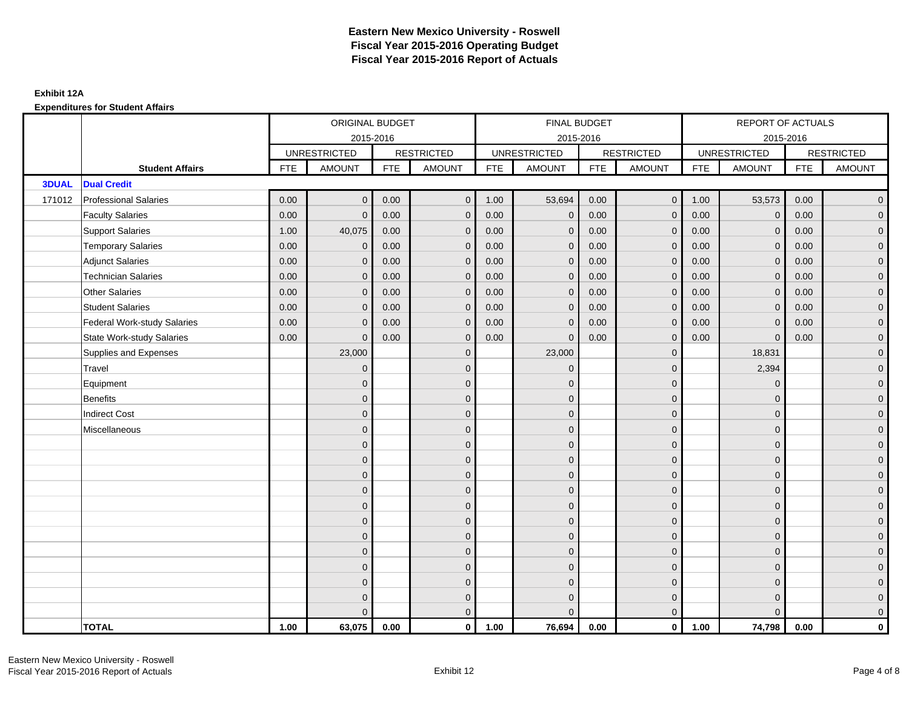|              |                                    |            | ORIGINAL BUDGET     |            |                   |            | FINAL BUDGET        |            |                   |            | REPORT OF ACTUALS   |            |                     |
|--------------|------------------------------------|------------|---------------------|------------|-------------------|------------|---------------------|------------|-------------------|------------|---------------------|------------|---------------------|
|              |                                    |            | 2015-2016           |            |                   |            | 2015-2016           |            |                   |            | 2015-2016           |            |                     |
|              |                                    |            | <b>UNRESTRICTED</b> |            | <b>RESTRICTED</b> |            | <b>UNRESTRICTED</b> |            | <b>RESTRICTED</b> |            | <b>UNRESTRICTED</b> |            | <b>RESTRICTED</b>   |
|              | <b>Student Affairs</b>             | <b>FTE</b> | <b>AMOUNT</b>       | <b>FTE</b> | <b>AMOUNT</b>     | <b>FTE</b> | <b>AMOUNT</b>       | <b>FTE</b> | <b>AMOUNT</b>     | <b>FTE</b> | <b>AMOUNT</b>       | <b>FTE</b> | <b>AMOUNT</b>       |
| <b>3DUAL</b> | <b>Dual Credit</b>                 |            |                     |            |                   |            |                     |            |                   |            |                     |            |                     |
| 171012       | <b>Professional Salaries</b>       | 0.00       | $\Omega$            | 0.00       | $\mathbf{0}$      | 1.00       | 53,694              | 0.00       | $\overline{0}$    | 1.00       | 53,573              | 0.00       | $\overline{0}$      |
|              | <b>Faculty Salaries</b>            | 0.00       | $\mathbf 0$         | 0.00       | $\mathbf{0}$      | 0.00       | $\mathbf{0}$        | 0.00       | $\mathbf{0}$      | 0.00       | $\mathbf 0$         | 0.00       | $\overline{0}$      |
|              | <b>Support Salaries</b>            | 1.00       | 40,075              | 0.00       | $\mathbf{0}$      | 0.00       | $\mathbf{0}$        | 0.00       | $\mathbf 0$       | 0.00       | $\mathbf{0}$        | 0.00       | $\overline{0}$      |
|              | <b>Temporary Salaries</b>          | 0.00       | $\mathbf{0}$        | 0.00       | $\Omega$          | 0.00       | $\mathbf{0}$        | 0.00       | $\mathbf{0}$      | 0.00       | $\mathbf{0}$        | 0.00       | $\overline{0}$      |
|              | <b>Adjunct Salaries</b>            | 0.00       | $\mathbf{0}$        | 0.00       | $\Omega$          | 0.00       | $\mathbf{0}$        | 0.00       | $\mathbf{0}$      | 0.00       | $\mathbf{0}$        | 0.00       | $\mathbf{0}$        |
|              | <b>Technician Salaries</b>         | 0.00       | $\Omega$            | 0.00       | $\Omega$          | 0.00       | $\mathbf{0}$        | 0.00       | $\mathbf{0}$      | 0.00       | $\mathbf 0$         | 0.00       | $\mathbf{0}$        |
|              | <b>Other Salaries</b>              | 0.00       | $\mathbf{0}$        | 0.00       | $\Omega$          | 0.00       | $\Omega$            | 0.00       | $\mathbf{0}$      | 0.00       | $\mathbf{0}$        | 0.00       | $\overline{0}$      |
|              | <b>Student Salaries</b>            | 0.00       | $\mathbf 0$         | 0.00       | $\mathbf{0}$      | 0.00       | $\mathbf{0}$        | 0.00       | $\mathbf 0$       | 0.00       | $\mathbf 0$         | 0.00       | $\overline{0}$      |
|              | <b>Federal Work-study Salaries</b> | 0.00       | $\mathbf{0}$        | 0.00       | $\mathbf{0}$      | 0.00       | $\mathbf{0}$        | 0.00       | $\mathbf{0}$      | 0.00       | $\mathbf 0$         | 0.00       | $\overline{0}$      |
|              | <b>State Work-study Salaries</b>   | 0.00       | $\mathbf{0}$        | 0.00       | $\Omega$          | 0.00       | $\Omega$            | 0.00       | $\mathbf{0}$      | 0.00       | $\Omega$            | 0.00       | $\overline{0}$      |
|              | Supplies and Expenses              |            | 23,000              |            | $\mathbf{0}$      |            | 23,000              |            | $\mathbf 0$       |            | 18,831              |            | $\mathsf{O}\xspace$ |
|              | Travel                             |            | $\mathbf 0$         |            | $\mathbf{0}$      |            | $\mathbf{0}$        |            | $\mathbf 0$       |            | 2,394               |            | $\overline{0}$      |
|              | Equipment                          |            | $\mathbf{0}$        |            | $\mathbf{0}$      |            | $\Omega$            |            | $\mathbf 0$       |            | $\mathbf 0$         |            | $\overline{0}$      |
|              | <b>Benefits</b>                    |            | $\Omega$            |            | $\mathbf 0$       |            | $\Omega$            |            | $\mathbf 0$       |            | $\mathbf 0$         |            | $\overline{0}$      |
|              | <b>Indirect Cost</b>               |            | $\Omega$            |            | $\mathbf{0}$      |            | $\Omega$            |            | $\mathbf 0$       |            | $\Omega$            |            | $\overline{0}$      |
|              | Miscellaneous                      |            | $\Omega$            |            | $\mathbf{0}$      |            | $\Omega$            |            | $\mathbf{0}$      |            | $\Omega$            |            | $\mathsf{O}\xspace$ |
|              |                                    |            | $\overline{0}$      |            | $\mathbf 0$       |            | $\mathbf{0}$        |            | $\mathbf 0$       |            | $\mathbf 0$         |            | $\overline{0}$      |
|              |                                    |            | $\mathbf{0}$        |            | $\mathbf 0$       |            | $\mathbf{0}$        |            | $\mathbf 0$       |            | $\mathbf 0$         |            | $\overline{0}$      |
|              |                                    |            | $\Omega$            |            | $\mathbf{0}$      |            | $\Omega$            |            | $\mathbf 0$       |            | $\Omega$            |            | $\overline{0}$      |
|              |                                    |            | $\mathbf{0}$        |            | $\mathbf 0$       |            | $\Omega$            |            | $\mathbf 0$       |            | $\mathbf 0$         |            | $\mathbf{0}$        |
|              |                                    |            | $\Omega$            |            | $\mathbf{0}$      |            | $\mathbf{0}$        |            | $\mathbf 0$       |            | $\mathbf 0$         |            | $\mathbf{0}$        |
|              |                                    |            | $\mathbf{0}$        |            | $\mathbf{0}$      |            | $\Omega$            |            | $\mathbf{0}$      |            | $\Omega$            |            | $\overline{0}$      |
|              |                                    |            | $\mathbf 0$         |            | $\mathbf 0$       |            | $\mathbf{0}$        |            | $\mathbf 0$       |            | $\mathbf 0$         |            | $\overline{0}$      |
|              |                                    |            | $\Omega$            |            | $\mathbf{0}$      |            | $\Omega$            |            | $\mathbf 0$       |            | $\mathbf 0$         |            | $\overline{0}$      |
|              |                                    |            | $\Omega$            |            | $\mathbf{0}$      |            | $\Omega$            |            | $\mathbf{0}$      |            | $\Omega$            |            | $\overline{0}$      |
|              |                                    |            | $\Omega$            |            | $\mathbf 0$       |            | $\Omega$            |            | $\mathbf 0$       |            | $\Omega$            |            | $\mathbf{0}$        |
|              |                                    |            | $\mathbf{0}$        |            | $\mathbf 0$       |            | $\mathbf{0}$        |            | $\mathbf 0$       |            | $\mathbf 0$         |            | $\mathbf{0}$        |
|              |                                    |            | $\Omega$            |            | $\mathbf{0}$      |            | $\Omega$            |            | $\mathbf{0}$      |            | $\Omega$            |            | $\overline{0}$      |
|              | <b>TOTAL</b>                       | 1.00       | 63,075              | 0.00       | $\mathbf{0}$      | 1.00       | 76,694              | 0.00       | $\mathbf{0}$      | 1.00       | 74,798              | 0.00       | $\mathbf{0}$        |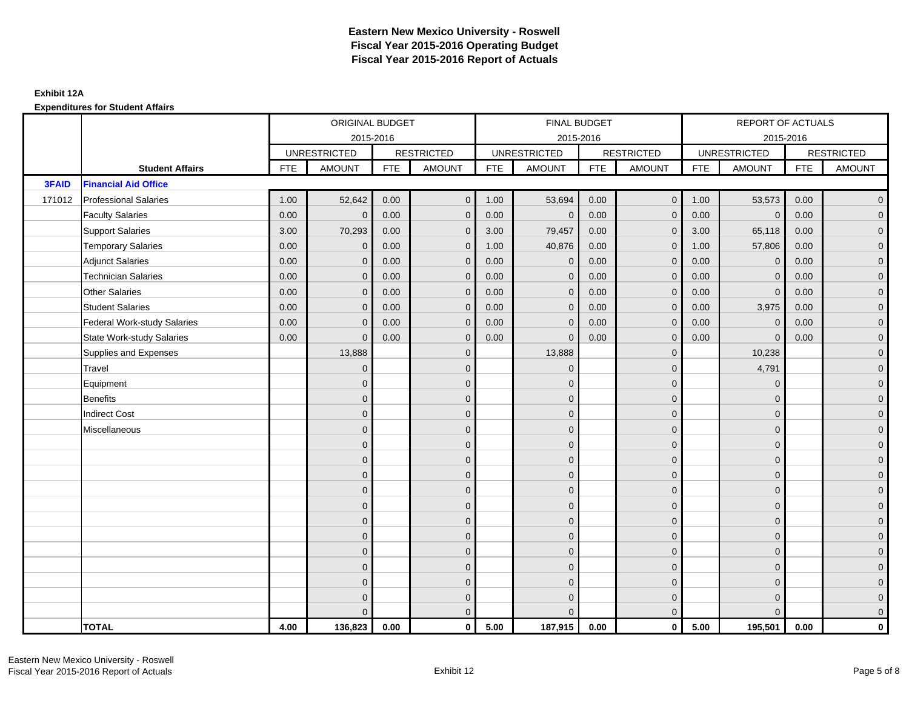|        |                                    | ORIGINAL BUDGET<br>2015-2016 |                     |            |                   |            | FINAL BUDGET        |            |                   |            | REPORT OF ACTUALS   |            |                     |
|--------|------------------------------------|------------------------------|---------------------|------------|-------------------|------------|---------------------|------------|-------------------|------------|---------------------|------------|---------------------|
|        |                                    |                              |                     |            |                   |            | 2015-2016           |            |                   |            | 2015-2016           |            |                     |
|        |                                    |                              | <b>UNRESTRICTED</b> |            | <b>RESTRICTED</b> |            | <b>UNRESTRICTED</b> |            | <b>RESTRICTED</b> |            | <b>UNRESTRICTED</b> |            | <b>RESTRICTED</b>   |
|        | <b>Student Affairs</b>             | <b>FTE</b>                   | <b>AMOUNT</b>       | <b>FTE</b> | <b>AMOUNT</b>     | <b>FTE</b> | <b>AMOUNT</b>       | <b>FTE</b> | <b>AMOUNT</b>     | <b>FTE</b> | <b>AMOUNT</b>       | <b>FTE</b> | <b>AMOUNT</b>       |
| 3FAID  | <b>Financial Aid Office</b>        |                              |                     |            |                   |            |                     |            |                   |            |                     |            |                     |
| 171012 | <b>Professional Salaries</b>       | 1.00                         | 52,642              | 0.00       | $\mathbf{0}$      | 1.00       | 53,694              | 0.00       | $\overline{0}$    | 1.00       | 53,573              | 0.00       | $\overline{0}$      |
|        | <b>Faculty Salaries</b>            | 0.00                         | $\mathbf 0$         | 0.00       | $\mathbf{0}$      | 0.00       | $\mathbf{0}$        | 0.00       | $\mathbf{0}$      | 0.00       | $\mathbf 0$         | 0.00       | $\overline{0}$      |
|        | <b>Support Salaries</b>            | 3.00                         | 70,293              | 0.00       | $\mathbf{0}$      | 3.00       | 79,457              | 0.00       | $\mathbf 0$       | 3.00       | 65,118              | 0.00       | $\overline{0}$      |
|        | <b>Temporary Salaries</b>          | 0.00                         | $\mathbf{0}$        | 0.00       | $\mathbf{0}$      | 1.00       | 40,876              | 0.00       | $\mathbf{0}$      | 1.00       | 57,806              | 0.00       | $\overline{0}$      |
|        | <b>Adjunct Salaries</b>            | 0.00                         | $\mathbf{0}$        | 0.00       | $\Omega$          | 0.00       | $\mathbf{0}$        | 0.00       | $\mathbf{0}$      | 0.00       | $\mathbf 0$         | 0.00       | $\mathbf{0}$        |
|        | <b>Technician Salaries</b>         | 0.00                         | $\Omega$            | 0.00       | $\Omega$          | 0.00       | $\mathbf{0}$        | 0.00       | $\mathbf{0}$      | 0.00       | $\mathbf 0$         | 0.00       | $\mathbf{0}$        |
|        | <b>Other Salaries</b>              | 0.00                         | $\mathbf{0}$        | 0.00       | $\Omega$          | 0.00       | $\Omega$            | 0.00       | $\mathbf{0}$      | 0.00       | $\mathbf 0$         | 0.00       | $\overline{0}$      |
|        | <b>Student Salaries</b>            | 0.00                         | $\mathbf 0$         | 0.00       | $\mathbf{0}$      | 0.00       | $\mathbf{0}$        | 0.00       | $\mathbf 0$       | 0.00       | 3,975               | 0.00       | $\overline{0}$      |
|        | <b>Federal Work-study Salaries</b> | 0.00                         | $\mathbf{0}$        | 0.00       | $\Omega$          | 0.00       | $\mathbf{0}$        | 0.00       | $\mathbf{0}$      | 0.00       | $\mathbf 0$         | 0.00       | $\overline{0}$      |
|        | <b>State Work-study Salaries</b>   | 0.00                         | $\mathbf{0}$        | 0.00       | $\Omega$          | 0.00       | $\Omega$            | 0.00       | $\mathbf{0}$      | 0.00       | $\Omega$            | 0.00       | $\overline{0}$      |
|        | Supplies and Expenses              |                              | 13,888              |            | $\mathbf{0}$      |            | 13,888              |            | $\mathbf 0$       |            | 10,238              |            | $\mathsf{O}\xspace$ |
|        | Travel                             |                              | $\mathbf{0}$        |            | $\mathbf{0}$      |            | $\mathbf{0}$        |            | $\mathbf{0}$      |            | 4,791               |            | $\overline{0}$      |
|        | Equipment                          |                              | $\mathbf{0}$        |            | $\mathbf{0}$      |            | $\Omega$            |            | $\mathbf 0$       |            | $\mathbf 0$         |            | $\overline{0}$      |
|        | <b>Benefits</b>                    |                              | $\Omega$            |            | $\mathbf{0}$      |            | $\Omega$            |            | $\mathbf 0$       |            | $\mathbf 0$         |            | $\overline{0}$      |
|        | <b>Indirect Cost</b>               |                              | $\Omega$            |            | $\mathbf{0}$      |            | $\Omega$            |            | $\mathbf{0}$      |            | $\Omega$            |            | $\overline{0}$      |
|        | Miscellaneous                      |                              | $\Omega$            |            | $\mathbf{0}$      |            | $\Omega$            |            | $\mathbf{0}$      |            | $\Omega$            |            | $\overline{0}$      |
|        |                                    |                              | $\overline{0}$      |            | $\mathbf 0$       |            | $\mathbf{0}$        |            | $\mathbf 0$       |            | $\mathbf 0$         |            | $\overline{0}$      |
|        |                                    |                              | $\mathbf{0}$        |            | $\mathbf 0$       |            | $\mathbf{0}$        |            | $\mathbf 0$       |            | $\mathbf 0$         |            | $\overline{0}$      |
|        |                                    |                              | $\Omega$            |            | $\mathbf{0}$      |            | $\Omega$            |            | $\mathbf{0}$      |            | $\Omega$            |            | $\overline{0}$      |
|        |                                    |                              | $\Omega$            |            | $\mathbf{0}$      |            | $\Omega$            |            | $\mathbf 0$       |            | $\mathbf 0$         |            | $\mathbf{0}$        |
|        |                                    |                              | $\Omega$            |            | $\mathbf{0}$      |            | $\mathbf{0}$        |            | $\mathbf 0$       |            | $\Omega$            |            | $\mathbf{0}$        |
|        |                                    |                              | $\overline{0}$      |            | $\mathbf{0}$      |            | $\Omega$            |            | $\mathbf{0}$      |            | $\Omega$            |            | $\overline{0}$      |
|        |                                    |                              | $\mathbf{0}$        |            | $\mathbf 0$       |            | $\mathbf{0}$        |            | $\mathbf 0$       |            | $\mathbf 0$         |            | $\overline{0}$      |
|        |                                    |                              | $\Omega$            |            | $\mathbf{0}$      |            | $\Omega$            |            | $\mathbf 0$       |            | $\mathbf 0$         |            | $\overline{0}$      |
|        |                                    |                              | $\Omega$            |            | $\mathbf{0}$      |            | $\Omega$            |            | $\mathbf{0}$      |            | $\Omega$            |            | $\overline{0}$      |
|        |                                    |                              | $\Omega$            |            | $\mathbf 0$       |            | $\Omega$            |            | $\mathbf 0$       |            | $\Omega$            |            | $\mathbf{0}$        |
|        |                                    |                              | $\mathbf{0}$        |            | $\mathbf 0$       |            | $\mathbf{0}$        |            | $\mathbf 0$       |            | $\mathbf 0$         |            | $\mathbf{0}$        |
|        |                                    |                              | $\Omega$            |            | $\mathbf{0}$      |            | $\Omega$            |            | $\mathbf{0}$      |            | $\Omega$            |            | $\overline{0}$      |
|        | <b>TOTAL</b>                       | 4.00                         | 136,823             | 0.00       | $\mathbf{0}$      | 5.00       | 187,915             | 0.00       | $\mathbf{0}$      | 5.00       | 195,501             | 0.00       | $\mathbf{0}$        |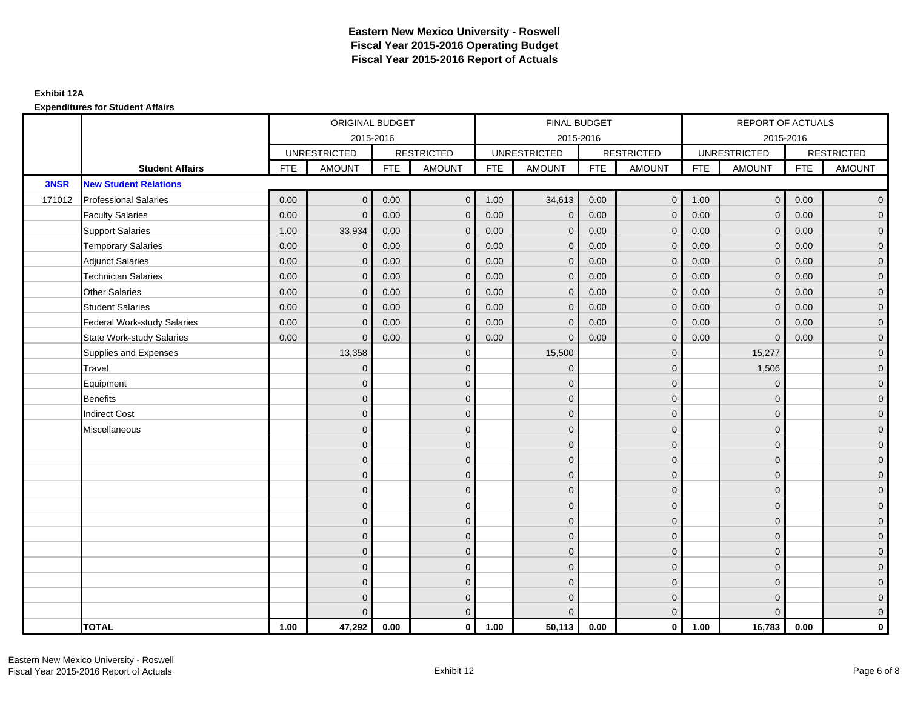|        |                                    | ORIGINAL BUDGET<br>2015-2016 |                     |            |                   |            | FINAL BUDGET        |            |                   |            | REPORT OF ACTUALS   |            |                     |
|--------|------------------------------------|------------------------------|---------------------|------------|-------------------|------------|---------------------|------------|-------------------|------------|---------------------|------------|---------------------|
|        |                                    |                              |                     |            |                   |            | 2015-2016           |            |                   |            | 2015-2016           |            |                     |
|        |                                    |                              | <b>UNRESTRICTED</b> |            | <b>RESTRICTED</b> |            | <b>UNRESTRICTED</b> |            | <b>RESTRICTED</b> |            | <b>UNRESTRICTED</b> |            | <b>RESTRICTED</b>   |
|        | <b>Student Affairs</b>             | <b>FTE</b>                   | <b>AMOUNT</b>       | <b>FTE</b> | <b>AMOUNT</b>     | <b>FTE</b> | <b>AMOUNT</b>       | <b>FTE</b> | <b>AMOUNT</b>     | <b>FTE</b> | <b>AMOUNT</b>       | <b>FTE</b> | <b>AMOUNT</b>       |
| 3NSR   | <b>New Student Relations</b>       |                              |                     |            |                   |            |                     |            |                   |            |                     |            |                     |
| 171012 | <b>Professional Salaries</b>       | 0.00                         | $\Omega$            | 0.00       | $\mathbf{0}$      | 1.00       | 34,613              | 0.00       | $\overline{0}$    | 1.00       | $\overline{0}$      | 0.00       | $\overline{0}$      |
|        | <b>Faculty Salaries</b>            | 0.00                         | $\mathbf{0}$        | 0.00       | $\mathbf{0}$      | 0.00       | $\mathbf{0}$        | 0.00       | $\mathbf{0}$      | 0.00       | $\mathbf 0$         | 0.00       | $\overline{0}$      |
|        | <b>Support Salaries</b>            | 1.00                         | 33,934              | 0.00       | $\mathbf{0}$      | 0.00       | $\mathbf{0}$        | 0.00       | $\mathbf 0$       | 0.00       | $\mathbf 0$         | 0.00       | $\overline{0}$      |
|        | <b>Temporary Salaries</b>          | 0.00                         | $\mathbf{0}$        | 0.00       | $\Omega$          | 0.00       | $\mathbf{0}$        | 0.00       | $\mathbf{0}$      | 0.00       | $\mathbf{0}$        | 0.00       | $\overline{0}$      |
|        | <b>Adjunct Salaries</b>            | 0.00                         | $\mathbf{0}$        | 0.00       | $\Omega$          | 0.00       | $\mathbf{0}$        | 0.00       | $\mathbf{0}$      | 0.00       | $\mathbf 0$         | 0.00       | $\mathbf{0}$        |
|        | <b>Technician Salaries</b>         | 0.00                         | $\Omega$            | 0.00       | $\Omega$          | 0.00       | $\mathbf{0}$        | 0.00       | $\mathbf{0}$      | 0.00       | $\mathbf 0$         | 0.00       | $\mathbf{0}$        |
|        | <b>Other Salaries</b>              | 0.00                         | $\mathbf{0}$        | 0.00       | $\Omega$          | 0.00       | $\Omega$            | 0.00       | $\mathbf{0}$      | 0.00       | $\mathbf{0}$        | 0.00       | $\overline{0}$      |
|        | <b>Student Salaries</b>            | 0.00                         | $\mathbf 0$         | 0.00       | $\mathbf{0}$      | 0.00       | $\mathbf{0}$        | 0.00       | $\mathbf 0$       | 0.00       | $\mathbf 0$         | 0.00       | $\overline{0}$      |
|        | <b>Federal Work-study Salaries</b> | 0.00                         | $\mathbf{0}$        | 0.00       | $\Omega$          | 0.00       | $\mathbf{0}$        | 0.00       | $\mathbf{0}$      | 0.00       | $\mathbf 0$         | 0.00       | $\overline{0}$      |
|        | <b>State Work-study Salaries</b>   | 0.00                         | $\mathbf{0}$        | 0.00       | $\Omega$          | 0.00       | $\Omega$            | 0.00       | $\mathbf{0}$      | 0.00       | $\Omega$            | 0.00       | $\overline{0}$      |
|        | Supplies and Expenses              |                              | 13,358              |            | $\mathbf{0}$      |            | 15,500              |            | $\mathbf 0$       |            | 15,277              |            | $\mathsf{O}\xspace$ |
|        | Travel                             |                              | $\mathbf 0$         |            | $\mathbf{0}$      |            | $\mathbf{0}$        |            | $\mathbf 0$       |            | 1,506               |            | $\overline{0}$      |
|        | Equipment                          |                              | $\mathbf{0}$        |            | $\mathbf{0}$      |            | $\Omega$            |            | $\mathbf 0$       |            | $\mathbf 0$         |            | $\overline{0}$      |
|        | <b>Benefits</b>                    |                              | $\Omega$            |            | $\mathbf 0$       |            | $\Omega$            |            | $\mathbf 0$       |            | $\mathbf 0$         |            | $\overline{0}$      |
|        | <b>Indirect Cost</b>               |                              | $\Omega$            |            | $\mathbf{0}$      |            | $\Omega$            |            | $\mathbf{0}$      |            | $\Omega$            |            | $\overline{0}$      |
|        | Miscellaneous                      |                              | $\Omega$            |            | $\mathbf{0}$      |            | $\Omega$            |            | $\mathbf{0}$      |            | $\Omega$            |            | $\overline{0}$      |
|        |                                    |                              | $\overline{0}$      |            | $\mathbf 0$       |            | $\mathbf{0}$        |            | $\mathbf 0$       |            | $\mathbf 0$         |            | $\overline{0}$      |
|        |                                    |                              | $\mathbf{0}$        |            | $\mathbf 0$       |            | $\mathbf{0}$        |            | $\mathbf 0$       |            | $\mathbf 0$         |            | $\overline{0}$      |
|        |                                    |                              | $\Omega$            |            | $\mathbf{0}$      |            | $\Omega$            |            | $\mathbf{0}$      |            | $\Omega$            |            | $\overline{0}$      |
|        |                                    |                              | $\Omega$            |            | $\mathbf{0}$      |            | $\Omega$            |            | $\mathbf 0$       |            | $\mathbf 0$         |            | $\mathbf{0}$        |
|        |                                    |                              | $\Omega$            |            | $\mathbf{0}$      |            | $\mathbf{0}$        |            | $\mathbf 0$       |            | $\Omega$            |            | $\mathbf{0}$        |
|        |                                    |                              | $\overline{0}$      |            | $\mathbf{0}$      |            | $\Omega$            |            | $\mathbf{0}$      |            | $\Omega$            |            | $\overline{0}$      |
|        |                                    |                              | $\mathbf{0}$        |            | $\mathbf 0$       |            | $\mathbf{0}$        |            | $\mathbf 0$       |            | $\mathbf 0$         |            | $\overline{0}$      |
|        |                                    |                              | $\Omega$            |            | $\mathbf{0}$      |            | $\Omega$            |            | $\mathbf 0$       |            | $\mathbf 0$         |            | $\overline{0}$      |
|        |                                    |                              | $\Omega$            |            | $\mathbf{0}$      |            | $\Omega$            |            | $\mathbf{0}$      |            | $\Omega$            |            | $\overline{0}$      |
|        |                                    |                              | $\Omega$            |            | $\mathbf 0$       |            | $\Omega$            |            | $\mathbf 0$       |            | $\Omega$            |            | $\mathbf{0}$        |
|        |                                    |                              | $\mathbf{0}$        |            | $\mathbf 0$       |            | $\mathbf{0}$        |            | $\mathbf 0$       |            | $\mathbf 0$         |            | $\mathbf{0}$        |
|        |                                    |                              | $\Omega$            |            | $\mathbf{0}$      |            | $\Omega$            |            | $\mathbf{0}$      |            | $\Omega$            |            | $\overline{0}$      |
|        | <b>TOTAL</b>                       | 1.00                         | 47,292              | 0.00       | $\mathbf{0}$      | 1.00       | 50,113              | 0.00       | $\mathbf{0}$      | 1.00       | 16,783              | 0.00       | $\mathbf{0}$        |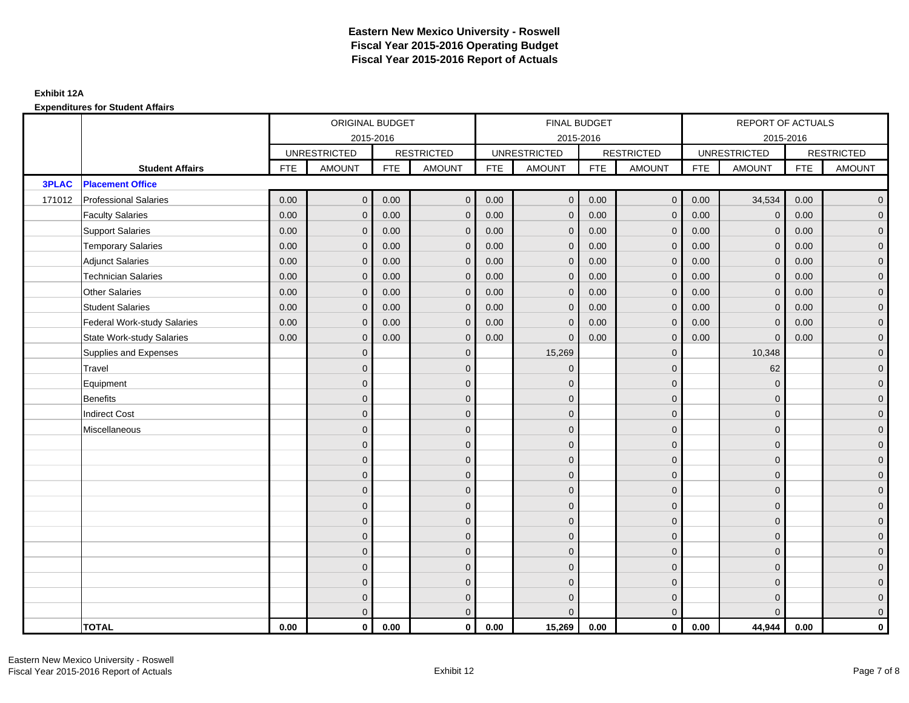|              |                                  | ORIGINAL BUDGET<br>2015-2016 |                     |            |                   |            | FINAL BUDGET        |            |                     |            | <b>REPORT OF ACTUALS</b> |            |                     |
|--------------|----------------------------------|------------------------------|---------------------|------------|-------------------|------------|---------------------|------------|---------------------|------------|--------------------------|------------|---------------------|
|              |                                  |                              |                     |            |                   |            | 2015-2016           |            |                     |            | 2015-2016                |            |                     |
|              |                                  |                              | <b>UNRESTRICTED</b> |            | <b>RESTRICTED</b> |            | <b>UNRESTRICTED</b> |            | <b>RESTRICTED</b>   |            | <b>UNRESTRICTED</b>      |            | <b>RESTRICTED</b>   |
|              | <b>Student Affairs</b>           | <b>FTE</b>                   | <b>AMOUNT</b>       | <b>FTE</b> | <b>AMOUNT</b>     | <b>FTE</b> | <b>AMOUNT</b>       | <b>FTE</b> | <b>AMOUNT</b>       | <b>FTE</b> | <b>AMOUNT</b>            | <b>FTE</b> | <b>AMOUNT</b>       |
| <b>3PLAC</b> | <b>Placement Office</b>          |                              |                     |            |                   |            |                     |            |                     |            |                          |            |                     |
| 171012       | Professional Salaries            | 0.00                         | $\mathbf{0}$        | 0.00       | $\mathbf{0}$      | 0.00       | $\overline{0}$      | 0.00       | $\overline{0}$      | 0.00       | 34,534                   | 0.00       | $\overline{0}$      |
|              | <b>Faculty Salaries</b>          | 0.00                         | $\mathbf{0}$        | 0.00       | $\mathbf{0}$      | 0.00       | $\mathbf{0}$        | 0.00       | $\mathbf{0}$        | 0.00       | $\mathbf 0$              | 0.00       | $\overline{0}$      |
|              | <b>Support Salaries</b>          | 0.00                         | $\mathbf{0}$        | 0.00       | $\mathbf{0}$      | 0.00       | $\overline{0}$      | 0.00       | $\mathbf{0}$        | 0.00       | $\mathbf 0$              | 0.00       | $\overline{0}$      |
|              | <b>Temporary Salaries</b>        | 0.00                         | $\mathbf{0}$        | 0.00       | $\Omega$          | 0.00       | $\mathbf{0}$        | 0.00       | $\mathbf{0}$        | 0.00       | $\mathbf 0$              | 0.00       | $\overline{0}$      |
|              | <b>Adjunct Salaries</b>          | 0.00                         | $\mathbf{0}$        | 0.00       | $\mathbf 0$       | 0.00       | $\mathbf{0}$        | 0.00       | $\mathbf 0$         | 0.00       | $\mathbf{0}$             | 0.00       | $\mathbf{0}$        |
|              | <b>Technician Salaries</b>       | 0.00                         | $\mathbf{0}$        | 0.00       | $\Omega$          | 0.00       | $\mathbf{0}$        | 0.00       | $\mathbf{0}$        | 0.00       | $\mathbf{0}$             | 0.00       | $\mathbf{0}$        |
|              | <b>Other Salaries</b>            | 0.00                         | $\Omega$            | 0.00       | $\Omega$          | 0.00       | $\Omega$            | 0.00       | $\mathbf{0}$        | 0.00       | $\mathbf{0}$             | 0.00       | $\overline{0}$      |
|              | <b>Student Salaries</b>          | 0.00                         | $\mathbf{0}$        | 0.00       | $\mathbf 0$       | 0.00       | $\overline{0}$      | 0.00       | $\overline{0}$      | 0.00       | $\mathbf 0$              | 0.00       | $\overline{0}$      |
|              | Federal Work-study Salaries      | 0.00                         | $\mathbf{0}$        | 0.00       | $\mathbf{0}$      | 0.00       | $\mathbf{0}$        | 0.00       | $\mathbf 0$         | 0.00       | $\mathbf{0}$             | 0.00       | $\overline{0}$      |
|              | <b>State Work-study Salaries</b> | 0.00                         | $\mathbf{0}$        | 0.00       | $\mathbf{0}$      | 0.00       | $\mathbf{0}$        | 0.00       | $\mathbf{0}$        | 0.00       | $\mathbf{0}$             | 0.00       | $\overline{0}$      |
|              | Supplies and Expenses            |                              | $\mathbf{0}$        |            | $\mathbf{0}$      |            | 15,269              |            | $\mathbf 0$         |            | 10,348                   |            | $\pmb{0}$           |
|              | Travel                           |                              | $\overline{0}$      |            | $\mathbf{0}$      |            | $\mathbf{0}$        |            | $\mathbf 0$         |            | 62                       |            | $\mathbf{0}$        |
|              | Equipment                        |                              | $\overline{0}$      |            | $\mathbf 0$       |            | $\mathbf{0}$        |            | $\mathbf 0$         |            | $\mathbf{0}$             |            | $\overline{0}$      |
|              | <b>Benefits</b>                  |                              | $\mathbf{0}$        |            | $\mathbf{0}$      |            | $\mathbf{0}$        |            | $\mathbf 0$         |            | $\mathbf 0$              |            | $\mathbf{0}$        |
|              | <b>Indirect Cost</b>             |                              | $\mathbf{0}$        |            | $\mathbf{0}$      |            | $\Omega$            |            | $\mathbf 0$         |            | $\mathbf 0$              |            | $\mathbf{0}$        |
|              | Miscellaneous                    |                              | $\Omega$            |            | $\mathbf{0}$      |            | $\mathbf{0}$        |            | $\mathbf 0$         |            | $\mathbf 0$              |            | $\overline{0}$      |
|              |                                  |                              | $\overline{0}$      |            | $\mathbf 0$       |            | $\mathbf{0}$        |            | $\mathbf 0$         |            | $\mathbf 0$              |            | $\mathsf{O}\xspace$ |
|              |                                  |                              | $\overline{0}$      |            | $\mathbf 0$       |            | $\mathbf{0}$        |            | $\mathbf 0$         |            | $\mathbf{0}$             |            | $\overline{0}$      |
|              |                                  |                              | $\Omega$            |            | $\mathbf{0}$      |            | $\Omega$            |            | $\mathbf 0$         |            | $\Omega$                 |            | $\overline{0}$      |
|              |                                  |                              | $\mathbf{0}$        |            | $\mathbf{0}$      |            | $\mathbf{0}$        |            | $\mathbf 0$         |            | $\mathbf 0$              |            | $\mathbf{0}$        |
|              |                                  |                              | $\mathbf{0}$        |            | $\mathbf{0}$      |            | $\mathbf{0}$        |            | $\mathbf 0$         |            | $\mathbf 0$              |            | $\mathsf{O}\xspace$ |
|              |                                  |                              | $\overline{0}$      |            | $\mathbf{0}$      |            | $\Omega$            |            | $\mathbf 0$         |            | $\Omega$                 |            | $\overline{0}$      |
|              |                                  |                              | $\overline{0}$      |            | $\mathbf 0$       |            | $\mathbf{0}$        |            | $\mathsf{O}\xspace$ |            | $\mathbf 0$              |            | $\overline{0}$      |
|              |                                  |                              | $\mathbf{0}$        |            | $\mathbf{0}$      |            | $\Omega$            |            | $\mathbf 0$         |            | $\mathbf{0}$             |            | $\overline{0}$      |
|              |                                  |                              | $\overline{0}$      |            | $\mathbf{0}$      |            | $\Omega$            |            | $\mathbf{0}$        |            | $\mathbf 0$              |            | $\mathbf{0}$        |
|              |                                  |                              | $\Omega$            |            | $\mathbf{0}$      |            | $\Omega$            |            | $\mathbf{0}$        |            | $\Omega$                 |            | $\pmb{0}$           |
|              |                                  |                              | $\mathbf{0}$        |            | $\mathbf 0$       |            | $\mathbf{0}$        |            | $\mathbf 0$         |            | $\mathbf 0$              |            | $\mathbf{0}$        |
|              |                                  |                              | $\mathbf{0}$        |            | $\overline{0}$    |            | $\Omega$            |            | $\overline{0}$      |            | $\Omega$                 |            | $\overline{0}$      |
|              | <b>TOTAL</b>                     | 0.00                         | $\mathbf{0}$        | 0.00       | $\mathbf 0$       | 0.00       | 15,269              | 0.00       | $\overline{0}$      | 0.00       | 44,944                   | 0.00       | $\mathbf{0}$        |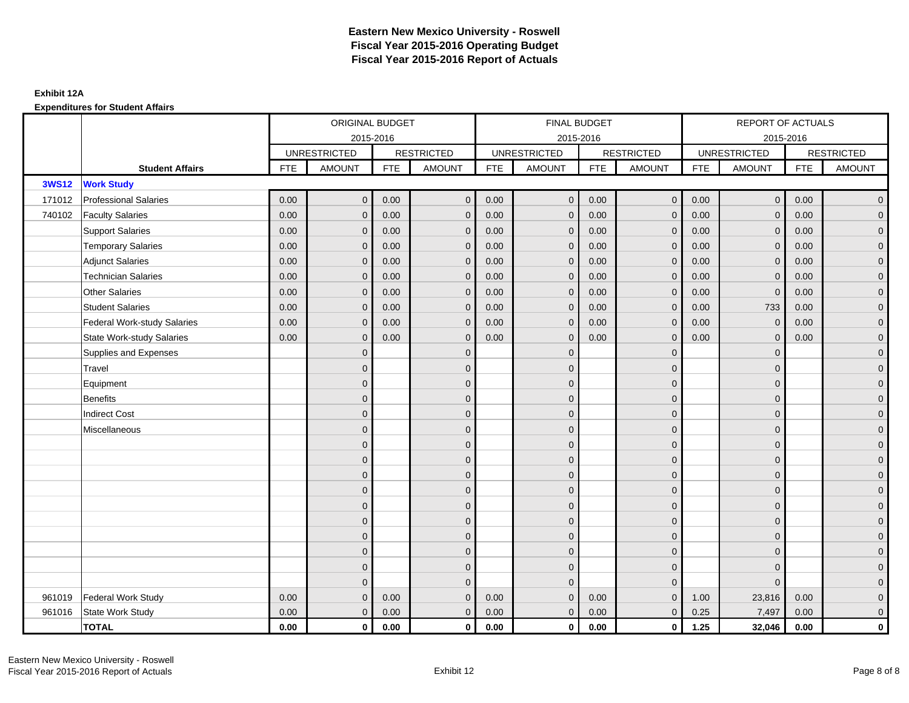|              |                                    |            | ORIGINAL BUDGET     |            |                   |            | <b>FINAL BUDGET</b> |            |                   |            | REPORT OF ACTUALS   |            |                     |
|--------------|------------------------------------|------------|---------------------|------------|-------------------|------------|---------------------|------------|-------------------|------------|---------------------|------------|---------------------|
|              |                                    |            | 2015-2016           |            |                   |            | 2015-2016           |            |                   |            | 2015-2016           |            |                     |
|              |                                    |            | <b>UNRESTRICTED</b> |            | <b>RESTRICTED</b> |            | <b>UNRESTRICTED</b> |            | <b>RESTRICTED</b> |            | <b>UNRESTRICTED</b> |            | <b>RESTRICTED</b>   |
|              | <b>Student Affairs</b>             | <b>FTE</b> | <b>AMOUNT</b>       | <b>FTE</b> | <b>AMOUNT</b>     | <b>FTE</b> | AMOUNT              | <b>FTE</b> | <b>AMOUNT</b>     | <b>FTE</b> | <b>AMOUNT</b>       | <b>FTE</b> | <b>AMOUNT</b>       |
| <b>3WS12</b> | <b>Work Study</b>                  |            |                     |            |                   |            |                     |            |                   |            |                     |            |                     |
| 171012       | <b>Professional Salaries</b>       | 0.00       | $\mathbf{0}$        | 0.00       | $\mathbf{0}$      | 0.00       | $\mathbf 0$         | 0.00       | $\overline{0}$    | 0.00       | $\overline{0}$      | 0.00       | $\overline{0}$      |
| 740102       | <b>Faculty Salaries</b>            | 0.00       | $\mathbf{0}$        | 0.00       | $\Omega$          | 0.00       | $\Omega$            | 0.00       | $\mathbf{0}$      | 0.00       | $\mathbf{0}$        | 0.00       | $\overline{0}$      |
|              | <b>Support Salaries</b>            | 0.00       | $\mathbf{0}$        | 0.00       | $\mathbf{0}$      | 0.00       | $\mathbf{0}$        | 0.00       | $\mathbf 0$       | 0.00       | $\mathbf{0}$        | 0.00       | $\overline{0}$      |
|              | <b>Temporary Salaries</b>          | 0.00       | $\mathbf{0}$        | 0.00       | $\mathbf{0}$      | 0.00       | $\mathbf{0}$        | 0.00       | $\mathbf 0$       | 0.00       | $\mathbf 0$         | 0.00       | $\overline{0}$      |
|              | <b>Adjunct Salaries</b>            | 0.00       | $\mathbf{0}$        | 0.00       | $\mathbf{0}$      | 0.00       | $\overline{0}$      | 0.00       | $\mathbf 0$       | 0.00       | $\mathbf{0}$        | 0.00       | $\mathbf{0}$        |
|              | <b>Technician Salaries</b>         | 0.00       | $\mathbf{0}$        | 0.00       | $\Omega$          | 0.00       | $\mathbf{0}$        | 0.00       | $\mathbf{0}$      | 0.00       | $\mathbf 0$         | 0.00       | $\mathbf{0}$        |
|              | <b>Other Salaries</b>              | 0.00       | $\Omega$            | 0.00       | $\Omega$          | 0.00       | $\Omega$            | 0.00       | $\mathbf{0}$      | 0.00       | $\mathbf{0}$        | 0.00       | $\overline{0}$      |
|              | <b>Student Salaries</b>            | 0.00       | $\mathbf{0}$        | 0.00       | $\mathbf{0}$      | 0.00       | $\overline{0}$      | 0.00       | $\mathbf 0$       | 0.00       | 733                 | 0.00       | $\overline{0}$      |
|              | <b>Federal Work-study Salaries</b> | 0.00       | $\mathbf{0}$        | 0.00       | $\Omega$          | 0.00       | $\mathbf{0}$        | 0.00       | $\mathbf{0}$      | 0.00       | $\mathbf 0$         | 0.00       | $\overline{0}$      |
|              | <b>State Work-study Salaries</b>   | 0.00       | $\mathbf 0$         | 0.00       | $\mathbf{0}$      | 0.00       | $\mathbf{0}$        | 0.00       | $\mathbf 0$       | 0.00       | $\mathbf 0$         | 0.00       | $\mathsf{O}\xspace$ |
|              | Supplies and Expenses              |            | $\mathbf{0}$        |            | $\mathbf{0}$      |            | $\mathbf{0}$        |            | $\mathbf 0$       |            | $\mathbf 0$         |            | $\mathsf{O}\xspace$ |
|              | Travel                             |            | $\Omega$            |            | $\mathbf{0}$      |            | $\Omega$            |            | $\mathbf{0}$      |            | $\mathbf 0$         |            | $\overline{0}$      |
|              | Equipment                          |            | $\mathbf{0}$        |            | $\mathbf 0$       |            | $\mathbf{0}$        |            | $\mathbf 0$       |            | $\mathbf{0}$        |            | $\overline{0}$      |
|              | <b>Benefits</b>                    |            | $\Omega$            |            | $\mathbf{0}$      |            | $\Omega$            |            | $\mathbf{0}$      |            | $\mathbf 0$         |            | $\overline{0}$      |
|              | <b>Indirect Cost</b>               |            | $\mathbf{0}$        |            | $\mathbf 0$       |            | $\Omega$            |            | $\mathbf 0$       |            | $\mathbf{0}$        |            | $\mathsf{O}\xspace$ |
|              | Miscellaneous                      |            | $\Omega$            |            | $\mathbf{0}$      |            | $\Omega$            |            | $\mathbf 0$       |            | $\Omega$            |            | $\overline{0}$      |
|              |                                    |            | $\Omega$            |            | $\mathbf 0$       |            | $\Omega$            |            | $\mathbf 0$       |            | $\Omega$            |            | $\overline{0}$      |
|              |                                    |            | $\mathbf{0}$        |            | $\mathbf{0}$      |            | $\mathbf{0}$        |            | $\mathbf 0$       |            | $\mathbf 0$         |            | $\overline{0}$      |
|              |                                    |            | $\Omega$            |            | $\mathbf{0}$      |            | $\Omega$            |            | $\mathbf{0}$      |            | $\mathbf 0$         |            | $\overline{0}$      |
|              |                                    |            | $\mathbf{0}$        |            | $\mathbf 0$       |            | $\Omega$            |            | $\mathbf 0$       |            | $\mathbf{0}$        |            | $\mathbf{0}$        |
|              |                                    |            | $\Omega$            |            | $\mathbf{0}$      |            | $\Omega$            |            | $\mathbf 0$       |            | $\Omega$            |            | $\overline{0}$      |
|              |                                    |            | $\mathbf{0}$        |            | $\mathbf 0$       |            | $\mathbf{0}$        |            | $\mathbf 0$       |            | $\mathbf 0$         |            | $\mathbf{0}$        |
|              |                                    |            | $\overline{0}$      |            | $\mathbf{0}$      |            | $\mathbf{0}$        |            | $\mathbf 0$       |            | $\mathbf 0$         |            | $\mathbf{0}$        |
|              |                                    |            | $\Omega$            |            | $\Omega$          |            | $\Omega$            |            | $\mathbf{0}$      |            | $\Omega$            |            | $\overline{0}$      |
|              |                                    |            | $\mathbf{0}$        |            | $\mathbf 0$       |            | $\mathbf{0}$        |            | $\mathbf 0$       |            | $\mathbf 0$         |            | $\overline{0}$      |
|              |                                    |            | $\Omega$            |            | $\mathbf{0}$      |            | $\Omega$            |            | $\overline{0}$    |            | $\Omega$            |            | $\overline{0}$      |
| 961019       | <b>Federal Work Study</b>          | 0.00       | $\mathbf{0}$        | 0.00       | $\mathbf{0}$      | 0.00       | $\mathbf{0}$        | 0.00       | $\mathbf 0$       | 1.00       | 23,816              | 0.00       | $\mathbf{0}$        |
| 961016       | State Work Study                   | 0.00       | $\mathbf{0}$        | 0.00       | $\mathbf 0$       | 0.00       | $\mathbf 0$         | 0.00       | $\mathbf 0$       | 0.25       | 7,497               | 0.00       | $\overline{0}$      |
|              | <b>TOTAL</b>                       | 0.00       | $\mathbf{0}$        | 0.00       | $\mathbf 0$       | 0.00       | $\mathbf{0}$        | 0.00       | $\overline{0}$    | 1.25       | 32,046              | 0.00       | $\mathbf 0$         |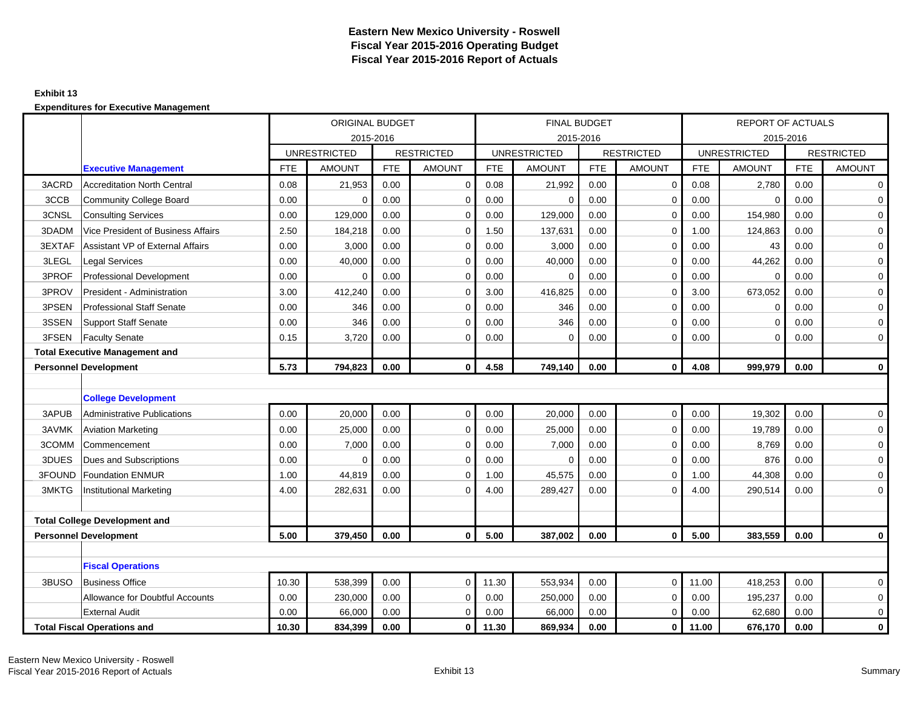#### **Exhibit 13**

|        |                                       | ORIGINAL BUDGET |                     |            |                   |            | <b>FINAL BUDGET</b> |            |                   |            | <b>REPORT OF ACTUALS</b> |            |                   |
|--------|---------------------------------------|-----------------|---------------------|------------|-------------------|------------|---------------------|------------|-------------------|------------|--------------------------|------------|-------------------|
|        |                                       |                 | 2015-2016           |            |                   |            | 2015-2016           |            |                   |            | 2015-2016                |            |                   |
|        |                                       |                 | <b>UNRESTRICTED</b> |            | <b>RESTRICTED</b> |            | <b>UNRESTRICTED</b> |            | <b>RESTRICTED</b> |            | <b>UNRESTRICTED</b>      |            | <b>RESTRICTED</b> |
|        | <b>Executive Management</b>           | <b>FTE</b>      | <b>AMOUNT</b>       | <b>FTE</b> | <b>AMOUNT</b>     | <b>FTE</b> | <b>AMOUNT</b>       | <b>FTE</b> | <b>AMOUNT</b>     | <b>FTE</b> | <b>AMOUNT</b>            | <b>FTE</b> | <b>AMOUNT</b>     |
| 3ACRD  | <b>Accreditation North Central</b>    | 0.08            | 21,953              | 0.00       | $\mathbf 0$       | 0.08       | 21,992              | 0.00       | $\mathbf 0$       | 0.08       | 2,780                    | 0.00       | $\mathbf 0$       |
| 3CCB   | Community College Board               | 0.00            | $\Omega$            | 0.00       | $\mathbf 0$       | 0.00       | 0                   | 0.00       | $\Omega$          | 0.00       | $\mathbf 0$              | 0.00       | $\mathbf 0$       |
| 3CNSL  | <b>Consulting Services</b>            | 0.00            | 129,000             | 0.00       | $\mathbf 0$       | 0.00       | 129,000             | 0.00       | $\Omega$          | 0.00       | 154,980                  | 0.00       | $\mathbf 0$       |
| 3DADM  | Vice President of Business Affairs    | 2.50            | 184,218             | 0.00       | $\mathbf 0$       | 1.50       | 137,631             | 0.00       | $\Omega$          | 1.00       | 124,863                  | 0.00       | $\mathbf 0$       |
| 3EXTAF | Assistant VP of External Affairs      | 0.00            | 3,000               | 0.00       | $\mathbf 0$       | 0.00       | 3,000               | 0.00       | $\mathbf 0$       | 0.00       | 43                       | 0.00       | $\mathbf 0$       |
| 3LEGL  | <b>Legal Services</b>                 | 0.00            | 40,000              | 0.00       | $\mathbf 0$       | 0.00       | 40,000              | 0.00       | $\Omega$          | 0.00       | 44,262                   | 0.00       | $\mathbf 0$       |
| 3PROF  | <b>Professional Development</b>       | 0.00            | $\Omega$            | 0.00       | $\mathbf 0$       | 0.00       | 0                   | 0.00       | $\Omega$          | 0.00       | $\Omega$                 | 0.00       | $\mathbf 0$       |
| 3PROV  | President - Administration            | 3.00            | 412,240             | 0.00       | $\Omega$          | 3.00       | 416,825             | 0.00       | $\Omega$          | 3.00       | 673,052                  | 0.00       | $\mathbf 0$       |
| 3PSEN  | <b>Professional Staff Senate</b>      | 0.00            | 346                 | 0.00       | $\mathbf 0$       | 0.00       | 346                 | 0.00       | $\mathbf 0$       | 0.00       | $\mathbf 0$              | 0.00       | $\mathbf 0$       |
| 3SSEN  | <b>Support Staff Senate</b>           | 0.00            | 346                 | 0.00       | $\mathbf 0$       | 0.00       | 346                 | 0.00       | 0                 | 0.00       | $\mathbf 0$              | 0.00       | $\mathbf 0$       |
| 3FSEN  | <b>Faculty Senate</b>                 | 0.15            | 3,720               | 0.00       | $\mathbf 0$       | 0.00       | $\mathbf 0$         | 0.00       | $\mathbf 0$       | 0.00       | $\mathbf 0$              | 0.00       | $\mathbf 0$       |
|        | <b>Total Executive Management and</b> |                 |                     |            |                   |            |                     |            |                   |            |                          |            |                   |
|        | <b>Personnel Development</b>          | 5.73            | 794,823             | 0.00       | $\bf{0}$          | 4.58       | 749,140             | 0.00       | $\mathbf{0}$      | 4.08       | 999,979                  | 0.00       | $\mathbf{0}$      |
|        |                                       |                 |                     |            |                   |            |                     |            |                   |            |                          |            |                   |
|        | <b>College Development</b>            |                 |                     |            |                   |            |                     |            |                   |            |                          |            |                   |
| 3APUB  | <b>Administrative Publications</b>    | 0.00            | 20,000              | 0.00       | $\mathbf 0$       | 0.00       | 20,000              | 0.00       | $\mathbf 0$       | 0.00       | 19,302                   | 0.00       | $\mathbf 0$       |
| 3AVMK  | <b>Aviation Marketing</b>             | 0.00            | 25,000              | 0.00       | $\mathbf 0$       | 0.00       | 25,000              | 0.00       | $\Omega$          | 0.00       | 19,789                   | 0.00       | $\mathbf 0$       |
| 3COMM  | Commencement                          | 0.00            | 7,000               | 0.00       | $\mathbf 0$       | 0.00       | 7,000               | 0.00       | $\mathbf 0$       | 0.00       | 8,769                    | 0.00       | $\mathbf 0$       |
| 3DUES  | Dues and Subscriptions                | 0.00            | $\Omega$            | 0.00       | 0                 | 0.00       | $\mathbf 0$         | 0.00       | $\mathbf 0$       | 0.00       | 876                      | 0.00       | $\mathbf 0$       |
| 3FOUND | <b>Foundation ENMUR</b>               | 1.00            | 44,819              | 0.00       | $\mathbf 0$       | 1.00       | 45,575              | 0.00       | $\mathbf 0$       | 1.00       | 44,308                   | 0.00       | $\overline{0}$    |
| 3MKTG  | <b>Institutional Marketing</b>        | 4.00            | 282,631             | 0.00       | $\Omega$          | 4.00       | 289,427             | 0.00       | $\Omega$          | 4.00       | 290,514                  | 0.00       | $\overline{0}$    |
|        |                                       |                 |                     |            |                   |            |                     |            |                   |            |                          |            |                   |
|        | <b>Total College Development and</b>  |                 |                     |            |                   |            |                     |            |                   |            |                          |            |                   |
|        | <b>Personnel Development</b>          | 5.00            | 379,450             | 0.00       | $\mathbf 0$       | 5.00       | 387,002             | 0.00       | $\bf{0}$          | 5.00       | 383,559                  | 0.00       | $\mathbf 0$       |
|        |                                       |                 |                     |            |                   |            |                     |            |                   |            |                          |            |                   |
|        | <b>Fiscal Operations</b>              |                 |                     |            |                   |            |                     |            |                   |            |                          |            |                   |
| 3BUSO  | <b>Business Office</b>                | 10.30           | 538,399             | 0.00       | $\mathbf 0$       | 11.30      | 553,934             | 0.00       | $\mathbf 0$       | 11.00      | 418,253                  | 0.00       | $\overline{0}$    |
|        | Allowance for Doubtful Accounts       | 0.00            | 230,000             | 0.00       | $\mathbf 0$       | 0.00       | 250,000             | 0.00       | $\mathbf 0$       | 0.00       | 195,237                  | 0.00       | $\mathbf 0$       |
|        | <b>External Audit</b>                 | 0.00            | 66,000              | 0.00       | $\mathbf 0$       | 0.00       | 66,000              | 0.00       | $\mathbf 0$       | 0.00       | 62,680                   | 0.00       | $\mathbf 0$       |
|        | <b>Total Fiscal Operations and</b>    | 10.30           | 834,399             | 0.00       | $\mathbf 0$       | 11.30      | 869,934             | 0.00       | $\mathbf{0}$      | 11.00      | 676,170                  | 0.00       | $\mathbf 0$       |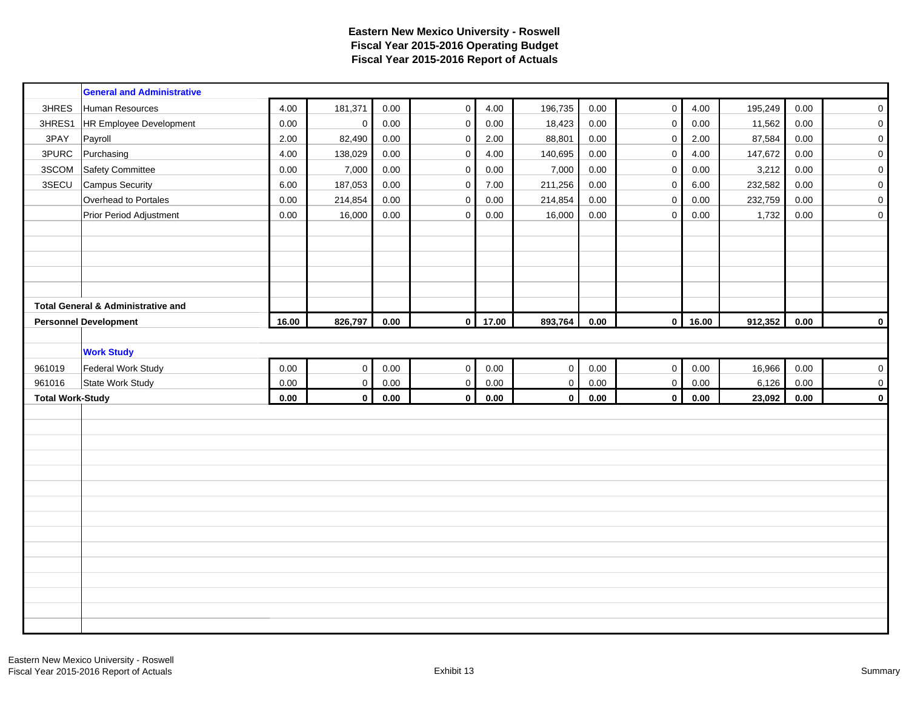|                         | <b>General and Administrative</b>             |       |             |          |              |       |                     |          |                     |       |         |          |                     |
|-------------------------|-----------------------------------------------|-------|-------------|----------|--------------|-------|---------------------|----------|---------------------|-------|---------|----------|---------------------|
| 3HRES                   | Human Resources                               | 4.00  | 181,371     | 0.00     | $\mathbf 0$  | 4.00  | 196,735             | 0.00     | $\mathbf 0$         | 4.00  | 195,249 | 0.00     | $\mathsf{O}\xspace$ |
| 3HRES1                  | <b>HR Employee Development</b>                | 0.00  | $\pmb{0}$   | 0.00     | $\mathbf 0$  | 0.00  | 18,423              | 0.00     | $\mathsf{O}\xspace$ | 0.00  | 11,562  | 0.00     | $\pmb{0}$           |
| 3PAY                    | Payroll                                       | 2.00  | 82,490      | 0.00     | $\pmb{0}$    | 2.00  | 88,801              | 0.00     | $\mathbf 0$         | 2.00  | 87,584  | 0.00     | $\pmb{0}$           |
| 3PURC                   | Purchasing                                    | 4.00  | 138,029     | $0.00\,$ | $\pmb{0}$    | 4.00  | 140,695             | $0.00\,$ | $\mathsf{O}\xspace$ | 4.00  | 147,672 | $0.00\,$ | $\pmb{0}$           |
| 3SCOM                   | <b>Safety Committee</b>                       | 0.00  | 7,000       | 0.00     | $\pmb{0}$    | 0.00  | 7,000               | 0.00     | $\mathbf 0$         | 0.00  | 3,212   | 0.00     | $\mathbf 0$         |
| 3SECU                   | <b>Campus Security</b>                        | 6.00  | 187,053     | 0.00     | $\pmb{0}$    | 7.00  | 211,256             | 0.00     | $\mathsf 0$         | 6.00  | 232,582 | 0.00     | $\pmb{0}$           |
|                         | Overhead to Portales                          | 0.00  | 214,854     | 0.00     | $\mathbf 0$  | 0.00  | 214,854             | 0.00     | $\mathbf 0$         | 0.00  | 232,759 | 0.00     | $\pmb{0}$           |
|                         | Prior Period Adjustment                       | 0.00  | 16,000      | 0.00     | $\mathbf 0$  | 0.00  | 16,000              | 0.00     | $\mathbf 0$         | 0.00  | 1,732   | 0.00     | $\pmb{0}$           |
|                         |                                               |       |             |          |              |       |                     |          |                     |       |         |          |                     |
|                         |                                               |       |             |          |              |       |                     |          |                     |       |         |          |                     |
|                         |                                               |       |             |          |              |       |                     |          |                     |       |         |          |                     |
|                         |                                               |       |             |          |              |       |                     |          |                     |       |         |          |                     |
|                         |                                               |       |             |          |              |       |                     |          |                     |       |         |          |                     |
|                         | <b>Total General &amp; Administrative and</b> |       |             |          |              |       |                     |          |                     |       |         |          |                     |
|                         | <b>Personnel Development</b>                  | 16.00 | 826,797     | 0.00     | $\mathbf{0}$ | 17.00 | 893,764             | $0.00\,$ | $\mathbf{0}$        | 16.00 | 912,352 | 0.00     | $\mathbf{0}$        |
|                         |                                               |       |             |          |              |       |                     |          |                     |       |         |          |                     |
|                         | <b>Work Study</b>                             |       |             |          |              |       |                     |          |                     |       |         |          |                     |
| 961019                  | Federal Work Study                            | 0.00  | $\mathbf 0$ | 0.00     | $\pmb{0}$    | 0.00  | $\mathbf 0$         | $0.00\,$ | $\mathbf 0$         | 0.00  | 16,966  | 0.00     | $\mathbf 0$         |
| 961016                  | State Work Study                              | 0.00  | $\mathbf 0$ | 0.00     | $\pmb{0}$    | 0.00  | $\mathsf{O}\xspace$ | 0.00     | $\mathsf{O}\xspace$ | 0.00  | 6,126   | 0.00     | 0                   |
| <b>Total Work-Study</b> |                                               | 0.00  | $\mathbf 0$ | 0.00     | $\mathbf{0}$ | 0.00  | $\mathbf{0}$        | 0.00     | $\mathbf{0}$        | 0.00  | 23,092  | 0.00     | $\mathbf 0$         |
|                         |                                               |       |             |          |              |       |                     |          |                     |       |         |          |                     |
|                         |                                               |       |             |          |              |       |                     |          |                     |       |         |          |                     |
|                         |                                               |       |             |          |              |       |                     |          |                     |       |         |          |                     |
|                         |                                               |       |             |          |              |       |                     |          |                     |       |         |          |                     |
|                         |                                               |       |             |          |              |       |                     |          |                     |       |         |          |                     |
|                         |                                               |       |             |          |              |       |                     |          |                     |       |         |          |                     |
|                         |                                               |       |             |          |              |       |                     |          |                     |       |         |          |                     |
|                         |                                               |       |             |          |              |       |                     |          |                     |       |         |          |                     |
|                         |                                               |       |             |          |              |       |                     |          |                     |       |         |          |                     |
|                         |                                               |       |             |          |              |       |                     |          |                     |       |         |          |                     |
|                         |                                               |       |             |          |              |       |                     |          |                     |       |         |          |                     |
|                         |                                               |       |             |          |              |       |                     |          |                     |       |         |          |                     |
|                         |                                               |       |             |          |              |       |                     |          |                     |       |         |          |                     |
|                         |                                               |       |             |          |              |       |                     |          |                     |       |         |          |                     |
|                         |                                               |       |             |          |              |       |                     |          |                     |       |         |          |                     |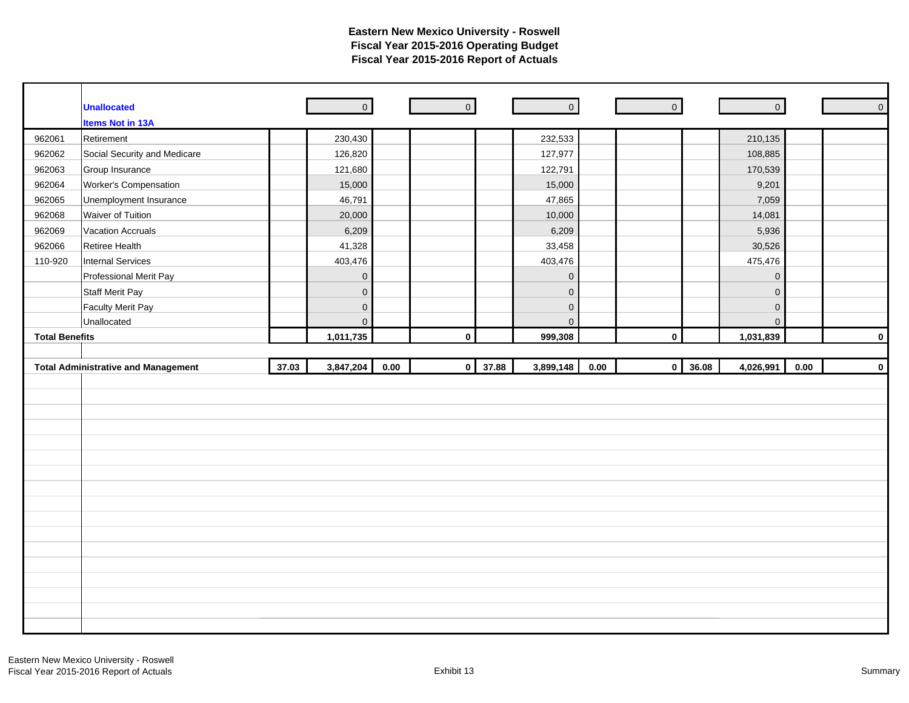|                       | <b>Unallocated</b>                         |       | $\overline{0}$      |      | $\overline{0}$ |       | $\overline{\phantom{a}}$ | $\overline{\phantom{a}}$ |                         | $\overline{0}$ |          | $\mathsf{O}$ |
|-----------------------|--------------------------------------------|-------|---------------------|------|----------------|-------|--------------------------|--------------------------|-------------------------|----------------|----------|--------------|
|                       | <b>Items Not in 13A</b>                    |       |                     |      |                |       |                          |                          |                         |                |          |              |
| 962061                | Retirement                                 |       | 230,430             |      |                |       | 232,533                  |                          |                         | 210,135        |          |              |
| 962062                | Social Security and Medicare               |       | 126,820             |      |                |       | 127,977                  |                          |                         | 108,885        |          |              |
| 962063                | Group Insurance                            |       | 121,680             |      |                |       | 122,791                  |                          |                         | 170,539        |          |              |
| 962064                | Worker's Compensation                      |       | 15,000              |      |                |       | 15,000                   |                          |                         | 9,201          |          |              |
| 962065                | Unemployment Insurance                     |       | 46,791              |      |                |       | 47,865                   |                          |                         | 7,059          |          |              |
| 962068                | Waiver of Tuition                          |       | 20,000              |      |                |       | 10,000                   |                          |                         | 14,081         |          |              |
| 962069                | <b>Vacation Accruals</b>                   |       | 6,209               |      |                |       | 6,209                    |                          |                         | 5,936          |          |              |
| 962066                | Retiree Health                             |       | 41,328              |      |                |       | 33,458                   |                          |                         | 30,526         |          |              |
| 110-920               | Internal Services                          |       | 403,476             |      |                |       | 403,476                  |                          |                         | 475,476        |          |              |
|                       | Professional Merit Pay                     |       | $\mathbf 0$         |      |                |       | $\mathbf 0$              |                          |                         | $\mathbf 0$    |          |              |
|                       | <b>Staff Merit Pay</b>                     |       | $\mathsf{O}$        |      |                |       | $\mathbf 0$              |                          |                         | $\mathbf 0$    |          |              |
|                       | <b>Faculty Merit Pay</b>                   |       | $\mathbf 0$         |      |                |       | $\mathsf{O}\xspace$      |                          |                         | $\mathbf 0$    |          |              |
|                       | Unallocated                                |       | $\mathsf{O}\xspace$ |      |                |       | $\mathbf{0}$             |                          |                         | $\overline{0}$ |          |              |
| <b>Total Benefits</b> |                                            |       | 1,011,735           |      | $\pmb{0}$      |       | 999,308                  |                          | $\mathbf 0$             | 1,031,839      |          | $\mathbf 0$  |
|                       |                                            |       |                     |      |                |       |                          |                          |                         |                |          |              |
|                       |                                            |       |                     |      |                |       |                          |                          |                         |                |          |              |
|                       | <b>Total Administrative and Management</b> | 37.03 | 3,847,204           | 0.00 | $\pmb{0}$      | 37.88 | 3,899,148                | 0.00                     | 36.08<br>$\overline{0}$ | 4,026,991      | $0.00\,$ | $\mathbf 0$  |
|                       |                                            |       |                     |      |                |       |                          |                          |                         |                |          |              |
|                       |                                            |       |                     |      |                |       |                          |                          |                         |                |          |              |
|                       |                                            |       |                     |      |                |       |                          |                          |                         |                |          |              |
|                       |                                            |       |                     |      |                |       |                          |                          |                         |                |          |              |
|                       |                                            |       |                     |      |                |       |                          |                          |                         |                |          |              |
|                       |                                            |       |                     |      |                |       |                          |                          |                         |                |          |              |
|                       |                                            |       |                     |      |                |       |                          |                          |                         |                |          |              |
|                       |                                            |       |                     |      |                |       |                          |                          |                         |                |          |              |
|                       |                                            |       |                     |      |                |       |                          |                          |                         |                |          |              |
|                       |                                            |       |                     |      |                |       |                          |                          |                         |                |          |              |
|                       |                                            |       |                     |      |                |       |                          |                          |                         |                |          |              |
|                       |                                            |       |                     |      |                |       |                          |                          |                         |                |          |              |
|                       |                                            |       |                     |      |                |       |                          |                          |                         |                |          |              |
|                       |                                            |       |                     |      |                |       |                          |                          |                         |                |          |              |
|                       |                                            |       |                     |      |                |       |                          |                          |                         |                |          |              |
|                       |                                            |       |                     |      |                |       |                          |                          |                         |                |          |              |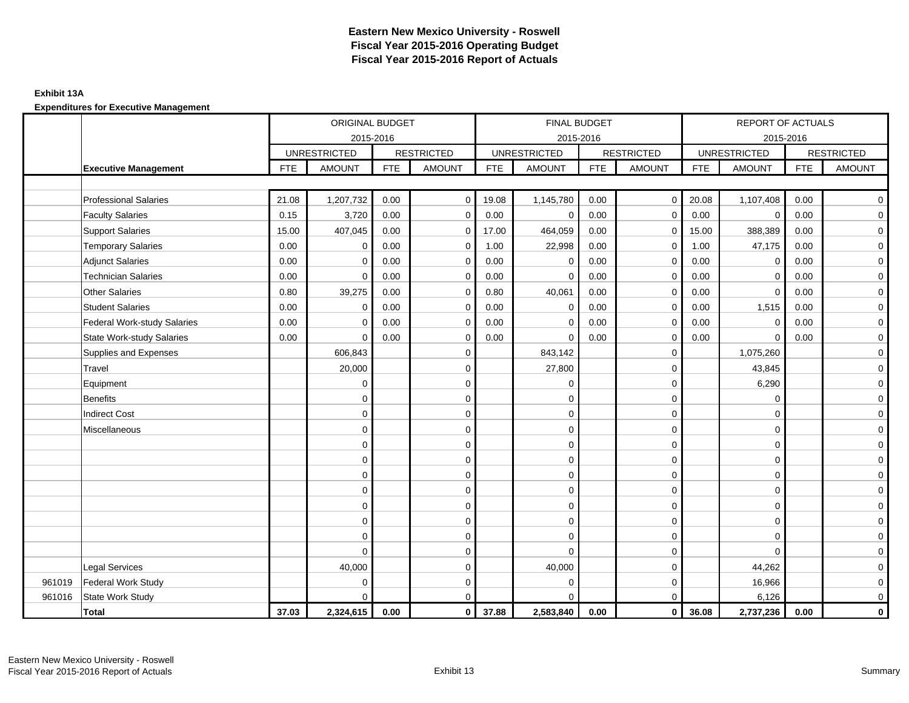### **Exhibit 13A**

|        |                              |            | ORIGINAL BUDGET     |            |                   |            | FINAL BUDGET        |            |                     |            | <b>REPORT OF ACTUALS</b> |            |                     |
|--------|------------------------------|------------|---------------------|------------|-------------------|------------|---------------------|------------|---------------------|------------|--------------------------|------------|---------------------|
|        |                              |            | 2015-2016           |            |                   |            | 2015-2016           |            |                     |            | 2015-2016                |            |                     |
|        |                              |            | <b>UNRESTRICTED</b> |            | <b>RESTRICTED</b> |            | <b>UNRESTRICTED</b> |            | <b>RESTRICTED</b>   |            | <b>UNRESTRICTED</b>      |            | <b>RESTRICTED</b>   |
|        | <b>Executive Management</b>  | <b>FTE</b> | <b>AMOUNT</b>       | <b>FTE</b> | <b>AMOUNT</b>     | <b>FTE</b> | <b>AMOUNT</b>       | <b>FTE</b> | <b>AMOUNT</b>       | <b>FTE</b> | <b>AMOUNT</b>            | <b>FTE</b> | <b>AMOUNT</b>       |
|        |                              |            |                     |            |                   |            |                     |            |                     |            |                          |            |                     |
|        | <b>Professional Salaries</b> | 21.08      | 1,207,732           | 0.00       | $\mathbf 0$       | 19.08      | 1,145,780           | 0.00       | $\overline{0}$      | 20.08      | 1,107,408                | 0.00       | $\mathbf 0$         |
|        | <b>Faculty Salaries</b>      | 0.15       | 3,720               | 0.00       | $\mathbf 0$       | 0.00       | 0                   | 0.00       | $\mathbf 0$         | 0.00       | $\mathbf 0$              | 0.00       | $\overline{0}$      |
|        | Support Salaries             | 15.00      | 407,045             | 0.00       | $\Omega$          | 17.00      | 464,059             | 0.00       | $\mathbf 0$         | 15.00      | 388,389                  | 0.00       | $\overline{0}$      |
|        | <b>Temporary Salaries</b>    | 0.00       | $\mathbf 0$         | 0.00       | $\mathbf 0$       | 1.00       | 22,998              | 0.00       | $\mathbf 0$         | 1.00       | 47,175                   | 0.00       | $\mathbf{O}$        |
|        | <b>Adjunct Salaries</b>      | 0.00       | $\mathbf 0$         | 0.00       | $\mathbf 0$       | 0.00       | $\mathbf 0$         | 0.00       | $\mathbf 0$         | 0.00       | $\mathbf 0$              | 0.00       | $\overline{0}$      |
|        | <b>Technician Salaries</b>   | 0.00       | $\Omega$            | 0.00       | $\mathbf 0$       | 0.00       | $\Omega$            | 0.00       | $\mathbf 0$         | 0.00       | 0                        | 0.00       | $\overline{0}$      |
|        | Other Salaries               | 0.80       | 39,275              | 0.00       | $\mathbf 0$       | 0.80       | 40,061              | 0.00       | $\mathbf 0$         | 0.00       | $\mathbf 0$              | 0.00       | $\mathbf 0$         |
|        | <b>Student Salaries</b>      | 0.00       | $\mathbf 0$         | 0.00       | $\mathbf 0$       | 0.00       | $\mathbf 0$         | 0.00       | $\mathbf 0$         | 0.00       | 1,515                    | 0.00       | $\mathbf 0$         |
|        | Federal Work-study Salaries  | 0.00       | $\Omega$            | 0.00       | $\mathbf 0$       | 0.00       | $\Omega$            | 0.00       | $\mathbf 0$         | 0.00       | $\Omega$                 | 0.00       | $\overline{0}$      |
|        | State Work-study Salaries    | 0.00       | $\mathbf 0$         | 0.00       | 0                 | 0.00       | $\mathbf 0$         | 0.00       | $\mathbf 0$         | 0.00       | $\mathbf 0$              | 0.00       | $\overline{0}$      |
|        | Supplies and Expenses        |            | 606,843             |            | 0                 |            | 843,142             |            | $\mathbf 0$         |            | 1,075,260                |            | $\overline{0}$      |
|        | Travel                       |            | 20,000              |            | $\mathbf 0$       |            | 27,800              |            | $\mathbf 0$         |            | 43,845                   |            | $\mathbf 0$         |
|        | Equipment                    |            | $\mathbf 0$         |            | $\mathbf 0$       |            | $\mathbf 0$         |            | $\mathbf 0$         |            | 6,290                    |            | $\overline{0}$      |
|        | <b>Benefits</b>              |            | $\mathbf 0$         |            | $\mathbf 0$       |            | $\mathbf 0$         |            | $\mathbf 0$         |            | 0                        |            | $\mathbf 0$         |
|        | <b>Indirect Cost</b>         |            | $\Omega$            |            | $\mathbf 0$       |            | 0                   |            | $\mathbf 0$         |            | $\Omega$                 |            | $\mathbf 0$         |
|        | Miscellaneous                |            | 0                   |            | $\mathbf 0$       |            | $\mathbf 0$         |            | $\pmb{0}$           |            | $\mathbf 0$              |            | $\mathbf 0$         |
|        |                              |            | $\Omega$            |            | $\mathbf 0$       |            | 0                   |            | $\mathbf 0$         |            | $\mathbf 0$              |            | $\overline{0}$      |
|        |                              |            | $\mathbf 0$         |            | $\mathbf 0$       |            | $\mathbf 0$         |            | $\mathbf 0$         |            | 0                        |            | $\mathbf 0$         |
|        |                              |            | $\Omega$            |            | $\mathsf 0$       |            | 0                   |            | $\mathsf{O}\xspace$ |            | $\mathbf 0$              |            | $\overline{0}$      |
|        |                              |            | $\mathbf 0$         |            | $\mathbf 0$       |            | 0                   |            | $\mathbf 0$         |            | $\Omega$                 |            | $\overline{0}$      |
|        |                              |            | $\Omega$            |            | 0                 |            | 0                   |            | $\mathbf 0$         |            | $\mathbf 0$              |            | $\overline{0}$      |
|        |                              |            | $\Omega$            |            | 0                 |            | 0                   |            | $\mathbf 0$         |            | 0                        |            | $\mathbf 0$         |
|        |                              |            | $\Omega$            |            | $\mathbf 0$       |            | $\mathbf 0$         |            | $\mathbf 0$         |            | $\Omega$                 |            | $\mathbf 0$         |
|        |                              |            | $\Omega$            |            | $\mathbf 0$       |            | $\Omega$            |            | $\mathbf 0$         |            | $\Omega$                 |            | $\mathbf 0$         |
|        | <b>Legal Services</b>        |            | 40,000              |            | $\mathbf 0$       |            | 40,000              |            | $\mathbf 0$         |            | 44,262                   |            | $\mathbf 0$         |
| 961019 | Federal Work Study           |            | $\Omega$            |            | $\mathbf 0$       |            | 0                   |            | $\mathbf 0$         |            | 16,966                   |            | $\mathbf 0$         |
| 961016 | <b>State Work Study</b>      |            | $\Omega$            |            | $\mathbf 0$       |            | $\Omega$            |            | $\mathbf 0$         |            | 6,126                    |            | $\mathsf{O}\xspace$ |
|        | <b>Total</b>                 | 37.03      | 2,324,615           | 0.00       | $\mathbf 0$       | 37.88      | 2,583,840           | 0.00       | $\mathbf{0}$        | 36.08      | 2,737,236                | 0.00       | $\mathbf 0$         |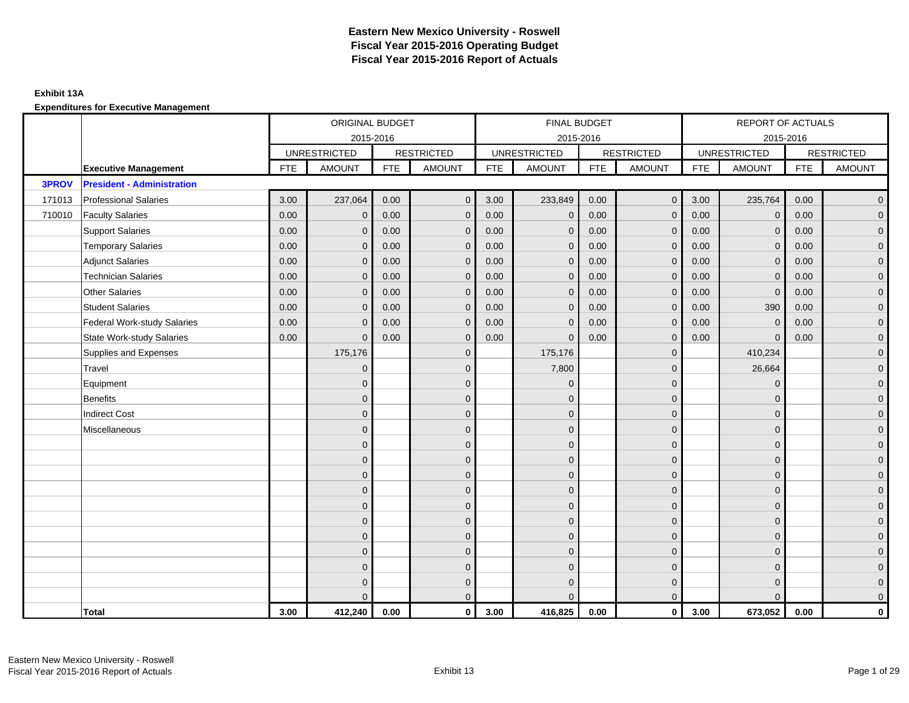### **Exhibit 13A**

|        |                                    | ORIGINAL BUDGET<br>2015-2016 |                     |            |                   |            | FINAL BUDGET        |            |                   |            | REPORT OF ACTUALS   |            |                   |
|--------|------------------------------------|------------------------------|---------------------|------------|-------------------|------------|---------------------|------------|-------------------|------------|---------------------|------------|-------------------|
|        |                                    |                              |                     |            |                   |            | 2015-2016           |            |                   |            | 2015-2016           |            |                   |
|        |                                    |                              | <b>UNRESTRICTED</b> |            | <b>RESTRICTED</b> |            | <b>UNRESTRICTED</b> |            | <b>RESTRICTED</b> |            | <b>UNRESTRICTED</b> |            | <b>RESTRICTED</b> |
|        | <b>Executive Management</b>        | <b>FTE</b>                   | <b>AMOUNT</b>       | <b>FTE</b> | <b>AMOUNT</b>     | <b>FTE</b> | <b>AMOUNT</b>       | <b>FTE</b> | <b>AMOUNT</b>     | <b>FTE</b> | <b>AMOUNT</b>       | <b>FTE</b> | <b>AMOUNT</b>     |
| 3PROV  | <b>President - Administration</b>  |                              |                     |            |                   |            |                     |            |                   |            |                     |            |                   |
| 171013 | <b>Professional Salaries</b>       | 3.00                         | 237,064             | 0.00       | $\mathbf 0$       | 3.00       | 233,849             | 0.00       | $\overline{0}$    | 3.00       | 235,764             | 0.00       | $\overline{0}$    |
| 710010 | <b>Faculty Salaries</b>            | 0.00                         | $\mathbf{0}$        | 0.00       | $\Omega$          | 0.00       | $\mathbf 0$         | 0.00       | $\mathbf{0}$      | 0.00       | $\mathbf 0$         | 0.00       | $\overline{0}$    |
|        | <b>Support Salaries</b>            | 0.00                         | $\mathbf{0}$        | 0.00       | $\Omega$          | 0.00       | $\mathbf{0}$        | 0.00       | $\mathbf{0}$      | 0.00       | $\Omega$            | 0.00       | $\overline{0}$    |
|        | <b>Temporary Salaries</b>          | 0.00                         | $\Omega$            | 0.00       | $\Omega$          | 0.00       | $\Omega$            | 0.00       | $\Omega$          | 0.00       | $\mathbf{0}$        | 0.00       | $\overline{0}$    |
|        | <b>Adjunct Salaries</b>            | 0.00                         | $\mathbf{0}$        | 0.00       | $\mathbf{0}$      | 0.00       | $\mathbf{0}$        | 0.00       | $\overline{0}$    | 0.00       | $\mathbf{0}$        | 0.00       | $\overline{0}$    |
|        | <b>Technician Salaries</b>         | 0.00                         | $\mathbf 0$         | 0.00       | $\mathbf{0}$      | 0.00       | $\mathbf 0$         | 0.00       | $\mathbf 0$       | 0.00       | $\mathbf 0$         | 0.00       | $\overline{0}$    |
|        | <b>Other Salaries</b>              | 0.00                         | $\mathbf{0}$        | 0.00       | $\mathbf{0}$      | 0.00       | $\mathbf{0}$        | 0.00       | $\mathbf{0}$      | 0.00       | $\Omega$            | 0.00       | $\mathbf 0$       |
|        | <b>Student Salaries</b>            | 0.00                         | $\mathbf{0}$        | 0.00       | $\mathbf{0}$      | 0.00       | $\mathbf{0}$        | 0.00       | $\mathbf{0}$      | 0.00       | 390                 | 0.00       | $\overline{0}$    |
|        | <b>Federal Work-study Salaries</b> | 0.00                         | $\mathbf{0}$        | 0.00       | $\Omega$          | 0.00       | $\mathbf{0}$        | 0.00       | $\mathbf{0}$      | 0.00       | $\Omega$            | 0.00       | $\overline{0}$    |
|        | <b>State Work-study Salaries</b>   | 0.00                         | $\mathbf{0}$        | 0.00       | $\Omega$          | 0.00       | $\Omega$            | 0.00       | $\mathbf{0}$      | 0.00       | $\Omega$            | 0.00       | $\overline{0}$    |
|        | Supplies and Expenses              |                              | 175,176             |            | $\Omega$          |            | 175,176             |            | $\mathbf{0}$      |            | 410,234             |            | $\overline{0}$    |
|        | Travel                             |                              | $\mathbf 0$         |            | $\mathbf 0$       |            | 7,800               |            | $\mathbf{0}$      |            | 26,664              |            | $\overline{0}$    |
|        | Equipment                          |                              | $\Omega$            |            | $\mathbf{0}$      |            | $\Omega$            |            | $\mathbf{0}$      |            | $\mathbf{0}$        |            | $\overline{0}$    |
|        | <b>Benefits</b>                    |                              | $\Omega$            |            | $\mathbf{0}$      |            | $\Omega$            |            | $\mathbf{0}$      |            | $\Omega$            |            | $\overline{0}$    |
|        | <b>Indirect Cost</b>               |                              | $\Omega$            |            | $\mathbf{0}$      |            | $\Omega$            |            | $\mathbf{0}$      |            | $\Omega$            |            | $\overline{0}$    |
|        | Miscellaneous                      |                              | $\Omega$            |            | $\mathbf{0}$      |            | $\Omega$            |            | $\mathbf{0}$      |            | $\Omega$            |            | $\overline{0}$    |
|        |                                    |                              | $\mathbf{0}$        |            | $\mathbf{0}$      |            | $\Omega$            |            | $\mathbf{0}$      |            | $\mathbf{0}$        |            | $\overline{0}$    |
|        |                                    |                              | $\mathbf{0}$        |            | $\mathbf 0$       |            | $\mathbf{0}$        |            | $\mathbf 0$       |            | $\mathbf{0}$        |            | $\mathbf 0$       |
|        |                                    |                              | $\mathbf{0}$        |            | $\mathbf 0$       |            | $\Omega$            |            | $\mathbf 0$       |            | $\Omega$            |            | $\overline{0}$    |
|        |                                    |                              | $\Omega$            |            | $\mathbf{0}$      |            | $\Omega$            |            | $\mathbf{0}$      |            | $\Omega$            |            | $\overline{0}$    |
|        |                                    |                              | $\Omega$            |            | $\mathbf{0}$      |            | $\Omega$            |            | $\mathbf{0}$      |            | $\Omega$            |            | $\overline{0}$    |
|        |                                    |                              | $\Omega$            |            | $\Omega$          |            | $\Omega$            |            | $\mathbf{0}$      |            | $\Omega$            |            | $\overline{0}$    |
|        |                                    |                              | $\mathbf{0}$        |            | $\mathbf 0$       |            | $\mathbf{0}$        |            | $\mathbf 0$       |            | $\Omega$            |            | $\overline{0}$    |
|        |                                    |                              | $\Omega$            |            | $\mathbf{0}$      |            | $\Omega$            |            | $\mathbf{0}$      |            | $\Omega$            |            | $\overline{0}$    |
|        |                                    |                              | $\Omega$            |            | $\mathbf{0}$      |            | $\Omega$            |            | $\mathbf{0}$      |            | $\Omega$            |            | $\mathbf 0$       |
|        |                                    |                              | $\Omega$            |            | $\mathbf{0}$      |            | $\Omega$            |            | $\mathbf 0$       |            | $\Omega$            |            | $\mathbf 0$       |
|        |                                    |                              | $\Omega$            |            | $\overline{0}$    |            | $\Omega$            |            | $\overline{0}$    |            | $\Omega$            |            | $\overline{0}$    |
|        | Total                              | 3.00                         | 412,240             | 0.00       | $\mathbf 0$       | 3.00       | 416,825             | 0.00       | $\overline{0}$    | 3.00       | 673,052             | 0.00       | 0                 |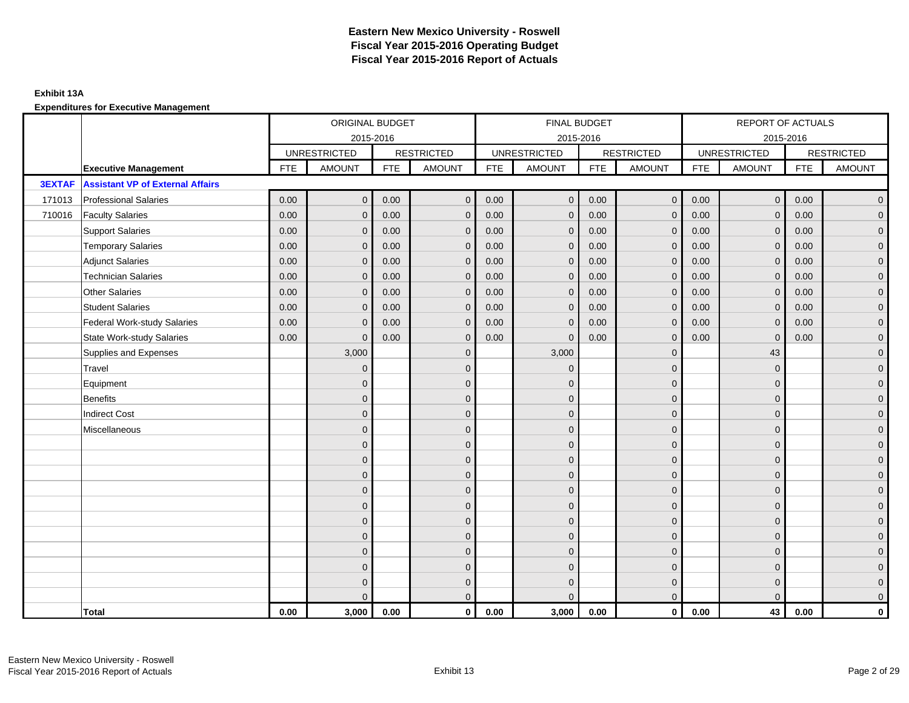### **Exhibit 13A**

|               |                                         |            | ORIGINAL BUDGET     |            |                   |            | FINAL BUDGET        |            |                   |            | REPORT OF ACTUALS   |            |                   |
|---------------|-----------------------------------------|------------|---------------------|------------|-------------------|------------|---------------------|------------|-------------------|------------|---------------------|------------|-------------------|
|               |                                         |            | 2015-2016           |            |                   |            | 2015-2016           |            |                   |            | 2015-2016           |            |                   |
|               |                                         |            | <b>UNRESTRICTED</b> |            | <b>RESTRICTED</b> |            | <b>UNRESTRICTED</b> |            | <b>RESTRICTED</b> |            | <b>UNRESTRICTED</b> |            | <b>RESTRICTED</b> |
|               | <b>Executive Management</b>             | <b>FTE</b> | <b>AMOUNT</b>       | <b>FTE</b> | <b>AMOUNT</b>     | <b>FTE</b> | <b>AMOUNT</b>       | <b>FTE</b> | <b>AMOUNT</b>     | <b>FTE</b> | <b>AMOUNT</b>       | <b>FTE</b> | <b>AMOUNT</b>     |
| <b>3EXTAF</b> | <b>Assistant VP of External Affairs</b> |            |                     |            |                   |            |                     |            |                   |            |                     |            |                   |
| 171013        | <b>Professional Salaries</b>            | 0.00       | $\mathbf{0}$        | 0.00       | $\mathbf{0}$      | 0.00       | $\mathbf{0}$        | 0.00       | $\overline{0}$    | 0.00       | $\mathsf{O}\xspace$ | 0.00       | $\overline{0}$    |
| 710016        | <b>Faculty Salaries</b>                 | 0.00       | $\mathbf{0}$        | 0.00       | $\Omega$          | 0.00       | $\mathbf{0}$        | 0.00       | $\mathbf{0}$      | 0.00       | $\mathbf{0}$        | 0.00       | $\overline{0}$    |
|               | <b>Support Salaries</b>                 | 0.00       | $\Omega$            | 0.00       | $\Omega$          | 0.00       | $\Omega$            | 0.00       | $\Omega$          | 0.00       | $\Omega$            | 0.00       | $\overline{0}$    |
|               | <b>Temporary Salaries</b>               | 0.00       | $\mathbf{0}$        | 0.00       | $\mathbf{0}$      | 0.00       | $\mathbf{0}$        | 0.00       | $\mathbf 0$       | 0.00       | $\mathbf 0$         | 0.00       | $\mathbf{0}$      |
|               | <b>Adjunct Salaries</b>                 | 0.00       | $\mathbf{0}$        | 0.00       | $\mathbf{0}$      | 0.00       | $\mathbf{0}$        | 0.00       | $\mathbf 0$       | 0.00       | $\mathbf 0$         | 0.00       | $\overline{0}$    |
|               | <b>Technician Salaries</b>              | 0.00       | $\mathbf{0}$        | 0.00       | $\Omega$          | 0.00       | $\mathbf{0}$        | 0.00       | $\mathbf 0$       | 0.00       | $\mathbf{0}$        | 0.00       | $\overline{0}$    |
|               | <b>Other Salaries</b>                   | 0.00       | $\Omega$            | 0.00       | $\Omega$          | 0.00       | $\Omega$            | 0.00       | $\Omega$          | 0.00       | $\mathbf 0$         | 0.00       | $\overline{0}$    |
|               | <b>Student Salaries</b>                 | 0.00       | $\mathbf{0}$        | 0.00       | $\mathbf{0}$      | 0.00       | $\mathbf{0}$        | 0.00       | $\mathbf 0$       | 0.00       | $\mathbf 0$         | 0.00       | $\mathbf{0}$      |
|               | <b>Federal Work-study Salaries</b>      | 0.00       | $\Omega$            | 0.00       | $\Omega$          | 0.00       | $\mathbf{0}$        | 0.00       | $\mathbf 0$       | 0.00       | $\mathbf 0$         | 0.00       | $\overline{0}$    |
|               | <b>State Work-study Salaries</b>        | 0.00       | $\mathbf{0}$        | 0.00       | $\Omega$          | 0.00       | $\mathbf{0}$        | 0.00       | $\mathbf{0}$      | 0.00       | $\mathbf{0}$        | 0.00       | $\overline{0}$    |
|               | Supplies and Expenses                   |            | 3,000               |            | $\mathbf{0}$      |            | 3,000               |            | $\mathbf{0}$      |            | 43                  |            | $\overline{0}$    |
|               | Travel                                  |            | $\mathbf{0}$        |            | $\mathbf 0$       |            | $\mathbf{0}$        |            | $\mathbf 0$       |            | $\mathbf 0$         |            | $\overline{0}$    |
|               | Equipment                               |            | $\Omega$            |            | $\mathbf{0}$      |            | $\Omega$            |            | $\mathbf 0$       |            | $\mathbf 0$         |            | $\overline{0}$    |
|               | <b>Benefits</b>                         |            | $\Omega$            |            | $\mathbf{0}$      |            | $\Omega$            |            | $\mathbf 0$       |            | $\Omega$            |            | $\overline{0}$    |
|               | <b>Indirect Cost</b>                    |            | $\Omega$            |            | $\mathbf{0}$      |            | $\Omega$            |            | $\mathbf{0}$      |            | $\Omega$            |            | $\overline{0}$    |
|               | Miscellaneous                           |            | $\mathbf{0}$        |            | $\mathbf 0$       |            | $\mathbf{0}$        |            | $\mathbf 0$       |            | $\mathbf 0$         |            | $\overline{0}$    |
|               |                                         |            | $\mathbf{0}$        |            | $\mathbf{0}$      |            | $\Omega$            |            | $\mathbf 0$       |            | $\Omega$            |            | $\mathbf 0$       |
|               |                                         |            | $\mathbf{0}$        |            | $\mathbf{0}$      |            | $\mathbf{0}$        |            | $\mathbf 0$       |            | $\Omega$            |            | $\mathbf 0$       |
|               |                                         |            | $\Omega$            |            | $\mathbf{0}$      |            | $\Omega$            |            | $\mathbf{0}$      |            | $\Omega$            |            | $\overline{0}$    |
|               |                                         |            | $\Omega$            |            | $\mathbf{0}$      |            | $\Omega$            |            | $\mathbf 0$       |            | $\Omega$            |            | $\overline{0}$    |
|               |                                         |            | $\Omega$            |            | $\mathbf{0}$      |            | $\Omega$            |            | $\mathbf{0}$      |            | $\Omega$            |            | $\overline{0}$    |
|               |                                         |            | $\Omega$            |            | $\mathbf{0}$      |            | $\Omega$            |            | $\mathbf{0}$      |            | $\Omega$            |            | $\overline{0}$    |
|               |                                         |            | $\Omega$            |            | $\mathbf{0}$      |            | $\Omega$            |            | $\mathbf{0}$      |            | $\Omega$            |            | $\overline{0}$    |
|               |                                         |            | $\Omega$            |            | $\mathbf{0}$      |            | $\Omega$            |            | $\mathbf 0$       |            | $\mathbf 0$         |            | $\overline{0}$    |
|               |                                         |            | $\Omega$            |            | $\mathbf{0}$      |            | $\Omega$            |            | $\mathbf{0}$      |            | $\Omega$            |            | $\overline{0}$    |
|               |                                         |            | $\Omega$            |            | $\mathbf{0}$      |            | $\Omega$            |            | $\mathbf 0$       |            | $\mathbf 0$         |            | $\mathbf{0}$      |
|               |                                         |            | $\Omega$            |            | $\mathbf{0}$      |            | $\Omega$            |            | $\mathbf{0}$      |            | $\Omega$            |            | $\overline{0}$    |
|               | <b>Total</b>                            | 0.00       | 3,000               | 0.00       | $\mathbf 0$       | 0.00       | 3,000               | 0.00       | $\overline{0}$    | 0.00       | 43                  | 0.00       | $\mathbf{0}$      |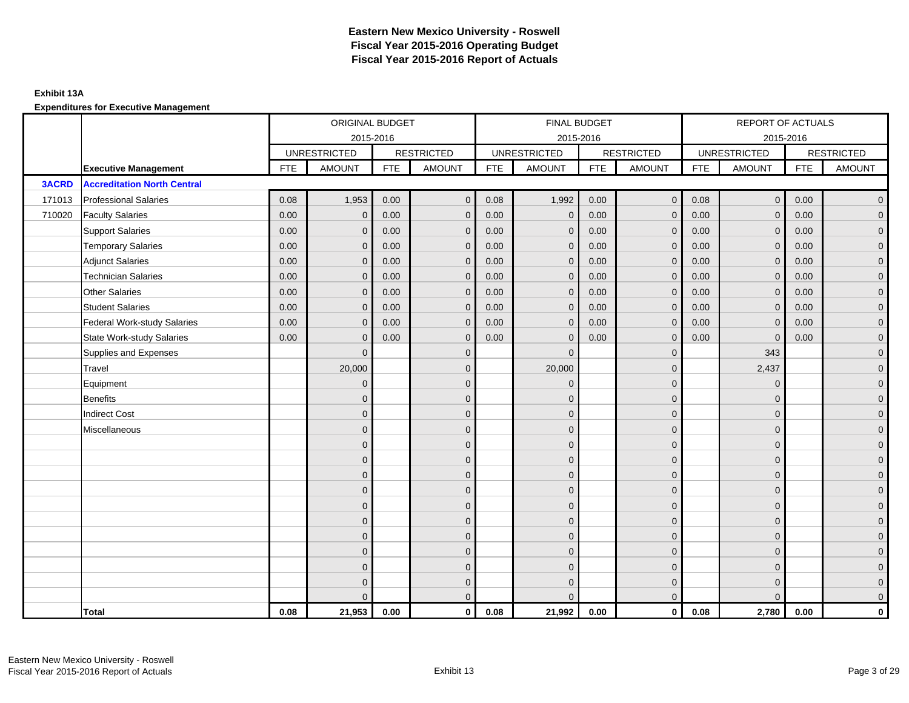### **Exhibit 13A**

|              |                                    | ORIGINAL BUDGET<br>2015-2016 |                     |            |                   |            | FINAL BUDGET        |            |                         |            | REPORT OF ACTUALS   |            |                     |
|--------------|------------------------------------|------------------------------|---------------------|------------|-------------------|------------|---------------------|------------|-------------------------|------------|---------------------|------------|---------------------|
|              |                                    |                              |                     |            |                   |            | 2015-2016           |            |                         |            | 2015-2016           |            |                     |
|              |                                    |                              | <b>UNRESTRICTED</b> |            | <b>RESTRICTED</b> |            | <b>UNRESTRICTED</b> |            | <b>RESTRICTED</b>       |            | <b>UNRESTRICTED</b> |            | <b>RESTRICTED</b>   |
|              | <b>Executive Management</b>        | <b>FTE</b>                   | <b>AMOUNT</b>       | <b>FTE</b> | <b>AMOUNT</b>     | <b>FTE</b> | <b>AMOUNT</b>       | <b>FTE</b> | <b>AMOUNT</b>           | <b>FTE</b> | <b>AMOUNT</b>       | <b>FTE</b> | <b>AMOUNT</b>       |
| <b>3ACRD</b> | <b>Accreditation North Central</b> |                              |                     |            |                   |            |                     |            |                         |            |                     |            |                     |
| 171013       | <b>Professional Salaries</b>       | 0.08                         | 1,953               | 0.00       | $\mathbf{0}$      | 0.08       | 1,992               | 0.00       | $\mathbf{0}$            | 0.08       | $\mathbf 0$         | 0.00       | $\overline{0}$      |
| 710020       | <b>Faculty Salaries</b>            | 0.00                         | $\mathbf{0}$        | 0.00       | $\Omega$          | 0.00       | $\mathbf{0}$        | 0.00       | $\mathbf{0}$            | 0.00       | $\mathbf{0}$        | 0.00       | $\overline{0}$      |
|              | <b>Support Salaries</b>            | 0.00                         | $\mathbf{0}$        | 0.00       | $\mathbf{0}$      | 0.00       | $\mathbf{0}$        | 0.00       | $\mathbf{0}$            | 0.00       | $\mathbf{0}$        | 0.00       | $\mathbf 0$         |
|              | <b>Temporary Salaries</b>          | 0.00                         | $\mathbf{0}$        | 0.00       | $\Omega$          | 0.00       | $\Omega$            | 0.00       | $\mathbf{0}$            | 0.00       | $\mathbf{0}$        | 0.00       | $\overline{0}$      |
|              | <b>Adjunct Salaries</b>            | 0.00                         | $\mathbf{0}$        | 0.00       | $\mathbf{0}$      | 0.00       | $\mathbf{0}$        | 0.00       | $\mathbf{0}$            | 0.00       | $\mathbf{0}$        | 0.00       | $\overline{0}$      |
|              | <b>Technician Salaries</b>         | 0.00                         | $\mathbf 0$         | 0.00       | $\mathbf{0}$      | 0.00       | $\mathbf 0$         | 0.00       | $\mathbf{0}$            | 0.00       | $\mathbf 0$         | 0.00       | $\overline{0}$      |
|              | <b>Other Salaries</b>              | 0.00                         | $\mathbf{0}$        | 0.00       | $\mathbf{0}$      | 0.00       | $\mathbf{0}$        | 0.00       | $\mathbf{0}$            | 0.00       | $\Omega$            | 0.00       | $\mathbf 0$         |
|              | <b>Student Salaries</b>            | 0.00                         | $\mathbf{0}$        | 0.00       | $\Omega$          | 0.00       | $\mathbf{0}$        | 0.00       | $\mathbf{0}$            | 0.00       | $\mathbf{0}$        | 0.00       | $\overline{0}$      |
|              | <b>Federal Work-study Salaries</b> | 0.00                         | $\mathbf{0}$        | 0.00       | $\Omega$          | 0.00       | $\mathbf{0}$        | 0.00       | $\mathbf{0}$            | 0.00       | $\mathbf{0}$        | 0.00       | $\overline{0}$      |
|              | <b>State Work-study Salaries</b>   | 0.00                         | $\mathbf{0}$        | 0.00       | $\mathbf{0}$      | 0.00       | $\mathbf{0}$        | 0.00       | $\mathbf{0}$            | 0.00       | $\Omega$            | 0.00       | $\overline{0}$      |
|              | Supplies and Expenses              |                              | $\mathbf{0}$        |            | $\mathbf{0}$      |            | $\mathbf{0}$        |            | $\mathbf 0$             |            | 343                 |            | $\overline{0}$      |
|              | Travel                             |                              | 20,000              |            | $\mathbf{0}$      |            | 20,000              |            | $\mathbf{0}$            |            | 2,437               |            | $\overline{0}$      |
|              | Equipment                          |                              | $\mathbf{0}$        |            | $\mathbf{0}$      |            | $\mathbf{0}$        |            | $\mathbf{0}$            |            | $\mathbf{0}$        |            | $\overline{0}$      |
|              | <b>Benefits</b>                    |                              | $\mathbf{0}$        |            | $\mathbf 0$       |            | $\Omega$            |            | $\mathbf 0$             |            | $\mathbf{0}$        |            | $\overline{0}$      |
|              | <b>Indirect Cost</b>               |                              | $\Omega$            |            | $\mathbf{0}$      |            | $\Omega$            |            | $\mathbf 0$             |            | $\Omega$            |            | $\overline{0}$      |
|              | Miscellaneous                      |                              | $\Omega$            |            | $\mathbf{0}$      |            | $\Omega$            |            | $\mathbf{0}$            |            | $\Omega$            |            | $\overline{0}$      |
|              |                                    |                              | $\mathbf{0}$        |            | $\mathbf{0}$      |            | $\Omega$            |            | $\mathbf{0}$            |            | $\mathbf{0}$        |            | $\overline{0}$      |
|              |                                    |                              | $\Omega$            |            | $\mathbf{0}$      |            | $\Omega$            |            | $\mathbf 0$             |            | $\Omega$            |            | $\mathbf 0$         |
|              |                                    |                              | $\Omega$            |            | $\mathbf 0$       |            | $\Omega$            |            | $\mathbf{0}$            |            | $\Omega$            |            | $\overline{0}$      |
|              |                                    |                              | $\Omega$            |            | $\mathbf{0}$      |            | $\Omega$            |            | $\mathbf{0}$            |            | $\Omega$            |            | $\overline{0}$      |
|              |                                    |                              | $\mathbf{0}$        |            | $\mathbf 0$       |            | $\Omega$            |            | $\mathbf{0}$            |            | $\mathbf{0}$        |            | $\overline{0}$      |
|              |                                    |                              | $\mathbf{0}$        |            | $\mathbf{0}$      |            | $\mathbf{0}$        |            | $\mathbf 0$             |            | $\Omega$            |            | $\mathbf 0$         |
|              |                                    |                              | $\mathbf{0}$        |            | $\mathbf{0}$      |            | $\Omega$            |            | $\mathbf{0}$            |            | $\Omega$            |            | $\overline{0}$      |
|              |                                    |                              | $\mathbf{0}$        |            | $\mathbf 0$       |            | $\mathbf{0}$        |            | $\mathbf 0$             |            | $\mathbf{0}$        |            | $\overline{0}$      |
|              |                                    |                              | $\mathbf{0}$        |            | $\mathbf 0$       |            | $\Omega$            |            | $\mathbf{0}$            |            | $\mathbf{0}$        |            | $\mathbf 0$         |
|              |                                    |                              | $\Omega$            |            | $\mathbf{0}$      |            | $\Omega$            |            | $\mathbf 0$             |            | $\mathbf{0}$        |            | $\mathsf{O}\xspace$ |
|              |                                    |                              | $\Omega$            |            | $\mathbf{0}$      |            | $\Omega$            |            | $\overline{0}$          |            | $\Omega$            |            | $\mathbf 0$         |
|              | Total                              | 0.08                         | 21,953              | 0.00       | $\mathbf{0}$      | 0.08       | 21,992              | 0.00       | $\overline{\mathbf{o}}$ | 0.08       | 2,780               | 0.00       | 0                   |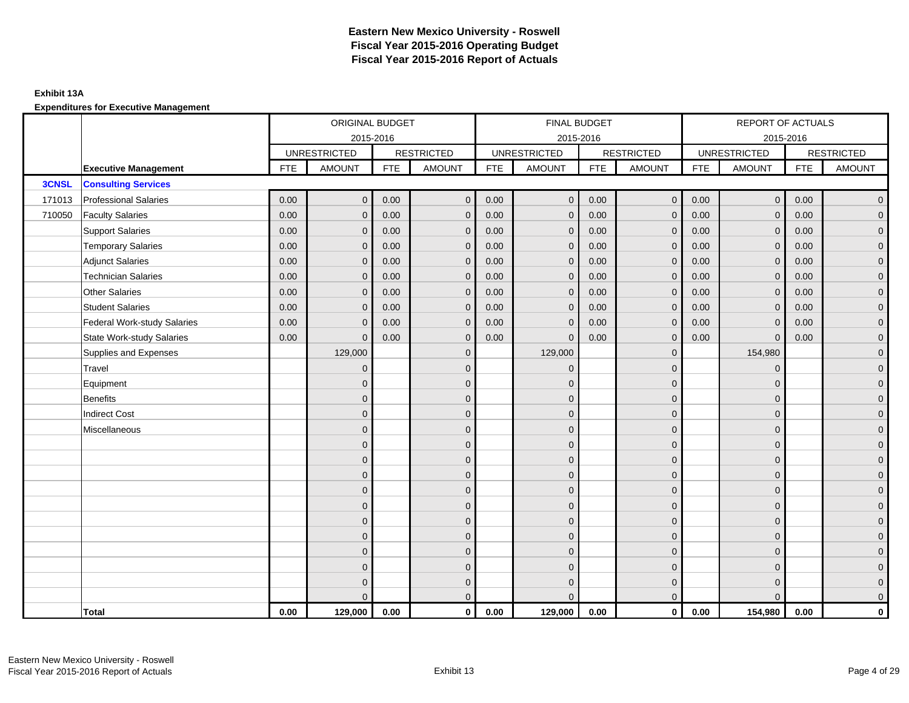### **Exhibit 13A**

|              |                                    |            | ORIGINAL BUDGET     |            |                   |            | <b>FINAL BUDGET</b> |            |                   |            | REPORT OF ACTUALS   |            |                   |
|--------------|------------------------------------|------------|---------------------|------------|-------------------|------------|---------------------|------------|-------------------|------------|---------------------|------------|-------------------|
|              |                                    |            | 2015-2016           |            |                   |            | 2015-2016           |            |                   |            | 2015-2016           |            |                   |
|              |                                    |            | <b>UNRESTRICTED</b> |            | <b>RESTRICTED</b> |            | <b>UNRESTRICTED</b> |            | <b>RESTRICTED</b> |            | <b>UNRESTRICTED</b> |            | <b>RESTRICTED</b> |
|              | <b>Executive Management</b>        | <b>FTE</b> | <b>AMOUNT</b>       | <b>FTE</b> | <b>AMOUNT</b>     | <b>FTE</b> | <b>AMOUNT</b>       | <b>FTE</b> | <b>AMOUNT</b>     | <b>FTE</b> | <b>AMOUNT</b>       | <b>FTE</b> | <b>AMOUNT</b>     |
| <b>3CNSL</b> | <b>Consulting Services</b>         |            |                     |            |                   |            |                     |            |                   |            |                     |            |                   |
| 171013       | <b>Professional Salaries</b>       | 0.00       | $\mathbf 0$         | 0.00       | $\mathbf 0$       | 0.00       | $\overline{0}$      | 0.00       | $\overline{0}$    | 0.00       | $\overline{0}$      | 0.00       | $\overline{0}$    |
| 710050       | <b>Faculty Salaries</b>            | 0.00       | $\mathbf{0}$        | 0.00       | $\Omega$          | 0.00       | $\mathbf{0}$        | 0.00       | $\mathbf{0}$      | 0.00       | $\mathbf{0}$        | 0.00       | $\overline{0}$    |
|              | <b>Support Salaries</b>            | 0.00       | $\mathbf{0}$        | 0.00       | $\mathbf{0}$      | 0.00       | $\mathbf{0}$        | 0.00       | $\mathbf{0}$      | 0.00       | $\mathbf{0}$        | 0.00       | $\overline{0}$    |
|              | <b>Temporary Salaries</b>          | 0.00       | $\mathbf{0}$        | 0.00       | $\mathbf{0}$      | 0.00       | $\mathbf{0}$        | 0.00       | $\mathbf{0}$      | 0.00       | $\mathbf 0$         | 0.00       | $\overline{0}$    |
|              | <b>Adjunct Salaries</b>            | 0.00       | $\mathbf{0}$        | 0.00       | $\mathbf{0}$      | 0.00       | $\mathbf{0}$        | 0.00       | $\mathbf 0$       | 0.00       | $\mathbf 0$         | 0.00       | $\overline{0}$    |
|              | <b>Technician Salaries</b>         | 0.00       | $\mathbf{0}$        | 0.00       | $\mathbf 0$       | 0.00       | $\mathbf{0}$        | 0.00       | $\mathbf{0}$      | 0.00       | $\mathbf{0}$        | 0.00       | $\overline{0}$    |
|              | <b>Other Salaries</b>              | 0.00       | $\Omega$            | 0.00       | $\Omega$          | 0.00       | $\Omega$            | 0.00       | $\mathbf{0}$      | 0.00       | $\mathbf{0}$        | 0.00       | $\overline{0}$    |
|              | <b>Student Salaries</b>            | 0.00       | $\mathbf{0}$        | 0.00       | $\mathbf{0}$      | 0.00       | $\mathbf{0}$        | 0.00       | $\mathbf{0}$      | 0.00       | $\mathbf 0$         | 0.00       | $\mathbf{0}$      |
|              | <b>Federal Work-study Salaries</b> | 0.00       | $\overline{0}$      | 0.00       | $\mathbf{0}$      | 0.00       | $\mathbf{0}$        | 0.00       | $\mathbf 0$       | 0.00       | $\mathbf{0}$        | 0.00       | $\overline{0}$    |
|              | <b>State Work-study Salaries</b>   | 0.00       | $\mathbf{0}$        | 0.00       | $\Omega$          | 0.00       | $\mathbf{0}$        | 0.00       | $\mathbf{0}$      | 0.00       | $\mathbf{0}$        | 0.00       | $\overline{0}$    |
|              | Supplies and Expenses              |            | 129,000             |            | $\mathbf{0}$      |            | 129,000             |            | $\mathbf 0$       |            | 154,980             |            | $\overline{0}$    |
|              | Travel                             |            | $\mathbf 0$         |            | $\mathbf{0}$      |            | $\mathbf{0}$        |            | $\mathbf 0$       |            | $\mathbf 0$         |            | $\overline{0}$    |
|              | Equipment                          |            | $\Omega$            |            | $\mathbf{0}$      |            | $\Omega$            |            | $\mathbf 0$       |            | $\mathbf 0$         |            | $\overline{0}$    |
|              | <b>Benefits</b>                    |            | $\Omega$            |            | $\mathbf 0$       |            | $\Omega$            |            | $\mathbf 0$       |            | $\Omega$            |            | $\overline{0}$    |
|              | <b>Indirect Cost</b>               |            | $\Omega$            |            | $\mathbf{0}$      |            | $\Omega$            |            | $\mathbf 0$       |            | $\Omega$            |            | $\overline{0}$    |
|              | Miscellaneous                      |            | $\overline{0}$      |            | $\mathbf 0$       |            | $\mathbf{0}$        |            | $\mathbf 0$       |            | $\mathbf 0$         |            | $\mathbf{0}$      |
|              |                                    |            | $\Omega$            |            | $\mathbf{0}$      |            | $\Omega$            |            | $\mathbf 0$       |            | $\mathbf 0$         |            | $\overline{0}$    |
|              |                                    |            | $\Omega$            |            | $\mathbf{0}$      |            | $\Omega$            |            | $\mathbf 0$       |            | $\Omega$            |            | $\overline{0}$    |
|              |                                    |            | $\Omega$            |            | $\mathbf{0}$      |            | $\Omega$            |            | $\mathbf 0$       |            | $\Omega$            |            | $\overline{0}$    |
|              |                                    |            | $\overline{0}$      |            | $\mathbf{0}$      |            | $\mathbf{0}$        |            | $\mathbf 0$       |            | $\mathbf{0}$        |            | $\overline{0}$    |
|              |                                    |            | $\mathbf{0}$        |            | $\mathbf 0$       |            | $\mathbf{0}$        |            | $\mathbf 0$       |            | $\mathbf 0$         |            | $\mathbf{0}$      |
|              |                                    |            | $\Omega$            |            | $\mathbf{0}$      |            | $\Omega$            |            | $\mathbf 0$       |            | $\Omega$            |            | $\mathbf{0}$      |
|              |                                    |            | $\Omega$            |            | $\mathbf{0}$      |            | $\Omega$            |            | $\mathbf{0}$      |            | $\Omega$            |            | $\overline{0}$    |
|              |                                    |            | $\Omega$            |            | $\mathbf{0}$      |            | $\Omega$            |            | $\mathbf 0$       |            | $\mathbf 0$         |            | $\overline{0}$    |
|              |                                    |            | $\overline{0}$      |            | $\mathbf{0}$      |            | $\Omega$            |            | $\mathbf 0$       |            | $\mathbf 0$         |            | $\mathbf{0}$      |
|              |                                    |            | $\Omega$            |            | $\mathbf{0}$      |            | $\Omega$            |            | $\mathbf 0$       |            | $\Omega$            |            | $\mathbf{0}$      |
|              |                                    |            | $\Omega$            |            | $\mathbf{0}$      |            | $\Omega$            |            | $\mathbf{0}$      |            | $\Omega$            |            | $\mathbf{0}$      |
|              | Total                              | 0.00       | 129,000             | 0.00       | $\mathbf 0$       | 0.00       | 129,000             | 0.00       | $\mathbf{0}$      | 0.00       | 154,980             | 0.00       | $\mathbf 0$       |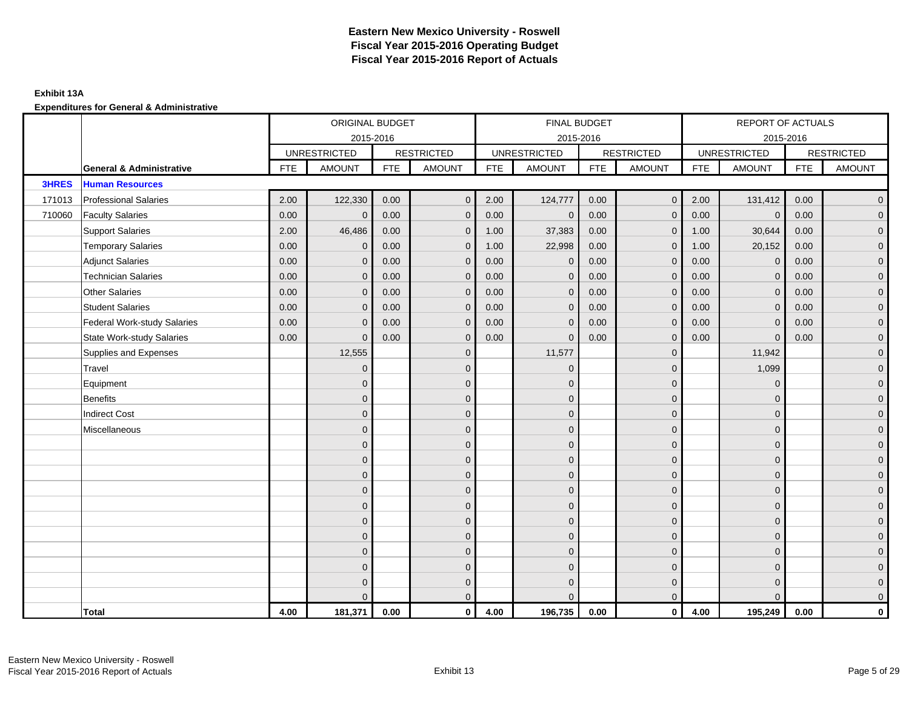### **Exhibit 13A**

|              |                                     |            | ORIGINAL BUDGET     |            |                   |            | FINAL BUDGET        |            |                   |            | REPORT OF ACTUALS   |            |                   |
|--------------|-------------------------------------|------------|---------------------|------------|-------------------|------------|---------------------|------------|-------------------|------------|---------------------|------------|-------------------|
|              |                                     |            | 2015-2016           |            |                   |            | 2015-2016           |            |                   |            | 2015-2016           |            |                   |
|              |                                     |            | <b>UNRESTRICTED</b> |            | <b>RESTRICTED</b> |            | <b>UNRESTRICTED</b> |            | <b>RESTRICTED</b> |            | <b>UNRESTRICTED</b> |            | <b>RESTRICTED</b> |
|              | <b>General &amp; Administrative</b> | <b>FTE</b> | <b>AMOUNT</b>       | <b>FTE</b> | <b>AMOUNT</b>     | <b>FTE</b> | AMOUNT              | <b>FTE</b> | <b>AMOUNT</b>     | <b>FTE</b> | <b>AMOUNT</b>       | <b>FTE</b> | <b>AMOUNT</b>     |
| <b>3HRES</b> | <b>Human Resources</b>              |            |                     |            |                   |            |                     |            |                   |            |                     |            |                   |
| 171013       | <b>Professional Salaries</b>        | 2.00       | 122,330             | 0.00       | $\mathbf{0}$      | 2.00       | 124,777             | 0.00       | $\overline{0}$    | 2.00       | 131,412             | 0.00       | $\overline{0}$    |
| 710060       | <b>Faculty Salaries</b>             | 0.00       | $\Omega$            | 0.00       | $\Omega$          | 0.00       | $\mathbf{0}$        | 0.00       | $\mathbf{0}$      | 0.00       | $\mathbf{0}$        | 0.00       | $\overline{0}$    |
|              | <b>Support Salaries</b>             | 2.00       | 46,486              | 0.00       | $\mathbf{0}$      | 1.00       | 37,383              | 0.00       | $\mathbf{0}$      | 1.00       | 30,644              | 0.00       | $\overline{0}$    |
|              | <b>Temporary Salaries</b>           | 0.00       | $\mathbf{0}$        | 0.00       | $\mathbf{0}$      | 1.00       | 22,998              | 0.00       | $\mathbf 0$       | 1.00       | 20,152              | 0.00       | $\overline{0}$    |
|              | <b>Adjunct Salaries</b>             | 0.00       | $\mathbf{0}$        | 0.00       | $\mathbf{0}$      | 0.00       | $\mathbf 0$         | 0.00       | $\mathbf 0$       | 0.00       | $\mathbf 0$         | 0.00       | $\overline{0}$    |
|              | <b>Technician Salaries</b>          | 0.00       | $\mathbf{0}$        | 0.00       | $\mathbf 0$       | 0.00       | $\mathbf{0}$        | 0.00       | $\mathbf{0}$      | 0.00       | $\mathbf{0}$        | 0.00       | $\overline{0}$    |
|              | <b>Other Salaries</b>               | 0.00       | $\Omega$            | 0.00       | $\Omega$          | 0.00       | $\Omega$            | 0.00       | $\mathbf{0}$      | 0.00       | $\mathbf{0}$        | 0.00       | $\overline{0}$    |
|              | <b>Student Salaries</b>             | 0.00       | $\mathbf{0}$        | 0.00       | $\mathbf{0}$      | 0.00       | $\mathbf{0}$        | 0.00       | $\mathbf{0}$      | 0.00       | $\mathbf 0$         | 0.00       | $\mathbf{0}$      |
|              | <b>Federal Work-study Salaries</b>  | 0.00       | $\mathbf{0}$        | 0.00       | $\Omega$          | 0.00       | $\mathbf{0}$        | 0.00       | $\mathbf{0}$      | 0.00       | $\mathbf{0}$        | 0.00       | $\overline{0}$    |
|              | <b>State Work-study Salaries</b>    | 0.00       | $\overline{0}$      | 0.00       | $\Omega$          | 0.00       | $\Omega$            | 0.00       | $\mathbf{0}$      | 0.00       | $\mathbf{0}$        | 0.00       | $\overline{0}$    |
|              | Supplies and Expenses               |            | 12,555              |            | $\mathbf{0}$      |            | 11,577              |            | $\mathbf 0$       |            | 11,942              |            | $\overline{0}$    |
|              | Travel                              |            | $\mathbf 0$         |            | $\mathbf{0}$      |            | $\mathbf 0$         |            | $\mathbf 0$       |            | 1,099               |            | $\overline{0}$    |
|              | Equipment                           |            | $\Omega$            |            | $\mathbf{0}$      |            | $\Omega$            |            | $\mathbf 0$       |            | $\mathbf 0$         |            | $\overline{0}$    |
|              | <b>Benefits</b>                     |            | $\Omega$            |            | $\mathbf{0}$      |            | $\Omega$            |            | $\mathbf 0$       |            | $\Omega$            |            | $\overline{0}$    |
|              | <b>Indirect Cost</b>                |            | $\Omega$            |            | $\mathbf{0}$      |            | $\Omega$            |            | $\mathbf{0}$      |            | $\Omega$            |            | $\overline{0}$    |
|              | Miscellaneous                       |            | $\mathbf{0}$        |            | $\mathbf 0$       |            | $\mathbf{0}$        |            | $\mathbf 0$       |            | $\mathbf{0}$        |            | $\overline{0}$    |
|              |                                     |            | $\Omega$            |            | $\mathbf{0}$      |            | $\Omega$            |            | $\mathbf 0$       |            | $\mathbf{0}$        |            | $\overline{0}$    |
|              |                                     |            | $\Omega$            |            | $\mathbf{0}$      |            | $\Omega$            |            | $\mathbf 0$       |            | $\Omega$            |            | $\overline{0}$    |
|              |                                     |            | $\Omega$            |            | $\mathbf{0}$      |            | $\Omega$            |            | $\mathbf{0}$      |            | $\Omega$            |            | $\overline{0}$    |
|              |                                     |            | $\mathbf{0}$        |            | $\mathbf{0}$      |            | $\mathbf{0}$        |            | $\mathbf 0$       |            | $\mathbf{0}$        |            | $\overline{0}$    |
|              |                                     |            | $\overline{0}$      |            | $\mathbf 0$       |            | $\mathbf{0}$        |            | $\mathbf 0$       |            | $\mathbf 0$         |            | $\overline{0}$    |
|              |                                     |            | $\Omega$            |            | $\mathbf{0}$      |            | $\Omega$            |            | $\mathbf 0$       |            | $\Omega$            |            | $\mathbf{0}$      |
|              |                                     |            | $\Omega$            |            | $\mathbf{0}$      |            | $\Omega$            |            | $\mathbf{0}$      |            | $\Omega$            |            | $\overline{0}$    |
|              |                                     |            | $\Omega$            |            | $\mathbf{0}$      |            | $\Omega$            |            | $\mathbf 0$       |            | $\mathbf 0$         |            | $\overline{0}$    |
|              |                                     |            | $\overline{0}$      |            | $\mathbf{0}$      |            | $\Omega$            |            | $\mathbf 0$       |            | $\mathbf 0$         |            | $\mathbf{0}$      |
|              |                                     |            | $\Omega$            |            | $\mathbf{0}$      |            | $\Omega$            |            | $\mathbf 0$       |            | $\Omega$            |            | $\mathbf{0}$      |
|              |                                     |            | $\Omega$            |            | $\mathbf{0}$      |            | $\Omega$            |            | $\mathbf{0}$      |            | $\Omega$            |            | $\overline{0}$    |
|              | Total                               | 4.00       | 181,371             | 0.00       | $\mathbf 0$       | 4.00       | 196,735             | 0.00       | $\mathbf{0}$      | 4.00       | 195,249             | 0.00       | $\mathbf 0$       |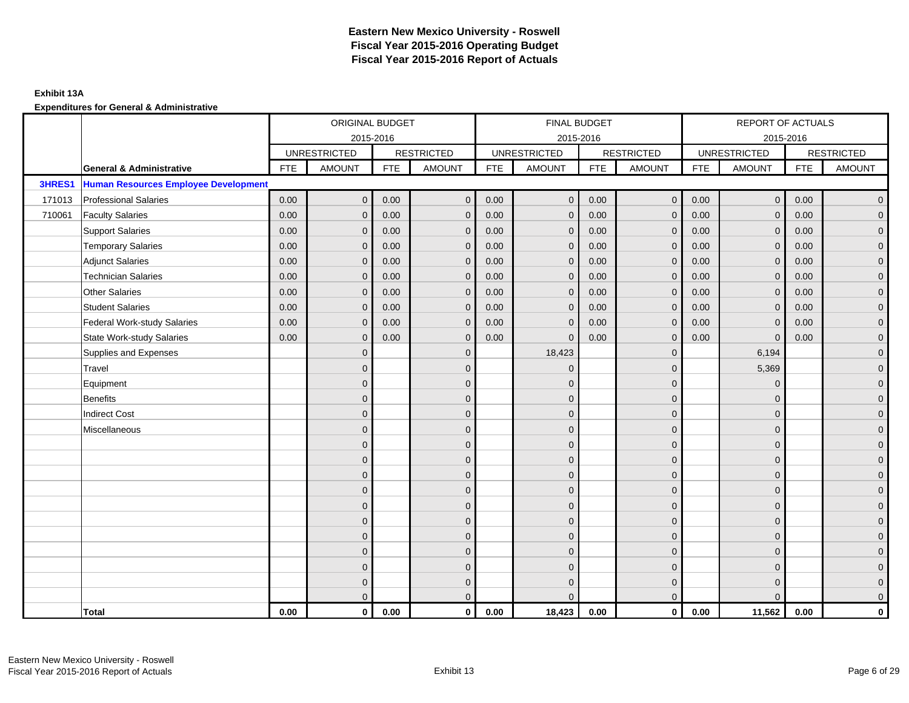### **Exhibit 13A**

|        |                                             |            | ORIGINAL BUDGET     |            |                   |            | <b>FINAL BUDGET</b> |            |                   |            | REPORT OF ACTUALS   |            |                   |
|--------|---------------------------------------------|------------|---------------------|------------|-------------------|------------|---------------------|------------|-------------------|------------|---------------------|------------|-------------------|
|        |                                             |            | 2015-2016           |            |                   |            | 2015-2016           |            |                   |            | 2015-2016           |            |                   |
|        |                                             |            | <b>UNRESTRICTED</b> |            | <b>RESTRICTED</b> |            | <b>UNRESTRICTED</b> |            | <b>RESTRICTED</b> |            | <b>UNRESTRICTED</b> |            | <b>RESTRICTED</b> |
|        | <b>General &amp; Administrative</b>         | <b>FTE</b> | <b>AMOUNT</b>       | <b>FTE</b> | <b>AMOUNT</b>     | <b>FTE</b> | <b>AMOUNT</b>       | <b>FTE</b> | <b>AMOUNT</b>     | <b>FTE</b> | <b>AMOUNT</b>       | <b>FTE</b> | <b>AMOUNT</b>     |
| 3HRES1 | <b>Human Resources Employee Development</b> |            |                     |            |                   |            |                     |            |                   |            |                     |            |                   |
| 171013 | <b>Professional Salaries</b>                | 0.00       | $\mathbf 0$         | 0.00       | $\mathbf 0$       | 0.00       | $\mathbf 0$         | 0.00       | $\overline{0}$    | 0.00       | $\mathbf 0$         | 0.00       | $\overline{0}$    |
| 710061 | <b>Faculty Salaries</b>                     | 0.00       | $\mathbf{0}$        | 0.00       | $\Omega$          | 0.00       | $\mathbf{0}$        | 0.00       | $\mathbf{0}$      | 0.00       | $\mathbf{0}$        | 0.00       | $\overline{0}$    |
|        | <b>Support Salaries</b>                     | 0.00       | $\mathbf{0}$        | 0.00       | $\mathbf{0}$      | 0.00       | $\mathbf{0}$        | 0.00       | $\mathbf{0}$      | 0.00       | $\mathbf{0}$        | 0.00       | $\overline{0}$    |
|        | <b>Temporary Salaries</b>                   | 0.00       | $\mathbf{0}$        | 0.00       | $\mathbf{0}$      | 0.00       | $\mathbf{0}$        | 0.00       | $\mathbf{0}$      | 0.00       | $\mathbf{0}$        | 0.00       | $\mathbf{0}$      |
|        | <b>Adjunct Salaries</b>                     | 0.00       | $\mathbf{0}$        | 0.00       | $\mathbf{0}$      | 0.00       | $\mathbf{0}$        | 0.00       | $\mathbf 0$       | 0.00       | $\mathbf{0}$        | 0.00       | $\overline{0}$    |
|        | <b>Technician Salaries</b>                  | 0.00       | $\mathbf{0}$        | 0.00       | $\Omega$          | 0.00       | $\mathbf{0}$        | 0.00       | $\mathbf{0}$      | 0.00       | $\mathbf 0$         | 0.00       | $\overline{0}$    |
|        | <b>Other Salaries</b>                       | 0.00       | $\Omega$            | 0.00       | $\Omega$          | 0.00       | $\Omega$            | 0.00       | $\Omega$          | 0.00       | $\Omega$            | 0.00       | $\overline{0}$    |
|        | <b>Student Salaries</b>                     | 0.00       | $\mathbf 0$         | 0.00       | $\mathbf{0}$      | 0.00       | $\mathbf{0}$        | 0.00       | $\mathbf{0}$      | 0.00       | $\mathbf 0$         | 0.00       | $\mathbf{0}$      |
|        | <b>Federal Work-study Salaries</b>          | 0.00       | $\mathbf{0}$        | 0.00       | $\mathbf{0}$      | 0.00       | $\mathbf{0}$        | 0.00       | $\mathbf{0}$      | 0.00       | $\mathbf 0$         | 0.00       | $\overline{0}$    |
|        | <b>State Work-study Salaries</b>            | 0.00       | $\mathbf{0}$        | 0.00       | $\Omega$          | 0.00       | $\Omega$            | 0.00       | $\mathbf{0}$      | 0.00       | $\Omega$            | 0.00       | $\overline{0}$    |
|        | Supplies and Expenses                       |            | $\Omega$            |            | $\Omega$          |            | 18,423              |            | $\mathbf{0}$      |            | 6,194               |            | $\overline{0}$    |
|        | Travel                                      |            | $\mathbf{0}$        |            | $\mathbf 0$       |            | $\mathbf{0}$        |            | $\mathbf 0$       |            | 5,369               |            | $\overline{0}$    |
|        | Equipment                                   |            | $\Omega$            |            | $\mathbf{0}$      |            | $\Omega$            |            | $\mathbf 0$       |            | $\mathbf 0$         |            | $\overline{0}$    |
|        | <b>Benefits</b>                             |            | $\Omega$            |            | $\mathbf{0}$      |            | $\Omega$            |            | $\mathbf{0}$      |            | $\Omega$            |            | $\overline{0}$    |
|        | <b>Indirect Cost</b>                        |            | $\Omega$            |            | $\mathbf{0}$      |            | $\Omega$            |            | $\mathbf{0}$      |            | $\Omega$            |            | $\overline{0}$    |
|        | Miscellaneous                               |            | $\mathbf{0}$        |            | $\mathbf 0$       |            | $\mathbf{0}$        |            | $\mathbf 0$       |            | $\mathbf 0$         |            | $\overline{0}$    |
|        |                                             |            | $\Omega$            |            | $\mathbf{0}$      |            | $\Omega$            |            | $\mathbf 0$       |            | $\Omega$            |            | $\overline{0}$    |
|        |                                             |            | $\Omega$            |            | $\mathbf{0}$      |            | $\Omega$            |            | $\mathbf 0$       |            | $\Omega$            |            | $\overline{0}$    |
|        |                                             |            | $\Omega$            |            | $\mathbf{0}$      |            | $\Omega$            |            | $\mathbf{0}$      |            | $\Omega$            |            | $\overline{0}$    |
|        |                                             |            | $\mathbf{0}$        |            | $\mathbf 0$       |            | $\mathbf{0}$        |            | $\mathbf 0$       |            | $\mathbf 0$         |            | $\overline{0}$    |
|        |                                             |            | $\mathbf{0}$        |            | $\mathbf{0}$      |            | $\mathbf{0}$        |            | $\mathbf 0$       |            | $\mathbf 0$         |            | $\overline{0}$    |
|        |                                             |            | $\Omega$            |            | $\mathbf{0}$      |            | $\Omega$            |            | $\mathbf{0}$      |            | $\Omega$            |            | $\overline{0}$    |
|        |                                             |            | $\Omega$            |            | $\mathbf{0}$      |            | $\Omega$            |            | $\mathbf{0}$      |            | $\Omega$            |            | $\overline{0}$    |
|        |                                             |            | $\Omega$            |            | $\mathbf{0}$      |            | $\Omega$            |            | $\mathbf 0$       |            | $\mathbf 0$         |            | $\overline{0}$    |
|        |                                             |            | $\mathbf{0}$        |            | $\mathbf{0}$      |            | $\Omega$            |            | $\mathbf{0}$      |            | $\Omega$            |            | $\mathbf 0$       |
|        |                                             |            | $\Omega$            |            | $\mathbf 0$       |            | $\Omega$            |            | $\mathbf 0$       |            | $\Omega$            |            | $\mathbf{0}$      |
|        |                                             |            | $\mathbf{0}$        |            | $\mathbf{0}$      |            | $\Omega$            |            | $\mathbf{0}$      |            | $\Omega$            |            | $\overline{0}$    |
|        | <b>Total</b>                                | 0.00       | $\mathbf 0$         | 0.00       | $\mathbf 0$       | 0.00       | 18,423              | 0.00       | $\mathbf 0$       | 0.00       | 11,562              | 0.00       | $\mathbf 0$       |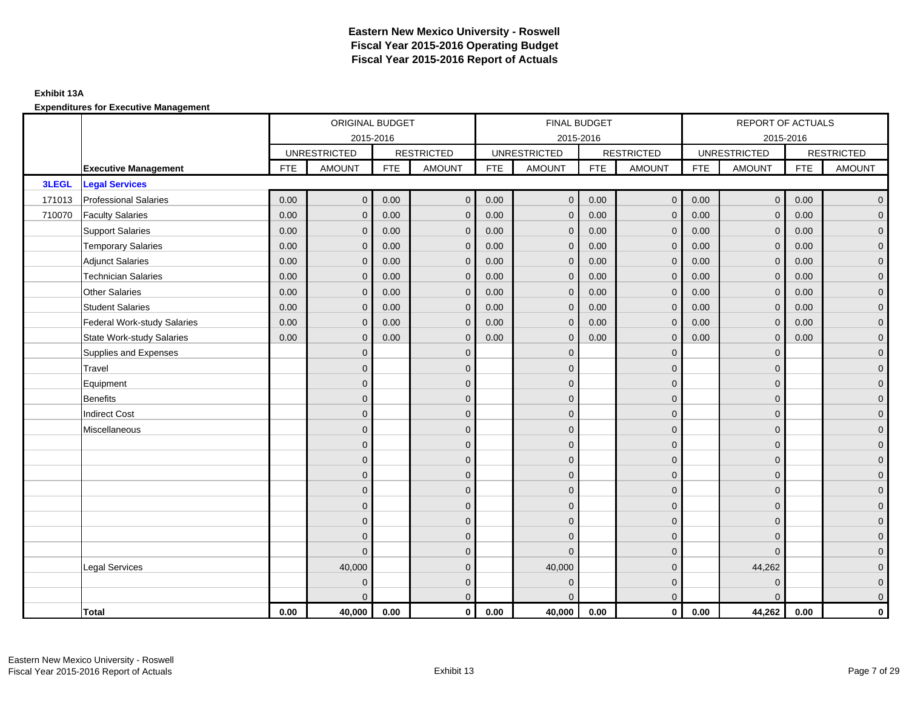### **Exhibit 13A**

|        |                                    |            | ORIGINAL BUDGET     |            |                   |            | <b>FINAL BUDGET</b> |            |                   |            | REPORT OF ACTUALS   |            |                   |
|--------|------------------------------------|------------|---------------------|------------|-------------------|------------|---------------------|------------|-------------------|------------|---------------------|------------|-------------------|
|        |                                    |            | 2015-2016           |            |                   |            | 2015-2016           |            |                   |            | 2015-2016           |            |                   |
|        |                                    |            | <b>UNRESTRICTED</b> |            | <b>RESTRICTED</b> |            | <b>UNRESTRICTED</b> |            | <b>RESTRICTED</b> |            | <b>UNRESTRICTED</b> |            | <b>RESTRICTED</b> |
|        | <b>Executive Management</b>        | <b>FTE</b> | <b>AMOUNT</b>       | <b>FTE</b> | <b>AMOUNT</b>     | <b>FTE</b> | AMOUNT              | <b>FTE</b> | <b>AMOUNT</b>     | <b>FTE</b> | <b>AMOUNT</b>       | <b>FTE</b> | <b>AMOUNT</b>     |
| 3LEGL  | <b>Legal Services</b>              |            |                     |            |                   |            |                     |            |                   |            |                     |            |                   |
| 171013 | <b>Professional Salaries</b>       | 0.00       | $\mathbf 0$         | 0.00       | $\mathbf 0$       | 0.00       | $\mathbf{0}$        | 0.00       | $\overline{0}$    | 0.00       | $\overline{0}$      | 0.00       | $\overline{0}$    |
| 710070 | <b>Faculty Salaries</b>            | 0.00       | $\mathbf{0}$        | 0.00       | $\mathbf 0$       | 0.00       | $\mathbf{0}$        | 0.00       | $\mathbf{0}$      | 0.00       | $\overline{0}$      | 0.00       | $\overline{0}$    |
|        | <b>Support Salaries</b>            | 0.00       | $\mathbf{0}$        | 0.00       | $\mathbf{0}$      | 0.00       | $\overline{0}$      | 0.00       | $\mathbf 0$       | 0.00       | $\mathbf 0$         | 0.00       | $\overline{0}$    |
|        | <b>Temporary Salaries</b>          | 0.00       | $\mathbf{0}$        | 0.00       | $\mathbf{0}$      | 0.00       | $\mathbf{0}$        | 0.00       | $\mathbf{0}$      | 0.00       | $\mathbf{0}$        | 0.00       | $\mathbf{0}$      |
|        | <b>Adjunct Salaries</b>            | 0.00       | $\mathbf{0}$        | 0.00       | $\mathbf{0}$      | 0.00       | $\overline{0}$      | 0.00       | $\mathbf{0}$      | 0.00       | $\overline{0}$      | 0.00       | $\overline{0}$    |
|        | <b>Technician Salaries</b>         | 0.00       | $\mathbf{0}$        | 0.00       | $\mathbf{0}$      | 0.00       | $\mathbf{0}$        | 0.00       | $\overline{0}$    | 0.00       | $\mathbf 0$         | 0.00       | $\overline{0}$    |
|        | <b>Other Salaries</b>              | 0.00       | $\mathbf{0}$        | 0.00       | $\mathbf{0}$      | 0.00       | $\mathbf{0}$        | 0.00       | $\mathbf{0}$      | 0.00       | $\mathbf{0}$        | 0.00       | $\overline{0}$    |
|        | <b>Student Salaries</b>            | 0.00       | $\mathbf{0}$        | 0.00       | $\mathbf{0}$      | 0.00       | $\mathbf{0}$        | 0.00       | $\mathbf{0}$      | 0.00       | $\overline{0}$      | 0.00       | $\mathbf{0}$      |
|        | <b>Federal Work-study Salaries</b> | 0.00       | $\mathbf{0}$        | 0.00       | $\mathbf{0}$      | 0.00       | $\mathbf{0}$        | 0.00       | $\mathbf 0$       | 0.00       | $\overline{0}$      | 0.00       | $\overline{0}$    |
|        | <b>State Work-study Salaries</b>   | 0.00       | $\mathbf{0}$        | 0.00       | $\mathbf{0}$      | 0.00       | $\mathbf{0}$        | 0.00       | $\mathbf{0}$      | 0.00       | $\mathbf{0}$        | 0.00       | $\overline{0}$    |
|        | Supplies and Expenses              |            | $\Omega$            |            | $\mathbf{0}$      |            | $\Omega$            |            | $\mathbf{0}$      |            | $\mathbf 0$         |            | $\overline{0}$    |
|        | Travel                             |            | $\overline{0}$      |            | $\mathbf 0$       |            | $\mathbf{0}$        |            | $\mathbf 0$       |            | $\mathbf 0$         |            | $\mathbf{0}$      |
|        | Equipment                          |            | $\Omega$            |            | $\mathbf{0}$      |            | $\Omega$            |            | $\mathbf 0$       |            | $\mathbf{0}$        |            | $\overline{0}$    |
|        | <b>Benefits</b>                    |            | $\mathbf{0}$        |            | $\mathbf{0}$      |            | $\Omega$            |            | $\mathbf{0}$      |            | $\mathbf 0$         |            | $\overline{0}$    |
|        | <b>Indirect Cost</b>               |            | $\Omega$            |            | $\mathbf 0$       |            | $\Omega$            |            | $\mathbf{0}$      |            | $\Omega$            |            | $\overline{0}$    |
|        | Miscellaneous                      |            | $\mathbf{0}$        |            | $\mathbf 0$       |            | $\mathbf{0}$        |            | $\mathbf 0$       |            | $\mathbf{0}$        |            | $\overline{0}$    |
|        |                                    |            | $\overline{0}$      |            | $\mathbf{0}$      |            | $\Omega$            |            | $\mathbf 0$       |            | $\mathbf{0}$        |            | $\overline{0}$    |
|        |                                    |            | $\Omega$            |            | $\mathbf{0}$      |            | $\Omega$            |            | $\mathbf{0}$      |            | $\mathbf 0$         |            | $\overline{0}$    |
|        |                                    |            | $\Omega$            |            | $\mathbf{0}$      |            | $\Omega$            |            | $\mathbf 0$       |            | $\mathbf{0}$        |            | $\overline{0}$    |
|        |                                    |            | $\mathbf{0}$        |            | $\mathbf 0$       |            | $\mathbf{0}$        |            | $\mathbf 0$       |            | $\mathbf{0}$        |            | $\overline{0}$    |
|        |                                    |            | $\overline{0}$      |            | $\mathbf 0$       |            | $\Omega$            |            | $\mathbf 0$       |            | $\mathbf{0}$        |            | $\overline{0}$    |
|        |                                    |            | $\Omega$            |            | $\mathbf{0}$      |            | $\mathbf{0}$        |            | $\mathbf 0$       |            | $\Omega$            |            | $\overline{0}$    |
|        |                                    |            | $\overline{0}$      |            | $\mathbf{0}$      |            | $\Omega$            |            | $\mathbf{0}$      |            | $\Omega$            |            | $\overline{0}$    |
|        |                                    |            | $\overline{0}$      |            | $\mathbf{0}$      |            | $\Omega$            |            | $\mathbf 0$       |            | $\Omega$            |            | $\overline{0}$    |
|        | <b>Legal Services</b>              |            | 40,000              |            | $\mathbf 0$       |            | 40,000              |            | $\mathbf 0$       |            | 44,262              |            | $\mathbf{0}$      |
|        |                                    |            | $\Omega$            |            | $\mathbf{0}$      |            | $\mathbf{0}$        |            | $\mathbf 0$       |            | $\mathbf 0$         |            | $\mathbf{0}$      |
|        |                                    |            | $\Omega$            |            | $\mathbf{0}$      |            | $\Omega$            |            | $\overline{0}$    |            | $\Omega$            |            | $\overline{0}$    |
|        | Total                              | 0.00       | 40,000              | 0.00       | $\mathbf 0$       | 0.00       | 40,000              | 0.00       | $\overline{0}$    | 0.00       | 44,262              | 0.00       | $\mathbf 0$       |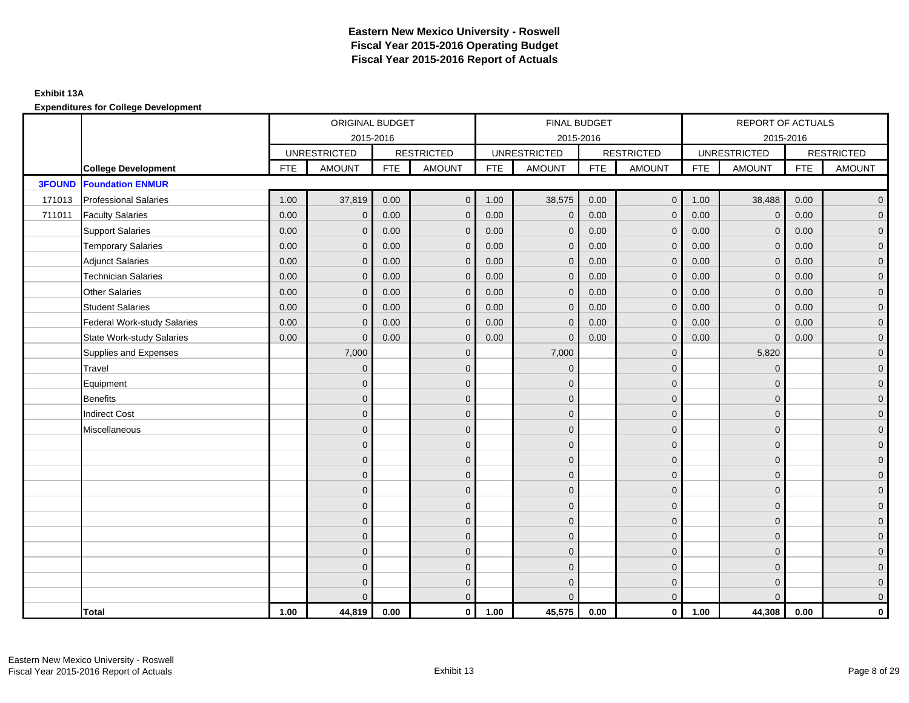|               |                                    |            | ORIGINAL BUDGET     |            |                   |            | FINAL BUDGET        |            |                   |            | REPORT OF ACTUALS   |            |                   |
|---------------|------------------------------------|------------|---------------------|------------|-------------------|------------|---------------------|------------|-------------------|------------|---------------------|------------|-------------------|
|               |                                    |            | 2015-2016           |            |                   |            | 2015-2016           |            |                   |            | 2015-2016           |            |                   |
|               |                                    |            | <b>UNRESTRICTED</b> |            | <b>RESTRICTED</b> |            | <b>UNRESTRICTED</b> |            | <b>RESTRICTED</b> |            | <b>UNRESTRICTED</b> |            | <b>RESTRICTED</b> |
|               | <b>College Development</b>         | <b>FTE</b> | <b>AMOUNT</b>       | <b>FTE</b> | <b>AMOUNT</b>     | <b>FTE</b> | <b>AMOUNT</b>       | <b>FTE</b> | <b>AMOUNT</b>     | <b>FTE</b> | <b>AMOUNT</b>       | <b>FTE</b> | <b>AMOUNT</b>     |
| <b>3FOUND</b> | <b>Foundation ENMUR</b>            |            |                     |            |                   |            |                     |            |                   |            |                     |            |                   |
| 171013        | <b>Professional Salaries</b>       | 1.00       | 37,819              | 0.00       | $\mathbf 0$       | 1.00       | 38,575              | 0.00       | $\overline{0}$    | 1.00       | 38,488              | 0.00       | $\overline{0}$    |
| 711011        | <b>Faculty Salaries</b>            | 0.00       | $\mathbf{0}$        | 0.00       | $\Omega$          | 0.00       | $\mathbf{0}$        | 0.00       | $\mathbf{0}$      | 0.00       | $\mathbf{0}$        | 0.00       | $\overline{0}$    |
|               | <b>Support Salaries</b>            | 0.00       | $\mathbf{0}$        | 0.00       | $\mathbf{0}$      | 0.00       | $\mathbf{0}$        | 0.00       | $\mathbf{0}$      | 0.00       | $\Omega$            | 0.00       | $\overline{0}$    |
|               | <b>Temporary Salaries</b>          | 0.00       | $\mathbf{0}$        | 0.00       | $\mathbf{0}$      | 0.00       | $\mathbf{0}$        | 0.00       | $\mathbf{0}$      | 0.00       | $\mathbf{0}$        | 0.00       | $\overline{0}$    |
|               | <b>Adjunct Salaries</b>            | 0.00       | $\mathbf{0}$        | 0.00       | $\mathbf{0}$      | 0.00       | $\mathbf{0}$        | 0.00       | $\mathbf{0}$      | 0.00       | $\mathbf 0$         | 0.00       | $\overline{0}$    |
|               | <b>Technician Salaries</b>         | 0.00       | $\mathbf{0}$        | 0.00       | $\mathbf{0}$      | 0.00       | $\mathbf{0}$        | 0.00       | $\mathbf{0}$      | 0.00       | $\mathbf{0}$        | 0.00       | $\overline{0}$    |
|               | <b>Other Salaries</b>              | 0.00       | $\Omega$            | 0.00       | $\Omega$          | 0.00       | $\Omega$            | 0.00       | $\mathbf{0}$      | 0.00       | $\Omega$            | 0.00       | $\overline{0}$    |
|               | <b>Student Salaries</b>            | 0.00       | $\mathbf{0}$        | 0.00       | $\mathbf{0}$      | 0.00       | $\mathbf{0}$        | 0.00       | $\mathbf 0$       | 0.00       | $\mathbf 0$         | 0.00       | $\overline{0}$    |
|               | <b>Federal Work-study Salaries</b> | 0.00       | $\mathbf{0}$        | 0.00       | $\mathbf{0}$      | 0.00       | $\mathbf{0}$        | 0.00       | $\mathbf{0}$      | 0.00       | $\Omega$            | 0.00       | $\overline{0}$    |
|               | <b>State Work-study Salaries</b>   | 0.00       | $\mathbf{0}$        | 0.00       | $\Omega$          | 0.00       | $\mathbf{0}$        | 0.00       | $\mathbf{0}$      | 0.00       | $\Omega$            | 0.00       | $\overline{0}$    |
|               | Supplies and Expenses              |            | 7,000               |            | $\Omega$          |            | 7,000               |            | $\mathbf{0}$      |            | 5,820               |            | $\overline{0}$    |
|               | Travel                             |            | $\mathbf{0}$        |            | $\mathbf 0$       |            | $\mathbf{0}$        |            | $\mathbf{0}$      |            | $\mathbf 0$         |            | $\overline{0}$    |
|               | Equipment                          |            | $\Omega$            |            | $\mathbf{0}$      |            | $\Omega$            |            | $\mathbf 0$       |            | $\mathbf{0}$        |            | $\overline{0}$    |
|               | <b>Benefits</b>                    |            | $\Omega$            |            | $\mathbf{0}$      |            | $\Omega$            |            | $\mathbf{0}$      |            | $\Omega$            |            | $\overline{0}$    |
|               | <b>Indirect Cost</b>               |            | $\Omega$            |            | $\mathbf{0}$      |            | $\Omega$            |            | $\mathbf{0}$      |            | $\Omega$            |            | $\overline{0}$    |
|               | Miscellaneous                      |            | $\mathbf{0}$        |            | $\mathbf 0$       |            | $\mathbf{0}$        |            | $\mathbf 0$       |            | $\mathbf{0}$        |            | $\overline{0}$    |
|               |                                    |            | $\Omega$            |            | $\mathbf{0}$      |            | $\Omega$            |            | $\mathbf 0$       |            | $\mathbf{0}$        |            | $\overline{0}$    |
|               |                                    |            | $\Omega$            |            | $\mathbf{0}$      |            | $\Omega$            |            | $\mathbf 0$       |            | $\Omega$            |            | $\overline{0}$    |
|               |                                    |            | $\mathbf{0}$        |            | $\mathbf{0}$      |            | $\Omega$            |            | $\mathbf 0$       |            | $\Omega$            |            | $\overline{0}$    |
|               |                                    |            | $\mathbf{0}$        |            | $\mathbf 0$       |            | $\mathbf{0}$        |            | $\mathbf 0$       |            | $\mathbf{0}$        |            | $\overline{0}$    |
|               |                                    |            | $\mathbf{0}$        |            | $\overline{0}$    |            | $\mathbf{0}$        |            | $\mathbf 0$       |            | $\mathbf{0}$        |            | $\mathbf 0$       |
|               |                                    |            | $\Omega$            |            | $\mathbf{0}$      |            | $\Omega$            |            | $\mathbf{0}$      |            | $\Omega$            |            | $\overline{0}$    |
|               |                                    |            | $\Omega$            |            | $\mathbf{0}$      |            | $\Omega$            |            | $\mathbf{0}$      |            | $\Omega$            |            | $\overline{0}$    |
|               |                                    |            | $\mathbf{0}$        |            | $\mathbf{0}$      |            | $\Omega$            |            | $\mathbf{0}$      |            | $\mathbf{0}$        |            | $\overline{0}$    |
|               |                                    |            | $\mathbf{0}$        |            | $\mathbf{0}$      |            | $\Omega$            |            | $\mathbf{0}$      |            | $\mathbf{0}$        |            | $\mathbf 0$       |
|               |                                    |            | $\Omega$            |            | $\mathbf 0$       |            | $\Omega$            |            | $\mathbf 0$       |            | $\Omega$            |            | $\overline{0}$    |
|               |                                    |            | $\Omega$            |            | $\mathbf{0}$      |            | $\Omega$            |            | $\mathbf{0}$      |            | $\Omega$            |            | $\overline{0}$    |
|               | Total                              | 1.00       | 44,819              | 0.00       | $\mathbf 0$       | 1.00       | 45,575              | 0.00       | $\overline{0}$    | 1.00       | 44,308              | 0.00       | 0                 |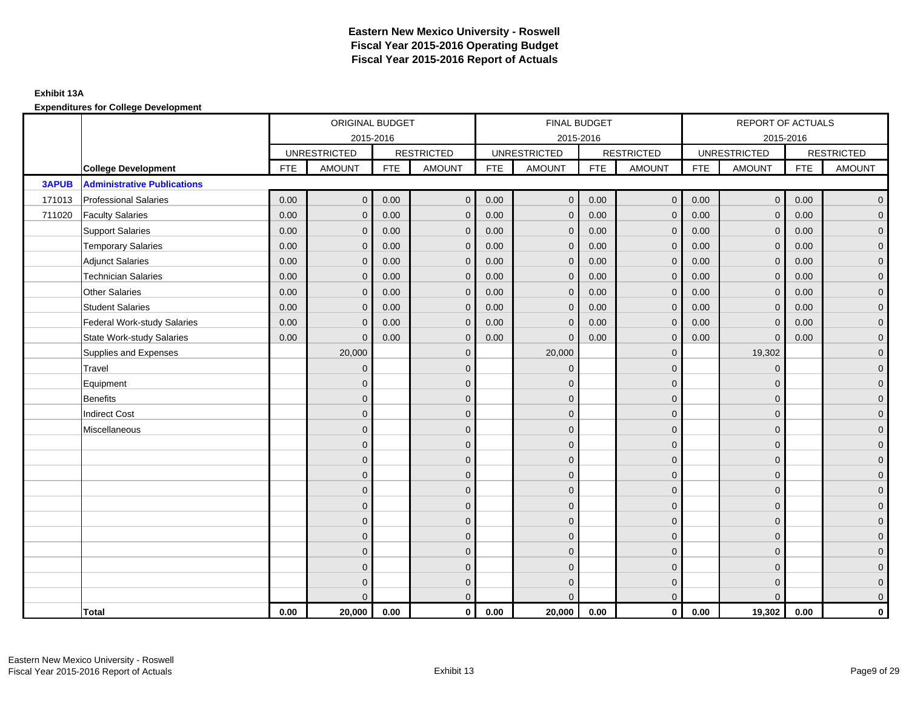|              |                                    |            | ORIGINAL BUDGET     |            |                   |            | FINAL BUDGET        |            |                         |            | REPORT OF ACTUALS   |            |                     |
|--------------|------------------------------------|------------|---------------------|------------|-------------------|------------|---------------------|------------|-------------------------|------------|---------------------|------------|---------------------|
|              |                                    |            | 2015-2016           |            |                   |            | 2015-2016           |            |                         |            | 2015-2016           |            |                     |
|              |                                    |            | <b>UNRESTRICTED</b> |            | <b>RESTRICTED</b> |            | <b>UNRESTRICTED</b> |            | <b>RESTRICTED</b>       |            | <b>UNRESTRICTED</b> |            | <b>RESTRICTED</b>   |
|              | <b>College Development</b>         | <b>FTE</b> | <b>AMOUNT</b>       | <b>FTE</b> | <b>AMOUNT</b>     | <b>FTE</b> | <b>AMOUNT</b>       | <b>FTE</b> | <b>AMOUNT</b>           | <b>FTE</b> | <b>AMOUNT</b>       | <b>FTE</b> | <b>AMOUNT</b>       |
| <b>3APUB</b> | <b>Administrative Publications</b> |            |                     |            |                   |            |                     |            |                         |            |                     |            |                     |
| 171013       | <b>Professional Salaries</b>       | 0.00       | $\mathbf{0}$        | 0.00       | $\mathbf{0}$      | 0.00       | $\overline{0}$      | 0.00       | $\mathbf{0}$            | 0.00       | $\overline{0}$      | 0.00       | $\overline{0}$      |
| 711020       | <b>Faculty Salaries</b>            | 0.00       | $\Omega$            | 0.00       | $\Omega$          | 0.00       | $\Omega$            | 0.00       | $\mathbf{0}$            | 0.00       | $\mathbf{0}$        | 0.00       | $\overline{0}$      |
|              | <b>Support Salaries</b>            | 0.00       | $\mathbf{0}$        | 0.00       | $\mathbf{0}$      | 0.00       | $\overline{0}$      | 0.00       | $\mathbf{0}$            | 0.00       | $\mathbf{0}$        | 0.00       | $\mathbf{0}$        |
|              | <b>Temporary Salaries</b>          | 0.00       | $\Omega$            | 0.00       | $\Omega$          | 0.00       | $\Omega$            | 0.00       | $\mathbf{0}$            | 0.00       | $\mathbf{0}$        | 0.00       | $\overline{0}$      |
|              | <b>Adjunct Salaries</b>            | 0.00       | $\mathbf{0}$        | 0.00       | $\mathbf{0}$      | 0.00       | $\mathbf{0}$        | 0.00       | $\mathbf{0}$            | 0.00       | $\mathbf{0}$        | 0.00       | $\overline{0}$      |
|              | <b>Technician Salaries</b>         | 0.00       | $\mathbf{0}$        | 0.00       | $\mathbf 0$       | 0.00       | $\mathbf{0}$        | 0.00       | $\mathbf 0$             | 0.00       | $\mathbf 0$         | 0.00       | $\mathbf{0}$        |
|              | <b>Other Salaries</b>              | 0.00       | $\mathbf{0}$        | 0.00       | $\Omega$          | 0.00       | $\mathbf{0}$        | 0.00       | $\mathbf{0}$            | 0.00       | $\mathbf{0}$        | 0.00       | $\mathbf{0}$        |
|              | <b>Student Salaries</b>            | 0.00       | $\mathbf{0}$        | 0.00       | $\Omega$          | 0.00       | $\mathbf{0}$        | 0.00       | $\mathbf{0}$            | 0.00       | $\mathbf 0$         | 0.00       | $\overline{0}$      |
|              | <b>Federal Work-study Salaries</b> | 0.00       | $\Omega$            | 0.00       | $\Omega$          | 0.00       | $\Omega$            | 0.00       | $\mathbf{0}$            | 0.00       | $\mathbf{0}$        | 0.00       | $\overline{0}$      |
|              | <b>State Work-study Salaries</b>   | 0.00       | $\overline{0}$      | 0.00       | $\mathbf 0$       | 0.00       | $\mathbf{0}$        | 0.00       | $\mathbf{0}$            | 0.00       | $\mathbf 0$         | 0.00       | $\mathbf{0}$        |
|              | Supplies and Expenses              |            | 20,000              |            | $\mathbf{0}$      |            | 20,000              |            | $\mathbf 0$             |            | 19,302              |            | $\overline{0}$      |
|              | Travel                             |            | $\overline{0}$      |            | $\mathbf{0}$      |            | $\mathbf{0}$        |            | $\mathbf{0}$            |            | $\mathbf 0$         |            | $\overline{0}$      |
|              | Equipment                          |            | $\mathbf{0}$        |            | $\mathbf{0}$      |            | $\mathbf{0}$        |            | $\mathbf 0$             |            | $\mathbf 0$         |            | $\overline{0}$      |
|              | <b>Benefits</b>                    |            | $\overline{0}$      |            | $\mathbf{0}$      |            | $\Omega$            |            | $\mathbf 0$             |            | $\mathbf 0$         |            | $\mathbf{0}$        |
|              | <b>Indirect Cost</b>               |            | $\Omega$            |            | $\mathbf{0}$      |            | $\Omega$            |            | $\mathbf 0$             |            | $\Omega$            |            | $\overline{0}$      |
|              | Miscellaneous                      |            | $\Omega$            |            | $\mathbf{0}$      |            | $\Omega$            |            | $\mathbf 0$             |            | $\Omega$            |            | $\overline{0}$      |
|              |                                    |            | $\mathbf{0}$        |            | $\mathbf{0}$      |            | $\Omega$            |            | $\mathbf 0$             |            | $\mathbf 0$         |            | $\overline{0}$      |
|              |                                    |            | $\mathbf{0}$        |            | $\mathbf{0}$      |            | $\Omega$            |            | $\mathbf 0$             |            | $\mathbf 0$         |            | $\overline{0}$      |
|              |                                    |            | $\Omega$            |            | $\mathbf{0}$      |            | $\Omega$            |            | $\mathbf 0$             |            | $\mathbf 0$         |            | $\overline{0}$      |
|              |                                    |            | $\Omega$            |            | $\mathbf{0}$      |            | $\Omega$            |            | $\mathbf 0$             |            | $\Omega$            |            | $\overline{0}$      |
|              |                                    |            | $\mathbf{0}$        |            | $\mathbf 0$       |            | $\Omega$            |            | $\mathbf 0$             |            | $\mathbf{0}$        |            | $\mathbf{0}$        |
|              |                                    |            | $\mathbf{0}$        |            | $\mathbf{0}$      |            | $\mathbf{0}$        |            | $\mathbf 0$             |            | $\mathbf 0$         |            | $\mathsf{O}\xspace$ |
|              |                                    |            | $\mathbf{0}$        |            | $\mathbf{0}$      |            | $\Omega$            |            | $\mathbf{0}$            |            | $\mathbf{0}$        |            | $\overline{0}$      |
|              |                                    |            | $\mathbf{0}$        |            | $\mathbf{0}$      |            | $\mathbf{0}$        |            | $\mathbf 0$             |            | $\mathbf 0$         |            | $\overline{0}$      |
|              |                                    |            | $\overline{0}$      |            | $\mathbf 0$       |            | $\mathbf{0}$        |            | $\mathbf 0$             |            | $\mathbf 0$         |            | $\mathbf{0}$        |
|              |                                    |            | $\Omega$            |            | $\mathbf{0}$      |            | $\Omega$            |            | $\mathbf 0$             |            | $\Omega$            |            | $\mathsf{O}\xspace$ |
|              |                                    |            | $\Omega$            |            | $\mathbf 0$       |            | $\Omega$            |            | $\mathbf 0$             |            | $\Omega$            |            | $\overline{0}$      |
|              | Total                              | 0.00       | 20,000              | 0.00       | $\mathbf 0$       | 0.00       | 20,000              | 0.00       | $\overline{\mathbf{0}}$ | 0.00       | 19,302              | 0.00       | $\mathbf 0$         |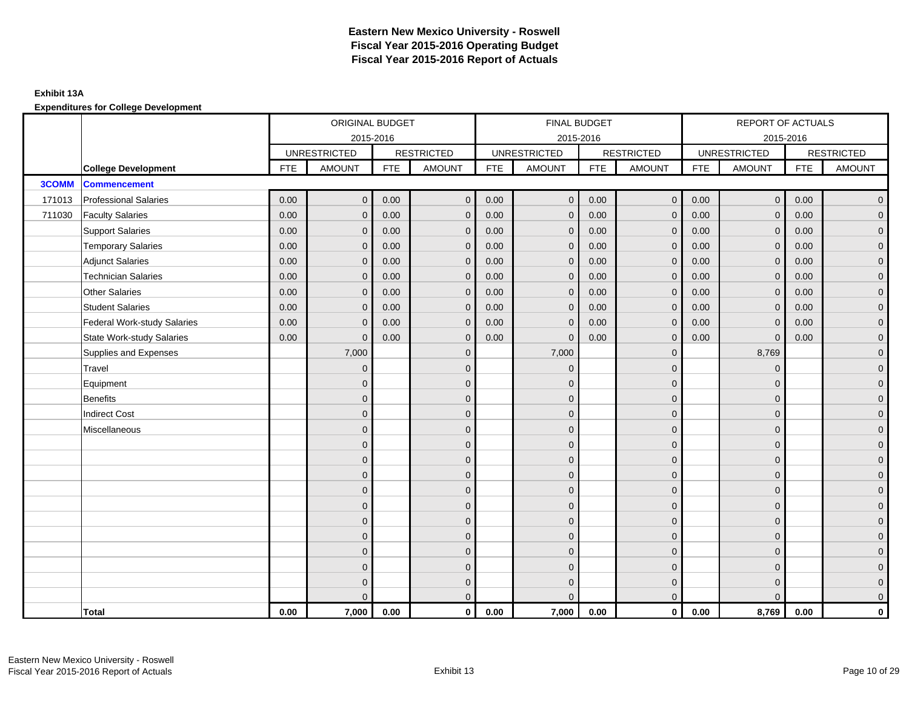|              |                                    |            | ORIGINAL BUDGET     |            |                   |            | FINAL BUDGET        |            |                   |            | REPORT OF ACTUALS   |            |                     |
|--------------|------------------------------------|------------|---------------------|------------|-------------------|------------|---------------------|------------|-------------------|------------|---------------------|------------|---------------------|
|              |                                    |            | 2015-2016           |            |                   |            | 2015-2016           |            |                   |            | 2015-2016           |            |                     |
|              |                                    |            | <b>UNRESTRICTED</b> |            | <b>RESTRICTED</b> |            | <b>UNRESTRICTED</b> |            | <b>RESTRICTED</b> |            | <b>UNRESTRICTED</b> |            | <b>RESTRICTED</b>   |
|              | <b>College Development</b>         | <b>FTE</b> | <b>AMOUNT</b>       | <b>FTE</b> | <b>AMOUNT</b>     | <b>FTE</b> | <b>AMOUNT</b>       | <b>FTE</b> | <b>AMOUNT</b>     | <b>FTE</b> | <b>AMOUNT</b>       | <b>FTE</b> | <b>AMOUNT</b>       |
| <b>3COMM</b> | <b>Commencement</b>                |            |                     |            |                   |            |                     |            |                   |            |                     |            |                     |
| 171013       | <b>Professional Salaries</b>       | 0.00       | $\mathbf{0}$        | 0.00       | $\mathbf 0$       | 0.00       | $\mathbf{0}$        | 0.00       | $\overline{0}$    | 0.00       | $\mathbf 0$         | 0.00       | $\overline{0}$      |
| 711030       | <b>Faculty Salaries</b>            | 0.00       | $\Omega$            | 0.00       | $\Omega$          | 0.00       | $\mathbf{0}$        | 0.00       | $\mathbf{0}$      | 0.00       | $\mathbf{0}$        | 0.00       | $\overline{0}$      |
|              | <b>Support Salaries</b>            | 0.00       | $\mathbf{0}$        | 0.00       | $\mathbf{0}$      | 0.00       | $\mathbf{0}$        | 0.00       | $\mathbf{0}$      | 0.00       | $\mathbf{0}$        | 0.00       | $\overline{0}$      |
|              | <b>Temporary Salaries</b>          | 0.00       | $\mathbf{0}$        | 0.00       | $\Omega$          | 0.00       | $\Omega$            | 0.00       | $\mathbf{0}$      | 0.00       | $\mathbf{0}$        | 0.00       | $\overline{0}$      |
|              | <b>Adjunct Salaries</b>            | 0.00       | $\mathbf{0}$        | 0.00       | $\mathbf{0}$      | 0.00       | $\mathbf{0}$        | 0.00       | $\mathbf{0}$      | 0.00       | $\mathbf{0}$        | 0.00       | $\overline{0}$      |
|              | <b>Technician Salaries</b>         | 0.00       | $\mathbf 0$         | 0.00       | $\mathbf{0}$      | 0.00       | $\mathbf 0$         | 0.00       | $\mathbf{0}$      | 0.00       | $\mathbf 0$         | 0.00       | $\overline{0}$      |
|              | <b>Other Salaries</b>              | 0.00       | $\mathbf{0}$        | 0.00       | $\mathbf{0}$      | 0.00       | $\mathbf{0}$        | 0.00       | $\mathbf{0}$      | 0.00       | $\Omega$            | 0.00       | $\mathbf 0$         |
|              | <b>Student Salaries</b>            | 0.00       | $\mathbf{0}$        | 0.00       | $\Omega$          | 0.00       | $\mathbf{0}$        | 0.00       | $\mathbf{0}$      | 0.00       | $\mathbf{0}$        | 0.00       | $\overline{0}$      |
|              | <b>Federal Work-study Salaries</b> | 0.00       | $\Omega$            | 0.00       | $\Omega$          | 0.00       | $\mathbf{0}$        | 0.00       | $\mathbf{0}$      | 0.00       | $\Omega$            | 0.00       | $\overline{0}$      |
|              | <b>State Work-study Salaries</b>   | 0.00       | $\mathbf 0$         | 0.00       | $\mathbf{0}$      | 0.00       | $\mathbf{0}$        | 0.00       | $\mathbf 0$       | 0.00       | $\mathbf{0}$        | 0.00       | $\overline{0}$      |
|              | Supplies and Expenses              |            | 7,000               |            | $\mathbf{0}$      |            | 7,000               |            | $\mathbf{0}$      |            | 8,769               |            | $\overline{0}$      |
|              | Travel                             |            | $\mathbf{0}$        |            | $\mathbf{0}$      |            | $\mathbf{0}$        |            | $\mathbf{0}$      |            | $\mathbf{0}$        |            | $\overline{0}$      |
|              | Equipment                          |            | $\mathbf{0}$        |            | $\mathbf{0}$      |            | $\Omega$            |            | $\mathbf{0}$      |            | $\mathbf{0}$        |            | $\overline{0}$      |
|              | <b>Benefits</b>                    |            | $\mathbf{0}$        |            | $\mathbf{0}$      |            | $\Omega$            |            | $\mathbf 0$       |            | $\mathbf{0}$        |            | $\overline{0}$      |
|              | <b>Indirect Cost</b>               |            | $\Omega$            |            | $\mathbf{0}$      |            | $\Omega$            |            | $\mathbf 0$       |            | $\Omega$            |            | $\overline{0}$      |
|              | Miscellaneous                      |            | $\Omega$            |            | $\mathbf{0}$      |            | $\Omega$            |            | $\mathbf{0}$      |            | $\Omega$            |            | $\overline{0}$      |
|              |                                    |            | $\mathbf{0}$        |            | $\mathbf 0$       |            | $\Omega$            |            | $\mathbf{0}$      |            | $\mathbf{0}$        |            | $\overline{0}$      |
|              |                                    |            | $\Omega$            |            | $\mathbf{0}$      |            | $\Omega$            |            | $\mathbf 0$       |            | $\mathbf{0}$        |            | $\overline{0}$      |
|              |                                    |            | $\Omega$            |            | $\mathbf 0$       |            | $\Omega$            |            | $\mathbf{0}$      |            | $\Omega$            |            | $\overline{0}$      |
|              |                                    |            | $\Omega$            |            | $\mathbf{0}$      |            | $\Omega$            |            | $\mathbf{0}$      |            | $\Omega$            |            | $\overline{0}$      |
|              |                                    |            | $\mathbf{0}$        |            | $\mathbf 0$       |            | $\Omega$            |            | $\mathbf 0$       |            | $\mathbf{0}$        |            | $\overline{0}$      |
|              |                                    |            | $\mathbf{0}$        |            | $\mathbf{0}$      |            | $\mathbf{0}$        |            | $\mathbf 0$       |            | $\mathbf{0}$        |            | $\mathbf 0$         |
|              |                                    |            | $\mathbf{0}$        |            | $\mathbf{0}$      |            | $\Omega$            |            | $\mathbf{0}$      |            | $\Omega$            |            | $\overline{0}$      |
|              |                                    |            | $\mathbf{0}$        |            | $\mathbf 0$       |            | $\mathbf{0}$        |            | $\mathbf 0$       |            | $\mathbf{0}$        |            | $\overline{0}$      |
|              |                                    |            | $\mathbf{0}$        |            | $\mathbf 0$       |            | $\mathbf{0}$        |            | $\mathbf{0}$      |            | $\mathbf{0}$        |            | $\mathbf 0$         |
|              |                                    |            | $\Omega$            |            | $\mathbf{0}$      |            | $\Omega$            |            | $\mathbf 0$       |            | $\mathbf{0}$        |            | $\mathsf{O}\xspace$ |
|              |                                    |            | $\Omega$            |            | $\overline{0}$    |            | $\Omega$            |            | $\overline{0}$    |            | $\Omega$            |            | $\mathbf 0$         |
|              | <b>Total</b>                       | 0.00       | 7,000               | 0.00       | $\mathbf 0$       | 0.00       | 7,000               | 0.00       | $\overline{0}$    | $0.00\,$   | 8,769               | 0.00       | $\mathbf 0$         |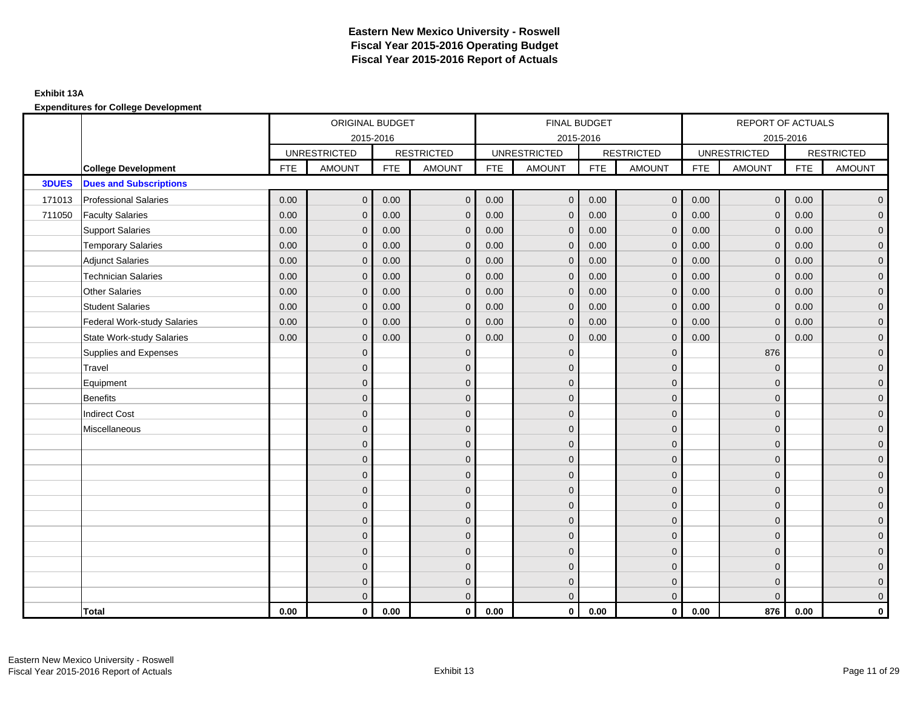|              |                                    |            | ORIGINAL BUDGET     |            |                   |            | <b>FINAL BUDGET</b> |            |                         |            | REPORT OF ACTUALS   |            |                     |
|--------------|------------------------------------|------------|---------------------|------------|-------------------|------------|---------------------|------------|-------------------------|------------|---------------------|------------|---------------------|
|              |                                    |            | 2015-2016           |            |                   |            | 2015-2016           |            |                         |            | 2015-2016           |            |                     |
|              |                                    |            | <b>UNRESTRICTED</b> |            | <b>RESTRICTED</b> |            | <b>UNRESTRICTED</b> |            | <b>RESTRICTED</b>       |            | <b>UNRESTRICTED</b> |            | <b>RESTRICTED</b>   |
|              | <b>College Development</b>         | <b>FTE</b> | <b>AMOUNT</b>       | <b>FTE</b> | <b>AMOUNT</b>     | <b>FTE</b> | <b>AMOUNT</b>       | <b>FTE</b> | <b>AMOUNT</b>           | <b>FTE</b> | <b>AMOUNT</b>       | <b>FTE</b> | <b>AMOUNT</b>       |
| <b>3DUES</b> | <b>Dues and Subscriptions</b>      |            |                     |            |                   |            |                     |            |                         |            |                     |            |                     |
| 171013       | <b>Professional Salaries</b>       | 0.00       | $\mathsf{O}\xspace$ | 0.00       | $\mathbf{0}$      | 0.00       | $\mathbf 0$         | 0.00       | $\overline{0}$          | 0.00       | $\mathbf{0}$        | 0.00       | $\overline{0}$      |
| 711050       | <b>Faculty Salaries</b>            | 0.00       | $\mathbf{0}$        | 0.00       | $\Omega$          | 0.00       | $\mathbf{0}$        | 0.00       | $\mathbf 0$             | 0.00       | $\mathbf 0$         | 0.00       | $\overline{0}$      |
|              | <b>Support Salaries</b>            | 0.00       | $\mathbf{0}$        | 0.00       | $\mathbf 0$       | 0.00       | $\overline{0}$      | 0.00       | $\mathbf 0$             | 0.00       | $\mathbf 0$         | 0.00       | $\overline{0}$      |
|              | <b>Temporary Salaries</b>          | 0.00       | $\mathbf{0}$        | 0.00       | $\Omega$          | 0.00       | $\mathbf{0}$        | 0.00       | $\mathbf{0}$            | 0.00       | $\mathbf{0}$        | 0.00       | $\mathbf{0}$        |
|              | <b>Adjunct Salaries</b>            | 0.00       | $\mathbf{0}$        | 0.00       | $\mathbf{0}$      | 0.00       | $\overline{0}$      | 0.00       | $\mathbf 0$             | 0.00       | $\overline{0}$      | 0.00       | $\overline{0}$      |
|              | <b>Technician Salaries</b>         | 0.00       | $\mathbf{0}$        | 0.00       | $\mathbf 0$       | 0.00       | $\mathbf{0}$        | 0.00       | $\mathbf 0$             | 0.00       | $\mathbf{0}$        | 0.00       | $\overline{0}$      |
|              | <b>Other Salaries</b>              | 0.00       | $\mathbf{0}$        | 0.00       | $\mathbf{0}$      | 0.00       | $\mathbf{0}$        | 0.00       | $\mathbf{0}$            | 0.00       | $\mathbf{0}$        | 0.00       | $\overline{0}$      |
|              | <b>Student Salaries</b>            | 0.00       | $\mathbf{0}$        | 0.00       | $\mathbf{0}$      | 0.00       | $\mathbf{0}$        | 0.00       | $\mathbf{0}$            | 0.00       | $\mathbf 0$         | 0.00       | $\mathbf{0}$        |
|              | <b>Federal Work-study Salaries</b> | 0.00       | $\mathbf{0}$        | 0.00       | $\mathbf{0}$      | 0.00       | $\mathbf{0}$        | 0.00       | $\mathbf 0$             | 0.00       | $\mathbf{0}$        | 0.00       | $\overline{0}$      |
|              | <b>State Work-study Salaries</b>   | 0.00       | $\mathbf{0}$        | 0.00       | $\Omega$          | 0.00       | $\mathbf{0}$        | 0.00       | $\mathbf{0}$            | 0.00       | $\mathbf 0$         | 0.00       | $\overline{0}$      |
|              | Supplies and Expenses              |            | $\Omega$            |            | $\mathbf 0$       |            | $\Omega$            |            | $\mathbf{0}$            |            | 876                 |            | $\overline{0}$      |
|              | Travel                             |            | $\overline{0}$      |            | $\mathbf 0$       |            | $\mathbf{0}$        |            | $\mathbf 0$             |            | $\mathbf 0$         |            | $\mathbf{0}$        |
|              | Equipment                          |            | $\Omega$            |            | $\mathbf{0}$      |            | $\Omega$            |            | $\mathbf 0$             |            | $\mathbf 0$         |            | $\overline{0}$      |
|              | <b>Benefits</b>                    |            | $\mathbf{0}$        |            | $\mathbf{0}$      |            | $\Omega$            |            | $\mathbf{0}$            |            | $\mathbf{0}$        |            | $\overline{0}$      |
|              | <b>Indirect Cost</b>               |            | $\Omega$            |            | $\Omega$          |            | $\Omega$            |            | $\mathbf{0}$            |            | $\Omega$            |            | $\overline{0}$      |
|              | Miscellaneous                      |            | $\overline{0}$      |            | $\mathbf{0}$      |            | $\mathbf{0}$        |            | $\mathbf 0$             |            | $\mathbf{0}$        |            | $\overline{0}$      |
|              |                                    |            | $\Omega$            |            | $\mathbf{0}$      |            | $\Omega$            |            | $\mathbf 0$             |            | $\mathbf 0$         |            | $\overline{0}$      |
|              |                                    |            | $\Omega$            |            | $\mathbf{0}$      |            | $\Omega$            |            | $\mathbf 0$             |            | $\mathbf 0$         |            | $\overline{0}$      |
|              |                                    |            | $\Omega$            |            | $\mathbf{0}$      |            | $\Omega$            |            | $\mathbf 0$             |            | $\Omega$            |            | $\overline{0}$      |
|              |                                    |            | $\overline{0}$      |            | $\mathbf 0$       |            | $\mathbf{0}$        |            | $\mathbf 0$             |            | $\mathbf{0}$        |            | $\overline{0}$      |
|              |                                    |            | $\overline{0}$      |            | $\mathbf{0}$      |            | $\Omega$            |            | $\mathbf 0$             |            | $\mathbf{0}$        |            | $\overline{0}$      |
|              |                                    |            | $\Omega$            |            | $\mathbf{0}$      |            | $\mathbf{0}$        |            | $\mathbf 0$             |            | $\Omega$            |            | $\overline{0}$      |
|              |                                    |            | $\overline{0}$      |            | $\mathbf{0}$      |            | $\Omega$            |            | $\mathbf{0}$            |            | $\Omega$            |            | $\overline{0}$      |
|              |                                    |            | $\overline{0}$      |            | $\mathbf{0}$      |            | $\mathbf{0}$        |            | $\mathbf 0$             |            | $\mathbf{0}$        |            | $\mathsf{O}\xspace$ |
|              |                                    |            | $\overline{0}$      |            | $\mathbf 0$       |            | $\mathbf{0}$        |            | $\mathbf 0$             |            | $\mathbf 0$         |            | $\mathbf{0}$        |
|              |                                    |            | $\Omega$            |            | $\mathbf{0}$      |            | $\mathbf{0}$        |            | $\mathbf 0$             |            | $\Omega$            |            | $\mathbf{0}$        |
|              |                                    |            | $\overline{0}$      |            | $\overline{0}$    |            | $\overline{0}$      |            | $\overline{0}$          |            | $\Omega$            |            | $\overline{0}$      |
|              | <b>Total</b>                       | 0.00       | $\mathbf 0$         | 0.00       | $\mathbf 0$       | 0.00       | $\mathbf 0$         | 0.00       | $\overline{\mathbf{0}}$ | 0.00       | 876                 | 0.00       | $\mathbf 0$         |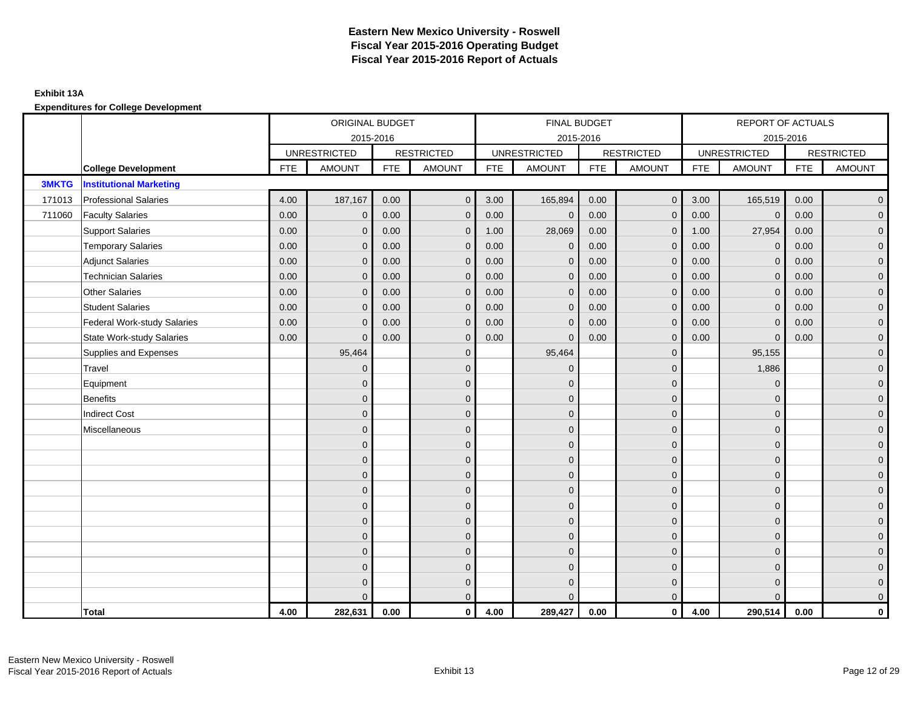### **Exhibit 13A**

|              |                                    |            | ORIGINAL BUDGET     |            |                   |            | FINAL BUDGET        |            |                   |            | REPORT OF ACTUALS   |            |                     |
|--------------|------------------------------------|------------|---------------------|------------|-------------------|------------|---------------------|------------|-------------------|------------|---------------------|------------|---------------------|
|              |                                    |            | 2015-2016           |            |                   |            | 2015-2016           |            |                   |            | 2015-2016           |            |                     |
|              |                                    |            | <b>UNRESTRICTED</b> |            | <b>RESTRICTED</b> |            | <b>UNRESTRICTED</b> |            | <b>RESTRICTED</b> |            | <b>UNRESTRICTED</b> |            | <b>RESTRICTED</b>   |
|              | <b>College Development</b>         | <b>FTE</b> | <b>AMOUNT</b>       | <b>FTE</b> | <b>AMOUNT</b>     | <b>FTE</b> | <b>AMOUNT</b>       | <b>FTE</b> | <b>AMOUNT</b>     | <b>FTE</b> | <b>AMOUNT</b>       | <b>FTE</b> | <b>AMOUNT</b>       |
| <b>3MKTG</b> | <b>Institutional Marketing</b>     |            |                     |            |                   |            |                     |            |                   |            |                     |            |                     |
| 171013       | <b>Professional Salaries</b>       | 4.00       | 187,167             | 0.00       | $\mathbf{0}$      | 3.00       | 165,894             | 0.00       | $\overline{0}$    | 3.00       | 165,519             | 0.00       | $\overline{0}$      |
| 711060       | <b>Faculty Salaries</b>            | 0.00       | $\mathbf{0}$        | 0.00       | $\Omega$          | 0.00       | $\overline{0}$      | 0.00       | $\mathbf{0}$      | 0.00       | $\mathbf{0}$        | 0.00       | $\overline{0}$      |
|              | <b>Support Salaries</b>            | 0.00       | $\mathbf{0}$        | 0.00       | $\mathbf{0}$      | 1.00       | 28,069              | 0.00       | $\mathbf{0}$      | 1.00       | 27,954              | 0.00       | $\mathbf 0$         |
|              | <b>Temporary Salaries</b>          | 0.00       | $\mathbf{0}$        | 0.00       | $\mathbf{0}$      | 0.00       | $\mathbf{0}$        | 0.00       | $\mathbf{0}$      | 0.00       | $\mathbf{0}$        | 0.00       | $\overline{0}$      |
|              | <b>Adjunct Salaries</b>            | 0.00       | $\mathbf{0}$        | 0.00       | $\mathbf{0}$      | 0.00       | $\mathbf{0}$        | 0.00       | $\mathbf{0}$      | 0.00       | $\mathbf{0}$        | 0.00       | $\overline{0}$      |
|              | <b>Technician Salaries</b>         | 0.00       | $\mathbf 0$         | 0.00       | $\mathbf{0}$      | 0.00       | $\mathbf 0$         | 0.00       | $\mathbf{0}$      | 0.00       | $\mathbf 0$         | 0.00       | $\overline{0}$      |
|              | <b>Other Salaries</b>              | 0.00       | $\mathbf{0}$        | 0.00       | $\mathbf{0}$      | 0.00       | $\mathbf{0}$        | 0.00       | $\mathbf{0}$      | 0.00       | $\Omega$            | 0.00       | $\mathbf 0$         |
|              | <b>Student Salaries</b>            | 0.00       | $\mathbf{0}$        | 0.00       | $\Omega$          | 0.00       | $\mathbf{0}$        | 0.00       | $\mathbf{0}$      | 0.00       | $\mathbf{0}$        | 0.00       | $\overline{0}$      |
|              | <b>Federal Work-study Salaries</b> | 0.00       | $\Omega$            | 0.00       | $\Omega$          | 0.00       | $\mathbf{0}$        | 0.00       | $\mathbf{0}$      | 0.00       | $\Omega$            | 0.00       | $\overline{0}$      |
|              | <b>State Work-study Salaries</b>   | 0.00       | $\mathbf{0}$        | 0.00       | $\mathbf{0}$      | 0.00       | $\mathbf{0}$        | 0.00       | $\mathbf{0}$      | 0.00       | $\mathbf{0}$        | 0.00       | $\overline{0}$      |
|              | Supplies and Expenses              |            | 95,464              |            | $\mathbf{0}$      |            | 95,464              |            | $\mathbf{0}$      |            | 95,155              |            | $\overline{0}$      |
|              | Travel                             |            | $\mathbf{0}$        |            | $\mathbf{0}$      |            | $\mathbf{0}$        |            | $\mathbf{0}$      |            | 1,886               |            | $\overline{0}$      |
|              | Equipment                          |            | $\mathbf{0}$        |            | $\mathbf{0}$      |            | $\Omega$            |            | $\mathbf{0}$      |            | $\mathbf{0}$        |            | $\overline{0}$      |
|              | <b>Benefits</b>                    |            | $\mathbf{0}$        |            | $\mathbf 0$       |            | $\Omega$            |            | $\mathbf 0$       |            | $\mathbf{0}$        |            | $\overline{0}$      |
|              | <b>Indirect Cost</b>               |            | $\Omega$            |            | $\mathbf{0}$      |            | $\Omega$            |            | $\mathbf 0$       |            | $\Omega$            |            | $\overline{0}$      |
|              | Miscellaneous                      |            | $\Omega$            |            | $\mathbf{0}$      |            | $\Omega$            |            | $\mathbf{0}$      |            | $\Omega$            |            | $\overline{0}$      |
|              |                                    |            | $\mathbf{0}$        |            | $\mathbf 0$       |            | $\Omega$            |            | $\mathbf{0}$      |            | $\mathbf{0}$        |            | $\overline{0}$      |
|              |                                    |            | $\Omega$            |            | $\mathbf{0}$      |            | $\Omega$            |            | $\mathbf 0$       |            | $\mathbf{0}$        |            | $\mathbf 0$         |
|              |                                    |            | $\Omega$            |            | $\mathbf 0$       |            | $\Omega$            |            | $\mathbf{0}$      |            | $\Omega$            |            | $\overline{0}$      |
|              |                                    |            | $\Omega$            |            | $\mathbf{0}$      |            | $\Omega$            |            | $\mathbf{0}$      |            | $\Omega$            |            | $\overline{0}$      |
|              |                                    |            | $\mathbf{0}$        |            | $\mathbf 0$       |            | $\Omega$            |            | $\mathbf 0$       |            | $\mathbf{0}$        |            | $\overline{0}$      |
|              |                                    |            | $\mathbf{0}$        |            | $\mathbf{0}$      |            | $\mathbf{0}$        |            | $\mathbf 0$       |            | $\mathbf{0}$        |            | $\mathbf 0$         |
|              |                                    |            | $\mathbf{0}$        |            | $\mathbf{0}$      |            | $\Omega$            |            | $\mathbf{0}$      |            | $\Omega$            |            | $\overline{0}$      |
|              |                                    |            | $\mathbf{0}$        |            | $\mathbf 0$       |            | $\mathbf{0}$        |            | $\mathbf 0$       |            | $\mathbf{0}$        |            | $\overline{0}$      |
|              |                                    |            | $\mathbf{0}$        |            | $\mathbf 0$       |            | $\mathbf{0}$        |            | $\mathbf{0}$      |            | $\mathbf{0}$        |            | $\mathbf 0$         |
|              |                                    |            | $\Omega$            |            | $\mathbf{0}$      |            | $\Omega$            |            | $\mathbf 0$       |            | $\Omega$            |            | $\mathsf{O}\xspace$ |
|              |                                    |            | $\Omega$            |            | $\mathbf{0}$      |            | $\Omega$            |            | $\overline{0}$    |            | $\Omega$            |            | $\mathbf 0$         |
|              | Total                              | 4.00       | 282,631             | 0.00       | $\mathbf{0}$      | 4.00       | 289,427             | 0.00       | $\overline{0}$    | 4.00       | 290,514             | 0.00       | 0                   |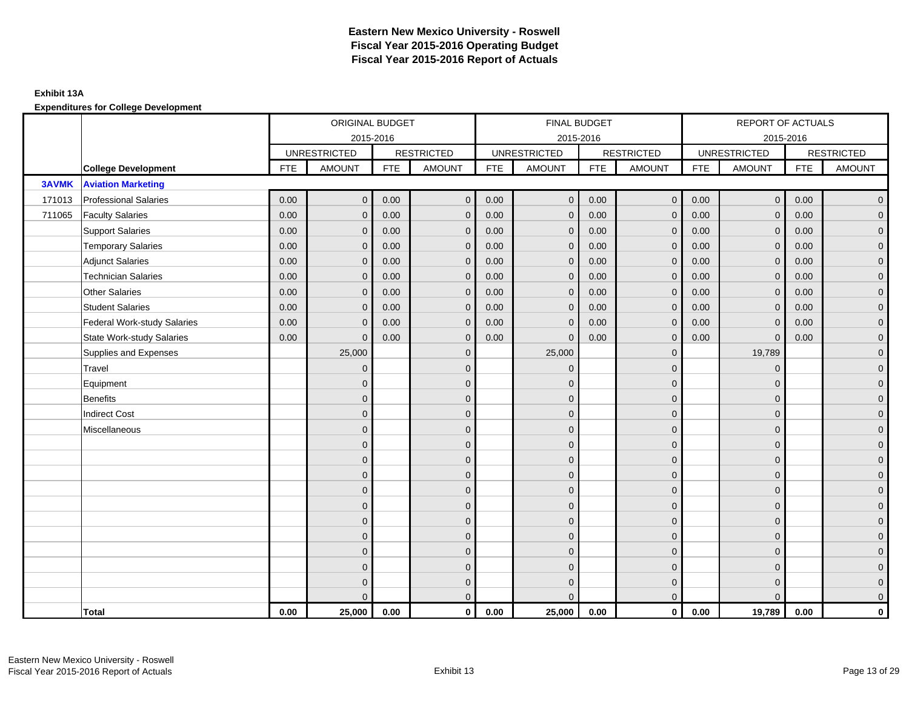|              |                                    |            | ORIGINAL BUDGET     |            |                   |            | FINAL BUDGET        |            |                   |            | REPORT OF ACTUALS   |            |                   |
|--------------|------------------------------------|------------|---------------------|------------|-------------------|------------|---------------------|------------|-------------------|------------|---------------------|------------|-------------------|
|              |                                    |            | 2015-2016           |            |                   |            | 2015-2016           |            |                   |            |                     | 2015-2016  |                   |
|              |                                    |            | <b>UNRESTRICTED</b> |            | <b>RESTRICTED</b> |            | <b>UNRESTRICTED</b> |            | <b>RESTRICTED</b> |            | <b>UNRESTRICTED</b> |            | <b>RESTRICTED</b> |
|              | <b>College Development</b>         | <b>FTE</b> | <b>AMOUNT</b>       | <b>FTE</b> | <b>AMOUNT</b>     | <b>FTE</b> | <b>AMOUNT</b>       | <b>FTE</b> | <b>AMOUNT</b>     | <b>FTE</b> | <b>AMOUNT</b>       | <b>FTE</b> | <b>AMOUNT</b>     |
| <b>3AVMK</b> | <b>Aviation Marketing</b>          |            |                     |            |                   |            |                     |            |                   |            |                     |            |                   |
| 171013       | <b>Professional Salaries</b>       | 0.00       | $\mathbf 0$         | 0.00       | $\mathbf 0$       | 0.00       | $\mathbf{0}$        | 0.00       | $\overline{0}$    | 0.00       | $\mathbf 0$         | 0.00       | $\overline{0}$    |
| 711065       | <b>Faculty Salaries</b>            | 0.00       | $\mathbf{0}$        | 0.00       | $\mathbf{0}$      | 0.00       | $\mathbf{0}$        | 0.00       | $\mathbf{0}$      | 0.00       | $\mathbf{0}$        | 0.00       | $\overline{0}$    |
|              | <b>Support Salaries</b>            | 0.00       | $\mathbf{0}$        | 0.00       | $\mathbf{0}$      | 0.00       | $\mathbf{0}$        | 0.00       | $\mathbf{0}$      | 0.00       | $\mathbf{0}$        | 0.00       | $\overline{0}$    |
|              | <b>Temporary Salaries</b>          | 0.00       | $\mathbf{0}$        | 0.00       | $\mathbf{0}$      | 0.00       | $\mathbf{0}$        | 0.00       | $\mathbf{0}$      | 0.00       | $\mathbf{0}$        | 0.00       | $\overline{0}$    |
|              | <b>Adjunct Salaries</b>            | 0.00       | $\mathbf{0}$        | 0.00       | $\mathbf{0}$      | 0.00       | $\mathbf{0}$        | 0.00       | $\mathbf{0}$      | 0.00       | $\mathbf 0$         | 0.00       | $\overline{0}$    |
|              | <b>Technician Salaries</b>         | 0.00       | $\mathbf{0}$        | 0.00       | $\mathbf{0}$      | 0.00       | $\mathbf{0}$        | 0.00       | $\mathbf{0}$      | 0.00       | $\mathbf{0}$        | 0.00       | $\overline{0}$    |
|              | <b>Other Salaries</b>              | 0.00       | $\Omega$            | 0.00       | $\Omega$          | 0.00       | $\mathbf{0}$        | 0.00       | $\mathbf{0}$      | 0.00       | $\Omega$            | 0.00       | $\overline{0}$    |
|              | <b>Student Salaries</b>            | 0.00       | $\mathbf{0}$        | 0.00       | $\mathbf{0}$      | 0.00       | $\mathbf{0}$        | 0.00       | $\mathbf 0$       | 0.00       | $\mathbf 0$         | 0.00       | $\overline{0}$    |
|              | <b>Federal Work-study Salaries</b> | 0.00       | $\mathbf{0}$        | 0.00       | $\mathbf{0}$      | 0.00       | $\mathbf{0}$        | 0.00       | $\mathbf{0}$      | 0.00       | $\mathbf{0}$        | 0.00       | $\overline{0}$    |
|              | <b>State Work-study Salaries</b>   | 0.00       | $\mathbf{0}$        | 0.00       | $\Omega$          | 0.00       | $\mathbf{0}$        | 0.00       | $\mathbf{0}$      | 0.00       | $\Omega$            | 0.00       | $\overline{0}$    |
|              | Supplies and Expenses              |            | 25,000              |            | $\Omega$          |            | 25,000              |            | $\mathbf{0}$      |            | 19,789              |            | $\overline{0}$    |
|              | Travel                             |            | $\mathbf 0$         |            | $\mathbf 0$       |            | $\overline{0}$      |            | $\mathbf{0}$      |            | $\mathbf 0$         |            | $\overline{0}$    |
|              | Equipment                          |            | $\Omega$            |            | $\mathbf{0}$      |            | $\Omega$            |            | $\mathbf 0$       |            | $\mathbf{0}$        |            | $\overline{0}$    |
|              | <b>Benefits</b>                    |            | $\Omega$            |            | $\mathbf{0}$      |            | $\Omega$            |            | $\mathbf{0}$      |            | $\Omega$            |            | $\overline{0}$    |
|              | <b>Indirect Cost</b>               |            | $\Omega$            |            | $\mathbf{0}$      |            | $\Omega$            |            | $\mathbf{0}$      |            | $\Omega$            |            | $\overline{0}$    |
|              | Miscellaneous                      |            | $\mathbf{0}$        |            | $\mathbf 0$       |            | $\mathbf{0}$        |            | $\mathbf 0$       |            | $\mathbf{0}$        |            | $\overline{0}$    |
|              |                                    |            | $\Omega$            |            | $\mathbf{0}$      |            | $\Omega$            |            | $\mathbf 0$       |            | $\mathbf{0}$        |            | $\overline{0}$    |
|              |                                    |            | $\Omega$            |            | $\mathbf{0}$      |            | $\Omega$            |            | $\mathbf 0$       |            | $\Omega$            |            | $\overline{0}$    |
|              |                                    |            | $\mathbf{0}$        |            | $\mathbf{0}$      |            | $\Omega$            |            | $\mathbf 0$       |            | $\Omega$            |            | $\overline{0}$    |
|              |                                    |            | $\mathbf{0}$        |            | $\mathbf 0$       |            | $\mathbf{0}$        |            | $\mathbf 0$       |            | $\mathbf{0}$        |            | $\overline{0}$    |
|              |                                    |            | $\mathbf{0}$        |            | $\mathbf{0}$      |            | $\Omega$            |            | $\mathbf 0$       |            | $\mathbf{0}$        |            | $\mathbf 0$       |
|              |                                    |            | $\Omega$            |            | $\mathbf{0}$      |            | $\Omega$            |            | $\mathbf{0}$      |            | $\Omega$            |            | $\overline{0}$    |
|              |                                    |            | $\Omega$            |            | $\mathbf{0}$      |            | $\Omega$            |            | $\mathbf{0}$      |            | $\Omega$            |            | $\overline{0}$    |
|              |                                    |            | $\Omega$            |            | $\mathbf{0}$      |            | $\Omega$            |            | $\mathbf{0}$      |            | $\mathbf{0}$        |            | $\overline{0}$    |
|              |                                    |            | $\mathbf{0}$        |            | $\mathbf{0}$      |            | $\Omega$            |            | $\mathbf 0$       |            | $\mathbf{0}$        |            | $\mathbf 0$       |
|              |                                    |            | $\Omega$            |            | $\mathbf 0$       |            | $\Omega$            |            | $\mathbf 0$       |            | $\Omega$            |            | $\overline{0}$    |
|              |                                    |            | $\Omega$            |            | $\mathbf{0}$      |            | $\Omega$            |            | $\mathbf{0}$      |            | $\Omega$            |            | $\overline{0}$    |
|              | Total                              | 0.00       | 25,000              | 0.00       | $\mathbf 0$       | 0.00       | 25,000              | 0.00       | $\overline{0}$    | 0.00       | 19,789              | 0.00       | 0                 |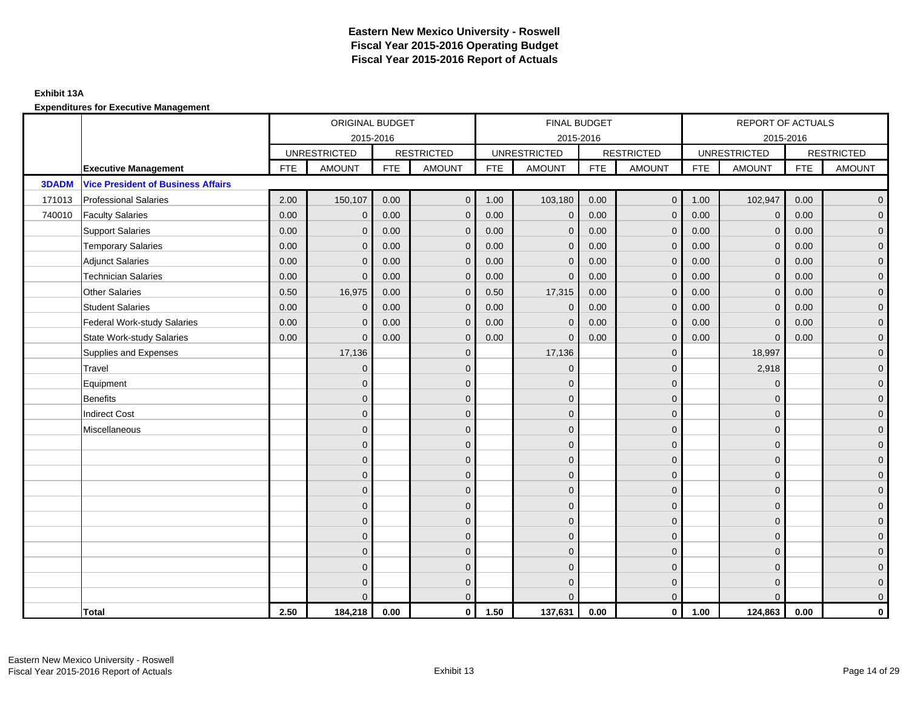## **Exhibit 13A**

|              |                                           |            | ORIGINAL BUDGET     |            |                   |            | <b>FINAL BUDGET</b> |            |                   |            | REPORT OF ACTUALS   |            |                   |
|--------------|-------------------------------------------|------------|---------------------|------------|-------------------|------------|---------------------|------------|-------------------|------------|---------------------|------------|-------------------|
|              |                                           |            | 2015-2016           |            |                   |            | 2015-2016           |            |                   |            | 2015-2016           |            |                   |
|              |                                           |            | <b>UNRESTRICTED</b> |            | <b>RESTRICTED</b> |            | <b>UNRESTRICTED</b> |            | <b>RESTRICTED</b> |            | <b>UNRESTRICTED</b> |            | <b>RESTRICTED</b> |
|              | <b>Executive Management</b>               | <b>FTE</b> | <b>AMOUNT</b>       | <b>FTE</b> | <b>AMOUNT</b>     | <b>FTE</b> | <b>AMOUNT</b>       | <b>FTE</b> | <b>AMOUNT</b>     | <b>FTE</b> | <b>AMOUNT</b>       | <b>FTE</b> | <b>AMOUNT</b>     |
| <b>3DADM</b> | <b>Vice President of Business Affairs</b> |            |                     |            |                   |            |                     |            |                   |            |                     |            |                   |
| 171013       | <b>Professional Salaries</b>              | 2.00       | 150,107             | 0.00       | $\mathbf 0$       | 1.00       | 103,180             | 0.00       | $\overline{0}$    | 1.00       | 102,947             | 0.00       | $\overline{0}$    |
| 740010       | <b>Faculty Salaries</b>                   | 0.00       | $\mathbf{0}$        | 0.00       | $\Omega$          | 0.00       | $\mathbf{0}$        | 0.00       | $\mathbf{0}$      | 0.00       | $\mathbf{0}$        | 0.00       | $\overline{0}$    |
|              | <b>Support Salaries</b>                   | 0.00       | $\Omega$            | 0.00       | $\Omega$          | 0.00       | $\Omega$            | 0.00       | $\Omega$          | 0.00       | $\Omega$            | 0.00       | $\overline{0}$    |
|              | <b>Temporary Salaries</b>                 | 0.00       | $\mathbf{0}$        | 0.00       | $\mathbf{0}$      | 0.00       | $\mathbf{0}$        | 0.00       | $\mathbf{0}$      | 0.00       | $\mathbf 0$         | 0.00       | $\mathbf{0}$      |
|              | <b>Adjunct Salaries</b>                   | 0.00       | $\mathbf{0}$        | 0.00       | $\mathbf{0}$      | 0.00       | $\mathbf{0}$        | 0.00       | $\mathbf 0$       | 0.00       | $\mathbf 0$         | 0.00       | $\overline{0}$    |
|              | <b>Technician Salaries</b>                | 0.00       | $\mathbf{0}$        | 0.00       | $\Omega$          | 0.00       | $\mathbf{0}$        | 0.00       | $\mathbf 0$       | 0.00       | $\mathbf{0}$        | 0.00       | $\overline{0}$    |
|              | <b>Other Salaries</b>                     | 0.50       | 16,975              | 0.00       | $\Omega$          | 0.50       | 17,315              | 0.00       | $\Omega$          | 0.00       | $\Omega$            | 0.00       | $\overline{0}$    |
|              | <b>Student Salaries</b>                   | 0.00       | $\mathbf 0$         | 0.00       | $\mathbf{0}$      | 0.00       | $\mathbf{0}$        | 0.00       | $\mathbf 0$       | 0.00       | $\mathbf 0$         | 0.00       | $\overline{0}$    |
|              | <b>Federal Work-study Salaries</b>        | 0.00       | $\Omega$            | 0.00       | $\Omega$          | 0.00       | $\Omega$            | 0.00       | $\mathbf 0$       | 0.00       | $\mathbf 0$         | 0.00       | $\overline{0}$    |
|              | <b>State Work-study Salaries</b>          | 0.00       | $\mathbf{0}$        | 0.00       | $\Omega$          | 0.00       | $\mathbf{0}$        | 0.00       | $\mathbf{0}$      | 0.00       | $\Omega$            | 0.00       | $\overline{0}$    |
|              | Supplies and Expenses                     |            | 17,136              |            | $\mathbf{0}$      |            | 17,136              |            | $\mathbf{0}$      |            | 18,997              |            | $\overline{0}$    |
|              | Travel                                    |            | $\mathbf{0}$        |            | $\mathbf 0$       |            | $\mathbf 0$         |            | $\mathbf 0$       |            | 2,918               |            | $\overline{0}$    |
|              | Equipment                                 |            | $\Omega$            |            | $\mathbf{0}$      |            | $\Omega$            |            | $\mathbf 0$       |            | $\mathbf 0$         |            | $\overline{0}$    |
|              | <b>Benefits</b>                           |            | $\Omega$            |            | $\mathbf{0}$      |            | $\Omega$            |            | $\mathbf 0$       |            | $\Omega$            |            | $\overline{0}$    |
|              | <b>Indirect Cost</b>                      |            | $\Omega$            |            | $\mathbf{0}$      |            | $\Omega$            |            | $\mathbf{0}$      |            | $\Omega$            |            | $\overline{0}$    |
|              | Miscellaneous                             |            | $\mathbf{0}$        |            | $\mathbf 0$       |            | $\mathbf{0}$        |            | $\mathbf 0$       |            | $\mathbf 0$         |            | $\overline{0}$    |
|              |                                           |            | $\mathbf{0}$        |            | $\mathbf{0}$      |            | $\Omega$            |            | $\mathbf 0$       |            | $\Omega$            |            | $\mathbf 0$       |
|              |                                           |            | $\Omega$            |            | $\mathbf{0}$      |            | $\mathbf{0}$        |            | $\mathbf{0}$      |            | $\Omega$            |            | $\mathbf 0$       |
|              |                                           |            | $\Omega$            |            | $\mathbf{0}$      |            | $\Omega$            |            | $\mathbf{0}$      |            | $\Omega$            |            | $\overline{0}$    |
|              |                                           |            | $\Omega$            |            | $\mathbf{0}$      |            | $\Omega$            |            | $\mathbf 0$       |            | $\Omega$            |            | $\overline{0}$    |
|              |                                           |            | $\Omega$            |            | $\mathbf{0}$      |            | $\Omega$            |            | $\mathbf{0}$      |            | $\Omega$            |            | $\overline{0}$    |
|              |                                           |            | $\Omega$            |            | $\mathbf{0}$      |            | $\Omega$            |            | $\mathbf{0}$      |            | $\Omega$            |            | $\overline{0}$    |
|              |                                           |            | $\Omega$            |            | $\mathbf{0}$      |            | $\Omega$            |            | $\mathbf{0}$      |            | $\Omega$            |            | $\overline{0}$    |
|              |                                           |            | $\Omega$            |            | $\mathbf{0}$      |            | $\Omega$            |            | $\mathbf 0$       |            | $\mathbf 0$         |            | $\overline{0}$    |
|              |                                           |            | $\Omega$            |            | $\mathbf{0}$      |            | $\Omega$            |            | $\mathbf{0}$      |            | $\Omega$            |            | $\overline{0}$    |
|              |                                           |            | $\Omega$            |            | $\mathbf{0}$      |            | $\Omega$            |            | $\mathbf 0$       |            | $\Omega$            |            | $\mathbf{0}$      |
|              |                                           |            | $\Omega$            |            | $\mathbf{0}$      |            | $\Omega$            |            | $\mathbf{0}$      |            | $\Omega$            |            | $\overline{0}$    |
|              | <b>Total</b>                              | 2.50       | 184,218             | 0.00       | $\mathbf 0$       | 1.50       | 137,631             | 0.00       | $\mathbf{0}$      | 1.00       | 124,863             | 0.00       | $\mathbf{0}$      |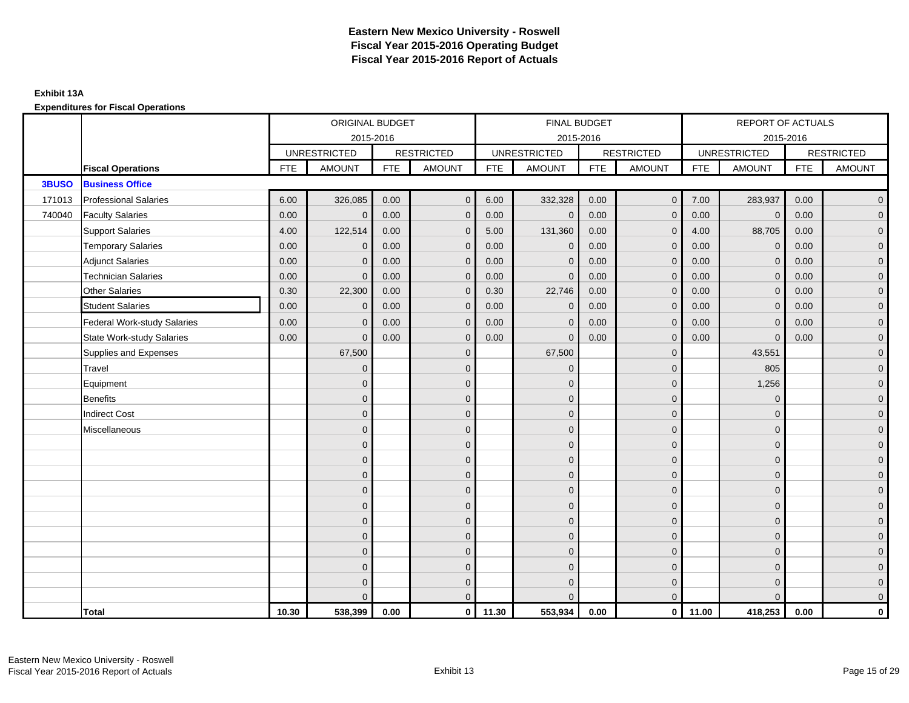#### **Exhibit 13A**

**Expenditures for Fiscal Operations**

|        |                                    |            | ORIGINAL BUDGET     |            |                   |            | <b>FINAL BUDGET</b> |            |                         |            | REPORT OF ACTUALS   |            |                   |
|--------|------------------------------------|------------|---------------------|------------|-------------------|------------|---------------------|------------|-------------------------|------------|---------------------|------------|-------------------|
|        |                                    |            | 2015-2016           |            |                   |            | 2015-2016           |            |                         |            | 2015-2016           |            |                   |
|        |                                    |            | <b>UNRESTRICTED</b> |            | <b>RESTRICTED</b> |            | <b>UNRESTRICTED</b> |            | <b>RESTRICTED</b>       |            | <b>UNRESTRICTED</b> |            | <b>RESTRICTED</b> |
|        | <b>Fiscal Operations</b>           | <b>FTE</b> | <b>AMOUNT</b>       | <b>FTE</b> | <b>AMOUNT</b>     | <b>FTE</b> | <b>AMOUNT</b>       | <b>FTE</b> | <b>AMOUNT</b>           | <b>FTE</b> | <b>AMOUNT</b>       | <b>FTE</b> | <b>AMOUNT</b>     |
| 3BUSO  | <b>Business Office</b>             |            |                     |            |                   |            |                     |            |                         |            |                     |            |                   |
| 171013 | <b>Professional Salaries</b>       | 6.00       | 326,085             | 0.00       | $\mathbf 0$       | 6.00       | 332,328             | 0.00       | $\overline{0}$          | 7.00       | 283,937             | 0.00       | $\overline{0}$    |
| 740040 | <b>Faculty Salaries</b>            | 0.00       | $\mathbf{0}$        | 0.00       | $\Omega$          | 0.00       | $\mathbf{0}$        | 0.00       | $\mathbf{0}$            | 0.00       | $\mathbf{0}$        | 0.00       | $\overline{0}$    |
|        | <b>Support Salaries</b>            | 4.00       | 122,514             | 0.00       | $\mathbf{0}$      | 5.00       | 131,360             | 0.00       | $\mathbf 0$             | 4.00       | 88,705              | 0.00       | $\overline{0}$    |
|        | <b>Temporary Salaries</b>          | 0.00       | $\mathbf{0}$        | 0.00       | $\mathbf{0}$      | 0.00       | $\mathbf{0}$        | 0.00       | $\mathbf{0}$            | 0.00       | $\mathbf 0$         | 0.00       | $\mathbf{0}$      |
|        | <b>Adjunct Salaries</b>            | 0.00       | $\mathbf{0}$        | 0.00       | $\mathbf{0}$      | 0.00       | $\mathbf{0}$        | 0.00       | $\mathbf 0$             | 0.00       | $\overline{0}$      | 0.00       | $\overline{0}$    |
|        | <b>Technician Salaries</b>         | 0.00       | $\mathbf{0}$        | 0.00       | $\mathbf{0}$      | 0.00       | $\Omega$            | 0.00       | $\overline{0}$          | 0.00       | $\mathbf{0}$        | 0.00       | $\overline{0}$    |
|        | <b>Other Salaries</b>              | 0.30       | 22,300              | 0.00       | $\mathbf{0}$      | 0.30       | 22,746              | 0.00       | $\mathbf{0}$            | 0.00       | $\mathbf 0$         | 0.00       | $\mathbf{0}$      |
|        | <b>Student Salaries</b>            | 0.00       | $\mathbf{0}$        | 0.00       | $\mathbf 0$       | 0.00       | $\mathbf{0}$        | 0.00       | $\mathbf{0}$            | 0.00       | $\mathbf{0}$        | 0.00       | $\mathbf{0}$      |
|        | <b>Federal Work-study Salaries</b> | 0.00       | $\mathbf{0}$        | 0.00       | $\mathbf{0}$      | 0.00       | $\mathbf{0}$        | 0.00       | $\mathbf{0}$            | 0.00       | $\overline{0}$      | 0.00       | $\overline{0}$    |
|        | <b>State Work-study Salaries</b>   | 0.00       | $\mathbf{0}$        | 0.00       | $\mathbf{0}$      | 0.00       | $\overline{0}$      | 0.00       | $\mathbf{0}$            | 0.00       | $\mathbf{0}$        | 0.00       | $\overline{0}$    |
|        | Supplies and Expenses              |            | 67,500              |            | $\mathbf{0}$      |            | 67,500              |            | $\mathbf{0}$            |            | 43,551              |            | $\overline{0}$    |
|        | Travel                             |            | $\mathbf 0$         |            | $\mathbf 0$       |            | $\mathbf 0$         |            | $\mathbf 0$             |            | 805                 |            | $\mathbf{0}$      |
|        | Equipment                          |            | $\Omega$            |            | $\mathbf{0}$      |            | $\Omega$            |            | $\mathbf 0$             |            | 1,256               |            | $\overline{0}$    |
|        | <b>Benefits</b>                    |            | $\mathbf{0}$        |            | $\mathbf{0}$      |            | $\Omega$            |            | $\overline{0}$          |            | $\mathbf 0$         |            | $\overline{0}$    |
|        | <b>Indirect Cost</b>               |            | $\Omega$            |            | $\mathbf{0}$      |            | $\Omega$            |            | $\mathbf{0}$            |            | $\Omega$            |            | $\overline{0}$    |
|        | Miscellaneous                      |            | $\overline{0}$      |            | $\mathbf 0$       |            | $\mathbf{0}$        |            | $\mathbf 0$             |            | $\mathbf{0}$        |            | $\overline{0}$    |
|        |                                    |            | $\mathbf{0}$        |            | $\mathbf{0}$      |            | $\Omega$            |            | $\mathbf 0$             |            | $\mathbf{0}$        |            | $\overline{0}$    |
|        |                                    |            | $\mathbf{0}$        |            | $\mathbf{0}$      |            | $\Omega$            |            | $\mathbf{0}$            |            | $\mathbf{0}$        |            | $\overline{0}$    |
|        |                                    |            | $\Omega$            |            | $\mathbf{0}$      |            | $\Omega$            |            | $\mathbf 0$             |            | $\mathbf{0}$        |            | $\overline{0}$    |
|        |                                    |            | $\overline{0}$      |            | $\mathbf 0$       |            | $\mathbf{0}$        |            | $\mathbf 0$             |            | $\mathbf{0}$        |            | $\overline{0}$    |
|        |                                    |            | $\overline{0}$      |            | $\mathbf 0$       |            | $\Omega$            |            | $\mathbf 0$             |            | $\mathbf{0}$        |            | $\overline{0}$    |
|        |                                    |            | $\Omega$            |            | $\mathbf{0}$      |            | $\mathbf{0}$        |            | $\mathbf 0$             |            | $\mathbf 0$         |            | $\overline{0}$    |
|        |                                    |            | $\overline{0}$      |            | $\mathbf{0}$      |            | $\Omega$            |            | $\mathbf{0}$            |            | $\mathbf{0}$        |            | $\overline{0}$    |
|        |                                    |            | $\overline{0}$      |            | $\mathbf{0}$      |            | $\mathbf{0}$        |            | $\mathbf 0$             |            | $\mathbf{0}$        |            | $\overline{0}$    |
|        |                                    |            | $\overline{0}$      |            | $\mathbf 0$       |            | $\mathbf{0}$        |            | $\mathbf 0$             |            | $\mathbf{0}$        |            | $\mathbf{0}$      |
|        |                                    |            | $\Omega$            |            | $\mathbf{0}$      |            | $\Omega$            |            | $\mathbf 0$             |            | $\Omega$            |            | $\mathbf{0}$      |
|        |                                    |            | $\Omega$            |            | $\mathbf{0}$      |            | $\Omega$            |            | $\overline{0}$          |            | $\Omega$            |            | $\overline{0}$    |
|        | Total                              | 10.30      | 538,399             | 0.00       | $\circ$           | 11.30      | 553,934             | 0.00       | $\overline{\mathbf{0}}$ | 11.00      | 418,253             | 0.00       | $\mathbf 0$       |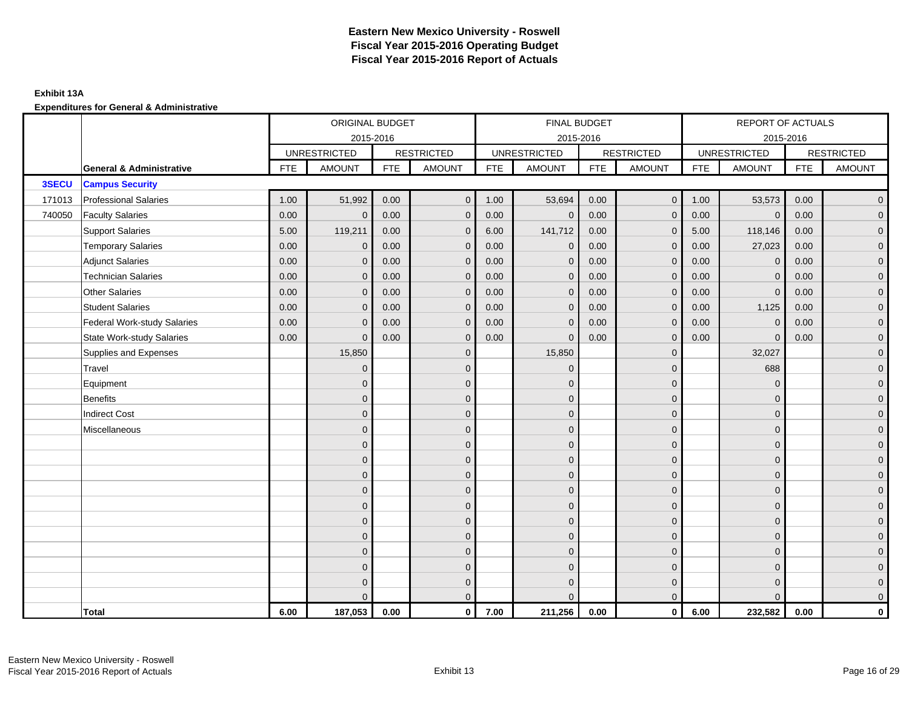### **Exhibit 13A**

|        |                                     |            | ORIGINAL BUDGET     |            |                   |      | <b>FINAL BUDGET</b> |            |                   |            | REPORT OF ACTUALS   |            |                   |
|--------|-------------------------------------|------------|---------------------|------------|-------------------|------|---------------------|------------|-------------------|------------|---------------------|------------|-------------------|
|        |                                     |            | 2015-2016           |            |                   |      | 2015-2016           |            |                   |            | 2015-2016           |            |                   |
|        |                                     |            | <b>UNRESTRICTED</b> |            | <b>RESTRICTED</b> |      | <b>UNRESTRICTED</b> |            | <b>RESTRICTED</b> |            | <b>UNRESTRICTED</b> |            | <b>RESTRICTED</b> |
|        | <b>General &amp; Administrative</b> | <b>FTE</b> | <b>AMOUNT</b>       | <b>FTE</b> | <b>AMOUNT</b>     | FTE  | <b>AMOUNT</b>       | <b>FTE</b> | <b>AMOUNT</b>     | <b>FTE</b> | <b>AMOUNT</b>       | <b>FTE</b> | <b>AMOUNT</b>     |
| 3SECU  | <b>Campus Security</b>              |            |                     |            |                   |      |                     |            |                   |            |                     |            |                   |
| 171013 | <b>Professional Salaries</b>        | 1.00       | 51,992              | 0.00       | $\mathbf 0$       | 1.00 | 53,694              | 0.00       | $\overline{0}$    | 1.00       | 53,573              | 0.00       | $\overline{0}$    |
| 740050 | <b>Faculty Salaries</b>             | 0.00       | $\mathbf{0}$        | 0.00       | $\mathbf{0}$      | 0.00 | $\mathbf{0}$        | 0.00       | $\mathbf{0}$      | 0.00       | $\mathbf 0$         | 0.00       | $\overline{0}$    |
|        | <b>Support Salaries</b>             | 5.00       | 119,211             | 0.00       | $\mathbf{0}$      | 6.00 | 141,712             | 0.00       | $\mathbf{0}$      | 5.00       | 118,146             | 0.00       | $\overline{0}$    |
|        | <b>Temporary Salaries</b>           | 0.00       | $\mathbf{0}$        | 0.00       | $\Omega$          | 0.00 | $\mathbf{0}$        | 0.00       | $\mathbf{0}$      | 0.00       | 27,023              | 0.00       | $\overline{0}$    |
|        | <b>Adjunct Salaries</b>             | 0.00       | $\mathbf{0}$        | 0.00       | $\mathbf{0}$      | 0.00 | $\mathbf{0}$        | 0.00       | $\mathbf{0}$      | 0.00       | $\mathbf{0}$        | 0.00       | $\overline{0}$    |
|        | <b>Technician Salaries</b>          | 0.00       | $\mathbf 0$         | 0.00       | $\mathbf 0$       | 0.00 | $\mathbf 0$         | 0.00       | $\overline{0}$    | 0.00       | $\mathbf 0$         | 0.00       | $\mathbf{0}$      |
|        | <b>Other Salaries</b>               | 0.00       | $\mathbf{0}$        | 0.00       | $\mathbf 0$       | 0.00 | $\mathbf{0}$        | 0.00       | $\mathbf{0}$      | 0.00       | $\mathbf{0}$        | 0.00       | $\mathbf{0}$      |
|        | <b>Student Salaries</b>             | 0.00       | $\mathbf{0}$        | 0.00       | $\mathbf{0}$      | 0.00 | $\mathbf{0}$        | 0.00       | $\mathbf{0}$      | 0.00       | 1,125               | 0.00       | $\overline{0}$    |
|        | Federal Work-study Salaries         | 0.00       | $\mathbf{0}$        | 0.00       | $\Omega$          | 0.00 | $\mathbf{0}$        | 0.00       | $\mathbf{0}$      | 0.00       | $\mathbf{0}$        | 0.00       | $\overline{0}$    |
|        | <b>State Work-study Salaries</b>    | 0.00       | $\mathbf{0}$        | 0.00       | $\mathbf{0}$      | 0.00 | $\mathbf{0}$        | 0.00       | $\mathbf 0$       | 0.00       | $\mathbf{0}$        | 0.00       | $\overline{0}$    |
|        | Supplies and Expenses               |            | 15,850              |            | $\mathbf{0}$      |      | 15,850              |            | $\mathbf{0}$      |            | 32,027              |            | $\overline{0}$    |
|        | Travel                              |            | $\mathbf 0$         |            | $\mathbf 0$       |      | $\mathbf 0$         |            | $\mathbf 0$       |            | 688                 |            | $\overline{0}$    |
|        | Equipment                           |            | $\mathbf{0}$        |            | $\mathbf{0}$      |      | $\Omega$            |            | $\mathbf 0$       |            | $\mathbf 0$         |            | $\overline{0}$    |
|        | Benefits                            |            | $\mathbf{0}$        |            | $\mathbf{0}$      |      | $\Omega$            |            | $\mathbf 0$       |            | $\Omega$            |            | $\overline{0}$    |
|        | <b>Indirect Cost</b>                |            | $\Omega$            |            | $\mathbf{0}$      |      | $\Omega$            |            | $\mathbf 0$       |            | $\mathbf{0}$        |            | $\overline{0}$    |
|        | Miscellaneous                       |            | $\Omega$            |            | $\mathbf{0}$      |      | $\Omega$            |            | $\mathbf 0$       |            | $\Omega$            |            | $\overline{0}$    |
|        |                                     |            | $\mathbf{0}$        |            | $\mathbf 0$       |      | $\Omega$            |            | $\mathbf 0$       |            | $\mathbf{0}$        |            | $\overline{0}$    |
|        |                                     |            | $\mathbf{0}$        |            | $\mathbf 0$       |      | $\mathbf{0}$        |            | $\mathbf 0$       |            | $\mathbf 0$         |            | $\mathbf{0}$      |
|        |                                     |            | $\overline{0}$      |            | $\mathbf 0$       |      | $\mathbf{0}$        |            | $\mathbf 0$       |            | $\mathbf{0}$        |            | $\overline{0}$    |
|        |                                     |            | $\Omega$            |            | $\mathbf{0}$      |      | $\Omega$            |            | $\mathbf 0$       |            | $\mathbf{0}$        |            | $\overline{0}$    |
|        |                                     |            | $\mathbf{0}$        |            | $\mathbf{0}$      |      | $\Omega$            |            | $\mathbf{0}$      |            | $\mathbf 0$         |            | $\overline{0}$    |
|        |                                     |            | $\Omega$            |            | $\mathbf{0}$      |      | $\Omega$            |            | $\mathbf{0}$      |            | $\Omega$            |            | $\overline{0}$    |
|        |                                     |            | $\mathbf{0}$        |            | $\mathbf 0$       |      | $\mathbf{0}$        |            | $\mathbf 0$       |            | $\mathbf{0}$        |            | $\mathbf{0}$      |
|        |                                     |            | $\mathbf{0}$        |            | $\mathbf{0}$      |      | $\Omega$            |            | $\mathbf 0$       |            | $\mathbf{0}$        |            | $\overline{0}$    |
|        |                                     |            | $\Omega$            |            | $\mathbf{0}$      |      | $\Omega$            |            | $\mathbf 0$       |            | $\mathbf{0}$        |            | $\overline{0}$    |
|        |                                     |            | $\Omega$            |            | $\mathbf 0$       |      | $\Omega$            |            | $\mathbf 0$       |            | $\mathbf 0$         |            | $\mathbf{0}$      |
|        |                                     |            | $\Omega$            |            | $\mathbf{0}$      |      | $\Omega$            |            | $\overline{0}$    |            | $\Omega$            |            | $\overline{0}$    |
|        | <b>Total</b>                        | 6.00       | 187,053             | 0.00       | $\mathbf{0}$      | 7.00 | 211,256             | 0.00       | $\overline{0}$    | 6.00       | 232,582             | 0.00       | $\mathbf 0$       |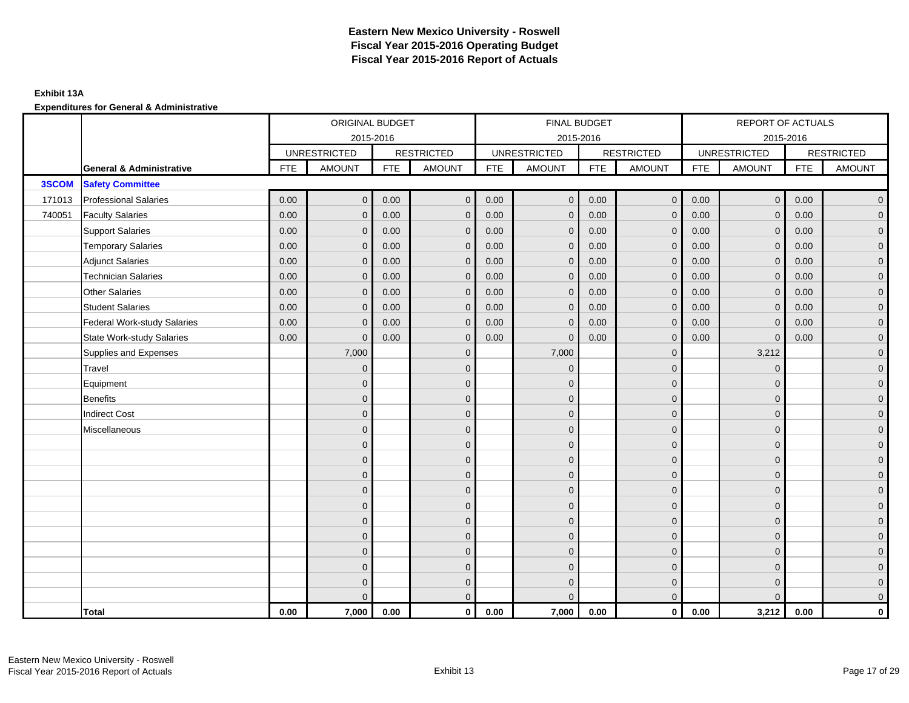### **Exhibit 13A**

|        |                                     |            | ORIGINAL BUDGET     |            |                   |      | <b>FINAL BUDGET</b> |            |                   |            | REPORT OF ACTUALS   |            |                   |
|--------|-------------------------------------|------------|---------------------|------------|-------------------|------|---------------------|------------|-------------------|------------|---------------------|------------|-------------------|
|        |                                     |            |                     | 2015-2016  |                   |      | 2015-2016           |            |                   |            | 2015-2016           |            |                   |
|        |                                     |            | <b>UNRESTRICTED</b> |            | <b>RESTRICTED</b> |      | <b>UNRESTRICTED</b> |            | <b>RESTRICTED</b> |            | <b>UNRESTRICTED</b> |            | <b>RESTRICTED</b> |
|        | <b>General &amp; Administrative</b> | <b>FTE</b> | <b>AMOUNT</b>       | <b>FTE</b> | <b>AMOUNT</b>     | FTE  | <b>AMOUNT</b>       | <b>FTE</b> | <b>AMOUNT</b>     | <b>FTE</b> | <b>AMOUNT</b>       | <b>FTE</b> | <b>AMOUNT</b>     |
| 3SCOM  | <b>Safety Committee</b>             |            |                     |            |                   |      |                     |            |                   |            |                     |            |                   |
| 171013 | <b>Professional Salaries</b>        | 0.00       | $\mathbf 0$         | 0.00       | $\mathbf 0$       | 0.00 | $\mathbf{0}$        | 0.00       | $\overline{0}$    | 0.00       | $\overline{0}$      | 0.00       | $\overline{0}$    |
| 740051 | <b>Faculty Salaries</b>             | 0.00       | $\mathbf{0}$        | 0.00       | $\mathbf{0}$      | 0.00 | $\mathbf{0}$        | 0.00       | $\mathbf 0$       | 0.00       | $\overline{0}$      | 0.00       | $\overline{0}$    |
|        | <b>Support Salaries</b>             | 0.00       | $\mathbf{0}$        | 0.00       | $\mathbf{0}$      | 0.00 | $\overline{0}$      | 0.00       | $\mathbf{0}$      | 0.00       | $\mathbf{0}$        | 0.00       | $\overline{0}$    |
|        | <b>Temporary Salaries</b>           | 0.00       | $\mathbf{0}$        | 0.00       | $\Omega$          | 0.00 | $\Omega$            | 0.00       | $\mathbf{0}$      | 0.00       | $\mathbf{0}$        | 0.00       | $\overline{0}$    |
|        | <b>Adjunct Salaries</b>             | 0.00       | $\mathbf{0}$        | 0.00       | $\mathbf{0}$      | 0.00 | $\overline{0}$      | 0.00       | $\mathbf{0}$      | 0.00       | $\overline{0}$      | 0.00       | $\overline{0}$    |
|        | <b>Technician Salaries</b>          | 0.00       | $\mathbf 0$         | 0.00       | $\mathbf 0$       | 0.00 | $\mathbf 0$         | 0.00       | $\overline{0}$    | 0.00       | $\mathbf 0$         | 0.00       | $\mathbf{0}$      |
|        | <b>Other Salaries</b>               | 0.00       | $\mathbf{0}$        | 0.00       | $\mathbf 0$       | 0.00 | $\mathbf{0}$        | 0.00       | $\mathbf{0}$      | 0.00       | $\mathbf 0$         | 0.00       | $\mathbf{0}$      |
|        | <b>Student Salaries</b>             | 0.00       | $\mathbf{0}$        | 0.00       | $\mathbf{0}$      | 0.00 | $\mathbf{0}$        | 0.00       | $\mathbf{0}$      | 0.00       | $\mathbf{0}$        | 0.00       | $\overline{0}$    |
|        | Federal Work-study Salaries         | 0.00       | $\mathbf{0}$        | 0.00       | $\mathbf 0$       | 0.00 | $\mathbf{0}$        | 0.00       | $\mathbf{0}$      | 0.00       | $\mathbf{0}$        | 0.00       | $\overline{0}$    |
|        | <b>State Work-study Salaries</b>    | 0.00       | $\mathbf{0}$        | 0.00       | $\mathbf{0}$      | 0.00 | $\mathbf{0}$        | 0.00       | $\mathbf 0$       | 0.00       | $\mathbf{0}$        | 0.00       | $\overline{0}$    |
|        | Supplies and Expenses               |            | 7,000               |            | $\mathbf{0}$      |      | 7,000               |            | $\mathbf{0}$      |            | 3,212               |            | $\overline{0}$    |
|        | Travel                              |            | $\mathbf 0$         |            | $\mathbf 0$       |      | $\mathbf{0}$        |            | $\mathbf 0$       |            | $\mathbf 0$         |            | $\overline{0}$    |
|        | Equipment                           |            | $\mathbf{0}$        |            | $\mathbf{0}$      |      | $\Omega$            |            | $\mathbf 0$       |            | $\mathbf{0}$        |            | $\overline{0}$    |
|        | Benefits                            |            | $\Omega$            |            | $\mathbf{0}$      |      | $\Omega$            |            | $\mathbf 0$       |            | $\mathbf{0}$        |            | $\overline{0}$    |
|        | <b>Indirect Cost</b>                |            | $\Omega$            |            | $\mathbf{0}$      |      | $\Omega$            |            | $\mathbf 0$       |            | $\mathbf{0}$        |            | $\overline{0}$    |
|        | Miscellaneous                       |            | $\mathbf{0}$        |            | $\mathbf{0}$      |      | $\Omega$            |            | $\mathbf 0$       |            | $\Omega$            |            | $\overline{0}$    |
|        |                                     |            | $\mathbf{0}$        |            | $\mathbf 0$       |      | $\Omega$            |            | $\mathbf 0$       |            | $\mathbf{0}$        |            | $\overline{0}$    |
|        |                                     |            | $\mathbf{0}$        |            | $\mathbf 0$       |      | $\mathbf{0}$        |            | $\mathbf 0$       |            | $\mathbf 0$         |            | $\mathbf{0}$      |
|        |                                     |            | $\overline{0}$      |            | $\mathbf 0$       |      | $\mathbf{0}$        |            | $\mathbf 0$       |            | $\mathbf{0}$        |            | $\overline{0}$    |
|        |                                     |            | $\Omega$            |            | $\mathbf{0}$      |      | $\Omega$            |            | $\mathbf 0$       |            | $\mathbf{0}$        |            | $\overline{0}$    |
|        |                                     |            | $\mathbf{0}$        |            | $\mathbf{0}$      |      | $\Omega$            |            | $\mathbf{0}$      |            | $\mathbf 0$         |            | $\overline{0}$    |
|        |                                     |            | $\Omega$            |            | $\mathbf{0}$      |      | $\Omega$            |            | $\mathbf{0}$      |            | $\Omega$            |            | $\overline{0}$    |
|        |                                     |            | $\mathbf{0}$        |            | $\mathbf 0$       |      | $\mathbf{0}$        |            | $\mathbf 0$       |            | $\mathbf{0}$        |            | $\mathbf{0}$      |
|        |                                     |            | $\mathbf{0}$        |            | $\mathbf{0}$      |      | $\Omega$            |            | $\mathbf 0$       |            | $\mathbf{0}$        |            | $\overline{0}$    |
|        |                                     |            | $\Omega$            |            | $\mathbf{0}$      |      | $\Omega$            |            | $\mathbf 0$       |            | $\mathbf{0}$        |            | $\overline{0}$    |
|        |                                     |            | $\Omega$            |            | $\mathbf 0$       |      | $\Omega$            |            | $\mathbf 0$       |            | $\mathbf 0$         |            | $\mathbf{0}$      |
|        |                                     |            | $\Omega$            |            | $\mathbf{0}$      |      | $\Omega$            |            | $\overline{0}$    |            | $\Omega$            |            | $\overline{0}$    |
|        | <b>Total</b>                        | 0.00       | 7,000               | 0.00       | $\mathbf{0}$      | 0.00 | 7,000               | 0.00       | $\overline{0}$    | 0.00       | 3,212               | 0.00       | $\mathbf 0$       |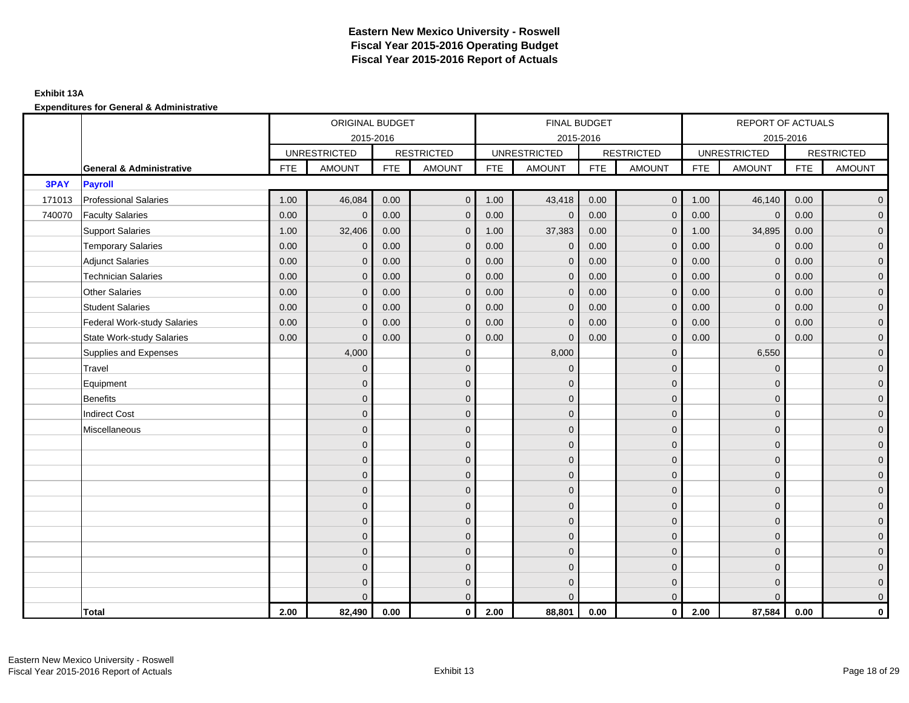### **Exhibit 13A**

|             |                                     |            | ORIGINAL BUDGET     |            |                   |      | <b>FINAL BUDGET</b> |            |                   |            | REPORT OF ACTUALS   |            |                   |
|-------------|-------------------------------------|------------|---------------------|------------|-------------------|------|---------------------|------------|-------------------|------------|---------------------|------------|-------------------|
|             |                                     |            | 2015-2016           |            |                   |      | 2015-2016           |            |                   |            | 2015-2016           |            |                   |
|             |                                     |            | <b>UNRESTRICTED</b> |            | <b>RESTRICTED</b> |      | <b>UNRESTRICTED</b> |            | <b>RESTRICTED</b> |            | <b>UNRESTRICTED</b> |            | <b>RESTRICTED</b> |
|             | <b>General &amp; Administrative</b> | <b>FTE</b> | <b>AMOUNT</b>       | <b>FTE</b> | <b>AMOUNT</b>     | FTE  | <b>AMOUNT</b>       | <b>FTE</b> | <b>AMOUNT</b>     | <b>FTE</b> | <b>AMOUNT</b>       | <b>FTE</b> | <b>AMOUNT</b>     |
| <b>3PAY</b> | <b>Payroll</b>                      |            |                     |            |                   |      |                     |            |                   |            |                     |            |                   |
| 171013      | <b>Professional Salaries</b>        | 1.00       | 46,084              | 0.00       | $\mathbf 0$       | 1.00 | 43,418              | 0.00       | $\overline{0}$    | 1.00       | 46,140              | 0.00       | $\overline{0}$    |
| 740070      | <b>Faculty Salaries</b>             | 0.00       | $\mathbf{0}$        | 0.00       | $\mathbf{0}$      | 0.00 | $\mathbf{0}$        | 0.00       | $\mathbf 0$       | 0.00       | $\mathbf 0$         | 0.00       | $\overline{0}$    |
|             | <b>Support Salaries</b>             | 1.00       | 32,406              | 0.00       | $\mathbf{0}$      | 1.00 | 37,383              | 0.00       | $\overline{0}$    | 1.00       | 34,895              | 0.00       | $\overline{0}$    |
|             | <b>Temporary Salaries</b>           | 0.00       | $\mathbf{0}$        | 0.00       | $\Omega$          | 0.00 | $\mathbf{0}$        | 0.00       | $\mathbf{0}$      | 0.00       | $\mathbf{0}$        | 0.00       | $\overline{0}$    |
|             | <b>Adjunct Salaries</b>             | 0.00       | $\mathbf{0}$        | 0.00       | $\mathbf{0}$      | 0.00 | $\mathbf{0}$        | 0.00       | $\mathbf{0}$      | 0.00       | $\mathbf{0}$        | 0.00       | $\overline{0}$    |
|             | <b>Technician Salaries</b>          | 0.00       | $\mathbf 0$         | 0.00       | $\mathbf 0$       | 0.00 | $\mathbf{0}$        | 0.00       | $\overline{0}$    | 0.00       | $\mathbf 0$         | 0.00       | $\mathbf{0}$      |
|             | <b>Other Salaries</b>               | 0.00       | $\mathbf{0}$        | 0.00       | $\mathbf 0$       | 0.00 | $\mathbf{0}$        | 0.00       | $\mathbf{0}$      | 0.00       | $\mathbf{0}$        | 0.00       | $\mathbf{0}$      |
|             | <b>Student Salaries</b>             | 0.00       | $\mathbf{0}$        | 0.00       | $\mathbf{0}$      | 0.00 | $\mathbf{0}$        | 0.00       | $\mathbf{0}$      | 0.00       | $\overline{0}$      | 0.00       | $\overline{0}$    |
|             | Federal Work-study Salaries         | 0.00       | $\mathbf{0}$        | 0.00       | $\mathbf 0$       | 0.00 | $\mathbf{0}$        | 0.00       | $\mathbf{0}$      | 0.00       | $\mathbf{0}$        | 0.00       | $\overline{0}$    |
|             | <b>State Work-study Salaries</b>    | 0.00       | $\mathbf{0}$        | 0.00       | $\mathbf{0}$      | 0.00 | $\mathbf{0}$        | 0.00       | $\mathbf 0$       | 0.00       | $\mathbf{0}$        | 0.00       | $\overline{0}$    |
|             | Supplies and Expenses               |            | 4,000               |            | $\mathbf{0}$      |      | 8,000               |            | $\mathbf{0}$      |            | 6,550               |            | $\overline{0}$    |
|             | Travel                              |            | $\mathbf{0}$        |            | $\mathbf 0$       |      | $\mathbf{0}$        |            | $\mathbf 0$       |            | $\mathbf 0$         |            | $\overline{0}$    |
|             | Equipment                           |            | $\mathbf{0}$        |            | $\mathbf{0}$      |      | $\Omega$            |            | $\mathbf 0$       |            | $\mathbf{0}$        |            | $\overline{0}$    |
|             | Benefits                            |            | $\mathbf{0}$        |            | $\mathbf{0}$      |      | $\Omega$            |            | $\mathbf 0$       |            | $\mathbf{0}$        |            | $\overline{0}$    |
|             | <b>Indirect Cost</b>                |            | $\Omega$            |            | $\mathbf{0}$      |      | $\Omega$            |            | $\mathbf 0$       |            | $\mathbf{0}$        |            | $\overline{0}$    |
|             | Miscellaneous                       |            | $\mathbf{0}$        |            | $\mathbf{0}$      |      | $\Omega$            |            | $\mathbf 0$       |            | $\Omega$            |            | $\overline{0}$    |
|             |                                     |            | $\mathbf{0}$        |            | $\mathbf 0$       |      | $\Omega$            |            | $\mathbf 0$       |            | $\mathbf{0}$        |            | $\overline{0}$    |
|             |                                     |            | $\mathbf{0}$        |            | $\mathbf 0$       |      | $\mathbf{0}$        |            | $\mathbf 0$       |            | $\mathbf 0$         |            | $\mathbf{0}$      |
|             |                                     |            | $\overline{0}$      |            | $\mathbf 0$       |      | $\mathbf{0}$        |            | $\mathbf{0}$      |            | $\mathbf{0}$        |            | $\overline{0}$    |
|             |                                     |            | $\Omega$            |            | $\mathbf{0}$      |      | $\Omega$            |            | $\mathbf 0$       |            | $\mathbf{0}$        |            | $\overline{0}$    |
|             |                                     |            | $\mathbf{0}$        |            | $\mathbf{0}$      |      | $\Omega$            |            | $\mathbf{0}$      |            | $\mathbf{0}$        |            | $\overline{0}$    |
|             |                                     |            | $\Omega$            |            | $\mathbf{0}$      |      | $\Omega$            |            | $\mathbf{0}$      |            | $\Omega$            |            | $\overline{0}$    |
|             |                                     |            | $\mathbf{0}$        |            | $\mathbf 0$       |      | $\mathbf{0}$        |            | $\mathbf 0$       |            | $\mathbf{0}$        |            | $\mathbf{0}$      |
|             |                                     |            | $\mathbf{0}$        |            | $\mathbf{0}$      |      | $\Omega$            |            | $\mathbf 0$       |            | $\mathbf{0}$        |            | $\overline{0}$    |
|             |                                     |            | $\Omega$            |            | $\mathbf{0}$      |      | $\Omega$            |            | $\mathbf 0$       |            | $\mathbf{0}$        |            | $\overline{0}$    |
|             |                                     |            | $\Omega$            |            | $\mathbf 0$       |      | $\Omega$            |            | $\mathbf 0$       |            | $\mathbf 0$         |            | $\mathbf{0}$      |
|             |                                     |            | $\Omega$            |            | $\mathbf{0}$      |      | $\Omega$            |            | $\overline{0}$    |            | $\Omega$            |            | $\overline{0}$    |
|             | <b>Total</b>                        | 2.00       | 82,490              | 0.00       | $\mathbf 0$       | 2.00 | 88,801              | 0.00       | $\overline{0}$    | 2.00       | 87,584              | 0.00       | $\mathbf 0$       |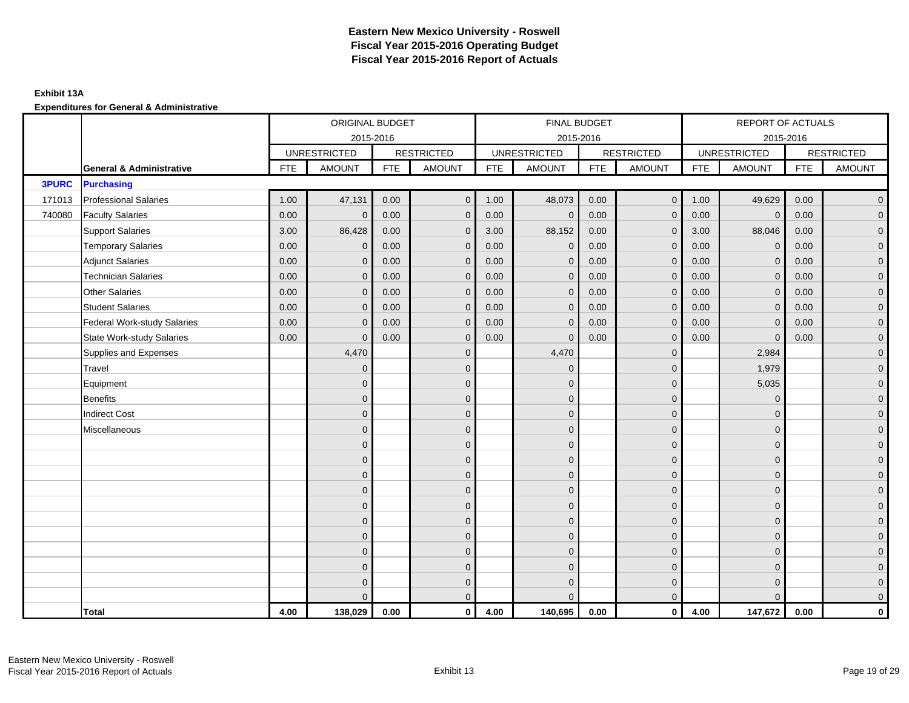### **Exhibit 13A**

|              |                                     |            | ORIGINAL BUDGET     |            |                   |      | <b>FINAL BUDGET</b> |            |                   |            | REPORT OF ACTUALS   |            |                   |
|--------------|-------------------------------------|------------|---------------------|------------|-------------------|------|---------------------|------------|-------------------|------------|---------------------|------------|-------------------|
|              |                                     |            |                     | 2015-2016  |                   |      | 2015-2016           |            |                   |            | 2015-2016           |            |                   |
|              |                                     |            | <b>UNRESTRICTED</b> |            | <b>RESTRICTED</b> |      | <b>UNRESTRICTED</b> |            | <b>RESTRICTED</b> |            | <b>UNRESTRICTED</b> |            | <b>RESTRICTED</b> |
|              | <b>General &amp; Administrative</b> | <b>FTE</b> | <b>AMOUNT</b>       | <b>FTE</b> | <b>AMOUNT</b>     | FTE  | <b>AMOUNT</b>       | <b>FTE</b> | <b>AMOUNT</b>     | <b>FTE</b> | <b>AMOUNT</b>       | <b>FTE</b> | <b>AMOUNT</b>     |
| <b>3PURC</b> | <b>Purchasing</b>                   |            |                     |            |                   |      |                     |            |                   |            |                     |            |                   |
| 171013       | <b>Professional Salaries</b>        | 1.00       | 47,131              | 0.00       | $\mathbf 0$       | 1.00 | 48,073              | 0.00       | $\overline{0}$    | 1.00       | 49,629              | 0.00       | $\overline{0}$    |
| 740080       | <b>Faculty Salaries</b>             | 0.00       | $\mathbf{0}$        | 0.00       | $\mathbf{0}$      | 0.00 | $\mathbf{0}$        | 0.00       | $\mathbf{0}$      | 0.00       | $\mathbf 0$         | 0.00       | $\overline{0}$    |
|              | <b>Support Salaries</b>             | 3.00       | 86,428              | 0.00       | $\mathbf{0}$      | 3.00 | 88,152              | 0.00       | $\mathbf{0}$      | 3.00       | 88,046              | 0.00       | $\overline{0}$    |
|              | <b>Temporary Salaries</b>           | 0.00       | $\mathbf{0}$        | 0.00       | $\Omega$          | 0.00 | $\mathbf{0}$        | 0.00       | $\mathbf{0}$      | 0.00       | $\mathbf{0}$        | 0.00       | $\overline{0}$    |
|              | <b>Adjunct Salaries</b>             | 0.00       | $\mathbf{0}$        | 0.00       | $\mathbf{0}$      | 0.00 | $\mathbf{0}$        | 0.00       | $\mathbf{0}$      | 0.00       | $\mathbf{0}$        | 0.00       | $\overline{0}$    |
|              | <b>Technician Salaries</b>          | 0.00       | $\mathbf 0$         | 0.00       | $\mathbf 0$       | 0.00 | $\mathbf 0$         | 0.00       | $\overline{0}$    | 0.00       | $\mathbf 0$         | 0.00       | $\mathbf{0}$      |
|              | <b>Other Salaries</b>               | 0.00       | $\mathbf{0}$        | 0.00       | $\mathbf 0$       | 0.00 | $\mathbf{0}$        | 0.00       | $\mathbf{0}$      | 0.00       | $\mathbf{0}$        | 0.00       | $\mathbf{0}$      |
|              | <b>Student Salaries</b>             | 0.00       | $\mathbf{0}$        | 0.00       | $\mathbf{0}$      | 0.00 | $\mathbf{0}$        | 0.00       | $\mathbf{0}$      | 0.00       | $\overline{0}$      | 0.00       | $\overline{0}$    |
|              | Federal Work-study Salaries         | 0.00       | $\mathbf{0}$        | 0.00       | $\mathbf 0$       | 0.00 | $\mathbf{0}$        | 0.00       | $\mathbf{0}$      | 0.00       | $\mathbf{0}$        | 0.00       | $\overline{0}$    |
|              | <b>State Work-study Salaries</b>    | 0.00       | $\mathbf{0}$        | 0.00       | $\mathbf{0}$      | 0.00 | $\mathbf{0}$        | 0.00       | $\mathbf 0$       | 0.00       | $\mathbf{0}$        | 0.00       | $\overline{0}$    |
|              | Supplies and Expenses               |            | 4,470               |            | $\mathbf{0}$      |      | 4,470               |            | $\mathbf{0}$      |            | 2,984               |            | $\overline{0}$    |
|              | Travel                              |            | $\mathbf{0}$        |            | $\mathbf 0$       |      | $\mathbf{0}$        |            | $\mathbf 0$       |            | 1,979               |            | $\overline{0}$    |
|              | Equipment                           |            | $\mathbf{0}$        |            | $\mathbf{0}$      |      | $\Omega$            |            | $\mathbf 0$       |            | 5,035               |            | $\overline{0}$    |
|              | Benefits                            |            | $\mathbf{0}$        |            | $\mathbf{0}$      |      | $\Omega$            |            | $\mathbf 0$       |            | $\mathbf 0$         |            | $\overline{0}$    |
|              | <b>Indirect Cost</b>                |            | $\Omega$            |            | $\mathbf{0}$      |      | $\Omega$            |            | $\mathbf 0$       |            | $\mathbf 0$         |            | $\overline{0}$    |
|              | Miscellaneous                       |            | $\overline{0}$      |            | $\mathbf{0}$      |      | $\Omega$            |            | $\mathbf 0$       |            | $\Omega$            |            | $\overline{0}$    |
|              |                                     |            | $\overline{0}$      |            | $\mathbf 0$       |      | $\Omega$            |            | $\mathbf 0$       |            | $\mathbf{0}$        |            | $\overline{0}$    |
|              |                                     |            | $\overline{0}$      |            | $\mathbf 0$       |      | $\mathbf{0}$        |            | $\mathbf 0$       |            | $\mathbf 0$         |            | $\mathbf{0}$      |
|              |                                     |            | $\overline{0}$      |            | $\mathbf 0$       |      | $\mathbf{0}$        |            | $\mathbf{0}$      |            | $\mathbf{0}$        |            | $\overline{0}$    |
|              |                                     |            | $\Omega$            |            | $\mathbf{0}$      |      | $\Omega$            |            | $\mathbf 0$       |            | $\mathbf{0}$        |            | $\overline{0}$    |
|              |                                     |            | $\mathbf{0}$        |            | $\mathbf{0}$      |      | $\Omega$            |            | $\mathbf{0}$      |            | $\mathbf 0$         |            | $\overline{0}$    |
|              |                                     |            | $\Omega$            |            | $\mathbf{0}$      |      | $\Omega$            |            | $\mathbf{0}$      |            | $\Omega$            |            | $\overline{0}$    |
|              |                                     |            | $\mathbf{0}$        |            | $\mathbf 0$       |      | $\mathbf{0}$        |            | $\mathbf 0$       |            | $\mathbf{0}$        |            | $\mathbf{0}$      |
|              |                                     |            | $\mathbf{0}$        |            | $\mathbf{0}$      |      | $\Omega$            |            | $\mathbf 0$       |            | $\mathbf{0}$        |            | $\overline{0}$    |
|              |                                     |            | $\Omega$            |            | $\mathbf 0$       |      | $\Omega$            |            | $\mathbf 0$       |            | $\mathbf{0}$        |            | $\overline{0}$    |
|              |                                     |            | $\Omega$            |            | $\mathbf 0$       |      | $\Omega$            |            | $\mathbf 0$       |            | $\mathbf 0$         |            | $\mathbf{0}$      |
|              |                                     |            | $\Omega$            |            | $\mathbf{0}$      |      | $\Omega$            |            | $\overline{0}$    |            | $\Omega$            |            | $\overline{0}$    |
|              | <b>Total</b>                        | 4.00       | 138,029             | 0.00       | $\mathbf 0$       | 4.00 | 140,695             | 0.00       | $\overline{0}$    | 4.00       | 147,672             | 0.00       | $\mathbf 0$       |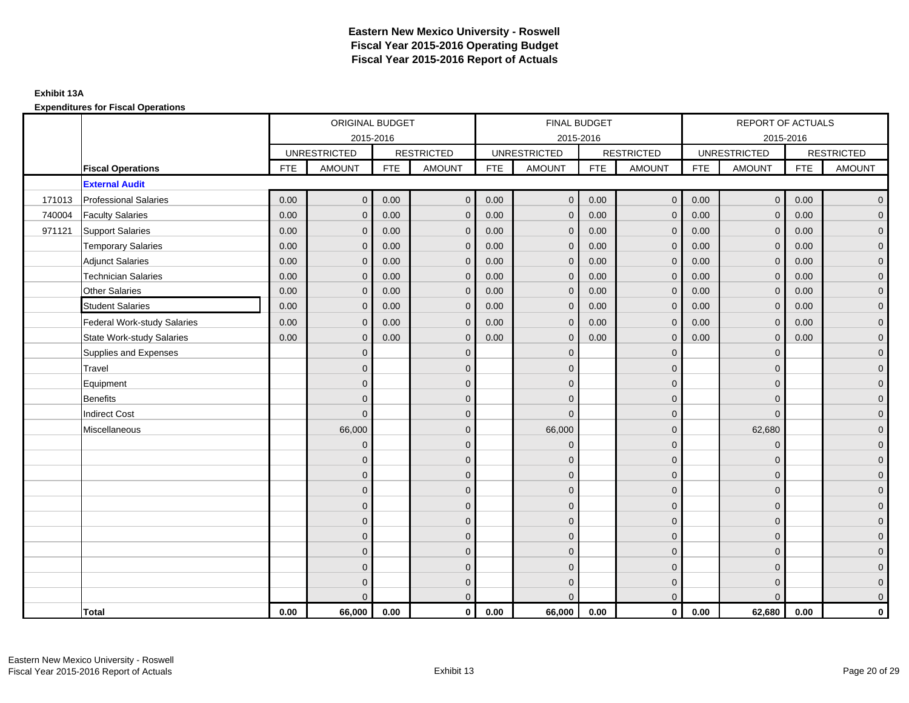## **Exhibit 13A**

**Expenditures for Fiscal Operations**

|        |                                  |            | ORIGINAL BUDGET     |            |                   |      | <b>FINAL BUDGET</b> |            |                   |            | REPORT OF ACTUALS   |            |                   |
|--------|----------------------------------|------------|---------------------|------------|-------------------|------|---------------------|------------|-------------------|------------|---------------------|------------|-------------------|
|        |                                  |            |                     | 2015-2016  |                   |      | 2015-2016           |            |                   |            | 2015-2016           |            |                   |
|        |                                  |            | <b>UNRESTRICTED</b> |            | <b>RESTRICTED</b> |      | <b>UNRESTRICTED</b> |            | <b>RESTRICTED</b> |            | <b>UNRESTRICTED</b> |            | <b>RESTRICTED</b> |
|        | <b>Fiscal Operations</b>         | <b>FTE</b> | <b>AMOUNT</b>       | <b>FTE</b> | <b>AMOUNT</b>     | FTE  | <b>AMOUNT</b>       | <b>FTE</b> | <b>AMOUNT</b>     | <b>FTE</b> | <b>AMOUNT</b>       | <b>FTE</b> | <b>AMOUNT</b>     |
|        | <b>External Audit</b>            |            |                     |            |                   |      |                     |            |                   |            |                     |            |                   |
| 171013 | <b>Professional Salaries</b>     | 0.00       | $\mathbf 0$         | 0.00       | $\mathbf 0$       | 0.00 | $\mathbf{0}$        | 0.00       | $\overline{0}$    | 0.00       | $\overline{0}$      | 0.00       | $\overline{0}$    |
| 740004 | <b>Faculty Salaries</b>          | 0.00       | $\mathbf{0}$        | 0.00       | $\mathbf{0}$      | 0.00 | $\mathbf{0}$        | 0.00       | $\mathbf 0$       | 0.00       | $\overline{0}$      | 0.00       | $\overline{0}$    |
| 971121 | <b>Support Salaries</b>          | 0.00       | $\mathbf{0}$        | 0.00       | $\mathbf{0}$      | 0.00 | $\overline{0}$      | 0.00       | $\mathbf{0}$      | 0.00       | $\mathbf{0}$        | 0.00       | $\overline{0}$    |
|        | <b>Temporary Salaries</b>        | 0.00       | $\mathbf{0}$        | 0.00       | $\Omega$          | 0.00 | $\Omega$            | 0.00       | $\mathbf{0}$      | 0.00       | $\mathbf{0}$        | 0.00       | $\overline{0}$    |
|        | <b>Adjunct Salaries</b>          | 0.00       | $\mathbf{0}$        | 0.00       | $\mathbf{0}$      | 0.00 | $\overline{0}$      | 0.00       | $\mathbf{0}$      | 0.00       | $\mathbf{0}$        | 0.00       | $\overline{0}$    |
|        | <b>Technician Salaries</b>       | 0.00       | $\mathbf 0$         | 0.00       | $\mathbf 0$       | 0.00 | $\mathbf{0}$        | 0.00       | $\mathbf 0$       | 0.00       | $\mathbf 0$         | 0.00       | $\mathbf{0}$      |
|        | <b>Other Salaries</b>            | 0.00       | $\mathbf{0}$        | 0.00       | $\mathbf 0$       | 0.00 | $\mathbf{0}$        | 0.00       | $\mathbf{0}$      | 0.00       | $\mathbf{0}$        | 0.00       | $\mathbf{0}$      |
|        | <b>Student Salaries</b>          | 0.00       | $\mathbf{0}$        | 0.00       | $\mathbf 0$       | 0.00 | $\mathbf{0}$        | 0.00       | $\mathbf{0}$      | 0.00       | $\mathbf{0}$        | 0.00       | $\mathbf{0}$      |
|        | Federal Work-study Salaries      | 0.00       | $\mathbf{0}$        | 0.00       | $\mathbf{0}$      | 0.00 | $\mathbf{0}$        | 0.00       | $\mathbf{0}$      | 0.00       | $\mathbf{0}$        | 0.00       | $\overline{0}$    |
|        | <b>State Work-study Salaries</b> | 0.00       | $\mathbf{0}$        | 0.00       | $\mathbf{0}$      | 0.00 | $\Omega$            | 0.00       | $\mathbf{0}$      | 0.00       | $\mathbf{0}$        | 0.00       | $\overline{0}$    |
|        | Supplies and Expenses            |            | $\Omega$            |            | $\mathbf{0}$      |      | $\Omega$            |            | $\mathbf{0}$      |            | $\mathbf{0}$        |            | $\overline{0}$    |
|        | Travel                           |            | $\mathbf{0}$        |            | $\mathbf 0$       |      | $\mathbf{0}$        |            | $\mathbf 0$       |            | $\mathbf{0}$        |            | $\overline{0}$    |
|        | Equipment                        |            | $\mathbf{0}$        |            | $\mathbf{0}$      |      | $\Omega$            |            | $\mathbf 0$       |            | $\mathbf{0}$        |            | $\overline{0}$    |
|        | Benefits                         |            | $\Omega$            |            | $\mathbf{0}$      |      | $\Omega$            |            | $\mathbf{0}$      |            | $\Omega$            |            | $\overline{0}$    |
|        | <b>Indirect Cost</b>             |            | $\Omega$            |            | $\mathbf{0}$      |      | $\Omega$            |            | $\mathbf 0$       |            | $\Omega$            |            | $\overline{0}$    |
|        | Miscellaneous                    |            | 66,000              |            | $\mathbf{0}$      |      | 66,000              |            | $\mathbf 0$       |            | 62,680              |            | $\overline{0}$    |
|        |                                  |            | $\overline{0}$      |            | $\mathbf 0$       |      | $\mathbf{0}$        |            | $\mathbf 0$       |            | $\mathbf 0$         |            | $\overline{0}$    |
|        |                                  |            | $\Omega$            |            | $\mathbf 0$       |      | $\mathbf{0}$        |            | $\mathbf 0$       |            | $\mathbf 0$         |            | $\mathbf{0}$      |
|        |                                  |            | $\overline{0}$      |            | $\mathbf 0$       |      | $\mathbf{0}$        |            | $\mathbf{0}$      |            | $\mathbf{0}$        |            | $\overline{0}$    |
|        |                                  |            | $\Omega$            |            | $\mathbf{0}$      |      | $\Omega$            |            | $\mathbf 0$       |            | $\Omega$            |            | $\overline{0}$    |
|        |                                  |            | $\mathbf{0}$        |            | $\mathbf{0}$      |      | $\Omega$            |            | $\mathbf{0}$      |            | $\mathbf 0$         |            | $\overline{0}$    |
|        |                                  |            | $\Omega$            |            | $\mathbf{0}$      |      | $\Omega$            |            | $\mathbf{0}$      |            | $\Omega$            |            | $\overline{0}$    |
|        |                                  |            | $\mathbf{0}$        |            | $\mathbf 0$       |      | $\mathbf{0}$        |            | $\mathbf 0$       |            | $\mathbf{0}$        |            | $\overline{0}$    |
|        |                                  |            | $\mathbf{0}$        |            | $\mathbf{0}$      |      | $\Omega$            |            | $\mathbf 0$       |            | $\mathbf{0}$        |            | $\overline{0}$    |
|        |                                  |            | $\Omega$            |            | $\mathbf{0}$      |      | $\Omega$            |            | $\mathbf 0$       |            | $\mathbf{0}$        |            | $\overline{0}$    |
|        |                                  |            | $\Omega$            |            | $\mathbf 0$       |      | $\Omega$            |            | $\mathbf 0$       |            | $\mathbf 0$         |            | $\mathbf{0}$      |
|        |                                  |            | $\Omega$            |            | $\mathbf{0}$      |      | $\Omega$            |            | $\overline{0}$    |            | $\Omega$            |            | $\overline{0}$    |
|        | <b>Total</b>                     | 0.00       | 66,000              | 0.00       | $\mathbf 0$       | 0.00 | 66,000              | 0.00       | $\overline{0}$    | 0.00       | 62,680              | 0.00       | $\mathbf 0$       |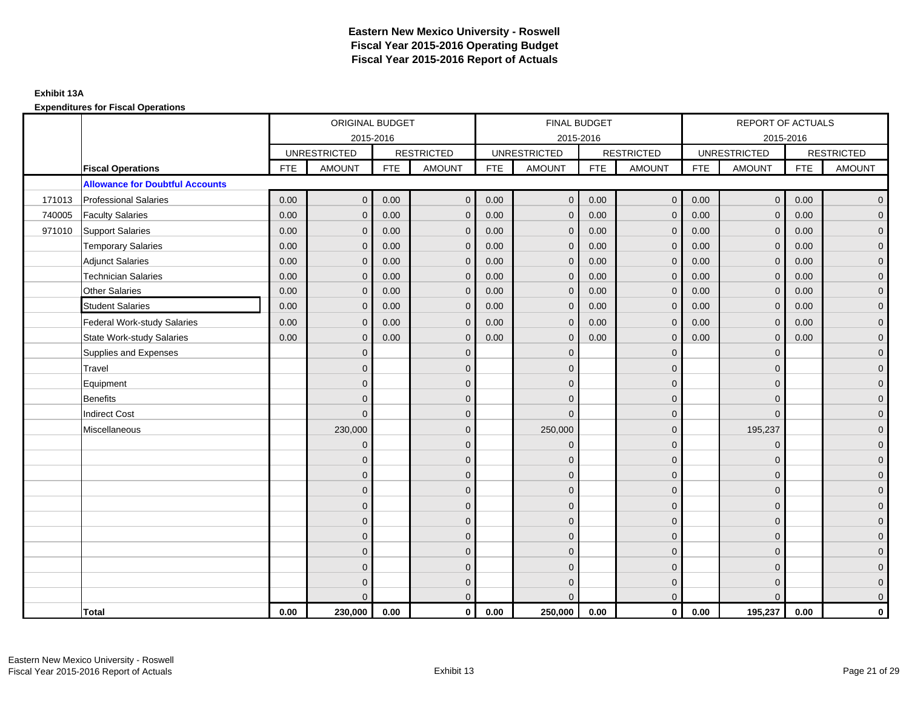**Expenditures for Fiscal Operations**

|        |                                        |            | ORIGINAL BUDGET     |            |                   |      | <b>FINAL BUDGET</b> |            |                   |            | REPORT OF ACTUALS   |            |                   |
|--------|----------------------------------------|------------|---------------------|------------|-------------------|------|---------------------|------------|-------------------|------------|---------------------|------------|-------------------|
|        |                                        |            |                     | 2015-2016  |                   |      | 2015-2016           |            |                   |            | 2015-2016           |            |                   |
|        |                                        |            | <b>UNRESTRICTED</b> |            | <b>RESTRICTED</b> |      | <b>UNRESTRICTED</b> |            | <b>RESTRICTED</b> |            | <b>UNRESTRICTED</b> |            | <b>RESTRICTED</b> |
|        | <b>Fiscal Operations</b>               | <b>FTE</b> | <b>AMOUNT</b>       | <b>FTE</b> | <b>AMOUNT</b>     | FTE  | <b>AMOUNT</b>       | <b>FTE</b> | <b>AMOUNT</b>     | <b>FTE</b> | <b>AMOUNT</b>       | <b>FTE</b> | <b>AMOUNT</b>     |
|        | <b>Allowance for Doubtful Accounts</b> |            |                     |            |                   |      |                     |            |                   |            |                     |            |                   |
| 171013 | <b>Professional Salaries</b>           | 0.00       | $\mathbf 0$         | 0.00       | $\mathbf 0$       | 0.00 | $\mathbf{0}$        | 0.00       | $\overline{0}$    | 0.00       | $\overline{0}$      | 0.00       | $\overline{0}$    |
| 740005 | <b>Faculty Salaries</b>                | 0.00       | $\mathbf{0}$        | 0.00       | $\mathbf{0}$      | 0.00 | $\mathbf{0}$        | 0.00       | $\mathbf 0$       | 0.00       | $\overline{0}$      | 0.00       | $\overline{0}$    |
| 971010 | <b>Support Salaries</b>                | 0.00       | $\mathbf{0}$        | 0.00       | $\mathbf{0}$      | 0.00 | $\mathbf{0}$        | 0.00       | $\mathbf{0}$      | 0.00       | $\mathbf{0}$        | 0.00       | $\overline{0}$    |
|        | <b>Temporary Salaries</b>              | 0.00       | $\mathbf{0}$        | 0.00       | $\Omega$          | 0.00 | $\Omega$            | 0.00       | $\mathbf{0}$      | 0.00       | $\mathbf{0}$        | 0.00       | $\overline{0}$    |
|        | <b>Adjunct Salaries</b>                | 0.00       | $\mathbf{0}$        | 0.00       | $\mathbf{0}$      | 0.00 | $\mathbf{0}$        | 0.00       | $\mathbf{0}$      | 0.00       | $\mathbf{0}$        | 0.00       | $\overline{0}$    |
|        | <b>Technician Salaries</b>             | 0.00       | $\mathbf 0$         | 0.00       | $\mathbf{0}$      | 0.00 | $\mathbf{0}$        | 0.00       | $\mathbf{0}$      | 0.00       | $\mathbf 0$         | 0.00       | $\overline{0}$    |
|        | <b>Other Salaries</b>                  | 0.00       | $\mathbf{0}$        | 0.00       | $\mathbf 0$       | 0.00 | $\mathbf{0}$        | 0.00       | $\mathbf 0$       | 0.00       | $\mathbf{0}$        | 0.00       | $\mathbf 0$       |
|        | <b>Student Salaries</b>                | 0.00       | $\mathbf{0}$        | 0.00       | $\mathbf 0$       | 0.00 | $\mathbf{0}$        | 0.00       | $\mathbf{0}$      | 0.00       | $\mathbf{0}$        | 0.00       | $\mathbf{0}$      |
|        | Federal Work-study Salaries            | 0.00       | $\mathbf{0}$        | 0.00       | $\Omega$          | 0.00 | $\mathbf{0}$        | 0.00       | $\mathbf{0}$      | 0.00       | $\mathbf{0}$        | 0.00       | $\overline{0}$    |
|        | <b>State Work-study Salaries</b>       | 0.00       | $\mathbf{0}$        | 0.00       | $\mathbf{0}$      | 0.00 | $\Omega$            | 0.00       | $\Omega$          | 0.00       | $\mathbf{0}$        | 0.00       | $\overline{0}$    |
|        | Supplies and Expenses                  |            | $\Omega$            |            | $\Omega$          |      | $\Omega$            |            | $\overline{0}$    |            | $\mathbf{0}$        |            | $\overline{0}$    |
|        | Travel                                 |            | $\overline{0}$      |            | $\mathbf 0$       |      | $\mathbf{0}$        |            | $\mathbf 0$       |            | $\mathbf{0}$        |            | $\overline{0}$    |
|        | Equipment                              |            | $\Omega$            |            | $\mathbf{0}$      |      | $\Omega$            |            | $\mathbf 0$       |            | $\mathbf{0}$        |            | $\overline{0}$    |
|        | Benefits                               |            | $\Omega$            |            | $\mathbf{0}$      |      | $\Omega$            |            | $\mathbf{0}$      |            | $\Omega$            |            | $\overline{0}$    |
|        | <b>Indirect Cost</b>                   |            | $\Omega$            |            | $\mathbf{0}$      |      | $\Omega$            |            | $\mathbf{0}$      |            | $\Omega$            |            | $\overline{0}$    |
|        | Miscellaneous                          |            | 230,000             |            | $\mathbf{0}$      |      | 250,000             |            | $\mathbf 0$       |            | 195,237             |            | $\overline{0}$    |
|        |                                        |            | $\mathbf{0}$        |            | $\mathbf 0$       |      | $\mathbf{0}$        |            | $\mathbf 0$       |            | $\mathbf 0$         |            | $\overline{0}$    |
|        |                                        |            | $\Omega$            |            | $\mathbf 0$       |      | $\Omega$            |            | $\mathbf 0$       |            | $\mathbf 0$         |            | $\mathbf{0}$      |
|        |                                        |            | $\overline{0}$      |            | $\mathbf 0$       |      | $\Omega$            |            | $\mathbf{0}$      |            | $\mathbf{0}$        |            | $\overline{0}$    |
|        |                                        |            | $\Omega$            |            | $\mathbf{0}$      |      | $\Omega$            |            | $\mathbf 0$       |            | $\Omega$            |            | $\overline{0}$    |
|        |                                        |            | $\mathbf{0}$        |            | $\mathbf{0}$      |      | $\Omega$            |            | $\mathbf 0$       |            | $\Omega$            |            | $\overline{0}$    |
|        |                                        |            | $\Omega$            |            | $\mathbf{0}$      |      | $\Omega$            |            | $\mathbf{0}$      |            | $\Omega$            |            | $\overline{0}$    |
|        |                                        |            | $\mathbf{0}$        |            | $\mathbf 0$       |      | $\mathbf{0}$        |            | $\mathbf 0$       |            | $\mathbf{0}$        |            | $\mathbf{0}$      |
|        |                                        |            | $\Omega$            |            | $\mathbf{0}$      |      | $\Omega$            |            | $\mathbf 0$       |            | $\mathbf{0}$        |            | $\overline{0}$    |
|        |                                        |            | $\Omega$            |            | $\mathbf{0}$      |      | $\Omega$            |            | $\mathbf{0}$      |            | $\Omega$            |            | $\overline{0}$    |
|        |                                        |            | $\Omega$            |            | $\mathbf 0$       |      | $\Omega$            |            | $\mathbf 0$       |            | $\Omega$            |            | $\mathbf{0}$      |
|        |                                        |            | $\Omega$            |            | $\mathbf{0}$      |      | $\Omega$            |            | $\overline{0}$    |            | $\Omega$            |            | $\overline{0}$    |
|        | <b>Total</b>                           | 0.00       | 230,000             | 0.00       | $\mathbf 0$       | 0.00 | 250,000             | 0.00       | $\overline{0}$    | 0.00       | 195,237             | 0.00       | $\mathbf{0}$      |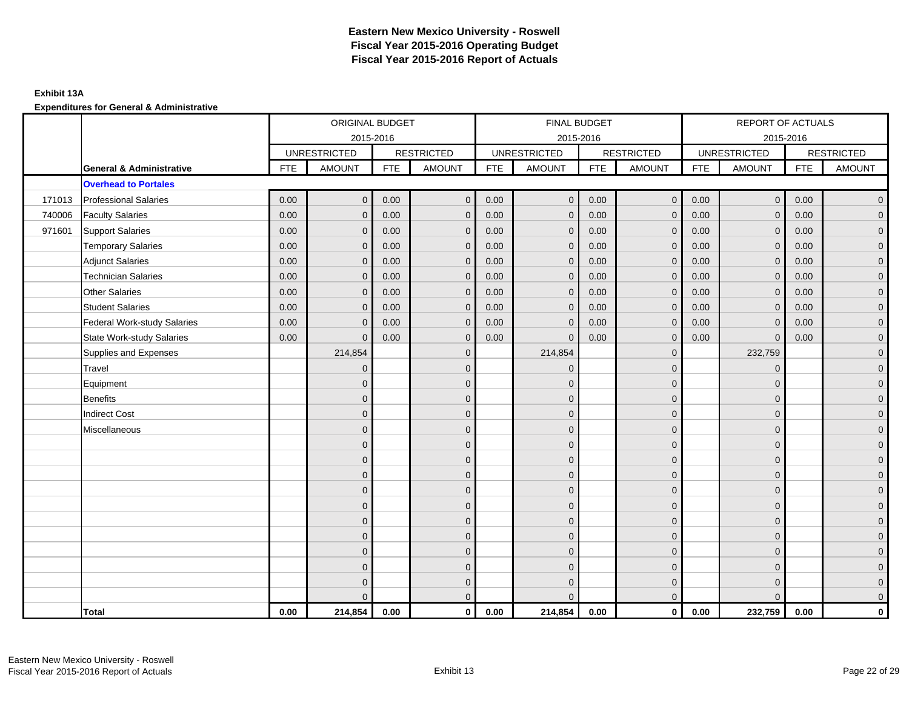### **Exhibit 13A**

|        |                                     |            | ORIGINAL BUDGET     |            |                   |            | FINAL BUDGET        |            |                   |            | <b>REPORT OF ACTUALS</b> |            |                   |
|--------|-------------------------------------|------------|---------------------|------------|-------------------|------------|---------------------|------------|-------------------|------------|--------------------------|------------|-------------------|
|        |                                     |            | 2015-2016           |            |                   |            | 2015-2016           |            |                   |            | 2015-2016                |            |                   |
|        |                                     |            | <b>UNRESTRICTED</b> |            | <b>RESTRICTED</b> |            | <b>UNRESTRICTED</b> |            | <b>RESTRICTED</b> |            | <b>UNRESTRICTED</b>      |            | <b>RESTRICTED</b> |
|        | <b>General &amp; Administrative</b> | <b>FTE</b> | <b>AMOUNT</b>       | <b>FTE</b> | <b>AMOUNT</b>     | <b>FTE</b> | <b>AMOUNT</b>       | <b>FTE</b> | <b>AMOUNT</b>     | <b>FTE</b> | <b>AMOUNT</b>            | <b>FTE</b> | <b>AMOUNT</b>     |
|        | <b>Overhead to Portales</b>         |            |                     |            |                   |            |                     |            |                   |            |                          |            |                   |
| 171013 | <b>Professional Salaries</b>        | 0.00       | $\mathbf 0$         | 0.00       | $\mathbf 0$       | 0.00       | $\mathbf 0$         | 0.00       | $\overline{0}$    | 0.00       | $\overline{0}$           | 0.00       | $\mathbf 0$       |
| 740006 | <b>Faculty Salaries</b>             | 0.00       | $\mathbf{0}$        | 0.00       | $\mathbf{0}$      | 0.00       | $\mathbf{0}$        | 0.00       | $\Omega$          | 0.00       | $\mathbf{0}$             | 0.00       | $\overline{0}$    |
| 971601 | Support Salaries                    | 0.00       | $\mathbf{0}$        | 0.00       | $\mathbf{0}$      | 0.00       | $\mathbf{0}$        | 0.00       | $\mathbf{0}$      | 0.00       | $\overline{0}$           | 0.00       | $\mathbf 0$       |
|        | <b>Temporary Salaries</b>           | 0.00       | $\mathbf{0}$        | 0.00       | $\mathbf{0}$      | 0.00       | $\mathbf{0}$        | 0.00       | $\mathbf{0}$      | 0.00       | $\overline{0}$           | 0.00       | $\mathbf 0$       |
|        | <b>Adjunct Salaries</b>             | 0.00       | $\mathbf{0}$        | 0.00       | $\mathbf{0}$      | 0.00       | $\mathbf{0}$        | 0.00       | $\mathbf{0}$      | 0.00       | $\overline{0}$           | 0.00       | $\mathbf 0$       |
|        | <b>Technician Salaries</b>          | 0.00       | $\mathbf{0}$        | 0.00       | $\mathbf{0}$      | 0.00       | $\mathbf{0}$        | 0.00       | 0                 | 0.00       | $\mathbf{0}$             | 0.00       | $\mathbf 0$       |
|        | <b>Other Salaries</b>               | 0.00       | $\Omega$            | 0.00       | $\Omega$          | 0.00       | $\Omega$            | 0.00       | $\Omega$          | 0.00       | $\overline{0}$           | 0.00       | $\mathbf 0$       |
|        | <b>Student Salaries</b>             | 0.00       | $\mathbf 0$         | 0.00       | $\mathbf 0$       | 0.00       | $\mathbf{0}$        | 0.00       | $\mathbf{0}$      | 0.00       | $\mathbf 0$              | 0.00       | $\mathbf 0$       |
|        | <b>Federal Work-study Salaries</b>  | 0.00       | $\mathbf{0}$        | 0.00       | $\mathbf{0}$      | 0.00       | $\mathbf{0}$        | 0.00       | $\mathbf 0$       | 0.00       | $\overline{0}$           | 0.00       | $\mathbf 0$       |
|        | <b>State Work-study Salaries</b>    | 0.00       | $\mathbf{0}$        | 0.00       | $\mathbf{0}$      | 0.00       | $\mathbf{0}$        | 0.00       | $\Omega$          | 0.00       | $\mathbf{0}$             | 0.00       | $\mathbf 0$       |
|        | Supplies and Expenses               |            | 214,854             |            | $\mathbf{0}$      |            | 214,854             |            | $\mathbf{0}$      |            | 232,759                  |            | $\mathbf 0$       |
|        | Travel                              |            | $\mathbf 0$         |            | $\mathbf 0$       |            | $\mathbf 0$         |            | $\mathbf{0}$      |            | $\mathbf 0$              |            | $\mathbf 0$       |
|        | Equipment                           |            | $\Omega$            |            | $\mathbf{0}$      |            | $\Omega$            |            | $\mathbf{0}$      |            | $\mathbf{0}$             |            | $\mathbf 0$       |
|        | <b>Benefits</b>                     |            | $\Omega$            |            | $\mathbf{0}$      |            | $\Omega$            |            | $\mathbf 0$       |            | $\Omega$                 |            | $\mathbf 0$       |
|        | <b>Indirect Cost</b>                |            | $\Omega$            |            | $\mathbf{0}$      |            | $\Omega$            |            | $\mathbf{0}$      |            | $\Omega$                 |            | $\mathbf 0$       |
|        | Miscellaneous                       |            | $\overline{0}$      |            | $\mathbf 0$       |            | $\mathbf{0}$        |            | $\mathbf 0$       |            | $\mathbf{0}$             |            | $\mathbf 0$       |
|        |                                     |            | $\Omega$            |            | $\mathbf{0}$      |            | $\Omega$            |            | $\mathbf{0}$      |            | $\mathbf{0}$             |            | $\mathbf 0$       |
|        |                                     |            | $\Omega$            |            | $\mathbf{0}$      |            | $\Omega$            |            | $\mathbf{0}$      |            | $\mathbf{0}$             |            | $\mathbf 0$       |
|        |                                     |            | $\Omega$            |            | $\mathbf{0}$      |            | $\Omega$            |            | $\mathbf{0}$      |            | $\mathbf{0}$             |            | $\mathbf 0$       |
|        |                                     |            | $\mathbf{0}$        |            | $\mathbf 0$       |            | $\mathbf{0}$        |            | $\mathbf 0$       |            | $\mathbf{0}$             |            | $\mathbf 0$       |
|        |                                     |            | $\mathbf{0}$        |            | $\mathbf 0$       |            | $\mathbf{0}$        |            | $\mathbf 0$       |            | $\mathbf{0}$             |            | $\pmb{0}$         |
|        |                                     |            | $\Omega$            |            | $\mathbf{0}$      |            | $\Omega$            |            | $\mathbf{0}$      |            | $\mathbf{0}$             |            | $\mathbf 0$       |
|        |                                     |            | $\mathbf{0}$        |            | $\mathbf{0}$      |            | $\Omega$            |            | $\mathbf{0}$      |            | $\Omega$                 |            | $\mathbf 0$       |
|        |                                     |            | $\mathbf{0}$        |            | $\mathbf{0}$      |            | $\Omega$            |            | $\mathbf{0}$      |            | $\mathbf{0}$             |            | $\overline{0}$    |
|        |                                     |            | $\mathbf{0}$        |            | $\mathbf{0}$      |            | $\Omega$            |            | $\Omega$          |            | $\mathbf{0}$             |            | $\mathbf 0$       |
|        |                                     |            | $\Omega$            |            | $\mathbf 0$       |            | $\Omega$            |            | $\mathbf 0$       |            | $\mathbf{0}$             |            | $\mathbf 0$       |
|        |                                     |            | $\Omega$            |            | $\mathbf{0}$      |            | $\Omega$            |            | $\mathbf{0}$      |            | $\Omega$                 |            | $\overline{0}$    |
|        | Total                               | 0.00       | 214,854             | 0.00       | $\mathbf{0}$      | 0.00       | 214,854             | 0.00       | $\mathbf 0$       | 0.00       | 232,759                  | 0.00       | $\mathbf 0$       |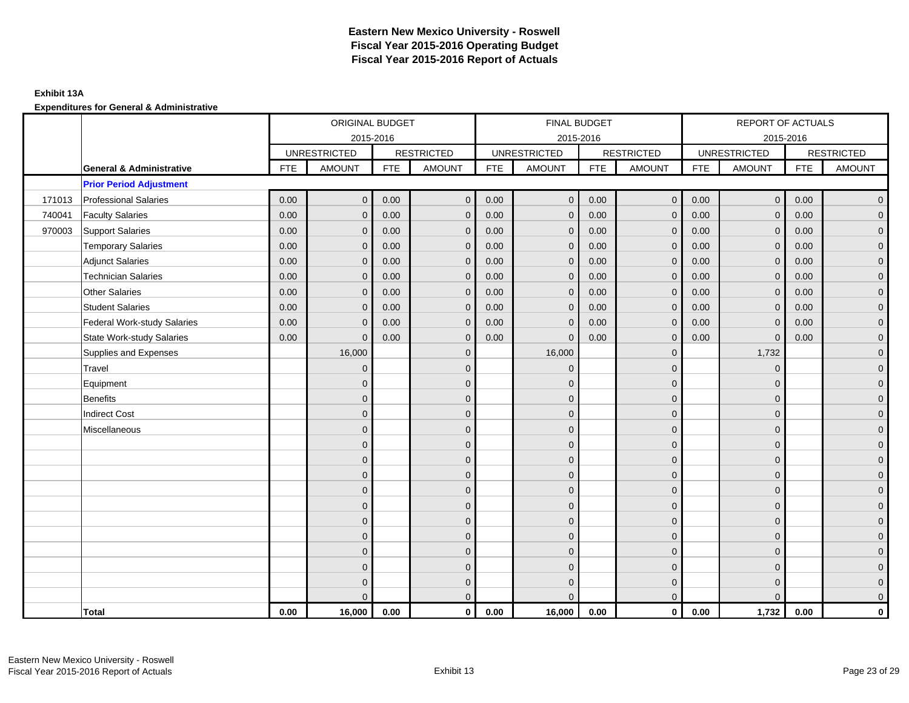### **Exhibit 13A**

|        |                                     |            | ORIGINAL BUDGET     |            |                   |            | FINAL BUDGET        |            |                   |            | REPORT OF ACTUALS   |            |                     |
|--------|-------------------------------------|------------|---------------------|------------|-------------------|------------|---------------------|------------|-------------------|------------|---------------------|------------|---------------------|
|        |                                     |            | 2015-2016           |            |                   |            | 2015-2016           |            |                   |            | 2015-2016           |            |                     |
|        |                                     |            | <b>UNRESTRICTED</b> |            | <b>RESTRICTED</b> |            | <b>UNRESTRICTED</b> |            | <b>RESTRICTED</b> |            | <b>UNRESTRICTED</b> |            | <b>RESTRICTED</b>   |
|        | <b>General &amp; Administrative</b> | <b>FTE</b> | <b>AMOUNT</b>       | <b>FTE</b> | <b>AMOUNT</b>     | <b>FTE</b> | <b>AMOUNT</b>       | <b>FTE</b> | <b>AMOUNT</b>     | <b>FTE</b> | <b>AMOUNT</b>       | <b>FTE</b> | <b>AMOUNT</b>       |
|        | <b>Prior Period Adjustment</b>      |            |                     |            |                   |            |                     |            |                   |            |                     |            |                     |
| 171013 | <b>Professional Salaries</b>        | 0.00       | $\mathbf 0$         | 0.00       | $\mathbf 0$       | 0.00       | $\overline{0}$      | 0.00       | $\overline{0}$    | 0.00       | $\overline{0}$      | 0.00       | $\overline{0}$      |
| 740041 | <b>Faculty Salaries</b>             | 0.00       | $\mathbf{0}$        | 0.00       | $\Omega$          | 0.00       | $\mathbf{0}$        | 0.00       | $\mathbf{0}$      | 0.00       | $\mathbf{0}$        | 0.00       | $\overline{0}$      |
| 970003 | Support Salaries                    | 0.00       | $\mathbf{0}$        | 0.00       | $\mathbf{0}$      | 0.00       | $\mathbf{0}$        | 0.00       | $\mathbf{0}$      | 0.00       | $\mathbf{0}$        | 0.00       | $\overline{0}$      |
|        | <b>Temporary Salaries</b>           | 0.00       | $\mathbf{0}$        | 0.00       | $\mathbf{0}$      | 0.00       | $\mathbf{0}$        | 0.00       | $\mathbf{0}$      | 0.00       | $\mathbf 0$         | 0.00       | $\overline{0}$      |
|        | <b>Adjunct Salaries</b>             | 0.00       | $\mathbf{0}$        | 0.00       | $\mathbf{0}$      | 0.00       | $\mathbf{0}$        | 0.00       | $\mathbf 0$       | 0.00       | $\mathbf 0$         | 0.00       | $\overline{0}$      |
|        | <b>Technician Salaries</b>          | 0.00       | $\mathbf{0}$        | 0.00       | $\mathbf 0$       | 0.00       | $\mathbf{0}$        | 0.00       | $\mathbf{0}$      | 0.00       | $\mathbf{0}$        | 0.00       | $\overline{0}$      |
|        | <b>Other Salaries</b>               | 0.00       | $\Omega$            | 0.00       | $\Omega$          | 0.00       | $\Omega$            | 0.00       | $\mathbf{0}$      | 0.00       | $\mathbf{0}$        | 0.00       | $\overline{0}$      |
|        | <b>Student Salaries</b>             | 0.00       | $\mathbf{0}$        | 0.00       | $\mathbf{0}$      | 0.00       | $\mathbf{0}$        | 0.00       | $\mathbf{0}$      | 0.00       | $\mathbf 0$         | 0.00       | $\mathbf{0}$        |
|        | <b>Federal Work-study Salaries</b>  | 0.00       | $\mathbf{0}$        | 0.00       | $\Omega$          | 0.00       | $\mathbf{0}$        | 0.00       | $\mathbf{0}$      | 0.00       | $\mathbf{0}$        | 0.00       | $\overline{0}$      |
|        | <b>State Work-study Salaries</b>    | 0.00       | $\mathbf{0}$        | 0.00       | $\Omega$          | 0.00       | $\mathbf{0}$        | 0.00       | $\mathbf{0}$      | 0.00       | $\mathbf 0$         | 0.00       | $\overline{0}$      |
|        | Supplies and Expenses               |            | 16,000              |            | $\Omega$          |            | 16,000              |            | $\mathbf{0}$      |            | 1,732               |            | $\overline{0}$      |
|        | Travel                              |            | $\mathbf 0$         |            | $\mathbf{0}$      |            | $\mathbf{0}$        |            | $\mathbf 0$       |            | $\mathbf 0$         |            | $\overline{0}$      |
|        | Equipment                           |            | $\Omega$            |            | $\mathbf{0}$      |            | $\Omega$            |            | $\mathbf 0$       |            | $\mathbf 0$         |            | $\overline{0}$      |
|        | <b>Benefits</b>                     |            | $\Omega$            |            | $\mathbf 0$       |            | $\Omega$            |            | $\mathbf 0$       |            | $\Omega$            |            | $\overline{0}$      |
|        | <b>Indirect Cost</b>                |            | $\Omega$            |            | $\mathbf{0}$      |            | $\Omega$            |            | $\mathbf{0}$      |            | $\Omega$            |            | $\overline{0}$      |
|        | Miscellaneous                       |            | $\mathbf{0}$        |            | $\mathbf 0$       |            | $\mathbf{0}$        |            | $\mathbf 0$       |            | $\mathbf 0$         |            | $\overline{0}$      |
|        |                                     |            | $\Omega$            |            | $\mathbf{0}$      |            | $\Omega$            |            | $\mathbf 0$       |            | $\mathbf 0$         |            | $\overline{0}$      |
|        |                                     |            | $\Omega$            |            | $\mathbf{0}$      |            | $\Omega$            |            | $\mathbf 0$       |            | $\Omega$            |            | $\overline{0}$      |
|        |                                     |            | $\Omega$            |            | $\mathbf{0}$      |            | $\Omega$            |            | $\mathbf{0}$      |            | $\Omega$            |            | $\overline{0}$      |
|        |                                     |            | $\mathbf{0}$        |            | $\mathbf{0}$      |            | $\mathbf{0}$        |            | $\mathbf 0$       |            | $\mathbf{0}$        |            | $\mathsf{O}\xspace$ |
|        |                                     |            | $\overline{0}$      |            | $\mathbf 0$       |            | $\mathbf{0}$        |            | $\mathbf 0$       |            | $\mathbf 0$         |            | $\overline{0}$      |
|        |                                     |            | $\Omega$            |            | $\mathbf{0}$      |            | $\Omega$            |            | $\mathbf{0}$      |            | $\Omega$            |            | $\mathbf{0}$        |
|        |                                     |            | $\mathbf{0}$        |            | $\mathbf{0}$      |            | $\Omega$            |            | $\mathbf{0}$      |            | $\Omega$            |            | $\overline{0}$      |
|        |                                     |            | $\Omega$            |            | $\mathbf{0}$      |            | $\Omega$            |            | $\mathbf 0$       |            | $\mathbf 0$         |            | $\overline{0}$      |
|        |                                     |            | $\overline{0}$      |            | $\mathbf{0}$      |            | $\Omega$            |            | $\mathbf 0$       |            | $\mathbf 0$         |            | $\mathbf{0}$        |
|        |                                     |            | $\Omega$            |            | $\mathbf{0}$      |            | $\Omega$            |            | $\mathbf 0$       |            | $\Omega$            |            | $\mathbf{0}$        |
|        |                                     |            | $\Omega$            |            | $\mathbf{0}$      |            | $\Omega$            |            | $\mathbf{0}$      |            | $\Omega$            |            | $\mathbf{0}$        |
|        | Total                               | 0.00       | 16,000              | 0.00       | $\mathbf 0$       | 0.00       | 16,000              | 0.00       | $\mathbf{0}$      | 0.00       | 1,732               | 0.00       | $\mathbf 0$         |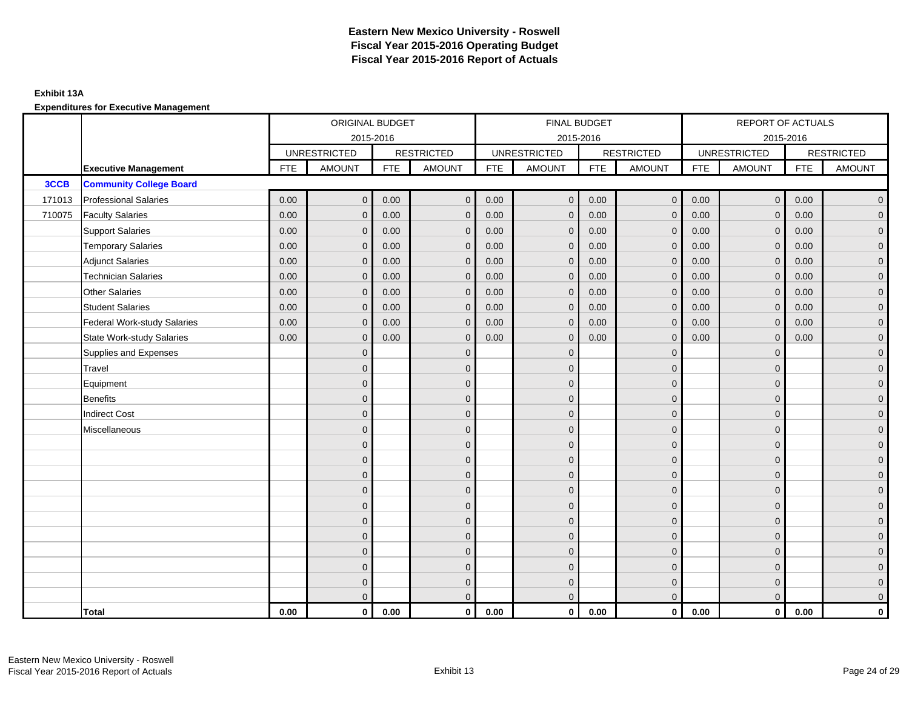### **Exhibit 13A**

|        |                                    |            | ORIGINAL BUDGET     |            |                   |            | FINAL BUDGET        |            |                   |            | REPORT OF ACTUALS   |            |                   |
|--------|------------------------------------|------------|---------------------|------------|-------------------|------------|---------------------|------------|-------------------|------------|---------------------|------------|-------------------|
|        |                                    |            | 2015-2016           |            |                   |            | 2015-2016           |            |                   |            | 2015-2016           |            |                   |
|        |                                    |            | <b>UNRESTRICTED</b> |            | <b>RESTRICTED</b> |            | <b>UNRESTRICTED</b> |            | <b>RESTRICTED</b> |            | <b>UNRESTRICTED</b> |            | <b>RESTRICTED</b> |
|        | <b>Executive Management</b>        | <b>FTE</b> | <b>AMOUNT</b>       | <b>FTE</b> | <b>AMOUNT</b>     | <b>FTE</b> | <b>AMOUNT</b>       | <b>FTE</b> | <b>AMOUNT</b>     | <b>FTE</b> | <b>AMOUNT</b>       | <b>FTE</b> | <b>AMOUNT</b>     |
| 3CCB   | <b>Community College Board</b>     |            |                     |            |                   |            |                     |            |                   |            |                     |            |                   |
| 171013 | <b>Professional Salaries</b>       | 0.00       | $\mathbf 0$         | 0.00       | $\mathbf 0$       | 0.00       | $\mathbf{0}$        | 0.00       | $\overline{0}$    | 0.00       | $\mathbf 0$         | 0.00       | $\overline{0}$    |
| 710075 | <b>Faculty Salaries</b>            | 0.00       | $\mathbf{0}$        | 0.00       | $\Omega$          | 0.00       | $\mathbf{0}$        | 0.00       | $\mathbf{0}$      | 0.00       | $\mathbf{0}$        | 0.00       | $\overline{0}$    |
|        | <b>Support Salaries</b>            | 0.00       | $\mathbf{0}$        | 0.00       | $\mathbf{0}$      | 0.00       | $\mathbf{0}$        | 0.00       | $\mathbf{0}$      | 0.00       | $\mathbf{0}$        | 0.00       | $\overline{0}$    |
|        | <b>Temporary Salaries</b>          | 0.00       | $\mathbf{0}$        | 0.00       | $\mathbf{0}$      | 0.00       | $\mathbf{0}$        | 0.00       | $\mathbf{0}$      | 0.00       | $\mathbf{0}$        | 0.00       | $\overline{0}$    |
|        | <b>Adjunct Salaries</b>            | 0.00       | $\mathbf{0}$        | 0.00       | $\mathbf{0}$      | 0.00       | $\mathbf{0}$        | 0.00       | $\overline{0}$    | 0.00       | $\mathbf{0}$        | 0.00       | $\overline{0}$    |
|        | <b>Technician Salaries</b>         | 0.00       | $\mathbf{0}$        | 0.00       | $\Omega$          | 0.00       | $\mathbf{0}$        | 0.00       | $\mathbf{0}$      | 0.00       | $\mathbf{0}$        | 0.00       | $\overline{0}$    |
|        | <b>Other Salaries</b>              | 0.00       | $\Omega$            | 0.00       | $\Omega$          | 0.00       | $\mathbf{0}$        | 0.00       | $\Omega$          | 0.00       | $\Omega$            | 0.00       | $\overline{0}$    |
|        | <b>Student Salaries</b>            | 0.00       | $\mathbf 0$         | 0.00       | $\mathbf{0}$      | 0.00       | $\mathbf{0}$        | 0.00       | $\mathbf 0$       | 0.00       | $\mathbf 0$         | 0.00       | $\overline{0}$    |
|        | <b>Federal Work-study Salaries</b> | 0.00       | $\mathbf{0}$        | 0.00       | $\mathbf{0}$      | 0.00       | $\mathbf{0}$        | 0.00       | $\mathbf{0}$      | 0.00       | $\mathbf{0}$        | 0.00       | $\overline{0}$    |
|        | <b>State Work-study Salaries</b>   | 0.00       | $\mathbf{0}$        | 0.00       | $\Omega$          | 0.00       | $\mathbf{0}$        | 0.00       | $\mathbf{0}$      | 0.00       | $\mathbf{0}$        | 0.00       | $\overline{0}$    |
|        | Supplies and Expenses              |            | $\Omega$            |            | $\Omega$          |            | $\Omega$            |            | $\mathbf{0}$      |            | $\mathbf{0}$        |            | $\overline{0}$    |
|        | Travel                             |            | $\overline{0}$      |            | $\mathbf 0$       |            | $\mathbf{0}$        |            | $\mathbf{0}$      |            | $\mathbf{0}$        |            | $\overline{0}$    |
|        | Equipment                          |            | $\Omega$            |            | $\mathbf{0}$      |            | $\Omega$            |            | $\mathbf 0$       |            | $\mathbf{0}$        |            | $\overline{0}$    |
|        | <b>Benefits</b>                    |            | $\Omega$            |            | $\mathbf{0}$      |            | $\Omega$            |            | $\mathbf{0}$      |            | $\Omega$            |            | $\overline{0}$    |
|        | <b>Indirect Cost</b>               |            | $\Omega$            |            | $\mathbf{0}$      |            | $\Omega$            |            | $\mathbf{0}$      |            | $\Omega$            |            | $\overline{0}$    |
|        | Miscellaneous                      |            | $\mathbf{0}$        |            | $\mathbf 0$       |            | $\mathbf{0}$        |            | $\mathbf 0$       |            | $\mathbf{0}$        |            | $\overline{0}$    |
|        |                                    |            | $\Omega$            |            | $\mathbf{0}$      |            | $\Omega$            |            | $\mathbf 0$       |            | $\mathbf{0}$        |            | $\overline{0}$    |
|        |                                    |            | $\Omega$            |            | $\mathbf{0}$      |            | $\Omega$            |            | $\mathbf{0}$      |            | $\Omega$            |            | $\overline{0}$    |
|        |                                    |            | $\Omega$            |            | $\mathbf{0}$      |            | $\Omega$            |            | $\mathbf{0}$      |            | $\Omega$            |            | $\overline{0}$    |
|        |                                    |            | $\mathbf{0}$        |            | $\mathbf 0$       |            | $\mathbf{0}$        |            | $\mathbf 0$       |            | $\mathbf{0}$        |            | $\overline{0}$    |
|        |                                    |            | $\mathbf{0}$        |            | $\mathbf{0}$      |            | $\Omega$            |            | $\mathbf 0$       |            | $\mathbf{0}$        |            | $\mathbf 0$       |
|        |                                    |            | $\Omega$            |            | $\mathbf{0}$      |            | $\Omega$            |            | $\mathbf{0}$      |            | $\Omega$            |            | $\overline{0}$    |
|        |                                    |            | $\Omega$            |            | $\mathbf{0}$      |            | $\Omega$            |            | $\mathbf{0}$      |            | $\Omega$            |            | $\overline{0}$    |
|        |                                    |            | $\Omega$            |            | $\mathbf{0}$      |            | $\Omega$            |            | $\mathbf{0}$      |            | $\mathbf{0}$        |            | $\overline{0}$    |
|        |                                    |            | $\mathbf{0}$        |            | $\mathbf{0}$      |            | $\Omega$            |            | $\mathbf{0}$      |            | $\mathbf{0}$        |            | $\mathbf 0$       |
|        |                                    |            | $\Omega$            |            | $\mathbf{0}$      |            | $\Omega$            |            | $\mathbf 0$       |            | $\mathbf{0}$        |            | $\mathbf 0$       |
|        |                                    |            | $\overline{0}$      |            | $\mathbf{0}$      |            | $\Omega$            |            | $\mathbf{0}$      |            | $\Omega$            |            | $\mathbf{0}$      |
|        | Total                              | 0.00       | $\mathbf 0$         | 0.00       | $\mathbf 0$       | 0.00       | $\mathbf 0$         | 0.00       | $\overline{0}$    | 0.00       | $\mathbf 0$         | 0.00       | 0                 |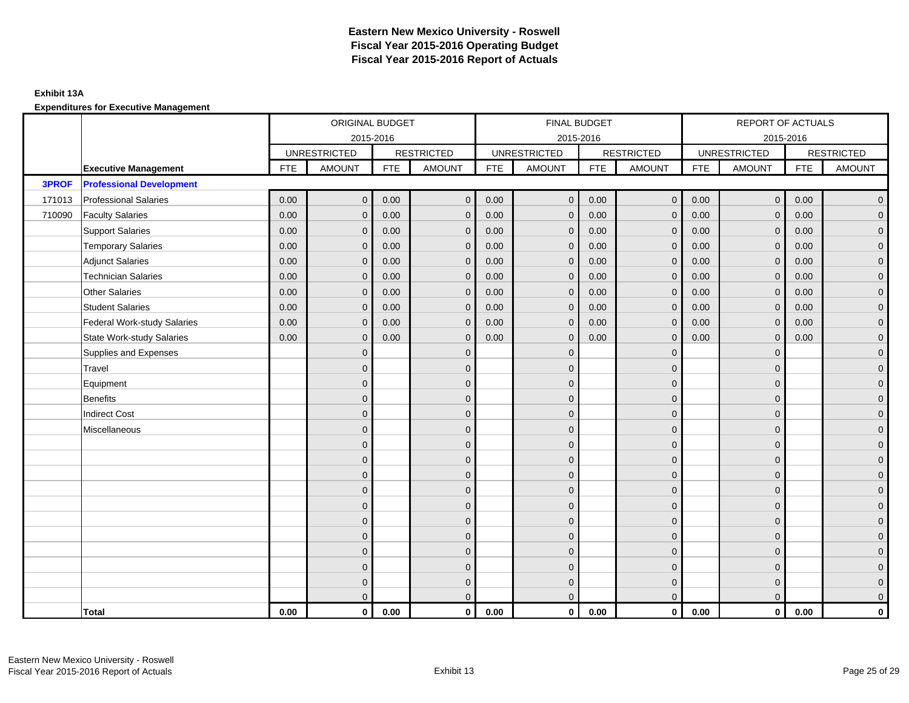## **Exhibit 13A**

|              |                                    |            | ORIGINAL BUDGET     |            |                   |      | FINAL BUDGET        |            |                   |            | REPORT OF ACTUALS   |            |                   |
|--------------|------------------------------------|------------|---------------------|------------|-------------------|------|---------------------|------------|-------------------|------------|---------------------|------------|-------------------|
|              |                                    |            | 2015-2016           |            |                   |      | 2015-2016           |            |                   |            | 2015-2016           |            |                   |
|              |                                    |            | <b>UNRESTRICTED</b> |            | <b>RESTRICTED</b> |      | <b>UNRESTRICTED</b> |            | <b>RESTRICTED</b> |            | <b>UNRESTRICTED</b> |            | <b>RESTRICTED</b> |
|              | <b>Executive Management</b>        | <b>FTE</b> | <b>AMOUNT</b>       | <b>FTE</b> | <b>AMOUNT</b>     | FTE  | <b>AMOUNT</b>       | <b>FTE</b> | <b>AMOUNT</b>     | <b>FTE</b> | <b>AMOUNT</b>       | <b>FTE</b> | <b>AMOUNT</b>     |
| <b>3PROF</b> | <b>Professional Development</b>    |            |                     |            |                   |      |                     |            |                   |            |                     |            |                   |
| 171013       | <b>Professional Salaries</b>       | 0.00       | $\mathbf 0$         | 0.00       | $\mathbf 0$       | 0.00 | $\mathbf{0}$        | 0.00       | $\overline{0}$    | 0.00       | $\overline{0}$      | 0.00       | $\overline{0}$    |
| 710090       | <b>Faculty Salaries</b>            | 0.00       | $\mathbf{0}$        | 0.00       | $\mathbf{0}$      | 0.00 | $\mathbf{0}$        | 0.00       | $\mathbf{0}$      | 0.00       | $\mathbf 0$         | 0.00       | $\overline{0}$    |
|              | <b>Support Salaries</b>            | 0.00       | $\Omega$            | 0.00       | $\Omega$          | 0.00 | $\Omega$            | 0.00       | $\mathbf{0}$      | 0.00       | $\mathbf{0}$        | 0.00       | $\overline{0}$    |
|              | <b>Temporary Salaries</b>          | 0.00       | $\mathbf{0}$        | 0.00       | $\mathbf{0}$      | 0.00 | $\Omega$            | 0.00       | $\mathbf{0}$      | 0.00       | $\mathbf{0}$        | 0.00       | $\overline{0}$    |
|              | <b>Adjunct Salaries</b>            | 0.00       | $\mathbf 0$         | 0.00       | $\mathbf{0}$      | 0.00 | $\mathbf 0$         | 0.00       | $\mathbf 0$       | 0.00       | $\overline{0}$      | 0.00       | $\overline{0}$    |
|              | <b>Technician Salaries</b>         | 0.00       | $\mathbf{0}$        | 0.00       | $\mathbf{0}$      | 0.00 | $\mathbf{0}$        | 0.00       | $\mathbf 0$       | 0.00       | $\mathbf 0$         | 0.00       | $\overline{0}$    |
|              | <b>Other Salaries</b>              | 0.00       | $\mathbf{0}$        | 0.00       | $\Omega$          | 0.00 | $\mathbf{0}$        | 0.00       | $\mathbf{0}$      | 0.00       | $\mathbf{0}$        | 0.00       | $\mathbf{0}$      |
|              | <b>Student Salaries</b>            | 0.00       | $\mathbf{0}$        | 0.00       | $\mathbf{0}$      | 0.00 | $\mathbf{0}$        | 0.00       | $\mathbf{0}$      | 0.00       | $\mathbf{0}$        | 0.00       | $\overline{0}$    |
|              | <b>Federal Work-study Salaries</b> | 0.00       | $\mathbf{0}$        | 0.00       | $\mathbf 0$       | 0.00 | $\mathbf{0}$        | 0.00       | $\mathbf 0$       | 0.00       | $\mathbf 0$         | 0.00       | $\overline{0}$    |
|              | <b>State Work-study Salaries</b>   | 0.00       | $\mathbf{0}$        | 0.00       | $\mathbf{0}$      | 0.00 | $\mathbf{0}$        | 0.00       | $\mathbf{0}$      | 0.00       | $\mathbf{0}$        | 0.00       | $\mathbf{0}$      |
|              | Supplies and Expenses              |            | $\mathbf{0}$        |            | $\mathbf{0}$      |      | $\mathbf{0}$        |            | $\mathbf 0$       |            | $\mathbf 0$         |            | $\overline{0}$    |
|              | Travel                             |            | $\mathbf{0}$        |            | $\mathbf 0$       |      | $\Omega$            |            | $\mathbf 0$       |            | $\mathbf{0}$        |            | $\overline{0}$    |
|              | Equipment                          |            | $\Omega$            |            | $\mathbf{0}$      |      | $\Omega$            |            | $\mathbf 0$       |            | $\mathbf{0}$        |            | $\overline{0}$    |
|              | Benefits                           |            | $\mathbf{0}$        |            | $\mathbf 0$       |      | $\mathbf{0}$        |            | $\mathbf 0$       |            | $\mathbf 0$         |            | $\overline{0}$    |
|              | <b>Indirect Cost</b>               |            | $\overline{0}$      |            | $\mathbf 0$       |      | $\mathbf{0}$        |            | $\mathbf 0$       |            | $\mathbf{0}$        |            | $\mathbf{0}$      |
|              | Miscellaneous                      |            | $\overline{0}$      |            | $\mathbf{0}$      |      | $\mathbf{0}$        |            | $\mathbf 0$       |            | $\mathbf{0}$        |            | $\overline{0}$    |
|              |                                    |            | $\mathbf{0}$        |            | $\mathbf{0}$      |      | $\Omega$            |            | $\mathbf{0}$      |            | $\mathbf{0}$        |            | $\overline{0}$    |
|              |                                    |            | $\Omega$            |            | $\mathbf{0}$      |      | $\Omega$            |            | $\mathbf{0}$      |            | $\Omega$            |            | $\overline{0}$    |
|              |                                    |            | $\overline{0}$      |            | $\mathbf 0$       |      | $\mathbf{0}$        |            | $\mathbf{0}$      |            | $\mathbf{0}$        |            | $\mathbf{0}$      |
|              |                                    |            | $\Omega$            |            | $\mathbf{0}$      |      | $\Omega$            |            | $\mathbf 0$       |            | $\mathbf{0}$        |            | $\overline{0}$    |
|              |                                    |            | $\mathbf{0}$        |            | $\mathbf{0}$      |      | $\Omega$            |            | $\mathbf 0$       |            | $\mathbf 0$         |            | $\overline{0}$    |
|              |                                    |            | $\Omega$            |            | $\mathbf{0}$      |      | $\Omega$            |            | $\mathbf{0}$      |            | $\Omega$            |            | $\overline{0}$    |
|              |                                    |            | $\mathbf 0$         |            | $\mathbf 0$       |      | $\mathbf{0}$        |            | $\mathbf 0$       |            | $\mathbf{0}$        |            | $\overline{0}$    |
|              |                                    |            | $\mathbf{0}$        |            | $\mathbf{0}$      |      | $\Omega$            |            | $\mathbf 0$       |            | $\mathbf{0}$        |            | $\overline{0}$    |
|              |                                    |            | $\mathbf{0}$        |            | $\mathbf{0}$      |      | $\Omega$            |            | $\mathbf{0}$      |            | $\mathbf 0$         |            | $\overline{0}$    |
|              |                                    |            | $\mathbf{0}$        |            | $\mathbf 0$       |      | $\mathbf{0}$        |            | $\mathbf 0$       |            | $\mathbf 0$         |            | $\overline{0}$    |
|              |                                    |            | $\mathbf{0}$        |            | $\mathbf{0}$      |      | $\Omega$            |            | $\overline{0}$    |            | $\Omega$            |            | $\overline{0}$    |
|              | <b>Total</b>                       | 0.00       | $\mathbf 0$         | 0.00       | $\mathbf{0}$      | 0.00 | $\mathbf 0$         | 0.00       | $\overline{0}$    | 0.00       | $\mathbf{0}$        | 0.00       | $\mathbf 0$       |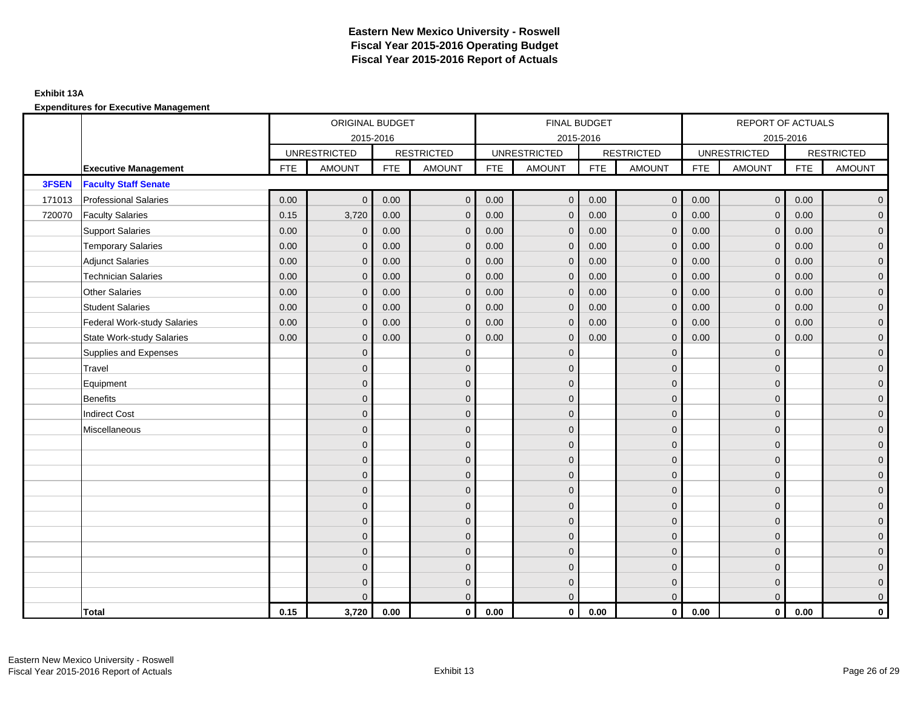### **Exhibit 13A**

|        |                                    |            | ORIGINAL BUDGET     |            |                   |          | FINAL BUDGET        |            |                   |            | REPORT OF ACTUALS   |            |                   |
|--------|------------------------------------|------------|---------------------|------------|-------------------|----------|---------------------|------------|-------------------|------------|---------------------|------------|-------------------|
|        |                                    |            | 2015-2016           |            |                   |          | 2015-2016           |            |                   |            | 2015-2016           |            |                   |
|        |                                    |            | <b>UNRESTRICTED</b> |            | <b>RESTRICTED</b> |          | <b>UNRESTRICTED</b> |            | <b>RESTRICTED</b> |            | <b>UNRESTRICTED</b> |            | <b>RESTRICTED</b> |
|        | <b>Executive Management</b>        | <b>FTE</b> | <b>AMOUNT</b>       | <b>FTE</b> | <b>AMOUNT</b>     | FTE      | <b>AMOUNT</b>       | <b>FTE</b> | <b>AMOUNT</b>     | <b>FTE</b> | <b>AMOUNT</b>       | <b>FTE</b> | <b>AMOUNT</b>     |
| 3FSEN  | <b>Faculty Staff Senate</b>        |            |                     |            |                   |          |                     |            |                   |            |                     |            |                   |
| 171013 | <b>Professional Salaries</b>       | 0.00       | $\mathbf 0$         | 0.00       | $\mathbf 0$       | 0.00     | $\mathbf 0$         | 0.00       | $\overline{0}$    | 0.00       | $\mathbf 0$         | 0.00       | $\overline{0}$    |
| 720070 | <b>Faculty Salaries</b>            | 0.15       | 3,720               | 0.00       | $\mathbf{0}$      | 0.00     | $\mathbf{0}$        | 0.00       | $\mathbf{0}$      | 0.00       | $\mathbf{0}$        | 0.00       | $\overline{0}$    |
|        | <b>Support Salaries</b>            | 0.00       | $\mathbf{0}$        | 0.00       | $\Omega$          | 0.00     | $\mathbf{0}$        | 0.00       | $\mathbf{0}$      | 0.00       | $\Omega$            | 0.00       | $\overline{0}$    |
|        | <b>Temporary Salaries</b>          | 0.00       | $\Omega$            | 0.00       | $\Omega$          | 0.00     | $\Omega$            | 0.00       | $\mathbf{0}$      | 0.00       | $\mathbf{0}$        | 0.00       | $\overline{0}$    |
|        | <b>Adjunct Salaries</b>            | 0.00       | $\mathbf{0}$        | 0.00       | $\mathbf{0}$      | 0.00     | $\mathbf{0}$        | 0.00       | $\overline{0}$    | 0.00       | $\mathbf{0}$        | 0.00       | $\overline{0}$    |
|        | <b>Technician Salaries</b>         | 0.00       | $\mathbf 0$         | 0.00       | $\mathbf{0}$      | $0.00\,$ | $\mathbf 0$         | 0.00       | $\mathbf 0$       | 0.00       | $\mathbf 0$         | 0.00       | $\overline{0}$    |
|        | <b>Other Salaries</b>              | 0.00       | $\mathbf{0}$        | 0.00       | $\mathbf{0}$      | 0.00     | $\mathbf{0}$        | 0.00       | $\mathbf{0}$      | 0.00       | $\Omega$            | 0.00       | $\mathbf 0$       |
|        | <b>Student Salaries</b>            | 0.00       | $\mathbf{0}$        | 0.00       | $\mathbf{0}$      | 0.00     | $\mathbf{0}$        | 0.00       | $\mathbf{0}$      | 0.00       | $\mathbf{0}$        | 0.00       | $\overline{0}$    |
|        | <b>Federal Work-study Salaries</b> | 0.00       | $\mathbf{0}$        | 0.00       | $\Omega$          | 0.00     | $\mathbf{0}$        | 0.00       | $\mathbf{0}$      | 0.00       | $\mathbf{0}$        | 0.00       | $\overline{0}$    |
|        | <b>State Work-study Salaries</b>   | 0.00       | $\mathbf{0}$        | 0.00       | $\Omega$          | 0.00     | $\mathbf{0}$        | 0.00       | $\mathbf{0}$      | 0.00       | $\Omega$            | 0.00       | $\overline{0}$    |
|        | Supplies and Expenses              |            | $\Omega$            |            | $\Omega$          |          | $\Omega$            |            | $\mathbf{0}$      |            | $\mathbf{0}$        |            | $\overline{0}$    |
|        | Travel                             |            | $\overline{0}$      |            | $\mathbf 0$       |          | $\mathbf{0}$        |            | $\mathbf{0}$      |            | $\mathbf{0}$        |            | $\overline{0}$    |
|        | Equipment                          |            | $\Omega$            |            | $\mathbf{0}$      |          | $\Omega$            |            | $\mathbf{0}$      |            | $\mathbf{0}$        |            | $\overline{0}$    |
|        | <b>Benefits</b>                    |            | $\Omega$            |            | $\mathbf{0}$      |          | $\Omega$            |            | $\mathbf{0}$      |            | $\Omega$            |            | $\overline{0}$    |
|        | <b>Indirect Cost</b>               |            | $\Omega$            |            | $\mathbf{0}$      |          | $\Omega$            |            | $\mathbf{0}$      |            | $\Omega$            |            | $\overline{0}$    |
|        | Miscellaneous                      |            | $\Omega$            |            | $\mathbf{0}$      |          | $\Omega$            |            | $\mathbf{0}$      |            | $\Omega$            |            | $\overline{0}$    |
|        |                                    |            | $\mathbf{0}$        |            | $\mathbf{0}$      |          | $\Omega$            |            | $\mathbf{0}$      |            | $\mathbf{0}$        |            | $\overline{0}$    |
|        |                                    |            | $\mathbf{0}$        |            | $\mathbf 0$       |          | $\mathbf{0}$        |            | $\mathbf 0$       |            | $\mathbf{0}$        |            | $\mathbf 0$       |
|        |                                    |            | $\mathbf{0}$        |            | $\mathbf 0$       |          | $\Omega$            |            | $\mathbf 0$       |            | $\Omega$            |            | $\overline{0}$    |
|        |                                    |            | $\Omega$            |            | $\mathbf{0}$      |          | $\Omega$            |            | $\mathbf{0}$      |            | $\Omega$            |            | $\overline{0}$    |
|        |                                    |            | $\Omega$            |            | $\mathbf{0}$      |          | $\Omega$            |            | $\mathbf{0}$      |            | $\Omega$            |            | $\overline{0}$    |
|        |                                    |            | $\Omega$            |            | $\Omega$          |          | $\Omega$            |            | $\mathbf{0}$      |            | $\Omega$            |            | $\overline{0}$    |
|        |                                    |            | $\mathbf{0}$        |            | $\mathbf 0$       |          | $\mathbf{0}$        |            | $\mathbf 0$       |            | $\mathbf{0}$        |            | $\overline{0}$    |
|        |                                    |            | $\Omega$            |            | $\mathbf{0}$      |          | $\Omega$            |            | $\mathbf{0}$      |            | $\mathbf{0}$        |            | $\overline{0}$    |
|        |                                    |            | $\Omega$            |            | $\mathbf{0}$      |          | $\Omega$            |            | $\mathbf{0}$      |            | $\Omega$            |            | $\mathbf 0$       |
|        |                                    |            | $\Omega$            |            | $\mathbf 0$       |          | $\Omega$            |            | $\mathbf{0}$      |            | $\mathbf{0}$        |            | $\mathbf 0$       |
|        |                                    |            | $\Omega$            |            | $\overline{0}$    |          | $\Omega$            |            | $\mathbf{0}$      |            | $\Omega$            |            | $\overline{0}$    |
|        | Total                              | 0.15       | 3,720               | 0.00       | $\mathbf{0}$      | 0.00     | $\mathbf{0}$        | 0.00       | $\overline{0}$    | 0.00       | $\mathbf 0$         | 0.00       | 0                 |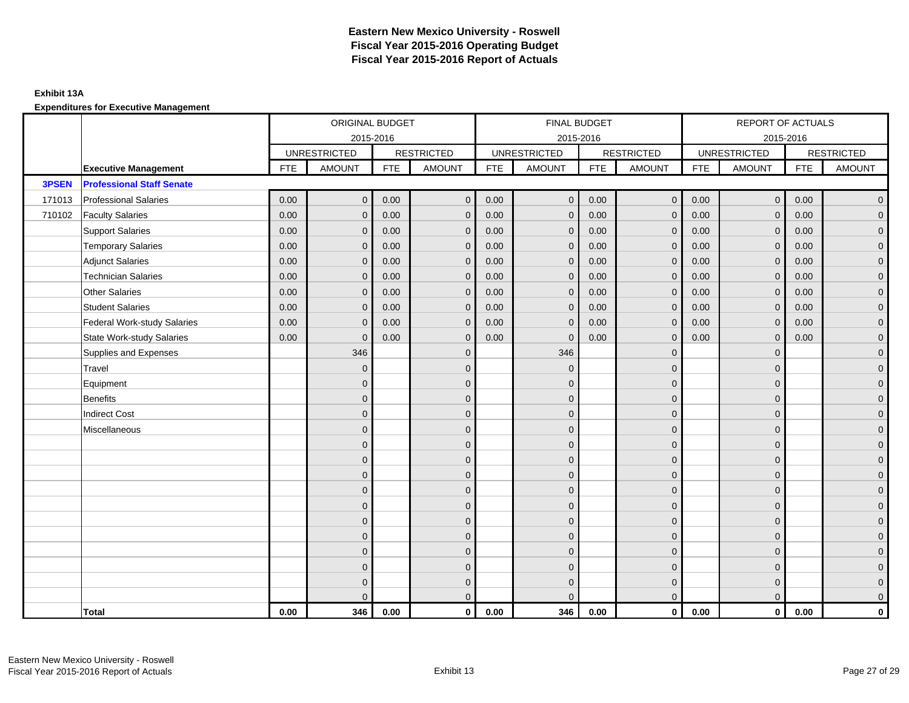### **Exhibit 13A**

|        |                                    |            | ORIGINAL BUDGET     |            |                   |            | FINAL BUDGET        |            |                   |            | REPORT OF ACTUALS   |            |                   |
|--------|------------------------------------|------------|---------------------|------------|-------------------|------------|---------------------|------------|-------------------|------------|---------------------|------------|-------------------|
|        |                                    |            | 2015-2016           |            |                   |            | 2015-2016           |            |                   |            | 2015-2016           |            |                   |
|        |                                    |            | <b>UNRESTRICTED</b> |            | <b>RESTRICTED</b> |            | <b>UNRESTRICTED</b> |            | <b>RESTRICTED</b> |            | <b>UNRESTRICTED</b> |            | <b>RESTRICTED</b> |
|        | <b>Executive Management</b>        | <b>FTE</b> | <b>AMOUNT</b>       | <b>FTE</b> | <b>AMOUNT</b>     | <b>FTE</b> | <b>AMOUNT</b>       | <b>FTE</b> | <b>AMOUNT</b>     | <b>FTE</b> | <b>AMOUNT</b>       | <b>FTE</b> | <b>AMOUNT</b>     |
| 3PSEN  | <b>Professional Staff Senate</b>   |            |                     |            |                   |            |                     |            |                   |            |                     |            |                   |
| 171013 | <b>Professional Salaries</b>       | 0.00       | $\mathbf 0$         | 0.00       | $\mathbf 0$       | 0.00       | $\mathbf 0$         | 0.00       | $\overline{0}$    | 0.00       | $\mathbf 0$         | 0.00       | $\overline{0}$    |
| 710102 | <b>Faculty Salaries</b>            | 0.00       | $\mathbf{0}$        | 0.00       | $\mathbf{0}$      | 0.00       | $\mathbf{0}$        | 0.00       | $\mathbf 0$       | 0.00       | $\mathbf{0}$        | 0.00       | $\overline{0}$    |
|        | <b>Support Salaries</b>            | 0.00       | $\mathbf{0}$        | 0.00       | $\Omega$          | 0.00       | $\mathbf{0}$        | 0.00       | $\mathbf{0}$      | 0.00       | $\Omega$            | 0.00       | $\overline{0}$    |
|        | <b>Temporary Salaries</b>          | 0.00       | $\Omega$            | 0.00       | $\Omega$          | 0.00       | $\Omega$            | 0.00       | $\mathbf{0}$      | 0.00       | $\mathbf{0}$        | 0.00       | $\overline{0}$    |
|        | <b>Adjunct Salaries</b>            | 0.00       | $\mathbf{0}$        | 0.00       | $\mathbf{0}$      | 0.00       | $\mathbf{0}$        | 0.00       | $\mathbf{0}$      | 0.00       | $\mathbf{0}$        | 0.00       | $\overline{0}$    |
|        | <b>Technician Salaries</b>         | 0.00       | $\mathbf 0$         | 0.00       | $\mathbf{0}$      | 0.00       | $\mathbf 0$         | 0.00       | $\mathbf 0$       | 0.00       | $\mathbf 0$         | 0.00       | $\overline{0}$    |
|        | <b>Other Salaries</b>              | 0.00       | $\mathbf{0}$        | 0.00       | $\mathbf{0}$      | 0.00       | $\mathbf{0}$        | 0.00       | $\mathbf{0}$      | 0.00       | $\Omega$            | 0.00       | $\mathbf 0$       |
|        | <b>Student Salaries</b>            | 0.00       | $\mathbf{0}$        | 0.00       | $\mathbf{0}$      | 0.00       | $\mathbf{0}$        | 0.00       | $\mathbf{0}$      | 0.00       | $\mathbf{0}$        | 0.00       | $\overline{0}$    |
|        | <b>Federal Work-study Salaries</b> | 0.00       | $\mathbf{0}$        | 0.00       | $\Omega$          | 0.00       | $\mathbf{0}$        | 0.00       | $\mathbf{0}$      | 0.00       | $\mathbf{0}$        | 0.00       | $\overline{0}$    |
|        | <b>State Work-study Salaries</b>   | 0.00       | $\mathbf{0}$        | 0.00       | $\Omega$          | 0.00       | $\mathbf{0}$        | 0.00       | $\mathbf{0}$      | 0.00       | $\Omega$            | 0.00       | $\overline{0}$    |
|        | Supplies and Expenses              |            | 346                 |            | $\Omega$          |            | 346                 |            | $\mathbf{0}$      |            | $\mathbf{0}$        |            | $\overline{0}$    |
|        | Travel                             |            | $\mathbf{0}$        |            | $\mathbf 0$       |            | $\mathbf{0}$        |            | $\mathbf{0}$      |            | $\mathbf{0}$        |            | $\overline{0}$    |
|        | Equipment                          |            | $\Omega$            |            | $\mathbf{0}$      |            | $\Omega$            |            | $\mathbf{0}$      |            | $\mathbf{0}$        |            | $\overline{0}$    |
|        | <b>Benefits</b>                    |            | $\Omega$            |            | $\mathbf{0}$      |            | $\Omega$            |            | $\mathbf{0}$      |            | $\Omega$            |            | $\overline{0}$    |
|        | <b>Indirect Cost</b>               |            | $\Omega$            |            | $\mathbf{0}$      |            | $\Omega$            |            | $\mathbf{0}$      |            | $\Omega$            |            | $\overline{0}$    |
|        | Miscellaneous                      |            | $\Omega$            |            | $\mathbf{0}$      |            | $\Omega$            |            | $\mathbf{0}$      |            | $\Omega$            |            | $\overline{0}$    |
|        |                                    |            | $\mathbf{0}$        |            | $\mathbf{0}$      |            | $\Omega$            |            | $\mathbf{0}$      |            | $\mathbf{0}$        |            | $\overline{0}$    |
|        |                                    |            | $\mathbf{0}$        |            | $\mathbf 0$       |            | $\mathbf{0}$        |            | $\mathbf 0$       |            | $\mathbf{0}$        |            | $\mathbf 0$       |
|        |                                    |            | $\mathbf{0}$        |            | $\mathbf 0$       |            | $\Omega$            |            | $\mathbf 0$       |            | $\Omega$            |            | $\overline{0}$    |
|        |                                    |            | $\Omega$            |            | $\mathbf{0}$      |            | $\Omega$            |            | $\mathbf{0}$      |            | $\Omega$            |            | $\overline{0}$    |
|        |                                    |            | $\Omega$            |            | $\mathbf{0}$      |            | $\Omega$            |            | $\mathbf{0}$      |            | $\Omega$            |            | $\overline{0}$    |
|        |                                    |            | $\Omega$            |            | $\Omega$          |            | $\Omega$            |            | $\mathbf{0}$      |            | $\Omega$            |            | $\overline{0}$    |
|        |                                    |            | $\mathbf{0}$        |            | $\mathbf 0$       |            | $\mathbf{0}$        |            | $\mathbf 0$       |            | $\mathbf{0}$        |            | $\overline{0}$    |
|        |                                    |            | $\Omega$            |            | $\mathbf{0}$      |            | $\Omega$            |            | $\mathbf{0}$      |            | $\Omega$            |            | $\overline{0}$    |
|        |                                    |            | $\Omega$            |            | $\mathbf{0}$      |            | $\Omega$            |            | $\mathbf{0}$      |            | $\Omega$            |            | $\mathbf 0$       |
|        |                                    |            | $\Omega$            |            | $\mathbf 0$       |            | $\Omega$            |            | $\mathbf 0$       |            | $\mathbf{0}$        |            | $\mathbf 0$       |
|        |                                    |            | $\Omega$            |            | $\overline{0}$    |            | $\Omega$            |            | $\overline{0}$    |            | $\Omega$            |            | $\overline{0}$    |
|        | Total                              | 0.00       | 346                 | 0.00       | $\mathbf 0$       | 0.00       | 346                 | 0.00       | $\overline{0}$    | 0.00       | $\mathbf 0$         | 0.00       | 0                 |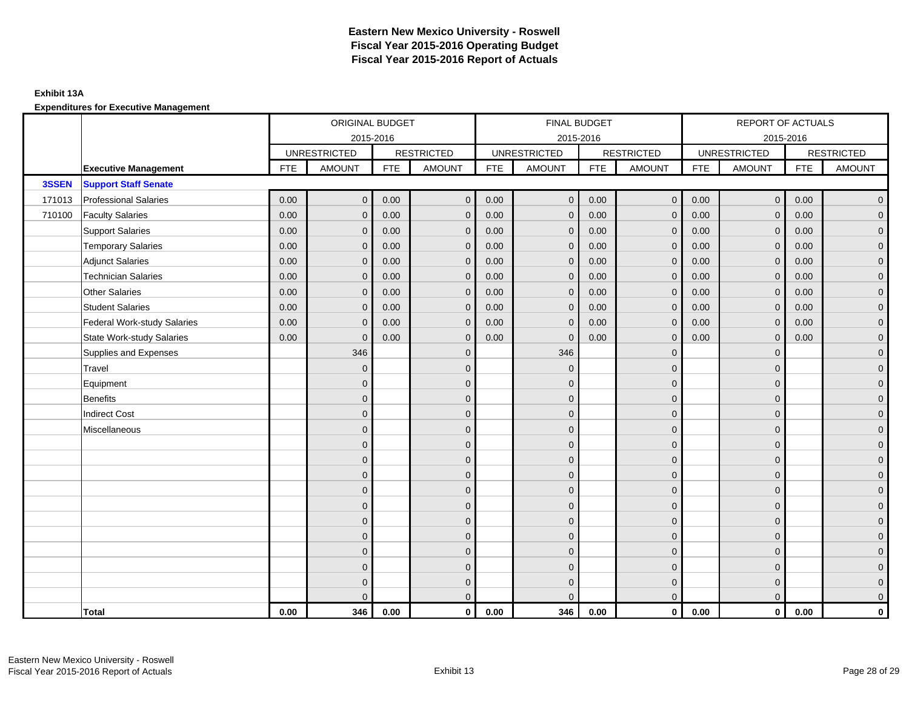### **Exhibit 13A**

|        |                                    |            | ORIGINAL BUDGET     |            |                   |            | FINAL BUDGET        |            |                   |            | REPORT OF ACTUALS   |            |                   |
|--------|------------------------------------|------------|---------------------|------------|-------------------|------------|---------------------|------------|-------------------|------------|---------------------|------------|-------------------|
|        |                                    |            | 2015-2016           |            |                   |            | 2015-2016           |            |                   |            | 2015-2016           |            |                   |
|        |                                    |            | <b>UNRESTRICTED</b> |            | <b>RESTRICTED</b> |            | <b>UNRESTRICTED</b> |            | <b>RESTRICTED</b> |            | <b>UNRESTRICTED</b> |            | <b>RESTRICTED</b> |
|        | <b>Executive Management</b>        | <b>FTE</b> | <b>AMOUNT</b>       | <b>FTE</b> | <b>AMOUNT</b>     | <b>FTE</b> | <b>AMOUNT</b>       | <b>FTE</b> | <b>AMOUNT</b>     | <b>FTE</b> | <b>AMOUNT</b>       | <b>FTE</b> | <b>AMOUNT</b>     |
| 3SSEN  | <b>Support Staff Senate</b>        |            |                     |            |                   |            |                     |            |                   |            |                     |            |                   |
| 171013 | <b>Professional Salaries</b>       | 0.00       | $\mathbf 0$         | 0.00       | $\mathbf 0$       | 0.00       | $\mathbf 0$         | 0.00       | $\overline{0}$    | 0.00       | $\mathbf 0$         | 0.00       | $\overline{0}$    |
| 710100 | <b>Faculty Salaries</b>            | 0.00       | $\mathbf{0}$        | 0.00       | $\mathbf{0}$      | 0.00       | $\mathbf{0}$        | 0.00       | $\mathbf 0$       | 0.00       | $\mathbf{0}$        | 0.00       | $\overline{0}$    |
|        | <b>Support Salaries</b>            | 0.00       | $\mathbf{0}$        | 0.00       | $\Omega$          | 0.00       | $\mathbf{0}$        | 0.00       | $\mathbf{0}$      | 0.00       | $\Omega$            | 0.00       | $\overline{0}$    |
|        | <b>Temporary Salaries</b>          | 0.00       | $\Omega$            | 0.00       | $\Omega$          | 0.00       | $\Omega$            | 0.00       | $\mathbf{0}$      | 0.00       | $\mathbf{0}$        | 0.00       | $\overline{0}$    |
|        | <b>Adjunct Salaries</b>            | 0.00       | $\mathbf{0}$        | 0.00       | $\mathbf{0}$      | 0.00       | $\mathbf{0}$        | 0.00       | $\mathbf{0}$      | 0.00       | $\mathbf{0}$        | 0.00       | $\overline{0}$    |
|        | <b>Technician Salaries</b>         | 0.00       | $\mathbf 0$         | 0.00       | $\mathbf{0}$      | 0.00       | $\mathbf 0$         | 0.00       | $\mathbf 0$       | 0.00       | $\mathbf 0$         | 0.00       | $\overline{0}$    |
|        | <b>Other Salaries</b>              | 0.00       | $\mathbf{0}$        | 0.00       | $\mathbf{0}$      | 0.00       | $\mathbf{0}$        | 0.00       | $\mathbf{0}$      | 0.00       | $\Omega$            | 0.00       | $\mathbf 0$       |
|        | <b>Student Salaries</b>            | 0.00       | $\mathbf{0}$        | 0.00       | $\mathbf{0}$      | 0.00       | $\mathbf{0}$        | 0.00       | $\mathbf{0}$      | 0.00       | $\mathbf{0}$        | 0.00       | $\overline{0}$    |
|        | <b>Federal Work-study Salaries</b> | 0.00       | $\mathbf{0}$        | 0.00       | $\Omega$          | 0.00       | $\mathbf{0}$        | 0.00       | $\mathbf{0}$      | 0.00       | $\mathbf{0}$        | 0.00       | $\overline{0}$    |
|        | <b>State Work-study Salaries</b>   | 0.00       | $\mathbf{0}$        | 0.00       | $\Omega$          | 0.00       | $\mathbf{0}$        | 0.00       | $\mathbf{0}$      | 0.00       | $\Omega$            | 0.00       | $\overline{0}$    |
|        | Supplies and Expenses              |            | 346                 |            | $\Omega$          |            | 346                 |            | $\mathbf{0}$      |            | $\mathbf{0}$        |            | $\overline{0}$    |
|        | Travel                             |            | $\mathbf{0}$        |            | $\mathbf 0$       |            | $\mathbf{0}$        |            | $\mathbf{0}$      |            | $\mathbf{0}$        |            | $\overline{0}$    |
|        | Equipment                          |            | $\Omega$            |            | $\mathbf{0}$      |            | $\Omega$            |            | $\mathbf{0}$      |            | $\mathbf{0}$        |            | $\overline{0}$    |
|        | <b>Benefits</b>                    |            | $\Omega$            |            | $\mathbf{0}$      |            | $\Omega$            |            | $\mathbf{0}$      |            | $\Omega$            |            | $\overline{0}$    |
|        | <b>Indirect Cost</b>               |            | $\Omega$            |            | $\mathbf{0}$      |            | $\Omega$            |            | $\mathbf{0}$      |            | $\Omega$            |            | $\overline{0}$    |
|        | Miscellaneous                      |            | $\Omega$            |            | $\mathbf{0}$      |            | $\Omega$            |            | $\mathbf{0}$      |            | $\Omega$            |            | $\overline{0}$    |
|        |                                    |            | $\mathbf{0}$        |            | $\mathbf{0}$      |            | $\Omega$            |            | $\mathbf{0}$      |            | $\mathbf{0}$        |            | $\overline{0}$    |
|        |                                    |            | $\mathbf{0}$        |            | $\mathbf 0$       |            | $\mathbf{0}$        |            | $\mathbf 0$       |            | $\mathbf{0}$        |            | $\mathbf 0$       |
|        |                                    |            | $\mathbf{0}$        |            | $\mathbf 0$       |            | $\Omega$            |            | $\mathbf 0$       |            | $\Omega$            |            | $\overline{0}$    |
|        |                                    |            | $\Omega$            |            | $\mathbf{0}$      |            | $\Omega$            |            | $\mathbf{0}$      |            | $\Omega$            |            | $\overline{0}$    |
|        |                                    |            | $\Omega$            |            | $\mathbf{0}$      |            | $\Omega$            |            | $\mathbf{0}$      |            | $\Omega$            |            | $\overline{0}$    |
|        |                                    |            | $\Omega$            |            | $\Omega$          |            | $\Omega$            |            | $\mathbf{0}$      |            | $\Omega$            |            | $\overline{0}$    |
|        |                                    |            | $\mathbf{0}$        |            | $\mathbf 0$       |            | $\mathbf{0}$        |            | $\mathbf 0$       |            | $\mathbf{0}$        |            | $\overline{0}$    |
|        |                                    |            | $\Omega$            |            | $\mathbf{0}$      |            | $\Omega$            |            | $\mathbf{0}$      |            | $\mathbf{0}$        |            | $\overline{0}$    |
|        |                                    |            | $\Omega$            |            | $\mathbf{0}$      |            | $\Omega$            |            | $\mathbf{0}$      |            | $\Omega$            |            | $\mathbf 0$       |
|        |                                    |            | $\Omega$            |            | $\mathbf 0$       |            | $\Omega$            |            | $\mathbf 0$       |            | $\mathbf{0}$        |            | $\mathbf 0$       |
|        |                                    |            | $\Omega$            |            | $\overline{0}$    |            | $\Omega$            |            | $\mathbf{0}$      |            | $\Omega$            |            | $\overline{0}$    |
|        | Total                              | 0.00       | 346                 | 0.00       | $\mathbf 0$       | 0.00       | 346                 | 0.00       | $\overline{0}$    | 0.00       | $\mathbf 0$         | 0.00       | 0                 |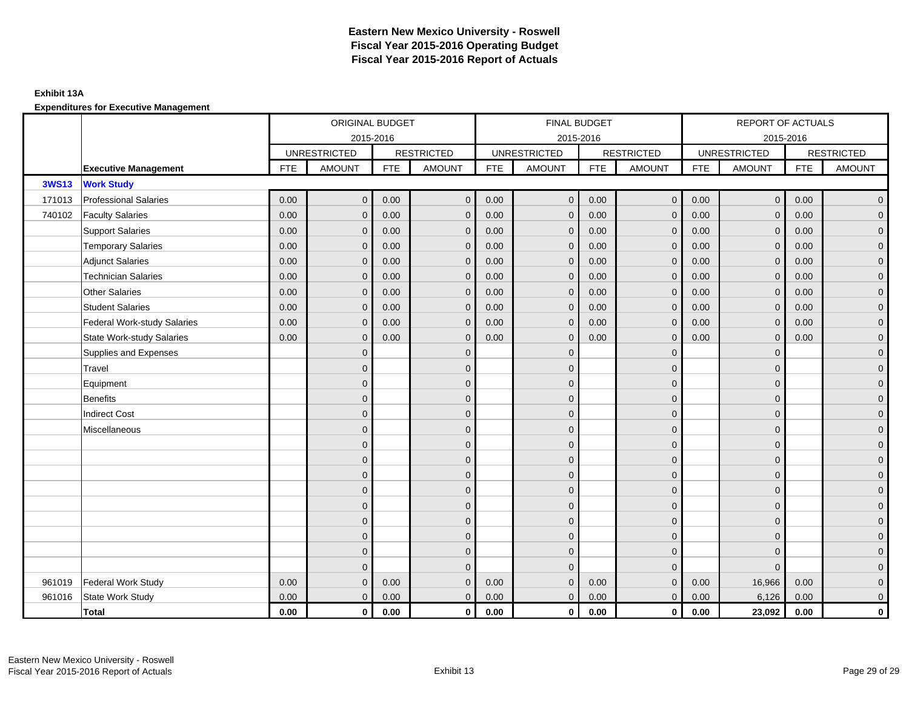#### **Exhibit 13A**

**Expenditures for Executive Management**

|              |                                    |            | ORIGINAL BUDGET     |            |                   |            | FINAL BUDGET        |            |                   |            | REPORT OF ACTUALS   |            |                     |
|--------------|------------------------------------|------------|---------------------|------------|-------------------|------------|---------------------|------------|-------------------|------------|---------------------|------------|---------------------|
|              |                                    |            | 2015-2016           |            |                   |            | 2015-2016           |            |                   |            | 2015-2016           |            |                     |
|              |                                    |            | <b>UNRESTRICTED</b> |            | <b>RESTRICTED</b> |            | <b>UNRESTRICTED</b> |            | <b>RESTRICTED</b> |            | <b>UNRESTRICTED</b> |            | <b>RESTRICTED</b>   |
|              | <b>Executive Management</b>        | <b>FTE</b> | <b>AMOUNT</b>       | <b>FTE</b> | <b>AMOUNT</b>     | <b>FTE</b> | <b>AMOUNT</b>       | <b>FTE</b> | <b>AMOUNT</b>     | <b>FTE</b> | <b>AMOUNT</b>       | <b>FTE</b> | <b>AMOUNT</b>       |
| <b>3WS13</b> | <b>Work Study</b>                  |            |                     |            |                   |            |                     |            |                   |            |                     |            |                     |
| 171013       | <b>Professional Salaries</b>       | 0.00       | $\mathbf{0}$        | 0.00       | $\mathbf{0}$      | 0.00       | $\overline{0}$      | 0.00       | $\mathbf{0}$      | 0.00       | $\overline{0}$      | 0.00       | $\overline{0}$      |
| 740102       | <b>Faculty Salaries</b>            | 0.00       | $\mathbf{0}$        | 0.00       | $\mathbf 0$       | 0.00       | $\mathbf{0}$        | 0.00       | $\mathbf{0}$      | 0.00       | $\mathbf{0}$        | 0.00       | $\overline{0}$      |
|              | <b>Support Salaries</b>            | 0.00       | $\mathbf{0}$        | 0.00       | $\Omega$          | 0.00       | $\overline{0}$      | 0.00       | $\mathbf 0$       | 0.00       | $\mathbf{0}$        | 0.00       | $\mathbf{0}$        |
|              | <b>Temporary Salaries</b>          | 0.00       | $\Omega$            | 0.00       | $\Omega$          | 0.00       | $\mathbf{0}$        | 0.00       | $\mathbf{0}$      | 0.00       | $\mathbf{0}$        | 0.00       | $\overline{0}$      |
|              | <b>Adjunct Salaries</b>            | 0.00       | $\mathbf{0}$        | 0.00       | $\mathbf{0}$      | 0.00       | $\overline{0}$      | 0.00       | $\mathbf 0$       | 0.00       | $\overline{0}$      | 0.00       | $\overline{0}$      |
|              | <b>Technician Salaries</b>         | 0.00       | $\mathbf{0}$        | 0.00       | $\mathbf 0$       | 0.00       | $\mathbf 0$         | 0.00       | $\mathbf 0$       | 0.00       | $\mathbf 0$         | 0.00       | $\overline{0}$      |
|              | <b>Other Salaries</b>              | 0.00       | $\mathbf{0}$        | 0.00       | $\Omega$          | 0.00       | $\mathbf{0}$        | 0.00       | $\mathbf{0}$      | 0.00       | $\mathbf{0}$        | 0.00       | $\mathbf{0}$        |
|              | <b>Student Salaries</b>            | 0.00       | $\Omega$            | 0.00       | $\Omega$          | 0.00       | $\Omega$            | 0.00       | $\mathbf{0}$      | 0.00       | $\mathbf{0}$        | 0.00       | $\overline{0}$      |
|              | <b>Federal Work-study Salaries</b> | 0.00       | $\mathbf{0}$        | 0.00       | $\Omega$          | 0.00       | $\Omega$            | 0.00       | $\mathbf{0}$      | 0.00       | $\mathbf{0}$        | 0.00       | $\overline{0}$      |
|              | <b>State Work-study Salaries</b>   | 0.00       | $\mathbf{0}$        | 0.00       | $\mathbf 0$       | 0.00       | $\mathbf{0}$        | 0.00       | $\mathbf 0$       | 0.00       | $\mathbf 0$         | 0.00       | $\overline{0}$      |
|              | Supplies and Expenses              |            | $\overline{0}$      |            | $\mathbf{0}$      |            | $\mathbf{0}$        |            | $\mathbf 0$       |            | $\mathbf 0$         |            | $\mathsf{O}\xspace$ |
|              | Travel                             |            | $\mathbf{0}$        |            | $\mathbf{0}$      |            | $\mathbf{0}$        |            | $\mathbf{0}$      |            | $\mathbf{0}$        |            | $\overline{0}$      |
|              | Equipment                          |            | $\mathbf{0}$        |            | $\mathbf 0$       |            | $\mathbf{0}$        |            | $\mathbf 0$       |            | $\mathbf{0}$        |            | $\overline{0}$      |
|              | <b>Benefits</b>                    |            | $\overline{0}$      |            | $\mathbf 0$       |            | $\mathbf{0}$        |            | $\mathbf 0$       |            | $\mathbf 0$         |            | $\mathbf{0}$        |
|              | <b>Indirect Cost</b>               |            | $\Omega$            |            | $\mathbf{0}$      |            | $\Omega$            |            | $\mathbf 0$       |            | $\Omega$            |            | $\mathsf{O}\xspace$ |
|              | Miscellaneous                      |            | $\mathbf{0}$        |            | $\mathbf{0}$      |            | $\Omega$            |            | $\mathbf{0}$      |            | $\Omega$            |            | $\overline{0}$      |
|              |                                    |            | $\mathbf{0}$        |            | $\mathbf{0}$      |            | $\Omega$            |            | $\mathbf 0$       |            | $\mathbf 0$         |            | $\overline{0}$      |
|              |                                    |            | $\overline{0}$      |            | $\mathbf{0}$      |            | $\Omega$            |            | $\mathbf 0$       |            | $\mathbf 0$         |            | $\mathbf{0}$        |
|              |                                    |            | $\Omega$            |            | $\mathbf{0}$      |            | $\Omega$            |            | $\mathbf 0$       |            | $\Omega$            |            | $\overline{0}$      |
|              |                                    |            | $\Omega$            |            | $\mathbf{0}$      |            | $\Omega$            |            | $\mathbf 0$       |            | $\Omega$            |            | $\overline{0}$      |
|              |                                    |            | $\mathbf{0}$        |            | $\mathbf 0$       |            | $\Omega$            |            | $\mathbf 0$       |            | $\mathbf 0$         |            | $\overline{0}$      |
|              |                                    |            | $\Omega$            |            | $\mathbf{0}$      |            | $\Omega$            |            | $\mathbf 0$       |            | $\mathbf 0$         |            | $\overline{0}$      |
|              |                                    |            | $\Omega$            |            | $\mathbf{0}$      |            | $\Omega$            |            | $\mathbf 0$       |            | $\Omega$            |            | $\overline{0}$      |
|              |                                    |            | $\mathbf{0}$        |            | $\mathbf 0$       |            | $\mathbf{0}$        |            | $\mathbf 0$       |            | $\mathbf{0}$        |            | $\overline{0}$      |
|              |                                    |            | $\mathbf{0}$        |            | $\mathbf{0}$      |            | $\Omega$            |            | $\mathbf 0$       |            | $\Omega$            |            | $\overline{0}$      |
| 961019       | <b>Federal Work Study</b>          | 0.00       | $\Omega$            | 0.00       | $\Omega$          | 0.00       | $\mathbf{0}$        | 0.00       | $\mathbf{0}$      | 0.00       | 16,966              | 0.00       | $\mathbf{0}$        |
| 961016       | <b>State Work Study</b>            | 0.00       | $\Omega$            | 0.00       | $\mathbf{0}$      | 0.00       | $\overline{0}$      | 0.00       | $\mathbf{0}$      | 0.00       | 6,126               | 0.00       | $\overline{0}$      |
|              | <b>Total</b>                       | $0.00\,$   | $\mathbf 0$         | 0.00       | $\mathbf 0$       | 0.00       | 0                   | 0.00       | $\overline{0}$    | 0.00       | 23,092              | 0.00       | $\mathbf 0$         |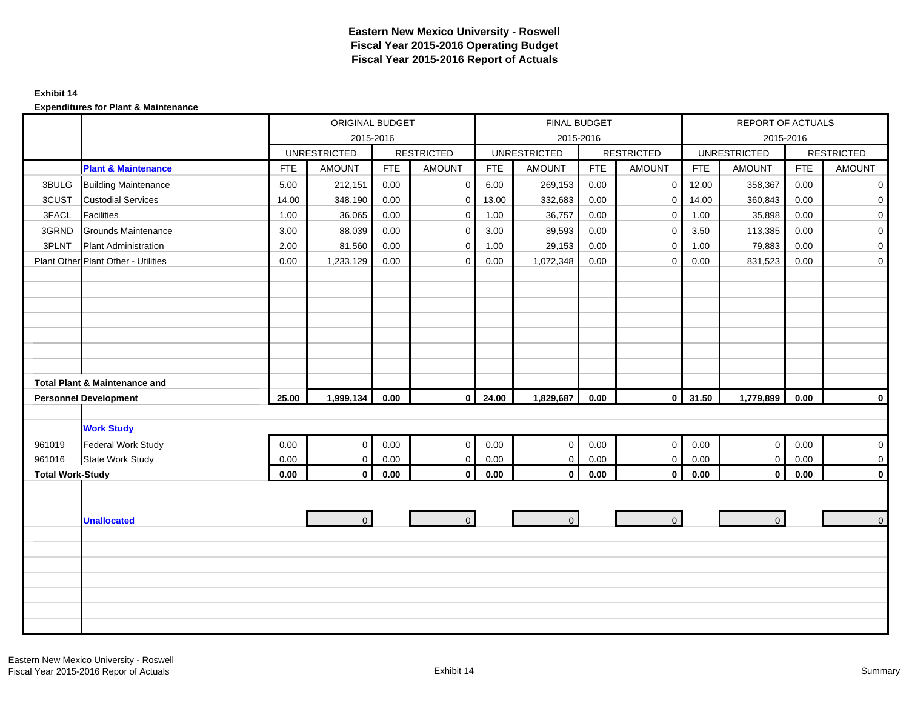#### **Exhibit 14**

|                         |                                          |            | ORIGINAL BUDGET     |            |                   | FINAL BUDGET |                     |            |                   | REPORT OF ACTUALS |                     |            |                   |
|-------------------------|------------------------------------------|------------|---------------------|------------|-------------------|--------------|---------------------|------------|-------------------|-------------------|---------------------|------------|-------------------|
|                         |                                          |            |                     | 2015-2016  |                   |              |                     | 2015-2016  |                   |                   |                     | 2015-2016  |                   |
|                         |                                          |            | <b>UNRESTRICTED</b> |            | <b>RESTRICTED</b> |              | <b>UNRESTRICTED</b> |            | <b>RESTRICTED</b> |                   | <b>UNRESTRICTED</b> |            | <b>RESTRICTED</b> |
|                         | <b>Plant &amp; Maintenance</b>           | <b>FTE</b> | <b>AMOUNT</b>       | <b>FTE</b> | <b>AMOUNT</b>     | <b>FTE</b>   | <b>AMOUNT</b>       | <b>FTE</b> | AMOUNT            | <b>FTE</b>        | <b>AMOUNT</b>       | <b>FTE</b> | <b>AMOUNT</b>     |
| 3BULG                   | <b>Building Maintenance</b>              | 5.00       | 212,151             | 0.00       | $\mathbf 0$       | 6.00         | 269,153             | 0.00       | $\mathbf{0}$      | 12.00             | 358,367             | 0.00       | $\mathbf 0$       |
| 3CUST                   | <b>Custodial Services</b>                | 14.00      | 348,190             | 0.00       | $\mathbf 0$       | 13.00        | 332,683             | 0.00       | $\mathbf 0$       | 14.00             | 360,843             | 0.00       | $\mathbf 0$       |
| 3FACL                   | <b>Facilities</b>                        | 1.00       | 36,065              | 0.00       | $\mathbf 0$       | 1.00         | 36,757              | 0.00       | $\mathbf 0$       | 1.00              | 35,898              | 0.00       | $\overline{0}$    |
| 3GRND                   | Grounds Maintenance                      | 3.00       | 88,039              | 0.00       | $\mathbf 0$       | 3.00         | 89,593              | 0.00       | $\mathbf 0$       | 3.50              | 113,385             | 0.00       | $\overline{0}$    |
| 3PLNT                   | <b>Plant Administration</b>              | 2.00       | 81,560              | 0.00       | $\mathbf 0$       | 1.00         | 29,153              | 0.00       | $\mathbf 0$       | 1.00              | 79,883              | 0.00       | $\overline{0}$    |
|                         | Plant Other Plant Other - Utilities      | 0.00       | 1,233,129           | 0.00       | $\mathbf 0$       | 0.00         | 1,072,348           | 0.00       | $\mathbf{0}$      | 0.00              | 831,523             | 0.00       | $\overline{0}$    |
|                         |                                          |            |                     |            |                   |              |                     |            |                   |                   |                     |            |                   |
|                         |                                          |            |                     |            |                   |              |                     |            |                   |                   |                     |            |                   |
|                         |                                          |            |                     |            |                   |              |                     |            |                   |                   |                     |            |                   |
|                         |                                          |            |                     |            |                   |              |                     |            |                   |                   |                     |            |                   |
|                         |                                          |            |                     |            |                   |              |                     |            |                   |                   |                     |            |                   |
|                         |                                          |            |                     |            |                   |              |                     |            |                   |                   |                     |            |                   |
|                         |                                          |            |                     |            |                   |              |                     |            |                   |                   |                     |            |                   |
|                         | <b>Total Plant &amp; Maintenance and</b> |            |                     |            |                   |              |                     |            |                   |                   |                     |            |                   |
|                         | <b>Personnel Development</b>             | 25.00      | 1,999,134           | 0.00       | $\mathbf{0}$      | 24.00        | 1,829,687           | 0.00       | $\mathbf{0}$      | 31.50             | 1,779,899           | 0.00       | $\mathbf 0$       |
|                         |                                          |            |                     |            |                   |              |                     |            |                   |                   |                     |            |                   |
|                         | <b>Work Study</b>                        |            |                     |            |                   |              |                     |            |                   |                   |                     |            |                   |
| 961019                  | Federal Work Study                       | 0.00       | $\mathbf 0$         | 0.00       | $\mathbf 0$       | 0.00         | $\mathsf{O}\xspace$ | 0.00       | $\mathbf 0$       | 0.00              | $\overline{0}$      | 0.00       | $\overline{0}$    |
| 961016                  | State Work Study                         | 0.00       | $\mathsf{O}\xspace$ | 0.00       | $\mathbf 0$       | 0.00         | $\mathsf{O}\xspace$ | 0.00       | $\mathbf 0$       | 0.00              | $\overline{0}$      | 0.00       | $\mathbf 0$       |
| <b>Total Work-Study</b> |                                          | 0.00       | $\mathbf 0$         | $0.00\,$   | $\mathbf 0$       | 0.00         | $\mathbf 0$         | 0.00       | $\mathbf 0$       | 0.00              | $\overline{0}$      | 0.00       | $\mathbf 0$       |
|                         |                                          |            |                     |            |                   |              |                     |            |                   |                   |                     |            |                   |
|                         |                                          |            |                     |            |                   |              |                     |            |                   |                   |                     |            |                   |
|                         | <b>Unallocated</b>                       |            | $\overline{0}$      |            | $\overline{0}$    |              | $\overline{0}$      |            | $\overline{0}$    |                   | $\overline{0}$      |            | $\overline{0}$    |
|                         |                                          |            |                     |            |                   |              |                     |            |                   |                   |                     |            |                   |
|                         |                                          |            |                     |            |                   |              |                     |            |                   |                   |                     |            |                   |
|                         |                                          |            |                     |            |                   |              |                     |            |                   |                   |                     |            |                   |
|                         |                                          |            |                     |            |                   |              |                     |            |                   |                   |                     |            |                   |
|                         |                                          |            |                     |            |                   |              |                     |            |                   |                   |                     |            |                   |
|                         |                                          |            |                     |            |                   |              |                     |            |                   |                   |                     |            |                   |
|                         |                                          |            |                     |            |                   |              |                     |            |                   |                   |                     |            |                   |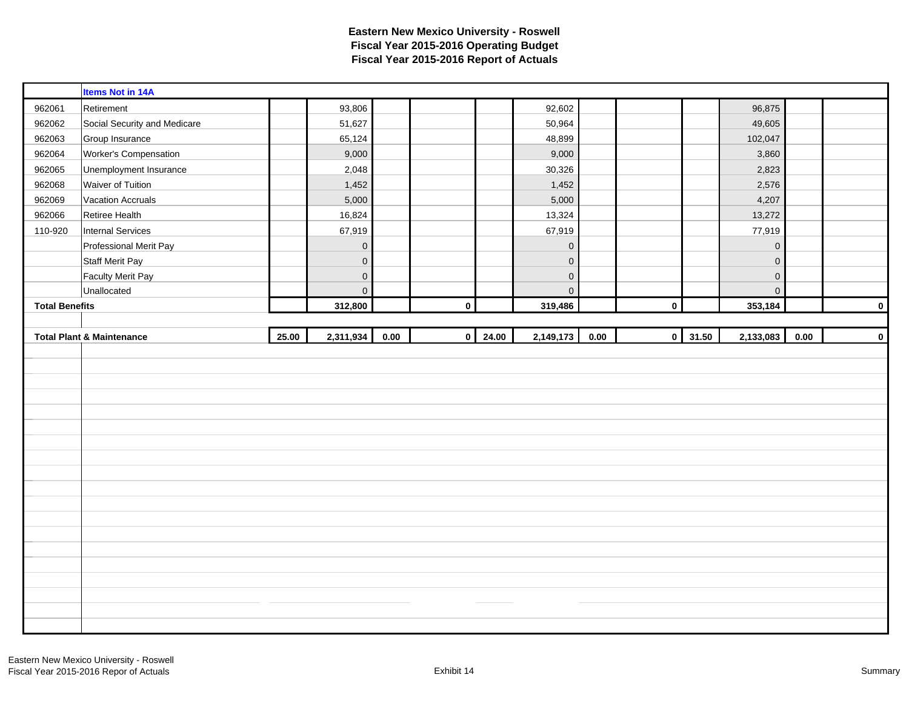|                       | <b>Items Not in 14A</b>              |       |                     |      |           |                |             |      |              |       |             |      |             |
|-----------------------|--------------------------------------|-------|---------------------|------|-----------|----------------|-------------|------|--------------|-------|-------------|------|-------------|
| 962061                | Retirement                           |       | 93,806              |      |           |                | 92,602      |      |              |       | 96,875      |      |             |
| 962062                | Social Security and Medicare         |       | 51,627              |      |           |                | 50,964      |      |              |       | 49,605      |      |             |
| 962063                | Group Insurance                      |       | 65,124              |      |           |                | 48,899      |      |              |       | 102,047     |      |             |
| 962064                | Worker's Compensation                |       | 9,000               |      |           |                | 9,000       |      |              |       | 3,860       |      |             |
| 962065                | Unemployment Insurance               |       | 2,048               |      |           |                | 30,326      |      |              |       | 2,823       |      |             |
| 962068                | Waiver of Tuition                    |       | 1,452               |      |           |                | 1,452       |      |              |       | 2,576       |      |             |
| 962069                | <b>Vacation Accruals</b>             |       | 5,000               |      |           |                | 5,000       |      |              |       | 4,207       |      |             |
| 962066                | Retiree Health                       |       | 16,824              |      |           |                | 13,324      |      |              |       | 13,272      |      |             |
| 110-920               | Internal Services                    |       | 67,919              |      |           |                | 67,919      |      |              |       | 77,919      |      |             |
|                       | Professional Merit Pay               |       | $\mathbf 0$         |      |           |                | $\mathbf 0$ |      |              |       | $\mathbf 0$ |      |             |
|                       | <b>Staff Merit Pay</b>               |       | $\mathbf 0$         |      |           |                | $\mathbf 0$ |      |              |       | $\mathbf 0$ |      |             |
|                       | <b>Faculty Merit Pay</b>             |       | $\mathsf{O}\xspace$ |      |           |                | $\pmb{0}$   |      |              |       | $\mathbf 0$ |      |             |
|                       | Unallocated                          |       | $\mathsf{O}\xspace$ |      |           |                | $\mathbf 0$ |      |              |       | $\mathbf 0$ |      |             |
| <b>Total Benefits</b> |                                      |       | 312,800             |      | $\pmb{0}$ |                | 319,486     |      | $\pmb{0}$    |       | 353,184     |      | $\mathbf 0$ |
|                       |                                      |       |                     |      |           |                |             |      |              |       |             |      |             |
|                       | <b>Total Plant &amp; Maintenance</b> | 25.00 | 2,311,934           | 0.00 |           | $0 \mid 24.00$ | 2,149,173   | 0.00 | $\mathbf{0}$ | 31.50 | 2,133,083   | 0.00 | $\mathbf 0$ |
|                       |                                      |       |                     |      |           |                |             |      |              |       |             |      |             |
|                       |                                      |       |                     |      |           |                |             |      |              |       |             |      |             |
|                       |                                      |       |                     |      |           |                |             |      |              |       |             |      |             |
|                       |                                      |       |                     |      |           |                |             |      |              |       |             |      |             |
|                       |                                      |       |                     |      |           |                |             |      |              |       |             |      |             |
|                       |                                      |       |                     |      |           |                |             |      |              |       |             |      |             |
|                       |                                      |       |                     |      |           |                |             |      |              |       |             |      |             |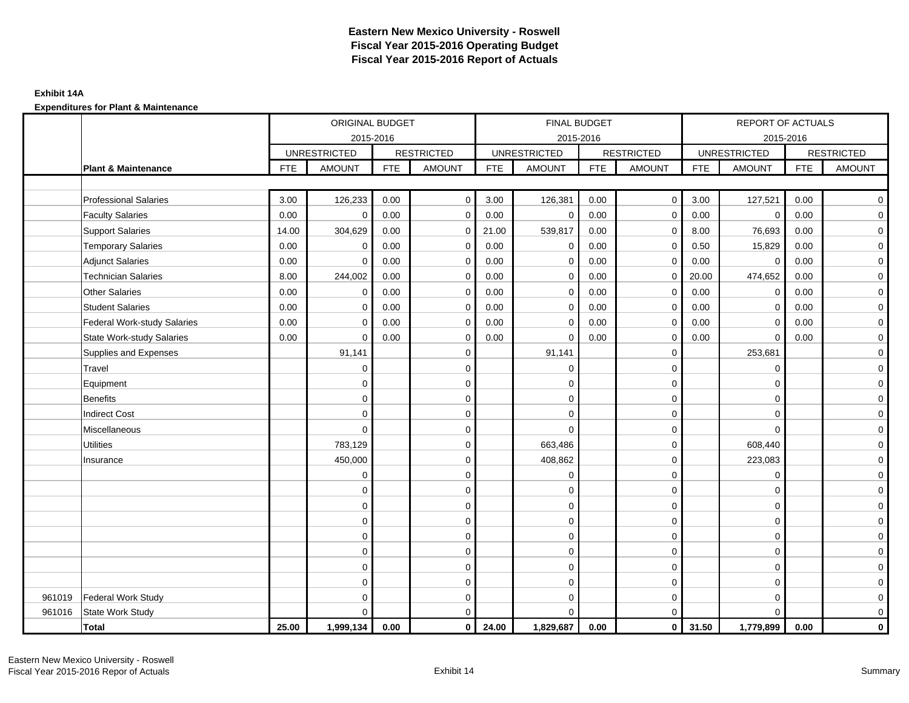### **Exhibit 14A**

|        |                                    |            | ORIGINAL BUDGET     |            |                   |            |                     | FINAL BUDGET |                         |            | REPORT OF ACTUALS   |            |                   |
|--------|------------------------------------|------------|---------------------|------------|-------------------|------------|---------------------|--------------|-------------------------|------------|---------------------|------------|-------------------|
|        |                                    |            | 2015-2016           |            |                   |            |                     | 2015-2016    |                         |            | 2015-2016           |            |                   |
|        |                                    |            | <b>UNRESTRICTED</b> |            | <b>RESTRICTED</b> |            | <b>UNRESTRICTED</b> |              | <b>RESTRICTED</b>       |            | <b>UNRESTRICTED</b> |            | <b>RESTRICTED</b> |
|        | <b>Plant &amp; Maintenance</b>     | <b>FTE</b> | <b>AMOUNT</b>       | <b>FTE</b> | <b>AMOUNT</b>     | <b>FTE</b> | <b>AMOUNT</b>       | <b>FTE</b>   | <b>AMOUNT</b>           | <b>FTE</b> | <b>AMOUNT</b>       | <b>FTE</b> | <b>AMOUNT</b>     |
|        |                                    |            |                     |            |                   |            |                     |              |                         |            |                     |            |                   |
|        | <b>Professional Salaries</b>       | 3.00       | 126,233             | 0.00       | $\mathbf 0$       | 3.00       | 126,381             | 0.00         | $\overline{0}$          | 3.00       | 127,521             | 0.00       | $\overline{0}$    |
|        | <b>Faculty Salaries</b>            | 0.00       | $\mathbf 0$         | 0.00       | $\mathbf 0$       | 0.00       | $\mathbf 0$         | 0.00         | $\mathbf 0$             | 0.00       | $\mathbf 0$         | 0.00       | $\mathbf 0$       |
|        | <b>Support Salaries</b>            | 14.00      | 304,629             | 0.00       | 0                 | 21.00      | 539,817             | 0.00         | $\mathbf 0$             | 8.00       | 76,693              | 0.00       | $\mathbf 0$       |
|        | <b>Temporary Salaries</b>          | 0.00       | $\mathbf 0$         | 0.00       | 0                 | 0.00       | $\mathbf 0$         | 0.00         | $\mathbf 0$             | 0.50       | 15,829              | 0.00       | $\overline{0}$    |
|        | <b>Adjunct Salaries</b>            | 0.00       | $\Omega$            | 0.00       | $\mathbf 0$       | 0.00       | $\Omega$            | 0.00         | $\Omega$                | 0.00       | $\mathbf 0$         | 0.00       | $\mathbf 0$       |
|        | <b>Technician Salaries</b>         | 8.00       | 244,002             | 0.00       | $\mathbf 0$       | 0.00       | 0                   | 0.00         | $\mathbf 0$             | 20.00      | 474,652             | 0.00       | $\mathbf 0$       |
|        | <b>Other Salaries</b>              | 0.00       | $\mathbf 0$         | 0.00       | $\Omega$          | 0.00       | $\Omega$            | 0.00         | $\mathbf 0$             | 0.00       | $\mathbf 0$         | 0.00       | $\overline{0}$    |
|        | <b>Student Salaries</b>            | 0.00       | $\mathbf 0$         | 0.00       | $\mathbf 0$       | 0.00       | $\mathbf{0}$        | 0.00         | $\mathbf 0$             | 0.00       | $\mathbf 0$         | 0.00       | $\overline{0}$    |
|        | <b>Federal Work-study Salaries</b> | 0.00       | $\mathbf 0$         | 0.00       | $\mathbf 0$       | 0.00       | $\mathbf 0$         | 0.00         | $\mathbf 0$             | 0.00       | $\mathbf 0$         | 0.00       | $\overline{0}$    |
|        | <b>State Work-study Salaries</b>   | 0.00       | $\mathbf 0$         | 0.00       | $\mathbf 0$       | 0.00       | $\Omega$            | 0.00         | $\mathbf 0$             | 0.00       | $\mathbf 0$         | 0.00       | $\mathbf 0$       |
|        | Supplies and Expenses              |            | 91,141              |            | $\mathbf 0$       |            | 91,141              |              | $\mathbf 0$             |            | 253,681             |            | $\overline{0}$    |
|        | Travel                             |            | $\mathbf 0$         |            | $\mathbf 0$       |            | $\mathbf 0$         |              | $\mathbf 0$             |            | $\mathbf 0$         |            | $\mathbf 0$       |
|        | Equipment                          |            | $\mathbf 0$         |            | $\pmb{0}$         |            | $\mathbf 0$         |              | $\mathbf 0$             |            | $\mathbf 0$         |            | $\mathbf 0$       |
|        | <b>Benefits</b>                    |            | $\Omega$            |            | $\mathbf 0$       |            | $\Omega$            |              | $\mathbf 0$             |            | $\mathbf 0$         |            | $\mathbf 0$       |
|        | <b>Indirect Cost</b>               |            | $\Omega$            |            | $\mathbf 0$       |            | $\Omega$            |              | $\mathbf 0$             |            | $\Omega$            |            | $\overline{0}$    |
|        | Miscellaneous                      |            | $\mathbf 0$         |            | $\mathbf 0$       |            | $\Omega$            |              | $\mathbf 0$             |            | $\Omega$            |            | $\overline{0}$    |
|        | <b>Utilities</b>                   |            | 783,129             |            | $\mathbf 0$       |            | 663,486             |              | $\mathbf 0$             |            | 608,440             |            | $\overline{0}$    |
|        | Insurance                          |            | 450,000             |            | $\mathbf 0$       |            | 408,862             |              | $\mathbf 0$             |            | 223,083             |            | $\overline{0}$    |
|        |                                    |            | $\mathbf 0$         |            | $\mathbf 0$       |            | $\mathbf 0$         |              | $\mathbf 0$             |            | $\mathbf 0$         |            | $\overline{0}$    |
|        |                                    |            | 0                   |            | $\mathbf 0$       |            | $\Omega$            |              | $\mathbf 0$             |            | $\Omega$            |            | $\mathbf 0$       |
|        |                                    |            | $\mathbf 0$         |            | $\mathbf 0$       |            | 0                   |              | $\mathbf 0$             |            | $\Omega$            |            | $\overline{0}$    |
|        |                                    |            | $\mathbf 0$         |            | $\mathbf 0$       |            | $\Omega$            |              | $\mathbf 0$             |            | $\Omega$            |            | $\overline{0}$    |
|        |                                    |            | $\mathbf 0$         |            | 0                 |            | $\mathbf 0$         |              | $\mathbf 0$             |            | $\mathbf 0$         |            | $\mathbf 0$       |
|        |                                    |            | $\Omega$            |            | $\mathbf 0$       |            | $\Omega$            |              | $\mathbf 0$             |            | $\mathbf 0$         |            | $\mathbf 0$       |
|        |                                    |            | $\Omega$            |            | $\mathbf 0$       |            | $\Omega$            |              | $\mathbf 0$             |            | $\mathbf 0$         |            | $\mathbf 0$       |
|        |                                    |            | $\Omega$            |            | $\mathbf 0$       |            | $\mathbf 0$         |              | $\mathbf 0$             |            | $\mathbf 0$         |            | $\overline{O}$    |
| 961019 | Federal Work Study                 |            | $\Omega$            |            | $\mathbf 0$       |            | $\mathbf 0$         |              | $\mathbf 0$             |            | $\mathbf 0$         |            | $\mathbf 0$       |
| 961016 | State Work Study                   |            | $\Omega$            |            | $\mathbf 0$       |            | $\Omega$            |              | $\mathbf 0$             |            | $\Omega$            |            | $\mathbf 0$       |
|        | <b>Total</b>                       | 25.00      | 1,999,134           | 0.00       | $\mathbf 0$       | 24.00      | 1,829,687           | 0.00         | $\overline{\mathbf{0}}$ | 31.50      | 1,779,899           | 0.00       | $\mathbf{0}$      |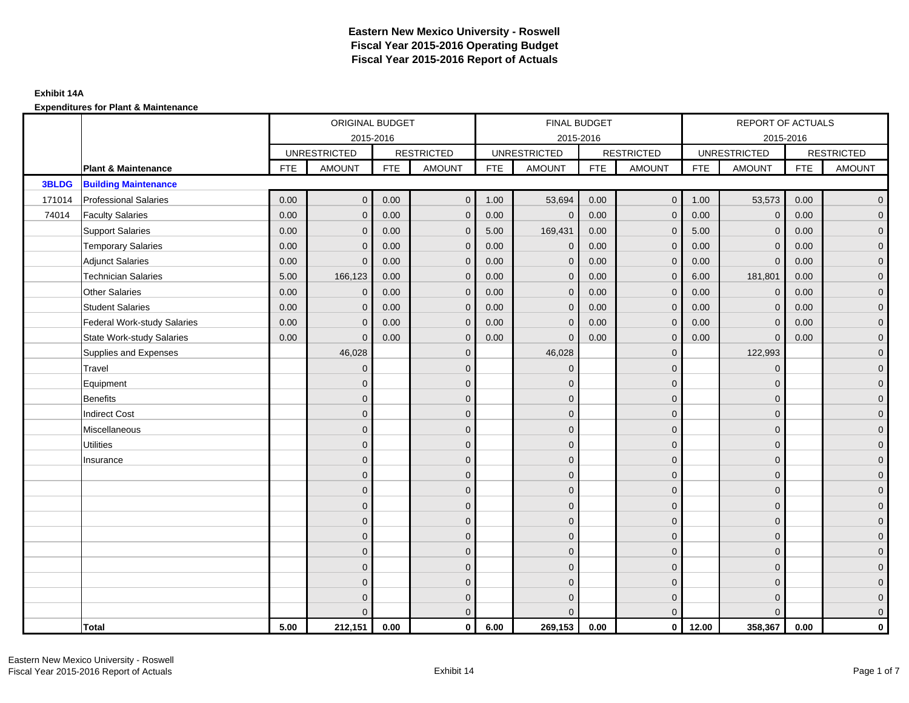|              |                                    |            | ORIGINAL BUDGET     |            |                   |            | <b>FINAL BUDGET</b> |            |                   |            | <b>REPORT OF ACTUALS</b> |            |                     |
|--------------|------------------------------------|------------|---------------------|------------|-------------------|------------|---------------------|------------|-------------------|------------|--------------------------|------------|---------------------|
|              |                                    |            | 2015-2016           |            |                   |            | 2015-2016           |            |                   |            | 2015-2016                |            |                     |
|              |                                    |            | <b>UNRESTRICTED</b> |            | <b>RESTRICTED</b> |            | <b>UNRESTRICTED</b> |            | <b>RESTRICTED</b> |            | <b>UNRESTRICTED</b>      |            | <b>RESTRICTED</b>   |
|              | <b>Plant &amp; Maintenance</b>     | <b>FTE</b> | <b>AMOUNT</b>       | <b>FTE</b> | <b>AMOUNT</b>     | <b>FTE</b> | <b>AMOUNT</b>       | <b>FTE</b> | <b>AMOUNT</b>     | <b>FTE</b> | <b>AMOUNT</b>            | <b>FTE</b> | <b>AMOUNT</b>       |
| <b>3BLDG</b> | <b>Building Maintenance</b>        |            |                     |            |                   |            |                     |            |                   |            |                          |            |                     |
| 171014       | <b>Professional Salaries</b>       | 0.00       | $\mathbf{0}$        | 0.00       | $\overline{0}$    | 1.00       | 53,694              | 0.00       | $\overline{0}$    | 1.00       | 53,573                   | 0.00       | $\overline{0}$      |
| 74014        | <b>Faculty Salaries</b>            | 0.00       | $\mathbf 0$         | 0.00       | $\mathbf 0$       | 0.00       | $\mathbf 0$         | 0.00       | $\mathbf{0}$      | 0.00       | $\mathbf 0$              | 0.00       | $\overline{0}$      |
|              | <b>Support Salaries</b>            | 0.00       | $\mathbf{0}$        | 0.00       | $\mathbf 0$       | 5.00       | 169,431             | 0.00       | $\mathbf 0$       | 5.00       | $\mathbf{0}$             | 0.00       | $\overline{0}$      |
|              | <b>Temporary Salaries</b>          | 0.00       | $\Omega$            | 0.00       | $\mathbf{0}$      | 0.00       | $\mathbf 0$         | 0.00       | $\mathbf 0$       | 0.00       | $\mathbf 0$              | 0.00       | $\overline{0}$      |
|              | <b>Adjunct Salaries</b>            | 0.00       | $\Omega$            | 0.00       | $\mathbf{0}$      | 0.00       | $\Omega$            | 0.00       | $\mathbf{0}$      | 0.00       | $\mathbf{0}$             | 0.00       | $\overline{0}$      |
|              | <b>Technician Salaries</b>         | 5.00       | 166,123             | 0.00       | $\mathbf{0}$      | 0.00       | $\mathbf{0}$        | 0.00       | $\mathbf{0}$      | 6.00       | 181,801                  | 0.00       | $\mathbf{0}$        |
|              | <b>Other Salaries</b>              | 0.00       | $\mathbf{0}$        | 0.00       | $\mathbf{0}$      | 0.00       | $\mathbf{0}$        | 0.00       | $\mathbf{0}$      | 0.00       | $\mathbf{0}$             | 0.00       | $\mathbf{0}$        |
|              | <b>Student Salaries</b>            | 0.00       | $\mathbf{0}$        | 0.00       | $\mathbf{0}$      | 0.00       | $\mathbf{0}$        | 0.00       | $\mathbf{0}$      | 0.00       | $\mathbf{0}$             | 0.00       | $\overline{0}$      |
|              | <b>Federal Work-study Salaries</b> | 0.00       | $\mathbf 0$         | 0.00       | $\mathbf{0}$      | 0.00       | $\mathbf{0}$        | 0.00       | $\mathbf 0$       | 0.00       | $\mathbf 0$              | 0.00       | $\mathbf{0}$        |
|              | <b>State Work-study Salaries</b>   | 0.00       | $\mathbf{0}$        | 0.00       | $\mathbf 0$       | 0.00       | $\mathbf{0}$        | 0.00       | $\mathbf 0$       | 0.00       | $\mathbf{0}$             | 0.00       | $\mathbf{0}$        |
|              | Supplies and Expenses              |            | 46,028              |            | $\mathbf{0}$      |            | 46,028              |            | $\overline{0}$    |            | 122,993                  |            | $\mathsf{O}\xspace$ |
|              | Travel                             |            | $\overline{0}$      |            | $\mathbf{0}$      |            | $\mathbf{0}$        |            | $\mathbf{0}$      |            | $\mathbf{0}$             |            | $\overline{0}$      |
|              | Equipment                          |            | $\Omega$            |            | $\mathbf 0$       |            | $\mathbf{0}$        |            | $\mathbf 0$       |            | $\mathbf 0$              |            | $\overline{0}$      |
|              | <b>Benefits</b>                    |            | $\Omega$            |            | $\mathbf{0}$      |            | $\Omega$            |            | $\mathbf 0$       |            | $\mathbf{0}$             |            | $\overline{0}$      |
|              | <b>Indirect Cost</b>               |            | $\Omega$            |            | $\mathbf{0}$      |            | $\Omega$            |            | $\mathbf 0$       |            | $\Omega$                 |            | $\overline{0}$      |
|              | Miscellaneous                      |            | $\Omega$            |            | $\mathbf 0$       |            | $\mathbf{0}$        |            | $\mathbf 0$       |            | $\mathbf 0$              |            | $\mathsf{O}\xspace$ |
|              | <b>Utilities</b>                   |            | $\overline{0}$      |            | $\mathbf 0$       |            | $\mathbf{0}$        |            | $\mathbf 0$       |            | $\mathbf{0}$             |            | $\overline{0}$      |
|              | Insurance                          |            | $\Omega$            |            | $\mathbf 0$       |            | $\mathbf{0}$        |            | $\mathbf 0$       |            | $\mathbf{0}$             |            | $\overline{0}$      |
|              |                                    |            | $\Omega$            |            | $\mathbf 0$       |            | $\mathbf{0}$        |            | $\mathbf 0$       |            | $\mathbf 0$              |            | $\mathbf{0}$        |
|              |                                    |            | $\Omega$            |            | $\mathbf 0$       |            | $\Omega$            |            | $\mathbf 0$       |            | $\mathbf 0$              |            | $\mathbf{0}$        |
|              |                                    |            | $\Omega$            |            | $\mathbf{0}$      |            | $\Omega$            |            | $\mathbf{0}$      |            | $\mathbf 0$              |            | $\mathsf{O}\xspace$ |
|              |                                    |            | $\mathbf{0}$        |            | $\mathbf 0$       |            | $\Omega$            |            | $\mathbf{0}$      |            | $\Omega$                 |            | $\overline{0}$      |
|              |                                    |            | $\Omega$            |            | $\mathbf 0$       |            | $\mathbf{0}$        |            | $\mathbf 0$       |            | $\mathbf 0$              |            | $\mathbf{0}$        |
|              |                                    |            | $\Omega$            |            | $\mathbf 0$       |            | $\Omega$            |            | $\mathbf 0$       |            | $\mathbf{0}$             |            | $\overline{0}$      |
|              |                                    |            | $\Omega$            |            | $\mathbf 0$       |            | $\Omega$            |            | $\mathbf{0}$      |            | $\Omega$                 |            | $\overline{0}$      |
|              |                                    |            | $\Omega$            |            | $\mathbf 0$       |            | $\mathbf{0}$        |            | $\mathbf 0$       |            | $\mathbf 0$              |            | $\mathsf{O}\xspace$ |
|              |                                    |            | $\Omega$            |            | $\mathbf 0$       |            | $\mathbf{0}$        |            | $\mathbf 0$       |            | $\mathbf{0}$             |            | $\mathbf{0}$        |
|              |                                    |            | $\Omega$            |            | $\overline{0}$    |            | $\Omega$            |            | $\mathbf{0}$      |            | $\Omega$                 |            | $\overline{0}$      |
|              | <b>Total</b>                       | 5.00       | 212,151             | 0.00       | $\mathbf 0$       | 6.00       | 269,153             | 0.00       | $\overline{0}$    | 12.00      | 358,367                  | 0.00       | $\mathbf{0}$        |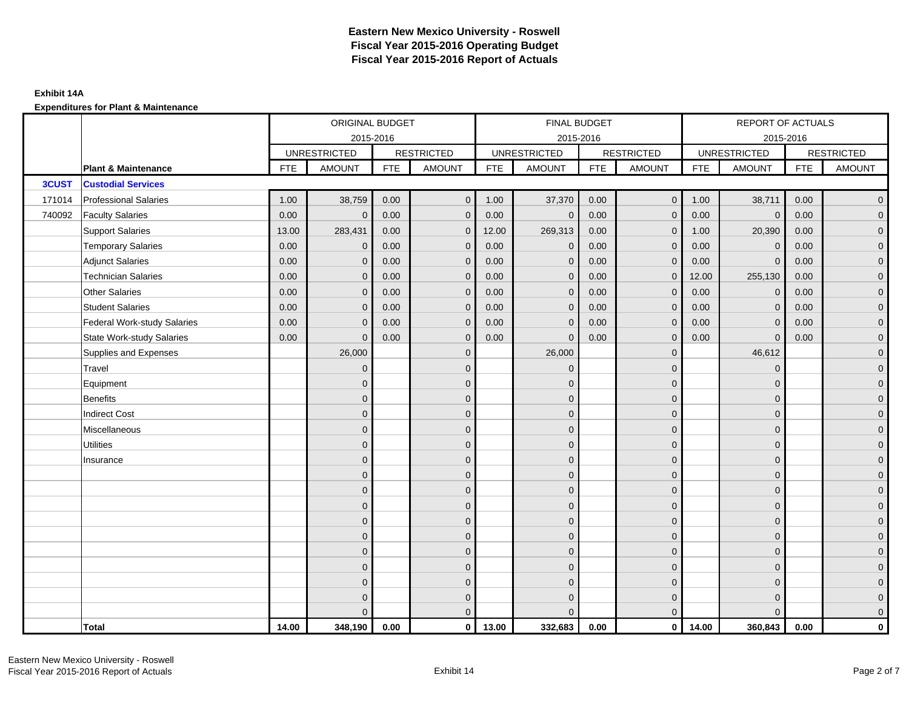|              |                                    |            | ORIGINAL BUDGET     |            |                   |            | FINAL BUDGET        |            |                   |            | REPORT OF ACTUALS   |            |                     |
|--------------|------------------------------------|------------|---------------------|------------|-------------------|------------|---------------------|------------|-------------------|------------|---------------------|------------|---------------------|
|              |                                    |            | 2015-2016           |            |                   |            | 2015-2016           |            |                   |            | 2015-2016           |            |                     |
|              |                                    |            | <b>UNRESTRICTED</b> |            | <b>RESTRICTED</b> |            | <b>UNRESTRICTED</b> |            | <b>RESTRICTED</b> |            | <b>UNRESTRICTED</b> |            | <b>RESTRICTED</b>   |
|              | <b>Plant &amp; Maintenance</b>     | <b>FTE</b> | <b>AMOUNT</b>       | <b>FTE</b> | <b>AMOUNT</b>     | <b>FTE</b> | <b>AMOUNT</b>       | <b>FTE</b> | AMOUNT            | <b>FTE</b> | <b>AMOUNT</b>       | <b>FTE</b> | <b>AMOUNT</b>       |
| <b>3CUST</b> | <b>Custodial Services</b>          |            |                     |            |                   |            |                     |            |                   |            |                     |            |                     |
| 171014       | <b>Professional Salaries</b>       | 1.00       | 38,759              | 0.00       | $\mathbf{0}$      | 1.00       | 37,370              | 0.00       | $\overline{0}$    | 1.00       | 38,711              | 0.00       | $\overline{0}$      |
| 740092       | <b>Faculty Salaries</b>            | 0.00       | $\mathbf{0}$        | 0.00       | $\mathbf{0}$      | 0.00       | $\mathbf{0}$        | 0.00       | $\mathbf{0}$      | 0.00       | $\mathbf 0$         | 0.00       | $\overline{0}$      |
|              | <b>Support Salaries</b>            | 13.00      | 283,431             | 0.00       | $\mathbf{0}$      | 12.00      | 269,313             | 0.00       | $\mathbf 0$       | 1.00       | 20,390              | 0.00       | $\overline{0}$      |
|              | <b>Temporary Salaries</b>          | 0.00       | $\mathbf 0$         | 0.00       | $\mathbf 0$       | 0.00       | $\mathbf 0$         | 0.00       | $\mathbf 0$       | 0.00       | $\mathbf 0$         | 0.00       | $\mathbf{0}$        |
|              | <b>Adjunct Salaries</b>            | 0.00       | $\mathbf{0}$        | 0.00       | $\mathbf{0}$      | 0.00       | $\mathbf{0}$        | 0.00       | $\mathbf 0$       | 0.00       | $\mathbf{0}$        | 0.00       | $\mathbf{0}$        |
|              | <b>Technician Salaries</b>         | 0.00       | $\mathbf{0}$        | 0.00       | $\Omega$          | 0.00       | $\mathbf{0}$        | 0.00       | $\mathbf{0}$      | 12.00      | 255,130             | 0.00       | $\mathbf{0}$        |
|              | Other Salaries                     | 0.00       | $\mathbf{0}$        | 0.00       | $\Omega$          | 0.00       | $\Omega$            | 0.00       | $\mathbf{0}$      | 0.00       | $\mathbf{0}$        | 0.00       | $\overline{0}$      |
|              | <b>Student Salaries</b>            | 0.00       | $\mathbf{0}$        | 0.00       | $\mathbf 0$       | 0.00       | $\mathbf{0}$        | 0.00       | $\mathbf 0$       | 0.00       | $\mathbf 0$         | 0.00       | $\overline{0}$      |
|              | <b>Federal Work-study Salaries</b> | 0.00       | $\mathbf 0$         | 0.00       | $\mathbf 0$       | 0.00       | $\mathbf{0}$        | 0.00       | $\mathbf 0$       | 0.00       | $\mathbf 0$         | 0.00       | $\overline{0}$      |
|              | <b>State Work-study Salaries</b>   | 0.00       | $\mathbf{0}$        | 0.00       | $\mathbf{0}$      | 0.00       | $\mathbf{0}$        | 0.00       | $\mathbf{0}$      | 0.00       | $\mathbf{0}$        | 0.00       | $\overline{0}$      |
|              | Supplies and Expenses              |            | 26,000              |            | $\mathbf 0$       |            | 26,000              |            | $\overline{0}$    |            | 46,612              |            | $\mathsf{O}\xspace$ |
|              | Travel                             |            | $\overline{0}$      |            | $\mathbf{0}$      |            | $\mathbf{0}$        |            | $\mathbf{0}$      |            | $\mathbf{0}$        |            | $\overline{0}$      |
|              | Equipment                          |            | $\mathbf{0}$        |            | $\mathbf 0$       |            | $\mathbf{0}$        |            | $\mathbf 0$       |            | $\mathbf{0}$        |            | $\overline{0}$      |
|              | <b>Benefits</b>                    |            | $\mathbf{0}$        |            | $\mathbf{0}$      |            | $\Omega$            |            | $\mathbf 0$       |            | $\mathbf{0}$        |            | $\overline{0}$      |
|              | <b>Indirect Cost</b>               |            | $\Omega$            |            | $\mathbf{0}$      |            | $\Omega$            |            | $\mathbf{0}$      |            | $\Omega$            |            | $\overline{0}$      |
|              | Miscellaneous                      |            | $\Omega$            |            | $\mathbf{0}$      |            | $\Omega$            |            | $\mathbf{0}$      |            | $\Omega$            |            | $\overline{0}$      |
|              | <b>Utilities</b>                   |            | $\overline{0}$      |            | $\mathbf 0$       |            | $\mathbf{0}$        |            | $\mathbf 0$       |            | $\mathbf{0}$        |            | $\mathbf{0}$        |
|              | Insurance                          |            | $\overline{0}$      |            | $\mathbf 0$       |            | $\mathbf{0}$        |            | $\mathbf 0$       |            | $\mathbf{0}$        |            | $\overline{0}$      |
|              |                                    |            | $\Omega$            |            | $\mathbf{0}$      |            | $\Omega$            |            | $\mathbf 0$       |            | $\mathbf{0}$        |            | $\overline{0}$      |
|              |                                    |            | $\Omega$            |            | $\mathbf{0}$      |            | $\Omega$            |            | $\mathbf{0}$      |            | $\Omega$            |            | $\overline{0}$      |
|              |                                    |            | $\mathbf{0}$        |            | $\mathbf 0$       |            | $\mathbf{0}$        |            | $\mathbf 0$       |            | $\mathbf 0$         |            | $\mathsf{O}\xspace$ |
|              |                                    |            | $\mathbf{0}$        |            | $\mathbf 0$       |            | $\mathbf{0}$        |            | $\mathbf 0$       |            | $\mathbf{0}$        |            | $\mathbf{0}$        |
|              |                                    |            | $\mathbf{0}$        |            | $\mathbf{0}$      |            | $\mathbf{0}$        |            | $\mathbf 0$       |            | $\mathbf{0}$        |            | $\overline{0}$      |
|              |                                    |            | $\Omega$            |            | $\mathbf{0}$      |            | $\Omega$            |            | $\mathbf{0}$      |            | $\mathbf 0$         |            | $\overline{0}$      |
|              |                                    |            | $\overline{0}$      |            | $\mathbf 0$       |            | $\mathbf{0}$        |            | $\mathbf 0$       |            | $\mathbf 0$         |            | $\mathbf{0}$        |
|              |                                    |            | $\overline{0}$      |            | $\mathbf 0$       |            | $\mathbf{0}$        |            | $\mathbf 0$       |            | $\mathbf 0$         |            | $\mathbf{0}$        |
|              |                                    |            | 0                   |            | $\mathbf 0$       |            | $\Omega$            |            | $\mathbf 0$       |            | $\mathbf 0$         |            | $\mathbf{0}$        |
|              |                                    |            | $\Omega$            |            | $\mathbf{0}$      |            | $\Omega$            |            | $\mathbf{0}$      |            | $\Omega$            |            | $\overline{0}$      |
|              | <b>Total</b>                       | 14.00      | 348,190             | 0.00       | $\mathbf{0}$      | 13.00      | 332,683             | 0.00       | $\mathbf{0}$      | 14.00      | 360,843             | 0.00       | $\mathbf 0$         |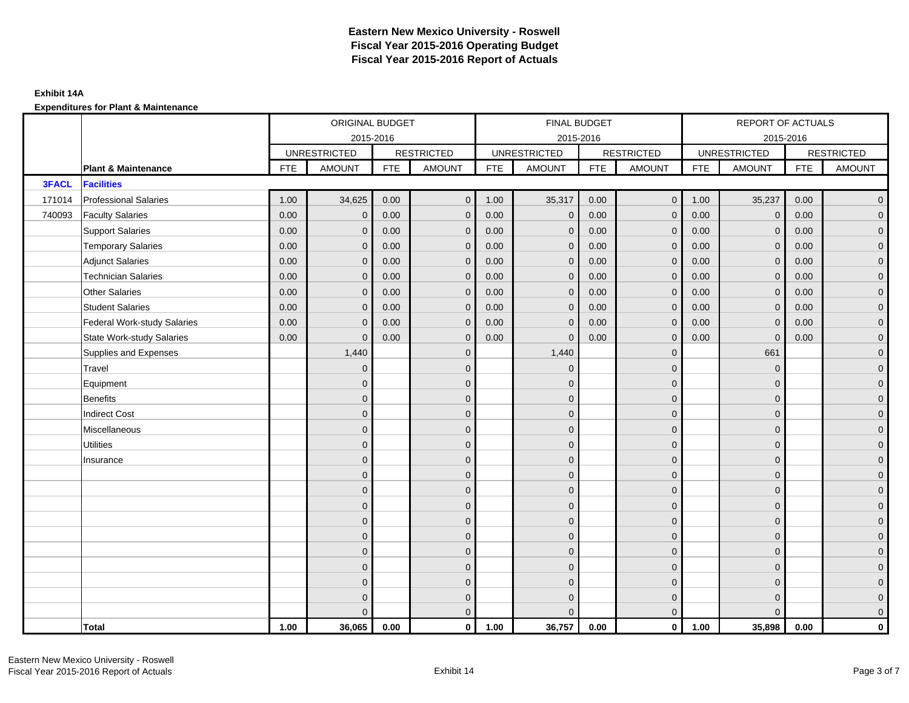#### **Exhibit 14A**

|              |                                    |            | ORIGINAL BUDGET     |            |                   |            | FINAL BUDGET        |            |                   |            | REPORT OF ACTUALS   |            |                     |
|--------------|------------------------------------|------------|---------------------|------------|-------------------|------------|---------------------|------------|-------------------|------------|---------------------|------------|---------------------|
|              |                                    |            |                     | 2015-2016  |                   |            | 2015-2016           |            |                   |            | 2015-2016           |            |                     |
|              |                                    |            | <b>UNRESTRICTED</b> |            | <b>RESTRICTED</b> |            | <b>UNRESTRICTED</b> |            | <b>RESTRICTED</b> |            | <b>UNRESTRICTED</b> |            | <b>RESTRICTED</b>   |
|              | <b>Plant &amp; Maintenance</b>     | <b>FTE</b> | <b>AMOUNT</b>       | <b>FTE</b> | <b>AMOUNT</b>     | <b>FTE</b> | <b>AMOUNT</b>       | <b>FTE</b> | <b>AMOUNT</b>     | <b>FTE</b> | <b>AMOUNT</b>       | <b>FTE</b> | <b>AMOUNT</b>       |
| <b>3FACL</b> | <b>Facilities</b>                  |            |                     |            |                   |            |                     |            |                   |            |                     |            |                     |
| 171014       | <b>Professional Salaries</b>       | 1.00       | 34,625              | 0.00       | $\mathbf{0}$      | 1.00       | 35,317              | 0.00       | $\overline{0}$    | 1.00       | 35,237              | 0.00       | $\overline{0}$      |
| 740093       | <b>Faculty Salaries</b>            | 0.00       | $\mathbf{0}$        | 0.00       | $\mathbf{0}$      | 0.00       | $\mathbf{0}$        | 0.00       | $\mathbf{0}$      | 0.00       | $\mathbf{0}$        | 0.00       | $\overline{0}$      |
|              | <b>Support Salaries</b>            | 0.00       | $\mathbf{0}$        | 0.00       | $\mathbf 0$       | 0.00       | $\mathbf{0}$        | 0.00       | $\mathbf{0}$      | 0.00       | $\overline{0}$      | 0.00       | $\overline{0}$      |
|              | <b>Temporary Salaries</b>          | 0.00       | $\mathbf{0}$        | 0.00       | $\mathbf 0$       | 0.00       | $\mathbf 0$         | 0.00       | $\mathbf 0$       | 0.00       | $\overline{0}$      | 0.00       | $\mathbf{0}$        |
|              | <b>Adjunct Salaries</b>            | 0.00       | $\mathbf{0}$        | 0.00       | $\mathbf{0}$      | 0.00       | $\mathbf{0}$        | 0.00       | $\mathbf 0$       | 0.00       | $\mathbf{0}$        | 0.00       | $\mathbf{0}$        |
|              | <b>Technician Salaries</b>         | 0.00       | $\Omega$            | 0.00       | $\mathbf{0}$      | 0.00       | $\mathbf{0}$        | 0.00       | $\mathbf{0}$      | 0.00       | $\mathbf{0}$        | 0.00       | $\mathbf{0}$        |
|              | <b>Other Salaries</b>              | 0.00       | $\Omega$            | 0.00       | $\mathbf{0}$      | 0.00       | $\Omega$            | 0.00       | $\Omega$          | 0.00       | $\mathbf{0}$        | 0.00       | $\overline{0}$      |
|              | <b>Student Salaries</b>            | 0.00       | $\mathbf 0$         | 0.00       | $\mathbf 0$       | 0.00       | $\mathbf 0$         | 0.00       | $\mathbf 0$       | 0.00       | $\mathbf 0$         | 0.00       | $\overline{0}$      |
|              | <b>Federal Work-study Salaries</b> | 0.00       | $\Omega$            | 0.00       | $\mathbf{0}$      | 0.00       | $\mathbf{0}$        | 0.00       | $\mathbf 0$       | 0.00       | $\mathbf 0$         | 0.00       | $\overline{0}$      |
|              | <b>State Work-study Salaries</b>   | 0.00       | $\mathbf{0}$        | 0.00       | $\mathbf{0}$      | 0.00       | $\mathbf{0}$        | 0.00       | $\mathbf 0$       | 0.00       | $\mathbf 0$         | 0.00       | $\overline{0}$      |
|              | Supplies and Expenses              |            | 1,440               |            | $\mathbf{0}$      |            | 1,440               |            | $\overline{0}$    |            | 661                 |            | $\mathsf{O}\xspace$ |
|              | Travel                             |            | $\Omega$            |            | $\mathbf{0}$      |            | $\Omega$            |            | $\mathbf{0}$      |            | $\mathbf{0}$        |            | $\overline{0}$      |
|              | Equipment                          |            | $\Omega$            |            | $\mathbf 0$       |            | $\mathbf{0}$        |            | $\mathbf 0$       |            | $\mathbf 0$         |            | $\overline{0}$      |
|              | <b>Benefits</b>                    |            | $\Omega$            |            | $\mathbf 0$       |            | $\Omega$            |            | $\mathbf 0$       |            | $\mathbf{0}$        |            | $\overline{0}$      |
|              | <b>Indirect Cost</b>               |            | $\Omega$            |            | $\mathbf 0$       |            | $\Omega$            |            | $\mathbf{0}$      |            | $\Omega$            |            | $\overline{0}$      |
|              | Miscellaneous                      |            | $\Omega$            |            | $\mathbf{0}$      |            | $\Omega$            |            | $\mathbf{0}$      |            | $\Omega$            |            | $\mathsf{O}\xspace$ |
|              | <b>Utilities</b>                   |            | $\mathbf{0}$        |            | $\mathbf 0$       |            | $\mathbf{0}$        |            | $\mathbf 0$       |            | $\mathbf{0}$        |            | $\overline{0}$      |
|              | Insurance                          |            | $\Omega$            |            | $\mathbf 0$       |            | $\mathbf{0}$        |            | $\mathbf 0$       |            | $\mathbf{0}$        |            | $\overline{0}$      |
|              |                                    |            | $\Omega$            |            | $\mathbf{0}$      |            | $\Omega$            |            | $\mathbf 0$       |            | $\mathbf{0}$        |            | $\overline{0}$      |
|              |                                    |            | $\Omega$            |            | $\mathbf{0}$      |            | $\Omega$            |            | $\mathbf{0}$      |            | $\Omega$            |            | $\overline{0}$      |
|              |                                    |            | $\Omega$            |            | $\mathbf 0$       |            | $\mathbf{0}$        |            | $\mathbf 0$       |            | $\mathbf{0}$        |            | $\mathsf{O}\xspace$ |
|              |                                    |            | $\mathbf{0}$        |            | $\mathbf 0$       |            | $\mathbf{0}$        |            | $\mathbf 0$       |            | $\mathbf{0}$        |            | $\overline{0}$      |
|              |                                    |            | $\Omega$            |            | $\mathbf 0$       |            | $\mathbf{0}$        |            | $\mathbf{0}$      |            | $\mathbf{0}$        |            | $\overline{0}$      |
|              |                                    |            | $\Omega$            |            | $\mathbf{0}$      |            | $\Omega$            |            | $\mathbf{0}$      |            | $\mathbf{0}$        |            | $\overline{0}$      |
|              |                                    |            | $\Omega$            |            | $\overline{0}$    |            | $\mathbf{0}$        |            | $\mathbf 0$       |            | $\mathbf{0}$        |            | $\mathbf{0}$        |
|              |                                    |            | $\Omega$            |            | $\mathbf 0$       |            | $\mathbf{0}$        |            | $\mathbf 0$       |            | $\mathbf{0}$        |            | $\mathbf{0}$        |
|              |                                    |            | $\Omega$            |            | $\mathbf 0$       |            | $\Omega$            |            | $\mathbf 0$       |            | $\mathbf{0}$        |            | $\mathbf{0}$        |
|              |                                    |            | $\Omega$            |            | $\mathbf{0}$      |            | $\Omega$            |            | $\mathbf{0}$      |            | $\Omega$            |            | $\overline{0}$      |
|              | <b>Total</b>                       | 1.00       | 36,065              | 0.00       | $\mathbf{0}$      | 1.00       | 36,757              | 0.00       | $\mathbf{0}$      | 1.00       | 35,898              | 0.00       | $\mathbf 0$         |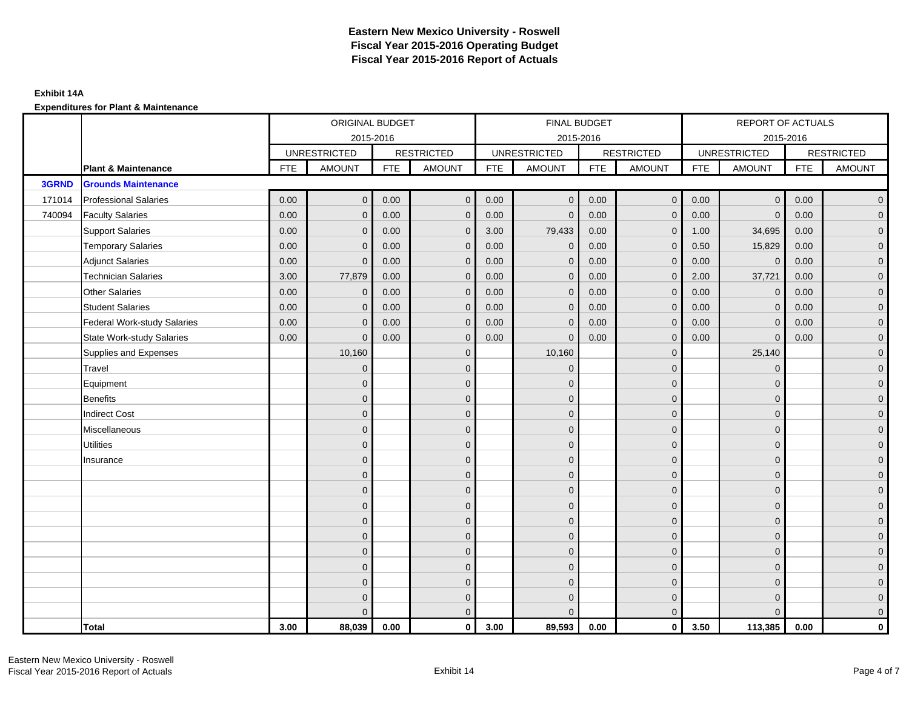|        |                                    |            | ORIGINAL BUDGET     |            |                   |            | FINAL BUDGET        |            |                   |            | REPORT OF ACTUALS   |            |                     |
|--------|------------------------------------|------------|---------------------|------------|-------------------|------------|---------------------|------------|-------------------|------------|---------------------|------------|---------------------|
|        |                                    |            |                     | 2015-2016  |                   |            | 2015-2016           |            |                   |            | 2015-2016           |            |                     |
|        |                                    |            | <b>UNRESTRICTED</b> |            | <b>RESTRICTED</b> |            | <b>UNRESTRICTED</b> |            | <b>RESTRICTED</b> |            | <b>UNRESTRICTED</b> |            | <b>RESTRICTED</b>   |
|        | <b>Plant &amp; Maintenance</b>     | <b>FTE</b> | <b>AMOUNT</b>       | <b>FTE</b> | <b>AMOUNT</b>     | <b>FTE</b> | <b>AMOUNT</b>       | <b>FTE</b> | <b>AMOUNT</b>     | <b>FTE</b> | <b>AMOUNT</b>       | <b>FTE</b> | <b>AMOUNT</b>       |
| 3GRND  | <b>Grounds Maintenance</b>         |            |                     |            |                   |            |                     |            |                   |            |                     |            |                     |
| 171014 | <b>Professional Salaries</b>       | 0.00       | $\mathbf{0}$        | 0.00       | $\mathbf{0}$      | 0.00       | $\overline{0}$      | 0.00       | $\overline{0}$    | 0.00       | $\overline{0}$      | 0.00       | $\overline{0}$      |
| 740094 | <b>Faculty Salaries</b>            | 0.00       | $\mathbf{0}$        | 0.00       | $\mathbf{0}$      | 0.00       | $\mathbf{0}$        | 0.00       | $\mathbf{0}$      | 0.00       | $\overline{0}$      | 0.00       | $\overline{0}$      |
|        | <b>Support Salaries</b>            | 0.00       | $\mathbf{0}$        | 0.00       | $\mathbf{0}$      | 3.00       | 79,433              | 0.00       | $\mathbf 0$       | 1.00       | 34,695              | 0.00       | $\overline{0}$      |
|        | <b>Temporary Salaries</b>          | 0.00       | $\Omega$            | 0.00       | $\mathbf{0}$      | 0.00       | $\mathbf 0$         | 0.00       | $\mathbf 0$       | 0.50       | 15,829              | 0.00       | $\overline{0}$      |
|        | <b>Adjunct Salaries</b>            | 0.00       | $\mathbf{0}$        | 0.00       | $\mathbf{0}$      | 0.00       | $\mathbf{0}$        | 0.00       | $\mathbf{0}$      | 0.00       | $\mathbf 0$         | 0.00       | $\mathbf{0}$        |
|        | <b>Technician Salaries</b>         | 3.00       | 77,879              | 0.00       | $\mathbf{0}$      | 0.00       | $\mathbf{0}$        | 0.00       | $\mathbf{0}$      | 2.00       | 37,721              | 0.00       | $\mathbf{0}$        |
|        | <b>Other Salaries</b>              | 0.00       | $\mathbf{0}$        | 0.00       | $\mathbf{0}$      | 0.00       | $\Omega$            | 0.00       | $\Omega$          | 0.00       | $\overline{0}$      | 0.00       | $\overline{0}$      |
|        | <b>Student Salaries</b>            | 0.00       | $\mathbf 0$         | 0.00       | $\mathbf 0$       | 0.00       | $\mathbf 0$         | 0.00       | $\mathbf 0$       | 0.00       | $\mathbf{0}$        | 0.00       | $\overline{0}$      |
|        | <b>Federal Work-study Salaries</b> | 0.00       | $\mathbf 0$         | 0.00       | $\mathbf{0}$      | 0.00       | $\mathbf{0}$        | 0.00       | $\mathbf 0$       | 0.00       | $\mathbf 0$         | 0.00       | $\overline{0}$      |
|        | <b>State Work-study Salaries</b>   | 0.00       | $\mathbf{0}$        | 0.00       | $\mathbf{0}$      | 0.00       | $\mathbf{0}$        | 0.00       | $\mathbf{0}$      | 0.00       | $\mathbf{0}$        | 0.00       | $\overline{0}$      |
|        | Supplies and Expenses              |            | 10,160              |            | $\mathbf{0}$      |            | 10,160              |            | $\overline{0}$    |            | 25,140              |            | $\mathsf{O}\xspace$ |
|        | Travel                             |            | $\Omega$            |            | $\mathbf{0}$      |            | $\Omega$            |            | $\mathbf{0}$      |            | $\mathbf{0}$        |            | $\overline{0}$      |
|        | Equipment                          |            | $\Omega$            |            | $\mathbf 0$       |            | $\mathbf{0}$        |            | $\mathbf 0$       |            | $\mathbf{0}$        |            | $\overline{0}$      |
|        | <b>Benefits</b>                    |            | $\Omega$            |            | $\mathbf{0}$      |            | $\Omega$            |            | $\mathbf 0$       |            | $\mathbf{0}$        |            | $\overline{0}$      |
|        | <b>Indirect Cost</b>               |            | $\Omega$            |            | $\mathbf 0$       |            | $\Omega$            |            | $\mathbf{0}$      |            | $\Omega$            |            | $\overline{0}$      |
|        | Miscellaneous                      |            | $\Omega$            |            | $\mathbf{0}$      |            | $\Omega$            |            | $\mathbf{0}$      |            | $\Omega$            |            | $\overline{0}$      |
|        | <b>Utilities</b>                   |            | $\mathbf{0}$        |            | $\mathbf 0$       |            | $\mathbf{0}$        |            | $\mathbf 0$       |            | $\mathbf{0}$        |            | $\mathbf{0}$        |
|        | Insurance                          |            | $\Omega$            |            | $\mathbf 0$       |            | $\mathbf{0}$        |            | $\mathbf 0$       |            | $\mathbf{0}$        |            | $\overline{0}$      |
|        |                                    |            | $\Omega$            |            | $\mathbf{0}$      |            | $\Omega$            |            | $\mathbf 0$       |            | $\mathbf{0}$        |            | $\overline{0}$      |
|        |                                    |            | $\Omega$            |            | $\mathbf{0}$      |            | $\Omega$            |            | $\mathbf{0}$      |            | $\Omega$            |            | $\overline{0}$      |
|        |                                    |            | $\Omega$            |            | $\mathbf 0$       |            | $\mathbf{0}$        |            | $\mathbf 0$       |            | $\mathbf{0}$        |            | $\mathsf{O}\xspace$ |
|        |                                    |            | $\mathbf{0}$        |            | $\mathbf 0$       |            | $\mathbf{0}$        |            | $\mathbf 0$       |            | $\mathbf{0}$        |            | $\overline{0}$      |
|        |                                    |            | $\Omega$            |            | $\mathbf 0$       |            | $\mathbf{0}$        |            | $\mathbf{0}$      |            | $\mathbf{0}$        |            | $\overline{0}$      |
|        |                                    |            | $\Omega$            |            | $\mathbf{0}$      |            | $\Omega$            |            | $\mathbf{0}$      |            | $\mathbf{0}$        |            | $\overline{0}$      |
|        |                                    |            | $\Omega$            |            | $\mathbf{0}$      |            | $\Omega$            |            | $\mathbf 0$       |            | $\mathbf{0}$        |            | $\mathbf{0}$        |
|        |                                    |            | $\Omega$            |            | $\mathbf 0$       |            | $\mathbf{0}$        |            | $\mathbf 0$       |            | $\mathbf{0}$        |            | $\mathbf{0}$        |
|        |                                    |            | $\Omega$            |            | $\mathbf 0$       |            | $\Omega$            |            | $\mathbf 0$       |            | $\mathbf{0}$        |            | $\mathbf{0}$        |
|        |                                    |            | $\Omega$            |            | $\mathbf{0}$      |            | $\Omega$            |            | $\mathbf{0}$      |            | $\Omega$            |            | $\overline{0}$      |
|        | <b>Total</b>                       | 3.00       | 88,039              | 0.00       | $\mathbf{0}$      | 3.00       | 89,593              | 0.00       | $\mathbf{0}$      | 3.50       | 113,385             | 0.00       | $\mathbf 0$         |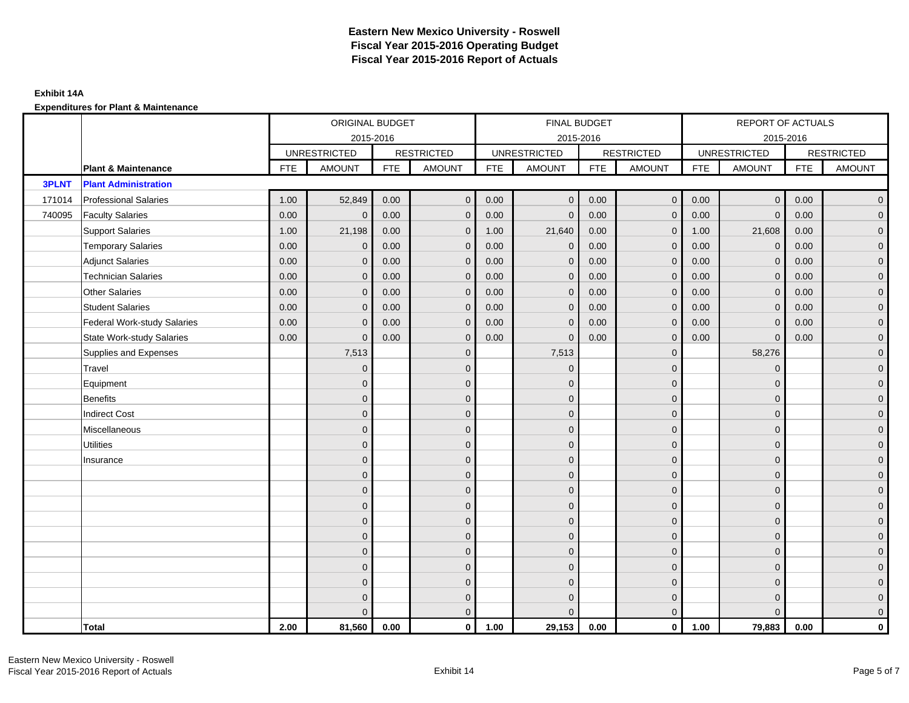|              |                                    |            | ORIGINAL BUDGET     |            |                   |            | FINAL BUDGET        |            |                   |            | REPORT OF ACTUALS   |            |                     |
|--------------|------------------------------------|------------|---------------------|------------|-------------------|------------|---------------------|------------|-------------------|------------|---------------------|------------|---------------------|
|              |                                    |            |                     | 2015-2016  |                   |            | 2015-2016           |            |                   |            | 2015-2016           |            |                     |
|              |                                    |            | <b>UNRESTRICTED</b> |            | <b>RESTRICTED</b> |            | <b>UNRESTRICTED</b> |            | <b>RESTRICTED</b> |            | <b>UNRESTRICTED</b> |            | <b>RESTRICTED</b>   |
|              | <b>Plant &amp; Maintenance</b>     | <b>FTE</b> | <b>AMOUNT</b>       | <b>FTE</b> | <b>AMOUNT</b>     | <b>FTE</b> | <b>AMOUNT</b>       | <b>FTE</b> | <b>AMOUNT</b>     | <b>FTE</b> | <b>AMOUNT</b>       | <b>FTE</b> | <b>AMOUNT</b>       |
| <b>3PLNT</b> | <b>Plant Administration</b>        |            |                     |            |                   |            |                     |            |                   |            |                     |            |                     |
| 171014       | <b>Professional Salaries</b>       | 1.00       | 52,849              | 0.00       | $\overline{0}$    | 0.00       | $\overline{0}$      | 0.00       | $\overline{0}$    | 0.00       | $\overline{0}$      | 0.00       | $\overline{0}$      |
| 740095       | <b>Faculty Salaries</b>            | 0.00       | $\mathbf{0}$        | 0.00       | $\mathbf{0}$      | 0.00       | $\mathbf{0}$        | 0.00       | $\mathbf{0}$      | 0.00       | $\overline{0}$      | 0.00       | $\overline{0}$      |
|              | <b>Support Salaries</b>            | 1.00       | 21,198              | 0.00       | $\mathbf 0$       | 1.00       | 21,640              | 0.00       | $\mathbf 0$       | 1.00       | 21,608              | 0.00       | $\overline{0}$      |
|              | <b>Temporary Salaries</b>          | 0.00       | $\mathbf 0$         | 0.00       | $\mathbf{0}$      | 0.00       | $\mathbf 0$         | 0.00       | $\mathbf 0$       | 0.00       | $\mathbf 0$         | 0.00       | $\mathbf{0}$        |
|              | <b>Adjunct Salaries</b>            | 0.00       | $\mathbf{0}$        | 0.00       | $\mathbf{0}$      | 0.00       | $\mathbf{0}$        | 0.00       | $\mathbf{0}$      | 0.00       | $\mathbf{0}$        | 0.00       | $\mathbf{0}$        |
|              | <b>Technician Salaries</b>         | 0.00       | $\Omega$            | 0.00       | $\mathbf{0}$      | 0.00       | $\mathbf{0}$        | 0.00       | $\mathbf{0}$      | 0.00       | $\mathbf{0}$        | 0.00       | $\mathbf{0}$        |
|              | <b>Other Salaries</b>              | 0.00       | $\Omega$            | 0.00       | $\mathbf{0}$      | 0.00       | $\Omega$            | 0.00       | $\Omega$          | 0.00       | $\overline{0}$      | 0.00       | $\overline{0}$      |
|              | <b>Student Salaries</b>            | 0.00       | $\mathbf 0$         | 0.00       | $\mathbf 0$       | 0.00       | $\mathbf 0$         | 0.00       | $\mathbf 0$       | 0.00       | $\overline{0}$      | 0.00       | $\overline{0}$      |
|              | <b>Federal Work-study Salaries</b> | 0.00       | $\Omega$            | 0.00       | $\mathbf{0}$      | 0.00       | $\mathbf{0}$        | 0.00       | $\mathbf 0$       | 0.00       | $\mathbf 0$         | 0.00       | $\overline{0}$      |
|              | <b>State Work-study Salaries</b>   | 0.00       | $\mathbf{0}$        | 0.00       | $\mathbf{0}$      | 0.00       | $\mathbf{0}$        | 0.00       | $\mathbf 0$       | 0.00       | $\mathbf{0}$        | 0.00       | $\overline{0}$      |
|              | Supplies and Expenses              |            | 7,513               |            | $\mathbf{0}$      |            | 7,513               |            | $\overline{0}$    |            | 58,276              |            | $\mathsf{O}\xspace$ |
|              | Travel                             |            | $\Omega$            |            | $\mathbf{0}$      |            | $\mathbf{0}$        |            | $\mathbf{0}$      |            | $\mathbf{0}$        |            | $\overline{0}$      |
|              | Equipment                          |            | $\Omega$            |            | $\mathbf 0$       |            | $\mathbf{0}$        |            | $\mathbf 0$       |            | $\mathbf{0}$        |            | $\overline{0}$      |
|              | <b>Benefits</b>                    |            | $\Omega$            |            | $\mathbf{0}$      |            | $\Omega$            |            | $\mathbf 0$       |            | $\mathbf{0}$        |            | $\overline{0}$      |
|              | <b>Indirect Cost</b>               |            | $\Omega$            |            | $\mathbf 0$       |            | $\Omega$            |            | $\mathbf{0}$      |            | $\Omega$            |            | $\overline{0}$      |
|              | Miscellaneous                      |            | $\Omega$            |            | $\mathbf{0}$      |            | $\Omega$            |            | $\mathbf{0}$      |            | $\Omega$            |            | $\mathsf{O}\xspace$ |
|              | <b>Utilities</b>                   |            | $\mathbf{0}$        |            | $\mathbf 0$       |            | $\mathbf{0}$        |            | $\mathbf 0$       |            | $\mathbf{0}$        |            | $\overline{0}$      |
|              | Insurance                          |            | $\Omega$            |            | $\mathbf 0$       |            | $\mathbf{0}$        |            | $\mathbf 0$       |            | $\mathbf{0}$        |            | $\overline{0}$      |
|              |                                    |            | $\Omega$            |            | $\mathbf{0}$      |            | $\Omega$            |            | $\mathbf 0$       |            | $\mathbf{0}$        |            | $\overline{0}$      |
|              |                                    |            | $\Omega$            |            | $\mathbf{0}$      |            | $\Omega$            |            | $\mathbf{0}$      |            | $\Omega$            |            | $\overline{0}$      |
|              |                                    |            | $\Omega$            |            | $\mathbf 0$       |            | $\mathbf{0}$        |            | $\mathbf 0$       |            | $\mathbf{0}$        |            | $\mathsf{O}\xspace$ |
|              |                                    |            | $\mathbf{0}$        |            | $\mathbf 0$       |            | $\mathbf{0}$        |            | $\mathbf 0$       |            | $\mathbf{0}$        |            | $\overline{0}$      |
|              |                                    |            | $\Omega$            |            | $\mathbf 0$       |            | $\mathbf{0}$        |            | $\mathbf{0}$      |            | $\mathbf{0}$        |            | $\overline{0}$      |
|              |                                    |            | $\Omega$            |            | $\mathbf{0}$      |            | $\Omega$            |            | $\mathbf{0}$      |            | $\mathbf{0}$        |            | $\overline{0}$      |
|              |                                    |            | $\Omega$            |            | $\mathbf{0}$      |            | $\Omega$            |            | $\mathbf 0$       |            | $\mathbf{0}$        |            | $\mathbf{0}$        |
|              |                                    |            | $\Omega$            |            | $\mathbf 0$       |            | $\mathbf{0}$        |            | $\mathbf 0$       |            | $\mathbf{0}$        |            | $\overline{0}$      |
|              |                                    |            | $\Omega$            |            | $\mathbf 0$       |            | $\Omega$            |            | $\mathbf 0$       |            | $\mathbf{0}$        |            | $\mathbf{0}$        |
|              |                                    |            | $\Omega$            |            | $\mathbf{0}$      |            | $\Omega$            |            | $\mathbf{0}$      |            | $\Omega$            |            | $\overline{0}$      |
|              | <b>Total</b>                       | 2.00       | 81,560              | 0.00       | $\mathbf{0}$      | 1.00       | 29,153              | 0.00       | $\mathbf{0}$      | 1.00       | 79,883              | 0.00       | $\mathbf 0$         |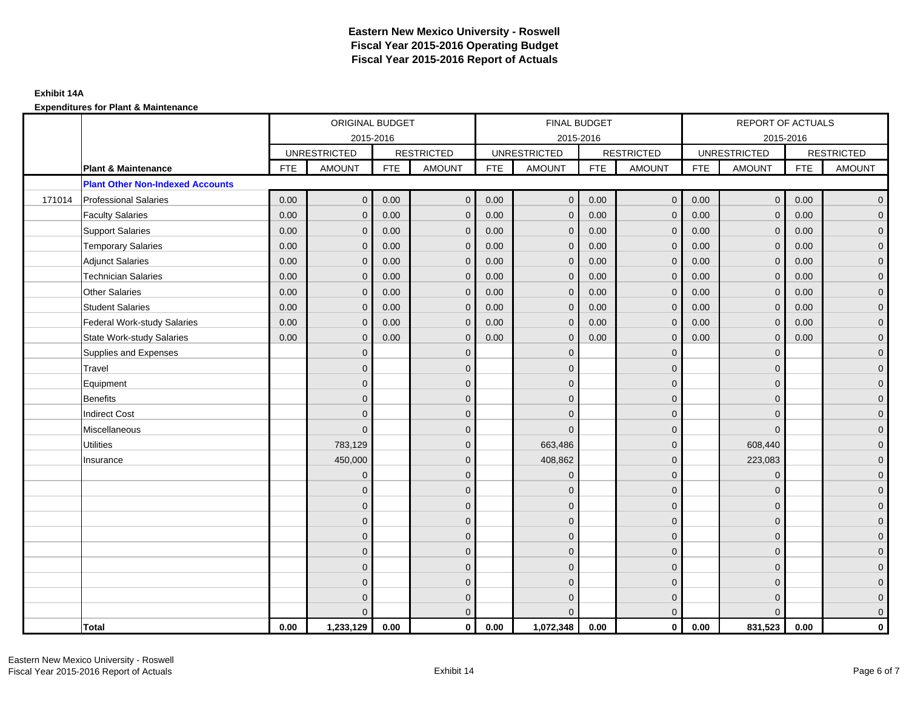|        |                                         | ORIGINAL BUDGET<br>2015-2016 |                     |            |                   |            | FINAL BUDGET        |            |                   |            | <b>REPORT OF ACTUALS</b> |            |                   |
|--------|-----------------------------------------|------------------------------|---------------------|------------|-------------------|------------|---------------------|------------|-------------------|------------|--------------------------|------------|-------------------|
|        |                                         |                              |                     |            |                   |            | 2015-2016           |            |                   |            | 2015-2016                |            |                   |
|        |                                         |                              | <b>UNRESTRICTED</b> |            | <b>RESTRICTED</b> |            | <b>UNRESTRICTED</b> |            | <b>RESTRICTED</b> |            | <b>UNRESTRICTED</b>      |            | <b>RESTRICTED</b> |
|        | Plant & Maintenance                     | <b>FTE</b>                   | <b>AMOUNT</b>       | <b>FTE</b> | <b>AMOUNT</b>     | <b>FTE</b> | <b>AMOUNT</b>       | <b>FTE</b> | <b>AMOUNT</b>     | <b>FTE</b> | <b>AMOUNT</b>            | <b>FTE</b> | <b>AMOUNT</b>     |
|        | <b>Plant Other Non-Indexed Accounts</b> |                              |                     |            |                   |            |                     |            |                   |            |                          |            |                   |
| 171014 | <b>Professional Salaries</b>            | 0.00                         | $\mathbf{0}$        | 0.00       | $\mathbf{0}$      | 0.00       | $\overline{0}$      | 0.00       | $\mathbf{0}$      | 0.00       | $\mathbf{0}$             | 0.00       | $\overline{0}$    |
|        | <b>Faculty Salaries</b>                 | 0.00                         | $\mathbf{0}$        | 0.00       | $\Omega$          | 0.00       | $\Omega$            | 0.00       | $\mathbf{0}$      | 0.00       | $\mathbf{0}$             | 0.00       | $\overline{0}$    |
|        | <b>Support Salaries</b>                 | 0.00                         | $\mathbf 0$         | 0.00       | $\mathbf 0$       | 0.00       | $\mathbf 0$         | 0.00       | $\mathbf 0$       | 0.00       | $\mathbf 0$              | 0.00       | $\overline{0}$    |
|        | <b>Temporary Salaries</b>               | 0.00                         | $\mathbf{0}$        | 0.00       | $\mathbf{0}$      | 0.00       | $\mathbf{0}$        | 0.00       | $\mathbf 0$       | 0.00       | $\mathbf 0$              | 0.00       | $\overline{0}$    |
|        | <b>Adjunct Salaries</b>                 | 0.00                         | $\Omega$            | 0.00       | $\Omega$          | 0.00       | $\mathbf{0}$        | 0.00       | $\mathbf{0}$      | 0.00       | $\Omega$                 | 0.00       | $\overline{0}$    |
|        | <b>Technician Salaries</b>              | 0.00                         | $\Omega$            | 0.00       | $\Omega$          | 0.00       | $\Omega$            | 0.00       | $\Omega$          | 0.00       | $\Omega$                 | 0.00       | $\overline{0}$    |
|        | <b>Other Salaries</b>                   | 0.00                         | $\mathbf{0}$        | 0.00       | $\mathbf{0}$      | 0.00       | $\mathbf{0}$        | 0.00       | $\mathbf 0$       | 0.00       | $\mathbf{0}$             | 0.00       | $\mathbf{0}$      |
|        | <b>Student Salaries</b>                 | 0.00                         | $\mathbf{0}$        | 0.00       | $\mathbf{0}$      | 0.00       | $\mathbf{0}$        | 0.00       | $\mathbf 0$       | 0.00       | $\mathbf 0$              | 0.00       | $\overline{0}$    |
|        | <b>Federal Work-study Salaries</b>      | 0.00                         | $\mathbf{0}$        | 0.00       | $\Omega$          | 0.00       | $\Omega$            | 0.00       | $\mathbf{0}$      | 0.00       | $\mathbf 0$              | 0.00       | $\overline{0}$    |
|        | <b>State Work-study Salaries</b>        | 0.00                         | $\Omega$            | 0.00       | $\Omega$          | 0.00       | $\Omega$            | 0.00       | $\Omega$          | 0.00       | $\mathbf 0$              | 0.00       | $\overline{0}$    |
|        | Supplies and Expenses                   |                              | $\mathbf{0}$        |            | $\mathbf{0}$      |            | $\mathbf{0}$        |            | $\mathbf 0$       |            | $\mathbf 0$              |            | $\mathbf{0}$      |
|        | Travel                                  |                              | $\overline{0}$      |            | $\mathbf{0}$      |            | $\mathbf{0}$        |            | $\mathbf{0}$      |            | $\mathbf 0$              |            | $\overline{0}$    |
|        | Equipment                               |                              | $\Omega$            |            | $\mathbf{0}$      |            | $\Omega$            |            | $\mathbf 0$       |            | $\Omega$                 |            | $\overline{0}$    |
|        | <b>Benefits</b>                         |                              | $\Omega$            |            | $\mathbf 0$       |            | $\Omega$            |            | $\mathbf 0$       |            | $\mathbf 0$              |            | $\overline{0}$    |
|        | <b>Indirect Cost</b>                    |                              | $\Omega$            |            | $\mathbf{0}$      |            | $\Omega$            |            | $\mathbf{0}$      |            | $\Omega$                 |            | $\overline{0}$    |
|        | Miscellaneous                           |                              | $\Omega$            |            | $\mathbf{0}$      |            | $\Omega$            |            | $\mathbf{0}$      |            | $\Omega$                 |            | $\mathbf{0}$      |
|        | <b>Utilities</b>                        |                              | 783,129             |            | $\mathbf{0}$      |            | 663,486             |            | $\mathbf{0}$      |            | 608,440                  |            | $\overline{0}$    |
|        | Insurance                               |                              | 450,000             |            | $\mathbf 0$       |            | 408,862             |            | $\mathbf 0$       |            | 223,083                  |            | $\overline{0}$    |
|        |                                         |                              | $\mathbf{0}$        |            | $\mathbf{0}$      |            | $\mathbf{0}$        |            | $\mathbf 0$       |            | $\mathbf 0$              |            | $\overline{0}$    |
|        |                                         |                              | $\Omega$            |            | $\mathbf{0}$      |            | $\Omega$            |            | $\mathbf{0}$      |            | $\Omega$                 |            | $\overline{0}$    |
|        |                                         |                              | $\Omega$            |            | $\Omega$          |            | $\Omega$            |            | $\mathbf{0}$      |            | $\Omega$                 |            | $\overline{0}$    |
|        |                                         |                              | $\mathbf{0}$        |            | $\mathbf 0$       |            | $\Omega$            |            | $\mathbf 0$       |            | $\mathbf 0$              |            | $\mathbf{0}$      |
|        |                                         |                              | $\overline{0}$      |            | $\mathbf{0}$      |            | $\Omega$            |            | $\mathbf 0$       |            | $\mathbf 0$              |            | $\overline{0}$    |
|        |                                         |                              | $\Omega$            |            | $\mathbf{0}$      |            | $\Omega$            |            | $\mathbf{0}$      |            | $\Omega$                 |            | $\mathbf 0$       |
|        |                                         |                              | $\Omega$            |            | $\mathbf{0}$      |            | $\Omega$            |            | $\mathbf{0}$      |            | $\Omega$                 |            | $\mathbf 0$       |
|        |                                         |                              | $\Omega$            |            | $\mathbf 0$       |            | $\Omega$            |            | $\mathbf 0$       |            | $\Omega$                 |            | $\mathbf{0}$      |
|        |                                         |                              | $\Omega$            |            | $\mathbf 0$       |            | $\Omega$            |            | $\mathbf 0$       |            | $\Omega$                 |            | $\mathbf{0}$      |
|        |                                         |                              | $\Omega$            |            | $\Omega$          |            | U                   |            | $\mathbf{0}$      |            | $\Omega$                 |            | $\overline{0}$    |
|        | <b>Total</b>                            | 0.00                         | 1,233,129           | 0.00       | $\mathbf{0}$      | 0.00       | 1,072,348           | 0.00       | $\mathbf{0}$      | 0.00       | 831,523                  | 0.00       | $\mathbf{0}$      |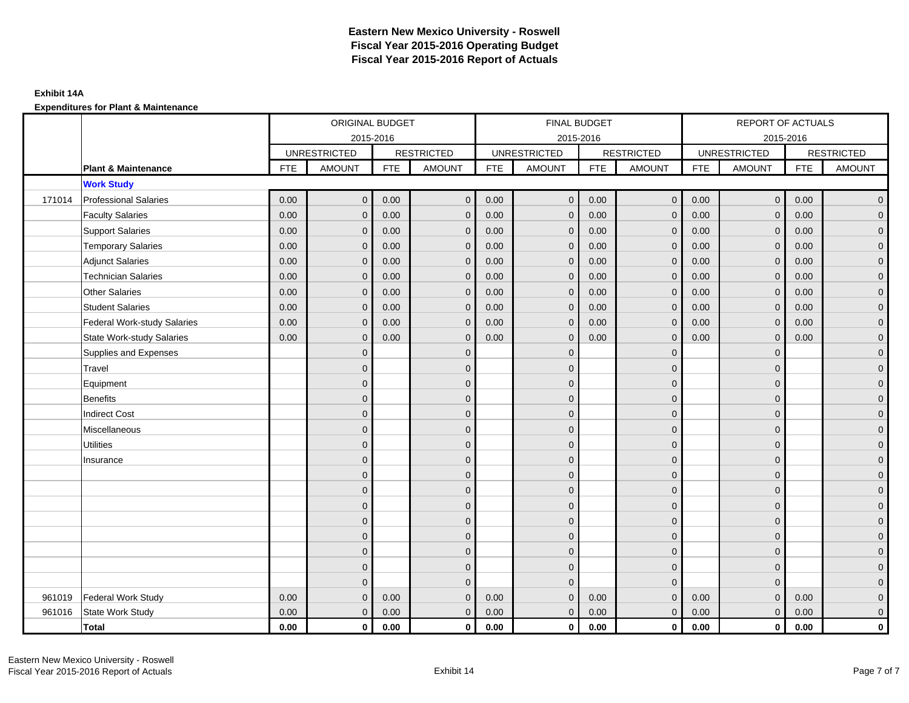|        |                                    |            | ORIGINAL BUDGET<br>2015-2016 |            |                   |            | FINAL BUDGET        |            |                         |            | REPORT OF ACTUALS   |            |                     |
|--------|------------------------------------|------------|------------------------------|------------|-------------------|------------|---------------------|------------|-------------------------|------------|---------------------|------------|---------------------|
|        |                                    |            |                              |            |                   |            | 2015-2016           |            |                         |            | 2015-2016           |            |                     |
|        |                                    |            | <b>UNRESTRICTED</b>          |            | <b>RESTRICTED</b> |            | <b>UNRESTRICTED</b> |            | <b>RESTRICTED</b>       |            | <b>UNRESTRICTED</b> |            | <b>RESTRICTED</b>   |
|        | <b>Plant &amp; Maintenance</b>     | <b>FTE</b> | <b>AMOUNT</b>                | <b>FTE</b> | <b>AMOUNT</b>     | <b>FTE</b> | <b>AMOUNT</b>       | <b>FTE</b> | <b>AMOUNT</b>           | <b>FTE</b> | <b>AMOUNT</b>       | <b>FTE</b> | <b>AMOUNT</b>       |
|        | <b>Work Study</b>                  |            |                              |            |                   |            |                     |            |                         |            |                     |            |                     |
| 171014 | <b>Professional Salaries</b>       | 0.00       | $\mathbf{0}$                 | 0.00       | $\mathbf{0}$      | 0.00       | $\overline{0}$      | 0.00       | $\overline{0}$          | 0.00       | $\overline{0}$      | 0.00       | $\overline{0}$      |
|        | <b>Faculty Salaries</b>            | 0.00       | $\mathbf{0}$                 | 0.00       | $\Omega$          | 0.00       | $\mathbf{0}$        | 0.00       | $\mathbf{0}$            | 0.00       | $\mathbf{0}$        | 0.00       | $\overline{0}$      |
|        | <b>Support Salaries</b>            | 0.00       | $\mathbf{0}$                 | 0.00       | $\mathbf{0}$      | 0.00       | $\overline{0}$      | 0.00       | $\mathbf 0$             | 0.00       | $\mathbf{0}$        | 0.00       | $\overline{0}$      |
|        | <b>Temporary Salaries</b>          | 0.00       | $\mathbf{0}$                 | 0.00       | $\Omega$          | 0.00       | $\mathbf{0}$        | 0.00       | $\mathbf{0}$            | 0.00       | $\mathbf 0$         | 0.00       | $\overline{0}$      |
|        | <b>Adjunct Salaries</b>            | 0.00       | $\mathbf{0}$                 | 0.00       | $\mathbf 0$       | 0.00       | $\mathbf{0}$        | 0.00       | $\mathbf 0$             | 0.00       | $\mathbf 0$         | 0.00       | $\overline{0}$      |
|        | <b>Technician Salaries</b>         | 0.00       | $\mathbf{0}$                 | 0.00       | $\Omega$          | 0.00       | $\mathbf{0}$        | 0.00       | $\mathbf{0}$            | 0.00       | $\mathbf{0}$        | 0.00       | $\overline{0}$      |
|        | <b>Other Salaries</b>              | 0.00       | $\Omega$                     | 0.00       | $\Omega$          | 0.00       | $\Omega$            | 0.00       | $\mathbf{0}$            | 0.00       | $\mathbf{0}$        | 0.00       | $\overline{0}$      |
|        | <b>Student Salaries</b>            | 0.00       | $\mathbf{0}$                 | 0.00       | $\mathbf 0$       | 0.00       | $\overline{0}$      | 0.00       | $\mathbf 0$             | 0.00       | $\mathbf{0}$        | 0.00       | $\overline{0}$      |
|        | <b>Federal Work-study Salaries</b> | 0.00       | $\mathbf{0}$                 | 0.00       | $\mathbf 0$       | 0.00       | $\mathbf{0}$        | 0.00       | $\mathbf 0$             | 0.00       | $\mathbf{0}$        | 0.00       | $\overline{0}$      |
|        | <b>State Work-study Salaries</b>   | 0.00       | $\mathbf{0}$                 | 0.00       | $\Omega$          | 0.00       | $\mathbf{0}$        | 0.00       | $\mathbf 0$             | 0.00       | $\mathbf{0}$        | 0.00       | $\overline{0}$      |
|        | Supplies and Expenses              |            | $\mathbf{0}$                 |            | $\mathbf{0}$      |            | $\mathbf{0}$        |            | $\mathbf 0$             |            | $\mathbf 0$         |            | $\mathsf{O}\xspace$ |
|        | Travel                             |            | $\Omega$                     |            | $\mathbf{0}$      |            | $\mathbf{0}$        |            | $\mathbf{0}$            |            | $\mathbf 0$         |            | $\mathbf{0}$        |
|        | Equipment                          |            | $\mathbf{0}$                 |            | $\mathbf{0}$      |            | $\Omega$            |            | $\mathbf 0$             |            | $\Omega$            |            | $\overline{0}$      |
|        | Benefits                           |            | $\mathbf{0}$                 |            | $\mathbf{0}$      |            | $\mathbf{0}$        |            | $\mathbf 0$             |            | $\mathbf 0$         |            | $\mathsf{O}\xspace$ |
|        | <b>Indirect Cost</b>               |            | $\mathbf{0}$                 |            | $\mathbf 0$       |            | $\Omega$            |            | $\mathbf 0$             |            | $\mathbf 0$         |            | $\overline{0}$      |
|        | Miscellaneous                      |            | $\Omega$                     |            | $\mathbf{0}$      |            | $\Omega$            |            | $\mathbf{0}$            |            | $\Omega$            |            | $\overline{0}$      |
|        | <b>Utilities</b>                   |            | $\mathbf{0}$                 |            | $\mathbf 0$       |            | $\mathbf{0}$        |            | $\mathbf 0$             |            | $\mathbf 0$         |            | $\overline{0}$      |
|        | Insurance                          |            | $\mathbf{0}$                 |            | $\mathbf{0}$      |            | $\Omega$            |            | $\mathbf 0$             |            | $\mathbf{0}$        |            | $\overline{0}$      |
|        |                                    |            | $\Omega$                     |            | $\mathbf{0}$      |            | $\Omega$            |            | $\mathbf 0$             |            | $\Omega$            |            | $\overline{0}$      |
|        |                                    |            | $\mathbf{0}$                 |            | $\mathbf 0$       |            | $\Omega$            |            | $\mathbf 0$             |            | $\mathbf 0$         |            | $\mathsf{O}\xspace$ |
|        |                                    |            | $\Omega$                     |            | $\mathbf{0}$      |            | $\mathbf{0}$        |            | $\mathbf 0$             |            | $\mathbf 0$         |            | $\mathbf{0}$        |
|        |                                    |            | $\Omega$                     |            | $\mathbf{0}$      |            | $\Omega$            |            | $\mathbf{0}$            |            | $\mathbf{0}$        |            | $\overline{0}$      |
|        |                                    |            | $\overline{0}$               |            | $\mathbf 0$       |            | $\mathbf{0}$        |            | $\mathbf 0$             |            | $\mathbf{0}$        |            | $\overline{0}$      |
|        |                                    |            | $\Omega$                     |            | $\mathbf 0$       |            | $\Omega$            |            | $\mathbf 0$             |            | $\mathbf 0$         |            | $\overline{0}$      |
|        |                                    |            | $\mathbf{0}$                 |            | $\mathbf{0}$      |            | $\Omega$            |            | $\mathbf 0$             |            | $\mathbf{0}$        |            | $\overline{0}$      |
|        |                                    |            | $\Omega$                     |            | $\Omega$          |            | $\Omega$            |            | $\overline{0}$          |            | $\Omega$            |            | $\overline{0}$      |
| 961019 | <b>Federal Work Study</b>          | 0.00       | $\mathbf{0}$                 | 0.00       | $\Omega$          | 0.00       | $\mathbf{0}$        | 0.00       | $\mathbf{0}$            | 0.00       | $\mathbf{0}$        | 0.00       | $\mathbf{0}$        |
| 961016 | State Work Study                   | 0.00       | $\overline{0}$               | 0.00       | $\mathbf{0}$      | 0.00       | $\mathbf{0}$        | 0.00       | $\mathbf{0}$            | 0.00       | $\overline{0}$      | 0.00       | $\overline{0}$      |
|        | <b>Total</b>                       | 0.00       | $\mathbf{0}$                 | 0.00       | $\mathbf 0$       | 0.00       | $\mathbf 0$         | 0.00       | $\overline{\mathbf{0}}$ | 0.00       | $\overline{0}$      | 0.00       | $\mathbf 0$         |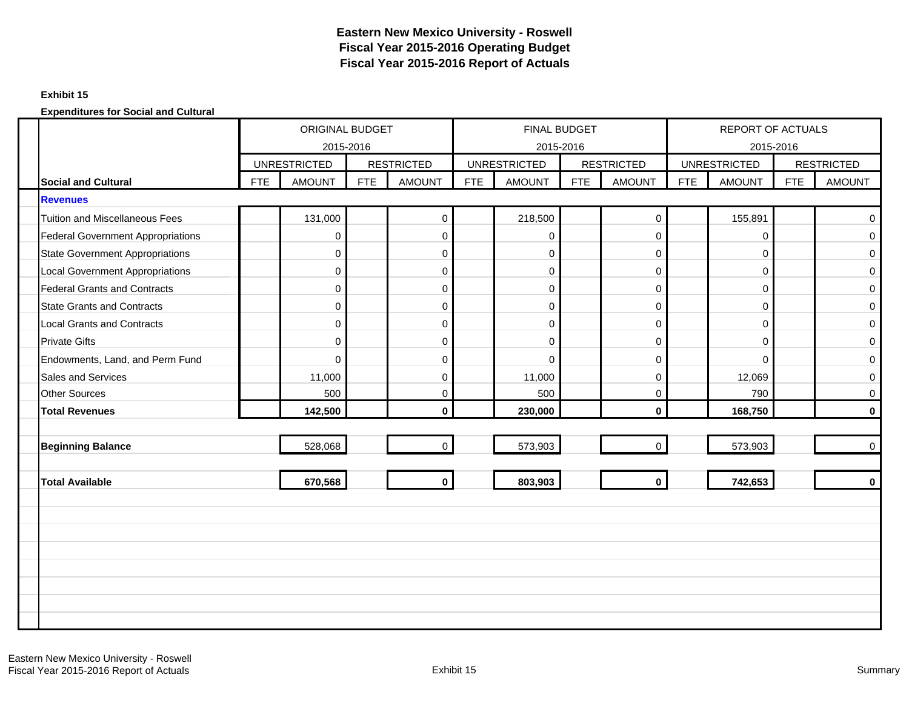### **Exhibit 15**

|                                          |            | ORIGINAL BUDGET<br>2015-2016 |            |                   |     | FINAL BUDGET<br>2015-2016 |     |                   |            | REPORT OF ACTUALS<br>2015-2016 |            |                   |
|------------------------------------------|------------|------------------------------|------------|-------------------|-----|---------------------------|-----|-------------------|------------|--------------------------------|------------|-------------------|
|                                          |            | <b>UNRESTRICTED</b>          |            | <b>RESTRICTED</b> |     | <b>UNRESTRICTED</b>       |     | <b>RESTRICTED</b> |            | <b>UNRESTRICTED</b>            |            | <b>RESTRICTED</b> |
| <b>Social and Cultural</b>               | <b>FTE</b> | <b>AMOUNT</b>                | <b>FTE</b> | <b>AMOUNT</b>     | FTE | <b>AMOUNT</b>             | FTE | <b>AMOUNT</b>     | <b>FTE</b> | <b>AMOUNT</b>                  | <b>FTE</b> | <b>AMOUNT</b>     |
| <b>Revenues</b>                          |            |                              |            |                   |     |                           |     |                   |            |                                |            |                   |
| <b>Tuition and Miscellaneous Fees</b>    |            | 131,000                      |            | $\pmb{0}$         |     | 218,500                   |     | $\mathsf{O}$      |            | 155,891                        |            | $\mathbf 0$       |
| <b>Federal Government Appropriations</b> |            | 0                            |            | $\pmb{0}$         |     | 0                         |     | $\mathbf 0$       |            | $\mathbf 0$                    |            | $\mathbf 0$       |
| <b>State Government Appropriations</b>   |            | 0                            |            | $\pmb{0}$         |     | $\mathbf 0$               |     | $\overline{0}$    |            | 0                              |            | $\mathbf 0$       |
| <b>Local Government Appropriations</b>   |            | 0                            |            | $\pmb{0}$         |     | $\mathbf 0$               |     | $\mathbf 0$       |            | $\mathbf 0$                    |            | $\mathbf 0$       |
| <b>Federal Grants and Contracts</b>      |            | 0                            |            | $\pmb{0}$         |     | $\mathbf 0$               |     | $\mathbf 0$       |            | 0                              |            | $\mathbf 0$       |
| <b>State Grants and Contracts</b>        |            | 0                            |            | 0                 |     | $\mathbf 0$               |     | $\overline{0}$    |            | $\mathbf 0$                    |            | $\mathbf 0$       |
| <b>Local Grants and Contracts</b>        |            | 0                            |            | $\pmb{0}$         |     | $\mathbf 0$               |     | $\overline{0}$    |            | 0                              |            | $\mathbf 0$       |
| <b>Private Gifts</b>                     |            | 0                            |            | $\pmb{0}$         |     | $\mathbf 0$               |     | $\overline{0}$    |            | 0                              |            | $\mathbf 0$       |
| Endowments, Land, and Perm Fund          |            | $\Omega$                     |            | $\mathbf 0$       |     | $\Omega$                  |     | $\Omega$          |            | $\Omega$                       |            | $\mathbf 0$       |
| <b>Sales and Services</b>                |            | 11,000                       |            | $\pmb{0}$         |     | 11,000                    |     | $\overline{0}$    |            | 12,069                         |            | 0                 |
| <b>Other Sources</b>                     |            | 500                          |            | $\pmb{0}$         |     | 500                       |     | $\mathbf 0$       |            | 790                            |            | $\mathbf 0$       |
| <b>Total Revenues</b>                    |            | 142,500                      |            | $\mathbf{0}$      |     | 230,000                   |     | $\mathbf{0}$      |            | 168,750                        |            | $\bf{0}$          |
|                                          |            |                              |            |                   |     |                           |     |                   |            |                                |            |                   |
| <b>Beginning Balance</b>                 |            | 528,068                      |            | $\mathbf 0$       |     | 573,903                   |     | $\mathbf 0$       |            | 573,903                        |            | $\mathbf 0$       |
|                                          |            |                              |            |                   |     |                           |     |                   |            |                                |            |                   |
| <b>Total Available</b>                   |            | 670,568                      |            | $\mathbf 0$       |     | 803,903                   |     | $\mathbf 0$       |            | 742,653                        |            | $\mathbf 0$       |
|                                          |            |                              |            |                   |     |                           |     |                   |            |                                |            |                   |
|                                          |            |                              |            |                   |     |                           |     |                   |            |                                |            |                   |
|                                          |            |                              |            |                   |     |                           |     |                   |            |                                |            |                   |
|                                          |            |                              |            |                   |     |                           |     |                   |            |                                |            |                   |
|                                          |            |                              |            |                   |     |                           |     |                   |            |                                |            |                   |
|                                          |            |                              |            |                   |     |                           |     |                   |            |                                |            |                   |
|                                          |            |                              |            |                   |     |                           |     |                   |            |                                |            |                   |
|                                          |            |                              |            |                   |     |                           |     |                   |            |                                |            |                   |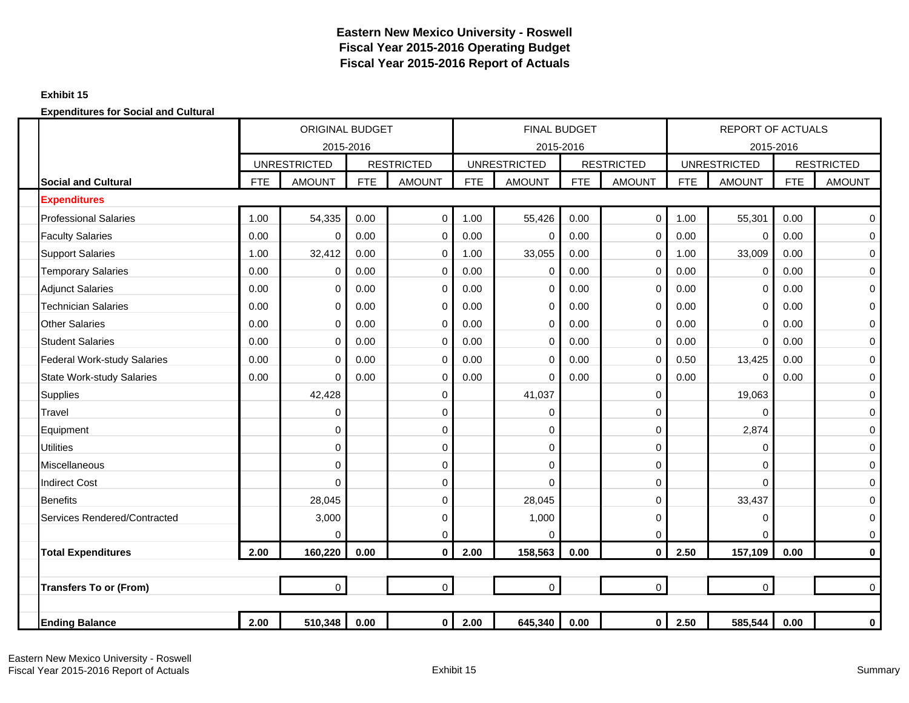### **Exhibit 15**

|                                    |            | <b>ORIGINAL BUDGET</b> |            |                   |            | <b>FINAL BUDGET</b> |            |                   |            | <b>REPORT OF ACTUALS</b> |            |                   |
|------------------------------------|------------|------------------------|------------|-------------------|------------|---------------------|------------|-------------------|------------|--------------------------|------------|-------------------|
|                                    |            | 2015-2016              |            |                   |            | 2015-2016           |            |                   |            | 2015-2016                |            |                   |
|                                    |            | <b>UNRESTRICTED</b>    |            | <b>RESTRICTED</b> |            | <b>UNRESTRICTED</b> |            | <b>RESTRICTED</b> |            | <b>UNRESTRICTED</b>      |            | <b>RESTRICTED</b> |
| <b>Social and Cultural</b>         | <b>FTE</b> | <b>AMOUNT</b>          | <b>FTE</b> | <b>AMOUNT</b>     | <b>FTE</b> | <b>AMOUNT</b>       | <b>FTE</b> | <b>AMOUNT</b>     | <b>FTE</b> | <b>AMOUNT</b>            | <b>FTE</b> | <b>AMOUNT</b>     |
| <b>Expenditures</b>                |            |                        |            |                   |            |                     |            |                   |            |                          |            |                   |
| <b>Professional Salaries</b>       | 1.00       | 54,335                 | 0.00       | $\mathbf 0$       | 1.00       | 55,426              | 0.00       | $\mathbf 0$       | 1.00       | 55,301                   | 0.00       | 0                 |
| <b>Faculty Salaries</b>            | 0.00       | 0                      | 0.00       | $\mathbf 0$       | 0.00       | $\Omega$            | 0.00       | $\mathbf 0$       | 0.00       | $\Omega$                 | 0.00       | $\mathbf 0$       |
| <b>Support Salaries</b>            | 1.00       | 32,412                 | 0.00       | 0                 | 1.00       | 33,055              | 0.00       | $\mathbf 0$       | 1.00       | 33,009                   | 0.00       | 0                 |
| <b>Temporary Salaries</b>          | 0.00       | 0                      | 0.00       | $\pmb{0}$         | 0.00       | 0                   | 0.00       | $\mathbf 0$       | 0.00       | 0                        | 0.00       | $\boldsymbol{0}$  |
| <b>Adjunct Salaries</b>            | 0.00       | 0                      | 0.00       | $\mathbf 0$       | 0.00       | $\Omega$            | 0.00       | $\Omega$          | 0.00       | 0                        | 0.00       | 0                 |
| <b>Technician Salaries</b>         | 0.00       | 0                      | 0.00       | 0                 | 0.00       | O                   | 0.00       | 0                 | 0.00       | $\Omega$                 | 0.00       | 0                 |
| <b>Other Salaries</b>              | 0.00       | 0                      | 0.00       | $\mathbf 0$       | 0.00       | $\Omega$            | 0.00       | $\Omega$          | 0.00       | $\Omega$                 | 0.00       | 0                 |
| <b>Student Salaries</b>            | 0.00       | 0                      | 0.00       | $\mathbf 0$       | 0.00       | $\Omega$            | 0.00       | $\mathbf 0$       | 0.00       | $\Omega$                 | 0.00       | 0                 |
| <b>Federal Work-study Salaries</b> | 0.00       | $\Omega$               | 0.00       | $\mathbf 0$       | 0.00       | $\Omega$            | 0.00       | $\Omega$          | 0.50       | 13,425                   | 0.00       | 0                 |
| <b>State Work-study Salaries</b>   | 0.00       | 0                      | 0.00       | 0                 | 0.00       | $\Omega$            | 0.00       | 0                 | 0.00       | $\Omega$                 | 0.00       | 0                 |
| <b>Supplies</b>                    |            | 42,428                 |            | 0                 |            | 41,037              |            | $\mathbf 0$       |            | 19,063                   |            | $\mathsf 0$       |
| Travel                             |            | 0                      |            | 0                 |            | 0                   |            | $\mathbf 0$       |            | $\mathbf 0$              |            | 0                 |
| Equipment                          |            | $\Omega$               |            | 0                 |            | $\Omega$            |            | 0                 |            | 2,874                    |            | 0                 |
| <b>Utilities</b>                   |            | $\Omega$               |            | $\mathbf 0$       |            | $\Omega$            |            | $\Omega$          |            | $\mathbf 0$              |            | $\mathbf 0$       |
| Miscellaneous                      |            | 0                      |            | 0                 |            | 0                   |            | 0                 |            | $\mathbf 0$              |            | 0                 |
| <b>Indirect Cost</b>               |            | $\Omega$               |            | 0                 |            | $\Omega$            |            | $\Omega$          |            | $\Omega$                 |            | 0                 |
| <b>Benefits</b>                    |            | 28,045                 |            | 0                 |            | 28,045              |            | 0                 |            | 33,437                   |            | 0                 |
| Services Rendered/Contracted       |            | 3,000                  |            | 0                 |            | 1,000               |            | 0                 |            | 0                        |            | 0                 |
|                                    |            | 0                      |            | 0                 |            | $\Omega$            |            | $\mathbf 0$       |            | $\Omega$                 |            | 0                 |
| <b>Total Expenditures</b>          | 2.00       | 160,220                | 0.00       | $\mathbf{0}$      | 2.00       | 158,563             | 0.00       | $\mathbf{0}$      | 2.50       | 157,109                  | 0.00       | $\mathbf 0$       |
|                                    |            |                        |            |                   |            |                     |            |                   |            |                          |            |                   |
| <b>Transfers To or (From)</b>      |            | 0                      |            | $\mathsf{O}$      |            | $\mathbf 0$         |            | $\mathsf{O}$      |            | $\mathbf 0$              |            | $\mathbf 0$       |
|                                    |            |                        |            |                   |            |                     |            |                   |            |                          |            |                   |
| <b>Ending Balance</b>              | 2.00       | 510,348                | 0.00       | $\mathbf 0$       | 2.00       | 645,340             | 0.00       | $\mathbf 0$       | 2.50       | 585,544                  | 0.00       | $\bf{0}$          |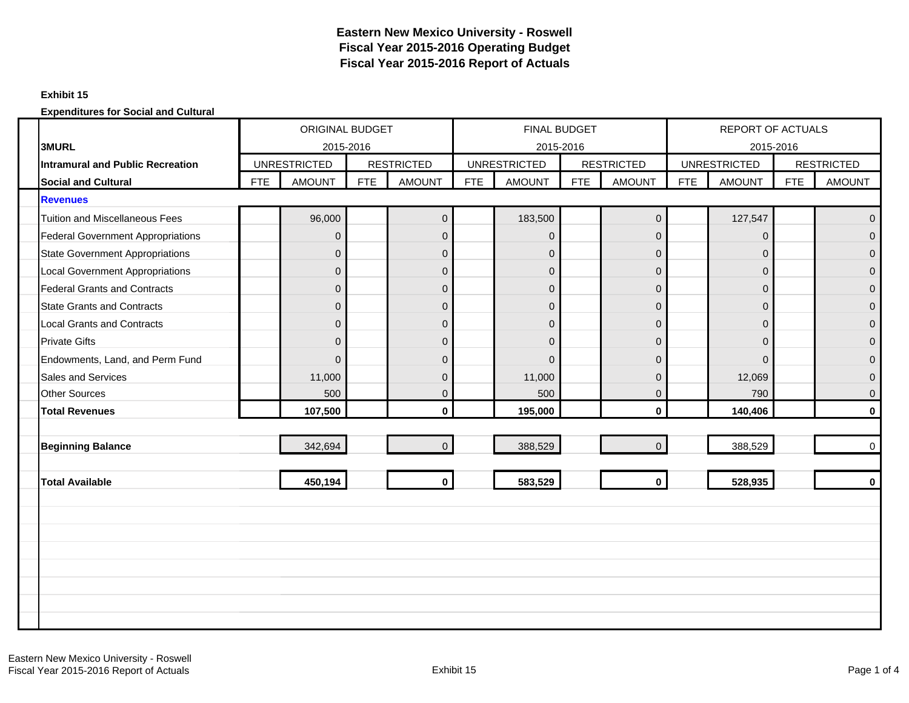### **Exhibit 15**

|                                          | <b>ORIGINAL BUDGET</b><br>2015-2016 |                     |            |                   |            | FINAL BUDGET        |            |                   |            | REPORT OF ACTUALS   |            |                   |
|------------------------------------------|-------------------------------------|---------------------|------------|-------------------|------------|---------------------|------------|-------------------|------------|---------------------|------------|-------------------|
| <b>3MURL</b>                             |                                     |                     |            |                   |            | 2015-2016           |            |                   |            | 2015-2016           |            |                   |
| <b>Intramural and Public Recreation</b>  |                                     | <b>UNRESTRICTED</b> |            | <b>RESTRICTED</b> |            | <b>UNRESTRICTED</b> |            | <b>RESTRICTED</b> |            | <b>UNRESTRICTED</b> |            | <b>RESTRICTED</b> |
| <b>Social and Cultural</b>               | <b>FTE</b>                          | <b>AMOUNT</b>       | <b>FTE</b> | <b>AMOUNT</b>     | <b>FTE</b> | <b>AMOUNT</b>       | <b>FTE</b> | <b>AMOUNT</b>     | <b>FTE</b> | <b>AMOUNT</b>       | <b>FTE</b> | <b>AMOUNT</b>     |
| <b>Revenues</b>                          |                                     |                     |            |                   |            |                     |            |                   |            |                     |            |                   |
| <b>Tuition and Miscellaneous Fees</b>    |                                     | 96,000              |            | $\mathbf 0$       |            | 183,500             |            | $\overline{0}$    |            | 127,547             |            | $\mathbf{0}$      |
| <b>Federal Government Appropriations</b> |                                     | $\Omega$            |            | $\mathbf{0}$      |            | $\overline{0}$      |            | $\mathbf{0}$      |            | $\Omega$            |            | $\Omega$          |
| <b>State Government Appropriations</b>   |                                     | 0                   |            | $\pmb{0}$         |            | $\overline{0}$      |            | $\overline{0}$    |            | $\mathbf 0$         |            | $\overline{0}$    |
| <b>Local Government Appropriations</b>   |                                     | 0                   |            | $\mathsf 0$       |            | $\mathbf 0$         |            | $\mathbf 0$       |            | $\mathbf 0$         |            | $\mathbf{0}$      |
| <b>Federal Grants and Contracts</b>      |                                     | $\overline{0}$      |            | $\pmb{0}$         |            | $\overline{0}$      |            | $\mathbf{0}$      |            | $\mathbf{0}$        |            | $\overline{0}$    |
| <b>State Grants and Contracts</b>        |                                     | 0                   |            | $\pmb{0}$         |            | $\overline{0}$      |            | $\pmb{0}$         |            | $\mathbf 0$         |            | $\mathbf{0}$      |
| <b>Local Grants and Contracts</b>        |                                     | $\Omega$            |            | $\pmb{0}$         |            | $\overline{0}$      |            | $\mathbf{0}$      |            | $\mathbf{0}$        |            | $\Omega$          |
| <b>Private Gifts</b>                     |                                     | 0                   |            | $\pmb{0}$         |            | $\overline{0}$      |            | $\mathbf{0}$      |            | $\mathbf{0}$        |            | $\mathbf{0}$      |
| Endowments, Land, and Perm Fund          |                                     | $\Omega$            |            | $\mathbf 0$       |            | $\Omega$            |            | $\Omega$          |            | $\Omega$            |            | $\Omega$          |
| <b>Sales and Services</b>                |                                     | 11,000              |            | $\mathbf 0$       |            | 11,000              |            | $\mathbf{0}$      |            | 12,069              |            | $\overline{0}$    |
| <b>Other Sources</b>                     |                                     | 500                 |            | $\pmb{0}$         |            | 500                 |            | $\Omega$          |            | 790                 |            | $\mathbf{0}$      |
| <b>Total Revenues</b>                    |                                     | 107,500             |            | $\mathbf{0}$      |            | 195,000             |            | $\mathbf{0}$      |            | 140,406             |            | $\mathbf{0}$      |
|                                          |                                     |                     |            |                   |            |                     |            |                   |            |                     |            |                   |
| <b>Beginning Balance</b>                 |                                     | 342,694             |            | $\overline{0}$    |            | 388,529             |            | $\Omega$          |            | 388,529             |            | $\mathbf 0$       |
|                                          |                                     |                     |            |                   |            |                     |            |                   |            |                     |            |                   |
| <b>Total Available</b>                   |                                     | 450,194             |            | $\mathbf 0$       |            | 583,529             |            | $\mathbf{0}$      |            | 528,935             |            | $\mathbf{0}$      |
|                                          |                                     |                     |            |                   |            |                     |            |                   |            |                     |            |                   |
|                                          |                                     |                     |            |                   |            |                     |            |                   |            |                     |            |                   |
|                                          |                                     |                     |            |                   |            |                     |            |                   |            |                     |            |                   |
|                                          |                                     |                     |            |                   |            |                     |            |                   |            |                     |            |                   |
|                                          |                                     |                     |            |                   |            |                     |            |                   |            |                     |            |                   |
|                                          |                                     |                     |            |                   |            |                     |            |                   |            |                     |            |                   |
|                                          |                                     |                     |            |                   |            |                     |            |                   |            |                     |            |                   |
|                                          |                                     |                     |            |                   |            |                     |            |                   |            |                     |            |                   |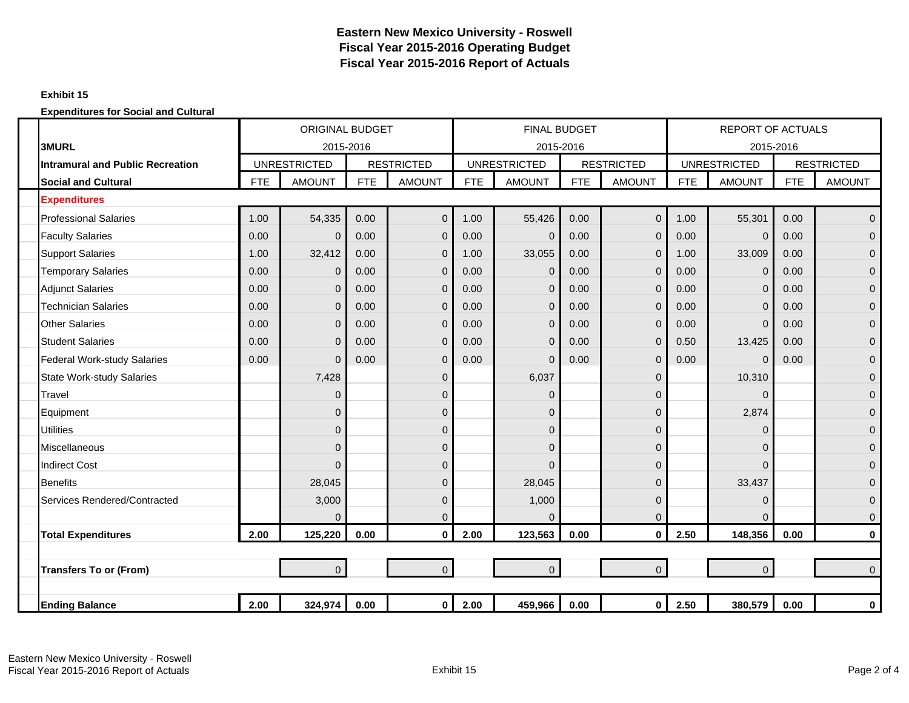### **Exhibit 15**

|                                         |            | <b>ORIGINAL BUDGET</b> |            |                   |            | <b>FINAL BUDGET</b> |            |                   |            | <b>REPORT OF ACTUALS</b> |            |                   |
|-----------------------------------------|------------|------------------------|------------|-------------------|------------|---------------------|------------|-------------------|------------|--------------------------|------------|-------------------|
| 3MURL                                   |            | 2015-2016              |            |                   |            | 2015-2016           |            |                   |            | 2015-2016                |            |                   |
| <b>Intramural and Public Recreation</b> |            | <b>UNRESTRICTED</b>    |            | <b>RESTRICTED</b> |            | <b>UNRESTRICTED</b> |            | <b>RESTRICTED</b> |            | <b>UNRESTRICTED</b>      |            | <b>RESTRICTED</b> |
| <b>Social and Cultural</b>              | <b>FTE</b> | <b>AMOUNT</b>          | <b>FTE</b> | <b>AMOUNT</b>     | <b>FTE</b> | <b>AMOUNT</b>       | <b>FTE</b> | <b>AMOUNT</b>     | <b>FTE</b> | <b>AMOUNT</b>            | <b>FTE</b> | <b>AMOUNT</b>     |
| <b>Expenditures</b>                     |            |                        |            |                   |            |                     |            |                   |            |                          |            |                   |
| <b>Professional Salaries</b>            | 1.00       | 54,335                 | 0.00       | $\overline{0}$    | 1.00       | 55,426              | 0.00       | $\overline{0}$    | 1.00       | 55,301                   | 0.00       | $\overline{0}$    |
| <b>Faculty Salaries</b>                 | 0.00       | $\mathbf 0$            | 0.00       | $\mathbf 0$       | 0.00       | $\mathbf{0}$        | 0.00       | $\mathbf{0}$      | 0.00       | $\mathbf 0$              | 0.00       | $\mathbf 0$       |
| <b>Support Salaries</b>                 | 1.00       | 32,412                 | 0.00       | $\mathbf 0$       | 1.00       | 33,055              | 0.00       | $\overline{0}$    | 1.00       | 33,009                   | 0.00       | $\mathbf 0$       |
| <b>Temporary Salaries</b>               | 0.00       | $\mathbf{0}$           | 0.00       | $\mathbf{0}$      | 0.00       | $\Omega$            | 0.00       | $\overline{0}$    | 0.00       | $\mathbf 0$              | 0.00       | $\overline{0}$    |
| <b>Adjunct Salaries</b>                 | 0.00       | $\overline{0}$         | 0.00       | $\mathbf 0$       | 0.00       | $\mathbf{0}$        | 0.00       | $\overline{0}$    | 0.00       | $\mathbf 0$              | 0.00       | $\pmb{0}$         |
| <b>Technician Salaries</b>              | 0.00       | $\mathbf 0$            | 0.00       | $\mathbf 0$       | 0.00       | 0                   | 0.00       | $\overline{0}$    | 0.00       | $\mathbf 0$              | 0.00       | $\mathbf 0$       |
| <b>Other Salaries</b>                   | 0.00       | $\Omega$               | 0.00       | $\mathbf{0}$      | 0.00       | $\Omega$            | 0.00       | $\overline{0}$    | 0.00       | $\Omega$                 | 0.00       | $\overline{0}$    |
| <b>Student Salaries</b>                 | 0.00       | $\overline{0}$         | 0.00       | $\mathbf 0$       | 0.00       | $\Omega$            | 0.00       | $\overline{0}$    | 0.50       | 13,425                   | 0.00       | $\pmb{0}$         |
| <b>Federal Work-study Salaries</b>      | 0.00       | $\mathbf 0$            | 0.00       | $\mathbf 0$       | 0.00       | $\Omega$            | 0.00       | 0                 | 0.00       | $\mathbf 0$              | 0.00       | $\mathbf 0$       |
| <b>State Work-study Salaries</b>        |            | 7,428                  |            | $\mathbf 0$       |            | 6,037               |            | $\Omega$          |            | 10,310                   |            | $\mathbf 0$       |
| Travel                                  |            | $\Omega$               |            | $\mathbf{0}$      |            | $\Omega$            |            | $\Omega$          |            | $\Omega$                 |            | $\mathbf{0}$      |
| Equipment                               |            | $\Omega$               |            | $\mathbf 0$       |            | 0                   |            | 0                 |            | 2,874                    |            | $\mathbf 0$       |
| <b>Utilities</b>                        |            | $\Omega$               |            | $\mathbf{0}$      |            | 0                   |            | $\Omega$          |            | $\Omega$                 |            | $\mathbf 0$       |
| <b>Miscellaneous</b>                    |            | $\Omega$               |            | $\mathbf{0}$      |            | $\Omega$            |            | $\Omega$          |            | $\Omega$                 |            | $\pmb{0}$         |
| <b>Indirect Cost</b>                    |            | $\Omega$               |            | $\mathbf{0}$      |            | $\overline{0}$      |            | 0                 |            | $\Omega$                 |            | $\pmb{0}$         |
| <b>Benefits</b>                         |            | 28,045                 |            | $\mathbf{0}$      |            | 28,045              |            | $\Omega$          |            | 33,437                   |            | $\mathbf 0$       |
| Services Rendered/Contracted            |            | 3,000                  |            | $\mathbf 0$       |            | 1,000               |            | 0                 |            | $\mathbf 0$              |            | $\mathbf 0$       |
|                                         |            | $\mathbf{0}$           |            | $\pmb{0}$         |            | $\Omega$            |            | $\overline{0}$    |            | $\mathbf 0$              |            | $\mathbf 0$       |
| <b>Total Expenditures</b>               | 2.00       | 125,220                | 0.00       | $\mathbf{0}$      | 2.00       | 123,563             | 0.00       | $\mathbf{0}$      | 2.50       | 148,356                  | 0.00       | 0                 |
|                                         |            |                        |            |                   |            |                     |            |                   |            |                          |            |                   |
| <b>Transfers To or (From)</b>           |            | $\mathbf{0}$           |            | $\overline{0}$    |            | $\Omega$            |            | $\Omega$          |            | $\overline{0}$           |            | $\Omega$          |
|                                         |            |                        |            |                   |            |                     |            |                   |            |                          |            |                   |
| <b>Ending Balance</b>                   | 2.00       | 324,974                | 0.00       | $\overline{0}$    | 2.00       | 459,966             | 0.00       | $\mathbf{0}$      | 2.50       | 380,579                  | 0.00       | $\bf{0}$          |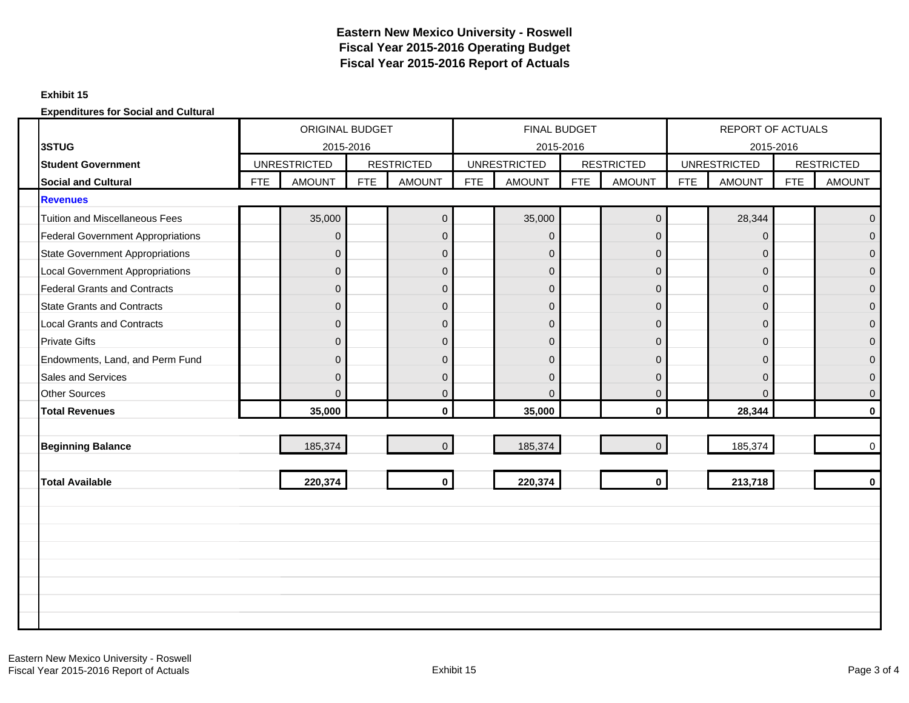### **Exhibit 15**

|                                          | ORIGINAL BUDGET<br>2015-2016<br><b>UNRESTRICTED</b> |                |            |                   |            | FINAL BUDGET        |            |                   |            | REPORT OF ACTUALS   |            |                   |
|------------------------------------------|-----------------------------------------------------|----------------|------------|-------------------|------------|---------------------|------------|-------------------|------------|---------------------|------------|-------------------|
| 3STUG                                    |                                                     |                |            |                   |            | 2015-2016           |            |                   |            | 2015-2016           |            |                   |
| <b>Student Government</b>                |                                                     |                |            | <b>RESTRICTED</b> |            | <b>UNRESTRICTED</b> |            | <b>RESTRICTED</b> |            | <b>UNRESTRICTED</b> |            | <b>RESTRICTED</b> |
| <b>Social and Cultural</b>               | <b>FTE</b>                                          | <b>AMOUNT</b>  | <b>FTE</b> | <b>AMOUNT</b>     | <b>FTE</b> | <b>AMOUNT</b>       | <b>FTE</b> | <b>AMOUNT</b>     | <b>FTE</b> | <b>AMOUNT</b>       | <b>FTE</b> | <b>AMOUNT</b>     |
| <b>Revenues</b>                          |                                                     |                |            |                   |            |                     |            |                   |            |                     |            |                   |
| <b>Tuition and Miscellaneous Fees</b>    |                                                     | 35,000         |            | $\pmb{0}$         |            | 35,000              |            | $\overline{0}$    |            | 28,344              |            | $\mathbf{0}$      |
| <b>Federal Government Appropriations</b> |                                                     | $\mathbf{0}$   |            | $\mathbf{0}$      |            | $\overline{0}$      |            | $\overline{0}$    |            | $\mathbf{0}$        |            | $\Omega$          |
| <b>State Government Appropriations</b>   |                                                     | $\mathbf{0}$   |            | $\mathbf 0$       |            | $\overline{0}$      |            | $\mathbf 0$       |            | $\mathbf 0$         |            | $\mathbf{0}$      |
| <b>Local Government Appropriations</b>   |                                                     | $\overline{0}$ |            | $\mathbf 0$       |            | $\Omega$            |            | $\overline{0}$    |            | $\mathbf{0}$        |            | $\Omega$          |
| <b>Federal Grants and Contracts</b>      |                                                     | $\mathbf{0}$   |            | $\mathbf 0$       |            | $\overline{0}$      |            | $\mathbf 0$       |            | $\mathbf 0$         |            | $\overline{0}$    |
| <b>State Grants and Contracts</b>        |                                                     | $\overline{0}$ |            | $\pmb{0}$         |            | $\Omega$            |            | $\overline{0}$    |            | $\mathbf{0}$        |            | $\mathbf{0}$      |
| <b>Local Grants and Contracts</b>        |                                                     | $\mathbf{0}$   |            | $\mathbf 0$       |            | $\overline{0}$      |            | $\overline{0}$    |            | $\pmb{0}$           |            | $\Omega$          |
| <b>Private Gifts</b>                     |                                                     | $\Omega$       |            | $\mathbf{0}$      |            | $\overline{0}$      |            | $\mathbf{0}$      |            | $\mathbf{0}$        |            | $\Omega$          |
| Endowments, Land, and Perm Fund          |                                                     | $\overline{0}$ |            | $\mathbf{0}$      |            | $\Omega$            |            | $\mathbf{0}$      |            | $\mathbf{0}$        |            | $\Omega$          |
| <b>Sales and Services</b>                |                                                     | $\Omega$       |            | $\mathbf 0$       |            | $\Omega$            |            | $\Omega$          |            | $\mathbf{0}$        |            | $\Omega$          |
| <b>Other Sources</b>                     |                                                     | $\Omega$       |            | $\pmb{0}$         |            | $\Omega$            |            | $\overline{0}$    |            | $\Omega$            |            | $\mathbf{0}$      |
| <b>Total Revenues</b>                    |                                                     | 35,000         |            | $\mathbf{0}$      |            | 35,000              |            | $\mathbf{0}$      |            | 28,344              |            | $\mathbf{0}$      |
|                                          |                                                     |                |            |                   |            |                     |            |                   |            |                     |            |                   |
| <b>Beginning Balance</b>                 |                                                     | 185,374        |            | $\Omega$          |            | 185,374             |            | $\Omega$          |            | 185,374             |            | $\mathbf 0$       |
|                                          |                                                     |                |            |                   |            |                     |            |                   |            |                     |            |                   |
| <b>Total Available</b>                   |                                                     | 220,374        |            | $\mathbf{0}$      |            | 220,374             |            | $\mathbf{0}$      |            | 213,718             |            | $\mathbf{0}$      |
|                                          |                                                     |                |            |                   |            |                     |            |                   |            |                     |            |                   |
|                                          |                                                     |                |            |                   |            |                     |            |                   |            |                     |            |                   |
|                                          |                                                     |                |            |                   |            |                     |            |                   |            |                     |            |                   |
|                                          |                                                     |                |            |                   |            |                     |            |                   |            |                     |            |                   |
|                                          |                                                     |                |            |                   |            |                     |            |                   |            |                     |            |                   |
|                                          |                                                     |                |            |                   |            |                     |            |                   |            |                     |            |                   |
|                                          |                                                     |                |            |                   |            |                     |            |                   |            |                     |            |                   |
|                                          |                                                     |                |            |                   |            |                     |            |                   |            |                     |            |                   |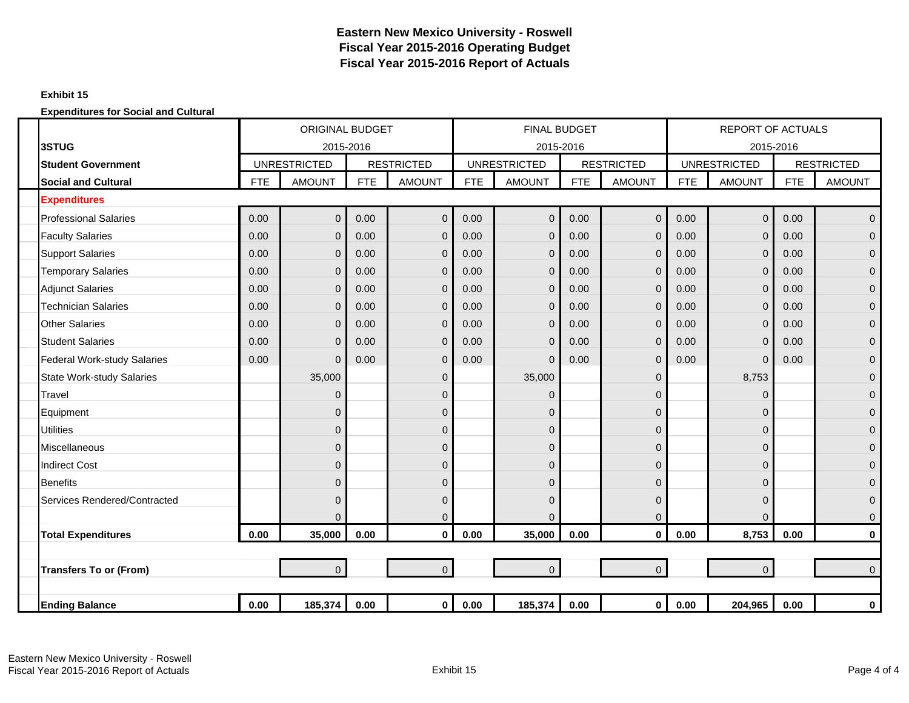### **Exhibit 15**

|                                    |            | <b>ORIGINAL BUDGET</b> |            |                   |            | <b>FINAL BUDGET</b> |            |                   |            | <b>REPORT OF ACTUALS</b> |            |                   |
|------------------------------------|------------|------------------------|------------|-------------------|------------|---------------------|------------|-------------------|------------|--------------------------|------------|-------------------|
| 3STUG                              |            | 2015-2016              |            |                   |            | 2015-2016           |            |                   |            | 2015-2016                |            |                   |
| <b>Student Government</b>          |            | <b>UNRESTRICTED</b>    |            | <b>RESTRICTED</b> |            | <b>UNRESTRICTED</b> |            | <b>RESTRICTED</b> |            | <b>UNRESTRICTED</b>      |            | <b>RESTRICTED</b> |
| <b>Social and Cultural</b>         | <b>FTE</b> | <b>AMOUNT</b>          | <b>FTE</b> | <b>AMOUNT</b>     | <b>FTE</b> | <b>AMOUNT</b>       | <b>FTE</b> | <b>AMOUNT</b>     | <b>FTE</b> | <b>AMOUNT</b>            | <b>FTE</b> | <b>AMOUNT</b>     |
| <b>Expenditures</b>                |            |                        |            |                   |            |                     |            |                   |            |                          |            |                   |
| <b>Professional Salaries</b>       | 0.00       | $\mathbf 0$            | 0.00       | $\mathbf 0$       | 0.00       | $\overline{0}$      | 0.00       | $\overline{0}$    | 0.00       | $\mathbf 0$              | 0.00       | $\overline{0}$    |
| <b>Faculty Salaries</b>            | 0.00       | $\mathbf{0}$           | 0.00       | $\mathbf 0$       | 0.00       | $\overline{0}$      | 0.00       | $\overline{0}$    | 0.00       | $\mathbf 0$              | 0.00       | $\mathbf 0$       |
| <b>Support Salaries</b>            | 0.00       | $\mathbf 0$            | 0.00       | $\mathbf 0$       | 0.00       | $\mathbf{0}$        | 0.00       | $\overline{0}$    | 0.00       | $\mathbf 0$              | 0.00       | $\mathbf 0$       |
| <b>Temporary Salaries</b>          | 0.00       | $\Omega$               | 0.00       | $\mathbf{0}$      | 0.00       | $\Omega$            | 0.00       | $\overline{0}$    | 0.00       | $\mathbf 0$              | 0.00       | $\overline{0}$    |
| <b>Adjunct Salaries</b>            | 0.00       | $\overline{0}$         | 0.00       | $\mathbf 0$       | 0.00       | $\mathbf{0}$        | 0.00       | $\overline{0}$    | 0.00       | $\mathbf 0$              | 0.00       | $\pmb{0}$         |
| <b>Technician Salaries</b>         | 0.00       | $\mathbf 0$            | 0.00       | $\mathbf 0$       | 0.00       | $\Omega$            | 0.00       | $\overline{0}$    | 0.00       | $\mathbf 0$              | 0.00       | $\mathbf 0$       |
| <b>Other Salaries</b>              | 0.00       | $\Omega$               | 0.00       | $\mathbf{0}$      | 0.00       | $\Omega$            | 0.00       | $\overline{0}$    | 0.00       | $\mathbf 0$              | 0.00       | $\overline{0}$    |
| <b>Student Salaries</b>            | 0.00       | $\overline{0}$         | 0.00       | $\mathbf 0$       | 0.00       | $\overline{0}$      | 0.00       | $\overline{0}$    | 0.00       | $\mathbf 0$              | 0.00       | $\pmb{0}$         |
| <b>Federal Work-study Salaries</b> | 0.00       | $\mathbf 0$            | 0.00       | $\mathbf 0$       | 0.00       | $\Omega$            | 0.00       | 0                 | 0.00       | $\mathbf 0$              | 0.00       | $\mathbf 0$       |
| <b>State Work-study Salaries</b>   |            | 35,000                 |            | $\mathbf 0$       |            | 35,000              |            | $\Omega$          |            | 8,753                    |            | $\mathbf 0$       |
| Travel                             |            | $\Omega$               |            | $\mathbf{0}$      |            | $\Omega$            |            | $\Omega$          |            | $\Omega$                 |            | $\pmb{0}$         |
| Equipment                          |            | $\Omega$               |            | $\mathbf 0$       |            | 0                   |            | 0                 |            | $\mathbf 0$              |            | $\mathbf 0$       |
| <b>Utilities</b>                   |            | $\Omega$               |            | $\mathbf 0$       |            | 0                   |            | $\Omega$          |            | $\mathbf 0$              |            | $\mathbf 0$       |
| Miscellaneous                      |            | $\Omega$               |            | $\mathbf{0}$      |            | 0                   |            | $\Omega$          |            | $\mathbf 0$              |            | $\pmb{0}$         |
| <b>Indirect Cost</b>               |            | $\Omega$               |            | $\mathbf 0$       |            | 0                   |            | 0                 |            | $\mathbf 0$              |            | $\pmb{0}$         |
| <b>Benefits</b>                    |            | $\Omega$               |            | $\mathbf{0}$      |            | 0                   |            | $\Omega$          |            | 0                        |            | $\mathbf 0$       |
| Services Rendered/Contracted       |            | $\Omega$               |            | $\mathbf{0}$      |            | $\Omega$            |            | $\Omega$          |            | $\mathbf 0$              |            | $\mathbf{0}$      |
|                                    |            | $\Omega$               |            | $\mathbf 0$       |            | $\Omega$            |            | $\Omega$          |            | $\Omega$                 |            | $\mathbf 0$       |
| <b>Total Expenditures</b>          | 0.00       | 35,000                 | 0.00       | $\mathbf{0}$      | 0.00       | 35,000              | 0.00       | $\mathbf{0}$      | 0.00       | 8,753                    | 0.00       | $\mathbf 0$       |
|                                    |            |                        |            |                   |            |                     |            |                   |            |                          |            |                   |
| <b>Transfers To or (From)</b>      |            | $\mathbf{0}$           |            | $\overline{0}$    |            | $\Omega$            |            | $\Omega$          |            | $\overline{0}$           |            | $\Omega$          |
|                                    |            |                        |            |                   |            |                     |            |                   |            |                          |            |                   |
| <b>Ending Balance</b>              | 0.00       | 185,374                | 0.00       | $\overline{0}$    | 0.00       | 185,374             | 0.00       | $\mathbf{0}$      | 0.00       | 204,965                  | 0.00       | $\mathbf 0$       |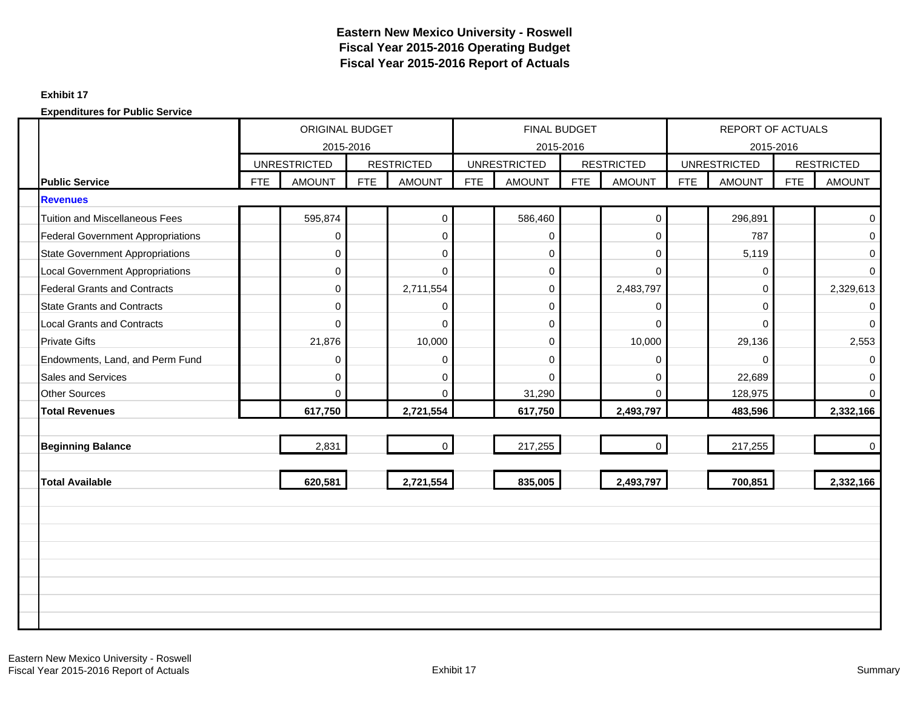### **Exhibit 17**

|                        |                                          | ORIGINAL BUDGET<br>2015-2016 |                     |            |                   |            | FINAL BUDGET                     |            |                   |            | <b>REPORT OF ACTUALS</b> |            |                   |
|------------------------|------------------------------------------|------------------------------|---------------------|------------|-------------------|------------|----------------------------------|------------|-------------------|------------|--------------------------|------------|-------------------|
|                        |                                          |                              | <b>UNRESTRICTED</b> |            | <b>RESTRICTED</b> |            | 2015-2016<br><b>UNRESTRICTED</b> |            | <b>RESTRICTED</b> |            | <b>UNRESTRICTED</b>      | 2015-2016  | <b>RESTRICTED</b> |
| <b>Public Service</b>  |                                          | <b>FTE</b>                   | <b>AMOUNT</b>       | <b>FTE</b> | <b>AMOUNT</b>     | <b>FTE</b> | <b>AMOUNT</b>                    | <b>FTE</b> | <b>AMOUNT</b>     | <b>FTE</b> | <b>AMOUNT</b>            | <b>FTE</b> | <b>AMOUNT</b>     |
| <b>Revenues</b>        |                                          |                              |                     |            |                   |            |                                  |            |                   |            |                          |            |                   |
|                        | <b>Tuition and Miscellaneous Fees</b>    |                              | 595,874             |            | $\mathbf 0$       |            | 586,460                          |            | $\mathbf{0}$      |            | 296,891                  |            | $\mathbf{0}$      |
|                        | <b>Federal Government Appropriations</b> |                              | $\mathbf 0$         |            | $\mathbf 0$       |            | 0                                |            | $\Omega$          |            | 787                      |            | 0                 |
|                        | <b>State Government Appropriations</b>   |                              | $\mathbf 0$         |            | $\mathbf 0$       |            | $\overline{0}$                   |            | 0                 |            | 5,119                    |            | 0                 |
|                        | <b>Local Government Appropriations</b>   |                              | $\mathbf 0$         |            | $\Omega$          |            | 0                                |            | $\Omega$          |            | 0                        |            | $\Omega$          |
|                        | <b>Federal Grants and Contracts</b>      |                              | $\Omega$            |            | 2,711,554         |            | $\overline{0}$                   |            | 2,483,797         |            | $\Omega$                 |            | 2,329,613         |
|                        | <b>State Grants and Contracts</b>        |                              | $\mathbf 0$         |            | $\mathbf 0$       |            | 0                                |            | 0                 |            | $\mathbf 0$              |            | 0                 |
|                        | <b>Local Grants and Contracts</b>        |                              | $\Omega$            |            | $\Omega$          |            | $\overline{0}$                   |            | $\Omega$          |            | $\Omega$                 |            | $\Omega$          |
| <b>Private Gifts</b>   |                                          |                              | 21,876              |            | 10,000            |            | $\mathbf 0$                      |            | 10,000            |            | 29,136                   |            | 2,553             |
|                        | Endowments, Land, and Perm Fund          |                              | 0                   |            | $\mathbf 0$       |            | 0                                |            | 0                 |            | $\Omega$                 |            | 0                 |
|                        | <b>Sales and Services</b>                |                              | $\mathbf 0$         |            | $\mathbf 0$       |            | $\Omega$                         |            | 0                 |            | 22,689                   |            | $\Omega$          |
| <b>Other Sources</b>   |                                          |                              | $\Omega$            |            | $\Omega$          |            | 31,290                           |            | $\Omega$          |            | 128,975                  |            | $\Omega$          |
| <b>Total Revenues</b>  |                                          |                              | 617,750             |            | 2,721,554         |            | 617,750                          |            | 2,493,797         |            | 483,596                  |            | 2,332,166         |
|                        |                                          |                              |                     |            |                   |            |                                  |            |                   |            |                          |            |                   |
|                        | <b>Beginning Balance</b>                 |                              | 2,831               |            | $\overline{0}$    |            | 217,255                          |            | $\mathbf 0$       |            | 217,255                  |            | $\overline{0}$    |
|                        |                                          |                              |                     |            |                   |            |                                  |            |                   |            |                          |            |                   |
| <b>Total Available</b> |                                          |                              | 620,581             |            | 2,721,554         |            | 835,005                          |            | 2,493,797         |            | 700,851                  |            | 2,332,166         |
|                        |                                          |                              |                     |            |                   |            |                                  |            |                   |            |                          |            |                   |
|                        |                                          |                              |                     |            |                   |            |                                  |            |                   |            |                          |            |                   |
|                        |                                          |                              |                     |            |                   |            |                                  |            |                   |            |                          |            |                   |
|                        |                                          |                              |                     |            |                   |            |                                  |            |                   |            |                          |            |                   |
|                        |                                          |                              |                     |            |                   |            |                                  |            |                   |            |                          |            |                   |
|                        |                                          |                              |                     |            |                   |            |                                  |            |                   |            |                          |            |                   |
|                        |                                          |                              |                     |            |                   |            |                                  |            |                   |            |                          |            |                   |
|                        |                                          |                              |                     |            |                   |            |                                  |            |                   |            |                          |            |                   |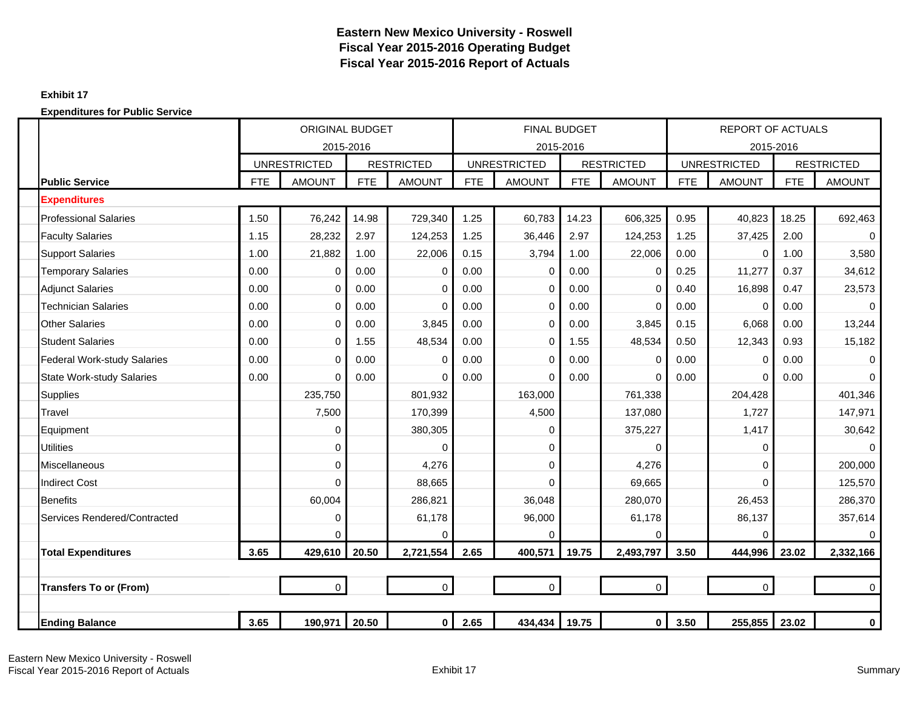### **Exhibit 17**

|                                    |            | ORIGINAL BUDGET                  |            |                   |            | <b>FINAL BUDGET</b>              |            |                   |            | <b>REPORT OF ACTUALS</b>         |            |                   |
|------------------------------------|------------|----------------------------------|------------|-------------------|------------|----------------------------------|------------|-------------------|------------|----------------------------------|------------|-------------------|
|                                    |            | 2015-2016<br><b>UNRESTRICTED</b> |            | <b>RESTRICTED</b> |            | 2015-2016<br><b>UNRESTRICTED</b> |            | <b>RESTRICTED</b> |            | 2015-2016<br><b>UNRESTRICTED</b> |            | <b>RESTRICTED</b> |
| <b>Public Service</b>              | <b>FTE</b> | <b>AMOUNT</b>                    | <b>FTE</b> | <b>AMOUNT</b>     | <b>FTE</b> | <b>AMOUNT</b>                    | <b>FTE</b> | <b>AMOUNT</b>     | <b>FTE</b> | <b>AMOUNT</b>                    | <b>FTE</b> | <b>AMOUNT</b>     |
| <b>Expenditures</b>                |            |                                  |            |                   |            |                                  |            |                   |            |                                  |            |                   |
| <b>Professional Salaries</b>       | 1.50       | 76,242                           | 14.98      | 729,340           | 1.25       | 60,783                           | 14.23      | 606,325           | 0.95       | 40,823                           | 18.25      | 692,463           |
| <b>Faculty Salaries</b>            | 1.15       | 28,232                           | 2.97       | 124,253           | 1.25       | 36,446                           | 2.97       | 124,253           | 1.25       | 37,425                           | 2.00       | $\Omega$          |
| <b>Support Salaries</b>            | 1.00       | 21,882                           | 1.00       | 22,006            | 0.15       | 3,794                            | 1.00       | 22,006            | 0.00       | 0                                | 1.00       | 3,580             |
| <b>Temporary Salaries</b>          | 0.00       | 0                                | 0.00       | 0                 | 0.00       | 0                                | 0.00       | 0                 | 0.25       | 11,277                           | 0.37       | 34,612            |
| <b>Adiunct Salaries</b>            | 0.00       | $\Omega$                         | 0.00       | $\Omega$          | 0.00       | $\Omega$                         | 0.00       | 0                 | 0.40       | 16,898                           | 0.47       | 23,573            |
| <b>Technician Salaries</b>         | 0.00       | $\Omega$                         | 0.00       | $\Omega$          | 0.00       | $\Omega$                         | 0.00       | 0                 | 0.00       | $\Omega$                         | 0.00       | $\Omega$          |
| <b>Other Salaries</b>              | 0.00       | $\Omega$                         | 0.00       | 3,845             | 0.00       | $\Omega$                         | 0.00       | 3,845             | 0.15       | 6,068                            | 0.00       | 13,244            |
| <b>Student Salaries</b>            | 0.00       | $\mathbf 0$                      | 1.55       | 48,534            | 0.00       | $\Omega$                         | 1.55       | 48,534            | 0.50       | 12,343                           | 0.93       | 15,182            |
| <b>Federal Work-study Salaries</b> | 0.00       | $\Omega$                         | 0.00       | $\Omega$          | 0.00       | $\Omega$                         | 0.00       | 0                 | 0.00       | $\Omega$                         | 0.00       | $\mathbf 0$       |
| <b>State Work-study Salaries</b>   | 0.00       | $\Omega$                         | 0.00       | $\Omega$          | 0.00       | $\Omega$                         | 0.00       | 0                 | 0.00       | $\Omega$                         | 0.00       | $\Omega$          |
| <b>Supplies</b>                    |            | 235,750                          |            | 801,932           |            | 163,000                          |            | 761,338           |            | 204,428                          |            | 401,346           |
| Travel                             |            | 7,500                            |            | 170,399           |            | 4,500                            |            | 137,080           |            | 1,727                            |            | 147,971           |
| Equipment                          |            | 0                                |            | 380,305           |            | 0                                |            | 375,227           |            | 1,417                            |            | 30,642            |
| <b>Utilities</b>                   |            | $\mathbf 0$                      |            | 0                 |            | 0                                |            | 0                 |            | 0                                |            | $\mathbf 0$       |
| <b>Miscellaneous</b>               |            | $\mathbf 0$                      |            | 4,276             |            | $\Omega$                         |            | 4,276             |            | $\Omega$                         |            | 200,000           |
| <b>Indirect Cost</b>               |            | $\Omega$                         |            | 88,665            |            | $\Omega$                         |            | 69,665            |            | $\Omega$                         |            | 125,570           |
| <b>Benefits</b>                    |            | 60,004                           |            | 286,821           |            | 36,048                           |            | 280,070           |            | 26,453                           |            | 286,370           |
| Services Rendered/Contracted       |            | $\mathbf 0$                      |            | 61,178            |            | 96,000                           |            | 61,178            |            | 86,137                           |            | 357,614           |
|                                    |            | $\Omega$                         |            | $\Omega$          |            | $\Omega$                         |            | 0                 |            | $\Omega$                         |            | $\Omega$          |
| <b>Total Expenditures</b>          | 3.65       | 429,610                          | 20.50      | 2,721,554         | 2.65       | 400,571                          | 19.75      | 2,493,797         | 3.50       | 444,996                          | 23.02      | 2,332,166         |
|                                    |            |                                  |            |                   |            |                                  |            |                   |            |                                  |            |                   |
| <b>Transfers To or (From)</b>      |            | $\overline{0}$                   |            | $\overline{0}$    |            | $\mathbf 0$                      |            | $\overline{0}$    |            | $\mathbf 0$                      |            | $\mathbf 0$       |
|                                    |            |                                  |            |                   |            |                                  |            |                   |            |                                  |            |                   |
| <b>Ending Balance</b>              | 3.65       | 190,971                          | 20.50      | $\mathbf 0$       | 2.65       | 434,434                          | 19.75      | $\mathbf 0$       | 3.50       | 255,855                          | 23.02      | $\mathbf 0$       |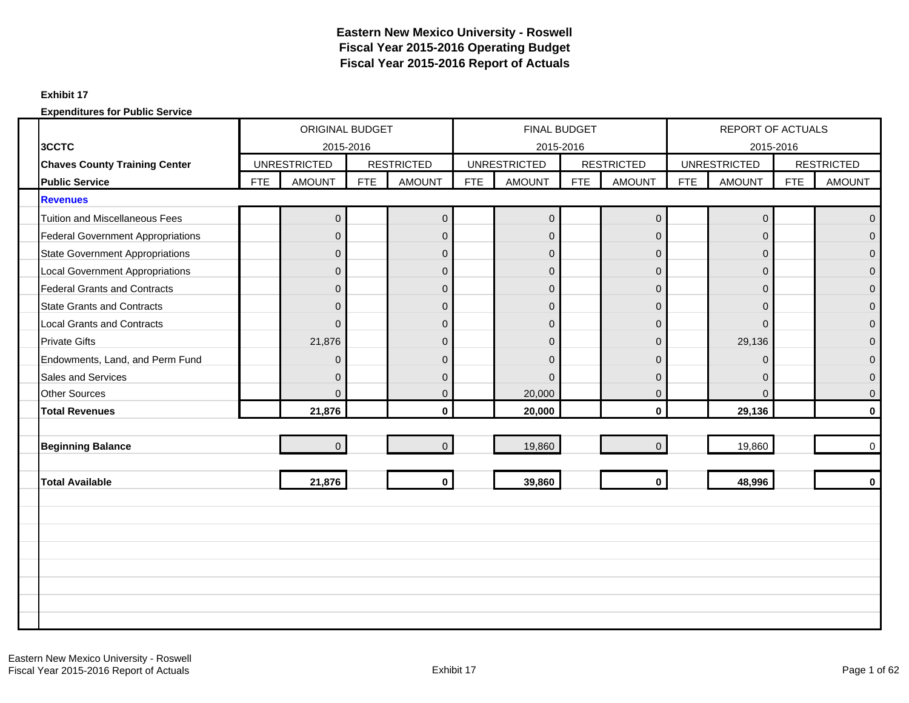### **Exhibit 17**

|                                          | ORIGINAL BUDGET<br>2015-2016 |                     |            |                   |            | <b>FINAL BUDGET</b> |            |                   |            | <b>REPORT OF ACTUALS</b> |            |                   |
|------------------------------------------|------------------------------|---------------------|------------|-------------------|------------|---------------------|------------|-------------------|------------|--------------------------|------------|-------------------|
| 3CCTC                                    |                              |                     |            |                   |            | 2015-2016           |            |                   |            | 2015-2016                |            |                   |
| <b>Chaves County Training Center</b>     |                              | <b>UNRESTRICTED</b> |            | <b>RESTRICTED</b> |            | <b>UNRESTRICTED</b> |            | <b>RESTRICTED</b> |            | <b>UNRESTRICTED</b>      |            | <b>RESTRICTED</b> |
| <b>Public Service</b>                    | <b>FTE</b>                   | <b>AMOUNT</b>       | <b>FTE</b> | <b>AMOUNT</b>     | <b>FTE</b> | <b>AMOUNT</b>       | <b>FTE</b> | <b>AMOUNT</b>     | <b>FTE</b> | <b>AMOUNT</b>            | <b>FTE</b> | <b>AMOUNT</b>     |
| <b>Revenues</b>                          |                              |                     |            |                   |            |                     |            |                   |            |                          |            |                   |
| <b>Tuition and Miscellaneous Fees</b>    |                              | 0                   |            | $\mathbf 0$       |            | $\overline{0}$      |            | $\mathbf 0$       |            | $\mathbf 0$              |            | $\overline{0}$    |
| <b>Federal Government Appropriations</b> |                              | $\Omega$            |            | $\mathbf 0$       |            | $\overline{0}$      |            | $\Omega$          |            | $\Omega$                 |            | $\Omega$          |
| <b>State Government Appropriations</b>   |                              | $\mathbf{0}$        |            | $\mathsf 0$       |            | $\mathbf 0$         |            | $\overline{0}$    |            | $\mathbf{0}$             |            | $\Omega$          |
| <b>Local Government Appropriations</b>   |                              | $\Omega$            |            | $\overline{0}$    |            | $\overline{0}$      |            | $\Omega$          |            | $\mathbf{0}$             |            | $\Omega$          |
| <b>Federal Grants and Contracts</b>      |                              | $\Omega$            |            | $\mathbf 0$       |            | $\overline{0}$      |            | $\mathbf 0$       |            | $\mathbf{0}$             |            | $\overline{0}$    |
| <b>State Grants and Contracts</b>        |                              | $\Omega$            |            | $\overline{0}$    |            | $\overline{0}$      |            | $\overline{0}$    |            | $\Omega$                 |            | $\Omega$          |
| <b>Local Grants and Contracts</b>        |                              | $\Omega$            |            | $\mathbf 0$       |            | $\overline{0}$      |            | $\Omega$          |            | $\Omega$                 |            | $\Omega$          |
| <b>Private Gifts</b>                     |                              | 21,876              |            | $\mathbf 0$       |            | $\overline{0}$      |            | $\Omega$          |            | 29,136                   |            | $\Omega$          |
| Endowments, Land, and Perm Fund          |                              | $\Omega$            |            | $\mathbf 0$       |            | $\Omega$            |            | $\Omega$          |            | $\Omega$                 |            | $\Omega$          |
| <b>Sales and Services</b>                |                              | $\Omega$            |            | $\mathbf{0}$      |            | $\Omega$            |            | $\Omega$          |            | $\mathbf{0}$             |            | $\Omega$          |
| <b>Other Sources</b>                     |                              | $\mathbf{0}$        |            | $\pmb{0}$         |            | 20,000              |            | $\mathbf 0$       |            | $\Omega$                 |            | $\mathbf{0}$      |
| <b>Total Revenues</b>                    |                              | 21,876              |            | $\mathbf{0}$      |            | 20,000              |            | $\mathbf{0}$      |            | 29,136                   |            | $\mathbf{0}$      |
|                                          |                              |                     |            |                   |            |                     |            |                   |            |                          |            |                   |
| <b>Beginning Balance</b>                 |                              | $\overline{0}$      |            | $\mathbf 0$       |            | 19,860              |            | $\Omega$          |            | 19,860                   |            | $\Omega$          |
|                                          |                              |                     |            |                   |            |                     |            |                   |            |                          |            |                   |
| <b>Total Available</b>                   |                              | 21,876              |            | $\mathbf{0}$      |            | 39,860              |            | $\mathbf{0}$      |            | 48,996                   |            | $\mathbf{0}$      |
|                                          |                              |                     |            |                   |            |                     |            |                   |            |                          |            |                   |
|                                          |                              |                     |            |                   |            |                     |            |                   |            |                          |            |                   |
|                                          |                              |                     |            |                   |            |                     |            |                   |            |                          |            |                   |
|                                          |                              |                     |            |                   |            |                     |            |                   |            |                          |            |                   |
|                                          |                              |                     |            |                   |            |                     |            |                   |            |                          |            |                   |
|                                          |                              |                     |            |                   |            |                     |            |                   |            |                          |            |                   |
|                                          |                              |                     |            |                   |            |                     |            |                   |            |                          |            |                   |
|                                          |                              |                     |            |                   |            |                     |            |                   |            |                          |            |                   |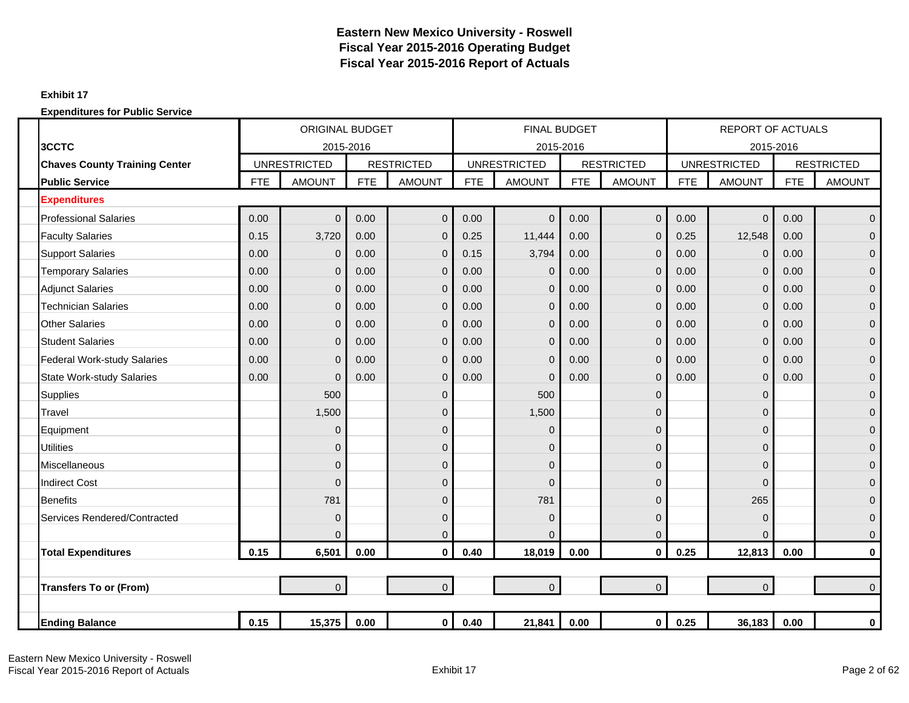### **Exhibit 17**

|                                      |            | <b>ORIGINAL BUDGET</b> |            |                   |            | <b>FINAL BUDGET</b> |            |                   |            | <b>REPORT OF ACTUALS</b> |            |                   |
|--------------------------------------|------------|------------------------|------------|-------------------|------------|---------------------|------------|-------------------|------------|--------------------------|------------|-------------------|
| 3CCTC                                |            | 2015-2016              |            |                   |            | 2015-2016           |            |                   |            | 2015-2016                |            |                   |
| <b>Chaves County Training Center</b> |            | <b>UNRESTRICTED</b>    |            | <b>RESTRICTED</b> |            | <b>UNRESTRICTED</b> |            | <b>RESTRICTED</b> |            | <b>UNRESTRICTED</b>      |            | <b>RESTRICTED</b> |
| <b>Public Service</b>                | <b>FTE</b> | <b>AMOUNT</b>          | <b>FTE</b> | <b>AMOUNT</b>     | <b>FTE</b> | <b>AMOUNT</b>       | <b>FTE</b> | <b>AMOUNT</b>     | <b>FTE</b> | <b>AMOUNT</b>            | <b>FTE</b> | <b>AMOUNT</b>     |
| <b>Expenditures</b>                  |            |                        |            |                   |            |                     |            |                   |            |                          |            |                   |
| <b>Professional Salaries</b>         | 0.00       | $\Omega$               | 0.00       | $\mathbf{0}$      | 0.00       | $\Omega$            | 0.00       | $\overline{0}$    | 0.00       | $\overline{0}$           | 0.00       | $\overline{0}$    |
| <b>Faculty Salaries</b>              | 0.15       | 3,720                  | 0.00       | $\mathbf{0}$      | 0.25       | 11,444              | 0.00       | $\overline{0}$    | 0.25       | 12,548                   | 0.00       | $\overline{0}$    |
| <b>Support Salaries</b>              | 0.00       | $\Omega$               | 0.00       | $\mathbf{0}$      | 0.15       | 3,794               | 0.00       | $\overline{0}$    | 0.00       | $\mathbf 0$              | 0.00       | $\overline{0}$    |
| <b>Temporary Salaries</b>            | 0.00       | $\mathbf{0}$           | 0.00       | $\mathbf{0}$      | 0.00       | $\overline{0}$      | 0.00       | $\overline{0}$    | 0.00       | $\mathbf 0$              | 0.00       | $\overline{0}$    |
| <b>Adjunct Salaries</b>              | 0.00       | $\Omega$               | 0.00       | $\mathbf{0}$      | 0.00       | $\overline{0}$      | 0.00       | $\overline{0}$    | 0.00       | $\overline{0}$           | 0.00       | $\overline{0}$    |
| <b>Technician Salaries</b>           | 0.00       | $\Omega$               | 0.00       | $\mathbf 0$       | 0.00       | $\Omega$            | 0.00       | 0                 | 0.00       | $\mathbf 0$              | 0.00       | $\mathbf 0$       |
| <b>Other Salaries</b>                | 0.00       | $\Omega$               | 0.00       | $\mathbf{0}$      | 0.00       | $\Omega$            | 0.00       | $\overline{0}$    | 0.00       | $\mathbf 0$              | 0.00       | $\mathbf{0}$      |
| <b>Student Salaries</b>              | 0.00       | $\Omega$               | 0.00       | $\mathbf{0}$      | 0.00       | $\Omega$            | 0.00       | $\overline{0}$    | 0.00       | $\overline{0}$           | 0.00       | $\overline{0}$    |
| <b>Federal Work-study Salaries</b>   | 0.00       | $\Omega$               | 0.00       | $\mathbf{0}$      | 0.00       | $\Omega$            | 0.00       | $\overline{0}$    | 0.00       | $\mathbf 0$              | 0.00       | $\overline{0}$    |
| <b>State Work-study Salaries</b>     | 0.00       | $\mathbf 0$            | 0.00       | $\mathbf 0$       | 0.00       | $\Omega$            | 0.00       | $\overline{0}$    | 0.00       | $\pmb{0}$                | 0.00       | $\overline{0}$    |
| <b>Supplies</b>                      |            | 500                    |            | $\mathbf 0$       |            | 500                 |            | $\mathbf{0}$      |            | $\mathbf 0$              |            | $\overline{0}$    |
| Travel                               |            | 1,500                  |            | $\mathbf 0$       |            | 1,500               |            | 0                 |            | $\mathbf 0$              |            | $\mathbf 0$       |
| Equipment                            |            | $\Omega$               |            | $\mathbf{0}$      |            | $\Omega$            |            | $\Omega$          |            | $\Omega$                 |            | $\mathbf{0}$      |
| <b>Utilities</b>                     |            | $\Omega$               |            | $\mathbf{0}$      |            | $\Omega$            |            | $\Omega$          |            | $\mathbf{0}$             |            | $\overline{0}$    |
| Miscellaneous                        |            | 0                      |            | $\mathbf{0}$      |            | $\Omega$            |            | 0                 |            | $\overline{0}$           |            | $\mathbf 0$       |
| <b>Indirect Cost</b>                 |            | $\Omega$               |            | $\mathbf{0}$      |            | $\Omega$            |            | 0                 |            | $\overline{0}$           |            | $\overline{0}$    |
| <b>Benefits</b>                      |            | 781                    |            | $\mathbf 0$       |            | 781                 |            | $\overline{0}$    |            | 265                      |            | $\overline{0}$    |
| Services Rendered/Contracted         |            | $\mathbf 0$            |            | $\mathbf 0$       |            | $\mathbf{0}$        |            | $\mathbf{0}$      |            | $\mathbf 0$              |            | $\overline{0}$    |
|                                      |            | $\Omega$               |            | $\pmb{0}$         |            | $\Omega$            |            | $\overline{0}$    |            | $\Omega$                 |            | $\mathbf 0$       |
| <b>Total Expenditures</b>            | 0.15       | 6,501                  | 0.00       | $\mathbf{0}$      | 0.40       | 18,019              | 0.00       | $\mathbf{0}$      | 0.25       | 12,813                   | 0.00       | $\mathbf 0$       |
|                                      |            |                        |            |                   |            |                     |            |                   |            |                          |            |                   |
| <b>Transfers To or (From)</b>        |            | $\Omega$               |            | $\overline{0}$    |            | $\overline{0}$      |            | $\overline{0}$    |            | $\overline{0}$           |            | $\overline{0}$    |
|                                      |            |                        |            |                   |            |                     |            |                   |            |                          |            |                   |
| <b>Ending Balance</b>                | 0.15       | 15,375                 | 0.00       | $\overline{0}$    | 0.40       | 21,841              | 0.00       | 0                 | 0.25       | 36,183                   | 0.00       | 0                 |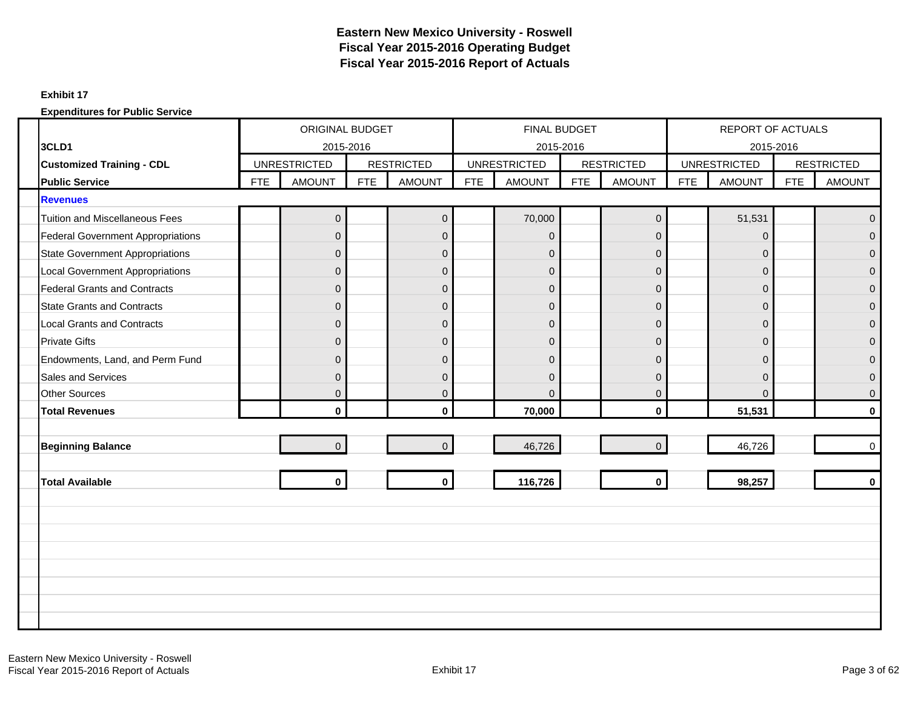#### **Exhibit 17**

|                                          | ORIGINAL BUDGET<br>2015-2016 |                     |            |                   |            | <b>FINAL BUDGET</b> |            |                   |            | <b>REPORT OF ACTUALS</b> |            |                   |
|------------------------------------------|------------------------------|---------------------|------------|-------------------|------------|---------------------|------------|-------------------|------------|--------------------------|------------|-------------------|
| 3CLD1                                    |                              |                     |            |                   |            | 2015-2016           |            |                   |            | 2015-2016                |            |                   |
| <b>Customized Training - CDL</b>         |                              | <b>UNRESTRICTED</b> |            | <b>RESTRICTED</b> |            | <b>UNRESTRICTED</b> |            | <b>RESTRICTED</b> |            | <b>UNRESTRICTED</b>      |            | <b>RESTRICTED</b> |
| <b>Public Service</b>                    | <b>FTE</b>                   | <b>AMOUNT</b>       | <b>FTE</b> | <b>AMOUNT</b>     | <b>FTE</b> | <b>AMOUNT</b>       | <b>FTE</b> | <b>AMOUNT</b>     | <b>FTE</b> | <b>AMOUNT</b>            | <b>FTE</b> | <b>AMOUNT</b>     |
| <b>Revenues</b>                          |                              |                     |            |                   |            |                     |            |                   |            |                          |            |                   |
| <b>Tuition and Miscellaneous Fees</b>    |                              | $\overline{0}$      |            | $\mathbf 0$       |            | 70,000              |            | $\mathbf 0$       |            | 51,531                   |            | $\overline{0}$    |
| <b>Federal Government Appropriations</b> |                              | $\Omega$            |            | $\mathbf 0$       |            | $\overline{0}$      |            | $\Omega$          |            | $\Omega$                 |            | $\Omega$          |
| <b>State Government Appropriations</b>   |                              | $\overline{0}$      |            | $\pmb{0}$         |            | $\overline{0}$      |            | $\overline{0}$    |            | $\mathbf{0}$             |            | $\Omega$          |
| <b>Local Government Appropriations</b>   |                              | $\Omega$            |            | $\overline{0}$    |            | $\overline{0}$      |            | $\Omega$          |            | $\mathbf{0}$             |            | $\Omega$          |
| <b>Federal Grants and Contracts</b>      |                              | $\Omega$            |            | $\mathbf 0$       |            | $\overline{0}$      |            | $\mathbf 0$       |            | $\mathbf{0}$             |            | $\overline{0}$    |
| <b>State Grants and Contracts</b>        |                              | $\Omega$            |            | $\overline{0}$    |            | $\overline{0}$      |            | $\overline{0}$    |            | $\mathbf{0}$             |            | $\Omega$          |
| <b>Local Grants and Contracts</b>        |                              | $\Omega$            |            | $\pmb{0}$         |            | $\overline{0}$      |            | $\mathbf{0}$      |            | $\mathbf{0}$             |            | $\Omega$          |
| <b>Private Gifts</b>                     |                              | $\Omega$            |            | $\mathbf 0$       |            | $\overline{0}$      |            | $\Omega$          |            | $\Omega$                 |            | $\Omega$          |
| Endowments, Land, and Perm Fund          |                              | O                   |            | $\mathbf 0$       |            | $\Omega$            |            | $\Omega$          |            | 0                        |            | $\Omega$          |
| Sales and Services                       |                              | $\Omega$            |            | $\overline{0}$    |            | $\Omega$            |            | $\Omega$          |            | $\mathbf{0}$             |            | $\Omega$          |
| <b>Other Sources</b>                     |                              | $\overline{0}$      |            | $\pmb{0}$         |            | $\Omega$            |            | $\mathbf{0}$      |            | $\Omega$                 |            | $\mathbf{0}$      |
| <b>Total Revenues</b>                    |                              | $\mathbf{0}$        |            | $\bf{0}$          |            | 70,000              |            | $\mathbf{0}$      |            | 51,531                   |            | $\mathbf{0}$      |
|                                          |                              |                     |            |                   |            |                     |            |                   |            |                          |            |                   |
| <b>Beginning Balance</b>                 |                              | $\Omega$            |            | $\mathbf 0$       |            | 46,726              |            | $\Omega$          |            | 46,726                   |            | $\Omega$          |
|                                          |                              |                     |            |                   |            |                     |            |                   |            |                          |            |                   |
| <b>Total Available</b>                   |                              | $\mathbf{0}$        |            | $\mathbf{0}$      |            | 116,726             |            | $\mathbf{0}$      |            | 98,257                   |            | $\mathbf{0}$      |
|                                          |                              |                     |            |                   |            |                     |            |                   |            |                          |            |                   |
|                                          |                              |                     |            |                   |            |                     |            |                   |            |                          |            |                   |
|                                          |                              |                     |            |                   |            |                     |            |                   |            |                          |            |                   |
|                                          |                              |                     |            |                   |            |                     |            |                   |            |                          |            |                   |
|                                          |                              |                     |            |                   |            |                     |            |                   |            |                          |            |                   |
|                                          |                              |                     |            |                   |            |                     |            |                   |            |                          |            |                   |
|                                          |                              |                     |            |                   |            |                     |            |                   |            |                          |            |                   |
|                                          |                              |                     |            |                   |            |                     |            |                   |            |                          |            |                   |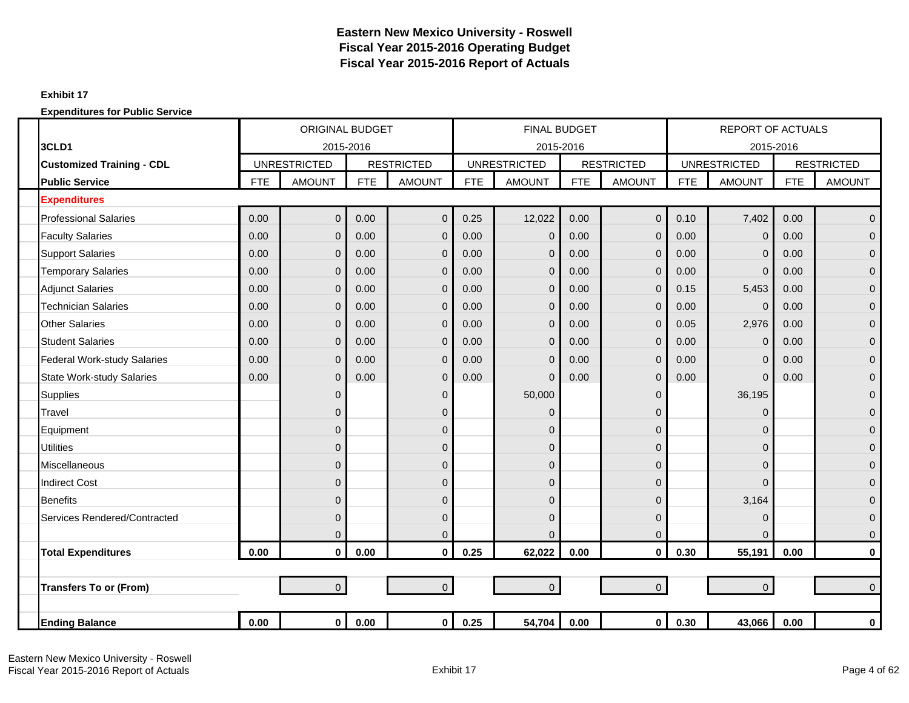### **Exhibit 17**

|                                    | <b>ORIGINAL BUDGET</b><br>2015-2016<br><b>UNRESTRICTED</b> |                |            |                   |            | <b>FINAL BUDGET</b> |            |                   |            | <b>REPORT OF ACTUALS</b> |            |                   |
|------------------------------------|------------------------------------------------------------|----------------|------------|-------------------|------------|---------------------|------------|-------------------|------------|--------------------------|------------|-------------------|
| 3CLD1                              |                                                            |                |            |                   |            | 2015-2016           |            |                   |            | 2015-2016                |            |                   |
| <b>Customized Training - CDL</b>   |                                                            |                |            | <b>RESTRICTED</b> |            | <b>UNRESTRICTED</b> |            | <b>RESTRICTED</b> |            | <b>UNRESTRICTED</b>      |            | <b>RESTRICTED</b> |
| <b>Public Service</b>              | <b>FTE</b>                                                 | <b>AMOUNT</b>  | <b>FTE</b> | <b>AMOUNT</b>     | <b>FTE</b> | <b>AMOUNT</b>       | <b>FTE</b> | <b>AMOUNT</b>     | <b>FTE</b> | <b>AMOUNT</b>            | <b>FTE</b> | <b>AMOUNT</b>     |
| <b>Expenditures</b>                |                                                            |                |            |                   |            |                     |            |                   |            |                          |            |                   |
| <b>Professional Salaries</b>       | 0.00                                                       | $\overline{0}$ | 0.00       | $\pmb{0}$         | 0.25       | 12,022              | 0.00       | $\mathbf 0$       | 0.10       | 7,402                    | 0.00       | $\mathbf{0}$      |
| <b>Faculty Salaries</b>            | 0.00                                                       | $\Omega$       | 0.00       | $\mathbf{0}$      | 0.00       | $\Omega$            | 0.00       | $\overline{0}$    | 0.00       | $\mathbf 0$              | 0.00       | $\overline{0}$    |
| <b>Support Salaries</b>            | 0.00                                                       | $\Omega$       | 0.00       | $\mathbf{0}$      | 0.00       | $\Omega$            | 0.00       | $\overline{0}$    | 0.00       | $\overline{0}$           | 0.00       | $\mathbf{0}$      |
| <b>Temporary Salaries</b>          | 0.00                                                       | $\mathbf{0}$   | 0.00       | $\mathbf 0$       | 0.00       | $\overline{0}$      | 0.00       | $\overline{0}$    | 0.00       | $\overline{0}$           | 0.00       | $\mathbf{0}$      |
| <b>Adjunct Salaries</b>            | 0.00                                                       | $\Omega$       | 0.00       | $\mathbf{0}$      | 0.00       | $\Omega$            | 0.00       | $\Omega$          | 0.15       | 5,453                    | 0.00       | $\overline{0}$    |
| Technician Salaries                | 0.00                                                       | $\Omega$       | 0.00       | $\mathbf 0$       | 0.00       | $\Omega$            | 0.00       | $\overline{0}$    | 0.00       | $\Omega$                 | 0.00       | $\mathbf{0}$      |
| <b>Other Salaries</b>              | 0.00                                                       | $\mathbf{0}$   | 0.00       | $\mathbf 0$       | 0.00       | $\overline{0}$      | 0.00       | $\overline{0}$    | 0.05       | 2,976                    | 0.00       | $\overline{0}$    |
| <b>Student Salaries</b>            | 0.00                                                       | $\mathbf 0$    | 0.00       | $\mathbf 0$       | 0.00       | $\overline{0}$      | 0.00       | $\mathbf 0$       | 0.00       | $\mathbf 0$              | 0.00       | $\mathbf{0}$      |
| <b>Federal Work-study Salaries</b> | 0.00                                                       | $\Omega$       | 0.00       | $\mathbf{0}$      | 0.00       | $\Omega$            | 0.00       | $\overline{0}$    | 0.00       | $\overline{0}$           | 0.00       | $\overline{0}$    |
| <b>State Work-study Salaries</b>   | 0.00                                                       | $\Omega$       | 0.00       | $\mathbf{0}$      | 0.00       | $\Omega$            | 0.00       | $\overline{0}$    | 0.00       | $\mathbf{0}$             | 0.00       | $\mathbf{0}$      |
| <b>Supplies</b>                    |                                                            | $\Omega$       |            | 0                 |            | 50,000              |            | $\Omega$          |            | 36,195                   |            | $\mathbf{0}$      |
| Travel                             |                                                            | $\Omega$       |            | $\mathbf{0}$      |            | $\Omega$            |            | $\Omega$          |            | $\Omega$                 |            | $\overline{0}$    |
| Equipment                          |                                                            | 0              |            | $\mathbf{0}$      |            | 0                   |            | 0                 |            | $\mathbf 0$              |            | $\mathbf 0$       |
| <b>Utilities</b>                   |                                                            | $\mathbf{0}$   |            | $\mathbf 0$       |            | $\mathbf{0}$        |            | 0                 |            | $\mathbf{0}$             |            | $\overline{0}$    |
| <b>Miscellaneous</b>               |                                                            | $\Omega$       |            | $\mathbf{0}$      |            | $\mathbf{0}$        |            | $\Omega$          |            | $\mathbf{0}$             |            | $\overline{0}$    |
| <b>Indirect Cost</b>               |                                                            | $\Omega$       |            | $\mathbf{0}$      |            | 0                   |            | $\Omega$          |            | $\Omega$                 |            | $\overline{0}$    |
| <b>Benefits</b>                    |                                                            | $\Omega$       |            | $\mathbf{0}$      |            | $\mathbf{0}$        |            | $\Omega$          |            | 3,164                    |            | $\mathbf{0}$      |
| Services Rendered/Contracted       |                                                            | $\Omega$       |            | $\mathbf{0}$      |            | $\Omega$            |            | $\Omega$          |            | $\mathbf 0$              |            | $\mathbf{0}$      |
|                                    |                                                            | $\Omega$       |            | $\mathbf{0}$      |            | $\Omega$            |            | $\Omega$          |            | $\Omega$                 |            | $\overline{0}$    |
| <b>Total Expenditures</b>          | 0.00                                                       | $\mathbf 0$    | 0.00       | $\mathbf 0$       | 0.25       | 62,022              | 0.00       | $\mathbf 0$       | 0.30       | 55,191                   | 0.00       | 0                 |
|                                    |                                                            |                |            |                   |            |                     |            |                   |            |                          |            |                   |
| <b>Transfers To or (From)</b>      |                                                            | $\overline{0}$ |            | $\Omega$          |            | $\Omega$            |            | $\overline{0}$    |            | $\mathbf{0}$             |            | $\Omega$          |
|                                    |                                                            |                |            |                   |            |                     |            |                   |            |                          |            |                   |
| <b>Ending Balance</b>              | 0.00                                                       | $\mathbf 0$    | 0.00       | $\overline{0}$    | 0.25       | 54,704              | 0.00       | 0                 | 0.30       | 43,066                   | 0.00       | 0                 |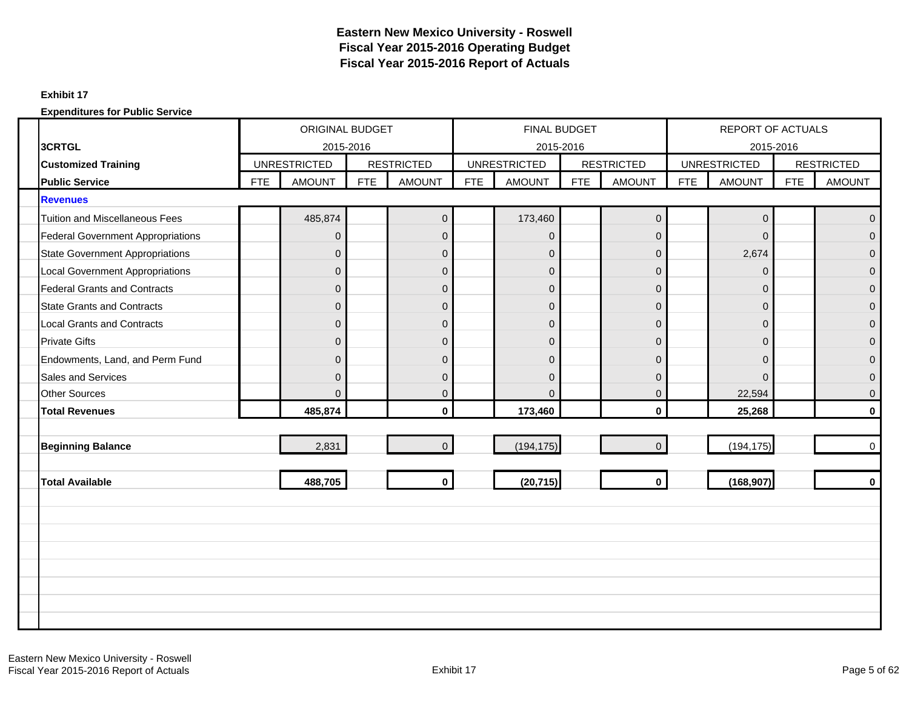#### **Exhibit 17**

|                                          | ORIGINAL BUDGET<br>2015-2016<br><b>UNRESTRICTED</b> |               |            |                   |            | <b>FINAL BUDGET</b> |            |                     |            | <b>REPORT OF ACTUALS</b> |            |                   |
|------------------------------------------|-----------------------------------------------------|---------------|------------|-------------------|------------|---------------------|------------|---------------------|------------|--------------------------|------------|-------------------|
| 3CRTGL                                   |                                                     |               |            |                   |            | 2015-2016           |            |                     |            | 2015-2016                |            |                   |
| <b>Customized Training</b>               |                                                     |               |            | <b>RESTRICTED</b> |            | <b>UNRESTRICTED</b> |            | <b>RESTRICTED</b>   |            | <b>UNRESTRICTED</b>      |            | <b>RESTRICTED</b> |
| <b>Public Service</b>                    | <b>FTE</b>                                          | <b>AMOUNT</b> | <b>FTE</b> | <b>AMOUNT</b>     | <b>FTE</b> | <b>AMOUNT</b>       | <b>FTE</b> | <b>AMOUNT</b>       | <b>FTE</b> | <b>AMOUNT</b>            | <b>FTE</b> | <b>AMOUNT</b>     |
| <b>Revenues</b>                          |                                                     |               |            |                   |            |                     |            |                     |            |                          |            |                   |
| <b>Tuition and Miscellaneous Fees</b>    |                                                     | 485,874       |            | $\mathbf 0$       |            | 173,460             |            | $\mathsf{O}\xspace$ |            | $\pmb{0}$                |            | $\Omega$          |
| <b>Federal Government Appropriations</b> |                                                     | $\Omega$      |            | $\mathbf 0$       |            | $\Omega$            |            | $\Omega$            |            | $\Omega$                 |            | $\Omega$          |
| <b>State Government Appropriations</b>   |                                                     | $\mathbf{0}$  |            | $\pmb{0}$         |            | $\overline{0}$      |            | $\overline{0}$      |            | 2,674                    |            | $\Omega$          |
| <b>Local Government Appropriations</b>   |                                                     | 0             |            | $\pmb{0}$         |            | $\overline{0}$      |            | $\mathbf 0$         |            | $\mathbf 0$              |            | $\mathbf{0}$      |
| <b>Federal Grants and Contracts</b>      |                                                     | $\Omega$      |            | $\pmb{0}$         |            | $\overline{0}$      |            | $\Omega$            |            | $\Omega$                 |            | $\overline{0}$    |
| <b>State Grants and Contracts</b>        |                                                     | $\mathbf{0}$  |            | $\pmb{0}$         |            | $\overline{0}$      |            | $\mathbf 0$         |            | $\mathbf{0}$             |            | $\mathbf{0}$      |
| <b>Local Grants and Contracts</b>        |                                                     | $\Omega$      |            | $\mathbf 0$       |            | $\overline{0}$      |            | $\Omega$            |            | $\mathbf{0}$             |            | $\Omega$          |
| <b>Private Gifts</b>                     |                                                     | $\Omega$      |            | $\mathbf 0$       |            | $\overline{0}$      |            | $\mathbf 0$         |            | $\mathbf{0}$             |            | $\Omega$          |
| Endowments, Land, and Perm Fund          |                                                     | $\Omega$      |            | $\overline{0}$    |            | $\Omega$            |            | $\Omega$            |            | $\Omega$                 |            | $\Omega$          |
| Sales and Services                       |                                                     | $\Omega$      |            | $\pmb{0}$         |            | $\overline{0}$      |            | $\Omega$            |            | $\Omega$                 |            | $\overline{0}$    |
| <b>Other Sources</b>                     |                                                     | $\Omega$      |            | $\overline{0}$    |            | $\Omega$            |            | $\Omega$            |            | 22,594                   |            | $\Omega$          |
| <b>Total Revenues</b>                    |                                                     | 485,874       |            | $\mathbf 0$       |            | 173,460             |            | $\mathbf{0}$        |            | 25,268                   |            | $\mathbf{0}$      |
|                                          |                                                     |               |            |                   |            |                     |            |                     |            |                          |            |                   |
| <b>Beginning Balance</b>                 |                                                     | 2,831         |            | $\mathbf 0$       |            | (194, 175)          |            | $\Omega$            |            | (194, 175)               |            | $\mathbf 0$       |
|                                          |                                                     |               |            |                   |            |                     |            |                     |            |                          |            |                   |
| <b>Total Available</b>                   |                                                     | 488,705       |            | $\mathbf{0}$      |            | (20, 715)           |            | $\mathbf 0$         |            | (168, 907)               |            | $\mathbf{0}$      |
|                                          |                                                     |               |            |                   |            |                     |            |                     |            |                          |            |                   |
|                                          |                                                     |               |            |                   |            |                     |            |                     |            |                          |            |                   |
|                                          |                                                     |               |            |                   |            |                     |            |                     |            |                          |            |                   |
|                                          |                                                     |               |            |                   |            |                     |            |                     |            |                          |            |                   |
|                                          |                                                     |               |            |                   |            |                     |            |                     |            |                          |            |                   |
|                                          |                                                     |               |            |                   |            |                     |            |                     |            |                          |            |                   |
|                                          |                                                     |               |            |                   |            |                     |            |                     |            |                          |            |                   |
|                                          |                                                     |               |            |                   |            |                     |            |                     |            |                          |            |                   |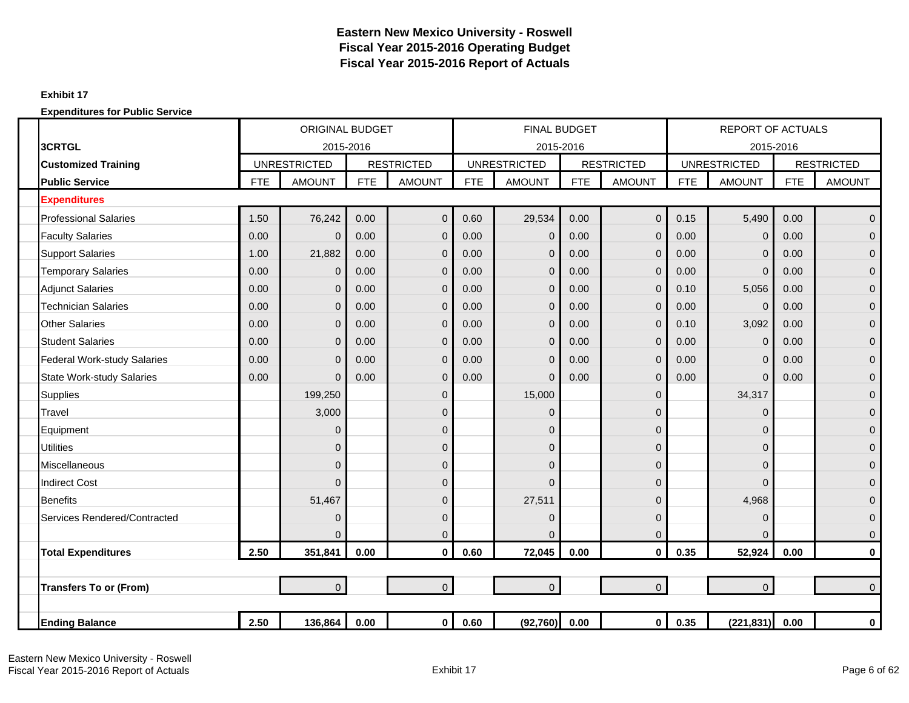### **Exhibit 17**

|                                    |            | <b>ORIGINAL BUDGET</b> |            |                   |            | <b>FINAL BUDGET</b> |            |                   |            | <b>REPORT OF ACTUALS</b> |            |                   |
|------------------------------------|------------|------------------------|------------|-------------------|------------|---------------------|------------|-------------------|------------|--------------------------|------------|-------------------|
| 3CRTGL                             |            | 2015-2016              |            |                   |            | 2015-2016           |            |                   |            | 2015-2016                |            |                   |
| <b>Customized Training</b>         |            | <b>UNRESTRICTED</b>    |            | <b>RESTRICTED</b> |            | <b>UNRESTRICTED</b> |            | <b>RESTRICTED</b> |            | <b>UNRESTRICTED</b>      |            | <b>RESTRICTED</b> |
| <b>Public Service</b>              | <b>FTE</b> | <b>AMOUNT</b>          | <b>FTE</b> | <b>AMOUNT</b>     | <b>FTE</b> | <b>AMOUNT</b>       | <b>FTE</b> | <b>AMOUNT</b>     | <b>FTE</b> | <b>AMOUNT</b>            | <b>FTE</b> | <b>AMOUNT</b>     |
| <b>Expenditures</b>                |            |                        |            |                   |            |                     |            |                   |            |                          |            |                   |
| <b>Professional Salaries</b>       | 1.50       | 76,242                 | 0.00       | $\overline{0}$    | 0.60       | 29,534              | 0.00       | $\overline{0}$    | 0.15       | 5,490                    | 0.00       | $\mathbf 0$       |
| <b>Faculty Salaries</b>            | 0.00       | $\mathbf{0}$           | 0.00       | $\overline{0}$    | 0.00       | $\mathbf 0$         | 0.00       | $\mathbf{0}$      | 0.00       | $\mathbf 0$              | 0.00       | $\mathbf 0$       |
| <b>Support Salaries</b>            | 1.00       | 21,882                 | 0.00       | $\overline{0}$    | 0.00       | 0                   | 0.00       | $\mathbf{0}$      | 0.00       | $\Omega$                 | 0.00       | $\mathbf 0$       |
| <b>Temporary Salaries</b>          | 0.00       | $\mathbf 0$            | 0.00       | $\overline{0}$    | 0.00       | $\overline{0}$      | 0.00       | $\overline{0}$    | 0.00       | $\mathbf 0$              | 0.00       | $\overline{0}$    |
| <b>Adjunct Salaries</b>            | 0.00       | $\mathbf 0$            | 0.00       | $\overline{0}$    | 0.00       | 0                   | 0.00       | $\mathbf{0}$      | 0.10       | 5,056                    | 0.00       | $\mathbf 0$       |
| <b>Technician Salaries</b>         | 0.00       | $\mathbf 0$            | 0.00       | $\overline{0}$    | 0.00       | 0                   | 0.00       | $\mathbf{0}$      | 0.00       | $\mathbf 0$              | 0.00       | $\mathbf 0$       |
| <b>Other Salaries</b>              | 0.00       | $\overline{0}$         | 0.00       | $\Omega$          | 0.00       | 0                   | 0.00       | $\Omega$          | 0.10       | 3,092                    | 0.00       | $\overline{0}$    |
| <b>Student Salaries</b>            | 0.00       | $\overline{0}$         | 0.00       | $\overline{0}$    | 0.00       | 0                   | 0.00       | $\mathbf{0}$      | 0.00       | $\mathbf 0$              | 0.00       | $\mathbf 0$       |
| <b>Federal Work-study Salaries</b> | 0.00       | $\overline{0}$         | 0.00       | $\overline{0}$    | 0.00       | 0                   | 0.00       | $\mathbf{0}$      | 0.00       | $\mathbf 0$              | 0.00       | $\mathbf 0$       |
| <b>State Work-study Salaries</b>   | 0.00       | $\overline{0}$         | 0.00       | $\overline{0}$    | 0.00       | $\Omega$            | 0.00       | $\mathbf{0}$      | 0.00       | $\Omega$                 | 0.00       | $\mathbf 0$       |
| <b>Supplies</b>                    |            | 199,250                |            | $\mathbf 0$       |            | 15,000              |            | $\mathbf{0}$      |            | 34,317                   |            | $\overline{0}$    |
| Travel                             |            | 3,000                  |            | $\overline{0}$    |            | 0                   |            | $\Omega$          |            | $\Omega$                 |            | $\mathbf 0$       |
| Equipment                          |            | $\mathbf 0$            |            | $\mathbf 0$       |            | 0                   |            | $\Omega$          |            | 0                        |            | $\mathbf 0$       |
| <b>Utilities</b>                   |            | $\overline{0}$         |            | $\overline{0}$    |            | 0                   |            | $\Omega$          |            | $\Omega$                 |            | $\overline{0}$    |
| <b>Miscellaneous</b>               |            | $\mathbf 0$            |            | $\overline{0}$    |            | 0                   |            | $\Omega$          |            | $\mathbf 0$              |            | $\mathbf{0}$      |
| <b>Indirect Cost</b>               |            | $\overline{0}$         |            | $\mathbf 0$       |            | 0                   |            | $\mathbf{0}$      |            | $\Omega$                 |            | $\mathbf 0$       |
| <b>Benefits</b>                    |            | 51,467                 |            | $\mathbf 0$       |            | 27,511              |            | $\mathbf{0}$      |            | 4,968                    |            | $\mathbf 0$       |
| Services Rendered/Contracted       |            | $\mathbf{0}$           |            | $\boldsymbol{0}$  |            | 0                   |            | $\Omega$          |            | $\mathbf 0$              |            | $\overline{0}$    |
|                                    |            | $\mathbf{0}$           |            | $\mathbf 0$       |            | $\Omega$            |            | $\mathbf{0}$      |            | $\Omega$                 |            | $\mathbf 0$       |
| <b>Total Expenditures</b>          | 2.50       | 351,841                | 0.00       | $\mathbf 0$       | 0.60       | 72,045              | 0.00       | $\mathbf{0}$      | 0.35       | 52,924                   | 0.00       | $\pmb{0}$         |
|                                    |            |                        |            |                   |            |                     |            |                   |            |                          |            |                   |
| <b>Transfers To or (From)</b>      |            | $\overline{0}$         |            | $\overline{0}$    |            | $\overline{0}$      |            | $\overline{0}$    |            | $\overline{0}$           |            | $\Omega$          |
|                                    |            |                        |            |                   |            |                     |            |                   |            |                          |            |                   |
| <b>Ending Balance</b>              | 2.50       | 136,864                | 0.00       | $\mathbf 0$       | 0.60       | (92, 760)           | 0.00       | $\mathbf 0$       | 0.35       | (221, 831)               | 0.00       | $\bf{0}$          |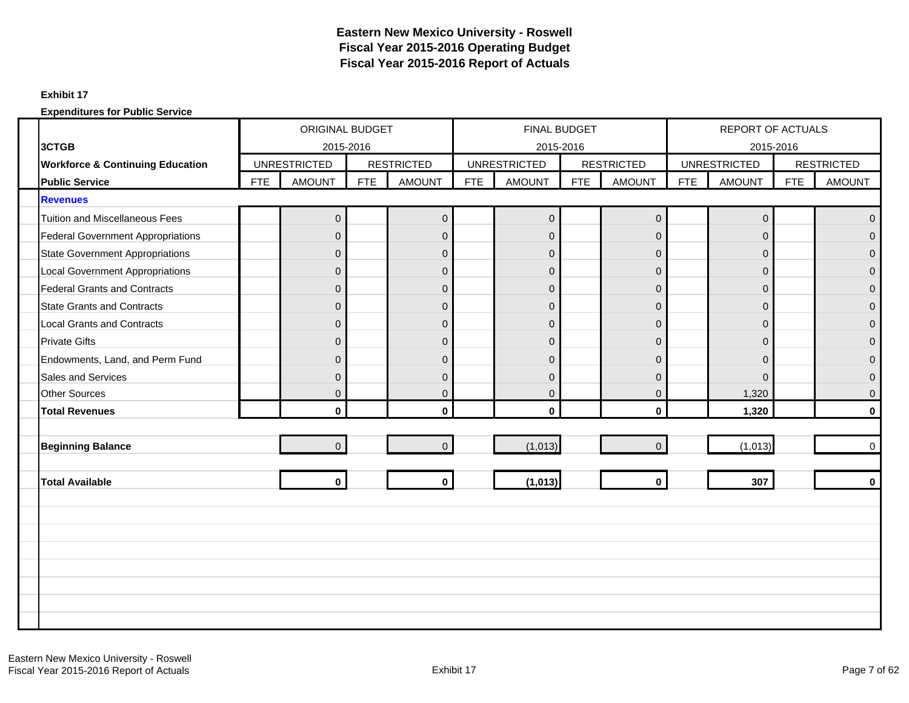### **Exhibit 17**

|                                             |            |                     |            |                   |            | <b>FINAL BUDGET</b> |            |                   |            | <b>REPORT OF ACTUALS</b> |            |                   |
|---------------------------------------------|------------|---------------------|------------|-------------------|------------|---------------------|------------|-------------------|------------|--------------------------|------------|-------------------|
| 3CTGB                                       |            | 2015-2016           |            |                   |            | 2015-2016           |            |                   |            | 2015-2016                |            |                   |
| <b>Workforce &amp; Continuing Education</b> |            | <b>UNRESTRICTED</b> |            | <b>RESTRICTED</b> |            | <b>UNRESTRICTED</b> |            | <b>RESTRICTED</b> |            | <b>UNRESTRICTED</b>      |            | <b>RESTRICTED</b> |
| <b>Public Service</b>                       | <b>FTE</b> | <b>AMOUNT</b>       | <b>FTE</b> | <b>AMOUNT</b>     | <b>FTE</b> | <b>AMOUNT</b>       | <b>FTE</b> | <b>AMOUNT</b>     | <b>FTE</b> | <b>AMOUNT</b>            | <b>FTE</b> | <b>AMOUNT</b>     |
| <b>Revenues</b>                             |            |                     |            |                   |            |                     |            |                   |            |                          |            |                   |
| <b>Tuition and Miscellaneous Fees</b>       |            | $\overline{0}$      |            | $\mathbf 0$       |            | $\overline{0}$      |            | $\mathbf 0$       |            | $\pmb{0}$                |            | $\overline{0}$    |
| <b>Federal Government Appropriations</b>    |            | $\Omega$            |            | $\mathbf 0$       |            | $\overline{0}$      |            | $\Omega$          |            | $\Omega$                 |            | $\Omega$          |
| <b>State Government Appropriations</b>      |            | $\overline{0}$      |            | $\pmb{0}$         |            | $\overline{0}$      |            | $\overline{0}$    |            | $\mathbf 0$              |            | $\Omega$          |
| <b>Local Government Appropriations</b>      |            | $\Omega$            |            | $\overline{0}$    |            | $\overline{0}$      |            | $\Omega$          |            | $\mathbf{0}$             |            | $\Omega$          |
| <b>Federal Grants and Contracts</b>         |            | $\Omega$            |            | $\mathbf 0$       |            | $\overline{0}$      |            | $\mathbf 0$       |            | $\mathbf{0}$             |            | $\overline{0}$    |
| <b>State Grants and Contracts</b>           |            | $\Omega$            |            | $\overline{0}$    |            | $\overline{0}$      |            | $\overline{0}$    |            | $\mathbf{0}$             |            | $\Omega$          |
| <b>Local Grants and Contracts</b>           |            | $\Omega$            |            | $\pmb{0}$         |            | $\overline{0}$      |            | $\mathbf{0}$      |            | $\mathbf{0}$             |            | $\Omega$          |
| <b>Private Gifts</b>                        |            | $\Omega$            |            | $\mathbf 0$       |            | $\overline{0}$      |            | $\Omega$          |            | $\Omega$                 |            | $\Omega$          |
| Endowments, Land, and Perm Fund             |            | O                   |            | $\mathbf 0$       |            | $\overline{0}$      |            | $\Omega$          |            | $\mathbf{0}$             |            | $\Omega$          |
| Sales and Services                          |            | $\Omega$            |            | $\pmb{0}$         |            | $\Omega$            |            | $\Omega$          |            | $\Omega$                 |            | $\Omega$          |
| <b>Other Sources</b>                        |            | $\overline{0}$      |            | $\pmb{0}$         |            | $\overline{0}$      |            | $\mathbf{0}$      |            | 1,320                    |            | $\mathbf{0}$      |
| <b>Total Revenues</b>                       |            | $\mathbf{0}$        |            | $\mathbf 0$       |            | $\mathbf{0}$        |            | $\mathbf{0}$      |            | 1,320                    |            | $\mathbf{0}$      |
|                                             |            |                     |            |                   |            |                     |            |                   |            |                          |            |                   |
| <b>Beginning Balance</b>                    |            | $\overline{0}$      |            | $\mathbf 0$       |            | (1,013)             |            | $\Omega$          |            | (1,013)                  |            | $\Omega$          |
|                                             |            |                     |            |                   |            |                     |            |                   |            |                          |            |                   |
| <b>Total Available</b>                      |            | $\mathbf{0}$        |            | $\mathbf{0}$      |            | (1,013)             |            | $\mathbf{0}$      |            | 307                      |            | $\mathbf{0}$      |
|                                             |            |                     |            |                   |            |                     |            |                   |            |                          |            |                   |
|                                             |            |                     |            |                   |            |                     |            |                   |            |                          |            |                   |
|                                             |            |                     |            |                   |            |                     |            |                   |            |                          |            |                   |
|                                             |            |                     |            |                   |            |                     |            |                   |            |                          |            |                   |
|                                             |            |                     |            |                   |            |                     |            |                   |            |                          |            |                   |
|                                             |            |                     |            |                   |            |                     |            |                   |            |                          |            |                   |
|                                             |            |                     |            |                   |            |                     |            |                   |            |                          |            |                   |
|                                             |            |                     |            |                   |            |                     |            |                   |            |                          |            |                   |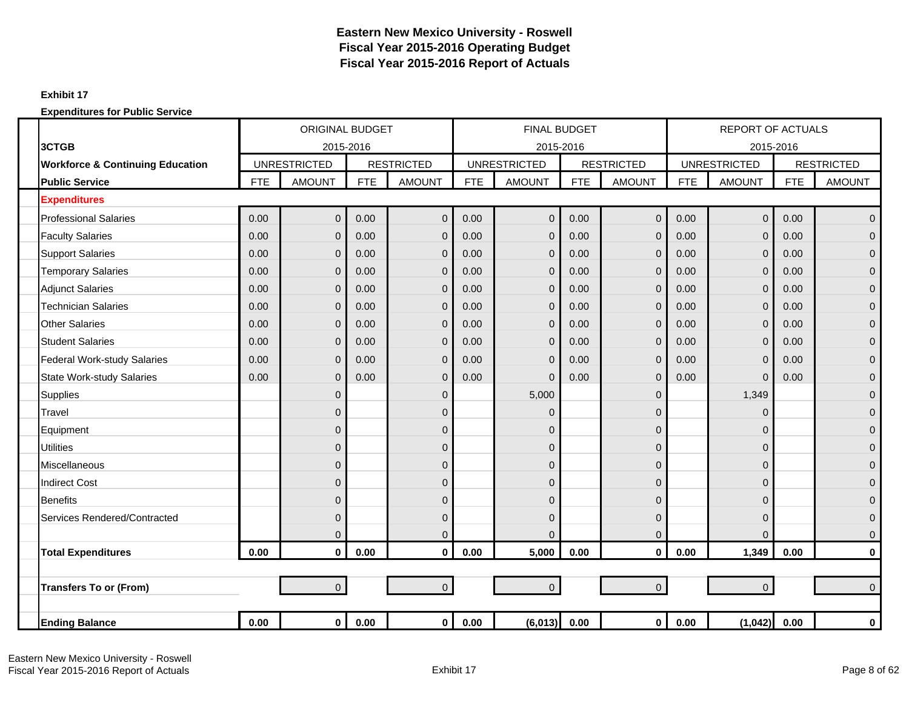### **Exhibit 17**

|                                             |            | <b>ORIGINAL BUDGET</b> |            |                   |            | <b>FINAL BUDGET</b> |            |                   |            | <b>REPORT OF ACTUALS</b> |            |                   |
|---------------------------------------------|------------|------------------------|------------|-------------------|------------|---------------------|------------|-------------------|------------|--------------------------|------------|-------------------|
| 3CTGB                                       |            | 2015-2016              |            |                   |            | 2015-2016           |            |                   |            | 2015-2016                |            |                   |
| <b>Workforce &amp; Continuing Education</b> |            | <b>UNRESTRICTED</b>    |            | <b>RESTRICTED</b> |            | <b>UNRESTRICTED</b> |            | <b>RESTRICTED</b> |            | <b>UNRESTRICTED</b>      |            | <b>RESTRICTED</b> |
| <b>Public Service</b>                       | <b>FTE</b> | <b>AMOUNT</b>          | <b>FTE</b> | <b>AMOUNT</b>     | <b>FTE</b> | <b>AMOUNT</b>       | <b>FTE</b> | <b>AMOUNT</b>     | <b>FTE</b> | <b>AMOUNT</b>            | <b>FTE</b> | <b>AMOUNT</b>     |
| <b>Expenditures</b>                         |            |                        |            |                   |            |                     |            |                   |            |                          |            |                   |
| <b>Professional Salaries</b>                | 0.00       | $\overline{0}$         | 0.00       | $\overline{0}$    | 0.00       | $\mathbf{0}$        | 0.00       | $\overline{0}$    | 0.00       | $\mathbf 0$              | 0.00       | $\overline{0}$    |
| <b>Faculty Salaries</b>                     | 0.00       | $\mathbf{0}$           | 0.00       | $\mathbf 0$       | 0.00       | $\mathbf{0}$        | 0.00       | $\mathbf{0}$      | 0.00       | $\mathbf 0$              | 0.00       | $\overline{0}$    |
| <b>Support Salaries</b>                     | 0.00       | $\Omega$               | 0.00       | $\overline{0}$    | 0.00       | $\Omega$            | 0.00       | $\Omega$          | 0.00       | $\mathbf 0$              | 0.00       | $\overline{0}$    |
| <b>Temporary Salaries</b>                   | 0.00       | $\mathbf{0}$           | 0.00       | $\mathbf 0$       | 0.00       | $\Omega$            | 0.00       | $\mathbf{0}$      | 0.00       | $\mathbf 0$              | 0.00       | $\overline{0}$    |
| <b>Adjunct Salaries</b>                     | 0.00       | $\mathbf{0}$           | 0.00       | $\overline{0}$    | 0.00       | $\mathbf{0}$        | 0.00       | $\Omega$          | 0.00       | $\overline{0}$           | 0.00       | $\mathbf{0}$      |
| <b>Technician Salaries</b>                  | 0.00       | $\mathbf{0}$           | 0.00       | $\mathbf 0$       | 0.00       | $\mathbf{0}$        | 0.00       | $\overline{0}$    | 0.00       | $\mathbf 0$              | 0.00       | $\mathbf{0}$      |
| <b>Other Salaries</b>                       | 0.00       | $\overline{0}$         | 0.00       | $\mathbf 0$       | 0.00       | $\Omega$            | 0.00       | $\overline{0}$    | 0.00       | $\overline{0}$           | 0.00       | $\overline{0}$    |
| <b>Student Salaries</b>                     | 0.00       | $\mathbf{0}$           | 0.00       | $\overline{0}$    | 0.00       | $\mathbf{0}$        | 0.00       | $\mathbf{0}$      | 0.00       | $\mathbf 0$              | 0.00       | $\overline{0}$    |
| <b>Federal Work-study Salaries</b>          | 0.00       | $\Omega$               | 0.00       | $\mathbf 0$       | 0.00       | $\Omega$            | 0.00       | $\overline{0}$    | 0.00       | $\mathbf 0$              | 0.00       | $\mathbf{0}$      |
| <b>State Work-study Salaries</b>            | 0.00       | $\Omega$               | 0.00       | $\mathbf{0}$      | 0.00       | $\Omega$            | 0.00       | $\Omega$          | 0.00       | $\Omega$                 | 0.00       | $\mathbf{0}$      |
| <b>Supplies</b>                             |            | $\mathbf{0}$           |            | $\mathbf 0$       |            | 5,000               |            | 0                 |            | 1,349                    |            | $\overline{0}$    |
| Travel                                      |            | $\Omega$               |            | $\mathbf 0$       |            | $\mathbf{0}$        |            | $\Omega$          |            | $\overline{0}$           |            | $\mathbf{0}$      |
| Equipment                                   |            | $\mathbf{0}$           |            | $\mathbf 0$       |            | $\mathbf{0}$        |            | 0                 |            | $\mathbf 0$              |            | $\mathbf 0$       |
| <b>Utilities</b>                            |            | $\Omega$               |            | $\mathbf 0$       |            | $\Omega$            |            | $\Omega$          |            | $\mathbf 0$              |            | $\overline{0}$    |
| Miscellaneous                               |            | $\overline{0}$         |            | $\overline{0}$    |            | $\mathbf 0$         |            | 0                 |            | $\overline{0}$           |            | $\overline{0}$    |
| <b>Indirect Cost</b>                        |            | $\Omega$               |            | $\mathbf 0$       |            | $\mathbf 0$         |            | $\Omega$          |            | 0                        |            | $\overline{0}$    |
| <b>Benefits</b>                             |            | $\mathbf{0}$           |            | $\mathbf 0$       |            | $\mathbf{0}$        |            | 0                 |            | $\mathbf{0}$             |            | $\mathbf{0}$      |
| Services Rendered/Contracted                |            | $\Omega$               |            | $\mathbf 0$       |            | $\mathbf{0}$        |            | $\Omega$          |            | $\mathbf 0$              |            | $\overline{0}$    |
|                                             |            | $\mathbf{0}$           |            | $\overline{0}$    |            | $\Omega$            |            | $\mathbf{0}$      |            | $\Omega$                 |            | $\mathbf 0$       |
| <b>Total Expenditures</b>                   | 0.00       | $\mathbf 0$            | 0.00       | $\mathbf 0$       | 0.00       | 5,000               | 0.00       | $\mathbf 0$       | 0.00       | 1,349                    | 0.00       | 0                 |
|                                             |            |                        |            |                   |            |                     |            |                   |            |                          |            |                   |
| <b>Transfers To or (From)</b>               |            | $\overline{0}$         |            | $\overline{0}$    |            | $\overline{0}$      |            | $\overline{0}$    |            | $\mathbf{0}$             |            | $\overline{0}$    |
|                                             |            |                        |            |                   |            |                     |            |                   |            |                          |            |                   |
| <b>Ending Balance</b>                       | 0.00       | $\mathbf 0$            | 0.00       | $\mathbf{0}$      | 0.00       | (6,013)             | 0.00       | $\mathbf 0$       | 0.00       | (1,042)                  | 0.00       | $\mathbf 0$       |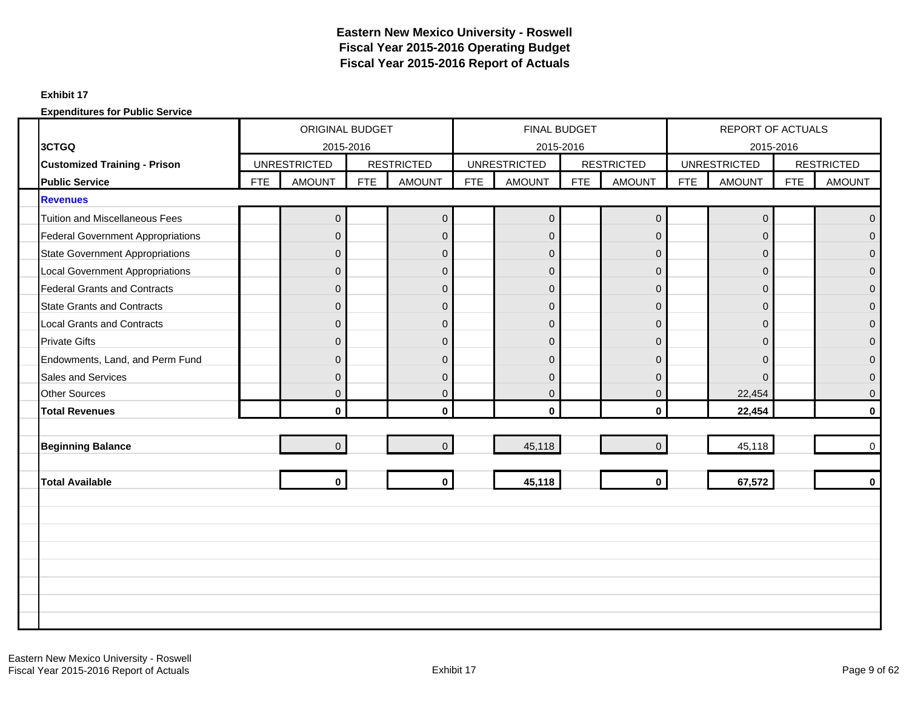### **Exhibit 17**

|                                          |            | <b>ORIGINAL BUDGET</b> |            |                   |            | <b>FINAL BUDGET</b> |            |                   |            | <b>REPORT OF ACTUALS</b> |            |                   |
|------------------------------------------|------------|------------------------|------------|-------------------|------------|---------------------|------------|-------------------|------------|--------------------------|------------|-------------------|
| 3CTGQ                                    |            | 2015-2016              |            |                   |            | 2015-2016           |            |                   |            | 2015-2016                |            |                   |
| <b>Customized Training - Prison</b>      |            | <b>UNRESTRICTED</b>    |            | <b>RESTRICTED</b> |            | <b>UNRESTRICTED</b> |            | <b>RESTRICTED</b> |            | <b>UNRESTRICTED</b>      |            | <b>RESTRICTED</b> |
| <b>Public Service</b>                    | <b>FTE</b> | <b>AMOUNT</b>          | <b>FTE</b> | <b>AMOUNT</b>     | <b>FTE</b> | <b>AMOUNT</b>       | <b>FTE</b> | <b>AMOUNT</b>     | <b>FTE</b> | <b>AMOUNT</b>            | <b>FTE</b> | <b>AMOUNT</b>     |
| <b>Revenues</b>                          |            |                        |            |                   |            |                     |            |                   |            |                          |            |                   |
| <b>Tuition and Miscellaneous Fees</b>    |            | 0                      |            | $\mathbf 0$       |            | $\overline{0}$      |            | $\mathbf 0$       |            | $\mathbf 0$              |            | $\overline{0}$    |
| <b>Federal Government Appropriations</b> |            | $\Omega$               |            | $\mathbf{0}$      |            | $\Omega$            |            | $\Omega$          |            | $\Omega$                 |            | $\Omega$          |
| <b>State Government Appropriations</b>   |            | $\mathbf{0}$           |            | $\mathsf 0$       |            | $\overline{0}$      |            | $\overline{0}$    |            | $\mathbf 0$              |            | $\Omega$          |
| <b>Local Government Appropriations</b>   |            | $\Omega$               |            | $\mathbf{0}$      |            | $\overline{0}$      |            | $\Omega$          |            | $\mathbf{0}$             |            | $\Omega$          |
| <b>Federal Grants and Contracts</b>      |            | $\Omega$               |            | $\mathbf 0$       |            | $\overline{0}$      |            | $\mathbf 0$       |            | $\mathbf{0}$             |            | $\mathbf{0}$      |
| <b>State Grants and Contracts</b>        |            | $\mathbf{0}$           |            | $\overline{0}$    |            | $\overline{0}$      |            | $\overline{0}$    |            | $\mathbf{0}$             |            | $\Omega$          |
| <b>Local Grants and Contracts</b>        |            | $\Omega$               |            | $\mathbf 0$       |            | $\overline{0}$      |            | $\mathbf{0}$      |            | $\mathbf{0}$             |            | $\Omega$          |
| <b>Private Gifts</b>                     |            | $\Omega$               |            | $\mathbf 0$       |            | $\overline{0}$      |            | $\Omega$          |            | $\Omega$                 |            | $\Omega$          |
| Endowments, Land, and Perm Fund          |            | $\Omega$               |            | $\mathbf 0$       |            | $\overline{0}$      |            | $\Omega$          |            | $\Omega$                 |            | $\Omega$          |
| <b>Sales and Services</b>                |            | $\Omega$               |            | $\mathbf{0}$      |            | $\Omega$            |            | $\Omega$          |            | $\Omega$                 |            | $\Omega$          |
| <b>Other Sources</b>                     |            | $\mathbf{0}$           |            | $\mathsf 0$       |            | $\overline{0}$      |            | $\mathbf{0}$      |            | 22,454                   |            | $\mathbf{0}$      |
| <b>Total Revenues</b>                    |            | $\mathbf{0}$           |            | $\mathbf{0}$      |            | $\mathbf{0}$        |            | $\mathbf{0}$      |            | 22,454                   |            | $\mathbf{0}$      |
|                                          |            |                        |            |                   |            |                     |            |                   |            |                          |            |                   |
| <b>Beginning Balance</b>                 |            | $\overline{0}$         |            | $\overline{0}$    |            | 45,118              |            | $\Omega$          |            | 45,118                   |            | $\Omega$          |
|                                          |            |                        |            |                   |            |                     |            |                   |            |                          |            |                   |
| <b>Total Available</b>                   |            | $\mathbf{0}$           |            | $\mathbf{0}$      |            | 45,118              |            | $\mathbf{0}$      |            | 67,572                   |            | $\mathbf{0}$      |
|                                          |            |                        |            |                   |            |                     |            |                   |            |                          |            |                   |
|                                          |            |                        |            |                   |            |                     |            |                   |            |                          |            |                   |
|                                          |            |                        |            |                   |            |                     |            |                   |            |                          |            |                   |
|                                          |            |                        |            |                   |            |                     |            |                   |            |                          |            |                   |
|                                          |            |                        |            |                   |            |                     |            |                   |            |                          |            |                   |
|                                          |            |                        |            |                   |            |                     |            |                   |            |                          |            |                   |
|                                          |            |                        |            |                   |            |                     |            |                   |            |                          |            |                   |
|                                          |            |                        |            |                   |            |                     |            |                   |            |                          |            |                   |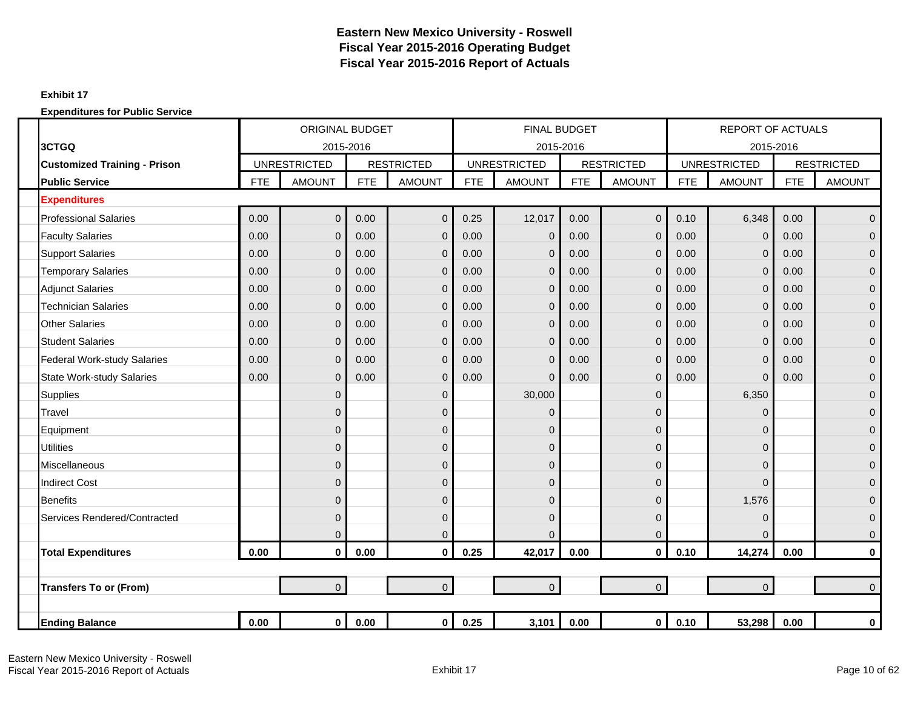### **Exhibit 17**

|                                     |            | <b>ORIGINAL BUDGET</b> |            |                   |            | <b>FINAL BUDGET</b> |            |                   |            | <b>REPORT OF ACTUALS</b> |            |                   |
|-------------------------------------|------------|------------------------|------------|-------------------|------------|---------------------|------------|-------------------|------------|--------------------------|------------|-------------------|
| 3CTGQ                               |            | 2015-2016              |            |                   |            | 2015-2016           |            |                   |            |                          | 2015-2016  |                   |
| <b>Customized Training - Prison</b> |            | <b>UNRESTRICTED</b>    |            | <b>RESTRICTED</b> |            | <b>UNRESTRICTED</b> |            | <b>RESTRICTED</b> |            | <b>UNRESTRICTED</b>      |            | <b>RESTRICTED</b> |
| <b>Public Service</b>               | <b>FTE</b> | <b>AMOUNT</b>          | <b>FTE</b> | <b>AMOUNT</b>     | <b>FTE</b> | <b>AMOUNT</b>       | <b>FTE</b> | <b>AMOUNT</b>     | <b>FTE</b> | <b>AMOUNT</b>            | <b>FTE</b> | <b>AMOUNT</b>     |
| <b>Expenditures</b>                 |            |                        |            |                   |            |                     |            |                   |            |                          |            |                   |
| <b>Professional Salaries</b>        | 0.00       | $\mathbf 0$            | 0.00       | $\overline{0}$    | 0.25       | 12,017              | 0.00       | $\overline{0}$    | 0.10       | 6,348                    | 0.00       | $\mathbf 0$       |
| <b>Faculty Salaries</b>             | 0.00       | $\mathbf{0}$           | 0.00       | $\mathbf 0$       | 0.00       | $\mathbf 0$         | 0.00       | $\overline{0}$    | 0.00       | $\mathbf 0$              | 0.00       | $\overline{0}$    |
| <b>Support Salaries</b>             | 0.00       | $\overline{0}$         | 0.00       | $\Omega$          | 0.00       | $\mathbf{0}$        | 0.00       | $\Omega$          | 0.00       | $\mathbf 0$              | 0.00       | $\mathbf{0}$      |
| <b>Temporary Salaries</b>           | 0.00       | $\overline{0}$         | 0.00       | $\overline{0}$    | 0.00       | $\overline{0}$      | 0.00       | $\overline{0}$    | 0.00       | $\mathbf 0$              | 0.00       | $\mathbf 0$       |
| <b>Adjunct Salaries</b>             | 0.00       | $\overline{0}$         | 0.00       | $\mathbf{0}$      | 0.00       | $\mathbf 0$         | 0.00       | $\overline{0}$    | 0.00       | $\mathbf 0$              | 0.00       | $\mathbf{0}$      |
| <b>Technician Salaries</b>          | 0.00       | $\mathbf{0}$           | 0.00       | $\mathbf 0$       | 0.00       | 0                   | 0.00       | $\mathbf{0}$      | 0.00       | $\mathbf 0$              | 0.00       | $\mathbf 0$       |
| <b>Other Salaries</b>               | 0.00       | $\overline{0}$         | 0.00       | $\overline{0}$    | 0.00       | $\overline{0}$      | 0.00       | $\overline{0}$    | 0.00       | $\mathbf 0$              | 0.00       | $\overline{0}$    |
| <b>Student Salaries</b>             | 0.00       | $\overline{0}$         | 0.00       | $\mathbf{0}$      | 0.00       | $\mathbf{0}$        | 0.00       | $\overline{0}$    | 0.00       | $\mathbf 0$              | 0.00       | $\mathbf 0$       |
| <b>Federal Work-study Salaries</b>  | 0.00       | $\overline{0}$         | 0.00       | $\mathbf 0$       | 0.00       | $\mathbf{0}$        | 0.00       | $\mathbf{0}$      | 0.00       | $\mathbf 0$              | 0.00       | $\mathbf{0}$      |
| <b>State Work-study Salaries</b>    | 0.00       | $\overline{0}$         | 0.00       | $\overline{0}$    | 0.00       | $\Omega$            | 0.00       | $\Omega$          | 0.00       | $\Omega$                 | 0.00       | $\mathbf{0}$      |
| <b>Supplies</b>                     |            | $\overline{0}$         |            | $\mathbf 0$       |            | 30,000              |            | $\mathbf{0}$      |            | 6,350                    |            | $\pmb{0}$         |
| Travel                              |            | $\mathbf{0}$           |            | $\overline{0}$    |            | 0                   |            | $\Omega$          |            | $\Omega$                 |            | $\mathbf 0$       |
| Equipment                           |            | 0                      |            | $\mathbf 0$       |            | 0                   |            | 0                 |            | $\mathbf 0$              |            | $\mathbf 0$       |
| <b>Utilities</b>                    |            | $\overline{0}$         |            | $\overline{0}$    |            | $\overline{0}$      |            | $\Omega$          |            | $\mathbf 0$              |            | $\mathbf{0}$      |
| Miscellaneous                       |            | $\overline{0}$         |            | $\overline{0}$    |            | 0                   |            | $\mathbf{0}$      |            | $\mathbf 0$              |            | $\pmb{0}$         |
| <b>Indirect Cost</b>                |            | $\overline{0}$         |            | $\mathbf 0$       |            | 0                   |            | $\Omega$          |            | 0                        |            | $\mathbf{0}$      |
| <b>Benefits</b>                     |            | $\overline{0}$         |            | $\overline{0}$    |            | 0                   |            | $\overline{0}$    |            | 1,576                    |            | $\mathbf{0}$      |
| Services Rendered/Contracted        |            | $\mathbf{0}$           |            | $\mathbf 0$       |            | 0                   |            | $\Omega$          |            | $\mathbf 0$              |            | $\mathbf{0}$      |
|                                     |            | $\overline{0}$         |            | $\overline{0}$    |            | $\Omega$            |            | $\overline{0}$    |            | $\Omega$                 |            | $\mathbf 0$       |
| <b>Total Expenditures</b>           | 0.00       | $\pmb{0}$              | 0.00       | $\mathbf 0$       | 0.25       | 42,017              | 0.00       | $\mathbf 0$       | 0.10       | 14,274                   | 0.00       | $\bf{0}$          |
|                                     |            |                        |            |                   |            |                     |            |                   |            |                          |            |                   |
| <b>Transfers To or (From)</b>       |            | $\overline{0}$         |            | $\overline{0}$    |            | $\overline{0}$      |            | $\overline{0}$    |            | $\mathbf 0$              |            | $\Omega$          |
|                                     |            |                        |            |                   |            |                     |            |                   |            |                          |            |                   |
| <b>Ending Balance</b>               | 0.00       | $\mathbf 0$            | 0.00       | $\overline{0}$    | 0.25       | 3,101               | 0.00       | $\mathbf{0}$      | 0.10       | 53,298                   | 0.00       | $\pmb{0}$         |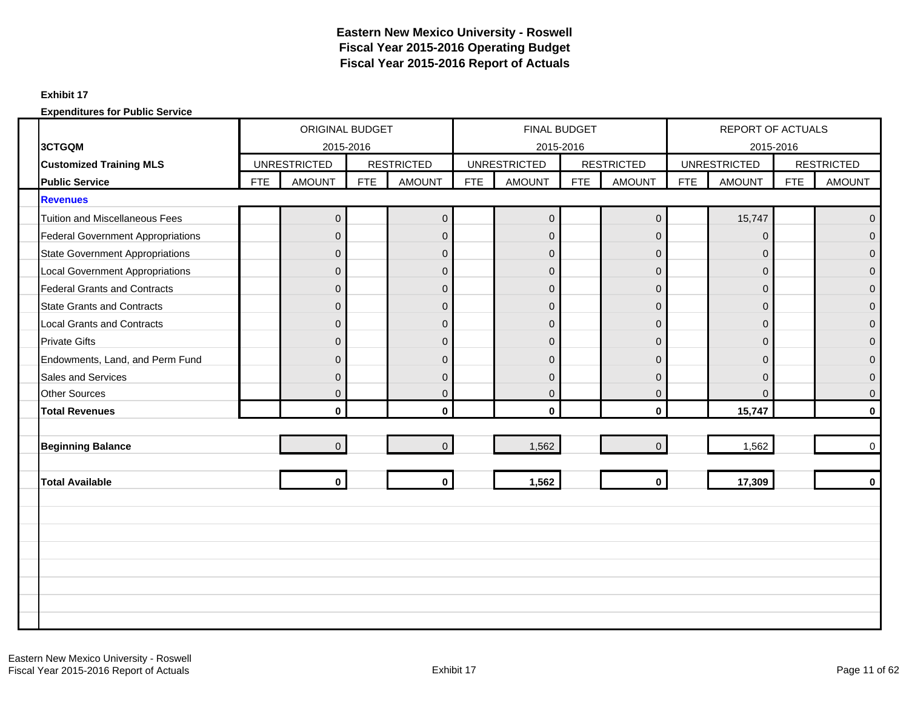### **Exhibit 17**

|                                          |            | <b>ORIGINAL BUDGET</b> |            |                   |            | FINAL BUDGET        |            |                   |            | <b>REPORT OF ACTUALS</b> |            |                   |
|------------------------------------------|------------|------------------------|------------|-------------------|------------|---------------------|------------|-------------------|------------|--------------------------|------------|-------------------|
| 3CTGQM                                   |            | 2015-2016              |            |                   |            | 2015-2016           |            |                   |            | 2015-2016                |            |                   |
| <b>Customized Training MLS</b>           |            | <b>UNRESTRICTED</b>    |            | <b>RESTRICTED</b> |            | <b>UNRESTRICTED</b> |            | <b>RESTRICTED</b> |            | <b>UNRESTRICTED</b>      |            | <b>RESTRICTED</b> |
| <b>Public Service</b>                    | <b>FTE</b> | <b>AMOUNT</b>          | <b>FTE</b> | <b>AMOUNT</b>     | <b>FTE</b> | <b>AMOUNT</b>       | <b>FTE</b> | <b>AMOUNT</b>     | <b>FTE</b> | <b>AMOUNT</b>            | <b>FTE</b> | <b>AMOUNT</b>     |
| <b>Revenues</b>                          |            |                        |            |                   |            |                     |            |                   |            |                          |            |                   |
| <b>Tuition and Miscellaneous Fees</b>    |            | $\mathbf 0$            |            | $\mathbf 0$       |            | $\overline{0}$      |            | $\mathbf 0$       |            | 15,747                   |            | $\mathbf{0}$      |
| <b>Federal Government Appropriations</b> |            | $\Omega$               |            | $\mathbf{0}$      |            | $\overline{0}$      |            | $\Omega$          |            | $\Omega$                 |            | $\Omega$          |
| <b>State Government Appropriations</b>   |            | $\mathbf{0}$           |            | $\mathbf 0$       |            | $\mathbf 0$         |            | $\mathbf 0$       |            | $\mathbf{0}$             |            | $\Omega$          |
| <b>Local Government Appropriations</b>   |            | $\Omega$               |            | $\mathbf{0}$      |            | $\overline{0}$      |            | $\overline{0}$    |            | $\mathbf{0}$             |            | $\Omega$          |
| <b>Federal Grants and Contracts</b>      |            | $\Omega$               |            | $\mathbf 0$       |            | $\overline{0}$      |            | $\mathbf 0$       |            | $\mathbf{0}$             |            | $\mathbf{0}$      |
| <b>State Grants and Contracts</b>        |            | $\mathbf{0}$           |            | $\pmb{0}$         |            | $\overline{0}$      |            | $\overline{0}$    |            | $\mathbf{0}$             |            | $\Omega$          |
| <b>Local Grants and Contracts</b>        |            | $\overline{0}$         |            | $\mathsf 0$       |            | $\overline{0}$      |            | $\mathbf{0}$      |            | $\mathbf{0}$             |            | $\mathbf{0}$      |
| <b>Private Gifts</b>                     |            | $\Omega$               |            | $\mathbf 0$       |            | $\overline{0}$      |            | $\mathbf 0$       |            | $\Omega$                 |            | $\Omega$          |
| Endowments, Land, and Perm Fund          |            | $\Omega$               |            | $\mathbf{0}$      |            | $\overline{0}$      |            | $\Omega$          |            | 0                        |            | $\Omega$          |
| <b>Sales and Services</b>                |            | $\Omega$               |            | $\mathbf{0}$      |            | $\overline{0}$      |            | $\Omega$          |            | $\mathbf{0}$             |            | $\Omega$          |
| <b>Other Sources</b>                     |            | $\mathbf{0}$           |            | $\mathsf 0$       |            | $\overline{0}$      |            | $\mathbf 0$       |            | $\Omega$                 |            | $\Omega$          |
| <b>Total Revenues</b>                    |            | $\mathbf{0}$           |            | $\mathbf{0}$      |            | $\mathbf{0}$        |            | $\mathbf{0}$      |            | 15,747                   |            | $\mathbf{0}$      |
|                                          |            |                        |            |                   |            |                     |            |                   |            |                          |            |                   |
| <b>Beginning Balance</b>                 |            | $\Omega$               |            | $\Omega$          |            | 1,562               |            | $\Omega$          |            | 1,562                    |            | $\Omega$          |
|                                          |            |                        |            |                   |            |                     |            |                   |            |                          |            |                   |
| <b>Total Available</b>                   |            | $\mathbf{0}$           |            | $\mathbf{0}$      |            | 1,562               |            | $\mathbf{0}$      |            | 17,309                   |            | $\Omega$          |
|                                          |            |                        |            |                   |            |                     |            |                   |            |                          |            |                   |
|                                          |            |                        |            |                   |            |                     |            |                   |            |                          |            |                   |
|                                          |            |                        |            |                   |            |                     |            |                   |            |                          |            |                   |
|                                          |            |                        |            |                   |            |                     |            |                   |            |                          |            |                   |
|                                          |            |                        |            |                   |            |                     |            |                   |            |                          |            |                   |
|                                          |            |                        |            |                   |            |                     |            |                   |            |                          |            |                   |
|                                          |            |                        |            |                   |            |                     |            |                   |            |                          |            |                   |
|                                          |            |                        |            |                   |            |                     |            |                   |            |                          |            |                   |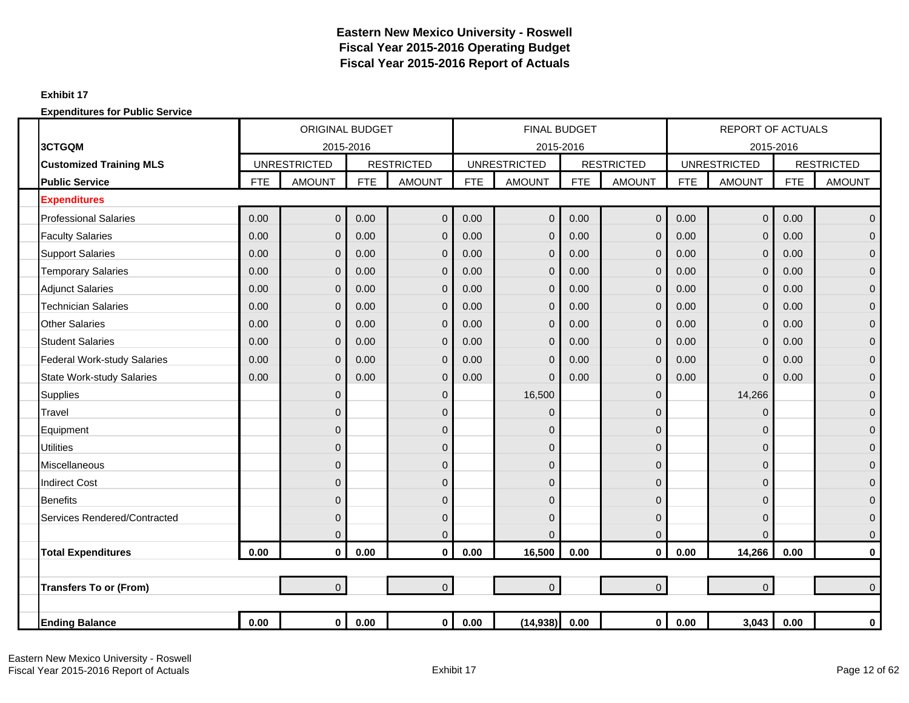### **Exhibit 17**

|                                    |            | <b>ORIGINAL BUDGET</b> |            |                   |            | <b>FINAL BUDGET</b> |            |                   |            | <b>REPORT OF ACTUALS</b> |            |                   |
|------------------------------------|------------|------------------------|------------|-------------------|------------|---------------------|------------|-------------------|------------|--------------------------|------------|-------------------|
| 3CTGQM                             |            | 2015-2016              |            |                   |            | 2015-2016           |            |                   |            | 2015-2016                |            |                   |
| <b>Customized Training MLS</b>     |            | <b>UNRESTRICTED</b>    |            | <b>RESTRICTED</b> |            | <b>UNRESTRICTED</b> |            | <b>RESTRICTED</b> |            | <b>UNRESTRICTED</b>      |            | <b>RESTRICTED</b> |
| <b>Public Service</b>              | <b>FTE</b> | <b>AMOUNT</b>          | <b>FTE</b> | <b>AMOUNT</b>     | <b>FTE</b> | <b>AMOUNT</b>       | <b>FTE</b> | <b>AMOUNT</b>     | <b>FTE</b> | <b>AMOUNT</b>            | <b>FTE</b> | <b>AMOUNT</b>     |
| <b>Expenditures</b>                |            |                        |            |                   |            |                     |            |                   |            |                          |            |                   |
| <b>Professional Salaries</b>       | 0.00       | $\overline{0}$         | 0.00       | $\mathbf 0$       | 0.00       | $\overline{0}$      | 0.00       | $\overline{0}$    | 0.00       | $\overline{0}$           | 0.00       | $\mathbf 0$       |
| <b>Faculty Salaries</b>            | 0.00       | $\mathbf 0$            | 0.00       | $\mathbf 0$       | 0.00       | 0                   | 0.00       | $\mathbf{0}$      | 0.00       | $\mathbf 0$              | 0.00       | $\mathbf 0$       |
| <b>Support Salaries</b>            | 0.00       | $\mathbf{0}$           | 0.00       | $\mathbf 0$       | 0.00       | 0                   | 0.00       | $\mathbf{0}$      | 0.00       | $\mathbf 0$              | 0.00       | $\mathbf 0$       |
| <b>Temporary Salaries</b>          | 0.00       | $\overline{0}$         | 0.00       | $\overline{0}$    | 0.00       | 0                   | 0.00       | $\Omega$          | 0.00       | $\mathbf 0$              | 0.00       | $\overline{0}$    |
| <b>Adjunct Salaries</b>            | 0.00       | $\overline{0}$         | 0.00       | $\overline{0}$    | 0.00       | $\overline{0}$      | 0.00       | $\mathbf{0}$      | 0.00       | $\mathbf 0$              | 0.00       | $\mathbf{0}$      |
| <b>Technician Salaries</b>         | 0.00       | $\overline{0}$         | 0.00       | $\overline{0}$    | 0.00       | 0                   | 0.00       | $\mathbf{0}$      | 0.00       | $\mathbf 0$              | 0.00       | $\mathbf{0}$      |
| <b>Other Salaries</b>              | 0.00       | $\mathbf{0}$           | 0.00       | $\overline{0}$    | 0.00       | $\overline{0}$      | 0.00       | $\mathbf{0}$      | 0.00       | $\mathbf 0$              | 0.00       | $\mathbf 0$       |
| <b>Student Salaries</b>            | 0.00       | $\overline{0}$         | 0.00       | $\overline{0}$    | 0.00       | 0                   | 0.00       | $\mathbf{0}$      | 0.00       | $\mathbf 0$              | 0.00       | $\mathbf{0}$      |
| <b>Federal Work-study Salaries</b> | 0.00       | $\overline{0}$         | 0.00       | $\overline{0}$    | 0.00       | $\Omega$            | 0.00       | $\Omega$          | 0.00       | $\mathbf 0$              | 0.00       | $\overline{0}$    |
| <b>State Work-study Salaries</b>   | 0.00       | $\mathbf{0}$           | 0.00       | $\mathbf 0$       | 0.00       | $\Omega$            | 0.00       | $\mathbf{0}$      | 0.00       | $\mathbf 0$              | 0.00       | $\mathbf 0$       |
| <b>Supplies</b>                    |            | $\mathbf 0$            |            | $\mathbf 0$       |            | 16,500              |            | $\mathbf{0}$      |            | 14,266                   |            | $\mathbf 0$       |
| Travel                             |            | $\overline{0}$         |            | $\overline{0}$    |            | 0                   |            | $\Omega$          |            | $\Omega$                 |            | $\mathbf{0}$      |
| Equipment                          |            | $\overline{0}$         |            | $\overline{0}$    |            | $\overline{0}$      |            | $\Omega$          |            | $\Omega$                 |            | $\mathbf{0}$      |
| <b>Utilities</b>                   |            | $\overline{0}$         |            | $\mathbf 0$       |            | 0                   |            | $\Omega$          |            | $\mathbf 0$              |            | $\overline{0}$    |
| <b>Miscellaneous</b>               |            | $\mathbf 0$            |            | $\mathbf 0$       |            | 0                   |            | $\mathbf 0$       |            | $\mathbf 0$              |            | $\mathbf 0$       |
| <b>Indirect Cost</b>               |            | $\overline{0}$         |            | $\mathbf 0$       |            | 0                   |            | $\mathbf{0}$      |            | 0                        |            | $\overline{0}$    |
| <b>Benefits</b>                    |            | $\overline{0}$         |            | $\overline{0}$    |            | $\overline{0}$      |            | $\Omega$          |            | $\Omega$                 |            | $\mathbf{0}$      |
| Services Rendered/Contracted       |            | $\overline{0}$         |            | $\mathbf 0$       |            | 0                   |            | $\Omega$          |            | $\mathbf 0$              |            | $\mathbf{0}$      |
|                                    |            | $\mathbf 0$            |            | $\mathbf 0$       |            | 0                   |            | 0                 |            | $\Omega$                 |            | $\mathbf 0$       |
| <b>Total Expenditures</b>          | $0.00\,$   | $\mathbf 0$            | 0.00       | $\mathbf 0$       | 0.00       | 16,500              | 0.00       | $\mathbf{0}$      | 0.00       | 14,266                   | 0.00       | $\pmb{0}$         |
|                                    |            |                        |            |                   |            |                     |            |                   |            |                          |            |                   |
| <b>Transfers To or (From)</b>      |            | $\overline{0}$         |            | $\overline{0}$    |            | $\overline{0}$      |            | $\overline{0}$    |            | $\mathbf 0$              |            | $\Omega$          |
|                                    |            |                        |            |                   |            |                     |            |                   |            |                          |            |                   |
| <b>Ending Balance</b>              | 0.00       | 0                      | 0.00       | $\mathbf 0$       | 0.00       | (14, 938)           | 0.00       | $\mathbf 0$       | 0.00       | 3,043                    | 0.00       | $\bf{0}$          |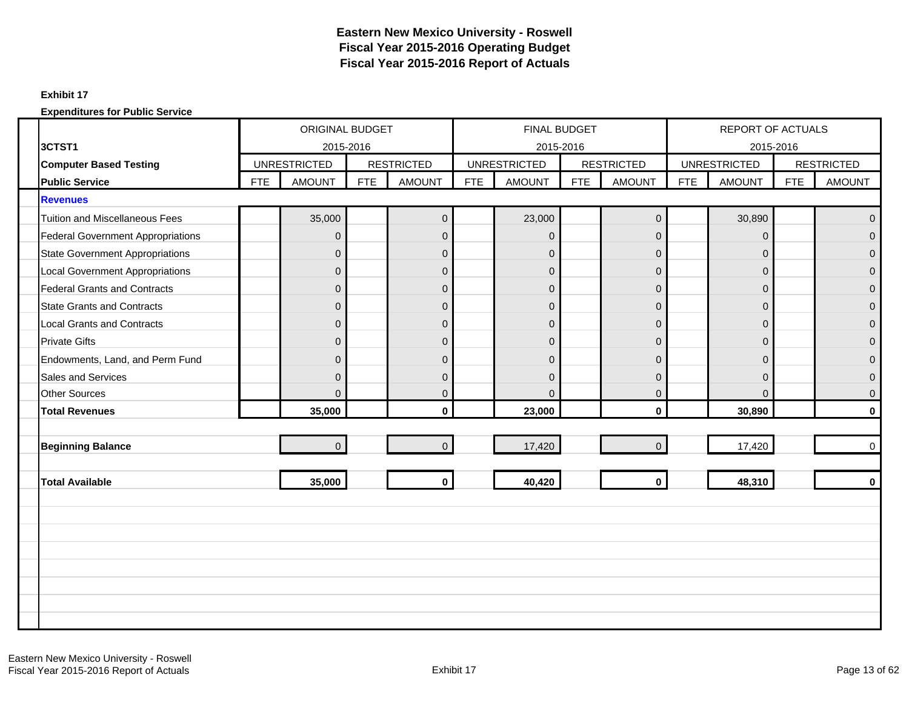### **Exhibit 17**

|                                          | <b>ORIGINAL BUDGET</b> |                     |            |                   | FINAL BUDGET |                     |            |                   | <b>REPORT OF ACTUALS</b> |                     |            |                   |
|------------------------------------------|------------------------|---------------------|------------|-------------------|--------------|---------------------|------------|-------------------|--------------------------|---------------------|------------|-------------------|
| 3CTST1                                   |                        | 2015-2016           |            |                   |              | 2015-2016           |            |                   |                          | 2015-2016           |            |                   |
| <b>Computer Based Testing</b>            |                        | <b>UNRESTRICTED</b> |            | <b>RESTRICTED</b> |              | <b>UNRESTRICTED</b> |            | <b>RESTRICTED</b> |                          | <b>UNRESTRICTED</b> |            | <b>RESTRICTED</b> |
| <b>Public Service</b>                    | <b>FTE</b>             | <b>AMOUNT</b>       | <b>FTE</b> | <b>AMOUNT</b>     | <b>FTE</b>   | <b>AMOUNT</b>       | <b>FTE</b> | <b>AMOUNT</b>     | <b>FTE</b>               | <b>AMOUNT</b>       | <b>FTE</b> | <b>AMOUNT</b>     |
| <b>Revenues</b>                          |                        |                     |            |                   |              |                     |            |                   |                          |                     |            |                   |
| <b>Tuition and Miscellaneous Fees</b>    |                        | 35,000              |            | $\boldsymbol{0}$  |              | 23,000              |            | $\mathbf 0$       |                          | 30,890              |            | $\Omega$          |
| <b>Federal Government Appropriations</b> |                        | $\Omega$            |            | $\mathbf{0}$      |              | $\Omega$            |            | $\Omega$          |                          | $\Omega$            |            | $\Omega$          |
| <b>State Government Appropriations</b>   |                        | $\mathbf{0}$        |            | $\mathbf 0$       |              | $\mathbf 0$         |            | $\mathbf{0}$      |                          | 0                   |            | $\Omega$          |
| <b>Local Government Appropriations</b>   |                        | $\mathbf{0}$        |            | $\mathbf 0$       |              | $\mathbf 0$         |            | $\mathbf{0}$      |                          | $\mathbf 0$         |            | $\mathbf{0}$      |
| <b>Federal Grants and Contracts</b>      |                        | $\Omega$            |            | $\mathbf{0}$      |              | $\overline{0}$      |            | $\Omega$          |                          | $\mathbf{0}$        |            | $\overline{0}$    |
| <b>State Grants and Contracts</b>        |                        | $\mathbf{0}$        |            | $\mathbf 0$       |              | $\mathbf{0}$        |            | $\mathbf 0$       |                          | $\mathbf{0}$        |            | $\mathbf{0}$      |
| <b>Local Grants and Contracts</b>        |                        | $\overline{0}$      |            | $\mathbf{0}$      |              | $\overline{0}$      |            | $\mathbf{0}$      |                          | $\mathbf{0}$        |            | $\Omega$          |
| <b>Private Gifts</b>                     |                        | $\mathbf{0}$        |            | $\mathbf 0$       |              | $\mathbf 0$         |            | $\mathbf 0$       |                          | $\mathbf{0}$        |            | $\mathbf{0}$      |
| Endowments, Land, and Perm Fund          |                        | $\Omega$            |            | $\mathbf{0}$      |              | $\Omega$            |            | $\Omega$          |                          | $\Omega$            |            | $\Omega$          |
| Sales and Services                       |                        | $\mathbf{0}$        |            | $\mathbf 0$       |              | $\mathbf{0}$        |            | $\overline{0}$    |                          | $\mathbf{0}$        |            | $\overline{0}$    |
| <b>Other Sources</b>                     |                        | $\Omega$            |            | $\mathbf{0}$      |              | $\Omega$            |            | $\Omega$          |                          | $\Omega$            |            | $\Omega$          |
| <b>Total Revenues</b>                    |                        | 35,000              |            | $\mathbf{0}$      |              | 23,000              |            | $\mathbf{0}$      |                          | 30,890              |            | $\bf{0}$          |
|                                          |                        |                     |            |                   |              |                     |            |                   |                          |                     |            |                   |
| <b>Beginning Balance</b>                 |                        | $\overline{0}$      |            | $\Omega$          |              | 17,420              |            | $\Omega$          |                          | 17,420              |            | $\mathbf 0$       |
|                                          |                        |                     |            |                   |              |                     |            |                   |                          |                     |            |                   |
| <b>Total Available</b>                   |                        | 35,000              |            | $\mathbf 0$       |              | 40,420              |            | $\mathbf 0$       |                          | 48,310              |            | $\mathbf{0}$      |
|                                          |                        |                     |            |                   |              |                     |            |                   |                          |                     |            |                   |
|                                          |                        |                     |            |                   |              |                     |            |                   |                          |                     |            |                   |
|                                          |                        |                     |            |                   |              |                     |            |                   |                          |                     |            |                   |
|                                          |                        |                     |            |                   |              |                     |            |                   |                          |                     |            |                   |
|                                          |                        |                     |            |                   |              |                     |            |                   |                          |                     |            |                   |
|                                          |                        |                     |            |                   |              |                     |            |                   |                          |                     |            |                   |
|                                          |                        |                     |            |                   |              |                     |            |                   |                          |                     |            |                   |
|                                          |                        |                     |            |                   |              |                     |            |                   |                          |                     |            |                   |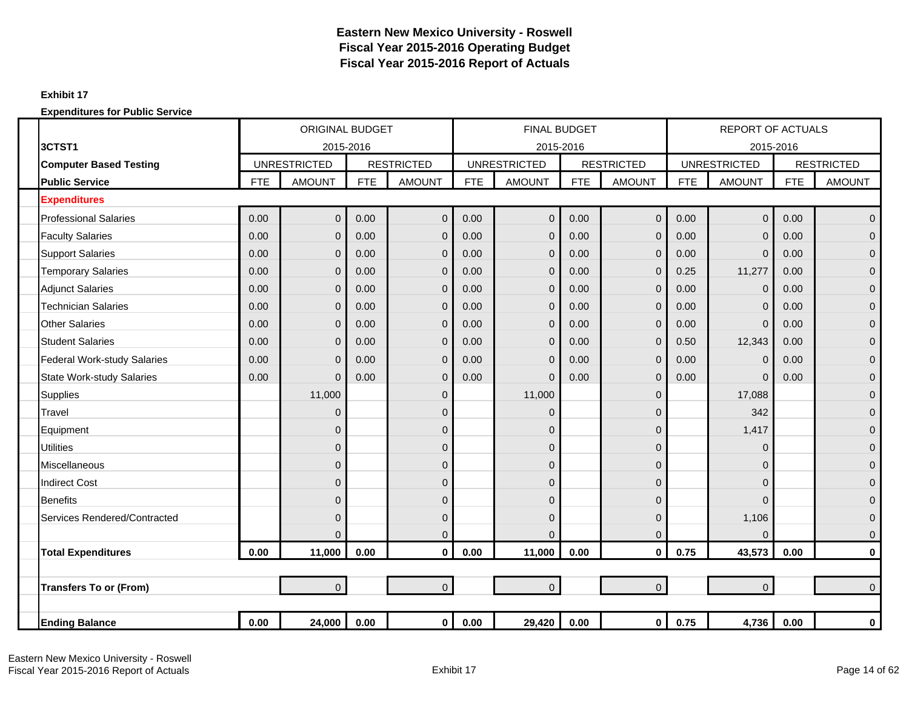### **Exhibit 17**

|                                    |            | <b>ORIGINAL BUDGET</b> |            |                   |            | <b>FINAL BUDGET</b> |            |                   |            | <b>REPORT OF ACTUALS</b> |            |                   |
|------------------------------------|------------|------------------------|------------|-------------------|------------|---------------------|------------|-------------------|------------|--------------------------|------------|-------------------|
| 3CTST1                             |            | 2015-2016              |            |                   |            | 2015-2016           |            |                   |            | 2015-2016                |            |                   |
| <b>Computer Based Testing</b>      |            | <b>UNRESTRICTED</b>    |            | <b>RESTRICTED</b> |            | <b>UNRESTRICTED</b> |            | <b>RESTRICTED</b> |            | <b>UNRESTRICTED</b>      |            | <b>RESTRICTED</b> |
| <b>Public Service</b>              | <b>FTE</b> | <b>AMOUNT</b>          | <b>FTE</b> | <b>AMOUNT</b>     | <b>FTE</b> | <b>AMOUNT</b>       | <b>FTE</b> | <b>AMOUNT</b>     | <b>FTE</b> | <b>AMOUNT</b>            | <b>FTE</b> | <b>AMOUNT</b>     |
| <b>Expenditures</b>                |            |                        |            |                   |            |                     |            |                   |            |                          |            |                   |
| <b>Professional Salaries</b>       | 0.00       | $\mathbf 0$            | 0.00       | $\overline{0}$    | 0.00       | $\overline{0}$      | 0.00       | $\overline{0}$    | 0.00       | $\overline{0}$           | 0.00       | $\mathbf 0$       |
| <b>Faculty Salaries</b>            | 0.00       | $\mathbf{0}$           | 0.00       | $\mathbf 0$       | 0.00       | $\overline{0}$      | 0.00       | $\mathbf{0}$      | 0.00       | $\mathbf 0$              | 0.00       | $\mathbf 0$       |
| <b>Support Salaries</b>            | 0.00       | $\mathbf 0$            | 0.00       | $\mathbf 0$       | 0.00       | 0                   | 0.00       | $\overline{0}$    | 0.00       | $\mathbf 0$              | 0.00       | $\mathbf 0$       |
| <b>Temporary Salaries</b>          | 0.00       | $\overline{0}$         | 0.00       | $\overline{0}$    | 0.00       | $\overline{0}$      | 0.00       | $\Omega$          | 0.25       | 11,277                   | 0.00       | $\overline{0}$    |
| <b>Adjunct Salaries</b>            | 0.00       | $\overline{0}$         | 0.00       | $\mathbf{0}$      | 0.00       | $\overline{0}$      | 0.00       | $\overline{0}$    | 0.00       | $\mathbf 0$              | 0.00       | $\mathbf 0$       |
| <b>Technician Salaries</b>         | 0.00       | $\overline{0}$         | 0.00       | $\Omega$          | 0.00       | 0                   | 0.00       | $\overline{0}$    | 0.00       | $\mathbf 0$              | 0.00       | $\mathbf 0$       |
| <b>Other Salaries</b>              | 0.00       | $\mathbf 0$            | 0.00       | $\mathbf 0$       | 0.00       | $\mathbf{0}$        | 0.00       | $\overline{0}$    | 0.00       | $\mathbf 0$              | 0.00       | $\mathbf 0$       |
| <b>Student Salaries</b>            | 0.00       | $\overline{0}$         | 0.00       | $\mathbf 0$       | 0.00       | $\mathbf{0}$        | 0.00       | $\mathbf{0}$      | 0.50       | 12,343                   | 0.00       | $\mathbf{0}$      |
| <b>Federal Work-study Salaries</b> | 0.00       | $\overline{0}$         | 0.00       | $\overline{0}$    | 0.00       | $\overline{0}$      | 0.00       | $\mathbf{0}$      | 0.00       | $\overline{0}$           | 0.00       | $\overline{0}$    |
| <b>State Work-study Salaries</b>   | 0.00       | $\overline{0}$         | 0.00       | $\overline{0}$    | 0.00       | $\Omega$            | 0.00       | $\overline{0}$    | 0.00       | $\overline{0}$           | 0.00       | $\mathbf 0$       |
| <b>Supplies</b>                    |            | 11,000                 |            | $\mathbf 0$       |            | 11,000              |            | $\mathbf{0}$      |            | 17,088                   |            | $\mathbf 0$       |
| Travel                             |            | $\mathbf{0}$           |            | $\overline{0}$    |            | 0                   |            | $\Omega$          |            | 342                      |            | $\mathbf{0}$      |
| Equipment                          |            | $\mathbf{0}$           |            | $\mathbf 0$       |            | $\overline{0}$      |            | $\Omega$          |            | 1,417                    |            | $\mathbf{0}$      |
| <b>Utilities</b>                   |            | $\overline{0}$         |            | $\mathbf 0$       |            | 0                   |            | $\Omega$          |            | $\Omega$                 |            | $\overline{0}$    |
| Miscellaneous                      |            | 0                      |            | $\mathbf 0$       |            | 0                   |            | $\mathbf{0}$      |            | $\mathbf 0$              |            | $\mathbf 0$       |
| <b>Indirect Cost</b>               |            | $\overline{0}$         |            | $\overline{0}$    |            | 0                   |            | $\overline{0}$    |            | 0                        |            | $\overline{0}$    |
| <b>Benefits</b>                    |            | $\Omega$               |            | $\overline{0}$    |            | 0                   |            | $\Omega$          |            | $\Omega$                 |            | $\mathbf{0}$      |
| Services Rendered/Contracted       |            | $\mathbf{0}$           |            | $\mathbf 0$       |            | 0                   |            | $\Omega$          |            | 1,106                    |            | $\mathbf{0}$      |
|                                    |            | $\overline{0}$         |            | $\mathbf 0$       |            | 0                   |            | $\mathbf{0}$      |            | $\Omega$                 |            | $\mathbf 0$       |
| <b>Total Expenditures</b>          | 0.00       | 11,000                 | 0.00       | $\mathbf 0$       | 0.00       | 11,000              | 0.00       | $\mathbf{0}$      | 0.75       | 43,573                   | 0.00       | $\pmb{0}$         |
|                                    |            |                        |            |                   |            |                     |            |                   |            |                          |            |                   |
| <b>Transfers To or (From)</b>      |            | $\overline{0}$         |            | $\overline{0}$    |            | $\overline{0}$      |            | $\overline{0}$    |            | $\mathbf 0$              |            | $\Omega$          |
|                                    |            |                        |            |                   |            |                     |            |                   |            |                          |            |                   |
| <b>Ending Balance</b>              | 0.00       | 24,000                 | 0.00       | $\mathbf{0}$      | 0.00       | 29,420              | 0.00       | $\mathbf{0}$      | 0.75       | 4,736                    | 0.00       | $\bf{0}$          |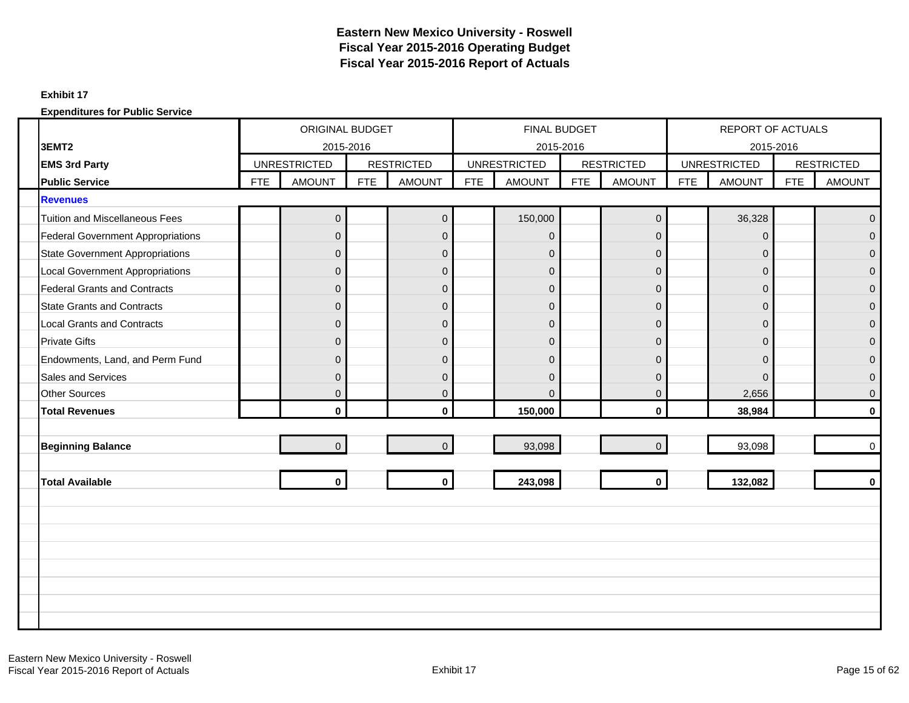#### **Exhibit 17**

|                                          |            | ORIGINAL BUDGET     |            |                   |            | FINAL BUDGET        |            |                   |            | <b>REPORT OF ACTUALS</b> |            |                   |
|------------------------------------------|------------|---------------------|------------|-------------------|------------|---------------------|------------|-------------------|------------|--------------------------|------------|-------------------|
| 3EMT <sub>2</sub>                        |            | 2015-2016           |            |                   |            | 2015-2016           |            |                   |            | 2015-2016                |            |                   |
| <b>EMS 3rd Party</b>                     |            | <b>UNRESTRICTED</b> |            | <b>RESTRICTED</b> |            | <b>UNRESTRICTED</b> |            | <b>RESTRICTED</b> |            | <b>UNRESTRICTED</b>      |            | <b>RESTRICTED</b> |
| <b>Public Service</b>                    | <b>FTE</b> | <b>AMOUNT</b>       | <b>FTE</b> | <b>AMOUNT</b>     | <b>FTE</b> | <b>AMOUNT</b>       | <b>FTE</b> | <b>AMOUNT</b>     | <b>FTE</b> | <b>AMOUNT</b>            | <b>FTE</b> | <b>AMOUNT</b>     |
| <b>Revenues</b>                          |            |                     |            |                   |            |                     |            |                   |            |                          |            |                   |
| <b>Tuition and Miscellaneous Fees</b>    |            | $\mathbf{0}$        |            | $\mathbf 0$       |            | 150,000             |            | $\mathbf 0$       |            | 36,328                   |            | $\Omega$          |
| <b>Federal Government Appropriations</b> |            | $\Omega$            |            | $\mathbf 0$       |            | $\overline{0}$      |            | $\Omega$          |            | $\Omega$                 |            | $\Omega$          |
| <b>State Government Appropriations</b>   |            | $\overline{0}$      |            | $\pmb{0}$         |            | $\overline{0}$      |            | $\mathbf{0}$      |            | $\mathbf{0}$             |            | $\Omega$          |
| <b>Local Government Appropriations</b>   |            | $\mathbf{0}$        |            | $\pmb{0}$         |            | $\mathbf{0}$        |            | $\mathbf 0$       |            | $\mathbf 0$              |            | $\Omega$          |
| <b>Federal Grants and Contracts</b>      |            | $\Omega$            |            | $\overline{0}$    |            | $\overline{0}$      |            | $\Omega$          |            | $\mathbf{0}$             |            | $\overline{0}$    |
| <b>State Grants and Contracts</b>        |            | $\mathbf{0}$        |            | $\mathbf 0$       |            | $\overline{0}$      |            | $\mathbf 0$       |            | $\mathbf{0}$             |            | $\mathbf{0}$      |
| <b>Local Grants and Contracts</b>        |            | $\Omega$            |            | $\mathbf 0$       |            | $\overline{0}$      |            | $\mathbf{0}$      |            | $\mathbf{0}$             |            | $\Omega$          |
| <b>Private Gifts</b>                     |            | $\mathbf{0}$        |            | $\pmb{0}$         |            | $\overline{0}$      |            | $\mathbf 0$       |            | $\mathbf{0}$             |            | $\mathbf{0}$      |
| Endowments, Land, and Perm Fund          |            | $\Omega$            |            | $\overline{0}$    |            | $\Omega$            |            | $\Omega$          |            | $\Omega$                 |            | $\Omega$          |
| Sales and Services                       |            | $\mathbf{0}$        |            | $\pmb{0}$         |            | $\overline{0}$      |            | $\overline{0}$    |            | $\mathbf{0}$             |            | $\Omega$          |
| <b>Other Sources</b>                     |            | $\Omega$            |            | $\overline{0}$    |            | $\Omega$            |            | $\Omega$          |            | 2,656                    |            | $\Omega$          |
| <b>Total Revenues</b>                    |            | $\mathbf{0}$        |            | $\mathbf{0}$      |            | 150,000             |            | $\mathbf{0}$      |            | 38,984                   |            | $\bf{0}$          |
|                                          |            |                     |            |                   |            |                     |            |                   |            |                          |            |                   |
| <b>Beginning Balance</b>                 |            | $\Omega$            |            | $\mathbf 0$       |            | 93,098              |            | $\Omega$          |            | 93,098                   |            | $\Omega$          |
|                                          |            |                     |            |                   |            |                     |            |                   |            |                          |            |                   |
| <b>Total Available</b>                   |            | $\mathbf{0}$        |            | $\mathbf 0$       |            | 243,098             |            | $\mathbf{0}$      |            | 132,082                  |            | $\mathbf{0}$      |
|                                          |            |                     |            |                   |            |                     |            |                   |            |                          |            |                   |
|                                          |            |                     |            |                   |            |                     |            |                   |            |                          |            |                   |
|                                          |            |                     |            |                   |            |                     |            |                   |            |                          |            |                   |
|                                          |            |                     |            |                   |            |                     |            |                   |            |                          |            |                   |
|                                          |            |                     |            |                   |            |                     |            |                   |            |                          |            |                   |
|                                          |            |                     |            |                   |            |                     |            |                   |            |                          |            |                   |
|                                          |            |                     |            |                   |            |                     |            |                   |            |                          |            |                   |
|                                          |            |                     |            |                   |            |                     |            |                   |            |                          |            |                   |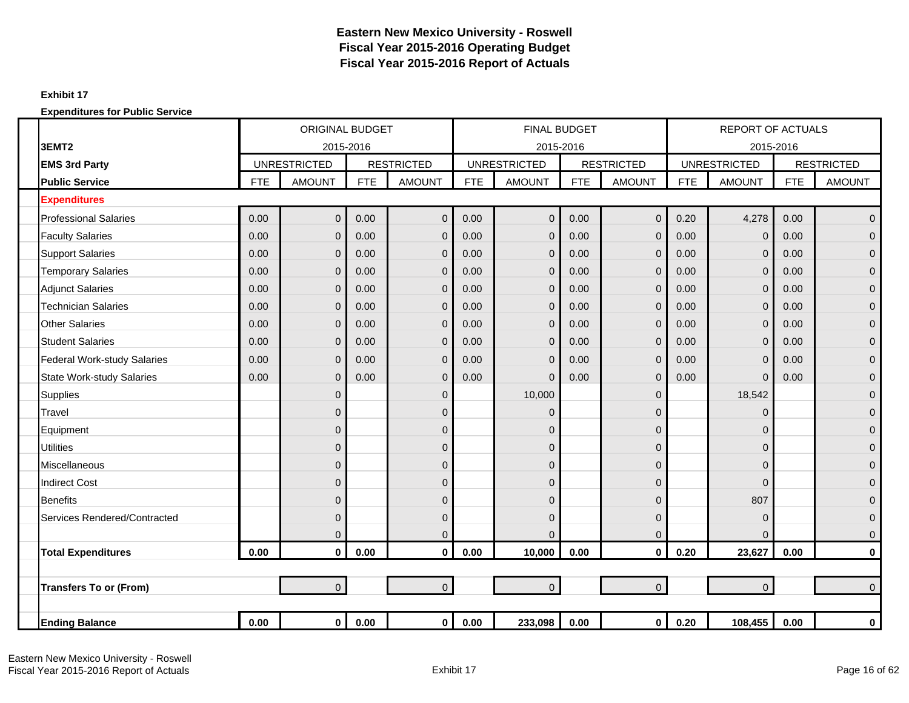#### **Exhibit 17**

|                                    |            | <b>ORIGINAL BUDGET</b> |            |                   |            | <b>FINAL BUDGET</b> |            |                   |            | <b>REPORT OF ACTUALS</b> |            |                   |
|------------------------------------|------------|------------------------|------------|-------------------|------------|---------------------|------------|-------------------|------------|--------------------------|------------|-------------------|
| 3EMT <sub>2</sub>                  |            | 2015-2016              |            |                   |            | 2015-2016           |            |                   |            | 2015-2016                |            |                   |
| <b>EMS 3rd Party</b>               |            | <b>UNRESTRICTED</b>    |            | <b>RESTRICTED</b> |            | <b>UNRESTRICTED</b> |            | <b>RESTRICTED</b> |            | <b>UNRESTRICTED</b>      |            | <b>RESTRICTED</b> |
| <b>Public Service</b>              | <b>FTE</b> | <b>AMOUNT</b>          | <b>FTE</b> | <b>AMOUNT</b>     | <b>FTE</b> | <b>AMOUNT</b>       | <b>FTE</b> | <b>AMOUNT</b>     | <b>FTE</b> | <b>AMOUNT</b>            | <b>FTE</b> | <b>AMOUNT</b>     |
| <b>Expenditures</b>                |            |                        |            |                   |            |                     |            |                   |            |                          |            |                   |
| <b>Professional Salaries</b>       | 0.00       | $\Omega$               | 0.00       | $\overline{0}$    | 0.00       | $\Omega$            | 0.00       | $\overline{0}$    | 0.20       | 4,278                    | 0.00       | $\overline{0}$    |
| <b>Faculty Salaries</b>            | 0.00       | $\Omega$               | 0.00       | $\mathbf{0}$      | 0.00       | $\Omega$            | 0.00       | $\overline{0}$    | 0.00       | $\mathbf 0$              | 0.00       | $\overline{0}$    |
| <b>Support Salaries</b>            | 0.00       | $\mathbf{0}$           | 0.00       | $\mathbf{0}$      | 0.00       | $\Omega$            | 0.00       | $\overline{0}$    | 0.00       | $\mathbf 0$              | 0.00       | $\overline{0}$    |
| <b>Temporary Salaries</b>          | 0.00       | $\mathbf{0}$           | 0.00       | $\mathbf 0$       | 0.00       | $\Omega$            | 0.00       | $\mathbf{0}$      | 0.00       | $\mathbf 0$              | 0.00       | $\overline{0}$    |
| <b>Adjunct Salaries</b>            | 0.00       | $\Omega$               | 0.00       | $\mathbf 0$       | 0.00       | $\Omega$            | 0.00       | $\overline{0}$    | 0.00       | $\mathbf 0$              | 0.00       | $\mathbf{0}$      |
| <b>Technician Salaries</b>         | 0.00       | $\mathbf{0}$           | 0.00       | $\mathbf 0$       | 0.00       | $\Omega$            | 0.00       | $\mathbf 0$       | 0.00       | $\mathbf 0$              | 0.00       | 0                 |
| <b>Other Salaries</b>              | 0.00       | $\Omega$               | 0.00       | $\mathbf 0$       | 0.00       | $\Omega$            | 0.00       | $\overline{0}$    | 0.00       | $\mathbf 0$              | 0.00       | $\overline{0}$    |
| <b>Student Salaries</b>            | 0.00       | $\Omega$               | 0.00       | $\mathbf 0$       | 0.00       | $\Omega$            | 0.00       | $\overline{0}$    | 0.00       | $\overline{0}$           | 0.00       | $\overline{0}$    |
| <b>Federal Work-study Salaries</b> | 0.00       | $\Omega$               | 0.00       | $\mathbf 0$       | 0.00       | $\Omega$            | 0.00       | $\overline{0}$    | 0.00       | $\mathbf 0$              | 0.00       | $\overline{0}$    |
| <b>State Work-study Salaries</b>   | 0.00       | $\mathbf{0}$           | 0.00       | $\mathbf 0$       | 0.00       | $\Omega$            | 0.00       | $\overline{0}$    | 0.00       | $\mathbf 0$              | 0.00       | $\overline{0}$    |
| <b>Supplies</b>                    |            | $\mathbf 0$            |            | $\mathbf 0$       |            | 10,000              |            | $\mathbf{0}$      |            | 18,542                   |            | $\overline{0}$    |
| Travel                             |            | 0                      |            | $\mathbf 0$       |            | $\mathbf{0}$        |            | 0                 |            | $\mathbf{0}$             |            | 0                 |
| Equipment                          |            | O                      |            | $\mathbf 0$       |            | $\mathbf{0}$        |            | $\mathbf{0}$      |            | $\Omega$                 |            | $\mathbf{0}$      |
| <b>Utilities</b>                   |            | $\Omega$               |            | $\mathbf{0}$      |            | $\overline{0}$      |            | $\Omega$          |            | $\mathbf{0}$             |            | $\overline{0}$    |
| Miscellaneous                      |            | $\mathbf{0}$           |            | $\mathbf 0$       |            | $\overline{0}$      |            | $\mathbf{0}$      |            | $\mathbf 0$              |            | $\overline{0}$    |
| <b>Indirect Cost</b>               |            | $\Omega$               |            | $\mathbf{0}$      |            | $\overline{0}$      |            | $\Omega$          |            | $\mathbf 0$              |            | $\overline{0}$    |
| <b>Benefits</b>                    |            | $\Omega$               |            | $\mathbf 0$       |            | $\overline{0}$      |            | $\mathbf{0}$      |            | 807                      |            | 0                 |
| Services Rendered/Contracted       |            | $\mathbf 0$            |            | $\mathbf 0$       |            | $\mathbf{0}$        |            | $\overline{0}$    |            | $\mathbf 0$              |            | $\overline{0}$    |
|                                    |            | $\Omega$               |            | $\mathbf 0$       |            | $\Omega$            |            | $\Omega$          |            | $\Omega$                 |            | $\mathbf 0$       |
| <b>Total Expenditures</b>          | 0.00       | $\mathbf{0}$           | 0.00       | $\mathbf{0}$      | 0.00       | 10,000              | 0.00       | $\mathbf{0}$      | 0.20       | 23,627                   | 0.00       | $\mathbf 0$       |
|                                    |            |                        |            |                   |            |                     |            |                   |            |                          |            |                   |
| <b>Transfers To or (From)</b>      |            | $\overline{0}$         |            | $\overline{0}$    |            | $\overline{0}$      |            | $\overline{0}$    |            | $\mathbf 0$              |            | $\overline{0}$    |
|                                    |            |                        |            |                   |            |                     |            |                   |            |                          |            |                   |
| <b>Ending Balance</b>              | 0.00       | $\mathbf{0}$           | 0.00       | $\mathbf 0$       | 0.00       | 233,098             | 0.00       | $\mathbf 0$       | 0.20       | 108,455                  | 0.00       | 0                 |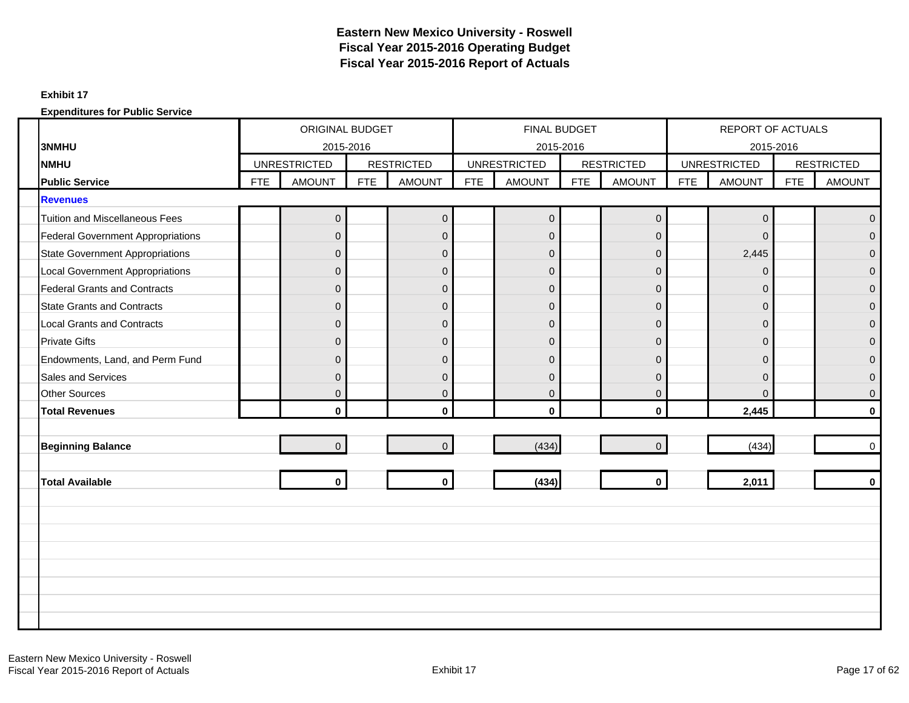#### **Exhibit 17**

| <b>3NMHU</b>                             |            | ORIGINAL BUDGET<br>2015-2016 |            |                   |     | FINAL BUDGET<br>2015-2016 |            |                   |            | <b>REPORT OF ACTUALS</b><br>2015-2016 |            |                   |
|------------------------------------------|------------|------------------------------|------------|-------------------|-----|---------------------------|------------|-------------------|------------|---------------------------------------|------------|-------------------|
| <b>NMHU</b>                              |            | <b>UNRESTRICTED</b>          |            | <b>RESTRICTED</b> |     | <b>UNRESTRICTED</b>       |            | <b>RESTRICTED</b> |            | <b>UNRESTRICTED</b>                   |            | <b>RESTRICTED</b> |
| <b>Public Service</b>                    | <b>FTE</b> | <b>AMOUNT</b>                | <b>FTE</b> | <b>AMOUNT</b>     | FTE | <b>AMOUNT</b>             | <b>FTE</b> | <b>AMOUNT</b>     | <b>FTE</b> | <b>AMOUNT</b>                         | <b>FTE</b> | <b>AMOUNT</b>     |
| <b>Revenues</b>                          |            |                              |            |                   |     |                           |            |                   |            |                                       |            |                   |
| <b>Tuition and Miscellaneous Fees</b>    |            | 0                            |            | $\pmb{0}$         |     | $\mathbf 0$               |            | $\mathbf 0$       |            | $\mathbf 0$                           |            | $\overline{0}$    |
| <b>Federal Government Appropriations</b> |            | $\Omega$                     |            | $\pmb{0}$         |     | $\overline{0}$            |            | $\mathbf{0}$      |            | $\mathbf{0}$                          |            | $\overline{0}$    |
| <b>State Government Appropriations</b>   |            | $\overline{0}$               |            | $\pmb{0}$         |     | $\overline{0}$            |            | $\overline{0}$    |            | 2,445                                 |            | $\overline{0}$    |
| <b>Local Government Appropriations</b>   |            | $\Omega$                     |            | $\mathbf 0$       |     | $\Omega$                  |            | $\mathbf 0$       |            | $\mathbf{0}$                          |            | $\mathbf{0}$      |
| <b>Federal Grants and Contracts</b>      |            | $\overline{0}$               |            | $\pmb{0}$         |     | $\overline{0}$            |            | $\mathbf{0}$      |            | 0                                     |            | $\overline{0}$    |
| <b>State Grants and Contracts</b>        |            | $\overline{0}$               |            | $\pmb{0}$         |     | $\overline{0}$            |            | $\mathbf 0$       |            | $\mathbf 0$                           |            | $\mathbf 0$       |
| <b>Local Grants and Contracts</b>        |            | $\Omega$                     |            | $\pmb{0}$         |     | $\Omega$                  |            | $\overline{0}$    |            | $\mathbf{0}$                          |            | $\Omega$          |
| <b>Private Gifts</b>                     |            | $\Omega$                     |            | $\pmb{0}$         |     | $\overline{0}$            |            | $\overline{0}$    |            | $\mathbf{0}$                          |            | $\mathbf 0$       |
| Endowments, Land, and Perm Fund          |            | 0                            |            | $\overline{0}$    |     | $\overline{0}$            |            | $\mathbf 0$       |            | 0                                     |            | $\mathbf{0}$      |
| <b>Sales and Services</b>                |            | $\Omega$                     |            | $\pmb{0}$         |     | $\Omega$                  |            | $\Omega$          |            | $\overline{0}$                        |            | $\mathbf{0}$      |
| <b>Other Sources</b>                     |            | $\overline{0}$               |            | $\mathbf 0$       |     | $\overline{0}$            |            | $\mathbf{0}$      |            | $\overline{0}$                        |            | $\overline{0}$    |
| <b>Total Revenues</b>                    |            | $\mathbf{0}$                 |            | $\mathbf 0$       |     | $\mathbf{0}$              |            | $\mathbf{0}$      |            | 2,445                                 |            | $\bf{0}$          |
|                                          |            |                              |            |                   |     |                           |            |                   |            |                                       |            |                   |
| <b>Beginning Balance</b>                 |            | $\overline{0}$               |            | $\mathbf 0$       |     | (434)                     |            | $\Omega$          |            | (434)                                 |            | $\mathbf 0$       |
|                                          |            |                              |            |                   |     |                           |            |                   |            |                                       |            |                   |
| <b>Total Available</b>                   |            | $\mathbf{0}$                 |            | $\mathbf{0}$      |     | (434)                     |            | $\mathbf 0$       |            | 2,011                                 |            | $\bf{0}$          |
|                                          |            |                              |            |                   |     |                           |            |                   |            |                                       |            |                   |
|                                          |            |                              |            |                   |     |                           |            |                   |            |                                       |            |                   |
|                                          |            |                              |            |                   |     |                           |            |                   |            |                                       |            |                   |
|                                          |            |                              |            |                   |     |                           |            |                   |            |                                       |            |                   |
|                                          |            |                              |            |                   |     |                           |            |                   |            |                                       |            |                   |
|                                          |            |                              |            |                   |     |                           |            |                   |            |                                       |            |                   |
|                                          |            |                              |            |                   |     |                           |            |                   |            |                                       |            |                   |
|                                          |            |                              |            |                   |     |                           |            |                   |            |                                       |            |                   |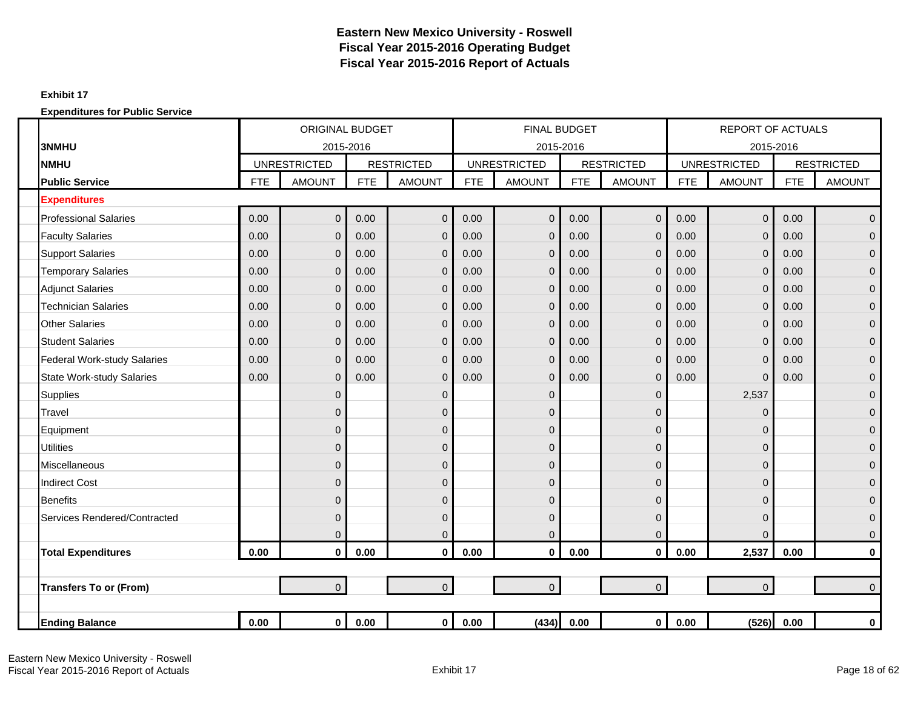#### **Exhibit 17**

|                                  |            | <b>ORIGINAL BUDGET</b> |            |                   |            | <b>FINAL BUDGET</b> |            |                   |            | <b>REPORT OF ACTUALS</b> |            |                   |
|----------------------------------|------------|------------------------|------------|-------------------|------------|---------------------|------------|-------------------|------------|--------------------------|------------|-------------------|
| <b>3NMHU</b>                     |            | 2015-2016              |            |                   |            | 2015-2016           |            |                   |            | 2015-2016                |            |                   |
| <b>NMHU</b>                      |            | <b>UNRESTRICTED</b>    |            | <b>RESTRICTED</b> |            | <b>UNRESTRICTED</b> |            | <b>RESTRICTED</b> |            | <b>UNRESTRICTED</b>      |            | <b>RESTRICTED</b> |
| <b>Public Service</b>            | <b>FTE</b> | <b>AMOUNT</b>          | <b>FTE</b> | <b>AMOUNT</b>     | <b>FTE</b> | <b>AMOUNT</b>       | <b>FTE</b> | <b>AMOUNT</b>     | <b>FTE</b> | <b>AMOUNT</b>            | <b>FTE</b> | <b>AMOUNT</b>     |
| <b>Expenditures</b>              |            |                        |            |                   |            |                     |            |                   |            |                          |            |                   |
| <b>Professional Salaries</b>     | 0.00       | $\overline{0}$         | 0.00       | $\boldsymbol{0}$  | 0.00       | $\mathbf 0$         | 0.00       | $\mathbf 0$       | 0.00       | $\mathbf{0}$             | 0.00       | $\overline{0}$    |
| <b>Faculty Salaries</b>          | 0.00       | $\mathbf{0}$           | 0.00       | $\mathbf 0$       | 0.00       | $\mathbf{0}$        | 0.00       | $\mathbf 0$       | 0.00       | $\mathbf 0$              | 0.00       | $\overline{0}$    |
| <b>Support Salaries</b>          | 0.00       | $\Omega$               | 0.00       | $\mathbf{0}$      | 0.00       | $\Omega$            | 0.00       | $\overline{0}$    | 0.00       | $\mathbf 0$              | 0.00       | $\overline{0}$    |
| <b>Temporary Salaries</b>        | 0.00       | $\Omega$               | 0.00       | $\mathbf 0$       | 0.00       | $\Omega$            | 0.00       | $\overline{0}$    | 0.00       | $\mathbf 0$              | 0.00       | $\overline{0}$    |
| <b>Adjunct Salaries</b>          | 0.00       | $\Omega$               | 0.00       | $\mathbf 0$       | 0.00       | $\mathbf{0}$        | 0.00       | $\overline{0}$    | 0.00       | $\mathbf 0$              | 0.00       | $\overline{0}$    |
| <b>Technician Salaries</b>       | 0.00       | $\mathbf 0$            | 0.00       | $\mathbf 0$       | 0.00       | $\Omega$            | 0.00       | 0                 | 0.00       | $\mathbf 0$              | 0.00       | $\overline{0}$    |
| <b>Other Salaries</b>            | 0.00       | $\Omega$               | 0.00       | $\mathbf 0$       | 0.00       | $\mathbf{0}$        | 0.00       | $\overline{0}$    | 0.00       | $\overline{0}$           | 0.00       | $\overline{0}$    |
| <b>Student Salaries</b>          | 0.00       | $\mathbf{0}$           | 0.00       | $\mathbf 0$       | 0.00       | $\overline{0}$      | 0.00       | $\mathbf 0$       | 0.00       | $\overline{0}$           | 0.00       | $\overline{0}$    |
| Federal Work-study Salaries      | 0.00       | $\Omega$               | 0.00       | $\mathbf 0$       | 0.00       | $\Omega$            | 0.00       | $\mathbf 0$       | 0.00       | $\mathbf 0$              | 0.00       | $\mathbf{0}$      |
| <b>State Work-study Salaries</b> | 0.00       | $\Omega$               | 0.00       | $\mathbf{0}$      | 0.00       | $\Omega$            | 0.00       | $\overline{0}$    | 0.00       | $\Omega$                 | 0.00       | $\overline{0}$    |
| <b>Supplies</b>                  |            | $\mathbf{0}$           |            | $\mathbf 0$       |            | $\mathbf{0}$        |            | $\mathbf{0}$      |            | 2,537                    |            | $\overline{0}$    |
| Travel                           |            | $\Omega$               |            | $\mathbf{0}$      |            | $\mathbf{0}$        |            | $\Omega$          |            | $\mathbf 0$              |            | $\overline{0}$    |
| Equipment                        |            | $\Omega$               |            | $\mathbf 0$       |            | 0                   |            | 0                 |            | $\mathbf 0$              |            | $\mathbf 0$       |
| <b>Utilities</b>                 |            | $\Omega$               |            | $\mathbf{0}$      |            | $\mathbf 0$         |            | $\Omega$          |            | $\mathbf 0$              |            | $\overline{0}$    |
| Miscellaneous                    |            | $\mathbf 0$            |            | $\mathbf{0}$      |            | $\mathbf 0$         |            | 0                 |            | $\mathbf 0$              |            | $\overline{0}$    |
| <b>Indirect Cost</b>             |            | $\Omega$               |            | $\mathbf{0}$      |            | 0                   |            | $\Omega$          |            | 0                        |            | $\overline{0}$    |
| <b>Benefits</b>                  |            | $\mathbf 0$            |            | $\mathbf{0}$      |            | $\mathbf{0}$        |            | $\mathbf{0}$      |            | $\mathbf{0}$             |            | $\overline{0}$    |
| Services Rendered/Contracted     |            | $\Omega$               |            | $\mathbf{0}$      |            | $\overline{0}$      |            | $\Omega$          |            | $\mathbf 0$              |            | $\overline{0}$    |
|                                  |            | $\mathbf{0}$           |            | $\pmb{0}$         |            | $\Omega$            |            | $\overline{0}$    |            | $\Omega$                 |            | $\mathbf 0$       |
| <b>Total Expenditures</b>        | 0.00       | $\mathbf 0$            | 0.00       | $\mathbf 0$       | 0.00       | $\mathbf 0$         | 0.00       | $\mathbf 0$       | 0.00       | 2,537                    | 0.00       | $\mathbf 0$       |
|                                  |            |                        |            |                   |            |                     |            |                   |            |                          |            |                   |
| <b>Transfers To or (From)</b>    |            | $\overline{0}$         |            | $\overline{0}$    |            | $\overline{0}$      |            | $\overline{0}$    |            | $\overline{0}$           |            | $\overline{0}$    |
|                                  |            |                        |            |                   |            |                     |            |                   |            |                          |            |                   |
| <b>Ending Balance</b>            | 0.00       | $\mathbf 0$            | 0.00       | $\mathbf{0}$      | 0.00       | (434)               | 0.00       | $\mathbf{0}$      | 0.00       | (526)                    | 0.00       | $\pmb{0}$         |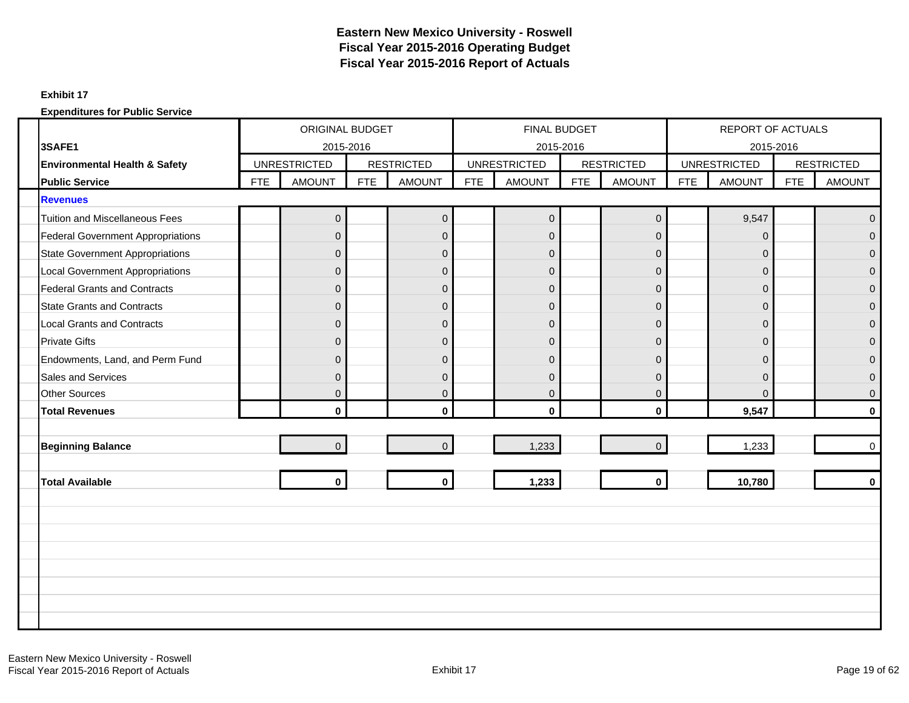### **Exhibit 17**

|                                          |            | <b>ORIGINAL BUDGET</b> |            |                   |            | FINAL BUDGET        |            |                     |            | <b>REPORT OF ACTUALS</b> |            |                   |
|------------------------------------------|------------|------------------------|------------|-------------------|------------|---------------------|------------|---------------------|------------|--------------------------|------------|-------------------|
| 3SAFE1                                   |            | 2015-2016              |            |                   |            | 2015-2016           |            |                     |            | 2015-2016                |            |                   |
| Environmental Health & Safety            |            | <b>UNRESTRICTED</b>    |            | <b>RESTRICTED</b> |            | <b>UNRESTRICTED</b> |            | <b>RESTRICTED</b>   |            | <b>UNRESTRICTED</b>      |            | <b>RESTRICTED</b> |
| <b>Public Service</b>                    | <b>FTE</b> | <b>AMOUNT</b>          | <b>FTE</b> | <b>AMOUNT</b>     | <b>FTE</b> | <b>AMOUNT</b>       | <b>FTE</b> | <b>AMOUNT</b>       | <b>FTE</b> | <b>AMOUNT</b>            | <b>FTE</b> | <b>AMOUNT</b>     |
| <b>Revenues</b>                          |            |                        |            |                   |            |                     |            |                     |            |                          |            |                   |
| <b>Tuition and Miscellaneous Fees</b>    |            | $\pmb{0}$              |            | $\mathbf 0$       |            | $\mathbf 0$         |            | $\mathsf{O}\xspace$ |            | 9,547                    |            | $\Omega$          |
| <b>Federal Government Appropriations</b> |            | $\Omega$               |            | $\mathbf 0$       |            | $\Omega$            |            | $\Omega$            |            | $\Omega$                 |            | $\Omega$          |
| <b>State Government Appropriations</b>   |            | $\mathbf{0}$           |            | $\mathbf 0$       |            | $\overline{0}$      |            | $\overline{0}$      |            | $\mathbf{0}$             |            | $\Omega$          |
| <b>Local Government Appropriations</b>   |            | $\mathbf{0}$           |            | $\mathbf 0$       |            | $\mathbf 0$         |            | $\mathbf 0$         |            | $\mathbf 0$              |            | $\Omega$          |
| <b>Federal Grants and Contracts</b>      |            | $\Omega$               |            | $\mathbf{0}$      |            | $\overline{0}$      |            | $\Omega$            |            | $\mathbf{0}$             |            | $\overline{0}$    |
| <b>State Grants and Contracts</b>        |            | $\mathbf{0}$           |            | $\mathbf 0$       |            | $\overline{0}$      |            | $\mathbf 0$         |            | $\mathbf{0}$             |            | $\Omega$          |
| <b>Local Grants and Contracts</b>        |            | $\Omega$               |            | $\mathbf{0}$      |            | $\overline{0}$      |            | $\mathbf{0}$        |            | $\mathbf{0}$             |            | $\Omega$          |
| <b>Private Gifts</b>                     |            | $\mathbf{0}$           |            | $\mathbf 0$       |            | $\overline{0}$      |            | $\mathbf 0$         |            | $\mathbf{0}$             |            | $\Omega$          |
| Endowments, Land, and Perm Fund          |            | $\Omega$               |            | $\mathbf{0}$      |            | $\Omega$            |            | $\Omega$            |            | $\Omega$                 |            | $\Omega$          |
| <b>Sales and Services</b>                |            | $\mathbf{0}$           |            | $\mathsf 0$       |            | $\overline{0}$      |            | $\overline{0}$      |            | $\mathbf{0}$             |            | $\Omega$          |
| <b>Other Sources</b>                     |            | $\Omega$               |            | $\mathbf{0}$      |            | $\overline{0}$      |            | $\Omega$            |            | $\Omega$                 |            | $\Omega$          |
| <b>Total Revenues</b>                    |            | $\mathbf{0}$           |            | $\mathbf{0}$      |            | $\mathbf{0}$        |            | $\mathbf{0}$        |            | 9,547                    |            | $\mathbf{0}$      |
|                                          |            |                        |            |                   |            |                     |            |                     |            |                          |            |                   |
| <b>Beginning Balance</b>                 |            | $\Omega$               |            | $\overline{0}$    |            | 1,233               |            | $\Omega$            |            | 1,233                    |            | $\Omega$          |
|                                          |            |                        |            |                   |            |                     |            |                     |            |                          |            |                   |
| <b>Total Available</b>                   |            | $\mathbf{0}$           |            | $\mathbf 0$       |            | 1,233               |            | $\mathbf{0}$        |            | 10,780                   |            | $\mathbf{0}$      |
|                                          |            |                        |            |                   |            |                     |            |                     |            |                          |            |                   |
|                                          |            |                        |            |                   |            |                     |            |                     |            |                          |            |                   |
|                                          |            |                        |            |                   |            |                     |            |                     |            |                          |            |                   |
|                                          |            |                        |            |                   |            |                     |            |                     |            |                          |            |                   |
|                                          |            |                        |            |                   |            |                     |            |                     |            |                          |            |                   |
|                                          |            |                        |            |                   |            |                     |            |                     |            |                          |            |                   |
|                                          |            |                        |            |                   |            |                     |            |                     |            |                          |            |                   |
|                                          |            |                        |            |                   |            |                     |            |                     |            |                          |            |                   |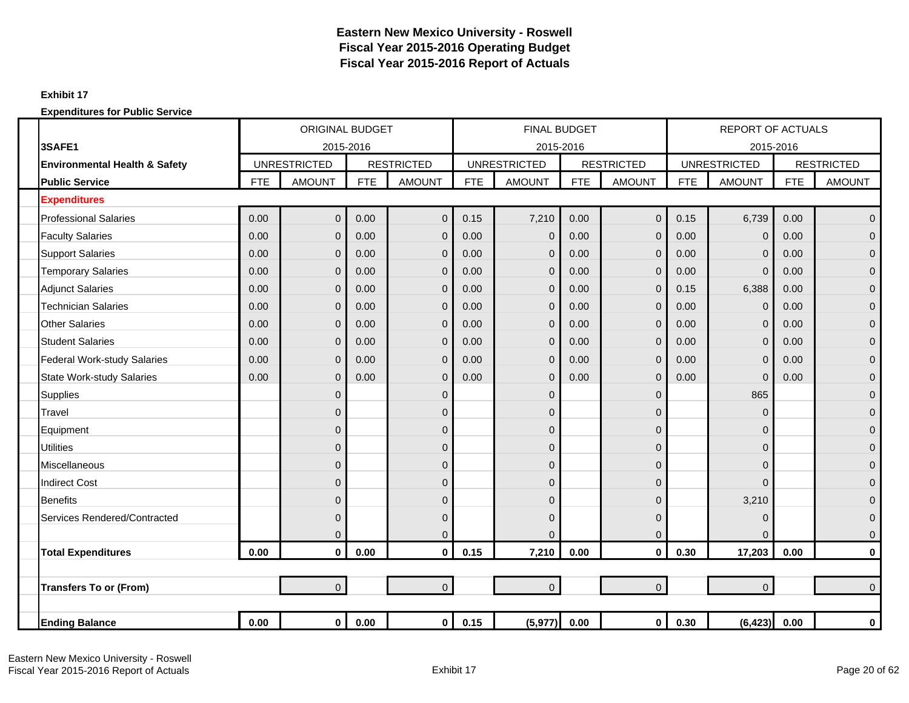### **Exhibit 17**

|                                          |            | <b>ORIGINAL BUDGET</b> |            |                   |            | <b>FINAL BUDGET</b> |            |                   |            | <b>REPORT OF ACTUALS</b> |            |                   |
|------------------------------------------|------------|------------------------|------------|-------------------|------------|---------------------|------------|-------------------|------------|--------------------------|------------|-------------------|
| 3SAFE1                                   |            | 2015-2016              |            |                   |            | 2015-2016           |            |                   |            | 2015-2016                |            |                   |
| <b>Environmental Health &amp; Safety</b> |            | <b>UNRESTRICTED</b>    |            | <b>RESTRICTED</b> |            | <b>UNRESTRICTED</b> |            | <b>RESTRICTED</b> |            | <b>UNRESTRICTED</b>      |            | <b>RESTRICTED</b> |
| <b>Public Service</b>                    | <b>FTE</b> | <b>AMOUNT</b>          | <b>FTE</b> | <b>AMOUNT</b>     | <b>FTE</b> | <b>AMOUNT</b>       | <b>FTE</b> | <b>AMOUNT</b>     | <b>FTE</b> | <b>AMOUNT</b>            | <b>FTE</b> | <b>AMOUNT</b>     |
| <b>Expenditures</b>                      |            |                        |            |                   |            |                     |            |                   |            |                          |            |                   |
| <b>Professional Salaries</b>             | 0.00       | $\mathbf 0$            | 0.00       | $\overline{0}$    | 0.15       | 7,210               | 0.00       | $\mathbf{0}$      | 0.15       | 6,739                    | 0.00       | $\mathbf 0$       |
| <b>Faculty Salaries</b>                  | 0.00       | $\mathbf{0}$           | 0.00       | $\mathbf 0$       | 0.00       | $\mathbf 0$         | 0.00       | $\mathbf{0}$      | 0.00       | $\mathbf 0$              | 0.00       | $\mathbf 0$       |
| <b>Support Salaries</b>                  | 0.00       | $\mathbf 0$            | 0.00       | $\mathbf 0$       | 0.00       | 0                   | 0.00       | $\overline{0}$    | 0.00       | $\mathbf 0$              | 0.00       | $\mathbf 0$       |
| <b>Temporary Salaries</b>                | 0.00       | $\overline{0}$         | 0.00       | $\Omega$          | 0.00       | $\overline{0}$      | 0.00       | $\Omega$          | 0.00       | $\mathbf 0$              | 0.00       | $\Omega$          |
| <b>Adjunct Salaries</b>                  | 0.00       | $\overline{0}$         | 0.00       | $\overline{0}$    | 0.00       | $\overline{0}$      | 0.00       | $\Omega$          | 0.15       | 6,388                    | 0.00       | $\mathbf{0}$      |
| <b>Technician Salaries</b>               | 0.00       | $\overline{0}$         | 0.00       | $\Omega$          | 0.00       | 0                   | 0.00       | $\mathbf{0}$      | 0.00       | $\mathbf 0$              | 0.00       | $\mathbf{0}$      |
| <b>Other Salaries</b>                    | 0.00       | $\mathbf 0$            | 0.00       | $\mathbf 0$       | 0.00       | $\mathbf{0}$        | 0.00       | $\overline{0}$    | 0.00       | $\mathbf 0$              | 0.00       | $\mathbf 0$       |
| <b>Student Salaries</b>                  | 0.00       | $\overline{0}$         | 0.00       | $\mathbf 0$       | 0.00       | $\mathbf{0}$        | 0.00       | $\mathbf{0}$      | 0.00       | $\mathbf 0$              | 0.00       | $\mathbf{0}$      |
| <b>Federal Work-study Salaries</b>       | 0.00       | $\overline{0}$         | 0.00       | $\mathbf 0$       | 0.00       | $\overline{0}$      | 0.00       | $\Omega$          | 0.00       | $\mathbf 0$              | 0.00       | $\overline{0}$    |
| <b>State Work-study Salaries</b>         | 0.00       | $\overline{0}$         | 0.00       | $\overline{0}$    | 0.00       | $\overline{0}$      | 0.00       | $\overline{0}$    | 0.00       | $\mathbf 0$              | 0.00       | $\mathbf 0$       |
| Supplies                                 |            | $\mathbf{0}$           |            | $\mathbf 0$       |            | 0                   |            | $\mathbf{0}$      |            | 865                      |            | $\mathbf 0$       |
| Travel                                   |            | $\overline{0}$         |            | $\overline{0}$    |            | 0                   |            | $\Omega$          |            | $\Omega$                 |            | $\mathbf{0}$      |
| Equipment                                |            | $\overline{0}$         |            | $\mathbf 0$       |            | $\overline{0}$      |            | $\Omega$          |            | 0                        |            | $\mathbf{0}$      |
| <b>Utilities</b>                         |            | $\overline{0}$         |            | $\mathbf 0$       |            | 0                   |            | $\Omega$          |            | $\mathbf 0$              |            | $\overline{0}$    |
| Miscellaneous                            |            | 0                      |            | $\overline{0}$    |            | 0                   |            | $\mathbf{0}$      |            | $\mathbf 0$              |            | $\mathbf 0$       |
| <b>Indirect Cost</b>                     |            | $\overline{0}$         |            | $\overline{0}$    |            | 0                   |            | $\overline{0}$    |            | 0                        |            | $\overline{0}$    |
| <b>Benefits</b>                          |            | $\overline{0}$         |            | $\Omega$          |            | 0                   |            | $\Omega$          |            | 3,210                    |            | $\mathbf{0}$      |
| Services Rendered/Contracted             |            | $\Omega$               |            | $\mathbf 0$       |            | 0                   |            | $\Omega$          |            | $\mathbf 0$              |            | $\mathbf{0}$      |
|                                          |            | 0                      |            | $\mathbf 0$       |            | 0                   |            | $\mathbf{0}$      |            | $\Omega$                 |            | $\mathbf 0$       |
| <b>Total Expenditures</b>                | 0.00       | $\mathbf 0$            | 0.00       | $\mathbf 0$       | 0.15       | 7,210               | 0.00       | $\mathbf{0}$      | 0.30       | 17,203                   | 0.00       | $\pmb{0}$         |
|                                          |            |                        |            |                   |            |                     |            |                   |            |                          |            |                   |
| <b>Transfers To or (From)</b>            |            | $\overline{0}$         |            | $\overline{0}$    |            | $\overline{0}$      |            | $\overline{0}$    |            | $\mathbf 0$              |            | $\Omega$          |
|                                          |            |                        |            |                   |            |                     |            |                   |            |                          |            |                   |
| <b>Ending Balance</b>                    | 0.00       | $\mathbf 0$            | 0.00       | $\mathbf{0}$      | 0.15       | (5, 977)            | 0.00       | $\mathbf{0}$      | 0.30       | (6, 423)                 | 0.00       | $\bf{0}$          |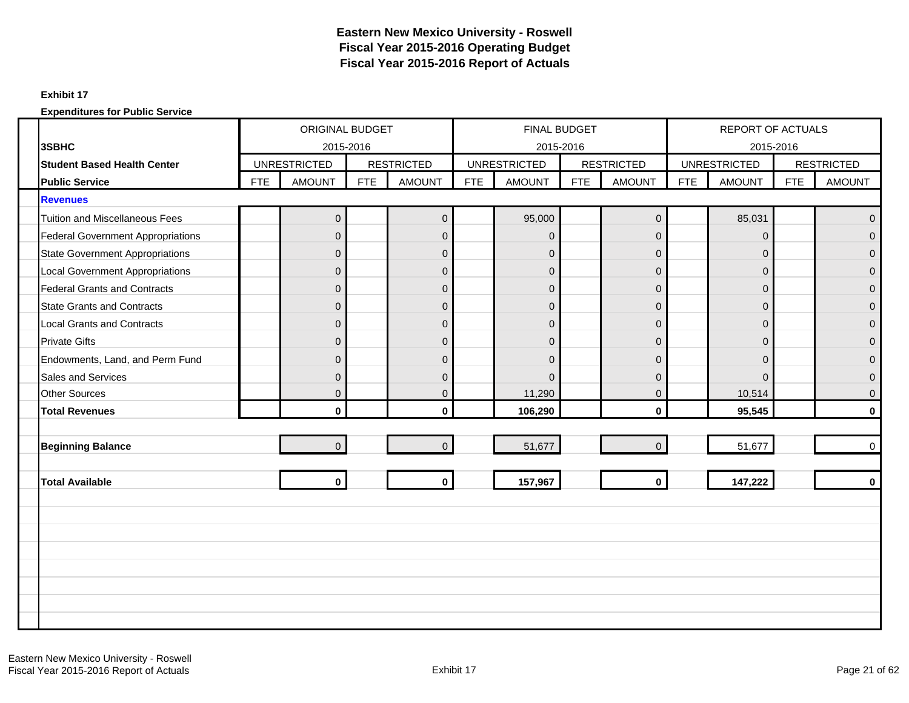### **Exhibit 17**

|                                          | ORIGINAL BUDGET<br><b>UNRESTRICTED</b> |                |            |                   |            | <b>FINAL BUDGET</b> |            |                     |            | <b>REPORT OF ACTUALS</b> |            |                   |
|------------------------------------------|----------------------------------------|----------------|------------|-------------------|------------|---------------------|------------|---------------------|------------|--------------------------|------------|-------------------|
| 3SBHC                                    |                                        | 2015-2016      |            |                   |            | 2015-2016           |            |                     |            | 2015-2016                |            |                   |
| <b>Student Based Health Center</b>       |                                        |                |            | <b>RESTRICTED</b> |            | <b>UNRESTRICTED</b> |            | <b>RESTRICTED</b>   |            | <b>UNRESTRICTED</b>      |            | <b>RESTRICTED</b> |
| <b>Public Service</b>                    | <b>FTE</b>                             | <b>AMOUNT</b>  | <b>FTE</b> | <b>AMOUNT</b>     | <b>FTE</b> | <b>AMOUNT</b>       | <b>FTE</b> | <b>AMOUNT</b>       | <b>FTE</b> | <b>AMOUNT</b>            | <b>FTE</b> | <b>AMOUNT</b>     |
| <b>Revenues</b>                          |                                        |                |            |                   |            |                     |            |                     |            |                          |            |                   |
| <b>Tuition and Miscellaneous Fees</b>    |                                        | $\overline{0}$ |            | $\mathbf 0$       |            | 95,000              |            | $\mathsf{O}\xspace$ |            | 85,031                   |            | $\Omega$          |
| <b>Federal Government Appropriations</b> |                                        | $\Omega$       |            | $\mathbf 0$       |            | $\Omega$            |            | $\Omega$            |            | $\Omega$                 |            | $\Omega$          |
| <b>State Government Appropriations</b>   |                                        | $\Omega$       |            | $\pmb{0}$         |            | $\overline{0}$      |            | $\overline{0}$      |            | $\mathbf{0}$             |            | $\Omega$          |
| <b>Local Government Appropriations</b>   |                                        | 0              |            | $\pmb{0}$         |            | $\overline{0}$      |            | $\mathbf 0$         |            | $\mathbf 0$              |            | $\mathbf{0}$      |
| <b>Federal Grants and Contracts</b>      |                                        | $\Omega$       |            | $\pmb{0}$         |            | $\overline{0}$      |            | $\Omega$            |            | $\Omega$                 |            | $\overline{0}$    |
| <b>State Grants and Contracts</b>        |                                        | $\mathbf{0}$   |            | $\pmb{0}$         |            | $\overline{0}$      |            | $\mathbf 0$         |            | $\mathbf 0$              |            | $\mathbf{0}$      |
| <b>Local Grants and Contracts</b>        |                                        | $\Omega$       |            | $\mathbf 0$       |            | $\overline{0}$      |            | $\Omega$            |            | $\mathbf{0}$             |            | $\Omega$          |
| <b>Private Gifts</b>                     |                                        | $\Omega$       |            | $\mathbf 0$       |            | $\overline{0}$      |            | $\mathbf 0$         |            | $\mathbf{0}$             |            | $\Omega$          |
| Endowments, Land, and Perm Fund          |                                        | $\Omega$       |            | $\overline{0}$    |            | $\Omega$            |            | $\Omega$            |            | $\Omega$                 |            | $\Omega$          |
| Sales and Services                       |                                        | $\Omega$       |            | $\pmb{0}$         |            | $\Omega$            |            | $\Omega$            |            | $\Omega$                 |            | $\overline{0}$    |
| <b>Other Sources</b>                     |                                        | $\Omega$       |            | $\overline{0}$    |            | 11,290              |            | $\Omega$            |            | 10,514                   |            | $\Omega$          |
| <b>Total Revenues</b>                    |                                        | $\mathbf{0}$   |            | $\mathbf 0$       |            | 106,290             |            | $\mathbf{0}$        |            | 95,545                   |            | $\mathbf{0}$      |
|                                          |                                        |                |            |                   |            |                     |            |                     |            |                          |            |                   |
| <b>Beginning Balance</b>                 |                                        | $\overline{0}$ |            | $\mathbf 0$       |            | 51,677              |            | $\Omega$            |            | 51,677                   |            | $\mathbf 0$       |
|                                          |                                        |                |            |                   |            |                     |            |                     |            |                          |            |                   |
| <b>Total Available</b>                   |                                        | $\mathbf{0}$   |            | $\mathbf{0}$      |            | 157,967             |            | $\mathbf 0$         |            | 147,222                  |            | $\mathbf{0}$      |
|                                          |                                        |                |            |                   |            |                     |            |                     |            |                          |            |                   |
|                                          |                                        |                |            |                   |            |                     |            |                     |            |                          |            |                   |
|                                          |                                        |                |            |                   |            |                     |            |                     |            |                          |            |                   |
|                                          |                                        |                |            |                   |            |                     |            |                     |            |                          |            |                   |
|                                          |                                        |                |            |                   |            |                     |            |                     |            |                          |            |                   |
|                                          |                                        |                |            |                   |            |                     |            |                     |            |                          |            |                   |
|                                          |                                        |                |            |                   |            |                     |            |                     |            |                          |            |                   |
|                                          |                                        |                |            |                   |            |                     |            |                     |            |                          |            |                   |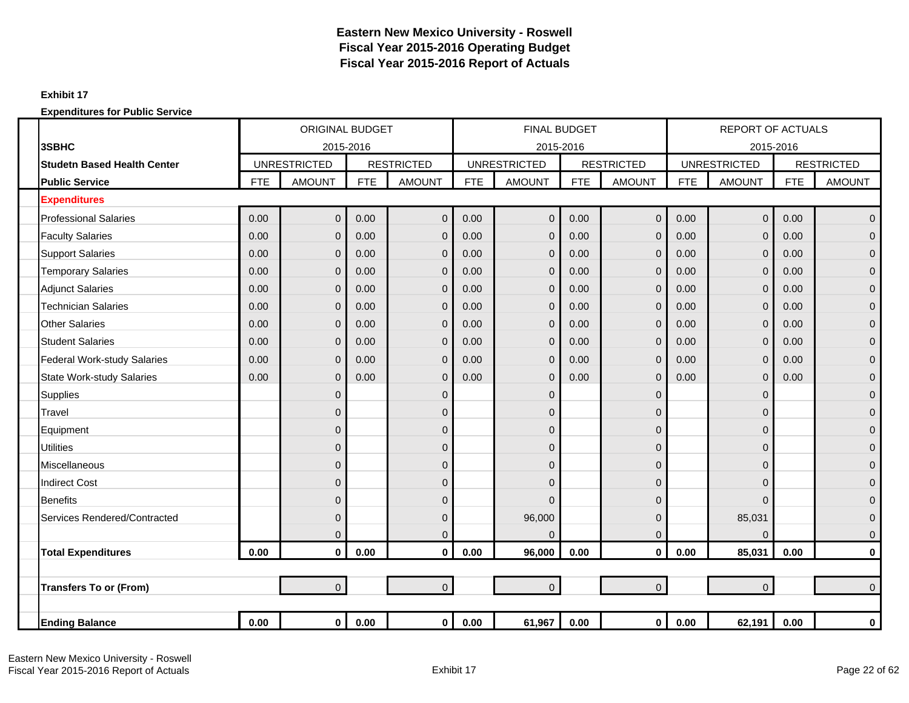### **Exhibit 17**

|                                    |            | <b>ORIGINAL BUDGET</b> |            |                   |            | <b>FINAL BUDGET</b> |            |                   |            | <b>REPORT OF ACTUALS</b> |            |                   |
|------------------------------------|------------|------------------------|------------|-------------------|------------|---------------------|------------|-------------------|------------|--------------------------|------------|-------------------|
| 3SBHC                              |            | 2015-2016              |            |                   |            | 2015-2016           |            |                   |            | 2015-2016                |            |                   |
| <b>Studetn Based Health Center</b> |            | <b>UNRESTRICTED</b>    |            | <b>RESTRICTED</b> |            | <b>UNRESTRICTED</b> |            | <b>RESTRICTED</b> |            | <b>UNRESTRICTED</b>      |            | <b>RESTRICTED</b> |
| <b>Public Service</b>              | <b>FTE</b> | <b>AMOUNT</b>          | <b>FTE</b> | <b>AMOUNT</b>     | <b>FTE</b> | <b>AMOUNT</b>       | <b>FTE</b> | <b>AMOUNT</b>     | <b>FTE</b> | <b>AMOUNT</b>            | <b>FTE</b> | <b>AMOUNT</b>     |
| <b>Expenditures</b>                |            |                        |            |                   |            |                     |            |                   |            |                          |            |                   |
| <b>Professional Salaries</b>       | 0.00       | $\mathbf 0$            | 0.00       | $\overline{0}$    | 0.00       | $\overline{0}$      | 0.00       | $\overline{0}$    | 0.00       | $\overline{0}$           | 0.00       | $\mathbf 0$       |
| <b>Faculty Salaries</b>            | 0.00       | $\mathbf{0}$           | 0.00       | $\mathbf 0$       | 0.00       | $\overline{0}$      | 0.00       | $\overline{0}$    | 0.00       | $\mathbf 0$              | 0.00       | $\mathbf 0$       |
| <b>Support Salaries</b>            | 0.00       | $\mathbf 0$            | 0.00       | $\mathbf 0$       | 0.00       | 0                   | 0.00       | $\overline{0}$    | 0.00       | $\mathbf 0$              | 0.00       | $\mathbf 0$       |
| <b>Temporary Salaries</b>          | 0.00       | $\overline{0}$         | 0.00       | $\overline{0}$    | 0.00       | $\overline{0}$      | 0.00       | $\overline{0}$    | 0.00       | $\mathbf 0$              | 0.00       | $\overline{0}$    |
| <b>Adjunct Salaries</b>            | 0.00       | $\overline{0}$         | 0.00       | $\overline{0}$    | 0.00       | $\overline{0}$      | 0.00       | $\overline{0}$    | 0.00       | $\mathbf 0$              | 0.00       | $\mathbf{0}$      |
| <b>Technician Salaries</b>         | 0.00       | $\overline{0}$         | 0.00       | $\Omega$          | 0.00       | 0                   | 0.00       | $\overline{0}$    | 0.00       | $\mathbf 0$              | 0.00       | $\mathbf{0}$      |
| <b>Other Salaries</b>              | 0.00       | $\mathbf 0$            | 0.00       | $\mathbf 0$       | 0.00       | $\mathbf{0}$        | 0.00       | $\overline{0}$    | 0.00       | $\mathbf 0$              | 0.00       | $\mathbf 0$       |
| <b>Student Salaries</b>            | 0.00       | $\overline{0}$         | 0.00       | $\mathbf 0$       | 0.00       | $\mathbf{0}$        | 0.00       | $\mathbf{0}$      | 0.00       | $\mathbf 0$              | 0.00       | $\mathbf{0}$      |
| <b>Federal Work-study Salaries</b> | 0.00       | $\overline{0}$         | 0.00       | $\overline{0}$    | 0.00       | $\overline{0}$      | 0.00       | $\overline{0}$    | 0.00       | $\mathbf 0$              | 0.00       | $\overline{0}$    |
| <b>State Work-study Salaries</b>   | 0.00       | $\overline{0}$         | 0.00       | $\overline{0}$    | 0.00       | $\overline{0}$      | 0.00       | $\overline{0}$    | 0.00       | $\mathbf 0$              | 0.00       | $\mathbf 0$       |
| <b>Supplies</b>                    |            | $\mathbf{0}$           |            | $\mathbf 0$       |            | 0                   |            | $\mathbf{0}$      |            | $\pmb{0}$                |            | $\mathbf 0$       |
| Travel                             |            | $\overline{0}$         |            | $\overline{0}$    |            | 0                   |            | $\Omega$          |            | $\mathbf 0$              |            | $\mathbf{0}$      |
| Equipment                          |            | $\overline{0}$         |            | $\mathbf 0$       |            | $\overline{0}$      |            | $\Omega$          |            | 0                        |            | $\mathbf{0}$      |
| <b>Utilities</b>                   |            | $\overline{0}$         |            | $\mathbf 0$       |            | 0                   |            | $\Omega$          |            | $\mathbf 0$              |            | $\overline{0}$    |
| Miscellaneous                      |            | 0                      |            | $\mathbf 0$       |            | 0                   |            | $\mathbf{0}$      |            | $\mathbf 0$              |            | $\mathbf 0$       |
| <b>Indirect Cost</b>               |            | $\overline{0}$         |            | $\overline{0}$    |            | 0                   |            | $\mathbf{0}$      |            | 0                        |            | $\overline{0}$    |
| <b>Benefits</b>                    |            | $\overline{0}$         |            | $\overline{0}$    |            | $\Omega$            |            | $\Omega$          |            | $\Omega$                 |            | $\mathbf{0}$      |
| Services Rendered/Contracted       |            | $\mathbf{0}$           |            | $\mathbf 0$       |            | 96,000              |            | $\Omega$          |            | 85,031                   |            | $\mathbf{0}$      |
|                                    |            | $\mathbf{0}$           |            | $\mathbf 0$       |            | $\Omega$            |            | $\mathbf{0}$      |            | $\Omega$                 |            | $\mathbf 0$       |
| <b>Total Expenditures</b>          | 0.00       | $\mathbf 0$            | 0.00       | $\mathbf 0$       | 0.00       | 96,000              | 0.00       | $\mathbf 0$       | 0.00       | 85,031                   | 0.00       | $\pmb{0}$         |
|                                    |            |                        |            |                   |            |                     |            |                   |            |                          |            |                   |
| <b>Transfers To or (From)</b>      |            | $\overline{0}$         |            | $\overline{0}$    |            | $\overline{0}$      |            | $\overline{0}$    |            | $\mathbf 0$              |            | $\Omega$          |
|                                    |            |                        |            |                   |            |                     |            |                   |            |                          |            |                   |
| <b>Ending Balance</b>              | 0.00       | $\mathbf 0$            | 0.00       | $\mathbf{0}$      | 0.00       | 61,967              | 0.00       | $\mathbf{0}$      | 0.00       | 62,191                   | 0.00       | $\bf{0}$          |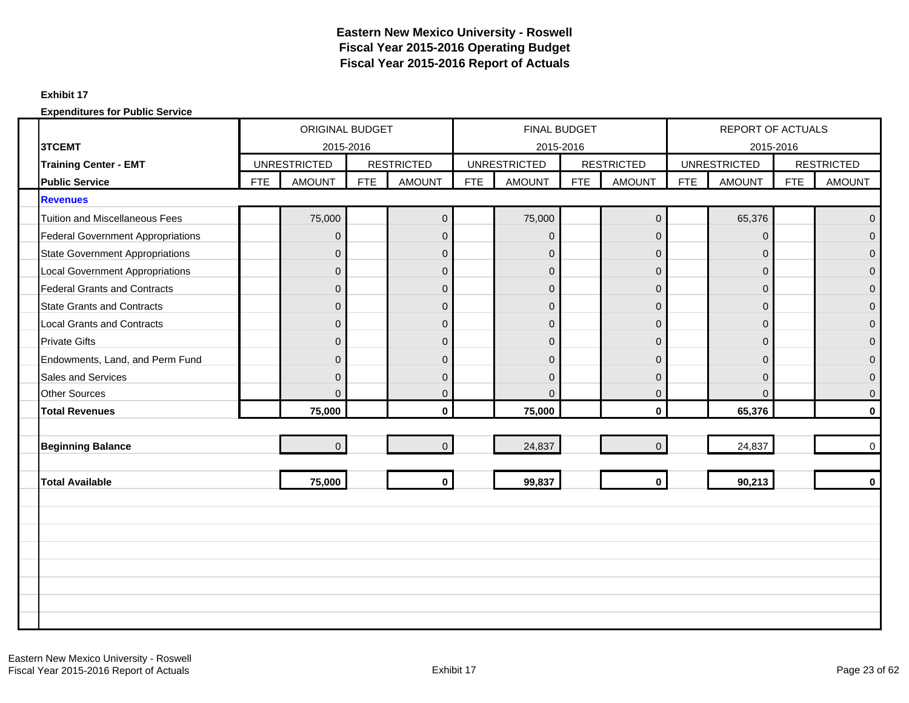#### **Exhibit 17**

|                                          | ORIGINAL BUDGET<br><b>UNRESTRICTED</b> |                |            |                   |            | <b>FINAL BUDGET</b> |     |                     |            | REPORT OF ACTUALS   |            |                   |
|------------------------------------------|----------------------------------------|----------------|------------|-------------------|------------|---------------------|-----|---------------------|------------|---------------------|------------|-------------------|
| 3TCEMT                                   |                                        | 2015-2016      |            |                   |            | 2015-2016           |     |                     |            | 2015-2016           |            |                   |
| <b>Training Center - EMT</b>             |                                        |                |            | <b>RESTRICTED</b> |            | <b>UNRESTRICTED</b> |     | <b>RESTRICTED</b>   |            | <b>UNRESTRICTED</b> |            | <b>RESTRICTED</b> |
| <b>Public Service</b>                    | <b>FTE</b>                             | <b>AMOUNT</b>  | <b>FTE</b> | <b>AMOUNT</b>     | <b>FTE</b> | <b>AMOUNT</b>       | FTE | <b>AMOUNT</b>       | <b>FTE</b> | <b>AMOUNT</b>       | <b>FTE</b> | <b>AMOUNT</b>     |
| <b>Revenues</b>                          |                                        |                |            |                   |            |                     |     |                     |            |                     |            |                   |
| <b>Tuition and Miscellaneous Fees</b>    |                                        | 75,000         |            | $\mathbf 0$       |            | 75,000              |     | $\mathsf{O}\xspace$ |            | 65,376              |            | $\Omega$          |
| <b>Federal Government Appropriations</b> |                                        | $\mathbf{0}$   |            | $\mathbf 0$       |            | $\overline{0}$      |     | $\mathbf{0}$        |            | $\overline{0}$      |            | $\Omega$          |
| <b>State Government Appropriations</b>   |                                        | $\mathbf{0}$   |            | $\mathbf 0$       |            | $\mathbf 0$         |     | $\mathbf 0$         |            | $\mathbf 0$         |            | $\mathbf{0}$      |
| <b>Local Government Appropriations</b>   |                                        | $\Omega$       |            | $\pmb{0}$         |            | $\overline{0}$      |     | $\Omega$            |            | $\mathbf{0}$        |            | $\Omega$          |
| <b>Federal Grants and Contracts</b>      |                                        | $\mathbf{0}$   |            | $\mathbf 0$       |            | $\overline{0}$      |     | $\mathbf 0$         |            | $\mathbf{0}$        |            | $\overline{0}$    |
| <b>State Grants and Contracts</b>        |                                        | $\mathbf{0}$   |            | $\mathbf 0$       |            | $\overline{0}$      |     | $\overline{0}$      |            | $\mathbf{0}$        |            | $\Omega$          |
| <b>Local Grants and Contracts</b>        |                                        | $\Omega$       |            | $\mathsf 0$       |            | $\overline{0}$      |     | $\mathbf{0}$        |            | $\mathbf{0}$        |            | $\Omega$          |
| <b>Private Gifts</b>                     |                                        | $\mathbf{0}$   |            | $\mathbf 0$       |            | $\mathbf 0$         |     | $\mathbf 0$         |            | $\mathbf{0}$        |            | $\Omega$          |
| Endowments, Land, and Perm Fund          |                                        | $\Omega$       |            | $\overline{0}$    |            | $\Omega$            |     | $\Omega$            |            | $\Omega$            |            | $\Omega$          |
| <b>Sales and Services</b>                |                                        | $\mathbf{0}$   |            | $\pmb{0}$         |            | $\overline{0}$      |     | $\Omega$            |            | $\mathbf{0}$        |            | $\Omega$          |
| <b>Other Sources</b>                     |                                        | $\mathbf{0}$   |            | $\mathbf 0$       |            | $\Omega$            |     | $\mathbf 0$         |            | $\mathbf{0}$        |            | $\mathbf{0}$      |
| <b>Total Revenues</b>                    |                                        | 75,000         |            | $\mathbf{0}$      |            | 75,000              |     | $\mathbf{0}$        |            | 65,376              |            | $\mathbf{0}$      |
|                                          |                                        |                |            |                   |            |                     |     |                     |            |                     |            |                   |
| <b>Beginning Balance</b>                 |                                        | $\overline{0}$ |            | $\overline{0}$    |            | 24,837              |     | $\Omega$            |            | 24,837              |            | $\Omega$          |
|                                          |                                        |                |            |                   |            |                     |     |                     |            |                     |            |                   |
| <b>Total Available</b>                   |                                        | 75,000         |            | $\mathbf{0}$      |            | 99,837              |     | $\mathbf 0$         |            | 90,213              |            | $\mathbf{0}$      |
|                                          |                                        |                |            |                   |            |                     |     |                     |            |                     |            |                   |
|                                          |                                        |                |            |                   |            |                     |     |                     |            |                     |            |                   |
|                                          |                                        |                |            |                   |            |                     |     |                     |            |                     |            |                   |
|                                          |                                        |                |            |                   |            |                     |     |                     |            |                     |            |                   |
|                                          |                                        |                |            |                   |            |                     |     |                     |            |                     |            |                   |
|                                          |                                        |                |            |                   |            |                     |     |                     |            |                     |            |                   |
|                                          |                                        |                |            |                   |            |                     |     |                     |            |                     |            |                   |
|                                          |                                        |                |            |                   |            |                     |     |                     |            |                     |            |                   |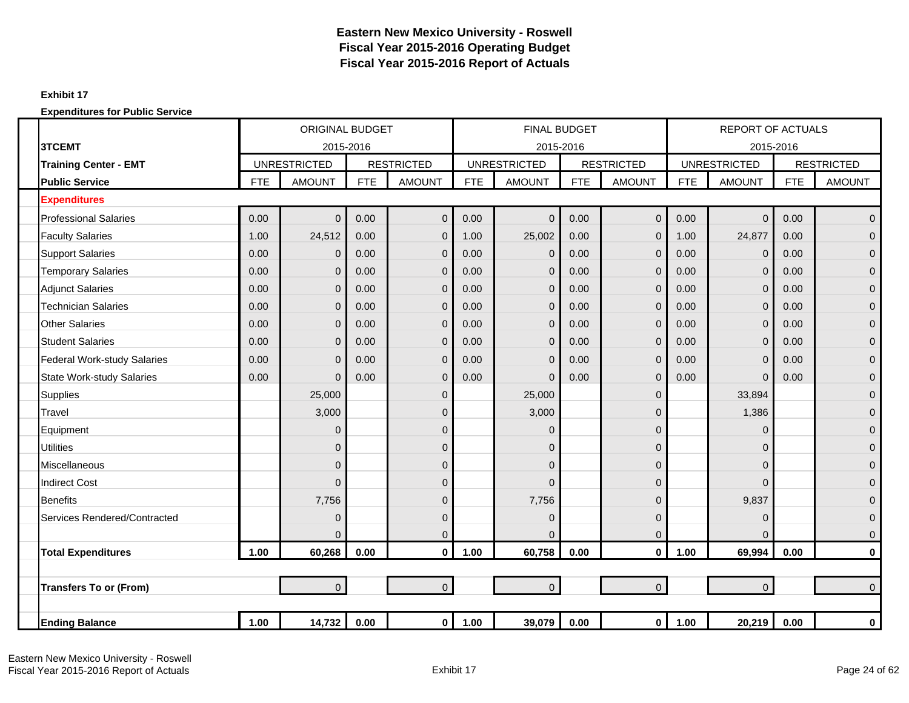### **Exhibit 17**

|                                    |            | <b>ORIGINAL BUDGET</b> |            |                   |            | <b>FINAL BUDGET</b> |            |                   |            | <b>REPORT OF ACTUALS</b> |            |                   |
|------------------------------------|------------|------------------------|------------|-------------------|------------|---------------------|------------|-------------------|------------|--------------------------|------------|-------------------|
| 3TCEMT                             |            | 2015-2016              |            |                   |            | 2015-2016           |            |                   |            | 2015-2016                |            |                   |
| <b>Training Center - EMT</b>       |            | <b>UNRESTRICTED</b>    |            | <b>RESTRICTED</b> |            | <b>UNRESTRICTED</b> |            | <b>RESTRICTED</b> |            | <b>UNRESTRICTED</b>      |            | <b>RESTRICTED</b> |
| <b>Public Service</b>              | <b>FTE</b> | <b>AMOUNT</b>          | <b>FTE</b> | <b>AMOUNT</b>     | <b>FTE</b> | <b>AMOUNT</b>       | <b>FTE</b> | <b>AMOUNT</b>     | <b>FTE</b> | <b>AMOUNT</b>            | <b>FTE</b> | <b>AMOUNT</b>     |
| <b>Expenditures</b>                |            |                        |            |                   |            |                     |            |                   |            |                          |            |                   |
| <b>Professional Salaries</b>       | 0.00       | $\mathbf{0}$           | 0.00       | $\overline{0}$    | 0.00       | $\mathbf{0}$        | 0.00       | $\overline{0}$    | 0.00       | $\overline{0}$           | 0.00       | $\overline{0}$    |
| <b>Faculty Salaries</b>            | 1.00       | 24,512                 | 0.00       | $\mathbf 0$       | 1.00       | 25,002              | 0.00       | $\mathbf{0}$      | 1.00       | 24,877                   | 0.00       | $\overline{0}$    |
| <b>Support Salaries</b>            | 0.00       | $\mathbf{0}$           | 0.00       | $\mathbf{0}$      | 0.00       | $\mathbf{0}$        | 0.00       | $\overline{0}$    | 0.00       | $\mathbf 0$              | 0.00       | $\mathbf{0}$      |
| <b>Temporary Salaries</b>          | 0.00       | $\mathbf{0}$           | 0.00       | $\overline{0}$    | 0.00       | $\Omega$            | 0.00       | $\overline{0}$    | 0.00       | $\overline{0}$           | 0.00       | $\overline{0}$    |
| <b>Adjunct Salaries</b>            | 0.00       | $\overline{0}$         | 0.00       | $\overline{0}$    | 0.00       | $\mathbf{0}$        | 0.00       | $\Omega$          | 0.00       | $\overline{0}$           | 0.00       | $\overline{0}$    |
| <b>Technician Salaries</b>         | 0.00       | $\mathbf{0}$           | 0.00       | $\mathbf 0$       | 0.00       | $\Omega$            | 0.00       | $\overline{0}$    | 0.00       | $\overline{0}$           | 0.00       | $\mathbf{0}$      |
| <b>Other Salaries</b>              | 0.00       | $\overline{0}$         | 0.00       | $\mathbf 0$       | 0.00       | $\mathbf{0}$        | 0.00       | $\mathbf{0}$      | 0.00       | $\mathbf 0$              | 0.00       | $\mathbf{0}$      |
| <b>Student Salaries</b>            | 0.00       | $\mathbf{0}$           | 0.00       | $\mathbf 0$       | 0.00       | $\Omega$            | 0.00       | $\overline{0}$    | 0.00       | $\overline{0}$           | 0.00       | $\overline{0}$    |
| <b>Federal Work-study Salaries</b> | 0.00       | $\Omega$               | 0.00       | $\mathbf 0$       | 0.00       | $\Omega$            | 0.00       | $\Omega$          | 0.00       | $\overline{0}$           | 0.00       | $\overline{0}$    |
| <b>State Work-study Salaries</b>   | 0.00       | $\mathbf{0}$           | 0.00       | $\overline{0}$    | 0.00       | $\Omega$            | 0.00       | $\overline{0}$    | 0.00       | $\overline{0}$           | 0.00       | $\overline{0}$    |
| Supplies                           |            | 25,000                 |            | $\mathbf 0$       |            | 25,000              |            | $\mathbf 0$       |            | 33,894                   |            | $\overline{0}$    |
| Travel                             |            | 3,000                  |            | $\mathbf 0$       |            | 3,000               |            | $\Omega$          |            | 1,386                    |            | $\mathbf{0}$      |
| Equipment                          |            | $\Omega$               |            | $\mathbf 0$       |            | $\Omega$            |            | $\Omega$          |            | $\Omega$                 |            | $\mathbf{0}$      |
| <b>Utilities</b>                   |            | $\mathbf{0}$           |            | $\mathbf 0$       |            | $\Omega$            |            | $\Omega$          |            | $\mathbf{0}$             |            | $\overline{0}$    |
| Miscellaneous                      |            | $\overline{0}$         |            | $\mathbf 0$       |            | $\mathbf 0$         |            | 0                 |            | $\mathbf 0$              |            | $\overline{0}$    |
| <b>Indirect Cost</b>               |            | $\Omega$               |            | $\Omega$          |            | $\Omega$            |            | $\Omega$          |            | $\Omega$                 |            | $\overline{0}$    |
| <b>Benefits</b>                    |            | 7,756                  |            | $\mathbf 0$       |            | 7,756               |            | $\Omega$          |            | 9,837                    |            | $\overline{0}$    |
| Services Rendered/Contracted       |            | $\mathbf 0$            |            | $\mathbf 0$       |            | $\mathbf{0}$        |            | 0                 |            | $\overline{0}$           |            | $\overline{0}$    |
|                                    |            | $\mathbf{0}$           |            | $\mathbf 0$       |            | O                   |            | $\overline{0}$    |            | $\Omega$                 |            | $\mathbf 0$       |
| <b>Total Expenditures</b>          | 1.00       | 60,268                 | 0.00       | $\mathbf 0$       | 1.00       | 60,758              | 0.00       | $\mathbf{0}$      | 1.00       | 69,994                   | 0.00       | $\mathbf 0$       |
|                                    |            |                        |            |                   |            |                     |            |                   |            |                          |            |                   |
| <b>Transfers To or (From)</b>      |            | $\overline{0}$         |            | $\overline{0}$    |            | $\overline{0}$      |            | $\overline{0}$    |            | $\mathbf 0$              |            | $\overline{0}$    |
|                                    |            |                        |            |                   |            |                     |            |                   |            |                          |            |                   |
| <b>Ending Balance</b>              | 1.00       | 14,732                 | 0.00       | $\mathbf 0$       | 1.00       | 39,079              | 0.00       | $\mathbf 0$       | 1.00       | 20,219                   | 0.00       | 0                 |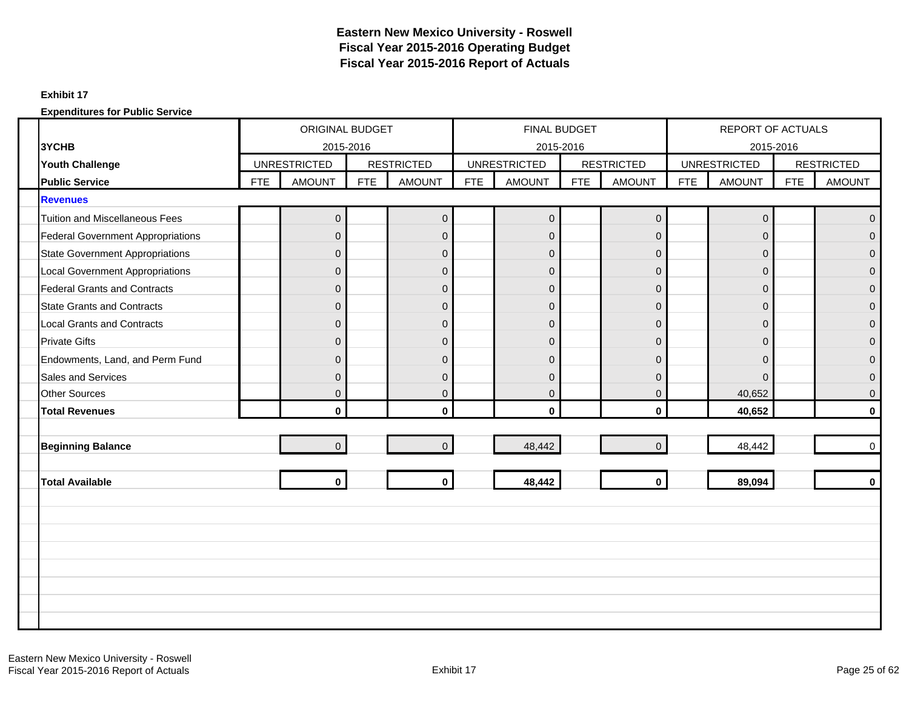### **Exhibit 17**

|                                          | ORIGINAL BUDGET<br><b>UNRESTRICTED</b> |                |            |                   |            | FINAL BUDGET        |            |                     |            | REPORT OF ACTUALS   |            |                   |
|------------------------------------------|----------------------------------------|----------------|------------|-------------------|------------|---------------------|------------|---------------------|------------|---------------------|------------|-------------------|
| 3YCHB                                    |                                        | 2015-2016      |            |                   |            | 2015-2016           |            |                     |            | 2015-2016           |            |                   |
| <b>Youth Challenge</b>                   |                                        |                |            | <b>RESTRICTED</b> |            | <b>UNRESTRICTED</b> |            | <b>RESTRICTED</b>   |            | <b>UNRESTRICTED</b> |            | <b>RESTRICTED</b> |
| <b>Public Service</b>                    | <b>FTE</b>                             | <b>AMOUNT</b>  | <b>FTE</b> | <b>AMOUNT</b>     | <b>FTE</b> | <b>AMOUNT</b>       | <b>FTE</b> | <b>AMOUNT</b>       | <b>FTE</b> | <b>AMOUNT</b>       | <b>FTE</b> | <b>AMOUNT</b>     |
| <b>Revenues</b>                          |                                        |                |            |                   |            |                     |            |                     |            |                     |            |                   |
| <b>Tuition and Miscellaneous Fees</b>    |                                        | 0              |            | $\mathbf 0$       |            | $\overline{0}$      |            | $\mathsf{O}\xspace$ |            | $\mathbf 0$         |            | $\Omega$          |
| <b>Federal Government Appropriations</b> |                                        | $\Omega$       |            | $\mathbf{0}$      |            | $\Omega$            |            | $\Omega$            |            | $\Omega$            |            | $\Omega$          |
| <b>State Government Appropriations</b>   |                                        | $\overline{0}$ |            | $\mathsf 0$       |            | $\overline{0}$      |            | $\overline{0}$      |            | $\mathbf{0}$        |            | $\Omega$          |
| <b>Local Government Appropriations</b>   |                                        | $\mathbf{0}$   |            | $\mathbf 0$       |            | $\overline{0}$      |            | $\mathbf 0$         |            | $\mathbf 0$         |            | $\Omega$          |
| <b>Federal Grants and Contracts</b>      |                                        | $\Omega$       |            | $\mathsf 0$       |            | $\overline{0}$      |            | $\Omega$            |            | $\Omega$            |            | $\Omega$          |
| <b>State Grants and Contracts</b>        |                                        | $\mathbf{0}$   |            | $\mathbf 0$       |            | $\mathbf 0$         |            | $\mathbf 0$         |            | $\mathbf{0}$        |            | $\mathbf{0}$      |
| <b>Local Grants and Contracts</b>        |                                        | $\Omega$       |            | $\mathbf{0}$      |            | $\Omega$            |            | $\Omega$            |            | $\mathbf{0}$        |            | $\Omega$          |
| <b>Private Gifts</b>                     |                                        | $\mathbf{0}$   |            | $\mathbf 0$       |            | $\overline{0}$      |            | $\mathbf 0$         |            | $\mathbf{0}$        |            | $\Omega$          |
| Endowments, Land, and Perm Fund          |                                        | $\Omega$       |            | $\mathbf{0}$      |            | $\Omega$            |            | $\Omega$            |            | $\Omega$            |            | $\Omega$          |
| <b>Sales and Services</b>                |                                        | $\mathbf{0}$   |            | $\mathsf 0$       |            | $\overline{0}$      |            | $\Omega$            |            | $\Omega$            |            | $\Omega$          |
| <b>Other Sources</b>                     |                                        | $\Omega$       |            | $\mathbf{0}$      |            | $\overline{0}$      |            | $\Omega$            |            | 40,652              |            | $\Omega$          |
| <b>Total Revenues</b>                    |                                        | $\mathbf{0}$   |            | $\mathbf 0$       |            | $\mathbf{0}$        |            | $\mathbf{0}$        |            | 40,652              |            | $\mathbf{0}$      |
|                                          |                                        |                |            |                   |            |                     |            |                     |            |                     |            |                   |
| <b>Beginning Balance</b>                 |                                        | $\overline{0}$ |            | $\mathbf 0$       |            | 48,442              |            | $\Omega$            |            | 48,442              |            | $\mathbf 0$       |
|                                          |                                        |                |            |                   |            |                     |            |                     |            |                     |            |                   |
| <b>Total Available</b>                   |                                        | $\mathbf{0}$   |            | $\mathbf{0}$      |            | 48,442              |            | $\mathbf{0}$        |            | 89,094              |            | $\Omega$          |
|                                          |                                        |                |            |                   |            |                     |            |                     |            |                     |            |                   |
|                                          |                                        |                |            |                   |            |                     |            |                     |            |                     |            |                   |
|                                          |                                        |                |            |                   |            |                     |            |                     |            |                     |            |                   |
|                                          |                                        |                |            |                   |            |                     |            |                     |            |                     |            |                   |
|                                          |                                        |                |            |                   |            |                     |            |                     |            |                     |            |                   |
|                                          |                                        |                |            |                   |            |                     |            |                     |            |                     |            |                   |
|                                          |                                        |                |            |                   |            |                     |            |                     |            |                     |            |                   |
|                                          |                                        |                |            |                   |            |                     |            |                     |            |                     |            |                   |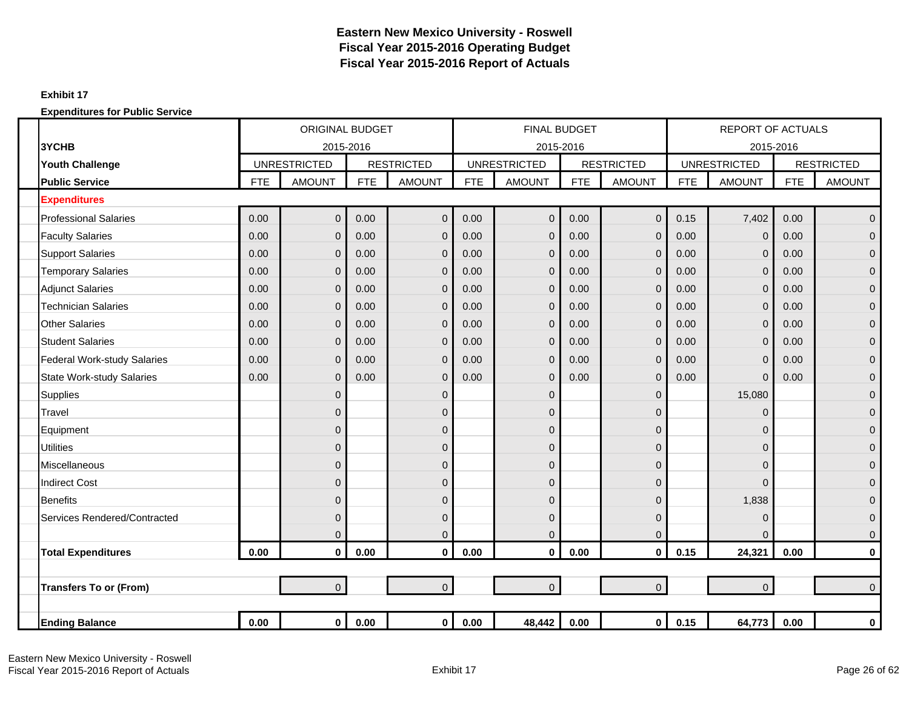### **Exhibit 17**

|                                    |            | <b>ORIGINAL BUDGET</b> |            |                   |            | <b>FINAL BUDGET</b>              |            |                   |            | <b>REPORT OF ACTUALS</b>         |            |                   |
|------------------------------------|------------|------------------------|------------|-------------------|------------|----------------------------------|------------|-------------------|------------|----------------------------------|------------|-------------------|
| 3YCHB                              |            | 2015-2016              |            | <b>RESTRICTED</b> |            | 2015-2016<br><b>UNRESTRICTED</b> |            | <b>RESTRICTED</b> |            | 2015-2016<br><b>UNRESTRICTED</b> |            | <b>RESTRICTED</b> |
| <b>Youth Challenge</b>             |            | <b>UNRESTRICTED</b>    |            |                   |            |                                  |            |                   |            |                                  |            |                   |
| <b>Public Service</b>              | <b>FTE</b> | <b>AMOUNT</b>          | <b>FTE</b> | <b>AMOUNT</b>     | <b>FTE</b> | <b>AMOUNT</b>                    | <b>FTE</b> | <b>AMOUNT</b>     | <b>FTE</b> | <b>AMOUNT</b>                    | <b>FTE</b> | <b>AMOUNT</b>     |
| <b>Expenditures</b>                |            |                        |            |                   |            |                                  |            |                   |            |                                  |            |                   |
| <b>Professional Salaries</b>       | 0.00       | $\mathbf 0$            | 0.00       | $\mathbf 0$       | 0.00       | $\Omega$                         | 0.00       | $\overline{0}$    | 0.15       | 7,402                            | 0.00       | $\overline{0}$    |
| <b>Faculty Salaries</b>            | 0.00       | $\Omega$               | 0.00       | $\mathbf 0$       | 0.00       | $\Omega$                         | 0.00       | $\overline{0}$    | 0.00       | $\mathbf 0$                      | 0.00       | $\overline{0}$    |
| <b>Support Salaries</b>            | 0.00       | $\mathbf{0}$           | 0.00       | $\mathbf{0}$      | 0.00       | $\overline{0}$                   | 0.00       | $\overline{0}$    | 0.00       | $\mathbf 0$                      | 0.00       | $\overline{0}$    |
| <b>Temporary Salaries</b>          | 0.00       | $\mathbf{0}$           | 0.00       | $\mathbf 0$       | 0.00       | $\mathbf 0$                      | 0.00       | $\mathbf 0$       | 0.00       | $\mathbf 0$                      | 0.00       | $\overline{0}$    |
| <b>Adjunct Salaries</b>            | 0.00       | $\Omega$               | 0.00       | $\mathbf 0$       | 0.00       | $\Omega$                         | 0.00       | $\overline{0}$    | 0.00       | $\mathbf 0$                      | 0.00       | $\mathbf{0}$      |
| <b>Technician Salaries</b>         | 0.00       | $\mathbf{0}$           | 0.00       | $\mathbf 0$       | 0.00       | $\Omega$                         | 0.00       | $\overline{0}$    | 0.00       | $\mathbf 0$                      | 0.00       | $\overline{0}$    |
| <b>Other Salaries</b>              | 0.00       | $\overline{0}$         | 0.00       | $\mathbf 0$       | 0.00       | $\Omega$                         | 0.00       | $\overline{0}$    | 0.00       | $\pmb{0}$                        | 0.00       | $\overline{0}$    |
| <b>Student Salaries</b>            | 0.00       | $\mathbf{0}$           | 0.00       | $\mathbf 0$       | 0.00       | $\Omega$                         | 0.00       | $\mathbf 0$       | 0.00       | $\mathbf 0$                      | 0.00       | $\overline{0}$    |
| <b>Federal Work-study Salaries</b> | 0.00       | $\mathbf{0}$           | 0.00       | $\mathbf 0$       | 0.00       | $\Omega$                         | 0.00       | $\mathbf 0$       | 0.00       | $\mathbf 0$                      | 0.00       | $\mathbf{0}$      |
| <b>State Work-study Salaries</b>   | 0.00       | $\Omega$               | 0.00       | $\mathbf 0$       | 0.00       | $\Omega$                         | 0.00       | $\overline{0}$    | 0.00       | $\mathbf{0}$                     | 0.00       | $\mathbf{0}$      |
| <b>Supplies</b>                    |            | $\Omega$               |            | $\pmb{0}$         |            | $\mathbf{0}$                     |            | $\overline{0}$    |            | 15,080                           |            | $\overline{0}$    |
| Travel                             |            | $\Omega$               |            | $\mathbf{0}$      |            | $\mathbf{0}$                     |            | $\Omega$          |            | $\mathbf{0}$                     |            | $\mathbf{0}$      |
| Equipment                          |            | $\mathbf{0}$           |            | $\mathbf 0$       |            | 0                                |            | $\mathbf 0$       |            | $\mathbf 0$                      |            | 0                 |
| <b>Utilities</b>                   |            | $\mathbf{0}$           |            | $\mathbf 0$       |            | 0                                |            | $\mathbf{0}$      |            | $\mathbf 0$                      |            | $\overline{0}$    |
| <b>Miscellaneous</b>               |            | $\Omega$               |            | $\mathbf 0$       |            | $\mathbf{0}$                     |            | $\mathbf{0}$      |            | $\mathbf{0}$                     |            | $\overline{0}$    |
| <b>Indirect Cost</b>               |            | $\Omega$               |            | $\mathbf{0}$      |            | $\overline{0}$                   |            | 0                 |            | $\Omega$                         |            | $\overline{0}$    |
| <b>Benefits</b>                    |            | $\Omega$               |            | $\mathbf{0}$      |            | $\overline{0}$                   |            | $\Omega$          |            | 1,838                            |            | $\mathbf 0$       |
| Services Rendered/Contracted       |            | $\Omega$               |            | $\mathbf 0$       |            | $\mathbf{0}$                     |            | 0                 |            | $\mathbf 0$                      |            | $\mathbf 0$       |
|                                    |            | $\mathbf{0}$           |            | $\mathbf 0$       |            | 0                                |            | $\mathbf{0}$      |            | $\Omega$                         |            | 0                 |
| <b>Total Expenditures</b>          | 0.00       | $\mathbf{0}$           | 0.00       | $\mathbf 0$       | 0.00       | $\mathbf{0}$                     | 0.00       | $\mathbf{0}$      | 0.15       | 24,321                           | 0.00       | $\bf{0}$          |
|                                    |            |                        |            |                   |            |                                  |            |                   |            |                                  |            |                   |
| <b>Transfers To or (From)</b>      |            | $\overline{0}$         |            | $\overline{0}$    |            | $\overline{0}$                   |            | $\overline{0}$    |            | $\overline{0}$                   |            | $\overline{0}$    |
|                                    |            |                        |            |                   |            |                                  |            |                   |            |                                  |            |                   |
| <b>Ending Balance</b>              | 0.00       | $\mathbf 0$            | 0.00       | $\mathbf 0$       | 0.00       | 48,442                           | 0.00       | $\mathbf{0}$      | 0.15       | 64,773                           | $0.00\,$   | $\pmb{0}$         |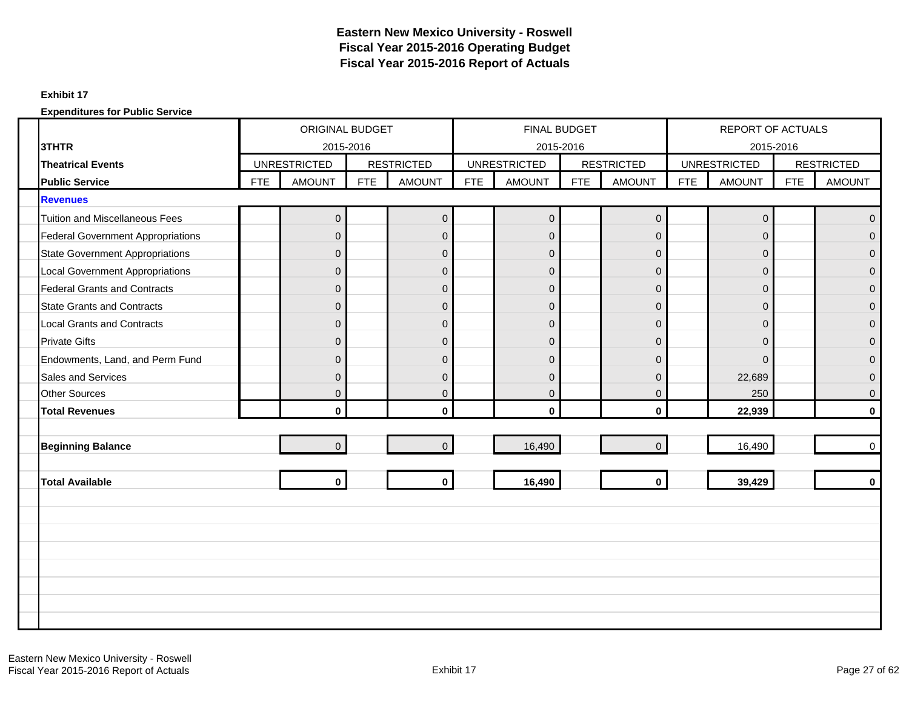#### **Exhibit 17**

|                                          |            |                     |            | <b>ORIGINAL BUDGET</b> |            | FINAL BUDGET        |            |                   |            | <b>REPORT OF ACTUALS</b> |            |                   |
|------------------------------------------|------------|---------------------|------------|------------------------|------------|---------------------|------------|-------------------|------------|--------------------------|------------|-------------------|
| 3THTR                                    |            | 2015-2016           |            |                        |            |                     | 2015-2016  |                   |            | 2015-2016                |            |                   |
| <b>Theatrical Events</b>                 |            | <b>UNRESTRICTED</b> |            | <b>RESTRICTED</b>      |            | <b>UNRESTRICTED</b> |            | <b>RESTRICTED</b> |            | <b>UNRESTRICTED</b>      |            | <b>RESTRICTED</b> |
| <b>Public Service</b>                    | <b>FTE</b> | <b>AMOUNT</b>       | <b>FTE</b> | <b>AMOUNT</b>          | <b>FTE</b> | <b>AMOUNT</b>       | <b>FTE</b> | <b>AMOUNT</b>     | <b>FTE</b> | <b>AMOUNT</b>            | <b>FTE</b> | <b>AMOUNT</b>     |
| <b>Revenues</b>                          |            |                     |            |                        |            |                     |            |                   |            |                          |            |                   |
| <b>Tuition and Miscellaneous Fees</b>    |            | 0                   |            | $\mathbf 0$            |            | $\overline{0}$      |            | $\mathbf 0$       |            | $\mathbf 0$              |            | $\overline{0}$    |
| <b>Federal Government Appropriations</b> |            | $\Omega$            |            | $\mathbf{0}$           |            | $\Omega$            |            | $\Omega$          |            | $\Omega$                 |            | $\Omega$          |
| <b>State Government Appropriations</b>   |            | $\mathbf{0}$        |            | $\mathsf 0$            |            | $\overline{0}$      |            | $\overline{0}$    |            | $\mathbf 0$              |            | $\Omega$          |
| <b>Local Government Appropriations</b>   |            | $\Omega$            |            | $\mathbf{0}$           |            | $\overline{0}$      |            | $\Omega$          |            | $\mathbf{0}$             |            | $\Omega$          |
| <b>Federal Grants and Contracts</b>      |            | $\Omega$            |            | $\mathbf 0$            |            | $\overline{0}$      |            | $\mathbf 0$       |            | $\mathbf{0}$             |            | $\overline{0}$    |
| <b>State Grants and Contracts</b>        |            | $\overline{0}$      |            | $\overline{0}$         |            | $\overline{0}$      |            | $\overline{0}$    |            | $\mathbf{0}$             |            | $\Omega$          |
| <b>Local Grants and Contracts</b>        |            | $\Omega$            |            | $\mathbf 0$            |            | $\overline{0}$      |            | $\mathbf{0}$      |            | $\mathbf{0}$             |            | $\Omega$          |
| <b>Private Gifts</b>                     |            | $\Omega$            |            | $\mathbf 0$            |            | $\overline{0}$      |            | $\Omega$          |            | $\Omega$                 |            | $\Omega$          |
| Endowments, Land, and Perm Fund          |            | $\Omega$            |            | $\mathbf 0$            |            | $\overline{0}$      |            | $\Omega$          |            | $\Omega$                 |            | $\Omega$          |
| <b>Sales and Services</b>                |            | $\Omega$            |            | $\mathbf{0}$           |            | $\Omega$            |            | $\Omega$          |            | 22,689                   |            | $\Omega$          |
| <b>Other Sources</b>                     |            | $\mathbf{0}$        |            | $\boldsymbol{0}$       |            | $\overline{0}$      |            | $\mathbf 0$       |            | 250                      |            | $\mathbf{0}$      |
| <b>Total Revenues</b>                    |            | $\mathbf{0}$        |            | $\mathbf{0}$           |            | $\mathbf{0}$        |            | $\mathbf{0}$      |            | 22,939                   |            | $\mathbf{0}$      |
|                                          |            |                     |            |                        |            |                     |            |                   |            |                          |            |                   |
| <b>Beginning Balance</b>                 |            | $\overline{0}$      |            | $\overline{0}$         |            | 16,490              |            | $\Omega$          |            | 16,490                   |            | $\Omega$          |
|                                          |            |                     |            |                        |            |                     |            |                   |            |                          |            |                   |
| <b>Total Available</b>                   |            | $\mathbf{0}$        |            | $\mathbf{0}$           |            | 16,490              |            | $\mathbf{0}$      |            | 39,429                   |            | $\mathbf{0}$      |
|                                          |            |                     |            |                        |            |                     |            |                   |            |                          |            |                   |
|                                          |            |                     |            |                        |            |                     |            |                   |            |                          |            |                   |
|                                          |            |                     |            |                        |            |                     |            |                   |            |                          |            |                   |
|                                          |            |                     |            |                        |            |                     |            |                   |            |                          |            |                   |
|                                          |            |                     |            |                        |            |                     |            |                   |            |                          |            |                   |
|                                          |            |                     |            |                        |            |                     |            |                   |            |                          |            |                   |
|                                          |            |                     |            |                        |            |                     |            |                   |            |                          |            |                   |
|                                          |            |                     |            |                        |            |                     |            |                   |            |                          |            |                   |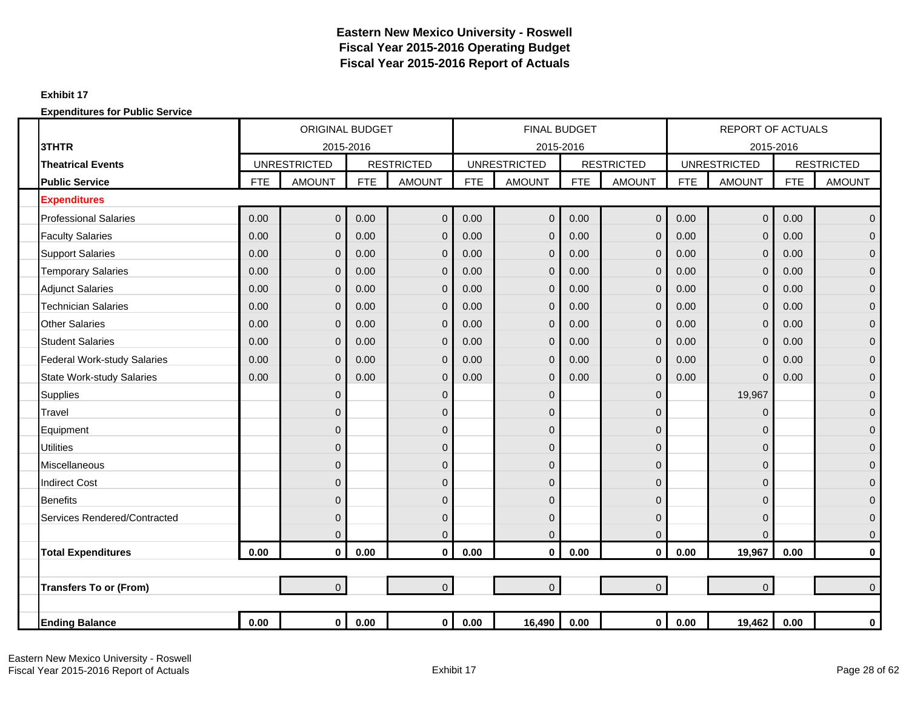### **Exhibit 17**

|                                    |            | <b>ORIGINAL BUDGET</b> |            |                   |            | <b>FINAL BUDGET</b> |            |                   |            | <b>REPORT OF ACTUALS</b> |            |                   |
|------------------------------------|------------|------------------------|------------|-------------------|------------|---------------------|------------|-------------------|------------|--------------------------|------------|-------------------|
| 3THTR                              |            | 2015-2016              |            |                   |            | 2015-2016           |            |                   |            | 2015-2016                |            |                   |
| <b>Theatrical Events</b>           |            | <b>UNRESTRICTED</b>    |            | <b>RESTRICTED</b> |            | <b>UNRESTRICTED</b> |            | <b>RESTRICTED</b> |            | <b>UNRESTRICTED</b>      |            | <b>RESTRICTED</b> |
| <b>Public Service</b>              | <b>FTE</b> | <b>AMOUNT</b>          | <b>FTE</b> | <b>AMOUNT</b>     | <b>FTE</b> | <b>AMOUNT</b>       | <b>FTE</b> | <b>AMOUNT</b>     | <b>FTE</b> | <b>AMOUNT</b>            | <b>FTE</b> | <b>AMOUNT</b>     |
| <b>Expenditures</b>                |            |                        |            |                   |            |                     |            |                   |            |                          |            |                   |
| <b>Professional Salaries</b>       | 0.00       | $\Omega$               | 0.00       | $\overline{0}$    | 0.00       | $\Omega$            | 0.00       | $\overline{0}$    | 0.00       | $\mathbf{0}$             | 0.00       | $\overline{0}$    |
| <b>Faculty Salaries</b>            | 0.00       | $\Omega$               | 0.00       | $\mathbf{0}$      | 0.00       | $\Omega$            | 0.00       | $\overline{0}$    | 0.00       | $\mathbf 0$              | 0.00       | $\overline{0}$    |
| <b>Support Salaries</b>            | 0.00       | $\mathbf{0}$           | 0.00       | $\mathbf{0}$      | 0.00       | $\Omega$            | 0.00       | $\overline{0}$    | 0.00       | $\mathbf{0}$             | 0.00       | $\overline{0}$    |
| <b>Temporary Salaries</b>          | 0.00       | $\mathbf{0}$           | 0.00       | $\mathbf 0$       | 0.00       | $\Omega$            | 0.00       | $\mathbf{0}$      | 0.00       | $\mathbf 0$              | 0.00       | $\overline{0}$    |
| <b>Adjunct Salaries</b>            | 0.00       | $\Omega$               | 0.00       | $\mathbf 0$       | 0.00       | $\Omega$            | 0.00       | $\overline{0}$    | 0.00       | $\mathbf 0$              | 0.00       | $\mathbf{0}$      |
| <b>Technician Salaries</b>         | 0.00       | $\mathbf{0}$           | 0.00       | $\mathbf 0$       | 0.00       | $\Omega$            | 0.00       | $\mathbf 0$       | 0.00       | $\mathbf 0$              | 0.00       | 0                 |
| <b>Other Salaries</b>              | 0.00       | $\Omega$               | 0.00       | $\mathbf 0$       | 0.00       | $\Omega$            | 0.00       | $\overline{0}$    | 0.00       | $\mathbf 0$              | 0.00       | $\overline{0}$    |
| <b>Student Salaries</b>            | 0.00       | $\Omega$               | 0.00       | $\mathbf 0$       | 0.00       | $\Omega$            | 0.00       | $\overline{0}$    | 0.00       | $\overline{0}$           | 0.00       | $\overline{0}$    |
| <b>Federal Work-study Salaries</b> | 0.00       | $\Omega$               | 0.00       | $\mathbf 0$       | 0.00       | $\Omega$            | 0.00       | $\overline{0}$    | 0.00       | $\mathbf 0$              | 0.00       | $\overline{0}$    |
| <b>State Work-study Salaries</b>   | 0.00       | $\mathbf{0}$           | 0.00       | $\mathbf 0$       | 0.00       | $\Omega$            | 0.00       | $\overline{0}$    | 0.00       | $\mathbf 0$              | 0.00       | $\overline{0}$    |
| <b>Supplies</b>                    |            | $\mathbf 0$            |            | $\mathbf 0$       |            | $\mathbf{0}$        |            | $\mathbf{0}$      |            | 19,967                   |            | $\overline{0}$    |
| Travel                             |            | 0                      |            | $\mathbf 0$       |            | $\mathbf{0}$        |            | 0                 |            | $\mathbf{0}$             |            | 0                 |
| Equipment                          |            | O                      |            | $\mathbf 0$       |            | $\mathbf{0}$        |            | $\mathbf{0}$      |            | $\Omega$                 |            | $\mathbf{0}$      |
| <b>Utilities</b>                   |            | $\Omega$               |            | $\mathbf{0}$      |            | $\overline{0}$      |            | $\Omega$          |            | $\mathbf{0}$             |            | $\overline{0}$    |
| Miscellaneous                      |            | $\mathbf{0}$           |            | $\mathbf 0$       |            | $\overline{0}$      |            | $\mathbf{0}$      |            | $\mathbf 0$              |            | $\overline{0}$    |
| <b>Indirect Cost</b>               |            | $\Omega$               |            | $\mathbf{0}$      |            | $\overline{0}$      |            | $\Omega$          |            | 0                        |            | $\overline{0}$    |
| <b>Benefits</b>                    |            | $\Omega$               |            | $\mathbf 0$       |            | $\overline{0}$      |            | $\mathbf{0}$      |            | $\mathbf{0}$             |            | 0                 |
| Services Rendered/Contracted       |            | $\mathbf 0$            |            | $\mathbf 0$       |            | 0                   |            | $\overline{0}$    |            | $\mathbf 0$              |            | $\overline{0}$    |
|                                    |            | $\Omega$               |            | $\overline{0}$    |            | $\Omega$            |            | $\Omega$          |            | $\Omega$                 |            | $\mathbf 0$       |
| <b>Total Expenditures</b>          | 0.00       | $\mathbf{0}$           | 0.00       | $\mathbf{0}$      | 0.00       | $\mathbf{0}$        | 0.00       | $\mathbf{0}$      | 0.00       | 19,967                   | 0.00       | $\mathbf 0$       |
|                                    |            |                        |            |                   |            |                     |            |                   |            |                          |            |                   |
| <b>Transfers To or (From)</b>      |            | $\overline{0}$         |            | $\overline{0}$    |            | $\overline{0}$      |            | $\overline{0}$    |            | $\mathbf 0$              |            | $\overline{0}$    |
|                                    |            |                        |            |                   |            |                     |            |                   |            |                          |            |                   |
| <b>Ending Balance</b>              | 0.00       | $\mathbf{0}$           | 0.00       | $\mathbf 0$       | 0.00       | 16,490              | 0.00       | $\mathbf 0$       | 0.00       | 19,462                   | $0.00\,$   | $\mathbf 0$       |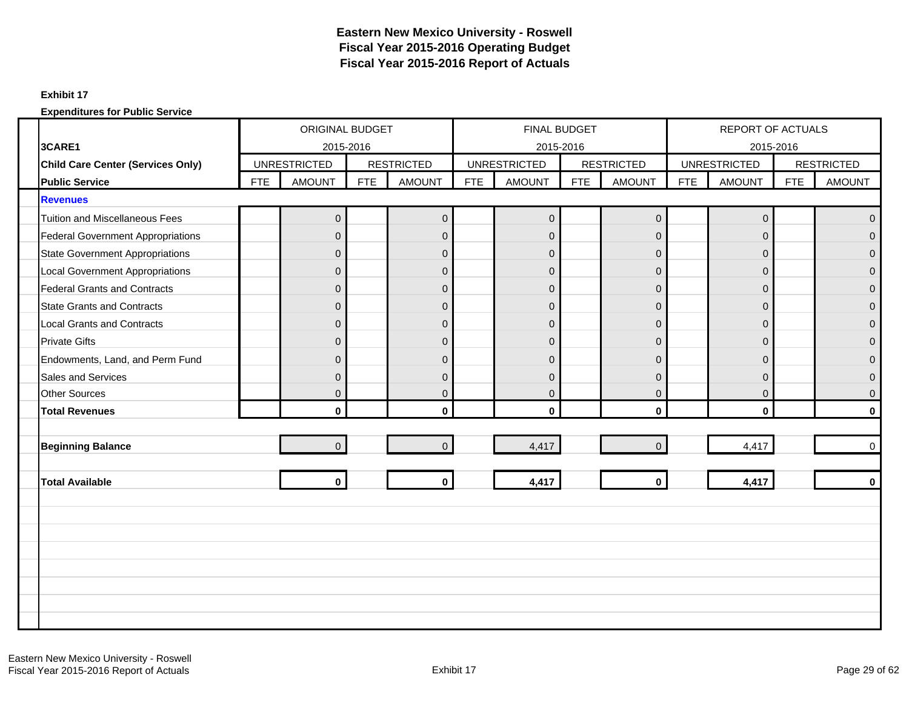### **Exhibit 17**

|                                          | ORIGINAL BUDGET<br>2015-2016<br><b>UNRESTRICTED</b> |                |            |                   |            | FINAL BUDGET        |     |                   |            | <b>REPORT OF ACTUALS</b> |            |                   |
|------------------------------------------|-----------------------------------------------------|----------------|------------|-------------------|------------|---------------------|-----|-------------------|------------|--------------------------|------------|-------------------|
| 3CARE1                                   |                                                     |                |            |                   |            | 2015-2016           |     |                   |            | 2015-2016                |            |                   |
| Child Care Center (Services Only)        |                                                     |                |            | <b>RESTRICTED</b> |            | <b>UNRESTRICTED</b> |     | <b>RESTRICTED</b> |            | <b>UNRESTRICTED</b>      |            | <b>RESTRICTED</b> |
| <b>Public Service</b>                    | <b>FTE</b>                                          | <b>AMOUNT</b>  | <b>FTE</b> | <b>AMOUNT</b>     | <b>FTE</b> | <b>AMOUNT</b>       | FTE | <b>AMOUNT</b>     | <b>FTE</b> | <b>AMOUNT</b>            | <b>FTE</b> | <b>AMOUNT</b>     |
| <b>Revenues</b>                          |                                                     |                |            |                   |            |                     |     |                   |            |                          |            |                   |
| <b>Tuition and Miscellaneous Fees</b>    |                                                     | $\mathbf{0}$   |            | $\mathbf 0$       |            | $\overline{0}$      |     | $\pmb{0}$         |            | $\mathbf 0$              |            | $\mathbf{0}$      |
| <b>Federal Government Appropriations</b> |                                                     | $\Omega$       |            | $\overline{0}$    |            | $\overline{0}$      |     | $\Omega$          |            | $\Omega$                 |            | $\Omega$          |
| <b>State Government Appropriations</b>   |                                                     | $\overline{0}$ |            | $\mathbf 0$       |            | $\overline{0}$      |     | $\mathbf 0$       |            | $\mathbf 0$              |            | $\Omega$          |
| <b>Local Government Appropriations</b>   |                                                     | $\Omega$       |            | $\pmb{0}$         |            | $\overline{0}$      |     | $\overline{0}$    |            | $\mathbf{0}$             |            | $\Omega$          |
| <b>Federal Grants and Contracts</b>      |                                                     | $\overline{0}$ |            | $\pmb{0}$         |            | $\overline{0}$      |     | $\mathbf 0$       |            | $\mathbf{0}$             |            | $\mathbf{0}$      |
| <b>State Grants and Contracts</b>        |                                                     | $\Omega$       |            | $\pmb{0}$         |            | $\overline{0}$      |     | $\overline{0}$    |            | $\mathbf{0}$             |            | $\Omega$          |
| <b>Local Grants and Contracts</b>        |                                                     | $\Omega$       |            | $\pmb{0}$         |            | $\overline{0}$      |     | $\mathbf{0}$      |            | $\mathbf{0}$             |            | $\overline{0}$    |
| <b>Private Gifts</b>                     |                                                     | $\Omega$       |            | $\mathbf 0$       |            | $\overline{0}$      |     | $\Omega$          |            | $\Omega$                 |            | $\Omega$          |
| Endowments, Land, and Perm Fund          |                                                     | $\Omega$       |            | $\mathbf 0$       |            | $\overline{0}$      |     | $\Omega$          |            | $\mathbf{0}$             |            | $\Omega$          |
| <b>Sales and Services</b>                |                                                     | $\Omega$       |            | $\overline{0}$    |            | $\overline{0}$      |     | $\Omega$          |            | $\mathbf{0}$             |            | $\Omega$          |
| <b>Other Sources</b>                     |                                                     | $\Omega$       |            | $\pmb{0}$         |            | $\overline{0}$      |     | $\mathbf 0$       |            | $\boldsymbol{0}$         |            | $\Omega$          |
| <b>Total Revenues</b>                    |                                                     | $\mathbf{0}$   |            | $\mathbf 0$       |            | $\mathbf{0}$        |     | $\mathbf{0}$      |            | $\mathbf{0}$             |            | $\mathbf{0}$      |
|                                          |                                                     |                |            |                   |            |                     |     |                   |            |                          |            |                   |
| <b>Beginning Balance</b>                 |                                                     | $\Omega$       |            | $\Omega$          |            | 4,417               |     | $\Omega$          |            | 4,417                    |            | $\Omega$          |
|                                          |                                                     |                |            |                   |            |                     |     |                   |            |                          |            |                   |
| <b>Total Available</b>                   |                                                     | $\mathbf{0}$   |            | $\bf{0}$          |            | 4,417               |     | $\mathbf{0}$      |            | 4,417                    |            | $\Omega$          |
|                                          |                                                     |                |            |                   |            |                     |     |                   |            |                          |            |                   |
|                                          |                                                     |                |            |                   |            |                     |     |                   |            |                          |            |                   |
|                                          |                                                     |                |            |                   |            |                     |     |                   |            |                          |            |                   |
|                                          |                                                     |                |            |                   |            |                     |     |                   |            |                          |            |                   |
|                                          |                                                     |                |            |                   |            |                     |     |                   |            |                          |            |                   |
|                                          |                                                     |                |            |                   |            |                     |     |                   |            |                          |            |                   |
|                                          |                                                     |                |            |                   |            |                     |     |                   |            |                          |            |                   |
|                                          |                                                     |                |            |                   |            |                     |     |                   |            |                          |            |                   |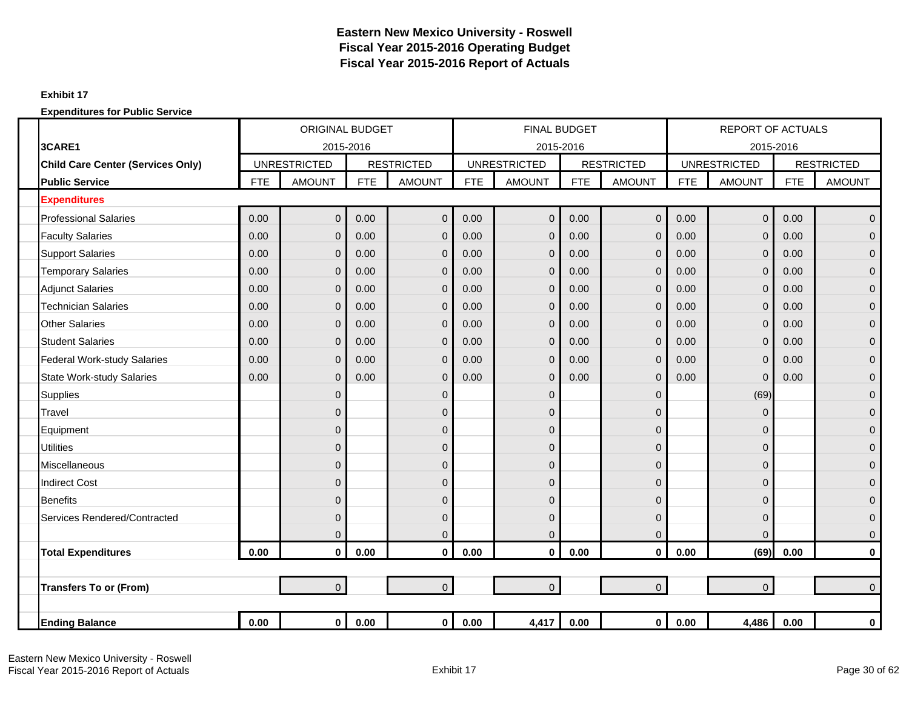### **Exhibit 17**

|                                    |            | <b>ORIGINAL BUDGET</b> |            |                   |            | <b>FINAL BUDGET</b> |            |                   |            | <b>REPORT OF ACTUALS</b> |            |                   |
|------------------------------------|------------|------------------------|------------|-------------------|------------|---------------------|------------|-------------------|------------|--------------------------|------------|-------------------|
| 3CARE1                             |            | 2015-2016              |            |                   |            | 2015-2016           |            |                   |            | 2015-2016                |            |                   |
| Child Care Center (Services Only)  |            | <b>UNRESTRICTED</b>    |            | <b>RESTRICTED</b> |            | <b>UNRESTRICTED</b> |            | <b>RESTRICTED</b> |            | <b>UNRESTRICTED</b>      |            | <b>RESTRICTED</b> |
| <b>Public Service</b>              | <b>FTE</b> | <b>AMOUNT</b>          | <b>FTE</b> | <b>AMOUNT</b>     | <b>FTE</b> | <b>AMOUNT</b>       | <b>FTE</b> | <b>AMOUNT</b>     | <b>FTE</b> | <b>AMOUNT</b>            | <b>FTE</b> | <b>AMOUNT</b>     |
| <b>Expenditures</b>                |            |                        |            |                   |            |                     |            |                   |            |                          |            |                   |
| <b>Professional Salaries</b>       | 0.00       | $\mathbf 0$            | 0.00       | $\overline{0}$    | 0.00       | $\overline{0}$      | 0.00       | $\overline{0}$    | 0.00       | $\overline{0}$           | 0.00       | $\mathbf 0$       |
| <b>Faculty Salaries</b>            | 0.00       | $\mathbf{0}$           | 0.00       | $\mathbf 0$       | 0.00       | $\overline{0}$      | 0.00       | $\mathbf{0}$      | 0.00       | $\mathbf 0$              | 0.00       | $\overline{0}$    |
| <b>Support Salaries</b>            | 0.00       | $\overline{0}$         | 0.00       | $\Omega$          | 0.00       | $\overline{0}$      | 0.00       | $\Omega$          | 0.00       | $\mathbf 0$              | 0.00       | $\mathbf{0}$      |
| <b>Temporary Salaries</b>          | 0.00       | $\overline{0}$         | 0.00       | $\mathbf 0$       | 0.00       | $\overline{0}$      | 0.00       | $\mathbf{0}$      | 0.00       | $\mathbf 0$              | 0.00       | $\mathbf{0}$      |
| <b>Adjunct Salaries</b>            | 0.00       | $\overline{0}$         | 0.00       | $\mathbf 0$       | 0.00       | 0                   | 0.00       | $\overline{0}$    | 0.00       | $\mathbf 0$              | 0.00       | $\mathbf{0}$      |
| <b>Technician Salaries</b>         | 0.00       | 0                      | 0.00       | $\mathbf 0$       | 0.00       | 0                   | 0.00       | $\mathbf{0}$      | 0.00       | $\mathbf 0$              | 0.00       | $\mathbf 0$       |
| <b>Other Salaries</b>              | 0.00       | $\overline{0}$         | 0.00       | $\mathbf 0$       | 0.00       | $\overline{0}$      | 0.00       | $\overline{0}$    | 0.00       | $\mathbf 0$              | 0.00       | $\overline{0}$    |
| <b>Student Salaries</b>            | 0.00       | $\overline{0}$         | 0.00       | $\mathbf{0}$      | 0.00       | $\mathbf{0}$        | 0.00       | $\overline{0}$    | 0.00       | $\mathbf 0$              | 0.00       | $\mathbf 0$       |
| <b>Federal Work-study Salaries</b> | 0.00       | $\overline{0}$         | 0.00       | $\mathbf 0$       | 0.00       | $\mathbf{0}$        | 0.00       | $\mathbf{0}$      | 0.00       | $\mathbf 0$              | 0.00       | $\mathbf{0}$      |
| <b>State Work-study Salaries</b>   | 0.00       | $\overline{0}$         | 0.00       | $\mathbf 0$       | 0.00       | $\mathbf{0}$        | 0.00       | $\Omega$          | 0.00       | $\mathbf 0$              | 0.00       | $\mathbf{0}$      |
| <b>Supplies</b>                    |            | $\overline{0}$         |            | $\mathbf 0$       |            | $\overline{0}$      |            | $\mathbf{0}$      |            | (69)                     |            | $\mathbf 0$       |
| Travel                             |            | $\mathbf{0}$           |            | $\mathbf 0$       |            | 0                   |            | $\Omega$          |            | $\mathbf 0$              |            | $\mathbf{0}$      |
| Equipment                          |            | 0                      |            | $\mathbf 0$       |            | 0                   |            | 0                 |            | $\mathbf 0$              |            | $\mathbf 0$       |
| <b>Utilities</b>                   |            | $\overline{0}$         |            | $\overline{0}$    |            | $\overline{0}$      |            | $\Omega$          |            | $\mathbf 0$              |            | $\mathbf{0}$      |
| Miscellaneous                      |            | $\overline{0}$         |            | $\mathbf 0$       |            | 0                   |            | $\mathbf{0}$      |            | $\mathbf 0$              |            | $\mathbf{0}$      |
| <b>Indirect Cost</b>               |            | $\Omega$               |            | $\mathbf 0$       |            | 0                   |            | $\Omega$          |            | 0                        |            | $\mathbf{0}$      |
| <b>Benefits</b>                    |            | $\overline{0}$         |            | $\mathbf 0$       |            | 0                   |            | $\mathbf{0}$      |            | $\mathbf 0$              |            | $\mathbf{0}$      |
| Services Rendered/Contracted       |            | $\mathbf{0}$           |            | $\mathbf 0$       |            | $\overline{0}$      |            | $\Omega$          |            | $\mathbf 0$              |            | $\mathbf{0}$      |
|                                    |            | $\overline{0}$         |            | $\mathbf 0$       |            | $\overline{0}$      |            | $\overline{0}$    |            | $\mathbf 0$              |            | $\mathbf{0}$      |
| <b>Total Expenditures</b>          | 0.00       | $\pmb{0}$              | 0.00       | $\mathbf 0$       | 0.00       | $\mathbf{0}$        | 0.00       | $\mathbf 0$       | 0.00       | (69)                     | 0.00       | $\bf{0}$          |
|                                    |            |                        |            |                   |            |                     |            |                   |            |                          |            |                   |
| <b>Transfers To or (From)</b>      |            | $\overline{0}$         |            | $\overline{0}$    |            | $\overline{0}$      |            | $\overline{0}$    |            | $\mathbf 0$              |            | $\Omega$          |
|                                    |            |                        |            |                   |            |                     |            |                   |            |                          |            |                   |
| <b>Ending Balance</b>              | 0.00       | $\mathbf 0$            | 0.00       | $\mathbf{0}$      | 0.00       | 4,417               | 0.00       | $\mathbf{0}$      | 0.00       | 4,486                    | 0.00       | $\pmb{0}$         |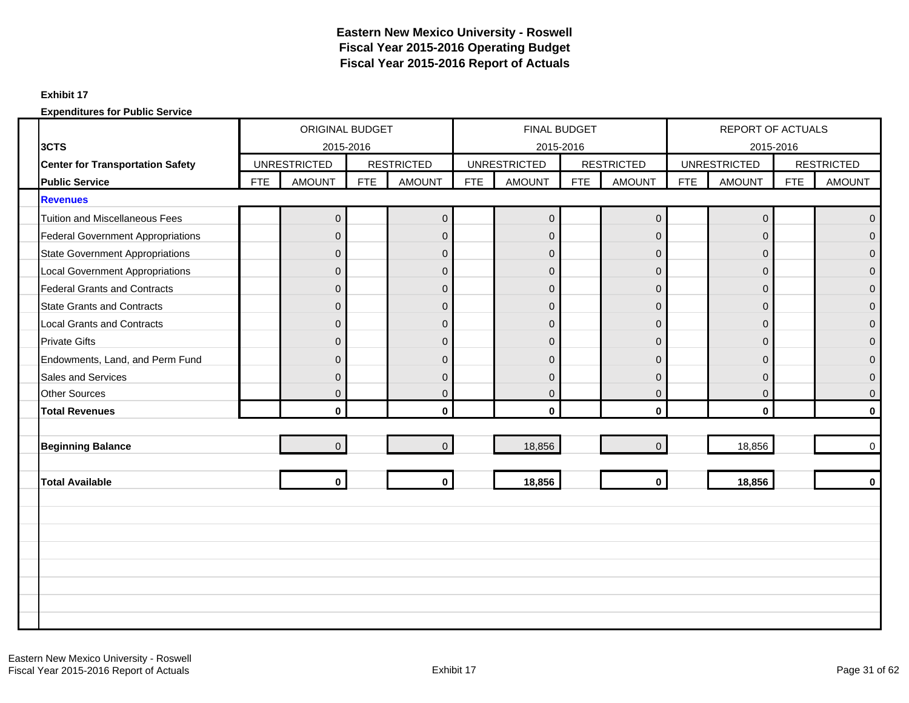### **Exhibit 17**

|                                          | <b>ORIGINAL BUDGET</b> |                     |            |                   |            | FINAL BUDGET        |            |                   |            | <b>REPORT OF ACTUALS</b> |            |                   |
|------------------------------------------|------------------------|---------------------|------------|-------------------|------------|---------------------|------------|-------------------|------------|--------------------------|------------|-------------------|
| 3CTS                                     |                        | 2015-2016           |            |                   |            | 2015-2016           |            |                   |            | 2015-2016                |            |                   |
| <b>Center for Transportation Safety</b>  |                        | <b>UNRESTRICTED</b> |            | <b>RESTRICTED</b> |            | <b>UNRESTRICTED</b> |            | <b>RESTRICTED</b> |            | <b>UNRESTRICTED</b>      |            | <b>RESTRICTED</b> |
| <b>Public Service</b>                    | <b>FTE</b>             | <b>AMOUNT</b>       | <b>FTE</b> | <b>AMOUNT</b>     | <b>FTE</b> | <b>AMOUNT</b>       | <b>FTE</b> | <b>AMOUNT</b>     | <b>FTE</b> | <b>AMOUNT</b>            | <b>FTE</b> | <b>AMOUNT</b>     |
| <b>Revenues</b>                          |                        |                     |            |                   |            |                     |            |                   |            |                          |            |                   |
| <b>Tuition and Miscellaneous Fees</b>    |                        | $\mathbf{0}$        |            | $\pmb{0}$         |            | $\overline{0}$      |            | $\mathsf 0$       |            | $\mathbf{0}$             |            | $\Omega$          |
| <b>Federal Government Appropriations</b> |                        | $\Omega$            |            | $\mathbf{0}$      |            | $\overline{0}$      |            | $\mathbf{0}$      |            | $\mathbf{0}$             |            | $\Omega$          |
| <b>State Government Appropriations</b>   |                        | $\mathbf{0}$        |            | $\mathbf{0}$      |            | $\overline{0}$      |            | $\mathbf 0$       |            | $\mathbf{0}$             |            | $\Omega$          |
| <b>Local Government Appropriations</b>   |                        | $\Omega$            |            | $\mathbf{0}$      |            | $\overline{0}$      |            | $\overline{0}$    |            | $\mathbf{0}$             |            | $\Omega$          |
| <b>Federal Grants and Contracts</b>      |                        | $\Omega$            |            | $\mathbf{0}$      |            | $\overline{0}$      |            | $\Omega$          |            | $\Omega$                 |            | $\Omega$          |
| <b>State Grants and Contracts</b>        |                        | $\mathbf{0}$        |            | $\mathbf 0$       |            | $\overline{0}$      |            | $\overline{0}$    |            | $\mathbf{0}$             |            | $\Omega$          |
| <b>Local Grants and Contracts</b>        |                        | $\Omega$            |            | $\mathbf{0}$      |            | $\Omega$            |            | $\Omega$          |            | $\mathbf{0}$             |            | $\Omega$          |
| <b>Private Gifts</b>                     |                        | $\mathbf{0}$        |            | $\mathbf 0$       |            | $\overline{0}$      |            | $\mathbf 0$       |            | $\mathbf{0}$             |            | $\Omega$          |
| Endowments, Land, and Perm Fund          |                        | $\Omega$            |            | $\mathbf 0$       |            | $\Omega$            |            | $\Omega$          |            | $\Omega$                 |            | $\Omega$          |
| Sales and Services                       |                        | $\mathbf{0}$        |            | $\mathsf 0$       |            | $\overline{0}$      |            | $\overline{0}$    |            | $\mathsf 0$              |            | $\overline{0}$    |
| <b>Other Sources</b>                     |                        | $\Omega$            |            | $\mathbf{0}$      |            | $\overline{0}$      |            | $\Omega$          |            | $\mathbf{0}$             |            | $\Omega$          |
| <b>Total Revenues</b>                    |                        | $\mathbf{0}$        |            | $\mathbf{0}$      |            | $\mathbf{0}$        |            | $\mathbf{0}$      |            | $\mathbf{0}$             |            | $\mathbf{0}$      |
|                                          |                        |                     |            |                   |            |                     |            |                   |            |                          |            |                   |
| <b>Beginning Balance</b>                 |                        | $\overline{0}$      |            | $\pmb{0}$         |            | 18,856              |            | $\overline{0}$    |            | 18,856                   |            | $\mathbf 0$       |
|                                          |                        |                     |            |                   |            |                     |            |                   |            |                          |            |                   |
| <b>Total Available</b>                   |                        | $\mathbf 0$         |            | $\mathbf 0$       |            | 18,856              |            | $\mathbf 0$       |            | 18,856                   |            | $\mathbf{0}$      |
|                                          |                        |                     |            |                   |            |                     |            |                   |            |                          |            |                   |
|                                          |                        |                     |            |                   |            |                     |            |                   |            |                          |            |                   |
|                                          |                        |                     |            |                   |            |                     |            |                   |            |                          |            |                   |
|                                          |                        |                     |            |                   |            |                     |            |                   |            |                          |            |                   |
|                                          |                        |                     |            |                   |            |                     |            |                   |            |                          |            |                   |
|                                          |                        |                     |            |                   |            |                     |            |                   |            |                          |            |                   |
|                                          |                        |                     |            |                   |            |                     |            |                   |            |                          |            |                   |
|                                          |                        |                     |            |                   |            |                     |            |                   |            |                          |            |                   |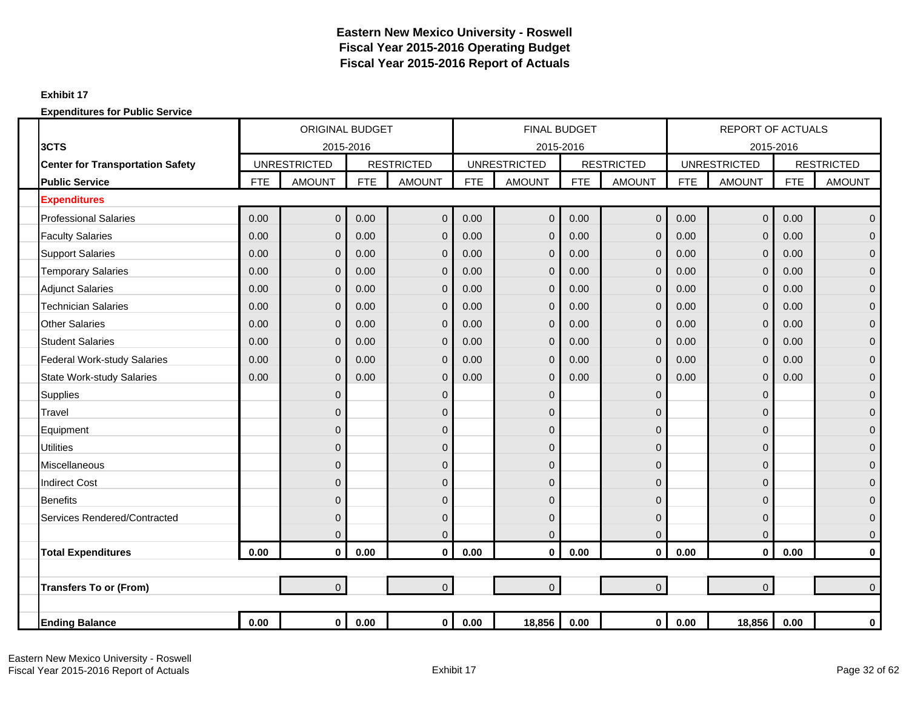### **Exhibit 17**

|                                         |            | <b>ORIGINAL BUDGET</b> |            |                   |            | <b>FINAL BUDGET</b> |            |                   |            | <b>REPORT OF ACTUALS</b> |            |                   |
|-----------------------------------------|------------|------------------------|------------|-------------------|------------|---------------------|------------|-------------------|------------|--------------------------|------------|-------------------|
| 3CTS                                    |            | 2015-2016              |            |                   |            | 2015-2016           |            |                   |            | 2015-2016                |            |                   |
| <b>Center for Transportation Safety</b> |            | <b>UNRESTRICTED</b>    |            | <b>RESTRICTED</b> |            | <b>UNRESTRICTED</b> |            | <b>RESTRICTED</b> |            | <b>UNRESTRICTED</b>      |            | <b>RESTRICTED</b> |
| <b>Public Service</b>                   | <b>FTE</b> | <b>AMOUNT</b>          | <b>FTE</b> | <b>AMOUNT</b>     | <b>FTE</b> | <b>AMOUNT</b>       | <b>FTE</b> | <b>AMOUNT</b>     | <b>FTE</b> | <b>AMOUNT</b>            | <b>FTE</b> | <b>AMOUNT</b>     |
| <b>Expenditures</b>                     |            |                        |            |                   |            |                     |            |                   |            |                          |            |                   |
| <b>Professional Salaries</b>            | 0.00       | $\mathbf 0$            | 0.00       | $\mathbf 0$       | 0.00       | 0                   | 0.00       | $\mathbf 0$       | 0.00       | $\mathbf 0$              | 0.00       | $\mathbf 0$       |
| <b>Faculty Salaries</b>                 | 0.00       | $\overline{0}$         | 0.00       | $\mathbf 0$       | 0.00       | $\overline{0}$      | 0.00       | $\mathbf{0}$      | 0.00       | $\mathbf 0$              | 0.00       | $\overline{0}$    |
| <b>Support Salaries</b>                 | 0.00       | $\overline{0}$         | 0.00       | $\mathbf 0$       | 0.00       | $\mathbf{0}$        | 0.00       | $\overline{0}$    | 0.00       | $\mathbf 0$              | 0.00       | $\pmb{0}$         |
| <b>Temporary Salaries</b>               | 0.00       | $\mathbf{0}$           | 0.00       | $\mathbf 0$       | 0.00       | $\overline{0}$      | 0.00       | $\mathbf{0}$      | 0.00       | $\mathbf 0$              | 0.00       | $\mathbf{0}$      |
| <b>Adjunct Salaries</b>                 | 0.00       | $\overline{0}$         | 0.00       | $\Omega$          | 0.00       | $\mathbf{0}$        | 0.00       | $\Omega$          | 0.00       | $\mathbf 0$              | 0.00       | $\mathbf{0}$      |
| <b>Technician Salaries</b>              | 0.00       | $\overline{0}$         | 0.00       | $\Omega$          | 0.00       | 0                   | 0.00       | $\mathbf{0}$      | 0.00       | $\Omega$                 | 0.00       | $\mathbf{0}$      |
| <b>Other Salaries</b>                   | 0.00       | $\mathbf{0}$           | 0.00       | $\mathbf 0$       | 0.00       | $\mathbf 0$         | 0.00       | $\overline{0}$    | 0.00       | $\mathbf 0$              | 0.00       | $\mathbf 0$       |
| <b>Student Salaries</b>                 | 0.00       | $\mathbf{0}$           | 0.00       | $\overline{0}$    | 0.00       | 0                   | 0.00       | 0                 | 0.00       | $\mathbf 0$              | 0.00       | $\mathbf 0$       |
| <b>Federal Work-study Salaries</b>      | 0.00       | $\overline{0}$         | 0.00       | $\mathbf 0$       | 0.00       | $\overline{0}$      | 0.00       | $\Omega$          | 0.00       | $\mathbf 0$              | 0.00       | $\mathbf{0}$      |
| <b>State Work-study Salaries</b>        | 0.00       | $\mathbf 0$            | 0.00       | $\mathbf 0$       | 0.00       | 0                   | 0.00       | $\overline{0}$    | 0.00       | $\mathbf 0$              | 0.00       | $\pmb{0}$         |
| <b>Supplies</b>                         |            | $\mathbf{0}$           |            | $\mathbf 0$       |            | $\mathbf 0$         |            | $\mathbf{0}$      |            | $\mathbf 0$              |            | $\mathbf 0$       |
| <b>Travel</b>                           |            | $\Omega$               |            | $\mathbf 0$       |            | 0                   |            | $\Omega$          |            | $\Omega$                 |            | $\mathbf{0}$      |
| Equipment                               |            | $\overline{0}$         |            | $\Omega$          |            | 0                   |            | 0                 |            | $\mathbf 0$              |            | $\mathbf{0}$      |
| <b>Utilities</b>                        |            | $\overline{0}$         |            | $\mathbf 0$       |            | 0                   |            | $\mathbf{0}$      |            | $\mathbf 0$              |            | $\mathbf 0$       |
| <b>Miscellaneous</b>                    |            | $\overline{0}$         |            | $\mathbf 0$       |            | 0                   |            | 0                 |            | $\mathbf 0$              |            | $\mathbf{0}$      |
| <b>Indirect Cost</b>                    |            | $\Omega$               |            | $\mathbf 0$       |            | 0                   |            | $\Omega$          |            | 0                        |            | $\mathbf{0}$      |
| <b>Benefits</b>                         |            | $\overline{0}$         |            | $\mathbf 0$       |            | 0                   |            | $\Omega$          |            | $\mathbf 0$              |            | $\mathbf 0$       |
| Services Rendered/Contracted            |            | $\mathbf{0}$           |            | $\mathbf 0$       |            | 0                   |            | $\Omega$          |            | $\mathbf 0$              |            | $\mathbf{0}$      |
|                                         |            | $\overline{0}$         |            | $\overline{0}$    |            | $\overline{0}$      |            | $\overline{0}$    |            | $\overline{0}$           |            | $\mathbf{0}$      |
| <b>Total Expenditures</b>               | 0.00       | $\mathbf 0$            | 0.00       | $\mathbf 0$       | 0.00       | $\mathbf{0}$        | 0.00       | $\mathbf 0$       | 0.00       | $\mathbf 0$              | 0.00       | $\bf{0}$          |
|                                         |            |                        |            |                   |            |                     |            |                   |            |                          |            |                   |
| <b>Transfers To or (From)</b>           |            | $\overline{0}$         |            | $\overline{0}$    |            | $\overline{0}$      |            | $\overline{0}$    |            | $\overline{0}$           |            | $\Omega$          |
|                                         |            |                        |            |                   |            |                     |            |                   |            |                          |            |                   |
| <b>Ending Balance</b>                   | 0.00       | $\mathbf 0$            | 0.00       | $\mathbf{0}$      | 0.00       | 18,856              | 0.00       | $\mathbf{0}$      | 0.00       | 18,856                   | 0.00       | $\pmb{0}$         |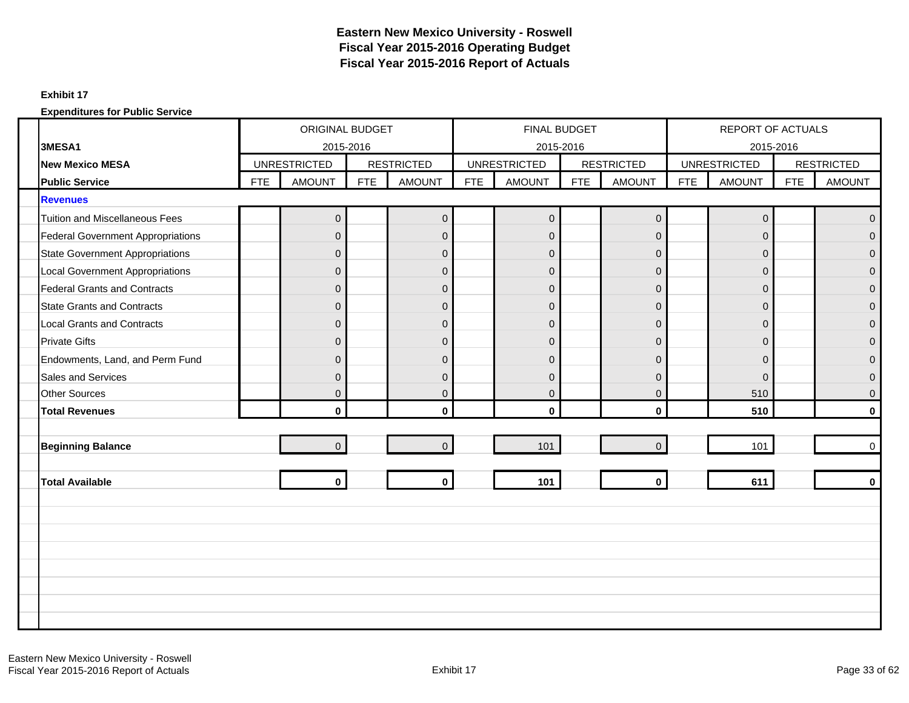#### **Exhibit 17**

|                                          |            | ORIGINAL BUDGET     |            |                   |            | <b>FINAL BUDGET</b> |            |                   |            | REPORT OF ACTUALS   |            |                   |
|------------------------------------------|------------|---------------------|------------|-------------------|------------|---------------------|------------|-------------------|------------|---------------------|------------|-------------------|
| 3MESA1                                   |            | 2015-2016           |            |                   |            |                     | 2015-2016  |                   |            | 2015-2016           |            |                   |
| <b>New Mexico MESA</b>                   |            | <b>UNRESTRICTED</b> |            | <b>RESTRICTED</b> |            | <b>UNRESTRICTED</b> |            | <b>RESTRICTED</b> |            | <b>UNRESTRICTED</b> |            | <b>RESTRICTED</b> |
| <b>Public Service</b>                    | <b>FTE</b> | <b>AMOUNT</b>       | <b>FTE</b> | <b>AMOUNT</b>     | <b>FTE</b> | <b>AMOUNT</b>       | <b>FTE</b> | <b>AMOUNT</b>     | <b>FTE</b> | <b>AMOUNT</b>       | <b>FTE</b> | <b>AMOUNT</b>     |
| <b>Revenues</b>                          |            |                     |            |                   |            |                     |            |                   |            |                     |            |                   |
| <b>Tuition and Miscellaneous Fees</b>    |            | $\mathbf 0$         |            | $\mathbf 0$       |            | $\overline{0}$      |            | $\pmb{0}$         |            | $\mathsf{O}\xspace$ |            | $\mathbf{0}$      |
| <b>Federal Government Appropriations</b> |            | $\Omega$            |            | $\mathbf{0}$      |            | $\Omega$            |            | $\Omega$          |            | $\mathbf{0}$        |            | $\Omega$          |
| <b>State Government Appropriations</b>   |            | $\mathbf{0}$        |            | $\mathsf 0$       |            | $\mathbf{0}$        |            | $\overline{0}$    |            | $\mathbf 0$         |            | $\overline{0}$    |
| <b>Local Government Appropriations</b>   |            | $\mathbf{0}$        |            | $\mathbf 0$       |            | $\mathbf{0}$        |            | $\mathbf 0$       |            | $\mathbf 0$         |            | $\mathbf 0$       |
| <b>Federal Grants and Contracts</b>      |            | $\Omega$            |            | $\mathbf{0}$      |            | $\mathbf{0}$        |            | $\mathbf 0$       |            | 0                   |            | $\overline{0}$    |
| <b>State Grants and Contracts</b>        |            | $\mathbf{0}$        |            | $\mathbf 0$       |            | $\mathbf{0}$        |            | $\mathbf 0$       |            | $\mathbf 0$         |            | $\mathbf 0$       |
| <b>Local Grants and Contracts</b>        |            | $\Omega$            |            | $\mathsf 0$       |            | $\Omega$            |            | $\mathbf 0$       |            | $\mathbf{0}$        |            | $\mathbf{0}$      |
| <b>Private Gifts</b>                     |            | $\mathbf{0}$        |            | $\mathbf 0$       |            | $\mathbf{0}$        |            | $\mathbf 0$       |            | $\mathbf{0}$        |            | $\overline{0}$    |
| Endowments, Land, and Perm Fund          |            | $\Omega$            |            | $\overline{0}$    |            | $\Omega$            |            | $\Omega$          |            | 0                   |            | $\overline{0}$    |
| Sales and Services                       |            | $\mathbf{0}$        |            | $\mathsf 0$       |            | $\mathbf{0}$        |            | $\overline{0}$    |            | $\mathbf 0$         |            | $\mathbf 0$       |
| <b>Other Sources</b>                     |            | $\Omega$            |            | $\mathbf{0}$      |            | $\overline{0}$      |            | $\Omega$          |            | 510                 |            | $\overline{0}$    |
| <b>Total Revenues</b>                    |            | $\mathbf{0}$        |            | $\mathbf 0$       |            | $\mathbf 0$         |            | $\mathbf{0}$      |            | 510                 |            | $\mathbf{0}$      |
|                                          |            |                     |            |                   |            |                     |            |                   |            |                     |            |                   |
| <b>Beginning Balance</b>                 |            | $\overline{0}$      |            | $\mathbf 0$       |            | 101                 |            | $\overline{0}$    |            | 101                 |            | $\mathbf 0$       |
|                                          |            |                     |            |                   |            |                     |            |                   |            |                     |            |                   |
| <b>Total Available</b>                   |            | $\mathbf{0}$        |            | $\mathbf{0}$      |            | 101                 |            | $\mathbf 0$       |            | 611                 |            | $\bf{0}$          |
|                                          |            |                     |            |                   |            |                     |            |                   |            |                     |            |                   |
|                                          |            |                     |            |                   |            |                     |            |                   |            |                     |            |                   |
|                                          |            |                     |            |                   |            |                     |            |                   |            |                     |            |                   |
|                                          |            |                     |            |                   |            |                     |            |                   |            |                     |            |                   |
|                                          |            |                     |            |                   |            |                     |            |                   |            |                     |            |                   |
|                                          |            |                     |            |                   |            |                     |            |                   |            |                     |            |                   |
|                                          |            |                     |            |                   |            |                     |            |                   |            |                     |            |                   |
|                                          |            |                     |            |                   |            |                     |            |                   |            |                     |            |                   |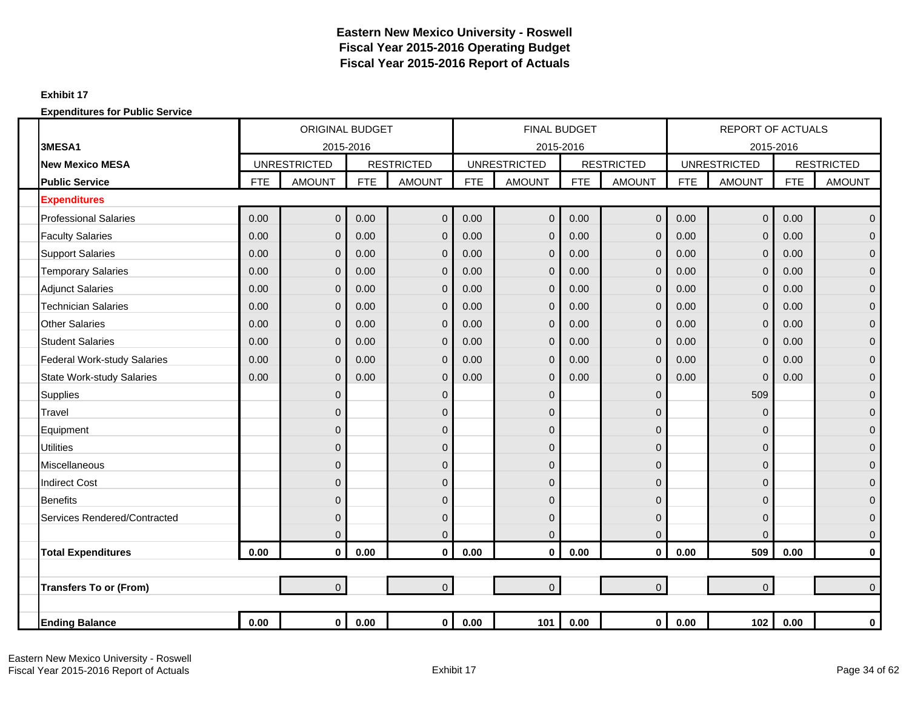### **Exhibit 17**

|                                    |            | <b>ORIGINAL BUDGET</b> |            |                   |            | <b>FINAL BUDGET</b> |            |                   |            | <b>REPORT OF ACTUALS</b> |            |                   |
|------------------------------------|------------|------------------------|------------|-------------------|------------|---------------------|------------|-------------------|------------|--------------------------|------------|-------------------|
| 3MESA1                             |            | 2015-2016              |            |                   |            | 2015-2016           |            |                   |            | 2015-2016                |            |                   |
| <b>New Mexico MESA</b>             |            | <b>UNRESTRICTED</b>    |            | <b>RESTRICTED</b> |            | <b>UNRESTRICTED</b> |            | <b>RESTRICTED</b> |            | <b>UNRESTRICTED</b>      |            | <b>RESTRICTED</b> |
| <b>Public Service</b>              | <b>FTE</b> | <b>AMOUNT</b>          | <b>FTE</b> | <b>AMOUNT</b>     | <b>FTE</b> | <b>AMOUNT</b>       | <b>FTE</b> | <b>AMOUNT</b>     | <b>FTE</b> | <b>AMOUNT</b>            | <b>FTE</b> | <b>AMOUNT</b>     |
| <b>Expenditures</b>                |            |                        |            |                   |            |                     |            |                   |            |                          |            |                   |
| <b>Professional Salaries</b>       | 0.00       | $\overline{0}$         | 0.00       | $\mathbf 0$       | 0.00       | $\overline{0}$      | 0.00       | $\mathbf{0}$      | 0.00       | $\mathbf 0$              | 0.00       | $\mathbf{0}$      |
| <b>Faculty Salaries</b>            | 0.00       | $\overline{0}$         | 0.00       | $\overline{0}$    | 0.00       | $\overline{0}$      | 0.00       | $\Omega$          | 0.00       | $\mathbf 0$              | 0.00       | $\mathbf{0}$      |
| <b>Support Salaries</b>            | 0.00       | $\overline{0}$         | 0.00       | $\overline{0}$    | 0.00       | $\overline{0}$      | 0.00       | $\overline{0}$    | 0.00       | $\mathbf 0$              | 0.00       | $\mathbf 0$       |
| <b>Temporary Salaries</b>          | 0.00       | $\mathbf{0}$           | 0.00       | $\mathbf 0$       | 0.00       | $\mathbf{0}$        | 0.00       | $\mathbf{0}$      | 0.00       | $\mathbf 0$              | 0.00       | $\mathbf 0$       |
| <b>Adjunct Salaries</b>            | 0.00       | $\overline{0}$         | 0.00       | $\Omega$          | 0.00       | $\mathbf{0}$        | 0.00       | $\Omega$          | 0.00       | $\mathbf 0$              | 0.00       | $\mathbf{0}$      |
| <b>Technician Salaries</b>         | 0.00       | $\overline{0}$         | 0.00       | $\overline{0}$    | 0.00       | $\mathbf{0}$        | 0.00       | $\mathbf{0}$      | 0.00       | $\mathbf 0$              | 0.00       | $\pmb{0}$         |
| <b>Other Salaries</b>              | 0.00       | $\overline{0}$         | 0.00       | $\overline{0}$    | 0.00       | $\overline{0}$      | 0.00       | $\overline{0}$    | 0.00       | $\mathbf 0$              | 0.00       | $\overline{0}$    |
| <b>Student Salaries</b>            | 0.00       | $\overline{0}$         | 0.00       | $\overline{0}$    | 0.00       | 0                   | 0.00       | $\mathbf{0}$      | 0.00       | $\mathbf 0$              | 0.00       | $\pmb{0}$         |
| <b>Federal Work-study Salaries</b> | 0.00       | $\overline{0}$         | 0.00       | $\mathbf 0$       | 0.00       | $\mathbf{0}$        | 0.00       | $\overline{0}$    | 0.00       | $\mathbf 0$              | 0.00       | $\mathbf 0$       |
| <b>State Work-study Salaries</b>   | 0.00       | $\overline{0}$         | 0.00       | $\overline{0}$    | 0.00       | $\overline{0}$      | 0.00       | $\Omega$          | 0.00       | $\mathbf 0$              | 0.00       | $\mathbf 0$       |
| <b>Supplies</b>                    |            | $\mathbf{0}$           |            | $\overline{0}$    |            | $\overline{0}$      |            | $\Omega$          |            | 509                      |            | $\mathbf{0}$      |
| Travel                             |            | $\overline{0}$         |            | $\overline{0}$    |            | 0                   |            | $\Omega$          |            | $\mathbf 0$              |            | $\mathbf 0$       |
| Equipment                          |            | $\mathbf{0}$           |            | $\overline{0}$    |            | 0                   |            | $\mathbf{0}$      |            | $\mathbf 0$              |            | $\mathbf 0$       |
| <b>Utilities</b>                   |            | $\overline{0}$         |            | $\mathbf 0$       |            | 0                   |            | $\mathbf{0}$      |            | $\mathbf 0$              |            | $\mathbf 0$       |
| <b>Miscellaneous</b>               |            | $\overline{0}$         |            | $\overline{0}$    |            | 0                   |            | $\Omega$          |            | $\mathbf 0$              |            | $\mathbf{0}$      |
| <b>Indirect Cost</b>               |            | $\Omega$               |            | $\mathbf 0$       |            | 0                   |            | $\Omega$          |            | $\mathbf 0$              |            | $\mathbf{0}$      |
| <b>Benefits</b>                    |            | $\overline{0}$         |            | $\overline{0}$    |            | 0                   |            | $\Omega$          |            | $\mathbf 0$              |            | $\pmb{0}$         |
| Services Rendered/Contracted       |            | $\mathbf{0}$           |            | $\mathbf 0$       |            | 0                   |            | $\mathbf{0}$      |            | $\mathbf 0$              |            | $\mathbf 0$       |
|                                    |            | $\overline{0}$         |            | $\overline{0}$    |            | 0                   |            | $\overline{0}$    |            | $\mathbf 0$              |            | $\mathbf 0$       |
| <b>Total Expenditures</b>          | 0.00       | $\mathbf{0}$           | 0.00       | $\mathbf 0$       | 0.00       | $\mathbf 0$         | 0.00       | $\mathbf{0}$      | 0.00       | 509                      | 0.00       | $\mathbf 0$       |
|                                    |            |                        |            |                   |            |                     |            |                   |            |                          |            |                   |
| <b>Transfers To or (From)</b>      |            | $\overline{0}$         |            | $\overline{0}$    |            | $\overline{0}$      |            | $\overline{0}$    |            | $\mathbf 0$              |            | $\mathbf 0$       |
|                                    |            |                        |            |                   |            |                     |            |                   |            |                          |            |                   |
| <b>Ending Balance</b>              | 0.00       | $\mathbf 0$            | 0.00       | $\mathbf{0}$      | 0.00       | 101                 | 0.00       | $\mathbf{0}$      | 0.00       | 102                      | 0.00       | $\pmb{0}$         |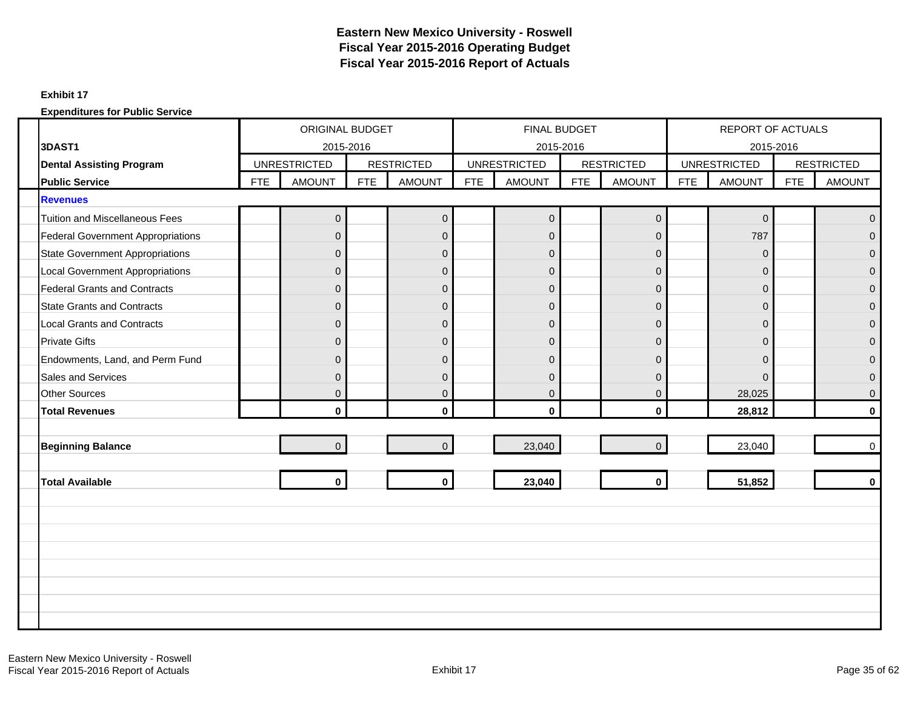### **Exhibit 17**

|                                          |            | <b>ORIGINAL BUDGET</b> |            |                   |            | FINAL BUDGET        |            |                   |            | <b>REPORT OF ACTUALS</b> |            |                   |
|------------------------------------------|------------|------------------------|------------|-------------------|------------|---------------------|------------|-------------------|------------|--------------------------|------------|-------------------|
| 3DAST1                                   |            | 2015-2016              |            |                   |            | 2015-2016           |            |                   |            | 2015-2016                |            |                   |
| <b>Dental Assisting Program</b>          |            | <b>UNRESTRICTED</b>    |            | <b>RESTRICTED</b> |            | <b>UNRESTRICTED</b> |            | <b>RESTRICTED</b> |            | <b>UNRESTRICTED</b>      |            | <b>RESTRICTED</b> |
| <b>Public Service</b>                    | <b>FTE</b> | <b>AMOUNT</b>          | <b>FTE</b> | <b>AMOUNT</b>     | <b>FTE</b> | <b>AMOUNT</b>       | <b>FTE</b> | <b>AMOUNT</b>     | <b>FTE</b> | <b>AMOUNT</b>            | <b>FTE</b> | <b>AMOUNT</b>     |
| <b>Revenues</b>                          |            |                        |            |                   |            |                     |            |                   |            |                          |            |                   |
| <b>Tuition and Miscellaneous Fees</b>    |            | $\mathbf 0$            |            | $\mathbf 0$       |            | $\mathbf 0$         |            | $\pmb{0}$         |            | $\mathbf 0$              |            | $\mathbf{0}$      |
| <b>Federal Government Appropriations</b> |            | $\Omega$               |            | $\mathbf{0}$      |            | $\overline{0}$      |            | $\Omega$          |            | 787                      |            | $\Omega$          |
| <b>State Government Appropriations</b>   |            | $\mathbf{0}$           |            | $\mathbf 0$       |            | $\mathbf 0$         |            | $\mathbf 0$       |            | $\mathbf{0}$             |            | $\Omega$          |
| <b>Local Government Appropriations</b>   |            | $\Omega$               |            | $\mathbf{0}$      |            | $\overline{0}$      |            | $\overline{0}$    |            | $\mathbf{0}$             |            | $\Omega$          |
| <b>Federal Grants and Contracts</b>      |            | $\Omega$               |            | $\mathbf 0$       |            | $\overline{0}$      |            | $\mathbf 0$       |            | $\mathbf{0}$             |            | $\mathbf{0}$      |
| <b>State Grants and Contracts</b>        |            | $\mathbf{0}$           |            | $\pmb{0}$         |            | $\overline{0}$      |            | $\overline{0}$    |            | $\mathbf{0}$             |            | $\Omega$          |
| <b>Local Grants and Contracts</b>        |            | $\overline{0}$         |            | $\mathsf 0$       |            | $\overline{0}$      |            | $\mathbf{0}$      |            | $\mathbf{0}$             |            | $\overline{0}$    |
| <b>Private Gifts</b>                     |            | $\Omega$               |            | $\mathbf 0$       |            | $\overline{0}$      |            | $\mathbf 0$       |            | $\Omega$                 |            | $\Omega$          |
| Endowments, Land, and Perm Fund          |            | $\Omega$               |            | $\mathbf{0}$      |            | $\overline{0}$      |            | $\mathbf 0$       |            | $\mathbf{0}$             |            | $\Omega$          |
| <b>Sales and Services</b>                |            | $\Omega$               |            | $\mathbf{0}$      |            | $\overline{0}$      |            | $\Omega$          |            | $\Omega$                 |            | $\Omega$          |
| <b>Other Sources</b>                     |            | $\mathbf{0}$           |            | $\mathsf 0$       |            | $\overline{0}$      |            | $\mathbf 0$       |            | 28,025                   |            | $\Omega$          |
| <b>Total Revenues</b>                    |            | $\mathbf{0}$           |            | $\mathbf{0}$      |            | $\mathbf{0}$        |            | $\mathbf{0}$      |            | 28,812                   |            | $\mathbf{0}$      |
|                                          |            |                        |            |                   |            |                     |            |                   |            |                          |            |                   |
| <b>Beginning Balance</b>                 |            | $\Omega$               |            | $\Omega$          |            | 23,040              |            | $\Omega$          |            | 23,040                   |            | $\Omega$          |
|                                          |            |                        |            |                   |            |                     |            |                   |            |                          |            |                   |
| <b>Total Available</b>                   |            | $\mathbf{0}$           |            | $\mathbf{0}$      |            | 23,040              |            | $\mathbf{0}$      |            | 51,852                   |            | $\Omega$          |
|                                          |            |                        |            |                   |            |                     |            |                   |            |                          |            |                   |
|                                          |            |                        |            |                   |            |                     |            |                   |            |                          |            |                   |
|                                          |            |                        |            |                   |            |                     |            |                   |            |                          |            |                   |
|                                          |            |                        |            |                   |            |                     |            |                   |            |                          |            |                   |
|                                          |            |                        |            |                   |            |                     |            |                   |            |                          |            |                   |
|                                          |            |                        |            |                   |            |                     |            |                   |            |                          |            |                   |
|                                          |            |                        |            |                   |            |                     |            |                   |            |                          |            |                   |
|                                          |            |                        |            |                   |            |                     |            |                   |            |                          |            |                   |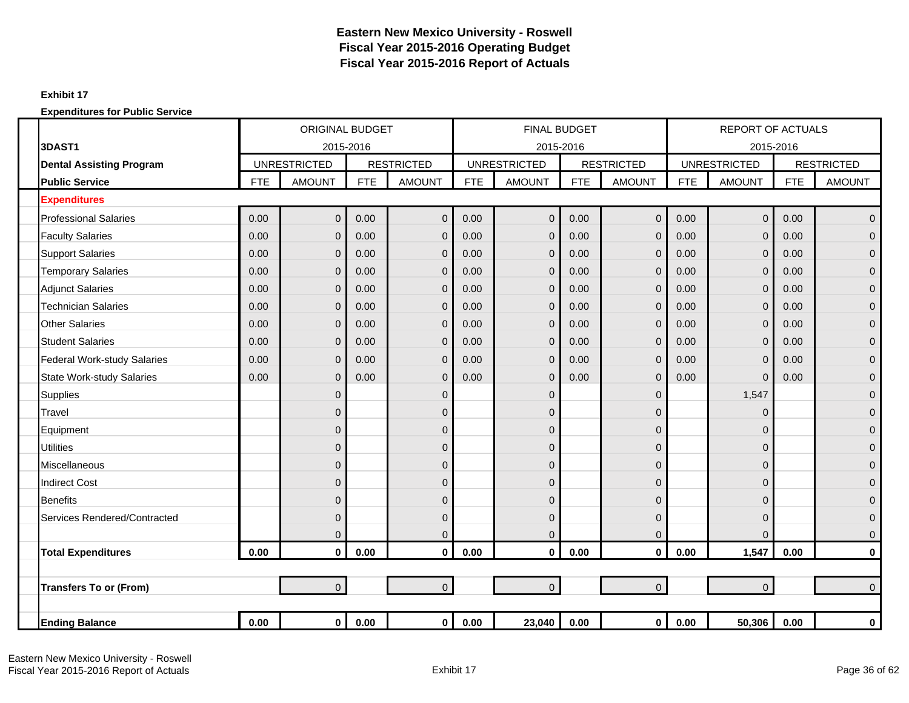### **Exhibit 17**

|                                    |            | <b>ORIGINAL BUDGET</b> |            |                   |            | <b>FINAL BUDGET</b> |            |                   |            | <b>REPORT OF ACTUALS</b> |            |                   |
|------------------------------------|------------|------------------------|------------|-------------------|------------|---------------------|------------|-------------------|------------|--------------------------|------------|-------------------|
| 3DAST1                             |            | 2015-2016              |            |                   |            | 2015-2016           |            |                   |            | 2015-2016                |            |                   |
| <b>Dental Assisting Program</b>    |            | <b>UNRESTRICTED</b>    |            | <b>RESTRICTED</b> |            | <b>UNRESTRICTED</b> |            | <b>RESTRICTED</b> |            | <b>UNRESTRICTED</b>      |            | <b>RESTRICTED</b> |
| <b>Public Service</b>              | <b>FTE</b> | <b>AMOUNT</b>          | <b>FTE</b> | <b>AMOUNT</b>     | <b>FTE</b> | <b>AMOUNT</b>       | <b>FTE</b> | <b>AMOUNT</b>     | <b>FTE</b> | <b>AMOUNT</b>            | <b>FTE</b> | <b>AMOUNT</b>     |
| <b>Expenditures</b>                |            |                        |            |                   |            |                     |            |                   |            |                          |            |                   |
| <b>Professional Salaries</b>       | 0.00       | $\mathbf 0$            | 0.00       | $\overline{0}$    | 0.00       | $\mathbf{0}$        | 0.00       | $\mathbf 0$       | 0.00       | $\pmb{0}$                | 0.00       | $\mathbf{0}$      |
| <b>Faculty Salaries</b>            | 0.00       | $\mathbf{0}$           | 0.00       | $\mathbf 0$       | 0.00       | $\Omega$            | 0.00       | $\overline{0}$    | 0.00       | $\overline{0}$           | 0.00       | $\overline{0}$    |
| <b>Support Salaries</b>            | 0.00       | $\overline{0}$         | 0.00       | $\overline{0}$    | 0.00       | $\Omega$            | 0.00       | $\mathbf{0}$      | 0.00       | $\overline{0}$           | 0.00       | $\mathbf{0}$      |
| <b>Temporary Salaries</b>          | 0.00       | $\mathbf{0}$           | 0.00       | $\overline{0}$    | 0.00       | $\mathbf{0}$        | 0.00       | $\mathbf{0}$      | 0.00       | $\mathbf 0$              | 0.00       | $\overline{0}$    |
| <b>Adjunct Salaries</b>            | 0.00       | $\Omega$               | 0.00       | $\overline{0}$    | 0.00       | $\Omega$            | 0.00       | $\Omega$          | 0.00       | $\overline{0}$           | 0.00       | $\overline{0}$    |
| <b>Technician Salaries</b>         | 0.00       | $\Omega$               | 0.00       | $\Omega$          | 0.00       | $\Omega$            | 0.00       | $\overline{0}$    | 0.00       | $\overline{0}$           | 0.00       | $\overline{0}$    |
| <b>Other Salaries</b>              | 0.00       | $\overline{0}$         | 0.00       | $\mathbf 0$       | 0.00       | $\mathbf{0}$        | 0.00       | $\mathbf{0}$      | 0.00       | $\mathbf 0$              | 0.00       | $\overline{0}$    |
| <b>Student Salaries</b>            | 0.00       | $\mathbf 0$            | 0.00       | $\overline{0}$    | 0.00       | $\overline{0}$      | 0.00       | $\mathbf 0$       | 0.00       | $\mathbf 0$              | 0.00       | $\mathbf{0}$      |
| <b>Federal Work-study Salaries</b> | 0.00       | $\Omega$               | 0.00       | $\mathbf 0$       | 0.00       | $\Omega$            | 0.00       | $\mathbf{0}$      | 0.00       | $\overline{0}$           | 0.00       | $\overline{0}$    |
| <b>State Work-study Salaries</b>   | 0.00       | $\mathbf{0}$           | 0.00       | $\overline{0}$    | 0.00       | $\mathbf{0}$        | 0.00       | $\mathbf{0}$      | 0.00       | $\mathbf 0$              | 0.00       | $\mathbf{0}$      |
| <b>Supplies</b>                    |            | $\mathbf{0}$           |            | $\pmb{0}$         |            | $\mathbf{0}$        |            | 0                 |            | 1,547                    |            | $\mathbf{0}$      |
| <b>Travel</b>                      |            | $\Omega$               |            | $\mathbf 0$       |            | $\mathbf 0$         |            | $\Omega$          |            | $\Omega$                 |            | $\overline{0}$    |
| Equipment                          |            | $\mathbf{0}$           |            | $\mathbf 0$       |            | $\mathbf{0}$        |            | $\Omega$          |            | $\mathbf 0$              |            | $\mathbf{0}$      |
| <b>Utilities</b>                   |            | $\mathbf{0}$           |            | $\mathbf 0$       |            | $\mathbf 0$         |            | 0                 |            | $\mathbf 0$              |            | $\mathbf{0}$      |
| <b>Miscellaneous</b>               |            | $\mathbf{0}$           |            | $\mathbf 0$       |            | $\mathbf 0$         |            | $\Omega$          |            | $\mathbf 0$              |            | $\overline{0}$    |
| <b>Indirect Cost</b>               |            | $\Omega$               |            | $\mathbf{0}$      |            | $\overline{0}$      |            | $\Omega$          |            | 0                        |            | $\overline{0}$    |
| <b>Benefits</b>                    |            | $\mathbf{0}$           |            | $\mathbf 0$       |            | $\mathbf 0$         |            | $\Omega$          |            | $\mathbf{0}$             |            | $\mathbf{0}$      |
| Services Rendered/Contracted       |            | $\Omega$               |            | $\mathbf 0$       |            | $\mathbf{0}$        |            | $\Omega$          |            | $\mathbf{0}$             |            | $\overline{0}$    |
|                                    |            | $\mathbf{0}$           |            | $\overline{0}$    |            | $\Omega$            |            | $\mathbf{0}$      |            | $\Omega$                 |            | $\mathbf 0$       |
| <b>Total Expenditures</b>          | 0.00       | $\mathbf 0$            | 0.00       | $\mathbf 0$       | 0.00       | $\mathbf 0$         | 0.00       | $\mathbf 0$       | 0.00       | 1,547                    | 0.00       | $\mathbf 0$       |
|                                    |            |                        |            |                   |            |                     |            |                   |            |                          |            |                   |
| <b>Transfers To or (From)</b>      |            | $\overline{0}$         |            | $\mathbf{0}$      |            | $\overline{0}$      |            | $\overline{0}$    |            | $\overline{0}$           |            | $\overline{0}$    |
|                                    |            |                        |            |                   |            |                     |            |                   |            |                          |            |                   |
| <b>Ending Balance</b>              | 0.00       | $\mathbf 0$            | 0.00       | $\mathbf{0}$      | 0.00       | 23,040              | 0.00       | $\mathbf 0$       | 0.00       | 50,306                   | 0.00       | $\pmb{0}$         |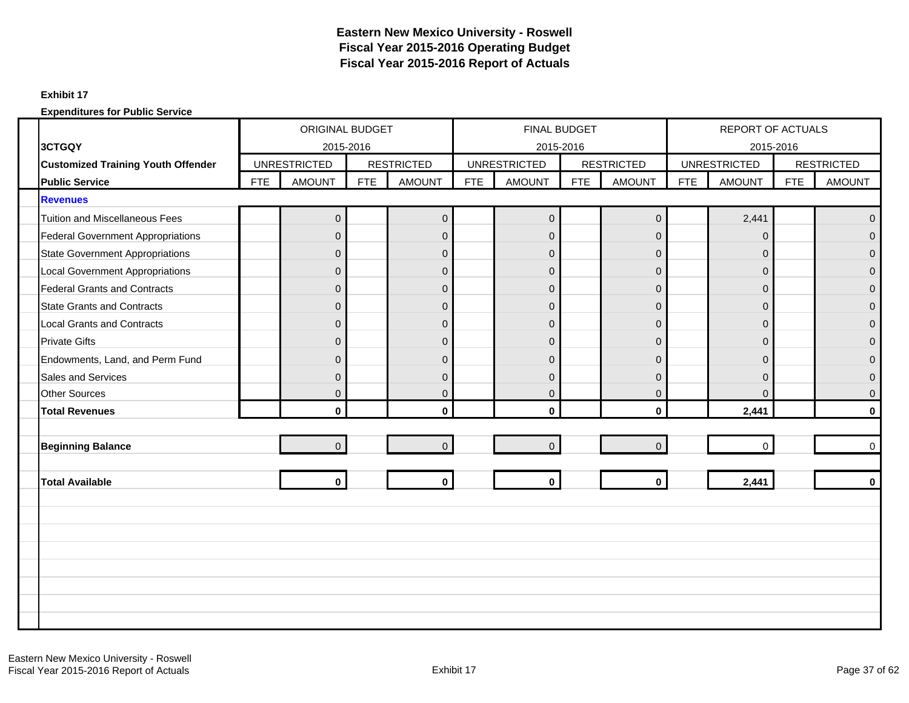### **Exhibit 17**

|                                           |            | ORIGINAL BUDGET     |            |                   |            | <b>FINAL BUDGET</b> |            |                   |            | REPORT OF ACTUALS   |            |                   |
|-------------------------------------------|------------|---------------------|------------|-------------------|------------|---------------------|------------|-------------------|------------|---------------------|------------|-------------------|
| 3CTGQY                                    |            | 2015-2016           |            |                   |            |                     | 2015-2016  |                   |            | 2015-2016           |            |                   |
| <b>Customized Training Youth Offender</b> |            | <b>UNRESTRICTED</b> |            | <b>RESTRICTED</b> |            | <b>UNRESTRICTED</b> |            | <b>RESTRICTED</b> |            | <b>UNRESTRICTED</b> |            | <b>RESTRICTED</b> |
| <b>Public Service</b>                     | <b>FTE</b> | <b>AMOUNT</b>       | <b>FTE</b> | <b>AMOUNT</b>     | <b>FTE</b> | <b>AMOUNT</b>       | <b>FTE</b> | <b>AMOUNT</b>     | <b>FTE</b> | <b>AMOUNT</b>       | <b>FTE</b> | <b>AMOUNT</b>     |
| <b>Revenues</b>                           |            |                     |            |                   |            |                     |            |                   |            |                     |            |                   |
| <b>Tuition and Miscellaneous Fees</b>     |            | $\pmb{0}$           |            | $\mathbf 0$       |            | $\overline{0}$      |            | $\pmb{0}$         |            | 2,441               |            | $\overline{0}$    |
| <b>Federal Government Appropriations</b>  |            | $\Omega$            |            | $\mathbf 0$       |            | $\Omega$            |            | $\Omega$          |            | 0                   |            | $\overline{0}$    |
| <b>State Government Appropriations</b>    |            | $\mathbf{0}$        |            | $\mathbf 0$       |            | $\mathbf{0}$        |            | $\mathbf{0}$      |            | $\mathbf 0$         |            | $\overline{0}$    |
| <b>Local Government Appropriations</b>    |            | $\mathbf{0}$        |            | $\mathbf 0$       |            | $\mathbf 0$         |            | $\mathbf 0$       |            | $\mathbf 0$         |            | $\mathbf 0$       |
| <b>Federal Grants and Contracts</b>       |            | $\Omega$            |            | $\mathbf{0}$      |            | $\overline{0}$      |            | $\Omega$          |            | $\overline{0}$      |            | $\overline{0}$    |
| <b>State Grants and Contracts</b>         |            | $\mathbf{0}$        |            | $\mathbf 0$       |            | $\mathbf{0}$        |            | $\overline{0}$    |            | $\mathbf 0$         |            | $\mathbf{0}$      |
| <b>Local Grants and Contracts</b>         |            | $\overline{0}$      |            | $\mathsf 0$       |            | $\overline{0}$      |            | $\mathbf{0}$      |            | $\overline{0}$      |            | $\overline{0}$    |
| <b>Private Gifts</b>                      |            | $\mathbf{0}$        |            | $\mathbf 0$       |            | $\mathbf{0}$        |            | $\mathbf 0$       |            | $\mathbf{0}$        |            | $\overline{0}$    |
| Endowments, Land, and Perm Fund           |            | $\Omega$            |            | $\mathbf{0}$      |            | $\Omega$            |            | $\Omega$          |            | 0                   |            | $\Omega$          |
| Sales and Services                        |            | $\mathbf{0}$        |            | $\mathsf 0$       |            | $\mathbf{0}$        |            | $\Omega$          |            | 0                   |            | $\overline{0}$    |
| <b>Other Sources</b>                      |            | $\Omega$            |            | $\mathbf{0}$      |            | $\mathbf{0}$        |            | $\Omega$          |            | $\Omega$            |            | $\mathbf{0}$      |
| <b>Total Revenues</b>                     |            | $\mathbf{0}$        |            | $\mathbf 0$       |            | $\mathbf{0}$        |            | $\mathbf{0}$      |            | 2,441               |            | $\bf{0}$          |
|                                           |            |                     |            |                   |            |                     |            |                   |            |                     |            |                   |
| <b>Beginning Balance</b>                  |            | $\Omega$            |            | $\mathbf 0$       |            | $\overline{0}$      |            | $\Omega$          |            | $\Omega$            |            | $\Omega$          |
|                                           |            |                     |            |                   |            |                     |            |                   |            |                     |            |                   |
| <b>Total Available</b>                    |            | $\mathbf{0}$        |            | $\mathbf 0$       |            | $\mathbf 0$         |            | $\mathbf 0$       |            | 2,441               |            | $\bf{0}$          |
|                                           |            |                     |            |                   |            |                     |            |                   |            |                     |            |                   |
|                                           |            |                     |            |                   |            |                     |            |                   |            |                     |            |                   |
|                                           |            |                     |            |                   |            |                     |            |                   |            |                     |            |                   |
|                                           |            |                     |            |                   |            |                     |            |                   |            |                     |            |                   |
|                                           |            |                     |            |                   |            |                     |            |                   |            |                     |            |                   |
|                                           |            |                     |            |                   |            |                     |            |                   |            |                     |            |                   |
|                                           |            |                     |            |                   |            |                     |            |                   |            |                     |            |                   |
|                                           |            |                     |            |                   |            |                     |            |                   |            |                     |            |                   |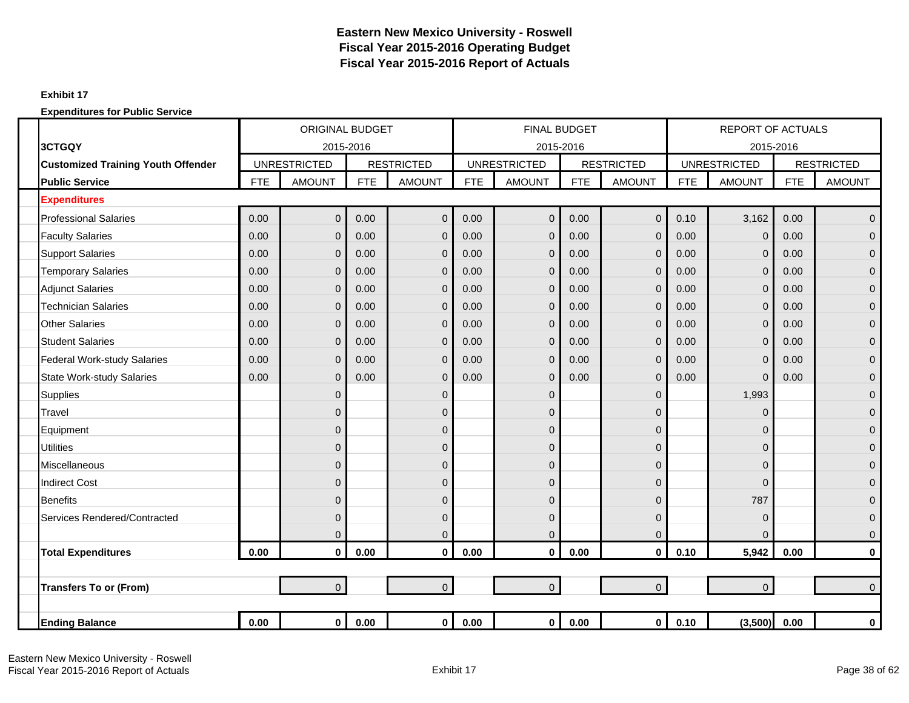### **Exhibit 17**

|                                           |            | <b>ORIGINAL BUDGET</b> |            |                   |            | <b>FINAL BUDGET</b> |            |                   |            | <b>REPORT OF ACTUALS</b> |            |                   |
|-------------------------------------------|------------|------------------------|------------|-------------------|------------|---------------------|------------|-------------------|------------|--------------------------|------------|-------------------|
| 3CTGQY                                    |            | 2015-2016              |            |                   |            | 2015-2016           |            |                   |            | 2015-2016                |            |                   |
| <b>Customized Training Youth Offender</b> |            | <b>UNRESTRICTED</b>    |            | <b>RESTRICTED</b> |            | <b>UNRESTRICTED</b> |            | <b>RESTRICTED</b> |            | <b>UNRESTRICTED</b>      |            | <b>RESTRICTED</b> |
| <b>Public Service</b>                     | <b>FTE</b> | <b>AMOUNT</b>          | <b>FTE</b> | <b>AMOUNT</b>     | <b>FTE</b> | <b>AMOUNT</b>       | <b>FTE</b> | <b>AMOUNT</b>     | <b>FTE</b> | <b>AMOUNT</b>            | <b>FTE</b> | <b>AMOUNT</b>     |
| <b>Expenditures</b>                       |            |                        |            |                   |            |                     |            |                   |            |                          |            |                   |
| <b>Professional Salaries</b>              | 0.00       | $\mathbf 0$            | 0.00       | $\mathbf 0$       | 0.00       | 0                   | 0.00       | $\mathbf 0$       | 0.10       | 3,162                    | 0.00       | $\mathbf 0$       |
| <b>Faculty Salaries</b>                   | 0.00       | $\overline{0}$         | 0.00       | $\mathbf 0$       | 0.00       | $\mathbf{0}$        | 0.00       | $\mathbf{0}$      | 0.00       | $\mathbf 0$              | 0.00       | $\overline{0}$    |
| <b>Support Salaries</b>                   | 0.00       | $\overline{0}$         | 0.00       | $\mathbf 0$       | 0.00       | $\mathbf{0}$        | 0.00       | $\overline{0}$    | 0.00       | $\mathbf 0$              | 0.00       | $\pmb{0}$         |
| <b>Temporary Salaries</b>                 | 0.00       | $\mathbf{0}$           | 0.00       | $\mathbf 0$       | 0.00       | $\overline{0}$      | 0.00       | $\mathbf{0}$      | 0.00       | $\mathbf 0$              | 0.00       | $\mathbf{0}$      |
| <b>Adjunct Salaries</b>                   | 0.00       | $\overline{0}$         | 0.00       | $\Omega$          | 0.00       | $\mathbf{0}$        | 0.00       | $\Omega$          | 0.00       | $\mathbf 0$              | 0.00       | $\mathbf{0}$      |
| <b>Technician Salaries</b>                | 0.00       | $\overline{0}$         | 0.00       | $\Omega$          | 0.00       | 0                   | 0.00       | $\mathbf{0}$      | 0.00       | $\Omega$                 | 0.00       | $\mathbf{0}$      |
| <b>Other Salaries</b>                     | 0.00       | $\mathbf{0}$           | 0.00       | $\mathbf 0$       | 0.00       | $\mathbf 0$         | 0.00       | $\overline{0}$    | 0.00       | $\mathbf 0$              | 0.00       | $\mathbf 0$       |
| <b>Student Salaries</b>                   | 0.00       | $\mathbf{0}$           | 0.00       | $\mathbf 0$       | 0.00       | 0                   | 0.00       | 0                 | 0.00       | $\mathbf 0$              | 0.00       | $\mathbf 0$       |
| <b>Federal Work-study Salaries</b>        | 0.00       | $\overline{0}$         | 0.00       | $\mathbf 0$       | 0.00       | $\overline{0}$      | 0.00       | $\Omega$          | 0.00       | $\mathbf 0$              | 0.00       | $\mathbf{0}$      |
| <b>State Work-study Salaries</b>          | 0.00       | $\mathbf 0$            | 0.00       | $\mathbf 0$       | 0.00       | 0                   | 0.00       | $\overline{0}$    | 0.00       | $\mathbf 0$              | 0.00       | $\pmb{0}$         |
| <b>Supplies</b>                           |            | $\mathbf{0}$           |            | $\mathbf 0$       |            | $\mathbf 0$         |            | $\mathbf{0}$      |            | 1,993                    |            | $\mathbf 0$       |
| <b>Travel</b>                             |            | $\overline{0}$         |            | $\mathbf 0$       |            | 0                   |            | $\Omega$          |            | $\Omega$                 |            | $\mathbf{0}$      |
| Equipment                                 |            | $\overline{0}$         |            | $\Omega$          |            | 0                   |            | 0                 |            | $\Omega$                 |            | $\mathbf{0}$      |
| <b>Utilities</b>                          |            | $\overline{0}$         |            | $\mathbf 0$       |            | 0                   |            | $\mathbf{0}$      |            | $\mathbf 0$              |            | $\mathbf 0$       |
| <b>Miscellaneous</b>                      |            | $\overline{0}$         |            | $\mathbf 0$       |            | 0                   |            | 0                 |            | $\mathbf 0$              |            | $\mathbf{0}$      |
| <b>Indirect Cost</b>                      |            | $\Omega$               |            | $\mathbf 0$       |            | 0                   |            | $\Omega$          |            | $\mathbf 0$              |            | $\mathbf{0}$      |
| <b>Benefits</b>                           |            | $\overline{0}$         |            | $\overline{0}$    |            | 0                   |            | $\Omega$          |            | 787                      |            | $\mathbf 0$       |
| Services Rendered/Contracted              |            | $\overline{0}$         |            | $\mathbf 0$       |            | 0                   |            | $\Omega$          |            | $\mathbf 0$              |            | $\mathbf{0}$      |
|                                           |            | $\overline{0}$         |            | $\overline{0}$    |            | $\overline{0}$      |            | $\overline{0}$    |            | $\Omega$                 |            | $\mathbf{0}$      |
| <b>Total Expenditures</b>                 | 0.00       | $\mathbf 0$            | 0.00       | $\mathbf 0$       | 0.00       | $\mathbf{0}$        | 0.00       | $\mathbf 0$       | 0.10       | 5,942                    | 0.00       | $\bf{0}$          |
|                                           |            |                        |            |                   |            |                     |            |                   |            |                          |            |                   |
| <b>Transfers To or (From)</b>             |            | $\overline{0}$         |            | $\overline{0}$    |            | $\overline{0}$      |            | $\overline{0}$    |            | $\mathbf 0$              |            | $\Omega$          |
|                                           |            |                        |            |                   |            |                     |            |                   |            |                          |            |                   |
| <b>Ending Balance</b>                     | 0.00       | $\mathbf 0$            | 0.00       | $\mathbf{0}$      | 0.00       | $\mathbf 0$         | 0.00       | $\mathbf{0}$      | 0.10       | (3,500)                  | 0.00       | $\pmb{0}$         |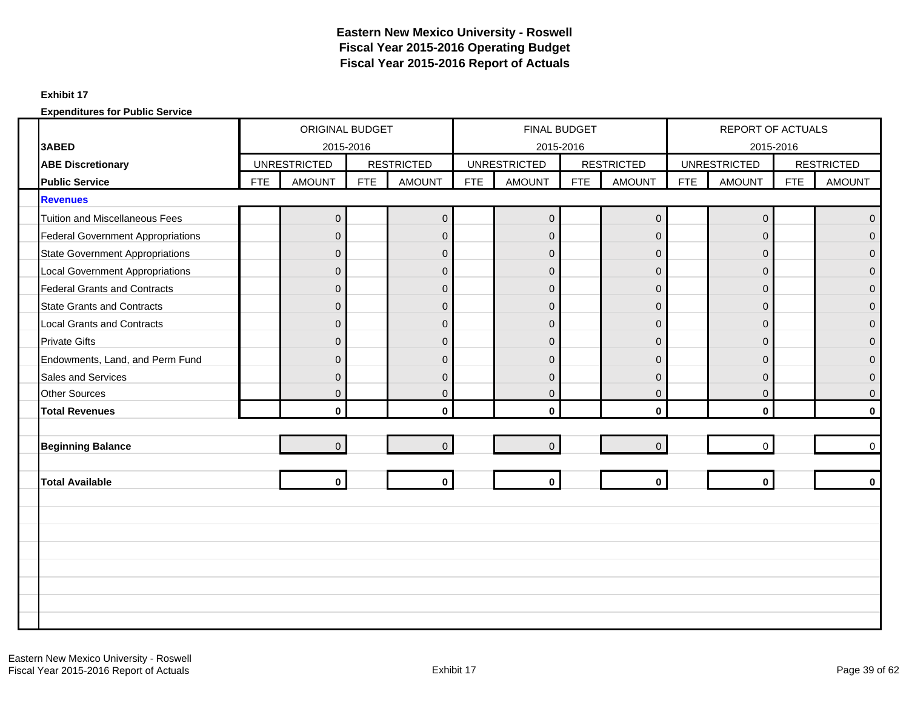#### **Exhibit 17**

|                                          | <b>ORIGINAL BUDGET</b><br>2015-2016<br><b>UNRESTRICTED</b> |                |            |                   |            | FINAL BUDGET        |            |                   |            | <b>REPORT OF ACTUALS</b> |            |                   |
|------------------------------------------|------------------------------------------------------------|----------------|------------|-------------------|------------|---------------------|------------|-------------------|------------|--------------------------|------------|-------------------|
| 3ABED                                    |                                                            |                |            |                   |            | 2015-2016           |            |                   |            | 2015-2016                |            |                   |
| <b>ABE Discretionary</b>                 |                                                            |                |            | <b>RESTRICTED</b> |            | <b>UNRESTRICTED</b> |            | <b>RESTRICTED</b> |            | <b>UNRESTRICTED</b>      |            | <b>RESTRICTED</b> |
| <b>Public Service</b>                    | <b>FTE</b>                                                 | <b>AMOUNT</b>  | <b>FTE</b> | <b>AMOUNT</b>     | <b>FTE</b> | <b>AMOUNT</b>       | <b>FTE</b> | <b>AMOUNT</b>     | <b>FTE</b> | <b>AMOUNT</b>            | <b>FTE</b> | <b>AMOUNT</b>     |
| <b>Revenues</b>                          |                                                            |                |            |                   |            |                     |            |                   |            |                          |            |                   |
| <b>Tuition and Miscellaneous Fees</b>    |                                                            | 0              |            | $\mathbf 0$       |            | $\overline{0}$      |            | $\mathbf 0$       |            | $\mathbf 0$              |            | $\Omega$          |
| <b>Federal Government Appropriations</b> |                                                            | $\Omega$       |            | $\mathbf{0}$      |            | $\Omega$            |            | $\Omega$          |            | $\Omega$                 |            | $\Omega$          |
| <b>State Government Appropriations</b>   |                                                            | $\mathbf{0}$   |            | $\mathsf 0$       |            | $\overline{0}$      |            | $\overline{0}$    |            | $\mathbf{0}$             |            | $\Omega$          |
| <b>Local Government Appropriations</b>   |                                                            | $\Omega$       |            | $\mathbf{0}$      |            | $\Omega$            |            | $\Omega$          |            | $\mathbf{0}$             |            | $\Omega$          |
| <b>Federal Grants and Contracts</b>      |                                                            | $\Omega$       |            | $\mathbf 0$       |            | $\overline{0}$      |            | $\mathbf 0$       |            | $\mathbf{0}$             |            | $\Omega$          |
| <b>State Grants and Contracts</b>        |                                                            | $\mathbf{0}$   |            | $\overline{0}$    |            | $\overline{0}$      |            | $\overline{0}$    |            | $\mathbf{0}$             |            | $\Omega$          |
| <b>Local Grants and Contracts</b>        |                                                            | $\Omega$       |            | $\mathbf 0$       |            | $\overline{0}$      |            | $\mathbf{0}$      |            | $\mathbf{0}$             |            | $\Omega$          |
| <b>Private Gifts</b>                     |                                                            | $\Omega$       |            | $\mathbf 0$       |            | $\overline{0}$      |            | $\Omega$          |            | $\Omega$                 |            | $\Omega$          |
| Endowments, Land, and Perm Fund          |                                                            | $\Omega$       |            | $\mathbf 0$       |            | $\overline{0}$      |            | $\Omega$          |            | 0                        |            | $\Omega$          |
| <b>Sales and Services</b>                |                                                            | $\Omega$       |            | $\mathbf{0}$      |            | $\Omega$            |            | $\Omega$          |            | $\mathbf{0}$             |            | $\Omega$          |
| <b>Other Sources</b>                     |                                                            | $\mathbf{0}$   |            | $\mathsf 0$       |            | $\overline{0}$      |            | $\mathbf{0}$      |            | $\mathbf{0}$             |            | $\mathbf{0}$      |
| <b>Total Revenues</b>                    |                                                            | $\mathbf{0}$   |            | $\mathbf{0}$      |            | $\mathbf{0}$        |            | $\mathbf{0}$      |            | $\mathbf{0}$             |            | $\mathbf{0}$      |
|                                          |                                                            |                |            |                   |            |                     |            |                   |            |                          |            |                   |
| <b>Beginning Balance</b>                 |                                                            | $\overline{0}$ |            | $\mathbf 0$       |            | $\overline{0}$      |            | $\Omega$          |            | $\mathbf{0}$             |            | $\Omega$          |
|                                          |                                                            |                |            |                   |            |                     |            |                   |            |                          |            |                   |
| <b>Total Available</b>                   |                                                            | $\mathbf{0}$   |            | $\mathbf{0}$      |            | $\mathbf 0$         |            | $\mathbf{0}$      |            | $\mathbf{0}$             |            | $\Omega$          |
|                                          |                                                            |                |            |                   |            |                     |            |                   |            |                          |            |                   |
|                                          |                                                            |                |            |                   |            |                     |            |                   |            |                          |            |                   |
|                                          |                                                            |                |            |                   |            |                     |            |                   |            |                          |            |                   |
|                                          |                                                            |                |            |                   |            |                     |            |                   |            |                          |            |                   |
|                                          |                                                            |                |            |                   |            |                     |            |                   |            |                          |            |                   |
|                                          |                                                            |                |            |                   |            |                     |            |                   |            |                          |            |                   |
|                                          |                                                            |                |            |                   |            |                     |            |                   |            |                          |            |                   |
|                                          |                                                            |                |            |                   |            |                     |            |                   |            |                          |            |                   |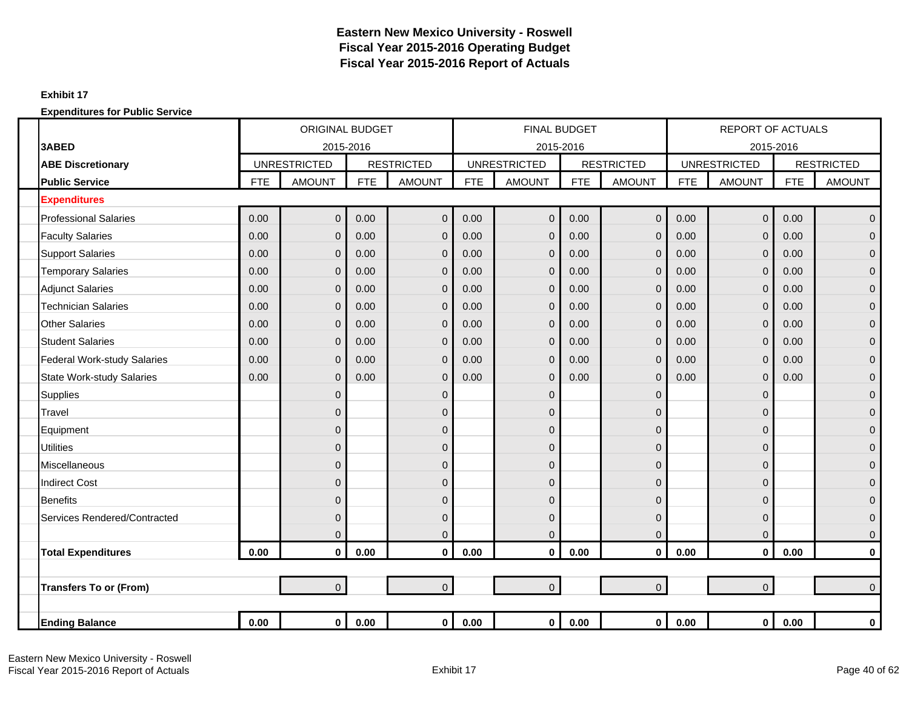### **Exhibit 17**

|                                    |            | <b>ORIGINAL BUDGET</b> |            |                   |            | <b>FINAL BUDGET</b> |            |                   |            | <b>REPORT OF ACTUALS</b> |            |                   |
|------------------------------------|------------|------------------------|------------|-------------------|------------|---------------------|------------|-------------------|------------|--------------------------|------------|-------------------|
| 3ABED                              |            | 2015-2016              |            |                   |            | 2015-2016           |            |                   |            | 2015-2016                |            |                   |
| <b>ABE Discretionary</b>           |            | <b>UNRESTRICTED</b>    |            | <b>RESTRICTED</b> |            | <b>UNRESTRICTED</b> |            | <b>RESTRICTED</b> |            | <b>UNRESTRICTED</b>      |            | <b>RESTRICTED</b> |
| <b>Public Service</b>              | <b>FTE</b> | <b>AMOUNT</b>          | <b>FTE</b> | <b>AMOUNT</b>     | <b>FTE</b> | <b>AMOUNT</b>       | <b>FTE</b> | <b>AMOUNT</b>     | <b>FTE</b> | <b>AMOUNT</b>            | <b>FTE</b> | <b>AMOUNT</b>     |
| <b>Expenditures</b>                |            |                        |            |                   |            |                     |            |                   |            |                          |            |                   |
| <b>Professional Salaries</b>       | 0.00       | $\mathbf 0$            | 0.00       | $\mathbf 0$       | 0.00       | $\mathbf 0$         | 0.00       | $\mathbf 0$       | 0.00       | $\mathbf 0$              | 0.00       | $\overline{0}$    |
| <b>Faculty Salaries</b>            | 0.00       | $\overline{0}$         | 0.00       | $\mathbf 0$       | 0.00       | $\mathbf{0}$        | 0.00       | $\mathbf{0}$      | 0.00       | $\mathbf 0$              | 0.00       | $\overline{0}$    |
| <b>Support Salaries</b>            | 0.00       | $\overline{0}$         | 0.00       | $\overline{0}$    | 0.00       | $\mathbf 0$         | 0.00       | $\mathbf{0}$      | 0.00       | $\overline{0}$           | 0.00       | $\overline{0}$    |
| <b>Temporary Salaries</b>          | 0.00       | $\Omega$               | 0.00       | $\mathbf 0$       | 0.00       | $\Omega$            | 0.00       | $\mathbf{0}$      | 0.00       | $\overline{0}$           | 0.00       | $\overline{0}$    |
| <b>Adjunct Salaries</b>            | 0.00       | $\overline{0}$         | 0.00       | $\overline{0}$    | 0.00       | $\Omega$            | 0.00       | $\Omega$          | 0.00       | $\mathbf 0$              | 0.00       | $\overline{0}$    |
| <b>Technician Salaries</b>         | 0.00       | $\mathbf{0}$           | 0.00       | $\mathbf 0$       | 0.00       | $\mathbf{0}$        | 0.00       | $\overline{0}$    | 0.00       | $\overline{0}$           | 0.00       | $\overline{0}$    |
| <b>Other Salaries</b>              | 0.00       | $\Omega$               | 0.00       | $\mathbf 0$       | 0.00       | $\mathbf{0}$        | 0.00       | $\Omega$          | 0.00       | $\overline{0}$           | 0.00       | $\mathbf{0}$      |
| <b>Student Salaries</b>            | 0.00       | $\mathbf{0}$           | 0.00       | $\mathbf 0$       | 0.00       | $\overline{0}$      | 0.00       | $\mathbf{0}$      | 0.00       | $\mathbf 0$              | 0.00       | $\overline{0}$    |
| <b>Federal Work-study Salaries</b> | 0.00       | $\mathbf{0}$           | 0.00       | $\mathbf 0$       | 0.00       | $\mathbf 0$         | 0.00       | $\mathbf{0}$      | 0.00       | $\mathbf 0$              | 0.00       | $\overline{0}$    |
| <b>State Work-study Salaries</b>   | 0.00       | $\mathbf{0}$           | 0.00       | $\overline{0}$    | 0.00       | $\Omega$            | 0.00       | $\overline{0}$    | 0.00       | $\mathbf{0}$             | 0.00       | $\overline{0}$    |
| <b>Supplies</b>                    |            | $\mathbf{0}$           |            | $\mathbf 0$       |            | $\mathbf{0}$        |            | 0                 |            | $\mathbf 0$              |            | $\overline{0}$    |
| Travel                             |            | $\mathbf{0}$           |            | $\mathbf 0$       |            | $\mathbf 0$         |            | $\Omega$          |            | $\mathbf 0$              |            | $\overline{0}$    |
| Equipment                          |            | $\Omega$               |            | $\Omega$          |            | $\mathbf{0}$        |            | 0                 |            | $\Omega$                 |            | $\mathbf{0}$      |
| <b>Utilities</b>                   |            | $\mathbf{0}$           |            | $\mathbf 0$       |            | $\mathbf{0}$        |            | $\Omega$          |            | $\mathbf 0$              |            | $\overline{0}$    |
| Miscellaneous                      |            | $\mathbf{0}$           |            | $\mathbf 0$       |            | $\mathbf 0$         |            | 0                 |            | $\mathbf 0$              |            | $\overline{0}$    |
| <b>Indirect Cost</b>               |            | $\Omega$               |            | $\Omega$          |            | $\mathbf 0$         |            | $\Omega$          |            | $\Omega$                 |            | $\overline{0}$    |
| <b>Benefits</b>                    |            | $\Omega$               |            | $\mathbf 0$       |            | $\mathbf 0$         |            | $\Omega$          |            | $\mathbf{0}$             |            | $\overline{0}$    |
| Services Rendered/Contracted       |            | $\mathbf{0}$           |            | $\mathbf 0$       |            | 0                   |            | 0                 |            | $\mathbf 0$              |            | $\overline{0}$    |
|                                    |            | $\overline{0}$         |            | $\overline{0}$    |            | $\Omega$            |            | $\overline{0}$    |            | $\mathbf 0$              |            | $\mathbf 0$       |
| <b>Total Expenditures</b>          | 0.00       | $\mathbf 0$            | 0.00       | $\mathbf 0$       | 0.00       | $\mathbf 0$         | 0.00       | $\mathbf 0$       | 0.00       | $\mathbf 0$              | 0.00       | $\mathbf 0$       |
|                                    |            |                        |            |                   |            |                     |            |                   |            |                          |            |                   |
| <b>Transfers To or (From)</b>      |            | $\overline{0}$         |            | $\mathbf{0}$      |            | $\overline{0}$      |            | $\overline{0}$    |            | $\overline{0}$           |            | $\overline{0}$    |
|                                    |            |                        |            |                   |            |                     |            |                   |            |                          |            |                   |
| <b>Ending Balance</b>              | 0.00       | $\mathbf 0$            | 0.00       | $\mathbf{0}$      | 0.00       | $\mathbf 0$         | $0.00\,$   | $\mathbf{0}$      | 0.00       | $\mathbf 0$              | 0.00       | $\pmb{0}$         |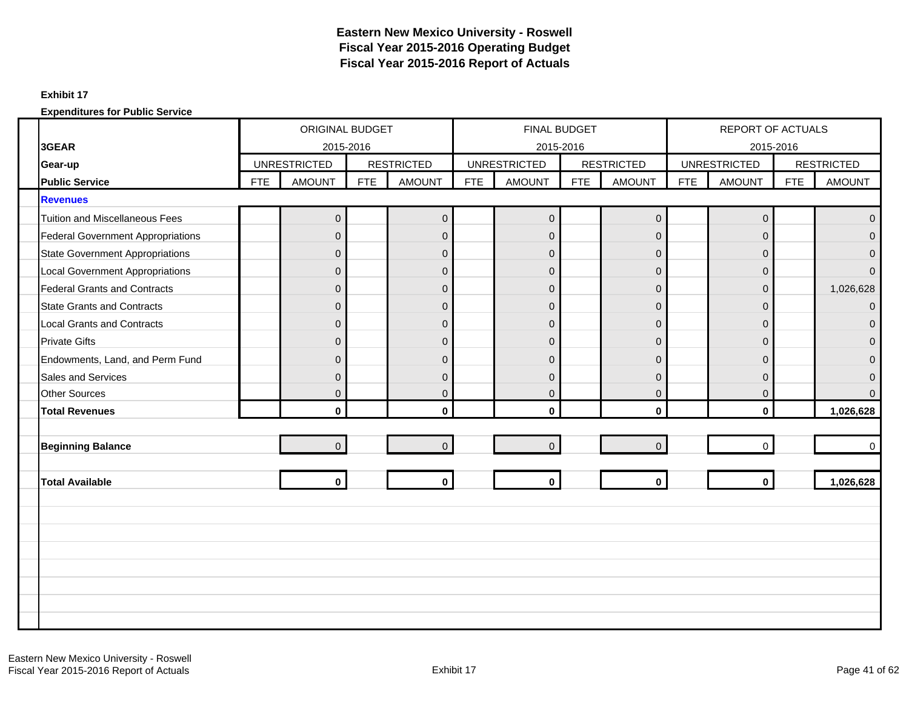#### **Exhibit 17**

|                                          |            | ORIGINAL BUDGET     |            |                   |            | FINAL BUDGET        |            |                   |            | REPORT OF ACTUALS   |            |                   |
|------------------------------------------|------------|---------------------|------------|-------------------|------------|---------------------|------------|-------------------|------------|---------------------|------------|-------------------|
| 3GEAR                                    |            | 2015-2016           |            |                   |            | 2015-2016           |            |                   |            | 2015-2016           |            |                   |
| Gear-up                                  |            | <b>UNRESTRICTED</b> |            | <b>RESTRICTED</b> |            | <b>UNRESTRICTED</b> |            | <b>RESTRICTED</b> |            | <b>UNRESTRICTED</b> |            | <b>RESTRICTED</b> |
| <b>Public Service</b>                    | <b>FTE</b> | <b>AMOUNT</b>       | <b>FTE</b> | <b>AMOUNT</b>     | <b>FTE</b> | <b>AMOUNT</b>       | <b>FTE</b> | <b>AMOUNT</b>     | <b>FTE</b> | <b>AMOUNT</b>       | <b>FTE</b> | <b>AMOUNT</b>     |
| <b>Revenues</b>                          |            |                     |            |                   |            |                     |            |                   |            |                     |            |                   |
| <b>Tuition and Miscellaneous Fees</b>    |            | $\overline{0}$      |            | $\mathbf 0$       |            | $\overline{0}$      |            | $\mathbf 0$       |            | $\pmb{0}$           |            | $\mathbf{0}$      |
| <b>Federal Government Appropriations</b> |            | $\Omega$            |            | $\mathbf 0$       |            | $\overline{0}$      |            | $\overline{0}$    |            | 0                   |            | $\mathbf{0}$      |
| <b>State Government Appropriations</b>   |            | $\overline{0}$      |            | $\mathsf 0$       |            | $\mathbf{0}$        |            | $\Omega$          |            | $\overline{0}$      |            | $\Omega$          |
| <b>Local Government Appropriations</b>   |            | $\Omega$            |            | $\mathsf 0$       |            | $\overline{0}$      |            | $\Omega$          |            | $\overline{0}$      |            | $\Omega$          |
| <b>Federal Grants and Contracts</b>      |            | $\Omega$            |            | $\mathbf{0}$      |            | $\overline{0}$      |            | $\Omega$          |            | $\Omega$            |            | 1,026,628         |
| <b>State Grants and Contracts</b>        |            | $\mathbf{0}$        |            | $\pmb{0}$         |            | $\mathbf{0}$        |            | $\overline{0}$    |            | 0                   |            | $\mathbf{0}$      |
| <b>Local Grants and Contracts</b>        |            | $\mathbf{0}$        |            | $\mathsf 0$       |            | $\overline{0}$      |            | $\overline{0}$    |            | 0                   |            | $\mathbf{0}$      |
| <b>Private Gifts</b>                     |            | $\Omega$            |            | $\mathbf 0$       |            | $\Omega$            |            | $\Omega$          |            | $\overline{0}$      |            | $\Omega$          |
| Endowments, Land, and Perm Fund          |            | $\Omega$            |            | $\mathbf{0}$      |            | $\mathbf{0}$        |            | $\Omega$          |            | 0                   |            | $\Omega$          |
| <b>Sales and Services</b>                |            | $\Omega$            |            | $\mathbf{0}$      |            | $\Omega$            |            | $\Omega$          |            | $\overline{0}$      |            | $\Omega$          |
| <b>Other Sources</b>                     |            | $\Omega$            |            | $\mathsf 0$       |            | $\mathbf{0}$        |            | $\mathbf 0$       |            | 0                   |            | $\Omega$          |
| <b>Total Revenues</b>                    |            | $\mathbf{0}$        |            | $\mathbf 0$       |            | $\mathbf{0}$        |            | $\mathbf{0}$      |            | $\mathbf{0}$        |            | 1,026,628         |
|                                          |            |                     |            |                   |            |                     |            |                   |            |                     |            |                   |
| <b>Beginning Balance</b>                 |            | $\overline{0}$      |            | $\mathbf{0}$      |            | $\overline{0}$      |            | $\mathbf{0}$      |            | $\Omega$            |            | $\mathbf 0$       |
|                                          |            |                     |            |                   |            |                     |            |                   |            |                     |            |                   |
| <b>Total Available</b>                   |            | $\mathbf{0}$        |            | $\mathbf 0$       |            | $\mathbf 0$         |            | $\mathbf 0$       |            | $\bf{0}$            |            | 1,026,628         |
|                                          |            |                     |            |                   |            |                     |            |                   |            |                     |            |                   |
|                                          |            |                     |            |                   |            |                     |            |                   |            |                     |            |                   |
|                                          |            |                     |            |                   |            |                     |            |                   |            |                     |            |                   |
|                                          |            |                     |            |                   |            |                     |            |                   |            |                     |            |                   |
|                                          |            |                     |            |                   |            |                     |            |                   |            |                     |            |                   |
|                                          |            |                     |            |                   |            |                     |            |                   |            |                     |            |                   |
|                                          |            |                     |            |                   |            |                     |            |                   |            |                     |            |                   |
|                                          |            |                     |            |                   |            |                     |            |                   |            |                     |            |                   |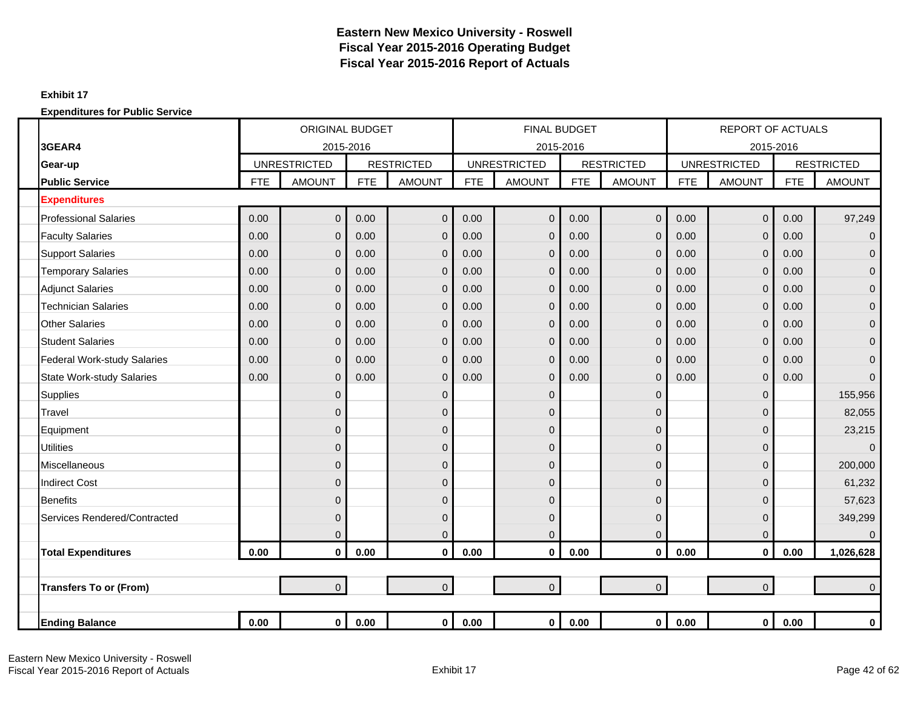### **Exhibit 17**

|                                  |            | <b>ORIGINAL BUDGET</b><br>2015-2016<br><b>UNRESTRICTED</b> |            |                   |            | <b>FINAL BUDGET</b> |            |                   |            | <b>REPORT OF ACTUALS</b> |            |                   |
|----------------------------------|------------|------------------------------------------------------------|------------|-------------------|------------|---------------------|------------|-------------------|------------|--------------------------|------------|-------------------|
| 3GEAR4                           |            |                                                            |            |                   |            | 2015-2016           |            |                   |            |                          | 2015-2016  |                   |
| Gear-up                          |            |                                                            |            | <b>RESTRICTED</b> |            | <b>UNRESTRICTED</b> |            | <b>RESTRICTED</b> |            | <b>UNRESTRICTED</b>      |            | <b>RESTRICTED</b> |
| <b>Public Service</b>            | <b>FTE</b> | <b>AMOUNT</b>                                              | <b>FTE</b> | <b>AMOUNT</b>     | <b>FTE</b> | <b>AMOUNT</b>       | <b>FTE</b> | <b>AMOUNT</b>     | <b>FTE</b> | <b>AMOUNT</b>            | <b>FTE</b> | <b>AMOUNT</b>     |
| <b>Expenditures</b>              |            |                                                            |            |                   |            |                     |            |                   |            |                          |            |                   |
| <b>Professional Salaries</b>     | 0.00       | $\overline{0}$                                             | 0.00       | $\mathbf 0$       | 0.00       | $\overline{0}$      | 0.00       | $\overline{0}$    | 0.00       | $\overline{0}$           | 0.00       | 97,249            |
| <b>Faculty Salaries</b>          | 0.00       | $\mathbf{0}$                                               | 0.00       | $\mathbf 0$       | 0.00       | $\mathbf{0}$        | 0.00       | $\overline{0}$    | 0.00       | $\mathbf 0$              | 0.00       | $\mathbf 0$       |
| <b>Support Salaries</b>          | 0.00       | $\Omega$                                                   | 0.00       | $\mathbf{0}$      | 0.00       | $\mathbf 0$         | 0.00       | $\Omega$          | 0.00       | $\mathbf 0$              | 0.00       | $\mathbf{0}$      |
| <b>Temporary Salaries</b>        | 0.00       | $\mathbf{0}$                                               | 0.00       | $\mathbf 0$       | 0.00       | $\mathbf 0$         | 0.00       | $\overline{0}$    | 0.00       | $\mathbf 0$              | 0.00       | $\overline{0}$    |
| <b>Adjunct Salaries</b>          | 0.00       | $\mathbf{0}$                                               | 0.00       | $\mathbf{0}$      | 0.00       | $\mathbf{0}$        | 0.00       | $\overline{0}$    | 0.00       | $\mathbf 0$              | 0.00       | $\mathbf 0$       |
| <b>Technician Salaries</b>       | 0.00       | $\mathbf 0$                                                | 0.00       | $\mathbf 0$       | 0.00       | $\mathbf{0}$        | 0.00       | 0                 | 0.00       | $\mathbf 0$              | 0.00       | $\mathbf 0$       |
| <b>Other Salaries</b>            | 0.00       | $\overline{0}$                                             | 0.00       | $\mathbf 0$       | 0.00       | $\mathbf{0}$        | 0.00       | $\overline{0}$    | 0.00       | $\mathbf 0$              | 0.00       | $\overline{0}$    |
| <b>Student Salaries</b>          | 0.00       | $\mathbf{0}$                                               | 0.00       | $\mathbf 0$       | 0.00       | $\mathbf{0}$        | 0.00       | $\overline{0}$    | 0.00       | $\mathbf 0$              | 0.00       | $\mathbf 0$       |
| Federal Work-study Salaries      | 0.00       | $\Omega$                                                   | 0.00       | $\mathbf 0$       | 0.00       | $\mathbf{0}$        | 0.00       | 0                 | 0.00       | $\mathbf 0$              | 0.00       | $\mathbf{0}$      |
| <b>State Work-study Salaries</b> | 0.00       | $\Omega$                                                   | 0.00       | $\mathbf{0}$      | 0.00       | $\Omega$            | 0.00       | $\Omega$          | 0.00       | $\mathbf 0$              | 0.00       | $\Omega$          |
| <b>Supplies</b>                  |            | $\mathbf{0}$                                               |            | $\mathbf 0$       |            | $\mathbf{0}$        |            | $\overline{0}$    |            | $\mathbf 0$              |            | 155,956           |
| Travel                           |            | $\Omega$                                                   |            | $\mathbf 0$       |            | $\overline{0}$      |            | $\Omega$          |            | $\mathbf 0$              |            | 82,055            |
| Equipment                        |            | $\mathbf 0$                                                |            | $\mathbf 0$       |            | 0                   |            | 0                 |            | $\mathbf 0$              |            | 23,215            |
| <b>Utilities</b>                 |            | $\overline{0}$                                             |            | $\pmb{0}$         |            | $\overline{0}$      |            | $\Omega$          |            | $\overline{0}$           |            | $\overline{0}$    |
| Miscellaneous                    |            | $\mathbf{0}$                                               |            | $\mathbf 0$       |            | $\overline{0}$      |            | 0                 |            | $\mathbf 0$              |            | 200,000           |
| <b>Indirect Cost</b>             |            | $\Omega$                                                   |            | $\mathbf{0}$      |            | $\mathbf{0}$        |            | $\Omega$          |            | $\mathbf 0$              |            | 61,232            |
| <b>Benefits</b>                  |            | $\mathbf 0$                                                |            | $\mathbf 0$       |            | $\mathbf{0}$        |            | 0                 |            | $\mathbf 0$              |            | 57,623            |
| Services Rendered/Contracted     |            | $\Omega$                                                   |            | $\mathbf 0$       |            | $\mathbf{0}$        |            | $\Omega$          |            | $\mathbf 0$              |            | 349,299           |
|                                  |            | $\overline{0}$                                             |            | $\mathbf 0$       |            | $\Omega$            |            | $\overline{0}$    |            | $\mathbf 0$              |            | $\Omega$          |
| <b>Total Expenditures</b>        | 0.00       | $\mathbf 0$                                                | 0.00       | $\mathbf 0$       | 0.00       | $\mathbf 0$         | 0.00       | $\mathbf 0$       | 0.00       | $\bf{0}$                 | 0.00       | 1,026,628         |
|                                  |            |                                                            |            |                   |            |                     |            |                   |            |                          |            |                   |
| <b>Transfers To or (From)</b>    |            | $\overline{0}$                                             |            | $\mathbf{0}$      |            | $\overline{0}$      |            | $\overline{0}$    |            | $\overline{0}$           |            | $\Omega$          |
|                                  |            |                                                            |            |                   |            |                     |            |                   |            |                          |            |                   |
| <b>Ending Balance</b>            | 0.00       | $\mathbf 0$                                                | 0.00       | $\mathbf{0}$      | 0.00       | 0                   | 0.00       | $\mathbf 0$       | 0.00       | $\mathbf 0$              | 0.00       | 0                 |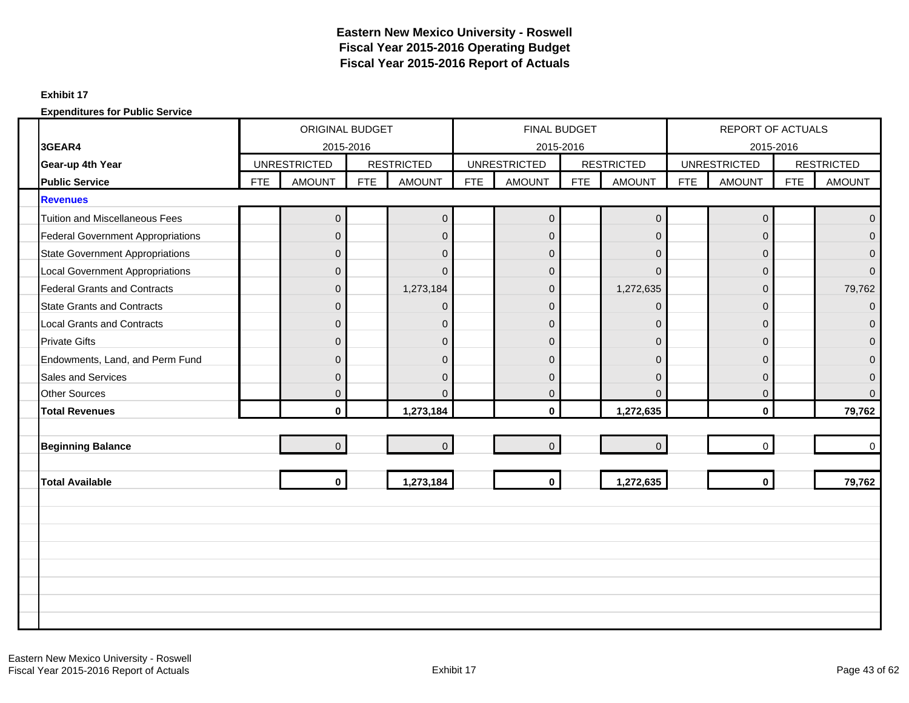### **Exhibit 17**

|                                          |            |                     |            | ORIGINAL BUDGET   |            | <b>FINAL BUDGET</b> |            |                   |            | REPORT OF ACTUALS   |            |                   |
|------------------------------------------|------------|---------------------|------------|-------------------|------------|---------------------|------------|-------------------|------------|---------------------|------------|-------------------|
| 3GEAR4                                   |            |                     | 2015-2016  |                   |            |                     | 2015-2016  |                   |            | 2015-2016           |            |                   |
| Gear-up 4th Year                         |            | <b>UNRESTRICTED</b> |            | <b>RESTRICTED</b> |            | <b>UNRESTRICTED</b> |            | <b>RESTRICTED</b> |            | <b>UNRESTRICTED</b> |            | <b>RESTRICTED</b> |
| <b>Public Service</b>                    | <b>FTE</b> | <b>AMOUNT</b>       | <b>FTE</b> | <b>AMOUNT</b>     | <b>FTE</b> | <b>AMOUNT</b>       | <b>FTE</b> | <b>AMOUNT</b>     | <b>FTE</b> | <b>AMOUNT</b>       | <b>FTE</b> | <b>AMOUNT</b>     |
| <b>Revenues</b>                          |            |                     |            |                   |            |                     |            |                   |            |                     |            |                   |
| <b>Tuition and Miscellaneous Fees</b>    |            | $\mathbf 0$         |            | $\mathbf 0$       |            | $\overline{0}$      |            | $\pmb{0}$         |            | $\mathsf{O}\xspace$ |            | $\overline{0}$    |
| <b>Federal Government Appropriations</b> |            | $\Omega$            |            | $\mathbf{0}$      |            | $\Omega$            |            | $\Omega$          |            | $\mathbf{0}$        |            | $\Omega$          |
| <b>State Government Appropriations</b>   |            | $\mathbf{0}$        |            | $\mathbf{0}$      |            | $\pmb{0}$           |            | $\overline{0}$    |            | $\mathbf 0$         |            | $\overline{0}$    |
| <b>Local Government Appropriations</b>   |            | $\mathbf{0}$        |            | $\mathbf 0$       |            | $\mathbf{0}$        |            | $\Omega$          |            | $\mathbf 0$         |            | $\Omega$          |
| <b>Federal Grants and Contracts</b>      |            | $\Omega$            |            | 1,273,184         |            | $\mathbf{0}$        |            | 1,272,635         |            | 0                   |            | 79,762            |
| <b>State Grants and Contracts</b>        |            | $\mathbf{0}$        |            | $\mathbf 0$       |            | $\mathbf 0$         |            | $\overline{0}$    |            | $\mathbf{0}$        |            | $\mathbf{0}$      |
| <b>Local Grants and Contracts</b>        |            | $\Omega$            |            | $\mathbf 0$       |            | $\Omega$            |            | $\overline{0}$    |            | $\mathbf 0$         |            | $\Omega$          |
| <b>Private Gifts</b>                     |            | $\mathbf{0}$        |            | $\mathbf 0$       |            | $\mathbf{0}$        |            | $\Omega$          |            | $\mathbf{0}$        |            | $\overline{0}$    |
| Endowments, Land, and Perm Fund          |            | $\Omega$            |            | $\Omega$          |            | $\Omega$            |            | $\Omega$          |            | 0                   |            | $\Omega$          |
| Sales and Services                       |            | $\mathbf{0}$        |            | $\overline{0}$    |            | $\mathbf{0}$        |            | $\Omega$          |            | $\mathbf 0$         |            | $\mathbf 0$       |
| <b>Other Sources</b>                     |            | $\Omega$            |            | $\Omega$          |            | $\overline{0}$      |            | $\Omega$          |            | $\mathbf{0}$        |            | $\Omega$          |
| <b>Total Revenues</b>                    |            | $\mathbf{0}$        |            | 1,273,184         |            | $\mathbf{0}$        |            | 1,272,635         |            | $\mathbf{0}$        |            | 79,762            |
|                                          |            |                     |            |                   |            |                     |            |                   |            |                     |            |                   |
| <b>Beginning Balance</b>                 |            | $\overline{0}$      |            | $\mathbf{0}$      |            | $\overline{0}$      |            | $\mathbf 0$       |            | $\Omega$            |            | $\mathbf 0$       |
|                                          |            |                     |            |                   |            |                     |            |                   |            |                     |            |                   |
| <b>Total Available</b>                   |            | $\mathbf{0}$        |            | 1,273,184         |            | $\mathbf{0}$        |            | 1,272,635         |            | $\mathbf{0}$        |            | 79,762            |
|                                          |            |                     |            |                   |            |                     |            |                   |            |                     |            |                   |
|                                          |            |                     |            |                   |            |                     |            |                   |            |                     |            |                   |
|                                          |            |                     |            |                   |            |                     |            |                   |            |                     |            |                   |
|                                          |            |                     |            |                   |            |                     |            |                   |            |                     |            |                   |
|                                          |            |                     |            |                   |            |                     |            |                   |            |                     |            |                   |
|                                          |            |                     |            |                   |            |                     |            |                   |            |                     |            |                   |
|                                          |            |                     |            |                   |            |                     |            |                   |            |                     |            |                   |
|                                          |            |                     |            |                   |            |                     |            |                   |            |                     |            |                   |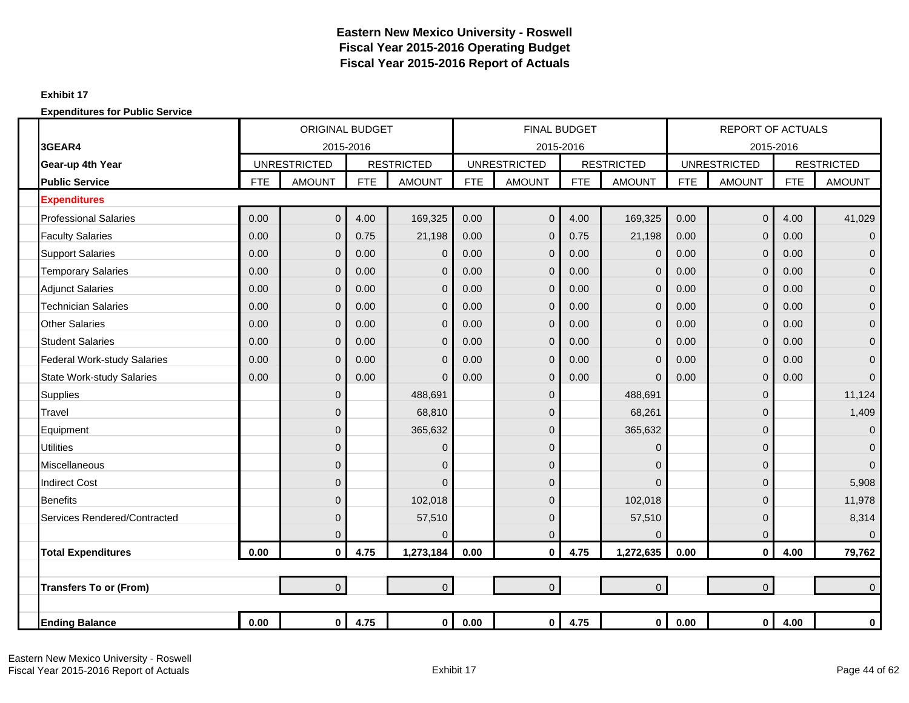### **Exhibit 17**

|                                  |            | <b>ORIGINAL BUDGET</b> |            |                   |            | <b>FINAL BUDGET</b> |            |                   |            | <b>REPORT OF ACTUALS</b> |            |                   |
|----------------------------------|------------|------------------------|------------|-------------------|------------|---------------------|------------|-------------------|------------|--------------------------|------------|-------------------|
| 3GEAR4                           |            | 2015-2016              |            |                   |            | 2015-2016           |            |                   |            | 2015-2016                |            |                   |
| Gear-up 4th Year                 |            | <b>UNRESTRICTED</b>    |            | <b>RESTRICTED</b> |            | <b>UNRESTRICTED</b> |            | <b>RESTRICTED</b> |            | <b>UNRESTRICTED</b>      |            | <b>RESTRICTED</b> |
| <b>Public Service</b>            | <b>FTE</b> | <b>AMOUNT</b>          | <b>FTE</b> | <b>AMOUNT</b>     | <b>FTE</b> | <b>AMOUNT</b>       | <b>FTE</b> | <b>AMOUNT</b>     | <b>FTE</b> | <b>AMOUNT</b>            | <b>FTE</b> | <b>AMOUNT</b>     |
| <b>Expenditures</b>              |            |                        |            |                   |            |                     |            |                   |            |                          |            |                   |
| <b>Professional Salaries</b>     | 0.00       | $\overline{0}$         | 4.00       | 169,325           | 0.00       | $\overline{0}$      | 4.00       | 169,325           | 0.00       | $\mathbf 0$              | 4.00       | 41,029            |
| <b>Faculty Salaries</b>          | 0.00       | $\Omega$               | 0.75       | 21,198            | 0.00       | $\Omega$            | 0.75       | 21,198            | 0.00       | $\mathbf 0$              | 0.00       | $\overline{0}$    |
| <b>Support Salaries</b>          | 0.00       | $\Omega$               | 0.00       | $\mathbf{0}$      | 0.00       | $\Omega$            | 0.00       | $\Omega$          | 0.00       | $\mathbf 0$              | 0.00       | $\overline{0}$    |
| <b>Temporary Salaries</b>        | 0.00       | $\Omega$               | 0.00       | $\mathbf{0}$      | 0.00       | $\Omega$            | 0.00       | $\overline{0}$    | 0.00       | $\overline{0}$           | 0.00       | $\overline{0}$    |
| <b>Adjunct Salaries</b>          | 0.00       | $\Omega$               | 0.00       | $\mathbf{0}$      | 0.00       | $\Omega$            | 0.00       | $\overline{0}$    | 0.00       | $\overline{0}$           | 0.00       | $\overline{0}$    |
| <b>Technician Salaries</b>       | 0.00       | $\mathbf{0}$           | 0.00       | $\mathbf{0}$      | 0.00       | $\Omega$            | 0.00       | $\mathbf 0$       | 0.00       | $\overline{0}$           | 0.00       | $\mathbf{0}$      |
| <b>Other Salaries</b>            | 0.00       | $\overline{0}$         | 0.00       | $\mathbf 0$       | 0.00       | $\mathbf{0}$        | 0.00       | $\overline{0}$    | 0.00       | $\mathbf 0$              | 0.00       | $\overline{0}$    |
| <b>Student Salaries</b>          | 0.00       | $\mathbf{0}$           | 0.00       | $\mathbf 0$       | 0.00       | $\overline{0}$      | 0.00       | $\mathbf 0$       | 0.00       | $\mathbf 0$              | 0.00       | $\mathbf{0}$      |
| Federal Work-study Salaries      | 0.00       | $\Omega$               | 0.00       | $\mathbf{0}$      | 0.00       | $\Omega$            | 0.00       | $\overline{0}$    | 0.00       | $\mathbf 0$              | 0.00       | $\overline{0}$    |
| <b>State Work-study Salaries</b> | 0.00       | $\Omega$               | 0.00       | $\Omega$          | 0.00       | $\Omega$            | 0.00       | $\Omega$          | 0.00       | $\mathbf{0}$             | 0.00       | $\overline{0}$    |
| <b>Supplies</b>                  |            | $\mathbf{0}$           |            | 488,691           |            | $\mathbf 0$         |            | 488,691           |            | $\mathbf 0$              |            | 11,124            |
| Travel                           |            | $\Omega$               |            | 68,810            |            | $\mathbf 0$         |            | 68,261            |            | $\overline{0}$           |            | 1,409             |
| Equipment                        |            | $\Omega$               |            | 365,632           |            | $\overline{0}$      |            | 365,632           |            | $\mathbf 0$              |            | $\mathbf{0}$      |
| <b>Utilities</b>                 |            | $\Omega$               |            | $\mathbf 0$       |            | $\mathbf 0$         |            | $\mathbf{0}$      |            | $\pmb{0}$                |            | $\overline{0}$    |
| Miscellaneous                    |            | $\mathbf{0}$           |            | $\mathbf 0$       |            | $\mathbf 0$         |            | $\mathbf{0}$      |            | $\mathbf 0$              |            | $\overline{0}$    |
| <b>Indirect Cost</b>             |            | $\Omega$               |            | $\overline{0}$    |            | $\overline{0}$      |            | $\Omega$          |            | $\mathbf{0}$             |            | 5,908             |
| <b>Benefits</b>                  |            | $\mathbf{0}$           |            | 102,018           |            | $\mathbf 0$         |            | 102,018           |            | $\mathbf 0$              |            | 11,978            |
| Services Rendered/Contracted     |            | $\Omega$               |            | 57,510            |            | $\overline{0}$      |            | 57,510            |            | $\pmb{0}$                |            | 8,314             |
|                                  |            | $\mathbf{0}$           |            | $\Omega$          |            | 0                   |            | $\Omega$          |            | $\mathbf 0$              |            | $\overline{0}$    |
| <b>Total Expenditures</b>        | 0.00       | $\mathbf{0}$           | 4.75       | 1,273,184         | 0.00       | $\bf{0}$            | 4.75       | 1,272,635         | 0.00       | $\mathbf{0}$             | 4.00       | 79,762            |
|                                  |            |                        |            |                   |            |                     |            |                   |            |                          |            |                   |
| <b>Transfers To or (From)</b>    |            | $\overline{0}$         |            | $\overline{0}$    |            | $\overline{0}$      |            | $\overline{0}$    |            | $\overline{0}$           |            | $\overline{0}$    |
|                                  |            |                        |            |                   |            |                     |            |                   |            |                          |            |                   |
| <b>Ending Balance</b>            | 0.00       | $\mathbf{0}$           | 4.75       | $\overline{0}$    | 0.00       | $\mathbf 0$         | 4.75       | $\mathbf{0}$      | 0.00       | $\mathbf 0$              | 4.00       | 0                 |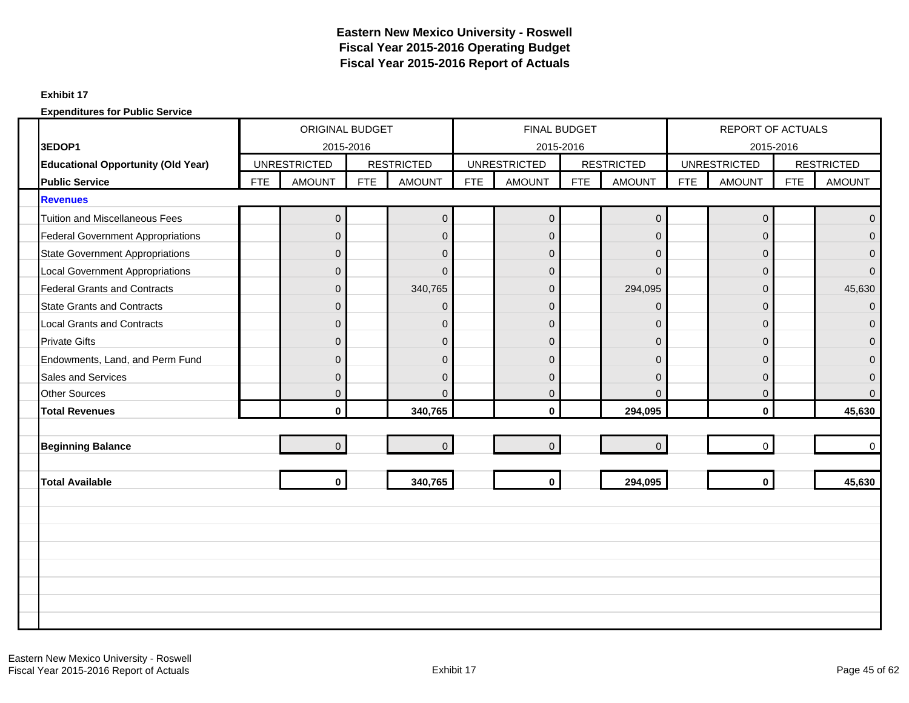### **Exhibit 17**

|                                           | ORIGINAL BUDGET |                     |            |                   | FINAL BUDGET |                     |            |                   | REPORT OF ACTUALS |                     |            |                   |
|-------------------------------------------|-----------------|---------------------|------------|-------------------|--------------|---------------------|------------|-------------------|-------------------|---------------------|------------|-------------------|
| 3EDOP1                                    |                 | 2015-2016           |            |                   |              | 2015-2016           |            |                   |                   | 2015-2016           |            |                   |
| <b>Educational Opportunity (Old Year)</b> |                 | <b>UNRESTRICTED</b> |            | <b>RESTRICTED</b> |              | <b>UNRESTRICTED</b> |            | <b>RESTRICTED</b> |                   | <b>UNRESTRICTED</b> |            | <b>RESTRICTED</b> |
| <b>Public Service</b>                     | <b>FTE</b>      | <b>AMOUNT</b>       | <b>FTE</b> | <b>AMOUNT</b>     | <b>FTE</b>   | <b>AMOUNT</b>       | <b>FTE</b> | <b>AMOUNT</b>     | <b>FTE</b>        | <b>AMOUNT</b>       | <b>FTE</b> | <b>AMOUNT</b>     |
| <b>Revenues</b>                           |                 |                     |            |                   |              |                     |            |                   |                   |                     |            |                   |
| <b>Tuition and Miscellaneous Fees</b>     |                 | $\pmb{0}$           |            | $\mathbf 0$       |              | $\boldsymbol{0}$    |            | $\mathbf 0$       |                   | $\mathbf 0$         |            | $\Omega$          |
| <b>Federal Government Appropriations</b>  |                 | $\Omega$            |            | $\mathbf{0}$      |              | $\Omega$            |            | $\Omega$          |                   | $\Omega$            |            | $\Omega$          |
| <b>State Government Appropriations</b>    |                 | $\overline{0}$      |            | $\mathbf{0}$      |              | $\mathbf 0$         |            | $\overline{0}$    |                   | $\mathbf{0}$        |            | $\Omega$          |
| <b>Local Government Appropriations</b>    |                 | $\Omega$            |            | $\mathbf 0$       |              | $\overline{0}$      |            | $\Omega$          |                   | $\mathbf{0}$        |            | $\Omega$          |
| <b>Federal Grants and Contracts</b>       |                 | $\Omega$            |            | 340,765           |              | $\overline{0}$      |            | 294,095           |                   | $\Omega$            |            | 45,630            |
| <b>State Grants and Contracts</b>         |                 | $\mathbf{0}$        |            | $\mathbf 0$       |              | $\mathbf 0$         |            | $\mathbf 0$       |                   | $\mathbf{0}$        |            | $\Omega$          |
| <b>Local Grants and Contracts</b>         |                 | $\Omega$            |            | $\mathbf 0$       |              | $\overline{0}$      |            | $\Omega$          |                   | $\mathbf{0}$        |            | $\Omega$          |
| <b>Private Gifts</b>                      |                 | $\mathbf{0}$        |            | $\mathbf 0$       |              | $\overline{0}$      |            | $\mathbf 0$       |                   | $\mathbf{0}$        |            | $\Omega$          |
| Endowments, Land, and Perm Fund           |                 | $\Omega$            |            | $\Omega$          |              | $\Omega$            |            | $\Omega$          |                   | $\Omega$            |            | $\Omega$          |
| <b>Sales and Services</b>                 |                 | $\mathbf{0}$        |            | $\overline{0}$    |              | $\overline{0}$      |            | $\Omega$          |                   | $\mathbf{0}$        |            | $\Omega$          |
| <b>Other Sources</b>                      |                 | $\Omega$            |            | $\Omega$          |              | $\overline{0}$      |            | $\Omega$          |                   | $\mathbf{0}$        |            | $\Omega$          |
| <b>Total Revenues</b>                     |                 | $\mathbf{0}$        |            | 340,765           |              | $\mathbf{0}$        |            | 294,095           |                   | $\mathbf{0}$        |            | 45,630            |
|                                           |                 |                     |            |                   |              |                     |            |                   |                   |                     |            |                   |
| <b>Beginning Balance</b>                  |                 | $\overline{0}$      |            | $\mathbf{0}$      |              | $\overline{0}$      |            | $\overline{0}$    |                   | $\Omega$            |            | $\Omega$          |
|                                           |                 |                     |            |                   |              |                     |            |                   |                   |                     |            |                   |
| <b>Total Available</b>                    |                 | $\mathbf{0}$        |            | 340,765           |              | $\mathbf{0}$        |            | 294,095           |                   | $\mathbf{0}$        |            | 45,630            |
|                                           |                 |                     |            |                   |              |                     |            |                   |                   |                     |            |                   |
|                                           |                 |                     |            |                   |              |                     |            |                   |                   |                     |            |                   |
|                                           |                 |                     |            |                   |              |                     |            |                   |                   |                     |            |                   |
|                                           |                 |                     |            |                   |              |                     |            |                   |                   |                     |            |                   |
|                                           |                 |                     |            |                   |              |                     |            |                   |                   |                     |            |                   |
|                                           |                 |                     |            |                   |              |                     |            |                   |                   |                     |            |                   |
|                                           |                 |                     |            |                   |              |                     |            |                   |                   |                     |            |                   |
|                                           |                 |                     |            |                   |              |                     |            |                   |                   |                     |            |                   |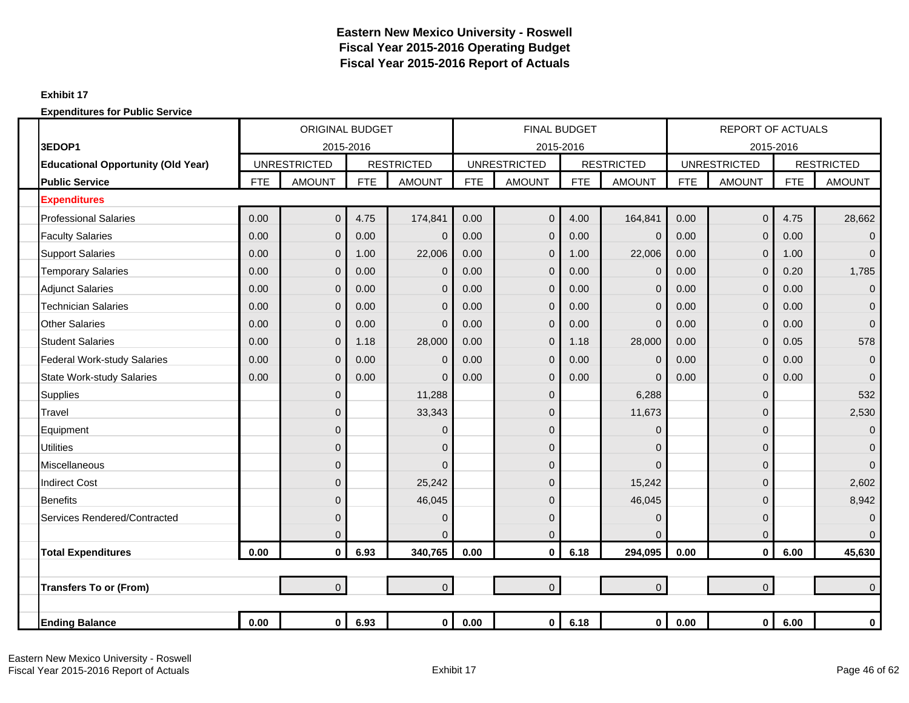### **Exhibit 17**

|                                           | <b>ORIGINAL BUDGET</b><br><b>UNRESTRICTED</b> |                |            |                   |            | <b>FINAL BUDGET</b> |            |                   |            | <b>REPORT OF ACTUALS</b> |            |                   |
|-------------------------------------------|-----------------------------------------------|----------------|------------|-------------------|------------|---------------------|------------|-------------------|------------|--------------------------|------------|-------------------|
| 3EDOP1                                    |                                               | 2015-2016      |            |                   |            | 2015-2016           |            |                   |            |                          | 2015-2016  |                   |
| <b>Educational Opportunity (Old Year)</b> |                                               |                |            | <b>RESTRICTED</b> |            | <b>UNRESTRICTED</b> |            | <b>RESTRICTED</b> |            | <b>UNRESTRICTED</b>      |            | <b>RESTRICTED</b> |
| <b>Public Service</b>                     | <b>FTE</b>                                    | <b>AMOUNT</b>  | <b>FTE</b> | <b>AMOUNT</b>     | <b>FTE</b> | <b>AMOUNT</b>       | <b>FTE</b> | <b>AMOUNT</b>     | <b>FTE</b> | <b>AMOUNT</b>            | <b>FTE</b> | <b>AMOUNT</b>     |
| <b>Expenditures</b>                       |                                               |                |            |                   |            |                     |            |                   |            |                          |            |                   |
| <b>Professional Salaries</b>              | 0.00                                          | $\overline{0}$ | 4.75       | 174,841           | 0.00       | $\overline{0}$      | 4.00       | 164,841           | 0.00       | $\overline{0}$           | 4.75       | 28,662            |
| <b>Faculty Salaries</b>                   | 0.00                                          | $\overline{0}$ | 0.00       | $\overline{0}$    | 0.00       | 0                   | 0.00       | $\mathbf{0}$      | 0.00       | $\mathbf 0$              | 0.00       | $\overline{0}$    |
| <b>Support Salaries</b>                   | 0.00                                          | $\overline{0}$ | 1.00       | 22,006            | 0.00       | 0                   | 1.00       | 22,006            | 0.00       | $\mathbf 0$              | 1.00       | $\Omega$          |
| <b>Temporary Salaries</b>                 | 0.00                                          | $\mathbf 0$    | 0.00       | $\overline{0}$    | 0.00       | 0                   | 0.00       | 0                 | 0.00       | $\mathbf 0$              | 0.20       | 1,785             |
| <b>Adjunct Salaries</b>                   | 0.00                                          | $\mathbf{0}$   | 0.00       | $\Omega$          | 0.00       | $\mathbf{0}$        | 0.00       | $\Omega$          | 0.00       | $\mathbf 0$              | 0.00       | $\overline{0}$    |
| <b>Technician Salaries</b>                | 0.00                                          | $\mathbf{0}$   | 0.00       | $\Omega$          | 0.00       | 0                   | 0.00       | $\Omega$          | 0.00       | $\Omega$                 | 0.00       | $\mathbf{0}$      |
| <b>Other Salaries</b>                     | 0.00                                          | $\overline{0}$ | 0.00       | $\Omega$          | 0.00       | 0                   | 0.00       | $\mathbf 0$       | 0.00       | $\mathbf 0$              | 0.00       | $\overline{0}$    |
| <b>Student Salaries</b>                   | 0.00                                          | $\mathbf 0$    | 1.18       | 28,000            | 0.00       | $\overline{0}$      | 1.18       | 28,000            | 0.00       | $\mathbf 0$              | 0.05       | 578               |
| <b>Federal Work-study Salaries</b>        | 0.00                                          | $\mathbf{0}$   | 0.00       | $\overline{0}$    | 0.00       | 0                   | 0.00       | $\mathbf 0$       | 0.00       | $\mathbf 0$              | 0.00       | $\overline{0}$    |
| <b>State Work-study Salaries</b>          | 0.00                                          | $\overline{0}$ | 0.00       | $\Omega$          | 0.00       | 0                   | 0.00       | $\Omega$          | 0.00       | $\mathbf 0$              | 0.00       | $\Omega$          |
| Supplies                                  |                                               | $\mathbf{0}$   |            | 11,288            |            | 0                   |            | 6,288             |            | $\mathbf 0$              |            | 532               |
| Travel                                    |                                               | $\mathbf{0}$   |            | 33,343            |            | 0                   |            | 11,673            |            | $\mathbf 0$              |            | 2,530             |
| Equipment                                 |                                               | $\overline{0}$ |            | $\overline{0}$    |            | 0                   |            | $\Omega$          |            | 0                        |            | $\mathbf{0}$      |
| <b>Utilities</b>                          |                                               | $\mathbf{0}$   |            | $\mathbf 0$       |            | 0                   |            | $\Omega$          |            | $\mathbf{0}$             |            | $\overline{0}$    |
| <b>Miscellaneous</b>                      |                                               | $\overline{0}$ |            | $\Omega$          |            | 0                   |            | $\Omega$          |            | $\Omega$                 |            | $\Omega$          |
| <b>Indirect Cost</b>                      |                                               | $\overline{0}$ |            | 25,242            |            | $\overline{0}$      |            | 15,242            |            | 0                        |            | 2,602             |
| <b>Benefits</b>                           |                                               | $\mathbf{0}$   |            | 46,045            |            | 0                   |            | 46,045            |            | $\mathbf 0$              |            | 8,942             |
| Services Rendered/Contracted              |                                               | $\mathbf{0}$   |            | $\mathbf 0$       |            | 0                   |            | $\mathbf 0$       |            | $\mathbf 0$              |            | $\mathbf{0}$      |
|                                           |                                               | 0              |            | $\Omega$          |            | 0                   |            | $\mathbf{0}$      |            | 0                        |            | $\mathbf{0}$      |
| <b>Total Expenditures</b>                 | 0.00                                          | $\mathbf{0}$   | 6.93       | 340,765           | 0.00       | 0                   | 6.18       | 294,095           | 0.00       | $\mathbf{0}$             | 6.00       | 45,630            |
|                                           |                                               |                |            |                   |            |                     |            |                   |            |                          |            |                   |
| <b>Transfers To or (From)</b>             |                                               | $\overline{0}$ |            | $\overline{0}$    |            | $\overline{0}$      |            | $\overline{0}$    |            | $\mathbf 0$              |            | $\Omega$          |
|                                           |                                               |                |            |                   |            |                     |            |                   |            |                          |            |                   |
| <b>Ending Balance</b>                     | 0.00                                          | 0              | 6.93       | $\mathbf 0$       | 0.00       | 0                   | 6.18       | $\mathbf 0$       | 0.00       | $\mathbf 0$              | 6.00       | $\bf{0}$          |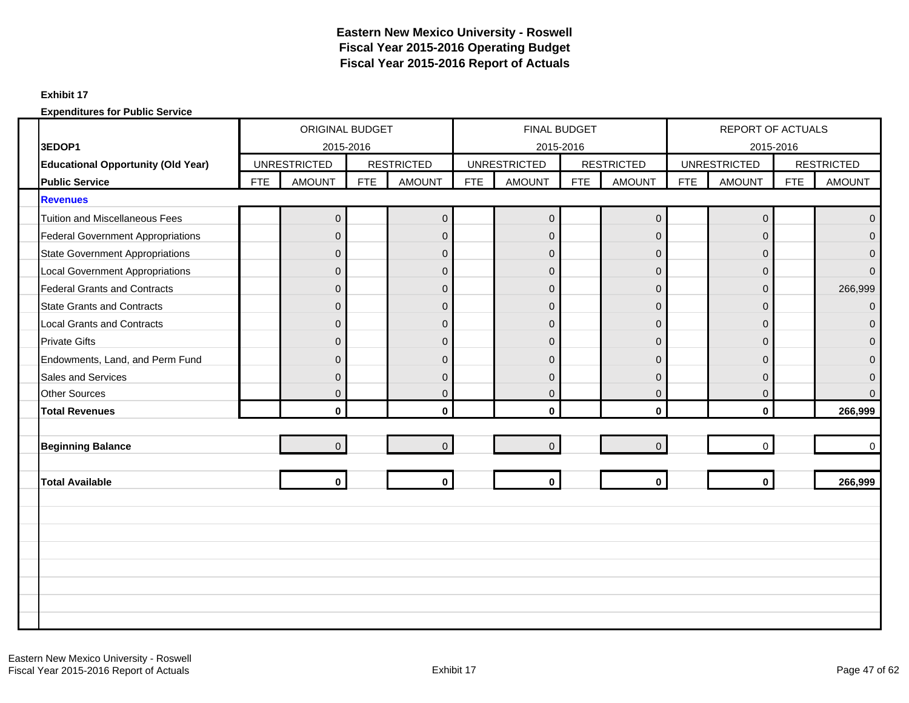### **Exhibit 17**

|                      |                                                                    | ORIGINAL BUDGET<br><b>UNRESTRICTED</b> |                |            |                                    |            | <b>FINAL BUDGET</b>                  |            |                   |            | REPORT OF ACTUALS                    |            |                   |
|----------------------|--------------------------------------------------------------------|----------------------------------------|----------------|------------|------------------------------------|------------|--------------------------------------|------------|-------------------|------------|--------------------------------------|------------|-------------------|
| 3EDOP1               |                                                                    |                                        | 2015-2016      |            |                                    |            |                                      | 2015-2016  | <b>RESTRICTED</b> |            | 2015-2016                            |            | <b>RESTRICTED</b> |
|                      | <b>Educational Opportunity (Old Year)</b><br><b>Public Service</b> | <b>FTE</b>                             | <b>AMOUNT</b>  | <b>FTE</b> | <b>RESTRICTED</b><br><b>AMOUNT</b> | <b>FTE</b> | <b>UNRESTRICTED</b><br><b>AMOUNT</b> | <b>FTE</b> | <b>AMOUNT</b>     | <b>FTE</b> | <b>UNRESTRICTED</b><br><b>AMOUNT</b> | <b>FTE</b> | <b>AMOUNT</b>     |
| <b>Revenues</b>      |                                                                    |                                        |                |            |                                    |            |                                      |            |                   |            |                                      |            |                   |
|                      | <b>Tuition and Miscellaneous Fees</b>                              |                                        |                |            | $\mathbf 0$                        |            | $\overline{0}$                       |            |                   |            | $\mathsf{O}\xspace$                  |            | $\overline{0}$    |
|                      |                                                                    |                                        | $\mathbf 0$    |            |                                    |            |                                      |            | $\pmb{0}$         |            |                                      |            |                   |
|                      | <b>Federal Government Appropriations</b>                           |                                        | $\Omega$       |            | $\mathbf{0}$                       |            | $\Omega$                             |            | $\Omega$          |            | 0                                    |            | $\Omega$          |
|                      | <b>State Government Appropriations</b>                             |                                        | $\mathbf{0}$   |            | $\boldsymbol{0}$                   |            | $\mathbf{0}$                         |            | $\overline{0}$    |            | $\mathbf 0$                          |            | $\overline{0}$    |
|                      | <b>Local Government Appropriations</b>                             |                                        | $\mathbf{0}$   |            | $\mathbf 0$                        |            | $\mathbf{0}$                         |            | $\overline{0}$    |            | $\mathbf 0$                          |            | $\mathbf{0}$      |
|                      | <b>Federal Grants and Contracts</b>                                |                                        | $\Omega$       |            | $\mathbf{0}$                       |            | $\mathbf{0}$                         |            | $\Omega$          |            | 0                                    |            | 266,999           |
|                      | <b>State Grants and Contracts</b>                                  |                                        | $\mathbf{0}$   |            | $\mathbf 0$                        |            | $\mathbf{0}$                         |            | $\mathbf 0$       |            | $\mathbf{0}$                         |            | $\mathbf 0$       |
|                      | <b>Local Grants and Contracts</b>                                  |                                        | $\Omega$       |            | $\mathbf{0}$                       |            | $\Omega$                             |            | $\Omega$          |            | 0                                    |            | $\Omega$          |
| <b>Private Gifts</b> |                                                                    |                                        | $\mathbf{0}$   |            | $\mathbf 0$                        |            | $\mathbf{0}$                         |            | $\mathbf 0$       |            | $\mathbf{0}$                         |            | $\Omega$          |
|                      | Endowments, Land, and Perm Fund                                    |                                        | $\Omega$       |            | $\overline{0}$                     |            | $\Omega$                             |            | $\Omega$          |            | 0                                    |            | $\Omega$          |
|                      | Sales and Services                                                 |                                        | $\mathbf{0}$   |            | $\pmb{0}$                          |            | $\mathbf{0}$                         |            | $\overline{0}$    |            | $\mathbf 0$                          |            | $\overline{0}$    |
|                      | <b>Other Sources</b>                                               |                                        | $\Omega$       |            | $\mathbf{0}$                       |            | $\overline{0}$                       |            | $\Omega$          |            | $\mathbf{0}$                         |            | $\Omega$          |
|                      | <b>Total Revenues</b>                                              |                                        | $\mathbf{0}$   |            | $\mathbf 0$                        |            | $\mathbf{0}$                         |            | $\mathbf{0}$      |            | $\mathbf{0}$                         |            | 266,999           |
|                      |                                                                    |                                        |                |            |                                    |            |                                      |            |                   |            |                                      |            |                   |
|                      | <b>Beginning Balance</b>                                           |                                        | $\overline{0}$ |            | $\mathbf 0$                        |            | $\overline{0}$                       |            | $\overline{0}$    |            | $\Omega$                             |            | $\Omega$          |
|                      |                                                                    |                                        |                |            |                                    |            |                                      |            |                   |            |                                      |            |                   |
|                      | <b>Total Available</b>                                             |                                        | $\mathbf{0}$   |            | $\mathbf{0}$                       |            | $\mathbf 0$                          |            | $\mathbf 0$       |            | $\mathbf{0}$                         |            | 266,999           |
|                      |                                                                    |                                        |                |            |                                    |            |                                      |            |                   |            |                                      |            |                   |
|                      |                                                                    |                                        |                |            |                                    |            |                                      |            |                   |            |                                      |            |                   |
|                      |                                                                    |                                        |                |            |                                    |            |                                      |            |                   |            |                                      |            |                   |
|                      |                                                                    |                                        |                |            |                                    |            |                                      |            |                   |            |                                      |            |                   |
|                      |                                                                    |                                        |                |            |                                    |            |                                      |            |                   |            |                                      |            |                   |
|                      |                                                                    |                                        |                |            |                                    |            |                                      |            |                   |            |                                      |            |                   |
|                      |                                                                    |                                        |                |            |                                    |            |                                      |            |                   |            |                                      |            |                   |
|                      |                                                                    |                                        |                |            |                                    |            |                                      |            |                   |            |                                      |            |                   |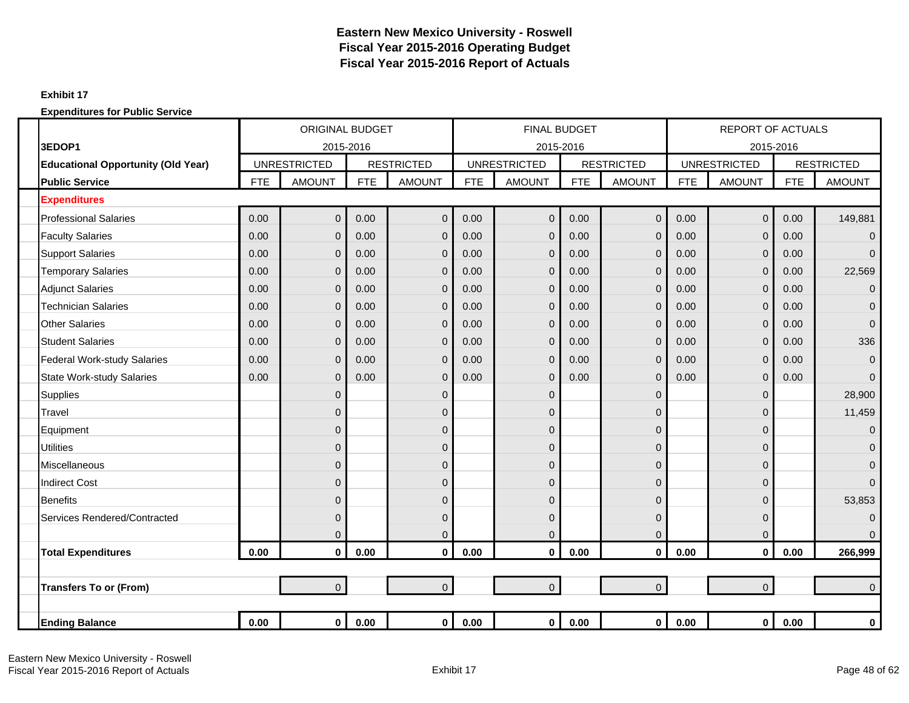### **Exhibit 17**

| <b>UNRESTRICTED</b>                       |            |                | <b>ORIGINAL BUDGET</b> |                   |            | <b>FINAL BUDGET</b> |            |                   |            | <b>REPORT OF ACTUALS</b> |            |                   |
|-------------------------------------------|------------|----------------|------------------------|-------------------|------------|---------------------|------------|-------------------|------------|--------------------------|------------|-------------------|
| 3EDOP1                                    |            | 2015-2016      |                        |                   |            | 2015-2016           |            |                   |            |                          | 2015-2016  |                   |
| <b>Educational Opportunity (Old Year)</b> |            |                |                        | <b>RESTRICTED</b> |            | <b>UNRESTRICTED</b> |            | <b>RESTRICTED</b> |            | <b>UNRESTRICTED</b>      |            | <b>RESTRICTED</b> |
| <b>Public Service</b>                     | <b>FTE</b> | <b>AMOUNT</b>  | <b>FTE</b>             | <b>AMOUNT</b>     | <b>FTE</b> | <b>AMOUNT</b>       | <b>FTE</b> | <b>AMOUNT</b>     | <b>FTE</b> | <b>AMOUNT</b>            | <b>FTE</b> | <b>AMOUNT</b>     |
| <b>Expenditures</b>                       |            |                |                        |                   |            |                     |            |                   |            |                          |            |                   |
| <b>Professional Salaries</b>              | 0.00       | $\mathbf 0$    | 0.00                   | $\mathbf 0$       | 0.00       | $\overline{0}$      | 0.00       | $\overline{0}$    | 0.00       | $\mathbf 0$              | 0.00       | 149,881           |
| <b>Faculty Salaries</b>                   | 0.00       | $\mathbf 0$    | 0.00                   | $\mathbf 0$       | 0.00       | 0                   | 0.00       | $\mathbf 0$       | 0.00       | $\mathbf 0$              | 0.00       | $\mathbf 0$       |
| <b>Support Salaries</b>                   | 0.00       | $\mathbf{0}$   | 0.00                   | $\overline{0}$    | 0.00       | 0                   | 0.00       | $\mathbf{0}$      | 0.00       | $\mathbf 0$              | 0.00       | $\Omega$          |
| <b>Temporary Salaries</b>                 | 0.00       | $\mathbf{0}$   | 0.00                   | $\overline{0}$    | 0.00       | 0                   | 0.00       | $\mathbf{0}$      | 0.00       | $\mathbf 0$              | 0.00       | 22,569            |
| <b>Adjunct Salaries</b>                   | 0.00       | $\mathbf 0$    | 0.00                   | $\overline{0}$    | 0.00       | $\mathbf{0}$        | 0.00       | $\mathbf{0}$      | 0.00       | $\mathbf 0$              | 0.00       | $\mathbf 0$       |
| <b>Technician Salaries</b>                | 0.00       | $\mathbf 0$    | 0.00                   | $\overline{0}$    | 0.00       | 0                   | 0.00       | $\mathbf{0}$      | 0.00       | $\mathbf 0$              | 0.00       | $\mathbf{0}$      |
| <b>Other Salaries</b>                     | 0.00       | $\overline{0}$ | 0.00                   | $\overline{0}$    | 0.00       | 0                   | 0.00       | $\Omega$          | 0.00       | $\mathbf 0$              | 0.00       | $\overline{0}$    |
| <b>Student Salaries</b>                   | 0.00       | $\mathbf 0$    | 0.00                   | $\mathbf 0$       | 0.00       | 0                   | 0.00       | $\mathbf{0}$      | 0.00       | $\mathbf 0$              | 0.00       | 336               |
| <b>Federal Work-study Salaries</b>        | 0.00       | $\mathbf{0}$   | 0.00                   | $\mathbf 0$       | 0.00       | 0                   | 0.00       | $\mathbf{0}$      | 0.00       | $\mathbf 0$              | 0.00       | $\overline{0}$    |
| <b>State Work-study Salaries</b>          | 0.00       | $\overline{0}$ | 0.00                   | $\mathbf 0$       | 0.00       | 0                   | 0.00       | $\mathbf{0}$      | 0.00       | $\mathbf 0$              | 0.00       | $\Omega$          |
| <b>Supplies</b>                           |            | $\mathbf{0}$   |                        | $\mathbf 0$       |            | 0                   |            | $\mathbf{0}$      |            | $\mathbf 0$              |            | 28,900            |
| Travel                                    |            | $\mathbf{0}$   |                        | $\overline{0}$    |            | 0                   |            | $\Omega$          |            | $\mathbf 0$              |            | 11,459            |
| Equipment                                 |            | $\mathbf 0$    |                        | $\mathbf 0$       |            | 0                   |            | $\Omega$          |            | 0                        |            | $\overline{0}$    |
| <b>Utilities</b>                          |            | $\mathbf{0}$   |                        | $\mathbf 0$       |            | 0                   |            | $\Omega$          |            | $\mathbf 0$              |            | $\mathbf{0}$      |
| <b>Miscellaneous</b>                      |            | $\mathbf 0$    |                        | $\mathbf 0$       |            | 0                   |            | $\overline{0}$    |            | $\mathbf 0$              |            | $\mathbf{0}$      |
| <b>Indirect Cost</b>                      |            | $\mathbf{0}$   |                        | $\mathbf 0$       |            | 0                   |            | $\Omega$          |            | 0                        |            | $\Omega$          |
| <b>Benefits</b>                           |            | $\mathbf 0$    |                        | $\mathbf 0$       |            | 0                   |            | $\mathbf{0}$      |            | $\mathbf 0$              |            | 53,853            |
| Services Rendered/Contracted              |            | $\mathbf{0}$   |                        | $\mathbf 0$       |            | 0                   |            | $\Omega$          |            | $\mathbf 0$              |            | $\mathbf 0$       |
|                                           |            | $\mathbf 0$    |                        | $\mathbf 0$       |            | 0                   |            | 0                 |            | 0                        |            | $\Omega$          |
| <b>Total Expenditures</b>                 | 0.00       | $\mathbf 0$    | 0.00                   | $\mathbf 0$       | 0.00       | 0                   | 0.00       | $\mathbf 0$       | 0.00       | $\mathbf 0$              | 0.00       | 266,999           |
|                                           |            |                |                        |                   |            |                     |            |                   |            |                          |            |                   |
| <b>Transfers To or (From)</b>             |            | $\overline{0}$ |                        | $\overline{0}$    |            | $\overline{0}$      |            | $\overline{0}$    |            | $\mathbf 0$              |            | $\Omega$          |
|                                           |            |                |                        |                   |            |                     |            |                   |            |                          |            |                   |
| <b>Ending Balance</b>                     | 0.00       | 0              | 0.00                   | $\mathbf{0}$      | 0.00       | $\mathbf 0$         | $0.00\,$   | $\mathbf 0$       | 0.00       | $\bf{0}$                 | 0.00       | $\bf{0}$          |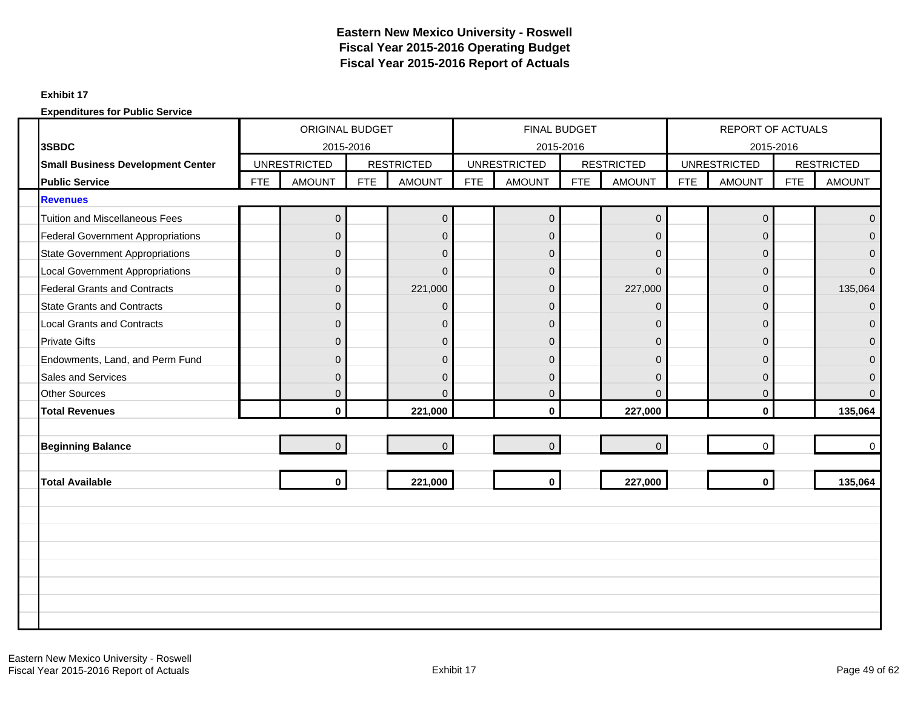### **Exhibit 17**

|                                          |            | <b>ORIGINAL BUDGET</b> |            |                   |            | FINAL BUDGET        |            |                   |            | REPORT OF ACTUALS   |            |                   |
|------------------------------------------|------------|------------------------|------------|-------------------|------------|---------------------|------------|-------------------|------------|---------------------|------------|-------------------|
| 3SBDC                                    |            | 2015-2016              |            |                   |            | 2015-2016           |            |                   |            | 2015-2016           |            |                   |
| <b>Small Business Development Center</b> |            | <b>UNRESTRICTED</b>    |            | <b>RESTRICTED</b> |            | <b>UNRESTRICTED</b> |            | <b>RESTRICTED</b> |            | <b>UNRESTRICTED</b> |            | <b>RESTRICTED</b> |
| <b>Public Service</b>                    | <b>FTE</b> | <b>AMOUNT</b>          | <b>FTE</b> | <b>AMOUNT</b>     | <b>FTE</b> | <b>AMOUNT</b>       | <b>FTE</b> | <b>AMOUNT</b>     | <b>FTE</b> | <b>AMOUNT</b>       | <b>FTE</b> | <b>AMOUNT</b>     |
| <b>Revenues</b>                          |            |                        |            |                   |            |                     |            |                   |            |                     |            |                   |
| <b>Tuition and Miscellaneous Fees</b>    |            | $\pmb{0}$              |            | $\mathbf 0$       |            | $\mathbf 0$         |            | $\pmb{0}$         |            | $\mathbf 0$         |            | $\Omega$          |
| <b>Federal Government Appropriations</b> |            | $\Omega$               |            | $\mathbf 0$       |            | $\Omega$            |            | $\Omega$          |            | $\Omega$            |            | $\Omega$          |
| <b>State Government Appropriations</b>   |            | $\mathbf{0}$           |            | $\mathbf 0$       |            | $\overline{0}$      |            | $\mathbf 0$       |            | $\mathbf{0}$        |            | $\Omega$          |
| <b>Local Government Appropriations</b>   |            | $\mathbf{0}$           |            | $\mathbf 0$       |            | $\overline{0}$      |            | $\mathbf 0$       |            | $\mathbf 0$         |            | $\Omega$          |
| <b>Federal Grants and Contracts</b>      |            | $\Omega$               |            | 221,000           |            | $\overline{0}$      |            | 227,000           |            | $\Omega$            |            | 135,064           |
| <b>State Grants and Contracts</b>        |            | $\mathbf{0}$           |            | $\mathbf 0$       |            | $\overline{0}$      |            | $\mathbf 0$       |            | $\mathbf{0}$        |            | $\Omega$          |
| <b>Local Grants and Contracts</b>        |            | $\Omega$               |            | $\overline{0}$    |            | $\overline{0}$      |            | $\overline{0}$    |            | $\mathbf{0}$        |            | $\Omega$          |
| <b>Private Gifts</b>                     |            | $\mathbf{0}$           |            | $\mathbf 0$       |            | $\overline{0}$      |            | $\mathbf 0$       |            | $\mathbf{0}$        |            | $\Omega$          |
| Endowments, Land, and Perm Fund          |            | $\Omega$               |            | $\mathbf{0}$      |            | $\overline{0}$      |            | $\Omega$          |            | $\Omega$            |            | $\Omega$          |
| <b>Sales and Services</b>                |            | $\mathbf{0}$           |            | $\mathsf 0$       |            | $\overline{0}$      |            | $\Omega$          |            | $\mathbf{0}$        |            | $\Omega$          |
| <b>Other Sources</b>                     |            | $\Omega$               |            | $\Omega$          |            | $\overline{0}$      |            | $\Omega$          |            | $\mathbf{0}$        |            | $\Omega$          |
| <b>Total Revenues</b>                    |            | $\mathbf{0}$           |            | 221,000           |            | $\mathbf{0}$        |            | 227,000           |            | $\mathbf{0}$        |            | 135,064           |
|                                          |            |                        |            |                   |            |                     |            |                   |            |                     |            |                   |
| <b>Beginning Balance</b>                 |            | $\Omega$               |            | $\overline{0}$    |            | $\overline{0}$      |            | $\Omega$          |            | $\Omega$            |            | $\Omega$          |
|                                          |            |                        |            |                   |            |                     |            |                   |            |                     |            |                   |
| <b>Total Available</b>                   |            | $\mathbf{0}$           |            | 221,000           |            | $\mathbf 0$         |            | 227,000           |            | $\mathbf{0}$        |            | 135,064           |
|                                          |            |                        |            |                   |            |                     |            |                   |            |                     |            |                   |
|                                          |            |                        |            |                   |            |                     |            |                   |            |                     |            |                   |
|                                          |            |                        |            |                   |            |                     |            |                   |            |                     |            |                   |
|                                          |            |                        |            |                   |            |                     |            |                   |            |                     |            |                   |
|                                          |            |                        |            |                   |            |                     |            |                   |            |                     |            |                   |
|                                          |            |                        |            |                   |            |                     |            |                   |            |                     |            |                   |
|                                          |            |                        |            |                   |            |                     |            |                   |            |                     |            |                   |
|                                          |            |                        |            |                   |            |                     |            |                   |            |                     |            |                   |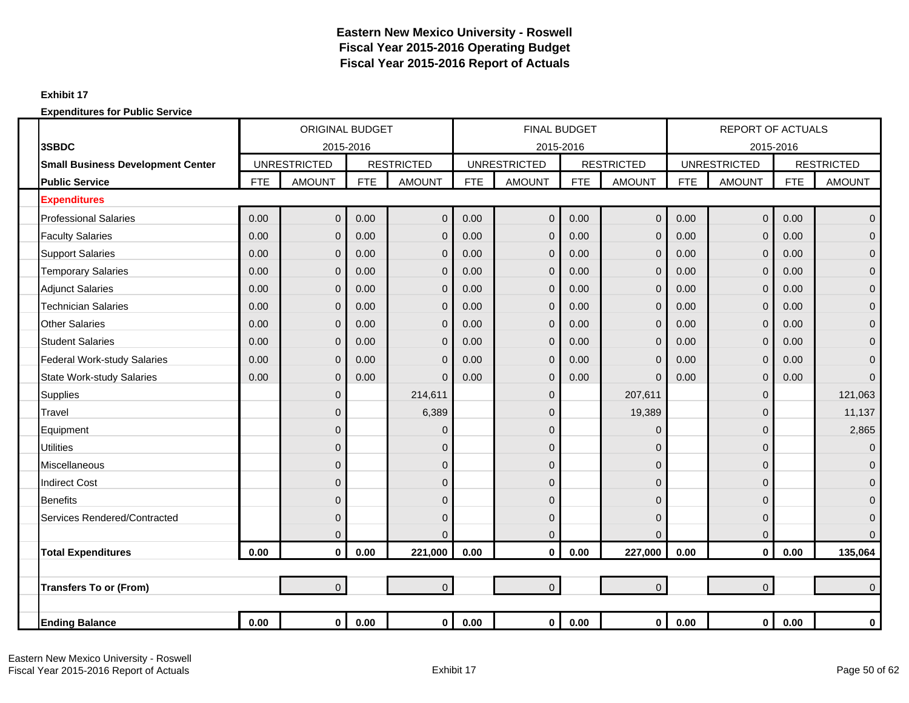### **Exhibit 17**

|                                          |            | <b>ORIGINAL BUDGET</b> |            |                   |            | <b>FINAL BUDGET</b> |            |                   |            | <b>REPORT OF ACTUALS</b> |            |                   |
|------------------------------------------|------------|------------------------|------------|-------------------|------------|---------------------|------------|-------------------|------------|--------------------------|------------|-------------------|
| 3SBDC                                    |            | 2015-2016              |            |                   |            | 2015-2016           |            |                   |            |                          | 2015-2016  |                   |
| <b>Small Business Development Center</b> |            | <b>UNRESTRICTED</b>    |            | <b>RESTRICTED</b> |            | <b>UNRESTRICTED</b> |            | <b>RESTRICTED</b> |            | <b>UNRESTRICTED</b>      |            | <b>RESTRICTED</b> |
| <b>Public Service</b>                    | <b>FTE</b> | <b>AMOUNT</b>          | <b>FTE</b> | <b>AMOUNT</b>     | <b>FTE</b> | <b>AMOUNT</b>       | <b>FTE</b> | <b>AMOUNT</b>     | <b>FTE</b> | <b>AMOUNT</b>            | <b>FTE</b> | <b>AMOUNT</b>     |
| <b>Expenditures</b>                      |            |                        |            |                   |            |                     |            |                   |            |                          |            |                   |
| <b>Professional Salaries</b>             | 0.00       | $\mathbf 0$            | 0.00       | $\mathbf 0$       | 0.00       | $\overline{0}$      | 0.00       | $\overline{0}$    | 0.00       | $\overline{0}$           | 0.00       | $\mathbf 0$       |
| <b>Faculty Salaries</b>                  | 0.00       | $\mathbf{0}$           | 0.00       | $\mathbf 0$       | 0.00       | $\mathbf 0$         | 0.00       | $\mathbf{0}$      | 0.00       | $\mathbf 0$              | 0.00       | $\mathbf 0$       |
| <b>Support Salaries</b>                  | 0.00       | $\overline{0}$         | 0.00       | $\Omega$          | 0.00       | $\mathbf{0}$        | 0.00       | $\overline{0}$    | 0.00       | $\mathbf 0$              | 0.00       | $\overline{0}$    |
| <b>Temporary Salaries</b>                | 0.00       | $\overline{0}$         | 0.00       | $\mathbf 0$       | 0.00       | $\overline{0}$      | 0.00       | $\overline{0}$    | 0.00       | $\mathbf 0$              | 0.00       | $\overline{0}$    |
| <b>Adjunct Salaries</b>                  | 0.00       | $\mathbf 0$            | 0.00       | $\overline{0}$    | 0.00       | $\overline{0}$      | 0.00       | $\overline{0}$    | 0.00       | $\mathbf 0$              | 0.00       | $\mathbf 0$       |
| <b>Technician Salaries</b>               | 0.00       | 0                      | 0.00       | $\mathbf 0$       | 0.00       | 0                   | 0.00       | $\overline{0}$    | 0.00       | $\mathbf 0$              | 0.00       | $\mathbf 0$       |
| <b>Other Salaries</b>                    | 0.00       | $\overline{0}$         | 0.00       | $\Omega$          | 0.00       | $\overline{0}$      | 0.00       | $\Omega$          | 0.00       | $\mathbf 0$              | 0.00       | $\overline{0}$    |
| <b>Student Salaries</b>                  | 0.00       | $\mathbf 0$            | 0.00       | $\overline{0}$    | 0.00       | $\mathbf{0}$        | 0.00       | $\mathbf{0}$      | 0.00       | $\mathbf 0$              | 0.00       | $\mathbf 0$       |
| <b>Federal Work-study Salaries</b>       | 0.00       | $\overline{0}$         | 0.00       | $\mathbf 0$       | 0.00       | $\overline{0}$      | 0.00       | $\mathbf{0}$      | 0.00       | $\mathbf 0$              | 0.00       | $\mathbf{0}$      |
| <b>State Work-study Salaries</b>         | 0.00       | $\overline{0}$         | 0.00       | $\Omega$          | 0.00       | $\mathbf{0}$        | 0.00       | $\overline{0}$    | 0.00       | $\mathbf 0$              | 0.00       | $\Omega$          |
| <b>Supplies</b>                          |            | $\overline{0}$         |            | 214,611           |            | 0                   |            | 207,611           |            | $\mathbf 0$              |            | 121,063           |
| Travel                                   |            | $\overline{0}$         |            | 6,389             |            | 0                   |            | 19,389            |            | $\mathbf 0$              |            | 11,137            |
| Equipment                                |            | $\overline{0}$         |            | 0                 |            | 0                   |            | 0                 |            | $\mathbf 0$              |            | 2,865             |
| <b>Utilities</b>                         |            | $\overline{0}$         |            | $\mathbf 0$       |            | $\overline{0}$      |            | $\Omega$          |            | $\mathbf 0$              |            | $\mathbf{0}$      |
| Miscellaneous                            |            | $\mathbf{0}$           |            | $\mathbf 0$       |            | 0                   |            | $\mathbf{0}$      |            | $\mathbf 0$              |            | $\mathbf 0$       |
| <b>Indirect Cost</b>                     |            | $\overline{0}$         |            | $\mathbf 0$       |            | 0                   |            | $\Omega$          |            | 0                        |            | $\overline{0}$    |
| <b>Benefits</b>                          |            | $\overline{0}$         |            | $\mathbf 0$       |            | 0                   |            | $\Omega$          |            | $\mathbf 0$              |            | $\mathbf{0}$      |
| Services Rendered/Contracted             |            | $\mathbf{0}$           |            | $\mathbf 0$       |            | 0                   |            | $\Omega$          |            | $\mathbf 0$              |            | $\mathbf{0}$      |
|                                          |            | $\mathbf{0}$           |            | $\Omega$          |            | 0                   |            | $\Omega$          |            | $\mathbf 0$              |            | $\Omega$          |
| <b>Total Expenditures</b>                | 0.00       | $\mathbf 0$            | 0.00       | 221,000           | 0.00       | 0                   | 0.00       | 227,000           | 0.00       | $\mathbf 0$              | 0.00       | 135,064           |
|                                          |            |                        |            |                   |            |                     |            |                   |            |                          |            |                   |
| <b>Transfers To or (From)</b>            |            | $\overline{0}$         |            | $\overline{0}$    |            | $\overline{0}$      |            | $\overline{0}$    |            | $\mathbf 0$              |            | $\Omega$          |
|                                          |            |                        |            |                   |            |                     |            |                   |            |                          |            |                   |
| <b>Ending Balance</b>                    | 0.00       | $\mathbf 0$            | 0.00       | $\mathbf{0}$      | 0.00       | $\mathbf 0$         | 0.00       | $\mathbf{0}$      | 0.00       | $\bf{0}$                 | 0.00       | $\bf{0}$          |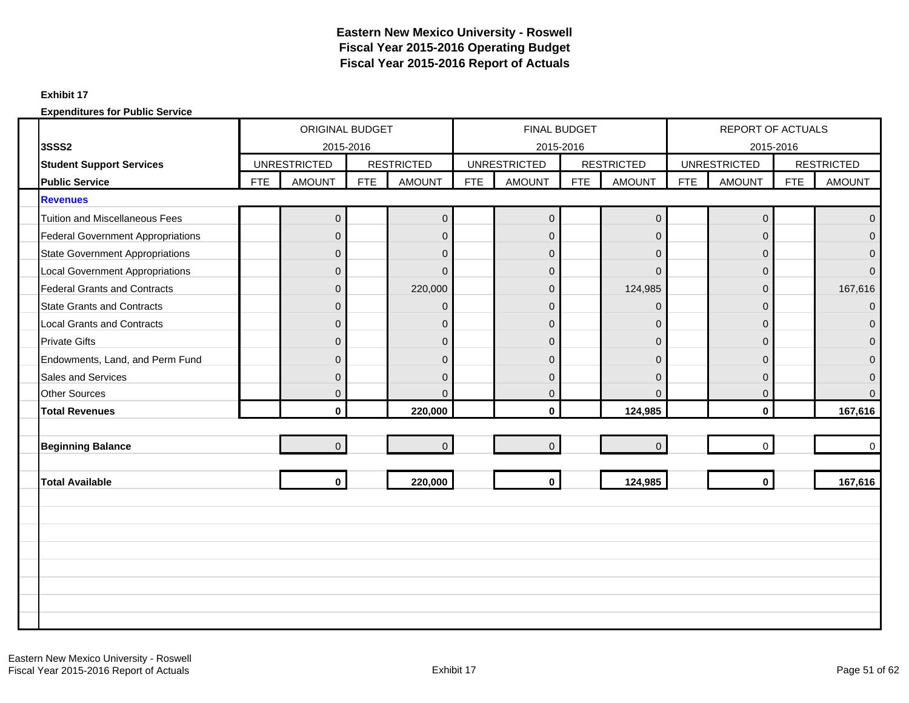### **Exhibit 17**

|                                          | ORIGINAL BUDGET |                     |            |                   |            | FINAL BUDGET        |            |                   |            | REPORT OF ACTUALS   |            |                   |
|------------------------------------------|-----------------|---------------------|------------|-------------------|------------|---------------------|------------|-------------------|------------|---------------------|------------|-------------------|
| <b>3SSS2</b>                             |                 | 2015-2016           |            |                   |            | 2015-2016           |            |                   |            | 2015-2016           |            |                   |
| <b>Student Support Services</b>          |                 | <b>UNRESTRICTED</b> |            | <b>RESTRICTED</b> |            | <b>UNRESTRICTED</b> |            | <b>RESTRICTED</b> |            | <b>UNRESTRICTED</b> |            | <b>RESTRICTED</b> |
| <b>Public Service</b>                    | <b>FTE</b>      | <b>AMOUNT</b>       | <b>FTE</b> | <b>AMOUNT</b>     | <b>FTE</b> | <b>AMOUNT</b>       | <b>FTE</b> | <b>AMOUNT</b>     | <b>FTE</b> | <b>AMOUNT</b>       | <b>FTE</b> | <b>AMOUNT</b>     |
| <b>Revenues</b>                          |                 |                     |            |                   |            |                     |            |                   |            |                     |            |                   |
| <b>Tuition and Miscellaneous Fees</b>    |                 | $\mathbf 0$         |            | $\mathbf 0$       |            | $\overline{0}$      |            | $\mathbf 0$       |            | $\mathbf 0$         |            | $\mathbf{0}$      |
| <b>Federal Government Appropriations</b> |                 | $\mathbf{0}$        |            | $\mathbf 0$       |            | $\overline{0}$      |            | $\overline{0}$    |            | 0                   |            | $\overline{0}$    |
| State Government Appropriations          |                 | $\overline{0}$      |            | $\mathbf{0}$      |            | $\mathbf{0}$        |            | $\Omega$          |            | $\overline{0}$      |            | $\Omega$          |
| <b>Local Government Appropriations</b>   |                 | $\mathbf{0}$        |            | $\mathbf{0}$      |            | $\mathbf{0}$        |            | $\Omega$          |            | $\mathbf 0$         |            | $\Omega$          |
| <b>Federal Grants and Contracts</b>      |                 | $\Omega$            |            | 220,000           |            | $\overline{0}$      |            | 124,985           |            | 0                   |            | 167,616           |
| <b>State Grants and Contracts</b>        |                 | $\mathbf 0$         |            | $\mathbf 0$       |            | $\mathbf 0$         |            | $\Omega$          |            | 0                   |            | $\mathbf{0}$      |
| <b>Local Grants and Contracts</b>        |                 | $\Omega$            |            | $\mathbf 0$       |            | $\overline{0}$      |            | $\Omega$          |            | 0                   |            | $\overline{0}$    |
| <b>Private Gifts</b>                     |                 | $\Omega$            |            | $\mathbf{0}$      |            | $\Omega$            |            | $\Omega$          |            | 0                   |            | $\Omega$          |
| Endowments, Land, and Perm Fund          |                 | $\Omega$            |            | $\overline{0}$    |            | $\mathbf{0}$        |            | $\Omega$          |            | 0                   |            | $\Omega$          |
| <b>Sales and Services</b>                |                 | $\Omega$            |            | $\mathbf{0}$      |            | $\mathbf{0}$        |            | $\Omega$          |            | 0                   |            | $\mathbf{0}$      |
| <b>Other Sources</b>                     |                 | $\mathbf{0}$        |            | $\Omega$          |            | $\mathbf{0}$        |            | $\Omega$          |            | 0                   |            | $\overline{0}$    |
| <b>Total Revenues</b>                    |                 | $\mathbf{0}$        |            | 220,000           |            | $\mathbf{0}$        |            | 124,985           |            | $\mathbf{0}$        |            | 167,616           |
|                                          |                 |                     |            |                   |            |                     |            |                   |            |                     |            |                   |
| <b>Beginning Balance</b>                 |                 | $\overline{0}$      |            | $\mathbf 0$       |            | $\overline{0}$      |            | $\mathbf 0$       |            | $\Omega$            |            | $\Omega$          |
|                                          |                 |                     |            |                   |            |                     |            |                   |            |                     |            |                   |
| <b>Total Available</b>                   |                 | $\mathbf{0}$        |            | 220,000           |            | $\mathbf 0$         |            | 124,985           |            | $\mathbf{0}$        |            | 167,616           |
|                                          |                 |                     |            |                   |            |                     |            |                   |            |                     |            |                   |
|                                          |                 |                     |            |                   |            |                     |            |                   |            |                     |            |                   |
|                                          |                 |                     |            |                   |            |                     |            |                   |            |                     |            |                   |
|                                          |                 |                     |            |                   |            |                     |            |                   |            |                     |            |                   |
|                                          |                 |                     |            |                   |            |                     |            |                   |            |                     |            |                   |
|                                          |                 |                     |            |                   |            |                     |            |                   |            |                     |            |                   |
|                                          |                 |                     |            |                   |            |                     |            |                   |            |                     |            |                   |
|                                          |                 |                     |            |                   |            |                     |            |                   |            |                     |            |                   |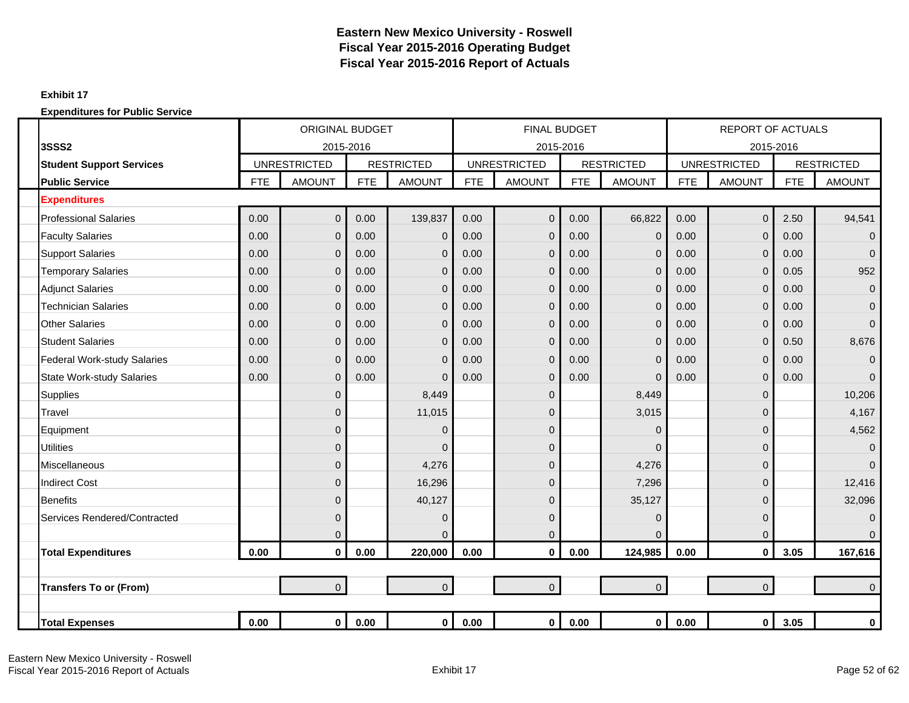### **Exhibit 17**

|                                    |            | <b>ORIGINAL BUDGET</b> |            |                   |            | <b>FINAL BUDGET</b> |            |                   |            | <b>REPORT OF ACTUALS</b> |            |                   |
|------------------------------------|------------|------------------------|------------|-------------------|------------|---------------------|------------|-------------------|------------|--------------------------|------------|-------------------|
| <b>3SSS2</b>                       |            | 2015-2016              |            |                   |            | 2015-2016           |            |                   |            |                          | 2015-2016  |                   |
| <b>Student Support Services</b>    |            | <b>UNRESTRICTED</b>    |            | <b>RESTRICTED</b> |            | <b>UNRESTRICTED</b> |            | <b>RESTRICTED</b> |            | <b>UNRESTRICTED</b>      |            | <b>RESTRICTED</b> |
| <b>Public Service</b>              | <b>FTE</b> | <b>AMOUNT</b>          | <b>FTE</b> | <b>AMOUNT</b>     | <b>FTE</b> | <b>AMOUNT</b>       | <b>FTE</b> | <b>AMOUNT</b>     | <b>FTE</b> | <b>AMOUNT</b>            | <b>FTE</b> | <b>AMOUNT</b>     |
| <b>Expenditures</b>                |            |                        |            |                   |            |                     |            |                   |            |                          |            |                   |
| <b>Professional Salaries</b>       | 0.00       | $\mathbf 0$            | 0.00       | 139,837           | 0.00       | $\overline{0}$      | 0.00       | 66,822            | 0.00       | $\overline{0}$           | 2.50       | 94,541            |
| <b>Faculty Salaries</b>            | 0.00       | $\mathbf{0}$           | 0.00       | $\overline{0}$    | 0.00       | $\overline{0}$      | 0.00       | $\mathbf 0$       | 0.00       | $\mathbf 0$              | 0.00       | $\mathbf 0$       |
| <b>Support Salaries</b>            | 0.00       | $\mathbf 0$            | 0.00       | $\overline{0}$    | 0.00       | 0                   | 0.00       | $\mathbf{0}$      | 0.00       | $\mathbf 0$              | 0.00       | $\overline{0}$    |
| <b>Temporary Salaries</b>          | 0.00       | $\overline{0}$         | 0.00       | $\overline{0}$    | 0.00       | $\overline{0}$      | 0.00       | $\overline{0}$    | 0.00       | $\mathbf 0$              | 0.05       | 952               |
| <b>Adjunct Salaries</b>            | 0.00       | $\overline{0}$         | 0.00       | $\overline{0}$    | 0.00       | $\overline{0}$      | 0.00       | $\overline{0}$    | 0.00       | $\mathbf 0$              | 0.00       | $\pmb{0}$         |
| <b>Technician Salaries</b>         | 0.00       | $\overline{0}$         | 0.00       | $\Omega$          | 0.00       | 0                   | 0.00       | $\overline{0}$    | 0.00       | $\mathbf 0$              | 0.00       | $\mathbf{0}$      |
| <b>Other Salaries</b>              | 0.00       | $\mathbf{0}$           | 0.00       | $\mathbf 0$       | 0.00       | $\overline{0}$      | 0.00       | $\overline{0}$    | 0.00       | $\mathbf 0$              | 0.00       | $\overline{0}$    |
| <b>Student Salaries</b>            | 0.00       | $\overline{0}$         | 0.00       | $\mathbf 0$       | 0.00       | $\mathbf{0}$        | 0.00       | $\mathbf{0}$      | 0.00       | $\mathbf 0$              | 0.50       | 8,676             |
| <b>Federal Work-study Salaries</b> | 0.00       | $\overline{0}$         | 0.00       | $\Omega$          | 0.00       | $\overline{0}$      | 0.00       | $\Omega$          | 0.00       | $\overline{0}$           | 0.00       | $\overline{0}$    |
| <b>State Work-study Salaries</b>   | 0.00       | $\overline{0}$         | 0.00       | $\mathbf 0$       | 0.00       | $\overline{0}$      | 0.00       | $\mathbf{0}$      | 0.00       | $\pmb{0}$                | 0.00       | $\Omega$          |
| <b>Supplies</b>                    |            | $\mathbf{0}$           |            | 8,449             |            | 0                   |            | 8,449             |            | $\pmb{0}$                |            | 10,206            |
| Travel                             |            | $\overline{0}$         |            | 11,015            |            | 0                   |            | 3,015             |            | $\mathbf 0$              |            | 4,167             |
| Equipment                          |            | $\overline{0}$         |            | $\Omega$          |            | $\overline{0}$      |            | $\Omega$          |            | $\mathbf 0$              |            | 4,562             |
| <b>Utilities</b>                   |            | $\overline{0}$         |            | $\Omega$          |            | 0                   |            | $\Omega$          |            | $\mathbf 0$              |            | $\mathbf{0}$      |
| Miscellaneous                      |            | $\mathbf{0}$           |            | 4,276             |            | 0                   |            | 4,276             |            | $\mathbf 0$              |            | $\Omega$          |
| <b>Indirect Cost</b>               |            | $\overline{0}$         |            | 16,296            |            | 0                   |            | 7,296             |            | 0                        |            | 12,416            |
| <b>Benefits</b>                    |            | $\overline{0}$         |            | 40,127            |            | 0                   |            | 35,127            |            | $\mathbf 0$              |            | 32,096            |
| Services Rendered/Contracted       |            | $\mathbf{0}$           |            | $\mathbf 0$       |            | $\mathbf 0$         |            | $\mathbf{0}$      |            | $\mathbf 0$              |            | $\mathbf{0}$      |
|                                    |            | $\mathbf{0}$           |            | $\mathbf 0$       |            | 0                   |            | $\overline{0}$    |            | $\mathbf 0$              |            | $\Omega$          |
| <b>Total Expenditures</b>          | 0.00       | $\mathbf 0$            | 0.00       | 220,000           | 0.00       | 0                   | 0.00       | 124,985           | 0.00       | $\mathbf 0$              | 3.05       | 167,616           |
|                                    |            |                        |            |                   |            |                     |            |                   |            |                          |            |                   |
| <b>Transfers To or (From)</b>      |            | $\overline{0}$         |            | $\overline{0}$    |            | $\overline{0}$      |            | $\overline{0}$    |            | $\mathbf 0$              |            | $\Omega$          |
|                                    |            |                        |            |                   |            |                     |            |                   |            |                          |            |                   |
| <b>Total Expenses</b>              | 0.00       | $\mathbf{0}$           | 0.00       | $\mathbf{0}$      | 0.00       | $\mathbf 0$         | 0.00       | $\mathbf{0}$      | 0.00       | $\mathbf 0$              | 3.05       | $\bf{0}$          |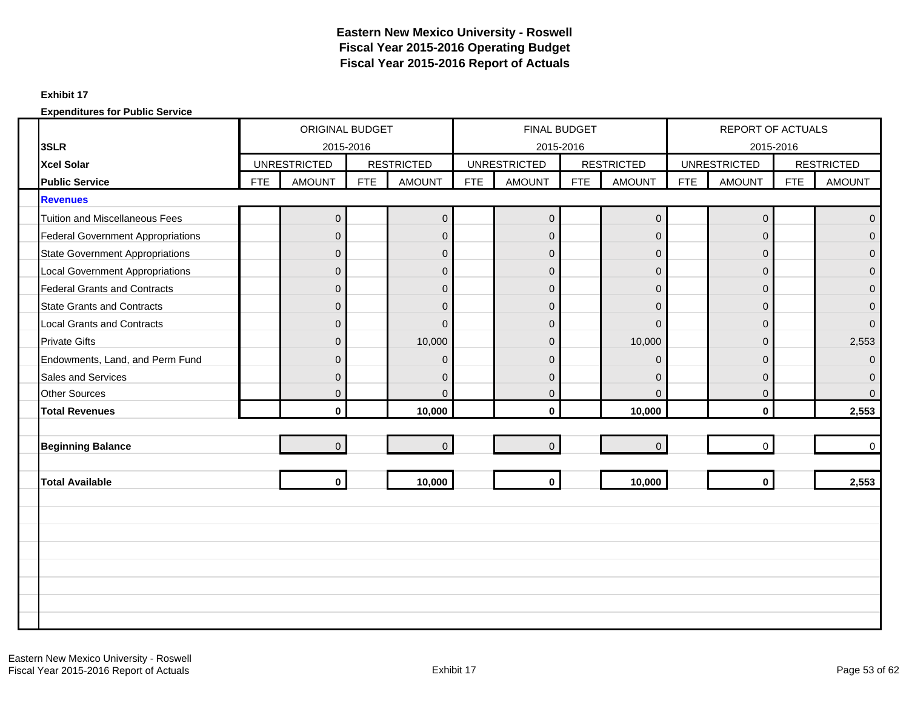#### **Exhibit 17**

|                                          |            | ORIGINAL BUDGET     |            |                   |            | FINAL BUDGET        |            |                   |            | <b>REPORT OF ACTUALS</b> |            |                   |
|------------------------------------------|------------|---------------------|------------|-------------------|------------|---------------------|------------|-------------------|------------|--------------------------|------------|-------------------|
| 3SLR                                     |            | 2015-2016           |            |                   |            | 2015-2016           |            |                   |            | 2015-2016                |            |                   |
| Xcel Solar                               |            | <b>UNRESTRICTED</b> |            | <b>RESTRICTED</b> |            | <b>UNRESTRICTED</b> |            | <b>RESTRICTED</b> |            | <b>UNRESTRICTED</b>      |            | <b>RESTRICTED</b> |
| <b>Public Service</b>                    | <b>FTE</b> | <b>AMOUNT</b>       | <b>FTE</b> | <b>AMOUNT</b>     | <b>FTE</b> | <b>AMOUNT</b>       | <b>FTE</b> | <b>AMOUNT</b>     | <b>FTE</b> | <b>AMOUNT</b>            | <b>FTE</b> | <b>AMOUNT</b>     |
| <b>Revenues</b>                          |            |                     |            |                   |            |                     |            |                   |            |                          |            |                   |
| <b>Tuition and Miscellaneous Fees</b>    |            | 0                   |            | $\mathbf 0$       |            | $\overline{0}$      |            | $\pmb{0}$         |            | $\mathsf 0$              |            | $\mathbf 0$       |
| <b>Federal Government Appropriations</b> |            | $\Omega$            |            | $\overline{0}$    |            | $\mathbf{0}$        |            | $\Omega$          |            | $\Omega$                 |            | $\Omega$          |
| <b>State Government Appropriations</b>   |            | $\mathbf{0}$        |            | $\mathbf 0$       |            | $\mathbf 0$         |            | $\mathbf{0}$      |            | 0                        |            | $\mathbf{0}$      |
| <b>Local Government Appropriations</b>   |            | $\Omega$            |            | $\mathbf{0}$      |            | $\Omega$            |            | $\Omega$          |            | $\overline{0}$           |            | $\mathbf{0}$      |
| <b>Federal Grants and Contracts</b>      |            | $\mathbf{0}$        |            | $\mathbf 0$       |            | $\overline{0}$      |            | $\Omega$          |            | $\overline{0}$           |            | $\mathbf{0}$      |
| <b>State Grants and Contracts</b>        |            | $\mathbf{0}$        |            | $\mathbf{0}$      |            | $\mathbf{0}$        |            | $\Omega$          |            | $\overline{0}$           |            | $\mathbf{0}$      |
| <b>Local Grants and Contracts</b>        |            | $\mathbf{0}$        |            | $\mathbf{0}$      |            | $\mathbf{0}$        |            | $\Omega$          |            | 0                        |            | $\Omega$          |
| <b>Private Gifts</b>                     |            | $\Omega$            |            | 10,000            |            | $\mathbf{0}$        |            | 10,000            |            | $\overline{0}$           |            | 2,553             |
| Endowments, Land, and Perm Fund          |            | $\Omega$            |            | $\mathbf 0$       |            | $\mathbf{0}$        |            | $\Omega$          |            | 0                        |            | $\Omega$          |
| Sales and Services                       |            | $\Omega$            |            | $\mathbf{0}$      |            | $\Omega$            |            | $\Omega$          |            | 0                        |            | $\Omega$          |
| <b>Other Sources</b>                     |            | $\mathbf{0}$        |            | $\Omega$          |            | $\mathbf{0}$        |            | $\Omega$          |            | $\overline{0}$           |            | $\Omega$          |
| <b>Total Revenues</b>                    |            | $\mathbf{0}$        |            | 10,000            |            | $\mathbf{0}$        |            | 10,000            |            | $\bf{0}$                 |            | 2,553             |
|                                          |            |                     |            |                   |            |                     |            |                   |            |                          |            |                   |
| <b>Beginning Balance</b>                 |            | $\Omega$            |            | $\overline{0}$    |            | $\Omega$            |            | $\overline{0}$    |            | $\Omega$                 |            | $\mathbf 0$       |
|                                          |            |                     |            |                   |            |                     |            |                   |            |                          |            |                   |
| <b>Total Available</b>                   |            | $\mathbf{0}$        |            | 10,000            |            | $\mathbf{0}$        |            | 10,000            |            | $\mathbf{0}$             |            | 2,553             |
|                                          |            |                     |            |                   |            |                     |            |                   |            |                          |            |                   |
|                                          |            |                     |            |                   |            |                     |            |                   |            |                          |            |                   |
|                                          |            |                     |            |                   |            |                     |            |                   |            |                          |            |                   |
|                                          |            |                     |            |                   |            |                     |            |                   |            |                          |            |                   |
|                                          |            |                     |            |                   |            |                     |            |                   |            |                          |            |                   |
|                                          |            |                     |            |                   |            |                     |            |                   |            |                          |            |                   |
|                                          |            |                     |            |                   |            |                     |            |                   |            |                          |            |                   |
|                                          |            |                     |            |                   |            |                     |            |                   |            |                          |            |                   |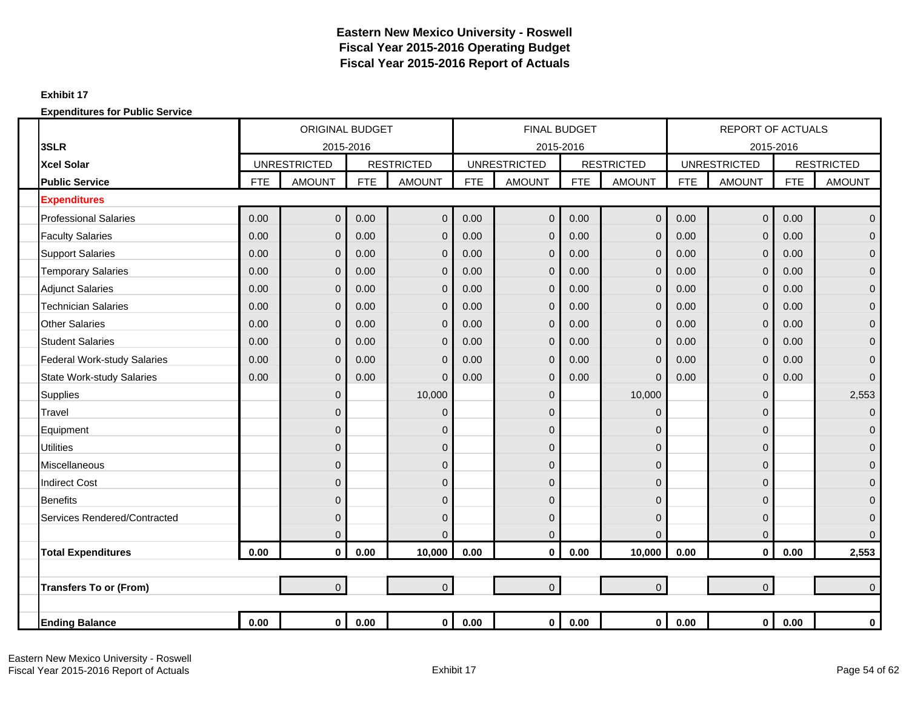#### **Exhibit 17**

|                                  |            | <b>ORIGINAL BUDGET</b> |            |                   |            | <b>FINAL BUDGET</b> |            |                   |            | <b>REPORT OF ACTUALS</b> |            |                   |
|----------------------------------|------------|------------------------|------------|-------------------|------------|---------------------|------------|-------------------|------------|--------------------------|------------|-------------------|
| 3SLR                             |            | 2015-2016              |            |                   |            | 2015-2016           |            |                   |            | 2015-2016                |            |                   |
| <b>Xcel Solar</b>                |            | <b>UNRESTRICTED</b>    |            | <b>RESTRICTED</b> |            | <b>UNRESTRICTED</b> |            | <b>RESTRICTED</b> |            | <b>UNRESTRICTED</b>      |            | <b>RESTRICTED</b> |
| <b>Public Service</b>            | <b>FTE</b> | <b>AMOUNT</b>          | <b>FTE</b> | <b>AMOUNT</b>     | <b>FTE</b> | <b>AMOUNT</b>       | <b>FTE</b> | <b>AMOUNT</b>     | <b>FTE</b> | <b>AMOUNT</b>            | <b>FTE</b> | <b>AMOUNT</b>     |
| <b>Expenditures</b>              |            |                        |            |                   |            |                     |            |                   |            |                          |            |                   |
| <b>Professional Salaries</b>     | 0.00       | $\overline{0}$         | 0.00       | $\mathbf 0$       | 0.00       | $\overline{0}$      | 0.00       | $\overline{0}$    | 0.00       | $\overline{0}$           | 0.00       | $\mathbf 0$       |
| <b>Faculty Salaries</b>          | 0.00       | $\mathbf{0}$           | 0.00       | $\mathbf 0$       | 0.00       | $\mathbf{0}$        | 0.00       | $\overline{0}$    | 0.00       | $\mathbf 0$              | 0.00       | $\mathbf 0$       |
| <b>Support Salaries</b>          | 0.00       | $\Omega$               | 0.00       | $\mathbf{0}$      | 0.00       | $\mathbf 0$         | 0.00       | $\Omega$          | 0.00       | $\mathbf 0$              | 0.00       | $\overline{0}$    |
| <b>Temporary Salaries</b>        | 0.00       | $\mathbf{0}$           | 0.00       | $\mathbf 0$       | 0.00       | $\mathbf 0$         | 0.00       | $\overline{0}$    | 0.00       | $\mathbf 0$              | 0.00       | $\mathbf 0$       |
| <b>Adjunct Salaries</b>          | 0.00       | $\mathbf{0}$           | 0.00       | $\mathbf{0}$      | 0.00       | $\mathbf{0}$        | 0.00       | $\overline{0}$    | 0.00       | $\mathbf 0$              | 0.00       | $\mathbf 0$       |
| <b>Technician Salaries</b>       | 0.00       | $\mathbf 0$            | 0.00       | $\mathbf 0$       | 0.00       | $\mathbf{0}$        | 0.00       | 0                 | 0.00       | $\mathbf 0$              | 0.00       | $\mathbf 0$       |
| <b>Other Salaries</b>            | 0.00       | $\overline{0}$         | 0.00       | $\mathbf 0$       | 0.00       | $\mathbf{0}$        | 0.00       | $\overline{0}$    | 0.00       | $\mathbf 0$              | 0.00       | $\mathbf 0$       |
| <b>Student Salaries</b>          | 0.00       | $\mathbf{0}$           | 0.00       | $\mathbf{0}$      | 0.00       | $\mathbf{0}$        | 0.00       | $\overline{0}$    | 0.00       | $\mathbf 0$              | 0.00       | $\mathbf 0$       |
| Federal Work-study Salaries      | 0.00       | $\Omega$               | 0.00       | $\mathbf 0$       | 0.00       | $\mathbf{0}$        | 0.00       | $\Omega$          | 0.00       | $\mathbf 0$              | 0.00       | $\mathbf{0}$      |
| <b>State Work-study Salaries</b> | 0.00       | $\Omega$               | 0.00       | $\Omega$          | 0.00       | $\Omega$            | 0.00       | 0                 | 0.00       | $\mathbf 0$              | 0.00       | $\Omega$          |
| <b>Supplies</b>                  |            | $\mathbf{0}$           |            | 10,000            |            | $\mathbf{0}$        |            | 10,000            |            | $\mathbf 0$              |            | 2,553             |
| Travel                           |            | $\Omega$               |            | $\mathbf 0$       |            | $\mathbf 0$         |            | $\Omega$          |            | $\mathbf 0$              |            | $\mathbf 0$       |
| Equipment                        |            | $\overline{0}$         |            | $\mathbf 0$       |            | 0                   |            | 0                 |            | $\mathbf 0$              |            | $\mathbf 0$       |
| <b>Utilities</b>                 |            | $\Omega$               |            | $\pmb{0}$         |            | $\mathbf 0$         |            | $\Omega$          |            | $\overline{0}$           |            | $\overline{0}$    |
| Miscellaneous                    |            | $\mathbf{0}$           |            | $\mathbf 0$       |            | $\mathbf 0$         |            | 0                 |            | $\mathbf 0$              |            | $\overline{0}$    |
| <b>Indirect Cost</b>             |            | $\Omega$               |            | $\mathbf{0}$      |            | $\mathbf{0}$        |            | $\Omega$          |            | $\mathbf 0$              |            | $\mathbf{0}$      |
| <b>Benefits</b>                  |            | $\mathbf{0}$           |            | $\mathbf 0$       |            | $\mathbf{0}$        |            | $\Omega$          |            | $\mathbf 0$              |            | $\mathbf{0}$      |
| Services Rendered/Contracted     |            | $\Omega$               |            | $\mathbf 0$       |            | $\overline{0}$      |            | $\Omega$          |            | $\overline{0}$           |            | $\mathbf{0}$      |
|                                  |            | $\mathbf{0}$           |            | $\mathbf 0$       |            | $\Omega$            |            | $\Omega$          |            | $\mathbf 0$              |            | $\mathbf{0}$      |
| <b>Total Expenditures</b>        | 0.00       | $\mathbf 0$            | 0.00       | 10,000            | 0.00       | $\mathbf 0$         | 0.00       | 10,000            | 0.00       | $\mathbf 0$              | 0.00       | 2,553             |
|                                  |            |                        |            |                   |            |                     |            |                   |            |                          |            |                   |
| <b>Transfers To or (From)</b>    |            | $\overline{0}$         |            | $\overline{0}$    |            | $\overline{0}$      |            | $\overline{0}$    |            | $\overline{0}$           |            | $\Omega$          |
|                                  |            |                        |            |                   |            |                     |            |                   |            |                          |            |                   |
| <b>Ending Balance</b>            | 0.00       | $\mathbf 0$            | 0.00       | $\mathbf{0}$      | 0.00       | 0                   | 0.00       | $\mathbf 0$       | 0.00       | $\mathbf 0$              | 0.00       | $\mathbf 0$       |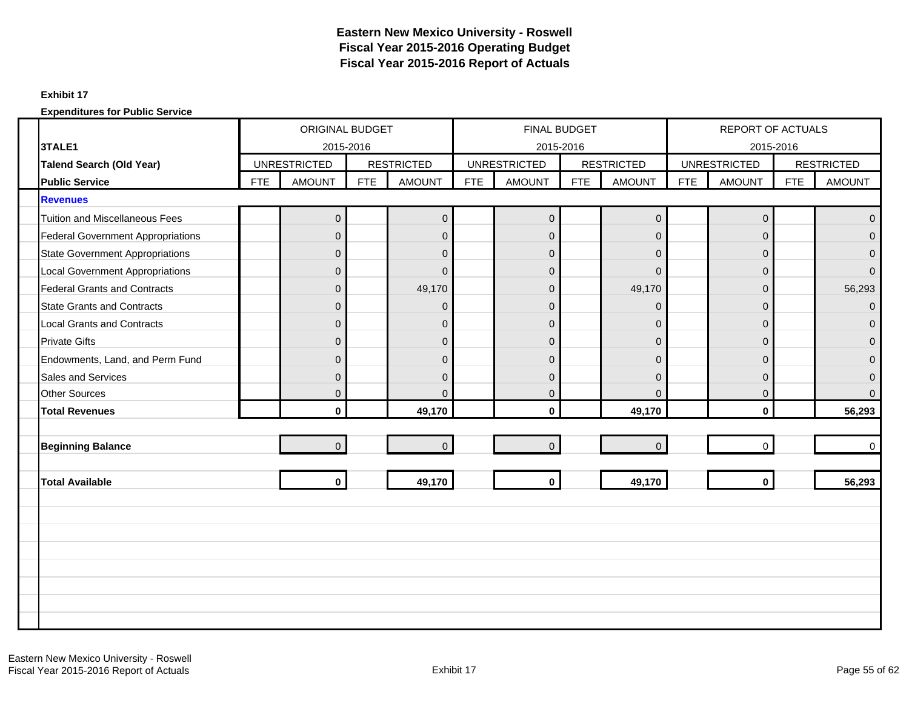#### **Exhibit 17**

|                                          |            | <b>ORIGINAL BUDGET</b> |            |                   |            | FINAL BUDGET        |            |                   |            | <b>REPORT OF ACTUALS</b> |            |                   |
|------------------------------------------|------------|------------------------|------------|-------------------|------------|---------------------|------------|-------------------|------------|--------------------------|------------|-------------------|
| 3TALE1                                   |            | 2015-2016              |            |                   |            |                     | 2015-2016  |                   |            | 2015-2016                |            |                   |
| <b>Talend Search (Old Year)</b>          |            | <b>UNRESTRICTED</b>    |            | <b>RESTRICTED</b> |            | <b>UNRESTRICTED</b> |            | <b>RESTRICTED</b> |            | <b>UNRESTRICTED</b>      |            | <b>RESTRICTED</b> |
| <b>Public Service</b>                    | <b>FTE</b> | <b>AMOUNT</b>          | <b>FTE</b> | <b>AMOUNT</b>     | <b>FTE</b> | <b>AMOUNT</b>       | <b>FTE</b> | <b>AMOUNT</b>     | <b>FTE</b> | <b>AMOUNT</b>            | <b>FTE</b> | <b>AMOUNT</b>     |
| <b>Revenues</b>                          |            |                        |            |                   |            |                     |            |                   |            |                          |            |                   |
| <b>Tuition and Miscellaneous Fees</b>    |            | $\mathbf 0$            |            | $\pmb{0}$         |            | $\mathbf 0$         |            | $\pmb{0}$         |            | $\mathbf 0$              |            | $\Omega$          |
| <b>Federal Government Appropriations</b> |            | $\Omega$               |            | $\mathbf{0}$      |            | $\Omega$            |            | $\mathbf 0$       |            | $\Omega$                 |            | $\Omega$          |
| <b>State Government Appropriations</b>   |            | $\mathbf{0}$           |            | $\mathbf 0$       |            | $\mathbf{0}$        |            | $\overline{0}$    |            | $\mathbf{0}$             |            | $\Omega$          |
| <b>Local Government Appropriations</b>   |            | $\Omega$               |            | $\Omega$          |            | $\mathbf{0}$        |            | $\Omega$          |            | $\overline{0}$           |            | $\Omega$          |
| <b>Federal Grants and Contracts</b>      |            | $\Omega$               |            | 49,170            |            | $\overline{0}$      |            | 49,170            |            | $\mathbf{0}$             |            | 56,293            |
| <b>State Grants and Contracts</b>        |            | $\mathbf{0}$           |            | $\Omega$          |            | $\mathbf{0}$        |            | $\overline{0}$    |            | $\Omega$                 |            | $\Omega$          |
| <b>Local Grants and Contracts</b>        |            | $\overline{0}$         |            | $\pmb{0}$         |            | $\overline{0}$      |            | $\overline{0}$    |            | $\mathbf{0}$             |            | $\Omega$          |
| <b>Private Gifts</b>                     |            | $\Omega$               |            | $\mathbf{0}$      |            | $\Omega$            |            | $\mathbf{0}$      |            | $\Omega$                 |            | $\Omega$          |
| Endowments, Land, and Perm Fund          |            | $\Omega$               |            | $\overline{0}$    |            | $\mathbf{0}$        |            | $\Omega$          |            | $\overline{0}$           |            | $\Omega$          |
| <b>Sales and Services</b>                |            | $\Omega$               |            | $\mathbf{0}$      |            | $\mathbf{0}$        |            | $\Omega$          |            | $\mathbf{0}$             |            | $\Omega$          |
| <b>Other Sources</b>                     |            | $\mathbf{0}$           |            | $\mathbf 0$       |            | $\mathbf{0}$        |            | $\Omega$          |            | $\mathbf{0}$             |            | $\Omega$          |
| <b>Total Revenues</b>                    |            | $\mathbf{0}$           |            | 49,170            |            | $\mathbf{0}$        |            | 49,170            |            | $\mathbf{0}$             |            | 56,293            |
|                                          |            |                        |            |                   |            |                     |            |                   |            |                          |            |                   |
| <b>Beginning Balance</b>                 |            | $\overline{0}$         |            | $\overline{0}$    |            | $\overline{0}$      |            | $\overline{0}$    |            | $\Omega$                 |            | $\Omega$          |
|                                          |            |                        |            |                   |            |                     |            |                   |            |                          |            |                   |
| <b>Total Available</b>                   |            | $\mathbf{0}$           |            | 49,170            |            | $\mathbf 0$         |            | 49,170            |            | $\mathbf{0}$             |            | 56,293            |
|                                          |            |                        |            |                   |            |                     |            |                   |            |                          |            |                   |
|                                          |            |                        |            |                   |            |                     |            |                   |            |                          |            |                   |
|                                          |            |                        |            |                   |            |                     |            |                   |            |                          |            |                   |
|                                          |            |                        |            |                   |            |                     |            |                   |            |                          |            |                   |
|                                          |            |                        |            |                   |            |                     |            |                   |            |                          |            |                   |
|                                          |            |                        |            |                   |            |                     |            |                   |            |                          |            |                   |
|                                          |            |                        |            |                   |            |                     |            |                   |            |                          |            |                   |
|                                          |            |                        |            |                   |            |                     |            |                   |            |                          |            |                   |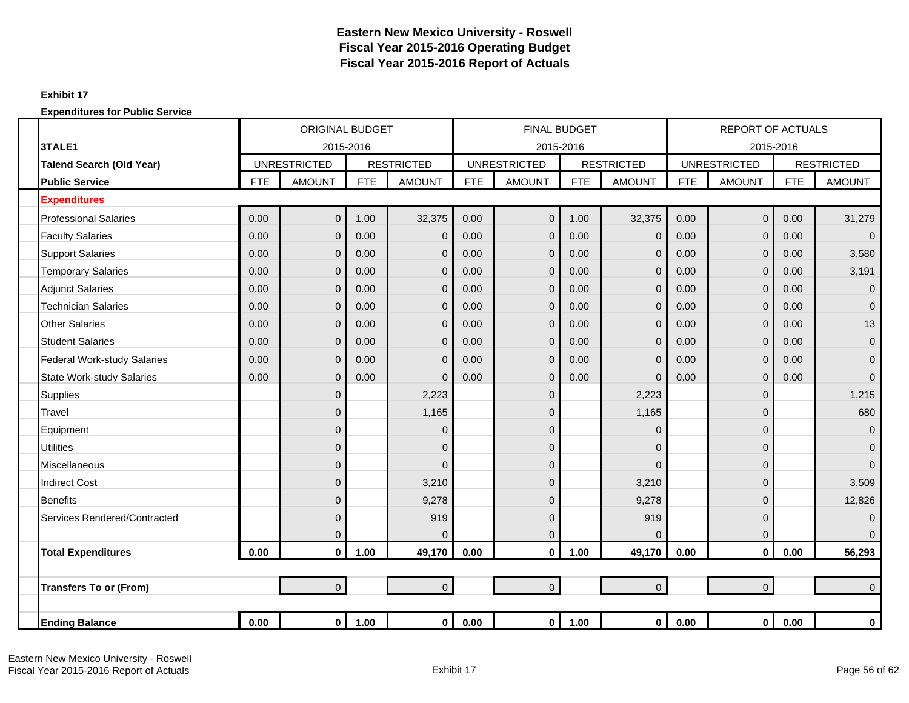#### **Exhibit 17**

|                                    |            | <b>ORIGINAL BUDGET</b> |            |                   |            | <b>FINAL BUDGET</b> |            |                   |            | <b>REPORT OF ACTUALS</b> |            |                   |
|------------------------------------|------------|------------------------|------------|-------------------|------------|---------------------|------------|-------------------|------------|--------------------------|------------|-------------------|
| 3TALE1                             |            | 2015-2016              |            |                   |            | 2015-2016           |            |                   |            | 2015-2016                |            |                   |
| <b>Talend Search (Old Year)</b>    |            | <b>UNRESTRICTED</b>    |            | <b>RESTRICTED</b> |            | <b>UNRESTRICTED</b> |            | <b>RESTRICTED</b> |            | <b>UNRESTRICTED</b>      |            | <b>RESTRICTED</b> |
| <b>Public Service</b>              | <b>FTE</b> | <b>AMOUNT</b>          | <b>FTE</b> | <b>AMOUNT</b>     | <b>FTE</b> | <b>AMOUNT</b>       | <b>FTE</b> | <b>AMOUNT</b>     | <b>FTE</b> | <b>AMOUNT</b>            | <b>FTE</b> | <b>AMOUNT</b>     |
| <b>Expenditures</b>                |            |                        |            |                   |            |                     |            |                   |            |                          |            |                   |
| <b>Professional Salaries</b>       | 0.00       | $\mathbf{0}$           | 1.00       | 32,375            | 0.00       | $\Omega$            | 1.00       | 32,375            | 0.00       | $\overline{0}$           | 0.00       | 31,279            |
| <b>Faculty Salaries</b>            | 0.00       | $\Omega$               | 0.00       | $\mathbf 0$       | 0.00       | $\Omega$            | 0.00       | $\mathbf 0$       | 0.00       | $\overline{0}$           | 0.00       | $\overline{0}$    |
| <b>Support Salaries</b>            | 0.00       | $\mathbf{0}$           | 0.00       | $\overline{0}$    | 0.00       | $\Omega$            | 0.00       | $\Omega$          | 0.00       | $\mathbf 0$              | 0.00       | 3,580             |
| <b>Temporary Salaries</b>          | 0.00       | $\mathbf{0}$           | 0.00       | $\mathbf 0$       | 0.00       | $\mathbf 0$         | 0.00       | $\mathbf{0}$      | 0.00       | $\mathbf 0$              | 0.00       | 3,191             |
| <b>Adjunct Salaries</b>            | 0.00       | $\mathbf{0}$           | 0.00       | $\overline{0}$    | 0.00       | $\mathbf{0}$        | 0.00       | $\mathbf{0}$      | 0.00       | $\mathbf 0$              | 0.00       | $\overline{0}$    |
| <b>Technician Salaries</b>         | 0.00       | $\mathbf{0}$           | 0.00       | $\mathbf 0$       | 0.00       | $\mathbf{0}$        | 0.00       | $\overline{0}$    | 0.00       | $\mathbf 0$              | 0.00       | $\overline{0}$    |
| <b>Other Salaries</b>              | 0.00       | $\overline{0}$         | 0.00       | $\mathbf 0$       | 0.00       | $\Omega$            | 0.00       | $\Omega$          | 0.00       | $\mathbf 0$              | 0.00       | 13                |
| <b>Student Salaries</b>            | 0.00       | $\mathbf{0}$           | 0.00       | $\overline{0}$    | 0.00       | $\Omega$            | 0.00       | $\overline{0}$    | 0.00       | $\overline{0}$           | 0.00       | $\overline{0}$    |
| <b>Federal Work-study Salaries</b> | 0.00       | $\Omega$               | 0.00       | $\Omega$          | 0.00       | $\Omega$            | 0.00       | $\mathbf{0}$      | 0.00       | $\overline{0}$           | 0.00       | $\overline{0}$    |
| <b>State Work-study Salaries</b>   | 0.00       | $\mathbf{0}$           | 0.00       | $\overline{0}$    | 0.00       | $\Omega$            | 0.00       | $\mathbf{0}$      | 0.00       | $\pmb{0}$                | 0.00       | $\overline{0}$    |
| <b>Supplies</b>                    |            | $\mathbf{0}$           |            | 2,223             |            | $\mathbf{0}$        |            | 2,223             |            | $\mathbf 0$              |            | 1,215             |
| Travel                             |            | $\mathbf{0}$           |            | 1,165             |            | $\mathbf 0$         |            | 1,165             |            | $\mathbf 0$              |            | 680               |
| Equipment                          |            | $\Omega$               |            | $\Omega$          |            | $\mathbf{0}$        |            | $\Omega$          |            | $\mathbf{0}$             |            | $\mathbf{0}$      |
| <b>Utilities</b>                   |            | $\Omega$               |            | $\mathbf 0$       |            | $\overline{0}$      |            | $\Omega$          |            | $\mathbf 0$              |            | $\overline{0}$    |
| <b>Miscellaneous</b>               |            | $\mathbf{0}$           |            | $\mathbf 0$       |            | $\mathbf 0$         |            | $\Omega$          |            | $\mathbf 0$              |            | $\overline{0}$    |
| <b>Indirect Cost</b>               |            | $\Omega$               |            | 3,210             |            | $\overline{0}$      |            | 3,210             |            | $\mathbf{0}$             |            | 3,509             |
| <b>Benefits</b>                    |            | $\mathbf{0}$           |            | 9,278             |            | $\pmb{0}$           |            | 9,278             |            | $\pmb{0}$                |            | 12,826            |
| Services Rendered/Contracted       |            | $\mathbf{0}$           |            | 919               |            | 0                   |            | 919               |            | $\mathbf 0$              |            | $\overline{0}$    |
|                                    |            | $\overline{0}$         |            | $\Omega$          |            | $\overline{0}$      |            | $\Omega$          |            | $\mathbf 0$              |            | $\overline{0}$    |
| <b>Total Expenditures</b>          | 0.00       | $\mathbf{0}$           | 1.00       | 49,170            | 0.00       | $\mathbf{0}$        | 1.00       | 49,170            | 0.00       | $\mathbf{0}$             | 0.00       | 56,293            |
|                                    |            |                        |            |                   |            |                     |            |                   |            |                          |            |                   |
| <b>Transfers To or (From)</b>      |            | $\overline{0}$         |            | $\overline{0}$    |            | $\overline{0}$      |            | $\overline{0}$    |            | $\overline{0}$           |            | $\overline{0}$    |
|                                    |            |                        |            |                   |            |                     |            |                   |            |                          |            |                   |
| <b>Ending Balance</b>              | 0.00       | $\mathbf 0$            | 1.00       | $\mathbf 0$       | 0.00       | $\mathbf 0$         | 1.00       | $\mathbf 0$       | 0.00       | 0                        | 0.00       | 0                 |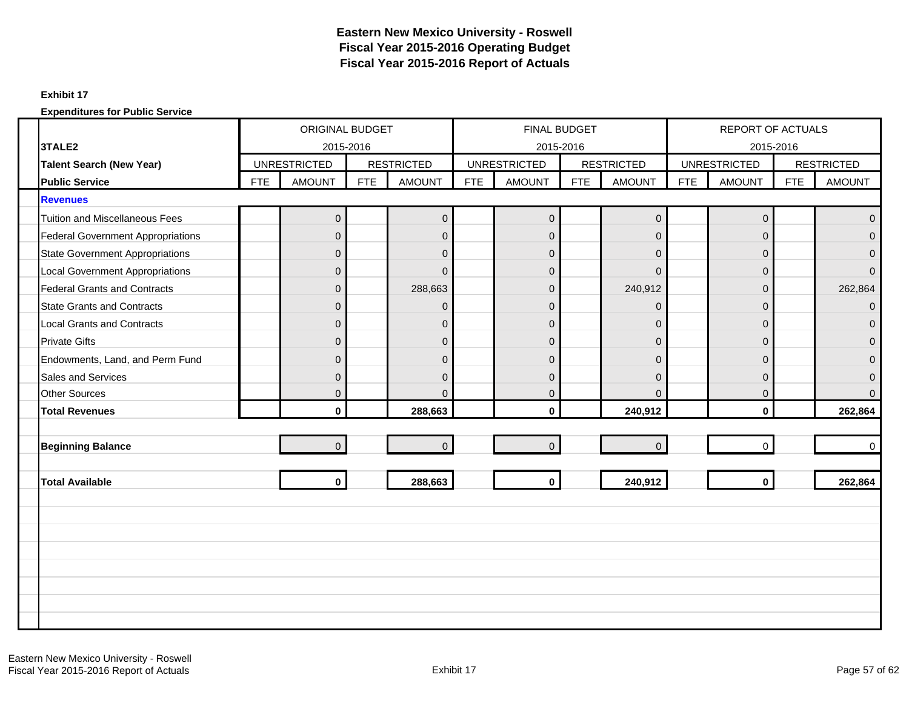#### **Exhibit 17**

|                                          |            | <b>ORIGINAL BUDGET</b> |            |                   |            | FINAL BUDGET        |            |                   |            | <b>REPORT OF ACTUALS</b> |            |                   |
|------------------------------------------|------------|------------------------|------------|-------------------|------------|---------------------|------------|-------------------|------------|--------------------------|------------|-------------------|
| 3TALE2                                   |            | 2015-2016              |            |                   |            | 2015-2016           |            |                   |            | 2015-2016                |            |                   |
| <b>Talent Search (New Year)</b>          |            | <b>UNRESTRICTED</b>    |            | <b>RESTRICTED</b> |            | <b>UNRESTRICTED</b> |            | <b>RESTRICTED</b> |            | <b>UNRESTRICTED</b>      |            | <b>RESTRICTED</b> |
| <b>Public Service</b>                    | <b>FTE</b> | <b>AMOUNT</b>          | <b>FTE</b> | <b>AMOUNT</b>     | <b>FTE</b> | <b>AMOUNT</b>       | <b>FTE</b> | <b>AMOUNT</b>     | <b>FTE</b> | <b>AMOUNT</b>            | <b>FTE</b> | <b>AMOUNT</b>     |
| <b>Revenues</b>                          |            |                        |            |                   |            |                     |            |                   |            |                          |            |                   |
| <b>Tuition and Miscellaneous Fees</b>    |            | $\mathbf 0$            |            | $\boldsymbol{0}$  |            | $\mathbf 0$         |            | $\pmb{0}$         |            | $\mathbf 0$              |            | $\Omega$          |
| <b>Federal Government Appropriations</b> |            | $\Omega$               |            | $\Omega$          |            | $\Omega$            |            | $\Omega$          |            | $\Omega$                 |            | $\Omega$          |
| <b>State Government Appropriations</b>   |            | $\mathbf{0}$           |            | $\mathbf 0$       |            | $\mathbf{0}$        |            | $\overline{0}$    |            | $\mathbf{0}$             |            | $\Omega$          |
| <b>Local Government Appropriations</b>   |            | $\mathbf{0}$           |            | $\mathbf{0}$      |            | $\mathbf{0}$        |            | $\mathbf 0$       |            | $\mathbf 0$              |            | $\Omega$          |
| <b>Federal Grants and Contracts</b>      |            | $\Omega$               |            | 288,663           |            | $\overline{0}$      |            | 240,912           |            | $\Omega$                 |            | 262,864           |
| <b>State Grants and Contracts</b>        |            | $\mathbf{0}$           |            | $\mathbf 0$       |            | $\mathbf 0$         |            | $\overline{0}$    |            | 0                        |            | $\Omega$          |
| <b>Local Grants and Contracts</b>        |            | $\Omega$               |            | $\mathbf 0$       |            | $\overline{0}$      |            | $\overline{0}$    |            | $\mathbf{0}$             |            | $\Omega$          |
| <b>Private Gifts</b>                     |            | $\mathbf{0}$           |            | $\mathbf{0}$      |            | $\mathbf{0}$        |            | $\mathbf 0$       |            | $\mathbf{0}$             |            | $\Omega$          |
| Endowments, Land, and Perm Fund          |            | $\Omega$               |            | $\Omega$          |            | $\mathbf{0}$        |            | $\Omega$          |            | $\Omega$                 |            | $\Omega$          |
| Sales and Services                       |            | $\mathbf{0}$           |            | $\mathbf{0}$      |            | $\mathbf{0}$        |            | $\overline{0}$    |            | $\mathbf{0}$             |            | $\Omega$          |
| <b>Other Sources</b>                     |            | $\Omega$               |            | $\Omega$          |            | $\mathbf{0}$        |            | $\Omega$          |            | $\mathbf{0}$             |            | $\Omega$          |
| <b>Total Revenues</b>                    |            | $\mathbf{0}$           |            | 288,663           |            | $\mathbf{0}$        |            | 240,912           |            | $\mathbf{0}$             |            | 262,864           |
|                                          |            |                        |            |                   |            |                     |            |                   |            |                          |            |                   |
| <b>Beginning Balance</b>                 |            | $\overline{0}$         |            | $\overline{0}$    |            | $\overline{0}$      |            | $\mathbf{0}$      |            | $\Omega$                 |            | $\Omega$          |
|                                          |            |                        |            |                   |            |                     |            |                   |            |                          |            |                   |
| <b>Total Available</b>                   |            | $\mathbf 0$            |            | 288,663           |            | $\mathbf 0$         |            | 240,912           |            | $\mathbf{0}$             |            | 262,864           |
|                                          |            |                        |            |                   |            |                     |            |                   |            |                          |            |                   |
|                                          |            |                        |            |                   |            |                     |            |                   |            |                          |            |                   |
|                                          |            |                        |            |                   |            |                     |            |                   |            |                          |            |                   |
|                                          |            |                        |            |                   |            |                     |            |                   |            |                          |            |                   |
|                                          |            |                        |            |                   |            |                     |            |                   |            |                          |            |                   |
|                                          |            |                        |            |                   |            |                     |            |                   |            |                          |            |                   |
|                                          |            |                        |            |                   |            |                     |            |                   |            |                          |            |                   |
|                                          |            |                        |            |                   |            |                     |            |                   |            |                          |            |                   |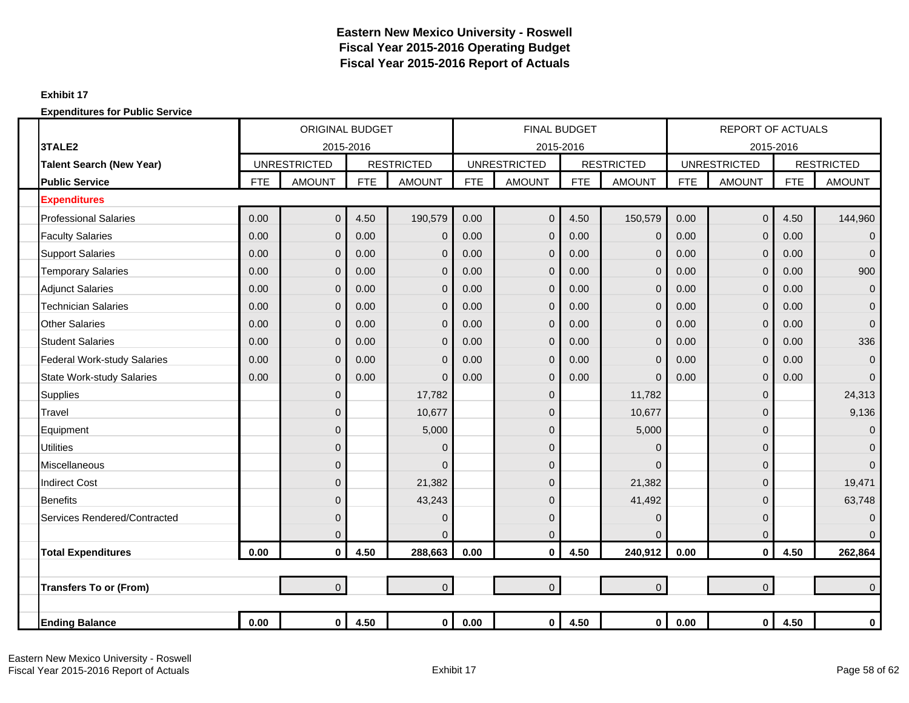#### **Exhibit 17**

|                                    |            | <b>ORIGINAL BUDGET</b> |            |                   |            | <b>FINAL BUDGET</b> |            |                   |            | <b>REPORT OF ACTUALS</b> |            |                   |
|------------------------------------|------------|------------------------|------------|-------------------|------------|---------------------|------------|-------------------|------------|--------------------------|------------|-------------------|
| 3TALE2                             |            | 2015-2016              |            |                   |            | 2015-2016           |            |                   |            | 2015-2016                |            |                   |
| <b>Talent Search (New Year)</b>    |            | <b>UNRESTRICTED</b>    |            | <b>RESTRICTED</b> |            | <b>UNRESTRICTED</b> |            | <b>RESTRICTED</b> |            | <b>UNRESTRICTED</b>      |            | <b>RESTRICTED</b> |
| <b>Public Service</b>              | <b>FTE</b> | <b>AMOUNT</b>          | <b>FTE</b> | <b>AMOUNT</b>     | <b>FTE</b> | <b>AMOUNT</b>       | <b>FTE</b> | <b>AMOUNT</b>     | <b>FTE</b> | <b>AMOUNT</b>            | <b>FTE</b> | <b>AMOUNT</b>     |
| <b>Expenditures</b>                |            |                        |            |                   |            |                     |            |                   |            |                          |            |                   |
| <b>Professional Salaries</b>       | 0.00       | $\overline{0}$         | 4.50       | 190,579           | 0.00       | $\overline{0}$      | 4.50       | 150,579           | 0.00       | $\mathbf 0$              | 4.50       | 144,960           |
| <b>Faculty Salaries</b>            | 0.00       | $\overline{0}$         | 0.00       | $\mathbf 0$       | 0.00       | $\overline{0}$      | 0.00       | 0                 | 0.00       | $\mathbf 0$              | 0.00       | $\overline{0}$    |
| <b>Support Salaries</b>            | 0.00       | $\mathbf{0}$           | 0.00       | $\mathbf 0$       | 0.00       | 0                   | 0.00       | $\overline{0}$    | 0.00       | $\mathbf 0$              | 0.00       | $\mathbf 0$       |
| <b>Temporary Salaries</b>          | 0.00       | $\overline{0}$         | 0.00       | $\mathbf 0$       | 0.00       | $\Omega$            | 0.00       | $\mathbf{0}$      | 0.00       | $\overline{0}$           | 0.00       | 900               |
| <b>Adjunct Salaries</b>            | 0.00       | $\overline{0}$         | 0.00       | $\Omega$          | 0.00       | $\mathbf{0}$        | 0.00       | $\Omega$          | 0.00       | $\overline{0}$           | 0.00       | $\mathbf{0}$      |
| <b>Technician Salaries</b>         | 0.00       | $\mathbf{0}$           | 0.00       | $\Omega$          | 0.00       | $\mathbf{0}$        | 0.00       | 0                 | 0.00       | $\mathbf 0$              | 0.00       | $\overline{0}$    |
| <b>Other Salaries</b>              | 0.00       | $\mathbf{0}$           | 0.00       | $\mathbf 0$       | 0.00       | $\overline{0}$      | 0.00       | $\overline{0}$    | 0.00       | $\mathbf 0$              | 0.00       | $\overline{0}$    |
| <b>Student Salaries</b>            | 0.00       | $\overline{0}$         | 0.00       | $\mathbf 0$       | 0.00       | $\Omega$            | 0.00       | 0                 | 0.00       | $\mathbf 0$              | 0.00       | 336               |
| <b>Federal Work-study Salaries</b> | 0.00       | $\overline{0}$         | 0.00       | $\Omega$          | 0.00       | $\Omega$            | 0.00       | $\Omega$          | 0.00       | $\overline{0}$           | 0.00       | $\overline{0}$    |
| <b>State Work-study Salaries</b>   | 0.00       | $\mathbf 0$            | 0.00       | $\Omega$          | 0.00       | $\mathbf{0}$        | 0.00       | $\overline{0}$    | 0.00       | $\mathbf 0$              | 0.00       | $\overline{0}$    |
| <b>Supplies</b>                    |            | $\mathbf{0}$           |            | 17,782            |            | 0                   |            | 11,782            |            | $\mathbf 0$              |            | 24,313            |
| Travel                             |            | $\overline{0}$         |            | 10,677            |            | $\mathbf{0}$        |            | 10,677            |            | $\Omega$                 |            | 9,136             |
| Equipment                          |            | $\overline{0}$         |            | 5,000             |            | $\overline{0}$      |            | 5,000             |            | $\mathbf 0$              |            | $\Omega$          |
| <b>Utilities</b>                   |            | $\overline{0}$         |            | $\Omega$          |            | $\overline{0}$      |            | $\Omega$          |            | $\mathbf 0$              |            | $\overline{0}$    |
| Miscellaneous                      |            | $\mathbf 0$            |            | $\mathbf 0$       |            | $\mathbf{0}$        |            | $\Omega$          |            | $\overline{0}$           |            | $\overline{0}$    |
| <b>Indirect Cost</b>               |            | $\Omega$               |            | 21,382            |            | $\mathbf{0}$        |            | 21,382            |            | $\Omega$                 |            | 19,471            |
| <b>Benefits</b>                    |            | $\overline{0}$         |            | 43,243            |            | $\mathbf 0$         |            | 41,492            |            | $\mathbf 0$              |            | 63,748            |
| Services Rendered/Contracted       |            | $\overline{0}$         |            | $\mathbf 0$       |            | $\mathbf{0}$        |            | 0                 |            | $\mathbf 0$              |            | $\overline{0}$    |
|                                    |            | 0                      |            | $\overline{0}$    |            | 0                   |            | $\Omega$          |            | $\mathbf 0$              |            | $\overline{0}$    |
| <b>Total Expenditures</b>          | 0.00       | 0                      | 4.50       | 288,663           | 0.00       | $\bf{0}$            | 4.50       | 240,912           | 0.00       | $\mathbf 0$              | 4.50       | 262,864           |
|                                    |            |                        |            |                   |            |                     |            |                   |            |                          |            |                   |
| <b>Transfers To or (From)</b>      |            | $\overline{0}$         |            | $\overline{0}$    |            | $\overline{0}$      |            | $\overline{0}$    |            | $\mathbf 0$              |            | $\overline{0}$    |
|                                    |            |                        |            |                   |            |                     |            |                   |            |                          |            |                   |
| <b>Ending Balance</b>              | 0.00       | $\overline{0}$         | 4.50       | $\mathbf{0}$      | 0.00       | $\mathbf 0$         | 4.50       | $\mathbf{0}$      | 0.00       | 0                        | 4.50       | 0                 |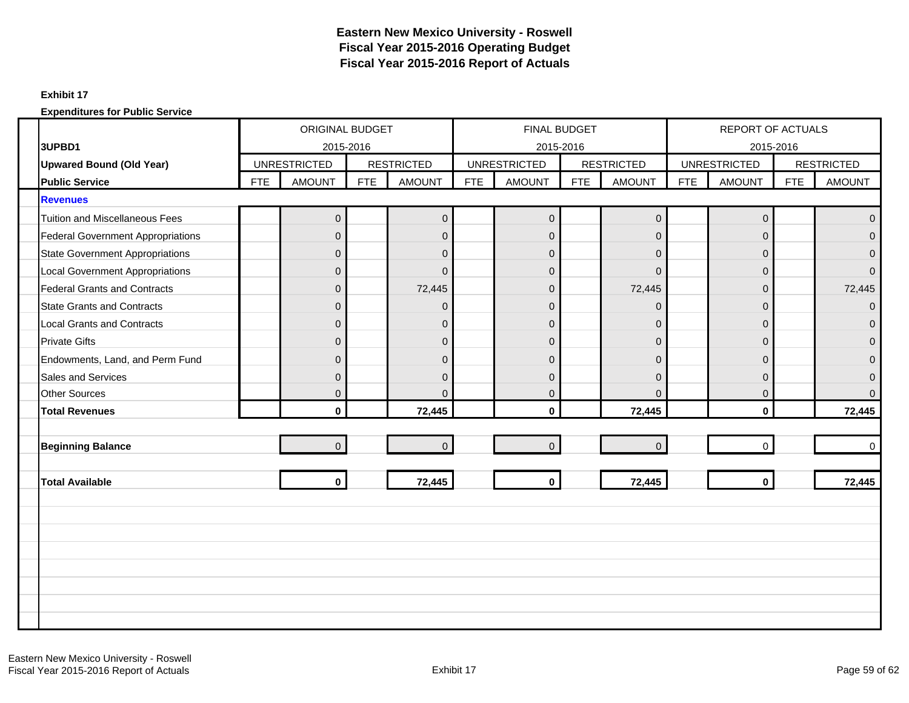#### **Exhibit 17**

|                                          |            | <b>ORIGINAL BUDGET</b> |            |                   |            | FINAL BUDGET        |            |                   |            | REPORT OF ACTUALS   |            |                   |
|------------------------------------------|------------|------------------------|------------|-------------------|------------|---------------------|------------|-------------------|------------|---------------------|------------|-------------------|
| 3UPBD1                                   |            | 2015-2016              |            |                   |            | 2015-2016           |            |                   |            | 2015-2016           |            |                   |
| <b>Upwared Bound (Old Year)</b>          |            | <b>UNRESTRICTED</b>    |            | <b>RESTRICTED</b> |            | <b>UNRESTRICTED</b> |            | <b>RESTRICTED</b> |            | <b>UNRESTRICTED</b> |            | <b>RESTRICTED</b> |
| <b>Public Service</b>                    | <b>FTE</b> | <b>AMOUNT</b>          | <b>FTE</b> | <b>AMOUNT</b>     | <b>FTE</b> | <b>AMOUNT</b>       | <b>FTE</b> | <b>AMOUNT</b>     | <b>FTE</b> | <b>AMOUNT</b>       | <b>FTE</b> | <b>AMOUNT</b>     |
| <b>Revenues</b>                          |            |                        |            |                   |            |                     |            |                   |            |                     |            |                   |
| <b>Tuition and Miscellaneous Fees</b>    |            | $\mathbf 0$            |            | $\pmb{0}$         |            | $\mathbf 0$         |            | $\pmb{0}$         |            | $\mathbf 0$         |            | $\Omega$          |
| <b>Federal Government Appropriations</b> |            | $\Omega$               |            | $\overline{0}$    |            | $\Omega$            |            | $\mathbf 0$       |            | $\Omega$            |            | $\Omega$          |
| <b>State Government Appropriations</b>   |            | $\mathbf{0}$           |            | $\mathbf 0$       |            | $\mathbf{0}$        |            | $\mathbf 0$       |            | $\mathbf{0}$        |            | $\Omega$          |
| <b>Local Government Appropriations</b>   |            | $\Omega$               |            | $\Omega$          |            | $\mathbf{0}$        |            | $\Omega$          |            | $\overline{0}$      |            | $\Omega$          |
| <b>Federal Grants and Contracts</b>      |            | $\Omega$               |            | 72,445            |            | $\overline{0}$      |            | 72,445            |            | $\overline{0}$      |            | 72,445            |
| <b>State Grants and Contracts</b>        |            | $\mathbf{0}$           |            | $\Omega$          |            | $\mathbf{0}$        |            | $\overline{0}$    |            | $\Omega$            |            | $\Omega$          |
| <b>Local Grants and Contracts</b>        |            | $\overline{0}$         |            | $\mathbf 0$       |            | $\overline{0}$      |            | $\overline{0}$    |            | $\mathbf{0}$        |            | $\Omega$          |
| <b>Private Gifts</b>                     |            | $\Omega$               |            | $\mathbf{0}$      |            | $\mathbf{0}$        |            | $\mathbf{0}$      |            | $\Omega$            |            | $\Omega$          |
| Endowments, Land, and Perm Fund          |            | $\Omega$               |            | $\overline{0}$    |            | $\mathbf{0}$        |            | $\Omega$          |            | $\overline{0}$      |            | $\Omega$          |
| <b>Sales and Services</b>                |            | $\Omega$               |            | $\overline{0}$    |            | $\mathbf{0}$        |            | $\Omega$          |            | $\mathbf{0}$        |            | $\Omega$          |
| <b>Other Sources</b>                     |            | $\mathbf{0}$           |            | $\Omega$          |            | $\mathbf{0}$        |            | $\Omega$          |            | $\mathbf{0}$        |            | $\Omega$          |
| <b>Total Revenues</b>                    |            | $\mathbf{0}$           |            | 72,445            |            | $\mathbf{0}$        |            | 72,445            |            | $\mathbf{0}$        |            | 72,445            |
|                                          |            |                        |            |                   |            |                     |            |                   |            |                     |            |                   |
| <b>Beginning Balance</b>                 |            | $\overline{0}$         |            | $\overline{0}$    |            | $\overline{0}$      |            | $\overline{0}$    |            | $\Omega$            |            | $\Omega$          |
|                                          |            |                        |            |                   |            |                     |            |                   |            |                     |            |                   |
| <b>Total Available</b>                   |            | $\mathbf{0}$           |            | 72,445            |            | $\mathbf 0$         |            | 72,445            |            | $\mathbf{0}$        |            | 72,445            |
|                                          |            |                        |            |                   |            |                     |            |                   |            |                     |            |                   |
|                                          |            |                        |            |                   |            |                     |            |                   |            |                     |            |                   |
|                                          |            |                        |            |                   |            |                     |            |                   |            |                     |            |                   |
|                                          |            |                        |            |                   |            |                     |            |                   |            |                     |            |                   |
|                                          |            |                        |            |                   |            |                     |            |                   |            |                     |            |                   |
|                                          |            |                        |            |                   |            |                     |            |                   |            |                     |            |                   |
|                                          |            |                        |            |                   |            |                     |            |                   |            |                     |            |                   |
|                                          |            |                        |            |                   |            |                     |            |                   |            |                     |            |                   |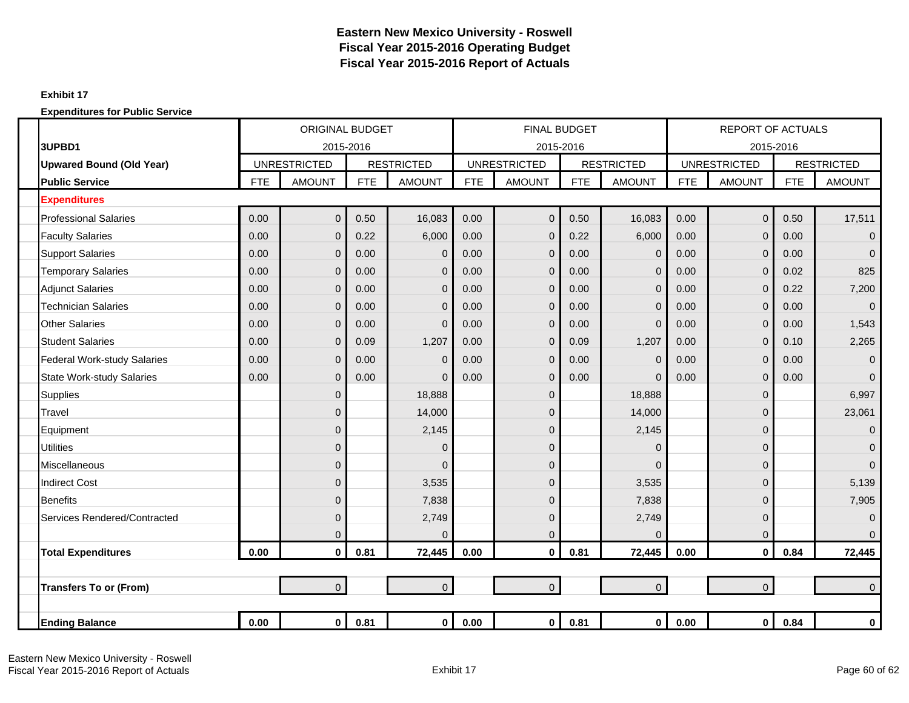#### **Exhibit 17**

|                                    |            | <b>ORIGINAL BUDGET</b> |            |                   |            | <b>FINAL BUDGET</b> |            |                   |            | <b>REPORT OF ACTUALS</b> |            |                   |
|------------------------------------|------------|------------------------|------------|-------------------|------------|---------------------|------------|-------------------|------------|--------------------------|------------|-------------------|
| 3UPBD1                             |            | 2015-2016              |            |                   |            | 2015-2016           |            |                   |            | 2015-2016                |            |                   |
| <b>Upwared Bound (Old Year)</b>    |            | <b>UNRESTRICTED</b>    |            | <b>RESTRICTED</b> |            | <b>UNRESTRICTED</b> |            | <b>RESTRICTED</b> |            | <b>UNRESTRICTED</b>      |            | <b>RESTRICTED</b> |
| <b>Public Service</b>              | <b>FTE</b> | <b>AMOUNT</b>          | <b>FTE</b> | <b>AMOUNT</b>     | <b>FTE</b> | <b>AMOUNT</b>       | <b>FTE</b> | <b>AMOUNT</b>     | <b>FTE</b> | <b>AMOUNT</b>            | <b>FTE</b> | <b>AMOUNT</b>     |
| <b>Expenditures</b>                |            |                        |            |                   |            |                     |            |                   |            |                          |            |                   |
| <b>Professional Salaries</b>       | 0.00       | $\overline{0}$         | 0.50       | 16,083            | 0.00       | $\overline{0}$      | 0.50       | 16,083            | 0.00       | $\overline{0}$           | 0.50       | 17,511            |
| <b>Faculty Salaries</b>            | 0.00       | $\overline{0}$         | 0.22       | 6,000             | 0.00       | 0                   | 0.22       | 6,000             | 0.00       | $\mathbf 0$              | 0.00       | $\overline{0}$    |
| <b>Support Salaries</b>            | 0.00       | $\mathbf{0}$           | 0.00       | $\overline{0}$    | 0.00       | 0                   | 0.00       | $\mathbf{0}$      | 0.00       | $\mathbf 0$              | 0.00       | $\Omega$          |
| <b>Temporary Salaries</b>          | 0.00       | $\mathbf 0$            | 0.00       | $\mathbf 0$       | 0.00       | 0                   | 0.00       | $\mathbf{0}$      | 0.00       | $\mathbf 0$              | 0.02       | 825               |
| <b>Adjunct Salaries</b>            | 0.00       | $\mathbf{0}$           | 0.00       | $\overline{0}$    | 0.00       | $\mathbf{0}$        | 0.00       | $\Omega$          | 0.00       | $\mathbf 0$              | 0.22       | 7,200             |
| <b>Technician Salaries</b>         | 0.00       | $\mathbf{0}$           | 0.00       | $\Omega$          | 0.00       | 0                   | 0.00       | $\Omega$          | 0.00       | $\Omega$                 | 0.00       | $\Omega$          |
| <b>Other Salaries</b>              | 0.00       | $\overline{0}$         | 0.00       | $\overline{0}$    | 0.00       | $\overline{0}$      | 0.00       | $\mathbf{0}$      | 0.00       | $\mathbf 0$              | 0.00       | 1,543             |
| <b>Student Salaries</b>            | 0.00       | $\mathbf 0$            | 0.09       | 1,207             | 0.00       | 0                   | 0.09       | 1,207             | 0.00       | $\mathbf 0$              | 0.10       | 2,265             |
| <b>Federal Work-study Salaries</b> | 0.00       | $\mathbf{0}$           | 0.00       | $\overline{0}$    | 0.00       | 0                   | 0.00       | $\overline{0}$    | 0.00       | $\mathbf 0$              | 0.00       | $\overline{0}$    |
| <b>State Work-study Salaries</b>   | 0.00       | $\mathbf{0}$           | 0.00       | $\Omega$          | 0.00       | 0                   | 0.00       | $\Omega$          | 0.00       | $\mathbf 0$              | 0.00       | $\Omega$          |
| <b>Supplies</b>                    |            | $\mathbf{0}$           |            | 18,888            |            | 0                   |            | 18,888            |            | $\mathbf 0$              |            | 6,997             |
| Travel                             |            | $\mathbf{0}$           |            | 14,000            |            | 0                   |            | 14,000            |            | 0                        |            | 23,061            |
| Equipment                          |            | $\mathbf 0$            |            | 2,145             |            | 0                   |            | 2,145             |            | 0                        |            | $\mathbf{0}$      |
| <b>Utilities</b>                   |            | $\mathbf 0$            |            | $\overline{0}$    |            | 0                   |            | $\Omega$          |            | $\mathbf{0}$             |            | $\overline{0}$    |
| <b>Miscellaneous</b>               |            | $\overline{0}$         |            | $\Omega$          |            | 0                   |            | $\Omega$          |            | $\mathbf 0$              |            | $\Omega$          |
| <b>Indirect Cost</b>               |            | $\overline{0}$         |            | 3,535             |            | $\overline{0}$      |            | 3,535             |            | 0                        |            | 5,139             |
| <b>Benefits</b>                    |            | $\overline{0}$         |            | 7,838             |            | 0                   |            | 7,838             |            | $\mathbf 0$              |            | 7,905             |
| Services Rendered/Contracted       |            | $\mathbf 0$            |            | 2,749             |            | 0                   |            | 2,749             |            | $\mathbf 0$              |            | $\mathbf{0}$      |
|                                    |            | 0                      |            | $\Omega$          |            | 0                   |            | $\mathbf{0}$      |            | $\pmb{0}$                |            | $\Omega$          |
| <b>Total Expenditures</b>          | 0.00       | $\mathbf{0}$           | 0.81       | 72,445            | 0.00       | $\mathbf{0}$        | 0.81       | 72,445            | 0.00       | $\mathbf{0}$             | 0.84       | 72,445            |
|                                    |            |                        |            |                   |            |                     |            |                   |            |                          |            |                   |
| <b>Transfers To or (From)</b>      |            | $\overline{0}$         |            | $\overline{0}$    |            | $\overline{0}$      |            | $\overline{0}$    |            | $\overline{0}$           |            | $\Omega$          |
|                                    |            |                        |            |                   |            |                     |            |                   |            |                          |            |                   |
| <b>Ending Balance</b>              | 0.00       | $\mathbf 0$            | 0.81       | $\mathbf 0$       | 0.00       | $\mathbf{0}$        | 0.81       | $\mathbf 0$       | 0.00       | $\mathbf 0$              | 0.84       | $\bf{0}$          |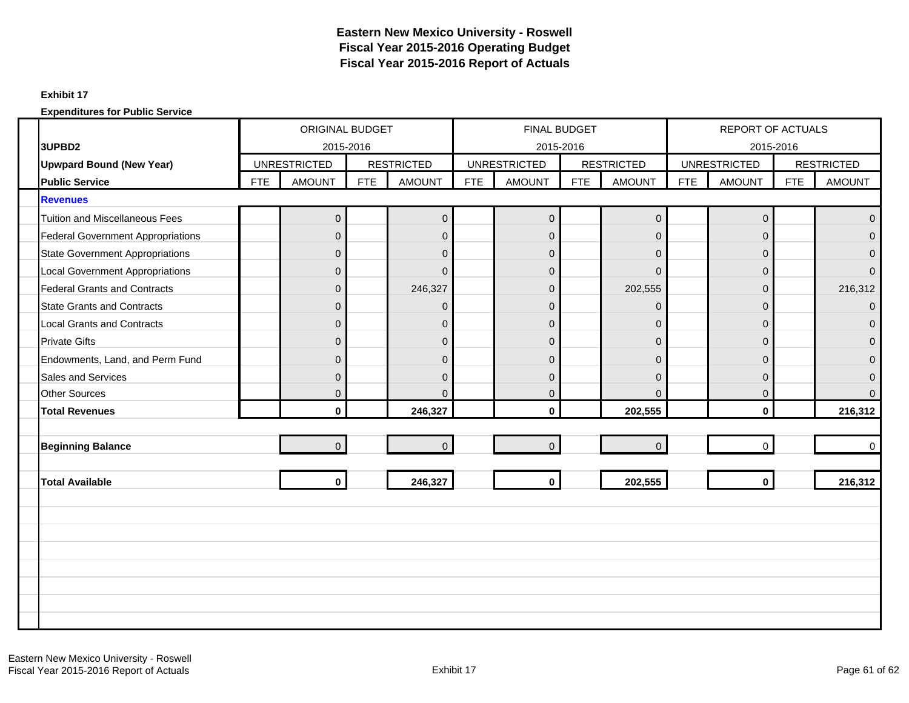#### **Exhibit 17**

|                                          |            | <b>ORIGINAL BUDGET</b> |            |                   |            | FINAL BUDGET        |            |                   |            | <b>REPORT OF ACTUALS</b> |            |                   |
|------------------------------------------|------------|------------------------|------------|-------------------|------------|---------------------|------------|-------------------|------------|--------------------------|------------|-------------------|
| 3UPBD2                                   |            | 2015-2016              |            |                   |            | 2015-2016           |            |                   |            | 2015-2016                |            |                   |
| <b>Upwpard Bound (New Year)</b>          |            | <b>UNRESTRICTED</b>    |            | <b>RESTRICTED</b> |            | <b>UNRESTRICTED</b> |            | <b>RESTRICTED</b> |            | <b>UNRESTRICTED</b>      |            | <b>RESTRICTED</b> |
| <b>Public Service</b>                    | <b>FTE</b> | <b>AMOUNT</b>          | <b>FTE</b> | <b>AMOUNT</b>     | <b>FTE</b> | <b>AMOUNT</b>       | <b>FTE</b> | <b>AMOUNT</b>     | <b>FTE</b> | <b>AMOUNT</b>            | <b>FTE</b> | <b>AMOUNT</b>     |
| <b>Revenues</b>                          |            |                        |            |                   |            |                     |            |                   |            |                          |            |                   |
| <b>Tuition and Miscellaneous Fees</b>    |            | $\mathbf 0$            |            | $\pmb{0}$         |            | $\mathbf 0$         |            | $\pmb{0}$         |            | $\mathsf 0$              |            | $\Omega$          |
| <b>Federal Government Appropriations</b> |            | $\Omega$               |            | $\overline{0}$    |            | $\Omega$            |            | $\mathbf 0$       |            | $\Omega$                 |            | $\Omega$          |
| <b>State Government Appropriations</b>   |            | $\mathbf{0}$           |            | $\mathbf 0$       |            | $\mathbf{0}$        |            | $\mathbf 0$       |            | $\mathbf{0}$             |            | $\Omega$          |
| <b>Local Government Appropriations</b>   |            | $\Omega$               |            | $\Omega$          |            | $\Omega$            |            | $\Omega$          |            | $\mathbf{0}$             |            |                   |
| <b>Federal Grants and Contracts</b>      |            | $\Omega$               |            | 246,327           |            | $\overline{0}$      |            | 202,555           |            | $\Omega$                 |            | 216,312           |
| <b>State Grants and Contracts</b>        |            | $\mathbf{0}$           |            | $\Omega$          |            | $\mathbf{0}$        |            | $\mathbf 0$       |            | $\Omega$                 |            | $\Omega$          |
| <b>Local Grants and Contracts</b>        |            | $\overline{0}$         |            | $\mathbf{0}$      |            | $\overline{0}$      |            | $\overline{0}$    |            | $\overline{0}$           |            | $\Omega$          |
| <b>Private Gifts</b>                     |            | $\Omega$               |            | $\mathbf{0}$      |            | $\Omega$            |            | $\Omega$          |            | $\Omega$                 |            | $\Omega$          |
| Endowments, Land, and Perm Fund          |            | $\Omega$               |            | $\overline{0}$    |            | $\mathbf{0}$        |            | $\Omega$          |            | $\mathbf{0}$             |            | $\Omega$          |
| <b>Sales and Services</b>                |            | $\Omega$               |            | $\mathbf{0}$      |            | $\Omega$            |            | $\Omega$          |            | $\mathbf{0}$             |            | $\Omega$          |
| <b>Other Sources</b>                     |            | $\overline{0}$         |            | $\Omega$          |            | $\mathbf{0}$        |            | $\Omega$          |            | $\mathbf{0}$             |            | $\Omega$          |
| <b>Total Revenues</b>                    |            | $\mathbf{0}$           |            | 246,327           |            | $\mathbf{0}$        |            | 202,555           |            | $\mathbf{0}$             |            | 216,312           |
|                                          |            |                        |            |                   |            |                     |            |                   |            |                          |            |                   |
| <b>Beginning Balance</b>                 |            | $\overline{0}$         |            | $\overline{0}$    |            | $\overline{0}$      |            | $\overline{0}$    |            | $\Omega$                 |            | $\Omega$          |
|                                          |            |                        |            |                   |            |                     |            |                   |            |                          |            |                   |
| <b>Total Available</b>                   |            | $\mathbf{0}$           |            | 246,327           |            | $\mathbf 0$         |            | 202,555           |            | $\mathbf{0}$             |            | 216,312           |
|                                          |            |                        |            |                   |            |                     |            |                   |            |                          |            |                   |
|                                          |            |                        |            |                   |            |                     |            |                   |            |                          |            |                   |
|                                          |            |                        |            |                   |            |                     |            |                   |            |                          |            |                   |
|                                          |            |                        |            |                   |            |                     |            |                   |            |                          |            |                   |
|                                          |            |                        |            |                   |            |                     |            |                   |            |                          |            |                   |
|                                          |            |                        |            |                   |            |                     |            |                   |            |                          |            |                   |
|                                          |            |                        |            |                   |            |                     |            |                   |            |                          |            |                   |
|                                          |            |                        |            |                   |            |                     |            |                   |            |                          |            |                   |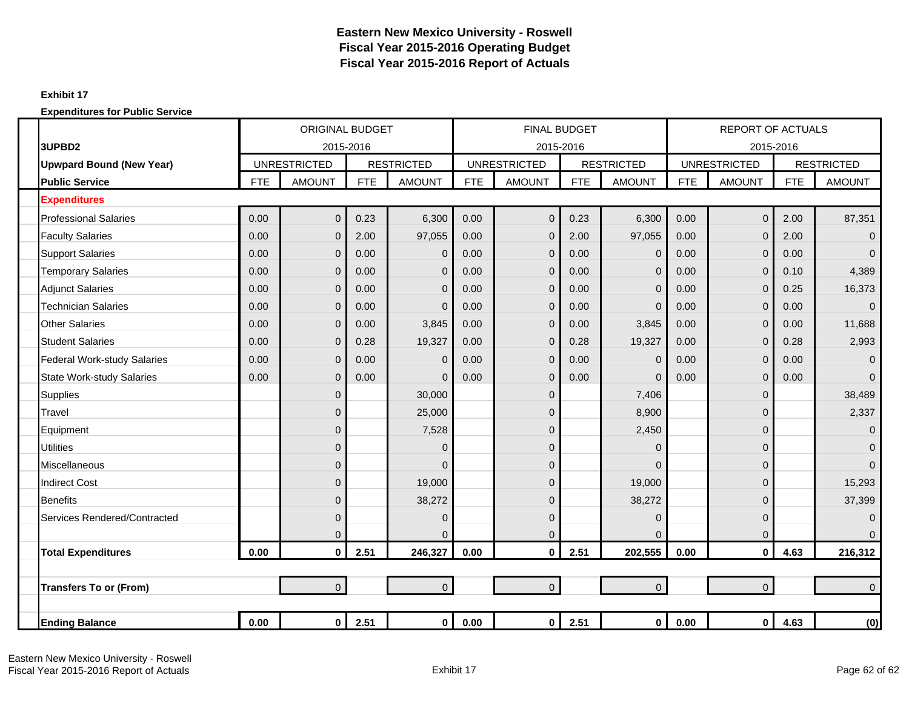#### **Exhibit 17**

|                                    |            | <b>ORIGINAL BUDGET</b> |            |                   |            | <b>FINAL BUDGET</b> |            |                   |            | <b>REPORT OF ACTUALS</b> |            |                   |
|------------------------------------|------------|------------------------|------------|-------------------|------------|---------------------|------------|-------------------|------------|--------------------------|------------|-------------------|
| 3UPBD2                             |            | 2015-2016              |            |                   |            | 2015-2016           |            |                   |            | 2015-2016                |            |                   |
| <b>Upwpard Bound (New Year)</b>    |            | <b>UNRESTRICTED</b>    |            | <b>RESTRICTED</b> |            | <b>UNRESTRICTED</b> |            | <b>RESTRICTED</b> |            | <b>UNRESTRICTED</b>      |            | <b>RESTRICTED</b> |
| <b>Public Service</b>              | <b>FTE</b> | <b>AMOUNT</b>          | <b>FTE</b> | <b>AMOUNT</b>     | <b>FTE</b> | <b>AMOUNT</b>       | <b>FTE</b> | <b>AMOUNT</b>     | <b>FTE</b> | <b>AMOUNT</b>            | <b>FTE</b> | <b>AMOUNT</b>     |
| <b>Expenditures</b>                |            |                        |            |                   |            |                     |            |                   |            |                          |            |                   |
| <b>Professional Salaries</b>       | 0.00       | $\overline{0}$         | 0.23       | 6,300             | 0.00       | $\overline{0}$      | 0.23       | 6,300             | 0.00       | $\overline{0}$           | 2.00       | 87,351            |
| <b>Faculty Salaries</b>            | 0.00       | $\mathbf{0}$           | 2.00       | 97,055            | 0.00       | 0                   | 2.00       | 97,055            | 0.00       | $\mathbf 0$              | 2.00       | $\overline{0}$    |
| <b>Support Salaries</b>            | 0.00       | $\mathbf{0}$           | 0.00       | $\overline{0}$    | 0.00       | 0                   | 0.00       | $\mathbf{0}$      | 0.00       | $\mathbf 0$              | 0.00       | $\Omega$          |
| <b>Temporary Salaries</b>          | 0.00       | $\mathbf 0$            | 0.00       | $\mathbf 0$       | 0.00       | 0                   | 0.00       | $\mathbf{0}$      | 0.00       | $\mathbf 0$              | 0.10       | 4,389             |
| <b>Adjunct Salaries</b>            | 0.00       | $\mathbf{0}$           | 0.00       | $\overline{0}$    | 0.00       | $\mathbf{0}$        | 0.00       | $\Omega$          | 0.00       | $\mathbf 0$              | 0.25       | 16,373            |
| <b>Technician Salaries</b>         | 0.00       | $\mathbf{0}$           | 0.00       | $\Omega$          | 0.00       | 0                   | 0.00       | $\Omega$          | 0.00       | $\Omega$                 | 0.00       | $\Omega$          |
| <b>Other Salaries</b>              | 0.00       | $\overline{0}$         | 0.00       | 3,845             | 0.00       | 0                   | 0.00       | 3,845             | 0.00       | $\mathbf 0$              | 0.00       | 11,688            |
| <b>Student Salaries</b>            | 0.00       | $\mathbf 0$            | 0.28       | 19,327            | 0.00       | 0                   | 0.28       | 19,327            | 0.00       | $\mathbf 0$              | 0.28       | 2,993             |
| <b>Federal Work-study Salaries</b> | 0.00       | $\mathbf{0}$           | 0.00       | $\overline{0}$    | 0.00       | 0                   | 0.00       | $\mathbf 0$       | 0.00       | $\mathbf 0$              | 0.00       | $\overline{0}$    |
| <b>State Work-study Salaries</b>   | 0.00       | $\overline{0}$         | 0.00       | $\Omega$          | 0.00       | 0                   | 0.00       | $\Omega$          | 0.00       | $\mathbf 0$              | 0.00       | $\Omega$          |
| <b>Supplies</b>                    |            | $\mathbf{0}$           |            | 30,000            |            | 0                   |            | 7,406             |            | $\mathbf 0$              |            | 38,489            |
| Travel                             |            | $\mathbf{0}$           |            | 25,000            |            | 0                   |            | 8,900             |            | 0                        |            | 2,337             |
| Equipment                          |            | $\mathbf 0$            |            | 7,528             |            | 0                   |            | 2,450             |            | 0                        |            | $\overline{0}$    |
| <b>Utilities</b>                   |            | $\mathbf 0$            |            | $\overline{0}$    |            | 0                   |            | $\Omega$          |            | $\mathbf{0}$             |            | $\overline{0}$    |
| <b>Miscellaneous</b>               |            | $\overline{0}$         |            | $\Omega$          |            | 0                   |            | $\Omega$          |            | $\Omega$                 |            | $\Omega$          |
| <b>Indirect Cost</b>               |            | $\overline{0}$         |            | 19,000            |            | $\overline{0}$      |            | 19,000            |            | 0                        |            | 15,293            |
| <b>Benefits</b>                    |            | $\overline{0}$         |            | 38,272            |            | 0                   |            | 38,272            |            | $\mathbf 0$              |            | 37,399            |
| Services Rendered/Contracted       |            | $\mathbf{0}$           |            | $\mathbf 0$       |            | 0                   |            | $\mathbf 0$       |            | $\mathbf 0$              |            | $\mathbf{0}$      |
|                                    |            | 0                      |            | $\Omega$          |            | 0                   |            | $\mathbf{0}$      |            | 0                        |            | $\Omega$          |
| <b>Total Expenditures</b>          | 0.00       | $\mathbf{0}$           | 2.51       | 246,327           | 0.00       | 0                   | 2.51       | 202,555           | 0.00       | $\mathbf{0}$             | 4.63       | 216,312           |
|                                    |            |                        |            |                   |            |                     |            |                   |            |                          |            |                   |
| <b>Transfers To or (From)</b>      |            | $\overline{0}$         |            | $\overline{0}$    |            | $\overline{0}$      |            | $\overline{0}$    |            | $\mathbf 0$              |            | $\Omega$          |
|                                    |            |                        |            |                   |            |                     |            |                   |            |                          |            |                   |
| <b>Ending Balance</b>              | 0.00       | $\mathbf 0$            | 2.51       | $\mathbf 0$       | 0.00       | $\mathbf{0}$        | 2.51       | $\mathbf 0$       | 0.00       | $\mathbf 0$              | 4.63       | (0)               |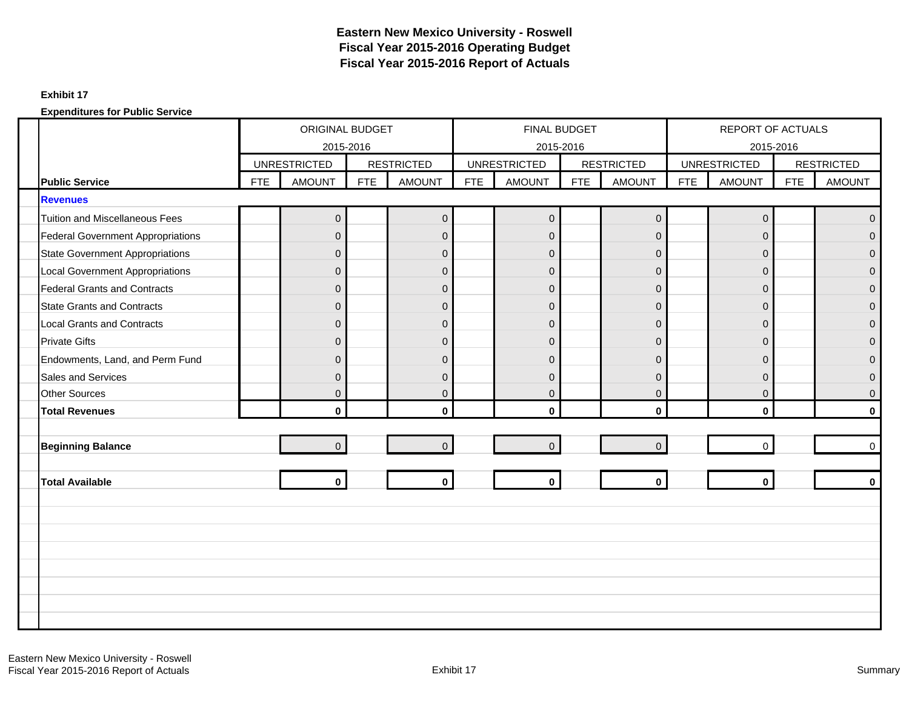#### **Exhibit 17**

|                                          |     | ORIGINAL BUDGET<br>2015-2016 |            |                   |            | FINAL BUDGET<br>2015-2016 |            |                   |            | REPORT OF ACTUALS<br>2015-2016 |            |                   |
|------------------------------------------|-----|------------------------------|------------|-------------------|------------|---------------------------|------------|-------------------|------------|--------------------------------|------------|-------------------|
|                                          |     | <b>UNRESTRICTED</b>          |            | <b>RESTRICTED</b> |            | <b>UNRESTRICTED</b>       |            | <b>RESTRICTED</b> |            | <b>UNRESTRICTED</b>            |            | <b>RESTRICTED</b> |
| <b>Public Service</b>                    | FTE | <b>AMOUNT</b>                | <b>FTE</b> | <b>AMOUNT</b>     | <b>FTE</b> | <b>AMOUNT</b>             | <b>FTE</b> | <b>AMOUNT</b>     | <b>FTE</b> | <b>AMOUNT</b>                  | <b>FTE</b> | <b>AMOUNT</b>     |
| <b>Revenues</b>                          |     |                              |            |                   |            |                           |            |                   |            |                                |            |                   |
| <b>Tuition and Miscellaneous Fees</b>    |     | $\mathbf 0$                  |            | $\mathbf 0$       |            | $\mathbf 0$               |            | $\mathbf 0$       |            | 0                              |            | $\mathbf 0$       |
| <b>Federal Government Appropriations</b> |     | $\overline{0}$               |            | $\mathbf 0$       |            | $\overline{0}$            |            | $\mathbf 0$       |            | 0                              |            | $\mathbf{0}$      |
| <b>State Government Appropriations</b>   |     | $\overline{0}$               |            | $\mathbf 0$       |            | $\overline{0}$            |            | $\overline{0}$    |            | $\overline{0}$                 |            | $\Omega$          |
| <b>Local Government Appropriations</b>   |     | $\mathbf 0$                  |            | $\mathbf 0$       |            | $\mathbf 0$               |            | $\mathbf{0}$      |            | 0                              |            | $\mathbf{0}$      |
| <b>Federal Grants and Contracts</b>      |     | $\overline{0}$               |            | $\overline{0}$    |            | $\overline{0}$            |            | $\overline{0}$    |            | $\overline{0}$                 |            | $\overline{0}$    |
| <b>State Grants and Contracts</b>        |     | $\overline{0}$               |            | $\mathbf{0}$      |            | $\overline{0}$            |            | $\Omega$          |            | $\overline{0}$                 |            | $\mathbf{0}$      |
| <b>Local Grants and Contracts</b>        |     | $\overline{0}$               |            | $\mathbf{0}$      |            | $\Omega$                  |            | $\Omega$          |            | $\overline{0}$                 |            | $\mathbf{0}$      |
| <b>Private Gifts</b>                     |     | $\overline{0}$               |            | $\mathbf{0}$      |            | $\overline{0}$            |            | $\Omega$          |            | $\overline{0}$                 |            | $\overline{0}$    |
| Endowments, Land, and Perm Fund          |     | $\overline{0}$               |            | $\overline{0}$    |            | 0                         |            | $\mathbf{0}$      |            | 0                              |            | $\mathbf{0}$      |
| Sales and Services                       |     | $\overline{0}$               |            | $\mathbf{0}$      |            | $\Omega$                  |            | $\Omega$          |            | $\overline{0}$                 |            | $\Omega$          |
| <b>Other Sources</b>                     |     | $\overline{0}$               |            | $\mathbf{0}$      |            | $\mathbf 0$               |            | $\overline{0}$    |            | $\overline{0}$                 |            | $\mathbf{0}$      |
| <b>Total Revenues</b>                    |     | $\mathbf{0}$                 |            | $\mathbf{0}$      |            | $\bf{0}$                  |            | $\mathbf{0}$      |            | $\mathbf{0}$                   |            | $\bf{0}$          |
|                                          |     |                              |            |                   |            |                           |            |                   |            |                                |            |                   |
| <b>Beginning Balance</b>                 |     | $\overline{0}$               |            | $\overline{0}$    |            | $\mathbf 0$               |            | $\overline{0}$    |            | $\Omega$                       |            | $\mathbf 0$       |
| <b>Total Available</b>                   |     | $\mathbf 0$                  |            | $\mathbf 0$       |            | $\mathbf 0$               |            | $\mathbf 0$       |            | $\bf{0}$                       |            | $\bf{0}$          |
|                                          |     |                              |            |                   |            |                           |            |                   |            |                                |            |                   |
|                                          |     |                              |            |                   |            |                           |            |                   |            |                                |            |                   |
|                                          |     |                              |            |                   |            |                           |            |                   |            |                                |            |                   |
|                                          |     |                              |            |                   |            |                           |            |                   |            |                                |            |                   |
|                                          |     |                              |            |                   |            |                           |            |                   |            |                                |            |                   |
|                                          |     |                              |            |                   |            |                           |            |                   |            |                                |            |                   |
|                                          |     |                              |            |                   |            |                           |            |                   |            |                                |            |                   |
|                                          |     |                              |            |                   |            |                           |            |                   |            |                                |            |                   |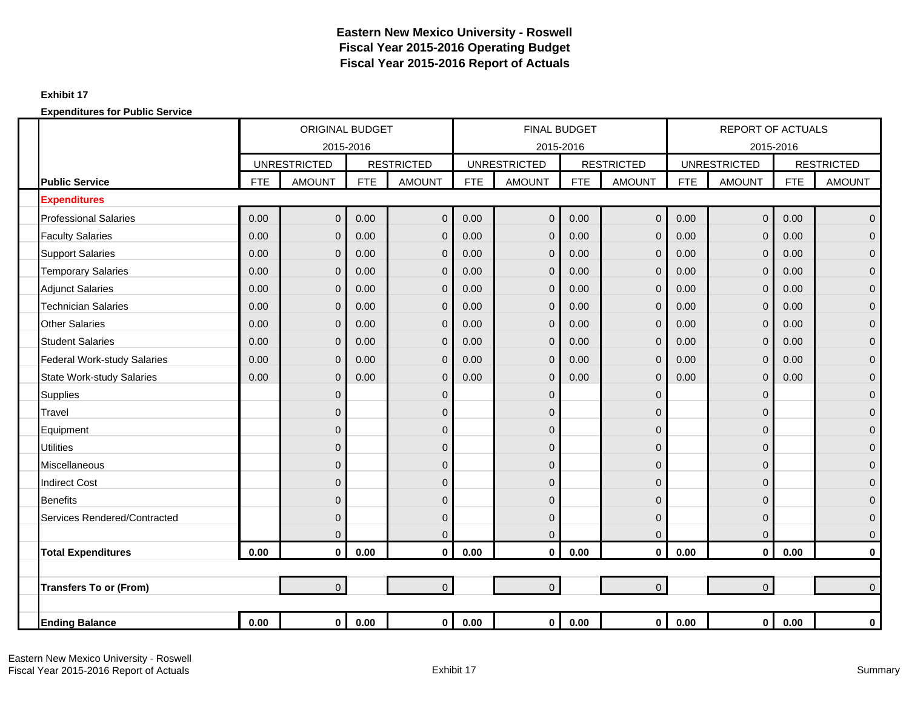### **Exhibit 17**

|                                    |            | <b>ORIGINAL BUDGET</b>           |            |                   |            | <b>FINAL BUDGET</b>              |            |                   |            | <b>REPORT OF ACTUALS</b>         |            |                   |
|------------------------------------|------------|----------------------------------|------------|-------------------|------------|----------------------------------|------------|-------------------|------------|----------------------------------|------------|-------------------|
|                                    |            | 2015-2016<br><b>UNRESTRICTED</b> |            | <b>RESTRICTED</b> |            | 2015-2016<br><b>UNRESTRICTED</b> |            | <b>RESTRICTED</b> |            | 2015-2016<br><b>UNRESTRICTED</b> |            | <b>RESTRICTED</b> |
| <b>Public Service</b>              | <b>FTE</b> | <b>AMOUNT</b>                    | <b>FTE</b> | <b>AMOUNT</b>     | <b>FTE</b> | <b>AMOUNT</b>                    | <b>FTE</b> | <b>AMOUNT</b>     | <b>FTE</b> | <b>AMOUNT</b>                    | <b>FTE</b> | <b>AMOUNT</b>     |
| <b>Expenditures</b>                |            |                                  |            |                   |            |                                  |            |                   |            |                                  |            |                   |
| <b>Professional Salaries</b>       | 0.00       | $\Omega$                         | 0.00       | $\mathbf{0}$      | 0.00       | $\Omega$                         | 0.00       | $\overline{0}$    | 0.00       | $\mathbf{0}$                     | 0.00       | $\overline{0}$    |
| <b>Faculty Salaries</b>            | 0.00       | $\Omega$                         | 0.00       | $\mathbf{0}$      | 0.00       | $\Omega$                         | 0.00       | $\overline{0}$    | 0.00       | $\mathbf 0$                      | 0.00       | $\overline{0}$    |
| <b>Support Salaries</b>            | 0.00       | $\Omega$                         | 0.00       | $\mathbf{0}$      | 0.00       | $\Omega$                         | 0.00       | $\overline{0}$    | 0.00       | $\mathbf{0}$                     | 0.00       | $\overline{0}$    |
| <b>Temporary Salaries</b>          | 0.00       | $\Omega$                         | 0.00       | $\mathbf 0$       | 0.00       | $\overline{0}$                   | 0.00       | $\overline{0}$    | 0.00       | $\mathbf 0$                      | 0.00       | $\overline{0}$    |
| <b>Adjunct Salaries</b>            | 0.00       | $\Omega$                         | 0.00       | $\mathbf 0$       | 0.00       | $\mathbf{0}$                     | 0.00       | $\overline{0}$    | 0.00       | $\mathbf 0$                      | 0.00       | $\overline{0}$    |
| <b>Technician Salaries</b>         | 0.00       | $\mathbf 0$                      | 0.00       | $\mathbf 0$       | 0.00       | 0                                | 0.00       | $\mathbf 0$       | 0.00       | $\mathbf 0$                      | 0.00       | 0                 |
| <b>Other Salaries</b>              | 0.00       | $\Omega$                         | 0.00       | $\mathbf{0}$      | 0.00       | $\Omega$                         | 0.00       | $\overline{0}$    | 0.00       | $\mathbf 0$                      | 0.00       | $\overline{0}$    |
| <b>Student Salaries</b>            | 0.00       | $\Omega$                         | 0.00       | $\mathbf 0$       | 0.00       | $\Omega$                         | 0.00       | $\overline{0}$    | 0.00       | $\overline{0}$                   | 0.00       | $\overline{0}$    |
| <b>Federal Work-study Salaries</b> | 0.00       | $\Omega$                         | 0.00       | $\mathbf{0}$      | 0.00       | $\Omega$                         | 0.00       | $\overline{0}$    | 0.00       | $\mathbf 0$                      | 0.00       | $\overline{0}$    |
| <b>State Work-study Salaries</b>   | 0.00       | $\mathbf{0}$                     | 0.00       | $\mathbf 0$       | 0.00       | $\Omega$                         | 0.00       | $\overline{0}$    | 0.00       | $\pmb{0}$                        | 0.00       | $\overline{0}$    |
| Supplies                           |            | $\mathbf 0$                      |            | $\mathbf 0$       |            | $\mathbf{0}$                     |            | $\mathbf{0}$      |            | $\mathbf 0$                      |            | $\mathbf{0}$      |
| Travel                             |            | $\Omega$                         |            | $\mathbf 0$       |            | $\mathbf{0}$                     |            | 0                 |            | $\mathbf{0}$                     |            | $\mathbf 0$       |
| Equipment                          |            | $\Omega$                         |            | $\mathbf{0}$      |            | 0                                |            | 0                 |            | $\mathbf{0}$                     |            | $\mathbf{0}$      |
| <b>Utilities</b>                   |            | $\Omega$                         |            | $\mathbf 0$       |            | $\mathbf 0$                      |            | $\mathbf{0}$      |            | $\mathbf 0$                      |            | $\overline{0}$    |
| Miscellaneous                      |            | $\mathbf 0$                      |            | $\mathbf{0}$      |            | $\overline{0}$                   |            | 0                 |            | $\overline{0}$                   |            | $\mathbf{0}$      |
| <b>Indirect Cost</b>               |            | $\Omega$                         |            | $\mathbf{0}$      |            | $\overline{0}$                   |            | $\Omega$          |            | 0                                |            | $\overline{0}$    |
| <b>Benefits</b>                    |            | $\mathbf{0}$                     |            | $\mathbf 0$       |            | $\overline{0}$                   |            | $\mathbf{0}$      |            | $\mathbf 0$                      |            | $\mathbf 0$       |
| Services Rendered/Contracted       |            | $\mathbf 0$                      |            | $\mathbf 0$       |            | $\mathbf 0$                      |            | $\mathbf{0}$      |            | $\mathbf 0$                      |            | $\mathbf{0}$      |
|                                    |            | $\Omega$                         |            | $\mathbf 0$       |            | $\overline{0}$                   |            | $\Omega$          |            | $\mathbf 0$                      |            | $\mathbf 0$       |
| <b>Total Expenditures</b>          | 0.00       | $\mathbf{0}$                     | 0.00       | $\mathbf 0$       | 0.00       | $\bf{0}$                         | 0.00       | $\mathbf{0}$      | 0.00       | $\mathbf{0}$                     | 0.00       | $\mathbf 0$       |
|                                    |            |                                  |            |                   |            |                                  |            |                   |            |                                  |            |                   |
| <b>Transfers To or (From)</b>      |            | $\overline{0}$                   |            | $\overline{0}$    |            | $\overline{0}$                   |            | $\overline{0}$    |            | $\overline{0}$                   |            | $\overline{0}$    |
|                                    |            |                                  |            |                   |            |                                  |            |                   |            |                                  |            |                   |
| <b>Ending Balance</b>              | 0.00       | $\mathbf{0}$                     | 0.00       | $\mathbf{0}$      | 0.00       | $\mathbf 0$                      | 0.00       | $\mathbf{0}$      | 0.00       | $\mathbf 0$                      | 0.00       | $\mathbf 0$       |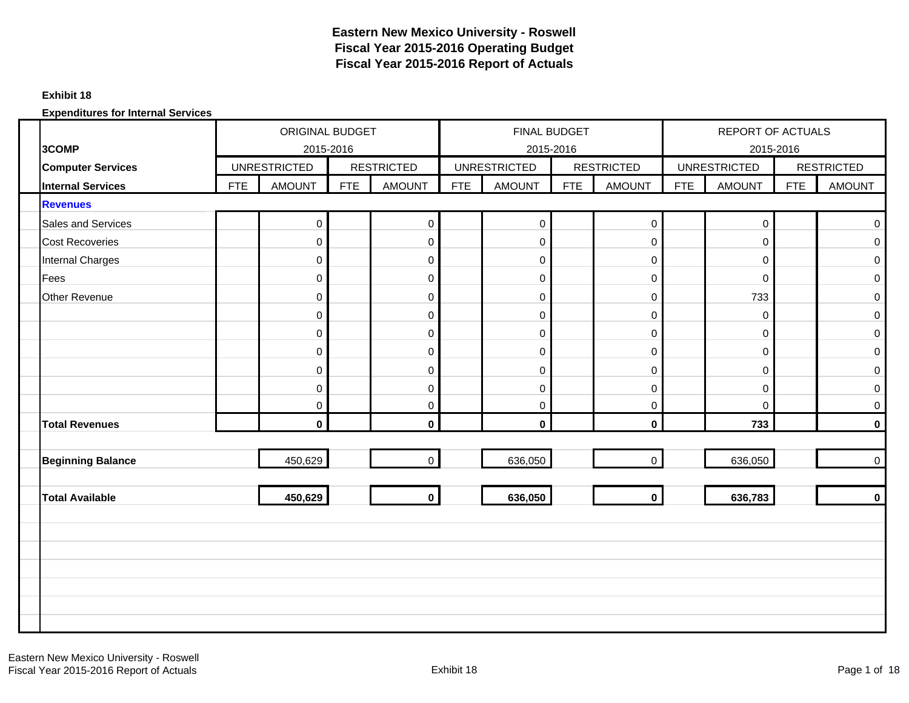### **Exhibit 18**

|                          |            | <b>ORIGINAL BUDGET</b> |     |                   |     | <b>FINAL BUDGET</b> |            |                     |            | <b>REPORT OF ACTUALS</b> |            |                     |
|--------------------------|------------|------------------------|-----|-------------------|-----|---------------------|------------|---------------------|------------|--------------------------|------------|---------------------|
| 3COMP                    |            | 2015-2016              |     |                   |     | 2015-2016           |            |                     |            | 2015-2016                |            |                     |
| <b>Computer Services</b> |            | <b>UNRESTRICTED</b>    |     | <b>RESTRICTED</b> |     | <b>UNRESTRICTED</b> |            | <b>RESTRICTED</b>   |            | <b>UNRESTRICTED</b>      |            | <b>RESTRICTED</b>   |
| <b>Internal Services</b> | <b>FTE</b> | <b>AMOUNT</b>          | FTE | <b>AMOUNT</b>     | FTE | <b>AMOUNT</b>       | <b>FTE</b> | <b>AMOUNT</b>       | <b>FTE</b> | <b>AMOUNT</b>            | <b>FTE</b> | <b>AMOUNT</b>       |
| <b>Revenues</b>          |            |                        |     |                   |     |                     |            |                     |            |                          |            |                     |
| Sales and Services       |            | $\mathbf 0$            |     | $\mathbf 0$       |     | $\overline{0}$      |            | $\mathsf{O}\xspace$ |            | $\pmb{0}$                |            | $\mathsf{O}\xspace$ |
| <b>Cost Recoveries</b>   |            | $\pmb{0}$              |     | $\mathbf 0$       |     | $\mathbf 0$         |            | $\pmb{0}$           |            | $\pmb{0}$                |            | $\mathbf 0$         |
| Internal Charges         |            | $\mathbf 0$            |     | 0                 |     | 0                   |            | $\boldsymbol{0}$    |            | $\pmb{0}$                |            | $\mathsf 0$         |
| Fees                     |            | $\mathbf 0$            |     | $\mathbf 0$       |     | $\mathbf 0$         |            | $\mathbf 0$         |            | $\mathbf 0$              |            | $\mathsf 0$         |
| Other Revenue            |            | $\pmb{0}$              |     | $\mathbf 0$       |     | $\boldsymbol{0}$    |            | $\pmb{0}$           |            | 733                      |            | $\mathbf 0$         |
|                          |            | $\mathbf 0$            |     | $\mathbf 0$       |     | $\pmb{0}$           |            | $\mathbf 0$         |            | 0                        |            | $\mathsf 0$         |
|                          |            | $\mathbf 0$            |     | 0                 |     | $\mathbf 0$         |            | $\pmb{0}$           |            | 0                        |            | $\mathbf 0$         |
|                          |            | $\mathbf 0$            |     | $\mathbf 0$       |     | $\mathbf 0$         |            | $\mathbf 0$         |            | $\pmb{0}$                |            | $\mathbf 0$         |
|                          |            | $\mathbf 0$            |     | 0                 |     | 0                   |            | $\mathbf 0$         |            | 0                        |            | $\mathsf 0$         |
|                          |            | $\mathbf 0$            |     | 0                 |     | $\pmb{0}$           |            | $\mathbf 0$         |            | 0                        |            | $\pmb{0}$           |
|                          |            | $\mathbf 0$            |     | $\mathbf 0$       |     | $\mathbf 0$         |            | $\mathbf 0$         |            | $\mathbf 0$              |            | $\mathbf 0$         |
| <b>Total Revenues</b>    |            | $\mathbf 0$            |     | $\mathbf 0$       |     | $\mathbf 0$         |            | $\mathbf 0$         |            | 733                      |            | $\mathbf 0$         |
|                          |            |                        |     |                   |     |                     |            |                     |            |                          |            |                     |
| <b>Beginning Balance</b> |            | 450,629                |     | $\mathbf 0$       |     | 636,050             |            | $\overline{0}$      |            | 636,050                  |            | $\mathsf{O}\xspace$ |
|                          |            |                        |     |                   |     |                     |            |                     |            |                          |            |                     |
| <b>Total Available</b>   |            | 450,629                |     | $\mathbf 0$       |     | 636,050             |            | $\mathbf 0$         |            | 636,783                  |            | $\mathbf 0$         |
|                          |            |                        |     |                   |     |                     |            |                     |            |                          |            |                     |
|                          |            |                        |     |                   |     |                     |            |                     |            |                          |            |                     |
|                          |            |                        |     |                   |     |                     |            |                     |            |                          |            |                     |
|                          |            |                        |     |                   |     |                     |            |                     |            |                          |            |                     |
|                          |            |                        |     |                   |     |                     |            |                     |            |                          |            |                     |
|                          |            |                        |     |                   |     |                     |            |                     |            |                          |            |                     |
|                          |            |                        |     |                   |     |                     |            |                     |            |                          |            |                     |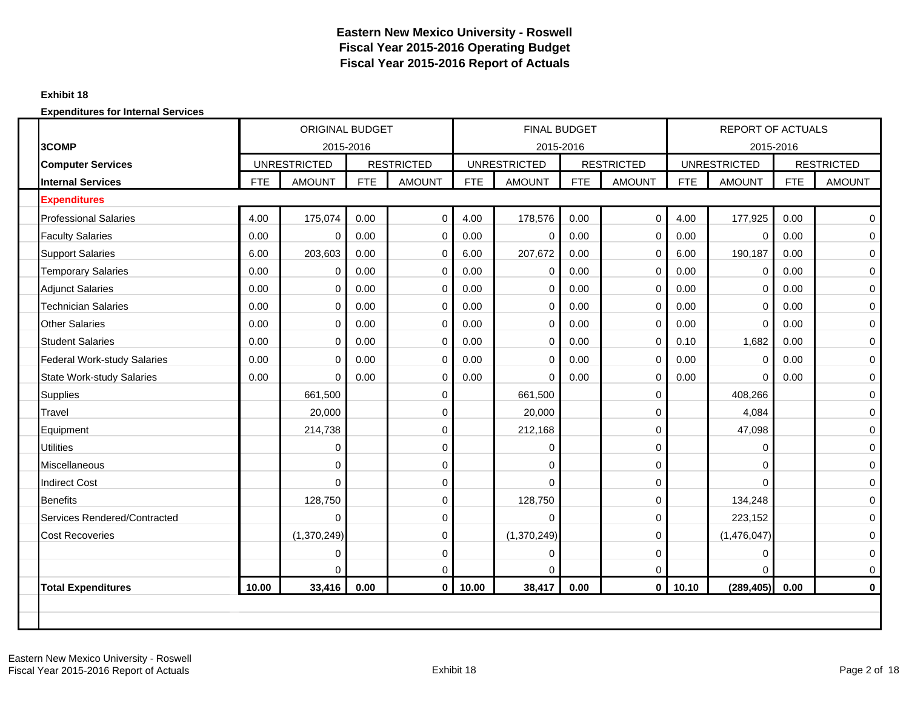#### **Exhibit 18**

| 3COMP<br>2015-2016<br><b>RESTRICTED</b><br><b>UNRESTRICTED</b><br><b>Computer Services</b><br><b>AMOUNT</b><br><b>FTE</b><br><b>AMOUNT</b><br><b>Internal Services</b><br><b>FTE</b><br><b>Expenditures</b><br>4.00<br><b>Professional Salaries</b><br>175,074<br>0.00<br>$\pmb{0}$<br>0.00<br><b>Faculty Salaries</b><br>0.00<br>$\mathbf 0$<br>0 | <b>UNRESTRICTED</b><br><b>FTE</b> | 2015-2016<br><b>AMOUNT</b> | <b>RESTRICTED</b><br><b>FTE</b><br><b>AMOUNT</b> |            | 2015-2016<br><b>UNRESTRICTED</b> |            |                   |
|----------------------------------------------------------------------------------------------------------------------------------------------------------------------------------------------------------------------------------------------------------------------------------------------------------------------------------------------------|-----------------------------------|----------------------------|--------------------------------------------------|------------|----------------------------------|------------|-------------------|
|                                                                                                                                                                                                                                                                                                                                                    |                                   |                            |                                                  |            |                                  |            |                   |
|                                                                                                                                                                                                                                                                                                                                                    |                                   |                            |                                                  |            |                                  |            | <b>RESTRICTED</b> |
|                                                                                                                                                                                                                                                                                                                                                    |                                   |                            |                                                  | <b>FTE</b> | <b>AMOUNT</b>                    | <b>FTE</b> | <b>AMOUNT</b>     |
|                                                                                                                                                                                                                                                                                                                                                    |                                   |                            |                                                  |            |                                  |            |                   |
|                                                                                                                                                                                                                                                                                                                                                    | 4.00                              | 178,576                    | $\mathbf 0$<br>0.00                              | 4.00       | 177,925                          | 0.00       | $\mathbf 0$       |
|                                                                                                                                                                                                                                                                                                                                                    | 0.00                              | 0                          | $\mathbf 0$<br>0.00                              | 0.00       | 0                                | 0.00       | $\pmb{0}$         |
| <b>Support Salaries</b><br>203,603<br>0.00<br>6.00<br>$\mathbf 0$                                                                                                                                                                                                                                                                                  | 6.00                              | 207,672                    | $\mathbf 0$<br>0.00                              | 6.00       | 190,187                          | 0.00       | $\mathbf 0$       |
| <b>Temporary Salaries</b><br>0.00<br>0.00<br>$\mathbf 0$<br>0                                                                                                                                                                                                                                                                                      | 0.00                              | 0                          | 0.00<br>$\mathbf 0$                              | 0.00       | 0                                | 0.00       | $\mathsf 0$       |
| <b>Adjunct Salaries</b><br>0.00<br>0<br>0.00<br>$\mathbf 0$                                                                                                                                                                                                                                                                                        | 0.00                              | $\Omega$                   | $\mathbf 0$<br>0.00                              | 0.00       | 0                                | 0.00       | 0                 |
| <b>Technician Salaries</b><br>0.00<br>0<br>0.00<br>$\mathbf 0$                                                                                                                                                                                                                                                                                     | 0.00                              | 0                          | 0.00<br>0                                        | 0.00       | 0                                | 0.00       | 0                 |
| <b>Other Salaries</b><br>0.00<br>0<br>0.00<br>$\mathbf 0$                                                                                                                                                                                                                                                                                          | 0.00                              | $\Omega$                   | $\mathbf 0$<br>0.00                              | 0.00       | $\mathbf 0$                      | 0.00       | $\mathbf 0$       |
| <b>Student Salaries</b><br>0.00<br>0.00<br>0<br>$\mathbf 0$                                                                                                                                                                                                                                                                                        | 0.00                              | $\Omega$                   | $\mathbf 0$<br>0.00                              | 0.10       | 1,682                            | 0.00       | $\mathbf 0$       |
| 0.00<br><b>Federal Work-study Salaries</b><br>$\Omega$<br>0.00<br>$\mathbf 0$                                                                                                                                                                                                                                                                      | 0.00                              | $\Omega$                   | 0.00<br>$\mathbf 0$                              | 0.00       | 0                                | 0.00       | $\mathbf 0$       |
| <b>State Work-study Salaries</b><br>0.00<br>$\Omega$<br>0.00<br>$\mathbf 0$                                                                                                                                                                                                                                                                        | 0.00                              | $\Omega$                   | 0.00<br>$\mathbf 0$                              | 0.00       | $\Omega$                         | 0.00       | $\mathbf 0$       |
| 661,500<br>$\pmb{0}$<br>Supplies                                                                                                                                                                                                                                                                                                                   |                                   | 661,500                    | $\overline{0}$                                   |            | 408,266                          |            | $\pmb{0}$         |
| 20,000<br>Travel<br>0                                                                                                                                                                                                                                                                                                                              |                                   | 20,000                     | $\mathbf 0$                                      |            | 4,084                            |            | 0                 |
| 214,738<br>0<br>Equipment                                                                                                                                                                                                                                                                                                                          |                                   | 212,168                    | $\mathbf 0$                                      |            | 47,098                           |            | $\,0\,$           |
| $\mathbf 0$<br><b>Utilities</b><br>0                                                                                                                                                                                                                                                                                                               |                                   | 0                          | $\Omega$                                         |            | $\mathbf 0$                      |            | $\pmb{0}$         |
| Miscellaneous<br>0<br>0                                                                                                                                                                                                                                                                                                                            |                                   | $\Omega$                   | $\mathbf 0$                                      |            | $\mathbf 0$                      |            | $\mathbf 0$       |
| <b>Indirect Cost</b><br>$\Omega$<br>0                                                                                                                                                                                                                                                                                                              |                                   | $\Omega$                   | $\mathbf 0$                                      |            | $\Omega$                         |            | 0                 |
| 128,750<br>$\mathbf 0$<br><b>Benefits</b>                                                                                                                                                                                                                                                                                                          |                                   | 128,750                    | $\Omega$                                         |            | 134,248                          |            | $\mathbf 0$       |
| Services Rendered/Contracted<br>$\pmb{0}$<br>0                                                                                                                                                                                                                                                                                                     |                                   | $\Omega$                   | $\overline{0}$                                   |            | 223,152                          |            | $\mathsf 0$       |
| <b>Cost Recoveries</b><br>(1,370,249)<br>$\pmb{0}$                                                                                                                                                                                                                                                                                                 |                                   | (1,370,249)                | $\mathbf 0$                                      |            | (1,476,047)                      |            | 0                 |
| $\mathbf 0$<br>0                                                                                                                                                                                                                                                                                                                                   |                                   | 0                          | $\mathbf 0$                                      |            | 0                                |            | $\,0\,$           |
| $\Omega$<br>$\mathbf 0$                                                                                                                                                                                                                                                                                                                            |                                   | $\Omega$                   | $\Omega$                                         |            | $\Omega$                         |            | $\mathbf 0$       |
| 0.00<br>$\mathbf{0}$<br><b>Total Expenditures</b><br>10.00<br>33,416                                                                                                                                                                                                                                                                               | 10.00                             | 38,417                     | 0.00<br>$\mathbf{0}$                             | 10.10      | (289, 405)                       | 0.00       | $\mathbf 0$       |
|                                                                                                                                                                                                                                                                                                                                                    |                                   |                            |                                                  |            |                                  |            |                   |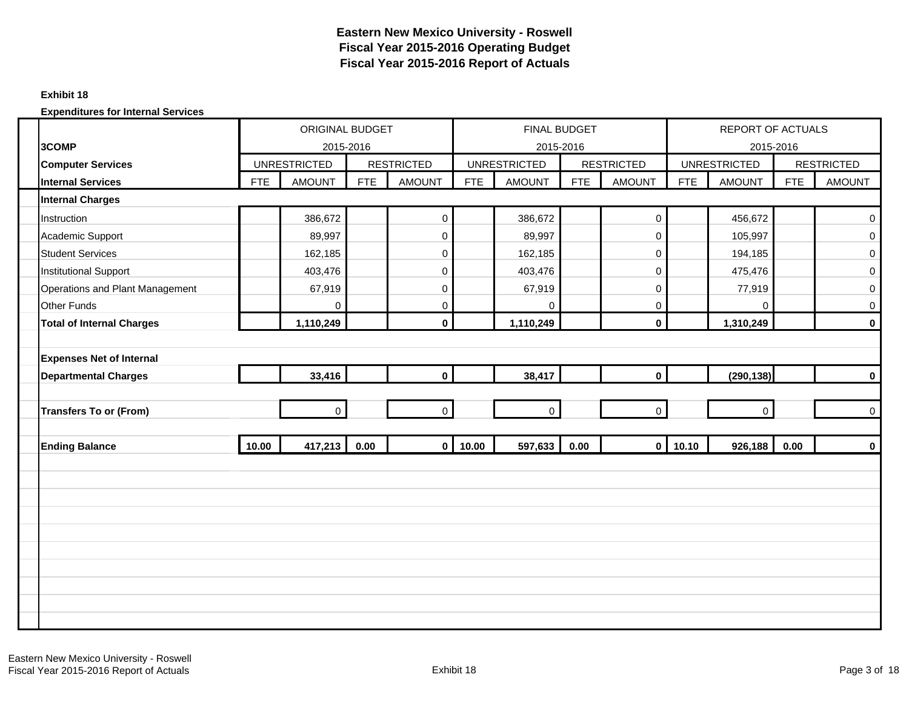#### **Exhibit 18**

|                                  |            | <b>ORIGINAL BUDGET</b> |            |                   |            | FINAL BUDGET        |            |                         |            | <b>REPORT OF ACTUALS</b> |            |                   |
|----------------------------------|------------|------------------------|------------|-------------------|------------|---------------------|------------|-------------------------|------------|--------------------------|------------|-------------------|
| 3COMP                            |            | 2015-2016              |            |                   |            | 2015-2016           |            |                         |            | 2015-2016                |            |                   |
| <b>Computer Services</b>         |            | <b>UNRESTRICTED</b>    |            | <b>RESTRICTED</b> |            | <b>UNRESTRICTED</b> |            | <b>RESTRICTED</b>       |            | <b>UNRESTRICTED</b>      |            | <b>RESTRICTED</b> |
| <b>Internal Services</b>         | <b>FTE</b> | <b>AMOUNT</b>          | <b>FTE</b> | <b>AMOUNT</b>     | <b>FTE</b> | <b>AMOUNT</b>       | <b>FTE</b> | <b>AMOUNT</b>           | <b>FTE</b> | <b>AMOUNT</b>            | <b>FTE</b> | <b>AMOUNT</b>     |
| <b>Internal Charges</b>          |            |                        |            |                   |            |                     |            |                         |            |                          |            |                   |
| Instruction                      |            | 386,672                |            | $\pmb{0}$         |            | 386,672             |            | $\mathsf{O}\xspace$     |            | 456,672                  |            | $\pmb{0}$         |
| Academic Support                 |            | 89,997                 |            | 0                 |            | 89,997              |            | $\mathsf 0$             |            | 105,997                  |            | $\mathbf 0$       |
| <b>Student Services</b>          |            | 162,185                |            | 0                 |            | 162,185             |            | $\mathsf 0$             |            | 194,185                  |            | $\boldsymbol{0}$  |
| <b>Institutional Support</b>     |            | 403,476                |            | 0                 |            | 403,476             |            | $\pmb{0}$               |            | 475,476                  |            | $\mathbf 0$       |
| Operations and Plant Management  |            | 67,919                 |            | 0                 |            | 67,919              |            | $\mathbf 0$             |            | 77,919                   |            | $\mathbf 0$       |
| <b>Other Funds</b>               |            | $\mathbf 0$            |            | $\mathsf 0$       |            | $\Omega$            |            | 0                       |            | $\mathbf 0$              |            | $\mathbf 0$       |
| <b>Total of Internal Charges</b> |            | 1,110,249              |            | $\mathbf 0$       |            | 1,110,249           |            | $\mathbf 0$             |            | 1,310,249                |            | $\mathbf 0$       |
|                                  |            |                        |            |                   |            |                     |            |                         |            |                          |            |                   |
| <b>Expenses Net of Internal</b>  |            |                        |            |                   |            |                     |            |                         |            |                          |            |                   |
| <b>Departmental Charges</b>      |            | 33,416                 |            | $\mathbf 0$       |            | 38,417              |            | $\mathbf{0}$            |            | (290, 138)               |            | $\mathbf 0$       |
|                                  |            |                        |            |                   |            |                     |            |                         |            |                          |            |                   |
| <b>Transfers To or (From)</b>    |            | $\mathbf 0$            |            | $\mathbf 0$       |            | $\mathbf 0$         |            | $\mathbf 0$             |            | $\mathbf 0$              |            | $\mathbf 0$       |
|                                  |            |                        |            |                   |            |                     |            |                         |            |                          |            |                   |
| <b>Ending Balance</b>            | 10.00      | 417,213                | 0.00       | $\mathbf 0$       | 10.00      | 597,633             | 0.00       | $\overline{\mathbf{0}}$ | 10.10      | 926,188                  | 0.00       | $\mathbf 0$       |
|                                  |            |                        |            |                   |            |                     |            |                         |            |                          |            |                   |
|                                  |            |                        |            |                   |            |                     |            |                         |            |                          |            |                   |
|                                  |            |                        |            |                   |            |                     |            |                         |            |                          |            |                   |
|                                  |            |                        |            |                   |            |                     |            |                         |            |                          |            |                   |
|                                  |            |                        |            |                   |            |                     |            |                         |            |                          |            |                   |
|                                  |            |                        |            |                   |            |                     |            |                         |            |                          |            |                   |
|                                  |            |                        |            |                   |            |                     |            |                         |            |                          |            |                   |
|                                  |            |                        |            |                   |            |                     |            |                         |            |                          |            |                   |
|                                  |            |                        |            |                   |            |                     |            |                         |            |                          |            |                   |
|                                  |            |                        |            |                   |            |                     |            |                         |            |                          |            |                   |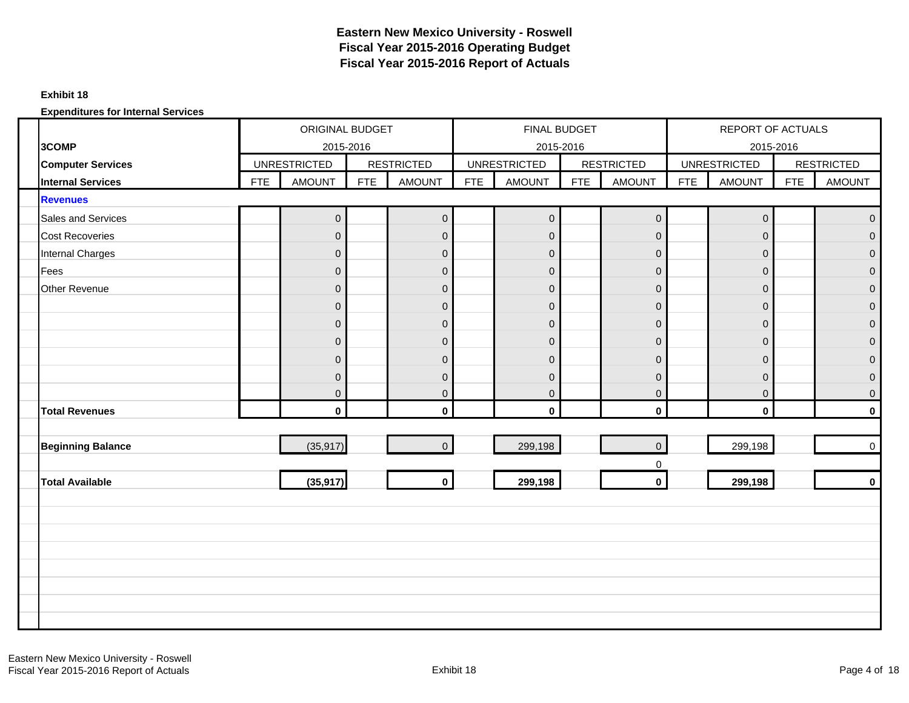#### **Exhibit 18**

|                          |            | <b>ORIGINAL BUDGET</b> |            |                   |            | FINAL BUDGET        |            |                   |            | REPORT OF ACTUALS   |            |                   |
|--------------------------|------------|------------------------|------------|-------------------|------------|---------------------|------------|-------------------|------------|---------------------|------------|-------------------|
| 3COMP                    |            | 2015-2016              |            |                   |            | 2015-2016           |            |                   |            | 2015-2016           |            |                   |
| <b>Computer Services</b> |            | <b>UNRESTRICTED</b>    |            | <b>RESTRICTED</b> |            | <b>UNRESTRICTED</b> |            | <b>RESTRICTED</b> |            | <b>UNRESTRICTED</b> |            | <b>RESTRICTED</b> |
| <b>Internal Services</b> | <b>FTE</b> | <b>AMOUNT</b>          | <b>FTE</b> | <b>AMOUNT</b>     | <b>FTE</b> | <b>AMOUNT</b>       | <b>FTE</b> | <b>AMOUNT</b>     | <b>FTE</b> | <b>AMOUNT</b>       | <b>FTE</b> | <b>AMOUNT</b>     |
| <b>Revenues</b>          |            |                        |            |                   |            |                     |            |                   |            |                     |            |                   |
| Sales and Services       |            | $\boldsymbol{0}$       |            | $\mathbf 0$       |            | $\overline{0}$      |            | $\mathbf 0$       |            | $\mathsf{O}\xspace$ |            | $\mathbf 0$       |
| <b>Cost Recoveries</b>   |            | $\mathbf{0}$           |            | $\pmb{0}$         |            | $\overline{0}$      |            | $\mathbf{O}$      |            | $\mathbf 0$         |            | $\overline{0}$    |
| <b>Internal Charges</b>  |            | $\mathbf{0}$           |            | $\pmb{0}$         |            | $\overline{0}$      |            | $\overline{0}$    |            | $\mathbf 0$         |            | $\overline{0}$    |
| Fees                     |            | $\mathbf{0}$           |            | $\pmb{0}$         |            | $\overline{0}$      |            | $\mathbf 0$       |            | $\mathbf 0$         |            | $\mathbf 0$       |
| Other Revenue            |            | $\Omega$               |            | $\pmb{0}$         |            | $\overline{0}$      |            | $\mathbf 0$       |            | $\mathbf 0$         |            | $\mathbf 0$       |
|                          |            | $\mathbf{0}$           |            | $\pmb{0}$         |            | $\overline{0}$      |            | $\mathbf 0$       |            | $\mathbf 0$         |            | $\mathbf 0$       |
|                          |            | $\mathbf{0}$           |            | $\mathbf 0$       |            | $\overline{0}$      |            | $\mathbf 0$       |            | $\mathbf 0$         |            | $\mathbf 0$       |
|                          |            | $\mathbf{0}$           |            | $\pmb{0}$         |            | $\overline{0}$      |            | $\mathbf 0$       |            | $\mathbf 0$         |            | $\mathbf 0$       |
|                          |            | $\mathbf{0}$           |            | $\pmb{0}$         |            | $\overline{0}$      |            | $\mathbf 0$       |            | $\mathbf 0$         |            | $\mathbf 0$       |
|                          |            | $\mathbf{0}$           |            | $\pmb{0}$         |            | $\overline{0}$      |            | $\overline{0}$    |            | $\mathbf 0$         |            | $\mathbf{0}$      |
|                          |            | $\overline{0}$         |            | $\pmb{0}$         |            | $\overline{0}$      |            | $\mathbf 0$       |            | $\mathbf 0$         |            | $\mathbf 0$       |
| <b>Total Revenues</b>    |            | $\mathbf 0$            |            | $\mathbf 0$       |            | $\mathbf 0$         |            | $\mathbf 0$       |            | $\mathbf 0$         |            | $\mathbf 0$       |
|                          |            |                        |            |                   |            |                     |            |                   |            |                     |            |                   |
| <b>Beginning Balance</b> |            | (35, 917)              |            | $\pmb{0}$         |            | 299,198             |            | $\overline{0}$    |            | 299,198             |            | $\mathsf 0$       |
|                          |            |                        |            |                   |            |                     |            | $\mathbf 0$       |            |                     |            |                   |
| <b>Total Available</b>   |            | (35, 917)              |            | $\mathbf 0$       |            | 299,198             |            | $\mathbf 0$       |            | 299,198             |            | $\mathbf 0$       |
|                          |            |                        |            |                   |            |                     |            |                   |            |                     |            |                   |
|                          |            |                        |            |                   |            |                     |            |                   |            |                     |            |                   |
|                          |            |                        |            |                   |            |                     |            |                   |            |                     |            |                   |
|                          |            |                        |            |                   |            |                     |            |                   |            |                     |            |                   |
|                          |            |                        |            |                   |            |                     |            |                   |            |                     |            |                   |
|                          |            |                        |            |                   |            |                     |            |                   |            |                     |            |                   |
|                          |            |                        |            |                   |            |                     |            |                   |            |                     |            |                   |
|                          |            |                        |            |                   |            |                     |            |                   |            |                     |            |                   |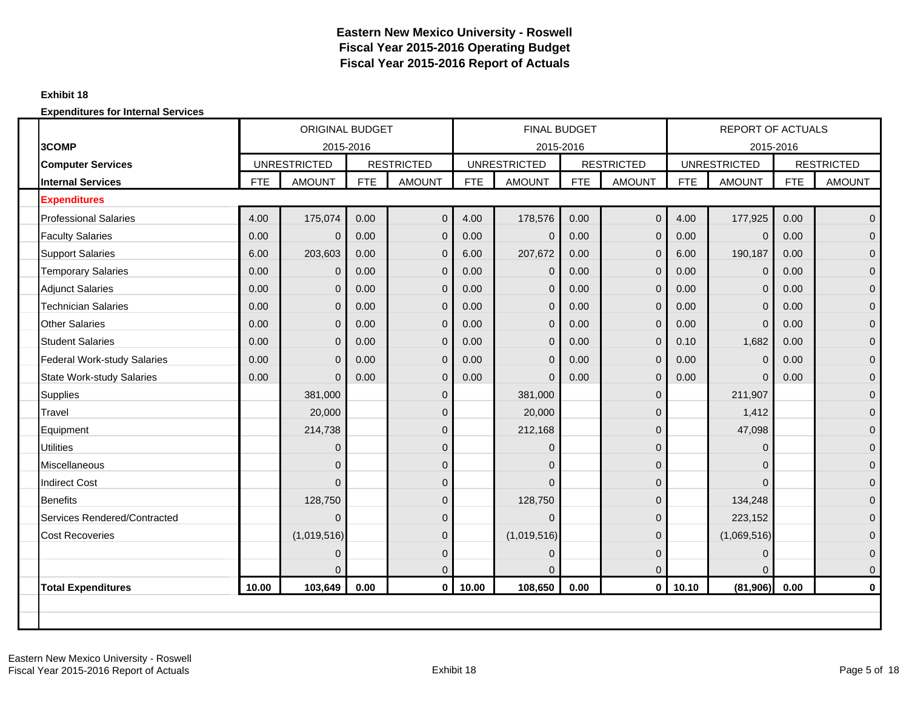#### **Exhibit 18**

|                                    |            | <b>ORIGINAL BUDGET</b> |            |                   |            | <b>FINAL BUDGET</b> |            |                   |            | <b>REPORT OF ACTUALS</b> |            |                   |
|------------------------------------|------------|------------------------|------------|-------------------|------------|---------------------|------------|-------------------|------------|--------------------------|------------|-------------------|
| 3COMP                              |            | 2015-2016              |            |                   |            |                     | 2015-2016  |                   |            | 2015-2016                |            |                   |
| <b>Computer Services</b>           |            | <b>UNRESTRICTED</b>    |            | <b>RESTRICTED</b> |            | <b>UNRESTRICTED</b> |            | <b>RESTRICTED</b> |            | <b>UNRESTRICTED</b>      |            | <b>RESTRICTED</b> |
| <b>Internal Services</b>           | <b>FTE</b> | <b>AMOUNT</b>          | <b>FTE</b> | <b>AMOUNT</b>     | <b>FTE</b> | <b>AMOUNT</b>       | <b>FTE</b> | <b>AMOUNT</b>     | <b>FTE</b> | <b>AMOUNT</b>            | <b>FTE</b> | <b>AMOUNT</b>     |
| <b>Expenditures</b>                |            |                        |            |                   |            |                     |            |                   |            |                          |            |                   |
| <b>Professional Salaries</b>       | 4.00       | 175,074                | 0.00       | $\mathbf 0$       | 4.00       | 178,576             | 0.00       | $\mathbf 0$       | 4.00       | 177,925                  | 0.00       | $\mathbf{0}$      |
| <b>Faculty Salaries</b>            | 0.00       | 0                      | 0.00       | $\mathbf 0$       | 0.00       | $\Omega$            | 0.00       | $\mathbf 0$       | 0.00       | $\mathbf 0$              | 0.00       | $\mathbf{0}$      |
| <b>Support Salaries</b>            | 6.00       | 203,603                | 0.00       | $\mathbf{0}$      | 6.00       | 207,672             | 0.00       | $\Omega$          | 6.00       | 190,187                  | 0.00       | $\mathbf{0}$      |
| <b>Temporary Salaries</b>          | 0.00       | $\mathbf{0}$           | 0.00       | $\mathbf 0$       | 0.00       | $\mathbf 0$         | 0.00       | $\mathbf 0$       | 0.00       | $\mathbf 0$              | 0.00       | $\mathbf{0}$      |
| <b>Adjunct Salaries</b>            | 0.00       | $\mathbf{0}$           | 0.00       | $\mathbf 0$       | 0.00       | $\Omega$            | 0.00       | $\mathbf{0}$      | 0.00       | $\mathbf 0$              | 0.00       | $\mathbf{0}$      |
| <b>Technician Salaries</b>         | 0.00       | 0                      | 0.00       | $\mathbf 0$       | 0.00       | 0                   | 0.00       | $\mathbf 0$       | 0.00       | $\mathbf 0$              | 0.00       | $\mathbf 0$       |
| <b>Other Salaries</b>              | 0.00       | $\overline{0}$         | 0.00       | $\mathbf 0$       | 0.00       | $\Omega$            | 0.00       | $\mathbf{0}$      | 0.00       | $\overline{0}$           | 0.00       | $\mathbf{0}$      |
| <b>Student Salaries</b>            | 0.00       | $\mathbf{0}$           | 0.00       | $\mathbf 0$       | 0.00       | $\Omega$            | 0.00       | $\mathbf 0$       | 0.10       | 1,682                    | 0.00       | $\mathbf{0}$      |
| <b>Federal Work-study Salaries</b> | 0.00       | $\Omega$               | 0.00       | $\mathbf 0$       | 0.00       | $\Omega$            | 0.00       | $\mathbf{0}$      | 0.00       | $\mathbf 0$              | 0.00       | $\mathbf{0}$      |
| <b>State Work-study Salaries</b>   | 0.00       | $\Omega$               | 0.00       | $\mathbf{0}$      | 0.00       | $\Omega$            | 0.00       | $\mathbf{0}$      | 0.00       | $\Omega$                 | 0.00       | $\mathbf{0}$      |
| <b>Supplies</b>                    |            | 381,000                |            | $\mathbf 0$       |            | 381,000             |            | $\Omega$          |            | 211,907                  |            | $\mathbf{0}$      |
| Travel                             |            | 20,000                 |            | $\mathbf{0}$      |            | 20,000              |            | $\Omega$          |            | 1,412                    |            | $\mathbf{0}$      |
| Equipment                          |            | 214,738                |            | $\mathbf 0$       |            | 212,168             |            | $\mathbf 0$       |            | 47,098                   |            | $\mathbf 0$       |
| <b>Utilities</b>                   |            | $\Omega$               |            | $\mathbf 0$       |            | $\Omega$            |            | $\Omega$          |            | 0                        |            | $\mathbf{0}$      |
| <b>Miscellaneous</b>               |            | $\Omega$               |            | $\overline{0}$    |            | $\Omega$            |            | $\overline{0}$    |            | 0                        |            | $\mathbf{0}$      |
| <b>Indirect Cost</b>               |            | $\Omega$               |            | $\mathbf 0$       |            | $\Omega$            |            | $\Omega$          |            | $\Omega$                 |            | $\mathbf{0}$      |
| <b>Benefits</b>                    |            | 128,750                |            | $\mathbf{0}$      |            | 128,750             |            | $\Omega$          |            | 134,248                  |            | $\mathbf{0}$      |
| Services Rendered/Contracted       |            | $\Omega$               |            | $\mathbf{0}$      |            | $\Omega$            |            | $\Omega$          |            | 223,152                  |            | $\Omega$          |
| <b>Cost Recoveries</b>             |            | (1,019,516)            |            | $\mathbf{0}$      |            | (1,019,516)         |            | $\Omega$          |            | (1,069,516)              |            | $\mathbf{0}$      |
|                                    |            | $\Omega$               |            | $\mathbf 0$       |            | $\Omega$            |            | $\Omega$          |            | 0                        |            | $\mathbf 0$       |
|                                    |            | $\Omega$               |            | $\mathbf{0}$      |            |                     |            | $\Omega$          |            | $\Omega$                 |            | $\mathbf{0}$      |
| <b>Total Expenditures</b>          | 10.00      | 103,649                | 0.00       | $\mathbf 0$       | 10.00      | 108,650             | 0.00       | $\mathbf{0}$      | 10.10      | (81,906)                 | 0.00       | $\mathbf 0$       |
|                                    |            |                        |            |                   |            |                     |            |                   |            |                          |            |                   |
|                                    |            |                        |            |                   |            |                     |            |                   |            |                          |            |                   |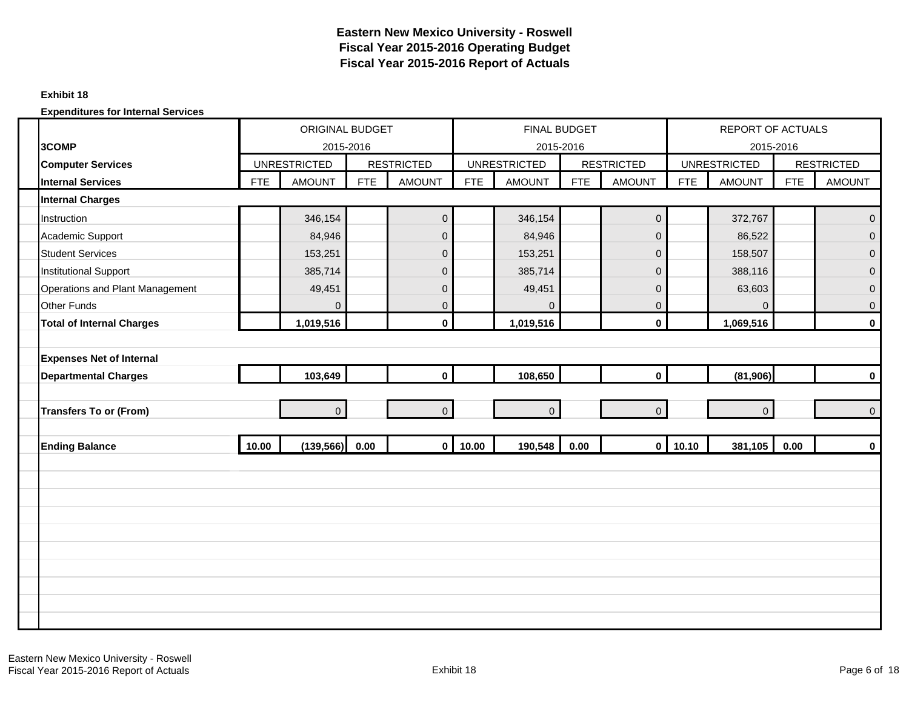#### **Exhibit 18**

|                                  |            | ORIGINAL BUDGET     |            |                   |            | FINAL BUDGET        |            |                   |            | <b>REPORT OF ACTUALS</b> |            |                   |
|----------------------------------|------------|---------------------|------------|-------------------|------------|---------------------|------------|-------------------|------------|--------------------------|------------|-------------------|
| 3COMP                            |            | 2015-2016           |            |                   |            | 2015-2016           |            |                   |            | 2015-2016                |            |                   |
| <b>Computer Services</b>         |            | <b>UNRESTRICTED</b> |            | <b>RESTRICTED</b> |            | <b>UNRESTRICTED</b> |            | <b>RESTRICTED</b> |            | <b>UNRESTRICTED</b>      |            | <b>RESTRICTED</b> |
| <b>Internal Services</b>         | <b>FTE</b> | <b>AMOUNT</b>       | <b>FTE</b> | <b>AMOUNT</b>     | <b>FTE</b> | <b>AMOUNT</b>       | <b>FTE</b> | <b>AMOUNT</b>     | <b>FTE</b> | <b>AMOUNT</b>            | <b>FTE</b> | <b>AMOUNT</b>     |
| <b>Internal Charges</b>          |            |                     |            |                   |            |                     |            |                   |            |                          |            |                   |
| Instruction                      |            | 346,154             |            | $\mathbf 0$       |            | 346,154             |            | $\overline{0}$    |            | 372,767                  |            | $\mathbf 0$       |
| Academic Support                 |            | 84,946              |            | $\pmb{0}$         |            | 84,946              |            | $\overline{0}$    |            | 86,522                   |            | $\mathbf{0}$      |
| <b>Student Services</b>          |            | 153,251             |            | $\pmb{0}$         |            | 153,251             |            | $\mathbf 0$       |            | 158,507                  |            | $\mathbf{0}$      |
| <b>Institutional Support</b>     |            | 385,714             |            | $\pmb{0}$         |            | 385,714             |            | $\overline{0}$    |            | 388,116                  |            | $\mathbf 0$       |
| Operations and Plant Management  |            | 49,451              |            | $\pmb{0}$         |            | 49,451              |            | $\mathbf 0$       |            | 63,603                   |            | $\mathbf 0$       |
| <b>Other Funds</b>               |            | $\overline{0}$      |            | $\mathsf 0$       |            | $\Omega$            |            | $\overline{0}$    |            | $\Omega$                 |            | $\mathbf 0$       |
| <b>Total of Internal Charges</b> |            | 1,019,516           |            | $\mathbf 0$       |            | 1,019,516           |            | $\mathbf{0}$      |            | 1,069,516                |            | $\mathbf 0$       |
|                                  |            |                     |            |                   |            |                     |            |                   |            |                          |            |                   |
| <b>Expenses Net of Internal</b>  |            |                     |            |                   |            |                     |            |                   |            |                          |            |                   |
| <b>Departmental Charges</b>      |            | 103,649             |            | $\mathbf 0$       |            | 108,650             |            | $\mathbf{0}$      |            | (81,906)                 |            | $\mathbf 0$       |
|                                  |            |                     |            |                   |            |                     |            |                   |            |                          |            |                   |
| <b>Transfers To or (From)</b>    |            | $\overline{0}$      |            | $\mathbf 0$       |            | $\overline{0}$      |            | $\Omega$          |            | $\overline{0}$           |            | $\mathbf 0$       |
|                                  |            |                     |            |                   |            |                     |            |                   |            |                          |            |                   |
| <b>Ending Balance</b>            | 10.00      | (139, 566) 0.00     |            | $\mathbf 0$       | 10.00      | 190,548             | 0.00       | $\overline{0}$    | 10.10      | 381,105                  | 0.00       | $\mathbf 0$       |
|                                  |            |                     |            |                   |            |                     |            |                   |            |                          |            |                   |
|                                  |            |                     |            |                   |            |                     |            |                   |            |                          |            |                   |
|                                  |            |                     |            |                   |            |                     |            |                   |            |                          |            |                   |
|                                  |            |                     |            |                   |            |                     |            |                   |            |                          |            |                   |
|                                  |            |                     |            |                   |            |                     |            |                   |            |                          |            |                   |
|                                  |            |                     |            |                   |            |                     |            |                   |            |                          |            |                   |
|                                  |            |                     |            |                   |            |                     |            |                   |            |                          |            |                   |
|                                  |            |                     |            |                   |            |                     |            |                   |            |                          |            |                   |
|                                  |            |                     |            |                   |            |                     |            |                   |            |                          |            |                   |
|                                  |            |                     |            |                   |            |                     |            |                   |            |                          |            |                   |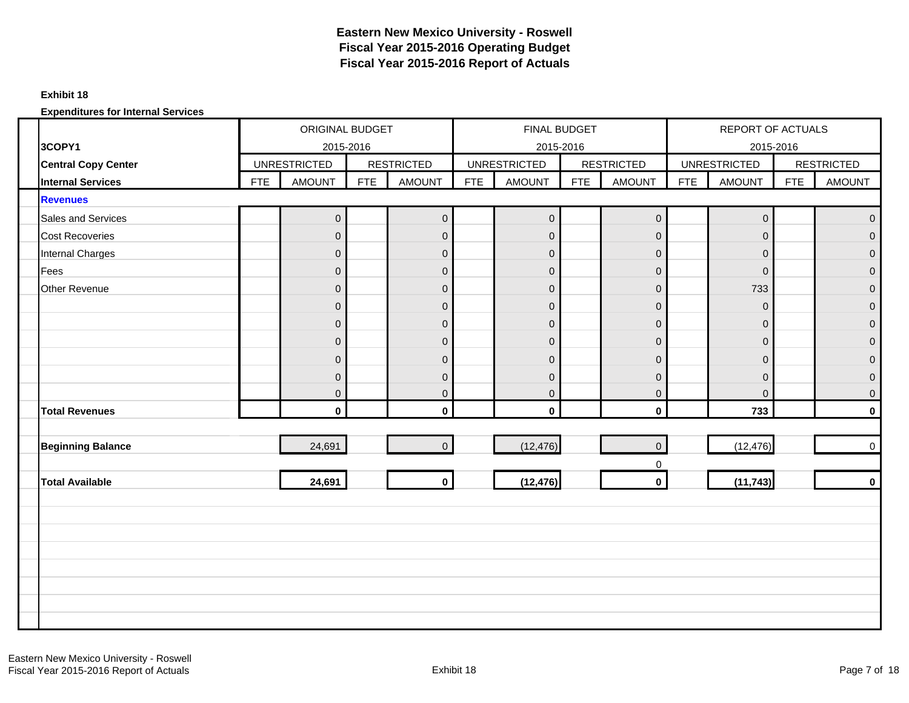#### **Exhibit 18**

|                            |            | ORIGINAL BUDGET     |            |                     |            | FINAL BUDGET        |            |                   |            | REPORT OF ACTUALS   |            |                     |
|----------------------------|------------|---------------------|------------|---------------------|------------|---------------------|------------|-------------------|------------|---------------------|------------|---------------------|
| 3COPY1                     |            | 2015-2016           |            |                     |            | 2015-2016           |            |                   |            | 2015-2016           |            |                     |
| <b>Central Copy Center</b> |            | <b>UNRESTRICTED</b> |            | <b>RESTRICTED</b>   |            | <b>UNRESTRICTED</b> |            | <b>RESTRICTED</b> |            | <b>UNRESTRICTED</b> |            | <b>RESTRICTED</b>   |
| <b>Internal Services</b>   | <b>FTE</b> | <b>AMOUNT</b>       | <b>FTE</b> | <b>AMOUNT</b>       | <b>FTE</b> | <b>AMOUNT</b>       | <b>FTE</b> | <b>AMOUNT</b>     | <b>FTE</b> | <b>AMOUNT</b>       | <b>FTE</b> | <b>AMOUNT</b>       |
| <b>Revenues</b>            |            |                     |            |                     |            |                     |            |                   |            |                     |            |                     |
| Sales and Services         |            | $\boldsymbol{0}$    |            | $\mathbf 0$         |            | $\overline{0}$      |            | $\overline{0}$    |            | $\mathsf{O}\xspace$ |            | $\mathbf 0$         |
| <b>Cost Recoveries</b>     |            | $\Omega$            |            | $\pmb{0}$           |            | $\overline{0}$      |            | $\overline{0}$    |            | $\overline{0}$      |            | $\Omega$            |
| <b>Internal Charges</b>    |            | $\mathbf 0$         |            | $\mathbf 0$         |            | $\overline{0}$      |            | $\mathbf 0$       |            | $\mathsf{O}\xspace$ |            | $\mathbf{0}$        |
| Fees                       |            | $\mathbf 0$         |            | $\pmb{0}$           |            | $\overline{0}$      |            | $\overline{0}$    |            | $\mathbf 0$         |            | $\mathbf{0}$        |
| Other Revenue              |            | $\overline{0}$      |            | $\mathbf 0$         |            | $\overline{0}$      |            | $\overline{0}$    |            | 733                 |            | $\mathbf 0$         |
|                            |            | $\mathbf 0$         |            | $\mathbf 0$         |            | $\overline{0}$      |            | $\mathbf 0$       |            | $\mathbf 0$         |            | $\mathbf 0$         |
|                            |            | $\overline{0}$      |            | $\mathsf{O}\xspace$ |            | $\overline{0}$      |            | $\boldsymbol{0}$  |            | $\mathbf 0$         |            | $\overline{0}$      |
|                            |            | $\mathbf 0$         |            | $\mathbf 0$         |            | $\overline{0}$      |            | $\overline{0}$    |            | $\mathsf{O}\xspace$ |            | $\mathbf{0}$        |
|                            |            | $\Omega$            |            | $\mathsf 0$         |            | $\overline{0}$      |            | $\overline{0}$    |            | $\mathbf 0$         |            | $\Omega$            |
|                            |            | $\mathbf{0}$        |            | $\mathbf 0$         |            | $\overline{0}$      |            | $\mathbf 0$       |            | $\mathbf 0$         |            | $\overline{0}$      |
|                            |            | $\overline{0}$      |            | $\overline{0}$      |            | $\overline{0}$      |            | $\overline{0}$    |            | $\mathbf{0}$        |            | $\mathbf{0}$        |
| <b>Total Revenues</b>      |            | $\mathbf{0}$        |            | $\mathbf 0$         |            | $\mathbf 0$         |            | $\mathbf 0$       |            | 733                 |            | $\mathbf 0$         |
|                            |            |                     |            |                     |            |                     |            |                   |            |                     |            |                     |
| <b>Beginning Balance</b>   |            | 24,691              |            | $\mathbf 0$         |            | (12, 476)           |            | $\Omega$          |            | (12, 476)           |            | $\mathsf{O}\xspace$ |
|                            |            |                     |            |                     |            |                     |            | 0                 |            |                     |            |                     |
| <b>Total Available</b>     |            | 24,691              |            | $\mathbf 0$         |            | (12, 476)           |            | $\mathbf 0$       |            | (11, 743)           |            | $\mathbf 0$         |
|                            |            |                     |            |                     |            |                     |            |                   |            |                     |            |                     |
|                            |            |                     |            |                     |            |                     |            |                   |            |                     |            |                     |
|                            |            |                     |            |                     |            |                     |            |                   |            |                     |            |                     |
|                            |            |                     |            |                     |            |                     |            |                   |            |                     |            |                     |
|                            |            |                     |            |                     |            |                     |            |                   |            |                     |            |                     |
|                            |            |                     |            |                     |            |                     |            |                   |            |                     |            |                     |
|                            |            |                     |            |                     |            |                     |            |                   |            |                     |            |                     |
|                            |            |                     |            |                     |            |                     |            |                   |            |                     |            |                     |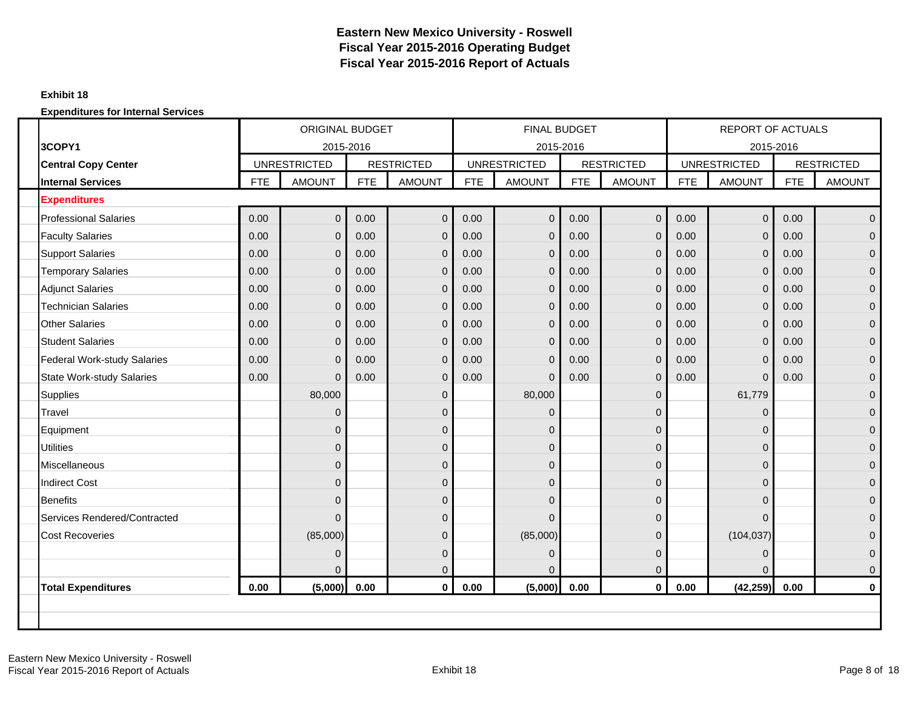#### **Exhibit 18**

|                                    |            | <b>ORIGINAL BUDGET</b> |            |                   |            | <b>FINAL BUDGET</b> |            |                   |            | <b>REPORT OF ACTUALS</b> |            |                   |
|------------------------------------|------------|------------------------|------------|-------------------|------------|---------------------|------------|-------------------|------------|--------------------------|------------|-------------------|
| 3COPY1                             |            | 2015-2016              |            |                   |            | 2015-2016           |            |                   |            | 2015-2016                |            |                   |
| <b>Central Copy Center</b>         |            | <b>UNRESTRICTED</b>    |            | <b>RESTRICTED</b> |            | <b>UNRESTRICTED</b> |            | <b>RESTRICTED</b> |            | <b>UNRESTRICTED</b>      |            | <b>RESTRICTED</b> |
| <b>Internal Services</b>           | <b>FTE</b> | <b>AMOUNT</b>          | <b>FTE</b> | <b>AMOUNT</b>     | <b>FTE</b> | <b>AMOUNT</b>       | <b>FTE</b> | <b>AMOUNT</b>     | <b>FTE</b> | <b>AMOUNT</b>            | <b>FTE</b> | <b>AMOUNT</b>     |
| <b>Expenditures</b>                |            |                        |            |                   |            |                     |            |                   |            |                          |            |                   |
| <b>Professional Salaries</b>       | 0.00       | $\mathbf{0}$           | 0.00       | $\mathbf 0$       | 0.00       | $\Omega$            | 0.00       | $\mathbf 0$       | 0.00       | $\mathbf 0$              | 0.00       | $\mathbf{0}$      |
| <b>Faculty Salaries</b>            | 0.00       | $\Omega$               | 0.00       | $\mathbf 0$       | 0.00       | $\Omega$            | 0.00       | $\mathbf{0}$      | 0.00       | $\mathbf 0$              | 0.00       | $\mathbf{0}$      |
| <b>Support Salaries</b>            | 0.00       | $\overline{0}$         | 0.00       | $\mathbf 0$       | 0.00       | $\mathbf{0}$        | 0.00       | $\overline{0}$    | 0.00       | $\mathbf 0$              | 0.00       | $\mathbf 0$       |
| <b>Temporary Salaries</b>          | 0.00       | 0                      | 0.00       | $\mathbf 0$       | 0.00       | $\overline{0}$      | 0.00       | $\mathbf 0$       | 0.00       | $\mathbf 0$              | 0.00       | $\mathbf 0$       |
| <b>Adjunct Salaries</b>            | 0.00       | $\Omega$               | 0.00       | $\mathbf 0$       | 0.00       | $\Omega$            | 0.00       | $\mathbf{0}$      | 0.00       | $\mathbf{0}$             | 0.00       | $\overline{0}$    |
| <b>Technician Salaries</b>         | 0.00       | $\overline{0}$         | 0.00       | $\mathbf 0$       | 0.00       | $\Omega$            | 0.00       | $\mathbf{0}$      | 0.00       | $\mathbf{0}$             | 0.00       | $\mathbf 0$       |
| <b>Other Salaries</b>              | 0.00       | $\overline{0}$         | 0.00       | $\mathbf 0$       | 0.00       | $\Omega$            | 0.00       | $\mathbf 0$       | 0.00       | $\pmb{0}$                | 0.00       | $\mathbf 0$       |
| <b>Student Salaries</b>            | 0.00       | $\overline{0}$         | 0.00       | $\mathbf 0$       | 0.00       | $\Omega$            | 0.00       | $\mathbf 0$       | 0.00       | $\mathbf 0$              | 0.00       | $\mathbf 0$       |
| <b>Federal Work-study Salaries</b> | 0.00       | $\overline{0}$         | 0.00       | $\mathbf 0$       | 0.00       | $\Omega$            | 0.00       | $\mathbf 0$       | 0.00       | $\mathbf 0$              | 0.00       | $\overline{0}$    |
| <b>State Work-study Salaries</b>   | 0.00       | $\overline{0}$         | 0.00       | $\mathbf 0$       | 0.00       | $\Omega$            | 0.00       | $\overline{0}$    | 0.00       | $\mathbf{0}$             | 0.00       | $\mathbf 0$       |
| <b>Supplies</b>                    |            | 80,000                 |            | $\pmb{0}$         |            | 80,000              |            | $\overline{0}$    |            | 61,779                   |            | $\mathbf{0}$      |
| Travel                             |            | $\Omega$               |            | $\overline{0}$    |            | $\overline{0}$      |            | $\Omega$          |            | 0                        |            | $\mathbf 0$       |
| Equipment                          |            | 0                      |            | $\pmb{0}$         |            | $\mathbf{0}$        |            | $\mathbf 0$       |            | 0                        |            | $\mathbf 0$       |
| <b>Utilities</b>                   |            | $\overline{0}$         |            | $\mathbf 0$       |            | $\mathbf 0$         |            | $\mathbf 0$       |            | 0                        |            | $\mathbf 0$       |
| <b>Miscellaneous</b>               |            | $\Omega$               |            | $\mathbf 0$       |            | $\overline{0}$      |            | $\mathbf 0$       |            | $\mathbf{0}$             |            | $\mathbf{0}$      |
| <b>Indirect Cost</b>               |            | $\Omega$               |            | $\mathbf 0$       |            | $\overline{0}$      |            | $\mathbf{0}$      |            | 0                        |            | $\mathbf{0}$      |
| <b>Benefits</b>                    |            | $\Omega$               |            | $\pmb{0}$         |            | $\overline{0}$      |            | $\overline{0}$    |            | $\mathbf{0}$             |            | $\mathbf 0$       |
| Services Rendered/Contracted       |            | 0                      |            | $\pmb{0}$         |            | $\Omega$            |            | $\mathbf 0$       |            | $\mathbf{0}$             |            | $\mathbf 0$       |
| <b>Cost Recoveries</b>             |            | (85,000)               |            | $\pmb{0}$         |            | (85,000)            |            | $\mathbf 0$       |            | (104, 037)               |            | $\mathbf 0$       |
|                                    |            | 0                      |            | $\pmb{0}$         |            | $\Omega$            |            | $\overline{0}$    |            | $\mathbf{0}$             |            | $\mathbf 0$       |
|                                    |            | $\Omega$               |            | $\pmb{0}$         |            | $\Omega$            |            | $\Omega$          |            | $\Omega$                 |            | $\mathbf{0}$      |
| <b>Total Expenditures</b>          | 0.00       | (5,000)                | 0.00       | $\mathbf 0$       | 0.00       | (5,000)             | 0.00       | $\mathbf 0$       | 0.00       | (42, 259)                | 0.00       | $\bf{0}$          |
|                                    |            |                        |            |                   |            |                     |            |                   |            |                          |            |                   |
|                                    |            |                        |            |                   |            |                     |            |                   |            |                          |            |                   |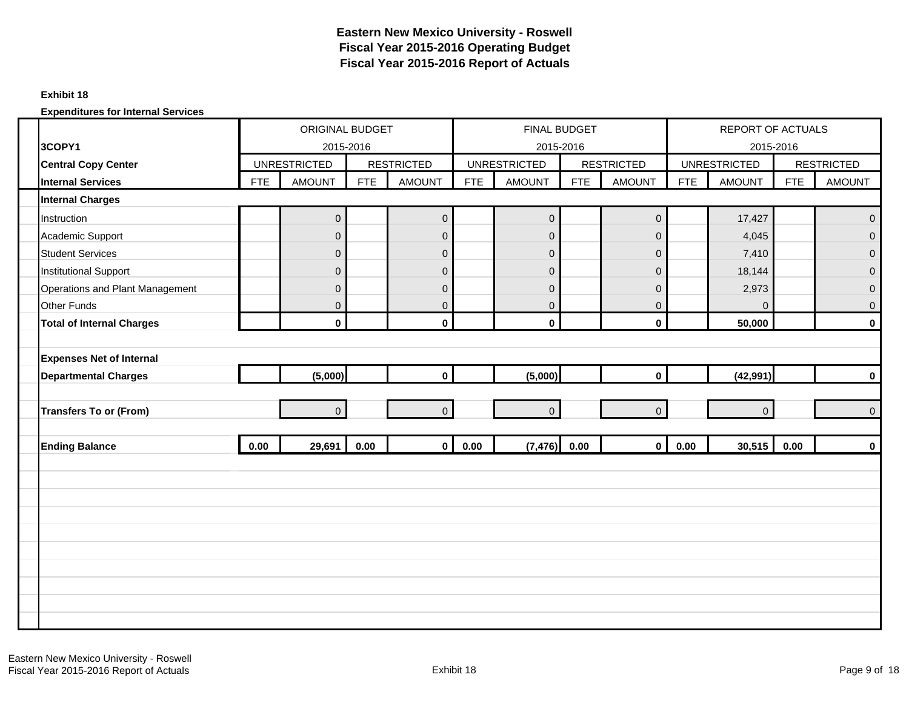#### **Exhibit 18**

|                                  | <b>ORIGINAL BUDGET</b><br>2015-2016 |                     |            |                   |            | FINAL BUDGET        |            |                   |            | <b>REPORT OF ACTUALS</b> |            |                   |
|----------------------------------|-------------------------------------|---------------------|------------|-------------------|------------|---------------------|------------|-------------------|------------|--------------------------|------------|-------------------|
| 3COPY1                           |                                     |                     |            |                   |            | 2015-2016           |            |                   |            | 2015-2016                |            |                   |
| <b>Central Copy Center</b>       |                                     | <b>UNRESTRICTED</b> |            | <b>RESTRICTED</b> |            | <b>UNRESTRICTED</b> |            | <b>RESTRICTED</b> |            | <b>UNRESTRICTED</b>      |            | <b>RESTRICTED</b> |
| <b>Internal Services</b>         | <b>FTE</b>                          | <b>AMOUNT</b>       | <b>FTE</b> | <b>AMOUNT</b>     | <b>FTE</b> | <b>AMOUNT</b>       | <b>FTE</b> | <b>AMOUNT</b>     | <b>FTE</b> | <b>AMOUNT</b>            | <b>FTE</b> | <b>AMOUNT</b>     |
| <b>Internal Charges</b>          |                                     |                     |            |                   |            |                     |            |                   |            |                          |            |                   |
| Instruction                      |                                     | $\mathbf 0$         |            | $\mathbf 0$       |            | $\overline{0}$      |            | $\overline{0}$    |            | 17,427                   |            | $\mathbf 0$       |
| Academic Support                 |                                     | $\Omega$            |            | $\mathbf 0$       |            | $\overline{0}$      |            | $\overline{0}$    |            | 4,045                    |            | $\mathbf{0}$      |
| <b>Student Services</b>          |                                     | $\overline{0}$      |            | $\pmb{0}$         |            | $\overline{0}$      |            | $\mathbf 0$       |            | 7,410                    |            | $\mathbf 0$       |
| <b>Institutional Support</b>     |                                     | $\overline{0}$      |            | $\mathsf 0$       |            | $\overline{0}$      |            | $\mathbf 0$       |            | 18,144                   |            | $\mathbf 0$       |
| Operations and Plant Management  |                                     | 0                   |            | $\pmb{0}$         |            | $\overline{0}$      |            | $\mathbf 0$       |            | 2,973                    |            | $\pmb{0}$         |
| <b>Other Funds</b>               |                                     | $\overline{0}$      |            | $\pmb{0}$         |            | $\overline{0}$      |            | $\overline{0}$    |            | $\Omega$                 |            | $\mathbf 0$       |
| <b>Total of Internal Charges</b> |                                     | $\mathbf{0}$        |            | $\mathbf 0$       |            | $\mathbf 0$         |            | $\mathbf 0$       |            | 50,000                   |            | $\mathbf 0$       |
|                                  |                                     |                     |            |                   |            |                     |            |                   |            |                          |            |                   |
| <b>Expenses Net of Internal</b>  |                                     |                     |            |                   |            |                     |            |                   |            |                          |            |                   |
| <b>Departmental Charges</b>      |                                     | (5,000)             |            | $\mathbf 0$       |            | (5,000)             |            | $\mathbf{0}$      |            | (42, 991)                |            | $\mathbf 0$       |
|                                  |                                     |                     |            |                   |            |                     |            |                   |            |                          |            |                   |
| <b>Transfers To or (From)</b>    |                                     | $\overline{0}$      |            | $\mathbf 0$       |            | $\overline{0}$      |            | $\overline{0}$    |            | $\overline{0}$           |            | $\overline{0}$    |
|                                  |                                     |                     |            |                   |            |                     |            |                   |            |                          |            |                   |
| <b>Ending Balance</b>            | 0.00                                | 29,691              | 0.00       | $\mathbf 0$       | 0.00       | $(7,476)$ 0.00      |            | $\overline{0}$    | 0.00       | 30,515                   | 0.00       | $\mathbf 0$       |
|                                  |                                     |                     |            |                   |            |                     |            |                   |            |                          |            |                   |
|                                  |                                     |                     |            |                   |            |                     |            |                   |            |                          |            |                   |
|                                  |                                     |                     |            |                   |            |                     |            |                   |            |                          |            |                   |
|                                  |                                     |                     |            |                   |            |                     |            |                   |            |                          |            |                   |
|                                  |                                     |                     |            |                   |            |                     |            |                   |            |                          |            |                   |
|                                  |                                     |                     |            |                   |            |                     |            |                   |            |                          |            |                   |
|                                  |                                     |                     |            |                   |            |                     |            |                   |            |                          |            |                   |
|                                  |                                     |                     |            |                   |            |                     |            |                   |            |                          |            |                   |
|                                  |                                     |                     |            |                   |            |                     |            |                   |            |                          |            |                   |
|                                  |                                     |                     |            |                   |            |                     |            |                   |            |                          |            |                   |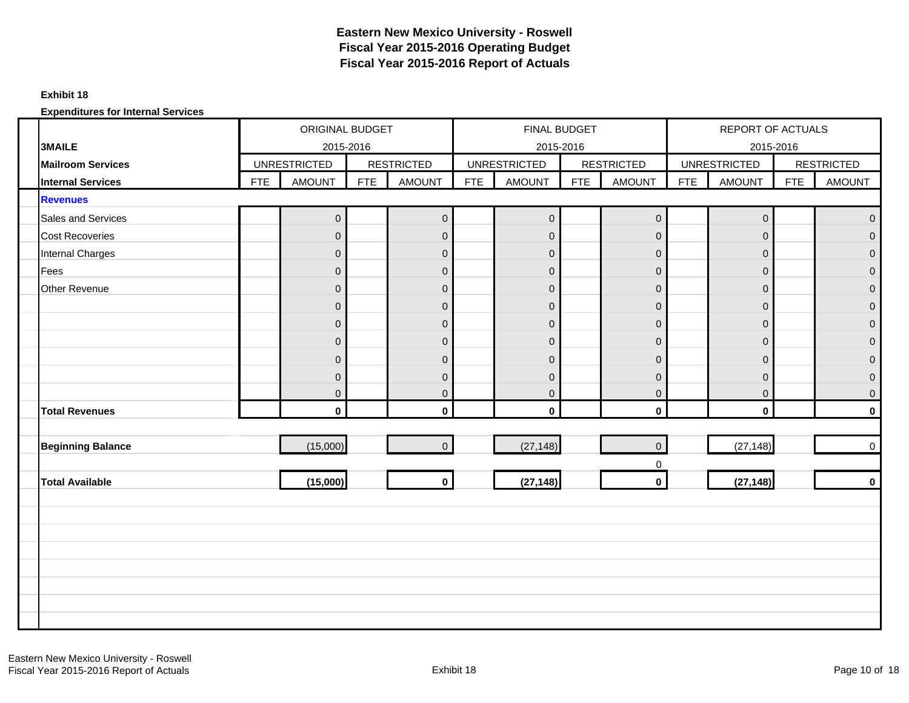#### **Exhibit 18**

|                           |            | ORIGINAL BUDGET     |            |                   |            | FINAL BUDGET        |            |                     |            | <b>REPORT OF ACTUALS</b> |            |                   |
|---------------------------|------------|---------------------|------------|-------------------|------------|---------------------|------------|---------------------|------------|--------------------------|------------|-------------------|
| <b>3MAILE</b>             |            | 2015-2016           |            |                   |            | 2015-2016           |            |                     |            | 2015-2016                |            |                   |
| <b>Mailroom Services</b>  |            | <b>UNRESTRICTED</b> |            | <b>RESTRICTED</b> |            | <b>UNRESTRICTED</b> |            | <b>RESTRICTED</b>   |            | <b>UNRESTRICTED</b>      |            | <b>RESTRICTED</b> |
| <b>Internal Services</b>  | <b>FTE</b> | <b>AMOUNT</b>       | <b>FTE</b> | <b>AMOUNT</b>     | <b>FTE</b> | <b>AMOUNT</b>       | <b>FTE</b> | <b>AMOUNT</b>       | <b>FTE</b> | <b>AMOUNT</b>            | <b>FTE</b> | <b>AMOUNT</b>     |
| <b>Revenues</b>           |            |                     |            |                   |            |                     |            |                     |            |                          |            |                   |
| <b>Sales and Services</b> |            | $\overline{0}$      |            | $\pmb{0}$         |            | $\overline{0}$      |            | $\mathsf{O}\xspace$ |            | $\mathbf 0$              |            | $\mathbf{0}$      |
| <b>Cost Recoveries</b>    |            | $\mathbf{0}$        |            | $\mathbf 0$       |            | $\overline{0}$      |            | $\mathbf 0$         |            | $\mathbf 0$              |            | $\Omega$          |
| <b>Internal Charges</b>   |            | $\overline{0}$      |            | $\pmb{0}$         |            | $\overline{0}$      |            | $\mathbf 0$         |            | $\mathbf 0$              |            | $\Omega$          |
| Fees                      |            | $\mathbf{0}$        |            | $\pmb{0}$         |            | $\overline{0}$      |            | $\mathbf 0$         |            | $\mathbf 0$              |            | $\mathbf 0$       |
| Other Revenue             |            | $\Omega$            |            | $\pmb{0}$         |            | $\overline{0}$      |            | $\mathbf 0$         |            | $\mathbf 0$              |            | $\mathbf{0}$      |
|                           |            | $\mathbf 0$         |            | $\mathbf 0$       |            | $\overline{0}$      |            | $\mathbf 0$         |            | $\mathbf 0$              |            | $\mathbf 0$       |
|                           |            | $\overline{0}$      |            | $\pmb{0}$         |            | $\overline{0}$      |            | $\mathbf 0$         |            | $\mathsf{O}\xspace$      |            | $\mathbf{0}$      |
|                           |            | $\mathbf{0}$        |            | $\pmb{0}$         |            | $\overline{0}$      |            | $\overline{0}$      |            | $\mathbf 0$              |            | $\mathbf{0}$      |
|                           |            | $\Omega$            |            | $\pmb{0}$         |            | $\overline{0}$      |            | $\mathbf 0$         |            | $\mathbf 0$              |            | $\mathbf{0}$      |
|                           |            | $\Omega$            |            | $\pmb{0}$         |            | $\overline{0}$      |            | $\mathbf{0}$        |            | $\mathbf 0$              |            | $\mathbf{0}$      |
|                           |            | $\overline{0}$      |            | $\pmb{0}$         |            | $\overline{0}$      |            | $\mathbf 0$         |            | $\mathbf 0$              |            | $\overline{0}$    |
| <b>Total Revenues</b>     |            | $\mathbf 0$         |            | $\mathbf 0$       |            | $\mathbf 0$         |            | $\mathbf 0$         |            | $\mathbf 0$              |            | $\mathbf 0$       |
|                           |            |                     |            |                   |            |                     |            |                     |            |                          |            |                   |
| <b>Beginning Balance</b>  |            | (15,000)            |            | $\pmb{0}$         |            | (27, 148)           |            | $\mathbf{0}$        |            | (27, 148)                |            | $\mathbf 0$       |
|                           |            |                     |            |                   |            |                     |            | $\mathbf 0$         |            |                          |            |                   |
| <b>Total Available</b>    |            | (15,000)            |            | $\mathbf 0$       |            | (27, 148)           |            | $\mathbf 0$         |            | (27, 148)                |            | $\mathbf 0$       |
|                           |            |                     |            |                   |            |                     |            |                     |            |                          |            |                   |
|                           |            |                     |            |                   |            |                     |            |                     |            |                          |            |                   |
|                           |            |                     |            |                   |            |                     |            |                     |            |                          |            |                   |
|                           |            |                     |            |                   |            |                     |            |                     |            |                          |            |                   |
|                           |            |                     |            |                   |            |                     |            |                     |            |                          |            |                   |
|                           |            |                     |            |                   |            |                     |            |                     |            |                          |            |                   |
|                           |            |                     |            |                   |            |                     |            |                     |            |                          |            |                   |
|                           |            |                     |            |                   |            |                     |            |                     |            |                          |            |                   |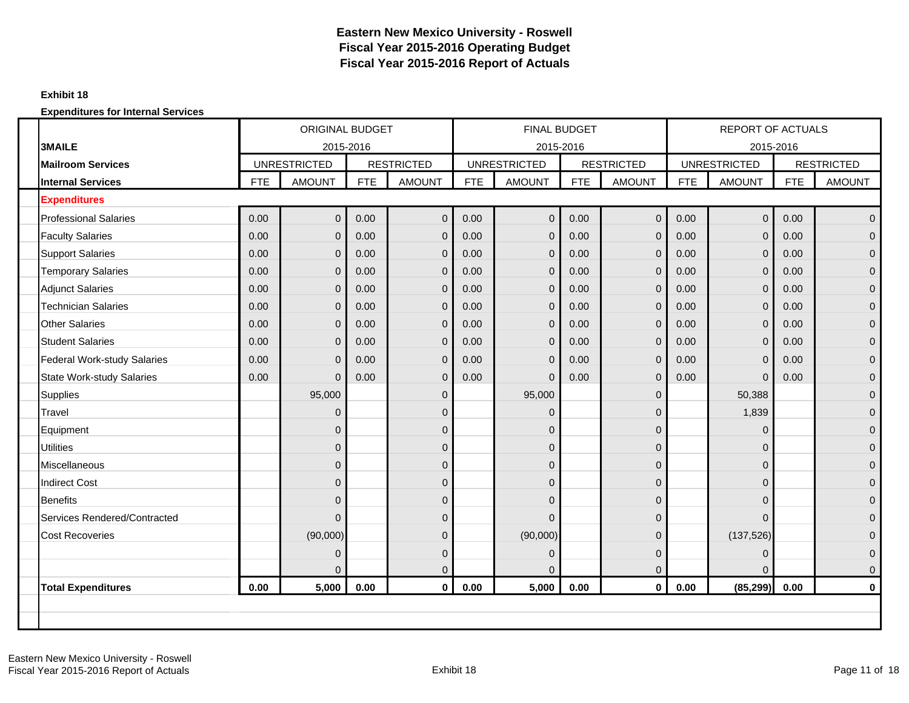#### **Exhibit 18**

|                                    |            | <b>ORIGINAL BUDGET</b> |            |                   |            | <b>FINAL BUDGET</b> |            |                   |            | <b>REPORT OF ACTUALS</b> |            |                   |
|------------------------------------|------------|------------------------|------------|-------------------|------------|---------------------|------------|-------------------|------------|--------------------------|------------|-------------------|
| <b>3MAILE</b>                      |            | 2015-2016              |            |                   |            |                     | 2015-2016  |                   |            | 2015-2016                |            |                   |
| <b>Mailroom Services</b>           |            | <b>UNRESTRICTED</b>    |            | <b>RESTRICTED</b> |            | <b>UNRESTRICTED</b> |            | <b>RESTRICTED</b> |            | <b>UNRESTRICTED</b>      |            | <b>RESTRICTED</b> |
| <b>Internal Services</b>           | <b>FTE</b> | <b>AMOUNT</b>          | <b>FTE</b> | <b>AMOUNT</b>     | <b>FTE</b> | <b>AMOUNT</b>       | <b>FTE</b> | <b>AMOUNT</b>     | <b>FTE</b> | <b>AMOUNT</b>            | <b>FTE</b> | <b>AMOUNT</b>     |
| <b>Expenditures</b>                |            |                        |            |                   |            |                     |            |                   |            |                          |            |                   |
| <b>Professional Salaries</b>       | 0.00       | $\mathbf 0$            | 0.00       | $\mathbf 0$       | 0.00       | $\mathbf{0}$        | 0.00       | $\mathbf 0$       | 0.00       | $\mathbf 0$              | 0.00       | $\mathbf{0}$      |
| <b>Faculty Salaries</b>            | 0.00       | $\mathbf{0}$           | 0.00       | $\mathbf 0$       | 0.00       | $\Omega$            | 0.00       | $\mathbf 0$       | 0.00       | $\mathbf 0$              | 0.00       | $\mathbf{0}$      |
| <b>Support Salaries</b>            | 0.00       | $\mathbf{0}$           | 0.00       | $\mathbf 0$       | 0.00       | $\mathbf 0$         | 0.00       | $\mathbf{0}$      | 0.00       | $\mathbf 0$              | 0.00       | $\mathbf{0}$      |
| <b>Temporary Salaries</b>          | 0.00       | $\mathbf{0}$           | 0.00       | $\mathbf 0$       | 0.00       | $\Omega$            | 0.00       | $\mathbf 0$       | 0.00       | $\mathbf 0$              | 0.00       | $\Omega$          |
| <b>Adjunct Salaries</b>            | 0.00       | $\Omega$               | 0.00       | $\mathbf 0$       | 0.00       | $\Omega$            | 0.00       | $\mathbf{0}$      | 0.00       | $\mathbf 0$              | 0.00       | $\mathbf{0}$      |
| <b>Technician Salaries</b>         | 0.00       | $\mathbf{0}$           | 0.00       | $\mathbf 0$       | 0.00       | $\Omega$            | 0.00       | $\mathbf 0$       | 0.00       | $\mathbf 0$              | 0.00       | $\mathbf{0}$      |
| <b>Other Salaries</b>              | 0.00       | $\overline{0}$         | 0.00       | $\mathbf 0$       | 0.00       | $\mathbf 0$         | 0.00       | $\mathbf 0$       | 0.00       | $\mathbf 0$              | 0.00       | $\mathbf 0$       |
| <b>Student Salaries</b>            | 0.00       | $\Omega$               | 0.00       | $\mathbf 0$       | 0.00       | $\Omega$            | 0.00       | $\mathbf{0}$      | 0.00       | $\mathbf 0$              | 0.00       | $\mathbf{0}$      |
| <b>Federal Work-study Salaries</b> | 0.00       | $\Omega$               | 0.00       | $\mathbf 0$       | 0.00       | $\Omega$            | 0.00       | $\mathbf{0}$      | 0.00       | 0                        | 0.00       | $\mathbf{0}$      |
| <b>State Work-study Salaries</b>   | 0.00       | $\mathbf{0}$           | 0.00       | $\mathbf 0$       | 0.00       | $\Omega$            | 0.00       | $\mathbf{0}$      | 0.00       | $\mathbf 0$              | 0.00       | $\mathbf 0$       |
| <b>Supplies</b>                    |            | 95,000                 |            | $\mathbf 0$       |            | 95,000              |            | $\overline{0}$    |            | 50,388                   |            | $\mathbf{0}$      |
| Travel                             |            | $\Omega$               |            | $\mathbf 0$       |            | $\Omega$            |            | $\Omega$          |            | 1,839                    |            | $\mathbf{0}$      |
| Equipment                          |            | $\Omega$               |            | $\mathbf 0$       |            | $\mathbf{0}$        |            | $\overline{0}$    |            | 0                        |            | $\mathbf{0}$      |
| <b>Utilities</b>                   |            | $\mathbf{0}$           |            | $\mathbf 0$       |            | $\mathbf{0}$        |            | $\Omega$          |            | 0                        |            | $\mathbf{0}$      |
| Miscellaneous                      |            | $\mathbf{0}$           |            | $\mathbf 0$       |            | $\mathbf{0}$        |            | $\overline{0}$    |            | 0                        |            | $\mathbf 0$       |
| <b>Indirect Cost</b>               |            | $\Omega$               |            | $\mathbf{0}$      |            | $\Omega$            |            | $\Omega$          |            | 0                        |            | $\Omega$          |
| <b>Benefits</b>                    |            | $\Omega$               |            | $\mathbf{0}$      |            | $\mathbf{0}$        |            | $\Omega$          |            | 0                        |            | $\mathbf{0}$      |
| Services Rendered/Contracted       |            | $\Omega$               |            | $\mathbf{0}$      |            | $\Omega$            |            | $\Omega$          |            | 0                        |            | $\mathbf{0}$      |
| <b>Cost Recoveries</b>             |            | (90,000)               |            | $\mathbf 0$       |            | (90,000)            |            | $\Omega$          |            | (137, 526)               |            | $\mathbf{0}$      |
|                                    |            | $\mathbf 0$            |            | $\mathbf 0$       |            | $\mathbf 0$         |            | 0                 |            | 0                        |            | $\mathbf 0$       |
|                                    |            | $\Omega$               |            | $\mathbf 0$       |            |                     |            | $\Omega$          |            | $\Omega$                 |            | $\mathbf{0}$      |
| <b>Total Expenditures</b>          | 0.00       | 5,000                  | 0.00       | $\mathbf 0$       | 0.00       | 5,000               | 0.00       | $\mathbf{0}$      | 0.00       | (85, 299)                | 0.00       | $\mathbf 0$       |
|                                    |            |                        |            |                   |            |                     |            |                   |            |                          |            |                   |
|                                    |            |                        |            |                   |            |                     |            |                   |            |                          |            |                   |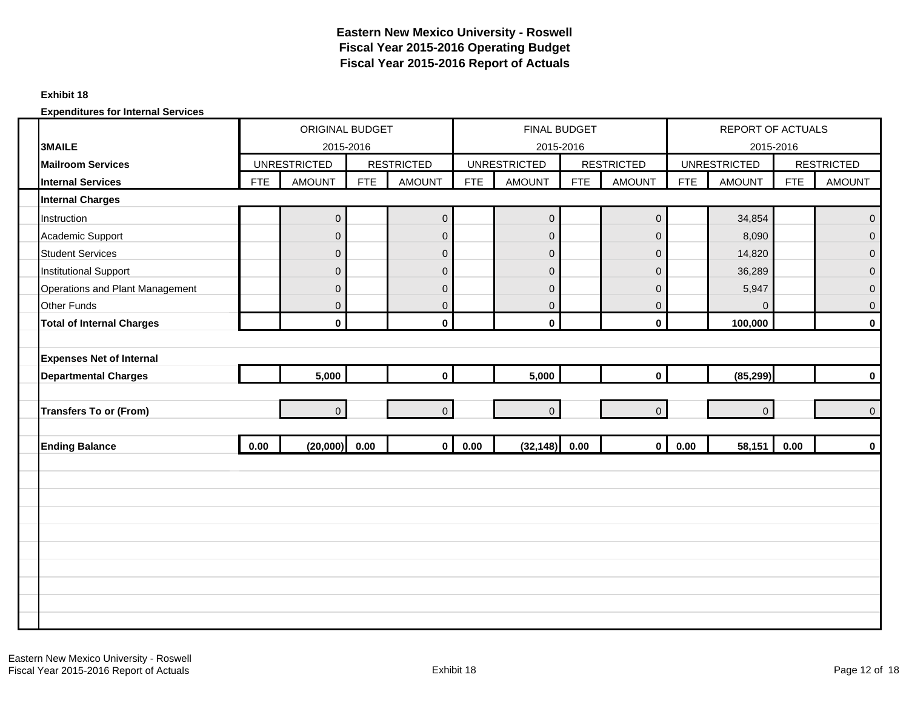#### **Exhibit 18**

|                                  |            | ORIGINAL BUDGET<br>2015-2016 |            |                   |            | FINAL BUDGET        |            |                   |            | <b>REPORT OF ACTUALS</b> |            |                   |
|----------------------------------|------------|------------------------------|------------|-------------------|------------|---------------------|------------|-------------------|------------|--------------------------|------------|-------------------|
| <b>3MAILE</b>                    |            |                              |            |                   |            | 2015-2016           |            |                   |            | 2015-2016                |            |                   |
| <b>Mailroom Services</b>         |            | <b>UNRESTRICTED</b>          |            | <b>RESTRICTED</b> |            | <b>UNRESTRICTED</b> |            | <b>RESTRICTED</b> |            | <b>UNRESTRICTED</b>      |            | <b>RESTRICTED</b> |
| <b>Internal Services</b>         | <b>FTE</b> | <b>AMOUNT</b>                | <b>FTE</b> | <b>AMOUNT</b>     | <b>FTE</b> | <b>AMOUNT</b>       | <b>FTE</b> | <b>AMOUNT</b>     | <b>FTE</b> | <b>AMOUNT</b>            | <b>FTE</b> | <b>AMOUNT</b>     |
| <b>Internal Charges</b>          |            |                              |            |                   |            |                     |            |                   |            |                          |            |                   |
| Instruction                      |            | $\overline{0}$               |            | $\mathbf 0$       |            | $\overline{0}$      |            | $\mathbf 0$       |            | 34,854                   |            | $\mathbf 0$       |
| Academic Support                 |            | $\mathbf{0}$                 |            | $\mathbf 0$       |            | $\overline{0}$      |            | $\mathsf 0$       |            | 8,090                    |            | $\overline{0}$    |
| <b>Student Services</b>          |            | $\overline{0}$               |            | $\pmb{0}$         |            | $\overline{0}$      |            | $\mathbf{0}$      |            | 14,820                   |            | $\mathbf{0}$      |
| <b>Institutional Support</b>     |            | $\mathbf{0}$                 |            | $\pmb{0}$         |            | $\overline{0}$      |            | $\mathbf 0$       |            | 36,289                   |            | $\mathbf 0$       |
| Operations and Plant Management  |            | $\overline{0}$               |            | $\pmb{0}$         |            | $\overline{0}$      |            | $\mathbf 0$       |            | 5,947                    |            | $\mathbf 0$       |
| <b>Other Funds</b>               |            | $\overline{0}$               |            | $\mathbf 0$       |            | $\overline{0}$      |            | $\overline{0}$    |            | $\Omega$                 |            | $\mathbf 0$       |
| <b>Total of Internal Charges</b> |            | $\mathbf 0$                  |            | $\mathbf 0$       |            | $\mathbf 0$         |            | $\mathbf{0}$      |            | 100,000                  |            | $\mathbf 0$       |
|                                  |            |                              |            |                   |            |                     |            |                   |            |                          |            |                   |
| <b>Expenses Net of Internal</b>  |            |                              |            |                   |            |                     |            |                   |            |                          |            |                   |
| <b>Departmental Charges</b>      |            | 5,000                        |            | $\mathbf 0$       |            | 5,000               |            | $\mathbf{0}$      |            | (85, 299)                |            | $\mathbf 0$       |
|                                  |            |                              |            |                   |            |                     |            |                   |            |                          |            |                   |
| <b>Transfers To or (From)</b>    |            | $\overline{0}$               |            | $\mathbf{0}$      |            | $\overline{0}$      |            | $\overline{0}$    |            | $\mathbf{0}$             |            | $\mathbf 0$       |
|                                  |            |                              |            |                   |            |                     |            |                   |            |                          |            |                   |
| <b>Ending Balance</b>            | 0.00       | $(20,000)$ 0.00              |            | $\mathbf 0$       | 0.00       | $(32, 148)$ 0.00    |            | $\mathbf{0}$      | 0.00       | 58,151                   | 0.00       | $\mathbf 0$       |
|                                  |            |                              |            |                   |            |                     |            |                   |            |                          |            |                   |
|                                  |            |                              |            |                   |            |                     |            |                   |            |                          |            |                   |
|                                  |            |                              |            |                   |            |                     |            |                   |            |                          |            |                   |
|                                  |            |                              |            |                   |            |                     |            |                   |            |                          |            |                   |
|                                  |            |                              |            |                   |            |                     |            |                   |            |                          |            |                   |
|                                  |            |                              |            |                   |            |                     |            |                   |            |                          |            |                   |
|                                  |            |                              |            |                   |            |                     |            |                   |            |                          |            |                   |
|                                  |            |                              |            |                   |            |                     |            |                   |            |                          |            |                   |
|                                  |            |                              |            |                   |            |                     |            |                   |            |                          |            |                   |
|                                  |            |                              |            |                   |            |                     |            |                   |            |                          |            |                   |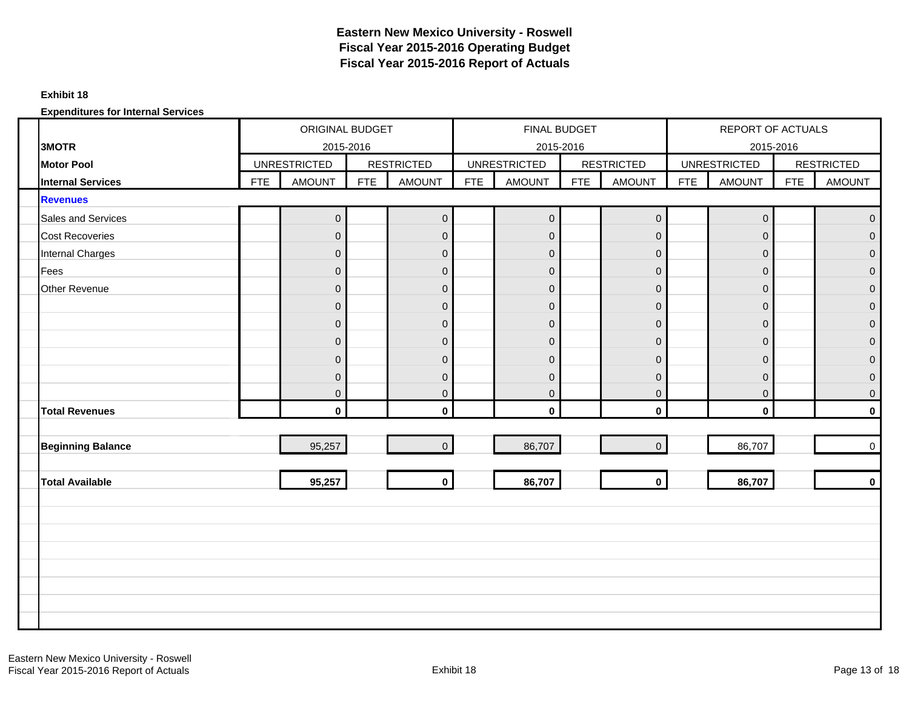#### **Exhibit 18**

|                          |            | ORIGINAL BUDGET     |            |                   |            | FINAL BUDGET        |            |                   |            | <b>REPORT OF ACTUALS</b> |            |                   |
|--------------------------|------------|---------------------|------------|-------------------|------------|---------------------|------------|-------------------|------------|--------------------------|------------|-------------------|
| 3MOTR                    |            | 2015-2016           |            |                   |            | 2015-2016           |            |                   |            | 2015-2016                |            |                   |
| <b>Motor Pool</b>        |            | <b>UNRESTRICTED</b> |            | <b>RESTRICTED</b> |            | <b>UNRESTRICTED</b> |            | <b>RESTRICTED</b> |            | <b>UNRESTRICTED</b>      |            | <b>RESTRICTED</b> |
| <b>Internal Services</b> | <b>FTE</b> | <b>AMOUNT</b>       | <b>FTE</b> | <b>AMOUNT</b>     | <b>FTE</b> | <b>AMOUNT</b>       | <b>FTE</b> | <b>AMOUNT</b>     | <b>FTE</b> | <b>AMOUNT</b>            | <b>FTE</b> | <b>AMOUNT</b>     |
| <b>Revenues</b>          |            |                     |            |                   |            |                     |            |                   |            |                          |            |                   |
| Sales and Services       |            | $\boldsymbol{0}$    |            | $\pmb{0}$         |            | $\overline{0}$      |            | $\mathbf 0$       |            | $\mathsf{O}\xspace$      |            | $\mathbf 0$       |
| <b>Cost Recoveries</b>   |            | $\overline{0}$      |            | $\mathbf{0}$      |            | $\overline{0}$      |            | $\mathbf{O}$      |            | $\mathbf 0$              |            | $\Omega$          |
| <b>Internal Charges</b>  |            | $\overline{0}$      |            | $\mathbf 0$       |            | $\mathbf 0$         |            | $\mathbf{O}$      |            | $\mathsf{O}\xspace$      |            | $\mathbf 0$       |
| Fees                     |            | $\mathbf 0$         |            | $\boldsymbol{0}$  |            | $\mathbf{0}$        |            | $\mathbf 0$       |            | $\mathbf 0$              |            | $\mathbf 0$       |
| Other Revenue            |            | $\overline{0}$      |            | $\mathbf 0$       |            | $\overline{0}$      |            | $\mathbf 0$       |            | $\mathbf 0$              |            | $\mathbf 0$       |
|                          |            | $\mathbf 0$         |            | $\boldsymbol{0}$  |            | $\mathbf 0$         |            | $\mathbf 0$       |            | $\mathsf{O}\xspace$      |            | $\pmb{0}$         |
|                          |            | $\overline{0}$      |            | $\boldsymbol{0}$  |            | $\overline{0}$      |            | $\mathbf{O}$      |            | $\mathbf 0$              |            | $\pmb{0}$         |
|                          |            | $\mathbf{0}$        |            | $\mathbf 0$       |            | $\mathbf 0$         |            | $\mathbf 0$       |            | $\mathbf 0$              |            | $\mathbf 0$       |
|                          |            | $\overline{0}$      |            | $\mathbf 0$       |            | $\Omega$            |            | $\overline{0}$    |            | $\overline{0}$           |            | $\mathbf 0$       |
|                          |            | $\overline{0}$      |            | $\boldsymbol{0}$  |            | $\overline{0}$      |            | $\mathsf 0$       |            | $\mathsf{O}\xspace$      |            | $\mathbf 0$       |
|                          |            | $\mathbf{0}$        |            | $\mathbf 0$       |            | $\overline{0}$      |            | $\overline{0}$    |            | $\mathbf 0$              |            | $\overline{0}$    |
| <b>Total Revenues</b>    |            | $\mathbf{0}$        |            | $\mathbf{0}$      |            | $\mathbf{0}$        |            | $\mathbf{0}$      |            | $\mathbf 0$              |            | $\mathbf{0}$      |
|                          |            |                     |            |                   |            |                     |            |                   |            |                          |            |                   |
| <b>Beginning Balance</b> |            | 95,257              |            | $\overline{0}$    |            | 86,707              |            | $\overline{0}$    |            | 86,707                   |            | $\mathbf 0$       |
|                          |            |                     |            |                   |            |                     |            |                   |            |                          |            |                   |
| <b>Total Available</b>   |            | 95,257              |            | $\mathbf 0$       |            | 86,707              |            | $\mathbf 0$       |            | 86,707                   |            | $\mathbf{0}$      |
|                          |            |                     |            |                   |            |                     |            |                   |            |                          |            |                   |
|                          |            |                     |            |                   |            |                     |            |                   |            |                          |            |                   |
|                          |            |                     |            |                   |            |                     |            |                   |            |                          |            |                   |
|                          |            |                     |            |                   |            |                     |            |                   |            |                          |            |                   |
|                          |            |                     |            |                   |            |                     |            |                   |            |                          |            |                   |
|                          |            |                     |            |                   |            |                     |            |                   |            |                          |            |                   |
|                          |            |                     |            |                   |            |                     |            |                   |            |                          |            |                   |
|                          |            |                     |            |                   |            |                     |            |                   |            |                          |            |                   |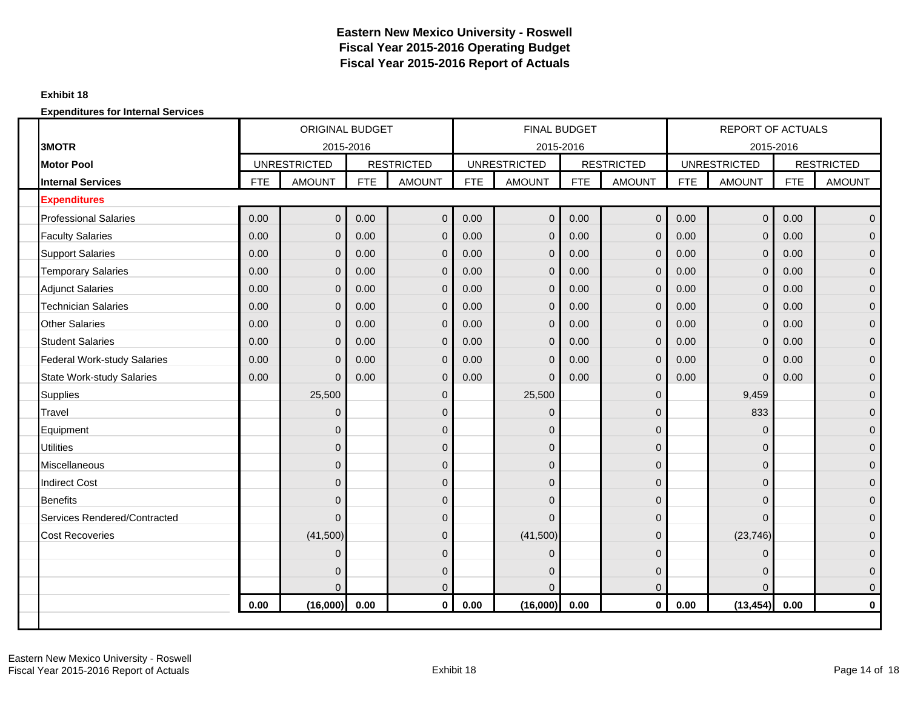#### **Exhibit 18**

|                                    |            | <b>ORIGINAL BUDGET</b>           |            |                   |            | <b>FINAL BUDGET</b>              |            |                   |            | <b>REPORT OF ACTUALS</b>         |            |                   |
|------------------------------------|------------|----------------------------------|------------|-------------------|------------|----------------------------------|------------|-------------------|------------|----------------------------------|------------|-------------------|
| 3MOTR<br><b>Motor Pool</b>         |            | 2015-2016<br><b>UNRESTRICTED</b> |            | <b>RESTRICTED</b> |            | 2015-2016<br><b>UNRESTRICTED</b> |            | <b>RESTRICTED</b> |            | 2015-2016<br><b>UNRESTRICTED</b> |            | <b>RESTRICTED</b> |
| <b>Internal Services</b>           | <b>FTE</b> | <b>AMOUNT</b>                    | <b>FTE</b> | <b>AMOUNT</b>     | <b>FTE</b> | <b>AMOUNT</b>                    | <b>FTE</b> | <b>AMOUNT</b>     | <b>FTE</b> | <b>AMOUNT</b>                    | <b>FTE</b> | <b>AMOUNT</b>     |
|                                    |            |                                  |            |                   |            |                                  |            |                   |            |                                  |            |                   |
| <b>Expenditures</b>                |            |                                  |            |                   |            |                                  |            |                   |            |                                  |            |                   |
| <b>Professional Salaries</b>       | 0.00       | $\mathbf 0$                      | 0.00       | $\mathbf 0$       | 0.00       | $\Omega$                         | 0.00       | $\mathbf 0$       | 0.00       | $\mathbf 0$                      | 0.00       | $\mathbf{0}$      |
| <b>Faculty Salaries</b>            | 0.00       | $\Omega$                         | 0.00       | $\mathbf{0}$      | 0.00       | $\Omega$                         | 0.00       | $\mathbf{0}$      | 0.00       | $\mathbf{0}$                     | 0.00       | $\Omega$          |
| <b>Support Salaries</b>            | 0.00       | $\overline{0}$                   | 0.00       | $\mathbf{0}$      | 0.00       | $\Omega$                         | 0.00       | $\overline{0}$    | 0.00       | $\mathbf 0$                      | 0.00       | $\overline{0}$    |
| <b>Temporary Salaries</b>          | 0.00       | $\overline{0}$                   | 0.00       | $\mathbf{0}$      | 0.00       | $\Omega$                         | 0.00       | $\mathbf 0$       | 0.00       | $\mathbf 0$                      | 0.00       | $\Omega$          |
| <b>Adjunct Salaries</b>            | 0.00       | $\Omega$                         | 0.00       | $\mathbf{0}$      | 0.00       | $\Omega$                         | 0.00       | $\mathbf{0}$      | 0.00       | $\mathbf{0}$                     | 0.00       | $\Omega$          |
| <b>Technician Salaries</b>         | 0.00       | $\overline{0}$                   | 0.00       | $\mathbf{0}$      | 0.00       | $\Omega$                         | 0.00       | $\mathbf 0$       | 0.00       | $\mathbf{0}$                     | 0.00       | $\mathbf{0}$      |
| <b>Other Salaries</b>              | 0.00       | $\overline{0}$                   | 0.00       | $\overline{0}$    | 0.00       | $\Omega$                         | 0.00       | $\mathbf{0}$      | 0.00       | $\mathbf 0$                      | 0.00       | $\overline{0}$    |
| <b>Student Salaries</b>            | 0.00       | $\overline{0}$                   | 0.00       | $\mathbf 0$       | 0.00       | $\Omega$                         | 0.00       | $\mathbf 0$       | 0.00       | $\mathbf 0$                      | 0.00       | $\mathbf{0}$      |
| <b>Federal Work-study Salaries</b> | 0.00       | $\Omega$                         | 0.00       | $\mathbf 0$       | 0.00       | $\Omega$                         | 0.00       | $\mathbf{0}$      | 0.00       | $\mathbf 0$                      | 0.00       | $\mathbf{0}$      |
| <b>State Work-study Salaries</b>   | 0.00       | $\Omega$                         | 0.00       | $\mathbf{0}$      | 0.00       | $\Omega$                         | 0.00       | $\Omega$          | 0.00       | $\mathbf{0}$                     | 0.00       | $\overline{0}$    |
| <b>Supplies</b>                    |            | 25,500                           |            | $\pmb{0}$         |            | 25,500                           |            | $\overline{0}$    |            | 9,459                            |            | $\Omega$          |
| Travel                             |            | $\Omega$                         |            | $\mathbf 0$       |            | $\mathbf{0}$                     |            | $\Omega$          |            | 833                              |            | $\Omega$          |
| Equipment                          |            | 0                                |            | $\mathbf 0$       |            | $\mathbf{0}$                     |            | $\Omega$          |            | $\mathbf{0}$                     |            | $\mathbf{0}$      |
| <b>Utilities</b>                   |            | 0                                |            | $\mathbf 0$       |            | $\mathbf 0$                      |            | $\Omega$          |            | 0                                |            | $\overline{0}$    |
| <b>Miscellaneous</b>               |            | $\Omega$                         |            | $\mathbf 0$       |            | $\mathbf{0}$                     |            | $\Omega$          |            | 0                                |            | $\Omega$          |
| <b>Indirect Cost</b>               |            | $\Omega$                         |            | $\mathbf 0$       |            | $\overline{0}$                   |            | $\Omega$          |            | $\overline{0}$                   |            | $\Omega$          |
| <b>Benefits</b>                    |            | $\Omega$                         |            | $\pmb{0}$         |            | $\mathbf 0$                      |            | $\Omega$          |            | $\overline{0}$                   |            | $\overline{0}$    |
| Services Rendered/Contracted       |            | $\Omega$                         |            | $\pmb{0}$         |            | $\Omega$                         |            | $\Omega$          |            | 0                                |            | $\Omega$          |
| <b>Cost Recoveries</b>             |            | (41,500)                         |            | $\mathbf 0$       |            | (41,500)                         |            | $\Omega$          |            | (23, 746)                        |            | $\mathbf{0}$      |
|                                    |            | $\Omega$                         |            | $\mathbf 0$       |            | $\Omega$                         |            | $\Omega$          |            | 0                                |            | $\Omega$          |
|                                    |            | $\Omega$                         |            | $\pmb{0}$         |            | $\overline{0}$                   |            | $\Omega$          |            | 0                                |            | $\mathbf{0}$      |
|                                    |            | $\Omega$                         |            | $\mathbf{0}$      |            | $\Omega$                         |            | $\Omega$          |            | $\Omega$                         |            | $\mathbf{0}$      |
|                                    | 0.00       | (16,000)                         | 0.00       | $\mathbf{0}$      | 0.00       | (16,000)                         | 0.00       | $\mathbf{0}$      | 0.00       | (13, 454)                        | 0.00       | $\mathbf{0}$      |
|                                    |            |                                  |            |                   |            |                                  |            |                   |            |                                  |            |                   |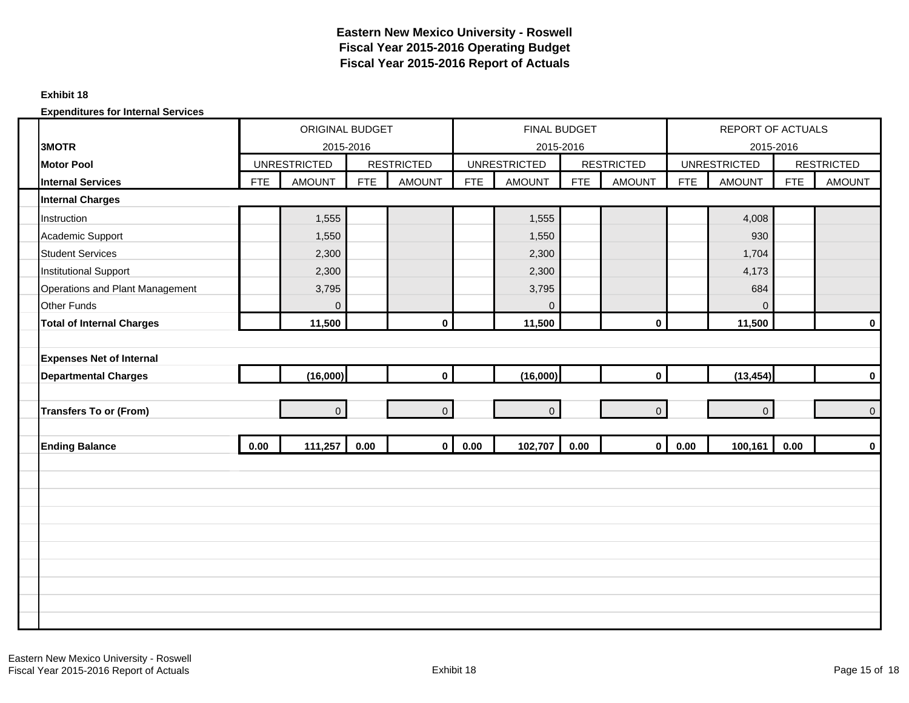#### **Exhibit 18**

|                                  |            | ORIGINAL BUDGET     |            |                   |            | FINAL BUDGET        |            |                   |            | REPORT OF ACTUALS   |            |                   |
|----------------------------------|------------|---------------------|------------|-------------------|------------|---------------------|------------|-------------------|------------|---------------------|------------|-------------------|
| 3MOTR                            |            | 2015-2016           |            |                   |            | 2015-2016           |            |                   |            | 2015-2016           |            |                   |
| <b>Motor Pool</b>                |            | <b>UNRESTRICTED</b> |            | <b>RESTRICTED</b> |            | <b>UNRESTRICTED</b> |            | <b>RESTRICTED</b> |            | <b>UNRESTRICTED</b> |            | <b>RESTRICTED</b> |
| <b>Internal Services</b>         | <b>FTE</b> | <b>AMOUNT</b>       | <b>FTE</b> | <b>AMOUNT</b>     | <b>FTE</b> | <b>AMOUNT</b>       | <b>FTE</b> | <b>AMOUNT</b>     | <b>FTE</b> | <b>AMOUNT</b>       | <b>FTE</b> | <b>AMOUNT</b>     |
| <b>Internal Charges</b>          |            |                     |            |                   |            |                     |            |                   |            |                     |            |                   |
| Instruction                      |            | 1,555               |            |                   |            | 1,555               |            |                   |            | 4,008               |            |                   |
| Academic Support                 |            | 1,550               |            |                   |            | 1,550               |            |                   |            | 930                 |            |                   |
| <b>Student Services</b>          |            | 2,300               |            |                   |            | 2,300               |            |                   |            | 1,704               |            |                   |
| <b>Institutional Support</b>     |            | 2,300               |            |                   |            | 2,300               |            |                   |            | 4,173               |            |                   |
| Operations and Plant Management  |            | 3,795               |            |                   |            | 3,795               |            |                   |            | 684                 |            |                   |
| Other Funds                      |            | $\mathbf{0}$        |            |                   |            | $\Omega$            |            |                   |            | $\overline{0}$      |            |                   |
| <b>Total of Internal Charges</b> |            | 11,500              |            | $\pmb{0}$         |            | 11,500              |            | $\mathbf 0$       |            | 11,500              |            | $\mathbf 0$       |
|                                  |            |                     |            |                   |            |                     |            |                   |            |                     |            |                   |
| <b>Expenses Net of Internal</b>  |            |                     |            |                   |            |                     |            |                   |            |                     |            |                   |
| <b>Departmental Charges</b>      |            | (16,000)            |            | $\mathbf 0$       |            | (16,000)            |            | $\mathbf{0}$      |            | (13, 454)           |            | $\mathbf 0$       |
|                                  |            |                     |            |                   |            |                     |            |                   |            |                     |            |                   |
| <b>Transfers To or (From)</b>    |            | $\overline{0}$      |            | $\mathbf 0$       |            | $\overline{0}$      |            | $\overline{0}$    |            | $\overline{0}$      |            | $\mathbf 0$       |
|                                  |            |                     |            |                   |            |                     |            |                   |            |                     |            |                   |
| <b>Ending Balance</b>            | 0.00       | 111,257             | 0.00       | $\mathbf 0$       | 0.00       | 102,707             | 0.00       | $\mathbf{0}$      | 0.00       | 100,161             | 0.00       | $\mathbf 0$       |
|                                  |            |                     |            |                   |            |                     |            |                   |            |                     |            |                   |
|                                  |            |                     |            |                   |            |                     |            |                   |            |                     |            |                   |
|                                  |            |                     |            |                   |            |                     |            |                   |            |                     |            |                   |
|                                  |            |                     |            |                   |            |                     |            |                   |            |                     |            |                   |
|                                  |            |                     |            |                   |            |                     |            |                   |            |                     |            |                   |
|                                  |            |                     |            |                   |            |                     |            |                   |            |                     |            |                   |
|                                  |            |                     |            |                   |            |                     |            |                   |            |                     |            |                   |
|                                  |            |                     |            |                   |            |                     |            |                   |            |                     |            |                   |
|                                  |            |                     |            |                   |            |                     |            |                   |            |                     |            |                   |
|                                  |            |                     |            |                   |            |                     |            |                   |            |                     |            |                   |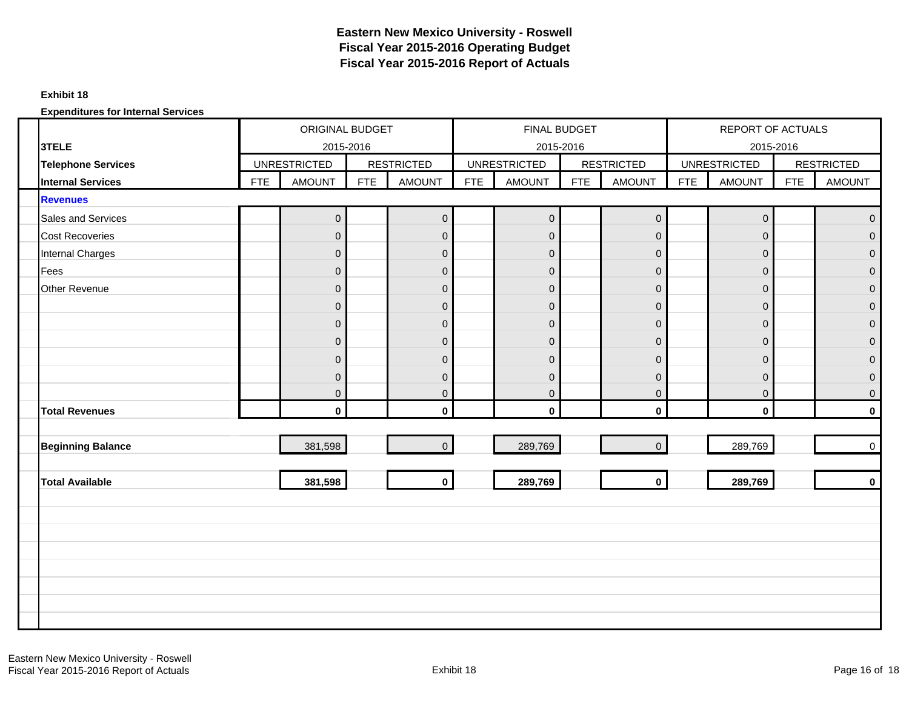#### **Exhibit 18**

|                           |            | ORIGINAL BUDGET     |            |                   |            | FINAL BUDGET        |            |                   |            | REPORT OF ACTUALS   |            |                   |
|---------------------------|------------|---------------------|------------|-------------------|------------|---------------------|------------|-------------------|------------|---------------------|------------|-------------------|
| 3TELE                     |            | 2015-2016           |            |                   |            | 2015-2016           |            |                   |            | 2015-2016           |            |                   |
| <b>Telephone Services</b> |            | <b>UNRESTRICTED</b> |            | <b>RESTRICTED</b> |            | <b>UNRESTRICTED</b> |            | <b>RESTRICTED</b> |            | <b>UNRESTRICTED</b> |            | <b>RESTRICTED</b> |
| <b>Internal Services</b>  | <b>FTE</b> | <b>AMOUNT</b>       | <b>FTE</b> | <b>AMOUNT</b>     | <b>FTE</b> | <b>AMOUNT</b>       | <b>FTE</b> | <b>AMOUNT</b>     | <b>FTE</b> | <b>AMOUNT</b>       | <b>FTE</b> | <b>AMOUNT</b>     |
| <b>Revenues</b>           |            |                     |            |                   |            |                     |            |                   |            |                     |            |                   |
| Sales and Services        |            | $\overline{0}$      |            | $\mathbf 0$       |            | $\overline{0}$      |            | $\overline{0}$    |            | $\mathbf 0$         |            | $\mathbf 0$       |
| <b>Cost Recoveries</b>    |            | $\Omega$            |            | $\mathbf 0$       |            | $\overline{0}$      |            | $\mathbf 0$       |            | $\mathbf{0}$        |            | $\overline{0}$    |
| <b>Internal Charges</b>   |            | $\overline{0}$      |            | $\pmb{0}$         |            | $\mathbf 0$         |            | $\overline{0}$    |            | $\mathbf 0$         |            | $\pmb{0}$         |
| Fees                      |            | $\overline{0}$      |            | $\pmb{0}$         |            | $\mathbf 0$         |            | $\mathbf 0$       |            | $\mathbf 0$         |            | $\pmb{0}$         |
| Other Revenue             |            | $\overline{0}$      |            | $\mathsf 0$       |            | $\mathbf 0$         |            | $\mathbf{O}$      |            | $\mathbf 0$         |            | $\mathbf 0$       |
|                           |            | $\mathbf{0}$        |            | $\pmb{0}$         |            | $\mathbf 0$         |            | $\mathbf 0$       |            | $\mathbf 0$         |            | $\mathbf 0$       |
|                           |            | $\overline{0}$      |            | $\boldsymbol{0}$  |            | $\overline{0}$      |            | $\mathbf{O}$      |            | $\mathbf 0$         |            | $\pmb{0}$         |
|                           |            | $\overline{0}$      |            | $\pmb{0}$         |            | $\pmb{0}$           |            | $\mathbf 0$       |            | $\mathbf 0$         |            | $\pmb{0}$         |
|                           |            | $\Omega$            |            | $\pmb{0}$         |            | $\overline{0}$      |            | $\mathbf 0$       |            | $\mathbf 0$         |            | $\mathbf 0$       |
|                           |            | $\overline{0}$      |            | $\pmb{0}$         |            | $\overline{0}$      |            | $\mathbf 0$       |            | $\mathbf 0$         |            | $\mathbf 0$       |
|                           |            | $\overline{0}$      |            | $\pmb{0}$         |            | $\overline{0}$      |            | $\overline{0}$    |            | $\mathbf 0$         |            | $\overline{0}$    |
| <b>Total Revenues</b>     |            | $\mathbf{0}$        |            | $\mathbf 0$       |            | $\mathbf 0$         |            | $\mathbf{0}$      |            | $\mathbf 0$         |            | $\mathbf 0$       |
|                           |            |                     |            |                   |            |                     |            |                   |            |                     |            |                   |
| <b>Beginning Balance</b>  |            | 381,598             |            | $\pmb{0}$         |            | 289,769             |            | $\overline{0}$    |            | 289,769             |            | $\mathbf 0$       |
|                           |            |                     |            |                   |            |                     |            |                   |            |                     |            |                   |
| <b>Total Available</b>    |            | 381,598             |            | $\mathbf 0$       |            | 289,769             |            | $\mathbf{0}$      |            | 289,769             |            | $\mathbf 0$       |
|                           |            |                     |            |                   |            |                     |            |                   |            |                     |            |                   |
|                           |            |                     |            |                   |            |                     |            |                   |            |                     |            |                   |
|                           |            |                     |            |                   |            |                     |            |                   |            |                     |            |                   |
|                           |            |                     |            |                   |            |                     |            |                   |            |                     |            |                   |
|                           |            |                     |            |                   |            |                     |            |                   |            |                     |            |                   |
|                           |            |                     |            |                   |            |                     |            |                   |            |                     |            |                   |
|                           |            |                     |            |                   |            |                     |            |                   |            |                     |            |                   |
|                           |            |                     |            |                   |            |                     |            |                   |            |                     |            |                   |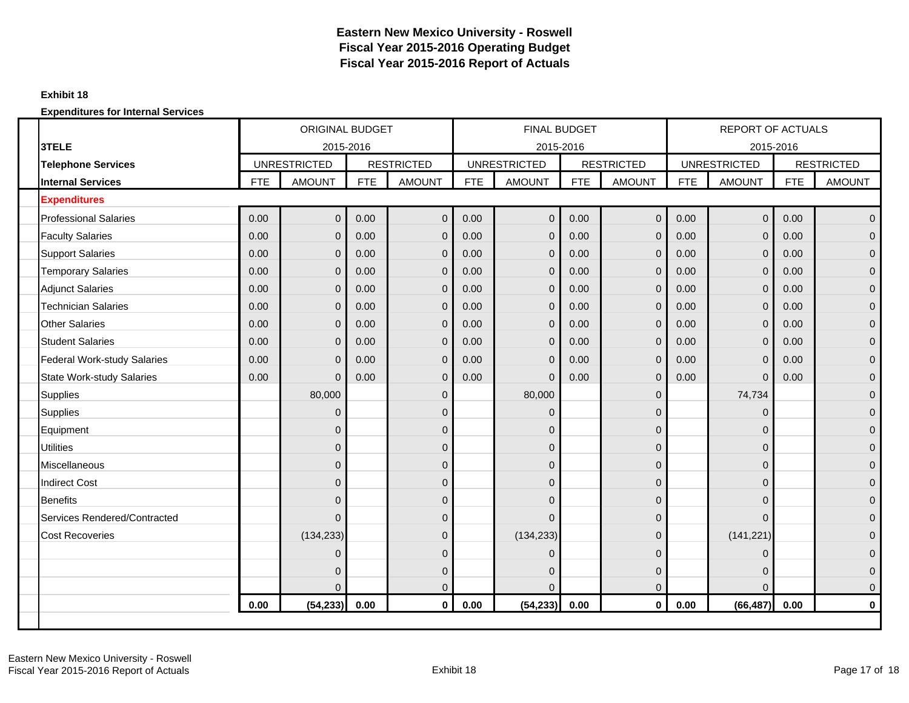#### **Exhibit 18**

|                                    |            | <b>ORIGINAL BUDGET</b> |            |                   |            | <b>FINAL BUDGET</b> |            |                   |            | <b>REPORT OF ACTUALS</b> |            |                   |
|------------------------------------|------------|------------------------|------------|-------------------|------------|---------------------|------------|-------------------|------------|--------------------------|------------|-------------------|
| 3TELE                              |            | 2015-2016              |            |                   |            | 2015-2016           |            |                   |            | 2015-2016                |            |                   |
| <b>Telephone Services</b>          |            | <b>UNRESTRICTED</b>    |            | <b>RESTRICTED</b> |            | <b>UNRESTRICTED</b> |            | <b>RESTRICTED</b> |            | <b>UNRESTRICTED</b>      |            | <b>RESTRICTED</b> |
| <b>Internal Services</b>           | <b>FTE</b> | <b>AMOUNT</b>          | <b>FTE</b> | <b>AMOUNT</b>     | <b>FTE</b> | <b>AMOUNT</b>       | <b>FTE</b> | <b>AMOUNT</b>     | <b>FTE</b> | <b>AMOUNT</b>            | <b>FTE</b> | <b>AMOUNT</b>     |
| <b>Expenditures</b>                |            |                        |            |                   |            |                     |            |                   |            |                          |            |                   |
| <b>Professional Salaries</b>       | 0.00       | $\mathbf{0}$           | 0.00       | $\mathbf 0$       | 0.00       | $\Omega$            | 0.00       | $\mathbf 0$       | 0.00       | $\mathbf 0$              | 0.00       | $\Omega$          |
| <b>Faculty Salaries</b>            | 0.00       | $\Omega$               | 0.00       | $\mathbf 0$       | 0.00       | $\Omega$            | 0.00       | $\overline{0}$    | 0.00       | $\mathbf{0}$             | 0.00       | $\Omega$          |
| <b>Support Salaries</b>            | 0.00       | $\overline{0}$         | 0.00       | $\mathbf 0$       | 0.00       | $\Omega$            | 0.00       | $\overline{0}$    | 0.00       | $\mathbf 0$              | 0.00       | $\mathbf{0}$      |
| <b>Temporary Salaries</b>          | 0.00       | $\overline{0}$         | 0.00       | $\mathbf 0$       | 0.00       | $\Omega$            | 0.00       | $\overline{0}$    | 0.00       | $\mathbf 0$              | 0.00       | $\Omega$          |
| <b>Adjunct Salaries</b>            | 0.00       | $\Omega$               | 0.00       | $\mathbf 0$       | 0.00       | $\Omega$            | 0.00       | $\overline{0}$    | 0.00       | $\mathbf{0}$             | 0.00       | $\Omega$          |
| <b>Technician Salaries</b>         | 0.00       | $\overline{0}$         | 0.00       | $\mathbf 0$       | 0.00       | $\Omega$            | 0.00       | $\overline{0}$    | 0.00       | $\mathbf 0$              | 0.00       | $\mathbf{0}$      |
| <b>Other Salaries</b>              | 0.00       | $\overline{0}$         | 0.00       | $\mathbf 0$       | 0.00       | $\Omega$            | 0.00       | $\mathbf 0$       | 0.00       | $\mathbf 0$              | 0.00       | $\mathbf{0}$      |
| <b>Student Salaries</b>            | 0.00       | $\overline{0}$         | 0.00       | $\mathbf 0$       | 0.00       | $\Omega$            | 0.00       | $\mathbf 0$       | 0.00       | $\mathbf 0$              | 0.00       | $\Omega$          |
| <b>Federal Work-study Salaries</b> | 0.00       | $\Omega$               | 0.00       | $\mathbf 0$       | 0.00       | $\Omega$            | 0.00       | $\overline{0}$    | 0.00       | $\mathbf 0$              | 0.00       | $\Omega$          |
| <b>State Work-study Salaries</b>   | 0.00       | $\Omega$               | 0.00       | $\mathbf 0$       | 0.00       | $\Omega$            | 0.00       | $\Omega$          | 0.00       | $\mathbf{0}$             | 0.00       | $\mathbf{0}$      |
| <b>Supplies</b>                    |            | 80,000                 |            | $\overline{0}$    |            | 80,000              |            | $\Omega$          |            | 74,734                   |            | $\Omega$          |
| <b>Supplies</b>                    |            | $\Omega$               |            | $\mathbf 0$       |            | $\Omega$            |            | $\Omega$          |            | 0                        |            | $\Omega$          |
| Equipment                          |            | 0                      |            | $\mathbf 0$       |            | $\mathbf 0$         |            | $\overline{0}$    |            | 0                        |            | $\mathbf{0}$      |
| <b>Utilities</b>                   |            | $\mathbf{0}$           |            | $\mathbf 0$       |            | $\mathbf 0$         |            | $\Omega$          |            | 0                        |            | $\mathbf{0}$      |
| <b>Miscellaneous</b>               |            | $\Omega$               |            | $\mathbf 0$       |            | $\Omega$            |            | $\Omega$          |            | 0                        |            | $\Omega$          |
| <b>Indirect Cost</b>               |            | $\Omega$               |            | $\mathbf 0$       |            | $\Omega$            |            | $\Omega$          |            | 0                        |            | $\Omega$          |
| <b>Benefits</b>                    |            | $\Omega$               |            | $\overline{0}$    |            | $\mathbf{0}$        |            | $\Omega$          |            | 0                        |            | $\mathbf{0}$      |
| Services Rendered/Contracted       |            | $\Omega$               |            | $\mathbf 0$       |            | $\Omega$            |            | $\Omega$          |            | 0                        |            | $\Omega$          |
| <b>Cost Recoveries</b>             |            | (134, 233)             |            | $\mathbf 0$       |            | (134, 233)          |            | $\Omega$          |            | (141, 221)               |            | $\mathbf{0}$      |
|                                    |            | $\Omega$               |            | $\overline{0}$    |            | $\Omega$            |            | $\Omega$          |            | 0                        |            | $\Omega$          |
|                                    |            | 0                      |            | $\pmb{0}$         |            | $\mathbf{0}$        |            | $\Omega$          |            | 0                        |            | $\mathbf{0}$      |
|                                    |            | $\Omega$               |            | $\mathbf 0$       |            | $\Omega$            |            | $\Omega$          |            | $\Omega$                 |            | $\mathbf{0}$      |
|                                    | 0.00       | (54, 233)              | 0.00       | $\mathbf{0}$      | 0.00       | (54, 233)           | 0.00       | $\mathbf{0}$      | 0.00       | (66, 487)                | 0.00       | $\mathbf{0}$      |
|                                    |            |                        |            |                   |            |                     |            |                   |            |                          |            |                   |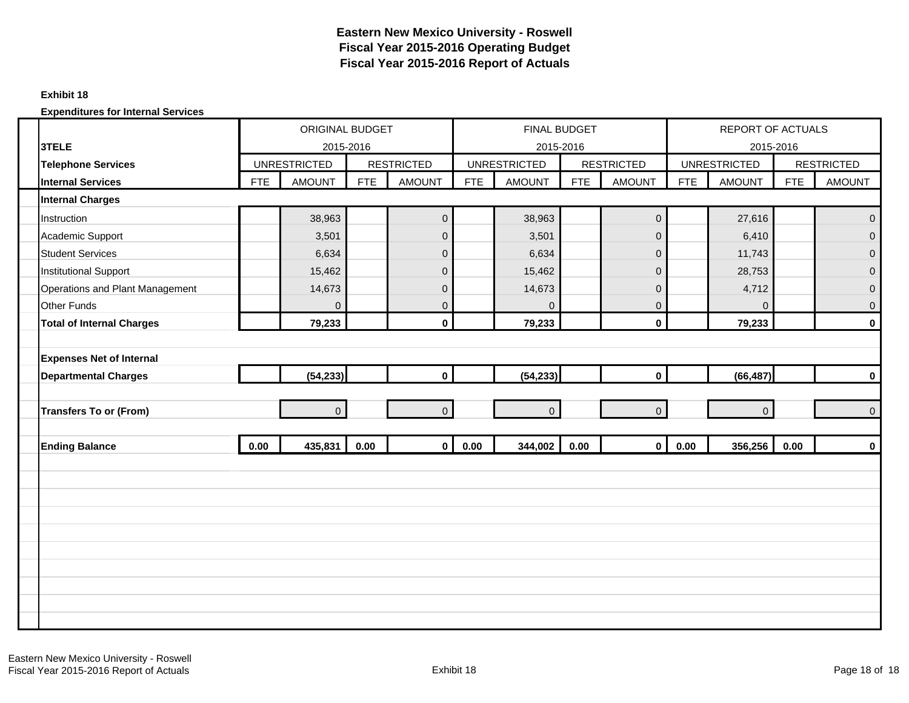#### **Exhibit 18**

|                                  |            | ORIGINAL BUDGET     |            |                   |            | FINAL BUDGET        |            |                     |            | REPORT OF ACTUALS   |            |                   |
|----------------------------------|------------|---------------------|------------|-------------------|------------|---------------------|------------|---------------------|------------|---------------------|------------|-------------------|
| 3TELE                            |            | 2015-2016           |            |                   |            | 2015-2016           |            |                     |            | 2015-2016           |            |                   |
| <b>Telephone Services</b>        |            | <b>UNRESTRICTED</b> |            | <b>RESTRICTED</b> |            | <b>UNRESTRICTED</b> |            | <b>RESTRICTED</b>   |            | <b>UNRESTRICTED</b> |            | <b>RESTRICTED</b> |
| <b>Internal Services</b>         | <b>FTE</b> | <b>AMOUNT</b>       | <b>FTE</b> | <b>AMOUNT</b>     | <b>FTE</b> | <b>AMOUNT</b>       | <b>FTE</b> | <b>AMOUNT</b>       | <b>FTE</b> | <b>AMOUNT</b>       | <b>FTE</b> | <b>AMOUNT</b>     |
| <b>Internal Charges</b>          |            |                     |            |                   |            |                     |            |                     |            |                     |            |                   |
| Instruction                      |            | 38,963              |            | $\mathbf 0$       |            | 38,963              |            | $\mathbf 0$         |            | 27,616              |            | $\mathbf{0}$      |
| Academic Support                 |            | 3,501               |            | $\mathsf 0$       |            | 3,501               |            | $\mathsf{O}\xspace$ |            | 6,410               |            | $\overline{0}$    |
| <b>Student Services</b>          |            | 6,634               |            | $\mathbf 0$       |            | 6,634               |            | $\mathsf 0$         |            | 11,743              |            | $\mathbf 0$       |
| <b>Institutional Support</b>     |            | 15,462              |            | $\mathsf 0$       |            | 15,462              |            | $\mathbf{0}$        |            | 28,753              |            | $\mathbf 0$       |
| Operations and Plant Management  |            | 14,673              |            | $\pmb{0}$         |            | 14,673              |            | $\mathbf 0$         |            | 4,712               |            | $\mathbf 0$       |
| <b>Other Funds</b>               |            | $\mathbf{0}$        |            | $\mathbf{0}$      |            | $\Omega$            |            | $\overline{0}$      |            | $\Omega$            |            | $\mathbf 0$       |
| <b>Total of Internal Charges</b> |            | 79,233              |            | $\mathbf 0$       |            | 79,233              |            | $\mathbf 0$         |            | 79,233              |            | $\mathbf 0$       |
|                                  |            |                     |            |                   |            |                     |            |                     |            |                     |            |                   |
| <b>Expenses Net of Internal</b>  |            |                     |            |                   |            |                     |            |                     |            |                     |            |                   |
| <b>Departmental Charges</b>      |            | (54, 233)           |            | $\mathbf 0$       |            | (54, 233)           |            | $\mathbf{0}$        |            | (66, 487)           |            | $\mathbf 0$       |
|                                  |            |                     |            |                   |            |                     |            |                     |            |                     |            |                   |
| <b>Transfers To or (From)</b>    |            | $\overline{0}$      |            | $\overline{0}$    |            | $\overline{0}$      |            | $\overline{0}$      |            | $\mathbf{0}$        |            | $\mathbf 0$       |
|                                  |            |                     |            |                   |            |                     |            |                     |            |                     |            |                   |
| <b>Ending Balance</b>            | 0.00       | 435,831             | 0.00       | $\mathbf{0}$      | 0.00       | 344,002             | 0.00       | $\mathbf{0}$        | 0.00       | 356,256             | 0.00       | $\mathbf 0$       |
|                                  |            |                     |            |                   |            |                     |            |                     |            |                     |            |                   |
|                                  |            |                     |            |                   |            |                     |            |                     |            |                     |            |                   |
|                                  |            |                     |            |                   |            |                     |            |                     |            |                     |            |                   |
|                                  |            |                     |            |                   |            |                     |            |                     |            |                     |            |                   |
|                                  |            |                     |            |                   |            |                     |            |                     |            |                     |            |                   |
|                                  |            |                     |            |                   |            |                     |            |                     |            |                     |            |                   |
|                                  |            |                     |            |                   |            |                     |            |                     |            |                     |            |                   |
|                                  |            |                     |            |                   |            |                     |            |                     |            |                     |            |                   |
|                                  |            |                     |            |                   |            |                     |            |                     |            |                     |            |                   |
|                                  |            |                     |            |                   |            |                     |            |                     |            |                     |            |                   |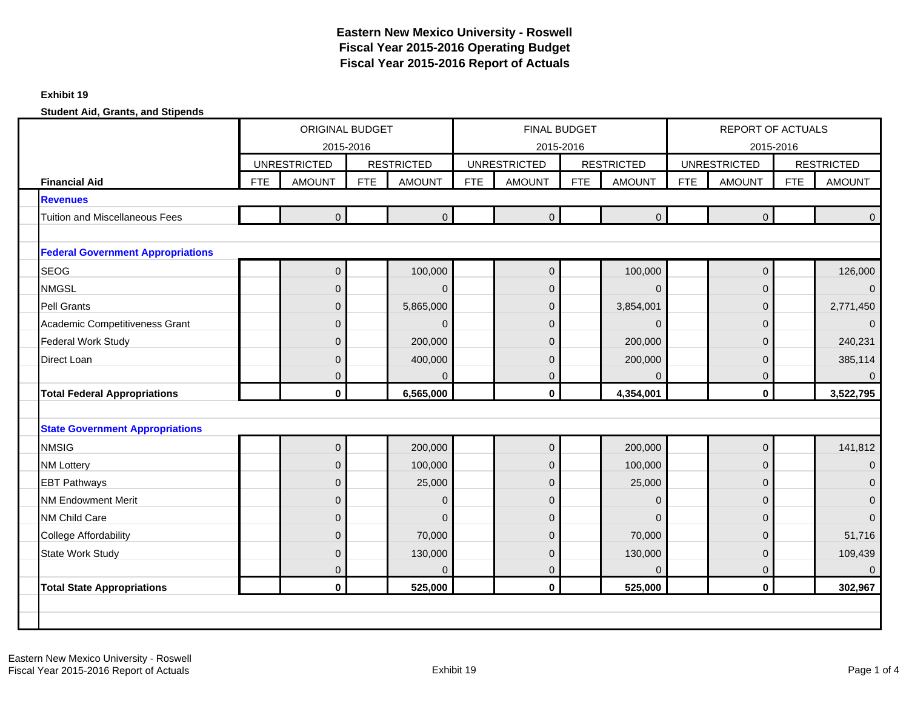#### **Exhibit 19**

|                                          |            | <b>ORIGINAL BUDGET</b><br>2015-2016 |            |                   |            | <b>FINAL BUDGET</b>              |            |                   |            | <b>REPORT OF ACTUALS</b>         |            |                   |
|------------------------------------------|------------|-------------------------------------|------------|-------------------|------------|----------------------------------|------------|-------------------|------------|----------------------------------|------------|-------------------|
|                                          |            | <b>UNRESTRICTED</b>                 |            | <b>RESTRICTED</b> |            | 2015-2016<br><b>UNRESTRICTED</b> |            | <b>RESTRICTED</b> |            | 2015-2016<br><b>UNRESTRICTED</b> |            | <b>RESTRICTED</b> |
| <b>Financial Aid</b>                     | <b>FTE</b> | <b>AMOUNT</b>                       | <b>FTE</b> | <b>AMOUNT</b>     | <b>FTE</b> | <b>AMOUNT</b>                    | <b>FTE</b> | <b>AMOUNT</b>     | <b>FTE</b> | <b>AMOUNT</b>                    | <b>FTE</b> | <b>AMOUNT</b>     |
| <b>Revenues</b>                          |            |                                     |            |                   |            |                                  |            |                   |            |                                  |            |                   |
| <b>Tuition and Miscellaneous Fees</b>    |            | $\overline{0}$                      |            | $\overline{0}$    |            | $\overline{0}$                   |            | $\overline{0}$    |            | $\Omega$                         |            | $\mathbf{0}$      |
|                                          |            |                                     |            |                   |            |                                  |            |                   |            |                                  |            |                   |
| <b>Federal Government Appropriations</b> |            |                                     |            |                   |            |                                  |            |                   |            |                                  |            |                   |
| <b>SEOG</b>                              |            | $\mathbf 0$                         |            | 100,000           |            | $\overline{0}$                   |            | 100,000           |            | $\pmb{0}$                        |            | 126,000           |
| <b>NMGSL</b>                             |            | $\mathbf 0$                         |            | $\overline{0}$    |            | $\pmb{0}$                        |            | $\Omega$          |            | 0                                |            | $\overline{0}$    |
| <b>Pell Grants</b>                       |            | $\mathbf 0$                         |            | 5,865,000         |            | $\mathbf 0$                      |            | 3,854,001         |            | 0                                |            | 2,771,450         |
| Academic Competitiveness Grant           |            | $\mathbf 0$                         |            | $\overline{0}$    |            | $\mathbf 0$                      |            | $\mathbf 0$       |            | 0                                |            | $\mathbf 0$       |
| <b>Federal Work Study</b>                |            | $\mathbf 0$                         |            | 200,000           |            | $\mathbf 0$                      |            | 200,000           |            | 0                                |            | 240,231           |
| Direct Loan                              |            | $\mathbf{0}$                        |            | 400,000           |            | $\overline{0}$                   |            | 200,000           |            | 0                                |            | 385,114           |
|                                          |            | $\mathbf 0$                         |            | $\Omega$          |            | $\mathbf 0$                      |            | $\Omega$          |            | 0                                |            | $\Omega$          |
| <b>Total Federal Appropriations</b>      |            | $\mathbf 0$                         |            | 6,565,000         |            | $\mathbf 0$                      |            | 4,354,001         |            | $\mathbf{0}$                     |            | 3,522,795         |
|                                          |            |                                     |            |                   |            |                                  |            |                   |            |                                  |            |                   |
| <b>State Government Appropriations</b>   |            |                                     |            |                   |            |                                  |            |                   |            |                                  |            |                   |
| <b>NMSIG</b>                             |            | $\mathbf{0}$                        |            | 200,000           |            | $\mathbf 0$                      |            | 200,000           |            | $\mathbf 0$                      |            | 141,812           |
| <b>NM Lottery</b>                        |            | $\mathbf 0$                         |            | 100,000           |            | $\pmb{0}$                        |            | 100,000           |            | $\pmb{0}$                        |            | $\mathbf 0$       |
| <b>EBT Pathways</b>                      |            | $\mathbf 0$                         |            | 25,000            |            | 0                                |            | 25,000            |            | 0                                |            | $\overline{0}$    |
| <b>NM Endowment Merit</b>                |            | $\mathbf 0$                         |            | $\mathbf 0$       |            | $\mathbf 0$                      |            | $\Omega$          |            | 0                                |            | $\mathbf 0$       |
| NM Child Care                            |            | $\mathbf 0$                         |            | $\mathbf 0$       |            | $\overline{0}$                   |            | $\Omega$          |            | 0                                |            | $\mathbf{0}$      |
| <b>College Affordability</b>             |            | $\overline{0}$                      |            | 70,000            |            | $\overline{0}$                   |            | 70,000            |            | 0                                |            | 51,716            |
| <b>State Work Study</b>                  |            | $\mathbf{0}$                        |            | 130,000           |            | $\overline{0}$                   |            | 130,000           |            | 0                                |            | 109,439           |
|                                          |            | $\mathbf{0}$                        |            | $\Omega$          |            | $\Omega$                         |            | $\Omega$          |            | 0                                |            | $\Omega$          |
| <b>Total State Appropriations</b>        |            | $\mathbf 0$                         |            | 525,000           |            | $\mathbf 0$                      |            | 525,000           |            | $\mathbf 0$                      |            | 302,967           |
|                                          |            |                                     |            |                   |            |                                  |            |                   |            |                                  |            |                   |
|                                          |            |                                     |            |                   |            |                                  |            |                   |            |                                  |            |                   |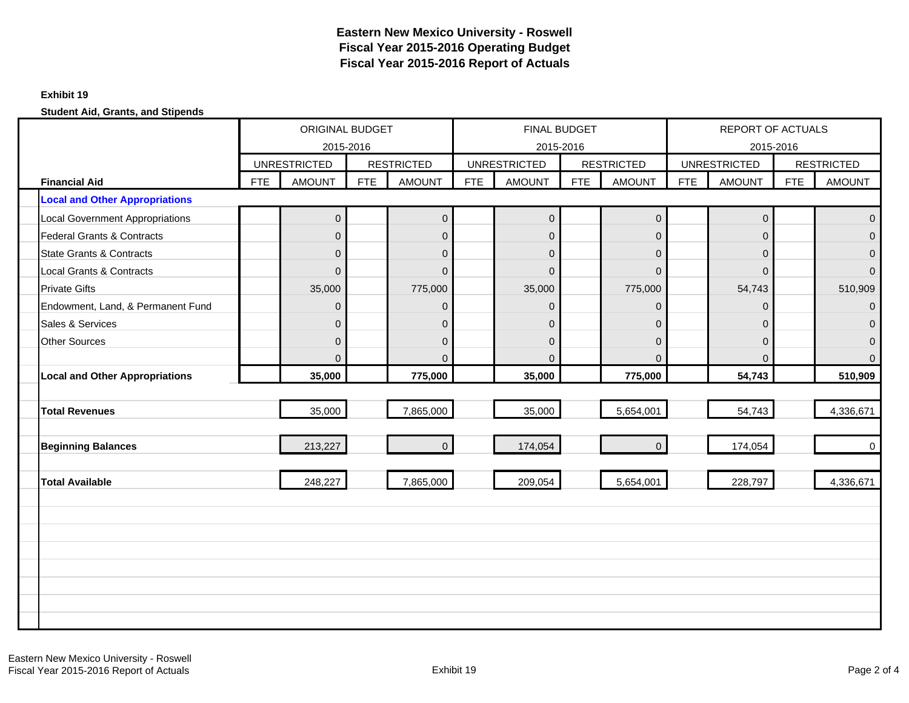#### **Exhibit 19**

|                                       |            | ORIGINAL BUDGET<br>2015-2016 |            |                   |            | <b>FINAL BUDGET</b><br>2015-2016 |     |                   |            | <b>REPORT OF ACTUALS</b><br>2015-2016 |            |                   |
|---------------------------------------|------------|------------------------------|------------|-------------------|------------|----------------------------------|-----|-------------------|------------|---------------------------------------|------------|-------------------|
|                                       |            | <b>UNRESTRICTED</b>          |            | <b>RESTRICTED</b> |            | <b>UNRESTRICTED</b>              |     | <b>RESTRICTED</b> |            | <b>UNRESTRICTED</b>                   |            | <b>RESTRICTED</b> |
| <b>Financial Aid</b>                  | <b>FTE</b> | <b>AMOUNT</b>                | <b>FTE</b> | <b>AMOUNT</b>     | <b>FTE</b> | <b>AMOUNT</b>                    | FTE | <b>AMOUNT</b>     | <b>FTE</b> | <b>AMOUNT</b>                         | <b>FTE</b> | <b>AMOUNT</b>     |
| <b>Local and Other Appropriations</b> |            |                              |            |                   |            |                                  |     |                   |            |                                       |            |                   |
| Local Government Appropriations       |            | $\mathbf 0$                  |            | $\mathbf 0$       |            | $\mathbf 0$                      |     | $\mathbf 0$       |            | $\pmb{0}$                             |            | $\mathbf 0$       |
| <b>Federal Grants &amp; Contracts</b> |            | $\overline{0}$               |            | $\Omega$          |            | $\Omega$                         |     | $\Omega$          |            | 0                                     |            | $\Omega$          |
| <b>State Grants &amp; Contracts</b>   |            | $\mathbf 0$                  |            | $\mathbf 0$       |            | $\overline{0}$                   |     | $\overline{0}$    |            | 0                                     |            | $\overline{0}$    |
| <b>Local Grants &amp; Contracts</b>   |            | $\mathbf{0}$                 |            | $\overline{0}$    |            | $\mathbf 0$                      |     | $\overline{0}$    |            | 0                                     |            | $\mathbf{0}$      |
| <b>Private Gifts</b>                  |            | 35,000                       |            | 775,000           |            | 35,000                           |     | 775,000           |            | 54,743                                |            | 510,909           |
| Endowment, Land, & Permanent Fund     |            | $\mathbf 0$                  |            | $\mathbf 0$       |            | $\overline{0}$                   |     | $\mathbf{0}$      |            | 0                                     |            | $\mathbf{0}$      |
| Sales & Services                      |            | $\mathbf{0}$                 |            | $\mathbf 0$       |            | $\Omega$                         |     | $\Omega$          |            | 0                                     |            | $\Omega$          |
| <b>Other Sources</b>                  |            | $\mathbf 0$                  |            | $\mathbf 0$       |            | $\overline{0}$                   |     | $\Omega$          |            | 0                                     |            | $\mathbf 0$       |
|                                       |            | $\Omega$                     |            | $\Omega$          |            | $\Omega$                         |     | $\Omega$          |            | $\Omega$                              |            | $\Omega$          |
| <b>Local and Other Appropriations</b> |            | 35,000                       |            | 775,000           |            | 35,000                           |     | 775,000           |            | 54,743                                |            | 510,909           |
|                                       |            |                              |            |                   |            |                                  |     |                   |            |                                       |            |                   |
| <b>Total Revenues</b>                 |            | 35,000                       |            | 7,865,000         |            | 35,000                           |     | 5,654,001         |            | 54,743                                |            | 4,336,671         |
|                                       |            |                              |            |                   |            |                                  |     |                   |            |                                       |            |                   |
| <b>Beginning Balances</b>             |            | 213,227                      |            | $\overline{0}$    |            | 174,054                          |     | $\overline{0}$    |            | 174,054                               |            | $\mathbf 0$       |
|                                       |            |                              |            |                   |            |                                  |     |                   |            |                                       |            |                   |
| <b>Total Available</b>                |            | 248,227                      |            | 7,865,000         |            | 209,054                          |     | 5,654,001         |            | 228,797                               |            | 4,336,671         |
|                                       |            |                              |            |                   |            |                                  |     |                   |            |                                       |            |                   |
|                                       |            |                              |            |                   |            |                                  |     |                   |            |                                       |            |                   |
|                                       |            |                              |            |                   |            |                                  |     |                   |            |                                       |            |                   |
|                                       |            |                              |            |                   |            |                                  |     |                   |            |                                       |            |                   |
|                                       |            |                              |            |                   |            |                                  |     |                   |            |                                       |            |                   |
|                                       |            |                              |            |                   |            |                                  |     |                   |            |                                       |            |                   |
|                                       |            |                              |            |                   |            |                                  |     |                   |            |                                       |            |                   |
|                                       |            |                              |            |                   |            |                                  |     |                   |            |                                       |            |                   |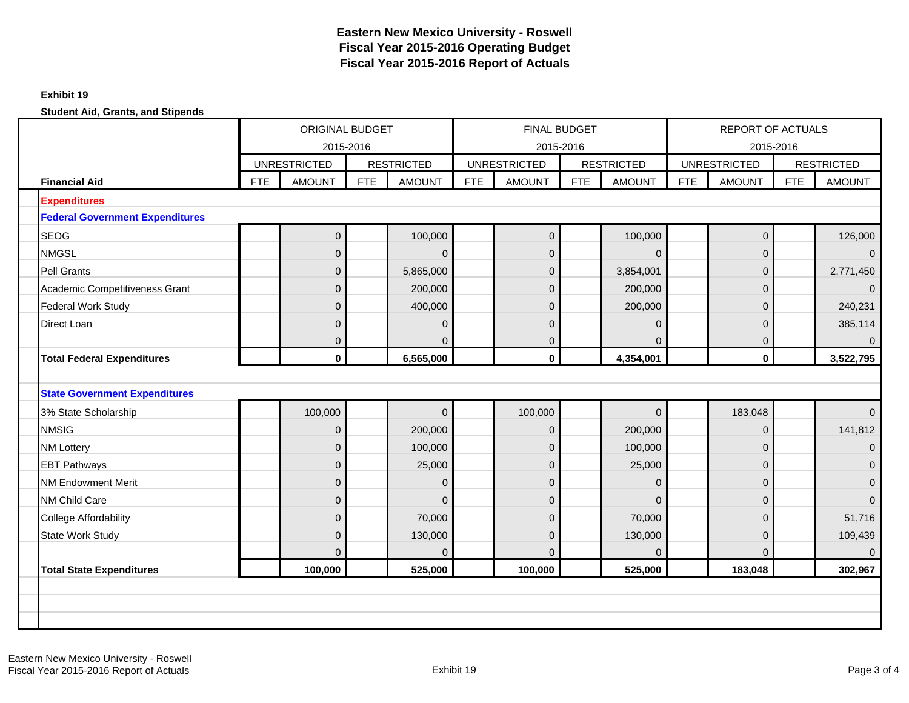#### **Exhibit 19**

|                                        |     | <b>ORIGINAL BUDGET</b><br>2015-2016<br><b>UNRESTRICTED</b><br><b>RESTRICTED</b> |            |                |            | FINAL BUDGET<br>2015-2016 |            |                   |            | REPORT OF ACTUALS<br>2015-2016 |            |                   |
|----------------------------------------|-----|---------------------------------------------------------------------------------|------------|----------------|------------|---------------------------|------------|-------------------|------------|--------------------------------|------------|-------------------|
|                                        |     |                                                                                 |            |                |            | <b>UNRESTRICTED</b>       |            | <b>RESTRICTED</b> |            | <b>UNRESTRICTED</b>            |            | <b>RESTRICTED</b> |
| <b>Financial Aid</b>                   | FTE | <b>AMOUNT</b>                                                                   | <b>FTE</b> | <b>AMOUNT</b>  | <b>FTE</b> | <b>AMOUNT</b>             | <b>FTE</b> | <b>AMOUNT</b>     | <b>FTE</b> | <b>AMOUNT</b>                  | <b>FTE</b> | <b>AMOUNT</b>     |
| <b>Expenditures</b>                    |     |                                                                                 |            |                |            |                           |            |                   |            |                                |            |                   |
| <b>Federal Government Expenditures</b> |     |                                                                                 |            |                |            |                           |            |                   |            |                                |            |                   |
| <b>SEOG</b>                            |     | $\mathbf{0}$                                                                    |            | 100,000        |            | $\overline{0}$            |            | 100,000           |            | $\mathbf 0$                    |            | 126,000           |
| <b>NMGSL</b>                           |     | $\mathbf{0}$                                                                    |            | $\mathbf{0}$   |            | $\mathbf{0}$              |            | $\Omega$          |            | 0                              |            | $\Omega$          |
| <b>Pell Grants</b>                     |     | $\mathbf{0}$                                                                    |            | 5,865,000      |            | $\overline{0}$            |            | 3,854,001         |            | $\mathbf 0$                    |            | 2,771,450         |
| Academic Competitiveness Grant         |     | $\mathbf{0}$                                                                    |            | 200,000        |            | $\mathbf 0$               |            | 200,000           |            | 0                              |            | $\mathbf{0}$      |
| <b>Federal Work Study</b>              |     | $\mathbf{0}$                                                                    |            | 400,000        |            | 0                         |            | 200,000           |            | 0                              |            | 240,231           |
| Direct Loan                            |     | $\Omega$                                                                        |            | $\mathbf{0}$   |            | $\overline{0}$            |            | $\Omega$          |            | 0                              |            | 385,114           |
|                                        |     | $\mathbf{0}$                                                                    |            | $\overline{0}$ |            | $\mathbf{0}$              |            | $\Omega$          |            | $\overline{0}$                 |            | $\overline{0}$    |
| <b>Total Federal Expenditures</b>      |     | $\mathbf 0$                                                                     |            | 6,565,000      |            | $\mathbf{0}$              |            | 4,354,001         |            | $\mathbf{0}$                   |            | 3,522,795         |
|                                        |     |                                                                                 |            |                |            |                           |            |                   |            |                                |            |                   |
| <b>State Government Expenditures</b>   |     |                                                                                 |            |                |            |                           |            |                   |            |                                |            |                   |
| 3% State Scholarship                   |     | 100,000                                                                         |            | $\mathbf{0}$   |            | 100,000                   |            | $\overline{0}$    |            | 183,048                        |            | $\overline{0}$    |
| <b>NMSIG</b>                           |     | $\mathbf{0}$                                                                    |            | 200,000        |            | $\overline{0}$            |            | 200,000           |            | $\mathbf{0}$                   |            | 141,812           |
| <b>NM Lottery</b>                      |     | $\overline{0}$                                                                  |            | 100,000        |            | $\overline{0}$            |            | 100,000           |            | $\overline{0}$                 |            | $\mathbf 0$       |
| <b>EBT Pathways</b>                    |     | $\mathbf{0}$                                                                    |            | 25,000         |            | $\mathbf 0$               |            | 25,000            |            | 0                              |            | $\mathbf{0}$      |
| <b>NM Endowment Merit</b>              |     | $\mathbf{0}$                                                                    |            | $\mathbf{0}$   |            | $\mathbf{0}$              |            | $\Omega$          |            | 0                              |            | $\mathbf{0}$      |
| NM Child Care                          |     | $\mathbf{0}$                                                                    |            | $\mathbf 0$    |            | $\pmb{0}$                 |            | $\Omega$          |            | $\mathbf 0$                    |            | $\mathbf{0}$      |
| <b>College Affordability</b>           |     | $\mathbf{0}$                                                                    |            | 70,000         |            | $\overline{0}$            |            | 70,000            |            | 0                              |            | 51,716            |
| State Work Study                       |     | $\mathbf{0}$                                                                    |            | 130,000        |            | $\overline{0}$            |            | 130,000           |            | $\overline{0}$                 |            | 109,439           |
|                                        |     | $\Omega$                                                                        |            | $\Omega$       |            | $\Omega$                  |            | $\Omega$          |            | $\Omega$                       |            | $\Omega$          |
| <b>Total State Expenditures</b>        |     | 100,000                                                                         |            | 525,000        |            | 100,000                   |            | 525,000           |            | 183,048                        |            | 302,967           |
|                                        |     |                                                                                 |            |                |            |                           |            |                   |            |                                |            |                   |
|                                        |     |                                                                                 |            |                |            |                           |            |                   |            |                                |            |                   |
|                                        |     |                                                                                 |            |                |            |                           |            |                   |            |                                |            |                   |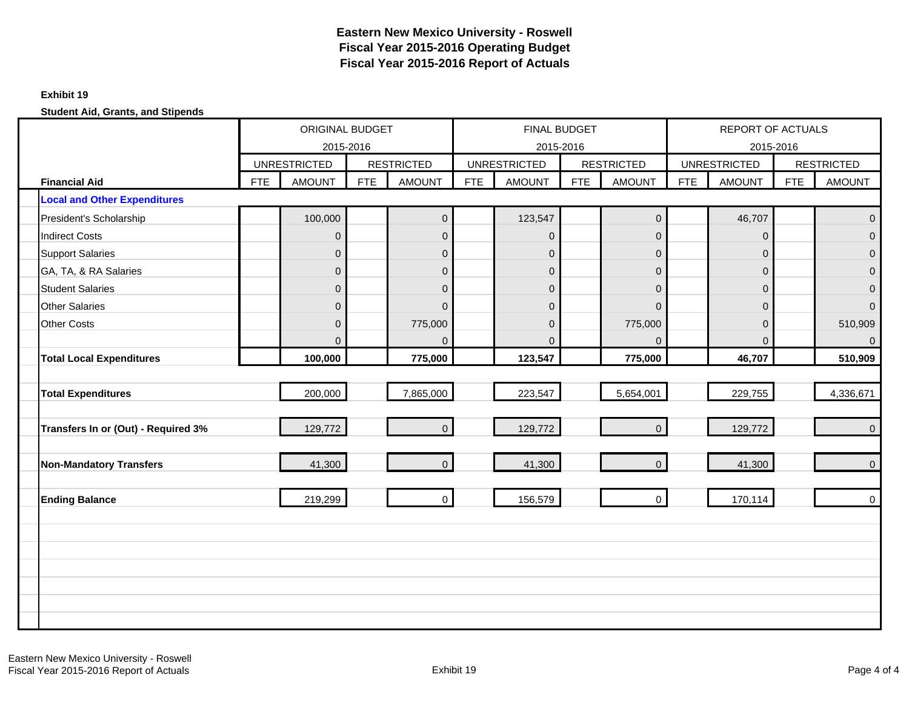#### **Exhibit 19**

|                                     |            | ORIGINAL BUDGET<br>2015-2016 |            |                     |            | <b>FINAL BUDGET</b><br>2015-2016 |            |                   |            | REPORT OF ACTUALS<br>2015-2016 |            |                   |
|-------------------------------------|------------|------------------------------|------------|---------------------|------------|----------------------------------|------------|-------------------|------------|--------------------------------|------------|-------------------|
|                                     |            | <b>UNRESTRICTED</b>          |            | <b>RESTRICTED</b>   |            | <b>UNRESTRICTED</b>              |            | <b>RESTRICTED</b> |            | <b>UNRESTRICTED</b>            |            | <b>RESTRICTED</b> |
| <b>Financial Aid</b>                | <b>FTE</b> | <b>AMOUNT</b>                | <b>FTE</b> | <b>AMOUNT</b>       | <b>FTE</b> | <b>AMOUNT</b>                    | <b>FTE</b> | <b>AMOUNT</b>     | <b>FTE</b> | <b>AMOUNT</b>                  | <b>FTE</b> | <b>AMOUNT</b>     |
| <b>Local and Other Expenditures</b> |            |                              |            |                     |            |                                  |            |                   |            |                                |            |                   |
| President's Scholarship             |            | 100,000                      |            | $\mathsf{O}\xspace$ |            | 123,547                          |            | $\mathbf 0$       |            | 46,707                         |            | $\mathbf 0$       |
| <b>Indirect Costs</b>               |            | $\mathbf 0$                  |            | $\overline{0}$      |            | $\overline{0}$                   |            | $\Omega$          |            | $\mathbf{0}$                   |            | $\mathbf{0}$      |
| <b>Support Salaries</b>             |            | $\mathbf 0$                  |            | $\mathbf 0$         |            | $\overline{0}$                   |            | $\overline{0}$    |            | $\mathbf 0$                    |            | $\mathbf 0$       |
| GA, TA, & RA Salaries               |            | $\mathbf 0$                  |            | $\mathbf 0$         |            | $\overline{0}$                   |            | 0                 |            | $\pmb{0}$                      |            | $\mathbf 0$       |
| <b>Student Salaries</b>             |            | $\overline{0}$               |            | $\boldsymbol{0}$    |            | $\overline{0}$                   |            | $\Omega$          |            | $\mathbf{0}$                   |            | $\mathbf 0$       |
| <b>Other Salaries</b>               |            | $\mathbf{0}$                 |            | $\overline{0}$      |            | $\overline{0}$                   |            | $\Omega$          |            | $\mathbf{0}$                   |            | $\mathbf{0}$      |
| <b>Other Costs</b>                  |            | $\mathbf 0$                  |            | 775,000             |            | $\overline{0}$                   |            | 775,000           |            | $\mathbf 0$                    |            | 510,909           |
|                                     |            | $\Omega$                     |            | $\Omega$            |            | $\Omega$                         |            | $\Omega$          |            | $\Omega$                       |            | $\overline{0}$    |
| <b>Total Local Expenditures</b>     |            | 100,000                      |            | 775,000             |            | 123,547                          |            | 775,000           |            | 46,707                         |            | 510,909           |
|                                     |            |                              |            |                     |            |                                  |            |                   |            |                                |            |                   |
| <b>Total Expenditures</b>           |            | 200,000                      |            | 7,865,000           |            | 223,547                          |            | 5,654,001         |            | 229,755                        |            | 4,336,671         |
| Transfers In or (Out) - Required 3% |            | 129,772                      |            | $\overline{0}$      |            | 129,772                          |            | $\overline{0}$    |            | 129,772                        |            | $\overline{0}$    |
| <b>Non-Mandatory Transfers</b>      |            | 41,300                       |            | $\overline{0}$      |            | 41,300                           |            | $\overline{0}$    |            | 41,300                         |            | $\mathbf{0}$      |
| <b>Ending Balance</b>               |            | 219,299                      |            | $\mathbf 0$         |            | 156,579                          |            | $\mathbf 0$       |            | 170,114                        |            | $\mathbf 0$       |
|                                     |            |                              |            |                     |            |                                  |            |                   |            |                                |            |                   |
|                                     |            |                              |            |                     |            |                                  |            |                   |            |                                |            |                   |
|                                     |            |                              |            |                     |            |                                  |            |                   |            |                                |            |                   |
|                                     |            |                              |            |                     |            |                                  |            |                   |            |                                |            |                   |
|                                     |            |                              |            |                     |            |                                  |            |                   |            |                                |            |                   |
|                                     |            |                              |            |                     |            |                                  |            |                   |            |                                |            |                   |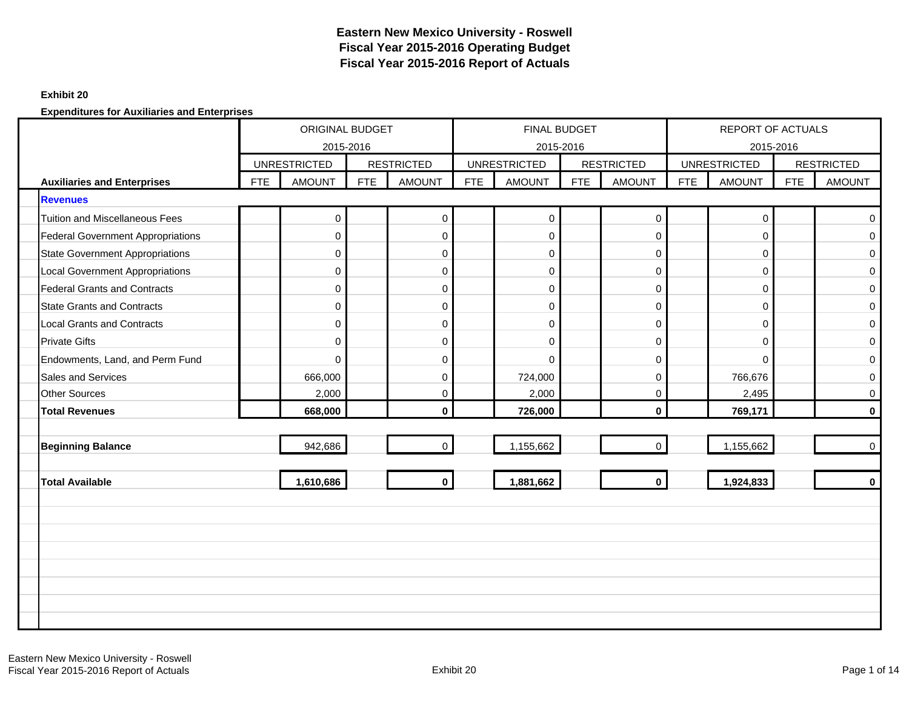### **Exhibit 20**

**Expenditures for Auxiliaries and Enterprises**

|                                          | <b>ORIGINAL BUDGET</b><br>2015-2016 |                     |            |                   |            | FINAL BUDGET                     |     |                   |            | REPORT OF ACTUALS                |            |                   |
|------------------------------------------|-------------------------------------|---------------------|------------|-------------------|------------|----------------------------------|-----|-------------------|------------|----------------------------------|------------|-------------------|
|                                          |                                     | <b>UNRESTRICTED</b> |            | <b>RESTRICTED</b> |            | 2015-2016<br><b>UNRESTRICTED</b> |     | <b>RESTRICTED</b> |            | 2015-2016<br><b>UNRESTRICTED</b> |            | <b>RESTRICTED</b> |
| <b>Auxiliaries and Enterprises</b>       | <b>FTE</b>                          | <b>AMOUNT</b>       | <b>FTE</b> | <b>AMOUNT</b>     | <b>FTE</b> | <b>AMOUNT</b>                    | FTE | <b>AMOUNT</b>     | <b>FTE</b> | <b>AMOUNT</b>                    | <b>FTE</b> | <b>AMOUNT</b>     |
| <b>Revenues</b>                          |                                     |                     |            |                   |            |                                  |     |                   |            |                                  |            |                   |
| <b>Tuition and Miscellaneous Fees</b>    |                                     | 0                   |            | $\pmb{0}$         |            | $\mathbf 0$                      |     | $\mathsf{O}$      |            | $\mathbf 0$                      |            | $\Omega$          |
| <b>Federal Government Appropriations</b> |                                     | $\mathbf 0$         |            | $\mathbf 0$       |            | $\mathbf 0$                      |     | $\mathbf 0$       |            | $\mathbf 0$                      |            | $\Omega$          |
| <b>State Government Appropriations</b>   |                                     | $\mathbf 0$         |            | $\mathbf 0$       |            | $\mathbf 0$                      |     | $\mathbf 0$       |            | $\mathbf 0$                      |            | $\mathbf 0$       |
| <b>Local Government Appropriations</b>   |                                     | $\Omega$            |            | $\mathbf 0$       |            | $\mathbf 0$                      |     | $\mathbf 0$       |            | $\mathbf 0$                      |            | $\Omega$          |
| <b>Federal Grants and Contracts</b>      |                                     | $\mathbf 0$         |            | $\pmb{0}$         |            | $\mathbf 0$                      |     | $\mathbf 0$       |            | $\Omega$                         |            | $\mathbf 0$       |
| <b>State Grants and Contracts</b>        |                                     | $\mathbf 0$         |            | $\mathbf 0$       |            | $\mathbf 0$                      |     | $\mathbf 0$       |            | $\mathbf 0$                      |            | $\mathbf 0$       |
| <b>Local Grants and Contracts</b>        |                                     | $\Omega$            |            | $\mathbf 0$       |            | $\Omega$                         |     | $\Omega$          |            | $\Omega$                         |            | $\mathbf 0$       |
| <b>Private Gifts</b>                     |                                     | $\mathbf 0$         |            | $\mathbf 0$       |            | $\mathbf 0$                      |     | $\mathbf 0$       |            | $\mathbf 0$                      |            | $\mathbf 0$       |
| Endowments, Land, and Perm Fund          |                                     | $\Omega$            |            | $\mathbf 0$       |            | $\Omega$                         |     | $\mathbf 0$       |            | $\Omega$                         |            | $\mathbf 0$       |
| <b>Sales and Services</b>                |                                     | 666,000             |            | $\pmb{0}$         |            | 724,000                          |     | $\Omega$          |            | 766,676                          |            | $\mathbf 0$       |
| <b>Other Sources</b>                     |                                     | 2,000               |            | $\mathbf 0$       |            | 2,000                            |     | $\mathbf 0$       |            | 2,495                            |            | $\mathbf 0$       |
| <b>Total Revenues</b>                    |                                     | 668,000             |            | $\mathbf{0}$      |            | 726,000                          |     | $\mathbf{0}$      |            | 769,171                          |            | $\bf{0}$          |
|                                          |                                     |                     |            |                   |            |                                  |     |                   |            |                                  |            |                   |
| <b>Beginning Balance</b>                 |                                     | 942,686             |            | $\mathbf 0$       |            | 1,155,662                        |     | $\mathsf{O}$      |            | 1,155,662                        |            | $\mathbf 0$       |
|                                          |                                     |                     |            |                   |            |                                  |     |                   |            |                                  |            |                   |
| <b>Total Available</b>                   |                                     | 1,610,686           |            | $\mathbf{0}$      |            | 1,881,662                        |     | $\mathbf 0$       |            | 1,924,833                        |            | $\mathbf{0}$      |
|                                          |                                     |                     |            |                   |            |                                  |     |                   |            |                                  |            |                   |
|                                          |                                     |                     |            |                   |            |                                  |     |                   |            |                                  |            |                   |
|                                          |                                     |                     |            |                   |            |                                  |     |                   |            |                                  |            |                   |
|                                          |                                     |                     |            |                   |            |                                  |     |                   |            |                                  |            |                   |
|                                          |                                     |                     |            |                   |            |                                  |     |                   |            |                                  |            |                   |
|                                          |                                     |                     |            |                   |            |                                  |     |                   |            |                                  |            |                   |
|                                          |                                     |                     |            |                   |            |                                  |     |                   |            |                                  |            |                   |
|                                          |                                     |                     |            |                   |            |                                  |     |                   |            |                                  |            |                   |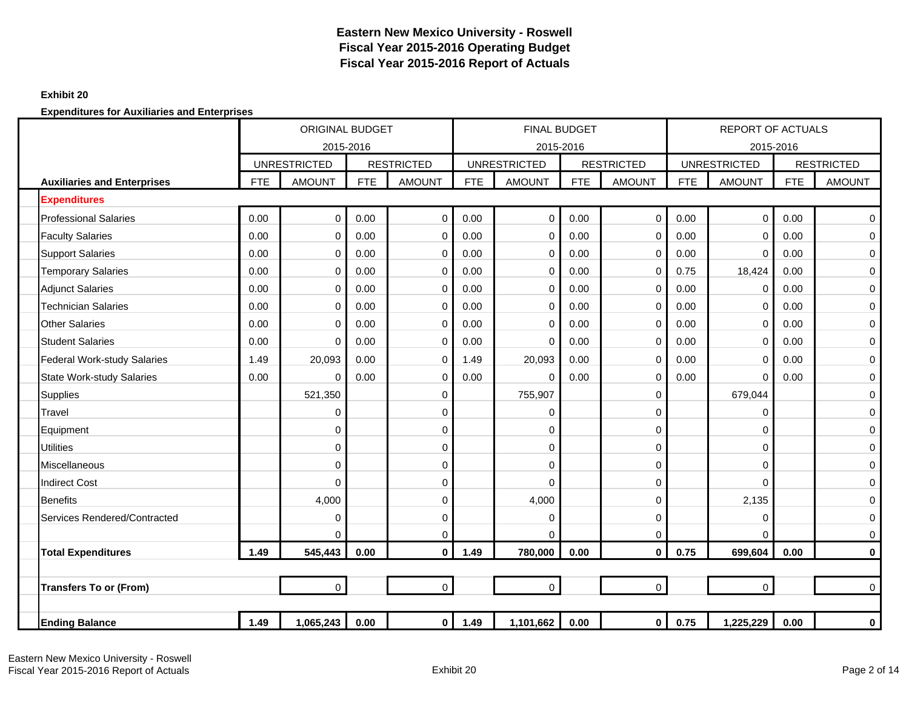### **Exhibit 20**

**Expenditures for Auxiliaries and Enterprises**

|                                    | <b>ORIGINAL BUDGET</b> |                     |            |                   | <b>FINAL BUDGET</b> |                     |            |                   | <b>REPORT OF ACTUALS</b> |                     |            |                   |
|------------------------------------|------------------------|---------------------|------------|-------------------|---------------------|---------------------|------------|-------------------|--------------------------|---------------------|------------|-------------------|
|                                    |                        | 2015-2016           |            |                   |                     | 2015-2016           |            |                   |                          | 2015-2016           |            |                   |
|                                    |                        | <b>UNRESTRICTED</b> |            | <b>RESTRICTED</b> |                     | <b>UNRESTRICTED</b> |            | <b>RESTRICTED</b> |                          | <b>UNRESTRICTED</b> |            | <b>RESTRICTED</b> |
| <b>Auxiliaries and Enterprises</b> | <b>FTE</b>             | <b>AMOUNT</b>       | <b>FTE</b> | <b>AMOUNT</b>     | <b>FTE</b>          | <b>AMOUNT</b>       | <b>FTE</b> | <b>AMOUNT</b>     | <b>FTE</b>               | <b>AMOUNT</b>       | <b>FTE</b> | <b>AMOUNT</b>     |
| <b>Expenditures</b>                |                        |                     |            |                   |                     |                     |            |                   |                          |                     |            |                   |
| <b>Professional Salaries</b>       | 0.00                   | 0                   | 0.00       | $\mathbf 0$       | 0.00                | $\mathbf 0$         | 0.00       | $\mathbf 0$       | 0.00                     | $\mathbf 0$         | 0.00       | 0                 |
| <b>Faculty Salaries</b>            | 0.00                   | 0                   | 0.00       | 0                 | 0.00                | $\mathbf 0$         | 0.00       | $\mathbf 0$       | 0.00                     | 0                   | 0.00       | $\mathbf 0$       |
| <b>Support Salaries</b>            | 0.00                   | 0                   | 0.00       | 0                 | 0.00                | 0                   | 0.00       | 0                 | 0.00                     | $\mathbf 0$         | 0.00       | $\mathbf 0$       |
| <b>Temporary Salaries</b>          | 0.00                   | 0                   | 0.00       | 0                 | 0.00                | $\Omega$            | 0.00       | $\mathbf 0$       | 0.75                     | 18,424              | 0.00       | $\mathbf 0$       |
| <b>Adjunct Salaries</b>            | 0.00                   | $\Omega$            | 0.00       | $\mathbf 0$       | 0.00                | $\Omega$            | 0.00       | $\Omega$          | 0.00                     | 0                   | 0.00       | $\mathbf 0$       |
| <b>Technician Salaries</b>         | 0.00                   | $\Omega$            | 0.00       | $\mathbf 0$       | 0.00                | $\Omega$            | 0.00       | $\Omega$          | 0.00                     | $\mathbf 0$         | 0.00       | 0                 |
| <b>Other Salaries</b>              | 0.00                   | $\Omega$            | 0.00       | $\mathbf 0$       | 0.00                | $\Omega$            | 0.00       | $\mathbf 0$       | 0.00                     | $\mathbf 0$         | 0.00       | $\mathbf 0$       |
| <b>Student Salaries</b>            | 0.00                   | 0                   | 0.00       | $\pmb{0}$         | 0.00                | $\Omega$            | 0.00       | $\mathbf 0$       | 0.00                     | $\mathbf 0$         | 0.00       | $\mathbf 0$       |
| <b>Federal Work-study Salaries</b> | 1.49                   | 20,093              | 0.00       | $\mathbf 0$       | 1.49                | 20,093              | 0.00       | $\mathbf 0$       | 0.00                     | $\mathbf 0$         | 0.00       | $\boldsymbol{0}$  |
| <b>State Work-study Salaries</b>   | 0.00                   | 0                   | 0.00       | $\pmb{0}$         | 0.00                | $\Omega$            | 0.00       | $\mathbf 0$       | 0.00                     | $\mathbf 0$         | 0.00       | $\mathbf 0$       |
| <b>Supplies</b>                    |                        | 521,350             |            | $\pmb{0}$         |                     | 755,907             |            | $\overline{0}$    |                          | 679,044             |            | $\mathbf 0$       |
| Travel                             |                        | 0                   |            | 0                 |                     | $\mathbf 0$         |            | $\mathbf 0$       |                          | 0                   |            | $\mathbf 0$       |
| Equipment                          |                        | 0                   |            | 0                 |                     | 0                   |            | $\mathbf 0$       |                          | 0                   |            | $\mathbf 0$       |
| <b>Utilities</b>                   |                        | 0                   |            | 0                 |                     | $\mathbf 0$         |            | $\mathbf 0$       |                          | 0                   |            | $\mathbf 0$       |
| Miscellaneous                      |                        | $\Omega$            |            | $\mathbf 0$       |                     | $\Omega$            |            | $\Omega$          |                          | 0                   |            | $\mathbf 0$       |
| <b>Indirect Cost</b>               |                        | $\Omega$            |            | $\mathbf 0$       |                     | $\Omega$            |            | $\Omega$          |                          | 0                   |            | $\mathbf 0$       |
| <b>Benefits</b>                    |                        | 4,000               |            | $\mathbf 0$       |                     | 4,000               |            | $\mathbf 0$       |                          | 2,135               |            | $\boldsymbol{0}$  |
| Services Rendered/Contracted       |                        | 0                   |            | $\pmb{0}$         |                     | $\Omega$            |            | $\mathbf 0$       |                          | 0                   |            | $\mathbf 0$       |
|                                    |                        | $\Omega$            |            | $\mathbf 0$       |                     | $\Omega$            |            | $\Omega$          |                          | $\Omega$            |            | $\mathbf 0$       |
| <b>Total Expenditures</b>          | 1.49                   | 545,443             | 0.00       | $\mathbf 0$       | 1.49                | 780,000             | 0.00       | $\mathbf{0}$      | 0.75                     | 699,604             | 0.00       | $\mathbf 0$       |
|                                    |                        |                     |            |                   |                     |                     |            |                   |                          |                     |            |                   |
| <b>Transfers To or (From)</b>      |                        |                     |            | $\mathbf 0$       |                     | $\mathbf 0$         |            | $\mathbf 0$       |                          | $\mathbf 0$         |            | $\mathbf 0$       |
|                                    |                        |                     |            |                   |                     |                     |            |                   |                          |                     |            |                   |
| <b>Ending Balance</b>              | 1.49                   | 1,065,243           | 0.00       | 0                 | 1.49                | 1,101,662           | 0.00       | $\mathbf 0$       | 0.75                     | 1,225,229           | 0.00       | 0                 |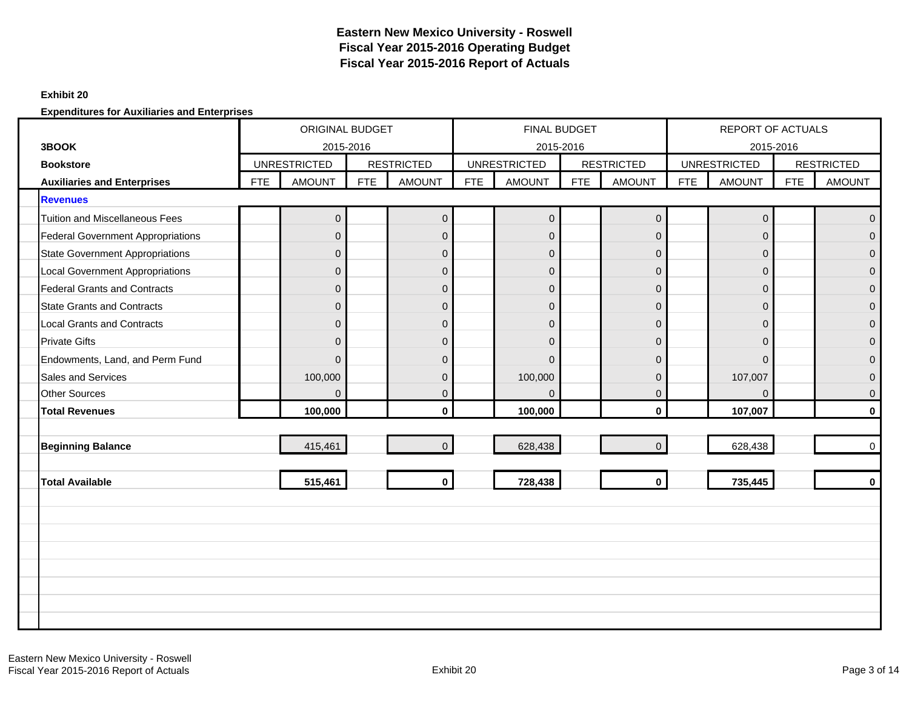#### **Exhibit 20**

**Expenditures for Auxiliaries and Enterprises**

|                                          |            | <b>ORIGINAL BUDGET</b> |            |                   | FINAL BUDGET |                     |     |                     | <b>REPORT OF ACTUALS</b> |                     |            |                   |
|------------------------------------------|------------|------------------------|------------|-------------------|--------------|---------------------|-----|---------------------|--------------------------|---------------------|------------|-------------------|
| 3BOOK                                    |            | 2015-2016              |            |                   |              | 2015-2016           |     |                     |                          | 2015-2016           |            |                   |
| <b>Bookstore</b>                         |            | <b>UNRESTRICTED</b>    |            | <b>RESTRICTED</b> |              | <b>UNRESTRICTED</b> |     | <b>RESTRICTED</b>   |                          | <b>UNRESTRICTED</b> |            | <b>RESTRICTED</b> |
| <b>Auxiliaries and Enterprises</b>       | <b>FTE</b> | <b>AMOUNT</b>          | <b>FTE</b> | <b>AMOUNT</b>     | <b>FTE</b>   | <b>AMOUNT</b>       | FTE | <b>AMOUNT</b>       | <b>FTE</b>               | <b>AMOUNT</b>       | <b>FTE</b> | <b>AMOUNT</b>     |
| <b>Revenues</b>                          |            |                        |            |                   |              |                     |     |                     |                          |                     |            |                   |
| <b>Tuition and Miscellaneous Fees</b>    |            | $\mathbf{0}$           |            | $\mathbf 0$       |              | $\overline{0}$      |     | $\mathsf{O}\xspace$ |                          | $\mathbf 0$         |            | $\Omega$          |
| <b>Federal Government Appropriations</b> |            | $\Omega$               |            | $\mathbf 0$       |              | $\overline{0}$      |     | $\mathbf 0$         |                          | $\mathbf{0}$        |            | $\Omega$          |
| <b>State Government Appropriations</b>   |            | $\Omega$               |            | $\mathbf 0$       |              | $\overline{0}$      |     | $\Omega$            |                          | $\mathbf{0}$        |            | $\overline{0}$    |
| <b>Local Government Appropriations</b>   |            | $\mathbf{0}$           |            | $\pmb{0}$         |              | $\overline{0}$      |     | $\mathbf 0$         |                          | $\mathbf{0}$        |            | $\mathbf{0}$      |
| <b>Federal Grants and Contracts</b>      |            | $\Omega$               |            | $\overline{0}$    |              | $\overline{0}$      |     | $\mathbf 0$         |                          | $\Omega$            |            | $\overline{0}$    |
| <b>State Grants and Contracts</b>        |            | $\overline{0}$         |            | $\pmb{0}$         |              | $\overline{0}$      |     | $\overline{0}$      |                          | $\mathbf{0}$        |            | $\mathbf{0}$      |
| <b>Local Grants and Contracts</b>        |            | $\Omega$               |            | $\pmb{0}$         |              | $\overline{0}$      |     | $\mathbf 0$         |                          | $\mathbf 0$         |            | $\Omega$          |
| <b>Private Gifts</b>                     |            | $\Omega$               |            | $\overline{0}$    |              | $\overline{0}$      |     | $\Omega$            |                          | $\Omega$            |            | $\overline{0}$    |
| Endowments, Land, and Perm Fund          |            | $\Omega$               |            | $\mathbf 0$       |              | $\Omega$            |     | $\Omega$            |                          | $\Omega$            |            | $\Omega$          |
| Sales and Services                       |            | 100,000                |            | $\pmb{0}$         |              | 100,000             |     | $\Omega$            |                          | 107,007             |            | $\overline{0}$    |
| <b>Other Sources</b>                     |            | $\mathbf{0}$           |            | $\pmb{0}$         |              | $\Omega$            |     | $\mathbf 0$         |                          | $\Omega$            |            | $\overline{0}$    |
| <b>Total Revenues</b>                    |            | 100,000                |            | $\bf{0}$          |              | 100,000             |     | $\mathbf{0}$        |                          | 107,007             |            | $\bf{0}$          |
|                                          |            |                        |            |                   |              |                     |     |                     |                          |                     |            |                   |
| <b>Beginning Balance</b>                 |            | 415,461                |            | $\mathbf 0$       |              | 628,438             |     | $\Omega$            |                          | 628,438             |            | $\overline{0}$    |
|                                          |            |                        |            |                   |              |                     |     |                     |                          |                     |            |                   |
| <b>Total Available</b>                   |            | 515,461                |            | $\mathbf 0$       |              | 728,438             |     | $\mathbf 0$         |                          | 735,445             |            | $\mathbf{0}$      |
|                                          |            |                        |            |                   |              |                     |     |                     |                          |                     |            |                   |
|                                          |            |                        |            |                   |              |                     |     |                     |                          |                     |            |                   |
|                                          |            |                        |            |                   |              |                     |     |                     |                          |                     |            |                   |
|                                          |            |                        |            |                   |              |                     |     |                     |                          |                     |            |                   |
|                                          |            |                        |            |                   |              |                     |     |                     |                          |                     |            |                   |
|                                          |            |                        |            |                   |              |                     |     |                     |                          |                     |            |                   |
|                                          |            |                        |            |                   |              |                     |     |                     |                          |                     |            |                   |
|                                          |            |                        |            |                   |              |                     |     |                     |                          |                     |            |                   |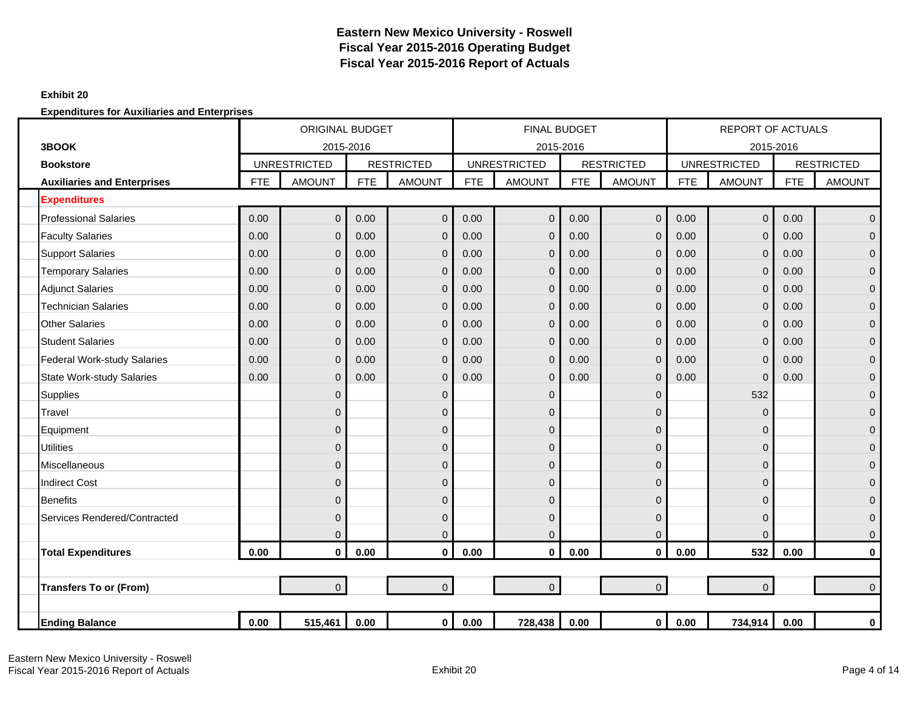### **Exhibit 20**

|                                    |            | <b>ORIGINAL BUDGET</b> |            |                   |            | <b>FINAL BUDGET</b> |            |                   |            | <b>REPORT OF ACTUALS</b> |            |                   |
|------------------------------------|------------|------------------------|------------|-------------------|------------|---------------------|------------|-------------------|------------|--------------------------|------------|-------------------|
| 3BOOK                              |            | 2015-2016              |            |                   |            | 2015-2016           |            |                   |            | 2015-2016                |            |                   |
| <b>Bookstore</b>                   |            | <b>UNRESTRICTED</b>    |            | <b>RESTRICTED</b> |            | <b>UNRESTRICTED</b> |            | <b>RESTRICTED</b> |            | <b>UNRESTRICTED</b>      |            | <b>RESTRICTED</b> |
| <b>Auxiliaries and Enterprises</b> | <b>FTE</b> | <b>AMOUNT</b>          | <b>FTE</b> | <b>AMOUNT</b>     | <b>FTE</b> | <b>AMOUNT</b>       | <b>FTE</b> | <b>AMOUNT</b>     | <b>FTE</b> | <b>AMOUNT</b>            | <b>FTE</b> | <b>AMOUNT</b>     |
| <b>Expenditures</b>                |            |                        |            |                   |            |                     |            |                   |            |                          |            |                   |
| <b>Professional Salaries</b>       | 0.00       | $\mathbf{0}$           | 0.00       | $\mathbf 0$       | 0.00       | $\mathbf{0}$        | 0.00       | $\mathbf 0$       | 0.00       | $\mathbf{0}$             | 0.00       | $\overline{0}$    |
| <b>Faculty Salaries</b>            | 0.00       | $\mathbf{0}$           | 0.00       | $\mathbf 0$       | 0.00       | $\mathbf{0}$        | 0.00       | $\mathbf{0}$      | 0.00       | $\mathbf 0$              | 0.00       | $\overline{0}$    |
| <b>Support Salaries</b>            | 0.00       | $\Omega$               | 0.00       | $\mathbf 0$       | 0.00       | $\Omega$            | 0.00       | $\overline{0}$    | 0.00       | $\overline{0}$           | 0.00       | $\overline{0}$    |
| <b>Temporary Salaries</b>          | 0.00       | $\mathbf{0}$           | 0.00       | $\mathbf 0$       | 0.00       | $\Omega$            | 0.00       | $\mathbf 0$       | 0.00       | $\mathbf 0$              | 0.00       | $\overline{0}$    |
| <b>Adjunct Salaries</b>            | 0.00       | $\mathbf{0}$           | 0.00       | $\mathbf 0$       | 0.00       | $\mathbf 0$         | 0.00       | $\overline{0}$    | 0.00       | $\mathbf 0$              | 0.00       | $\mathbf{0}$      |
| <b>Technician Salaries</b>         | 0.00       | $\mathbf{0}$           | 0.00       | $\mathbf 0$       | 0.00       | $\Omega$            | 0.00       | $\mathbf 0$       | 0.00       | $\mathbf 0$              | 0.00       | $\mathbf{0}$      |
| <b>Other Salaries</b>              | 0.00       | $\Omega$               | 0.00       | $\mathbf 0$       | 0.00       | $\Omega$            | 0.00       | $\overline{0}$    | 0.00       | $\overline{0}$           | 0.00       | $\overline{0}$    |
| <b>Student Salaries</b>            | 0.00       | $\mathbf{0}$           | 0.00       | $\mathbf 0$       | 0.00       | $\Omega$            | 0.00       | $\mathbf 0$       | 0.00       | $\mathbf 0$              | 0.00       | $\overline{0}$    |
| <b>Federal Work-study Salaries</b> | 0.00       | $\mathbf{0}$           | 0.00       | $\mathbf 0$       | 0.00       | $\Omega$            | 0.00       | $\mathbf 0$       | 0.00       | $\mathbf 0$              | 0.00       | $\overline{0}$    |
| <b>State Work-study Salaries</b>   | 0.00       | $\mathbf{0}$           | 0.00       | $\mathbf 0$       | 0.00       | $\Omega$            | 0.00       | $\overline{0}$    | 0.00       | $\mathbf 0$              | 0.00       | $\mathbf{0}$      |
| <b>Supplies</b>                    |            | $\mathbf{0}$           |            | $\mathbf 0$       |            | $\overline{0}$      |            | $\mathbf{0}$      |            | 532                      |            | $\overline{0}$    |
| Travel                             |            | $\Omega$               |            | $\mathbf 0$       |            | $\overline{0}$      |            | $\Omega$          |            | $\mathbf{0}$             |            | $\mathbf{0}$      |
| Equipment                          |            | 0                      |            | $\mathbf 0$       |            | $\overline{0}$      |            | 0                 |            | $\mathbf 0$              |            | 0                 |
| <b>Utilities</b>                   |            | $\Omega$               |            | $\mathbf{0}$      |            | $\overline{0}$      |            | $\Omega$          |            | $\mathbf{0}$             |            | $\overline{0}$    |
| Miscellaneous                      |            | $\mathbf 0$            |            | $\mathbf 0$       |            | $\overline{0}$      |            | $\mathbf{0}$      |            | $\mathbf 0$              |            | $\overline{0}$    |
| <b>Indirect Cost</b>               |            | $\Omega$               |            | $\mathbf{0}$      |            | $\overline{0}$      |            | 0                 |            | 0                        |            | $\overline{0}$    |
| <b>Benefits</b>                    |            | $\mathbf{0}$           |            | $\mathbf 0$       |            | $\mathbf{0}$        |            | $\mathbf{0}$      |            | $\mathbf 0$              |            | $\mathbf{0}$      |
| Services Rendered/Contracted       |            | $\Omega$               |            | $\mathbf 0$       |            | $\mathbf{0}$        |            | $\Omega$          |            | $\mathbf{0}$             |            | $\overline{0}$    |
|                                    |            | $\mathbf{0}$           |            | $\mathbf 0$       |            | $\Omega$            |            | $\overline{0}$    |            | $\Omega$                 |            | 0                 |
| <b>Total Expenditures</b>          | 0.00       | $\mathbf{0}$           | 0.00       | $\mathbf 0$       | 0.00       | $\mathbf 0$         | 0.00       | $\mathbf 0$       | 0.00       | 532                      | 0.00       | $\mathbf 0$       |
|                                    |            |                        |            |                   |            |                     |            |                   |            |                          |            |                   |
| <b>Transfers To or (From)</b>      |            | $\overline{0}$         |            | $\overline{0}$    |            | $\overline{0}$      |            | $\overline{0}$    |            | $\overline{0}$           |            | $\overline{0}$    |
|                                    |            |                        |            |                   |            |                     |            |                   |            |                          |            |                   |
| <b>Ending Balance</b>              | 0.00       | 515,461                | 0.00       | $\mathbf 0$       | 0.00       | 728,438             | 0.00       | $\mathbf 0$       | 0.00       | 734,914                  | 0.00       | 0                 |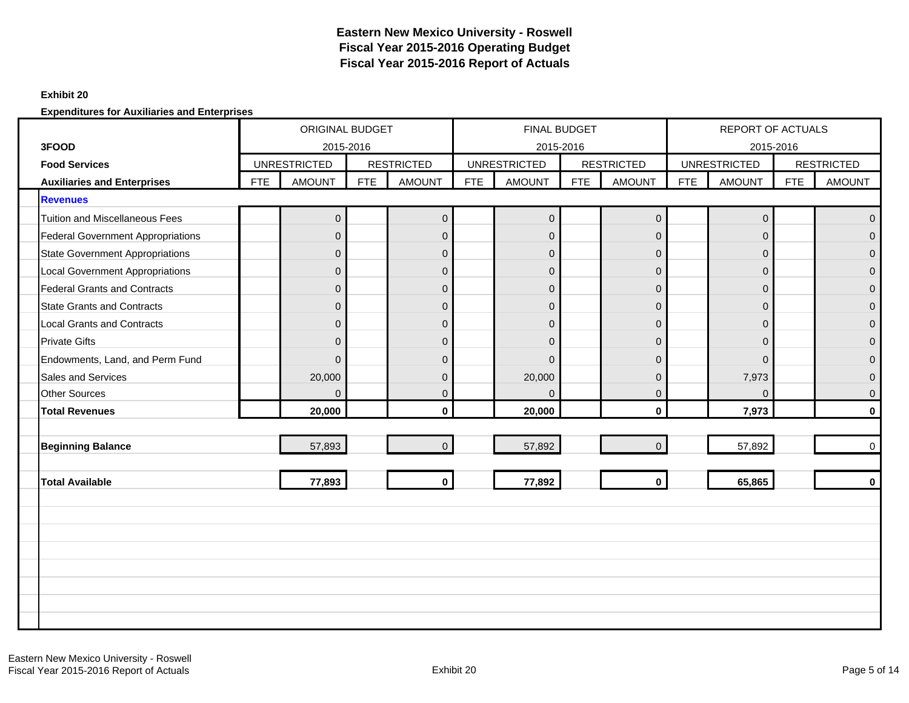#### **Exhibit 20**

|                                          |            | <b>ORIGINAL BUDGET</b><br>2015-2016 |            |                   |            | FINAL BUDGET        |            |                     |            | <b>REPORT OF ACTUALS</b> |            |                   |
|------------------------------------------|------------|-------------------------------------|------------|-------------------|------------|---------------------|------------|---------------------|------------|--------------------------|------------|-------------------|
| 3FOOD                                    |            |                                     |            |                   |            | 2015-2016           |            |                     |            | 2015-2016                |            |                   |
| <b>Food Services</b>                     |            | <b>UNRESTRICTED</b>                 |            | <b>RESTRICTED</b> |            | <b>UNRESTRICTED</b> |            | <b>RESTRICTED</b>   |            | <b>UNRESTRICTED</b>      |            | <b>RESTRICTED</b> |
| <b>Auxiliaries and Enterprises</b>       | <b>FTE</b> | <b>AMOUNT</b>                       | <b>FTE</b> | <b>AMOUNT</b>     | <b>FTE</b> | <b>AMOUNT</b>       | <b>FTE</b> | <b>AMOUNT</b>       | <b>FTE</b> | <b>AMOUNT</b>            | <b>FTE</b> | <b>AMOUNT</b>     |
| <b>Revenues</b>                          |            |                                     |            |                   |            |                     |            |                     |            |                          |            |                   |
| <b>Tuition and Miscellaneous Fees</b>    |            | $\pmb{0}$                           |            | $\mathbf 0$       |            | $\mathbf 0$         |            | $\mathsf{O}\xspace$ |            | $\mathbf 0$              |            | $\Omega$          |
| <b>Federal Government Appropriations</b> |            | $\mathbf{0}$                        |            | $\mathbf 0$       |            | $\mathbf 0$         |            | $\overline{0}$      |            | $\mathbf{0}$             |            | $\Omega$          |
| <b>State Government Appropriations</b>   |            | $\Omega$                            |            | $\mathbf{0}$      |            | $\overline{0}$      |            | $\Omega$            |            | $\mathbf{0}$             |            | $\Omega$          |
| <b>Local Government Appropriations</b>   |            | $\mathbf{0}$                        |            | $\mathbf 0$       |            | $\overline{0}$      |            | $\mathbf 0$         |            | $\mathbf{0}$             |            | $\mathbf{0}$      |
| <b>Federal Grants and Contracts</b>      |            | $\Omega$                            |            | $\mathbf 0$       |            | $\overline{0}$      |            | $\mathbf 0$         |            | $\Omega$                 |            | $\Omega$          |
| <b>State Grants and Contracts</b>        |            | $\mathbf{0}$                        |            | $\pmb{0}$         |            | $\overline{0}$      |            | $\overline{0}$      |            | $\mathbf{0}$             |            | $\overline{0}$    |
| <b>Local Grants and Contracts</b>        |            | $\mathbf{0}$                        |            | $\mathbf 0$       |            | $\overline{0}$      |            | $\mathbf 0$         |            | $\mathbf 0$              |            | $\Omega$          |
| <b>Private Gifts</b>                     |            | $\Omega$                            |            | $\overline{0}$    |            | $\overline{0}$      |            | $\Omega$            |            | $\mathbf{0}$             |            | $\Omega$          |
| Endowments, Land, and Perm Fund          |            | $\Omega$                            |            | $\mathbf 0$       |            | $\Omega$            |            | $\Omega$            |            | $\Omega$                 |            | $\Omega$          |
| <b>Sales and Services</b>                |            | 20,000                              |            | $\mathbf 0$       |            | 20,000              |            | $\Omega$            |            | 7,973                    |            | $\Omega$          |
| <b>Other Sources</b>                     |            | $\mathbf{0}$                        |            | $\pmb{0}$         |            | $\Omega$            |            | $\mathbf 0$         |            | $\mathbf 0$              |            | $\mathbf{0}$      |
| <b>Total Revenues</b>                    |            | 20,000                              |            | $\bf{0}$          |            | 20,000              |            | $\mathbf{0}$        |            | 7,973                    |            | $\bf{0}$          |
|                                          |            |                                     |            |                   |            |                     |            |                     |            |                          |            |                   |
| <b>Beginning Balance</b>                 |            | 57,893                              |            | $\overline{0}$    |            | 57,892              |            | $\overline{0}$      |            | 57,892                   |            | $\mathbf 0$       |
|                                          |            |                                     |            |                   |            |                     |            |                     |            |                          |            |                   |
| <b>Total Available</b>                   |            | 77,893                              |            | $\mathbf 0$       |            | 77,892              |            | $\mathbf 0$         |            | 65,865                   |            | $\mathbf{0}$      |
|                                          |            |                                     |            |                   |            |                     |            |                     |            |                          |            |                   |
|                                          |            |                                     |            |                   |            |                     |            |                     |            |                          |            |                   |
|                                          |            |                                     |            |                   |            |                     |            |                     |            |                          |            |                   |
|                                          |            |                                     |            |                   |            |                     |            |                     |            |                          |            |                   |
|                                          |            |                                     |            |                   |            |                     |            |                     |            |                          |            |                   |
|                                          |            |                                     |            |                   |            |                     |            |                     |            |                          |            |                   |
|                                          |            |                                     |            |                   |            |                     |            |                     |            |                          |            |                   |
|                                          |            |                                     |            |                   |            |                     |            |                     |            |                          |            |                   |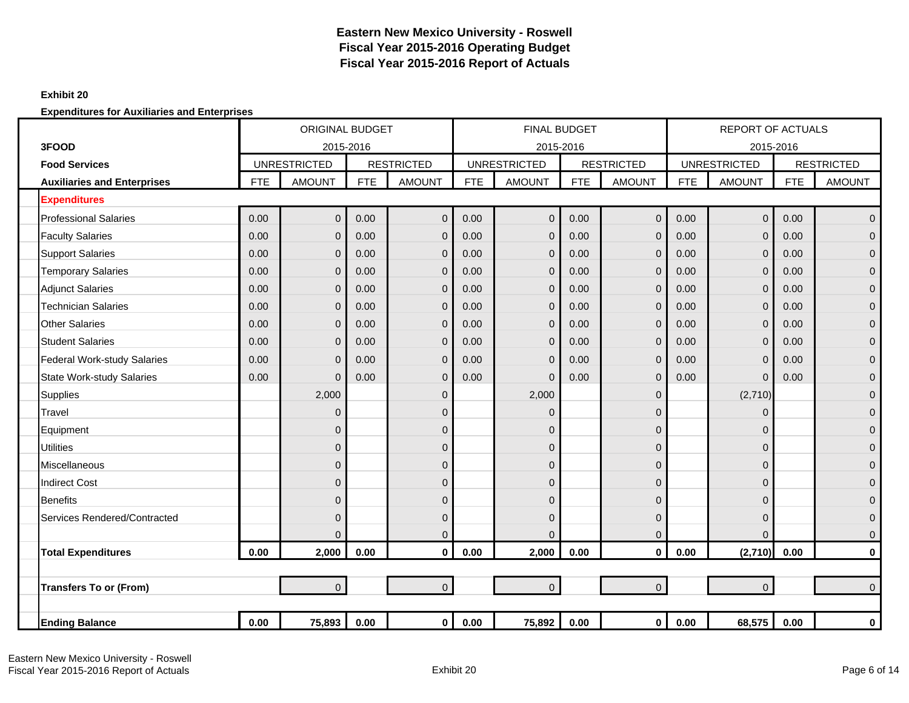### **Exhibit 20**

|                                    |            | <b>ORIGINAL BUDGET</b> |            |                   |            | <b>FINAL BUDGET</b> |            |                   |            | <b>REPORT OF ACTUALS</b> |            |                   |
|------------------------------------|------------|------------------------|------------|-------------------|------------|---------------------|------------|-------------------|------------|--------------------------|------------|-------------------|
| 3FOOD                              |            | 2015-2016              |            |                   |            |                     | 2015-2016  |                   |            | 2015-2016                |            |                   |
| <b>Food Services</b>               |            | <b>UNRESTRICTED</b>    |            | <b>RESTRICTED</b> |            | <b>UNRESTRICTED</b> |            | <b>RESTRICTED</b> |            | <b>UNRESTRICTED</b>      |            | <b>RESTRICTED</b> |
| <b>Auxiliaries and Enterprises</b> | <b>FTE</b> | <b>AMOUNT</b>          | <b>FTE</b> | <b>AMOUNT</b>     | <b>FTE</b> | <b>AMOUNT</b>       | <b>FTE</b> | <b>AMOUNT</b>     | <b>FTE</b> | <b>AMOUNT</b>            | <b>FTE</b> | <b>AMOUNT</b>     |
| <b>Expenditures</b>                |            |                        |            |                   |            |                     |            |                   |            |                          |            |                   |
| <b>Professional Salaries</b>       | 0.00       | $\overline{0}$         | 0.00       | $\overline{0}$    | 0.00       | $\mathbf{0}$        | 0.00       | $\mathbf{0}$      | 0.00       | $\mathbf 0$              | 0.00       | $\mathbf{0}$      |
| <b>Faculty Salaries</b>            | 0.00       | $\mathbf{0}$           | 0.00       | $\mathbf 0$       | 0.00       | $\Omega$            | 0.00       | $\mathbf{0}$      | 0.00       | $\mathbf 0$              | 0.00       | $\mathbf{0}$      |
| <b>Support Salaries</b>            | 0.00       | $\mathbf{0}$           | 0.00       | $\mathbf 0$       | 0.00       | $\Omega$            | 0.00       | $\mathbf{0}$      | 0.00       | $\mathbf 0$              | 0.00       | $\mathbf{0}$      |
| <b>Temporary Salaries</b>          | 0.00       | $\mathbf{0}$           | 0.00       | $\mathbf 0$       | 0.00       | $\Omega$            | 0.00       | $\mathbf{0}$      | 0.00       | $\mathbf 0$              | 0.00       | $\mathbf{0}$      |
| <b>Adjunct Salaries</b>            | 0.00       | $\Omega$               | 0.00       | $\mathbf{0}$      | 0.00       | $\Omega$            | 0.00       | $\Omega$          | 0.00       | $\mathbf{0}$             | 0.00       | $\Omega$          |
| <b>Technician Salaries</b>         | 0.00       | $\Omega$               | 0.00       | $\mathbf 0$       | 0.00       | $\Omega$            | 0.00       | $\mathbf{0}$      | 0.00       | $\mathbf 0$              | 0.00       | $\Omega$          |
| <b>Other Salaries</b>              | 0.00       | $\Omega$               | 0.00       | $\mathbf 0$       | 0.00       | $\Omega$            | 0.00       | $\mathbf{0}$      | 0.00       | $\mathbf 0$              | 0.00       | $\mathbf{0}$      |
| <b>Student Salaries</b>            | 0.00       | $\mathbf{0}$           | 0.00       | $\mathbf 0$       | 0.00       | $\Omega$            | 0.00       | $\mathbf 0$       | 0.00       | $\mathbf 0$              | 0.00       | $\mathbf{0}$      |
| <b>Federal Work-study Salaries</b> | 0.00       | $\Omega$               | 0.00       | $\mathbf 0$       | 0.00       | $\Omega$            | 0.00       | $\overline{0}$    | 0.00       | $\mathbf 0$              | 0.00       | $\mathbf{0}$      |
| <b>State Work-study Salaries</b>   | 0.00       | $\Omega$               | 0.00       | $\mathbf 0$       | 0.00       | $\Omega$            | 0.00       | $\mathbf{0}$      | 0.00       | $\mathbf 0$              | 0.00       | $\mathbf{0}$      |
| <b>Supplies</b>                    |            | 2,000                  |            | $\mathbf 0$       |            | 2,000               |            | $\overline{0}$    |            | (2,710)                  |            | $\Omega$          |
| Travel                             |            | $\Omega$               |            | $\mathbf 0$       |            | $\mathbf 0$         |            | $\Omega$          |            | 0                        |            | $\mathbf{0}$      |
| Equipment                          |            | $\Omega$               |            | $\mathbf 0$       |            | $\mathbf{0}$        |            | $\Omega$          |            | 0                        |            | $\mathbf{0}$      |
| <b>Utilities</b>                   |            | $\Omega$               |            | $\mathbf 0$       |            | $\mathbf{0}$        |            | $\Omega$          |            | 0                        |            | $\mathbf{0}$      |
| <b>Miscellaneous</b>               |            | $\Omega$               |            | $\mathbf 0$       |            | $\mathbf{0}$        |            | $\Omega$          |            | 0                        |            | $\Omega$          |
| <b>Indirect Cost</b>               |            | $\Omega$               |            | $\mathbf{0}$      |            | $\overline{0}$      |            | $\Omega$          |            | $\Omega$                 |            | $\Omega$          |
| <b>Benefits</b>                    |            | $\Omega$               |            | $\mathbf{0}$      |            | $\Omega$            |            | $\overline{0}$    |            | 0                        |            | $\mathbf{0}$      |
| Services Rendered/Contracted       |            | $\Omega$               |            | $\mathbf 0$       |            | $\mathbf{0}$        |            | $\overline{0}$    |            | 0                        |            | $\mathbf{0}$      |
|                                    |            | $\mathbf{0}$           |            | $\mathbf 0$       |            | $\Omega$            |            | $\mathbf 0$       |            | 0                        |            | $\mathbf 0$       |
| <b>Total Expenditures</b>          | 0.00       | 2,000                  | 0.00       | $\mathbf{0}$      | 0.00       | 2,000               | 0.00       | $\mathbf{0}$      | 0.00       | (2,710)                  | 0.00       | $\mathbf 0$       |
|                                    |            |                        |            |                   |            |                     |            |                   |            |                          |            |                   |
| <b>Transfers To or (From)</b>      |            | $\overline{0}$         |            | $\overline{0}$    |            | $\overline{0}$      |            | $\overline{0}$    |            | $\mathbf 0$              |            | $\Omega$          |
|                                    |            |                        |            |                   |            |                     |            |                   |            |                          |            |                   |
| <b>Ending Balance</b>              | 0.00       | 75,893                 | 0.00       | $\mathbf 0$       | $0.00\,$   | 75,892              | 0.00       | $\mathbf 0$       | 0.00       | 68,575                   | 0.00       | 0                 |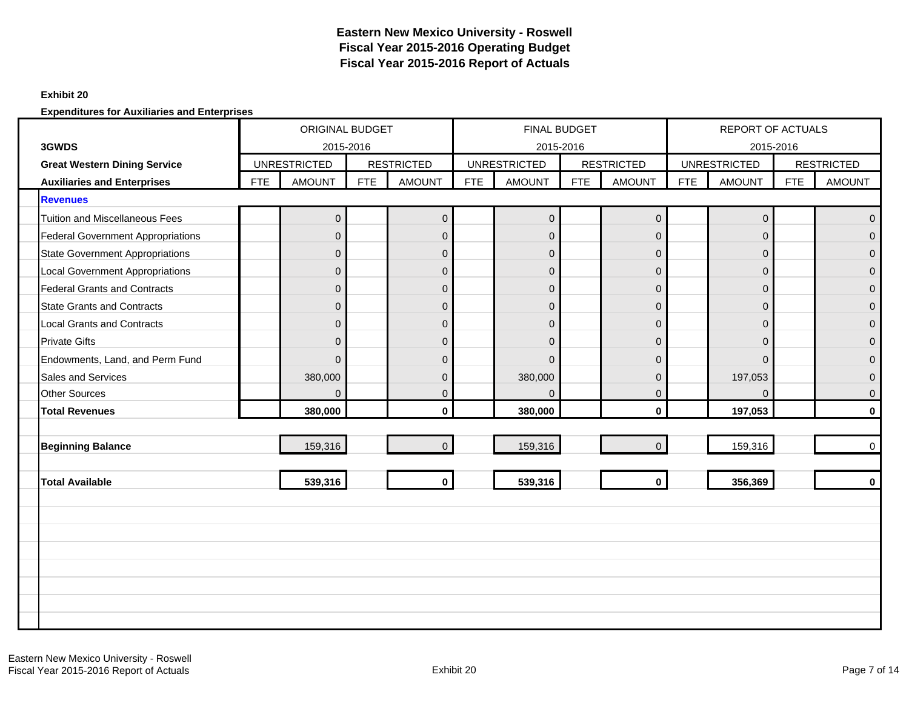#### **Exhibit 20**

|                                          |            | ORIGINAL BUDGET<br>2015-2016 |            |                   |            | <b>FINAL BUDGET</b> |            |                     |            | <b>REPORT OF ACTUALS</b> |            |                   |
|------------------------------------------|------------|------------------------------|------------|-------------------|------------|---------------------|------------|---------------------|------------|--------------------------|------------|-------------------|
| 3GWDS                                    |            |                              |            |                   |            | 2015-2016           |            |                     |            | 2015-2016                |            |                   |
| <b>Great Western Dining Service</b>      |            | <b>UNRESTRICTED</b>          |            | <b>RESTRICTED</b> |            | <b>UNRESTRICTED</b> |            | <b>RESTRICTED</b>   |            | <b>UNRESTRICTED</b>      |            | <b>RESTRICTED</b> |
| <b>Auxiliaries and Enterprises</b>       | <b>FTE</b> | <b>AMOUNT</b>                | <b>FTE</b> | <b>AMOUNT</b>     | <b>FTE</b> | <b>AMOUNT</b>       | <b>FTE</b> | <b>AMOUNT</b>       | <b>FTE</b> | <b>AMOUNT</b>            | <b>FTE</b> | <b>AMOUNT</b>     |
| <b>Revenues</b>                          |            |                              |            |                   |            |                     |            |                     |            |                          |            |                   |
| <b>Tuition and Miscellaneous Fees</b>    |            | $\overline{0}$               |            | $\mathbf 0$       |            | $\overline{0}$      |            | $\mathsf{O}\xspace$ |            | $\pmb{0}$                |            | $\Omega$          |
| <b>Federal Government Appropriations</b> |            | $\Omega$                     |            | $\mathbf 0$       |            | $\overline{0}$      |            | $\overline{0}$      |            | $\mathbf{0}$             |            | $\Omega$          |
| <b>State Government Appropriations</b>   |            | $\Omega$                     |            | $\pmb{0}$         |            | $\overline{0}$      |            | $\overline{0}$      |            | $\mathbf{0}$             |            | $\Omega$          |
| <b>Local Government Appropriations</b>   |            | $\Omega$                     |            | $\pmb{0}$         |            | $\overline{0}$      |            | $\mathbf 0$         |            | $\mathbf{0}$             |            | $\Omega$          |
| <b>Federal Grants and Contracts</b>      |            | $\Omega$                     |            | $\mathbf 0$       |            | $\overline{0}$      |            | $\Omega$            |            | $\Omega$                 |            | $\Omega$          |
| <b>State Grants and Contracts</b>        |            | $\mathbf{0}$                 |            | $\pmb{0}$         |            | $\overline{0}$      |            | $\overline{0}$      |            | $\mathbf 0$              |            | $\mathbf{0}$      |
| <b>Local Grants and Contracts</b>        |            | $\Omega$                     |            | $\pmb{0}$         |            | $\overline{0}$      |            | $\overline{0}$      |            | $\mathbf{0}$             |            | $\overline{0}$    |
| <b>Private Gifts</b>                     |            | $\Omega$                     |            | $\pmb{0}$         |            | $\overline{0}$      |            | $\mathbf 0$         |            | $\Omega$                 |            | $\Omega$          |
| Endowments, Land, and Perm Fund          |            | $\Omega$                     |            | $\mathbf 0$       |            | $\Omega$            |            | $\Omega$            |            | $\Omega$                 |            | $\Omega$          |
| <b>Sales and Services</b>                |            | 380,000                      |            | $\overline{0}$    |            | 380,000             |            | $\Omega$            |            | 197,053                  |            | $\Omega$          |
| <b>Other Sources</b>                     |            | $\Omega$                     |            | $\overline{0}$    |            | $\Omega$            |            | $\mathbf 0$         |            | $\Omega$                 |            | $\mathbf{0}$      |
| <b>Total Revenues</b>                    |            | 380,000                      |            | $\mathbf 0$       |            | 380,000             |            | $\mathbf{0}$        |            | 197,053                  |            | $\bf{0}$          |
|                                          |            |                              |            |                   |            |                     |            |                     |            |                          |            |                   |
| <b>Beginning Balance</b>                 |            | 159,316                      |            | $\overline{0}$    |            | 159,316             |            | $\Omega$            |            | 159,316                  |            | $\mathbf 0$       |
|                                          |            |                              |            |                   |            |                     |            |                     |            |                          |            |                   |
| <b>Total Available</b>                   |            | 539,316                      |            | $\mathbf 0$       |            | 539,316             |            | $\mathbf 0$         |            | 356,369                  |            | $\mathbf{0}$      |
|                                          |            |                              |            |                   |            |                     |            |                     |            |                          |            |                   |
|                                          |            |                              |            |                   |            |                     |            |                     |            |                          |            |                   |
|                                          |            |                              |            |                   |            |                     |            |                     |            |                          |            |                   |
|                                          |            |                              |            |                   |            |                     |            |                     |            |                          |            |                   |
|                                          |            |                              |            |                   |            |                     |            |                     |            |                          |            |                   |
|                                          |            |                              |            |                   |            |                     |            |                     |            |                          |            |                   |
|                                          |            |                              |            |                   |            |                     |            |                     |            |                          |            |                   |
|                                          |            |                              |            |                   |            |                     |            |                     |            |                          |            |                   |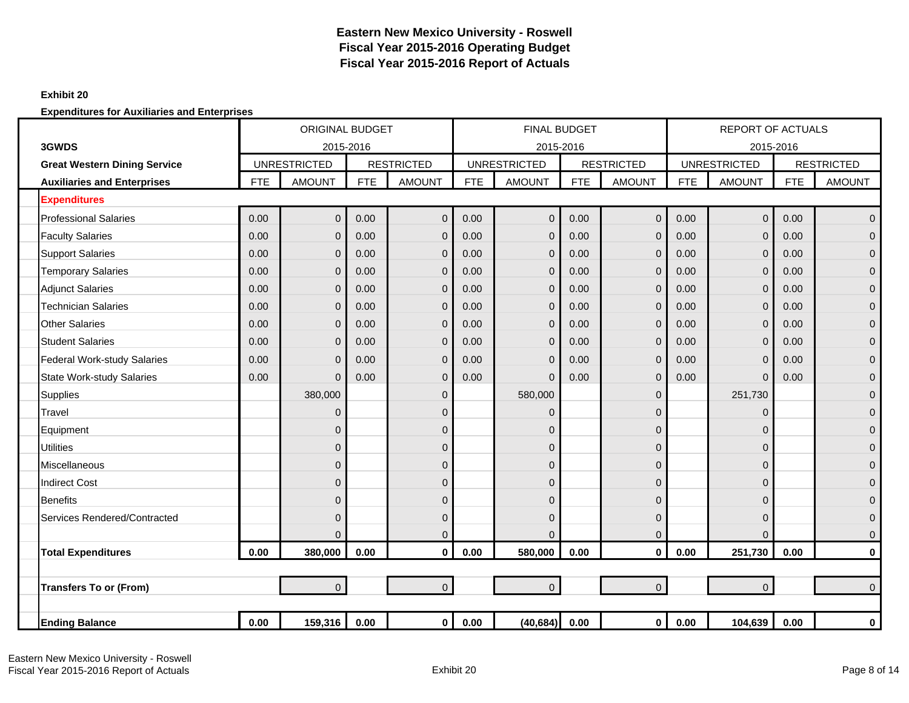### **Exhibit 20**

|                                     |            | <b>ORIGINAL BUDGET</b> |            |                   |            | <b>FINAL BUDGET</b> |            |                   |            | <b>REPORT OF ACTUALS</b> |            |                   |
|-------------------------------------|------------|------------------------|------------|-------------------|------------|---------------------|------------|-------------------|------------|--------------------------|------------|-------------------|
| 3GWDS                               |            | 2015-2016              |            |                   |            | 2015-2016           |            |                   |            | 2015-2016                |            |                   |
| <b>Great Western Dining Service</b> |            | <b>UNRESTRICTED</b>    |            | <b>RESTRICTED</b> |            | <b>UNRESTRICTED</b> |            | <b>RESTRICTED</b> |            | <b>UNRESTRICTED</b>      |            | <b>RESTRICTED</b> |
| <b>Auxiliaries and Enterprises</b>  | <b>FTE</b> | <b>AMOUNT</b>          | <b>FTE</b> | <b>AMOUNT</b>     | <b>FTE</b> | <b>AMOUNT</b>       | <b>FTE</b> | <b>AMOUNT</b>     | <b>FTE</b> | <b>AMOUNT</b>            | <b>FTE</b> | <b>AMOUNT</b>     |
| <b>Expenditures</b>                 |            |                        |            |                   |            |                     |            |                   |            |                          |            |                   |
| <b>Professional Salaries</b>        | 0.00       | $\overline{0}$         | 0.00       | $\mathbf 0$       | 0.00       | $\mathbf 0$         | 0.00       | $\mathbf 0$       | 0.00       | $\mathbf 0$              | 0.00       | $\overline{0}$    |
| <b>Faculty Salaries</b>             | 0.00       | $\mathbf{0}$           | 0.00       | $\mathbf 0$       | 0.00       | $\Omega$            | 0.00       | $\overline{0}$    | 0.00       | $\mathbf 0$              | 0.00       | $\overline{0}$    |
| <b>Support Salaries</b>             | 0.00       | $\mathbf{0}$           | 0.00       | $\mathbf 0$       | 0.00       | $\Omega$            | 0.00       | $\overline{0}$    | 0.00       | $\mathbf 0$              | 0.00       | $\overline{0}$    |
| <b>Temporary Salaries</b>           | 0.00       | $\mathbf{0}$           | 0.00       | $\mathbf 0$       | 0.00       | $\Omega$            | 0.00       | $\mathbf 0$       | 0.00       | $\mathbf 0$              | 0.00       | $\overline{0}$    |
| <b>Adjunct Salaries</b>             | 0.00       | $\Omega$               | 0.00       | $\mathbf{0}$      | 0.00       | $\Omega$            | 0.00       | $\Omega$          | 0.00       | $\mathbf{0}$             | 0.00       | $\mathbf{0}$      |
| <b>Technician Salaries</b>          | 0.00       | $\Omega$               | 0.00       | $\mathbf{0}$      | 0.00       | $\Omega$            | 0.00       | $\overline{0}$    | 0.00       | $\mathbf 0$              | 0.00       | $\overline{0}$    |
| <b>Other Salaries</b>               | 0.00       | $\Omega$               | 0.00       | $\mathbf{0}$      | 0.00       | $\Omega$            | 0.00       | $\overline{0}$    | 0.00       | $\overline{0}$           | 0.00       | $\mathbf{0}$      |
| <b>Student Salaries</b>             | 0.00       | $\mathbf 0$            | 0.00       | $\mathbf 0$       | 0.00       | $\Omega$            | 0.00       | $\mathbf 0$       | 0.00       | $\mathbf 0$              | 0.00       | $\mathbf 0$       |
| <b>Federal Work-study Salaries</b>  | 0.00       | $\mathbf{0}$           | 0.00       | $\mathbf 0$       | 0.00       | $\Omega$            | 0.00       | $\overline{0}$    | 0.00       | $\mathbf 0$              | 0.00       | $\mathbf{0}$      |
| <b>State Work-study Salaries</b>    | 0.00       | $\Omega$               | 0.00       | $\mathbf{0}$      | 0.00       | $\Omega$            | 0.00       | $\overline{0}$    | 0.00       | $\Omega$                 | 0.00       | $\mathbf{0}$      |
| Supplies                            |            | 380,000                |            | $\pmb{0}$         |            | 580,000             |            | $\mathbf{0}$      |            | 251,730                  |            | $\overline{0}$    |
| Travel                              |            | $\Omega$               |            | $\mathbf{0}$      |            | $\Omega$            |            | 0                 |            | $\mathbf 0$              |            | $\overline{0}$    |
| Equipment                           |            | $\Omega$               |            | $\mathbf 0$       |            | 0                   |            | 0                 |            | 0                        |            | $\mathbf{0}$      |
| <b>Utilities</b>                    |            | $\Omega$               |            | $\mathbf 0$       |            | $\mathbf{0}$        |            | 0                 |            | $\mathbf{0}$             |            | $\mathbf{0}$      |
| <b>Miscellaneous</b>                |            | $\Omega$               |            | $\mathbf 0$       |            | $\Omega$            |            | 0                 |            | $\Omega$                 |            | $\mathbf{0}$      |
| <b>Indirect Cost</b>                |            | $\Omega$               |            | $\mathbf{0}$      |            | $\Omega$            |            | $\Omega$          |            | $\mathbf{0}$             |            | $\overline{0}$    |
| <b>Benefits</b>                     |            | $\Omega$               |            | $\mathbf{0}$      |            | 0                   |            | 0                 |            | $\overline{0}$           |            | $\mathbf 0$       |
| Services Rendered/Contracted        |            | $\Omega$               |            | 0                 |            | 0                   |            | $\mathbf{0}$      |            | $\mathbf 0$              |            | $\overline{0}$    |
|                                     |            | $\Omega$               |            | $\mathbf 0$       |            | $\Omega$            |            | $\overline{0}$    |            | $\overline{0}$           |            | $\mathbf 0$       |
| <b>Total Expenditures</b>           | 0.00       | 380,000                | 0.00       | $\mathbf{0}$      | 0.00       | 580,000             | 0.00       | $\mathbf{0}$      | 0.00       | 251,730                  | 0.00       | $\mathbf 0$       |
|                                     |            |                        |            |                   |            |                     |            |                   |            |                          |            |                   |
| <b>Transfers To or (From)</b>       |            | $\Omega$               |            | $\overline{0}$    |            | $\overline{0}$      |            | $\Omega$          |            | $\Omega$                 |            | $\overline{0}$    |
|                                     |            |                        |            |                   |            |                     |            |                   |            |                          |            |                   |
| <b>Ending Balance</b>               | 0.00       | 159,316                | 0.00       | $\mathbf{0}$      | 0.00       | (40, 684)           | 0.00       | 0                 | 0.00       | 104,639                  | 0.00       | 0                 |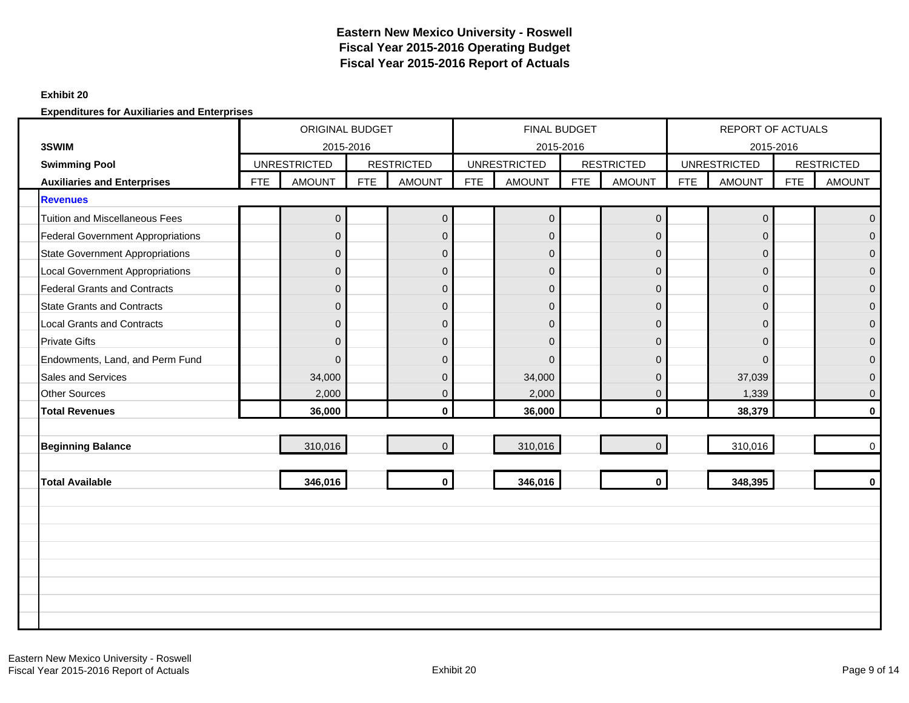#### **Exhibit 20**

|                                                            |            | <b>ORIGINAL BUDGET</b>               |            |                   |            | FINAL BUDGET                     |     |                   |            | <b>REPORT OF ACTUALS</b>             |            |                   |
|------------------------------------------------------------|------------|--------------------------------------|------------|-------------------|------------|----------------------------------|-----|-------------------|------------|--------------------------------------|------------|-------------------|
| 3SWIM                                                      |            | 2015-2016                            |            | <b>RESTRICTED</b> |            | 2015-2016<br><b>UNRESTRICTED</b> |     | <b>RESTRICTED</b> |            | 2015-2016                            |            | <b>RESTRICTED</b> |
| <b>Swimming Pool</b><br><b>Auxiliaries and Enterprises</b> | <b>FTE</b> | <b>UNRESTRICTED</b><br><b>AMOUNT</b> | <b>FTE</b> | <b>AMOUNT</b>     | <b>FTE</b> | <b>AMOUNT</b>                    | FTE | <b>AMOUNT</b>     | <b>FTE</b> | <b>UNRESTRICTED</b><br><b>AMOUNT</b> | <b>FTE</b> | <b>AMOUNT</b>     |
|                                                            |            |                                      |            |                   |            |                                  |     |                   |            |                                      |            |                   |
| <b>Revenues</b><br><b>Tuition and Miscellaneous Fees</b>   |            |                                      |            |                   |            |                                  |     |                   |            |                                      |            |                   |
|                                                            |            | $\pmb{0}$                            |            | $\pmb{0}$         |            | $\mathbf 0$                      |     | $\pmb{0}$         |            | $\pmb{0}$                            |            | $\Omega$          |
| <b>Federal Government Appropriations</b>                   |            | $\mathbf{0}$                         |            | $\mathbf 0$       |            | $\mathbf{0}$                     |     | $\overline{0}$    |            | $\mathbf{0}$                         |            | $\Omega$          |
| <b>State Government Appropriations</b>                     |            | $\mathbf{0}$                         |            | $\boldsymbol{0}$  |            | $\mathbf 0$                      |     | $\mathbf{0}$      |            | $\mathbf 0$                          |            | $\overline{0}$    |
| <b>Local Government Appropriations</b>                     |            | $\mathbf{0}$                         |            | $\mathbf 0$       |            | $\mathbf{0}$                     |     | $\mathbf 0$       |            | $\mathbf{0}$                         |            | $\Omega$          |
| <b>Federal Grants and Contracts</b>                        |            | $\mathbf{0}$                         |            | $\mathbf 0$       |            | $\overline{0}$                   |     | $\mathsf 0$       |            | $\overline{0}$                       |            | $\overline{0}$    |
| <b>State Grants and Contracts</b>                          |            | $\Omega$                             |            | $\mathbf{0}$      |            | $\Omega$                         |     | $\mathbf{0}$      |            | $\mathbf{0}$                         |            | $\mathbf{0}$      |
| <b>Local Grants and Contracts</b>                          |            | $\overline{0}$                       |            | $\mathbf 0$       |            | $\Omega$                         |     | $\mathbf{0}$      |            | $\overline{0}$                       |            | $\Omega$          |
| <b>Private Gifts</b>                                       |            | $\mathbf{0}$                         |            | $\mathbf 0$       |            | $\mathbf 0$                      |     | $\mathbf{0}$      |            | $\mathbf{0}$                         |            | $\mathbf{0}$      |
| Endowments, Land, and Perm Fund                            |            | $\Omega$                             |            | $\Omega$          |            | $\Omega$                         |     | $\Omega$          |            | $\Omega$                             |            | $\Omega$          |
| Sales and Services                                         |            | 34,000                               |            | $\mathbf 0$       |            | 34,000                           |     | $\overline{0}$    |            | 37,039                               |            | $\overline{0}$    |
| <b>Other Sources</b>                                       |            | 2,000                                |            | $\mathbf{0}$      |            | 2,000                            |     | $\mathbf{0}$      |            | 1,339                                |            | $\mathbf{0}$      |
| <b>Total Revenues</b>                                      |            | 36,000                               |            | $\mathbf{0}$      |            | 36,000                           |     | $\mathbf{0}$      |            | 38,379                               |            | $\bf{0}$          |
|                                                            |            |                                      |            |                   |            |                                  |     |                   |            |                                      |            |                   |
| <b>Beginning Balance</b>                                   |            | 310,016                              |            | $\mathbf 0$       |            | 310,016                          |     | $\Omega$          |            | 310,016                              |            | $\mathbf 0$       |
|                                                            |            |                                      |            |                   |            |                                  |     |                   |            |                                      |            |                   |
| <b>Total Available</b>                                     |            | 346,016                              |            | $\mathbf 0$       |            | 346,016                          |     | $\mathbf 0$       |            | 348,395                              |            | $\mathbf{0}$      |
|                                                            |            |                                      |            |                   |            |                                  |     |                   |            |                                      |            |                   |
|                                                            |            |                                      |            |                   |            |                                  |     |                   |            |                                      |            |                   |
|                                                            |            |                                      |            |                   |            |                                  |     |                   |            |                                      |            |                   |
|                                                            |            |                                      |            |                   |            |                                  |     |                   |            |                                      |            |                   |
|                                                            |            |                                      |            |                   |            |                                  |     |                   |            |                                      |            |                   |
|                                                            |            |                                      |            |                   |            |                                  |     |                   |            |                                      |            |                   |
|                                                            |            |                                      |            |                   |            |                                  |     |                   |            |                                      |            |                   |
|                                                            |            |                                      |            |                   |            |                                  |     |                   |            |                                      |            |                   |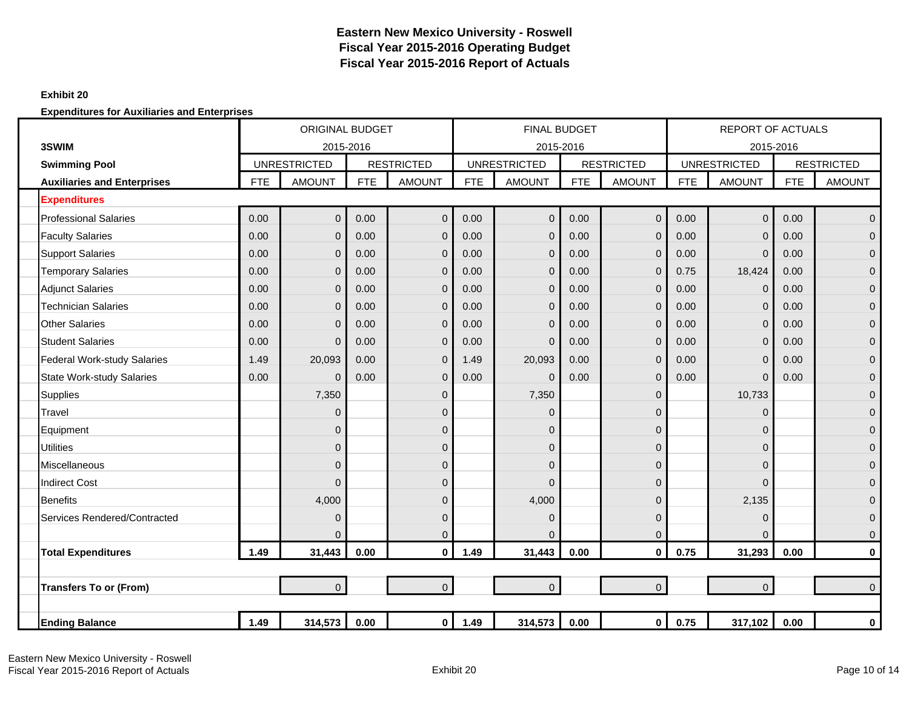### **Exhibit 20**

|                                    |            | <b>ORIGINAL BUDGET</b><br>2015-2016 |            |                   |            | <b>FINAL BUDGET</b> |            |                   |            | <b>REPORT OF ACTUALS</b> |            |                   |
|------------------------------------|------------|-------------------------------------|------------|-------------------|------------|---------------------|------------|-------------------|------------|--------------------------|------------|-------------------|
| 3SWIM                              |            |                                     |            |                   |            | 2015-2016           |            |                   |            | 2015-2016                |            |                   |
| <b>Swimming Pool</b>               |            | <b>UNRESTRICTED</b>                 |            | <b>RESTRICTED</b> |            | <b>UNRESTRICTED</b> |            | <b>RESTRICTED</b> |            | <b>UNRESTRICTED</b>      |            | <b>RESTRICTED</b> |
| <b>Auxiliaries and Enterprises</b> | <b>FTE</b> | <b>AMOUNT</b>                       | <b>FTE</b> | <b>AMOUNT</b>     | <b>FTE</b> | <b>AMOUNT</b>       | <b>FTE</b> | <b>AMOUNT</b>     | <b>FTE</b> | <b>AMOUNT</b>            | <b>FTE</b> | <b>AMOUNT</b>     |
| <b>Expenditures</b>                |            |                                     |            |                   |            |                     |            |                   |            |                          |            |                   |
| <b>Professional Salaries</b>       | 0.00       | $\Omega$                            | 0.00       | $\mathbf{0}$      | 0.00       | $\Omega$            | 0.00       | $\overline{0}$    | 0.00       | $\overline{0}$           | 0.00       | $\Omega$          |
| <b>Faculty Salaries</b>            | 0.00       | $\Omega$                            | 0.00       | $\mathbf{0}$      | 0.00       | $\Omega$            | 0.00       | $\mathbf{0}$      | 0.00       | $\mathbf 0$              | 0.00       | $\Omega$          |
| <b>Support Salaries</b>            | 0.00       | $\Omega$                            | 0.00       | $\mathbf{0}$      | 0.00       | $\Omega$            | 0.00       | $\overline{0}$    | 0.00       | $\overline{0}$           | 0.00       | $\mathbf{0}$      |
| <b>Temporary Salaries</b>          | 0.00       | $\mathbf{0}$                        | 0.00       | $\mathbf 0$       | 0.00       | $\Omega$            | 0.00       | $\mathbf{0}$      | 0.75       | 18,424                   | 0.00       | $\mathbf{0}$      |
| <b>Adjunct Salaries</b>            | 0.00       | $\mathbf{0}$                        | 0.00       | $\mathbf 0$       | 0.00       | $\Omega$            | 0.00       | $\mathbf{0}$      | 0.00       | $\mathbf 0$              | 0.00       | $\mathbf{0}$      |
| <b>Technician Salaries</b>         | 0.00       | $\mathbf 0$                         | 0.00       | $\mathbf 0$       | 0.00       | $\Omega$            | 0.00       | $\mathbf 0$       | 0.00       | $\mathbf 0$              | 0.00       | $\mathbf{0}$      |
| <b>Other Salaries</b>              | 0.00       | $\Omega$                            | 0.00       | $\mathbf{0}$      | 0.00       | $\Omega$            | 0.00       | $\overline{0}$    | 0.00       | $\mathbf 0$              | 0.00       | $\mathbf{0}$      |
| <b>Student Salaries</b>            | 0.00       | $\Omega$                            | 0.00       | $\mathbf{0}$      | 0.00       | $\Omega$            | 0.00       | $\mathbf{0}$      | 0.00       | $\overline{0}$           | 0.00       | $\Omega$          |
| <b>Federal Work-study Salaries</b> | 1.49       | 20,093                              | 0.00       | $\mathbf{0}$      | 1.49       | 20,093              | 0.00       | $\mathbf{0}$      | 0.00       | 0                        | 0.00       | $\Omega$          |
| <b>State Work-study Salaries</b>   | 0.00       | $\mathbf{0}$                        | 0.00       | $\mathbf 0$       | 0.00       | $\Omega$            | 0.00       | $\mathbf 0$       | 0.00       | $\mathbf 0$              | 0.00       | $\mathbf{0}$      |
| <b>Supplies</b>                    |            | 7,350                               |            | $\mathbf 0$       |            | 7,350               |            | $\mathbf 0$       |            | 10,733                   |            | $\mathbf{0}$      |
| Travel                             |            | $\mathbf{0}$                        |            | $\mathbf 0$       |            | $\mathbf 0$         |            | $\Omega$          |            | 0                        |            | $\mathbf{0}$      |
| Equipment                          |            | 0                                   |            | $\mathbf{0}$      |            | $\Omega$            |            | $\Omega$          |            | 0                        |            | $\Omega$          |
| <b>Utilities</b>                   |            | $\Omega$                            |            | $\mathbf{0}$      |            | $\Omega$            |            | $\Omega$          |            | $\overline{0}$           |            | $\mathbf{0}$      |
| <b>Miscellaneous</b>               |            | 0                                   |            | $\mathbf{0}$      |            | $\mathbf{0}$        |            | $\overline{0}$    |            | 0                        |            | $\mathbf{0}$      |
| <b>Indirect Cost</b>               |            | $\Omega$                            |            | $\mathbf{0}$      |            | $\Omega$            |            | $\Omega$          |            | 0                        |            | $\mathbf{0}$      |
| <b>Benefits</b>                    |            | 4,000                               |            | $\mathbf 0$       |            | 4,000               |            | $\mathbf 0$       |            | 2,135                    |            | $\mathbf{0}$      |
| Services Rendered/Contracted       |            | $\mathbf 0$                         |            | $\mathbf 0$       |            | $\mathbf{0}$        |            | $\Omega$          |            | 0                        |            | $\mathbf{0}$      |
|                                    |            | $\Omega$                            |            | $\pmb{0}$         |            | $\Omega$            |            | $\mathbf{0}$      |            | $\Omega$                 |            | $\mathbf 0$       |
| <b>Total Expenditures</b>          | 1.49       | 31,443                              | 0.00       | $\mathbf{0}$      | 1.49       | 31,443              | 0.00       | $\mathbf{0}$      | 0.75       | 31,293                   | 0.00       | $\mathbf 0$       |
|                                    |            |                                     |            |                   |            |                     |            |                   |            |                          |            |                   |
| <b>Transfers To or (From)</b>      |            | $\overline{0}$                      |            | $\overline{0}$    |            | $\overline{0}$      |            | $\overline{0}$    |            | $\mathbf 0$              |            | $\Omega$          |
|                                    |            |                                     |            |                   |            |                     |            |                   |            |                          |            |                   |
| <b>Ending Balance</b>              | 1.49       | 314,573                             | 0.00       | $\overline{0}$    | 1.49       | 314,573             | 0.00       | $\mathbf 0$       | 0.75       | 317,102                  | 0.00       | $\mathbf 0$       |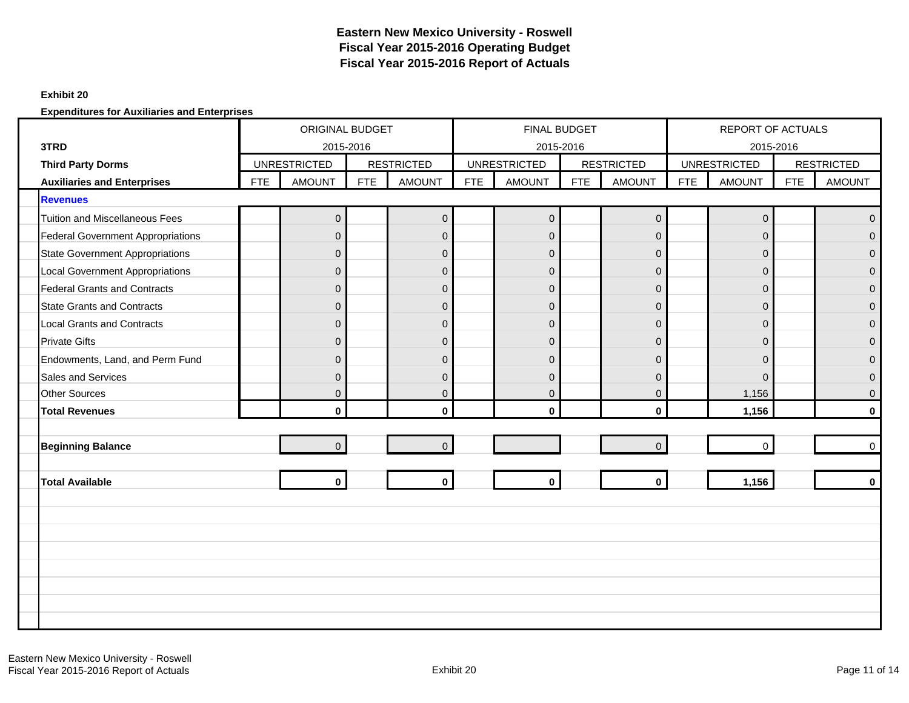#### **Exhibit 20**

|                                          |            | ORIGINAL BUDGET<br>2015-2016 |            |                   |            | <b>FINAL BUDGET</b>              |     |                   |            | <b>REPORT OF ACTUALS</b>         |            |                   |
|------------------------------------------|------------|------------------------------|------------|-------------------|------------|----------------------------------|-----|-------------------|------------|----------------------------------|------------|-------------------|
| 3TRD<br><b>Third Party Dorms</b>         |            | <b>UNRESTRICTED</b>          |            | <b>RESTRICTED</b> |            | 2015-2016<br><b>UNRESTRICTED</b> |     | <b>RESTRICTED</b> |            | 2015-2016<br><b>UNRESTRICTED</b> |            | <b>RESTRICTED</b> |
| <b>Auxiliaries and Enterprises</b>       | <b>FTE</b> | <b>AMOUNT</b>                | <b>FTE</b> | <b>AMOUNT</b>     | <b>FTE</b> | <b>AMOUNT</b>                    | FTE | <b>AMOUNT</b>     | <b>FTE</b> | <b>AMOUNT</b>                    | <b>FTE</b> | <b>AMOUNT</b>     |
| <b>Revenues</b>                          |            |                              |            |                   |            |                                  |     |                   |            |                                  |            |                   |
| <b>Tuition and Miscellaneous Fees</b>    |            | $\overline{0}$               |            | $\mathbf 0$       |            | $\overline{0}$                   |     | $\mathbf 0$       |            | $\mathbf 0$                      |            | $\Omega$          |
| <b>Federal Government Appropriations</b> |            | $\Omega$                     |            | $\mathbf 0$       |            | $\overline{0}$                   |     | $\mathbf 0$       |            | $\mathbf{0}$                     |            | $\Omega$          |
| <b>State Government Appropriations</b>   |            | $\Omega$                     |            | $\mathbf 0$       |            | $\overline{0}$                   |     | $\Omega$          |            | $\mathbf{0}$                     |            | $\Omega$          |
| <b>Local Government Appropriations</b>   |            | $\mathbf{0}$                 |            | $\pmb{0}$         |            | $\overline{0}$                   |     | $\mathbf 0$       |            | $\mathbf{0}$                     |            | $\Omega$          |
| <b>Federal Grants and Contracts</b>      |            | $\Omega$                     |            | $\overline{0}$    |            | $\overline{0}$                   |     | $\mathbf 0$       |            | $\Omega$                         |            | $\Omega$          |
| <b>State Grants and Contracts</b>        |            | $\overline{0}$               |            | $\pmb{0}$         |            | $\overline{0}$                   |     | $\overline{0}$    |            | $\mathbf{0}$                     |            | $\Omega$          |
| <b>Local Grants and Contracts</b>        |            | $\Omega$                     |            | $\pmb{0}$         |            | $\overline{0}$                   |     | $\mathbf 0$       |            | $\mathbf 0$                      |            | $\Omega$          |
| <b>Private Gifts</b>                     |            | $\Omega$                     |            | $\overline{0}$    |            | $\overline{0}$                   |     | $\Omega$          |            | $\mathbf{0}$                     |            | $\Omega$          |
| Endowments, Land, and Perm Fund          |            | $\Omega$                     |            | $\mathbf 0$       |            | $\overline{0}$                   |     | $\Omega$          |            | $\Omega$                         |            | $\Omega$          |
| Sales and Services                       |            | $\Omega$                     |            | $\pmb{0}$         |            | $\Omega$                         |     | $\Omega$          |            | $\Omega$                         |            | $\Omega$          |
| <b>Other Sources</b>                     |            | $\overline{0}$               |            | $\pmb{0}$         |            | $\overline{0}$                   |     | $\mathbf 0$       |            | 1,156                            |            | $\mathbf{0}$      |
| <b>Total Revenues</b>                    |            | 0                            |            | $\bf{0}$          |            | $\mathbf{0}$                     |     | $\mathbf{0}$      |            | 1,156                            |            | $\mathbf{0}$      |
|                                          |            |                              |            |                   |            |                                  |     |                   |            |                                  |            |                   |
| <b>Beginning Balance</b>                 |            | $\overline{0}$               |            | $\pmb{0}$         |            |                                  |     | $\Omega$          |            | $\mathbf 0$                      |            | $\mathbf 0$       |
|                                          |            |                              |            |                   |            |                                  |     |                   |            |                                  |            |                   |
| <b>Total Available</b>                   |            | $\mathbf 0$                  |            | $\mathbf 0$       |            | $\mathbf 0$                      |     | $\mathbf 0$       |            | 1,156                            |            | $\mathbf{0}$      |
|                                          |            |                              |            |                   |            |                                  |     |                   |            |                                  |            |                   |
|                                          |            |                              |            |                   |            |                                  |     |                   |            |                                  |            |                   |
|                                          |            |                              |            |                   |            |                                  |     |                   |            |                                  |            |                   |
|                                          |            |                              |            |                   |            |                                  |     |                   |            |                                  |            |                   |
|                                          |            |                              |            |                   |            |                                  |     |                   |            |                                  |            |                   |
|                                          |            |                              |            |                   |            |                                  |     |                   |            |                                  |            |                   |
|                                          |            |                              |            |                   |            |                                  |     |                   |            |                                  |            |                   |
|                                          |            |                              |            |                   |            |                                  |     |                   |            |                                  |            |                   |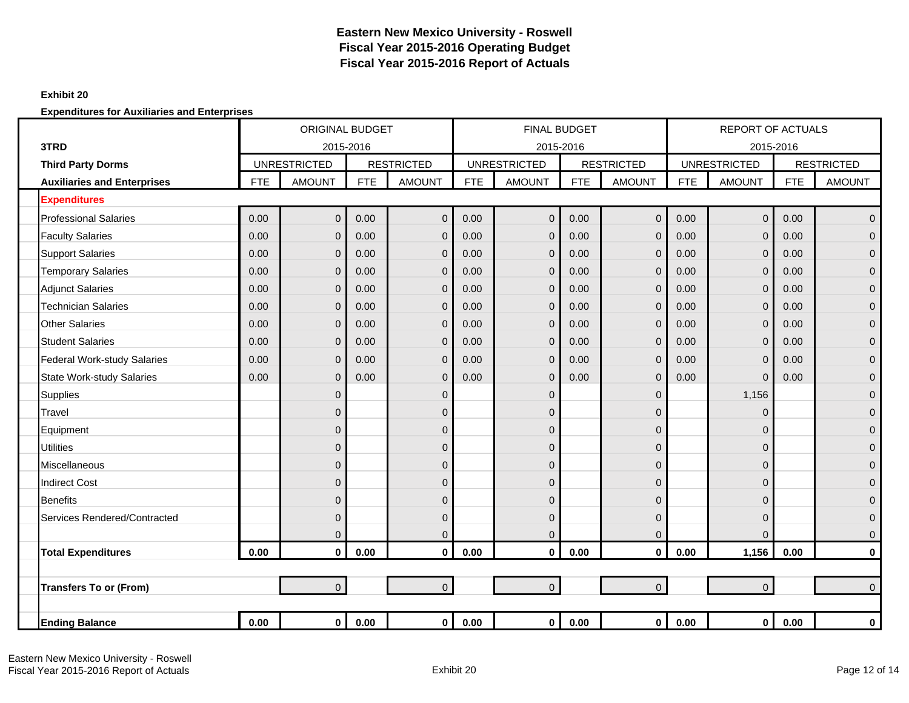#### **Exhibit 20**

|                                    |            | <b>ORIGINAL BUDGET</b> |            |                   |            | <b>FINAL BUDGET</b> |            |                   |            | <b>REPORT OF ACTUALS</b> |            |                   |
|------------------------------------|------------|------------------------|------------|-------------------|------------|---------------------|------------|-------------------|------------|--------------------------|------------|-------------------|
| 3TRD                               |            | 2015-2016              |            |                   |            |                     | 2015-2016  |                   |            | 2015-2016                |            |                   |
| <b>Third Party Dorms</b>           |            | <b>UNRESTRICTED</b>    |            | <b>RESTRICTED</b> |            | <b>UNRESTRICTED</b> |            | <b>RESTRICTED</b> |            | <b>UNRESTRICTED</b>      |            | <b>RESTRICTED</b> |
| <b>Auxiliaries and Enterprises</b> | <b>FTE</b> | <b>AMOUNT</b>          | <b>FTE</b> | <b>AMOUNT</b>     | <b>FTE</b> | <b>AMOUNT</b>       | <b>FTE</b> | <b>AMOUNT</b>     | <b>FTE</b> | <b>AMOUNT</b>            | <b>FTE</b> | <b>AMOUNT</b>     |
| <b>Expenditures</b>                |            |                        |            |                   |            |                     |            |                   |            |                          |            |                   |
| <b>Professional Salaries</b>       | 0.00       | $\mathbf 0$            | 0.00       | $\mathbf 0$       | 0.00       | $\mathbf{0}$        | 0.00       | $\mathbf 0$       | 0.00       | $\mathbf{0}$             | 0.00       | $\mathbf{0}$      |
| <b>Faculty Salaries</b>            | 0.00       | $\mathbf{0}$           | 0.00       | $\mathbf 0$       | 0.00       | $\mathbf 0$         | 0.00       | $\mathbf 0$       | 0.00       | $\mathbf 0$              | 0.00       | $\mathbf{0}$      |
| <b>Support Salaries</b>            | 0.00       | $\Omega$               | 0.00       | $\mathbf{0}$      | 0.00       | $\Omega$            | 0.00       | $\mathbf{0}$      | 0.00       | $\mathbf{0}$             | 0.00       | $\Omega$          |
| <b>Temporary Salaries</b>          | 0.00       | $\mathbf{0}$           | 0.00       | $\mathbf 0$       | 0.00       | $\Omega$            | 0.00       | $\mathbf 0$       | 0.00       | $\mathbf 0$              | 0.00       | $\Omega$          |
| <b>Adjunct Salaries</b>            | 0.00       | $\Omega$               | 0.00       | $\mathbf 0$       | 0.00       | $\Omega$            | 0.00       | $\mathbf{0}$      | 0.00       | $\mathbf 0$              | 0.00       | $\mathbf{0}$      |
| <b>Technician Salaries</b>         | 0.00       | $\mathbf{0}$           | 0.00       | $\mathbf 0$       | 0.00       | $\Omega$            | 0.00       | $\mathbf 0$       | 0.00       | $\mathbf 0$              | 0.00       | $\mathbf{0}$      |
| <b>Other Salaries</b>              | 0.00       | $\mathbf{0}$           | 0.00       | $\mathbf 0$       | 0.00       | $\Omega$            | 0.00       | $\overline{0}$    | 0.00       | $\overline{0}$           | 0.00       | $\mathbf{0}$      |
| <b>Student Salaries</b>            | 0.00       | $\mathbf{0}$           | 0.00       | $\mathbf 0$       | 0.00       | $\Omega$            | 0.00       | $\mathbf 0$       | 0.00       | $\mathbf 0$              | 0.00       | $\mathbf{0}$      |
| <b>Federal Work-study Salaries</b> | 0.00       | $\mathbf{0}$           | 0.00       | $\mathbf 0$       | 0.00       | $\Omega$            | 0.00       | $\mathbf{0}$      | 0.00       | $\mathbf 0$              | 0.00       | $\mathbf{0}$      |
| <b>State Work-study Salaries</b>   | 0.00       | $\Omega$               | 0.00       | $\mathbf{0}$      | 0.00       | $\Omega$            | 0.00       | $\mathbf{0}$      | 0.00       | $\mathbf 0$              | 0.00       | $\mathbf{0}$      |
| <b>Supplies</b>                    |            | $\mathbf{0}$           |            | $\mathbf 0$       |            | $\mathbf{0}$        |            | $\Omega$          |            | 1,156                    |            | $\mathbf{0}$      |
| Travel                             |            | $\Omega$               |            | $\mathbf 0$       |            | $\mathbf{0}$        |            | $\Omega$          |            | 0                        |            | $\mathbf{0}$      |
| Equipment                          |            | $\Omega$               |            | 0                 |            | $\mathbf{0}$        |            | $\Omega$          |            | 0                        |            | $\mathbf{0}$      |
| <b>Utilities</b>                   |            | $\Omega$               |            | $\mathbf{0}$      |            | $\mathbf{0}$        |            | $\Omega$          |            | 0                        |            | $\Omega$          |
| Miscellaneous                      |            | $\mathbf 0$            |            | $\mathbf 0$       |            | $\overline{0}$      |            | $\Omega$          |            | 0                        |            | $\mathbf{0}$      |
| <b>Indirect Cost</b>               |            | $\Omega$               |            | $\mathbf{0}$      |            | $\mathbf{0}$        |            | $\Omega$          |            | 0                        |            | $\mathbf{0}$      |
| <b>Benefits</b>                    |            | $\mathbf{0}$           |            | $\mathbf{0}$      |            | $\mathbf{0}$        |            | $\overline{0}$    |            | 0                        |            | $\mathbf{0}$      |
| Services Rendered/Contracted       |            | $\Omega$               |            | $\mathbf{0}$      |            | $\mathbf{0}$        |            | $\Omega$          |            | 0                        |            | $\Omega$          |
|                                    |            | $\mathbf{0}$           |            | $\mathbf 0$       |            | $\overline{0}$      |            | $\mathbf{0}$      |            | 0                        |            | $\mathbf 0$       |
| <b>Total Expenditures</b>          | 0.00       | $\mathbf{0}$           | 0.00       | $\mathbf 0$       | 0.00       | $\bf{0}$            | 0.00       | $\mathbf 0$       | 0.00       | 1,156                    | 0.00       | 0                 |
|                                    |            |                        |            |                   |            |                     |            |                   |            |                          |            |                   |
| <b>Transfers To or (From)</b>      |            | $\overline{0}$         |            | $\overline{0}$    |            | $\overline{0}$      |            | $\overline{0}$    |            | $\overline{0}$           |            | $\Omega$          |
|                                    |            |                        |            |                   |            |                     |            |                   |            |                          |            |                   |
| <b>Ending Balance</b>              | 0.00       | $\mathbf 0$            | 0.00       | $\mathbf 0$       | 0.00       | $\mathbf{0}$        | 0.00       | $\mathbf 0$       | 0.00       | $\mathbf 0$              | 0.00       | 0                 |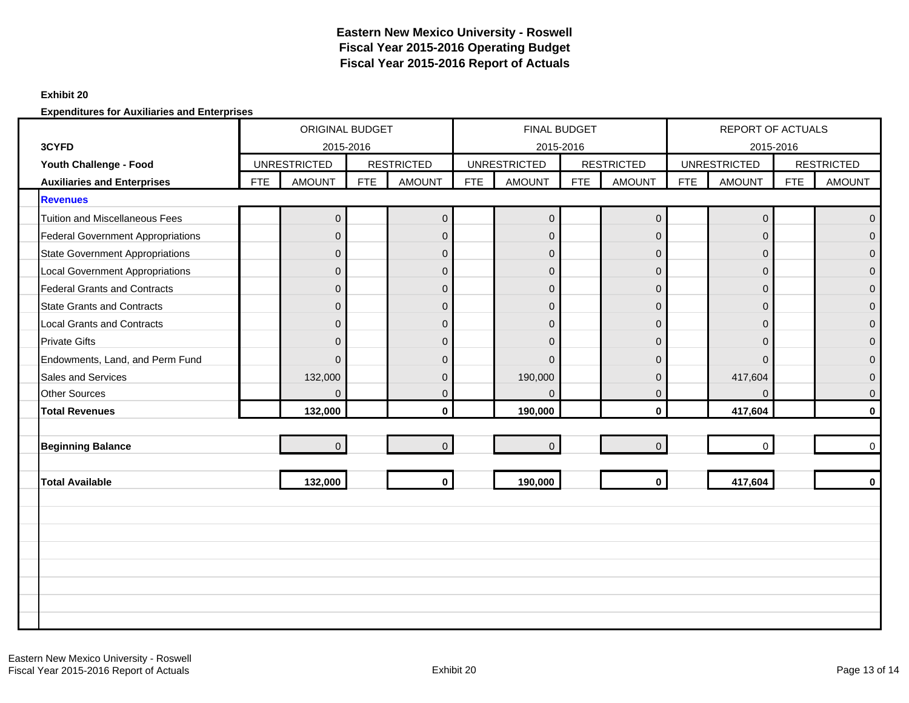#### **Exhibit 20**

|                                          |            | ORIGINAL BUDGET<br>2015-2016 |            |                   |            | <b>FINAL BUDGET</b> |     |                     |            | <b>REPORT OF ACTUALS</b> |            |                   |
|------------------------------------------|------------|------------------------------|------------|-------------------|------------|---------------------|-----|---------------------|------------|--------------------------|------------|-------------------|
| 3CYFD                                    |            |                              |            |                   |            | 2015-2016           |     |                     |            | 2015-2016                |            |                   |
| Youth Challenge - Food                   |            | <b>UNRESTRICTED</b>          |            | <b>RESTRICTED</b> |            | <b>UNRESTRICTED</b> |     | <b>RESTRICTED</b>   |            | <b>UNRESTRICTED</b>      |            | <b>RESTRICTED</b> |
| <b>Auxiliaries and Enterprises</b>       | <b>FTE</b> | <b>AMOUNT</b>                | <b>FTE</b> | <b>AMOUNT</b>     | <b>FTE</b> | <b>AMOUNT</b>       | FTE | <b>AMOUNT</b>       | <b>FTE</b> | <b>AMOUNT</b>            | <b>FTE</b> | <b>AMOUNT</b>     |
| <b>Revenues</b>                          |            |                              |            |                   |            |                     |     |                     |            |                          |            |                   |
| <b>Tuition and Miscellaneous Fees</b>    |            | $\pmb{0}$                    |            | $\mathbf 0$       |            | $\boldsymbol{0}$    |     | $\mathsf{O}\xspace$ |            | $\mathbf 0$              |            | $\Omega$          |
| <b>Federal Government Appropriations</b> |            | $\Omega$                     |            | $\mathbf 0$       |            | $\overline{0}$      |     | $\mathbf{0}$        |            | $\mathbf{0}$             |            | $\Omega$          |
| <b>State Government Appropriations</b>   |            | $\mathbf{0}$                 |            | $\mathbf 0$       |            | $\mathbf 0$         |     | $\overline{0}$      |            | $\mathbf 0$              |            | $\overline{0}$    |
| <b>Local Government Appropriations</b>   |            | $\Omega$                     |            | $\mathsf 0$       |            | $\overline{0}$      |     | $\Omega$            |            | $\mathbf{0}$             |            | $\Omega$          |
| <b>Federal Grants and Contracts</b>      |            | $\mathbf{0}$                 |            | $\mathbf 0$       |            | $\overline{0}$      |     | $\mathbf 0$         |            | $\overline{0}$           |            | $\overline{0}$    |
| <b>State Grants and Contracts</b>        |            | $\mathbf{0}$                 |            | $\mathbf 0$       |            | $\overline{0}$      |     | $\overline{0}$      |            | $\mathbf{0}$             |            | $\Omega$          |
| <b>Local Grants and Contracts</b>        |            | $\Omega$                     |            | $\mathsf 0$       |            | $\overline{0}$      |     | $\mathbf{0}$        |            | $\mathbf{0}$             |            | $\Omega$          |
| <b>Private Gifts</b>                     |            | $\mathbf{0}$                 |            | $\mathbf 0$       |            | $\mathbf{0}$        |     | $\mathbf 0$         |            | $\overline{0}$           |            | $\Omega$          |
| Endowments, Land, and Perm Fund          |            | $\Omega$                     |            | $\overline{0}$    |            | $\Omega$            |     | $\Omega$            |            | $\Omega$                 |            | $\Omega$          |
| <b>Sales and Services</b>                |            | 132,000                      |            | $\pmb{0}$         |            | 190,000             |     | $\Omega$            |            | 417,604                  |            | $\Omega$          |
| <b>Other Sources</b>                     |            | $\mathbf{0}$                 |            | $\mathbf 0$       |            | $\Omega$            |     | $\mathbf 0$         |            | $\mathbf 0$              |            | $\mathbf{0}$      |
| <b>Total Revenues</b>                    |            | 132,000                      |            | $\mathbf 0$       |            | 190,000             |     | $\mathbf{0}$        |            | 417,604                  |            | $\mathbf{0}$      |
|                                          |            |                              |            |                   |            |                     |     |                     |            |                          |            |                   |
| <b>Beginning Balance</b>                 |            | $\overline{0}$               |            | $\mathbf{0}$      |            | $\mathbf{0}$        |     | $\Omega$            |            | $\Omega$                 |            | $\Omega$          |
|                                          |            |                              |            |                   |            |                     |     |                     |            |                          |            |                   |
| <b>Total Available</b>                   |            | 132,000                      |            | $\mathbf 0$       |            | 190,000             |     | $\mathbf 0$         |            | 417,604                  |            | $\mathbf{0}$      |
|                                          |            |                              |            |                   |            |                     |     |                     |            |                          |            |                   |
|                                          |            |                              |            |                   |            |                     |     |                     |            |                          |            |                   |
|                                          |            |                              |            |                   |            |                     |     |                     |            |                          |            |                   |
|                                          |            |                              |            |                   |            |                     |     |                     |            |                          |            |                   |
|                                          |            |                              |            |                   |            |                     |     |                     |            |                          |            |                   |
|                                          |            |                              |            |                   |            |                     |     |                     |            |                          |            |                   |
|                                          |            |                              |            |                   |            |                     |     |                     |            |                          |            |                   |
|                                          |            |                              |            |                   |            |                     |     |                     |            |                          |            |                   |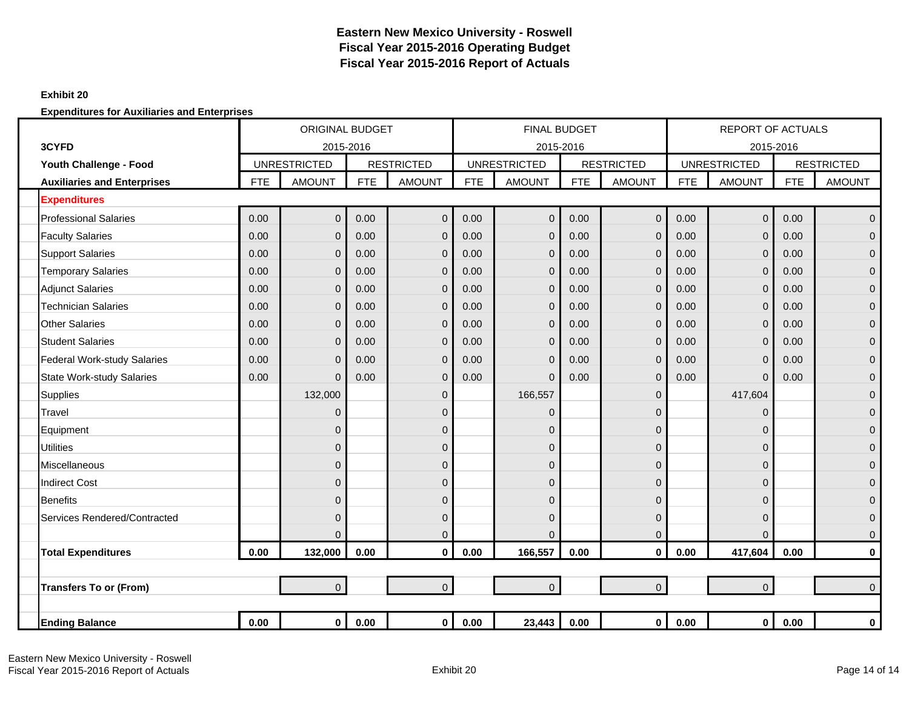### **Exhibit 20**

|                                    |            | <b>ORIGINAL BUDGET</b><br>2015-2016 |            |                   |            | <b>FINAL BUDGET</b> |            |                   |            | <b>REPORT OF ACTUALS</b> |            |                   |
|------------------------------------|------------|-------------------------------------|------------|-------------------|------------|---------------------|------------|-------------------|------------|--------------------------|------------|-------------------|
| 3CYFD                              |            |                                     |            |                   |            | 2015-2016           |            |                   |            | 2015-2016                |            |                   |
| Youth Challenge - Food             |            | <b>UNRESTRICTED</b>                 |            | <b>RESTRICTED</b> |            | <b>UNRESTRICTED</b> |            | <b>RESTRICTED</b> |            | <b>UNRESTRICTED</b>      |            | <b>RESTRICTED</b> |
| <b>Auxiliaries and Enterprises</b> | <b>FTE</b> | <b>AMOUNT</b>                       | <b>FTE</b> | <b>AMOUNT</b>     | <b>FTE</b> | <b>AMOUNT</b>       | <b>FTE</b> | <b>AMOUNT</b>     | <b>FTE</b> | <b>AMOUNT</b>            | <b>FTE</b> | <b>AMOUNT</b>     |
| <b>Expenditures</b>                |            |                                     |            |                   |            |                     |            |                   |            |                          |            |                   |
| <b>Professional Salaries</b>       | 0.00       | $\overline{0}$                      | 0.00       | $\overline{0}$    | 0.00       | $\mathbf{0}$        | 0.00       | $\mathbf 0$       | 0.00       | $\mathbf{0}$             | 0.00       | $\mathbf{0}$      |
| <b>Faculty Salaries</b>            | 0.00       | $\mathbf{0}$                        | 0.00       | $\mathbf 0$       | 0.00       | $\mathbf 0$         | 0.00       | $\mathbf{0}$      | 0.00       | $\mathbf 0$              | 0.00       | $\mathbf{0}$      |
| <b>Support Salaries</b>            | 0.00       | $\mathbf{0}$                        | 0.00       | $\mathbf 0$       | 0.00       | $\mathbf 0$         | 0.00       | $\mathbf 0$       | 0.00       | $\mathbf 0$              | 0.00       | $\mathbf{0}$      |
| <b>Temporary Salaries</b>          | 0.00       | $\Omega$                            | 0.00       | $\mathbf 0$       | 0.00       | $\Omega$            | 0.00       | $\mathbf{0}$      | 0.00       | 0                        | 0.00       | $\Omega$          |
| <b>Adjunct Salaries</b>            | 0.00       | $\mathbf{0}$                        | 0.00       | $\mathbf{0}$      | 0.00       | $\Omega$            | 0.00       | $\mathbf{0}$      | 0.00       | $\mathbf 0$              | 0.00       | $\Omega$          |
| <b>Technician Salaries</b>         | 0.00       | $\mathbf{0}$                        | 0.00       | $\mathbf 0$       | 0.00       | $\Omega$            | 0.00       | $\mathbf{0}$      | 0.00       | $\mathbf 0$              | 0.00       | $\mathbf{0}$      |
| <b>Other Salaries</b>              | 0.00       | $\mathbf{0}$                        | 0.00       | $\mathbf 0$       | 0.00       | $\Omega$            | 0.00       | $\mathbf 0$       | 0.00       | $\mathbf 0$              | 0.00       | $\mathbf{0}$      |
| <b>Student Salaries</b>            | 0.00       | $\mathbf{0}$                        | 0.00       | $\mathbf 0$       | 0.00       | $\Omega$            | 0.00       | $\mathbf{0}$      | 0.00       | $\mathbf 0$              | 0.00       | $\Omega$          |
| <b>Federal Work-study Salaries</b> | 0.00       | $\Omega$                            | 0.00       | $\mathbf 0$       | 0.00       | $\Omega$            | 0.00       | $\mathbf{0}$      | 0.00       | $\mathbf 0$              | 0.00       | $\Omega$          |
| <b>State Work-study Salaries</b>   | 0.00       | $\mathbf{0}$                        | 0.00       | $\mathbf 0$       | 0.00       | $\Omega$            | 0.00       | $\mathbf{0}$      | 0.00       | $\mathbf 0$              | 0.00       | $\mathbf{0}$      |
| Supplies                           |            | 132,000                             |            | $\mathbf 0$       |            | 166,557             |            | $\overline{0}$    |            | 417,604                  |            | $\mathbf{0}$      |
| Travel                             |            | $\Omega$                            |            | $\mathbf 0$       |            | $\Omega$            |            | $\Omega$          |            | 0                        |            | $\Omega$          |
| Equipment                          |            | $\Omega$                            |            | $\mathbf{0}$      |            | $\mathbf{0}$        |            | $\Omega$          |            | 0                        |            | $\Omega$          |
| <b>Utilities</b>                   |            | $\Omega$                            |            | $\mathbf{0}$      |            | $\mathbf{0}$        |            | $\Omega$          |            | 0                        |            | $\mathbf{0}$      |
| Miscellaneous                      |            | $\Omega$                            |            | $\mathbf 0$       |            | $\mathbf{0}$        |            | $\Omega$          |            | 0                        |            | $\mathbf{0}$      |
| <b>Indirect Cost</b>               |            | $\Omega$                            |            | $\mathbf{0}$      |            | $\mathbf{0}$        |            | $\Omega$          |            | 0                        |            | $\mathbf{0}$      |
| <b>Benefits</b>                    |            | $\Omega$                            |            | $\overline{0}$    |            | $\Omega$            |            | $\Omega$          |            | 0                        |            | $\Omega$          |
| Services Rendered/Contracted       |            | $\Omega$                            |            | $\mathbf 0$       |            | $\mathbf{0}$        |            | $\overline{0}$    |            | 0                        |            | $\mathbf{0}$      |
|                                    |            | $\mathbf{0}$                        |            | $\mathbf 0$       |            | $\Omega$            |            | $\mathbf 0$       |            | $\Omega$                 |            | $\mathbf 0$       |
| <b>Total Expenditures</b>          | 0.00       | 132,000                             | 0.00       | $\mathbf 0$       | 0.00       | 166,557             | 0.00       | $\mathbf 0$       | 0.00       | 417,604                  | 0.00       | 0                 |
|                                    |            |                                     |            |                   |            |                     |            |                   |            |                          |            |                   |
| <b>Transfers To or (From)</b>      |            | $\overline{0}$                      |            | $\overline{0}$    |            | $\overline{0}$      |            | $\overline{0}$    |            | $\mathbf 0$              |            | $\Omega$          |
|                                    |            |                                     |            |                   |            |                     |            |                   |            |                          |            |                   |
| <b>Ending Balance</b>              | 0.00       | $\mathbf{0}$                        | 0.00       | $\mathbf 0$       | 0.00       | 23,443              | 0.00       | $\mathbf 0$       | 0.00       | $\bf{0}$                 | 0.00       | 0                 |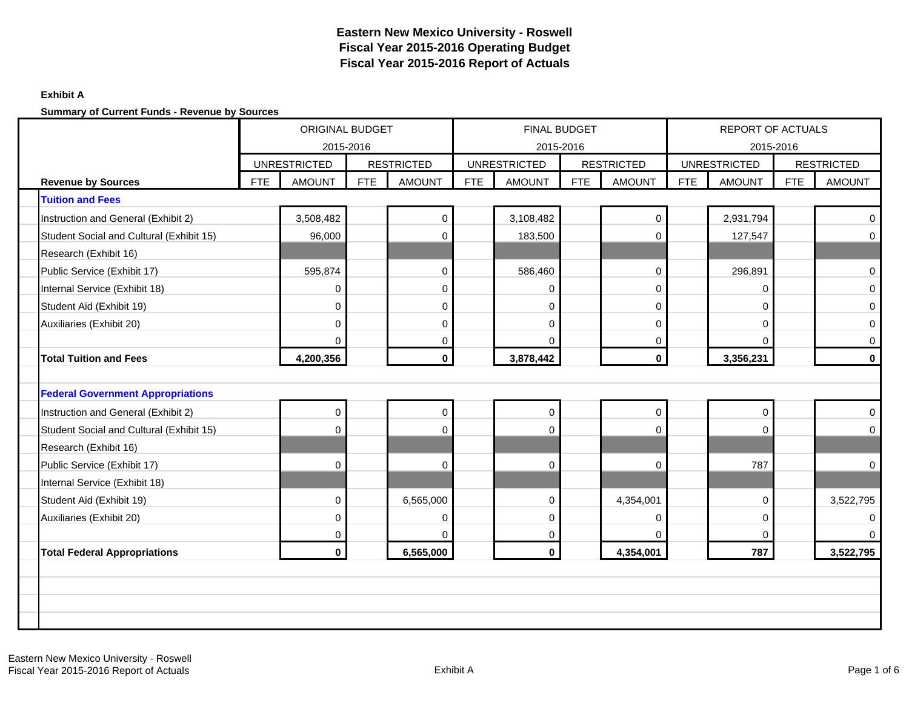### **Exhibit A**

|                                          |            | ORIGINAL BUDGET<br>2015-2016 |            |                   |            | FINAL BUDGET<br>2015-2016 |     |                   |            | REPORT OF ACTUALS<br>2015-2016 |            |                   |
|------------------------------------------|------------|------------------------------|------------|-------------------|------------|---------------------------|-----|-------------------|------------|--------------------------------|------------|-------------------|
|                                          |            | <b>UNRESTRICTED</b>          |            | <b>RESTRICTED</b> |            | <b>UNRESTRICTED</b>       |     | <b>RESTRICTED</b> |            | <b>UNRESTRICTED</b>            |            | <b>RESTRICTED</b> |
| <b>Revenue by Sources</b>                | <b>FTE</b> | <b>AMOUNT</b>                | <b>FTE</b> | <b>AMOUNT</b>     | <b>FTE</b> | <b>AMOUNT</b>             | FTE | <b>AMOUNT</b>     | <b>FTE</b> | <b>AMOUNT</b>                  | <b>FTE</b> | <b>AMOUNT</b>     |
| <b>Tuition and Fees</b>                  |            |                              |            |                   |            |                           |     |                   |            |                                |            |                   |
| Instruction and General (Exhibit 2)      |            | 3,508,482                    |            | $\pmb{0}$         |            | 3,108,482                 |     | $\mathsf{O}$      |            | 2,931,794                      |            | $\mathbf 0$       |
| Student Social and Cultural (Exhibit 15) |            | 96,000                       |            | $\Omega$          |            | 183,500                   |     | $\Omega$          |            | 127,547                        |            | $\mathbf 0$       |
| Research (Exhibit 16)                    |            |                              |            |                   |            |                           |     |                   |            |                                |            |                   |
| Public Service (Exhibit 17)              |            | 595,874                      |            | $\pmb{0}$         |            | 586,460                   |     | $\mathbf 0$       |            | 296,891                        |            | $\pmb{0}$         |
| Internal Service (Exhibit 18)            |            | 0                            |            | 0                 |            | 0                         |     | $\mathbf 0$       |            | $\mathbf 0$                    |            | $\mathbf 0$       |
| Student Aid (Exhibit 19)                 |            | 0                            |            | 0                 |            | 0                         |     | $\mathbf 0$       |            | 0                              |            | 0                 |
| Auxiliaries (Exhibit 20)                 |            | $\Omega$                     |            | $\mathbf 0$       |            | $\Omega$                  |     | $\mathbf 0$       |            | 0                              |            | $\mathbf 0$       |
|                                          |            | $\Omega$                     |            | $\mathbf 0$       |            | $\Omega$                  |     | $\overline{0}$    |            | O                              |            | $\mathbf 0$       |
| <b>Total Tuition and Fees</b>            |            | 4,200,356                    |            | $\mathbf{0}$      |            | 3,878,442                 |     | $\mathbf{0}$      |            | 3,356,231                      |            | $\bf{0}$          |
|                                          |            |                              |            |                   |            |                           |     |                   |            |                                |            |                   |
| <b>Federal Government Appropriations</b> |            |                              |            |                   |            |                           |     |                   |            |                                |            |                   |
| Instruction and General (Exhibit 2)      |            | 0                            |            | $\mathbf 0$       |            | $\overline{0}$            |     | $\mathbf 0$       |            | $\mathbf 0$                    |            | 0                 |
| Student Social and Cultural (Exhibit 15) |            | U                            |            | $\Omega$          |            | $\Omega$                  |     | $\Omega$          |            | O                              |            | $\Omega$          |
| Research (Exhibit 16)                    |            |                              |            |                   |            |                           |     |                   |            |                                |            |                   |
| Public Service (Exhibit 17)              |            | $\Omega$                     |            | $\mathbf 0$       |            | $\Omega$                  |     | $\Omega$          |            | 787                            |            | $\mathbf 0$       |
| Internal Service (Exhibit 18)            |            |                              |            |                   |            |                           |     |                   |            |                                |            |                   |
| Student Aid (Exhibit 19)                 |            | 0                            |            | 6,565,000         |            | 0                         |     | 4,354,001         |            | 0                              |            | 3,522,795         |
| Auxiliaries (Exhibit 20)                 |            | 0                            |            | 0                 |            | 0                         |     | $\mathbf 0$       |            | 0                              |            | 0                 |
|                                          |            | 0                            |            | $\Omega$          |            | $\mathbf 0$               |     | $\Omega$          |            | $\Omega$                       |            | $\Omega$          |
| <b>Total Federal Appropriations</b>      |            | $\mathbf{0}$                 |            | 6,565,000         |            | $\mathbf 0$               |     | 4,354,001         |            | 787                            |            | 3,522,795         |
|                                          |            |                              |            |                   |            |                           |     |                   |            |                                |            |                   |
|                                          |            |                              |            |                   |            |                           |     |                   |            |                                |            |                   |
|                                          |            |                              |            |                   |            |                           |     |                   |            |                                |            |                   |
|                                          |            |                              |            |                   |            |                           |     |                   |            |                                |            |                   |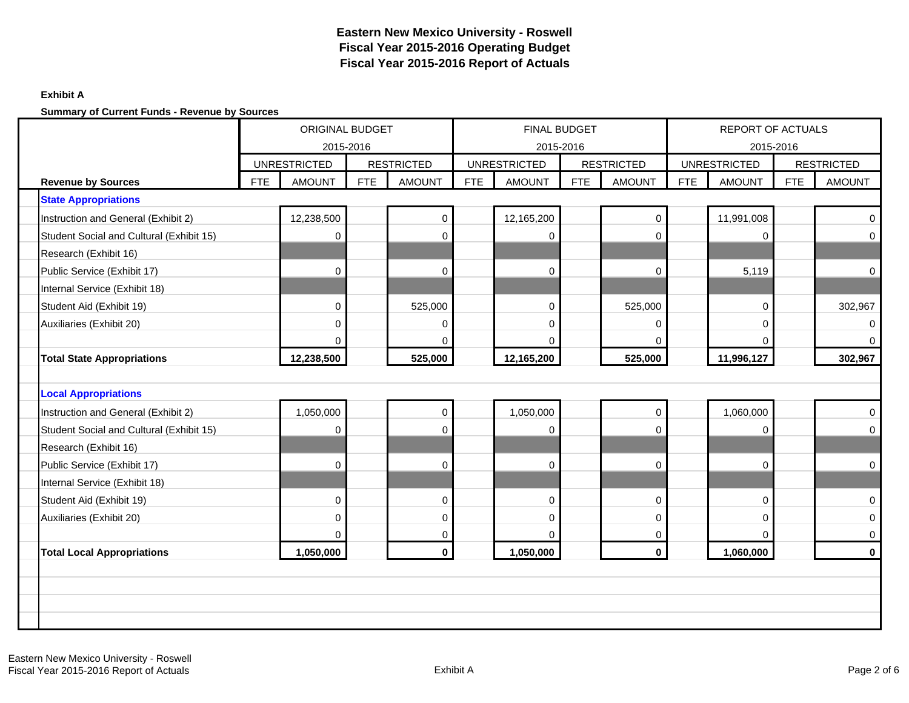### **Exhibit A**

|                                          |            | ORIGINAL BUDGET<br>2015-2016 |            |                   |            | <b>FINAL BUDGET</b><br>2015-2016 |            |                   |            | REPORT OF ACTUALS                |            |                   |
|------------------------------------------|------------|------------------------------|------------|-------------------|------------|----------------------------------|------------|-------------------|------------|----------------------------------|------------|-------------------|
|                                          |            | <b>UNRESTRICTED</b>          |            | <b>RESTRICTED</b> |            | <b>UNRESTRICTED</b>              |            | <b>RESTRICTED</b> |            | 2015-2016<br><b>UNRESTRICTED</b> |            | <b>RESTRICTED</b> |
| <b>Revenue by Sources</b>                | <b>FTE</b> | <b>AMOUNT</b>                | <b>FTE</b> | <b>AMOUNT</b>     | <b>FTE</b> | <b>AMOUNT</b>                    | <b>FTE</b> | <b>AMOUNT</b>     | <b>FTE</b> | <b>AMOUNT</b>                    | <b>FTE</b> | <b>AMOUNT</b>     |
| <b>State Appropriations</b>              |            |                              |            |                   |            |                                  |            |                   |            |                                  |            |                   |
| Instruction and General (Exhibit 2)      |            | 12,238,500                   |            | $\pmb{0}$         |            | 12,165,200                       |            | $\mathbf 0$       |            | 11,991,008                       |            | $\mathbf 0$       |
| Student Social and Cultural (Exhibit 15) |            | $\Omega$                     |            | $\mathbf 0$       |            | $\Omega$                         |            | $\Omega$          |            | 0                                |            | $\mathbf 0$       |
| Research (Exhibit 16)                    |            |                              |            |                   |            |                                  |            |                   |            |                                  |            |                   |
| Public Service (Exhibit 17)              |            | $\Omega$                     |            | $\mathbf 0$       |            | $\Omega$                         |            | $\Omega$          |            | 5,119                            |            | $\mathbf 0$       |
| Internal Service (Exhibit 18)            |            |                              |            |                   |            |                                  |            |                   |            |                                  |            |                   |
| Student Aid (Exhibit 19)                 |            | $\mathbf 0$                  |            | 525,000           |            | $\mathbf 0$                      |            | 525,000           |            | 0                                |            | 302,967           |
| Auxiliaries (Exhibit 20)                 |            | $\mathbf 0$                  |            | 0                 |            | 0                                |            | $\mathbf 0$       |            | 0                                |            | 0                 |
|                                          |            | $\Omega$                     |            | $\mathbf 0$       |            | $\Omega$                         |            | $\Omega$          |            | $\Omega$                         |            | $\Omega$          |
| <b>Total State Appropriations</b>        |            | 12,238,500                   |            | 525,000           |            | 12,165,200                       |            | 525,000           |            | 11,996,127                       |            | 302,967           |
|                                          |            |                              |            |                   |            |                                  |            |                   |            |                                  |            |                   |
| <b>Local Appropriations</b>              |            |                              |            |                   |            |                                  |            |                   |            |                                  |            |                   |
| Instruction and General (Exhibit 2)      |            | 1,050,000                    |            | $\pmb{0}$         |            | 1,050,000                        |            | $\Omega$          |            | 1,060,000                        |            | $\mathbf 0$       |
| Student Social and Cultural (Exhibit 15) |            | $\Omega$                     |            | $\mathbf 0$       |            | $\Omega$                         |            | $\Omega$          |            | 0                                |            | $\Omega$          |
| Research (Exhibit 16)                    |            |                              |            |                   |            |                                  |            |                   |            |                                  |            |                   |
| Public Service (Exhibit 17)              |            | $\Omega$                     |            | $\mathbf 0$       |            | $\mathbf 0$                      |            | $\Omega$          |            | 0                                |            | $\mathbf 0$       |
| Internal Service (Exhibit 18)            |            |                              |            |                   |            |                                  |            |                   |            |                                  |            |                   |
| Student Aid (Exhibit 19)                 |            | $\Omega$                     |            | $\mathbf 0$       |            | $\Omega$                         |            | $\Omega$          |            | 0                                |            | $\mathbf 0$       |
| Auxiliaries (Exhibit 20)                 |            | $\mathbf 0$                  |            | $\mathbf 0$       |            | 0                                |            | 0                 |            | $\mathbf 0$                      |            | $\mathbf 0$       |
|                                          |            | $\Omega$                     |            | 0                 |            | $\Omega$                         |            | 0                 |            | 0                                |            | $\mathbf 0$       |
| <b>Total Local Appropriations</b>        |            | 1,050,000                    |            | $\mathbf 0$       |            | 1,050,000                        |            | $\mathbf 0$       |            | 1,060,000                        |            | $\mathbf 0$       |
|                                          |            |                              |            |                   |            |                                  |            |                   |            |                                  |            |                   |
|                                          |            |                              |            |                   |            |                                  |            |                   |            |                                  |            |                   |
|                                          |            |                              |            |                   |            |                                  |            |                   |            |                                  |            |                   |
|                                          |            |                              |            |                   |            |                                  |            |                   |            |                                  |            |                   |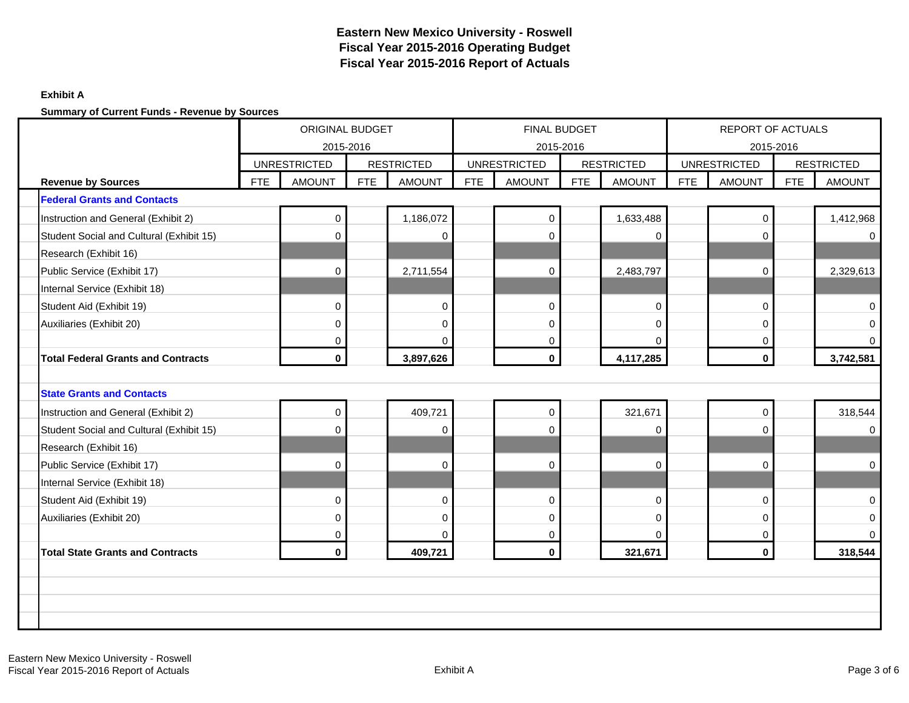### **Exhibit A**

|                                           |            | ORIGINAL BUDGET<br>2015-2016 |            |                   |            | FINAL BUDGET        | 2015-2016 |                   |            | REPORT OF ACTUALS<br>2015-2016 |            |                   |
|-------------------------------------------|------------|------------------------------|------------|-------------------|------------|---------------------|-----------|-------------------|------------|--------------------------------|------------|-------------------|
|                                           |            | <b>UNRESTRICTED</b>          |            | <b>RESTRICTED</b> |            | <b>UNRESTRICTED</b> |           | <b>RESTRICTED</b> |            | <b>UNRESTRICTED</b>            |            | <b>RESTRICTED</b> |
| <b>Revenue by Sources</b>                 | <b>FTE</b> | <b>AMOUNT</b>                | <b>FTE</b> | <b>AMOUNT</b>     | <b>FTE</b> | <b>AMOUNT</b>       | FTE       | <b>AMOUNT</b>     | <b>FTE</b> | <b>AMOUNT</b>                  | <b>FTE</b> | <b>AMOUNT</b>     |
| <b>Federal Grants and Contacts</b>        |            |                              |            |                   |            |                     |           |                   |            |                                |            |                   |
| Instruction and General (Exhibit 2)       |            | 0                            |            | 1,186,072         |            | $\mathbf 0$         |           | 1,633,488         |            | $\mathbf 0$                    |            | 1,412,968         |
| Student Social and Cultural (Exhibit 15)  |            | $\Omega$                     |            | $\Omega$          |            | $\Omega$            |           | $\Omega$          |            | 0                              |            | $\Omega$          |
| Research (Exhibit 16)                     |            |                              |            |                   |            |                     |           |                   |            |                                |            |                   |
| Public Service (Exhibit 17)               |            | $\Omega$                     |            | 2,711,554         |            | 0                   |           | 2,483,797         |            | $\mathbf 0$                    |            | 2,329,613         |
| Internal Service (Exhibit 18)             |            |                              |            |                   |            |                     |           |                   |            |                                |            |                   |
| Student Aid (Exhibit 19)                  |            | 0                            |            | $\mathbf 0$       |            | $\mathbf 0$         |           | $\mathbf 0$       |            | 0                              |            | $\Omega$          |
| Auxiliaries (Exhibit 20)                  |            | 0                            |            | $\mathbf 0$       |            | $\mathbf 0$         |           | $\mathbf 0$       |            | $\mathbf 0$                    |            | $\Omega$          |
|                                           |            | 0                            |            | $\mathbf 0$       |            | 0                   |           | $\Omega$          |            | 0                              |            | 0                 |
| <b>Total Federal Grants and Contracts</b> |            | 0                            |            | 3,897,626         |            | $\mathbf 0$         |           | 4,117,285         |            | $\mathbf 0$                    |            | 3,742,581         |
|                                           |            |                              |            |                   |            |                     |           |                   |            |                                |            |                   |
| <b>State Grants and Contacts</b>          |            |                              |            |                   |            |                     |           |                   |            |                                |            |                   |
| Instruction and General (Exhibit 2)       |            | 0                            |            | 409,721           |            | $\overline{0}$      |           | 321,671           |            | $\mathbf 0$                    |            | 318,544           |
| Student Social and Cultural (Exhibit 15)  |            | 0                            |            | $\Omega$          |            | $\Omega$            |           | $\Omega$          |            | 0                              |            | $\Omega$          |
| Research (Exhibit 16)                     |            |                              |            |                   |            |                     |           |                   |            |                                |            |                   |
| Public Service (Exhibit 17)               |            | $\Omega$                     |            | $\Omega$          |            | $\Omega$            |           | $\Omega$          |            | $\Omega$                       |            | $\mathbf 0$       |
| Internal Service (Exhibit 18)             |            |                              |            |                   |            |                     |           |                   |            |                                |            |                   |
| Student Aid (Exhibit 19)                  |            | 0                            |            | $\pmb{0}$         |            | $\mathbf 0$         |           | $\mathbf 0$       |            | $\mathbf 0$                    |            | $\mathbf 0$       |
| Auxiliaries (Exhibit 20)                  |            | 0                            |            | 0                 |            | 0                   |           | $\overline{0}$    |            | 0                              |            | 0                 |
|                                           |            | 0                            |            | $\mathbf 0$       |            | 0                   |           | $\mathbf 0$       |            | 0                              |            | $\Omega$          |
| <b>Total State Grants and Contracts</b>   |            | 0                            |            | 409,721           |            | $\mathbf 0$         |           | 321,671           |            | $\mathbf{0}$                   |            | 318,544           |
|                                           |            |                              |            |                   |            |                     |           |                   |            |                                |            |                   |
|                                           |            |                              |            |                   |            |                     |           |                   |            |                                |            |                   |
|                                           |            |                              |            |                   |            |                     |           |                   |            |                                |            |                   |
|                                           |            |                              |            |                   |            |                     |           |                   |            |                                |            |                   |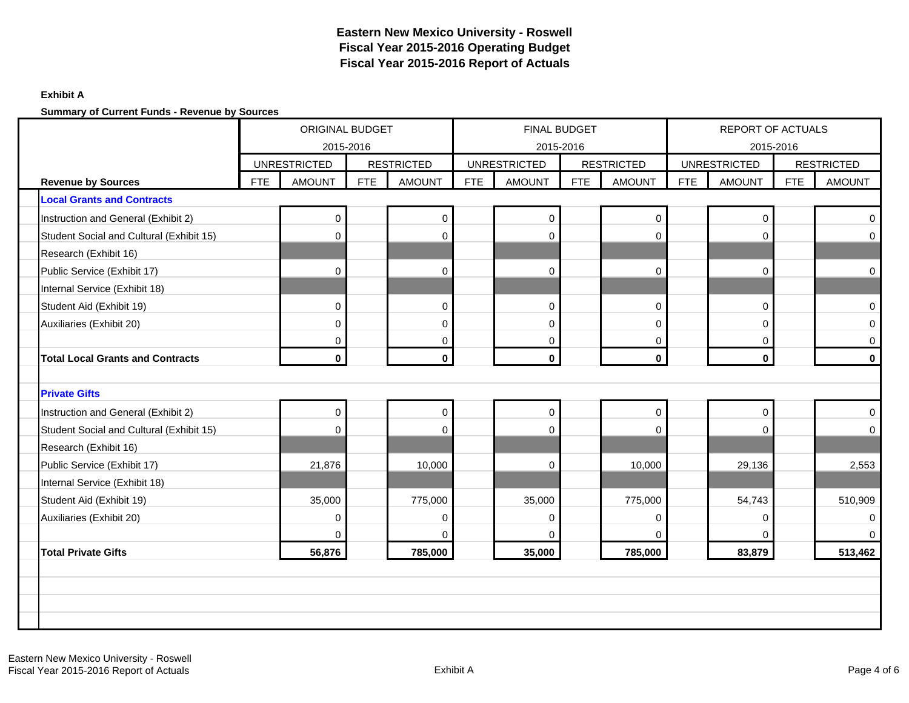### **Exhibit A**

|                                          |            | <b>ORIGINAL BUDGET</b><br>2015-2016 |            |                   |            | FINAL BUDGET                     |            |                   |            | <b>REPORT OF ACTUALS</b>         |            |                   |
|------------------------------------------|------------|-------------------------------------|------------|-------------------|------------|----------------------------------|------------|-------------------|------------|----------------------------------|------------|-------------------|
|                                          |            | <b>UNRESTRICTED</b>                 |            | <b>RESTRICTED</b> |            | 2015-2016<br><b>UNRESTRICTED</b> |            | <b>RESTRICTED</b> |            | 2015-2016<br><b>UNRESTRICTED</b> |            | <b>RESTRICTED</b> |
| <b>Revenue by Sources</b>                | <b>FTE</b> | <b>AMOUNT</b>                       | <b>FTE</b> | <b>AMOUNT</b>     | <b>FTE</b> | <b>AMOUNT</b>                    | <b>FTE</b> | <b>AMOUNT</b>     | <b>FTE</b> | <b>AMOUNT</b>                    | <b>FTE</b> | <b>AMOUNT</b>     |
| <b>Local Grants and Contracts</b>        |            |                                     |            |                   |            |                                  |            |                   |            |                                  |            |                   |
| Instruction and General (Exhibit 2)      |            | 0                                   |            | $\mathbf 0$       |            | $\mathsf 0$                      |            | $\pmb{0}$         |            | $\mathbf 0$                      |            | $\mathbf 0$       |
| Student Social and Cultural (Exhibit 15) |            | $\Omega$                            |            | $\mathbf 0$       |            | 0                                |            | $\mathbf 0$       |            | 0                                |            | $\mathbf 0$       |
| Research (Exhibit 16)                    |            |                                     |            |                   |            |                                  |            |                   |            |                                  |            |                   |
| Public Service (Exhibit 17)              |            | $\Omega$                            |            | $\mathbf 0$       |            | $\Omega$                         |            | $\mathbf 0$       |            | $\mathbf{0}$                     |            | $\mathbf 0$       |
| Internal Service (Exhibit 18)            |            |                                     |            |                   |            |                                  |            |                   |            |                                  |            |                   |
| Student Aid (Exhibit 19)                 |            | 0                                   |            | $\pmb{0}$         |            | 0                                |            | $\mathbf 0$       |            | $\mathbf 0$                      |            | $\mathbf 0$       |
| Auxiliaries (Exhibit 20)                 |            | 0                                   |            | $\mathbf 0$       |            | $\mathbf 0$                      |            | $\mathbf 0$       |            | $\mathbf 0$                      |            | $\mathbf 0$       |
|                                          |            | 0                                   |            | 0                 |            | 0                                |            | $\mathbf 0$       |            | $\mathbf 0$                      |            | $\mathbf 0$       |
| <b>Total Local Grants and Contracts</b>  |            | 0                                   |            | $\mathbf 0$       |            | $\mathbf 0$                      |            | $\mathbf 0$       |            | $\mathbf 0$                      |            | $\mathbf{0}$      |
|                                          |            |                                     |            |                   |            |                                  |            |                   |            |                                  |            |                   |
| <b>Private Gifts</b>                     |            |                                     |            |                   |            |                                  |            |                   |            |                                  |            |                   |
| Instruction and General (Exhibit 2)      |            | 0                                   |            | $\mathbf 0$       |            | $\mathsf{O}\xspace$              |            | $\mathbf 0$       |            | $\mathbf 0$                      |            | $\mathbf 0$       |
| Student Social and Cultural (Exhibit 15) |            | $\Omega$                            |            | $\mathbf 0$       |            | $\Omega$                         |            | $\Omega$          |            | $\Omega$                         |            | $\Omega$          |
| Research (Exhibit 16)                    |            |                                     |            |                   |            |                                  |            |                   |            |                                  |            |                   |
| Public Service (Exhibit 17)              |            | 21,876                              |            | 10,000            |            | $\Omega$                         |            | 10,000            |            | 29,136                           |            | 2,553             |
| Internal Service (Exhibit 18)            |            |                                     |            |                   |            |                                  |            |                   |            |                                  |            |                   |
| Student Aid (Exhibit 19)                 |            | 35,000                              |            | 775,000           |            | 35,000                           |            | 775,000           |            | 54,743                           |            | 510,909           |
| Auxiliaries (Exhibit 20)                 |            | 0                                   |            | 0                 |            | 0                                |            | $\mathbf 0$       |            | $\mathbf 0$                      |            | $\Omega$          |
|                                          |            | $\Omega$                            |            | $\Omega$          |            | $\Omega$                         |            | $\Omega$          |            | $\Omega$                         |            | $\Omega$          |
| <b>Total Private Gifts</b>               |            | 56,876                              |            | 785,000           |            | 35,000                           |            | 785,000           |            | 83,879                           |            | 513,462           |
|                                          |            |                                     |            |                   |            |                                  |            |                   |            |                                  |            |                   |
|                                          |            |                                     |            |                   |            |                                  |            |                   |            |                                  |            |                   |
|                                          |            |                                     |            |                   |            |                                  |            |                   |            |                                  |            |                   |
|                                          |            |                                     |            |                   |            |                                  |            |                   |            |                                  |            |                   |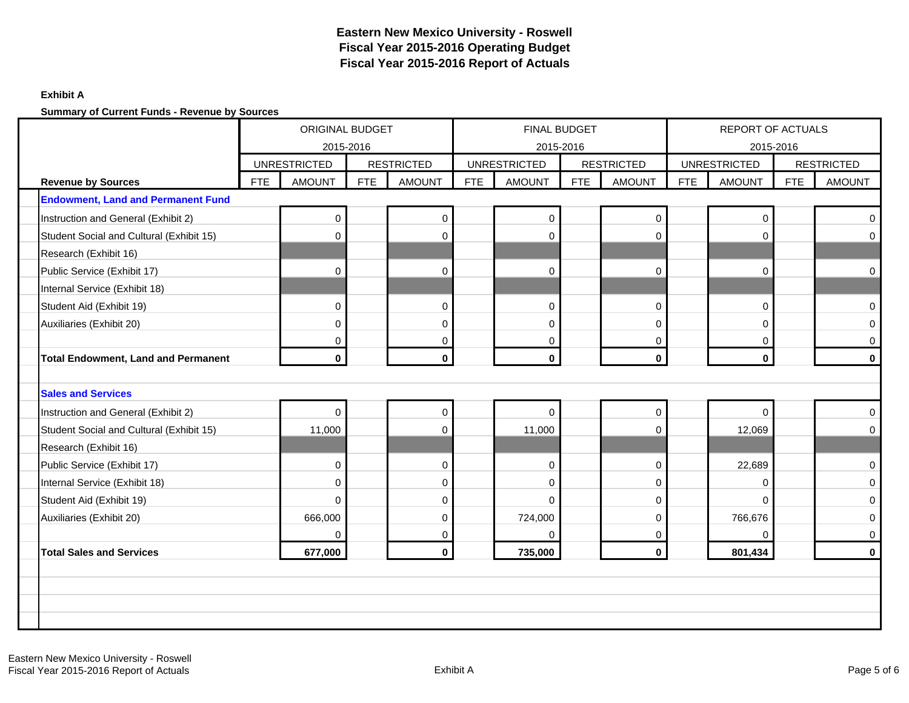### **Exhibit A**

|                                            |            | <b>ORIGINAL BUDGET</b><br>2015-2016 |     |                   |            | FINAL BUDGET                     |            |                   |            | <b>REPORT OF ACTUALS</b>         |            |                   |
|--------------------------------------------|------------|-------------------------------------|-----|-------------------|------------|----------------------------------|------------|-------------------|------------|----------------------------------|------------|-------------------|
|                                            |            | <b>UNRESTRICTED</b>                 |     | <b>RESTRICTED</b> |            | 2015-2016<br><b>UNRESTRICTED</b> |            | <b>RESTRICTED</b> |            | 2015-2016<br><b>UNRESTRICTED</b> |            | <b>RESTRICTED</b> |
| <b>Revenue by Sources</b>                  | <b>FTE</b> | <b>AMOUNT</b>                       | FTE | <b>AMOUNT</b>     | <b>FTE</b> | <b>AMOUNT</b>                    | <b>FTE</b> | <b>AMOUNT</b>     | <b>FTE</b> | <b>AMOUNT</b>                    | <b>FTE</b> | <b>AMOUNT</b>     |
| <b>Endowment, Land and Permanent Fund</b>  |            |                                     |     |                   |            |                                  |            |                   |            |                                  |            |                   |
| Instruction and General (Exhibit 2)        |            | 0                                   |     | $\mathbf 0$       |            | $\mathbf 0$                      |            | $\pmb{0}$         |            | $\mathbf 0$                      |            | $\Omega$          |
| Student Social and Cultural (Exhibit 15)   |            | $\Omega$                            |     | $\mathbf 0$       |            | 0                                |            | $\mathbf 0$       |            | $\mathbf 0$                      |            | $\Omega$          |
| Research (Exhibit 16)                      |            |                                     |     |                   |            |                                  |            |                   |            |                                  |            |                   |
| Public Service (Exhibit 17)                |            | $\Omega$                            |     | $\mathbf 0$       |            | $\Omega$                         |            | $\mathbf 0$       |            | $\Omega$                         |            | $\mathbf 0$       |
| Internal Service (Exhibit 18)              |            |                                     |     |                   |            |                                  |            |                   |            |                                  |            |                   |
| Student Aid (Exhibit 19)                   |            | 0                                   |     | $\mathbf 0$       |            | $\mathbf 0$                      |            | $\mathbf 0$       |            | $\mathbf 0$                      |            | $\mathbf 0$       |
| Auxiliaries (Exhibit 20)                   |            | 0                                   |     | $\mathbf 0$       |            | $\mathbf 0$                      |            | $\mathbf 0$       |            | $\mathbf{0}$                     |            | $\mathbf 0$       |
|                                            |            | 0                                   |     | $\pmb{0}$         |            | 0                                |            | $\mathbf 0$       |            | $\mathbf 0$                      |            | $\mathbf 0$       |
| <b>Total Endowment, Land and Permanent</b> |            | 0                                   |     | $\mathbf 0$       |            | $\mathbf 0$                      |            | $\mathbf 0$       |            | $\mathbf 0$                      |            | $\mathbf{0}$      |
|                                            |            |                                     |     |                   |            |                                  |            |                   |            |                                  |            |                   |
| <b>Sales and Services</b>                  |            |                                     |     |                   |            |                                  |            |                   |            |                                  |            |                   |
| Instruction and General (Exhibit 2)        |            | 0                                   |     | $\pmb{0}$         |            | $\mathbf 0$                      |            | $\mathbf 0$       |            | $\Omega$                         |            | $\mathbf 0$       |
| Student Social and Cultural (Exhibit 15)   |            | 11,000                              |     | $\mathbf 0$       |            | 11,000                           |            | $\Omega$          |            | 12,069                           |            | $\Omega$          |
| Research (Exhibit 16)                      |            |                                     |     |                   |            |                                  |            |                   |            |                                  |            |                   |
| Public Service (Exhibit 17)                |            | 0                                   |     | $\pmb{0}$         |            | $\mathbf 0$                      |            | $\mathbf 0$       |            | 22,689                           |            | $\mathbf 0$       |
| Internal Service (Exhibit 18)              |            | $\Omega$                            |     | $\mathbf 0$       |            | 0                                |            | $\overline{0}$    |            | 0                                |            | $\Omega$          |
| Student Aid (Exhibit 19)                   |            | $\Omega$                            |     | $\mathbf 0$       |            | $\Omega$                         |            | $\Omega$          |            | $\Omega$                         |            | $\mathbf 0$       |
| Auxiliaries (Exhibit 20)                   |            | 666,000                             |     | $\pmb{0}$         |            | 724,000                          |            | $\mathbf 0$       |            | 766,676                          |            | $\Omega$          |
|                                            |            | $\Omega$                            |     | 0                 |            | $\Omega$                         |            | $\Omega$          |            | $\Omega$                         |            | $\mathbf 0$       |
| <b>Total Sales and Services</b>            |            | 677,000                             |     | $\mathbf 0$       |            | 735,000                          |            | $\mathbf 0$       |            | 801,434                          |            | $\mathbf 0$       |
|                                            |            |                                     |     |                   |            |                                  |            |                   |            |                                  |            |                   |
|                                            |            |                                     |     |                   |            |                                  |            |                   |            |                                  |            |                   |
|                                            |            |                                     |     |                   |            |                                  |            |                   |            |                                  |            |                   |
|                                            |            |                                     |     |                   |            |                                  |            |                   |            |                                  |            |                   |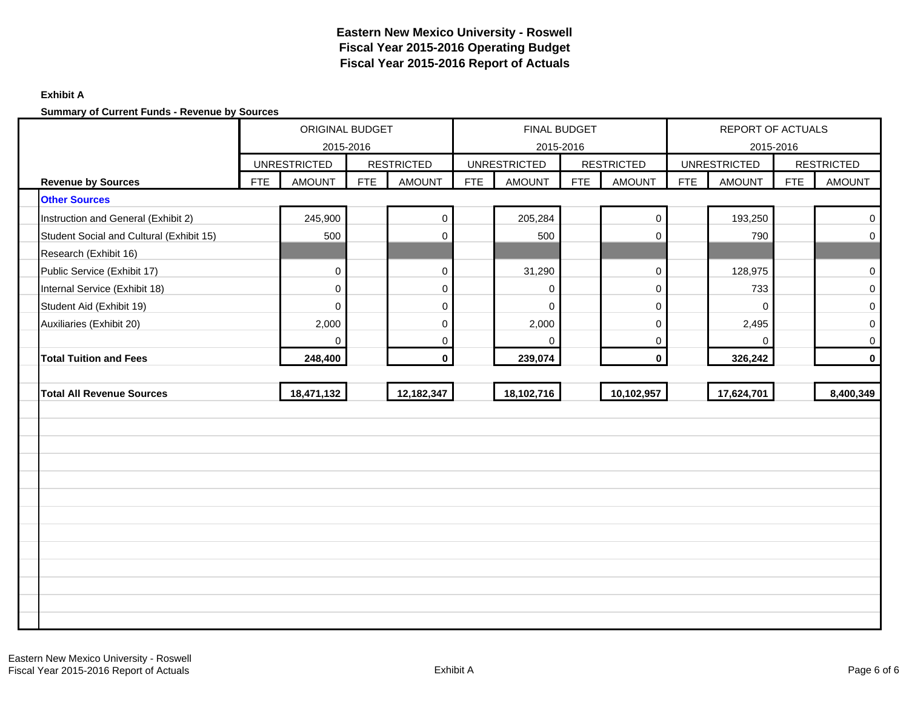### **Exhibit A**

|                                          | ORIGINAL BUDGET<br>2015-2016 |                     |            |                   |     | <b>FINAL BUDGET</b> | 2015-2016 |                   |            | <b>REPORT OF ACTUALS</b><br>2015-2016 |            |                   |
|------------------------------------------|------------------------------|---------------------|------------|-------------------|-----|---------------------|-----------|-------------------|------------|---------------------------------------|------------|-------------------|
|                                          |                              | <b>UNRESTRICTED</b> |            | <b>RESTRICTED</b> |     | <b>UNRESTRICTED</b> |           | <b>RESTRICTED</b> |            | <b>UNRESTRICTED</b>                   |            | <b>RESTRICTED</b> |
| <b>Revenue by Sources</b>                | <b>FTE</b>                   | <b>AMOUNT</b>       | <b>FTE</b> | <b>AMOUNT</b>     | FTE | <b>AMOUNT</b>       | FTE       | <b>AMOUNT</b>     | <b>FTE</b> | <b>AMOUNT</b>                         | <b>FTE</b> | <b>AMOUNT</b>     |
| <b>Other Sources</b>                     |                              |                     |            |                   |     |                     |           |                   |            |                                       |            |                   |
| Instruction and General (Exhibit 2)      |                              | 245,900             |            | $\pmb{0}$         |     | 205,284             |           | $\mathbf 0$       |            | 193,250                               |            | $\mathbf 0$       |
| Student Social and Cultural (Exhibit 15) |                              | 500                 |            | $\mathbf 0$       |     | 500                 |           | $\Omega$          |            | 790                                   |            | $\mathbf 0$       |
| Research (Exhibit 16)                    |                              |                     |            |                   |     |                     |           |                   |            |                                       |            |                   |
| Public Service (Exhibit 17)              |                              | 0                   |            | $\pmb{0}$         |     | 31,290              |           | 0                 |            | 128,975                               |            | $\pmb{0}$         |
| Internal Service (Exhibit 18)            |                              | $\Omega$            |            | $\mathbf 0$       |     | $\Omega$            |           | $\Omega$          |            | 733                                   |            | $\mathbf 0$       |
| Student Aid (Exhibit 19)                 |                              | $\Omega$            |            | $\pmb{0}$         |     | $\Omega$            |           | $\mathbf 0$       |            | $\Omega$                              |            | $\mathbf 0$       |
| Auxiliaries (Exhibit 20)                 |                              | 2,000               |            | $\mathbf 0$       |     | 2,000               |           | $\mathbf 0$       |            | 2,495                                 |            | $\mathbf 0$       |
|                                          |                              | 0                   |            | $\pmb{0}$         |     | $\Omega$            |           | $\mathbf 0$       |            | 0                                     |            | $\overline{0}$    |
| <b>Total Tuition and Fees</b>            |                              | 248,400             |            | $\mathbf{0}$      |     | 239,074             |           | $\mathbf{0}$      |            | 326,242                               |            | $\mathbf 0$       |
|                                          |                              |                     |            |                   |     |                     |           |                   |            |                                       |            |                   |
| <b>Total All Revenue Sources</b>         |                              | 18,471,132          |            | 12,182,347        |     | 18,102,716          |           | 10,102,957        |            | 17,624,701                            |            | 8,400,349         |
|                                          |                              |                     |            |                   |     |                     |           |                   |            |                                       |            |                   |
|                                          |                              |                     |            |                   |     |                     |           |                   |            |                                       |            |                   |
|                                          |                              |                     |            |                   |     |                     |           |                   |            |                                       |            |                   |
|                                          |                              |                     |            |                   |     |                     |           |                   |            |                                       |            |                   |
|                                          |                              |                     |            |                   |     |                     |           |                   |            |                                       |            |                   |
|                                          |                              |                     |            |                   |     |                     |           |                   |            |                                       |            |                   |
|                                          |                              |                     |            |                   |     |                     |           |                   |            |                                       |            |                   |
|                                          |                              |                     |            |                   |     |                     |           |                   |            |                                       |            |                   |
|                                          |                              |                     |            |                   |     |                     |           |                   |            |                                       |            |                   |
|                                          |                              |                     |            |                   |     |                     |           |                   |            |                                       |            |                   |
|                                          |                              |                     |            |                   |     |                     |           |                   |            |                                       |            |                   |
|                                          |                              |                     |            |                   |     |                     |           |                   |            |                                       |            |                   |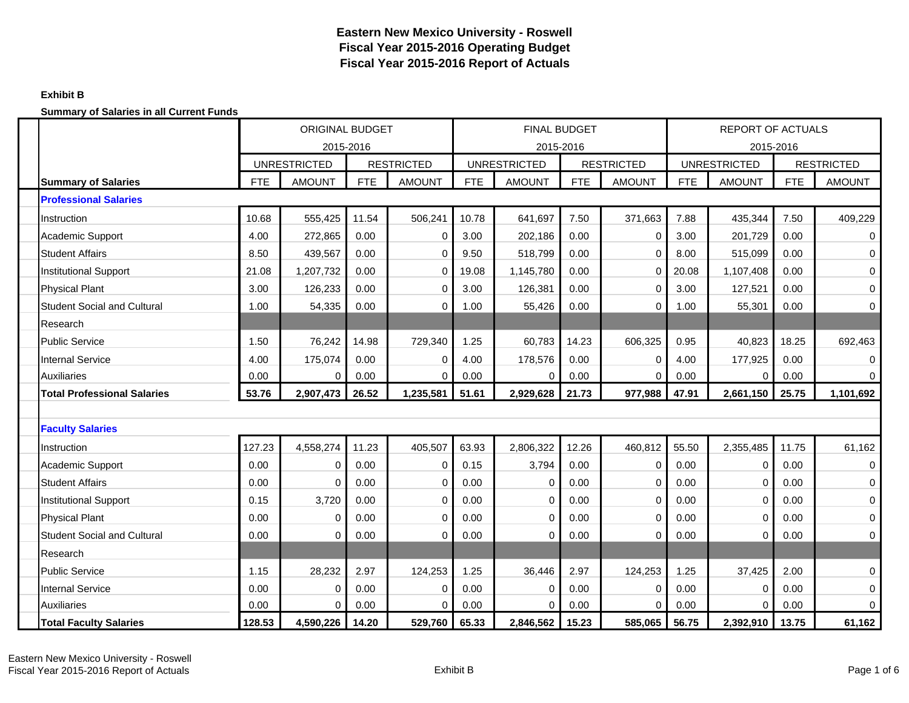### **Exhibit B**

|                                    |            | <b>ORIGINAL BUDGET</b><br>2015-2016 |            |                   |            |                     | <b>FINAL BUDGET</b> |                   |            | <b>REPORT OF ACTUALS</b>         |            |                   |
|------------------------------------|------------|-------------------------------------|------------|-------------------|------------|---------------------|---------------------|-------------------|------------|----------------------------------|------------|-------------------|
|                                    |            | <b>UNRESTRICTED</b>                 |            | <b>RESTRICTED</b> |            | <b>UNRESTRICTED</b> | 2015-2016           | <b>RESTRICTED</b> |            | 2015-2016<br><b>UNRESTRICTED</b> |            | <b>RESTRICTED</b> |
| <b>Summary of Salaries</b>         | <b>FTE</b> | <b>AMOUNT</b>                       | <b>FTE</b> | <b>AMOUNT</b>     | <b>FTE</b> | <b>AMOUNT</b>       | <b>FTE</b>          | <b>AMOUNT</b>     | <b>FTE</b> | <b>AMOUNT</b>                    | <b>FTE</b> | <b>AMOUNT</b>     |
| <b>Professional Salaries</b>       |            |                                     |            |                   |            |                     |                     |                   |            |                                  |            |                   |
| Instruction                        | 10.68      | 555,425                             | 11.54      | 506,241           | 10.78      | 641,697             | 7.50                | 371,663           | 7.88       | 435,344                          | 7.50       | 409,229           |
| Academic Support                   | 4.00       | 272,865                             | 0.00       | $\Omega$          | 3.00       | 202,186             | 0.00                | $\mathbf 0$       | 3.00       | 201,729                          | 0.00       | $\mathbf 0$       |
| <b>Student Affairs</b>             | 8.50       | 439,567                             | 0.00       | $\mathbf 0$       | 9.50       | 518,799             | 0.00                | $\mathbf 0$       | 8.00       | 515,099                          | 0.00       | $\mathbf 0$       |
| <b>Institutional Support</b>       | 21.08      | 1,207,732                           | 0.00       | 0                 | 19.08      | 1,145,780           | 0.00                | 0                 | 20.08      | 1,107,408                        | 0.00       | $\mathbf 0$       |
| <b>Physical Plant</b>              | 3.00       | 126,233                             | 0.00       | $\Omega$          | 3.00       | 126,381             | 0.00                | $\Omega$          | 3.00       | 127,521                          | 0.00       | 0                 |
| <b>Student Social and Cultural</b> | 1.00       | 54,335                              | 0.00       | $\Omega$          | 1.00       | 55,426              | 0.00                | $\mathbf 0$       | 1.00       | 55,301                           | 0.00       | $\mathbf 0$       |
| Research                           |            |                                     |            |                   |            |                     |                     |                   |            |                                  |            |                   |
| <b>Public Service</b>              | 1.50       | 76,242                              | 14.98      | 729,340           | 1.25       | 60,783              | 14.23               | 606,325           | 0.95       | 40,823                           | 18.25      | 692,463           |
| <b>Internal Service</b>            | 4.00       | 175,074                             | 0.00       | 0                 | 4.00       | 178,576             | 0.00                | 0                 | 4.00       | 177,925                          | 0.00       | $\mathbf 0$       |
| Auxiliaries                        | 0.00       | $\Omega$                            | 0.00       | $\Omega$          | 0.00       |                     | 0.00                | $\Omega$          | 0.00       | 0                                | 0.00       | $\Omega$          |
| <b>Total Professional Salaries</b> | 53.76      | 2,907,473                           | 26.52      | 1,235,581         | 51.61      | 2,929,628           | 21.73               | 977,988           | 47.91      | 2,661,150                        | 25.75      | 1,101,692         |
|                                    |            |                                     |            |                   |            |                     |                     |                   |            |                                  |            |                   |
| <b>Faculty Salaries</b>            |            |                                     |            |                   |            |                     |                     |                   |            |                                  |            |                   |
| Instruction                        | 127.23     | 4,558,274                           | 11.23      | 405,507           | 63.93      | 2,806,322           | 12.26               | 460,812           | 55.50      | 2,355,485                        | 11.75      | 61,162            |
| <b>Academic Support</b>            | 0.00       | 0                                   | 0.00       | $\mathbf 0$       | 0.15       | 3,794               | 0.00                | $\mathbf 0$       | 0.00       | 0                                | 0.00       | $\mathbf 0$       |
| <b>Student Affairs</b>             | 0.00       | $\Omega$                            | 0.00       | 0                 | 0.00       | $\Omega$            | 0.00                | $\Omega$          | 0.00       | $\mathbf 0$                      | 0.00       | $\mathbf 0$       |
| <b>Institutional Support</b>       | 0.15       | 3,720                               | 0.00       | $\mathbf 0$       | 0.00       | $\Omega$            | 0.00                | $\Omega$          | 0.00       | $\mathbf 0$                      | 0.00       | $\mathbf 0$       |
| <b>Physical Plant</b>              | 0.00       | 0                                   | 0.00       | $\mathbf 0$       | 0.00       | 0                   | 0.00                | $\mathbf 0$       | 0.00       | $\mathbf 0$                      | 0.00       | $\mathbf 0$       |
| <b>Student Social and Cultural</b> | 0.00       | $\Omega$                            | 0.00       | 0                 | 0.00       | O                   | 0.00                | $\mathbf 0$       | 0.00       | 0                                | 0.00       | $\mathbf 0$       |
| Research                           |            |                                     |            |                   |            |                     |                     |                   |            |                                  |            |                   |
| <b>Public Service</b>              | 1.15       | 28,232                              | 2.97       | 124,253           | 1.25       | 36,446              | 2.97                | 124,253           | 1.25       | 37,425                           | 2.00       | $\pmb{0}$         |
| <b>Internal Service</b>            | 0.00       | 0                                   | 0.00       | 0                 | 0.00       | $\Omega$            | 0.00                | 0                 | 0.00       | 0                                | 0.00       | $\mathbf 0$       |
| <b>Auxiliaries</b>                 | 0.00       | $\Omega$                            | 0.00       | $\Omega$          | 0.00       |                     | 0.00                | $\Omega$          | 0.00       | 0                                | 0.00       | $\mathbf 0$       |
| <b>Total Faculty Salaries</b>      | 128.53     | 4,590,226                           | 14.20      | 529,760           | 65.33      | 2,846,562           | 15.23               | 585,065           | 56.75      | 2,392,910                        | 13.75      | 61,162            |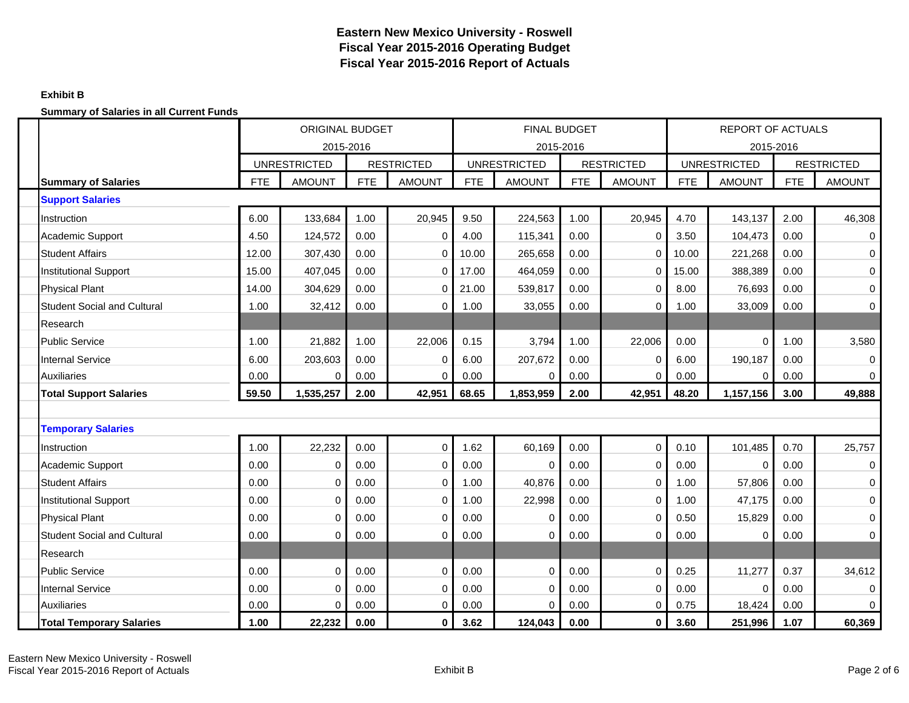### **Exhibit B**

|                                    |            | <b>ORIGINAL BUDGET</b><br>2015-2016 |            |                   |            | <b>FINAL BUDGET</b> | 2015-2016  |                   |            | REPORT OF ACTUALS<br>2015-2016 |            |                   |
|------------------------------------|------------|-------------------------------------|------------|-------------------|------------|---------------------|------------|-------------------|------------|--------------------------------|------------|-------------------|
|                                    |            | <b>UNRESTRICTED</b>                 |            | <b>RESTRICTED</b> |            | <b>UNRESTRICTED</b> |            | <b>RESTRICTED</b> |            | <b>UNRESTRICTED</b>            |            | <b>RESTRICTED</b> |
| <b>Summary of Salaries</b>         | <b>FTE</b> | <b>AMOUNT</b>                       | <b>FTE</b> | <b>AMOUNT</b>     | <b>FTE</b> | <b>AMOUNT</b>       | <b>FTE</b> | <b>AMOUNT</b>     | <b>FTE</b> | <b>AMOUNT</b>                  | <b>FTE</b> | <b>AMOUNT</b>     |
| <b>Support Salaries</b>            |            |                                     |            |                   |            |                     |            |                   |            |                                |            |                   |
| Instruction                        | 6.00       | 133,684                             | 1.00       | 20,945            | 9.50       | 224,563             | 1.00       | 20,945            | 4.70       | 143,137                        | 2.00       | 46,308            |
| Academic Support                   | 4.50       | 124,572                             | 0.00       | $\mathbf 0$       | 4.00       | 115,341             | 0.00       | $\mathbf 0$       | 3.50       | 104,473                        | 0.00       | $\mathbf 0$       |
| <b>Student Affairs</b>             | 12.00      | 307,430                             | 0.00       | $\mathbf 0$       | 10.00      | 265,658             | 0.00       | $\mathbf 0$       | 10.00      | 221,268                        | 0.00       | $\mathbf 0$       |
| <b>Institutional Support</b>       | 15.00      | 407,045                             | 0.00       | $\mathbf 0$       | 17.00      | 464,059             | 0.00       | $\Omega$          | 15.00      | 388,389                        | 0.00       | $\mathbf 0$       |
| <b>Physical Plant</b>              | 14.00      | 304,629                             | 0.00       | $\mathbf 0$       | 21.00      | 539,817             | 0.00       | $\mathbf 0$       | 8.00       | 76,693                         | 0.00       | $\mathbf 0$       |
| <b>Student Social and Cultural</b> | 1.00       | 32,412                              | 0.00       | $\Omega$          | 1.00       | 33,055              | 0.00       | $\mathbf 0$       | 1.00       | 33,009                         | 0.00       | $\mathbf 0$       |
| Research                           |            |                                     |            |                   |            |                     |            |                   |            |                                |            |                   |
| <b>Public Service</b>              | 1.00       | 21.882                              | 1.00       | 22.006            | 0.15       | 3,794               | 1.00       | 22,006            | 0.00       | $\Omega$                       | 1.00       | 3,580             |
| <b>Internal Service</b>            | 6.00       | 203,603                             | 0.00       | $\Omega$          | 6.00       | 207,672             | 0.00       | $\Omega$          | 6.00       | 190,187                        | 0.00       | $\mathbf 0$       |
| <b>Auxiliaries</b>                 | 0.00       | 0                                   | 0.00       | $\Omega$          | 0.00       | O                   | 0.00       | $\Omega$          | 0.00       | $\Omega$                       | 0.00       | $\mathbf 0$       |
| <b>Total Support Salaries</b>      | 59.50      | 1,535,257                           | 2.00       | 42,951            | 68.65      | 1,853,959           | 2.00       | 42,951            | 48.20      | 1,157,156                      | 3.00       | 49,888            |
|                                    |            |                                     |            |                   |            |                     |            |                   |            |                                |            |                   |
| <b>Temporary Salaries</b>          |            |                                     |            |                   |            |                     |            |                   |            |                                |            |                   |
| Instruction                        | 1.00       | 22,232                              | 0.00       | $\mathbf 0$       | 1.62       | 60,169              | 0.00       | $\pmb{0}$         | 0.10       | 101,485                        | 0.70       | 25,757            |
| Academic Support                   | 0.00       | 0                                   | 0.00       | $\mathbf 0$       | 0.00       | $\Omega$            | 0.00       | 0                 | 0.00       | $\Omega$                       | 0.00       | $\mathbf 0$       |
| <b>Student Affairs</b>             | 0.00       | $\Omega$                            | 0.00       | 0                 | 1.00       | 40,876              | 0.00       | $\Omega$          | 1.00       | 57,806                         | 0.00       | $\mathbf 0$       |
| <b>Institutional Support</b>       | 0.00       | $\Omega$                            | 0.00       | $\mathbf 0$       | 1.00       | 22,998              | 0.00       | $\Omega$          | 1.00       | 47,175                         | 0.00       | $\boldsymbol{0}$  |
| <b>Physical Plant</b>              | 0.00       | $\Omega$                            | 0.00       | $\mathbf 0$       | 0.00       | 0                   | 0.00       | $\Omega$          | 0.50       | 15,829                         | 0.00       | $\mathbf 0$       |
| <b>Student Social and Cultural</b> | 0.00       | $\Omega$                            | 0.00       | $\Omega$          | 0.00       | O                   | 0.00       | $\mathbf 0$       | 0.00       | 0                              | 0.00       | $\mathbf 0$       |
| Research                           |            |                                     |            |                   |            |                     |            |                   |            |                                |            |                   |
| <b>Public Service</b>              | 0.00       | $\Omega$                            | 0.00       | $\mathbf 0$       | 0.00       | $\Omega$            | 0.00       | $\mathbf 0$       | 0.25       | 11,277                         | 0.37       | 34,612            |
| <b>Internal Service</b>            | 0.00       | 0                                   | 0.00       | $\mathbf 0$       | 0.00       | $\Omega$            | 0.00       | $\mathbf 0$       | 0.00       | $\Omega$                       | 0.00       | $\mathbf 0$       |
| <b>Auxiliaries</b>                 | 0.00       | 0                                   | 0.00       | 0                 | 0.00       | $\Omega$            | 0.00       | 0                 | 0.75       | 18,424                         | 0.00       | $\Omega$          |
| <b>Total Temporary Salaries</b>    | 1.00       | 22,232                              | 0.00       | 0                 | 3.62       | 124,043             | 0.00       | 0                 | 3.60       | 251,996                        | 1.07       | 60,369            |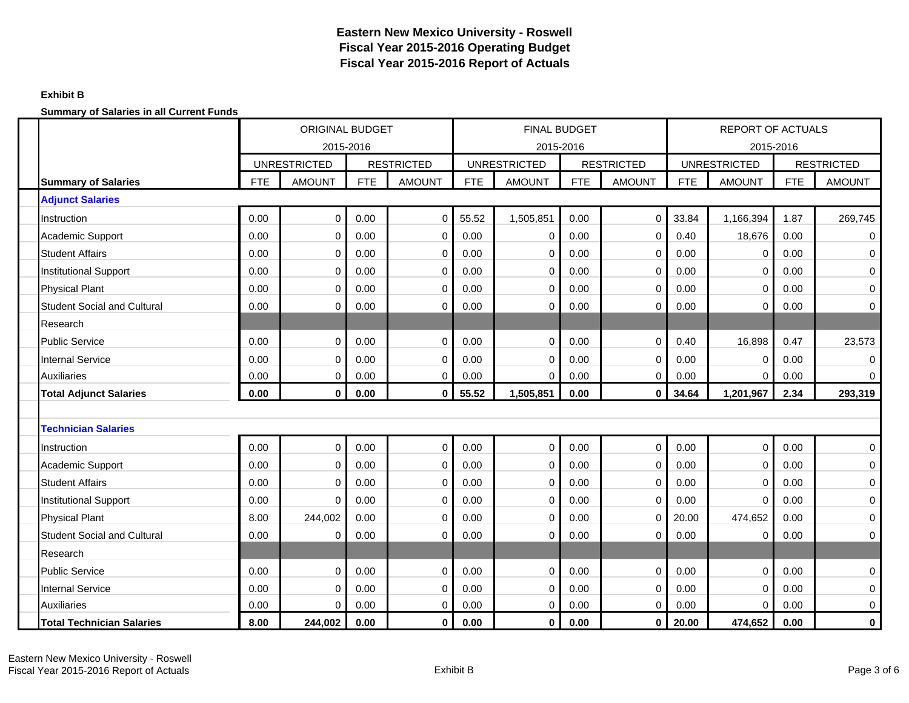### **Exhibit B**

|                                    |            | <b>ORIGINAL BUDGET</b><br>2015-2016 |            |                   |            | <b>FINAL BUDGET</b> |            |                   |            | <b>REPORT OF ACTUALS</b> |            |                   |
|------------------------------------|------------|-------------------------------------|------------|-------------------|------------|---------------------|------------|-------------------|------------|--------------------------|------------|-------------------|
|                                    |            |                                     |            |                   |            |                     | 2015-2016  |                   |            | 2015-2016                |            |                   |
|                                    |            | <b>UNRESTRICTED</b>                 |            | <b>RESTRICTED</b> |            | <b>UNRESTRICTED</b> |            | <b>RESTRICTED</b> |            | <b>UNRESTRICTED</b>      |            | <b>RESTRICTED</b> |
| <b>Summary of Salaries</b>         | <b>FTE</b> | <b>AMOUNT</b>                       | <b>FTE</b> | <b>AMOUNT</b>     | <b>FTE</b> | <b>AMOUNT</b>       | <b>FTE</b> | <b>AMOUNT</b>     | <b>FTE</b> | <b>AMOUNT</b>            | <b>FTE</b> | <b>AMOUNT</b>     |
| <b>Adjunct Salaries</b>            |            |                                     |            |                   |            |                     |            |                   |            |                          |            |                   |
| Instruction                        | 0.00       | 0                                   | 0.00       | $\mathbf 0$       | 55.52      | 1,505,851           | 0.00       | $\mathbf 0$       | 33.84      | 1,166,394                | 1.87       | 269,745           |
| Academic Support                   | 0.00       | 0                                   | 0.00       | 0                 | 0.00       | 0                   | 0.00       | $\mathbf 0$       | 0.40       | 18,676                   | 0.00       | $\mathbf 0$       |
| <b>Student Affairs</b>             | 0.00       | 0                                   | 0.00       | $\mathbf 0$       | 0.00       | $\Omega$            | 0.00       | $\mathbf 0$       | 0.00       | $\Omega$                 | 0.00       | $\mathbf 0$       |
| <b>Institutional Support</b>       | 0.00       | 0                                   | 0.00       | 0                 | 0.00       | $\Omega$            | 0.00       | $\overline{0}$    | 0.00       | $\mathbf 0$              | 0.00       | $\mathbf 0$       |
| <b>Physical Plant</b>              | 0.00       | 0                                   | 0.00       | $\mathbf 0$       | 0.00       | $\Omega$            | 0.00       | $\mathbf 0$       | 0.00       | 0                        | 0.00       | $\mathbf 0$       |
| <b>Student Social and Cultural</b> | 0.00       | 0                                   | 0.00       | 0                 | 0.00       | 0                   | 0.00       | 0                 | 0.00       | $\mathbf 0$              | 0.00       | 0                 |
| Research                           |            |                                     |            |                   |            |                     |            |                   |            |                          |            |                   |
| <b>Public Service</b>              | 0.00       | 0                                   | 0.00       | $\pmb{0}$         | 0.00       | $\Omega$            | 0.00       | $\overline{0}$    | 0.40       | 16,898                   | 0.47       | 23,573            |
| <b>Internal Service</b>            | 0.00       | $\Omega$                            | 0.00       | 0                 | 0.00       | $\Omega$            | 0.00       | $\mathbf 0$       | 0.00       | 0                        | 0.00       | $\mathbf 0$       |
| <b>Auxiliaries</b>                 | 0.00       | 0                                   | 0.00       | 0                 | 0.00       | $\Omega$            | 0.00       | $\Omega$          | 0.00       | $\Omega$                 | 0.00       | $\Omega$          |
| <b>Total Adjunct Salaries</b>      | 0.00       | $\mathbf{0}$                        | 0.00       | $\mathbf 0$       | 55.52      | 1,505,851           | 0.00       | $\mathbf 0$       | 34.64      | 1,201,967                | 2.34       | 293,319           |
|                                    |            |                                     |            |                   |            |                     |            |                   |            |                          |            |                   |
| <b>Technician Salaries</b>         |            |                                     |            |                   |            |                     |            |                   |            |                          |            |                   |
| Instruction                        | 0.00       | 0                                   | 0.00       | $\mathbf 0$       | 0.00       | $\Omega$            | 0.00       | $\mathbf 0$       | 0.00       | $\mathbf 0$              | 0.00       | $\boldsymbol{0}$  |
| <b>Academic Support</b>            | 0.00       | 0                                   | 0.00       | $\pmb{0}$         | 0.00       | $\Omega$            | 0.00       | $\mathbf 0$       | 0.00       | $\mathbf 0$              | 0.00       | $\mathbf 0$       |
| <b>Student Affairs</b>             | 0.00       | 0                                   | 0.00       | 0                 | 0.00       | $\Omega$            | 0.00       | $\mathbf 0$       | 0.00       | 0                        | 0.00       | $\mathbf 0$       |
| <b>Institutional Support</b>       | 0.00       | 0                                   | 0.00       | $\mathbf 0$       | 0.00       | $\Omega$            | 0.00       | $\mathbf 0$       | 0.00       | 0                        | 0.00       | $\mathbf 0$       |
| <b>Physical Plant</b>              | 8.00       | 244,002                             | 0.00       | $\mathbf 0$       | 0.00       | $\Omega$            | 0.00       | $\Omega$          | 20.00      | 474,652                  | 0.00       | $\mathbf 0$       |
| <b>Student Social and Cultural</b> | 0.00       | 0                                   | 0.00       | $\mathbf 0$       | 0.00       | $\Omega$            | 0.00       | $\mathbf 0$       | 0.00       | 0                        | 0.00       | $\mathbf 0$       |
| Research                           |            |                                     |            |                   |            |                     |            |                   |            |                          |            |                   |
| <b>Public Service</b>              | 0.00       | 0                                   | 0.00       | $\mathbf 0$       | 0.00       | $\Omega$            | 0.00       | $\mathbf 0$       | 0.00       | $\mathbf 0$              | 0.00       | $\mathbf 0$       |
| <b>Internal Service</b>            | 0.00       | 0                                   | 0.00       | $\mathbf 0$       | 0.00       | $\Omega$            | 0.00       | $\mathbf 0$       | 0.00       | $\mathbf 0$              | 0.00       | $\mathbf 0$       |
| <b>Auxiliaries</b>                 | 0.00       | 0                                   | 0.00       | $\mathbf 0$       | 0.00       | $\Omega$            | 0.00       | $\mathbf 0$       | 0.00       | $\mathbf 0$              | 0.00       | $\mathbf 0$       |
| <b>Total Technician Salaries</b>   | 8.00       | 244,002                             | 0.00       | 0                 | 0.00       | $\bf{0}$            | 0.00       | 0                 | 20.00      | 474,652                  | 0.00       | $\pmb{0}$         |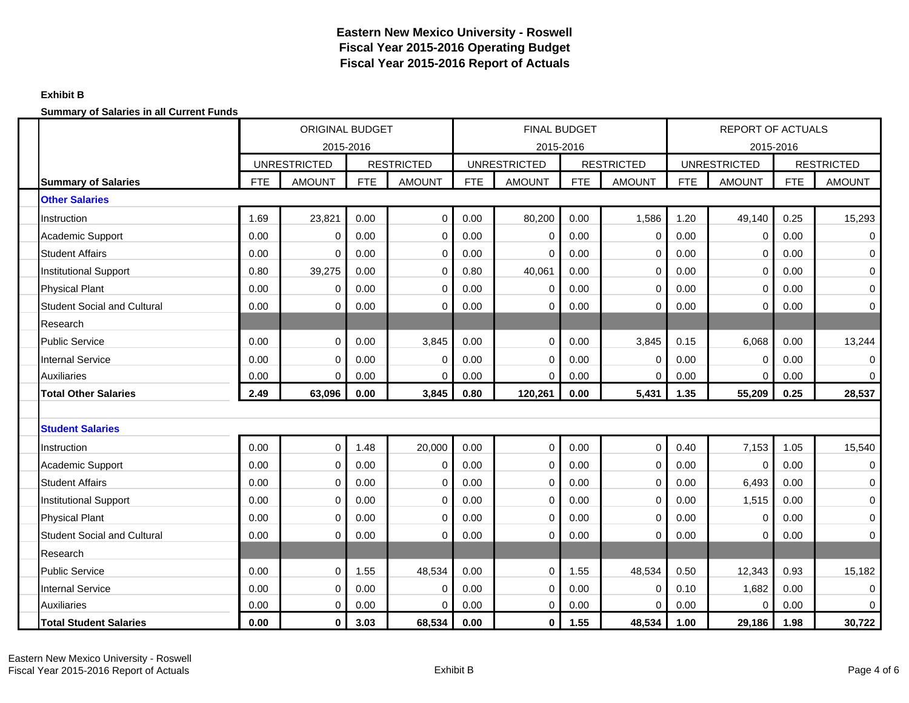### **Exhibit B**

|                                    |            | <b>ORIGINAL BUDGET</b><br>2015-2016 |            |                   |            | <b>FINAL BUDGET</b> |            |                   |            | <b>REPORT OF ACTUALS</b> |            |                   |
|------------------------------------|------------|-------------------------------------|------------|-------------------|------------|---------------------|------------|-------------------|------------|--------------------------|------------|-------------------|
|                                    |            |                                     |            |                   |            |                     | 2015-2016  |                   |            | 2015-2016                |            |                   |
|                                    |            | <b>UNRESTRICTED</b>                 |            | <b>RESTRICTED</b> |            | <b>UNRESTRICTED</b> |            | <b>RESTRICTED</b> |            | <b>UNRESTRICTED</b>      |            | <b>RESTRICTED</b> |
| <b>Summary of Salaries</b>         | <b>FTE</b> | <b>AMOUNT</b>                       | <b>FTE</b> | <b>AMOUNT</b>     | <b>FTE</b> | <b>AMOUNT</b>       | <b>FTE</b> | <b>AMOUNT</b>     | <b>FTE</b> | <b>AMOUNT</b>            | <b>FTE</b> | <b>AMOUNT</b>     |
| <b>Other Salaries</b>              |            |                                     |            |                   |            |                     |            |                   |            |                          |            |                   |
| Instruction                        | 1.69       | 23,821                              | 0.00       | $\mathbf 0$       | 0.00       | 80,200              | 0.00       | 1,586             | 1.20       | 49,140                   | 0.25       | 15,293            |
| Academic Support                   | 0.00       | 0                                   | 0.00       | 0                 | 0.00       | $\mathbf 0$         | 0.00       | 0                 | 0.00       | 0                        | 0.00       | 0                 |
| <b>Student Affairs</b>             | 0.00       | $\Omega$                            | 0.00       | $\mathbf 0$       | 0.00       | $\Omega$            | 0.00       | 0                 | 0.00       | $\mathbf 0$              | 0.00       | $\mathbf 0$       |
| <b>Institutional Support</b>       | 0.80       | 39,275                              | 0.00       | $\mathbf 0$       | 0.80       | 40,061              | 0.00       | $\mathbf 0$       | 0.00       | 0                        | 0.00       | $\mathbf 0$       |
| <b>Physical Plant</b>              | 0.00       | 0                                   | 0.00       | $\mathbf 0$       | 0.00       | 0                   | 0.00       | $\mathbf 0$       | 0.00       | 0                        | 0.00       | $\mathbf 0$       |
| <b>Student Social and Cultural</b> | 0.00       | 0                                   | 0.00       | 0                 | 0.00       | O                   | 0.00       | 0                 | 0.00       | 0                        | 0.00       | 0                 |
| Research                           |            |                                     |            |                   |            |                     |            |                   |            |                          |            |                   |
| <b>Public Service</b>              | 0.00       | 0                                   | 0.00       | 3,845             | 0.00       | $\Omega$            | 0.00       | 3,845             | 0.15       | 6,068                    | 0.00       | 13,244            |
| <b>Internal Service</b>            | 0.00       | $\Omega$                            | 0.00       | 0                 | 0.00       | $\Omega$            | 0.00       | 0                 | 0.00       | 0                        | 0.00       | 0                 |
| <b>Auxiliaries</b>                 | 0.00       | $\Omega$                            | 0.00       | $\Omega$          | 0.00       | O                   | 0.00       | $\Omega$          | 0.00       | $\Omega$                 | 0.00       | $\Omega$          |
| <b>Total Other Salaries</b>        | 2.49       | 63,096                              | 0.00       | 3,845             | 0.80       | 120,261             | 0.00       | 5,431             | 1.35       | 55,209                   | 0.25       | 28,537            |
|                                    |            |                                     |            |                   |            |                     |            |                   |            |                          |            |                   |
| <b>Student Salaries</b>            |            |                                     |            |                   |            |                     |            |                   |            |                          |            |                   |
| Instruction                        | 0.00       | 0                                   | 1.48       | 20,000            | 0.00       | $\Omega$            | 0.00       | $\mathbf 0$       | 0.40       | 7,153                    | 1.05       | 15,540            |
| Academic Support                   | 0.00       | 0                                   | 0.00       | $\mathbf 0$       | 0.00       | $\mathbf 0$         | 0.00       | $\mathbf 0$       | 0.00       | $\Omega$                 | 0.00       | $\mathbf 0$       |
| <b>Student Affairs</b>             | 0.00       | 0                                   | 0.00       | 0                 | 0.00       | $\Omega$            | 0.00       | $\mathbf 0$       | 0.00       | 6,493                    | 0.00       | $\mathbf 0$       |
| <b>Institutional Support</b>       | 0.00       | 0                                   | 0.00       | 0                 | 0.00       | $\Omega$            | 0.00       | $\mathbf 0$       | 0.00       | 1,515                    | 0.00       | $\mathbf 0$       |
| <b>Physical Plant</b>              | 0.00       | $\Omega$                            | 0.00       | $\mathbf 0$       | 0.00       | $\Omega$            | 0.00       | $\Omega$          | 0.00       | $\mathbf 0$              | 0.00       | $\mathbf 0$       |
| <b>Student Social and Cultural</b> | 0.00       | $\Omega$                            | 0.00       | 0                 | 0.00       | O                   | 0.00       | $\mathbf 0$       | 0.00       | 0                        | 0.00       | 0                 |
| Research                           |            |                                     |            |                   |            |                     |            |                   |            |                          |            |                   |
| <b>Public Service</b>              | 0.00       | 0                                   | 1.55       | 48,534            | 0.00       | $\Omega$            | 1.55       | 48,534            | 0.50       | 12,343                   | 0.93       | 15,182            |
| <b>Internal Service</b>            | 0.00       | 0                                   | 0.00       | 0                 | 0.00       | $\Omega$            | 0.00       | 0                 | 0.10       | 1,682                    | 0.00       | $\mathbf 0$       |
| <b>Auxiliaries</b>                 | 0.00       | 0                                   | 0.00       | 0                 | 0.00       | $\Omega$            | 0.00       | $\Omega$          | 0.00       | 0                        | 0.00       | $\mathbf{0}$      |
| <b>Total Student Salaries</b>      | 0.00       | 0                                   | 3.03       | 68,534            | 0.00       | 0                   | 1.55       | 48,534            | 1.00       | 29,186                   | 1.98       | 30,722            |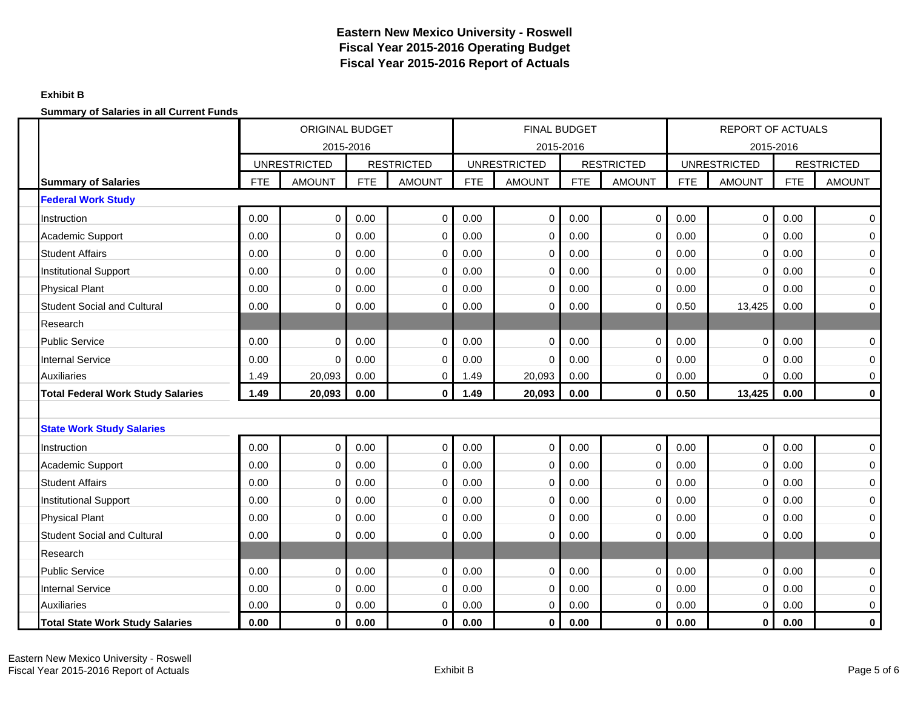### **Exhibit B**

|                                          |            | <b>ORIGINAL BUDGET</b><br>2015-2016 |            |                   |            | <b>FINAL BUDGET</b> |            |                   |            | <b>REPORT OF ACTUALS</b> |            |                   |
|------------------------------------------|------------|-------------------------------------|------------|-------------------|------------|---------------------|------------|-------------------|------------|--------------------------|------------|-------------------|
|                                          |            |                                     |            |                   |            |                     | 2015-2016  |                   |            | 2015-2016                |            |                   |
|                                          |            | <b>UNRESTRICTED</b>                 |            | <b>RESTRICTED</b> |            | <b>UNRESTRICTED</b> |            | <b>RESTRICTED</b> |            | <b>UNRESTRICTED</b>      |            | <b>RESTRICTED</b> |
| <b>Summary of Salaries</b>               | <b>FTE</b> | <b>AMOUNT</b>                       | <b>FTE</b> | <b>AMOUNT</b>     | <b>FTE</b> | <b>AMOUNT</b>       | <b>FTE</b> | <b>AMOUNT</b>     | <b>FTE</b> | <b>AMOUNT</b>            | <b>FTE</b> | <b>AMOUNT</b>     |
| <b>Federal Work Study</b>                |            |                                     |            |                   |            |                     |            |                   |            |                          |            |                   |
| Instruction                              | 0.00       | 0                                   | 0.00       | $\mathbf 0$       | 0.00       | $\mathbf 0$         | 0.00       | $\mathbf 0$       | 0.00       | $\mathbf 0$              | 0.00       | $\mathbf 0$       |
| <b>Academic Support</b>                  | 0.00       | $\Omega$                            | 0.00       | 0                 | 0.00       | $\Omega$            | 0.00       | $\mathbf 0$       | 0.00       | 0                        | 0.00       | $\mathbf 0$       |
| <b>Student Affairs</b>                   | 0.00       | 0                                   | 0.00       | $\mathbf 0$       | 0.00       | $\Omega$            | 0.00       | $\mathbf 0$       | 0.00       | $\mathbf 0$              | 0.00       | $\mathbf 0$       |
| <b>Institutional Support</b>             | 0.00       | 0                                   | 0.00       | $\mathbf 0$       | 0.00       | $\Omega$            | 0.00       | $\mathbf 0$       | 0.00       | 0                        | 0.00       | $\mathbf 0$       |
| <b>Physical Plant</b>                    | 0.00       | $\Omega$                            | 0.00       | 0                 | 0.00       | $\Omega$            | 0.00       | $\Omega$          | 0.00       | $\Omega$                 | 0.00       | 0                 |
| <b>Student Social and Cultural</b>       | 0.00       | $\Omega$                            | 0.00       | $\mathbf 0$       | 0.00       | O                   | 0.00       | $\mathbf 0$       | 0.50       | 13,425                   | 0.00       | $\mathbf 0$       |
| Research                                 |            |                                     |            |                   |            |                     |            |                   |            |                          |            |                   |
| <b>Public Service</b>                    | 0.00       | 0                                   | 0.00       | $\mathbf 0$       | 0.00       | $\Omega$            | 0.00       | 0                 | 0.00       | $\mathbf 0$              | 0.00       | $\boldsymbol{0}$  |
| <b>Internal Service</b>                  | 0.00       | $\Omega$                            | 0.00       | $\mathbf 0$       | 0.00       | $\Omega$            | 0.00       | $\Omega$          | 0.00       | $\Omega$                 | 0.00       | $\mathbf 0$       |
| <b>Auxiliaries</b>                       | 1.49       | 20,093                              | 0.00       | 0                 | 1.49       | 20,093              | 0.00       | $\mathbf 0$       | 0.00       | $\Omega$                 | 0.00       | 0                 |
| <b>Total Federal Work Study Salaries</b> | 1.49       | 20,093                              | 0.00       | 0                 | 1.49       | 20,093              | 0.00       | 0                 | 0.50       | 13,425                   | 0.00       | $\pmb{0}$         |
|                                          |            |                                     |            |                   |            |                     |            |                   |            |                          |            |                   |
| <b>State Work Study Salaries</b>         |            |                                     |            |                   |            |                     |            |                   |            |                          |            |                   |
| Instruction                              | 0.00       | $\mathbf 0$                         | 0.00       | $\mathbf 0$       | 0.00       | $\mathbf 0$         | 0.00       | $\mathbf 0$       | 0.00       | $\mathbf 0$              | 0.00       | $\boldsymbol{0}$  |
| <b>Academic Support</b>                  | 0.00       | 0                                   | 0.00       | $\mathbf 0$       | 0.00       | $\Omega$            | 0.00       | $\mathbf 0$       | 0.00       | $\mathbf 0$              | 0.00       | $\mathbf 0$       |
| <b>Student Affairs</b>                   | 0.00       | $\Omega$                            | 0.00       | $\mathbf 0$       | 0.00       | $\Omega$            | 0.00       | $\mathbf 0$       | 0.00       | $\mathbf 0$              | 0.00       | $\mathbf 0$       |
| <b>Institutional Support</b>             | 0.00       | 0                                   | 0.00       | $\mathbf 0$       | 0.00       | $\Omega$            | 0.00       | $\mathbf 0$       | 0.00       | $\mathbf 0$              | 0.00       | $\mathbf 0$       |
| <b>Physical Plant</b>                    | 0.00       | $\Omega$                            | 0.00       | 0                 | 0.00       | $\Omega$            | 0.00       | $\Omega$          | 0.00       | 0                        | 0.00       | $\mathbf 0$       |
| <b>Student Social and Cultural</b>       | 0.00       | $\Omega$                            | 0.00       | $\Omega$          | 0.00       | $\Omega$            | 0.00       | $\mathbf 0$       | 0.00       | $\Omega$                 | 0.00       | $\mathbf 0$       |
| Research                                 |            |                                     |            |                   |            |                     |            |                   |            |                          |            |                   |
| <b>Public Service</b>                    | 0.00       | $\mathbf 0$                         | 0.00       | $\mathbf 0$       | 0.00       | $\mathbf 0$         | 0.00       | $\mathbf 0$       | 0.00       | $\mathbf 0$              | 0.00       | $\mathbf 0$       |
| <b>Internal Service</b>                  | 0.00       | 0                                   | 0.00       | $\mathbf 0$       | 0.00       | $\Omega$            | 0.00       | $\mathbf 0$       | 0.00       | $\mathbf 0$              | 0.00       | $\mathbf 0$       |
| <b>Auxiliaries</b>                       | 0.00       | 0                                   | 0.00       | 0                 | 0.00       | $\Omega$            | 0.00       | 0                 | 0.00       | 0                        | 0.00       | $\mathbf 0$       |
| <b>Total State Work Study Salaries</b>   | 0.00       | 0                                   | 0.00       | 0                 | 0.00       | 0                   | 0.00       | 0                 | 0.00       | $\bf{0}$                 | 0.00       | $\bf{0}$          |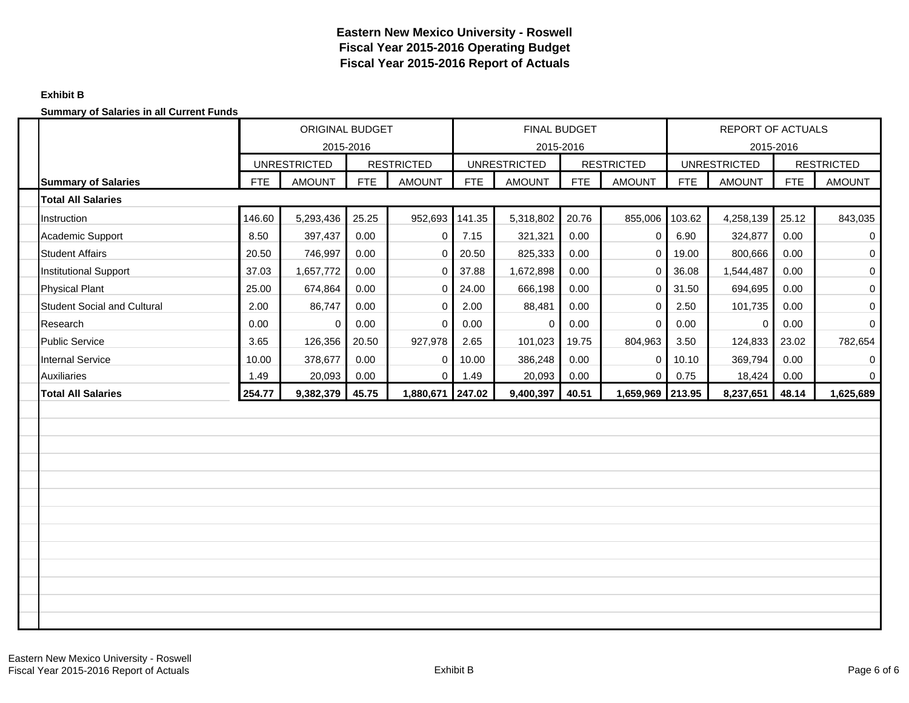### **Exhibit B**

|                                    |            | <b>ORIGINAL BUDGET</b><br>2015-2016 |            |                   |            | FINAL BUDGET                     |       |                   |            | <b>REPORT OF ACTUALS</b> |            |                   |
|------------------------------------|------------|-------------------------------------|------------|-------------------|------------|----------------------------------|-------|-------------------|------------|--------------------------|------------|-------------------|
|                                    |            | <b>UNRESTRICTED</b>                 |            | <b>RESTRICTED</b> |            | 2015-2016<br><b>UNRESTRICTED</b> |       | <b>RESTRICTED</b> |            | <b>UNRESTRICTED</b>      | 2015-2016  | <b>RESTRICTED</b> |
| <b>Summary of Salaries</b>         | <b>FTE</b> | <b>AMOUNT</b>                       | <b>FTE</b> | <b>AMOUNT</b>     | <b>FTE</b> | <b>AMOUNT</b>                    | FTE   | <b>AMOUNT</b>     | <b>FTE</b> | <b>AMOUNT</b>            | <b>FTE</b> | <b>AMOUNT</b>     |
| <b>Total All Salaries</b>          |            |                                     |            |                   |            |                                  |       |                   |            |                          |            |                   |
| Instruction                        | 146.60     | 5,293,436                           | 25.25      | 952,693           | 141.35     | 5,318,802                        | 20.76 | 855,006 103.62    |            | 4,258,139                | 25.12      | 843,035           |
| Academic Support                   | 8.50       | 397,437                             | 0.00       | $\mathbf 0$       | 7.15       | 321,321                          | 0.00  | $\overline{0}$    | 6.90       | 324,877                  | 0.00       | $\Omega$          |
| <b>Student Affairs</b>             | 20.50      | 746,997                             | 0.00       | $\mathbf 0$       | 20.50      | 825,333                          | 0.00  | $\overline{0}$    | 19.00      | 800,666                  | 0.00       | $\mathbf 0$       |
| <b>Institutional Support</b>       | 37.03      | 1,657,772                           | 0.00       | $\mathbf 0$       | 37.88      | 1,672,898                        | 0.00  | $\overline{0}$    | 36.08      | 1,544,487                | 0.00       | $\mathbf 0$       |
| <b>Physical Plant</b>              | 25.00      | 674,864                             | 0.00       | 0                 | 24.00      | 666,198                          | 0.00  | $\overline{0}$    | 31.50      | 694,695                  | 0.00       | $\pmb{0}$         |
| <b>Student Social and Cultural</b> | 2.00       | 86,747                              | 0.00       | $\mathbf 0$       | 2.00       | 88,481                           | 0.00  | $\overline{0}$    | 2.50       | 101,735                  | 0.00       | $\mathbf 0$       |
| Research                           | 0.00       | 0                                   | 0.00       | $\mathbf 0$       | 0.00       | $\mathbf 0$                      | 0.00  | $\mathbf 0$       | 0.00       | 0                        | 0.00       | $\mathbf 0$       |
| <b>Public Service</b>              | 3.65       | 126,356                             | 20.50      | 927,978           | 2.65       | 101,023                          | 19.75 | 804,963           | 3.50       | 124,833                  | 23.02      | 782,654           |
| <b>Internal Service</b>            | 10.00      | 378,677                             | 0.00       | 0                 | 10.00      | 386,248                          | 0.00  | $\overline{0}$    | 10.10      | 369,794                  | 0.00       | $\Omega$          |
| <b>Auxiliaries</b>                 | 1.49       | 20,093                              | 0.00       | $\Omega$          | 1.49       | 20,093                           | 0.00  | $\overline{0}$    | 0.75       | 18,424                   | 0.00       | $\Omega$          |
| <b>Total All Salaries</b>          | 254.77     | 9,382,379                           | 45.75      | 1,880,671         | 247.02     | 9,400,397                        | 40.51 | 1,659,969 213.95  |            | 8,237,651                | 48.14      | 1,625,689         |
|                                    |            |                                     |            |                   |            |                                  |       |                   |            |                          |            |                   |
|                                    |            |                                     |            |                   |            |                                  |       |                   |            |                          |            |                   |
|                                    |            |                                     |            |                   |            |                                  |       |                   |            |                          |            |                   |
|                                    |            |                                     |            |                   |            |                                  |       |                   |            |                          |            |                   |
|                                    |            |                                     |            |                   |            |                                  |       |                   |            |                          |            |                   |
|                                    |            |                                     |            |                   |            |                                  |       |                   |            |                          |            |                   |
|                                    |            |                                     |            |                   |            |                                  |       |                   |            |                          |            |                   |
|                                    |            |                                     |            |                   |            |                                  |       |                   |            |                          |            |                   |
|                                    |            |                                     |            |                   |            |                                  |       |                   |            |                          |            |                   |
|                                    |            |                                     |            |                   |            |                                  |       |                   |            |                          |            |                   |
|                                    |            |                                     |            |                   |            |                                  |       |                   |            |                          |            |                   |
|                                    |            |                                     |            |                   |            |                                  |       |                   |            |                          |            |                   |
|                                    |            |                                     |            |                   |            |                                  |       |                   |            |                          |            |                   |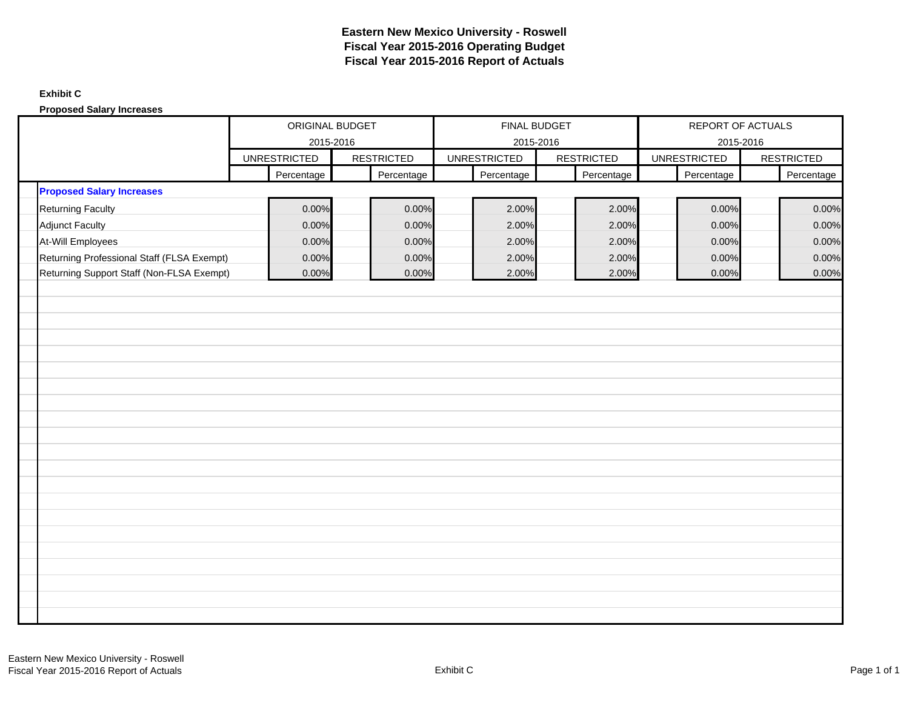### **Exhibit C**

**Proposed Salary Increases**

|                                            | ORIGINAL BUDGET<br>2015-2016<br><b>RESTRICTED</b><br><b>UNRESTRICTED</b> |            |  |            | FINAL BUDGET                     |                   | REPORT OF ACTUALS                |                   |
|--------------------------------------------|--------------------------------------------------------------------------|------------|--|------------|----------------------------------|-------------------|----------------------------------|-------------------|
|                                            |                                                                          |            |  |            | 2015-2016<br><b>UNRESTRICTED</b> | <b>RESTRICTED</b> | 2015-2016<br><b>UNRESTRICTED</b> | <b>RESTRICTED</b> |
|                                            |                                                                          | Percentage |  | Percentage | Percentage                       | Percentage        | Percentage                       | Percentage        |
| <b>Proposed Salary Increases</b>           |                                                                          |            |  |            |                                  |                   |                                  |                   |
| <b>Returning Faculty</b>                   |                                                                          | 0.00%      |  | 0.00%      | 2.00%                            | 2.00%             | 0.00%                            | 0.00%             |
| <b>Adjunct Faculty</b>                     |                                                                          | 0.00%      |  | 0.00%      | 2.00%                            | 2.00%             | 0.00%                            | 0.00%             |
| At-Will Employees                          |                                                                          | 0.00%      |  | 0.00%      | 2.00%                            | 2.00%             | 0.00%                            | 0.00%             |
| Returning Professional Staff (FLSA Exempt) |                                                                          | 0.00%      |  | 0.00%      | 2.00%                            | 2.00%             | 0.00%                            | 0.00%             |
| Returning Support Staff (Non-FLSA Exempt)  |                                                                          | 0.00%      |  | 0.00%      | 2.00%                            | 2.00%             | 0.00%                            | 0.00%             |
|                                            |                                                                          |            |  |            |                                  |                   |                                  |                   |
|                                            |                                                                          |            |  |            |                                  |                   |                                  |                   |
|                                            |                                                                          |            |  |            |                                  |                   |                                  |                   |
|                                            |                                                                          |            |  |            |                                  |                   |                                  |                   |
|                                            |                                                                          |            |  |            |                                  |                   |                                  |                   |
|                                            |                                                                          |            |  |            |                                  |                   |                                  |                   |
|                                            |                                                                          |            |  |            |                                  |                   |                                  |                   |
|                                            |                                                                          |            |  |            |                                  |                   |                                  |                   |
|                                            |                                                                          |            |  |            |                                  |                   |                                  |                   |
|                                            |                                                                          |            |  |            |                                  |                   |                                  |                   |
|                                            |                                                                          |            |  |            |                                  |                   |                                  |                   |
|                                            |                                                                          |            |  |            |                                  |                   |                                  |                   |
|                                            |                                                                          |            |  |            |                                  |                   |                                  |                   |
|                                            |                                                                          |            |  |            |                                  |                   |                                  |                   |
|                                            |                                                                          |            |  |            |                                  |                   |                                  |                   |
|                                            |                                                                          |            |  |            |                                  |                   |                                  |                   |
|                                            |                                                                          |            |  |            |                                  |                   |                                  |                   |
|                                            |                                                                          |            |  |            |                                  |                   |                                  |                   |
|                                            |                                                                          |            |  |            |                                  |                   |                                  |                   |
|                                            |                                                                          |            |  |            |                                  |                   |                                  |                   |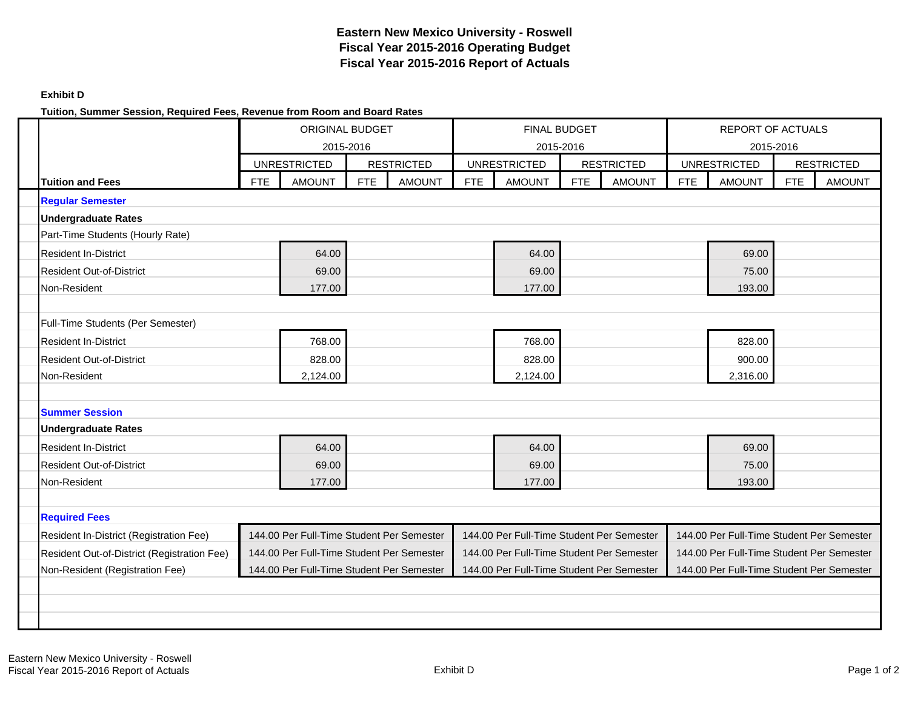### **Exhibit D**

### **Tuition, Summer Session, Required Fees, Revenue from Room and Board Rates**

|                                             | ORIGINAL BUDGET<br>2015-2016 |                                           |            |                   |            | <b>FINAL BUDGET</b>                       |            |                   |            | <b>REPORT OF ACTUALS</b>                  |            |                   |
|---------------------------------------------|------------------------------|-------------------------------------------|------------|-------------------|------------|-------------------------------------------|------------|-------------------|------------|-------------------------------------------|------------|-------------------|
|                                             |                              |                                           |            |                   |            | 2015-2016                                 |            |                   |            | 2015-2016                                 |            |                   |
|                                             |                              | <b>UNRESTRICTED</b>                       |            | <b>RESTRICTED</b> |            | <b>UNRESTRICTED</b>                       |            | <b>RESTRICTED</b> |            | <b>UNRESTRICTED</b>                       |            | <b>RESTRICTED</b> |
| <b>Tuition and Fees</b>                     | <b>FTE</b>                   | <b>AMOUNT</b>                             | <b>FTE</b> | <b>AMOUNT</b>     | <b>FTE</b> | <b>AMOUNT</b>                             | <b>FTE</b> | <b>AMOUNT</b>     | <b>FTE</b> | <b>AMOUNT</b>                             | <b>FTE</b> | <b>AMOUNT</b>     |
| <b>Regular Semester</b>                     |                              |                                           |            |                   |            |                                           |            |                   |            |                                           |            |                   |
| <b>Undergraduate Rates</b>                  |                              |                                           |            |                   |            |                                           |            |                   |            |                                           |            |                   |
| Part-Time Students (Hourly Rate)            |                              |                                           |            |                   |            |                                           |            |                   |            |                                           |            |                   |
| <b>Resident In-District</b>                 |                              | 64.00                                     |            |                   |            | 64.00                                     |            |                   |            | 69.00                                     |            |                   |
| <b>Resident Out-of-District</b>             |                              | 69.00                                     |            |                   |            | 69.00                                     |            |                   |            | 75.00                                     |            |                   |
| Non-Resident                                |                              | 177.00                                    |            |                   |            | 177.00                                    |            |                   |            | 193.00                                    |            |                   |
|                                             |                              |                                           |            |                   |            |                                           |            |                   |            |                                           |            |                   |
| Full-Time Students (Per Semester)           |                              |                                           |            |                   |            |                                           |            |                   |            |                                           |            |                   |
| <b>Resident In-District</b>                 |                              | 768.00                                    |            |                   |            | 768.00                                    |            |                   |            | 828.00                                    |            |                   |
| <b>Resident Out-of-District</b>             |                              | 828.00                                    |            |                   |            | 828.00                                    |            |                   |            | 900.00                                    |            |                   |
| Non-Resident                                |                              | 2,124.00                                  |            |                   |            | 2,124.00                                  |            |                   |            | 2,316.00                                  |            |                   |
|                                             |                              |                                           |            |                   |            |                                           |            |                   |            |                                           |            |                   |
| <b>Summer Session</b>                       |                              |                                           |            |                   |            |                                           |            |                   |            |                                           |            |                   |
| <b>Undergraduate Rates</b>                  |                              |                                           |            |                   |            |                                           |            |                   |            |                                           |            |                   |
| <b>Resident In-District</b>                 |                              | 64.00                                     |            |                   |            | 64.00                                     |            |                   |            | 69.00                                     |            |                   |
| <b>Resident Out-of-District</b>             |                              | 69.00                                     |            |                   |            | 69.00                                     |            |                   |            | 75.00                                     |            |                   |
| Non-Resident                                |                              | 177.00                                    |            |                   |            | 177.00                                    |            |                   |            | 193.00                                    |            |                   |
|                                             |                              |                                           |            |                   |            |                                           |            |                   |            |                                           |            |                   |
| <b>Required Fees</b>                        |                              |                                           |            |                   |            |                                           |            |                   |            |                                           |            |                   |
| Resident In-District (Registration Fee)     |                              | 144.00 Per Full-Time Student Per Semester |            |                   |            | 144.00 Per Full-Time Student Per Semester |            |                   |            | 144.00 Per Full-Time Student Per Semester |            |                   |
| Resident Out-of-District (Registration Fee) |                              | 144.00 Per Full-Time Student Per Semester |            |                   |            | 144.00 Per Full-Time Student Per Semester |            |                   |            | 144.00 Per Full-Time Student Per Semester |            |                   |
| Non-Resident (Registration Fee)             |                              | 144.00 Per Full-Time Student Per Semester |            |                   |            | 144.00 Per Full-Time Student Per Semester |            |                   |            | 144.00 Per Full-Time Student Per Semester |            |                   |
|                                             |                              |                                           |            |                   |            |                                           |            |                   |            |                                           |            |                   |
|                                             |                              |                                           |            |                   |            |                                           |            |                   |            |                                           |            |                   |
|                                             |                              |                                           |            |                   |            |                                           |            |                   |            |                                           |            |                   |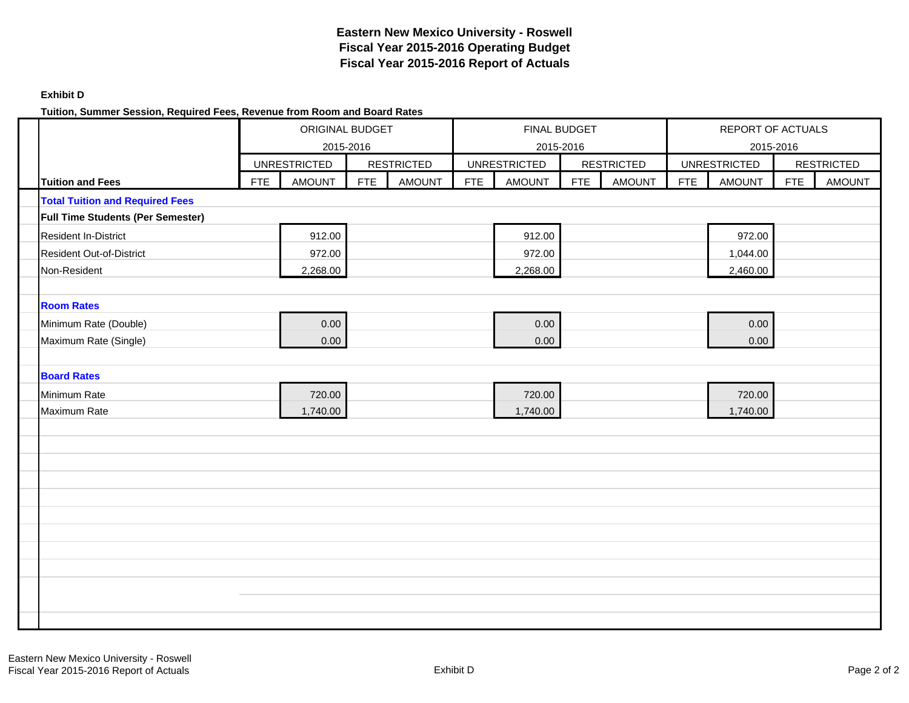### **Exhibit D**

### **Tuition, Summer Session, Required Fees, Revenue from Room and Board Rates**

|                                        | ORIGINAL BUDGET<br>2015-2016 |                     |     |                   |     | FINAL BUDGET<br>2015-2016 |            |                   |            | REPORT OF ACTUALS                |            |                   |
|----------------------------------------|------------------------------|---------------------|-----|-------------------|-----|---------------------------|------------|-------------------|------------|----------------------------------|------------|-------------------|
|                                        |                              | <b>UNRESTRICTED</b> |     | <b>RESTRICTED</b> |     | <b>UNRESTRICTED</b>       |            | <b>RESTRICTED</b> |            | 2015-2016<br><b>UNRESTRICTED</b> |            | <b>RESTRICTED</b> |
| Tuition and Fees                       | FTE                          | <b>AMOUNT</b>       | FTE | <b>AMOUNT</b>     | FTE | <b>AMOUNT</b>             | <b>FTE</b> | <b>AMOUNT</b>     | <b>FTE</b> | <b>AMOUNT</b>                    | <b>FTE</b> | <b>AMOUNT</b>     |
| <b>Total Tuition and Required Fees</b> |                              |                     |     |                   |     |                           |            |                   |            |                                  |            |                   |
| Full Time Students (Per Semester)      |                              |                     |     |                   |     |                           |            |                   |            |                                  |            |                   |
| <b>Resident In-District</b>            |                              | 912.00              |     |                   |     | 912.00                    |            |                   |            | 972.00                           |            |                   |
| <b>Resident Out-of-District</b>        |                              | 972.00              |     |                   |     | 972.00                    |            |                   |            | 1,044.00                         |            |                   |
| Non-Resident                           |                              | 2,268.00            |     |                   |     | 2,268.00                  |            |                   |            | 2,460.00                         |            |                   |
|                                        |                              |                     |     |                   |     |                           |            |                   |            |                                  |            |                   |
| <b>Room Rates</b>                      |                              |                     |     |                   |     |                           |            |                   |            |                                  |            |                   |
| Minimum Rate (Double)                  |                              | 0.00                |     |                   |     | 0.00                      |            |                   |            | 0.00                             |            |                   |
| Maximum Rate (Single)                  |                              | 0.00                |     |                   |     | 0.00                      |            |                   |            | 0.00                             |            |                   |
|                                        |                              |                     |     |                   |     |                           |            |                   |            |                                  |            |                   |
| <b>Board Rates</b>                     |                              |                     |     |                   |     |                           |            |                   |            |                                  |            |                   |
| Minimum Rate                           |                              | 720.00              |     |                   |     | 720.00                    |            |                   |            | 720.00                           |            |                   |
| Maximum Rate                           |                              | 1,740.00            |     |                   |     | 1,740.00                  |            |                   |            | 1,740.00                         |            |                   |
|                                        |                              |                     |     |                   |     |                           |            |                   |            |                                  |            |                   |
|                                        |                              |                     |     |                   |     |                           |            |                   |            |                                  |            |                   |
|                                        |                              |                     |     |                   |     |                           |            |                   |            |                                  |            |                   |
|                                        |                              |                     |     |                   |     |                           |            |                   |            |                                  |            |                   |
|                                        |                              |                     |     |                   |     |                           |            |                   |            |                                  |            |                   |
|                                        |                              |                     |     |                   |     |                           |            |                   |            |                                  |            |                   |
|                                        |                              |                     |     |                   |     |                           |            |                   |            |                                  |            |                   |
|                                        |                              |                     |     |                   |     |                           |            |                   |            |                                  |            |                   |
|                                        |                              |                     |     |                   |     |                           |            |                   |            |                                  |            |                   |
|                                        |                              |                     |     |                   |     |                           |            |                   |            |                                  |            |                   |
|                                        |                              |                     |     |                   |     |                           |            |                   |            |                                  |            |                   |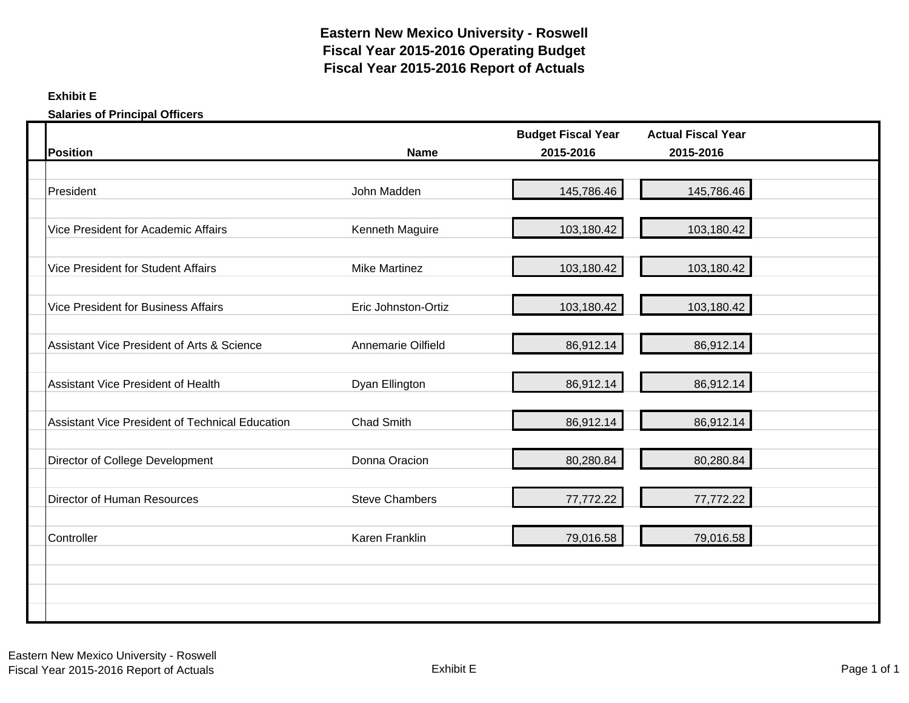### **Exhibit E**

**Salaries of Principal Officers**

| <b>Position</b>                                        | <b>Name</b>           | <b>Budget Fiscal Year</b><br>2015-2016 | <b>Actual Fiscal Year</b><br>2015-2016 |  |
|--------------------------------------------------------|-----------------------|----------------------------------------|----------------------------------------|--|
|                                                        |                       |                                        |                                        |  |
| President                                              | John Madden           | 145,786.46                             | 145,786.46                             |  |
| Vice President for Academic Affairs                    | Kenneth Maguire       | 103,180.42                             | 103,180.42                             |  |
| <b>Vice President for Student Affairs</b>              | <b>Mike Martinez</b>  | 103,180.42                             | 103,180.42                             |  |
| <b>Vice President for Business Affairs</b>             | Eric Johnston-Ortiz   | 103,180.42                             | 103,180.42                             |  |
| Assistant Vice President of Arts & Science             | Annemarie Oilfield    | 86,912.14                              | 86,912.14                              |  |
| Assistant Vice President of Health                     | Dyan Ellington        | 86,912.14                              | 86,912.14                              |  |
| <b>Assistant Vice President of Technical Education</b> | <b>Chad Smith</b>     | 86,912.14                              | 86,912.14                              |  |
| Director of College Development                        | Donna Oracion         | 80,280.84                              | 80,280.84                              |  |
| Director of Human Resources                            | <b>Steve Chambers</b> | 77,772.22                              | 77,772.22                              |  |
| Controller                                             | Karen Franklin        | 79,016.58                              | 79,016.58                              |  |
|                                                        |                       |                                        |                                        |  |
|                                                        |                       |                                        |                                        |  |
|                                                        |                       |                                        |                                        |  |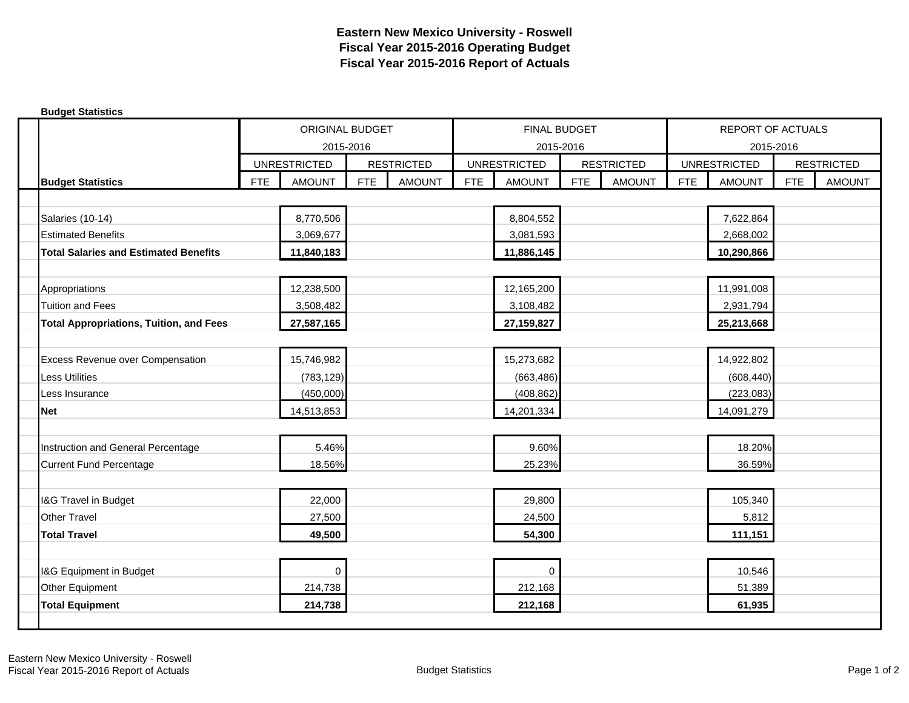| <b>Budget Statistics</b>                       |            |                        |            |                   |            |                     |            |                   |            |                          |            |                   |
|------------------------------------------------|------------|------------------------|------------|-------------------|------------|---------------------|------------|-------------------|------------|--------------------------|------------|-------------------|
|                                                |            | <b>ORIGINAL BUDGET</b> |            |                   |            | FINAL BUDGET        |            |                   |            | <b>REPORT OF ACTUALS</b> |            |                   |
|                                                |            | 2015-2016              |            |                   |            | 2015-2016           |            |                   |            | 2015-2016                |            |                   |
|                                                |            | <b>UNRESTRICTED</b>    |            | <b>RESTRICTED</b> |            | <b>UNRESTRICTED</b> |            | <b>RESTRICTED</b> |            | <b>UNRESTRICTED</b>      |            | <b>RESTRICTED</b> |
| <b>Budget Statistics</b>                       | <b>FTE</b> | <b>AMOUNT</b>          | <b>FTE</b> | <b>AMOUNT</b>     | <b>FTE</b> | <b>AMOUNT</b>       | <b>FTE</b> | <b>AMOUNT</b>     | <b>FTE</b> | <b>AMOUNT</b>            | <b>FTE</b> | <b>AMOUNT</b>     |
|                                                |            |                        |            |                   |            |                     |            |                   |            |                          |            |                   |
| Salaries (10-14)                               |            | 8,770,506              |            |                   |            | 8,804,552           |            |                   |            | 7,622,864                |            |                   |
| <b>Estimated Benefits</b>                      |            | 3,069,677              |            |                   |            | 3,081,593           |            |                   |            | 2,668,002                |            |                   |
| <b>Total Salaries and Estimated Benefits</b>   |            | 11,840,183             |            |                   |            | 11,886,145          |            |                   |            | 10,290,866               |            |                   |
|                                                |            |                        |            |                   |            |                     |            |                   |            |                          |            |                   |
| Appropriations                                 |            | 12,238,500             |            |                   |            | 12,165,200          |            |                   |            | 11,991,008               |            |                   |
| <b>Tuition and Fees</b>                        |            | 3,508,482              |            |                   |            | 3,108,482           |            |                   |            | 2,931,794                |            |                   |
| <b>Total Appropriations, Tuition, and Fees</b> |            | 27,587,165             |            |                   |            | 27,159,827          |            |                   |            | 25,213,668               |            |                   |
|                                                |            |                        |            |                   |            |                     |            |                   |            |                          |            |                   |
| <b>Excess Revenue over Compensation</b>        |            | 15,746,982             |            |                   |            | 15,273,682          |            |                   |            | 14,922,802               |            |                   |
| <b>Less Utilities</b>                          |            | (783, 129)             |            |                   |            | (663, 486)          |            |                   |            | (608, 440)               |            |                   |
| Less Insurance                                 |            | (450,000)              |            |                   |            | (408, 862)          |            |                   |            | (223, 083)               |            |                   |
| <b>Net</b>                                     |            | 14,513,853             |            |                   |            | 14,201,334          |            |                   |            | 14,091,279               |            |                   |
|                                                |            |                        |            |                   |            |                     |            |                   |            |                          |            |                   |
| Instruction and General Percentage             |            | 5.46%                  |            |                   |            | 9.60%               |            |                   |            | 18.20%                   |            |                   |
| <b>Current Fund Percentage</b>                 |            | 18.56%                 |            |                   |            | 25.23%              |            |                   |            | 36.59%                   |            |                   |
|                                                |            |                        |            |                   |            |                     |            |                   |            |                          |            |                   |
| I&G Travel in Budget                           |            | 22,000                 |            |                   |            | 29,800              |            |                   |            | 105,340                  |            |                   |
| <b>Other Travel</b>                            |            | 27,500                 |            |                   |            | 24,500              |            |                   |            | 5,812                    |            |                   |
| <b>Total Travel</b>                            |            | 49,500                 |            |                   |            | 54,300              |            |                   |            | 111,151                  |            |                   |
|                                                |            |                        |            |                   |            |                     |            |                   |            |                          |            |                   |
| I&G Equipment in Budget                        |            | 0                      |            |                   |            | $\mathbf 0$         |            |                   |            | 10,546                   |            |                   |
| Other Equipment                                |            | 214,738                |            |                   |            | 212,168             |            |                   |            | 51,389                   |            |                   |
| <b>Total Equipment</b>                         |            | 214,738                |            |                   |            | 212,168             |            |                   |            | 61,935                   |            |                   |
|                                                |            |                        |            |                   |            |                     |            |                   |            |                          |            |                   |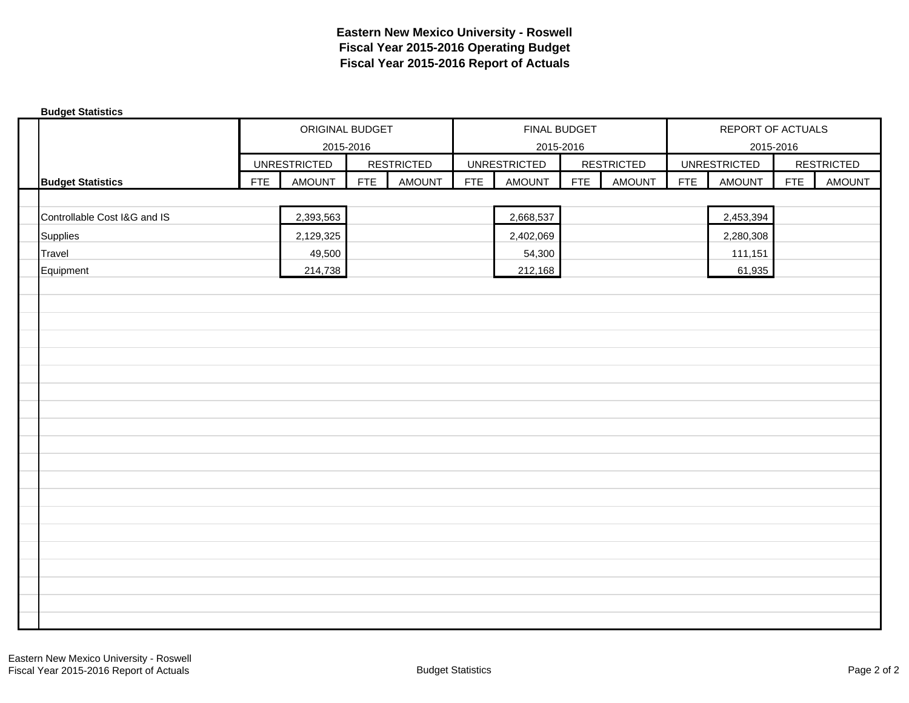| <b>Budget Statistics</b> |                              |            |                     |            |                   |            |                     |            |                   |            |                     |            |                   |
|--------------------------|------------------------------|------------|---------------------|------------|-------------------|------------|---------------------|------------|-------------------|------------|---------------------|------------|-------------------|
|                          |                              |            | ORIGINAL BUDGET     |            |                   |            | FINAL BUDGET        |            |                   |            | REPORT OF ACTUALS   |            |                   |
|                          |                              |            | 2015-2016           |            |                   |            | 2015-2016           |            |                   |            | 2015-2016           |            |                   |
|                          |                              |            | <b>UNRESTRICTED</b> |            | <b>RESTRICTED</b> |            | <b>UNRESTRICTED</b> |            | <b>RESTRICTED</b> |            | <b>UNRESTRICTED</b> |            | <b>RESTRICTED</b> |
|                          | <b>Budget Statistics</b>     | <b>FTE</b> | <b>AMOUNT</b>       | <b>FTE</b> | <b>AMOUNT</b>     | <b>FTE</b> | <b>AMOUNT</b>       | <b>FTE</b> | <b>AMOUNT</b>     | <b>FTE</b> | <b>AMOUNT</b>       | <b>FTE</b> | <b>AMOUNT</b>     |
|                          |                              |            |                     |            |                   |            |                     |            |                   |            |                     |            |                   |
|                          | Controllable Cost I&G and IS |            | 2,393,563           |            |                   |            | 2,668,537           |            |                   |            | 2,453,394           |            |                   |
|                          | <b>Supplies</b>              |            | 2,129,325           |            |                   |            | 2,402,069           |            |                   |            | 2,280,308           |            |                   |
|                          | Travel                       |            | 49,500              |            |                   |            | 54,300              |            |                   |            | 111,151             |            |                   |
|                          | Equipment                    |            | 214,738             |            |                   |            | 212,168             |            |                   |            | 61,935              |            |                   |
|                          |                              |            |                     |            |                   |            |                     |            |                   |            |                     |            |                   |
|                          |                              |            |                     |            |                   |            |                     |            |                   |            |                     |            |                   |
|                          |                              |            |                     |            |                   |            |                     |            |                   |            |                     |            |                   |
|                          |                              |            |                     |            |                   |            |                     |            |                   |            |                     |            |                   |
|                          |                              |            |                     |            |                   |            |                     |            |                   |            |                     |            |                   |
|                          |                              |            |                     |            |                   |            |                     |            |                   |            |                     |            |                   |
|                          |                              |            |                     |            |                   |            |                     |            |                   |            |                     |            |                   |
|                          |                              |            |                     |            |                   |            |                     |            |                   |            |                     |            |                   |
|                          |                              |            |                     |            |                   |            |                     |            |                   |            |                     |            |                   |
|                          |                              |            |                     |            |                   |            |                     |            |                   |            |                     |            |                   |
|                          |                              |            |                     |            |                   |            |                     |            |                   |            |                     |            |                   |
|                          |                              |            |                     |            |                   |            |                     |            |                   |            |                     |            |                   |
|                          |                              |            |                     |            |                   |            |                     |            |                   |            |                     |            |                   |
|                          |                              |            |                     |            |                   |            |                     |            |                   |            |                     |            |                   |
|                          |                              |            |                     |            |                   |            |                     |            |                   |            |                     |            |                   |
|                          |                              |            |                     |            |                   |            |                     |            |                   |            |                     |            |                   |
|                          |                              |            |                     |            |                   |            |                     |            |                   |            |                     |            |                   |
|                          |                              |            |                     |            |                   |            |                     |            |                   |            |                     |            |                   |
|                          |                              |            |                     |            |                   |            |                     |            |                   |            |                     |            |                   |
|                          |                              |            |                     |            |                   |            |                     |            |                   |            |                     |            |                   |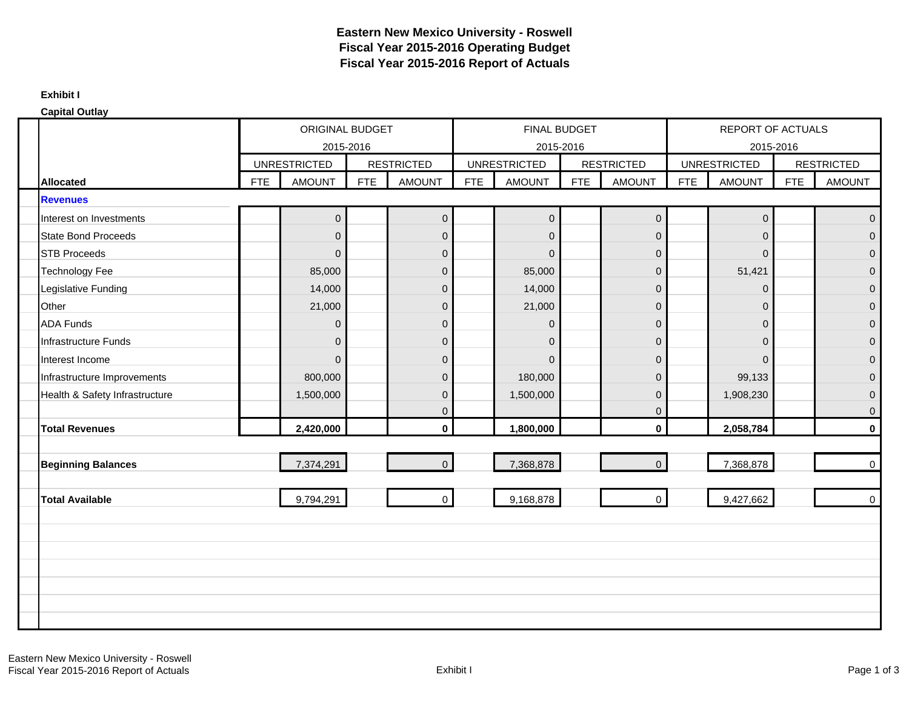#### **Exhibit I**

| <b>Capital Outlay</b>          |            |                     |            |                   |            |                     |            |                   |            |                          |            |                   |
|--------------------------------|------------|---------------------|------------|-------------------|------------|---------------------|------------|-------------------|------------|--------------------------|------------|-------------------|
|                                |            | ORIGINAL BUDGET     |            |                   |            | FINAL BUDGET        |            |                   |            | <b>REPORT OF ACTUALS</b> |            |                   |
|                                |            |                     | 2015-2016  |                   |            | 2015-2016           |            |                   |            | 2015-2016                |            |                   |
|                                |            | <b>UNRESTRICTED</b> |            | <b>RESTRICTED</b> |            | <b>UNRESTRICTED</b> |            | <b>RESTRICTED</b> |            | <b>UNRESTRICTED</b>      |            | <b>RESTRICTED</b> |
| <b>Allocated</b>               | <b>FTE</b> | <b>AMOUNT</b>       | <b>FTE</b> | <b>AMOUNT</b>     | <b>FTE</b> | <b>AMOUNT</b>       | <b>FTE</b> | <b>AMOUNT</b>     | <b>FTE</b> | <b>AMOUNT</b>            | <b>FTE</b> | <b>AMOUNT</b>     |
| <b>Revenues</b>                |            |                     |            |                   |            |                     |            |                   |            |                          |            |                   |
| Interest on Investments        |            | $\pmb{0}$           |            | $\boldsymbol{0}$  |            | $\overline{0}$      |            | $\mathbf 0$       |            | $\pmb{0}$                |            | $\mathbf 0$       |
| <b>State Bond Proceeds</b>     |            | $\pmb{0}$           |            | $\boldsymbol{0}$  |            | $\overline{0}$      |            | $\overline{0}$    |            | $\mathbf{0}$             |            | $\mathbf{0}$      |
| <b>STB Proceeds</b>            |            | $\mathbf{0}$        |            | $\mathbf 0$       |            | $\overline{0}$      |            | 0                 |            | $\mathbf 0$              |            | $\mathbf 0$       |
| <b>Technology Fee</b>          |            | 85,000              |            | $\mathbf{0}$      |            | 85,000              |            | $\overline{0}$    |            | 51,421                   |            | $\mathbf{0}$      |
| Legislative Funding            |            | 14,000              |            | $\mathbf 0$       |            | 14,000              |            | 0                 |            | $\mathbf{0}$             |            | $\mathbf 0$       |
| Other                          |            | 21,000              |            | $\pmb{0}$         |            | 21,000              |            | $\overline{0}$    |            | $\mathbf{0}$             |            | $\mathbf 0$       |
| <b>ADA Funds</b>               |            | $\mathbf{0}$        |            | $\mathbf 0$       |            | $\overline{0}$      |            | $\overline{0}$    |            | $\mathbf{0}$             |            | $\mathbf 0$       |
| Infrastructure Funds           |            | $\mathbf 0$         |            | $\mathbf 0$       |            | $\overline{0}$      |            | $\overline{0}$    |            | $\mathbf 0$              |            | $\mathbf 0$       |
| Interest Income                |            | $\Omega$            |            | $\mathbf 0$       |            | $\overline{0}$      |            | $\overline{0}$    |            | $\Omega$                 |            | $\mathbf{0}$      |
| Infrastructure Improvements    |            | 800,000             |            | $\mathbf{0}$      |            | 180,000             |            | $\Omega$          |            | 99,133                   |            | $\mathbf{0}$      |
| Health & Safety Infrastructure |            | 1,500,000           |            | $\pmb{0}$         |            | 1,500,000           |            | $\overline{0}$    |            | 1,908,230                |            | $\pmb{0}$         |
|                                |            |                     |            | $\mathbf 0$       |            |                     |            | $\overline{0}$    |            |                          |            | $\overline{0}$    |
| <b>Total Revenues</b>          |            | 2,420,000           |            | $\mathbf 0$       |            | 1,800,000           |            | $\mathbf{0}$      |            | 2,058,784                |            | $\mathbf 0$       |
|                                |            |                     |            |                   |            |                     |            |                   |            |                          |            |                   |
| <b>Beginning Balances</b>      |            | 7,374,291           |            | $\overline{0}$    |            | 7,368,878           |            | $\overline{0}$    |            | 7,368,878                |            | $\mathbf 0$       |
|                                |            |                     |            |                   |            |                     |            |                   |            |                          |            |                   |
| <b>Total Available</b>         |            | 9,794,291           |            | $\overline{0}$    |            | 9,168,878           |            | $\overline{0}$    |            | 9,427,662                |            | $\mathbf 0$       |
|                                |            |                     |            |                   |            |                     |            |                   |            |                          |            |                   |
|                                |            |                     |            |                   |            |                     |            |                   |            |                          |            |                   |
|                                |            |                     |            |                   |            |                     |            |                   |            |                          |            |                   |
|                                |            |                     |            |                   |            |                     |            |                   |            |                          |            |                   |
|                                |            |                     |            |                   |            |                     |            |                   |            |                          |            |                   |
|                                |            |                     |            |                   |            |                     |            |                   |            |                          |            |                   |
|                                |            |                     |            |                   |            |                     |            |                   |            |                          |            |                   |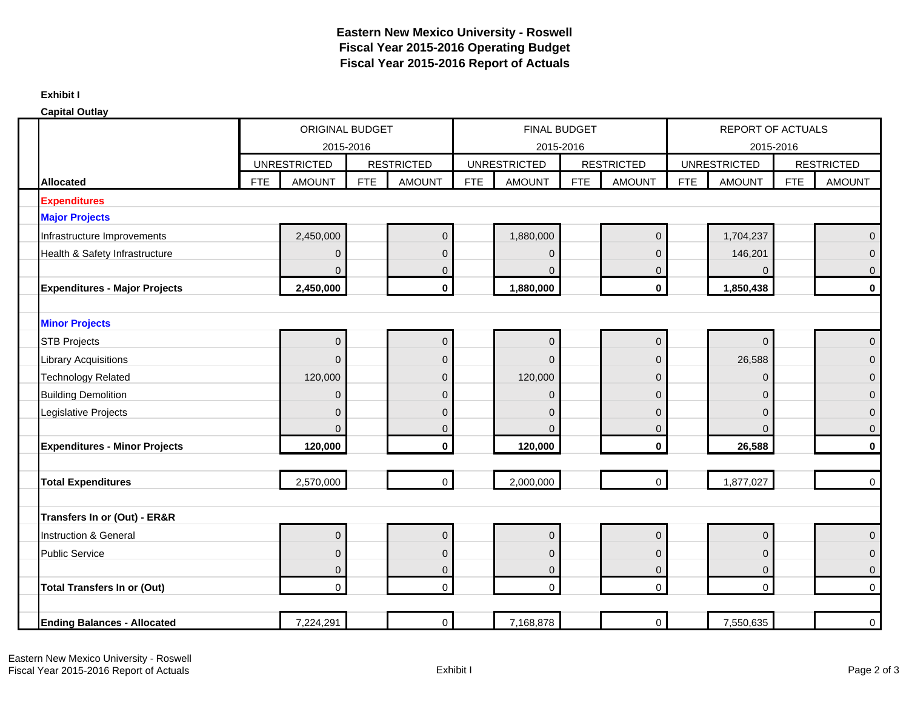#### **Exhibit I**

| <b>Capital Outlay</b>                |            |                        |            |                   |            |                     |            |                   |            |                     |            |                     |
|--------------------------------------|------------|------------------------|------------|-------------------|------------|---------------------|------------|-------------------|------------|---------------------|------------|---------------------|
|                                      |            | <b>ORIGINAL BUDGET</b> |            |                   |            | FINAL BUDGET        |            |                   |            | REPORT OF ACTUALS   |            |                     |
|                                      |            |                        | 2015-2016  |                   |            | 2015-2016           |            |                   |            | 2015-2016           |            |                     |
|                                      |            | <b>UNRESTRICTED</b>    |            | <b>RESTRICTED</b> |            | <b>UNRESTRICTED</b> |            | <b>RESTRICTED</b> |            | <b>UNRESTRICTED</b> |            | <b>RESTRICTED</b>   |
| <b>Allocated</b>                     | <b>FTE</b> | <b>AMOUNT</b>          | <b>FTE</b> | <b>AMOUNT</b>     | <b>FTE</b> | <b>AMOUNT</b>       | <b>FTE</b> | <b>AMOUNT</b>     | <b>FTE</b> | <b>AMOUNT</b>       | <b>FTE</b> | <b>AMOUNT</b>       |
| <b>Expenditures</b>                  |            |                        |            |                   |            |                     |            |                   |            |                     |            |                     |
| <b>Major Projects</b>                |            |                        |            |                   |            |                     |            |                   |            |                     |            |                     |
| Infrastructure Improvements          |            | 2,450,000              |            | $\pmb{0}$         |            | 1,880,000           |            | $\mathbf 0$       |            | 1,704,237           |            | $\Omega$            |
| Health & Safety Infrastructure       |            | $\mathbf{0}$           |            | $\mathbf{0}$      |            | $\overline{0}$      |            | $\Omega$          |            | 146,201             |            | $\Omega$            |
|                                      |            | $\mathbf{0}$           |            | $\mathbf 0$       |            | $\Omega$            |            | $\mathbf 0$       |            | 0                   |            | $\mathbf 0$         |
| <b>Expenditures - Major Projects</b> |            | 2,450,000              |            | $\pmb{0}$         |            | 1,880,000           |            | $\pmb{0}$         |            | 1,850,438           |            | $\mathbf 0$         |
|                                      |            |                        |            |                   |            |                     |            |                   |            |                     |            |                     |
| <b>Minor Projects</b>                |            |                        |            |                   |            |                     |            |                   |            |                     |            |                     |
| <b>STB Projects</b>                  |            | $\mathbf{0}$           |            | $\pmb{0}$         |            | $\overline{0}$      |            | $\overline{0}$    |            | $\Omega$            |            | $\overline{0}$      |
| <b>Library Acquisitions</b>          |            | $\mathbf{0}$           |            | $\mathbf 0$       |            | $\Omega$            |            | $\overline{0}$    |            | 26,588              |            | $\Omega$            |
| <b>Technology Related</b>            |            | 120,000                |            | $\mathbf{0}$      |            | 120,000             |            | $\mathbf 0$       |            | 0                   |            | $\mathbf 0$         |
| <b>Building Demolition</b>           |            | $\mathbf 0$            |            | $\mathbf 0$       |            | $\overline{0}$      |            | $\mathbf 0$       |            | 0                   |            | $\mathbf{0}$        |
| Legislative Projects                 |            | $\mathbf 0$            |            | $\mathbf 0$       |            | $\mathbf{0}$        |            | $\mathbf 0$       |            | 0                   |            | $\mathbf 0$         |
|                                      |            | $\overline{0}$         |            | $\pmb{0}$         |            | $\mathbf{0}$        |            | $\mathbf 0$       |            | $\overline{0}$      |            | $\mathbf 0$         |
| <b>Expenditures - Minor Projects</b> |            | 120,000                |            | $\mathbf 0$       |            | 120,000             |            | $\mathbf 0$       |            | 26,588              |            | $\mathbf 0$         |
|                                      |            |                        |            |                   |            |                     |            |                   |            |                     |            |                     |
| <b>Total Expenditures</b>            |            | 2,570,000              |            | $\mathbf 0$       |            | 2,000,000           |            | $\mathsf{O}$      |            | 1,877,027           |            | $\mathsf{O}\xspace$ |
|                                      |            |                        |            |                   |            |                     |            |                   |            |                     |            |                     |
| Transfers In or (Out) - ER&R         |            |                        |            |                   |            |                     |            |                   |            |                     |            |                     |
| <b>Instruction &amp; General</b>     |            | $\mathbf 0$            |            | $\boldsymbol{0}$  |            | $\mathbf 0$         |            | $\overline{0}$    |            | 0                   |            | $\Omega$            |
| <b>Public Service</b>                |            | $\pmb{0}$              |            | $\mathbf 0$       |            | $\mathbf 0$         |            | $\mathbf 0$       |            | 0                   |            | $\mathbf 0$         |
|                                      |            | $\mathbf 0$            |            | $\pmb{0}$         |            | $\pmb{0}$           |            | $\mathbf 0$       |            | 0                   |            | $\mathbf 0$         |
| <b>Total Transfers In or (Out)</b>   |            | $\mathbf 0$            |            | $\mathbf 0$       |            | $\mathbf 0$         |            | $\mathbf 0$       |            | $\mathbf 0$         |            | $\mathbf 0$         |
|                                      |            |                        |            |                   |            |                     |            |                   |            |                     |            |                     |
| <b>Ending Balances - Allocated</b>   |            | 7,224,291              |            | $\mathbf 0$       |            | 7,168,878           |            | $\mathbf 0$       |            | 7,550,635           |            | $\overline{0}$      |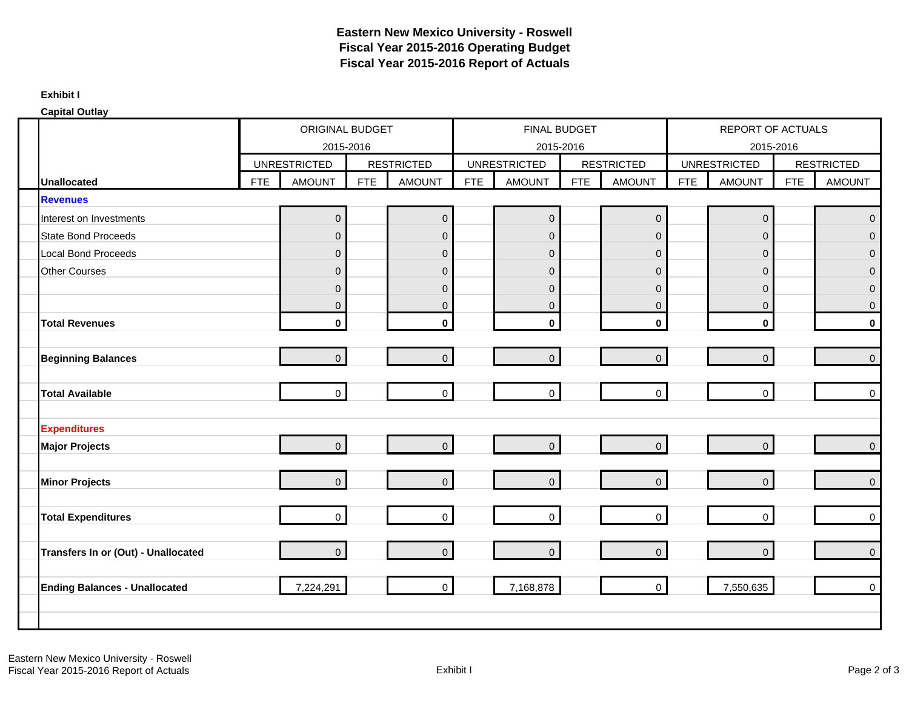#### **Exhibit I**

| <b>Capital Outlay</b>                |            |                     |            |                   |            |                     |            |                     |            |                     |            |                     |
|--------------------------------------|------------|---------------------|------------|-------------------|------------|---------------------|------------|---------------------|------------|---------------------|------------|---------------------|
|                                      |            | ORIGINAL BUDGET     |            |                   |            | <b>FINAL BUDGET</b> |            |                     |            | REPORT OF ACTUALS   |            |                     |
|                                      |            | 2015-2016           |            |                   |            | 2015-2016           |            |                     |            | 2015-2016           |            |                     |
|                                      |            | <b>UNRESTRICTED</b> |            | <b>RESTRICTED</b> |            | <b>UNRESTRICTED</b> |            | <b>RESTRICTED</b>   |            | <b>UNRESTRICTED</b> |            | <b>RESTRICTED</b>   |
| <b>Unallocated</b>                   | <b>FTE</b> | <b>AMOUNT</b>       | <b>FTE</b> | <b>AMOUNT</b>     | <b>FTE</b> | <b>AMOUNT</b>       | <b>FTE</b> | <b>AMOUNT</b>       | <b>FTE</b> | <b>AMOUNT</b>       | <b>FTE</b> | <b>AMOUNT</b>       |
| <b>Revenues</b>                      |            |                     |            |                   |            |                     |            |                     |            |                     |            |                     |
| Interest on Investments              |            | $\mathsf{O}\xspace$ |            | $\pmb{0}$         |            | $\overline{0}$      |            | $\mathbf 0$         |            | $\pmb{0}$           |            | $\overline{0}$      |
| <b>State Bond Proceeds</b>           |            | $\mathsf{O}\xspace$ |            | $\mathbf 0$       |            | $\pmb{0}$           |            | $\mathbf 0$         |            | $\mathbf 0$         |            | $\Omega$            |
| <b>Local Bond Proceeds</b>           |            | $\mathbf 0$         |            | $\mathbf 0$       |            | $\mathbf 0$         |            | $\overline{0}$      |            | $\mathbf 0$         |            | $\Omega$            |
| <b>Other Courses</b>                 |            | $\mathbf 0$         |            | $\mathbf 0$       |            | $\pmb{0}$           |            | $\overline{0}$      |            | $\mathbf 0$         |            | $\Omega$            |
|                                      |            | $\mathbf 0$         |            | $\mathbf 0$       |            | $\mathbf{0}$        |            | $\overline{0}$      |            | $\mathbf 0$         |            | $\Omega$            |
|                                      |            | $\mathbf 0$         |            | $\mathsf 0$       |            | $\mathbf{0}$        |            | $\overline{0}$      |            | $\mathbf{0}$        |            | $\overline{0}$      |
| <b>Total Revenues</b>                |            | $\mathbf{0}$        |            | $\mathbf 0$       |            | $\mathbf{0}$        |            | $\mathbf{0}$        |            | $\mathbf 0$         |            | $\mathbf{0}$        |
|                                      |            |                     |            |                   |            |                     |            |                     |            |                     |            |                     |
| <b>Beginning Balances</b>            |            | $\mathbf{O}$        |            | $\mathbf 0$       |            | $\pmb{0}$           |            | $\overline{0}$      |            | $\mathbf 0$         |            | $\mathbf 0$         |
|                                      |            |                     |            |                   |            |                     |            |                     |            |                     |            |                     |
| <b>Total Available</b>               |            | $\mathbf 0$         |            | $\mathbf 0$       |            | $\mathbf 0$         |            | $\mathbf 0$         |            | $\mathbf 0$         |            | $\Omega$            |
|                                      |            |                     |            |                   |            |                     |            |                     |            |                     |            |                     |
| <b>Expenditures</b>                  |            |                     |            |                   |            |                     |            |                     |            |                     |            |                     |
| <b>Major Projects</b>                |            | $\overline{0}$      |            | $\mathbf 0$       |            | $\overline{0}$      |            | $\overline{0}$      |            | $\mathbf 0$         |            | $\overline{0}$      |
|                                      |            |                     |            |                   |            |                     |            |                     |            |                     |            |                     |
| <b>Minor Projects</b>                |            | $\overline{0}$      |            | $\mathbf 0$       |            | $\overline{0}$      |            | $\mathbf 0$         |            | $\Omega$            |            | $\overline{0}$      |
|                                      |            | $\overline{0}$      |            | $\mathbf 0$       |            | $\overline{0}$      |            | $\mathbf 0$         |            | $\mathbf 0$         |            | $\mathbf 0$         |
| <b>Total Expenditures</b>            |            |                     |            |                   |            |                     |            |                     |            |                     |            |                     |
| Transfers In or (Out) - Unallocated  |            | $\overline{0}$      |            | $\mathbf 0$       |            | $\overline{0}$      |            | $\mathsf{O}\xspace$ |            | $\mathbf 0$         |            | $\mathsf{O}\xspace$ |
|                                      |            |                     |            |                   |            |                     |            |                     |            |                     |            |                     |
| <b>Ending Balances - Unallocated</b> |            | 7,224,291           |            | $\overline{0}$    |            | 7,168,878           |            | $\mathbf 0$         |            | 7,550,635           |            | $\mathsf{O}\xspace$ |
|                                      |            |                     |            |                   |            |                     |            |                     |            |                     |            |                     |
|                                      |            |                     |            |                   |            |                     |            |                     |            |                     |            |                     |
|                                      |            |                     |            |                   |            |                     |            |                     |            |                     |            |                     |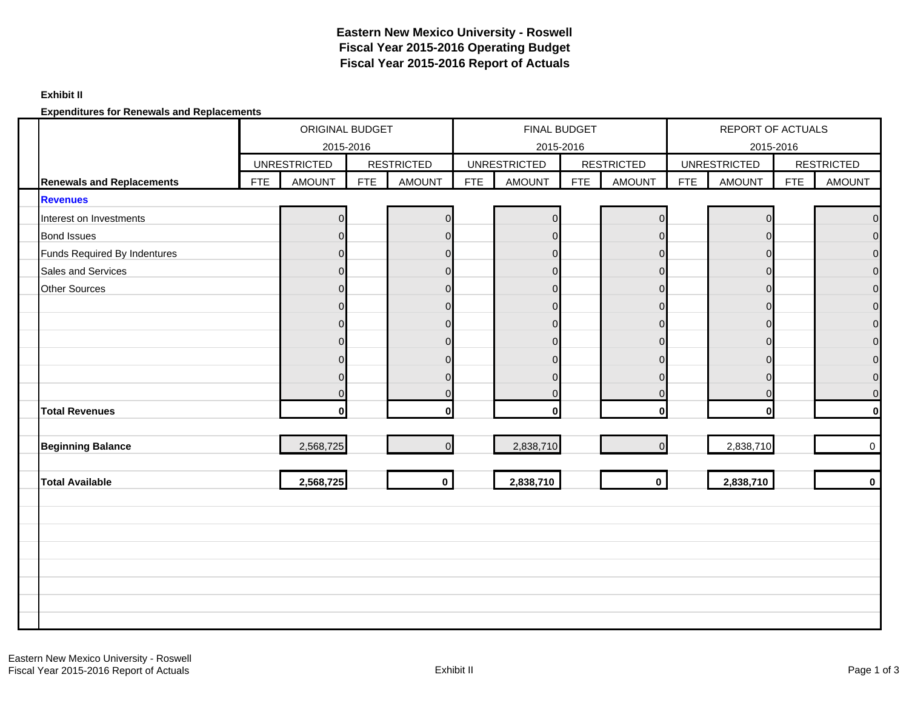#### **Exhibit II**

**Expenditures for Renewals and Replacements**

|                                  |            | ORIGINAL BUDGET<br>2015-2016 |            |                   |            | <b>FINAL BUDGET</b><br>2015-2016 |     |                   |            | REPORT OF ACTUALS<br>2015-2016 |            |                   |
|----------------------------------|------------|------------------------------|------------|-------------------|------------|----------------------------------|-----|-------------------|------------|--------------------------------|------------|-------------------|
|                                  |            | <b>UNRESTRICTED</b>          |            | <b>RESTRICTED</b> |            | <b>UNRESTRICTED</b>              |     | <b>RESTRICTED</b> |            | <b>UNRESTRICTED</b>            |            | <b>RESTRICTED</b> |
| <b>Renewals and Replacements</b> | <b>FTE</b> | <b>AMOUNT</b>                | <b>FTE</b> | <b>AMOUNT</b>     | <b>FTE</b> | <b>AMOUNT</b>                    | FTE | <b>AMOUNT</b>     | <b>FTE</b> | <b>AMOUNT</b>                  | <b>FTE</b> | <b>AMOUNT</b>     |
| <b>Revenues</b>                  |            |                              |            |                   |            |                                  |     |                   |            |                                |            |                   |
| Interest on Investments          |            | $\Omega$                     |            | n                 |            | $\mathbf 0$                      |     | $\Omega$          |            | $\Omega$                       |            | U                 |
| <b>Bond Issues</b>               |            |                              |            |                   |            | $\mathbf 0$                      |     |                   |            | $\Omega$                       |            |                   |
| Funds Required By Indentures     |            | $\Omega$                     |            | $\Omega$          |            | $\overline{0}$                   |     | $\Omega$          |            | $\Omega$                       |            |                   |
| Sales and Services               |            |                              |            | O                 |            | $\mathbf 0$                      |     | n                 |            | $\Omega$                       |            | 0                 |
| Other Sources                    |            |                              |            | $\Omega$          |            | $\Omega$                         |     | $\Omega$          |            | $\Omega$                       |            | O                 |
|                                  |            | $\Omega$                     |            | $\Omega$          |            | $\pmb{0}$                        |     | $\Omega$          |            | $\Omega$                       |            | $\Omega$          |
|                                  |            |                              |            | n                 |            | $\Omega$                         |     | ∩                 |            | $\Omega$                       |            | O                 |
|                                  |            | O                            |            | $\Omega$          |            | $\mathbf 0$                      |     | $\Omega$          |            | $\Omega$                       |            | 0                 |
|                                  |            |                              |            |                   |            | $\mathbf 0$                      |     | n                 |            | $\Omega$                       |            |                   |
|                                  |            | ∩                            |            |                   |            | $\Omega$                         |     | $\Omega$          |            | $\Omega$                       |            | U                 |
|                                  |            |                              |            |                   |            | $\mathbf 0$                      |     |                   |            | $\Omega$                       |            | O                 |
| <b>Total Revenues</b>            |            | $\Omega$                     |            |                   |            | $\bf{0}$                         |     | O                 |            | $\mathbf{0}$                   |            |                   |
| <b>Beginning Balance</b>         |            | 2,568,725                    |            | $\Omega$          |            | 2,838,710                        |     | $\Omega$          |            | 2,838,710                      |            | $\overline{0}$    |
|                                  |            |                              |            |                   |            |                                  |     |                   |            |                                |            |                   |
| <b>Total Available</b>           |            | 2,568,725                    |            | $\mathbf 0$       |            | 2,838,710                        |     | $\mathbf 0$       |            | 2,838,710                      |            | $\mathbf 0$       |
|                                  |            |                              |            |                   |            |                                  |     |                   |            |                                |            |                   |
|                                  |            |                              |            |                   |            |                                  |     |                   |            |                                |            |                   |
|                                  |            |                              |            |                   |            |                                  |     |                   |            |                                |            |                   |
|                                  |            |                              |            |                   |            |                                  |     |                   |            |                                |            |                   |
|                                  |            |                              |            |                   |            |                                  |     |                   |            |                                |            |                   |
|                                  |            |                              |            |                   |            |                                  |     |                   |            |                                |            |                   |
|                                  |            |                              |            |                   |            |                                  |     |                   |            |                                |            |                   |
|                                  |            |                              |            |                   |            |                                  |     |                   |            |                                |            |                   |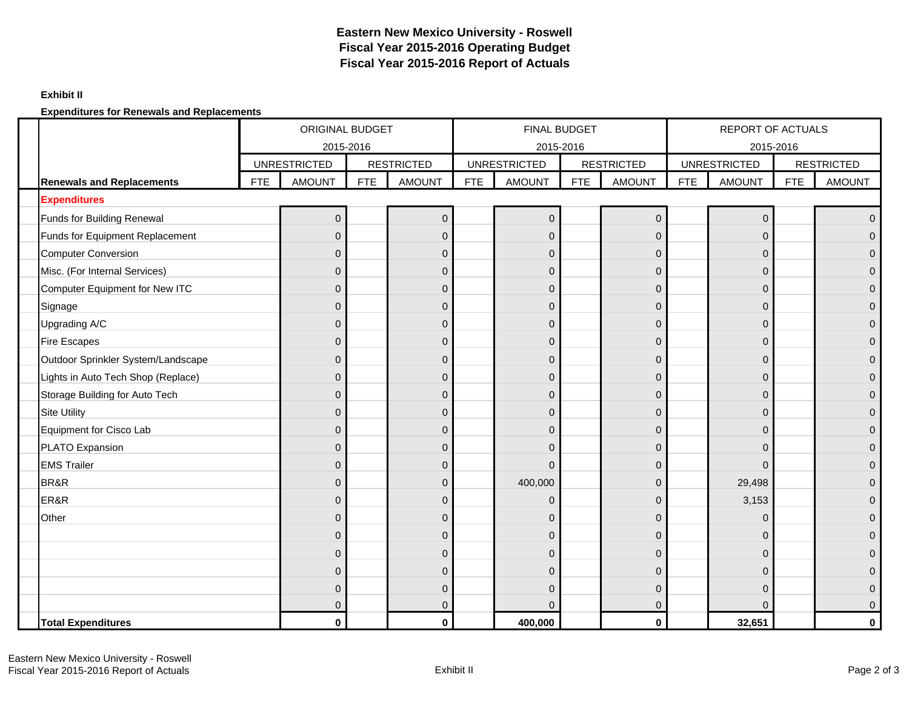### **Exhibit II**

**Expenditures for Renewals and Replacements**

|                                    | <b>ORIGINAL BUDGET</b><br>2015-2016 |                     |            |                   |     | <b>FINAL BUDGET</b> |           |                   |            | <b>REPORT OF ACTUALS</b>         |            |                   |
|------------------------------------|-------------------------------------|---------------------|------------|-------------------|-----|---------------------|-----------|-------------------|------------|----------------------------------|------------|-------------------|
|                                    |                                     | <b>UNRESTRICTED</b> |            | <b>RESTRICTED</b> |     | <b>UNRESTRICTED</b> | 2015-2016 | <b>RESTRICTED</b> |            | 2015-2016<br><b>UNRESTRICTED</b> |            | <b>RESTRICTED</b> |
| <b>Renewals and Replacements</b>   | <b>FTE</b>                          | <b>AMOUNT</b>       | <b>FTE</b> | <b>AMOUNT</b>     | FTE | <b>AMOUNT</b>       | FTE       | <b>AMOUNT</b>     | <b>FTE</b> | <b>AMOUNT</b>                    | <b>FTE</b> | <b>AMOUNT</b>     |
| <b>Expenditures</b>                |                                     |                     |            |                   |     |                     |           |                   |            |                                  |            |                   |
| Funds for Building Renewal         |                                     | $\overline{0}$      |            | $\pmb{0}$         |     | $\overline{0}$      |           | $\mathbf 0$       |            | $\pmb{0}$                        |            | $\Omega$          |
| Funds for Equipment Replacement    |                                     | $\Omega$            |            | $\Omega$          |     | $\Omega$            |           | $\Omega$          |            | $\Omega$                         |            |                   |
| <b>Computer Conversion</b>         |                                     | $\Omega$            |            | $\mathbf 0$       |     | $\overline{0}$      |           | $\Omega$          |            | $\overline{0}$                   |            |                   |
| Misc. (For Internal Services)      |                                     | $\Omega$            |            | $\mathbf 0$       |     | $\mathbf{0}$        |           | $\Omega$          |            | 0                                |            |                   |
| Computer Equipment for New ITC     |                                     | $\Omega$            |            | $\mathbf{0}$      |     | $\overline{0}$      |           | $\Omega$          |            | 0                                |            | 0                 |
| Signage                            |                                     | 0                   |            | $\mathbf{0}$      |     | $\overline{0}$      |           | $\mathbf 0$       |            | 0                                |            | 0                 |
| Upgrading A/C                      |                                     | $\Omega$            |            | $\mathbf{0}$      |     | $\overline{0}$      |           | $\Omega$          |            | 0                                |            | 0                 |
| <b>Fire Escapes</b>                |                                     | $\Omega$            |            | $\mathbf 0$       |     | $\mathbf 0$         |           | $\Omega$          |            | 0                                |            | $\Omega$          |
| Outdoor Sprinkler System/Landscape |                                     | ი                   |            | $\Omega$          |     | $\Omega$            |           | $\Omega$          |            | $\Omega$                         |            |                   |
| Lights in Auto Tech Shop (Replace) |                                     | $\Omega$            |            | $\mathbf 0$       |     | $\overline{0}$      |           | $\Omega$          |            | $\overline{0}$                   |            | 0                 |
| Storage Building for Auto Tech     |                                     | $\Omega$            |            | $\mathbf{0}$      |     | $\Omega$            |           | $\Omega$          |            | $\mathbf{0}$                     |            | 0                 |
| <b>Site Utility</b>                |                                     | $\Omega$            |            | $\mathbf{0}$      |     | $\overline{0}$      |           | $\Omega$          |            | $\mathbf{0}$                     |            | 0                 |
| Equipment for Cisco Lab            |                                     | $\Omega$            |            | $\mathbf{0}$      |     | $\Omega$            |           | $\Omega$          |            | $\Omega$                         |            | $\Omega$          |
| PLATO Expansion                    |                                     | $\Omega$            |            | $\mathbf{0}$      |     | $\overline{0}$      |           | $\Omega$          |            | 0                                |            | 0                 |
| <b>EMS Trailer</b>                 |                                     | $\Omega$            |            | $\mathbf{0}$      |     | $\Omega$            |           | $\Omega$          |            | $\overline{0}$                   |            | 0                 |
| BR&R                               |                                     | $\Omega$            |            | $\mathbf{0}$      |     | 400,000             |           | $\Omega$          |            | 29,498                           |            |                   |
| ER&R                               |                                     | $\Omega$            |            | $\mathbf 0$       |     | $\overline{0}$      |           | $\Omega$          |            | 3,153                            |            | 0                 |
| Other                              |                                     | $\Omega$            |            | $\mathbf{0}$      |     | $\mathbf{0}$        |           | $\Omega$          |            | 0                                |            | $\Omega$          |
|                                    |                                     | $\Omega$            |            | $\mathbf{0}$      |     | $\overline{0}$      |           | $\Omega$          |            | $\mathbf{0}$                     |            |                   |
|                                    |                                     | $\Omega$            |            | $\mathbf{0}$      |     | $\overline{0}$      |           | $\Omega$          |            | 0                                |            | 0                 |
|                                    |                                     | ი                   |            | $\mathbf{0}$      |     | $\Omega$            |           | $\Omega$          |            | $\mathbf{0}$                     |            |                   |
|                                    |                                     | $\Omega$            |            | $\mathbf{0}$      |     | $\Omega$            |           | $\Omega$          |            | $\Omega$                         |            | 0                 |
|                                    |                                     | U                   |            | $\mathbf{0}$      |     | ∩                   |           | O                 |            | $\Omega$                         |            | $\Omega$          |
| <b>Total Expenditures</b>          |                                     | $\mathbf{0}$        |            | 0                 |     | 400,000             |           | $\mathbf 0$       |            | 32,651                           |            | 0                 |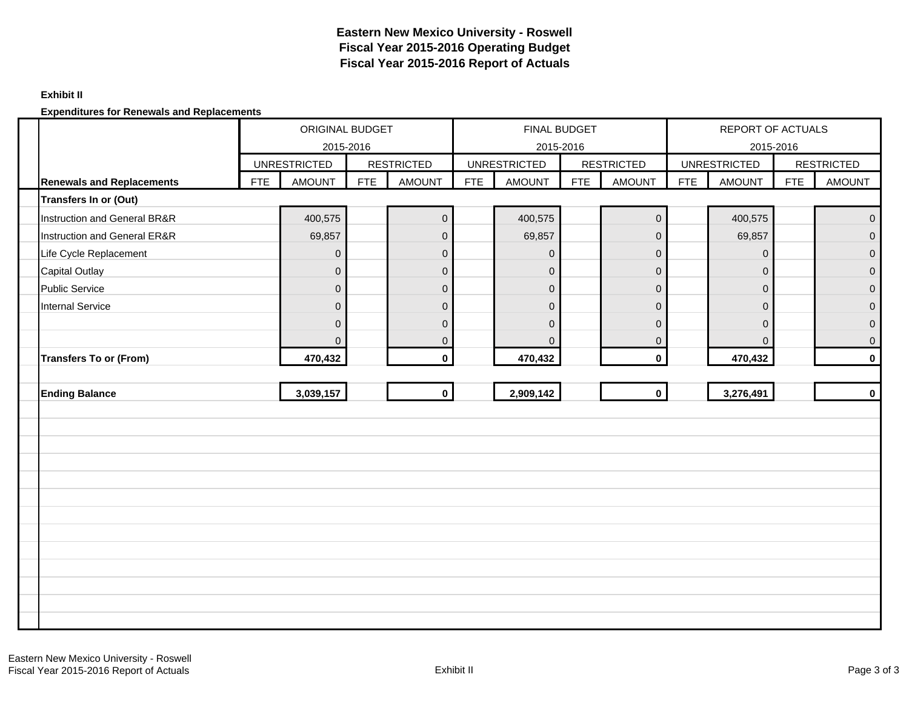### **Exhibit II**

**Expenditures for Renewals and Replacements**

|                                  | ORIGINAL BUDGET<br>2015-2016 |                     |            |                   |            | <b>FINAL BUDGET</b><br>2015-2016 |            |                   |            | REPORT OF ACTUALS<br>2015-2016 |            |                   |
|----------------------------------|------------------------------|---------------------|------------|-------------------|------------|----------------------------------|------------|-------------------|------------|--------------------------------|------------|-------------------|
|                                  |                              | <b>UNRESTRICTED</b> |            | <b>RESTRICTED</b> |            | <b>UNRESTRICTED</b>              |            | <b>RESTRICTED</b> |            | <b>UNRESTRICTED</b>            |            | <b>RESTRICTED</b> |
| <b>Renewals and Replacements</b> | <b>FTE</b>                   | <b>AMOUNT</b>       | <b>FTE</b> | <b>AMOUNT</b>     | <b>FTE</b> | <b>AMOUNT</b>                    | <b>FTE</b> | <b>AMOUNT</b>     | <b>FTE</b> | <b>AMOUNT</b>                  | <b>FTE</b> | <b>AMOUNT</b>     |
| Transfers In or (Out)            |                              |                     |            |                   |            |                                  |            |                   |            |                                |            |                   |
| Instruction and General BR&R     |                              | 400,575             |            | $\pmb{0}$         |            | 400,575                          |            | $\overline{0}$    |            | 400,575                        |            | $\mathbf 0$       |
| Instruction and General ER&R     |                              | 69,857              |            | $\mathsf 0$       |            | 69,857                           |            | $\overline{0}$    |            | 69,857                         |            | $\Omega$          |
| Life Cycle Replacement           |                              | $\pmb{0}$           |            | $\mathbf 0$       |            | $\overline{0}$                   |            | $\mathbf 0$       |            | $\mathbf{0}$                   |            | $\overline{0}$    |
| <b>Capital Outlay</b>            |                              | $\mathbf 0$         |            | $\mathbf 0$       |            | $\mathbf 0$                      |            | $\mathbf 0$       |            | $\mathbf 0$                    |            | $\mathbf 0$       |
| <b>Public Service</b>            |                              | $\overline{0}$      |            | $\mathbf 0$       |            | $\overline{0}$                   |            | $\mathbf 0$       |            | $\mathbf{0}$                   |            | $\overline{0}$    |
| <b>Internal Service</b>          |                              | $\mathbf 0$         |            | $\mathbf 0$       |            | $\mathbf 0$                      |            | $\mathbf 0$       |            | $\mathbf{0}$                   |            | $\mathbf{0}$      |
|                                  |                              | $\Omega$            |            | $\mathbf{0}$      |            | $\Omega$                         |            | $\mathbf 0$       |            | $\mathbf{0}$                   |            | $\mathbf{0}$      |
|                                  |                              | $\mathbf{0}$        |            | $\boldsymbol{0}$  |            | $\Omega$                         |            | $\overline{0}$    |            | $\mathbf{0}$                   |            | $\mathbf 0$       |
| <b>Transfers To or (From)</b>    |                              | 470,432             |            | $\mathbf 0$       |            | 470,432                          |            | $\mathbf{0}$      |            | 470,432                        |            | $\mathbf{0}$      |
|                                  |                              |                     |            |                   |            |                                  |            |                   |            |                                |            |                   |
| <b>Ending Balance</b>            |                              | 3,039,157           |            | $\mathbf 0$       |            | 2,909,142                        |            | $\mathbf{0}$      |            | 3,276,491                      |            | $\mathbf 0$       |
|                                  |                              |                     |            |                   |            |                                  |            |                   |            |                                |            |                   |
|                                  |                              |                     |            |                   |            |                                  |            |                   |            |                                |            |                   |
|                                  |                              |                     |            |                   |            |                                  |            |                   |            |                                |            |                   |
|                                  |                              |                     |            |                   |            |                                  |            |                   |            |                                |            |                   |
|                                  |                              |                     |            |                   |            |                                  |            |                   |            |                                |            |                   |
|                                  |                              |                     |            |                   |            |                                  |            |                   |            |                                |            |                   |
|                                  |                              |                     |            |                   |            |                                  |            |                   |            |                                |            |                   |
|                                  |                              |                     |            |                   |            |                                  |            |                   |            |                                |            |                   |
|                                  |                              |                     |            |                   |            |                                  |            |                   |            |                                |            |                   |
|                                  |                              |                     |            |                   |            |                                  |            |                   |            |                                |            |                   |
|                                  |                              |                     |            |                   |            |                                  |            |                   |            |                                |            |                   |
|                                  |                              |                     |            |                   |            |                                  |            |                   |            |                                |            |                   |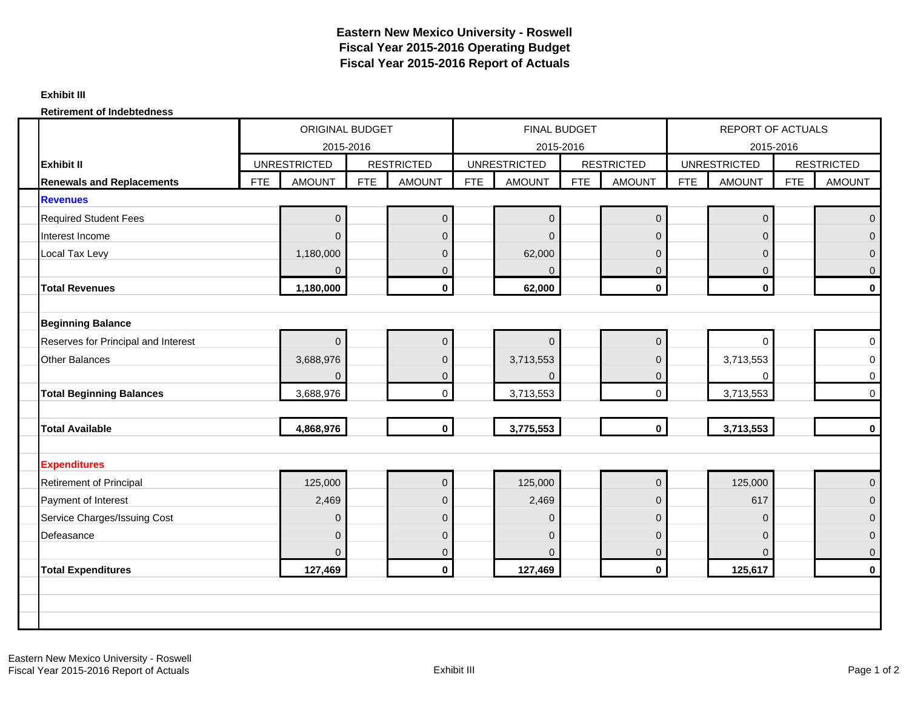#### **Exhibit III**

#### **Retirement of Indebtedness**

|                                     | <b>ORIGINAL BUDGET</b><br>2015-2016 |                     |            |                   |            | <b>FINAL BUDGET</b> |            |                   |            | <b>REPORT OF ACTUALS</b> |            |                     |
|-------------------------------------|-------------------------------------|---------------------|------------|-------------------|------------|---------------------|------------|-------------------|------------|--------------------------|------------|---------------------|
|                                     |                                     |                     |            |                   |            | 2015-2016           |            |                   |            | 2015-2016                |            |                     |
| <b>Exhibit II</b>                   |                                     | <b>UNRESTRICTED</b> |            | <b>RESTRICTED</b> |            | <b>UNRESTRICTED</b> |            | <b>RESTRICTED</b> |            | <b>UNRESTRICTED</b>      |            | <b>RESTRICTED</b>   |
| <b>Renewals and Replacements</b>    | <b>FTE</b>                          | <b>AMOUNT</b>       | <b>FTE</b> | <b>AMOUNT</b>     | <b>FTE</b> | <b>AMOUNT</b>       | <b>FTE</b> | <b>AMOUNT</b>     | <b>FTE</b> | <b>AMOUNT</b>            | <b>FTE</b> | <b>AMOUNT</b>       |
| <b>Revenues</b>                     |                                     |                     |            |                   |            |                     |            |                   |            |                          |            |                     |
| <b>Required Student Fees</b>        |                                     | $\overline{0}$      |            | $\mathbf 0$       |            | 0                   |            | $\mathbf 0$       |            | $\boldsymbol{0}$         |            | $\mathbf 0$         |
| Interest Income                     |                                     | $\Omega$            |            | $\overline{0}$    |            | $\overline{0}$      |            | $\Omega$          |            | $\mathbf{0}$             |            | $\overline{0}$      |
| Local Tax Levy                      |                                     | 1,180,000           |            | $\mathbf 0$       |            | 62,000              |            | $\mathbf{0}$      |            | $\mathbf{0}$             |            | $\mathbf 0$         |
|                                     |                                     | $\Omega$            |            | $\overline{0}$    |            | $\Omega$            |            | $\Omega$          |            | $\overline{0}$           |            | $\mathbf 0$         |
| <b>Total Revenues</b>               |                                     | 1,180,000           |            | $\mathbf{0}$      |            | 62,000              |            | $\mathbf 0$       |            | $\mathbf 0$              |            | $\mathbf 0$         |
|                                     |                                     |                     |            |                   |            |                     |            |                   |            |                          |            |                     |
| <b>Beginning Balance</b>            |                                     |                     |            |                   |            |                     |            |                   |            |                          |            |                     |
| Reserves for Principal and Interest |                                     | $\Omega$            |            | $\overline{0}$    |            | $\overline{0}$      |            | $\mathbf{0}$      |            | $\Omega$                 |            | $\pmb{0}$           |
| Other Balances                      |                                     | 3,688,976           |            | $\Omega$          |            | 3,713,553           |            | $\Omega$          |            | 3,713,553                |            | $\mathbf 0$         |
|                                     |                                     | $\Omega$            |            | $\mathbf{0}$      |            | 0                   |            | $\overline{0}$    |            | 0                        |            | $\mathbf 0$         |
| <b>Total Beginning Balances</b>     |                                     | 3,688,976           |            | $\overline{0}$    |            | 3,713,553           |            | $\mathsf{O}$      |            | 3,713,553                |            | $\mathsf{O}\xspace$ |
|                                     |                                     |                     |            |                   |            |                     |            |                   |            |                          |            |                     |
| <b>Total Available</b>              |                                     | 4,868,976           |            | $\mathbf{0}$      |            | 3,775,553           |            | $\mathbf{0}$      |            | 3,713,553                |            | $\mathbf 0$         |
|                                     |                                     |                     |            |                   |            |                     |            |                   |            |                          |            |                     |
| <b>Expenditures</b>                 |                                     |                     |            |                   |            |                     |            |                   |            |                          |            |                     |
| <b>Retirement of Principal</b>      |                                     | 125,000             |            | $\mathbf 0$       |            | 125,000             |            | $\Omega$          |            | 125,000                  |            | $\overline{0}$      |
| Payment of Interest                 |                                     | 2,469               |            | $\overline{0}$    |            | 2,469               |            | $\overline{0}$    |            | 617                      |            | $\mathbf 0$         |
| Service Charges/Issuing Cost        |                                     | $\mathbf{0}$        |            | $\mathbf{0}$      |            | $\mathbf{0}$        |            | $\mathbf{0}$      |            | $\mathbf{0}$             |            | $\mathbf 0$         |
| Defeasance                          |                                     | $\overline{0}$      |            | $\overline{0}$    |            | 0                   |            | $\mathbf{0}$      |            | $\mathbf{0}$             |            | $\mathbf 0$         |
|                                     |                                     | 0                   |            | $\mathbf 0$       |            | $\Omega$            |            | $\mathbf 0$       |            | $\mathbf{0}$             |            | $\mathbf 0$         |
| <b>Total Expenditures</b>           |                                     | 127,469             |            | $\mathbf{0}$      |            | 127,469             |            | $\mathbf{0}$      |            | 125,617                  |            | $\mathbf 0$         |
|                                     |                                     |                     |            |                   |            |                     |            |                   |            |                          |            |                     |
|                                     |                                     |                     |            |                   |            |                     |            |                   |            |                          |            |                     |
|                                     |                                     |                     |            |                   |            |                     |            |                   |            |                          |            |                     |